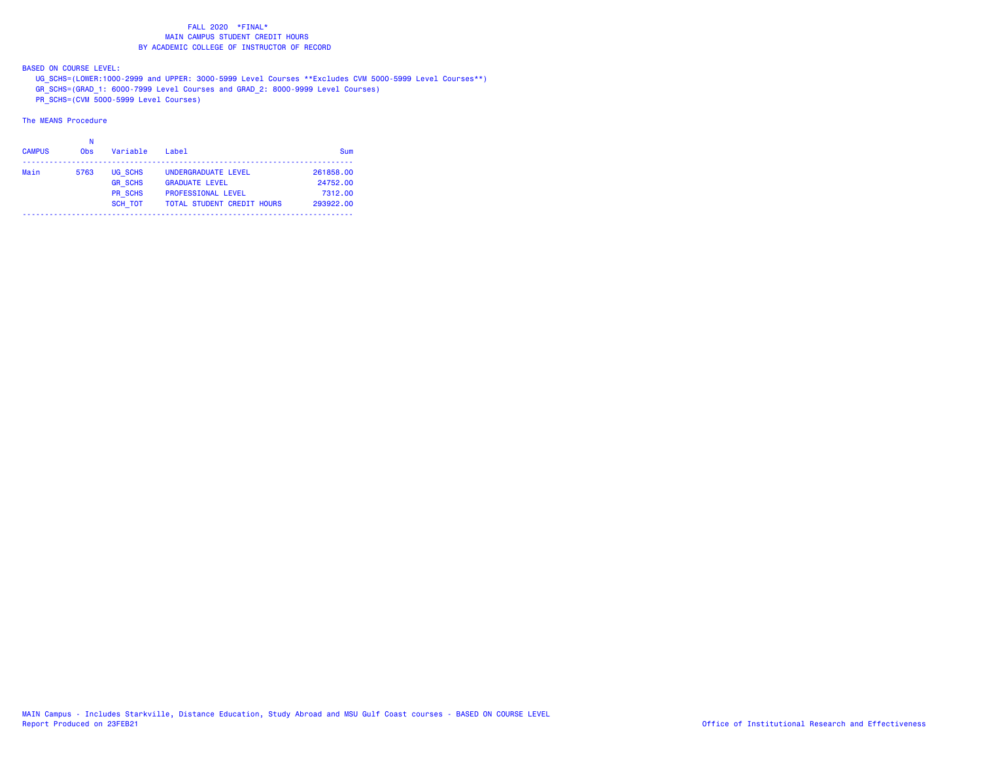BASED ON COURSE LEVEL:

UG\_SCHS=(LOWER:1000-2999 and UPPER: 3000-5999 Level Courses \*\*Excludes CVM 5000-5999 Level Courses\*\*)

GR\_SCHS=(GRAD\_1: 6000-7999 Level Courses and GRAD\_2: 8000-9999 Level Courses)

PR\_SCHS=(CVM 5000-5999 Level Courses)

| <b>CAMPUS</b> | <b>Obs</b> | Variable       | Label                             | Sum       |
|---------------|------------|----------------|-----------------------------------|-----------|
| Main          | 5763       | UG SCHS        | UNDERGRADUATE LEVEL               | 261858.00 |
|               |            | <b>GR SCHS</b> | <b>GRADUATE LEVEL</b>             | 24752.00  |
|               |            | <b>PR SCHS</b> | <b>PROFESSIONAL LEVEL</b>         | 7312.00   |
|               |            | <b>SCH TOT</b> | <b>TOTAL STUDENT CREDIT HOURS</b> | 293922.00 |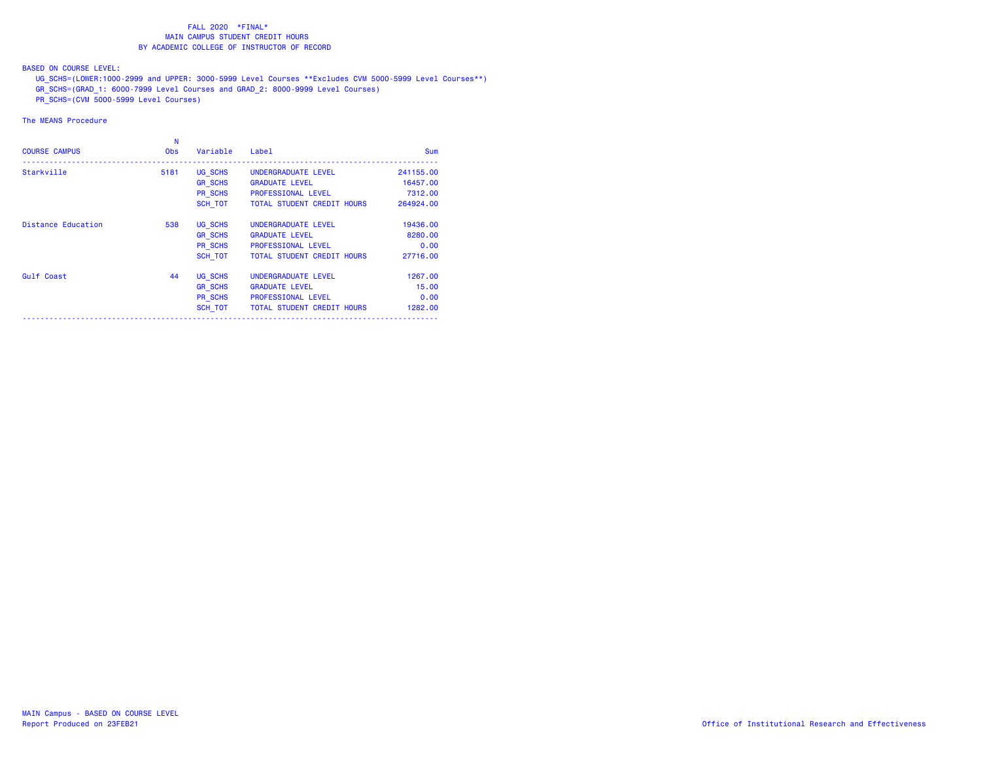BASED ON COURSE LEVEL:

UG\_SCHS=(LOWER:1000-2999 and UPPER: 3000-5999 Level Courses \*\*Excludes CVM 5000-5999 Level Courses\*\*)

GR\_SCHS=(GRAD\_1: 6000-7999 Level Courses and GRAD\_2: 8000-9999 Level Courses)

PR\_SCHS=(CVM 5000-5999 Level Courses)

| <b>COURSE CAMPUS</b>      | N<br><b>Obs</b> | Variable       | Label                             | <b>Sum</b> |
|---------------------------|-----------------|----------------|-----------------------------------|------------|
| Starkville                | 5181            | UG SCHS        | UNDERGRADUATE LEVEL               | 241155.00  |
|                           |                 | <b>GR SCHS</b> | <b>GRADUATE LEVEL</b>             | 16457.00   |
|                           |                 | PR SCHS        | <b>PROFESSIONAL LEVEL</b>         | 7312.00    |
|                           |                 | SCH TOT        | <b>TOTAL STUDENT CREDIT HOURS</b> | 264924.00  |
| <b>Distance Education</b> | 538             | UG SCHS        | UNDERGRADUATE LEVEL               | 19436,00   |
|                           |                 | <b>GR SCHS</b> | <b>GRADUATE LEVEL</b>             | 8280.00    |
|                           |                 | PR SCHS        | <b>PROFESSIONAL LEVEL</b>         | 0.00       |
|                           |                 | SCH TOT        | <b>TOTAL STUDENT CREDIT HOURS</b> | 27716.00   |
| Gulf Coast                | 44              | UG SCHS        | UNDERGRADUATE LEVEL               | 1267.00    |
|                           |                 | <b>GR SCHS</b> | <b>GRADUATE LEVEL</b>             | 15.00      |
|                           |                 | PR SCHS        | <b>PROFESSIONAL LEVEL</b>         | 0.00       |
|                           |                 | SCH TOT        | <b>TOTAL STUDENT CREDIT HOURS</b> | 1282.00    |
|                           |                 |                |                                   |            |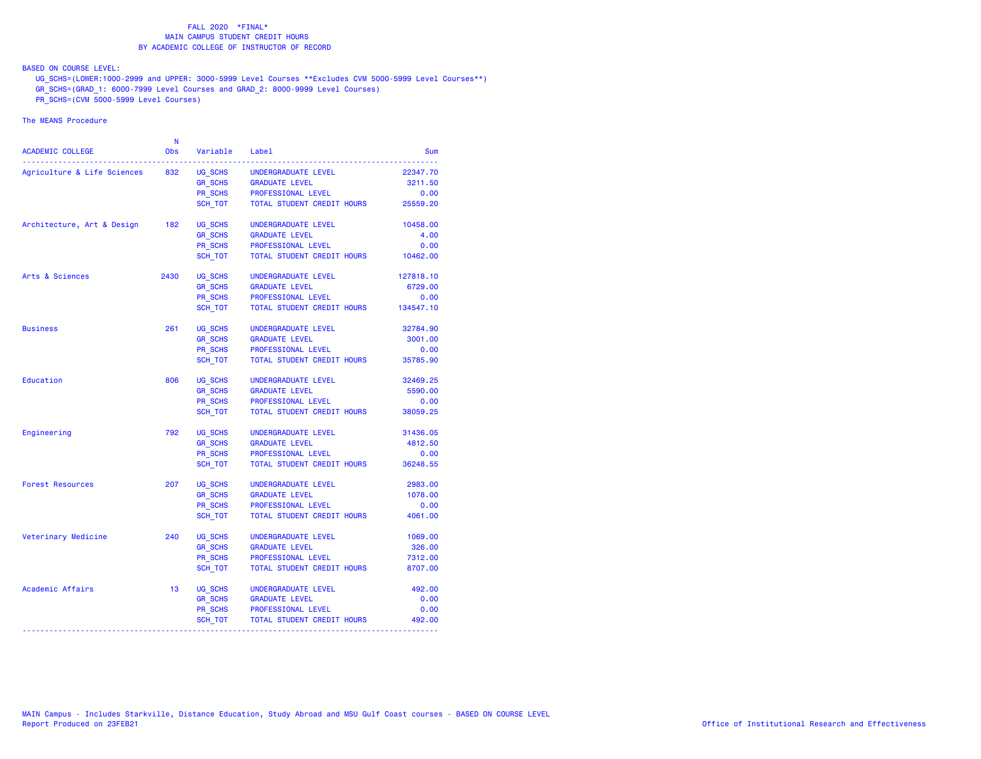BASED ON COURSE LEVEL:

UG\_SCHS=(LOWER:1000-2999 and UPPER: 3000-5999 Level Courses \*\*Excludes CVM 5000-5999 Level Courses\*\*)

GR\_SCHS=(GRAD\_1: 6000-7999 Level Courses and GRAD\_2: 8000-9999 Level Courses)

PR\_SCHS=(CVM 5000-5999 Level Courses)

| <b>ACADEMIC COLLEGE</b>     | N<br><b>Obs</b> | Variable       | Label                      | Sum       |
|-----------------------------|-----------------|----------------|----------------------------|-----------|
| Agriculture & Life Sciences | 832             | UG SCHS        | UNDERGRADUATE LEVEL        | 22347.70  |
|                             |                 | GR_SCHS        | <b>GRADUATE LEVEL</b>      | 3211.50   |
|                             |                 | PR_SCHS        | PROFESSIONAL LEVEL         | 0.00      |
|                             |                 | SCH TOT        | TOTAL STUDENT CREDIT HOURS | 25559.20  |
| Architecture, Art & Design  | 182             | UG SCHS        | UNDERGRADUATE LEVEL        | 10458.00  |
|                             |                 | <b>GR SCHS</b> | <b>GRADUATE LEVEL</b>      | 4.00      |
|                             |                 | PR SCHS        | PROFESSIONAL LEVEL         | 0.00      |
|                             |                 | SCH TOT        | TOTAL STUDENT CREDIT HOURS | 10462.00  |
| Arts & Sciences             | 2430            | UG SCHS        | UNDERGRADUATE LEVEL        | 127818.10 |
|                             |                 | <b>GR_SCHS</b> | <b>GRADUATE LEVEL</b>      | 6729.00   |
|                             |                 | <b>PR SCHS</b> | PROFESSIONAL LEVEL         | 0.00      |
|                             |                 | SCH_TOT        | TOTAL STUDENT CREDIT HOURS | 134547.10 |
| <b>Business</b>             | 261             | UG SCHS        | UNDERGRADUATE LEVEL        | 32784.90  |
|                             |                 | <b>GR_SCHS</b> | <b>GRADUATE LEVEL</b>      | 3001.00   |
|                             |                 | <b>PR SCHS</b> | PROFESSIONAL LEVEL         | 0.00      |
|                             |                 | SCH TOT        | TOTAL STUDENT CREDIT HOURS | 35785.90  |
| Education                   | 806             | UG SCHS        | UNDERGRADUATE LEVEL        | 32469.25  |
|                             |                 | <b>GR SCHS</b> | <b>GRADUATE LEVEL</b>      | 5590.00   |
|                             |                 | <b>PR SCHS</b> | PROFESSIONAL LEVEL         | 0.00      |
|                             |                 | SCH TOT        | TOTAL STUDENT CREDIT HOURS | 38059.25  |
| Engineering                 | 792             | UG SCHS        | UNDERGRADUATE LEVEL        | 31436.05  |
|                             |                 | <b>GR_SCHS</b> | <b>GRADUATE LEVEL</b>      | 4812.50   |
|                             |                 | PR_SCHS        | PROFESSIONAL LEVEL         | 0.00      |
|                             |                 | SCH_TOT        | TOTAL STUDENT CREDIT HOURS | 36248.55  |
| <b>Forest Resources</b>     | 207             | UG SCHS        | UNDERGRADUATE LEVEL        | 2983.00   |
|                             |                 | <b>GR SCHS</b> | <b>GRADUATE LEVEL</b>      | 1078.00   |
|                             |                 | PR SCHS        | PROFESSIONAL LEVEL         | 0.00      |
|                             |                 | SCH TOT        | TOTAL STUDENT CREDIT HOURS | 4061.00   |
| Veterinary Medicine         | 240             | UG SCHS        | UNDERGRADUATE LEVEL        | 1069.00   |
|                             |                 | <b>GR SCHS</b> | <b>GRADUATE LEVEL</b>      | 326.00    |
|                             |                 | <b>PR SCHS</b> | PROFESSIONAL LEVEL         | 7312.00   |
|                             |                 | SCH TOT        | TOTAL STUDENT CREDIT HOURS | 8707.00   |
| Academic Affairs            | 13              | UG_SCHS        | UNDERGRADUATE LEVEL        | 492.00    |
|                             |                 | <b>GR_SCHS</b> | <b>GRADUATE LEVEL</b>      | 0.00      |
|                             |                 | PR_SCHS        | PROFESSIONAL LEVEL         | 0.00      |
|                             |                 | SCH_TOT        | TOTAL STUDENT CREDIT HOURS | 492.00    |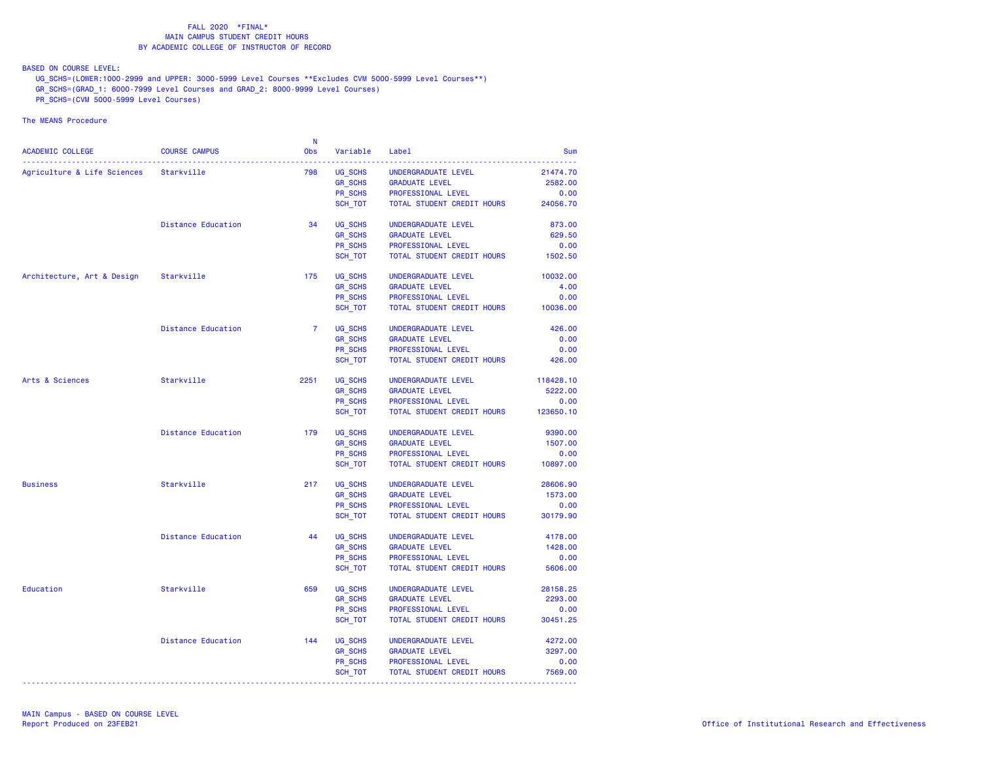BASED ON COURSE LEVEL:

UG\_SCHS=(LOWER:1000-2999 and UPPER: 3000-5999 Level Courses \*\*Excludes CVM 5000-5999 Level Courses\*\*)

- GR\_SCHS=(GRAD\_1: 6000-7999 Level Courses and GRAD\_2: 8000-9999 Level Courses)
- PR\_SCHS=(CVM 5000-5999 Level Courses)

|                                        |                           | -N             |                           |                                              |                    |
|----------------------------------------|---------------------------|----------------|---------------------------|----------------------------------------------|--------------------|
| ACADEMIC COLLEGE                       | <b>COURSE CAMPUS</b>      | <b>Obs</b>     | Variable                  | Label                                        | <b>Sum</b>         |
| Agriculture & Life Sciences Starkville |                           | 798            | UG SCHS                   | UNDERGRADUATE LEVEL                          | 21474.70           |
|                                        |                           |                | <b>GR_SCHS</b>            | <b>GRADUATE LEVEL</b>                        | 2582.00            |
|                                        |                           |                | PR SCHS                   | PROFESSIONAL LEVEL                           | 0.00               |
|                                        |                           |                | SCH TOT                   | TOTAL STUDENT CREDIT HOURS                   | 24056.70           |
|                                        |                           |                |                           |                                              |                    |
|                                        | Distance Education        | 34             | UG SCHS                   | UNDERGRADUATE LEVEL                          | 873.00             |
|                                        |                           |                | <b>GR SCHS</b>            | <b>GRADUATE LEVEL</b>                        | 629.50             |
|                                        |                           |                | PR SCHS                   | PROFESSIONAL LEVEL                           | 0.00               |
|                                        |                           |                | SCH_TOT                   | TOTAL STUDENT CREDIT HOURS                   | 1502.50            |
| Architecture, Art & Design             | Starkville                | 175            | UG_SCHS                   | UNDERGRADUATE LEVEL                          | 10032.00           |
|                                        |                           |                | <b>GR SCHS</b>            | <b>GRADUATE LEVEL</b>                        | 4.00               |
|                                        |                           |                | PR SCHS                   | PROFESSIONAL LEVEL                           | 0.00               |
|                                        |                           |                | SCH_TOT                   | TOTAL STUDENT CREDIT HOURS                   | 10036.00           |
|                                        | <b>Distance Education</b> | $\overline{7}$ | UG SCHS                   | UNDERGRADUATE LEVEL                          | 426.00             |
|                                        |                           |                | <b>GR SCHS</b>            | <b>GRADUATE LEVEL</b>                        | 0.00               |
|                                        |                           |                | PR SCHS                   | PROFESSIONAL LEVEL                           | 0.00               |
|                                        |                           |                | SCH_TOT                   | TOTAL STUDENT CREDIT HOURS                   | 426.00             |
| Arts & Sciences                        | Starkville                | 2251           | UG SCHS                   | UNDERGRADUATE LEVEL                          | 118428.10          |
|                                        |                           |                | <b>GR_SCHS</b>            | <b>GRADUATE LEVEL</b>                        | 5222.00            |
|                                        |                           |                | PR SCHS                   | PROFESSIONAL LEVEL                           | 0.00               |
|                                        |                           |                | SCH_TOT                   | TOTAL STUDENT CREDIT HOURS                   | 123650.10          |
|                                        | <b>Distance Education</b> | 179            | UG SCHS                   | UNDERGRADUATE LEVEL                          | 9390.00            |
|                                        |                           |                | <b>GR_SCHS</b>            | <b>GRADUATE LEVEL</b>                        | 1507.00            |
|                                        |                           |                | PR SCHS                   | PROFESSIONAL LEVEL                           | 0.00               |
|                                        |                           |                | SCH_TOT                   | TOTAL STUDENT CREDIT HOURS                   | 10897.00           |
| <b>Business</b>                        | Starkville                | 217            | UG SCHS                   | UNDERGRADUATE LEVEL                          | 28606.90           |
|                                        |                           |                | <b>GR_SCHS</b>            | <b>GRADUATE LEVEL</b>                        | 1573.00            |
|                                        |                           |                | PR SCHS                   | PROFESSIONAL LEVEL                           | 0.00               |
|                                        |                           |                | SCH TOT                   | TOTAL STUDENT CREDIT HOURS                   | 30179.90           |
|                                        | <b>Distance Education</b> | 44             |                           |                                              |                    |
|                                        |                           |                | UG_SCHS<br><b>GR SCHS</b> | UNDERGRADUATE LEVEL<br><b>GRADUATE LEVEL</b> | 4178.00<br>1428.00 |
|                                        |                           |                | PR SCHS                   | PROFESSIONAL LEVEL                           | 0.00               |
|                                        |                           |                | SCH_TOT                   | TOTAL STUDENT CREDIT HOURS                   | 5606.00            |
|                                        |                           |                |                           |                                              |                    |
| Education                              | Starkville                | 659            | UG SCHS                   | UNDERGRADUATE LEVEL                          | 28158.25           |
|                                        |                           |                | <b>GR SCHS</b>            | <b>GRADUATE LEVEL</b>                        | 2293.00            |
|                                        |                           |                | PR SCHS                   | PROFESSIONAL LEVEL                           | 0.00               |
|                                        |                           |                | SCH_TOT                   | TOTAL STUDENT CREDIT HOURS                   | 30451.25           |
|                                        | <b>Distance Education</b> | 144            | UG SCHS                   | UNDERGRADUATE LEVEL                          | 4272.00            |
|                                        |                           |                | <b>GR_SCHS</b>            | <b>GRADUATE LEVEL</b>                        | 3297.00            |
|                                        |                           |                | PR SCHS                   | PROFESSIONAL LEVEL                           | 0.00               |
|                                        |                           |                | SCH_TOT                   | TOTAL STUDENT CREDIT HOURS                   | 7569.00            |
|                                        |                           |                |                           |                                              |                    |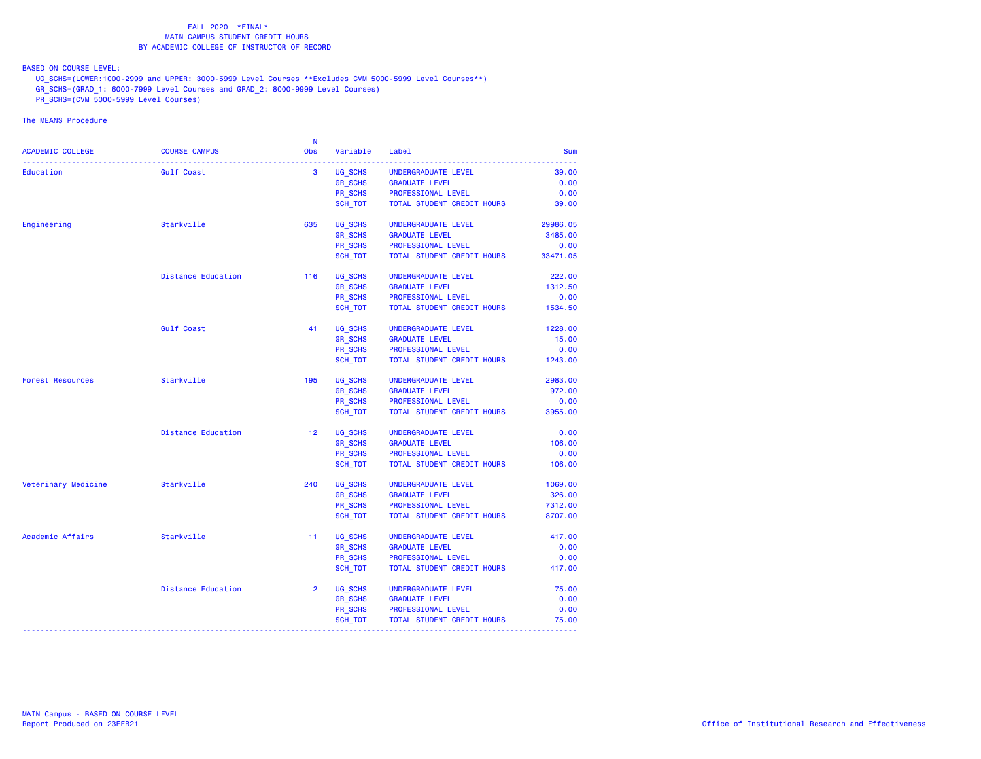BASED ON COURSE LEVEL:

UG\_SCHS=(LOWER:1000-2999 and UPPER: 3000-5999 Level Courses \*\*Excludes CVM 5000-5999 Level Courses\*\*)

- GR\_SCHS=(GRAD\_1: 6000-7999 Level Courses and GRAD\_2: 8000-9999 Level Courses)
- PR\_SCHS=(CVM 5000-5999 Level Courses)

| <b>ACADEMIC COLLEGE</b> | <b>COURSE CAMPUS</b>      | <b>N</b><br><b>Obs</b> | Variable       | Label                      | Sum      |
|-------------------------|---------------------------|------------------------|----------------|----------------------------|----------|
| Education               | Gulf Coast                | 3                      | UG SCHS        | UNDERGRADUATE LEVEL        | 39.00    |
|                         |                           |                        | <b>GR_SCHS</b> | <b>GRADUATE LEVEL</b>      | 0.00     |
|                         |                           |                        | PR SCHS        | PROFESSIONAL LEVEL         | 0.00     |
|                         |                           |                        | SCH TOT        | TOTAL STUDENT CREDIT HOURS | 39.00    |
| Engineering             | Starkville                | 635                    | UG_SCHS        | UNDERGRADUATE LEVEL        | 29986.05 |
|                         |                           |                        | <b>GR SCHS</b> | <b>GRADUATE LEVEL</b>      | 3485.00  |
|                         |                           |                        | PR SCHS        | PROFESSIONAL LEVEL         | 0.00     |
|                         |                           |                        | SCH TOT        | TOTAL STUDENT CREDIT HOURS | 33471.05 |
|                         | <b>Distance Education</b> | 116                    | UG SCHS        | UNDERGRADUATE LEVEL        | 222.00   |
|                         |                           |                        | <b>GR SCHS</b> | <b>GRADUATE LEVEL</b>      | 1312.50  |
|                         |                           |                        | PR_SCHS        | PROFESSIONAL LEVEL         | 0.00     |
|                         |                           |                        | SCH TOT        | TOTAL STUDENT CREDIT HOURS | 1534.50  |
|                         | Gulf Coast                | 41                     | UG SCHS        | UNDERGRADUATE LEVEL        | 1228.00  |
|                         |                           |                        | <b>GR_SCHS</b> | <b>GRADUATE LEVEL</b>      | 15.00    |
|                         |                           |                        | PR SCHS        | PROFESSIONAL LEVEL         | 0.00     |
|                         |                           |                        | SCH TOT        | TOTAL STUDENT CREDIT HOURS | 1243.00  |
| <b>Forest Resources</b> | Starkville                | 195                    | UG_SCHS        | UNDERGRADUATE LEVEL        | 2983.00  |
|                         |                           |                        | <b>GR SCHS</b> | <b>GRADUATE LEVEL</b>      | 972.00   |
|                         |                           |                        | PR SCHS        | PROFESSIONAL LEVEL         | 0.00     |
|                         |                           |                        | SCH TOT        | TOTAL STUDENT CREDIT HOURS | 3955.00  |
|                         | <b>Distance Education</b> | 12 <sup>1</sup>        | UG SCHS        | UNDERGRADUATE LEVEL        | 0.00     |
|                         |                           |                        | <b>GR_SCHS</b> | <b>GRADUATE LEVEL</b>      | 106.00   |
|                         |                           |                        | PR SCHS        | PROFESSIONAL LEVEL         | 0.00     |
|                         |                           |                        | SCH TOT        | TOTAL STUDENT CREDIT HOURS | 106.00   |
| Veterinary Medicine     | Starkville                | 240                    | UG SCHS        | UNDERGRADUATE LEVEL        | 1069.00  |
|                         |                           |                        | <b>GR_SCHS</b> | <b>GRADUATE LEVEL</b>      | 326.00   |
|                         |                           |                        | PR_SCHS        | PROFESSIONAL LEVEL         | 7312.00  |
|                         |                           |                        | SCH_TOT        | TOTAL STUDENT CREDIT HOURS | 8707.00  |
| Academic Affairs        | Starkville                | 11                     | UG SCHS        | UNDERGRADUATE LEVEL        | 417.00   |
|                         |                           |                        | <b>GR_SCHS</b> | <b>GRADUATE LEVEL</b>      | 0.00     |
|                         |                           |                        | PR SCHS        | PROFESSIONAL LEVEL         | 0.00     |
|                         |                           |                        | SCH TOT        | TOTAL STUDENT CREDIT HOURS | 417.00   |
|                         | <b>Distance Education</b> | $\overline{2}$         | UG_SCHS        | UNDERGRADUATE LEVEL        | 75.00    |
|                         |                           |                        | <b>GR SCHS</b> | <b>GRADUATE LEVEL</b>      | 0.00     |
|                         |                           |                        | PR SCHS        | PROFESSIONAL LEVEL         | 0.00     |
|                         |                           |                        | SCH_TOT        | TOTAL STUDENT CREDIT HOURS | 75.00    |
|                         |                           |                        |                |                            |          |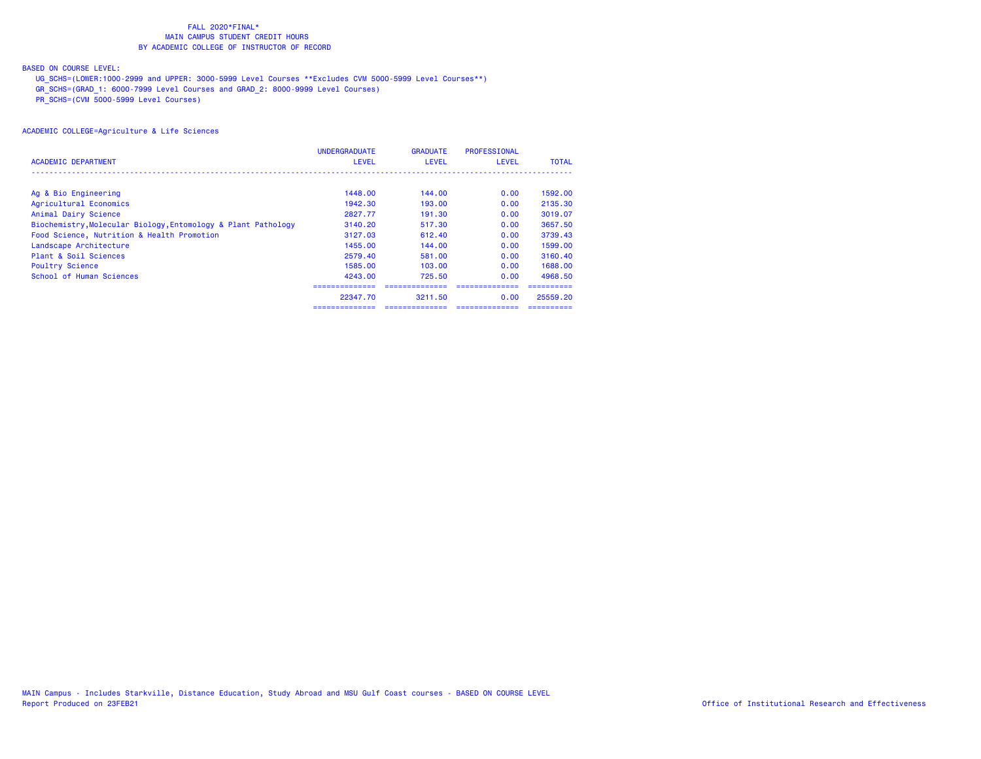## BASED ON COURSE LEVEL:

UG\_SCHS=(LOWER:1000-2999 and UPPER: 3000-5999 Level Courses \*\*Excludes CVM 5000-5999 Level Courses\*\*)

GR\_SCHS=(GRAD\_1: 6000-7999 Level Courses and GRAD\_2: 8000-9999 Level Courses)

PR\_SCHS=(CVM 5000-5999 Level Courses)

|                                                               | <b>UNDERGRADUATE</b> | <b>GRADUATE</b> | <b>PROFESSIONAL</b> |              |
|---------------------------------------------------------------|----------------------|-----------------|---------------------|--------------|
| ACADEMIC DEPARTMENT                                           | <b>LEVEL</b>         | <b>LEVEL</b>    | <b>LEVEL</b>        | <b>TOTAL</b> |
|                                                               |                      |                 |                     |              |
| Ag & Bio Engineering                                          | 1448.00              | 144.00          | 0.00                | 1592.00      |
| Agricultural Economics                                        | 1942.30              | 193.00          | 0.00                | 2135.30      |
| Animal Dairy Science                                          | 2827.77              | 191.30          | 0.00                | 3019.07      |
| Biochemistry, Molecular Biology, Entomology & Plant Pathology | 3140.20              | 517.30          | 0.00                | 3657.50      |
| Food Science, Nutrition & Health Promotion                    | 3127.03              | 612.40          | 0.00                | 3739.43      |
| Landscape Architecture                                        | 1455.00              | 144.00          | 0.00                | 1599.00      |
| Plant & Soil Sciences                                         | 2579.40              | 581,00          | 0.00                | 3160.40      |
| <b>Poultry Science</b>                                        | 1585.00              | 103.00          | 0.00                | 1688.00      |
| School of Human Sciences                                      | 4243.00              | 725.50          | 0.00                | 4968.50      |
|                                                               |                      |                 |                     |              |
|                                                               | 22347.70             | 3211.50         | 0.00                | 25559.20     |
|                                                               |                      |                 |                     |              |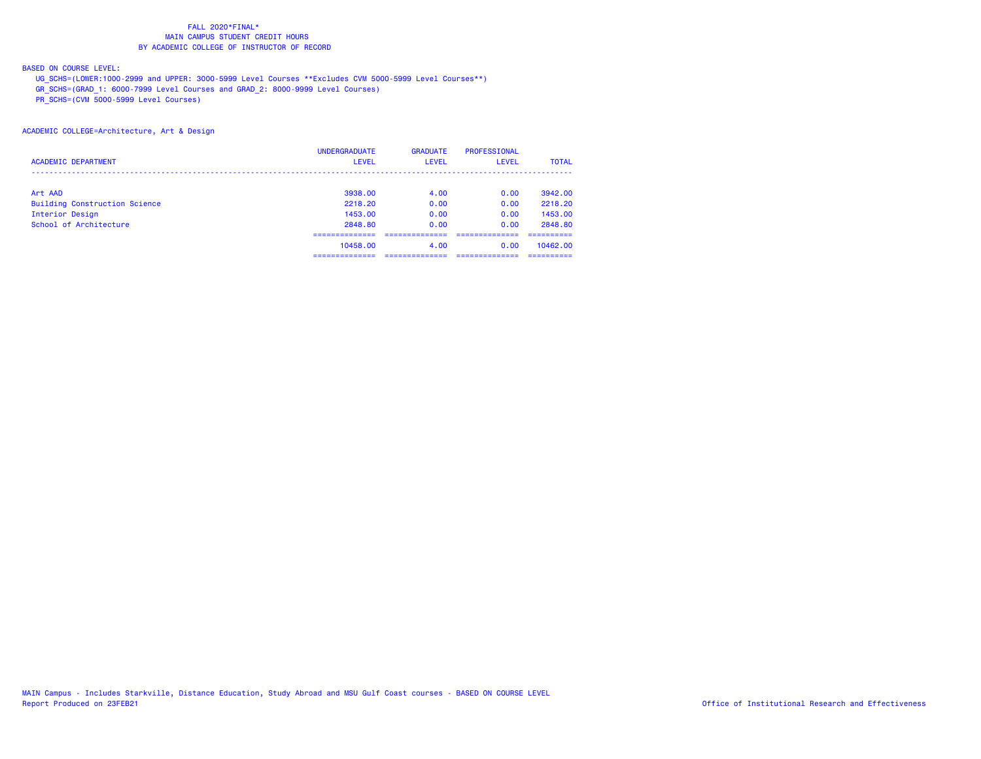## BASED ON COURSE LEVEL:

UG\_SCHS=(LOWER:1000-2999 and UPPER: 3000-5999 Level Courses \*\*Excludes CVM 5000-5999 Level Courses\*\*)

GR\_SCHS=(GRAD\_1: 6000-7999 Level Courses and GRAD\_2: 8000-9999 Level Courses)

PR\_SCHS=(CVM 5000-5999 Level Courses)

## ACADEMIC COLLEGE=Architecture, Art & Design

|                                      | <b>UNDERGRADUATE</b> | <b>GRADUATE</b> | <b>PROFESSIONAL</b> |              |
|--------------------------------------|----------------------|-----------------|---------------------|--------------|
| <b>ACADEMIC DEPARTMENT</b>           | <b>LEVEL</b>         | LEVEL           | LEVEL               | <b>TOTAL</b> |
|                                      |                      |                 |                     |              |
| Art AAD                              | 3938.00              | 4.00            | 0.00                | 3942.00      |
| <b>Building Construction Science</b> | 2218.20              | 0.00            | 0.00                | 2218.20      |
| Interior Design                      | 1453.00              | 0.00            | 0.00                | 1453.00      |
| School of Architecture               | 2848.80              | 0.00            | 0.00                | 2848.80      |
|                                      |                      |                 |                     |              |
|                                      | 10458.00             | 4.00            | 0.00                | 10462.00     |
|                                      |                      |                 |                     |              |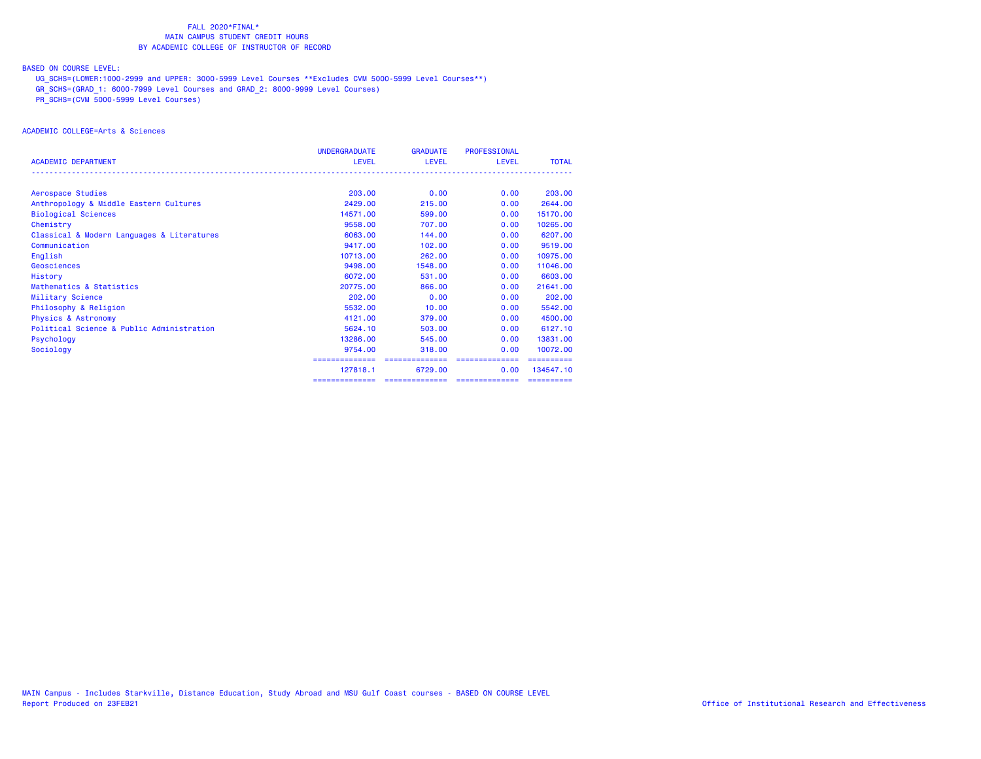## BASED ON COURSE LEVEL:

UG\_SCHS=(LOWER:1000-2999 and UPPER: 3000-5999 Level Courses \*\*Excludes CVM 5000-5999 Level Courses\*\*)

GR\_SCHS=(GRAD\_1: 6000-7999 Level Courses and GRAD\_2: 8000-9999 Level Courses)

PR\_SCHS=(CVM 5000-5999 Level Courses)

# ACADEMIC COLLEGE=Arts & Sciences

|                                            | <b>UNDERGRADUATE</b> | <b>GRADUATE</b> | <b>PROFESSIONAL</b> |              |
|--------------------------------------------|----------------------|-----------------|---------------------|--------------|
| <b>ACADEMIC DEPARTMENT</b>                 | <b>LEVEL</b>         | <b>LEVEL</b>    | LEVEL               | <b>TOTAL</b> |
|                                            |                      |                 |                     |              |
| Aerospace Studies                          | 203.00               | 0.00            | 0.00                | 203.00       |
| Anthropology & Middle Eastern Cultures     | 2429.00              | 215,00          | 0.00                | 2644.00      |
| <b>Biological Sciences</b>                 | 14571.00             | 599.00          | 0.00                | 15170.00     |
| Chemistry                                  | 9558.00              | 707.00          | 0.00                | 10265,00     |
| Classical & Modern Languages & Literatures | 6063,00              | 144,00          | 0.00                | 6207.00      |
| Communication                              | 9417.00              | 102,00          | 0.00                | 9519.00      |
| English                                    | 10713.00             | 262,00          | 0.00                | 10975.00     |
| Geosciences                                | 9498.00              | 1548.00         | 0.00                | 11046.00     |
| History                                    | 6072.00              | 531.00          | 0.00                | 6603.00      |
| Mathematics & Statistics                   | 20775.00             | 866,00          | 0.00                | 21641.00     |
| Military Science                           | 202,00               | 0.00            | 0.00                | 202,00       |
| Philosophy & Religion                      | 5532.00              | 10.00           | 0.00                | 5542.00      |
| <b>Physics &amp; Astronomy</b>             | 4121.00              | 379,00          | 0.00                | 4500.00      |
| Political Science & Public Administration  | 5624.10              | 503,00          | 0.00                | 6127.10      |
| Psychology                                 | 13286.00             | 545.00          | 0.00                | 13831.00     |
| Sociology                                  | 9754.00              | 318,00          | 0.00                | 10072.00     |
|                                            | ==============       | ==============  | ==============      | ==========   |
|                                            | 127818.1             | 6729.00         | 0.00                | 134547.10    |
|                                            | ==============       | ==============  | ==============      | ==========   |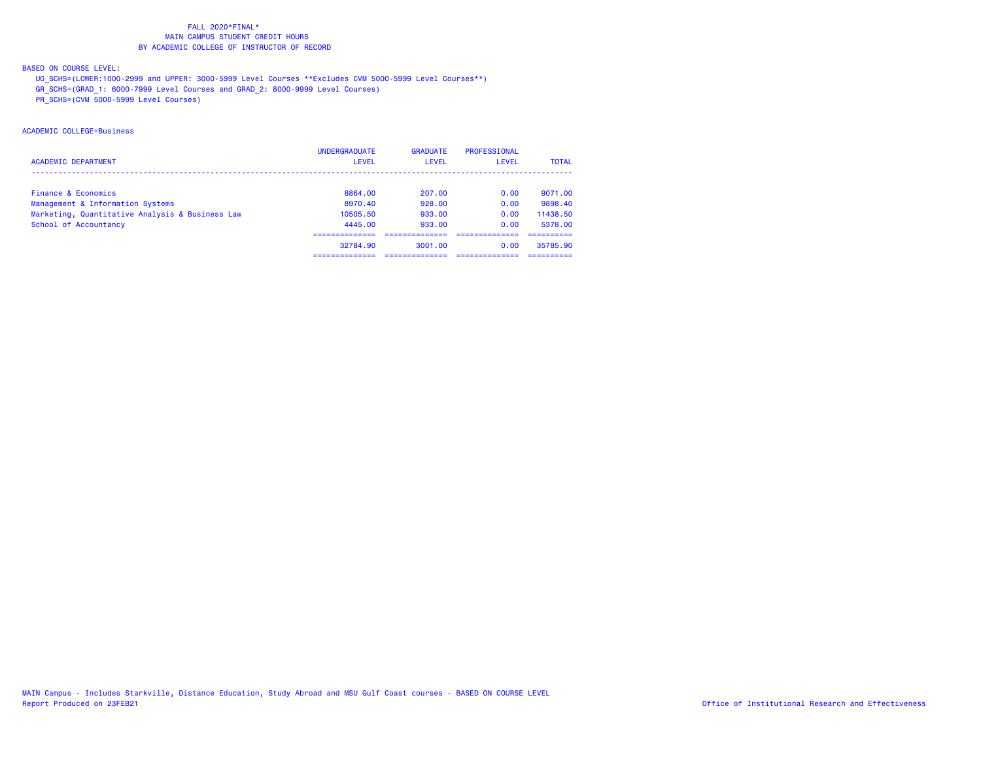## BASED ON COURSE LEVEL:

UG\_SCHS=(LOWER:1000-2999 and UPPER: 3000-5999 Level Courses \*\*Excludes CVM 5000-5999 Level Courses\*\*)

GR\_SCHS=(GRAD\_1: 6000-7999 Level Courses and GRAD\_2: 8000-9999 Level Courses)

PR\_SCHS=(CVM 5000-5999 Level Courses)

# ACADEMIC COLLEGE=Business

|                                                 | <b>UNDERGRADUATE</b> | <b>GRADUATE</b> | PROFESSIONAL |              |
|-------------------------------------------------|----------------------|-----------------|--------------|--------------|
| <b>ACADEMIC DEPARTMENT</b>                      | LEVEL                | LEVEL           | LEVEL        | <b>TOTAL</b> |
|                                                 |                      |                 |              |              |
| Finance & Economics                             | 8864.00              | 207.00          | 0.00         | 9071.00      |
| Management & Information Systems                | 8970.40              | 928.00          | 0.00         | 9898.40      |
| Marketing, Quantitative Analysis & Business Law | 10505.50             | 933.00          | 0.00         | 11438.50     |
| School of Accountancy                           | 4445.00              | 933.00          | 0.00         | 5378.00      |
|                                                 |                      |                 |              |              |
|                                                 | 32784.90             | 3001.00         | 0.00         | 35785.90     |
|                                                 |                      |                 |              |              |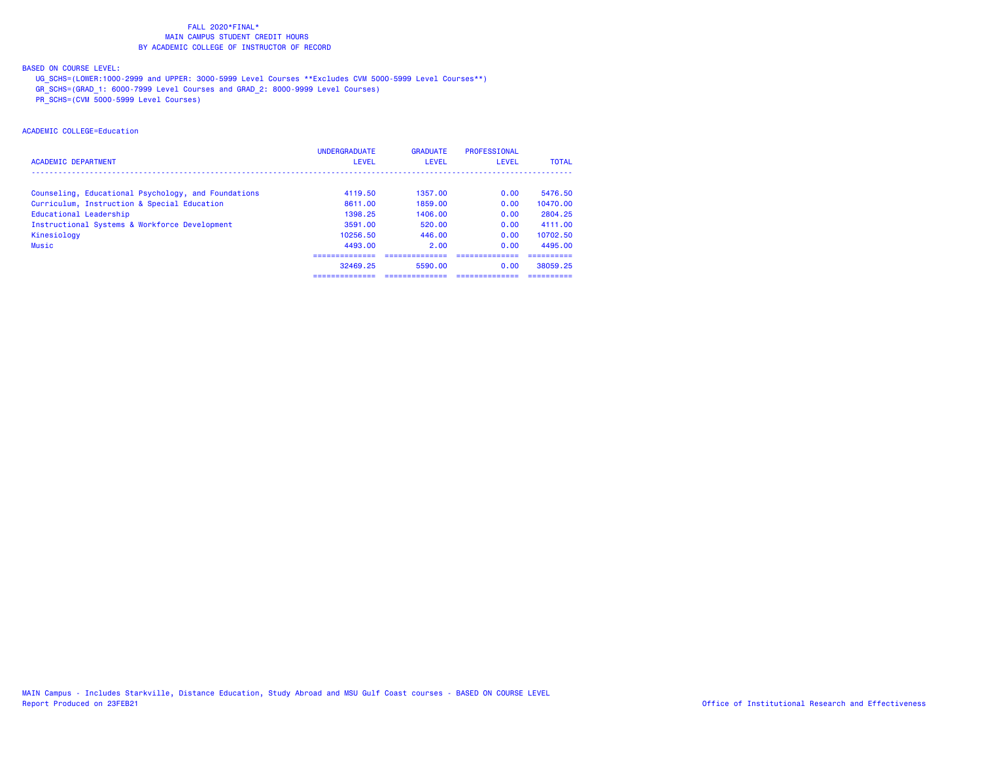## BASED ON COURSE LEVEL:

UG\_SCHS=(LOWER:1000-2999 and UPPER: 3000-5999 Level Courses \*\*Excludes CVM 5000-5999 Level Courses\*\*)

GR\_SCHS=(GRAD\_1: 6000-7999 Level Courses and GRAD\_2: 8000-9999 Level Courses)

PR\_SCHS=(CVM 5000-5999 Level Courses)

# ACADEMIC COLLEGE=Education

|                                                     | <b>UNDERGRADUATE</b> | <b>GRADUATE</b> | PROFESSIONAL |              |
|-----------------------------------------------------|----------------------|-----------------|--------------|--------------|
| <b>ACADEMIC DEPARTMENT</b>                          | <b>LEVEL</b>         | LEVEL           | LEVEL        | <b>TOTAL</b> |
|                                                     |                      |                 |              |              |
| Counseling, Educational Psychology, and Foundations | 4119.50              | 1357.00         | 0.00         | 5476.50      |
| Curriculum, Instruction & Special Education         | 8611.00              | 1859.00         | 0.00         | 10470.00     |
| Educational Leadership                              | 1398.25              | 1406.00         | 0.00         | 2804.25      |
| Instructional Systems & Workforce Development       | 3591.00              | 520.00          | 0.00         | 4111.00      |
| Kinesiology                                         | 10256.50             | 446.00          | 0.00         | 10702.50     |
| <b>Music</b>                                        | 4493.00              | 2.00            | 0.00         | 4495.00      |
|                                                     |                      |                 |              |              |
|                                                     | 32469.25             | 5590.00         | 0.00         | 38059.25     |
|                                                     | -----------          |                 |              |              |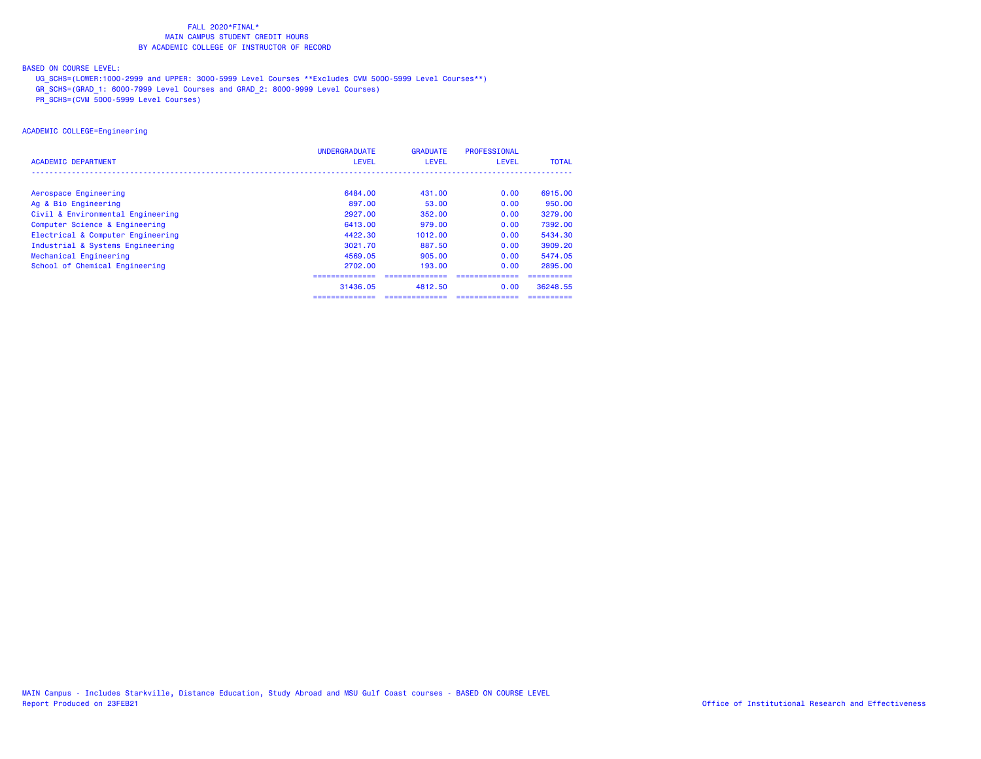## BASED ON COURSE LEVEL:

UG\_SCHS=(LOWER:1000-2999 and UPPER: 3000-5999 Level Courses \*\*Excludes CVM 5000-5999 Level Courses\*\*)

- GR\_SCHS=(GRAD\_1: 6000-7999 Level Courses and GRAD\_2: 8000-9999 Level Courses)
- PR\_SCHS=(CVM 5000-5999 Level Courses)

## ACADEMIC COLLEGE=Engineering

|                                   | <b>UNDERGRADUATE</b> | <b>GRADUATE</b> | PROFESSIONAL   |              |
|-----------------------------------|----------------------|-----------------|----------------|--------------|
| <b>ACADEMIC DEPARTMENT</b>        | LEVEL                | LEVEL           | LEVEL          | <b>TOTAL</b> |
|                                   |                      |                 |                |              |
| Aerospace Engineering             | 6484.00              | 431.00          | 0.00           | 6915,00      |
| Ag & Bio Engineering              | 897.00               | 53.00           | 0.00           | 950,00       |
| Civil & Environmental Engineering | 2927.00              | 352.00          | 0.00           | 3279.00      |
| Computer Science & Engineering    | 6413.00              | 979.00          | 0.00           | 7392.00      |
| Electrical & Computer Engineering | 4422.30              | 1012.00         | 0.00           | 5434.30      |
| Industrial & Systems Engineering  | 3021.70              | 887.50          | 0.00           | 3909.20      |
| Mechanical Engineering            | 4569.05              | 905,00          | 0.00           | 5474.05      |
| School of Chemical Engineering    | 2702.00              | 193.00          | 0.00           | 2895.00      |
|                                   | ============         |                 |                |              |
|                                   | 31436.05             | 4812.50         | 0.00           | 36248.55     |
|                                   | ==============       | ==============  | ============== | ==========   |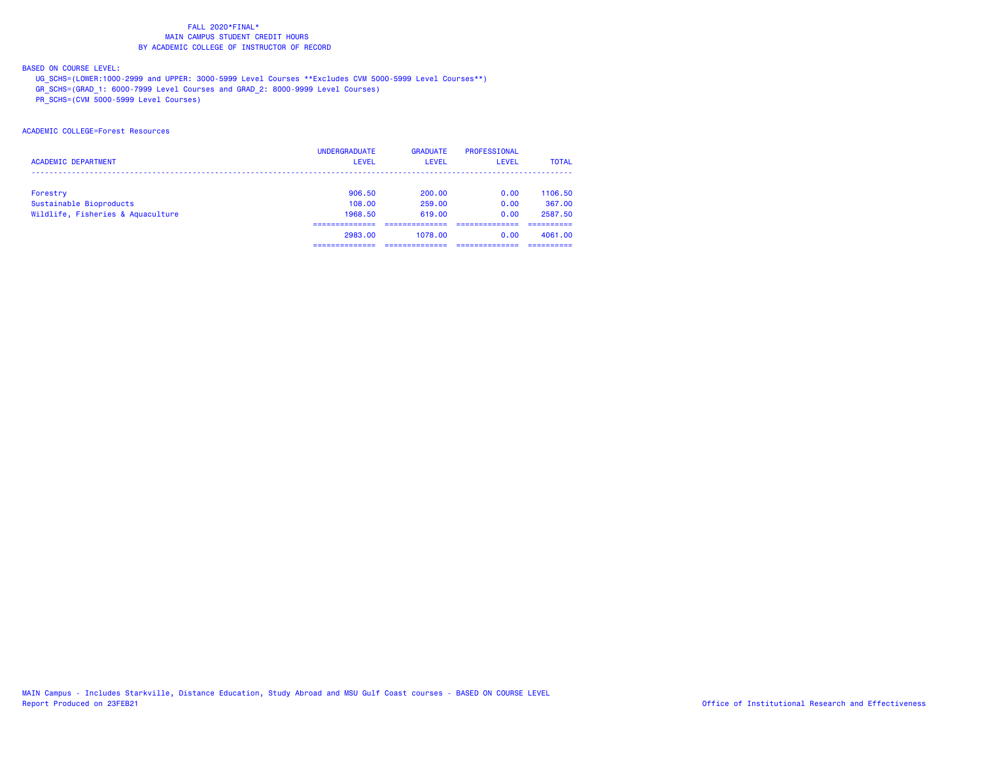## BASED ON COURSE LEVEL:

UG\_SCHS=(LOWER:1000-2999 and UPPER: 3000-5999 Level Courses \*\*Excludes CVM 5000-5999 Level Courses\*\*)

GR\_SCHS=(GRAD\_1: 6000-7999 Level Courses and GRAD\_2: 8000-9999 Level Courses)

PR\_SCHS=(CVM 5000-5999 Level Courses)

# ACADEMIC COLLEGE=Forest Resources

|                                   | <b>UNDERGRADUATE</b> | <b>GRADUATE</b> | PROFESSIONAL |              |
|-----------------------------------|----------------------|-----------------|--------------|--------------|
| <b>ACADEMIC DEPARTMENT</b>        | <b>LEVEL</b>         | <b>LEVEL</b>    | <b>LEVEL</b> | <b>TOTAL</b> |
|                                   |                      |                 |              |              |
| Forestry                          | 906.50               | 200.00          | 0.00         | 1106.50      |
| Sustainable Bioproducts           | 108,00               | 259,00          | 0.00         | 367.00       |
| Wildlife, Fisheries & Aquaculture | 1968.50              | 619.00          | 0.00         | 2587.50      |
|                                   |                      |                 |              |              |
|                                   | 2983.00              | 1078.00         | 0.00         | 4061.00      |
|                                   |                      |                 |              |              |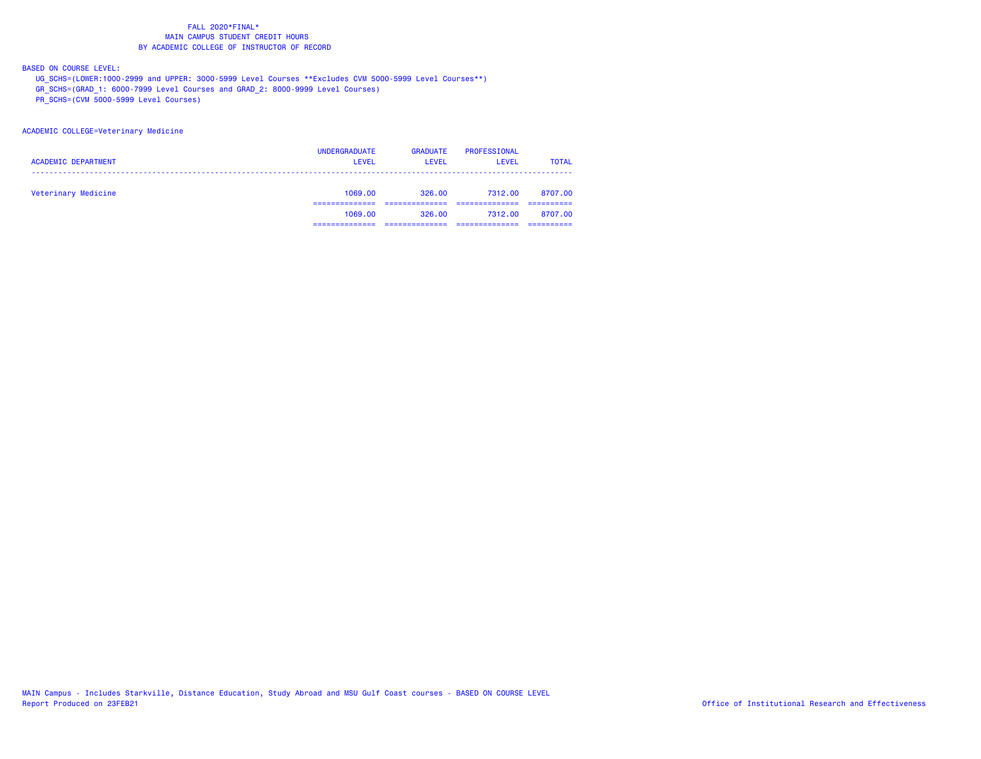BASED ON COURSE LEVEL:

UG\_SCHS=(LOWER:1000-2999 and UPPER: 3000-5999 Level Courses \*\*Excludes CVM 5000-5999 Level Courses\*\*)

GR\_SCHS=(GRAD\_1: 6000-7999 Level Courses and GRAD\_2: 8000-9999 Level Courses)

PR\_SCHS=(CVM 5000-5999 Level Courses)

#### ACADEMIC COLLEGE=Veterinary Medicine

| <b>ACADEMIC DEPARTMENT</b> | <b>UNDERGRADUATE</b><br><b>LEVEL</b> | <b>GRADUATE</b><br>LEVEL | PROFESSIONAL<br><b>LEVEL</b> | <b>TOTAL</b> |
|----------------------------|--------------------------------------|--------------------------|------------------------------|--------------|
| Veterinary Medicine        | 1069.00                              | 326.00                   | 7312.00                      | 8707.00      |
|                            | 1069.00                              | 326.00                   | 7312.00                      | 8707.00      |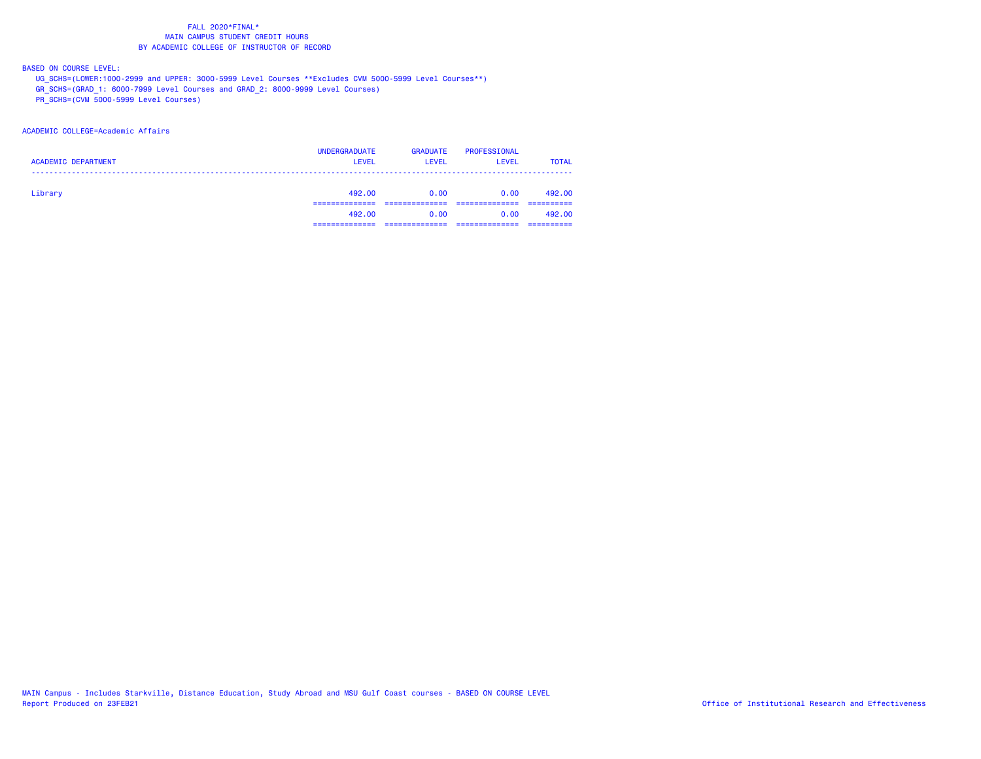## BASED ON COURSE LEVEL:

UG\_SCHS=(LOWER:1000-2999 and UPPER: 3000-5999 Level Courses \*\*Excludes CVM 5000-5999 Level Courses\*\*)

GR\_SCHS=(GRAD\_1: 6000-7999 Level Courses and GRAD\_2: 8000-9999 Level Courses)

PR\_SCHS=(CVM 5000-5999 Level Courses)

## ACADEMIC COLLEGE=Academic Affairs

| <b>ACADEMIC DEPARTMENT</b> | <b>UNDERGRADUATE</b><br><b>LEVEL</b> | <b>GRADUATE</b><br><b>LEVEL</b> | PROFESSIONAL<br><b>LEVEL</b> | <b>TOTAL</b> |
|----------------------------|--------------------------------------|---------------------------------|------------------------------|--------------|
| Library                    | 492,00                               | 0.00                            | 0.00                         | 492.00       |
|                            | 492,00                               | 0.00                            | 0.00                         | 492.00       |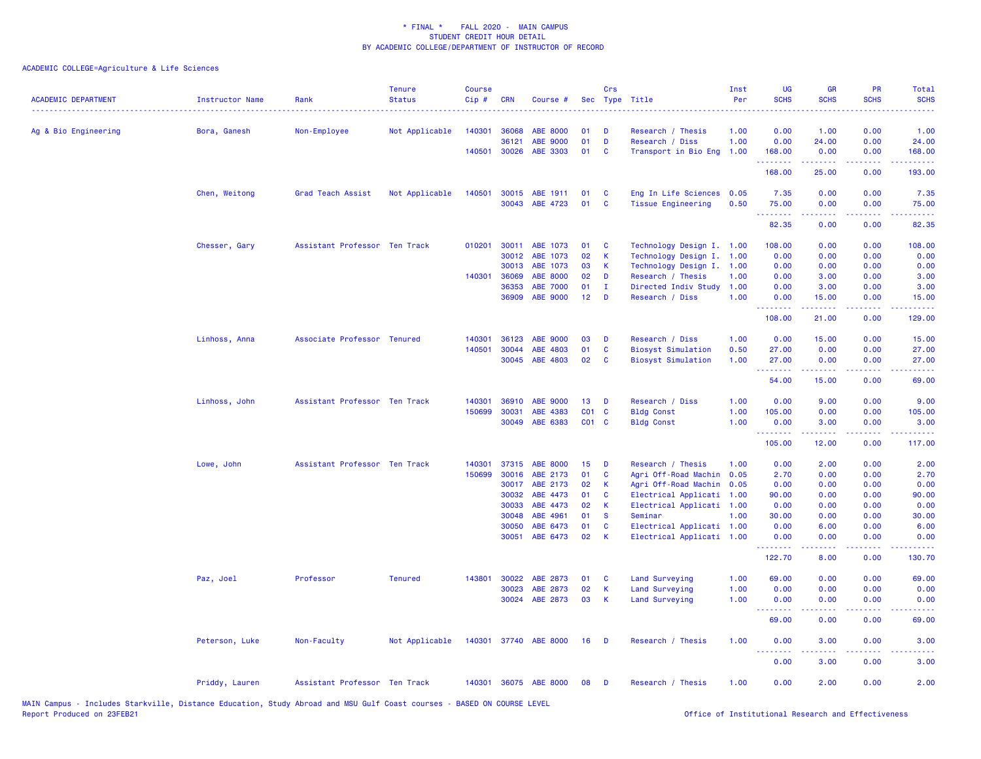| <b>ACADEMIC DEPARTMENT</b> | <b>Instructor Name</b> | Rank                          | <b>Tenure</b><br><b>Status</b> | <b>Course</b><br>Cip# | <b>CRN</b>     | Course #                    | <b>Sec</b>        | Crs          | Type Title                                   | Inst<br>Per | UG<br><b>SCHS</b> | GR<br><b>SCHS</b>   | PR<br><b>SCHS</b>                                                                                                                 | Total<br><b>SCHS</b>                                                                                                               |
|----------------------------|------------------------|-------------------------------|--------------------------------|-----------------------|----------------|-----------------------------|-------------------|--------------|----------------------------------------------|-------------|-------------------|---------------------|-----------------------------------------------------------------------------------------------------------------------------------|------------------------------------------------------------------------------------------------------------------------------------|
| Ag & Bio Engineering       | Bora, Ganesh           | Non-Employee                  | Not Applicable                 | 140301                | 36068          | <b>ABE 8000</b>             | 01                | D            | Research / Thesis                            | 1.00        | 0.00              | 1.00                | 0.00                                                                                                                              | 1.00                                                                                                                               |
|                            |                        |                               |                                | 140501                | 36121<br>30026 | <b>ABE 9000</b><br>ABE 3303 | 01<br>01          | D<br>C       | Research / Diss<br>Transport in Bio Eng 1.00 | 1.00        | 0.00<br>168.00    | 24.00<br>0.00       | 0.00<br>0.00                                                                                                                      | 24.00<br>168.00                                                                                                                    |
|                            |                        |                               |                                |                       |                |                             |                   |              |                                              |             | .<br>168.00       | د د د د د<br>25.00  | ولالات<br>0.00                                                                                                                    | 193.00                                                                                                                             |
|                            | Chen, Weitong          | Grad Teach Assist             | Not Applicable                 | 140501                |                | 30015 ABE 1911              | 01                | C            | Eng In Life Sciences 0.05                    |             | 7.35              | 0.00                | 0.00                                                                                                                              | 7.35                                                                                                                               |
|                            |                        |                               |                                |                       | 30043          | ABE 4723                    | 01                | C            | <b>Tissue Engineering</b>                    | 0.50        | 75.00<br>.        | 0.00<br>.           | 0.00<br>المتمامين                                                                                                                 | 75.00<br>$\sim$ $\sim$ $\sim$ $\sim$ $\sim$                                                                                        |
|                            |                        |                               |                                |                       |                |                             |                   |              |                                              |             | 82.35             | 0.00                | 0.00                                                                                                                              | 82.35                                                                                                                              |
|                            | Chesser, Gary          | Assistant Professor Ten Track |                                | 010201                | 30011          | ABE 1073                    | 01                | C            | Technology Design I. 1.00                    |             | 108.00            | 0.00                | 0.00                                                                                                                              | 108.00                                                                                                                             |
|                            |                        |                               |                                |                       | 30012          | ABE 1073                    | 02                | К            | Technology Design I.                         | 1.00        | 0.00              | 0.00                | 0.00                                                                                                                              | 0.00                                                                                                                               |
|                            |                        |                               |                                |                       | 30013          | ABE 1073                    | 03                | K            | Technology Design I. 1.00                    |             | 0.00              | 0.00                | 0.00                                                                                                                              | 0.00                                                                                                                               |
|                            |                        |                               |                                | 140301                | 36069          | ABE 8000                    | 02                | D            | Research / Thesis                            | 1.00        | 0.00              | 3.00                | 0.00                                                                                                                              | 3.00                                                                                                                               |
|                            |                        |                               |                                |                       | 36353          | <b>ABE 7000</b>             | 01                | $\mathbf I$  | Directed Indiv Study                         | 1.00        | 0.00              | 3.00                | 0.00                                                                                                                              | 3.00                                                                                                                               |
|                            |                        |                               |                                |                       | 36909          | ABE 9000                    | 12 <sub>2</sub>   | D            | Research / Diss                              | 1.00        | 0.00<br>.         | 15.00<br>.          | 0.00<br>$\frac{1}{2} \left( \frac{1}{2} \right) \left( \frac{1}{2} \right) \left( \frac{1}{2} \right) \left( \frac{1}{2} \right)$ | 15.00<br>$\frac{1}{2} \left( \frac{1}{2} \right) \left( \frac{1}{2} \right) \left( \frac{1}{2} \right) \left( \frac{1}{2} \right)$ |
|                            |                        |                               |                                |                       |                |                             |                   |              |                                              |             | 108.00            | 21.00               | 0.00                                                                                                                              | 129.00                                                                                                                             |
|                            | Linhoss, Anna          | Associate Professor Tenured   |                                | 140301                | 36123          | ABE 9000                    | 03                | D            | Research / Diss                              | 1.00        | 0.00              | 15.00               | 0.00                                                                                                                              | 15.00                                                                                                                              |
|                            |                        |                               |                                | 140501                | 30044          | ABE 4803                    | 01                | $\mathbf c$  | <b>Biosyst Simulation</b>                    | 0.50        | 27.00             | 0.00                | 0.00                                                                                                                              | 27.00                                                                                                                              |
|                            |                        |                               |                                |                       | 30045          | ABE 4803                    | 02                | C            | <b>Biosyst Simulation</b>                    | 1.00        | 27.00<br>.        | 0.00                | 0.00                                                                                                                              | 27.00                                                                                                                              |
|                            |                        |                               |                                |                       |                |                             |                   |              |                                              |             | 54.00             | 15.00               | 0.00                                                                                                                              | 69.00                                                                                                                              |
|                            | Linhoss, John          | Assistant Professor Ten Track |                                | 140301                | 36910          | ABE 9000                    | 13                | D            | Research / Diss                              | 1.00        | 0.00              | 9.00                | 0.00                                                                                                                              | 9.00                                                                                                                               |
|                            |                        |                               |                                | 150699                | 30031          | ABE 4383                    | CO <sub>1</sub>   | $\mathbf{C}$ | <b>Bldg Const</b>                            | 1.00        | 105.00            | 0.00                | 0.00                                                                                                                              | 105.00                                                                                                                             |
|                            |                        |                               |                                |                       | 30049          | ABE 6383                    | CO <sub>1</sub> C |              | <b>Bldg Const</b>                            | 1.00        | 0.00<br>.         | 3.00<br>$- - - - -$ | 0.00<br>.                                                                                                                         | 3.00<br>$- - - - -$                                                                                                                |
|                            |                        |                               |                                |                       |                |                             |                   |              |                                              |             | 105.00            | 12.00               | 0.00                                                                                                                              | 117.00                                                                                                                             |
|                            | Lowe, John             | Assistant Professor Ten Track |                                | 140301                | 37315          | <b>ABE 8000</b>             | 15                | D            | Research / Thesis                            | 1.00        | 0.00              | 2.00                | 0.00                                                                                                                              | 2.00                                                                                                                               |
|                            |                        |                               |                                | 150699                | 30016          | ABE 2173                    | 01                | C            | Agri Off-Road Machin                         | 0.05        | 2.70              | 0.00                | 0.00                                                                                                                              | 2.70                                                                                                                               |
|                            |                        |                               |                                |                       | 30017          | ABE 2173                    | 02                | К            | Agri Off-Road Machin                         | 0.05        | 0.00              | 0.00                | 0.00                                                                                                                              | 0.00                                                                                                                               |
|                            |                        |                               |                                |                       | 30032          | ABE 4473                    | 01                | C            | Electrical Applicati                         | 1.00        | 90.00             | 0.00                | 0.00                                                                                                                              | 90.00                                                                                                                              |
|                            |                        |                               |                                |                       | 30033          | ABE 4473                    | 02                | К            | Electrical Applicati                         | 1.00        | 0.00              | 0.00                | 0.00                                                                                                                              | 0.00                                                                                                                               |
|                            |                        |                               |                                |                       | 30048          | ABE 4961                    | 01                | <b>S</b>     | Seminar                                      | 1.00        | 30.00             | 0.00                | 0.00                                                                                                                              | 30.00                                                                                                                              |
|                            |                        |                               |                                |                       | 30050          | ABE 6473                    | 01                | C            | Electrical Applicati 1.00                    |             | 0.00              | 6.00                | 0.00                                                                                                                              | 6.00                                                                                                                               |
|                            |                        |                               |                                |                       | 30051          | ABE 6473                    | 02                | К            | Electrical Applicati 1.00                    |             | 0.00<br>.         | 0.00<br>-----       | 0.00<br>.                                                                                                                         | 0.00<br>.                                                                                                                          |
|                            |                        |                               |                                |                       |                |                             |                   |              |                                              |             | 122.70            | 8.00                | 0.00                                                                                                                              | 130.70                                                                                                                             |
|                            | Paz, Joel              | Professor                     | <b>Tenured</b>                 | 143801                | 30022          | ABE 2873                    | 01                | C            | Land Surveying                               | 1.00        | 69.00             | 0.00                | 0.00                                                                                                                              | 69.00                                                                                                                              |
|                            |                        |                               |                                |                       | 30023          | ABE 2873                    | 02                | K            | Land Surveying                               | 1.00        | 0.00              | 0.00                | 0.00                                                                                                                              | 0.00                                                                                                                               |
|                            |                        |                               |                                |                       | 30024          | ABE 2873                    | 03                | K            | Land Surveying                               | 1.00        | 0.00<br>.         | 0.00                | 0.00                                                                                                                              | 0.00                                                                                                                               |
|                            |                        |                               |                                |                       |                |                             |                   |              |                                              |             | 69.00             | 0.00                | 0.00                                                                                                                              | 69.00                                                                                                                              |
|                            | Peterson, Luke         | Non-Faculty                   | Not Applicable                 |                       |                | 140301 37740 ABE 8000       | 16                | D            | Research / Thesis                            | 1.00        | 0.00              | 3.00                | 0.00                                                                                                                              | 3.00                                                                                                                               |
|                            |                        |                               |                                |                       |                |                             |                   |              |                                              |             | 0.00              | 3.00                | 0.00                                                                                                                              | 3.00                                                                                                                               |
|                            | Priddy, Lauren         | Assistant Professor Ten Track |                                |                       |                | 140301 36075 ABE 8000       | 08                | D            | Research / Thesis                            | 1.00        | 0.00              | 2.00                | 0.00                                                                                                                              | 2.00                                                                                                                               |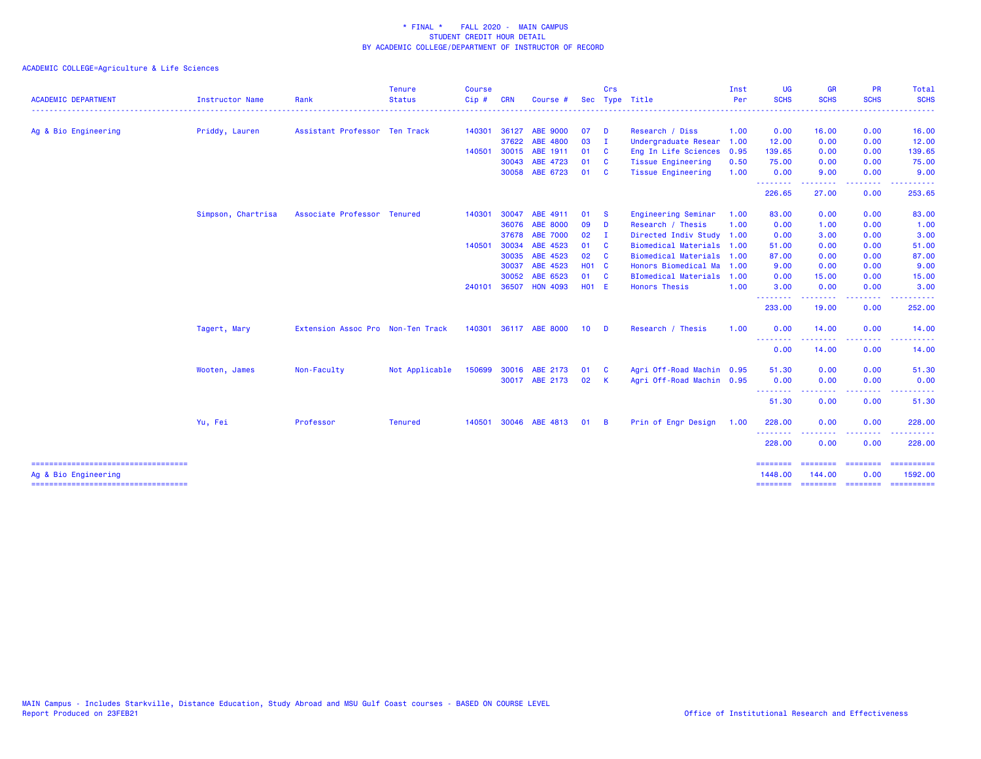| <b>ACADEMIC DEPARTMENT</b>                                    | <b>Instructor Name</b> | Rank                              | <b>Tenure</b><br><b>Status</b> | <b>Course</b><br>Cip# | <b>CRN</b> | Course #              |       | Crs          | Sec Type Title              | Inst<br>Per | UG<br><b>SCHS</b>    | <b>GR</b><br><b>SCHS</b>                                                                                                                                      | <b>PR</b><br><b>SCHS</b>                                                                                                          | Total<br><b>SCHS</b>                                                                                                                                                                                                                                                                                                                                                                                                                                                                              |
|---------------------------------------------------------------|------------------------|-----------------------------------|--------------------------------|-----------------------|------------|-----------------------|-------|--------------|-----------------------------|-------------|----------------------|---------------------------------------------------------------------------------------------------------------------------------------------------------------|-----------------------------------------------------------------------------------------------------------------------------------|---------------------------------------------------------------------------------------------------------------------------------------------------------------------------------------------------------------------------------------------------------------------------------------------------------------------------------------------------------------------------------------------------------------------------------------------------------------------------------------------------|
| Ag & Bio Engineering                                          | Priddy, Lauren         | Assistant Professor Ten Track     |                                | 140301                | 36127      | <b>ABE 9000</b>       | 07    | <b>D</b>     | Research / Diss             | 1.00        | 0.00                 | 16.00                                                                                                                                                         | 0.00                                                                                                                              | 16.00                                                                                                                                                                                                                                                                                                                                                                                                                                                                                             |
|                                                               |                        |                                   |                                |                       | 37622      | ABE 4800              | 03    | $\mathbf{I}$ | Undergraduate Resear        | 1.00        | 12.00                | 0.00                                                                                                                                                          | 0.00                                                                                                                              | 12.00                                                                                                                                                                                                                                                                                                                                                                                                                                                                                             |
|                                                               |                        |                                   |                                | 140501                | 30015      | ABE 1911              | 01    | <b>C</b>     | Eng In Life Sciences        | 0.95        | 139.65               | 0.00                                                                                                                                                          | 0.00                                                                                                                              | 139.65                                                                                                                                                                                                                                                                                                                                                                                                                                                                                            |
|                                                               |                        |                                   |                                |                       | 30043      | ABE 4723              | 01    | <b>C</b>     | <b>Tissue Engineering</b>   | 0.50        | 75.00                | 0.00                                                                                                                                                          | 0.00                                                                                                                              | 75.00                                                                                                                                                                                                                                                                                                                                                                                                                                                                                             |
|                                                               |                        |                                   |                                |                       | 30058      | ABE 6723              | 01    | - C          | <b>Tissue Engineering</b>   | 1.00        | 0.00                 | 9.00                                                                                                                                                          | 0.00                                                                                                                              | 9.00                                                                                                                                                                                                                                                                                                                                                                                                                                                                                              |
|                                                               |                        |                                   |                                |                       |            |                       |       |              |                             |             | . <u>.</u><br>226.65 | 27.00                                                                                                                                                         | 0.00                                                                                                                              | 253.65                                                                                                                                                                                                                                                                                                                                                                                                                                                                                            |
|                                                               | Simpson, Chartrisa     | Associate Professor Tenured       |                                | 140301                | 30047      | ABE 4911              | 01    | - S          | Engineering Seminar         | 1.00        | 83.00                | 0.00                                                                                                                                                          | 0.00                                                                                                                              | 83.00                                                                                                                                                                                                                                                                                                                                                                                                                                                                                             |
|                                                               |                        |                                   |                                |                       | 36076      | <b>ABE 8000</b>       | 09    | <b>D</b>     | Research / Thesis           | 1.00        | 0.00                 | 1.00                                                                                                                                                          | 0.00                                                                                                                              | 1.00                                                                                                                                                                                                                                                                                                                                                                                                                                                                                              |
|                                                               |                        |                                   |                                |                       | 37678      | <b>ABE 7000</b>       | 02    | $\mathbf I$  | Directed Indiv Study 1.00   |             | 0.00                 | 3.00                                                                                                                                                          | 0.00                                                                                                                              | 3.00                                                                                                                                                                                                                                                                                                                                                                                                                                                                                              |
|                                                               |                        |                                   |                                | 140501                | 30034      | ABE 4523              | 01    | - C          | Biomedical Materials 1.00   |             | 51.00                | 0.00                                                                                                                                                          | 0.00                                                                                                                              | 51.00                                                                                                                                                                                                                                                                                                                                                                                                                                                                                             |
|                                                               |                        |                                   |                                |                       | 30035      | ABE 4523              | 02    | - C          | <b>Biomedical Materials</b> | 1.00        | 87.00                | 0.00                                                                                                                                                          | 0.00                                                                                                                              | 87.00                                                                                                                                                                                                                                                                                                                                                                                                                                                                                             |
|                                                               |                        |                                   |                                |                       | 30037      | ABE 4523              | H01 C |              | Honors Biomedical Ma        | 1.00        | 9.00                 | 0.00                                                                                                                                                          | 0.00                                                                                                                              | 9.00                                                                                                                                                                                                                                                                                                                                                                                                                                                                                              |
|                                                               |                        |                                   |                                |                       | 30052      | ABE 6523              | 01    | <b>C</b>     | <b>BIomedical Materials</b> | 1.00        | 0.00                 | 15.00                                                                                                                                                         | 0.00                                                                                                                              | 15.00                                                                                                                                                                                                                                                                                                                                                                                                                                                                                             |
|                                                               |                        |                                   |                                | 240101                | 36507      | <b>HON 4093</b>       | H01 E |              | Honors Thesis               | 1.00        | 3.00<br>.            | 0.00                                                                                                                                                          | 0.00<br>$\frac{1}{2} \left( \frac{1}{2} \right) \left( \frac{1}{2} \right) \left( \frac{1}{2} \right) \left( \frac{1}{2} \right)$ | 3.00                                                                                                                                                                                                                                                                                                                                                                                                                                                                                              |
|                                                               |                        |                                   |                                |                       |            |                       |       |              |                             |             | 233.00               | 19.00                                                                                                                                                         | 0.00                                                                                                                              | 252.00                                                                                                                                                                                                                                                                                                                                                                                                                                                                                            |
|                                                               | Tagert, Mary           | Extension Assoc Pro Non-Ten Track |                                |                       |            | 140301 36117 ABE 8000 | 10    | - D          | Research / Thesis           | 1.00        | 0.00                 | 14.00                                                                                                                                                         | 0.00                                                                                                                              | 14.00                                                                                                                                                                                                                                                                                                                                                                                                                                                                                             |
|                                                               |                        |                                   |                                |                       |            |                       |       |              |                             |             | --------<br>0.00     | $\frac{1}{2} \left( \frac{1}{2} \right) \left( \frac{1}{2} \right) \left( \frac{1}{2} \right) \left( \frac{1}{2} \right) \left( \frac{1}{2} \right)$<br>14.00 | .<br>0.00                                                                                                                         | 14.00                                                                                                                                                                                                                                                                                                                                                                                                                                                                                             |
|                                                               | Wooten, James          | Non-Faculty                       | Not Applicable                 | 150699                | 30016      | ABE 2173              | 01    | - C          | Agri Off-Road Machin 0.95   |             | 51.30                | 0.00                                                                                                                                                          | 0.00                                                                                                                              | 51.30                                                                                                                                                                                                                                                                                                                                                                                                                                                                                             |
|                                                               |                        |                                   |                                |                       |            | 30017 ABE 2173        | 02    | -K           | Agri Off-Road Machin 0.95   |             | 0.00                 | 0.00                                                                                                                                                          | 0.00                                                                                                                              | 0.00                                                                                                                                                                                                                                                                                                                                                                                                                                                                                              |
|                                                               |                        |                                   |                                |                       |            |                       |       |              |                             |             | --------<br>51.30    | .<br>0.00                                                                                                                                                     | .<br>0.00                                                                                                                         | .<br>51.30                                                                                                                                                                                                                                                                                                                                                                                                                                                                                        |
|                                                               | Yu, Fei                | Professor                         | <b>Tenured</b>                 | 140501                |            | 30046 ABE 4813        | 01    | - B          | Prin of Engr Design         | 1.00        | 228.00               | 0.00                                                                                                                                                          | 0.00                                                                                                                              | 228.00                                                                                                                                                                                                                                                                                                                                                                                                                                                                                            |
|                                                               |                        |                                   |                                |                       |            |                       |       |              |                             |             | .<br>228.00          | <b><i><u><u>AAAAA</u></u></i></b><br>0.00                                                                                                                     | .<br>0.00                                                                                                                         | .<br>228.00                                                                                                                                                                                                                                                                                                                                                                                                                                                                                       |
| ----------------------------------                            |                        |                                   |                                |                       |            |                       |       |              |                             |             | $=$ = = = = = = =    | $=$ =======                                                                                                                                                   | <b>ESSESSE</b>                                                                                                                    |                                                                                                                                                                                                                                                                                                                                                                                                                                                                                                   |
| Ag & Bio Engineering<br>===================================== |                        |                                   |                                |                       |            |                       |       |              |                             |             | 1448.00<br>========  | 144.00<br>$=$ ========                                                                                                                                        | 0.00<br>---------                                                                                                                 | 1592.00<br>$\begin{array}{cccccccccc} \multicolumn{2}{c}{} & \multicolumn{2}{c}{} & \multicolumn{2}{c}{} & \multicolumn{2}{c}{} & \multicolumn{2}{c}{} & \multicolumn{2}{c}{} & \multicolumn{2}{c}{} & \multicolumn{2}{c}{} & \multicolumn{2}{c}{} & \multicolumn{2}{c}{} & \multicolumn{2}{c}{} & \multicolumn{2}{c}{} & \multicolumn{2}{c}{} & \multicolumn{2}{c}{} & \multicolumn{2}{c}{} & \multicolumn{2}{c}{} & \multicolumn{2}{c}{} & \multicolumn{2}{c}{} & \multicolumn{2}{c}{} & \mult$ |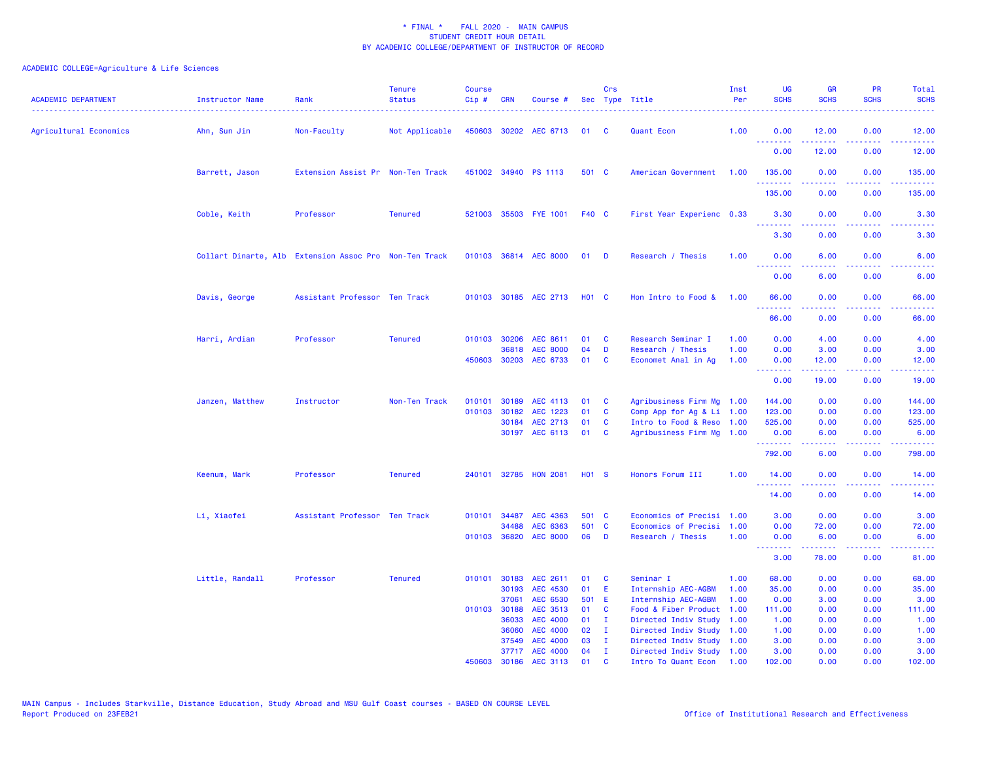| <b>ACADEMIC DEPARTMENT</b> | Instructor Name | Rank                                                   | <b>Tenure</b><br><b>Status</b> | <b>Course</b><br>Cip# | <b>CRN</b>     | Course #                           |              | Crs                          | Sec Type Title                                         | Inst<br>Per  | <b>UG</b><br><b>SCHS</b>                           | <b>GR</b><br><b>SCHS</b> | <b>PR</b><br><b>SCHS</b>                                                                               | Total<br><b>SCHS</b>                                                                                                              |
|----------------------------|-----------------|--------------------------------------------------------|--------------------------------|-----------------------|----------------|------------------------------------|--------------|------------------------------|--------------------------------------------------------|--------------|----------------------------------------------------|--------------------------|--------------------------------------------------------------------------------------------------------|-----------------------------------------------------------------------------------------------------------------------------------|
| Agricultural Economics     | Ahn, Sun Jin    | Non-Faculty                                            | Not Applicable                 |                       |                | 450603 30202 AEC 6713              | 01           | <b>C</b>                     | Quant Econ                                             | 1.00         | 0.00<br><u> - - - - - - - -</u>                    | 12.00<br>.               | 0.00<br>.                                                                                              | 12.00<br>.                                                                                                                        |
|                            |                 |                                                        |                                |                       |                |                                    |              |                              |                                                        |              | 0.00                                               | 12.00                    | 0.00                                                                                                   | 12.00                                                                                                                             |
|                            | Barrett, Jason  | Extension Assist Pr Non-Ten Track                      |                                |                       |                | 451002 34940 PS 1113               | 501 C        |                              | American Government                                    | 1.00         | 135.00                                             | 0.00                     | 0.00                                                                                                   | 135.00                                                                                                                            |
|                            |                 |                                                        |                                |                       |                |                                    |              |                              |                                                        |              | .<br>135.00                                        | 0.00                     | $\frac{1}{2} \left( \frac{1}{2} \right) \left( \frac{1}{2} \right) \left( \frac{1}{2} \right)$<br>0.00 | 222223<br>135.00                                                                                                                  |
|                            | Coble, Keith    | Professor                                              | <b>Tenured</b>                 |                       |                | 521003 35503 FYE 1001              | F40 C        |                              | First Year Experienc 0.33                              |              | 3.30                                               | 0.00                     | 0.00                                                                                                   | 3.30                                                                                                                              |
|                            |                 |                                                        |                                |                       |                |                                    |              |                              |                                                        |              | <b><i><u><u> - - - - - - -</u></u></i></b><br>3.30 | .<br>0.00                | 0.00                                                                                                   | 3.30                                                                                                                              |
|                            |                 | Collart Dinarte, Alb Extension Assoc Pro Non-Ten Track |                                |                       |                | 010103 36814 AEC 8000              | $01$ D       |                              | Research / Thesis                                      | 1.00         | 0.00                                               | 6.00                     | 0.00                                                                                                   | 6.00                                                                                                                              |
|                            |                 |                                                        |                                |                       |                |                                    |              |                              |                                                        |              | <b><i><u><u> - - - - - - -</u></u></i></b><br>0.00 | -----<br>6.00            | .<br>0.00                                                                                              | $\frac{1}{2} \left( \frac{1}{2} \right) \left( \frac{1}{2} \right) \left( \frac{1}{2} \right) \left( \frac{1}{2} \right)$<br>6.00 |
|                            | Davis, George   | Assistant Professor Ten Track                          |                                |                       |                | 010103 30185 AEC 2713              | <b>HO1 C</b> |                              | Hon Intro to Food &                                    | 1.00         | 66.00<br><u>.</u>                                  | 0.00<br>.                | 0.00<br>.                                                                                              | 66.00<br>.                                                                                                                        |
|                            |                 |                                                        |                                |                       |                |                                    |              |                              |                                                        |              | 66.00                                              | 0.00                     | 0.00                                                                                                   | 66.00                                                                                                                             |
|                            | Harri, Ardian   | Professor                                              | <b>Tenured</b>                 |                       | 010103 30206   | AEC 8611                           | 01           | <b>C</b>                     | Research Seminar I                                     | 1.00         | 0.00                                               | 4.00                     | 0.00                                                                                                   | 4.00                                                                                                                              |
|                            |                 |                                                        |                                | 450603                | 36818<br>30203 | <b>AEC 8000</b><br>AEC 6733        | 04<br>01     | D<br>C                       | Research / Thesis<br>Economet Anal in Ag               | 1.00<br>1.00 | 0.00<br>0.00                                       | 3.00<br>12.00            | 0.00<br>0.00                                                                                           | 3.00<br>12.00                                                                                                                     |
|                            |                 |                                                        |                                |                       |                |                                    |              |                              |                                                        |              | <b><i><u><u> - - - - - - -</u></u></i></b>         | .                        | .                                                                                                      | .                                                                                                                                 |
|                            |                 |                                                        |                                |                       |                |                                    |              |                              |                                                        |              | 0.00                                               | 19.00                    | 0.00                                                                                                   | 19.00                                                                                                                             |
|                            | Janzen, Matthew | Instructor                                             | Non-Ten Track                  | 010101                | 30189          | AEC 4113                           | 01           | <b>C</b>                     | Agribusiness Firm Mg 1.00                              |              | 144.00                                             | 0.00                     | 0.00                                                                                                   | 144.00                                                                                                                            |
|                            |                 |                                                        |                                | 010103                | 30182          | AEC 1223                           | 01           | <b>C</b>                     | Comp App for Ag & Li 1.00                              |              | 123.00                                             | 0.00                     | 0.00                                                                                                   | 123.00                                                                                                                            |
|                            |                 |                                                        |                                |                       | 30184          | AEC 2713                           | 01           | C                            | Intro to Food & Reso 1.00                              |              | 525.00                                             | 0.00                     | 0.00                                                                                                   | 525.00                                                                                                                            |
|                            |                 |                                                        |                                |                       |                | 30197 AEC 6113                     | 01           | <b>C</b>                     | Agribusiness Firm Mg 1.00                              |              | 0.00<br>.                                          | 6.00<br>-----            | 0.00<br>.                                                                                              | 6.00<br>المتمامين                                                                                                                 |
|                            |                 |                                                        |                                |                       |                |                                    |              |                              |                                                        |              | 792.00                                             | 6.00                     | 0.00                                                                                                   | 798.00                                                                                                                            |
|                            | Keenum, Mark    | Professor                                              | Tenured                        |                       |                | 240101 32785 HON 2081              | <b>HO1 S</b> |                              | Honors Forum III                                       | 1.00         | 14.00                                              | 0.00                     | 0.00                                                                                                   | 14.00                                                                                                                             |
|                            |                 |                                                        |                                |                       |                |                                    |              |                              |                                                        |              | 14.00                                              | 0.00                     | 0.00                                                                                                   | 14.00                                                                                                                             |
|                            | Li, Xiaofei     | Assistant Professor Ten Track                          |                                | 010101                | 34487          | AEC 4363                           | 501 C        |                              | Economics of Precisi 1.00                              |              | 3.00                                               | 0.00                     | 0.00                                                                                                   | 3.00                                                                                                                              |
|                            |                 |                                                        |                                |                       | 34488          | AEC 6363                           | 501 C        |                              | Economics of Precisi                                   | 1.00         | 0.00                                               | 72.00                    | 0.00                                                                                                   | 72.00                                                                                                                             |
|                            |                 |                                                        |                                |                       |                | 010103 36820 AEC 8000              | 06           | D                            | Research / Thesis                                      | 1.00         | 0.00<br><b></b>                                    | 6.00<br>22222            | 0.00<br>$\sim$ $\sim$ $\sim$ $\sim$                                                                    | 6.00                                                                                                                              |
|                            |                 |                                                        |                                |                       |                |                                    |              |                              |                                                        |              | 3.00                                               | 78.00                    | 0.00                                                                                                   | 81.00                                                                                                                             |
|                            | Little, Randall | Professor                                              | <b>Tenured</b>                 | 010101                | 30183          | AEC 2611                           | 01           | <b>C</b>                     | Seminar I                                              | 1.00         | 68.00                                              | 0.00                     | 0.00                                                                                                   | 68.00                                                                                                                             |
|                            |                 |                                                        |                                |                       | 30193          | <b>AEC 4530</b>                    | 01           | E                            | Internship AEC-AGBM                                    | 1.00         | 35.00                                              | 0.00                     | 0.00                                                                                                   | 35.00                                                                                                                             |
|                            |                 |                                                        |                                |                       | 37061          | AEC 6530                           | 501 E        |                              | Internship AEC-AGBM                                    | 1.00         | 0.00                                               | 3.00                     | 0.00                                                                                                   | 3.00                                                                                                                              |
|                            |                 |                                                        |                                |                       | 010103 30188   | AEC 3513                           | 01           | C                            | Food & Fiber Product                                   | 1.00         | 111.00                                             | 0.00                     | 0.00                                                                                                   | 111.00                                                                                                                            |
|                            |                 |                                                        |                                |                       | 36033          | <b>AEC 4000</b><br><b>AEC 4000</b> | 01<br>02     | $\mathbf{I}$                 | Directed Indiv Study                                   | 1.00         | 1.00                                               | 0.00                     | 0.00                                                                                                   | 1.00                                                                                                                              |
|                            |                 |                                                        |                                |                       | 36060<br>37549 | <b>AEC 4000</b>                    | 03           | $\mathbf{I}$<br>$\mathbf{I}$ | Directed Indiv Study 1.00<br>Directed Indiv Study 1.00 |              | 1.00<br>3.00                                       | 0.00<br>0.00             | 0.00<br>0.00                                                                                           | 1.00<br>3.00                                                                                                                      |
|                            |                 |                                                        |                                |                       |                | 37717 AEC 4000                     | 04           | $\mathbf{I}$                 | Directed Indiv Study 1.00                              |              | 3.00                                               | 0.00                     | 0.00                                                                                                   | 3.00                                                                                                                              |
|                            |                 |                                                        |                                | 450603                | 30186          | AEC 3113                           | 01           | <b>C</b>                     | Intro To Quant Econ                                    | 1.00         | 102.00                                             | 0.00                     | 0.00                                                                                                   | 102.00                                                                                                                            |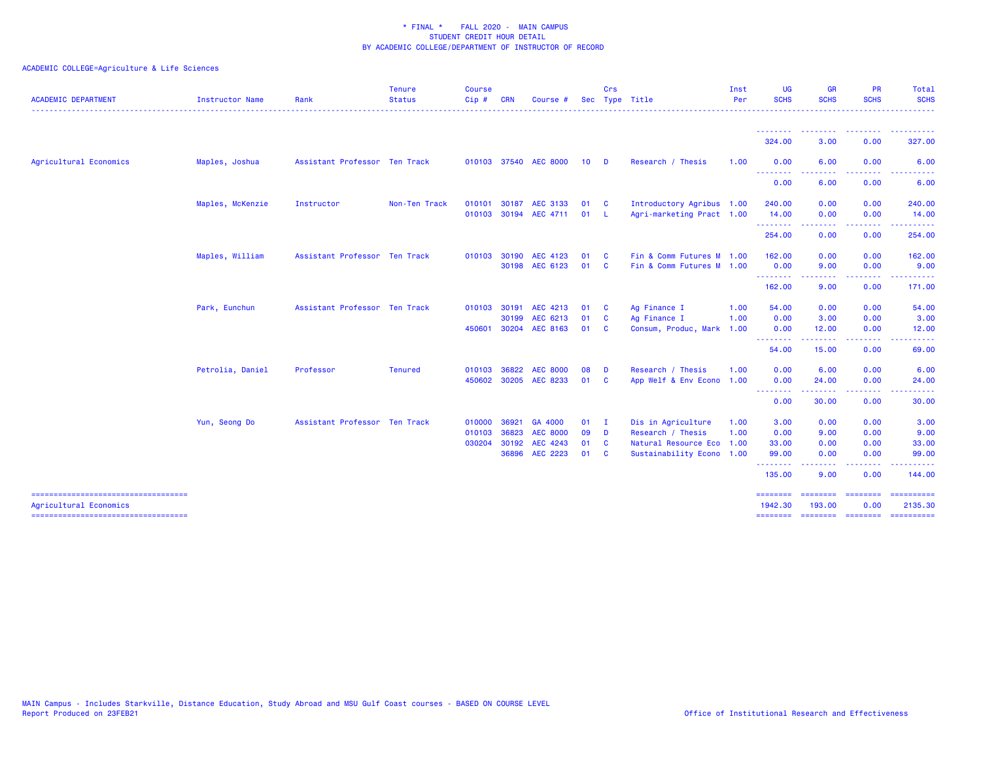| <b>ACADEMIC DEPARTMENT</b>                                    | Instructor Name  | Rank                          | <b>Tenure</b><br><b>Status</b> | <b>Course</b><br>Cip# | <b>CRN</b> | Course                |      | Crs<br>Sec Type Title |                           | Inst<br>Per | <b>UG</b><br><b>SCHS</b><br>. | <b>GR</b><br><b>SCHS</b> | <b>PR</b><br><b>SCHS</b> | Total<br><b>SCHS</b><br>. <u>.</u> |
|---------------------------------------------------------------|------------------|-------------------------------|--------------------------------|-----------------------|------------|-----------------------|------|-----------------------|---------------------------|-------------|-------------------------------|--------------------------|--------------------------|------------------------------------|
|                                                               |                  |                               |                                |                       |            |                       |      |                       |                           |             | <u> - - - - - - - -</u>       | <u> - - - - - - - -</u>  | .                        | .                                  |
|                                                               |                  |                               |                                |                       |            |                       |      |                       |                           |             | 324.00                        | 3.00                     | 0.00                     | 327.00                             |
| Agricultural Economics                                        | Maples, Joshua   | Assistant Professor Ten Track |                                |                       |            | 010103 37540 AEC 8000 | 10   | $\blacksquare$        | Research / Thesis         | 1.00        | 0.00<br>--------              | 6.00                     | 0.00                     | 6.00                               |
|                                                               |                  |                               |                                |                       |            |                       |      |                       |                           |             | 0.00                          | 6.00                     | 0.00                     | 6.00                               |
|                                                               | Maples, McKenzie | Instructor                    | Non-Ten Track                  | 010101                | 30187      | AEC 3133              | 01   | $\mathbf{C}$          | Introductory Agribus 1.00 |             | 240.00                        | 0.00                     | 0.00                     | 240.00                             |
|                                                               |                  |                               |                                | 010103                |            | 30194 AEC 4711        | 01   | - L                   | Agri-marketing Pract 1.00 |             | 14.00                         | 0.00                     | 0.00                     | 14.00                              |
|                                                               |                  |                               |                                |                       |            |                       |      |                       |                           |             | --------<br>254.00            | .<br>0.00                | .<br>0.00                | 254.00                             |
|                                                               | Maples, William  | Assistant Professor Ten Track |                                | 010103 30190          |            | AEC 4123              | 01   | $\mathbf{C}$          | Fin & Comm Futures M 1.00 |             | 162.00                        | 0.00                     | 0.00                     | 162.00                             |
|                                                               |                  |                               |                                |                       |            | 30198 AEC 6123        | 01 C |                       | Fin & Comm Futures M 1.00 |             | 0.00                          | 9.00                     | 0.00                     | 9.00                               |
|                                                               |                  |                               |                                |                       |            |                       |      |                       |                           |             | <u>.</u><br>162.00            | 9.00                     | 0.00                     | 171.00                             |
|                                                               | Park, Eunchun    | Assistant Professor Ten Track |                                | 010103 30191          |            | AEC 4213              | 01   | $\mathbf{C}$          | Ag Finance I              | 1.00        | 54.00                         | 0.00                     | 0.00                     | 54.00                              |
|                                                               |                  |                               |                                |                       | 30199      | AEC 6213              | 01   | <b>C</b>              | Ag Finance I              | 1.00        | 0.00                          | 3.00                     | 0.00                     | 3.00                               |
|                                                               |                  |                               |                                | 450601                |            | 30204 AEC 8163        | 01   | <b>C</b>              | Consum, Produc, Mark 1.00 |             | 0.00                          | 12.00                    | 0.00                     | 12.00                              |
|                                                               |                  |                               |                                |                       |            |                       |      |                       |                           |             | --------<br>54.00             | 15.00                    | 0.00                     | 69.00                              |
|                                                               | Petrolia, Daniel | Professor                     | <b>Tenured</b>                 | 010103                | 36822      | <b>AEC 8000</b>       | 08   | <b>D</b>              | Research / Thesis         | 1.00        | 0.00                          | 6.00                     | 0.00                     | 6.00                               |
|                                                               |                  |                               |                                |                       |            | 450602 30205 AEC 8233 | 01   | $\mathbf{C}$          | App Welf & Env Econo 1.00 |             | 0.00                          | 24.00                    | 0.00                     | 24.00                              |
|                                                               |                  |                               |                                |                       |            |                       |      |                       |                           |             | --------<br>0.00              | ------<br>30.00          | -----<br>0.00            | 30.00                              |
|                                                               | Yun, Seong Do    | Assistant Professor Ten Track |                                | 010000                | 36921      | GA 4000               | 01   | $\mathbf{I}$          | Dis in Agriculture        | 1.00        | 3.00                          | 0.00                     | 0.00                     | 3.00                               |
|                                                               |                  |                               |                                | 010103                | 36823      | <b>AEC 8000</b>       | 09   | $\blacksquare$        | Research / Thesis         | 1.00        | 0.00                          | 9.00                     | 0.00                     | 9.00                               |
|                                                               |                  |                               |                                | 030204 30192          |            | AEC 4243              | 01   | $\mathbf{C}$          | Natural Resource Eco 1.00 |             | 33.00                         | 0.00                     | 0.00                     | 33.00                              |
|                                                               |                  |                               |                                |                       | 36896      | AEC 2223              | 01   | $\mathbf{C}$          | Sustainability Econo 1.00 |             | 99.00<br>--------             | 0.00<br>. <b>.</b> .     | 0.00                     | 99.00                              |
|                                                               |                  |                               |                                |                       |            |                       |      |                       |                           |             | 135.00                        | 9.00                     | 0.00                     | 144.00                             |
| -----------------------------------<br>Agricultural Economics |                  |                               |                                |                       |            |                       |      |                       |                           |             | ========<br>1942.30           | ------<br>193,00         | ---------<br>0.00        | ==========<br>2135.30              |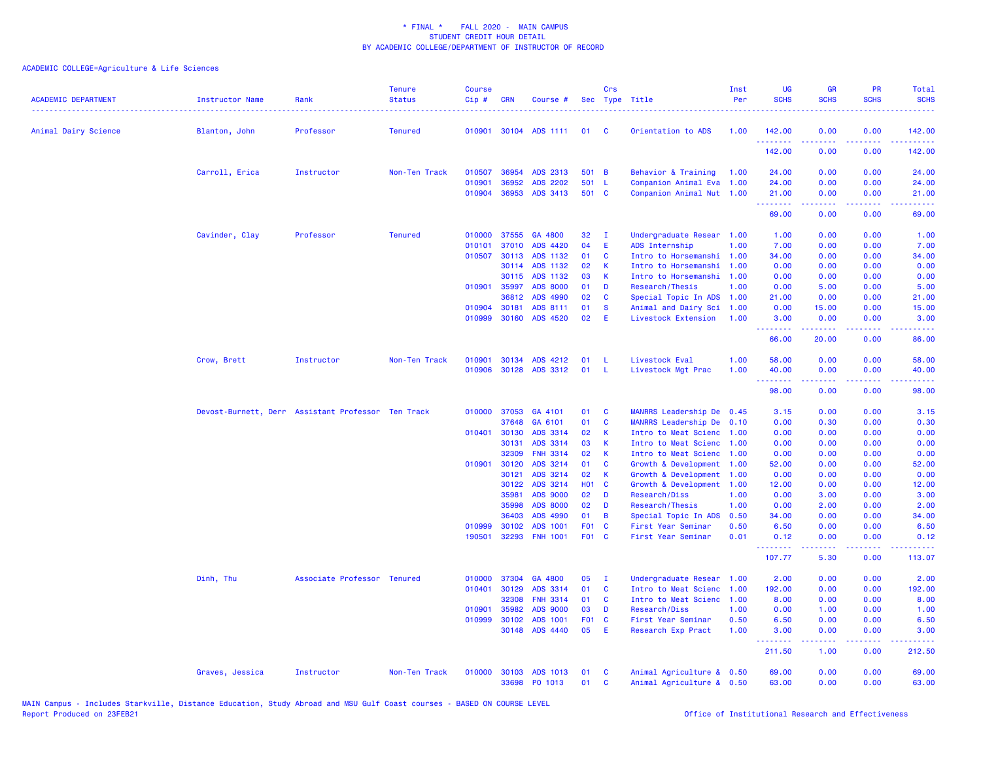| <b>ACADEMIC DEPARTMENT</b> | <b>Instructor Name</b>                             | Rank                        | <b>Tenure</b><br><b>Status</b> | <b>Course</b><br>Cip# | <b>CRN</b>     | Course #                    |                     | Crs            | Sec Type Title                           | Inst<br>Per  | <b>UG</b><br><b>SCHS</b>        | <b>GR</b><br><b>SCHS</b>                                                                                                                                     | <b>PR</b><br><b>SCHS</b>                                                                                                          | Total<br><b>SCHS</b> |
|----------------------------|----------------------------------------------------|-----------------------------|--------------------------------|-----------------------|----------------|-----------------------------|---------------------|----------------|------------------------------------------|--------------|---------------------------------|--------------------------------------------------------------------------------------------------------------------------------------------------------------|-----------------------------------------------------------------------------------------------------------------------------------|----------------------|
| Animal Dairy Science       | Blanton, John                                      | Professor                   | <b>Tenured</b>                 | 010901                |                | 30104 ADS 1111              | 01                  | - C            | Orientation to ADS                       | 1.00         | 142.00                          | 0.00                                                                                                                                                         | 0.00                                                                                                                              | 142.00               |
|                            |                                                    |                             |                                |                       |                |                             |                     |                |                                          |              | 142.00                          | 0.00                                                                                                                                                         | 0.00                                                                                                                              | 142.00               |
|                            | Carroll, Erica                                     | Instructor                  | Non-Ten Track                  | 010507                | 36954          | ADS 2313                    | 501                 | $\overline{B}$ | Behavior & Training                      | 1.00         | 24.00                           | 0.00                                                                                                                                                         | 0.00                                                                                                                              | 24.00                |
|                            |                                                    |                             |                                | 010901                | 36952          | <b>ADS 2202</b>             | 501                 | - L            | Companion Animal Eva                     | 1.00         | 24.00                           | 0.00                                                                                                                                                         | 0.00                                                                                                                              | 24.00                |
|                            |                                                    |                             |                                | 010904                | 36953          | ADS 3413                    | 501 C               |                | Companion Animal Nut 1.00                |              | 21.00<br>.                      | 0.00<br>. <b>.</b>                                                                                                                                           | 0.00<br>.                                                                                                                         | 21.00<br>.           |
|                            |                                                    |                             |                                |                       |                |                             |                     |                |                                          |              | 69.00                           | 0.00                                                                                                                                                         | 0.00                                                                                                                              | 69.00                |
|                            | Cavinder, Clay                                     | Professor                   | <b>Tenured</b>                 | 010000                | 37555          | GA 4800                     | 32                  | $\mathbf{I}$   | Undergraduate Resear                     | 1.00         | 1.00                            | 0.00                                                                                                                                                         | 0.00                                                                                                                              | 1.00                 |
|                            |                                                    |                             |                                | 010101                | 37010          | ADS 4420                    | 04                  | Ε              | ADS Internship                           | 1.00         | 7.00                            | 0.00                                                                                                                                                         | 0.00                                                                                                                              | 7.00                 |
|                            |                                                    |                             |                                | 010507                | 30113          | ADS 1132                    | 01                  | C              | Intro to Horsemanshi                     | 1.00         | 34.00                           | 0.00                                                                                                                                                         | 0.00                                                                                                                              | 34.00                |
|                            |                                                    |                             |                                |                       | 30114          | ADS 1132                    | 02                  | К              | Intro to Horsemanshi                     | 1.00         | 0.00                            | 0.00                                                                                                                                                         | 0.00                                                                                                                              | 0.00                 |
|                            |                                                    |                             |                                |                       | 30115          | ADS 1132                    | 03                  | K              | Intro to Horsemanshi                     | 1.00         | 0.00                            | 0.00                                                                                                                                                         | 0.00                                                                                                                              | 0.00                 |
|                            |                                                    |                             |                                | 010901                | 35997          | <b>ADS 8000</b>             | 01                  | D              | Research/Thesis                          | 1.00         | 0.00                            | 5.00                                                                                                                                                         | 0.00                                                                                                                              | 5.00                 |
|                            |                                                    |                             |                                |                       | 36812          | ADS 4990                    | 02                  | C              | Special Topic In ADS                     | 1.00         | 21.00                           | 0.00                                                                                                                                                         | 0.00                                                                                                                              | 21.00                |
|                            |                                                    |                             |                                | 010904                | 30181          | ADS 8111                    | 01                  | <b>S</b><br>Ε  | Animal and Dairy Sci                     | 1.00         | 0.00                            | 15.00                                                                                                                                                        | 0.00                                                                                                                              | 15.00                |
|                            |                                                    |                             |                                | 010999                | 30160          | ADS 4520                    | 02                  |                | Livestock Extension                      | 1.00         | 3.00<br>.                       | 0.00<br>$\frac{1}{2} \left( \frac{1}{2} \right) \left( \frac{1}{2} \right) \left( \frac{1}{2} \right) \left( \frac{1}{2} \right) \left( \frac{1}{2} \right)$ | 0.00<br>.                                                                                                                         | 3.00<br>.            |
|                            |                                                    |                             |                                |                       |                |                             |                     |                |                                          |              | 66.00                           | 20.00                                                                                                                                                        | 0.00                                                                                                                              | 86.00                |
|                            | Crow, Brett                                        | Instructor                  | Non-Ten Track                  | 010901                | 30134          | ADS 4212                    | 01                  | L              | Livestock Eval                           | 1.00         | 58.00                           | 0.00                                                                                                                                                         | 0.00                                                                                                                              | 58.00                |
|                            |                                                    |                             |                                | 010906                | 30128          | ADS 3312                    | 01                  | L              | Livestock Mgt Prac                       | 1.00         | 40.00                           | 0.00                                                                                                                                                         | 0.00                                                                                                                              | 40.00                |
|                            |                                                    |                             |                                |                       |                |                             |                     |                |                                          |              | .<br>98.00                      | بالأباب<br>0.00                                                                                                                                              | $\sim$ $\sim$ $\sim$ $\sim$<br>0.00                                                                                               | المستبدا<br>98.00    |
|                            | Devost-Burnett, Derr Assistant Professor Ten Track |                             |                                | 010000                | 37053          | GA 4101                     | 01                  | C              | MANRRS Leadership De 0.45                |              | 3.15                            | 0.00                                                                                                                                                         | 0.00                                                                                                                              | 3.15                 |
|                            |                                                    |                             |                                |                       | 37648          | GA 6101                     | 01                  | C              | MANRRS Leadership De 0.10                |              | 0.00                            | 0.30                                                                                                                                                         | 0.00                                                                                                                              | 0.30                 |
|                            |                                                    |                             |                                | 010401                | 30130          | ADS 3314                    | 02                  | К              | Intro to Meat Scienc                     | 1.00         | 0.00                            | 0.00                                                                                                                                                         | 0.00                                                                                                                              | 0.00                 |
|                            |                                                    |                             |                                |                       | 30131          | ADS 3314                    | 03                  | К              | Intro to Meat Scienc                     | 1.00         | 0.00                            | 0.00                                                                                                                                                         | 0.00                                                                                                                              | 0.00                 |
|                            |                                                    |                             |                                |                       | 32309          | <b>FNH 3314</b>             | 02                  | К              | Intro to Meat Scienc                     | 1.00         | 0.00                            | 0.00                                                                                                                                                         | 0.00                                                                                                                              | 0.00                 |
|                            |                                                    |                             |                                | 010901                | 30120          | ADS 3214                    | 01                  | C              | Growth & Development                     | 1.00         | 52.00                           | 0.00                                                                                                                                                         | 0.00                                                                                                                              | 52.00                |
|                            |                                                    |                             |                                |                       | 30121          | ADS 3214                    | 02                  | К              | Growth & Development                     | 1.00         | 0.00                            | 0.00                                                                                                                                                         | 0.00                                                                                                                              | 0.00                 |
|                            |                                                    |                             |                                |                       | 30122          | ADS 3214                    | <b>HO1</b>          | $\mathbf{C}$   | Growth & Development                     | 1.00         | 12.00                           | 0.00                                                                                                                                                         | 0.00                                                                                                                              | 12.00                |
|                            |                                                    |                             |                                |                       | 35981          | <b>ADS 9000</b>             | 02                  | D              | Research/Diss                            | 1.00         | 0.00                            | 3.00                                                                                                                                                         | 0.00                                                                                                                              | 3.00                 |
|                            |                                                    |                             |                                |                       | 35998          | <b>ADS 8000</b>             | 02                  | D              | Research/Thesis                          | 1.00         | 0.00                            | 2.00                                                                                                                                                         | 0.00                                                                                                                              | 2.00                 |
|                            |                                                    |                             |                                |                       | 36403          | ADS 4990                    | 01                  | B              | Special Topic In ADS                     | 0.50         | 34.00                           | 0.00                                                                                                                                                         | 0.00                                                                                                                              | 34.00                |
|                            |                                                    |                             |                                | 010999<br>190501      | 30102<br>32293 | ADS 1001<br><b>FNH 1001</b> | <b>F01</b><br>F01 C | C              | First Year Seminar<br>First Year Seminar | 0.50<br>0.01 | 6.50<br>0.12                    | 0.00<br>0.00                                                                                                                                                 | 0.00<br>0.00                                                                                                                      | 6.50<br>0.12         |
|                            |                                                    |                             |                                |                       |                |                             |                     |                |                                          |              | .<br>107.77                     | 5.30                                                                                                                                                         | 0.00                                                                                                                              | 113.07               |
|                            | Dinh, Thu                                          | Associate Professor Tenured |                                | 010000                | 37304          | GA 4800                     | 05                  | $\mathbf{I}$   | Undergraduate Resear 1.00                |              | 2.00                            | 0.00                                                                                                                                                         | 0.00                                                                                                                              | 2.00                 |
|                            |                                                    |                             |                                | 010401                | 30129          | ADS 3314                    | 01                  | C              | Intro to Meat Scienc                     | 1.00         | 192.00                          | 0.00                                                                                                                                                         | 0.00                                                                                                                              | 192.00               |
|                            |                                                    |                             |                                |                       | 32308          | <b>FNH 3314</b>             | 01                  | C              | Intro to Meat Scienc                     | 1.00         | 8.00                            | 0.00                                                                                                                                                         | 0.00                                                                                                                              | 8.00                 |
|                            |                                                    |                             |                                | 010901                | 35982          | <b>ADS 9000</b>             | 03                  | D              | Research/Diss                            | 1.00         | 0.00                            | 1.00                                                                                                                                                         | 0.00                                                                                                                              | 1.00                 |
|                            |                                                    |                             |                                |                       | 010999 30102   | ADS 1001                    | F <sub>0</sub> 1    | <b>C</b>       | First Year Seminar                       | 0.50         | 6.50                            | 0.00                                                                                                                                                         | 0.00                                                                                                                              | 6.50                 |
|                            |                                                    |                             |                                |                       | 30148          | ADS 4440                    | 05                  | Ε              | Research Exp Pract                       | 1.00         | 3.00<br><u> - - - - - - - -</u> | 0.00<br>.                                                                                                                                                    | 0.00<br>$\frac{1}{2} \left( \frac{1}{2} \right) \left( \frac{1}{2} \right) \left( \frac{1}{2} \right) \left( \frac{1}{2} \right)$ | 3.00<br>.            |
|                            |                                                    |                             |                                |                       |                |                             |                     |                |                                          |              | 211.50                          | 1.00                                                                                                                                                         | 0.00                                                                                                                              | 212.50               |
|                            | Graves, Jessica                                    | Instructor                  | Non-Ten Track                  | 010000                | 30103          | ADS 1013                    | 01                  | C              | Animal Agriculture & 0.50                |              | 69.00                           | 0.00                                                                                                                                                         | 0.00                                                                                                                              | 69.00                |
|                            |                                                    |                             |                                |                       |                | 33698 PO 1013               | 01                  | C              | Animal Agriculture & 0.50                |              | 63,00                           | 0.00                                                                                                                                                         | 0.00                                                                                                                              | 63.00                |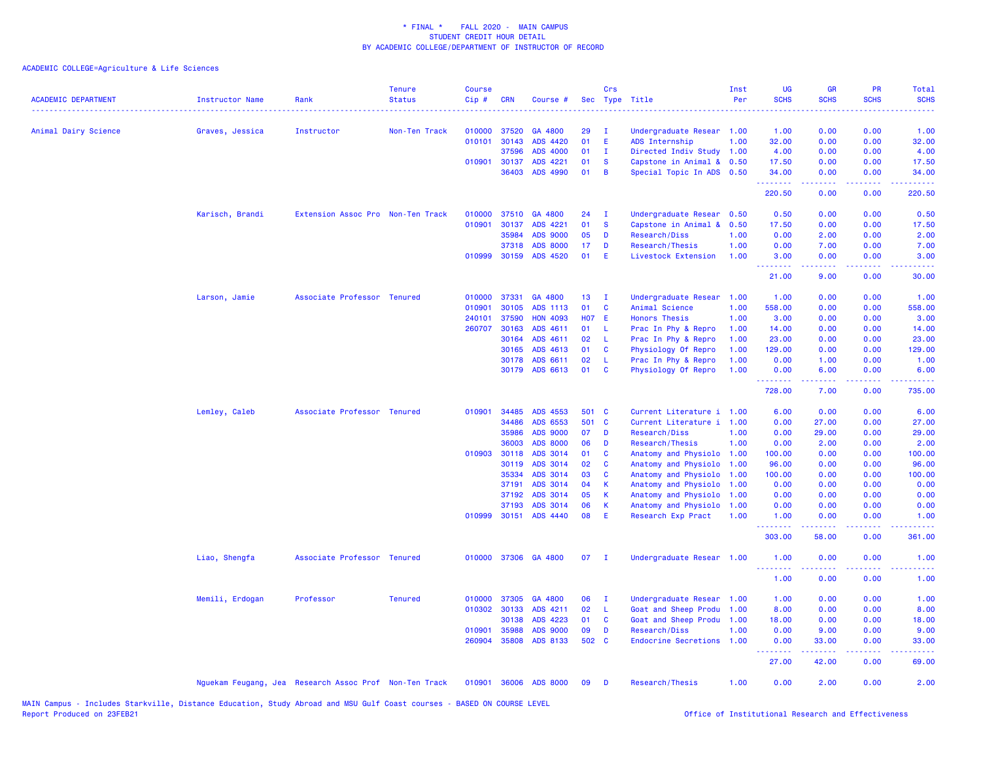| <b>ACADEMIC DEPARTMENT</b> | Instructor Name | Rank                                                   | <b>Tenure</b><br><b>Status</b> | <b>Course</b><br>Cip# | <b>CRN</b>   | Course #              |              | Crs          | Sec Type Title            | Inst<br>Per | UG<br><b>SCHS</b> | <b>GR</b><br><b>SCHS</b> | <b>PR</b><br><b>SCHS</b>                                                                                                          | Total<br><b>SCHS</b><br>.                                                                                                                                    |
|----------------------------|-----------------|--------------------------------------------------------|--------------------------------|-----------------------|--------------|-----------------------|--------------|--------------|---------------------------|-------------|-------------------|--------------------------|-----------------------------------------------------------------------------------------------------------------------------------|--------------------------------------------------------------------------------------------------------------------------------------------------------------|
| Animal Dairy Science       | Graves, Jessica | Instructor                                             | Non-Ten Track                  | 010000                | 37520        | GA 4800               | 29           | - 1          | Undergraduate Resear 1.00 |             | 1.00              | 0.00                     | 0.00                                                                                                                              | 1.00                                                                                                                                                         |
|                            |                 |                                                        |                                | 010101                | 30143        | ADS 4420              | 01           | E            | ADS Internship            | 1.00        | 32.00             | 0.00                     | 0.00                                                                                                                              | 32.00                                                                                                                                                        |
|                            |                 |                                                        |                                |                       | 37596        | ADS 4000              | 01           | $\mathbf{I}$ | Directed Indiv Study 1.00 |             | 4.00              | 0.00                     | 0.00                                                                                                                              | 4.00                                                                                                                                                         |
|                            |                 |                                                        |                                | 010901                | 30137        | ADS 4221              | 01           | <b>S</b>     | Capstone in Animal &      | 0.50        | 17.50             | 0.00                     | 0.00                                                                                                                              | 17.50                                                                                                                                                        |
|                            |                 |                                                        |                                |                       | 36403        | ADS 4990              | 01           | B            | Special Topic In ADS 0.50 |             | 34.00<br>.        | 0.00                     | 0.00                                                                                                                              | 34.00                                                                                                                                                        |
|                            |                 |                                                        |                                |                       |              |                       |              |              |                           |             | 220.50            | 0.00                     | 0.00                                                                                                                              | 220.50                                                                                                                                                       |
|                            | Karisch, Brandi | Extension Assoc Pro Non-Ten Track                      |                                | 010000                | 37510        | GA 4800               | 24           | - 1          | Undergraduate Resear 0.50 |             | 0.50              | 0.00                     | 0.00                                                                                                                              | 0.50                                                                                                                                                         |
|                            |                 |                                                        |                                | 010901                | 30137        | ADS 4221              | 01           | <b>S</b>     | Capstone in Animal &      | 0.50        | 17.50             | 0.00                     | 0.00                                                                                                                              | 17.50                                                                                                                                                        |
|                            |                 |                                                        |                                |                       | 35984        | <b>ADS 9000</b>       | 05           | D            | Research/Diss             | 1.00        | 0.00              | 2.00                     | 0.00                                                                                                                              | 2.00                                                                                                                                                         |
|                            |                 |                                                        |                                |                       | 37318        | <b>ADS 8000</b>       | 17           | D            | Research/Thesis           | 1.00        | 0.00              | 7.00                     | 0.00                                                                                                                              | 7.00                                                                                                                                                         |
|                            |                 |                                                        |                                |                       | 010999 30159 | ADS 4520              | 01           | Æ            | Livestock Extension       | 1.00        | 3.00<br>22222     | 0.00<br>.                | 0.00<br>$\sim$ $\sim$ $\sim$ $\sim$                                                                                               | 3.00                                                                                                                                                         |
|                            |                 |                                                        |                                |                       |              |                       |              |              |                           |             | 21.00             | 9.00                     | 0.00                                                                                                                              | 30.00                                                                                                                                                        |
|                            | Larson, Jamie   | Associate Professor Tenured                            |                                | 010000                | 37331        | GA 4800               | 13           | - I          | Undergraduate Resear      | 1.00        | 1.00              | 0.00                     | 0.00                                                                                                                              | 1.00                                                                                                                                                         |
|                            |                 |                                                        |                                | 010901                | 30105        | ADS 1113              | 01           | C            | Animal Science            | 1.00        | 558.00            | 0.00                     | 0.00                                                                                                                              | 558.00                                                                                                                                                       |
|                            |                 |                                                        |                                | 240101                | 37590        | <b>HON 4093</b>       | <b>HO7 E</b> |              | <b>Honors Thesis</b>      | 1.00        | 3.00              | 0.00                     | 0.00                                                                                                                              | 3.00                                                                                                                                                         |
|                            |                 |                                                        |                                | 260707                | 30163        | ADS 4611              | 01           | L            | Prac In Phy & Repro       | 1.00        | 14.00             | 0.00                     | 0.00                                                                                                                              | 14.00                                                                                                                                                        |
|                            |                 |                                                        |                                |                       | 30164        | ADS 4611              | 02           | L            | Prac In Phy & Repro       | 1.00        | 23.00             | 0.00                     | 0.00                                                                                                                              | 23.00                                                                                                                                                        |
|                            |                 |                                                        |                                |                       | 30165        | ADS 4613              | 01           | C            | Physiology Of Repro       | 1.00        | 129.00            | 0.00                     | 0.00                                                                                                                              | 129.00                                                                                                                                                       |
|                            |                 |                                                        |                                |                       | 30178        | ADS 6611              | 02           | -L           | Prac In Phy & Repro       | 1.00        | 0.00              | 1.00                     | 0.00                                                                                                                              | 1.00                                                                                                                                                         |
|                            |                 |                                                        |                                |                       |              | 30179 ADS 6613        | 01           | C            | Physiology Of Repro       | 1.00        | 0.00<br>.         | 6.00                     | 0.00<br>$\sim$ $\sim$ $\sim$                                                                                                      | 6.00                                                                                                                                                         |
|                            |                 |                                                        |                                |                       |              |                       |              |              |                           |             | 728.00            | 7.00                     | 0.00                                                                                                                              | 735.00                                                                                                                                                       |
|                            | Lemley, Caleb   | Associate Professor Tenured                            |                                | 010901                | 34485        | ADS 4553              | 501 C        |              | Current Literature i      | 1.00        | 6.00              | 0.00                     | 0.00                                                                                                                              | 6.00                                                                                                                                                         |
|                            |                 |                                                        |                                |                       | 34486        | ADS 6553              | 501 C        |              | Current Literature i      | 1.00        | 0.00              | 27.00                    | 0.00                                                                                                                              | 27.00                                                                                                                                                        |
|                            |                 |                                                        |                                |                       | 35986        | ADS 9000              | 07           | D            | Research/Diss             | 1.00        | 0.00              | 29.00                    | 0.00                                                                                                                              | 29.00                                                                                                                                                        |
|                            |                 |                                                        |                                |                       | 36003        | <b>ADS 8000</b>       | 06           | D            | Research/Thesis           | 1.00        | 0.00              | 2.00                     | 0.00                                                                                                                              | 2.00                                                                                                                                                         |
|                            |                 |                                                        |                                |                       | 010903 30118 | ADS 3014              | 01           | C            | Anatomy and Physiolo      | 1.00        | 100.00            | 0.00                     | 0.00                                                                                                                              | 100.00                                                                                                                                                       |
|                            |                 |                                                        |                                |                       | 30119        | ADS 3014              | 02           | C            | Anatomy and Physiolo      | 1.00        | 96.00             | 0.00                     | 0.00                                                                                                                              | 96.00                                                                                                                                                        |
|                            |                 |                                                        |                                |                       | 35334        | ADS 3014              | 03           | C            | Anatomy and Physiolo      | 1.00        | 100.00            | 0.00                     | 0.00                                                                                                                              | 100.00                                                                                                                                                       |
|                            |                 |                                                        |                                |                       | 37191        | ADS 3014              | 04           | К            | Anatomy and Physiolo      | 1.00        | 0.00              | 0.00                     | 0.00                                                                                                                              | 0.00                                                                                                                                                         |
|                            |                 |                                                        |                                |                       | 37192        | ADS 3014              | 05           | К            | Anatomy and Physiolo      | 1.00        | 0.00              | 0.00                     | 0.00                                                                                                                              | 0.00                                                                                                                                                         |
|                            |                 |                                                        |                                |                       | 37193        | ADS 3014              | 06           | К            | Anatomy and Physiolo      | 1.00        | 0.00              | 0.00                     | 0.00                                                                                                                              | 0.00                                                                                                                                                         |
|                            |                 |                                                        |                                |                       |              | 010999 30151 ADS 4440 | 08           | E            | Research Exp Pract        | 1.00        | 1.00<br>.         | 0.00<br>.                | 0.00<br>$\frac{1}{2} \left( \frac{1}{2} \right) \left( \frac{1}{2} \right) \left( \frac{1}{2} \right) \left( \frac{1}{2} \right)$ | 1.00<br>$\frac{1}{2} \left( \frac{1}{2} \right) \left( \frac{1}{2} \right) \left( \frac{1}{2} \right) \left( \frac{1}{2} \right) \left( \frac{1}{2} \right)$ |
|                            |                 |                                                        |                                |                       |              |                       |              |              |                           |             | 303.00            | 58.00                    | 0.00                                                                                                                              | 361.00                                                                                                                                                       |
|                            | Liao, Shengfa   | Associate Professor Tenured                            |                                |                       |              | 010000 37306 GA 4800  | 07           | - I          | Undergraduate Resear 1.00 |             | 1.00<br><u>.</u>  | 0.00                     | 0.00                                                                                                                              | 1.00                                                                                                                                                         |
|                            |                 |                                                        |                                |                       |              |                       |              |              |                           |             | 1.00              | 0.00                     | 0.00                                                                                                                              | 1.00                                                                                                                                                         |
|                            | Memili, Erdogan | Professor                                              | <b>Tenured</b>                 |                       | 010000 37305 | GA 4800               | 06           | - I          | Undergraduate Resear      | 1.00        | 1.00              | 0.00                     | 0.00                                                                                                                              | 1.00                                                                                                                                                         |
|                            |                 |                                                        |                                | 010302                | 30133        | ADS 4211              | 02           | -L           | Goat and Sheep Produ      | 1.00        | 8.00              | 0.00                     | 0.00                                                                                                                              | 8.00                                                                                                                                                         |
|                            |                 |                                                        |                                |                       | 30138        | ADS 4223              | 01           | C            | Goat and Sheep Produ      | 1.00        | 18.00             | 0.00                     | 0.00                                                                                                                              | 18.00                                                                                                                                                        |
|                            |                 |                                                        |                                | 010901                | 35988        | <b>ADS 9000</b>       | 09           | D            | Research/Diss             | 1.00        | 0.00              | 9.00                     | 0.00                                                                                                                              | 9.00                                                                                                                                                         |
|                            |                 |                                                        |                                |                       | 260904 35808 | ADS 8133              | 502 C        |              | Endocrine Secretions 1.00 |             | 0.00<br><u>.</u>  | 33.00<br>.               | 0.00<br>.                                                                                                                         | 33.00<br>.                                                                                                                                                   |
|                            |                 |                                                        |                                |                       |              |                       |              |              |                           |             | 27.00             | 42.00                    | 0.00                                                                                                                              | 69.00                                                                                                                                                        |
|                            |                 | Nguekam Feugang, Jea Research Assoc Prof Non-Ten Track |                                | 010901                | 36006        | <b>ADS 8000</b>       | 09           | Ð            | Research/Thesis           | 1.00        | 0.00              | 2.00                     | 0.00                                                                                                                              | 2.00                                                                                                                                                         |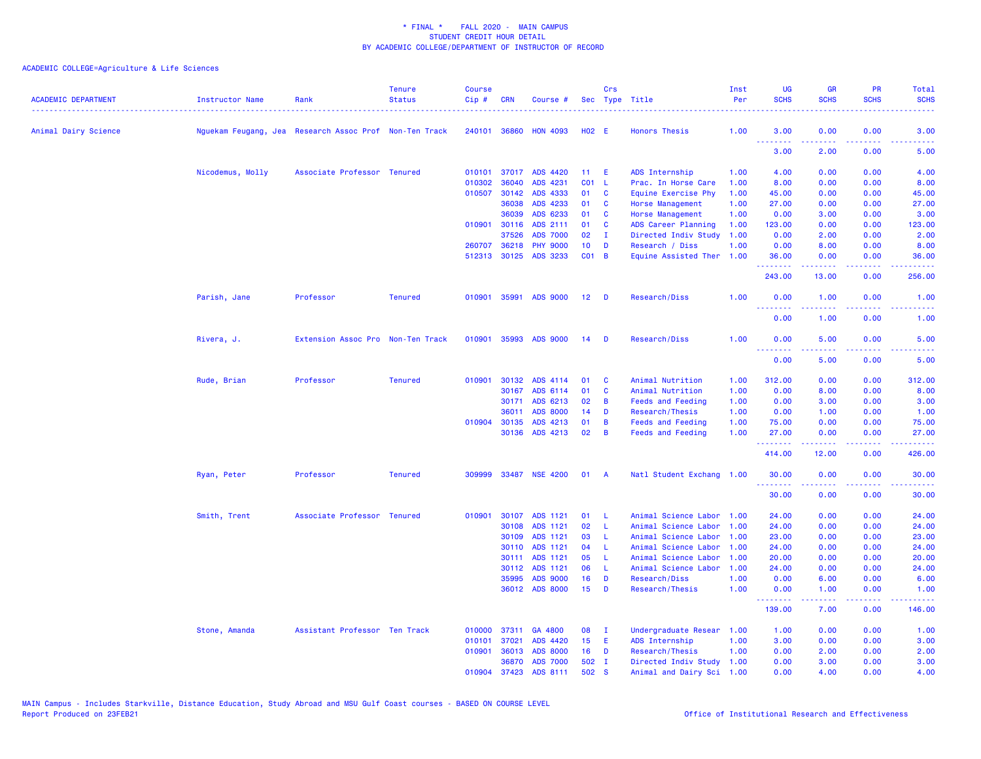| <b>ACADEMIC DEPARTMENT</b> | <b>Instructor Name</b> | Rank                                                   | <b>Tenure</b><br><b>Status</b> | <b>Course</b><br>Cip# | <b>CRN</b>   | Course #              |                 | Crs            | Sec Type Title            | Inst<br>Per | UG<br><b>SCHS</b> | <b>GR</b><br><b>SCHS</b>                                                                                                                                     | PR<br><b>SCHS</b>     | Total<br><b>SCHS</b>                                                                                                              |
|----------------------------|------------------------|--------------------------------------------------------|--------------------------------|-----------------------|--------------|-----------------------|-----------------|----------------|---------------------------|-------------|-------------------|--------------------------------------------------------------------------------------------------------------------------------------------------------------|-----------------------|-----------------------------------------------------------------------------------------------------------------------------------|
| Animal Dairy Science       |                        | Nguekam Feugang, Jea Research Assoc Prof Non-Ten Track |                                |                       | 240101 36860 | <b>HON 4093</b>       | <b>HO2 E</b>    |                | <b>Honors Thesis</b>      | 1.00        | 3.00<br>.         | 0.00                                                                                                                                                         | 0.00                  | 3.00                                                                                                                              |
|                            |                        |                                                        |                                |                       |              |                       |                 |                |                           |             | 3.00              | 2.00                                                                                                                                                         | 0.00                  | 5.00                                                                                                                              |
|                            | Nicodemus, Molly       | Associate Professor Tenured                            |                                |                       |              | 010101 37017 ADS 4420 | 11 <sub>1</sub> | E              | ADS Internship            | 1.00        | 4.00              | 0.00                                                                                                                                                         | 0.00                  | 4.00                                                                                                                              |
|                            |                        |                                                        |                                | 010302                | 36040        | ADS 4231              | CO1 L           |                | Prac. In Horse Care       | 1.00        | 8.00              | 0.00                                                                                                                                                         | 0.00                  | 8.00                                                                                                                              |
|                            |                        |                                                        |                                | 010507                | 30142        | ADS 4333              | 01              | C              | Equine Exercise Phy       | 1.00        | 45.00             | 0.00                                                                                                                                                         | 0.00                  | 45.00                                                                                                                             |
|                            |                        |                                                        |                                |                       | 36038        | ADS 4233              | 01              | C              | <b>Horse Management</b>   | 1.00        | 27.00             | 0.00                                                                                                                                                         | 0.00                  | 27.00                                                                                                                             |
|                            |                        |                                                        |                                |                       | 36039        | ADS 6233              | 01              | C              | <b>Horse Management</b>   | 1.00        | 0.00              | 3.00                                                                                                                                                         | 0.00                  | 3.00                                                                                                                              |
|                            |                        |                                                        |                                |                       | 010901 30116 | ADS 2111              | 01              | C              | ADS Career Planning       | 1.00        | 123.00            | 0.00                                                                                                                                                         | 0.00                  | 123.00                                                                                                                            |
|                            |                        |                                                        |                                |                       | 37526        | <b>ADS 7000</b>       | 02              | $\mathbf{I}$   | Directed Indiv Study      | 1.00        | 0.00              | 2.00                                                                                                                                                         | 0.00                  | 2.00                                                                                                                              |
|                            |                        |                                                        |                                |                       | 260707 36218 | <b>PHY 9000</b>       | 10 <sup>°</sup> | D              | Research / Diss           | 1.00        | 0.00              | 8.00                                                                                                                                                         | 0.00                  | 8.00                                                                                                                              |
|                            |                        |                                                        |                                |                       | 512313 30125 | ADS 3233              | $CO1$ B         |                | Equine Assisted Ther      | 1.00        | 36.00<br>.        | 0.00                                                                                                                                                         | 0.00                  | 36.00                                                                                                                             |
|                            |                        |                                                        |                                |                       |              |                       |                 |                |                           |             | 243.00            | 13.00                                                                                                                                                        | 0.00                  | 256.00                                                                                                                            |
|                            | Parish, Jane           | Professor                                              | <b>Tenured</b>                 |                       |              | 010901 35991 ADS 9000 | 12 <sub>2</sub> | D              | Research/Diss             | 1.00        | 0.00<br>.         | 1.00<br>-----                                                                                                                                                | 0.00<br>$\frac{1}{2}$ | 1.00<br>$\frac{1}{2} \left( \frac{1}{2} \right) \left( \frac{1}{2} \right) \left( \frac{1}{2} \right) \left( \frac{1}{2} \right)$ |
|                            |                        |                                                        |                                |                       |              |                       |                 |                |                           |             | 0.00              | 1.00                                                                                                                                                         | 0.00                  | 1.00                                                                                                                              |
|                            | Rivera, J.             | Extension Assoc Pro Non-Ten Track                      |                                |                       |              | 010901 35993 ADS 9000 | 14              | - D            | Research/Diss             | 1.00        | 0.00              | 5.00                                                                                                                                                         | 0.00                  | 5.00                                                                                                                              |
|                            |                        |                                                        |                                |                       |              |                       |                 |                |                           |             | <b></b><br>0.00   | $\frac{1}{2} \left( \frac{1}{2} \right) \left( \frac{1}{2} \right) \left( \frac{1}{2} \right) \left( \frac{1}{2} \right) \left( \frac{1}{2} \right)$<br>5.00 | .<br>0.00             | $\frac{1}{2} \left( \frac{1}{2} \right) \left( \frac{1}{2} \right) \left( \frac{1}{2} \right)$<br>5.00                            |
|                            |                        |                                                        |                                |                       |              |                       |                 |                |                           |             |                   |                                                                                                                                                              |                       |                                                                                                                                   |
|                            | Rude, Brian            | Professor                                              | <b>Tenured</b>                 |                       | 010901 30132 | ADS 4114              | 01              | C              | Animal Nutrition          | 1.00        | 312.00            | 0.00                                                                                                                                                         | 0.00                  | 312.00                                                                                                                            |
|                            |                        |                                                        |                                |                       | 30167        | ADS 6114              | 01              | C              | Animal Nutrition          | 1.00        | 0.00              | 8.00                                                                                                                                                         | 0.00                  | 8.00                                                                                                                              |
|                            |                        |                                                        |                                |                       | 30171        | ADS 6213              | 02              | B              | <b>Feeds and Feeding</b>  | 1.00        | 0.00              | 3.00                                                                                                                                                         | 0.00                  | 3.00                                                                                                                              |
|                            |                        |                                                        |                                |                       | 36011        | <b>ADS 8000</b>       | 14              | D              | Research/Thesis           | 1.00        | 0.00              | 1.00                                                                                                                                                         | 0.00                  | 1.00                                                                                                                              |
|                            |                        |                                                        |                                |                       | 010904 30135 | ADS 4213              | 01              | B              | <b>Feeds and Feeding</b>  | 1.00        | 75.00             | 0.00                                                                                                                                                         | 0.00                  | 75.00                                                                                                                             |
|                            |                        |                                                        |                                |                       | 30136        | ADS 4213              | 02              | B              | <b>Feeds and Feeding</b>  | 1.00        | 27.00<br>.        | 0.00<br>$\frac{1}{2} \left( \frac{1}{2} \right) \left( \frac{1}{2} \right) \left( \frac{1}{2} \right) \left( \frac{1}{2} \right) \left( \frac{1}{2} \right)$ | 0.00<br>والمحامل      | 27.00<br>.                                                                                                                        |
|                            |                        |                                                        |                                |                       |              |                       |                 |                |                           |             | 414.00            | 12.00                                                                                                                                                        | 0.00                  | 426.00                                                                                                                            |
|                            | Ryan, Peter            | Professor                                              | <b>Tenured</b>                 |                       |              | 309999 33487 NSE 4200 | 01              | $\overline{A}$ | Natl Student Exchang 1.00 |             | 30.00<br>.        | 0.00<br>-----                                                                                                                                                | 0.00<br>.             | 30.00<br>.                                                                                                                        |
|                            |                        |                                                        |                                |                       |              |                       |                 |                |                           |             | 30.00             | 0.00                                                                                                                                                         | 0.00                  | 30.00                                                                                                                             |
|                            | Smith, Trent           | Associate Professor Tenured                            |                                | 010901                | 30107        | ADS 1121              | 01              | L              | Animal Science Labor      | 1.00        | 24.00             | 0.00                                                                                                                                                         | 0.00                  | 24.00                                                                                                                             |
|                            |                        |                                                        |                                |                       | 30108        | ADS 1121              | 02              | L              | Animal Science Labor      | 1.00        | 24.00             | 0.00                                                                                                                                                         | 0.00                  | 24.00                                                                                                                             |
|                            |                        |                                                        |                                |                       | 30109        | ADS 1121              | 03              | L              | Animal Science Labor      | 1.00        | 23.00             | 0.00                                                                                                                                                         | 0.00                  | 23.00                                                                                                                             |
|                            |                        |                                                        |                                |                       | 30110        | ADS 1121              | 04              | L              | Animal Science Labor      | 1.00        | 24.00             | 0.00                                                                                                                                                         | 0.00                  | 24.00                                                                                                                             |
|                            |                        |                                                        |                                |                       | 30111        | ADS 1121              | 05              | L              | Animal Science Labor      | 1.00        | 20.00             | 0.00                                                                                                                                                         | 0.00                  | 20.00                                                                                                                             |
|                            |                        |                                                        |                                |                       | 30112        | ADS 1121              | 06              | L              | Animal Science Labor      | 1.00        | 24.00             | 0.00                                                                                                                                                         | 0.00                  | 24.00                                                                                                                             |
|                            |                        |                                                        |                                |                       | 35995        | ADS 9000              | 16              | D              | Research/Diss             | 1.00        | 0.00              | 6.00                                                                                                                                                         | 0.00                  | 6.00                                                                                                                              |
|                            |                        |                                                        |                                |                       | 36012        | <b>ADS 8000</b>       | 15              | D              | Research/Thesis           | 1.00        | 0.00<br>.         | 1.00                                                                                                                                                         | 0.00                  | 1.00                                                                                                                              |
|                            |                        |                                                        |                                |                       |              |                       |                 |                |                           |             | 139.00            | 7.00                                                                                                                                                         | 0.00                  | 146.00                                                                                                                            |
|                            | Stone, Amanda          | Assistant Professor Ten Track                          |                                | 010000                | 37311        | GA 4800               | 08              | - I            | Undergraduate Resear      | 1.00        | 1.00              | 0.00                                                                                                                                                         | 0.00                  | 1.00                                                                                                                              |
|                            |                        |                                                        |                                | 010101                | 37021        | ADS 4420              | 15 <sub>1</sub> | E              | ADS Internship            | 1.00        | 3.00              | 0.00                                                                                                                                                         | 0.00                  | 3.00                                                                                                                              |
|                            |                        |                                                        |                                | 010901                | 36013        | <b>ADS 8000</b>       | 16              | D              | Research/Thesis           | 1.00        | 0.00              | 2.00                                                                                                                                                         | 0.00                  | 2.00                                                                                                                              |
|                            |                        |                                                        |                                |                       | 36870        | <b>ADS 7000</b>       | 502 I           |                | Directed Indiv Study 1.00 |             | 0.00              | 3.00                                                                                                                                                         | 0.00                  | 3.00                                                                                                                              |
|                            |                        |                                                        |                                | 010904                | 37423        | ADS 8111              | 502             | <b>S</b>       | Animal and Dairy Sci 1.00 |             | 0.00              | 4.00                                                                                                                                                         | 0.00                  | 4.00                                                                                                                              |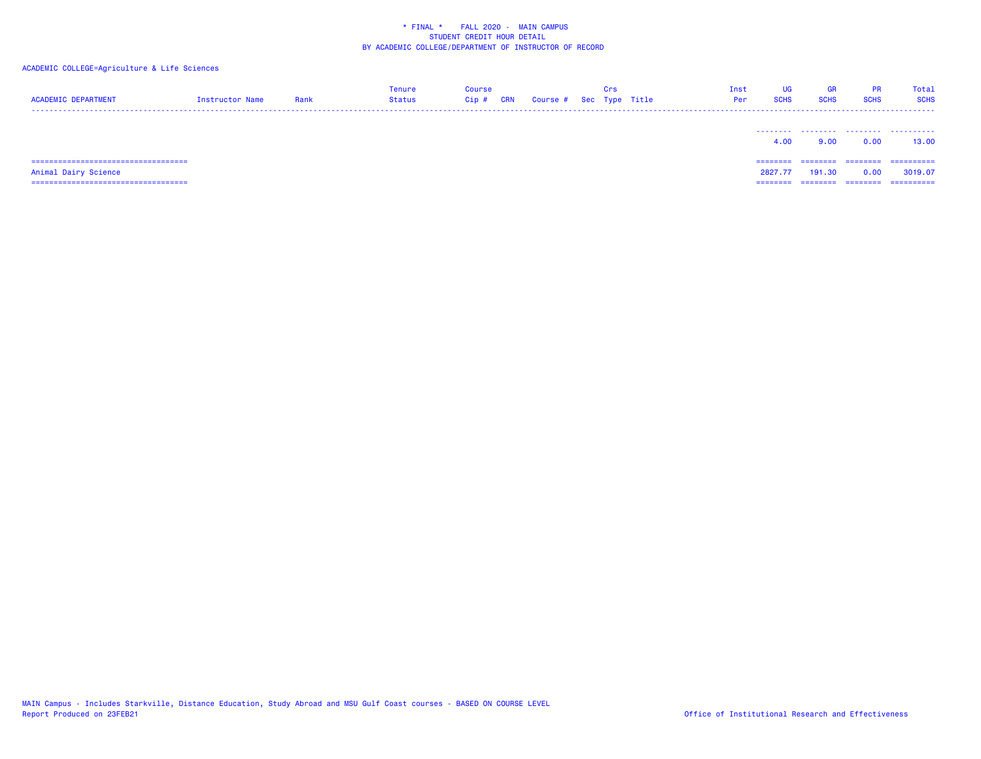# ACADEMIC COLLEGE=Agriculture & Life Sciences

| <b>ACADEMIC DEPARTMENT</b>             | Instructor Name | Rank | <b>Tenure</b><br><b>Status</b> | <b>Course</b><br>Cip#<br>CRN |  | Crs<br>Course # Sec Type Title | UG<br>Inst<br><b>SCHS</b><br>Per | <b>GR</b><br><b>SCHS</b> | <b>PR</b><br><b>SCHS</b> | Total<br><b>SCHS</b> |
|----------------------------------------|-----------------|------|--------------------------------|------------------------------|--|--------------------------------|----------------------------------|--------------------------|--------------------------|----------------------|
|                                        |                 |      |                                |                              |  |                                | 4.00                             | 9.00                     | .<br>0.00                | .<br>13.00           |
| ====================================== |                 |      |                                |                              |  |                                | ========                         |                          | ========                 | ==========           |
| Animal Dairy Science                   |                 |      |                                |                              |  |                                | 2827.77                          | 191.30                   | 0.00                     | 3019.07              |
| ====================================== |                 |      |                                |                              |  |                                | ========                         | ========                 | ========                 | ==========           |

MAIN Campus - Includes Starkville, Distance Education, Study Abroad and MSU Gulf Coast courses - BASED ON COURSE LEVEL<br>Report Produced on 23FEB21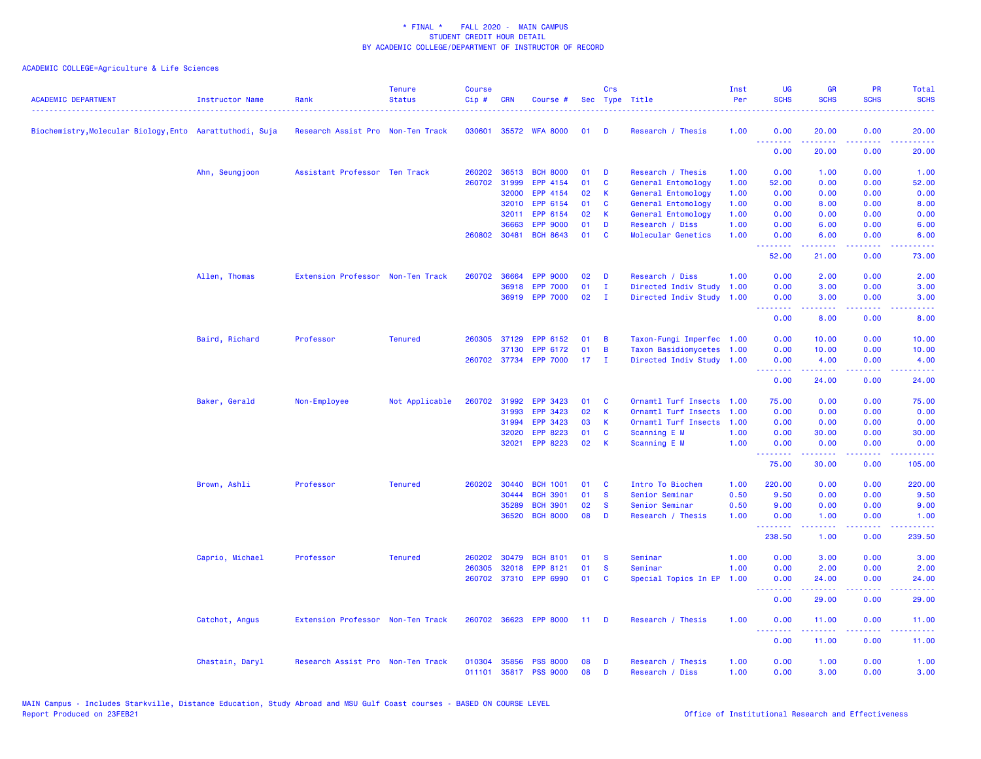| <b>ACADEMIC DEPARTMENT</b>                               | Instructor Name | Rank                              | <b>Tenure</b><br><b>Status</b> | <b>Course</b><br>Cip# | <b>CRN</b>   | Course #              |                 | Crs          | Sec Type Title              | Inst<br>Per | <b>UG</b><br><b>SCHS</b> | <b>GR</b><br><b>SCHS</b>                                                                                                                                     | <b>PR</b><br><b>SCHS</b>                                                                                                  | Total<br><b>SCHS</b> |
|----------------------------------------------------------|-----------------|-----------------------------------|--------------------------------|-----------------------|--------------|-----------------------|-----------------|--------------|-----------------------------|-------------|--------------------------|--------------------------------------------------------------------------------------------------------------------------------------------------------------|---------------------------------------------------------------------------------------------------------------------------|----------------------|
| Biochemistry, Molecular Biology, Ento Aarattuthodi, Suja |                 | Research Assist Pro Non-Ten Track |                                | 030601                |              | 35572 WFA 8000        | 01              | D            | Research / Thesis           | 1.00        | 0.00                     | 20.00                                                                                                                                                        | 0.00                                                                                                                      | 20.00                |
|                                                          |                 |                                   |                                |                       |              |                       |                 |              |                             |             | 0.00                     | 20.00                                                                                                                                                        | 0.00                                                                                                                      | 20.00                |
|                                                          | Ahn, Seungjoon  | Assistant Professor Ten Track     |                                |                       | 260202 36513 | <b>BCH 8000</b>       | 01              | D            | Research / Thesis           | 1.00        | 0.00                     | 1.00                                                                                                                                                         | 0.00                                                                                                                      | 1.00                 |
|                                                          |                 |                                   |                                | 260702                | 31999        | EPP 4154              | 01              | C            | General Entomology          | 1.00        | 52.00                    | 0.00                                                                                                                                                         | 0.00                                                                                                                      | 52.00                |
|                                                          |                 |                                   |                                |                       | 32000        | EPP 4154              | 02              | K            | General Entomology          | 1.00        | 0.00                     | 0.00                                                                                                                                                         | 0.00                                                                                                                      | 0.00                 |
|                                                          |                 |                                   |                                |                       | 32010        | EPP 6154              | 01              | C            | General Entomology          | 1.00        | 0.00                     | 8.00                                                                                                                                                         | 0.00                                                                                                                      | 8.00                 |
|                                                          |                 |                                   |                                |                       | 32011        | EPP 6154              | 02              | К            | General Entomology          | 1.00        | 0.00                     | 0.00                                                                                                                                                         | 0.00                                                                                                                      | 0.00                 |
|                                                          |                 |                                   |                                |                       | 36663        | <b>EPP 9000</b>       | 01              | D            | Research / Diss             | 1.00        | 0.00                     | 6.00                                                                                                                                                         | 0.00                                                                                                                      | 6.00                 |
|                                                          |                 |                                   |                                |                       | 260802 30481 | <b>BCH 8643</b>       | 01              | C            | Molecular Genetics          | 1.00        | 0.00<br>د د د د          | 6.00<br>$\frac{1}{2} \left( \frac{1}{2} \right) \left( \frac{1}{2} \right) \left( \frac{1}{2} \right) \left( \frac{1}{2} \right) \left( \frac{1}{2} \right)$ | 0.00<br>$\sim$ $\sim$ $\sim$ $\sim$                                                                                       | 6.00                 |
|                                                          |                 |                                   |                                |                       |              |                       |                 |              |                             |             | 52.00                    | 21.00                                                                                                                                                        | 0.00                                                                                                                      | 73.00                |
|                                                          | Allen, Thomas   | Extension Professor Non-Ten Track |                                | 260702                | 36664        | <b>EPP 9000</b>       | 02              | D            | Research / Diss             | 1.00        | 0.00                     | 2.00                                                                                                                                                         | 0.00                                                                                                                      | 2.00                 |
|                                                          |                 |                                   |                                |                       | 36918        | <b>EPP 7000</b>       | 01              | $\mathbf{I}$ | Directed Indiv Study        | 1.00        | 0.00                     | 3.00                                                                                                                                                         | 0.00                                                                                                                      | 3.00                 |
|                                                          |                 |                                   |                                |                       | 36919        | <b>EPP 7000</b>       | 02              | $\mathbf{I}$ | Directed Indiv Study 1.00   |             | 0.00<br>.                | 3.00<br>$\frac{1}{2} \left( \frac{1}{2} \right) \left( \frac{1}{2} \right) \left( \frac{1}{2} \right) \left( \frac{1}{2} \right) \left( \frac{1}{2} \right)$ | 0.00                                                                                                                      | 3.00<br>-----        |
|                                                          |                 |                                   |                                |                       |              |                       |                 |              |                             |             | 0.00                     | 8.00                                                                                                                                                         | 0.00                                                                                                                      | 8.00                 |
|                                                          | Baird, Richard  | Professor                         | <b>Tenured</b>                 | 260305                | 37129        | EPP 6152              | 01              | B            | Taxon-Fungi Imperfec 1.00   |             | 0.00                     | 10.00                                                                                                                                                        | 0.00                                                                                                                      | 10.00                |
|                                                          |                 |                                   |                                |                       | 37130        | EPP 6172              | 01              | B            | <b>Taxon Basidiomycetes</b> | 1.00        | 0.00                     | 10.00                                                                                                                                                        | 0.00                                                                                                                      | 10.00                |
|                                                          |                 |                                   |                                |                       |              | 260702 37734 EPP 7000 | 17 <sub>1</sub> | $\mathbf{I}$ | Directed Indiv Study 1.00   |             | 0.00                     | 4.00                                                                                                                                                         | 0.00                                                                                                                      | 4.00                 |
|                                                          |                 |                                   |                                |                       |              |                       |                 |              |                             |             | .                        | $\frac{1}{2} \left( \frac{1}{2} \right) \left( \frac{1}{2} \right) \left( \frac{1}{2} \right) \left( \frac{1}{2} \right)$                                    | $\frac{1}{2} \left( \frac{1}{2} \right) \left( \frac{1}{2} \right) \left( \frac{1}{2} \right) \left( \frac{1}{2} \right)$ | .                    |
|                                                          |                 |                                   |                                |                       |              |                       |                 |              |                             |             | 0.00                     | 24.00                                                                                                                                                        | 0.00                                                                                                                      | 24.00                |
|                                                          | Baker, Gerald   | Non-Employee                      | Not Applicable                 |                       | 260702 31992 | <b>EPP 3423</b>       | 01              | C            | Ornamtl Turf Insects        | 1.00        | 75.00                    | 0.00                                                                                                                                                         | 0.00                                                                                                                      | 75.00                |
|                                                          |                 |                                   |                                |                       | 31993        | <b>EPP 3423</b>       | 02              | K            | Ornamtl Turf Insects        | 1.00        | 0.00                     | 0.00                                                                                                                                                         | 0.00                                                                                                                      | 0.00                 |
|                                                          |                 |                                   |                                |                       | 31994        | <b>EPP 3423</b>       | 03              | К            | Ornamtl Turf Insects        | 1.00        | 0.00                     | 0.00                                                                                                                                                         | 0.00                                                                                                                      | 0.00                 |
|                                                          |                 |                                   |                                |                       | 32020        | EPP 8223              | 01              | C            | Scanning E M                | 1.00        | 0.00                     | 30.00                                                                                                                                                        | 0.00                                                                                                                      | 30.00                |
|                                                          |                 |                                   |                                |                       | 32021        | EPP 8223              | 02              | К            | Scanning E M                | 1.00        | 0.00<br>- - - - - - - -  | 0.00<br>. <u>.</u> .                                                                                                                                         | 0.00<br>.                                                                                                                 | 0.00<br>.            |
|                                                          |                 |                                   |                                |                       |              |                       |                 |              |                             |             | 75.00                    | 30.00                                                                                                                                                        | 0.00                                                                                                                      | 105.00               |
|                                                          | Brown, Ashli    | Professor                         | <b>Tenured</b>                 | 260202                | 30440        | <b>BCH 1001</b>       | 01              | C            | Intro To Biochem            | 1.00        | 220.00                   | 0.00                                                                                                                                                         | 0.00                                                                                                                      | 220.00               |
|                                                          |                 |                                   |                                |                       | 30444        | <b>BCH 3901</b>       | 01              | <b>S</b>     | Senior Seminar              | 0.50        | 9.50                     | 0.00                                                                                                                                                         | 0.00                                                                                                                      | 9.50                 |
|                                                          |                 |                                   |                                |                       | 35289        | <b>BCH 3901</b>       | 02              | <b>S</b>     | Senior Seminar              | 0.50        | 9.00                     | 0.00                                                                                                                                                         | 0.00                                                                                                                      | 9.00                 |
|                                                          |                 |                                   |                                |                       | 36520        | <b>BCH 8000</b>       | 08              | D            | Research / Thesis           | 1.00        | 0.00<br>.                | 1.00<br>$\frac{1}{2} \left( \frac{1}{2} \right) \left( \frac{1}{2} \right) \left( \frac{1}{2} \right) \left( \frac{1}{2} \right)$                            | 0.00<br>.                                                                                                                 | 1.00<br>.            |
|                                                          |                 |                                   |                                |                       |              |                       |                 |              |                             |             | 238.50                   | 1.00                                                                                                                                                         | 0.00                                                                                                                      | 239.50               |
|                                                          | Caprio, Michael | Professor                         | <b>Tenured</b>                 | 260202                | 30479        | <b>BCH 8101</b>       | 01              | <b>S</b>     | Seminar                     | 1.00        | 0.00                     | 3.00                                                                                                                                                         | 0.00                                                                                                                      | 3.00                 |
|                                                          |                 |                                   |                                | 260305                | 32018        | EPP 8121              | 01              | <b>S</b>     | Seminar                     | 1.00        | 0.00                     | 2.00                                                                                                                                                         | 0.00                                                                                                                      | 2.00                 |
|                                                          |                 |                                   |                                |                       |              | 260702 37310 EPP 6990 | 01              | C            | Special Topics In EP        | 1.00        | 0.00<br>.                | 24.00                                                                                                                                                        | 0.00<br>$\sim 100$                                                                                                        | 24.00                |
|                                                          |                 |                                   |                                |                       |              |                       |                 |              |                             |             | 0.00                     | 29.00                                                                                                                                                        | 0.00                                                                                                                      | 29.00                |
|                                                          | Catchot, Angus  | Extension Professor Non-Ten Track |                                |                       | 260702 36623 | <b>EPP 8000</b>       | 11              | D            | Research / Thesis           | 1.00        | 0.00                     | 11.00                                                                                                                                                        | 0.00                                                                                                                      | 11.00                |
|                                                          |                 |                                   |                                |                       |              |                       |                 |              |                             |             | .<br>0.00                | والمستوات<br>11.00                                                                                                                                           | $\sim$ $\sim$ $\sim$ $\sim$<br>0.00                                                                                       | 11.00                |
|                                                          | Chastain, Daryl | Research Assist Pro Non-Ten Track |                                | 010304                | 35856        | <b>PSS 8000</b>       | 08              | D            | Research / Thesis           | 1.00        | 0.00                     | 1.00                                                                                                                                                         | 0.00                                                                                                                      | 1.00                 |
|                                                          |                 |                                   |                                | 011101                |              | 35817 PSS 9000        | 08              | D            | Research / Diss             | 1.00        | 0.00                     | 3.00                                                                                                                                                         | 0.00                                                                                                                      | 3.00                 |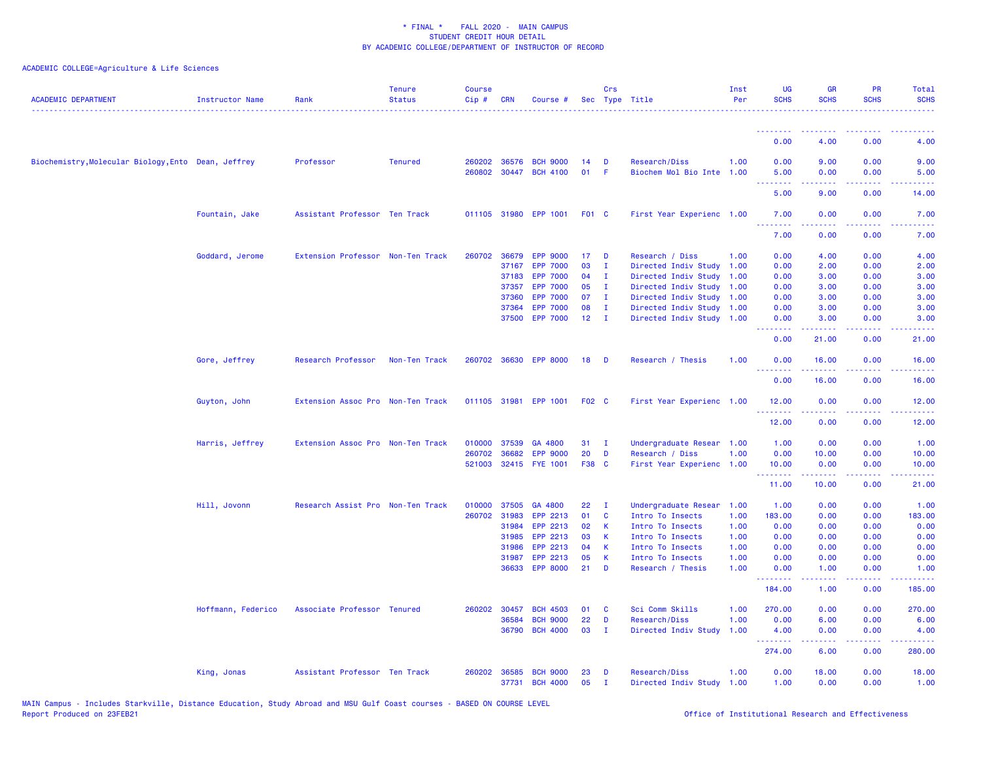| <b>ACADEMIC DEPARTMENT</b>                          | <b>Instructor Name</b> | Rank                              | <b>Tenure</b><br><b>Status</b> | <b>Course</b><br>Cip# | <b>CRN</b>     | Course #                           |              | Crs            | Sec Type Title                                    | Inst<br>Per | <b>UG</b><br><b>SCHS</b> | <b>GR</b><br><b>SCHS</b> | <b>PR</b><br><b>SCHS</b>            | Total<br><b>SCHS</b> |
|-----------------------------------------------------|------------------------|-----------------------------------|--------------------------------|-----------------------|----------------|------------------------------------|--------------|----------------|---------------------------------------------------|-------------|--------------------------|--------------------------|-------------------------------------|----------------------|
|                                                     |                        |                                   |                                |                       |                |                                    |              |                |                                                   |             | <u>.</u><br>0.00         | . <u>.</u><br>4.00       | ----<br>0.00                        | 4.00                 |
| Biochemistry, Molecular Biology, Ento Dean, Jeffrey |                        | Professor                         | <b>Tenured</b>                 | 260202<br>260802      | 36576<br>30447 | <b>BCH 9000</b><br><b>BCH 4100</b> | 14<br>01     | D<br>-F        | <b>Research/Diss</b><br>Biochem Mol Bio Inte 1.00 | 1.00        | 0.00<br>5.00             | 9.00<br>0.00             | 0.00<br>0.00                        | 9.00<br>5.00         |
|                                                     |                        |                                   |                                |                       |                |                                    |              |                |                                                   |             | .<br>5.00                | .<br>9.00                | $\sim$ $\sim$ $\sim$<br>0.00        | -----<br>14.00       |
|                                                     | Fountain, Jake         | Assistant Professor Ten Track     |                                |                       |                | 011105 31980 EPP 1001              | <b>F01 C</b> |                | First Year Experienc 1.00                         |             | 7.00                     | 0.00                     | 0.00                                | 7.00                 |
|                                                     |                        |                                   |                                |                       |                |                                    |              |                |                                                   |             | .<br>7.00                | .<br>0.00                | والمالمات<br>0.00                   | 2222<br>7.00         |
|                                                     | Goddard, Jerome        | Extension Professor Non-Ten Track |                                |                       |                | 260702 36679 EPP 9000              | 17           | D              | Research / Diss                                   | 1.00        | 0.00                     | 4.00                     | 0.00                                | 4.00                 |
|                                                     |                        |                                   |                                |                       | 37167          | <b>EPP 7000</b>                    | 03           | $\mathbf{I}$   | Directed Indiv Study                              | 1.00        | 0.00                     | 2.00                     | 0.00                                | 2.00                 |
|                                                     |                        |                                   |                                |                       | 37183          | <b>EPP 7000</b>                    | 04           | $\mathbf{I}$   | Directed Indiv Study                              | 1.00        | 0.00                     | 3.00                     | 0.00                                | 3.00                 |
|                                                     |                        |                                   |                                |                       | 37357          | <b>EPP 7000</b>                    | 05           | $\mathbf{I}$   | Directed Indiv Study                              | 1.00        | 0.00                     | 3.00                     | 0.00                                | 3.00                 |
|                                                     |                        |                                   |                                |                       | 37360          | <b>EPP 7000</b>                    | 07           | $\mathbf{I}$   | Directed Indiv Study                              | 1.00        | 0.00                     | 3.00                     | 0.00                                | 3.00                 |
|                                                     |                        |                                   |                                |                       | 37364          | <b>EPP 7000</b>                    | 08           | $\mathbf{I}$   | Directed Indiv Study                              | 1.00        | 0.00                     | 3.00                     | 0.00                                | 3.00                 |
|                                                     |                        |                                   |                                |                       |                | 37500 EPP 7000                     | 12           | $\mathbf{I}$   | Directed Indiv Study 1.00                         |             | 0.00<br>.                | 3.00<br>.                | 0.00<br>.                           | 3.00<br>وعاويات      |
|                                                     |                        |                                   |                                |                       |                |                                    |              |                |                                                   |             | 0.00                     | 21.00                    | 0.00                                | 21.00                |
|                                                     | Gore, Jeffrey          | Research Professor                | Non-Ten Track                  | 260702                |                | 36630 EPP 8000                     | 18           | D              | Research / Thesis                                 | 1.00        | 0.00                     | 16.00                    | 0.00                                | 16.00                |
|                                                     |                        |                                   |                                |                       |                |                                    |              |                |                                                   |             | 0.00                     | 16.00                    | 0.00                                | 16.00                |
|                                                     | Guyton, John           | Extension Assoc Pro Non-Ten Track |                                |                       |                | 011105 31981 EPP 1001              | F02 C        |                | First Year Experienc 1.00                         |             | 12.00<br>.               | 0.00<br>.                | 0.00<br>والمحامل                    | 12.00<br>وعاعاتها    |
|                                                     |                        |                                   |                                |                       |                |                                    |              |                |                                                   |             | 12.00                    | 0.00                     | 0.00                                | 12.00                |
|                                                     | Harris, Jeffrey        | Extension Assoc Pro Non-Ten Track |                                | 010000                | 37539          | GA 4800                            | 31           | $\blacksquare$ | Undergraduate Resear                              | 1.00        | 1.00                     | 0.00                     | 0.00                                | 1.00                 |
|                                                     |                        |                                   |                                | 260702                | 36682          | <b>EPP 9000</b>                    | 20           | D              | Research / Diss                                   | 1.00        | 0.00                     | 10.00                    | 0.00                                | 10.00                |
|                                                     |                        |                                   |                                | 521003                |                | 32415 FYE 1001                     | F38 C        |                | First Year Experienc 1.00                         |             | 10.00<br><u>.</u>        | 0.00<br><u>.</u>         | 0.00<br>22222                       | 10.00<br>.           |
|                                                     |                        |                                   |                                |                       |                |                                    |              |                |                                                   |             | 11.00                    | 10.00                    | 0.00                                | 21.00                |
|                                                     | Hill, Jovonn           | Research Assist Pro Non-Ten Track |                                | 010000                | 37505          | GA 4800                            | 22           | T              | Undergraduate Resear                              | 1.00        | 1.00                     | 0.00                     | 0.00                                | 1.00                 |
|                                                     |                        |                                   |                                | 260702                | 31983          | EPP 2213                           | 01           | C              | Intro To Insects                                  | 1.00        | 183.00                   | 0.00                     | 0.00                                | 183.00               |
|                                                     |                        |                                   |                                |                       | 31984          | EPP 2213                           | 02           | К              | Intro To Insects                                  | 1.00        | 0.00                     | 0.00                     | 0.00                                | 0.00                 |
|                                                     |                        |                                   |                                |                       | 31985          | EPP 2213                           | 03           | К              | Intro To Insects                                  | 1.00        | 0.00                     | 0.00                     | 0.00                                | 0.00                 |
|                                                     |                        |                                   |                                |                       | 31986          | EPP 2213                           | 04           | <b>K</b>       | Intro To Insects                                  | 1.00        | 0.00                     | 0.00                     | 0.00                                | 0.00                 |
|                                                     |                        |                                   |                                |                       | 31987          | EPP 2213                           | 05           | $\mathsf K$    | Intro To Insects                                  | 1.00        | 0.00                     | 0.00                     | 0.00                                | 0.00                 |
|                                                     |                        |                                   |                                |                       | 36633          | <b>EPP 8000</b>                    | 21           | D              | Research / Thesis                                 | 1.00        | 0.00                     | 1.00                     | 0.00<br>$\sim$ $\sim$ $\sim$ $\sim$ | 1.00                 |
|                                                     |                        |                                   |                                |                       |                |                                    |              |                |                                                   |             | 184.00                   | 1.00                     | 0.00                                | 185.00               |
|                                                     | Hoffmann, Federico     | Associate Professor Tenured       |                                |                       | 260202 30457   | <b>BCH 4503</b>                    | 01           | C              | Sci Comm Skills                                   | 1.00        | 270.00                   | 0.00                     | 0.00                                | 270.00               |
|                                                     |                        |                                   |                                |                       | 36584          | <b>BCH 9000</b>                    | 22           | D              | Research/Diss                                     | 1.00        | 0.00                     | 6.00                     | 0.00                                | 6.00                 |
|                                                     |                        |                                   |                                |                       | 36790          | <b>BCH 4000</b>                    | 03           | $\mathbf{I}$   | Directed Indiv Study                              | 1.00        | 4.00<br>.                | 0.00<br>.                | 0.00<br>المتحدث                     | 4.00<br>.            |
|                                                     |                        |                                   |                                |                       |                |                                    |              |                |                                                   |             | 274.00                   | 6.00                     | 0.00                                | 280.00               |
|                                                     | King, Jonas            | Assistant Professor Ten Track     |                                | 260202                | 36585          | <b>BCH 9000</b>                    | 23           | D              | <b>Research/Diss</b>                              | 1.00        | 0.00                     | 18.00                    | 0.00                                | 18.00                |
|                                                     |                        |                                   |                                |                       | 37731          | <b>BCH 4000</b>                    | 05           | $\mathbf{I}$   | Directed Indiv Study                              | 1.00        | 1.00                     | 0.00                     | 0.00                                | 1.00                 |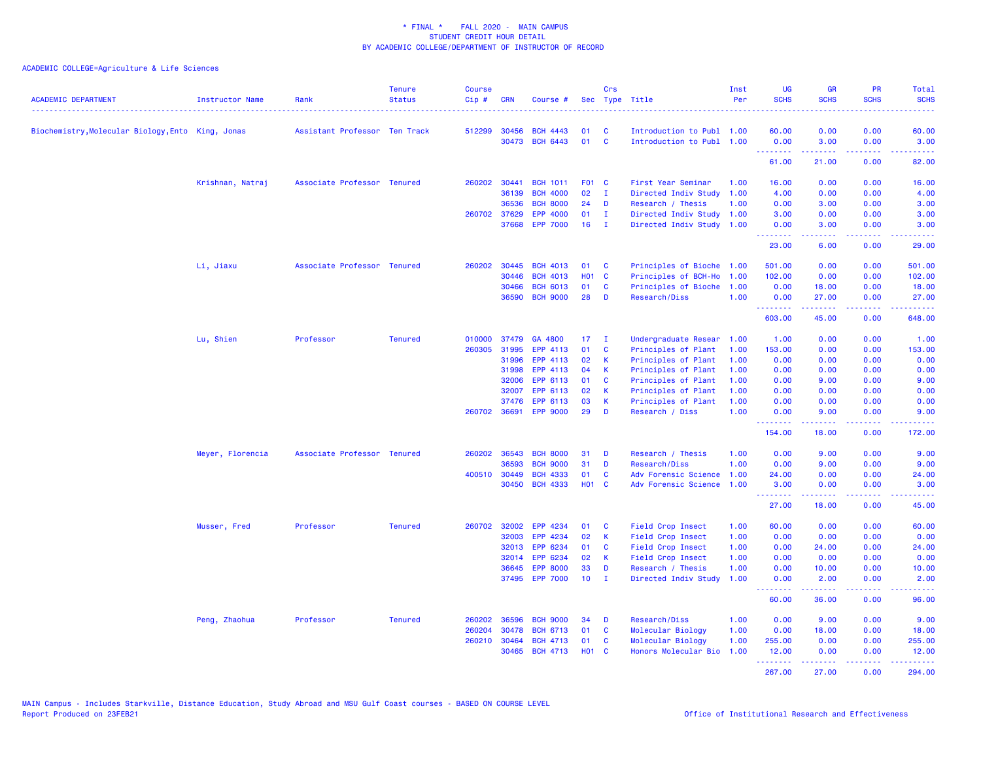| <b>ACADEMIC DEPARTMENT</b>                        | <b>Instructor Name</b> | Rank                          | <b>Tenure</b><br><b>Status</b> | <b>Course</b><br>$Cip \#$ | <b>CRN</b>   | Course #        |                 | Crs          | Sec Type Title            | Inst<br>Per | <b>UG</b><br><b>SCHS</b> | <b>GR</b><br><b>SCHS</b>                                                                                                                                      | <b>PR</b><br><b>SCHS</b> | Total<br><b>SCHS</b>      |
|---------------------------------------------------|------------------------|-------------------------------|--------------------------------|---------------------------|--------------|-----------------|-----------------|--------------|---------------------------|-------------|--------------------------|---------------------------------------------------------------------------------------------------------------------------------------------------------------|--------------------------|---------------------------|
| Biochemistry, Molecular Biology, Ento King, Jonas |                        | Assistant Professor Ten Track |                                |                           | 512299 30456 | <b>BCH 4443</b> | 01              | <b>C</b>     | Introduction to Publ 1.00 |             | 60.00                    | 0.00                                                                                                                                                          | 0.00                     | 60.00                     |
|                                                   |                        |                               |                                |                           |              | 30473 BCH 6443  | 01              | <b>C</b>     | Introduction to Publ 1.00 |             | 0.00<br>.                | 3.00                                                                                                                                                          | 0.00<br>وعاويا           | 3.00<br>والمحامل          |
|                                                   |                        |                               |                                |                           |              |                 |                 |              |                           |             | 61.00                    | 21.00                                                                                                                                                         | 0.00                     | 82.00                     |
|                                                   | Krishnan, Natraj       | Associate Professor Tenured   |                                | 260202                    | 30441        | <b>BCH 1011</b> | F01 C           |              | First Year Seminar        | 1.00        | 16.00                    | 0.00                                                                                                                                                          | 0.00                     | 16.00                     |
|                                                   |                        |                               |                                |                           | 36139        | <b>BCH 4000</b> | 02              | $\mathbf{I}$ | Directed Indiv Study      | 1.00        | 4.00                     | 0.00                                                                                                                                                          | 0.00                     | 4.00                      |
|                                                   |                        |                               |                                |                           | 36536        | <b>BCH 8000</b> | 24              | D            | Research / Thesis         | 1.00        | 0.00                     | 3.00                                                                                                                                                          | 0.00                     | 3.00                      |
|                                                   |                        |                               |                                | 260702 37629              |              | EPP 4000        | 01              | $\mathbf{I}$ | Directed Indiv Study      | 1.00        | 3.00                     | 0.00                                                                                                                                                          | 0.00                     | 3.00                      |
|                                                   |                        |                               |                                |                           | 37668        | <b>EPP 7000</b> | 16              | $\mathbf{I}$ | Directed Indiv Study      | 1.00        | 0.00<br>.                | 3.00                                                                                                                                                          | 0.00                     | 3.00                      |
|                                                   |                        |                               |                                |                           |              |                 |                 |              |                           |             | 23.00                    | 6.00                                                                                                                                                          | 0.00                     | 29.00                     |
|                                                   | Li, Jiaxu              | Associate Professor Tenured   |                                | 260202                    | 30445        | <b>BCH 4013</b> | 01              | C            | Principles of Bioche 1.00 |             | 501.00                   | 0.00                                                                                                                                                          | 0.00                     | 501.00                    |
|                                                   |                        |                               |                                |                           | 30446        | <b>BCH 4013</b> | H01 C           |              | Principles of BCH-Ho      | 1.00        | 102.00                   | 0.00                                                                                                                                                          | 0.00                     | 102.00                    |
|                                                   |                        |                               |                                |                           | 30466        | <b>BCH 6013</b> | 01              | C            | Principles of Bioche      | 1.00        | 0.00                     | 18.00                                                                                                                                                         | 0.00                     | 18.00                     |
|                                                   |                        |                               |                                |                           | 36590        | <b>BCH 9000</b> | 28              | D            | Research/Diss             | 1.00        | 0.00<br>.                | 27.00<br>.                                                                                                                                                    | 0.00<br>.                | 27.00<br>والموالي الموالي |
|                                                   |                        |                               |                                |                           |              |                 |                 |              |                           |             | 603.00                   | 45.00                                                                                                                                                         | 0.00                     | 648.00                    |
|                                                   | Lu, Shien              | Professor                     | <b>Tenured</b>                 | 010000                    | 37479        | GA 4800         | 17              | T            | Undergraduate Resear      | 1.00        | 1.00                     | 0.00                                                                                                                                                          | 0.00                     | 1.00                      |
|                                                   |                        |                               |                                | 260305                    | 31995        | EPP 4113        | 01              | $\mathbf{C}$ | Principles of Plant       | 1.00        | 153.00                   | 0.00                                                                                                                                                          | 0.00                     | 153.00                    |
|                                                   |                        |                               |                                |                           | 31996        | EPP 4113        | 02              | K            | Principles of Plant       | 1.00        | 0.00                     | 0.00                                                                                                                                                          | 0.00                     | 0.00                      |
|                                                   |                        |                               |                                |                           | 31998        | EPP 4113        | 04              | К            | Principles of Plant       | 1.00        | 0.00                     | 0.00                                                                                                                                                          | 0.00                     | 0.00                      |
|                                                   |                        |                               |                                |                           | 32006        | EPP 6113        | 01              | C            | Principles of Plant       | 1.00        | 0.00                     | 9.00                                                                                                                                                          | 0.00                     | 9.00                      |
|                                                   |                        |                               |                                |                           | 32007        | EPP 6113        | 02              | K            | Principles of Plant       | 1.00        | 0.00                     | 0.00                                                                                                                                                          | 0.00                     | 0.00                      |
|                                                   |                        |                               |                                |                           | 37476        | EPP 6113        | 03              | K            | Principles of Plant       | 1.00        | 0.00                     | 0.00                                                                                                                                                          | 0.00                     | 0.00                      |
|                                                   |                        |                               |                                | 260702 36691              |              | <b>EPP 9000</b> | 29              | D            | Research / Diss           | 1.00        | 0.00                     | 9.00                                                                                                                                                          | 0.00                     | 9.00                      |
|                                                   |                        |                               |                                |                           |              |                 |                 |              |                           |             | .<br>154.00              | $\frac{1}{2} \left( \frac{1}{2} \right) \left( \frac{1}{2} \right) \left( \frac{1}{2} \right) \left( \frac{1}{2} \right) \left( \frac{1}{2} \right)$<br>18.00 | .<br>0.00                | .<br>172.00               |
|                                                   | Meyer, Florencia       | Associate Professor Tenured   |                                | 260202                    | 36543        | <b>BCH 8000</b> | 31              | D            | Research / Thesis         | 1.00        | 0.00                     | 9.00                                                                                                                                                          | 0.00                     | 9.00                      |
|                                                   |                        |                               |                                |                           | 36593        | <b>BCH 9000</b> | 31              | D            | Research/Diss             | 1.00        | 0.00                     | 9.00                                                                                                                                                          | 0.00                     | 9.00                      |
|                                                   |                        |                               |                                |                           | 400510 30449 | <b>BCH 4333</b> | 01              | C            | Adv Forensic Science      | 1.00        | 24.00                    | 0.00                                                                                                                                                          | 0.00                     | 24.00                     |
|                                                   |                        |                               |                                |                           | 30450        | <b>BCH 4333</b> | <b>HO1 C</b>    |              | Adv Forensic Science      | 1.00        | 3.00<br>.                | 0.00<br>2.2.2.2.2                                                                                                                                             | 0.00<br>.                | 3.00<br>.                 |
|                                                   |                        |                               |                                |                           |              |                 |                 |              |                           |             | 27.00                    | 18.00                                                                                                                                                         | 0.00                     | 45.00                     |
|                                                   | Musser, Fred           | Professor                     | <b>Tenured</b>                 | 260702                    | 32002        | EPP 4234        | 01              | C            | Field Crop Insect         | 1.00        | 60.00                    | 0.00                                                                                                                                                          | 0.00                     | 60.00                     |
|                                                   |                        |                               |                                |                           | 32003        | EPP 4234        | 02              | К            | Field Crop Insect         | 1.00        | 0.00                     | 0.00                                                                                                                                                          | 0.00                     | 0.00                      |
|                                                   |                        |                               |                                |                           | 32013        | EPP 6234        | 01              | <b>C</b>     | Field Crop Insect         | 1.00        | 0.00                     | 24.00                                                                                                                                                         | 0.00                     | 24.00                     |
|                                                   |                        |                               |                                |                           | 32014        | EPP 6234        | 02              | K            | Field Crop Insect         | 1.00        | 0.00                     | 0.00                                                                                                                                                          | 0.00                     | 0.00                      |
|                                                   |                        |                               |                                |                           | 36645        | <b>EPP 8000</b> | 33              | D            | Research / Thesis         | 1.00        | 0.00                     | 10.00                                                                                                                                                         | 0.00                     | 10.00                     |
|                                                   |                        |                               |                                |                           |              | 37495 EPP 7000  | 10 <sub>1</sub> | $\mathbf{I}$ | Directed Indiv Study      | 1.00        | 0.00<br><u>.</u>         | 2.00<br>د د د د د                                                                                                                                             | 0.00<br>.                | 2.00<br>.                 |
|                                                   |                        |                               |                                |                           |              |                 |                 |              |                           |             | 60.00                    | 36.00                                                                                                                                                         | 0.00                     | 96.00                     |
|                                                   | Peng, Zhaohua          | Professor                     | <b>Tenured</b>                 | 260202                    | 36596        | <b>BCH 9000</b> | 34              | D            | Research/Diss             | 1.00        | 0.00                     | 9.00                                                                                                                                                          | 0.00                     | 9.00                      |
|                                                   |                        |                               |                                | 260204                    | 30478        | <b>BCH 6713</b> | 01              | C            | Molecular Biology         | 1.00        | 0.00                     | 18.00                                                                                                                                                         | 0.00                     | 18.00                     |
|                                                   |                        |                               |                                | 260210 30464              |              | <b>BCH 4713</b> | 01              | C            | Molecular Biology         | 1.00        | 255.00                   | 0.00                                                                                                                                                          | 0.00                     | 255.00                    |
|                                                   |                        |                               |                                |                           | 30465        | <b>BCH 4713</b> | <b>HO1 C</b>    |              | Honors Molecular Bio      | 1.00        | 12.00<br>.               | 0.00<br>.                                                                                                                                                     | 0.00<br>.                | 12.00<br>.                |
|                                                   |                        |                               |                                |                           |              |                 |                 |              |                           |             | 267.00                   | 27,00                                                                                                                                                         | 0.00                     | 294.00                    |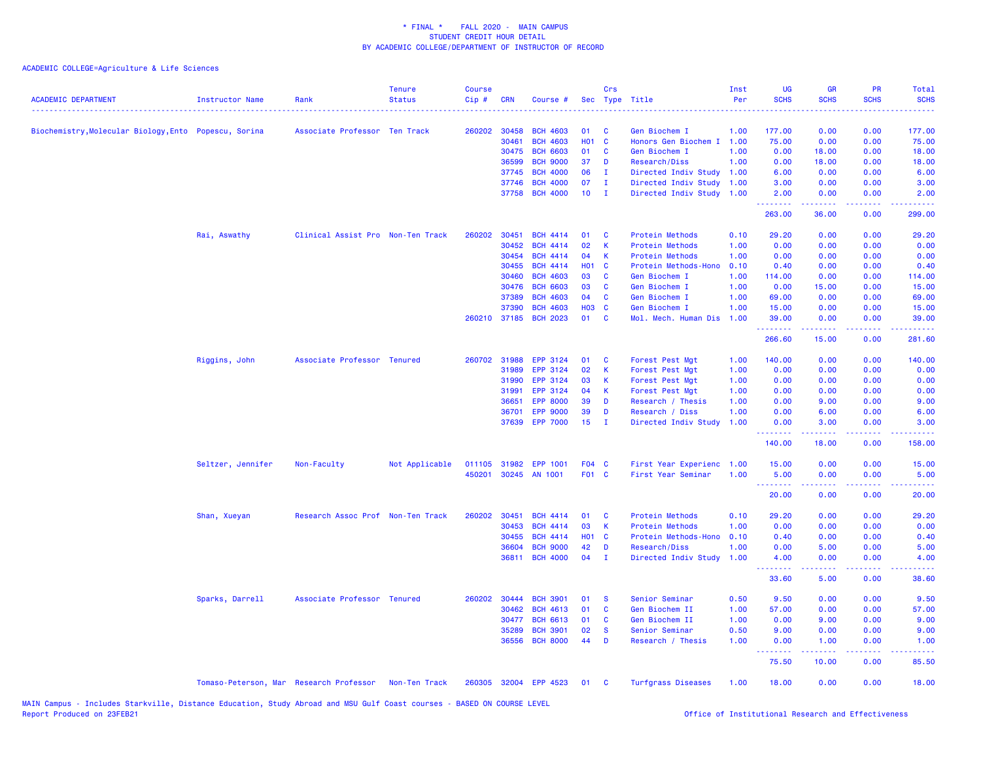| <b>ACADEMIC DEPARTMENT</b>                            | <b>Instructor Name</b>                  | Rank                              | <b>Tenure</b><br><b>Status</b> | <b>Course</b><br>Cip # | <b>CRN</b>     | Course #                           |                  | Crs                  | Sec Type Title                        | Inst<br>Per  | <b>UG</b><br><b>SCHS</b> | <b>GR</b><br><b>SCHS</b>      | <b>PR</b><br><b>SCHS</b> | Total<br><b>SCHS</b><br>$- - - -$                                                                                                 |
|-------------------------------------------------------|-----------------------------------------|-----------------------------------|--------------------------------|------------------------|----------------|------------------------------------|------------------|----------------------|---------------------------------------|--------------|--------------------------|-------------------------------|--------------------------|-----------------------------------------------------------------------------------------------------------------------------------|
| Biochemistry, Molecular Biology, Ento Popescu, Sorina |                                         | Associate Professor Ten Track     |                                | 260202                 | 30458          | <b>BCH 4603</b>                    | 01               | <b>C</b>             | Gen Biochem I                         | 1.00         | 177.00                   | 0.00                          | 0.00                     | 177.00                                                                                                                            |
|                                                       |                                         |                                   |                                |                        | 30461          | <b>BCH 4603</b>                    | <b>HO1</b>       | <b>C</b>             | Honors Gen Biochem I                  | 1.00         | 75.00                    | 0.00                          | 0.00                     | 75.00                                                                                                                             |
|                                                       |                                         |                                   |                                |                        | 30475          | <b>BCH 6603</b>                    | 01               | <b>C</b>             | Gen Biochem I                         | 1.00         | 0.00                     | 18.00                         | 0.00                     | 18.00                                                                                                                             |
|                                                       |                                         |                                   |                                |                        | 36599          | <b>BCH 9000</b>                    | 37               | D                    | Research/Diss                         | 1.00         | 0.00                     | 18.00                         | 0.00                     | 18.00                                                                                                                             |
|                                                       |                                         |                                   |                                |                        | 37745          | <b>BCH 4000</b>                    | 06               | л.                   | Directed Indiv Study                  | 1.00         | 6.00                     | 0.00                          | 0.00                     | 6.00                                                                                                                              |
|                                                       |                                         |                                   |                                |                        | 37746          | <b>BCH 4000</b>                    | 07               | T                    | Directed Indiv Study                  | 1.00         | 3.00                     | 0.00                          | 0.00                     | 3.00                                                                                                                              |
|                                                       |                                         |                                   |                                |                        | 37758          | <b>BCH 4000</b>                    | 10               | I.                   | Directed Indiv Study                  | 1.00         | 2.00<br>.                | 0.00<br><b><i><u></u></i></b> | 0.00<br>.                | 2.00<br>.                                                                                                                         |
|                                                       |                                         |                                   |                                |                        |                |                                    |                  |                      |                                       |              | 263.00                   | 36.00                         | 0.00                     | 299.00                                                                                                                            |
|                                                       | Rai, Aswathy                            | Clinical Assist Pro Non-Ten Track |                                | 260202                 | 30451          | <b>BCH 4414</b>                    | 01               | <b>C</b>             | Protein Methods                       | 0.10         | 29.20                    | 0.00                          | 0.00                     | 29.20                                                                                                                             |
|                                                       |                                         |                                   |                                |                        | 30452          | <b>BCH 4414</b>                    | 02               | K                    | Protein Methods                       | 1.00         | 0.00                     | 0.00                          | 0.00                     | 0.00                                                                                                                              |
|                                                       |                                         |                                   |                                |                        | 30454          | <b>BCH 4414</b>                    | 04               | K.                   | Protein Methods                       | 1.00         | 0.00                     | 0.00                          | 0.00                     | 0.00                                                                                                                              |
|                                                       |                                         |                                   |                                |                        | 30455          | <b>BCH 4414</b>                    | H <sub>0</sub> 1 | $\mathbf{C}$         | Protein Methods-Hono                  | 0.10         | 0.40                     | 0.00                          | 0.00                     | 0.40                                                                                                                              |
|                                                       |                                         |                                   |                                |                        | 30460<br>30476 | <b>BCH 4603</b><br><b>BCH 6603</b> | 03<br>03         | <b>C</b><br><b>C</b> | Gen Biochem I                         | 1.00         | 114.00                   | 0.00                          | 0.00                     | 114.00<br>15.00                                                                                                                   |
|                                                       |                                         |                                   |                                |                        | 37389          | <b>BCH 4603</b>                    | 04               | $\mathbf{C}$         | Gen Biochem I                         | 1.00         | 0.00<br>69.00            | 15.00<br>0.00                 | 0.00<br>0.00             |                                                                                                                                   |
|                                                       |                                         |                                   |                                |                        | 37390          | <b>BCH 4603</b>                    | <b>HO3</b>       | <b>C</b>             | Gen Biochem I<br>Gen Biochem I        | 1.00<br>1.00 | 15.00                    | 0.00                          | 0.00                     | 69.00<br>15.00                                                                                                                    |
|                                                       |                                         |                                   |                                | 260210                 | 37185          | <b>BCH 2023</b>                    | 01               | $\mathbf{C}$         | Mol. Mech. Human Dis                  | 1.00         | 39.00                    | 0.00                          | 0.00                     | 39.00                                                                                                                             |
|                                                       |                                         |                                   |                                |                        |                |                                    |                  |                      |                                       |              | .                        | <u>.</u>                      | .                        | .                                                                                                                                 |
|                                                       |                                         |                                   |                                |                        |                |                                    |                  |                      |                                       |              | 266.60                   | 15.00                         | 0.00                     | 281.60                                                                                                                            |
|                                                       | Riggins, John                           | Associate Professor Tenured       |                                | 260702                 | 31988          | <b>EPP 3124</b>                    | 01               | C                    | Forest Pest Mgt                       | 1.00         | 140.00                   | 0.00                          | 0.00                     | 140.00                                                                                                                            |
|                                                       |                                         |                                   |                                |                        | 31989          | EPP 3124                           | 02               | <b>K</b>             | Forest Pest Mgt                       | 1.00         | 0.00                     | 0.00                          | 0.00                     | 0.00                                                                                                                              |
|                                                       |                                         |                                   |                                |                        | 31990          | EPP 3124                           | 03               | <b>K</b>             | Forest Pest Mgt                       | 1.00         | 0.00                     | 0.00                          | 0.00                     | 0.00                                                                                                                              |
|                                                       |                                         |                                   |                                |                        | 31991          | EPP 3124                           | 04               | <b>K</b>             | Forest Pest Mgt                       | 1.00         | 0.00                     | 0.00                          | 0.00                     | 0.00                                                                                                                              |
|                                                       |                                         |                                   |                                |                        | 36651          | <b>EPP 8000</b>                    | 39               | D                    | Research / Thesis                     | 1.00         | 0.00                     | 9.00                          | 0.00                     | 9.00                                                                                                                              |
|                                                       |                                         |                                   |                                |                        | 36701          | <b>EPP 9000</b>                    | 39               | D                    | Research / Diss                       | 1.00         | 0.00                     | 6.00                          | 0.00                     | 6.00                                                                                                                              |
|                                                       |                                         |                                   |                                |                        | 37639          | <b>EPP 7000</b>                    | 15               | I.                   | Directed Indiv Study                  | 1.00         | 0.00<br>.                | 3.00<br>.                     | 0.00<br>د د د د          | 3.00<br>د د د د د                                                                                                                 |
|                                                       |                                         |                                   |                                |                        |                |                                    |                  |                      |                                       |              | 140.00                   | 18.00                         | 0.00                     | 158.00                                                                                                                            |
|                                                       | Seltzer, Jennifer                       | Non-Faculty                       | Not Applicable                 | 011105                 | 31982          | EPP 1001                           | F04 C            |                      | First Year Experienc                  | 1.00         | 15.00                    | 0.00                          | 0.00                     | 15.00                                                                                                                             |
|                                                       |                                         |                                   |                                | 450201                 |                | 30245 AN 1001                      | F01 C            |                      | First Year Seminar                    | 1.00         | 5.00                     | 0.00                          | 0.00                     | 5.00                                                                                                                              |
|                                                       |                                         |                                   |                                |                        |                |                                    |                  |                      |                                       |              | .<br>20.00               | د د د د<br>0.00               | .<br>0.00                | بالمحامين<br>20.00                                                                                                                |
|                                                       |                                         |                                   |                                |                        |                |                                    |                  |                      |                                       |              |                          |                               |                          |                                                                                                                                   |
|                                                       | Shan, Xueyan                            | Research Assoc Prof Non-Ten Track |                                | 260202                 | 30451          | <b>BCH 4414</b>                    | 01               | <b>C</b>             | Protein Methods                       | 0.10         | 29.20                    | 0.00                          | 0.00                     | 29.20                                                                                                                             |
|                                                       |                                         |                                   |                                |                        | 30453          | <b>BCH 4414</b>                    | 03               | $\mathbf{K}$         | Protein Methods                       | 1.00         | 0.00                     | 0.00                          | 0.00                     | 0.00                                                                                                                              |
|                                                       |                                         |                                   |                                |                        | 30455          | <b>BCH 4414</b>                    | <b>HO1</b>       | <b>C</b>             | Protein Methods-Hono                  | 0.10         | 0.40                     | 0.00                          | 0.00                     | 0.40                                                                                                                              |
|                                                       |                                         |                                   |                                |                        | 36604<br>36811 | <b>BCH 9000</b><br><b>BCH 4000</b> | 42<br>04         | D<br>л.              | Research/Diss<br>Directed Indiv Study | 1.00<br>1.00 | 0.00<br>4.00             | 5.00<br>0.00                  | 0.00<br>0.00             | 5.00<br>4.00                                                                                                                      |
|                                                       |                                         |                                   |                                |                        |                |                                    |                  |                      |                                       |              | 33.60                    | 5.00                          | 0.00                     | 38.60                                                                                                                             |
|                                                       | Sparks, Darrell                         | Associate Professor Tenured       |                                |                        | 260202 30444   | <b>BCH 3901</b>                    | 01               | - S                  | Senior Seminar                        | 0.50         | 9.50                     | 0.00                          | 0.00                     | 9.50                                                                                                                              |
|                                                       |                                         |                                   |                                |                        | 30462          | <b>BCH 4613</b>                    | 01               | $\mathbf{C}$         | Gen Biochem II                        | 1.00         | 57.00                    | 0.00                          | 0.00                     | 57.00                                                                                                                             |
|                                                       |                                         |                                   |                                |                        | 30477          | <b>BCH 6613</b>                    | 01               | <b>C</b>             | Gen Biochem II                        | 1.00         | 0.00                     | 9.00                          | 0.00                     | 9.00                                                                                                                              |
|                                                       |                                         |                                   |                                |                        | 35289          | <b>BCH 3901</b>                    | 02               | <b>S</b>             | Senior Seminar                        | 0.50         | 9.00                     | 0.00                          | 0.00                     | 9.00                                                                                                                              |
|                                                       |                                         |                                   |                                |                        | 36556          | <b>BCH 8000</b>                    | 44               | D                    | Research / Thesis                     | 1.00         | 0.00<br>.                | 1.00<br>22222                 | 0.00<br>الداعات عادة     | 1.00<br>$\frac{1}{2} \left( \frac{1}{2} \right) \left( \frac{1}{2} \right) \left( \frac{1}{2} \right) \left( \frac{1}{2} \right)$ |
|                                                       |                                         |                                   |                                |                        |                |                                    |                  |                      |                                       |              | 75.50                    | 10.00                         | 0.00                     | 85.50                                                                                                                             |
|                                                       | Tomaso-Peterson, Mar Research Professor |                                   | Non-Ten Track                  | 260305                 |                | 32004 EPP 4523                     | 01               | <b>C</b>             | <b>Turfgrass Diseases</b>             | 1.00         | 18.00                    | 0.00                          | 0.00                     | 18.00                                                                                                                             |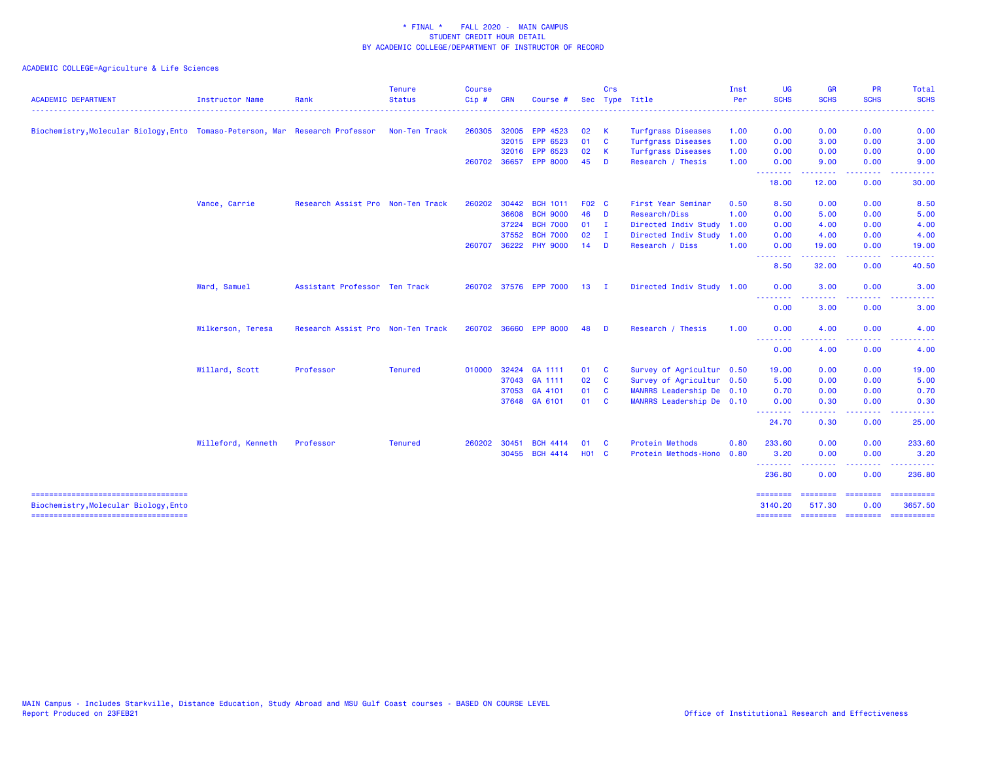| <b>ACADEMIC DEPARTMENT</b>                                                    | <b>Instructor Name</b> | Rank                              | <b>Tenure</b><br><b>Status</b> | <b>Course</b><br>Cip# | <b>CRN</b>   | Course                |              | Crs          | Sec Type Title            | Inst<br>Per | <b>UG</b><br><b>SCHS</b> | <b>GR</b><br><b>SCHS</b> | <b>PR</b><br><b>SCHS</b> | Total<br><b>SCHS</b>                                                                                                                                 |
|-------------------------------------------------------------------------------|------------------------|-----------------------------------|--------------------------------|-----------------------|--------------|-----------------------|--------------|--------------|---------------------------|-------------|--------------------------|--------------------------|--------------------------|------------------------------------------------------------------------------------------------------------------------------------------------------|
|                                                                               |                        |                                   | . <u>.</u> .                   |                       |              |                       |              |              |                           |             |                          |                          |                          | $\frac{1}{2} \left( \frac{1}{2} \right) \left( \frac{1}{2} \right) \left( \frac{1}{2} \right) \left( \frac{1}{2} \right) \left( \frac{1}{2} \right)$ |
| Biochemistry, Molecular Biology, Ento Tomaso-Peterson, Mar Research Professor |                        |                                   | Non-Ten Track                  | 260305                | 32005        | EPP 4523              | 02           | -K           | <b>Turfgrass Diseases</b> | 1.00        | 0.00                     | 0.00                     | 0.00                     | 0.00                                                                                                                                                 |
|                                                                               |                        |                                   |                                |                       | 32015        | EPP 6523              | 01           | <b>C</b>     | <b>Turfgrass Diseases</b> | 1.00        | 0.00                     | 3.00                     | 0.00                     | 3.00                                                                                                                                                 |
|                                                                               |                        |                                   |                                |                       | 32016        | EPP 6523              | 02           | -K           | <b>Turfgrass Diseases</b> | 1.00        | 0.00                     | 0.00                     | 0.00                     | 0.00                                                                                                                                                 |
|                                                                               |                        |                                   |                                |                       | 260702 36657 | <b>EPP 8000</b>       | 45           | D            | Research / Thesis         | 1.00        | 0.00<br>.                | 9.00                     | 0.00                     | 9.00                                                                                                                                                 |
|                                                                               |                        |                                   |                                |                       |              |                       |              |              |                           |             | 18.00                    | 12.00                    | 0.00                     | 30.00                                                                                                                                                |
|                                                                               | Vance, Carrie          | Research Assist Pro Non-Ten Track |                                | 260202                | 30442        | <b>BCH 1011</b>       | F02 C        |              | First Year Seminar        | 0.50        | 8.50                     | 0.00                     | 0.00                     | 8.50                                                                                                                                                 |
|                                                                               |                        |                                   |                                |                       | 36608        | <b>BCH 9000</b>       | 46           | <b>D</b>     | Research/Diss             | 1.00        | 0.00                     | 5.00                     | 0.00                     | 5.00                                                                                                                                                 |
|                                                                               |                        |                                   |                                |                       | 37224        | <b>BCH 7000</b>       | 01           | $\mathbf{I}$ | Directed Indiv Study      | 1.00        | 0.00                     | 4.00                     | 0.00                     | 4.00                                                                                                                                                 |
|                                                                               |                        |                                   |                                |                       | 37552        | <b>BCH 7000</b>       | 02           | $\mathbf{I}$ | Directed Indiv Study      | 1.00        | 0.00                     | 4.00                     | 0.00                     | 4.00                                                                                                                                                 |
|                                                                               |                        |                                   |                                | 260707                | 36222        | <b>PHY 9000</b>       | 14           | <b>D</b>     | Research / Diss           | 1.00        | 0.00<br><u>.</u>         | 19.00<br>.               | 0.00<br>----             | 19.00                                                                                                                                                |
|                                                                               |                        |                                   |                                |                       |              |                       |              |              |                           |             | 8.50                     | 32.00                    | 0.00                     | 40.50                                                                                                                                                |
|                                                                               | Ward, Samuel           | Assistant Professor Ten Track     |                                |                       |              | 260702 37576 EPP 7000 | 13           | $\mathbf{I}$ | Directed Indiv Study 1.00 |             | 0.00                     | 3.00                     | 0.00                     | 3.00                                                                                                                                                 |
|                                                                               |                        |                                   |                                |                       |              |                       |              |              |                           |             | ----<br>0.00             | 3.00                     | 0.00                     | 3.00                                                                                                                                                 |
|                                                                               | Wilkerson, Teresa      | Research Assist Pro Non-Ten Track |                                |                       | 260702 36660 | <b>EPP 8000</b>       | 48           | - D          | Research / Thesis         | 1.00        | 0.00                     | 4.00                     | 0.00                     | 4.00                                                                                                                                                 |
|                                                                               |                        |                                   |                                |                       |              |                       |              |              |                           |             | .<br>0.00                | 4.00                     | 0.00                     | 4.00                                                                                                                                                 |
|                                                                               | Willard, Scott         | Professor                         | <b>Tenured</b>                 |                       |              | 010000 32424 GA 1111  | 01           | <b>C</b>     | Survey of Agricultur 0.50 |             | 19.00                    | 0.00                     | 0.00                     | 19.00                                                                                                                                                |
|                                                                               |                        |                                   |                                |                       |              | 37043 GA 1111         | 02           | $\mathbf{C}$ | Survey of Agricultur 0.50 |             | 5.00                     | 0.00                     | 0.00                     | 5.00                                                                                                                                                 |
|                                                                               |                        |                                   |                                |                       |              | 37053 GA 4101         | 01           | $\mathbf{C}$ | MANRRS Leadership De 0.10 |             | 0.70                     | 0.00                     | 0.00                     | 0.70                                                                                                                                                 |
|                                                                               |                        |                                   |                                |                       |              | 37648 GA 6101         | 01 C         |              | MANRRS Leadership De 0.10 |             | 0.00<br><u>.</u>         | 0.30<br>.                | 0.00<br>. <b>.</b>       | 0.30<br>.                                                                                                                                            |
|                                                                               |                        |                                   |                                |                       |              |                       |              |              |                           |             | 24.70                    | 0.30                     | 0.00                     | 25.00                                                                                                                                                |
|                                                                               | Willeford, Kenneth     | Professor                         | <b>Tenured</b>                 | 260202                | 30451        | <b>BCH 4414</b>       | 01           | <b>C</b>     | Protein Methods           | 0.80        | 233.60                   | 0.00                     | 0.00                     | 233.60                                                                                                                                               |
|                                                                               |                        |                                   |                                |                       | 30455        | <b>BCH 4414</b>       | <b>HO1 C</b> |              | Protein Methods-Hono      | 0.80        | 3.20<br><u>.</u>         | 0.00<br>. <u>.</u> .     | 0.00<br>. <u>.</u>       | 3.20<br>.                                                                                                                                            |
|                                                                               |                        |                                   |                                |                       |              |                       |              |              |                           |             | 236,80                   | 0.00                     | 0.00                     | 236.80                                                                                                                                               |
| Biochemistry, Molecular Biology, Ento                                         |                        |                                   |                                |                       |              |                       |              |              |                           |             | 3140.20                  | 517.30                   | 0.00                     | ==========<br>3657.50                                                                                                                                |
| =====================================                                         |                        |                                   |                                |                       |              |                       |              |              |                           |             |                          |                          |                          |                                                                                                                                                      |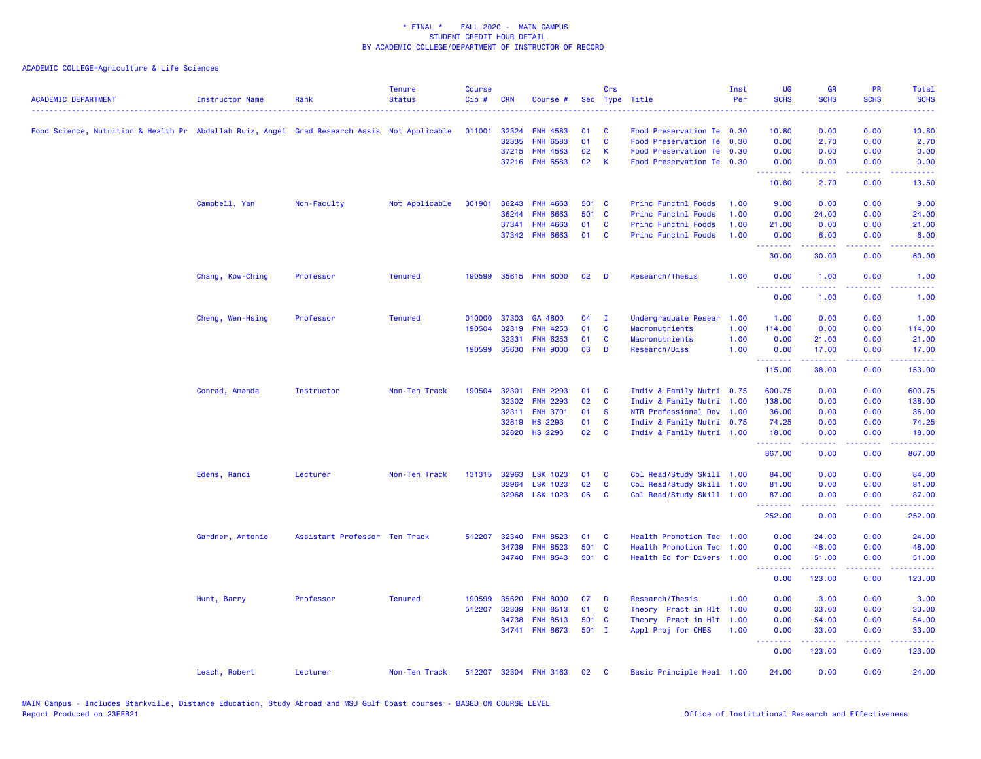| <b>ACADEMIC DEPARTMENT</b>                                                                  | <b>Instructor Name</b> | Rank                          | <b>Tenure</b><br><b>Status</b> | <b>Course</b><br>$Cip \#$ | <b>CRN</b>   | Course #              |       | Crs          | Sec Type Title             | Inst<br>Per | <b>UG</b><br><b>SCHS</b>        | <b>GR</b><br><b>SCHS</b> | <b>PR</b><br><b>SCHS</b>            | <b>Total</b><br><b>SCHS</b> |
|---------------------------------------------------------------------------------------------|------------------------|-------------------------------|--------------------------------|---------------------------|--------------|-----------------------|-------|--------------|----------------------------|-------------|---------------------------------|--------------------------|-------------------------------------|-----------------------------|
| Food Science, Nutrition & Health Pr Abdallah Ruiz, Angel Grad Research Assis Not Applicable |                        |                               |                                | 011001                    | 32324        | <b>FNH 4583</b>       | 01    | C            | Food Preservation Te 0.30  |             | 10.80                           | 0.00                     | 0.00                                | 10.80                       |
|                                                                                             |                        |                               |                                |                           | 32335        | <b>FNH 6583</b>       | 01    | $\mathbf{C}$ | Food Preservation Te 0.30  |             | 0.00                            | 2.70                     | 0.00                                | 2.70                        |
|                                                                                             |                        |                               |                                |                           | 37215        | <b>FNH 4583</b>       | 02    | K            | Food Preservation Te 0.30  |             | 0.00                            | 0.00                     | 0.00                                | 0.00                        |
|                                                                                             |                        |                               |                                |                           |              | 37216 FNH 6583        | 02    | K            | Food Preservation Te 0.30  |             | 0.00                            | 0.00                     | 0.00                                | 0.00                        |
|                                                                                             |                        |                               |                                |                           |              |                       |       |              |                            |             | <u>.</u><br>10.80               | 22222<br>2.70            | $\sim$ $\sim$ $\sim$ $\sim$<br>0.00 | والمستحدث<br>13.50          |
|                                                                                             | Campbell, Yan          | Non-Faculty                   | Not Applicable                 | 301901                    | 36243        | <b>FNH 4663</b>       | 501 C |              | Princ Functnl Foods        | 1.00        | 9.00                            | 0.00                     | 0.00                                | 9.00                        |
|                                                                                             |                        |                               |                                |                           | 36244        | 6663<br><b>FNH</b>    | 501 C |              | <b>Princ Functnl Foods</b> | 1.00        | 0.00                            | 24.00                    | 0.00                                | 24.00                       |
|                                                                                             |                        |                               |                                |                           | 37341        | <b>FNH 4663</b>       | 01    | C            | Princ Functnl Foods        | 1.00        | 21.00                           | 0.00                     | 0.00                                | 21.00                       |
|                                                                                             |                        |                               |                                |                           |              | 37342 FNH 6663        | 01    | C            | <b>Princ Functnl Foods</b> | 1.00        | 0.00                            | 6.00                     | 0.00                                | 6.00                        |
|                                                                                             |                        |                               |                                |                           |              |                       |       |              |                            |             | .<br>30.00                      | .<br>30.00               | .<br>0.00                           | والمستحدث<br>60.00          |
|                                                                                             | Chang, Kow-Ching       | Professor                     | <b>Tenured</b>                 | 190599                    |              | 35615 FNH 8000        | 02    | D            | Research/Thesis            | 1.00        | 0.00<br>222<br>22222            | 1.00<br>.                | 0.00                                | 1.00                        |
|                                                                                             |                        |                               |                                |                           |              |                       |       |              |                            |             | 0.00                            | 1.00                     | 0.00                                | 1.00                        |
|                                                                                             | Cheng, Wen-Hsing       | Professor                     | <b>Tenured</b>                 |                           | 010000 37303 | GA 4800               | 04    | $\mathbf{I}$ | Undergraduate Resear       | 1.00        | 1.00                            | 0.00                     | 0.00                                | 1.00                        |
|                                                                                             |                        |                               |                                | 190504                    | 32319        | <b>FNH 4253</b>       | 01    | C            | Macronutrients             | 1.00        | 114.00                          | 0.00                     | 0.00                                | 114.00                      |
|                                                                                             |                        |                               |                                |                           | 32331        | <b>FNH 6253</b>       | 01    | C            | Macronutrients             | 1.00        | 0.00                            | 21.00                    | 0.00                                | 21.00                       |
|                                                                                             |                        |                               |                                |                           | 190599 35630 | <b>FNH 9000</b>       | 03    | D            | Research/Diss              | 1.00        | 0.00                            | 17.00<br>.               | 0.00<br>.                           | 17.00<br><u>.</u>           |
|                                                                                             |                        |                               |                                |                           |              |                       |       |              |                            |             | .<br>115.00                     | 38.00                    | 0.00                                | 153.00                      |
|                                                                                             | Conrad, Amanda         | Instructor                    | Non-Ten Track                  | 190504                    | 32301        | <b>FNH 2293</b>       | 01    | C            | Indiv & Family Nutri 0.75  |             | 600.75                          | 0.00                     | 0.00                                | 600.75                      |
|                                                                                             |                        |                               |                                |                           | 32302        | <b>FNH 2293</b>       | 02    | C            | Indiv & Family Nutri 1.00  |             | 138.00                          | 0.00                     | 0.00                                | 138.00                      |
|                                                                                             |                        |                               |                                |                           | 32311        | <b>FNH 3701</b>       | 01    | <b>S</b>     | NTR Professional Dev 1.00  |             | 36.00                           | 0.00                     | 0.00                                | 36.00                       |
|                                                                                             |                        |                               |                                |                           | 32819        | <b>HS 2293</b>        | 01    | $\mathbf{C}$ | Indiv & Family Nutri 0.75  |             | 74.25                           | 0.00                     | 0.00                                | 74.25                       |
|                                                                                             |                        |                               |                                |                           | 32820        | <b>HS 2293</b>        | 02    | C            | Indiv & Family Nutri 1.00  |             | 18.00<br>.                      | 0.00<br>.                | 0.00<br>$\sim$ $\sim$ $\sim$ $\sim$ | 18.00<br>.                  |
|                                                                                             |                        |                               |                                |                           |              |                       |       |              |                            |             | 867.00                          | 0.00                     | 0.00                                | 867.00                      |
|                                                                                             | Edens, Randi           | Lecturer                      | Non-Ten Track                  |                           | 131315 32963 | <b>LSK 1023</b>       | 01    | C            | Col Read/Study Skill 1.00  |             | 84.00                           | 0.00                     | 0.00                                | 84.00                       |
|                                                                                             |                        |                               |                                |                           | 32964        | <b>LSK 1023</b>       | 02    | $\mathbf{C}$ | Col Read/Study Skill 1.00  |             | 81.00                           | 0.00                     | 0.00                                | 81.00                       |
|                                                                                             |                        |                               |                                |                           | 32968        | <b>LSK 1023</b>       | 06    | C            | Col Read/Study Skill 1.00  |             | 87.00<br>.                      | 0.00<br>22222            | 0.00<br>المتمامين                   | 87.00<br>.                  |
|                                                                                             |                        |                               |                                |                           |              |                       |       |              |                            |             | 252.00                          | 0.00                     | 0.00                                | 252.00                      |
|                                                                                             | Gardner, Antonio       | Assistant Professor Ten Track |                                | 512207                    | 32340        | <b>FNH 8523</b>       | 01    | C            | Health Promotion Tec 1.00  |             | 0.00                            | 24.00                    | 0.00                                | 24.00                       |
|                                                                                             |                        |                               |                                |                           | 34739        | <b>FNH 8523</b>       | 501 C |              | Health Promotion Tec 1.00  |             | 0.00                            | 48.00                    | 0.00                                | 48.00                       |
|                                                                                             |                        |                               |                                |                           |              | 34740 FNH 8543        | 501 C |              | Health Ed for Divers 1.00  |             | 0.00<br><u>.</u>                | 51.00<br>.               | 0.00<br>.                           | 51.00                       |
|                                                                                             |                        |                               |                                |                           |              |                       |       |              |                            |             | 0.00                            | 123.00                   | 0.00                                | 123.00                      |
|                                                                                             | Hunt, Barry            | Professor                     | <b>Tenured</b>                 | 190599                    | 35620        | <b>FNH 8000</b>       | 07    | D            | Research/Thesis            | 1.00        | 0.00                            | 3.00                     | 0.00                                | 3.00                        |
|                                                                                             |                        |                               |                                | 512207                    | 32339        | <b>FNH 8513</b>       | 01    | C            | Theory Pract in Hlt 1.00   |             | 0.00                            | 33.00                    | 0.00                                | 33.00                       |
|                                                                                             |                        |                               |                                |                           | 34738        | <b>FNH 8513</b>       | 501 C |              | Theory Pract in Hlt 1.00   |             | 0.00                            | 54.00                    | 0.00                                | 54.00                       |
|                                                                                             |                        |                               |                                |                           |              | 34741 FNH 8673        | 501 I |              | Appl Proj for CHES         | 1.00        | 0.00                            | 33.00                    | 0.00                                | 33.00                       |
|                                                                                             |                        |                               |                                |                           |              |                       |       |              |                            |             | <u> - - - - - - - -</u><br>0.00 | .<br>123.00              | .<br>0.00                           | <u>.</u><br>123.00          |
|                                                                                             | Leach, Robert          | Lecturer                      | Non-Ten Track                  |                           |              | 512207 32304 FNH 3163 | 02    | <b>C</b>     | Basic Principle Heal 1.00  |             | 24.00                           | 0.00                     | 0.00                                | 24.00                       |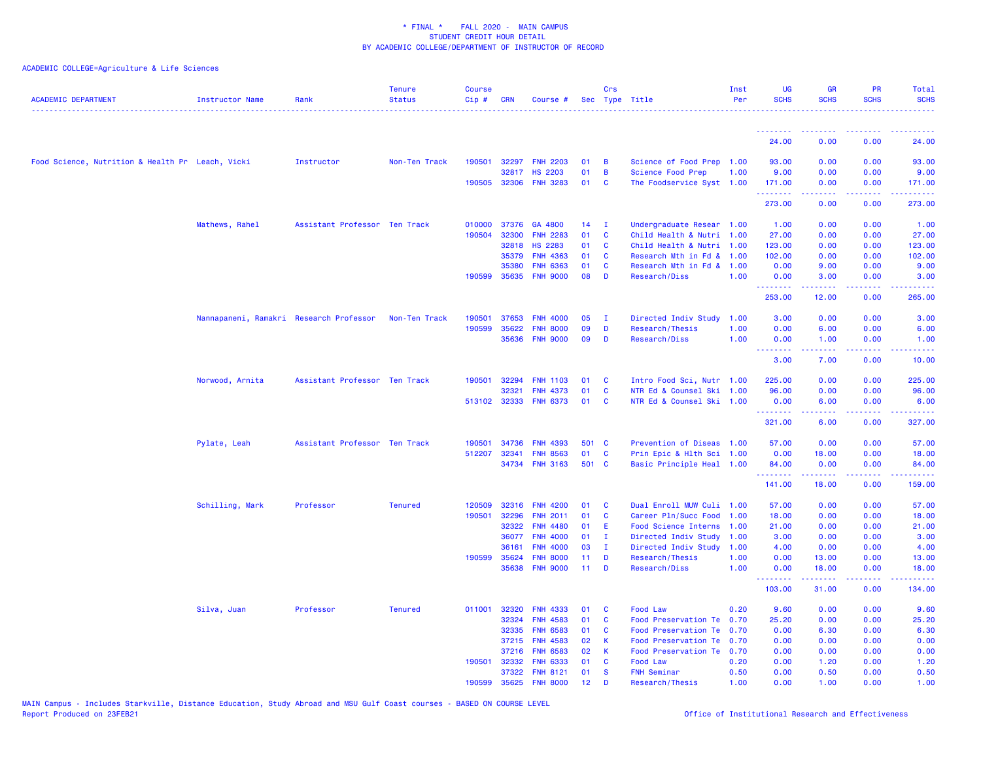| <b>ACADEMIC DEPARTMENT</b>                       | <b>Instructor Name</b>                  | Rank                          | <b>Tenure</b><br><b>Status</b> | <b>Course</b><br>Cip# | <b>CRN</b>     | Course #                           |                 | Crs            | Sec Type Title                             | Inst<br>Per | <b>UG</b><br><b>SCHS</b> | <b>GR</b><br><b>SCHS</b> | <b>PR</b><br><b>SCHS</b> | <b>Total</b><br><b>SCHS</b>                                                                                                       |
|--------------------------------------------------|-----------------------------------------|-------------------------------|--------------------------------|-----------------------|----------------|------------------------------------|-----------------|----------------|--------------------------------------------|-------------|--------------------------|--------------------------|--------------------------|-----------------------------------------------------------------------------------------------------------------------------------|
|                                                  |                                         |                               |                                |                       |                |                                    |                 |                |                                            |             | <u> - - - - - - - -</u>  | .                        | <u> - - - - - - - -</u>  | . <u>.</u> .                                                                                                                      |
|                                                  |                                         |                               |                                |                       |                |                                    |                 |                |                                            |             | 24.00                    | 0.00                     | 0.00                     | 24.00                                                                                                                             |
| Food Science, Nutrition & Health Pr Leach, Vicki |                                         | Instructor                    | Non-Ten Track                  | 190501                | 32297          | <b>FNH 2203</b>                    | 01              | $\overline{B}$ | Science of Food Prep 1.00                  |             | 93.00                    | 0.00                     | 0.00                     | 93.00                                                                                                                             |
|                                                  |                                         |                               |                                |                       | 32817          | <b>HS 2203</b>                     | 01              | $\overline{B}$ | Science Food Prep                          | 1.00        | 9.00                     | 0.00                     | 0.00                     | 9.00                                                                                                                              |
|                                                  |                                         |                               |                                |                       |                | 190505 32306 FNH 3283              | 01              | <b>C</b>       | The Foodservice Syst 1.00                  |             | 171.00<br><u>.</u>       | 0.00<br>.                | 0.00<br>.                | 171.00<br>د د د د د د                                                                                                             |
|                                                  |                                         |                               |                                |                       |                |                                    |                 |                |                                            |             | 273.00                   | 0.00                     | 0.00                     | 273.00                                                                                                                            |
|                                                  | Mathews, Rahel                          | Assistant Professor Ten Track |                                | 010000                | 37376          | GA 4800                            | 14              | $\mathbf{I}$   | Undergraduate Resear 1.00                  |             | 1.00                     | 0.00                     | 0.00                     | 1.00                                                                                                                              |
|                                                  |                                         |                               |                                | 190504                | 32300          | <b>FNH 2283</b>                    | 01              | <b>C</b>       | Child Health & Nutri 1.00                  |             | 27.00                    | 0.00                     | 0.00                     | 27.00                                                                                                                             |
|                                                  |                                         |                               |                                |                       | 32818          | <b>HS 2283</b>                     | 01              | <b>C</b>       | Child Health & Nutri 1.00                  |             | 123.00                   | 0.00                     | 0.00                     | 123.00                                                                                                                            |
|                                                  |                                         |                               |                                |                       | 35379          | <b>FNH 4363</b>                    | 01              | <b>C</b>       | Research Mth in Fd & 1.00                  |             | 102.00                   | 0.00                     | 0.00                     | 102.00                                                                                                                            |
|                                                  |                                         |                               |                                | 190599                | 35380<br>35635 | <b>FNH 6363</b><br><b>FNH 9000</b> | 01<br>08        | <b>C</b><br>D  | Research Mth in Fd & 1.00<br>Research/Diss | 1.00        | 0.00<br>0.00             | 9.00<br>3.00             | 0.00<br>0.00             | 9.00<br>3.00                                                                                                                      |
|                                                  |                                         |                               |                                |                       |                |                                    |                 |                |                                            |             | .                        |                          | .                        | <u>.</u>                                                                                                                          |
|                                                  |                                         |                               |                                |                       |                |                                    |                 |                |                                            |             | 253.00                   | 12.00                    | 0.00                     | 265,00                                                                                                                            |
|                                                  | Nannapaneni, Ramakri Research Professor |                               | Non-Ten Track                  | 190501                | 37653          | <b>FNH 4000</b>                    | 05              | $\mathbf{I}$   | Directed Indiv Study                       | 1.00        | 3.00                     | 0.00                     | 0.00                     | 3.00                                                                                                                              |
|                                                  |                                         |                               |                                | 190599                | 35622          | <b>FNH 8000</b>                    | 09              | D              | Research/Thesis                            | 1.00        | 0.00                     | 6.00                     | 0.00                     | 6.00                                                                                                                              |
|                                                  |                                         |                               |                                |                       | 35636          | <b>FNH 9000</b>                    | 09              | D              | Research/Diss                              | 1.00        | 0.00<br>.                | 1.00<br>.                | 0.00<br>.                | 1.00<br>$\frac{1}{2} \left( \frac{1}{2} \right) \left( \frac{1}{2} \right) \left( \frac{1}{2} \right) \left( \frac{1}{2} \right)$ |
|                                                  |                                         |                               |                                |                       |                |                                    |                 |                |                                            |             | 3.00                     | 7.00                     | 0.00                     | 10.00                                                                                                                             |
|                                                  | Norwood, Arnita                         | Assistant Professor Ten Track |                                | 190501                | 32294          | <b>FNH 1103</b>                    | 01              | <b>C</b>       | Intro Food Sci, Nutr 1.00                  |             | 225.00                   | 0.00                     | 0.00                     | 225.00                                                                                                                            |
|                                                  |                                         |                               |                                |                       | 32321          | <b>FNH 4373</b>                    | 01              | <b>C</b>       | NTR Ed & Counsel Ski                       | 1.00        | 96.00                    | 0.00                     | 0.00                     | 96.00                                                                                                                             |
|                                                  |                                         |                               |                                | 513102 32333          |                | <b>FNH 6373</b>                    | 01              | <b>C</b>       | NTR Ed & Counsel Ski 1.00                  |             | 0.00<br>.                | 6.00<br>.                | 0.00<br>.                | 6.00<br><u>.</u>                                                                                                                  |
|                                                  |                                         |                               |                                |                       |                |                                    |                 |                |                                            |             | 321.00                   | 6.00                     | 0.00                     | 327.00                                                                                                                            |
|                                                  | Pylate, Leah                            | Assistant Professor Ten Track |                                | 190501                | 34736          | <b>FNH 4393</b>                    | 501 C           |                | Prevention of Diseas 1.00                  |             | 57.00                    | 0.00                     | 0.00                     | 57.00                                                                                                                             |
|                                                  |                                         |                               |                                | 512207                | 32341          | <b>FNH 8563</b>                    | 01              | $\mathbf{C}$   | Prin Epic & Hlth Sci 1.00                  |             | 0.00                     | 18.00                    | 0.00                     | 18.00                                                                                                                             |
|                                                  |                                         |                               |                                |                       |                | 34734 FNH 3163                     | 501 C           |                | Basic Principle Heal 1.00                  |             | 84.00                    | 0.00                     | 0.00                     | 84.00                                                                                                                             |
|                                                  |                                         |                               |                                |                       |                |                                    |                 |                |                                            |             | .<br>141.00              | <u>.</u><br>18.00        | .<br>0.00                | .<br>159.00                                                                                                                       |
|                                                  | Schilling, Mark                         | Professor                     | <b>Tenured</b>                 | 120509                | 32316          | <b>FNH 4200</b>                    | 01              | $\mathbf{C}$   | Dual Enroll MUW Culi                       | 1.00        | 57.00                    | 0.00                     | 0.00                     | 57.00                                                                                                                             |
|                                                  |                                         |                               |                                | 190501                | 32296          | <b>FNH 2011</b>                    | 01              | <b>C</b>       | Career Pln/Succ Food                       | 1.00        | 18.00                    | 0.00                     | 0.00                     | 18.00                                                                                                                             |
|                                                  |                                         |                               |                                |                       | 32322          | <b>FNH 4480</b>                    | 01              | E.             | Food Science Interns 1.00                  |             | 21.00                    | 0.00                     | 0.00                     | 21.00                                                                                                                             |
|                                                  |                                         |                               |                                |                       | 36077          | <b>FNH 4000</b>                    | 01              | I.             | Directed Indiv Study                       | 1.00        | 3.00                     | 0.00                     | 0.00                     | 3.00                                                                                                                              |
|                                                  |                                         |                               |                                |                       | 36161          | <b>FNH 4000</b>                    | 03              | I.             | Directed Indiv Study                       | 1.00        | 4.00                     | 0.00                     | 0.00                     | 4.00                                                                                                                              |
|                                                  |                                         |                               |                                | 190599                | 35624          | <b>FNH 8000</b>                    | 11              | D              | Research/Thesis                            | 1.00        | 0.00                     | 13.00                    | 0.00                     | 13.00                                                                                                                             |
|                                                  |                                         |                               |                                |                       | 35638          | <b>FNH 9000</b>                    | 11              | D              | Research/Diss                              | 1.00        | 0.00<br>.                | 18.00                    | 0.00<br>د د د د          | 18.00<br>.                                                                                                                        |
|                                                  |                                         |                               |                                |                       |                |                                    |                 |                |                                            |             | 103.00                   | 31.00                    | 0.00                     | 134.00                                                                                                                            |
|                                                  | Silva, Juan                             | Professor                     | <b>Tenured</b>                 | 011001                | 32320          | <b>FNH 4333</b>                    | 01              | <b>C</b>       | Food Law                                   | 0.20        | 9.60                     | 0.00                     | 0.00                     | 9.60                                                                                                                              |
|                                                  |                                         |                               |                                |                       | 32324          | <b>FNH 4583</b>                    | 01              | <b>C</b>       | Food Preservation Te 0.70                  |             | 25.20                    | 0.00                     | 0.00                     | 25.20                                                                                                                             |
|                                                  |                                         |                               |                                |                       | 32335          | <b>FNH 6583</b>                    | 01              | <b>C</b>       | Food Preservation Te 0.70                  |             | 0.00                     | 6.30                     | 0.00                     | 6.30                                                                                                                              |
|                                                  |                                         |                               |                                |                       | 37215          | <b>FNH 4583</b><br><b>FNH 6583</b> | 02              | -K             | Food Preservation Te 0.70                  |             | 0.00                     | 0.00                     | 0.00                     | 0.00                                                                                                                              |
|                                                  |                                         |                               |                                | 190501                | 37216<br>32332 | <b>FNH 6333</b>                    | 02<br>01        | -K<br><b>C</b> | Food Preservation Te 0.70<br>Food Law      | 0.20        | 0.00<br>0.00             | 0.00<br>1.20             | 0.00<br>0.00             | 0.00<br>1.20                                                                                                                      |
|                                                  |                                         |                               |                                |                       | 37322          | <b>FNH 8121</b>                    | 01              | <b>S</b>       | <b>FNH Seminar</b>                         | 0.50        | 0.00                     | 0.50                     | 0.00                     | 0.50                                                                                                                              |
|                                                  |                                         |                               |                                | 190599                | 35625          | <b>FNH 8000</b>                    | 12 <sup>°</sup> | D              | Research/Thesis                            | 1.00        | 0.00                     | 1.00                     | 0.00                     | 1.00                                                                                                                              |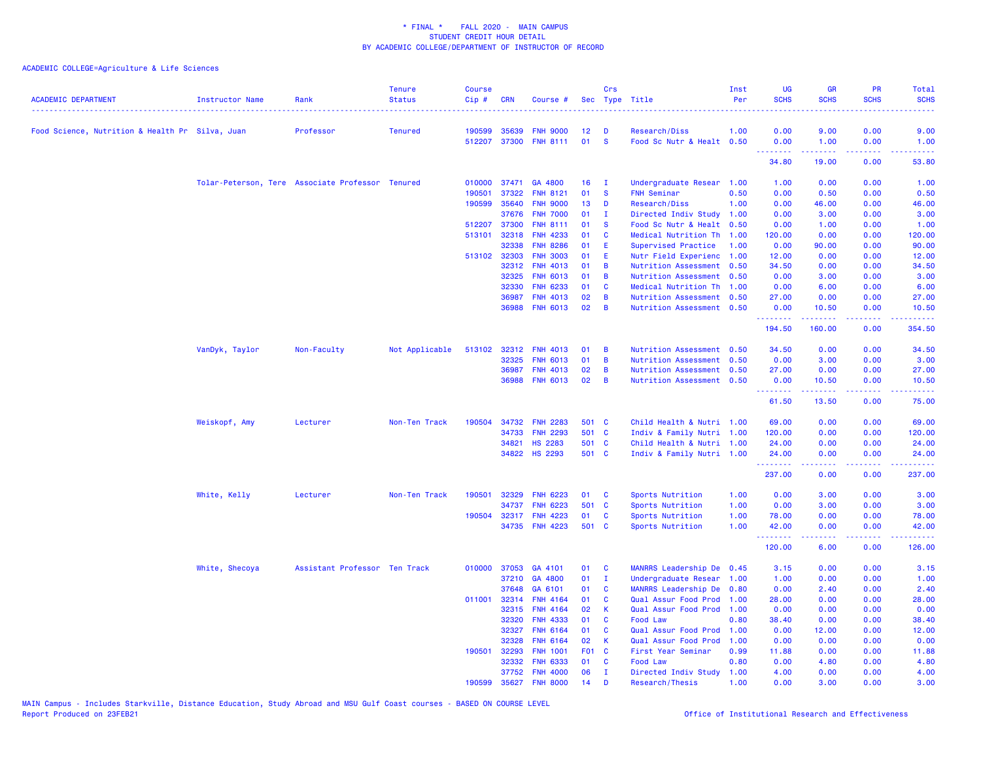| <b>ACADEMIC DEPARTMENT</b>                      | Instructor Name                                  | Rank                          | <b>Tenure</b><br><b>Status</b> | <b>Course</b><br>Cip# | <b>CRN</b>   | Course #        |       | Crs          | Sec Type Title            | Inst<br>Per | <b>UG</b><br><b>SCHS</b> | <b>GR</b><br><b>SCHS</b> | <b>PR</b><br><b>SCHS</b>                                                                                                          | Total<br><b>SCHS</b>      |
|-------------------------------------------------|--------------------------------------------------|-------------------------------|--------------------------------|-----------------------|--------------|-----------------|-------|--------------|---------------------------|-------------|--------------------------|--------------------------|-----------------------------------------------------------------------------------------------------------------------------------|---------------------------|
| Food Science, Nutrition & Health Pr Silva, Juan |                                                  | Professor                     | <b>Tenured</b>                 | 190599                | 35639        | <b>FNH 9000</b> | 12    | Ð            | Research/Diss             | 1.00        | 0.00                     | 9.00                     | 0.00                                                                                                                              | 9.00                      |
|                                                 |                                                  |                               |                                | 512207                | 37300        | <b>FNH 8111</b> | 01    | <b>S</b>     | Food Sc Nutr & Healt 0.50 |             | 0.00                     | 1.00                     | 0.00                                                                                                                              | 1.00                      |
|                                                 |                                                  |                               |                                |                       |              |                 |       |              |                           |             | .<br>34.80               | 22222<br>19.00           | بالأباب<br>0.00                                                                                                                   | 53.80                     |
|                                                 | Tolar-Peterson, Tere Associate Professor Tenured |                               |                                | 010000                | 37471        | GA 4800         | 16    | $\mathbf{I}$ | Undergraduate Resear 1.00 |             | 1.00                     | 0.00                     | 0.00                                                                                                                              | 1.00                      |
|                                                 |                                                  |                               |                                | 190501                | 37322        | <b>FNH 8121</b> | 01    | <b>S</b>     | <b>FNH Seminar</b>        | 0.50        | 0.00                     | 0.50                     | 0.00                                                                                                                              | 0.50                      |
|                                                 |                                                  |                               |                                | 190599                | 35640        | <b>FNH 9000</b> | 13    | D            | Research/Diss             | 1.00        | 0.00                     | 46.00                    | 0.00                                                                                                                              | 46.00                     |
|                                                 |                                                  |                               |                                |                       | 37676        | <b>FNH 7000</b> | 01    | $\mathbf I$  | Directed Indiv Study      | 1.00        | 0.00                     | 3.00                     | 0.00                                                                                                                              | 3.00                      |
|                                                 |                                                  |                               |                                |                       | 512207 37300 | <b>FNH 8111</b> | 01    | <b>S</b>     | Food Sc Nutr & Healt 0.50 |             | 0.00                     | 1.00                     | 0.00                                                                                                                              | 1.00                      |
|                                                 |                                                  |                               |                                | 513101                | 32318        | <b>FNH 4233</b> | 01    | C            | Medical Nutrition Th      | 1.00        | 120.00                   | 0.00                     | 0.00                                                                                                                              | 120.00                    |
|                                                 |                                                  |                               |                                |                       | 32338        | <b>FNH 8286</b> | 01    | Ε            | Supervised Practice       | 1.00        | 0.00                     | 90.00                    | 0.00                                                                                                                              | 90.00                     |
|                                                 |                                                  |                               |                                |                       | 513102 32303 | <b>FNH 3003</b> | 01    | E            | Nutr Field Experienc      | 1.00        | 12.00                    | 0.00                     | 0.00                                                                                                                              | 12.00                     |
|                                                 |                                                  |                               |                                |                       | 32312        | <b>FNH 4013</b> | 01    | B            | Nutrition Assessment 0.50 |             | 34.50                    | 0.00                     | 0.00                                                                                                                              | 34.50                     |
|                                                 |                                                  |                               |                                |                       | 32325        | <b>FNH 6013</b> | 01    | B            | Nutrition Assessment 0.50 |             | 0.00                     | 3.00                     | 0.00                                                                                                                              | 3.00                      |
|                                                 |                                                  |                               |                                |                       | 32330        | <b>FNH 6233</b> | 01    | C            | Medical Nutrition Th 1.00 |             | 0.00                     | 6.00                     | 0.00                                                                                                                              | 6.00                      |
|                                                 |                                                  |                               |                                |                       | 36987        | <b>FNH 4013</b> | 02    | B            | Nutrition Assessment 0.50 |             | 27.00                    | 0.00                     | 0.00                                                                                                                              | 27.00                     |
|                                                 |                                                  |                               |                                |                       | 36988        | <b>FNH 6013</b> | 02    | B            | Nutrition Assessment 0.50 |             | 0.00<br>.                | 10.50<br>$- - - - -$     | 0.00<br>.                                                                                                                         | 10.50<br>.                |
|                                                 |                                                  |                               |                                |                       |              |                 |       |              |                           |             | 194.50                   | 160.00                   | 0.00                                                                                                                              | 354.50                    |
|                                                 | VanDyk, Taylor                                   | Non-Faculty                   | Not Applicable                 | 513102                | 32312        | <b>FNH 4013</b> | 01    | B            | Nutrition Assessment 0.50 |             | 34.50                    | 0.00                     | 0.00                                                                                                                              | 34.50                     |
|                                                 |                                                  |                               |                                |                       | 32325        | <b>FNH 6013</b> | 01    | B            | Nutrition Assessment 0.50 |             | 0.00                     | 3.00                     | 0.00                                                                                                                              | 3.00                      |
|                                                 |                                                  |                               |                                |                       | 36987        | <b>FNH 4013</b> | 02    | B            | Nutrition Assessment 0.50 |             | 27.00                    | 0.00                     | 0.00                                                                                                                              | 27.00                     |
|                                                 |                                                  |                               |                                |                       |              | 36988 FNH 6013  | 02    | B            | Nutrition Assessment 0.50 |             | 0.00<br>.                | 10.50<br>.               | 0.00<br>-----                                                                                                                     | 10.50<br>.                |
|                                                 |                                                  |                               |                                |                       |              |                 |       |              |                           |             | 61.50                    | 13.50                    | 0.00                                                                                                                              | 75.00                     |
|                                                 | Weiskopf, Amy                                    | Lecturer                      | Non-Ten Track                  | 190504                | 34732        | <b>FNH 2283</b> | 501 C |              | Child Health & Nutri 1.00 |             | 69.00                    | 0.00                     | 0.00                                                                                                                              | 69.00                     |
|                                                 |                                                  |                               |                                |                       | 34733        | <b>FNH 2293</b> | 501 C |              | Indiv & Family Nutri 1.00 |             | 120.00                   | 0.00                     | 0.00                                                                                                                              | 120.00                    |
|                                                 |                                                  |                               |                                |                       | 34821        | <b>HS 2283</b>  | 501 C |              | Child Health & Nutri 1.00 |             | 24.00                    | 0.00                     | 0.00                                                                                                                              | 24.00                     |
|                                                 |                                                  |                               |                                |                       |              | 34822 HS 2293   | 501 C |              | Indiv & Family Nutri 1.00 |             | 24.00<br><b></b>         | 0.00                     | 0.00<br>$\frac{1}{2} \left( \frac{1}{2} \right) \left( \frac{1}{2} \right) \left( \frac{1}{2} \right) \left( \frac{1}{2} \right)$ | 24.00<br>.                |
|                                                 |                                                  |                               |                                |                       |              |                 |       |              |                           |             | 237.00                   | 0.00                     | 0.00                                                                                                                              | 237.00                    |
|                                                 | White, Kelly                                     | Lecturer                      | Non-Ten Track                  | 190501                | 32329        | <b>FNH 6223</b> | 01    | C            | Sports Nutrition          | 1.00        | 0.00                     | 3.00                     | 0.00                                                                                                                              | 3.00                      |
|                                                 |                                                  |                               |                                |                       | 34737        | <b>FNH 6223</b> | 501   | <b>C</b>     | Sports Nutrition          | 1.00        | 0.00                     | 3.00                     | 0.00                                                                                                                              | 3.00                      |
|                                                 |                                                  |                               |                                | 190504                | 32317        | <b>FNH 4223</b> | 01    | C            | Sports Nutrition          | 1.00        | 78.00                    | 0.00                     | 0.00                                                                                                                              | 78.00                     |
|                                                 |                                                  |                               |                                |                       |              | 34735 FNH 4223  | 501 C |              | Sports Nutrition          | 1.00        | 42.00<br>.               | 0.00<br>.                | 0.00<br>-----                                                                                                                     | 42.00<br>والموالي الموالي |
|                                                 |                                                  |                               |                                |                       |              |                 |       |              |                           |             | 120.00                   | 6.00                     | 0.00                                                                                                                              | 126.00                    |
|                                                 | White, Shecoya                                   | Assistant Professor Ten Track |                                | 010000                | 37053        | GA 4101         | 01    | C            | MANRRS Leadership De      | 0.45        | 3.15                     | 0.00                     | 0.00                                                                                                                              | 3.15                      |
|                                                 |                                                  |                               |                                |                       | 37210        | GA 4800         | 01    | $\mathbf{I}$ | Undergraduate Resear      | 1.00        | 1.00                     | 0.00                     | 0.00                                                                                                                              | 1.00                      |
|                                                 |                                                  |                               |                                |                       | 37648        | GA 6101         | 01    | C            | MANRRS Leadership De      | 0.80        | 0.00                     | 2.40                     | 0.00                                                                                                                              | 2.40                      |
|                                                 |                                                  |                               |                                | 011001                | 32314        | <b>FNH 4164</b> | 01    | C            | Qual Assur Food Prod      | 1.00        | 28.00                    | 0.00                     | 0.00                                                                                                                              | 28.00                     |
|                                                 |                                                  |                               |                                |                       | 32315        | FNH 4164        | 02    | К            | Qual Assur Food Prod 1.00 |             | 0.00                     | 0.00                     | 0.00                                                                                                                              | 0.00                      |
|                                                 |                                                  |                               |                                |                       | 32320        | <b>FNH 4333</b> | 01    | C            | Food Law                  | 0.80        | 38.40                    | 0.00                     | 0.00                                                                                                                              | 38.40                     |
|                                                 |                                                  |                               |                                |                       | 32327        | <b>FNH 6164</b> | 01    | C            | Qual Assur Food Prod      | 1.00        | 0.00                     | 12.00                    | 0.00                                                                                                                              | 12.00                     |
|                                                 |                                                  |                               |                                |                       | 32328        | <b>FNH 6164</b> | 02    | К            | Qual Assur Food Prod      | 1.00        | 0.00                     | 0.00                     | 0.00                                                                                                                              | 0.00                      |
|                                                 |                                                  |                               |                                | 190501                | 32293        | <b>FNH 1001</b> | F01 C |              | First Year Seminar        | 0.99        | 11.88                    | 0.00                     | 0.00                                                                                                                              | 11.88                     |
|                                                 |                                                  |                               |                                |                       | 32332        | <b>FNH 6333</b> | 01    | C            | Food Law                  | 0.80        | 0.00                     | 4.80                     | 0.00                                                                                                                              | 4.80                      |
|                                                 |                                                  |                               |                                |                       | 37752        | <b>FNH 4000</b> | 06    | $\mathbf{I}$ | Directed Indiv Study      | 1.00        | 4.00                     | 0.00                     | 0.00                                                                                                                              | 4.00                      |
|                                                 |                                                  |                               |                                | 190599                | 35627        | <b>FNH 8000</b> | 14    | D            | Research/Thesis           | 1.00        | 0.00                     | 3.00                     | 0.00                                                                                                                              | 3.00                      |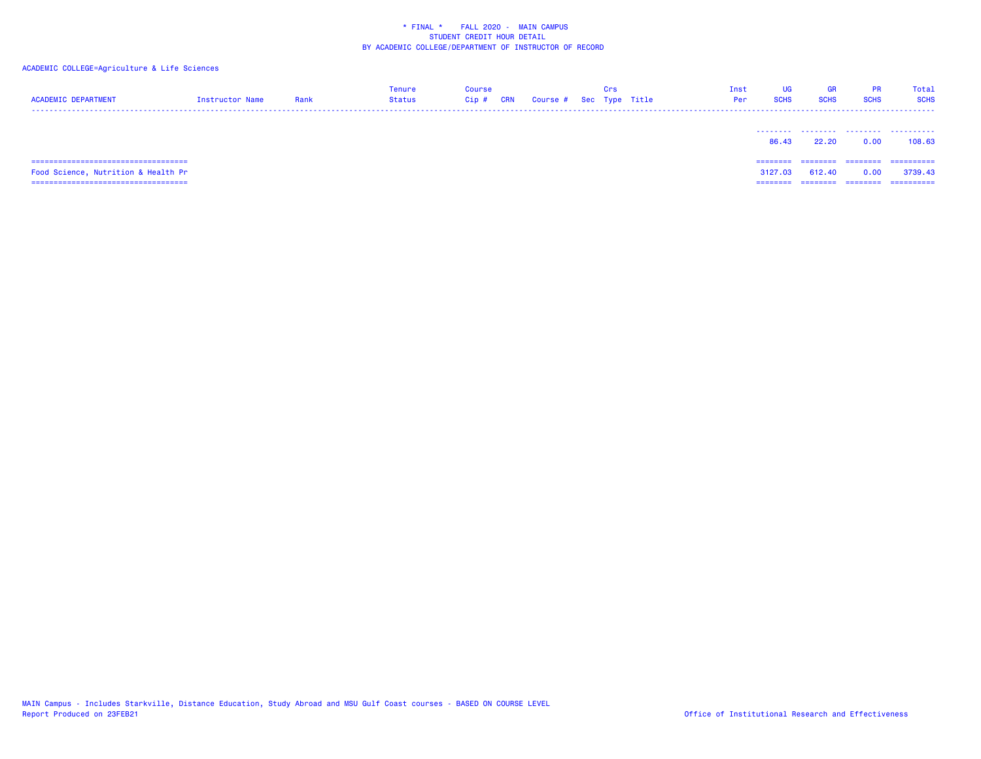# ACADEMIC COLLEGE=Agriculture & Life Sciences

| <b>ACADEMIC DEPARTMENT</b>                                                  | Instructor Name | Rank | <b>Tenure</b><br><b>Status</b> | Course<br>Cip# | <b>CRN</b> | Course # Sec Type Title | Crs | Inst<br>Per | UG<br><b>SCHS</b>   | <b>GR</b><br><b>SCHS</b> | <b>PR</b><br><b>SCHS</b> | Total<br><b>SCHS</b>  |
|-----------------------------------------------------------------------------|-----------------|------|--------------------------------|----------------|------------|-------------------------|-----|-------------|---------------------|--------------------------|--------------------------|-----------------------|
|                                                                             |                 |      |                                |                |            |                         |     |             | 86.43               | <br>22.20                | 0.00                     | .<br>108.63           |
| ====================================<br>Food Science, Nutrition & Health Pr |                 |      |                                |                |            |                         |     |             | ========<br>3127.03 | ========<br>612.40       | ---------<br>0.0⊾        | ==========<br>3739.43 |

=================================== ======== ======== ======== ==========

MAIN Campus - Includes Starkville, Distance Education, Study Abroad and MSU Gulf Coast courses - BASED ON COURSE LEVEL<br>Report Produced on 23FEB21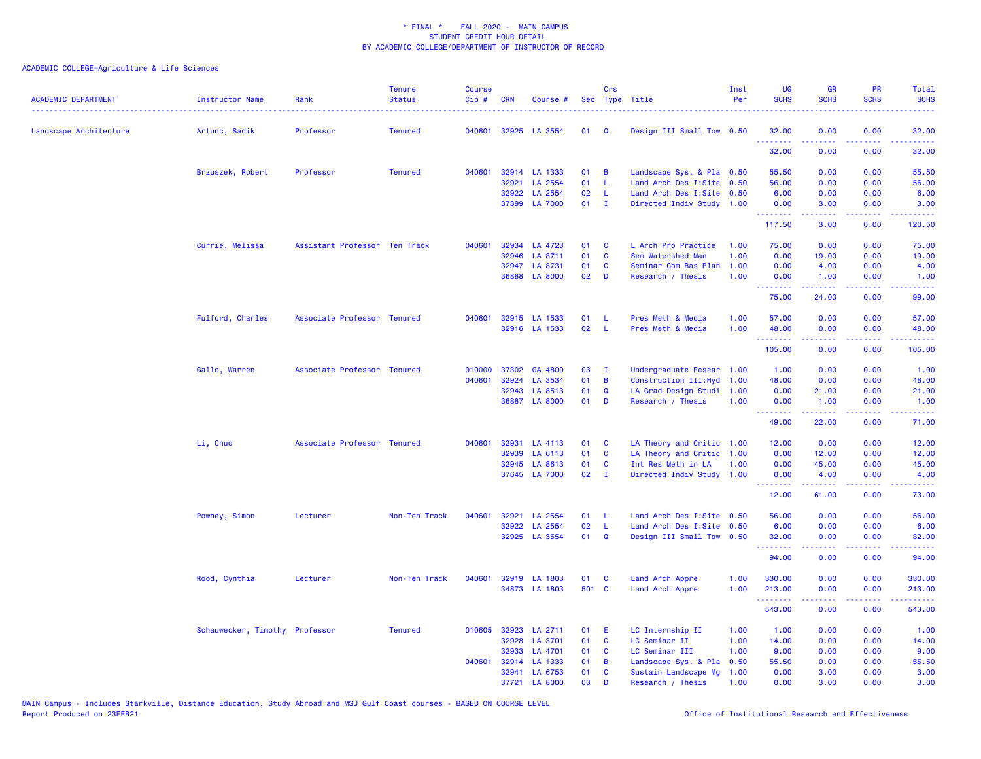| <b>ACADEMIC DEPARTMENT</b> | Instructor Name                | Rank                          | <b>Tenure</b><br><b>Status</b> | <b>Course</b><br>Cip# | <b>CRN</b> | Course #             |       | <b>Crs</b>   | Sec Type Title            | Inst<br>Per | <b>UG</b><br><b>SCHS</b>                                     | <b>GR</b><br><b>SCHS</b> | PR<br><b>SCHS</b>                         | Total<br><b>SCHS</b><br>22223                                                                                                     |
|----------------------------|--------------------------------|-------------------------------|--------------------------------|-----------------------|------------|----------------------|-------|--------------|---------------------------|-------------|--------------------------------------------------------------|--------------------------|-------------------------------------------|-----------------------------------------------------------------------------------------------------------------------------------|
| Landscape Architecture     | Artunc, Sadik                  | Professor                     | <b>Tenured</b>                 | 040601                |            | 32925 LA 3554        | 01    | Q            | Design III Small Tow 0.50 |             | 32.00<br>.                                                   | 0.00                     | 0.00<br>$\sim$ $\sim$ $\sim$              | 32.00                                                                                                                             |
|                            |                                |                               |                                |                       |            |                      |       |              |                           |             | 32.00                                                        | 0.00                     | 0.00                                      | 32.00                                                                                                                             |
|                            | Brzuszek, Robert               | Professor                     | <b>Tenured</b>                 | 040601                |            | 32914 LA 1333        | 01    | B            | Landscape Sys. & Pla 0.50 |             | 55.50                                                        | 0.00                     | 0.00                                      | 55.50                                                                                                                             |
|                            |                                |                               |                                |                       | 32921      | LA 2554              | 01    | - L          | Land Arch Des I:Site 0.50 |             | 56.00                                                        | 0.00                     | 0.00                                      | 56.00                                                                                                                             |
|                            |                                |                               |                                |                       | 32922      | LA 2554              | 02    | -L           | Land Arch Des I:Site 0.50 |             | 6.00                                                         | 0.00                     | 0.00                                      | 6.00                                                                                                                              |
|                            |                                |                               |                                |                       |            | 37399 LA 7000        | 01    | $\mathbf{I}$ | Directed Indiv Study 1.00 |             | 0.00<br><u>.</u>                                             | 3.00                     | 0.00<br>بالأباد                           | 3.00<br>وساسما                                                                                                                    |
|                            |                                |                               |                                |                       |            |                      |       |              |                           |             | 117.50                                                       | 3.00                     | 0.00                                      | 120.50                                                                                                                            |
|                            | Currie, Melissa                | Assistant Professor Ten Track |                                | 040601                |            | 32934 LA 4723        | 01    | <b>C</b>     | L Arch Pro Practice       | 1.00        | 75.00                                                        | 0.00                     | 0.00                                      | 75.00                                                                                                                             |
|                            |                                |                               |                                |                       | 32946      | LA 8711              | 01    | $\mathbf c$  | Sem Watershed Man         | 1.00        | 0.00                                                         | 19.00                    | 0.00                                      | 19.00                                                                                                                             |
|                            |                                |                               |                                |                       | 32947      | LA 8731              | 01    | C            | Seminar Com Bas Plan      | 1.00        | 0.00                                                         | 4.00                     | 0.00                                      | 4.00                                                                                                                              |
|                            |                                |                               |                                |                       |            | 36888 LA 8000        | 02    | D            | Research / Thesis         | 1.00        | 0.00<br><b></b>                                              | 1.00                     | 0.00                                      | 1.00<br>$\frac{1}{2} \left( \frac{1}{2} \right) \left( \frac{1}{2} \right) \left( \frac{1}{2} \right) \left( \frac{1}{2} \right)$ |
|                            |                                |                               |                                |                       |            |                      |       |              |                           |             | 75.00                                                        | 24.00                    | 0.00                                      | 99.00                                                                                                                             |
|                            | Fulford, Charles               | Associate Professor Tenured   |                                |                       |            | 040601 32915 LA 1533 | 01    | -L           | Pres Meth & Media         | 1.00        | 57.00                                                        | 0.00                     | 0.00                                      | 57.00                                                                                                                             |
|                            |                                |                               |                                |                       |            | 32916 LA 1533        | 02    | -L           | Pres Meth & Media         | 1.00        | 48.00                                                        | 0.00                     | 0.00                                      | 48.00                                                                                                                             |
|                            |                                |                               |                                |                       |            |                      |       |              |                           |             | <b><i><u><u><b>a</b></u></u> a a a a a a a</i></b><br>105.00 | <b></b><br>0.00          | 22222<br>0.00                             | .<br>105.00                                                                                                                       |
|                            | Gallo, Warren                  | Associate Professor Tenured   |                                | 010000                | 37302      | GA 4800              | 03    | $\mathbf{I}$ | Undergraduate Resear 1.00 |             | 1.00                                                         | 0.00                     | 0.00                                      | 1.00                                                                                                                              |
|                            |                                |                               |                                | 040601                | 32924      | LA 3534              | 01    | B            | Construction III: Hyd     | 1.00        | 48.00                                                        | 0.00                     | 0.00                                      | 48.00                                                                                                                             |
|                            |                                |                               |                                |                       | 32943      | LA 8513              | 01    | $\mathbf Q$  | LA Grad Design Studi      | 1.00        | 0.00                                                         | 21.00                    | 0.00                                      | 21.00                                                                                                                             |
|                            |                                |                               |                                |                       |            | 36887 LA 8000        | 01    | D            | Research / Thesis         | 1.00        | 0.00                                                         | 1.00                     | 0.00                                      | 1.00                                                                                                                              |
|                            |                                |                               |                                |                       |            |                      |       |              |                           |             | <b><i><u>AAAAAAA</u></i></b><br>49.00                        | .<br>22.00               | 22222<br>0.00                             | .<br>71.00                                                                                                                        |
|                            | Li, Chuo                       | Associate Professor Tenured   |                                | 040601                | 32931      | LA 4113              | 01    | C            | LA Theory and Critic 1.00 |             | 12.00                                                        | 0.00                     | 0.00                                      | 12.00                                                                                                                             |
|                            |                                |                               |                                |                       | 32939      | LA 6113              | 01    | C            | LA Theory and Critic 1.00 |             | 0.00                                                         | 12.00                    | 0.00                                      | 12.00                                                                                                                             |
|                            |                                |                               |                                |                       | 32945      | LA 8613              | 01    | C            | Int Res Meth in LA        | 1.00        | 0.00                                                         | 45.00                    | 0.00                                      | 45.00                                                                                                                             |
|                            |                                |                               |                                |                       |            | 37645 LA 7000        | 02    | $\mathbf{I}$ | Directed Indiv Study 1.00 |             | 0.00<br><u>.</u>                                             | 4.00<br>.                | 0.00<br>.                                 | 4.00<br>$\frac{1}{2} \left( \frac{1}{2} \right) \left( \frac{1}{2} \right) \left( \frac{1}{2} \right) \left( \frac{1}{2} \right)$ |
|                            |                                |                               |                                |                       |            |                      |       |              |                           |             | 12.00                                                        | 61.00                    | 0.00                                      | 73.00                                                                                                                             |
|                            | Powney, Simon                  | Lecturer                      | Non-Ten Track                  | 040601                | 32921      | LA 2554              | 01    | - L          | Land Arch Des I:Site 0.50 |             | 56.00                                                        | 0.00                     | 0.00                                      | 56.00                                                                                                                             |
|                            |                                |                               |                                |                       | 32922      | LA 2554              | 02    | - L          | Land Arch Des I:Site 0.50 |             | 6.00                                                         | 0.00                     | 0.00                                      | 6.00                                                                                                                              |
|                            |                                |                               |                                |                       |            | 32925 LA 3554        | 01    | $\mathbf Q$  | Design III Small Tow 0.50 |             | 32.00<br><b>.</b> .                                          | 0.00<br>.                | 0.00<br>.                                 | 32.00<br>.                                                                                                                        |
|                            |                                |                               |                                |                       |            |                      |       |              |                           |             | 94.00                                                        | 0.00                     | 0.00                                      | 94.00                                                                                                                             |
|                            | Rood, Cynthia                  | Lecturer                      | Non-Ten Track                  | 040601                |            | 32919 LA 1803        | 01    | <b>C</b>     | Land Arch Appre           | 1.00        | 330.00                                                       | 0.00                     | 0.00                                      | 330.00                                                                                                                            |
|                            |                                |                               |                                |                       |            | 34873 LA 1803        | 501 C |              | Land Arch Appre           | 1.00        | 213.00                                                       | 0.00                     | 0.00                                      | 213.00                                                                                                                            |
|                            |                                |                               |                                |                       |            |                      |       |              |                           |             | ---------<br>543.00                                          | المتمامين<br>0.00        | $\omega = \omega \omega + \omega$<br>0.00 | .<br>543.00                                                                                                                       |
|                            | Schauwecker, Timothy Professor |                               | <b>Tenured</b>                 | 010605                | 32923      | LA 2711              | 01    | E            | LC Internship II          | 1.00        | 1.00                                                         | 0.00                     | 0.00                                      | 1.00                                                                                                                              |
|                            |                                |                               |                                |                       | 32928      | LA 3701              | 01    | C            | LC Seminar II             | 1.00        | 14.00                                                        | 0.00                     | 0.00                                      | 14.00                                                                                                                             |
|                            |                                |                               |                                |                       | 32933      | LA 4701              | 01    | C            | LC Seminar III            | 1.00        | 9.00                                                         | 0.00                     | 0.00                                      | 9.00                                                                                                                              |
|                            |                                |                               |                                | 040601                | 32914      | LA 1333              | 01    | B            | Landscape Sys. & Pla      | 0.50        | 55.50                                                        | 0.00                     | 0.00                                      | 55.50                                                                                                                             |
|                            |                                |                               |                                |                       |            | 32941 LA 6753        | 01    | <b>C</b>     | Sustain Landscape Mg      | 1.00        | 0.00                                                         | 3.00                     | 0.00                                      | 3.00                                                                                                                              |
|                            |                                |                               |                                |                       |            | 37721 LA 8000        | 03    | D            | Research / Thesis         | 1.00        | 0.00                                                         | 3.00                     | 0.00                                      | 3.00                                                                                                                              |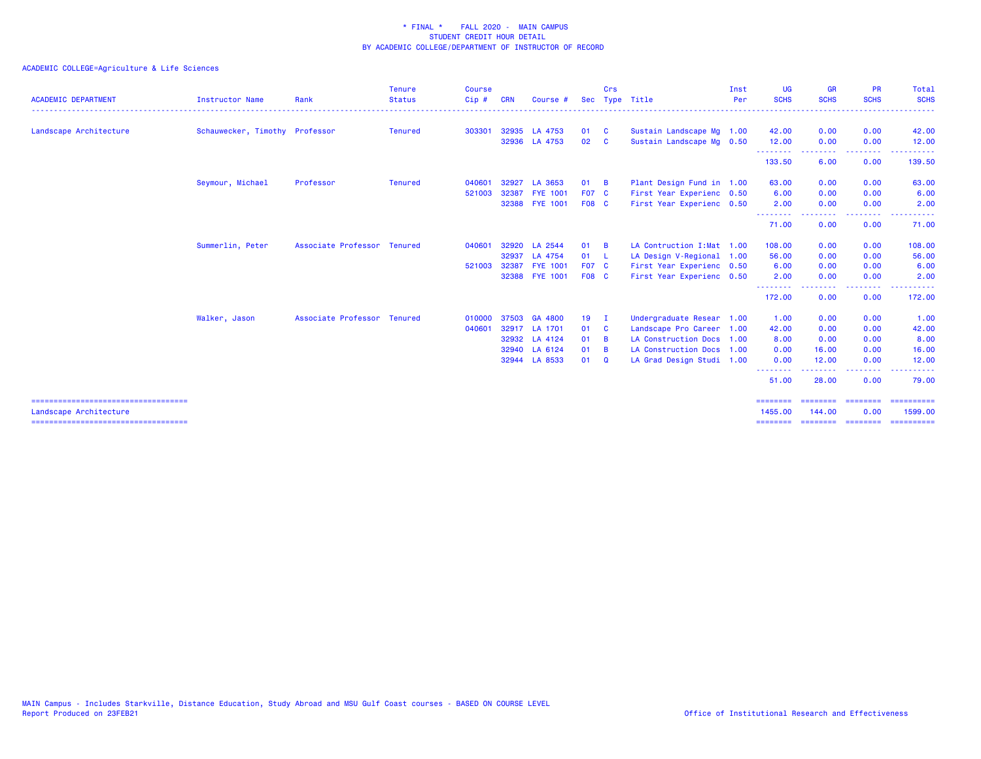| <b>ACADEMIC DEPARTMENT</b>                                     | <b>Instructor Name</b>         | Rank                        | <b>Tenure</b><br><b>Status</b> | <b>Course</b><br>Cip # | CRN   | Course         | <b>Sec</b>      | Crs          | Type Title                 | Inst<br>Per | UG<br><b>SCHS</b>                | <b>GR</b><br><b>SCHS</b> | <b>PR</b><br><b>SCHS</b> | <b>Total</b><br><b>SCHS</b>          |
|----------------------------------------------------------------|--------------------------------|-----------------------------|--------------------------------|------------------------|-------|----------------|-----------------|--------------|----------------------------|-------------|----------------------------------|--------------------------|--------------------------|--------------------------------------|
| Landscape Architecture                                         | Schauwecker, Timothy Professor |                             | Tenured                        | 303301                 |       | 32935 LA 4753  | 01              | - C          | Sustain Landscape Mg 1.00  |             | 42.00                            | 0.00                     | 0.00                     | 42.00                                |
|                                                                |                                |                             |                                |                        |       | 32936 LA 4753  | 02              | <b>C</b>     | Sustain Landscape Mg 0.50  |             | 12.00                            | 0.00                     | 0.00                     | 12.00                                |
|                                                                |                                |                             |                                |                        |       |                |                 |              |                            |             | --------<br>133.50               | -----<br>6.00            | -----<br>0.00            | 139.50                               |
|                                                                | Seymour, Michael               | Professor                   | Tenured                        | 040601                 |       | 32927 LA 3653  | 01              | <b>B</b>     | Plant Design Fund in 1.00  |             | 63.00                            | 0.00                     | 0.00                     | 63.00                                |
|                                                                |                                |                             |                                | 521003                 |       | 32387 FYE 1001 | F07 C           |              | First Year Experienc 0.50  |             | 6.00                             | 0.00                     | 0.00                     | 6.00                                 |
|                                                                |                                |                             |                                |                        |       | 32388 FYE 1001 | <b>F08 C</b>    |              | First Year Experienc 0.50  |             | 2.00                             | 0.00                     | 0.00<br>.                | 2.00                                 |
|                                                                |                                |                             |                                |                        |       |                |                 |              |                            |             | <b></b><br>71.00                 | 0.00                     | 0.00                     | 71.00                                |
|                                                                | Summerlin, Peter               | Associate Professor Tenured |                                | 040601                 | 32920 | LA 2544        | 01              | - B          | LA Contruction I: Mat 1.00 |             | 108.00                           | 0.00                     | 0.00                     | 108.00                               |
|                                                                |                                |                             |                                |                        |       | 32937 LA 4754  | 01              | - L          | LA Design V-Regional 1.00  |             | 56.00                            | 0.00                     | 0.00                     | 56.00                                |
|                                                                |                                |                             |                                | 521003                 |       | 32387 FYE 1001 | <b>F07 C</b>    |              | First Year Experienc 0.50  |             | 6.00                             | 0.00                     | 0.00                     | 6.00                                 |
|                                                                |                                |                             |                                |                        |       | 32388 FYE 1001 | <b>F08 C</b>    |              | First Year Experienc 0.50  |             | 2.00<br>--------                 | 0.00<br>. <b>.</b>       | 0.00                     | 2.00                                 |
|                                                                |                                |                             |                                |                        |       |                |                 |              |                            |             | 172.00                           | 0.00                     | 0.00                     | 172.00                               |
|                                                                | Walker, Jason                  | Associate Professor Tenured |                                | 010000                 |       | 37503 GA 4800  | 19 <sup>°</sup> | - I          | Undergraduate Resear 1.00  |             | 1.00                             | 0.00                     | 0.00                     | 1.00                                 |
|                                                                |                                |                             |                                | 040601                 |       | 32917 LA 1701  | 01              | $\mathbf{C}$ | Landscape Pro Career 1.00  |             | 42.00                            | 0.00                     | 0.00                     | 42.00                                |
|                                                                |                                |                             |                                |                        |       | 32932 LA 4124  | 01              | - B          | LA Construction Docs 1.00  |             | 8.00                             | 0.00                     | 0.00                     | 8.00                                 |
|                                                                |                                |                             |                                |                        |       | 32940 LA 6124  | 01              | <b>B</b>     | LA Construction Docs 1.00  |             | 0.00                             | 16.00                    | 0.00                     | 16.00                                |
|                                                                |                                |                             |                                |                        |       | 32944 LA 8533  | 01              | ം            | LA Grad Design Studi 1.00  |             | 0.00                             | 12.00                    | 0.00                     | 12.00                                |
|                                                                |                                |                             |                                |                        |       |                |                 |              |                            |             | <u> - - - - - - - -</u><br>51.00 | .<br>28.00               | . <b>.</b><br>0.00       | 79.00                                |
| ====================================<br>Landscape Architecture |                                |                             |                                |                        |       |                |                 |              |                            |             | 1455.00                          | 144,00                   | 0.00                     | ==========<br>1599.00<br>----------- |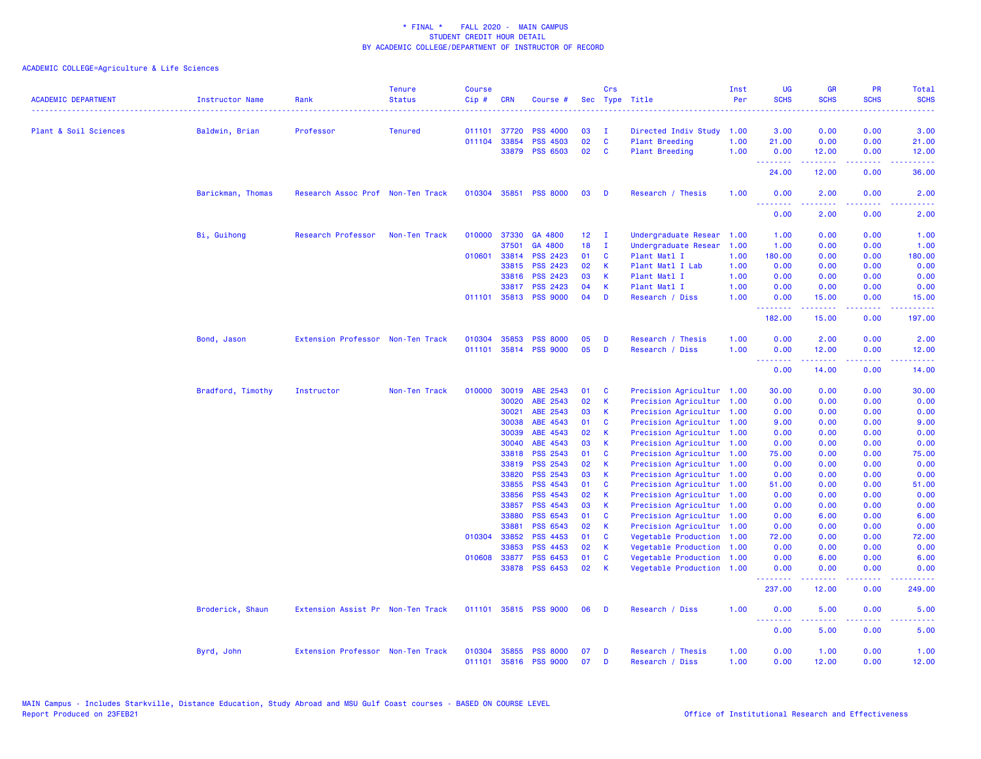| Plant & Soil Sciences<br>Baldwin, Brian | Professor                         | <b>Tenured</b> |                  |              |                                   |              |              |                                      |              |                  |                                                                                                                                                               |                                                                                                                                   |                     |
|-----------------------------------------|-----------------------------------|----------------|------------------|--------------|-----------------------------------|--------------|--------------|--------------------------------------|--------------|------------------|---------------------------------------------------------------------------------------------------------------------------------------------------------------|-----------------------------------------------------------------------------------------------------------------------------------|---------------------|
|                                         |                                   |                |                  |              |                                   |              |              |                                      |              |                  |                                                                                                                                                               |                                                                                                                                   |                     |
|                                         |                                   |                | 011101           | 37720        | <b>PSS 4000</b>                   | 03           | T            | Directed Indiv Study 1.00            |              | 3.00             | 0.00                                                                                                                                                          | 0.00                                                                                                                              | 3.00                |
|                                         |                                   |                | 011104           | 33854        | <b>PSS 4503</b>                   | 02           | $\mathbf{C}$ | <b>Plant Breeding</b>                | 1.00         | 21.00            | 0.00                                                                                                                                                          | 0.00                                                                                                                              | 21.00               |
|                                         |                                   |                |                  | 33879        | <b>PSS 6503</b>                   | 02           | <b>C</b>     | <b>Plant Breeding</b>                | 1.00         | 0.00<br>.        | 12.00<br>.                                                                                                                                                    | 0.00<br>.                                                                                                                         | 12.00<br>.          |
|                                         |                                   |                |                  |              |                                   |              |              |                                      |              | 24.00            | 12.00                                                                                                                                                         | 0.00                                                                                                                              | 36.00               |
| Barickman, Thomas                       | Research Assoc Prof Non-Ten Track |                |                  |              | 010304 35851 PSS 8000             | 03           | $\mathbf{D}$ | Research / Thesis                    | 1.00         | 0.00<br><u>.</u> | 2.00<br>.                                                                                                                                                     | 0.00                                                                                                                              | 2.00                |
|                                         |                                   |                |                  |              |                                   |              |              |                                      |              | 0.00             | 2.00                                                                                                                                                          | 0.00                                                                                                                              | 2.00                |
| Bi, Guihong                             | Research Professor                | Non-Ten Track  |                  | 010000 37330 | GA 4800                           | $12 \quad I$ |              | Undergraduate Resear                 | 1.00         | 1.00             | 0.00                                                                                                                                                          | 0.00                                                                                                                              | 1.00                |
|                                         |                                   |                |                  | 37501        | GA 4800                           | 18           | $\mathbf{I}$ | Undergraduate Resear                 | 1.00         | 1.00             | 0.00                                                                                                                                                          | 0.00                                                                                                                              | 1.00                |
|                                         |                                   |                | 010601           | 33814        | <b>PSS 2423</b>                   | 01           | C            | Plant Matl I                         | 1.00         | 180.00           | 0.00                                                                                                                                                          | 0.00                                                                                                                              | 180.00              |
|                                         |                                   |                |                  | 33815        | <b>PSS 2423</b>                   | 02           | $\mathbf{K}$ | Plant Matl I Lab                     | 1.00         | 0.00             | 0.00                                                                                                                                                          | 0.00                                                                                                                              | 0.00                |
|                                         |                                   |                |                  | 33816        | PSS 2423                          | 03           | K            | Plant Matl I                         | 1.00         | 0.00             | 0.00                                                                                                                                                          | 0.00                                                                                                                              | 0.00                |
|                                         |                                   |                |                  | 33817        | <b>PSS 2423</b>                   | 04           | K            | Plant Matl I                         | 1.00         | 0.00             | 0.00                                                                                                                                                          | 0.00                                                                                                                              | 0.00                |
|                                         |                                   |                |                  |              | 011101 35813 PSS 9000             | 04           | D            | Research / Diss                      | 1.00         | 0.00<br>.        | 15.00<br>$\frac{1}{2} \left( \frac{1}{2} \right) \left( \frac{1}{2} \right) \left( \frac{1}{2} \right) \left( \frac{1}{2} \right) \left( \frac{1}{2} \right)$ | 0.00<br>.                                                                                                                         | 15.00<br><u>.</u>   |
|                                         |                                   |                |                  |              |                                   |              |              |                                      |              | 182.00           | 15.00                                                                                                                                                         | 0.00                                                                                                                              | 197.00              |
| Bond, Jason                             | Extension Professor Non-Ten Track |                | 010304           | 35853        | <b>PSS 8000</b>                   | 05           | D            | Research / Thesis                    | 1.00         | 0.00             | 2.00                                                                                                                                                          | 0.00                                                                                                                              | 2.00                |
|                                         |                                   |                | 011101           |              | 35814 PSS 9000                    | 05           | D            | Research / Diss                      | 1.00         | 0.00             | 12.00                                                                                                                                                         | 0.00                                                                                                                              | 12.00               |
|                                         |                                   |                |                  |              |                                   |              |              |                                      |              | .<br>0.00        | $\frac{1}{2} \left( \frac{1}{2} \right) \left( \frac{1}{2} \right) \left( \frac{1}{2} \right) \left( \frac{1}{2} \right) \left( \frac{1}{2} \right)$<br>14.00 | $\frac{1}{2} \left( \frac{1}{2} \right) \left( \frac{1}{2} \right) \left( \frac{1}{2} \right) \left( \frac{1}{2} \right)$<br>0.00 | . <b>.</b><br>14.00 |
| Bradford, Timothy                       | Instructor                        | Non-Ten Track  |                  | 010000 30019 | ABE 2543                          | 01           | <b>C</b>     | Precision Agricultur 1.00            |              | 30.00            | 0.00                                                                                                                                                          | 0.00                                                                                                                              | 30.00               |
|                                         |                                   |                |                  | 30020        | ABE 2543                          | 02           | $\mathsf K$  | Precision Agricultur 1.00            |              | 0.00             | 0.00                                                                                                                                                          | 0.00                                                                                                                              | 0.00                |
|                                         |                                   |                |                  | 30021        | ABE 2543                          | 03           | K            | Precision Agricultur 1.00            |              | 0.00             | 0.00                                                                                                                                                          | 0.00                                                                                                                              | 0.00                |
|                                         |                                   |                |                  | 30038        | ABE 4543                          | 01           | $\mathbf{C}$ | Precision Agricultur 1.00            |              | 9.00             | 0.00                                                                                                                                                          | 0.00                                                                                                                              | 9.00                |
|                                         |                                   |                |                  | 30039        | ABE 4543                          | 02           | $\mathbf{K}$ | Precision Agricultur 1.00            |              | 0.00             | 0.00                                                                                                                                                          | 0.00                                                                                                                              | 0.00                |
|                                         |                                   |                |                  | 30040        | ABE 4543                          | 03           | K            | Precision Agricultur 1.00            |              | 0.00             | 0.00                                                                                                                                                          | 0.00                                                                                                                              | 0.00                |
|                                         |                                   |                |                  | 33818        | <b>PSS 2543</b>                   | 01           | <b>C</b>     | Precision Agricultur 1.00            |              | 75.00            | 0.00                                                                                                                                                          | 0.00                                                                                                                              | 75.00               |
|                                         |                                   |                |                  | 33819        | PSS 2543                          | 02           | $\mathsf{K}$ | Precision Agricultur 1.00            |              | 0.00             | 0.00                                                                                                                                                          | 0.00                                                                                                                              | 0.00                |
|                                         |                                   |                |                  | 33820        | <b>PSS 2543</b>                   | 03           | К            | Precision Agricultur 1.00            |              | 0.00             | 0.00                                                                                                                                                          | 0.00                                                                                                                              | 0.00                |
|                                         |                                   |                |                  | 33855        | <b>PSS 4543</b>                   | 01           | $\mathbf{C}$ | Precision Agricultur 1.00            |              | 51.00            | 0.00                                                                                                                                                          | 0.00                                                                                                                              | 51.00               |
|                                         |                                   |                |                  | 33856        | PSS 4543                          | 02           | $\mathsf{K}$ | Precision Agricultur 1.00            |              | 0.00             | 0.00                                                                                                                                                          | 0.00                                                                                                                              | 0.00                |
|                                         |                                   |                |                  | 33857        | PSS 4543                          | 03           | $\mathsf{K}$ | Precision Agricultur 1.00            |              | 0.00             | 0.00                                                                                                                                                          | 0.00                                                                                                                              | 0.00                |
|                                         |                                   |                |                  | 33880        | PSS 6543                          | 01           | $\mathbf{C}$ | Precision Agricultur 1.00            |              | 0.00             | 6.00                                                                                                                                                          | 0.00                                                                                                                              | 6.00                |
|                                         |                                   |                |                  | 33881        | <b>PSS 6543</b>                   | 02           | $\mathbf{K}$ | Precision Agricultur 1.00            |              | 0.00             | 0.00                                                                                                                                                          | 0.00                                                                                                                              | 0.00                |
|                                         |                                   |                | 010304           | 33852        | PSS 4453                          | 01           | <b>C</b>     | Vegetable Production 1.00            |              | 72.00            | 0.00                                                                                                                                                          | 0.00                                                                                                                              | 72.00               |
|                                         |                                   |                |                  | 33853        | PSS 4453                          | 02           | $\mathsf{K}$ | Vegetable Production 1.00            |              | 0.00             | 0.00                                                                                                                                                          | 0.00                                                                                                                              | 0.00                |
|                                         |                                   |                | 010608 33877     |              | <b>PSS 6453</b>                   | 01           | $\mathbf{C}$ | Vegetable Production 1.00            |              | 0.00             | 6.00                                                                                                                                                          | 0.00                                                                                                                              | 6.00                |
|                                         |                                   |                |                  | 33878        | <b>PSS 6453</b>                   | 02           | K            | Vegetable Production 1.00            |              | 0.00<br>.        | 0.00                                                                                                                                                          | 0.00                                                                                                                              | 0.00                |
|                                         |                                   |                |                  |              |                                   |              |              |                                      |              | 237.00           | 12.00                                                                                                                                                         | 0.00                                                                                                                              | 249.00              |
| Broderick, Shaun                        | Extension Assist Pr Non-Ten Track |                |                  |              | 011101 35815 PSS 9000             | 06           | - D          | Research / Diss                      | 1.00         | 0.00<br>.        | 5.00<br>$\frac{1}{2} \left( \frac{1}{2} \right) \left( \frac{1}{2} \right) \left( \frac{1}{2} \right) \left( \frac{1}{2} \right) \left( \frac{1}{2} \right)$  | 0.00<br>.                                                                                                                         | 5.00                |
|                                         |                                   |                |                  |              |                                   |              |              |                                      |              | 0.00             | 5.00                                                                                                                                                          | 0.00                                                                                                                              | 5.00                |
| Byrd, John                              | Extension Professor Non-Ten Track |                | 010304<br>011101 | 35855        | <b>PSS 8000</b><br>35816 PSS 9000 | 07<br>07     | D<br>D       | Research / Thesis<br>Research / Diss | 1.00<br>1.00 | 0.00<br>0.00     | 1.00<br>12.00                                                                                                                                                 | 0.00<br>0.00                                                                                                                      | 1.00<br>12.00       |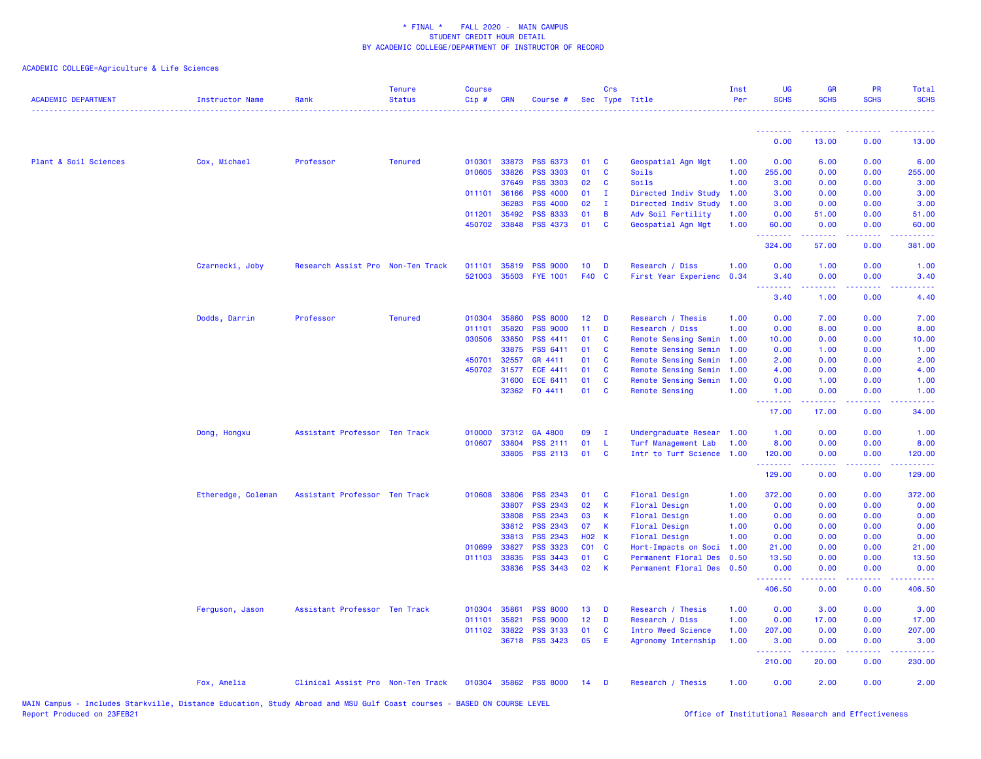| <b>ACADEMIC DEPARTMENT</b> | <b>Instructor Name</b> | Rank                              | <b>Tenure</b><br><b>Status</b> | <b>Course</b><br>Cip# | <b>CRN</b>   | Course #              | <b>Sec</b>   | Crs          | Type Title            | Inst<br>Per | <b>UG</b><br><b>SCHS</b>                      | GB<br><b>SCHS</b>                                                                                                                 | <b>PR</b><br><b>SCHS</b>                                                                                                          | Total<br><b>SCHS</b><br>. |
|----------------------------|------------------------|-----------------------------------|--------------------------------|-----------------------|--------------|-----------------------|--------------|--------------|-----------------------|-------------|-----------------------------------------------|-----------------------------------------------------------------------------------------------------------------------------------|-----------------------------------------------------------------------------------------------------------------------------------|---------------------------|
|                            |                        |                                   |                                |                       |              |                       |              |              |                       |             | <u> - - - - - - - -</u>                       |                                                                                                                                   | $\sim$ $\sim$ $\sim$ $\sim$                                                                                                       |                           |
|                            |                        |                                   |                                |                       |              |                       |              |              |                       |             | 0.00                                          | 13.00                                                                                                                             | 0.00                                                                                                                              | 13.00                     |
| Plant & Soil Sciences      | Cox, Michael           | Professor                         | <b>Tenured</b>                 | 010301                | 33873        | <b>PSS 6373</b>       | 01           | <b>C</b>     | Geospatial Agn Mgt    | 1.00        | 0.00                                          | 6.00                                                                                                                              | 0.00                                                                                                                              | 6.00                      |
|                            |                        |                                   |                                | 010605                | 33826        | <b>PSS 3303</b>       | 01           | C            | Soils                 | 1.00        | 255.00                                        | 0.00                                                                                                                              | 0.00                                                                                                                              | 255.00                    |
|                            |                        |                                   |                                |                       | 37649        | <b>PSS 3303</b>       | 02           | C            | Soils                 | 1.00        | 3.00                                          | 0.00                                                                                                                              | 0.00                                                                                                                              | 3.00                      |
|                            |                        |                                   |                                |                       | 011101 36166 | <b>PSS 4000</b>       | 01           | $\mathbf{I}$ | Directed Indiv Study  | 1.00        | 3.00                                          | 0.00                                                                                                                              | 0.00                                                                                                                              | 3.00                      |
|                            |                        |                                   |                                |                       | 36283        | <b>PSS 4000</b>       | 02           | $\mathbf{I}$ | Directed Indiv Study  | 1.00        | 3.00                                          | 0.00                                                                                                                              | 0.00                                                                                                                              | 3.00                      |
|                            |                        |                                   |                                | 011201                | 35492        | <b>PSS 8333</b>       | 01           | B            | Adv Soil Fertility    | 1.00        | 0.00                                          | 51.00                                                                                                                             | 0.00                                                                                                                              | 51.00                     |
|                            |                        |                                   |                                | 450702                | 33848        | <b>PSS 4373</b>       | 01           | <b>C</b>     | Geospatial Agn Mgt    | 1.00        | 60.00<br><u>.</u>                             | 0.00<br><u>.</u>                                                                                                                  | 0.00<br>.                                                                                                                         | 60.00<br>.                |
|                            |                        |                                   |                                |                       |              |                       |              |              |                       |             | 324.00                                        | 57.00                                                                                                                             | 0.00                                                                                                                              | 381.00                    |
|                            | Czarnecki, Joby        | Research Assist Pro Non-Ten Track |                                | 011101                | 35819        | <b>PSS 9000</b>       | 10           | D            | Research / Diss       | 1.00        | 0.00                                          | 1.00                                                                                                                              | 0.00                                                                                                                              | 1.00                      |
|                            |                        |                                   |                                | 521003                | 35503        | <b>FYE 1001</b>       | <b>F40</b>   | $\mathbf{C}$ | First Year Experienc  | 0.34        | 3.40<br>$\omega_{\rm c}$ and $\omega_{\rm c}$ | 0.00<br>.                                                                                                                         | 0.00<br>د د د د                                                                                                                   | 3.40<br>.                 |
|                            |                        |                                   |                                |                       |              |                       |              |              |                       |             | 3.40                                          | 1.00                                                                                                                              | 0.00                                                                                                                              | 4.40                      |
|                            | Dodds, Darrin          | Professor                         | <b>Tenured</b>                 | 010304                | 35860        | <b>PSS 8000</b>       | 12           | D            | Research / Thesis     | 1.00        | 0.00                                          | 7.00                                                                                                                              | 0.00                                                                                                                              | 7.00                      |
|                            |                        |                                   |                                | 011101                | 35820        | <b>PSS 9000</b>       | 11           | D            | Research / Diss       | 1.00        | 0.00                                          | 8.00                                                                                                                              | 0.00                                                                                                                              | 8.00                      |
|                            |                        |                                   |                                | 030506                | 33850        | PSS 4411              | 01           | C            | Remote Sensing Semin  | 1.00        | 10.00                                         | 0.00                                                                                                                              | 0.00                                                                                                                              | 10.00                     |
|                            |                        |                                   |                                |                       | 33875        | PSS 6411              | 01           | $\mathbf{C}$ | Remote Sensing Semin  | 1.00        | 0.00                                          | 1.00                                                                                                                              | 0.00                                                                                                                              | 1.00                      |
|                            |                        |                                   |                                | 450701                | 32557        | GR 4411               | 01           | <b>C</b>     | Remote Sensing Semin  | 1.00        | 2.00                                          | 0.00                                                                                                                              | 0.00                                                                                                                              | 2.00                      |
|                            |                        |                                   |                                | 450702                | 31577        | <b>ECE 4411</b>       | 01           | C            | Remote Sensing Semin  | 1.00        | 4.00                                          | 0.00                                                                                                                              | 0.00                                                                                                                              | 4.00                      |
|                            |                        |                                   |                                |                       | 31600        | ECE 6411              | 01           | C            | Remote Sensing Semin  | 1.00        | 0.00                                          | 1.00                                                                                                                              | 0.00                                                                                                                              | 1.00                      |
|                            |                        |                                   |                                |                       | 32362        | FO 4411               | 01           | C            | <b>Remote Sensing</b> | 1.00        | 1.00<br>.                                     | 0.00<br>$\frac{1}{2} \left( \frac{1}{2} \right) \left( \frac{1}{2} \right) \left( \frac{1}{2} \right) \left( \frac{1}{2} \right)$ | 0.00<br>.                                                                                                                         | 1.00<br>والمالمات         |
|                            |                        |                                   |                                |                       |              |                       |              |              |                       |             | 17.00                                         | 17.00                                                                                                                             | 0.00                                                                                                                              | 34.00                     |
|                            | Dong, Hongxu           | Assistant Professor Ten Track     |                                | 010000                | 37312        | GA 4800               | 09           | п            | Undergraduate Resear  | 1.00        | 1.00                                          | 0.00                                                                                                                              | 0.00                                                                                                                              | 1.00                      |
|                            |                        |                                   |                                | 010607                | 33804        | PSS 2111              | 01           | $\mathsf{L}$ | Turf Management Lab   | 1.00        | 8.00                                          | 0.00                                                                                                                              | 0.00                                                                                                                              | 8.00                      |
|                            |                        |                                   |                                |                       | 33805        | <b>PSS 2113</b>       | 01           | $\mathbf{C}$ | Intr to Turf Science  | 1.00        | 120.00<br>.                                   | 0.00                                                                                                                              | 0.00<br>$\frac{1}{2} \left( \frac{1}{2} \right) \left( \frac{1}{2} \right) \left( \frac{1}{2} \right) \left( \frac{1}{2} \right)$ | 120.00<br>.               |
|                            |                        |                                   |                                |                       |              |                       |              |              |                       |             | 129.00                                        | 0.00                                                                                                                              | 0.00                                                                                                                              | 129.00                    |
|                            | Etheredge, Coleman     | Assistant Professor Ten Track     |                                | 010608                | 33806        | <b>PSS 2343</b>       | 01           | C            | <b>Floral Design</b>  | 1.00        | 372.00                                        | 0.00                                                                                                                              | 0.00                                                                                                                              | 372.00                    |
|                            |                        |                                   |                                |                       | 33807        | PSS 2343              | 02           | $\mathsf K$  | <b>Floral Design</b>  | 1.00        | 0.00                                          | 0.00                                                                                                                              | 0.00                                                                                                                              | 0.00                      |
|                            |                        |                                   |                                |                       | 33808        | PSS 2343              | 03           | $\mathsf K$  | <b>Floral Design</b>  | 1.00        | 0.00                                          | 0.00                                                                                                                              | 0.00                                                                                                                              | 0.00                      |
|                            |                        |                                   |                                |                       | 33812        | PSS 2343              | 07           | $\mathsf K$  | Floral Design         | 1.00        | 0.00                                          | 0.00                                                                                                                              | 0.00                                                                                                                              | 0.00                      |
|                            |                        |                                   |                                |                       | 33813        | PSS 2343              | <b>HO2 K</b> |              | <b>Floral Design</b>  | 1.00        | 0.00                                          | 0.00                                                                                                                              | 0.00                                                                                                                              | 0.00                      |
|                            |                        |                                   |                                | 010699                | 33827        | <b>PSS 3323</b>       | $CO1$ $C$    |              | Hort-Impacts on Soci  | 1.00        | 21.00                                         | 0.00                                                                                                                              | 0.00                                                                                                                              | 21.00                     |
|                            |                        |                                   |                                | 011103                | 33835        | PSS 3443              | 01           | C            | Permanent Floral Des  | 0.50        | 13.50                                         | 0.00                                                                                                                              | 0.00                                                                                                                              | 13.50                     |
|                            |                        |                                   |                                |                       | 33836        | <b>PSS 3443</b>       | 02           | $\mathsf{K}$ | Permanent Floral Des  | 0.50        | 0.00                                          | 0.00                                                                                                                              | 0.00                                                                                                                              | 0.00                      |
|                            |                        |                                   |                                |                       |              |                       |              |              |                       |             | 406.50                                        | 0.00                                                                                                                              | 0.00                                                                                                                              | 406.50                    |
|                            | Ferguson, Jason        | Assistant Professor Ten Track     |                                | 010304                | 35861        | <b>PSS 8000</b>       | 13           | D            | Research / Thesis     | 1.00        | 0.00                                          | 3.00                                                                                                                              | 0.00                                                                                                                              | 3.00                      |
|                            |                        |                                   |                                | 011101                | 35821        | <b>PSS 9000</b>       | 12           | D            | Research / Diss       | 1.00        | 0.00                                          | 17.00                                                                                                                             | 0.00                                                                                                                              | 17.00                     |
|                            |                        |                                   |                                |                       | 011102 33822 | PSS 3133              | 01           | C            | Intro Weed Science    | 1.00        | 207.00                                        | 0.00                                                                                                                              | 0.00                                                                                                                              | 207.00                    |
|                            |                        |                                   |                                |                       |              | 36718 PSS 3423        | 05           | E            | Agronomy Internship   | 1.00        | 3.00<br><u> - - - - - - - -</u>               | 0.00                                                                                                                              | 0.00<br>$\frac{1}{2} \left( \frac{1}{2} \right) \left( \frac{1}{2} \right) \left( \frac{1}{2} \right) \left( \frac{1}{2} \right)$ | 3.00<br>.                 |
|                            |                        |                                   |                                |                       |              |                       |              |              |                       |             | 210.00                                        | 20.00                                                                                                                             | 0.00                                                                                                                              | 230.00                    |
|                            | Fox, Amelia            | Clinical Assist Pro Non-Ten Track |                                |                       |              | 010304 35862 PSS 8000 | 14           | D            | Research / Thesis     | 1.00        | 0.00                                          | 2.00                                                                                                                              | 0.00                                                                                                                              | 2.00                      |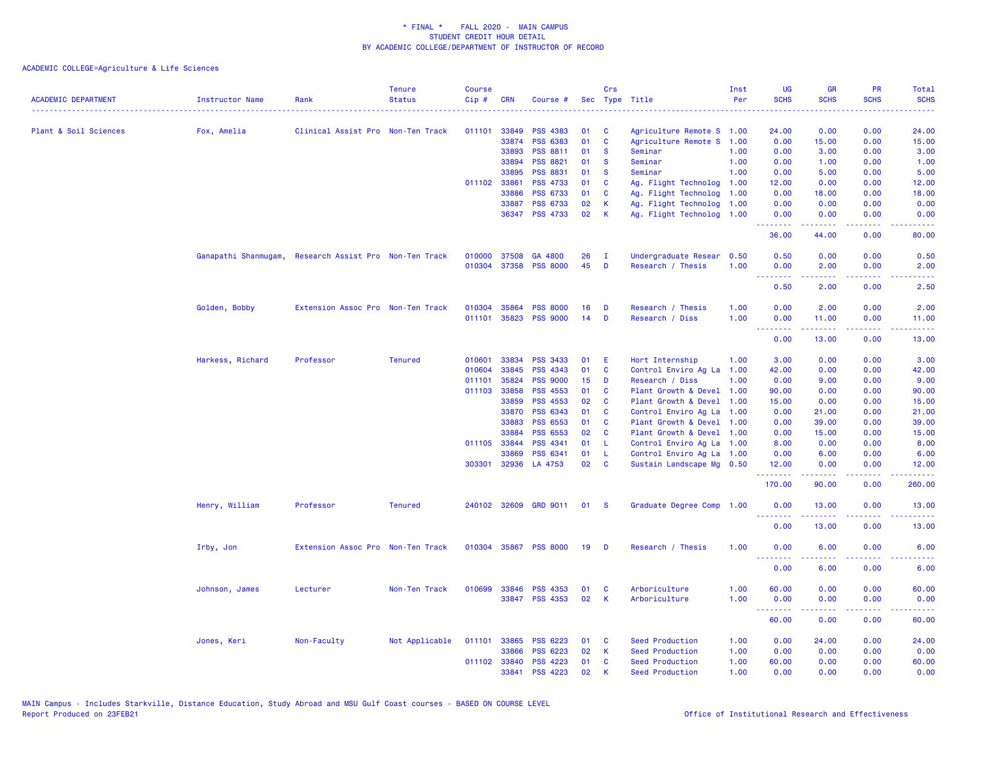| <b>ACADEMIC DEPARTMENT</b> | <b>Instructor Name</b> | Rank                              | <b>Tenure</b><br><b>Status</b> | <b>Course</b><br>Cip# | <b>CRN</b>     | Course #                           |          | Crs           | Sec Type Title                                    | Inst<br>Per | UG<br><b>SCHS</b> | <b>GR</b><br><b>SCHS</b>                                                                                                                                     | <b>PR</b><br><b>SCHS</b>     | <b>Total</b><br><b>SCHS</b> |
|----------------------------|------------------------|-----------------------------------|--------------------------------|-----------------------|----------------|------------------------------------|----------|---------------|---------------------------------------------------|-------------|-------------------|--------------------------------------------------------------------------------------------------------------------------------------------------------------|------------------------------|-----------------------------|
|                            |                        |                                   |                                |                       |                |                                    |          |               |                                                   |             |                   |                                                                                                                                                              |                              |                             |
| Plant & Soil Sciences      | Fox, Amelia            | Clinical Assist Pro Non-Ten Track |                                | 011101                | 33849          | <b>PSS 4383</b>                    | 01       | C             | Agriculture Remote S 1.00                         |             | 24.00             | 0.00                                                                                                                                                         | 0.00                         | 24.00                       |
|                            |                        |                                   |                                |                       | 33874          | <b>PSS 6383</b>                    | 01       | $\mathbf c$   | Agriculture Remote S                              | 1.00        | 0.00              | 15.00                                                                                                                                                        | 0.00                         | 15.00                       |
|                            |                        |                                   |                                |                       | 33893          | PSS 8811                           | 01       | <b>S</b>      | Seminar                                           | 1.00        | 0.00              | 3.00                                                                                                                                                         | 0.00                         | 3.00                        |
|                            |                        |                                   |                                |                       | 33894          | <b>PSS 8821</b>                    | 01       | <b>S</b>      | Seminar                                           | 1.00        | 0.00              | 1.00                                                                                                                                                         | 0.00                         | 1.00                        |
|                            |                        |                                   |                                | 011102 33861          | 33895          | <b>PSS 8831</b><br><b>PSS 4733</b> | 01<br>01 | <b>S</b><br>C | Seminar                                           | 1.00        | 0.00              | 5.00                                                                                                                                                         | 0.00                         | 5.00                        |
|                            |                        |                                   |                                |                       |                |                                    |          |               | Ag. Flight Technolog                              | 1.00        | 12.00             | 0.00                                                                                                                                                         | 0.00                         | 12.00                       |
|                            |                        |                                   |                                |                       | 33886          | <b>PSS 6733</b><br><b>PSS 6733</b> | 01<br>02 | C<br>К        | Ag. Flight Technolog                              | 1.00        | 0.00              | 18.00                                                                                                                                                        | 0.00<br>0.00                 | 18.00<br>0.00               |
|                            |                        |                                   |                                |                       | 33887<br>36347 | <b>PSS 4733</b>                    | 02       | К             | Ag. Flight Technolog<br>Ag. Flight Technolog 1.00 | 1.00        | 0.00<br>0.00      | 0.00<br>0.00                                                                                                                                                 | 0.00                         | 0.00                        |
|                            |                        |                                   |                                |                       |                |                                    |          |               |                                                   |             | .                 | .                                                                                                                                                            | .                            | .                           |
|                            |                        |                                   |                                |                       |                |                                    |          |               |                                                   |             | 36.00             | 44.00                                                                                                                                                        | 0.00                         | 80.00                       |
|                            | Ganapathi Shanmugam,   | Research Assist Pro Non-Ten Track |                                | 010000                | 37508          | GA 4800                            | 26       | <b>I</b>      | Undergraduate Resear                              | 0.50        | 0.50              | 0.00                                                                                                                                                         | 0.00                         | 0.50                        |
|                            |                        |                                   |                                |                       | 010304 37358   | <b>PSS 8000</b>                    | 45       | D             | Research / Thesis                                 | 1.00        | 0.00              | 2.00                                                                                                                                                         | 0.00                         | 2.00                        |
|                            |                        |                                   |                                |                       |                |                                    |          |               |                                                   |             | .<br>0.50         | $\frac{1}{2} \left( \frac{1}{2} \right) \left( \frac{1}{2} \right) \left( \frac{1}{2} \right) \left( \frac{1}{2} \right) \left( \frac{1}{2} \right)$<br>2.00 | .<br>0.00                    | .<br>2.50                   |
|                            |                        |                                   |                                |                       |                |                                    |          |               |                                                   |             |                   |                                                                                                                                                              |                              |                             |
|                            | Golden, Bobby          | Extension Assoc Pro Non-Ten Track |                                | 010304                | 35864          | <b>PSS 8000</b>                    | 16       | D             | Research / Thesis                                 | 1.00        | 0.00              | 2.00                                                                                                                                                         | 0.00                         | 2.00                        |
|                            |                        |                                   |                                | 011101                | 35823          | <b>PSS 9000</b>                    | 14       | D             | Research / Diss                                   | 1.00        | 0.00<br>د د د د   | 11.00                                                                                                                                                        | 0.00                         | 11.00                       |
|                            |                        |                                   |                                |                       |                |                                    |          |               |                                                   |             | 0.00              | 13.00                                                                                                                                                        | 0.00                         | 13.00                       |
|                            | Harkess, Richard       | Professor                         | <b>Tenured</b>                 | 010601                | 33834          | <b>PSS 3433</b>                    | 01       | E             | Hort Internship                                   | 1.00        | 3.00              | 0.00                                                                                                                                                         | 0.00                         | 3.00                        |
|                            |                        |                                   |                                | 010604                | 33845          | PSS 4343                           | 01       | C             | Control Enviro Ag La                              | 1.00        | 42.00             | 0.00                                                                                                                                                         | 0.00                         | 42.00                       |
|                            |                        |                                   |                                | 011101                | 35824          | <b>PSS 9000</b>                    | 15       | D             | Research / Diss                                   | 1.00        | 0.00              | 9.00                                                                                                                                                         | 0.00                         | 9.00                        |
|                            |                        |                                   |                                |                       | 011103 33858   | <b>PSS 4553</b>                    | 01       | <b>C</b>      | Plant Growth & Devel                              | 1.00        | 90.00             | 0.00                                                                                                                                                         | 0.00                         | 90.00                       |
|                            |                        |                                   |                                |                       | 33859          | PSS 4553                           | 02       | C             | Plant Growth & Devel                              | 1.00        | 15.00             | 0.00                                                                                                                                                         | 0.00                         | 15.00                       |
|                            |                        |                                   |                                |                       | 33870          | <b>PSS 6343</b>                    | 01       | C             | Control Enviro Ag La                              | 1.00        | 0.00              | 21.00                                                                                                                                                        | 0.00                         | 21.00                       |
|                            |                        |                                   |                                |                       | 33883          | PSS 6553                           | 01       | C             | Plant Growth & Devel                              | 1.00        | 0.00              | 39.00                                                                                                                                                        | 0.00                         | 39.00                       |
|                            |                        |                                   |                                |                       | 33884          | <b>PSS 6553</b>                    | 02       | C             | Plant Growth & Devel                              | 1.00        | 0.00              | 15.00                                                                                                                                                        | 0.00                         | 15.00                       |
|                            |                        |                                   |                                |                       | 011105 33844   | PSS 4341                           | 01       | -L            | Control Enviro Ag La                              | 1.00        | 8.00              | 0.00                                                                                                                                                         | 0.00                         | 8.00                        |
|                            |                        |                                   |                                |                       | 33869          | PSS 6341                           | 01       | L             | Control Enviro Ag La 1.00                         |             | 0.00              | 6.00                                                                                                                                                         | 0.00                         | 6.00                        |
|                            |                        |                                   |                                | 303301                | 32936          | LA 4753                            | 02       | $\mathbf{C}$  | Sustain Landscape Mg 0.50                         |             | 12.00<br>.        | 0.00<br>22222                                                                                                                                                | 0.00                         | 12.00<br>.                  |
|                            |                        |                                   |                                |                       |                |                                    |          |               |                                                   |             | 170.00            | 90.00                                                                                                                                                        | 0.00                         | 260.00                      |
|                            | Henry, William         | Professor                         | <b>Tenured</b>                 |                       | 240102 32609   | <b>GRD 9011</b>                    | 01       | <b>S</b>      | Graduate Degree Comp 1.00                         |             | 0.00<br>.         | 13.00                                                                                                                                                        | 0.00                         | 13.00                       |
|                            |                        |                                   |                                |                       |                |                                    |          |               |                                                   |             | 0.00              | 13.00                                                                                                                                                        | 0.00                         | 13.00                       |
|                            | Irby, Jon              | Extension Assoc Pro Non-Ten Track |                                |                       | 010304 35867   | <b>PSS 8000</b>                    | 19       | D             | Research / Thesis                                 | 1.00        | 0.00              | 6.00                                                                                                                                                         | 0.00                         | 6.00                        |
|                            |                        |                                   |                                |                       |                |                                    |          |               |                                                   |             | .<br>0.00         | 6.00                                                                                                                                                         | $\sim$ $\sim$ $\sim$<br>0.00 | 6.00                        |
|                            | Johnson, James         | Lecturer                          | Non-Ten Track                  | 010699                | 33846          | <b>PSS 4353</b>                    | 01       | <b>C</b>      | Arboriculture                                     | 1.00        | 60.00             | 0.00                                                                                                                                                         | 0.00                         | 60.00                       |
|                            |                        |                                   |                                |                       | 33847          | <b>PSS 4353</b>                    | 02       | K             | Arboriculture                                     | 1.00        | 0.00              | 0.00                                                                                                                                                         | 0.00                         | 0.00                        |
|                            |                        |                                   |                                |                       |                |                                    |          |               |                                                   |             | .                 | <b><i><u><u>AAAAA</u></u></i></b>                                                                                                                            | .                            | .                           |
|                            |                        |                                   |                                |                       |                |                                    |          |               |                                                   |             | 60.00             | 0.00                                                                                                                                                         | 0.00                         | 60.00                       |
|                            | Jones, Keri            | Non-Faculty                       | Not Applicable                 | 011101                | 33865          | <b>PSS 6223</b>                    | 01       | C             | Seed Production                                   | 1.00        | 0.00              | 24.00                                                                                                                                                        | 0.00                         | 24.00                       |
|                            |                        |                                   |                                |                       | 33866          | <b>PSS 6223</b>                    | 02       | K             | Seed Production                                   | 1.00        | 0.00              | 0.00                                                                                                                                                         | 0.00                         | 0.00                        |
|                            |                        |                                   |                                |                       | 011102 33840   | <b>PSS 4223</b>                    | 01       | C             | Seed Production                                   | 1.00        | 60.00             | 0.00                                                                                                                                                         | 0.00                         | 60.00                       |
|                            |                        |                                   |                                |                       | 33841          | <b>PSS 4223</b>                    | 02       | K             | Seed Production                                   | 1.00        | 0.00              | 0.00                                                                                                                                                         | 0.00                         | 0.00                        |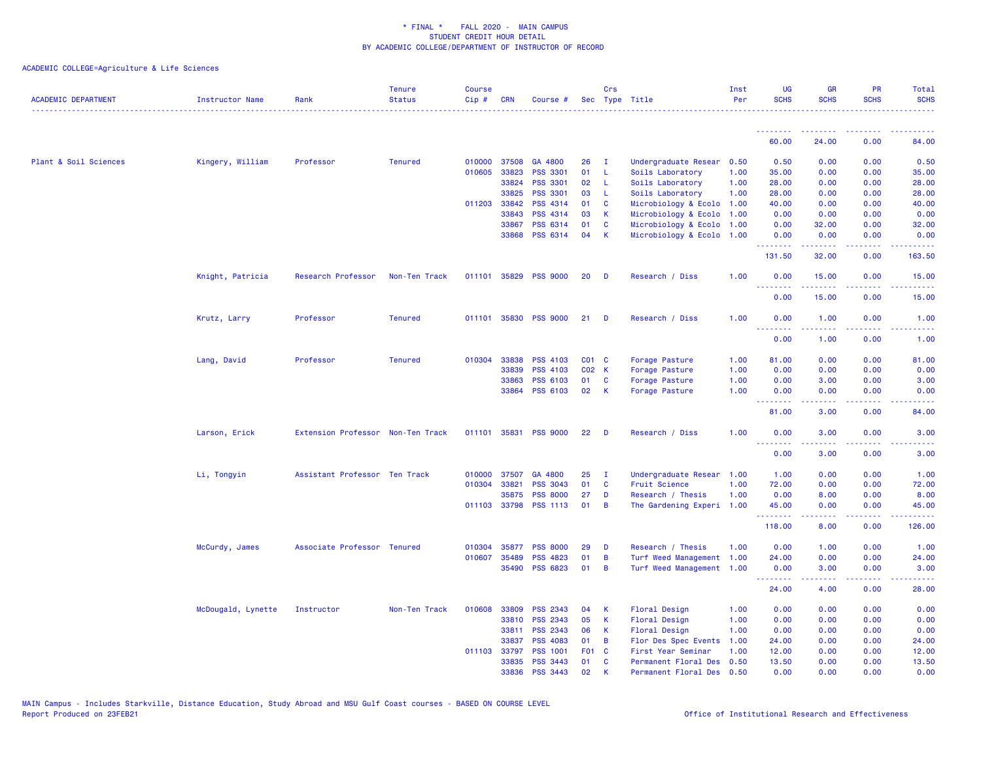| <b>ACADEMIC DEPARTMENT</b> | Instructor Name    | Rank                              | <b>Tenure</b><br><b>Status</b> | <b>Course</b><br>Cip# | <b>CRN</b>   | Course #              |                 | Crs            | Sec Type Title            | Inst<br>Per | <b>UG</b><br><b>SCHS</b>                                   | <b>GR</b><br><b>SCHS</b> | <b>PR</b><br><b>SCHS</b>            | Total<br><b>SCHS</b> |
|----------------------------|--------------------|-----------------------------------|--------------------------------|-----------------------|--------------|-----------------------|-----------------|----------------|---------------------------|-------------|------------------------------------------------------------|--------------------------|-------------------------------------|----------------------|
|                            |                    |                                   |                                |                       |              |                       |                 |                |                           |             | .<br>60.00                                                 | 24.00                    | 0.00                                | 84.00                |
|                            |                    |                                   |                                |                       |              |                       |                 |                |                           |             |                                                            |                          |                                     |                      |
| Plant & Soil Sciences      | Kingery, William   | Professor                         | <b>Tenured</b>                 |                       | 010000 37508 | GA 4800               | 26              | - I            | Undergraduate Resear      | 0.50        | 0.50                                                       | 0.00                     | 0.00                                | 0.50                 |
|                            |                    |                                   |                                | 010605                | 33823        | <b>PSS 3301</b>       | 01              | -L.            | Soils Laboratory          | 1.00        | 35.00                                                      | 0.00                     | 0.00                                | 35.00                |
|                            |                    |                                   |                                |                       | 33824        | <b>PSS 3301</b>       | 02              | L.             | Soils Laboratory          | 1.00        | 28.00                                                      | 0.00                     | 0.00                                | 28.00                |
|                            |                    |                                   |                                |                       | 33825        | <b>PSS 3301</b>       | 03              | -L.            | Soils Laboratory          | 1.00        | 28.00                                                      | 0.00                     | 0.00                                | 28.00                |
|                            |                    |                                   |                                |                       | 011203 33842 | <b>PSS 4314</b>       | 01              | C              | Microbiology & Ecolo      | 1.00        | 40.00                                                      | 0.00                     | 0.00                                | 40.00                |
|                            |                    |                                   |                                |                       | 33843        | PSS 4314              | 03<br>01        | K              | Microbiology & Ecolo      | 1.00        | 0.00                                                       | 0.00                     | 0.00                                | 0.00                 |
|                            |                    |                                   |                                |                       | 33867        | PSS 6314<br>PSS 6314  | 04              | C<br>К         | Microbiology & Ecolo      | 1.00        | 0.00                                                       | 32.00                    | 0.00                                | 32.00                |
|                            |                    |                                   |                                |                       | 33868        |                       |                 |                | Microbiology & Ecolo 1.00 |             | 0.00<br>.                                                  | 0.00<br>.                | 0.00<br>.                           | 0.00<br>.            |
|                            |                    |                                   |                                |                       |              |                       |                 |                |                           |             | 131.50                                                     | 32.00                    | 0.00                                | 163.50               |
|                            | Knight, Patricia   | Research Professor                | Non-Ten Track                  |                       |              | 011101 35829 PSS 9000 | 20              | D              | Research / Diss           | 1.00        | 0.00<br><b><i><u><u><b>a</b></u></u> a a a a a a a</i></b> | 15.00<br>.               | 0.00<br>.                           | 15.00<br>.           |
|                            |                    |                                   |                                |                       |              |                       |                 |                |                           |             | 0.00                                                       | 15.00                    | 0.00                                | 15.00                |
|                            | Krutz, Larry       | Professor                         | <b>Tenured</b>                 | 011101                |              | 35830 PSS 9000        | 21              | D              | Research / Diss           | 1.00        | 0.00<br>.                                                  | 1.00<br>.                | 0.00<br>.                           | 1.00<br>2222.        |
|                            |                    |                                   |                                |                       |              |                       |                 |                |                           |             | 0.00                                                       | 1.00                     | 0.00                                | 1.00                 |
|                            | Lang, David        | Professor                         | <b>Tenured</b>                 | 010304                | 33838        | PSS 4103              | CO1 C           |                | Forage Pasture            | 1.00        | 81.00                                                      | 0.00                     | 0.00                                | 81.00                |
|                            |                    |                                   |                                |                       | 33839        | <b>PSS 4103</b>       | C02 K           |                | Forage Pasture            | 1.00        | 0.00                                                       | 0.00                     | 0.00                                | 0.00                 |
|                            |                    |                                   |                                |                       | 33863        | <b>PSS 6103</b>       | 01              | C              | Forage Pasture            | 1.00        | 0.00                                                       | 3.00                     | 0.00                                | 3.00                 |
|                            |                    |                                   |                                |                       | 33864        | <b>PSS 6103</b>       | 02              | К              | Forage Pasture            | 1.00        | 0.00                                                       | 0.00                     | 0.00                                | 0.00                 |
|                            |                    |                                   |                                |                       |              |                       |                 |                |                           |             | .<br>81.00                                                 | .<br>3.00                | .<br>0.00                           | .<br>84.00           |
|                            | Larson, Erick      | Extension Professor Non-Ten Track |                                |                       | 011101 35831 | <b>PSS 9000</b>       | 22 <sub>2</sub> | D              | Research / Diss           | 1.00        | 0.00                                                       | 3.00                     | 0.00                                | 3.00                 |
|                            |                    |                                   |                                |                       |              |                       |                 |                |                           |             | 0.00                                                       | 3.00                     | 0.00                                | 3.00                 |
|                            | Li, Tongyin        | Assistant Professor Ten Track     |                                |                       | 010000 37507 | GA 4800               | 25              | - 1            | Undergraduate Resear 1.00 |             | 1.00                                                       | 0.00                     | 0.00                                | 1.00                 |
|                            |                    |                                   |                                | 010304                | 33821        | <b>PSS 3043</b>       | 01              | <b>C</b>       | <b>Fruit Science</b>      | 1.00        | 72.00                                                      | 0.00                     | 0.00                                | 72.00                |
|                            |                    |                                   |                                |                       | 35875        | <b>PSS 8000</b>       | 27              | D              | Research / Thesis         | 1.00        | 0.00                                                       | 8.00                     | 0.00                                | 8.00                 |
|                            |                    |                                   |                                |                       |              | 011103 33798 PSS 1113 | 01              | B              | The Gardening Experi 1.00 |             | 45.00                                                      | 0.00                     | 0.00                                | 45.00                |
|                            |                    |                                   |                                |                       |              |                       |                 |                |                           |             | <u>.</u><br>118.00                                         | .<br>8.00                | $\sim$ $\sim$ $\sim$ $\sim$<br>0.00 | 126.00               |
|                            | McCurdy, James     | Associate Professor Tenured       |                                | 010304                | 35877        | <b>PSS 8000</b>       | 29              | D              | Research / Thesis         | 1.00        | 0.00                                                       | 1.00                     | 0.00                                | 1.00                 |
|                            |                    |                                   |                                | 010607                | 35489        | <b>PSS 4823</b>       | 01              | B              | Turf Weed Management      | 1.00        | 24.00                                                      | 0.00                     | 0.00                                | 24.00                |
|                            |                    |                                   |                                |                       |              | 35490 PSS 6823        | 01              | $\overline{B}$ | Turf Weed Management 1.00 |             | 0.00                                                       | 3.00                     | 0.00                                | 3.00                 |
|                            |                    |                                   |                                |                       |              |                       |                 |                |                           |             | <b><i><u><u><b>A</b></u></u> A A A A A A A</i></b>         | .                        | .                                   | .                    |
|                            |                    |                                   |                                |                       |              |                       |                 |                |                           |             | 24.00                                                      | 4.00                     | 0.00                                | 28.00                |
|                            | McDougald, Lynette | Instructor                        | Non-Ten Track                  | 010608                | 33809        | <b>PSS 2343</b>       | 04              | К              | <b>Floral Design</b>      | 1.00        | 0.00                                                       | 0.00                     | 0.00                                | 0.00                 |
|                            |                    |                                   |                                |                       | 33810        | <b>PSS 2343</b>       | 05              | K              | <b>Floral Design</b>      | 1.00        | 0.00                                                       | 0.00                     | 0.00                                | 0.00                 |
|                            |                    |                                   |                                |                       | 33811        | <b>PSS 2343</b>       | 06              | К              | <b>Floral Design</b>      | 1.00        | 0.00                                                       | 0.00                     | 0.00                                | 0.00                 |
|                            |                    |                                   |                                |                       | 33837        | <b>PSS 4083</b>       | 01              | B              | Flor Des Spec Events      | 1.00        | 24.00                                                      | 0.00                     | 0.00                                | 24.00                |
|                            |                    |                                   |                                |                       | 011103 33797 | <b>PSS 1001</b>       | F <sub>01</sub> | $\mathbf{C}$   | First Year Seminar        | 1.00        | 12.00                                                      | 0.00                     | 0.00                                | 12.00                |
|                            |                    |                                   |                                |                       | 33835        | <b>PSS 3443</b>       | 01              | C              | Permanent Floral Des      | 0.50        | 13.50                                                      | 0.00                     | 0.00                                | 13.50                |
|                            |                    |                                   |                                |                       | 33836        | <b>PSS 3443</b>       | 02              | $\mathbf k$    | Permanent Floral Des 0.50 |             | 0.00                                                       | 0.00                     | 0.00                                | 0.00                 |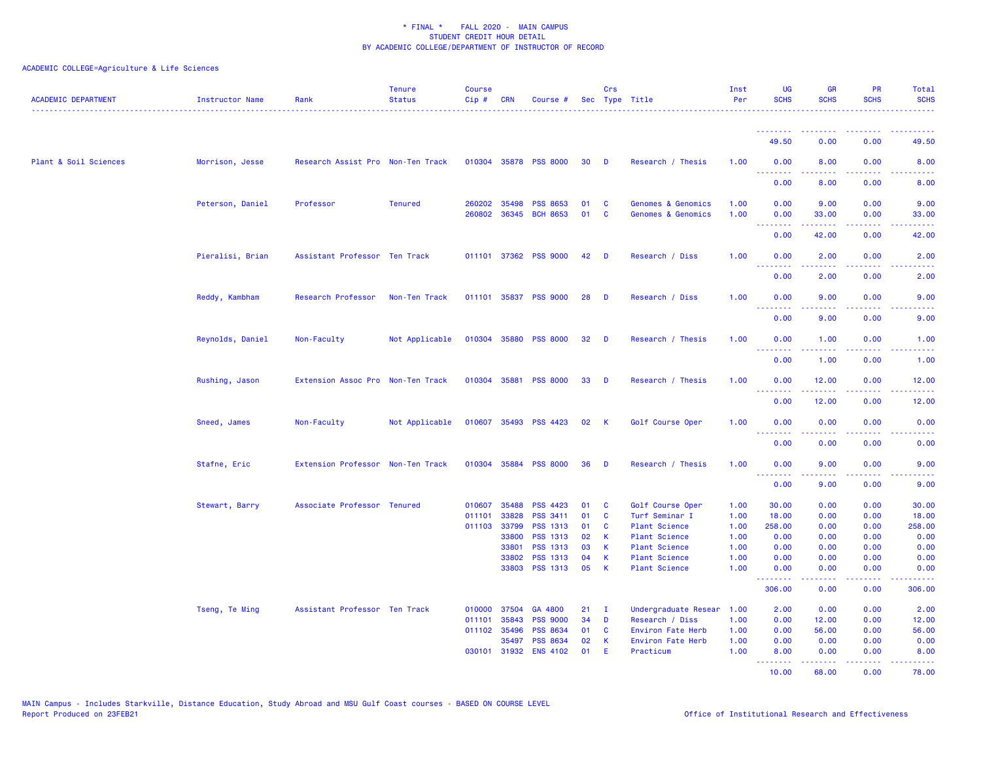| <b>ACADEMIC DEPARTMENT</b> | <b>Instructor Name</b> | Rank                              | <b>Tenure</b><br><b>Status</b> | <b>Course</b><br>Cip# | <b>CRN</b>     | Course #                    |          | Crs            | Sec Type Title                               | Inst<br>Per  | UG<br><b>SCHS</b>                                  | <b>GR</b><br><b>SCHS</b>                                                                                                                                      | <b>PR</b><br><b>SCHS</b>                                                                                                          | <b>Total</b><br><b>SCHS</b><br><u>.</u>                                                                |
|----------------------------|------------------------|-----------------------------------|--------------------------------|-----------------------|----------------|-----------------------------|----------|----------------|----------------------------------------------|--------------|----------------------------------------------------|---------------------------------------------------------------------------------------------------------------------------------------------------------------|-----------------------------------------------------------------------------------------------------------------------------------|--------------------------------------------------------------------------------------------------------|
|                            |                        |                                   |                                |                       |                |                             |          |                |                                              |              | .                                                  |                                                                                                                                                               |                                                                                                                                   |                                                                                                        |
|                            |                        |                                   |                                |                       |                |                             |          |                |                                              |              | 49.50                                              | 0.00                                                                                                                                                          | 0.00                                                                                                                              | 49.50                                                                                                  |
| Plant & Soil Sciences      | Morrison, Jesse        | Research Assist Pro Non-Ten Track |                                |                       |                | 010304 35878 PSS 8000       | 30       | D              | Research / Thesis                            | 1.00         | 0.00<br><u> - - - - - - - -</u>                    | 8.00                                                                                                                                                          | 0.00                                                                                                                              | 8.00                                                                                                   |
|                            |                        |                                   |                                |                       |                |                             |          |                |                                              |              | 0.00                                               | 8.00                                                                                                                                                          | 0.00                                                                                                                              | 8.00                                                                                                   |
|                            | Peterson, Daniel       | Professor                         | <b>Tenured</b>                 |                       | 260202 35498   | <b>PSS 8653</b>             | 01       | <b>C</b>       | Genomes & Genomics                           | 1.00         | 0.00                                               | 9.00                                                                                                                                                          | 0.00                                                                                                                              | 9.00                                                                                                   |
|                            |                        |                                   |                                | 260802                |                | 36345 BCH 8653              | 01       | C              | <b>Genomes &amp; Genomics</b>                | 1.00         | 0.00<br><b></b>                                    | 33.00                                                                                                                                                         | 0.00<br><b>.</b>                                                                                                                  | 33.00                                                                                                  |
|                            |                        |                                   |                                |                       |                |                             |          |                |                                              |              | 0.00                                               | 42.00                                                                                                                                                         | 0.00                                                                                                                              | 42.00                                                                                                  |
|                            | Pieralisi, Brian       | Assistant Professor Ten Track     |                                |                       |                | 011101 37362 PSS 9000       | 42       | - D            | Research / Diss                              | 1.00         | 0.00                                               | 2.00                                                                                                                                                          | 0.00                                                                                                                              | 2.00                                                                                                   |
|                            |                        |                                   |                                |                       |                |                             |          |                |                                              |              | 0.00                                               | 2.00                                                                                                                                                          | 0.00                                                                                                                              | 2.00                                                                                                   |
|                            | Reddy, Kambham         | Research Professor                | Non-Ten Track                  |                       |                | 011101 35837 PSS 9000       | 28       | D              | Research / Diss                              | 1.00         | 0.00<br>----                                       | 9.00                                                                                                                                                          | 0.00                                                                                                                              | 9.00                                                                                                   |
|                            |                        |                                   |                                |                       |                |                             |          |                |                                              |              | 0.00                                               | 9.00                                                                                                                                                          | 0.00                                                                                                                              | 9.00                                                                                                   |
|                            | Reynolds, Daniel       | Non-Faculty                       | Not Applicable                 |                       |                | 010304 35880 PSS 8000       | 32       | $\blacksquare$ | Research / Thesis                            | 1.00         | 0.00<br><u>.</u>                                   | 1.00<br>22222                                                                                                                                                 | 0.00<br>.                                                                                                                         | 1.00<br>$\frac{1}{2} \left( \frac{1}{2} \right) \left( \frac{1}{2} \right) \left( \frac{1}{2} \right)$ |
|                            |                        |                                   |                                |                       |                |                             |          |                |                                              |              | 0.00                                               | 1.00                                                                                                                                                          | 0.00                                                                                                                              | 1.00                                                                                                   |
|                            | Rushing, Jason         | Extension Assoc Pro Non-Ten Track |                                |                       |                | 010304 35881 PSS 8000       | 33       | D              | Research / Thesis                            | 1.00         | 0.00<br>.                                          | 12.00<br>$\frac{1}{2} \left( \frac{1}{2} \right) \left( \frac{1}{2} \right) \left( \frac{1}{2} \right) \left( \frac{1}{2} \right) \left( \frac{1}{2} \right)$ | 0.00<br>$\frac{1}{2} \left( \frac{1}{2} \right) \left( \frac{1}{2} \right) \left( \frac{1}{2} \right) \left( \frac{1}{2} \right)$ | 12.00<br>.                                                                                             |
|                            |                        |                                   |                                |                       |                |                             |          |                |                                              |              | 0.00                                               | 12.00                                                                                                                                                         | 0.00                                                                                                                              | 12.00                                                                                                  |
|                            | Sneed, James           | Non-Faculty                       | Not Applicable                 |                       |                | 010607 35493 PSS 4423       | 02       | -K             | Golf Course Oper                             | 1.00         | 0.00<br><u>.</u>                                   | 0.00                                                                                                                                                          | 0.00                                                                                                                              | 0.00                                                                                                   |
|                            |                        |                                   |                                |                       |                |                             |          |                |                                              |              | 0.00                                               | 0.00                                                                                                                                                          | 0.00                                                                                                                              | 0.00                                                                                                   |
|                            | Stafne, Eric           | Extension Professor Non-Ten Track |                                |                       |                | 010304 35884 PSS 8000       | 36       | D              | Research / Thesis                            | 1.00         | 0.00<br><b><i><u><u> - - - - - - -</u></u></i></b> | 9.00<br>.                                                                                                                                                     | 0.00<br>$\sim$ $\sim$ $\sim$ $\sim$                                                                                               | 9.00                                                                                                   |
|                            |                        |                                   |                                |                       |                |                             |          |                |                                              |              | 0.00                                               | 9.00                                                                                                                                                          | 0.00                                                                                                                              | 9.00                                                                                                   |
|                            | Stewart, Barry         | Associate Professor Tenured       |                                | 010607                | 35488          | <b>PSS 4423</b>             | 01       | C              | Golf Course Oper                             | 1.00         | 30.00                                              | 0.00                                                                                                                                                          | 0.00                                                                                                                              | 30.00                                                                                                  |
|                            |                        |                                   |                                | 011101                | 33828          | PSS 3411                    | 01       | C              | Turf Seminar I                               | 1.00         | 18.00                                              | 0.00                                                                                                                                                          | 0.00                                                                                                                              | 18.00                                                                                                  |
|                            |                        |                                   |                                |                       | 011103 33799   | <b>PSS 1313</b>             | 01       | <b>C</b>       | <b>Plant Science</b>                         | 1.00         | 258.00                                             | 0.00                                                                                                                                                          | 0.00                                                                                                                              | 258.00                                                                                                 |
|                            |                        |                                   |                                |                       | 33800          | <b>PSS 1313</b><br>PSS 1313 | 02<br>03 | К<br>K         | Plant Science                                | 1.00<br>1.00 | 0.00<br>0.00                                       | 0.00<br>0.00                                                                                                                                                  | 0.00<br>0.00                                                                                                                      | 0.00<br>0.00                                                                                           |
|                            |                        |                                   |                                |                       | 33801<br>33802 | <b>PSS 1313</b>             | 04       | К              | <b>Plant Science</b><br><b>Plant Science</b> | 1.00         | 0.00                                               | 0.00                                                                                                                                                          | 0.00                                                                                                                              | 0.00                                                                                                   |
|                            |                        |                                   |                                |                       |                | 33803 PSS 1313              | 05       | K              | Plant Science                                | 1.00         | 0.00                                               | 0.00                                                                                                                                                          | 0.00                                                                                                                              | 0.00                                                                                                   |
|                            |                        |                                   |                                |                       |                |                             |          |                |                                              |              | <u>.</u><br>306.00                                 | .<br>0.00                                                                                                                                                     | .<br>0.00                                                                                                                         | 306.00                                                                                                 |
|                            | Tseng, Te Ming         | Assistant Professor Ten Track     |                                | 010000                | 37504          | GA 4800                     | 21       | $\mathbf{I}$   | Undergraduate Resear                         | 1.00         | 2.00                                               | 0.00                                                                                                                                                          | 0.00                                                                                                                              | 2.00                                                                                                   |
|                            |                        |                                   |                                | 011101                | 35843          | <b>PSS 9000</b>             | 34       | D              | Research / Diss                              | 1.00         | 0.00                                               | 12.00                                                                                                                                                         | 0.00                                                                                                                              | 12.00                                                                                                  |
|                            |                        |                                   |                                | 011102                | 35496          | <b>PSS 8634</b>             | 01       | C              | Environ Fate Herb                            | 1.00         | 0.00                                               | 56.00                                                                                                                                                         | 0.00                                                                                                                              | 56.00                                                                                                  |
|                            |                        |                                   |                                |                       | 35497          | <b>PSS 8634</b>             | 02       | К              | Environ Fate Herb                            | 1.00         | 0.00                                               | 0.00                                                                                                                                                          | 0.00                                                                                                                              | 0.00                                                                                                   |
|                            |                        |                                   |                                | 030101                | 31932          | <b>ENS 4102</b>             | 01       | E              | Practicum                                    | 1.00         | 8.00<br><b><i><u><u> - - - - - - -</u></u></i></b> | 0.00<br>المتمامين                                                                                                                                             | 0.00<br>.                                                                                                                         | 8.00<br>.                                                                                              |
|                            |                        |                                   |                                |                       |                |                             |          |                |                                              |              | 10.00                                              | 68.00                                                                                                                                                         | 0.00                                                                                                                              | 78.00                                                                                                  |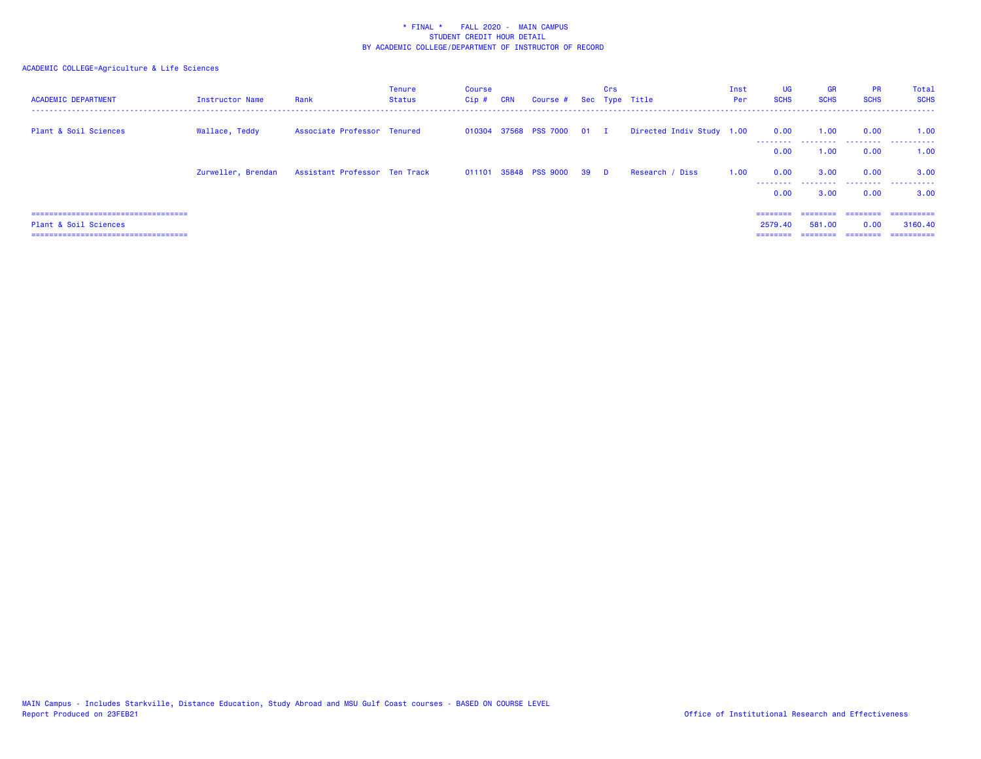| <b>ACADEMIC DEPARTMENT</b>             | Instructor Name    | Rank                          | Tenure<br><b>Status</b> | Course<br>$Cip$ # | <b>CRN</b> | Course # Sec Type Title    |      | Crs      |                           | Inst<br>Per | UG<br><b>SCHS</b> | <b>GR</b><br><b>SCHS</b> | <b>PR</b><br><b>SCHS</b> | Total<br><b>SCHS</b> |
|----------------------------------------|--------------------|-------------------------------|-------------------------|-------------------|------------|----------------------------|------|----------|---------------------------|-------------|-------------------|--------------------------|--------------------------|----------------------|
| Plant & Soil Sciences                  | Wallace, Teddy     | Associate Professor Tenured   |                         |                   |            | 010304 37568 PSS 7000 01 I |      |          | Directed Indiv Study 1.00 |             | 0.00              | 1.00                     | 0.00                     | 1.00                 |
|                                        |                    |                               |                         |                   |            |                            |      |          |                           |             | 0.00              | 1.00                     | 0.00                     | 1.00                 |
|                                        | Zurweller, Brendan | Assistant Professor Ten Track |                         |                   |            | 011101 35848 PSS 9000      | - 39 | <b>D</b> | Research / Diss           | 1.00        | 0.00<br>--------  | 3.00<br>.                | 0.00                     | 3.00<br>             |
|                                        |                    |                               |                         |                   |            |                            |      |          |                           |             | 0.00              | 3.00                     | 0.00                     | 3.00                 |
| ===================================    |                    |                               |                         |                   |            |                            |      |          |                           |             | ---------         | ========                 | eeeeeee                  | ==========           |
| Plant & Soil Sciences                  |                    |                               |                         |                   |            |                            |      |          |                           |             | 2579.40           | 581.00                   | 0.00                     | 3160.40              |
| ====================================== |                    |                               |                         |                   |            |                            |      |          |                           |             | ========          | --------                 | ========                 | ==========           |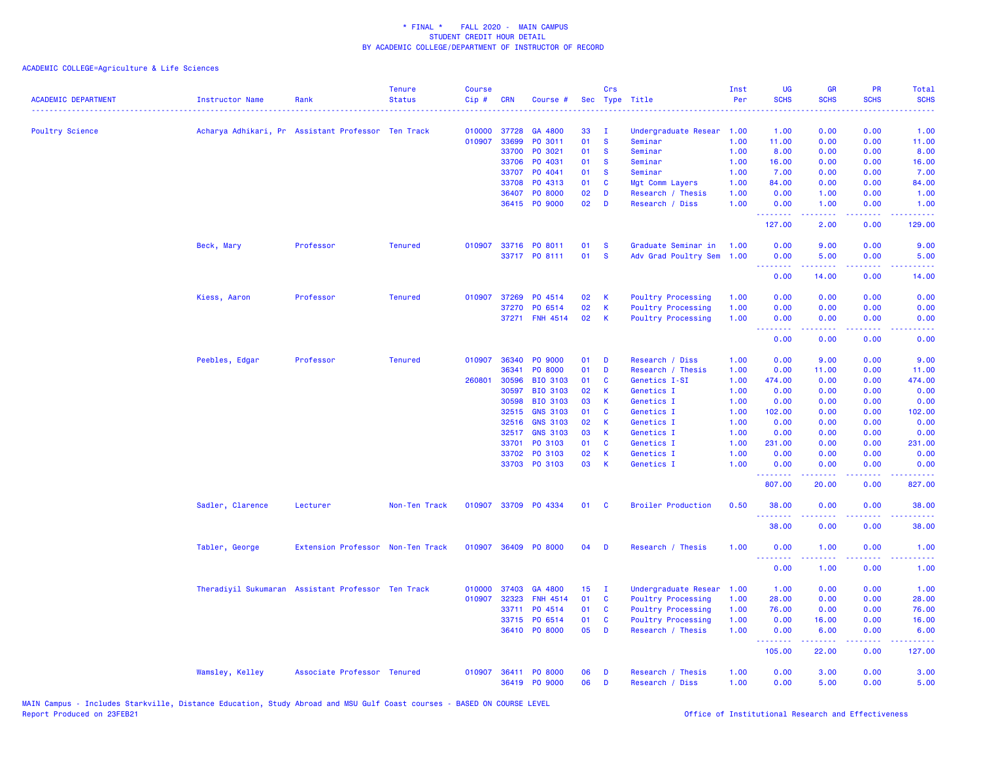| <b>ACADEMIC DEPARTMENT</b> | <b>Instructor Name</b>                             | Rank                              | <b>Tenure</b><br><b>Status</b> | <b>Course</b><br>Cip# | <b>CRN</b> | Course #             |                 | Crs          | Sec Type Title            | Inst<br>Per | UG<br><b>SCHS</b>                                          | <b>GR</b><br><b>SCHS</b>                                                                                                                                     | PR<br><b>SCHS</b> | Total<br><b>SCHS</b>                                                                                                              |
|----------------------------|----------------------------------------------------|-----------------------------------|--------------------------------|-----------------------|------------|----------------------|-----------------|--------------|---------------------------|-------------|------------------------------------------------------------|--------------------------------------------------------------------------------------------------------------------------------------------------------------|-------------------|-----------------------------------------------------------------------------------------------------------------------------------|
| <b>Poultry Science</b>     | Acharya Adhikari, Pr Assistant Professor Ten Track |                                   |                                | 010000                | 37728      | GA 4800              | 33              | $\mathbf{I}$ | Undergraduate Resear 1.00 |             | 1.00                                                       | 0.00                                                                                                                                                         | 0.00              | 1.00                                                                                                                              |
|                            |                                                    |                                   |                                | 010907                | 33699      | PO 3011              | 01              | <b>S</b>     | Seminar                   | 1.00        | 11.00                                                      | 0.00                                                                                                                                                         | 0.00              | 11.00                                                                                                                             |
|                            |                                                    |                                   |                                |                       | 33700      | PO 3021              | 01              | <b>S</b>     | Seminar                   | 1.00        | 8.00                                                       | 0.00                                                                                                                                                         | 0.00              | 8.00                                                                                                                              |
|                            |                                                    |                                   |                                |                       | 33706      | PO 4031              | 01              | <b>S</b>     | Seminar                   | 1.00        | 16.00                                                      | 0.00                                                                                                                                                         | 0.00              | 16.00                                                                                                                             |
|                            |                                                    |                                   |                                |                       | 33707      | PO 4041              | 01              | <b>S</b>     | Seminar                   | 1.00        | 7.00                                                       | 0.00                                                                                                                                                         | 0.00              | 7.00                                                                                                                              |
|                            |                                                    |                                   |                                |                       | 33708      | PO 4313              | 01              | C            | Mgt Comm Layers           | 1.00        | 84.00                                                      | 0.00                                                                                                                                                         | 0.00              | 84.00                                                                                                                             |
|                            |                                                    |                                   |                                |                       | 36407      | PO 8000              | 02              | D            | Research / Thesis         | 1.00        | 0.00                                                       | 1.00                                                                                                                                                         | 0.00              | 1.00                                                                                                                              |
|                            |                                                    |                                   |                                |                       |            | 36415 PO 9000        | 02              | D            | Research / Diss           | 1.00        | 0.00<br>.                                                  | 1.00<br>22222                                                                                                                                                | 0.00<br>د د د د . | 1.00<br>22222)                                                                                                                    |
|                            |                                                    |                                   |                                |                       |            |                      |                 |              |                           |             | 127.00                                                     | 2.00                                                                                                                                                         | 0.00              | 129.00                                                                                                                            |
|                            | Beck, Mary                                         | Professor                         | <b>Tenured</b>                 | 010907                |            | 33716 PO 8011        | 01              | <b>S</b>     | Graduate Seminar in       | 1.00        | 0.00                                                       | 9.00                                                                                                                                                         | 0.00              | 9.00                                                                                                                              |
|                            |                                                    |                                   |                                |                       |            | 33717 PO 8111        | 01              | <b>S</b>     | Adv Grad Poultry Sem      | 1.00        | 0.00<br>الأعامات                                           | 5.00<br>بالأباب                                                                                                                                              | 0.00<br>بالأباب   | 5.00                                                                                                                              |
|                            |                                                    |                                   |                                |                       |            |                      |                 |              |                           |             | 0.00                                                       | 14.00                                                                                                                                                        | 0.00              | 14.00                                                                                                                             |
|                            | Kiess, Aaron                                       | Professor                         | <b>Tenured</b>                 | 010907                | 37269      | PO 4514              | 02              | К            | <b>Poultry Processing</b> | 1.00        | 0.00                                                       | 0.00                                                                                                                                                         | 0.00              | 0.00                                                                                                                              |
|                            |                                                    |                                   |                                |                       | 37270      | PO 6514              | 02              | K            | <b>Poultry Processing</b> | 1.00        | 0.00                                                       | 0.00                                                                                                                                                         | 0.00              | 0.00                                                                                                                              |
|                            |                                                    |                                   |                                |                       |            | 37271 FNH 4514       | 02              | $\mathsf K$  | <b>Poultry Processing</b> | 1.00        | 0.00                                                       | 0.00                                                                                                                                                         | 0.00              | 0.00                                                                                                                              |
|                            |                                                    |                                   |                                |                       |            |                      |                 |              |                           |             | <b><i><u><u><b>A</b></u></u> A A A A A A A</i></b><br>0.00 | 22222<br>0.00                                                                                                                                                | .<br>0.00         | $\frac{1}{2} \left( \frac{1}{2} \right) \left( \frac{1}{2} \right) \left( \frac{1}{2} \right) \left( \frac{1}{2} \right)$<br>0.00 |
|                            | Peebles, Edgar                                     | Professor                         | <b>Tenured</b>                 | 010907                | 36340      | <b>PO 9000</b>       | 01              | D            | Research / Diss           | 1.00        | 0.00                                                       | 9.00                                                                                                                                                         | 0.00              | 9.00                                                                                                                              |
|                            |                                                    |                                   |                                |                       | 36341      | PO 8000              | 01              | D            | Research / Thesis         | 1.00        | 0.00                                                       | 11.00                                                                                                                                                        | 0.00              | 11.00                                                                                                                             |
|                            |                                                    |                                   |                                | 260801                | 30596      | <b>BIO 3103</b>      | 01              | C            | Genetics I-SI             | 1.00        | 474.00                                                     | 0.00                                                                                                                                                         | 0.00              | 474.00                                                                                                                            |
|                            |                                                    |                                   |                                |                       | 30597      | <b>BIO 3103</b>      | 02              | K            | Genetics I                | 1.00        | 0.00                                                       | 0.00                                                                                                                                                         | 0.00              | 0.00                                                                                                                              |
|                            |                                                    |                                   |                                |                       | 30598      | <b>BIO 3103</b>      | 03              | $\mathsf K$  | Genetics I                | 1.00        | 0.00                                                       | 0.00                                                                                                                                                         | 0.00              | 0.00                                                                                                                              |
|                            |                                                    |                                   |                                |                       | 32515      | <b>GNS 3103</b>      | 01              | C            | Genetics I                | 1.00        | 102.00                                                     | 0.00                                                                                                                                                         | 0.00              | 102.00                                                                                                                            |
|                            |                                                    |                                   |                                |                       | 32516      | <b>GNS 3103</b>      | 02              | К            | Genetics I                | 1.00        | 0.00                                                       | 0.00                                                                                                                                                         | 0.00              | 0.00                                                                                                                              |
|                            |                                                    |                                   |                                |                       | 32517      | <b>GNS 3103</b>      | 03              | К            | Genetics I                | 1.00        | 0.00                                                       | 0.00                                                                                                                                                         | 0.00              | 0.00                                                                                                                              |
|                            |                                                    |                                   |                                |                       | 33701      | PO 3103              | 01              | C            | Genetics I                | 1.00        | 231.00                                                     | 0.00                                                                                                                                                         | 0.00              | 231.00                                                                                                                            |
|                            |                                                    |                                   |                                |                       |            | 33702 PO 3103        | 02              | К            | Genetics I                | 1.00        | 0.00                                                       | 0.00                                                                                                                                                         | 0.00              | 0.00                                                                                                                              |
|                            |                                                    |                                   |                                |                       |            | 33703 PO 3103        | 03              | K            | Genetics I                | 1.00        | 0.00<br>.                                                  | 0.00<br>$\frac{1}{2} \left( \frac{1}{2} \right) \left( \frac{1}{2} \right) \left( \frac{1}{2} \right) \left( \frac{1}{2} \right) \left( \frac{1}{2} \right)$ | 0.00<br>.         | 0.00<br>.                                                                                                                         |
|                            |                                                    |                                   |                                |                       |            |                      |                 |              |                           |             | 807.00                                                     | 20.00                                                                                                                                                        | 0.00              | 827.00                                                                                                                            |
|                            | Sadler, Clarence                                   | Lecturer                          | Non-Ten Track                  |                       |            | 010907 33709 P0 4334 | 01              | <b>C</b>     | <b>Broiler Production</b> | 0.50        | 38.00<br><b></b>                                           | 0.00                                                                                                                                                         | 0.00<br>والماعات  | 38.00                                                                                                                             |
|                            |                                                    |                                   |                                |                       |            |                      |                 |              |                           |             | 38.00                                                      | 0.00                                                                                                                                                         | 0.00              | 38.00                                                                                                                             |
|                            | Tabler, George                                     | Extension Professor Non-Ten Track |                                |                       |            | 010907 36409 PO 8000 | 04              | D            | Research / Thesis         | 1.00        | 0.00<br><b><i><u><u> - - - - - - -</u></u></i></b>         | 1.00<br>$\frac{1}{2} \left( \frac{1}{2} \right) \left( \frac{1}{2} \right) \left( \frac{1}{2} \right) \left( \frac{1}{2} \right) \left( \frac{1}{2} \right)$ | 0.00<br>.         | 1.00<br>المتمامين                                                                                                                 |
|                            |                                                    |                                   |                                |                       |            |                      |                 |              |                           |             | 0.00                                                       | 1.00                                                                                                                                                         | 0.00              | 1.00                                                                                                                              |
|                            | Theradiyil Sukumaran Assistant Professor Ten Track |                                   |                                | 010000                | 37403      | GA 4800              | 15 <sub>1</sub> | $\mathbf{I}$ | Undergraduate Resear      | 1.00        | 1.00                                                       | 0.00                                                                                                                                                         | 0.00              | 1.00                                                                                                                              |
|                            |                                                    |                                   |                                | 010907                | 32323      | <b>FNH 4514</b>      | 01              | <b>C</b>     | Poultry Processing        | 1.00        | 28.00                                                      | 0.00                                                                                                                                                         | 0.00              | 28.00                                                                                                                             |
|                            |                                                    |                                   |                                |                       |            | 33711 PO 4514        | 01              | <b>C</b>     | Poultry Processing        | 1.00        | 76.00                                                      | 0.00                                                                                                                                                         | 0.00              | 76.00                                                                                                                             |
|                            |                                                    |                                   |                                |                       |            | 33715 PO 6514        | 01              | <b>C</b>     | Poultry Processing        | 1.00        | 0.00                                                       | 16.00                                                                                                                                                        | 0.00              | 16.00                                                                                                                             |
|                            |                                                    |                                   |                                |                       | 36410      | PO 8000              | 05              | D            | Research / Thesis         | 1.00        | 0.00<br>.                                                  | 6.00<br>22222                                                                                                                                                | 0.00<br>.         | 6.00<br>.                                                                                                                         |
|                            |                                                    |                                   |                                |                       |            |                      |                 |              |                           |             | 105.00                                                     | 22.00                                                                                                                                                        | 0.00              | 127.00                                                                                                                            |
|                            | Wamsley, Kelley                                    | Associate Professor Tenured       |                                | 010907                |            | 36411 PO 8000        | 06              | D            | Research / Thesis         | 1.00        | 0.00                                                       | 3.00                                                                                                                                                         | 0.00              | 3.00                                                                                                                              |
|                            |                                                    |                                   |                                |                       |            | 36419 PO 9000        | 06              | D            | Research / Diss           | 1.00        | 0.00                                                       | 5.00                                                                                                                                                         | 0.00              | 5.00                                                                                                                              |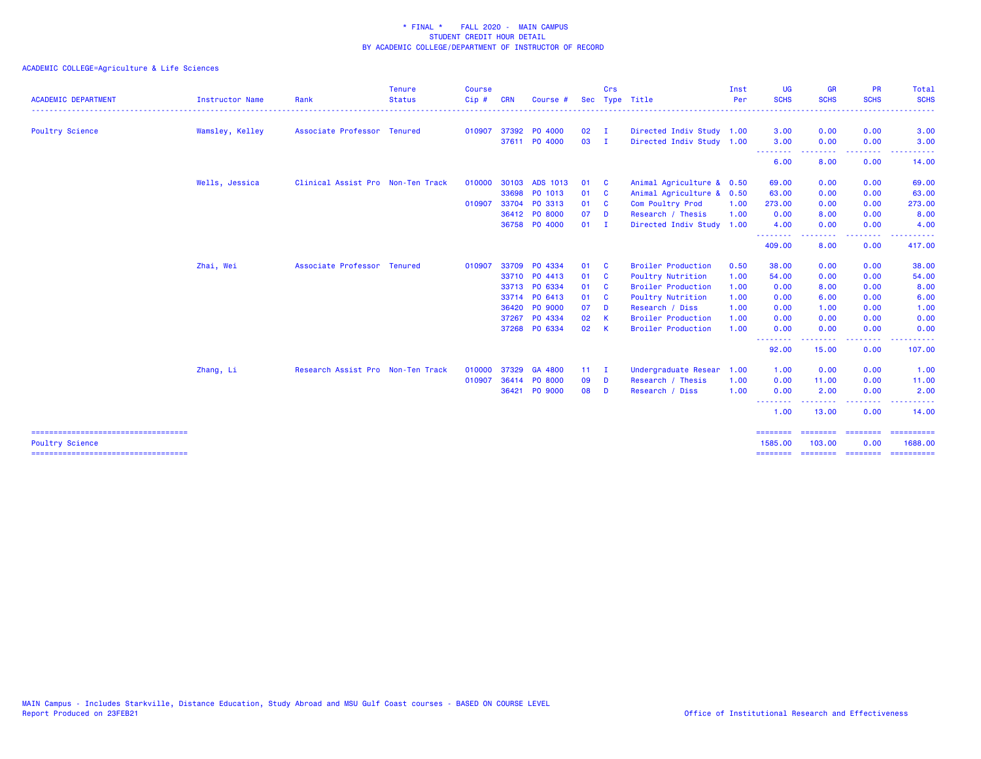| <b>ACADEMIC DEPARTMENT</b> | <b>Instructor Name</b> | Rank                              | <b>Tenure</b><br><b>Status</b> | <b>Course</b><br>Cip # | <b>CRN</b> | Course #      |               | Crs                     | Sec Type Title            | Inst<br>Per | <b>UG</b><br><b>SCHS</b> | <b>GR</b><br><b>SCHS</b> | PR<br><b>SCHS</b>                                                                                      | Total<br><b>SCHS</b> |
|----------------------------|------------------------|-----------------------------------|--------------------------------|------------------------|------------|---------------|---------------|-------------------------|---------------------------|-------------|--------------------------|--------------------------|--------------------------------------------------------------------------------------------------------|----------------------|
| <b>Poultry Science</b>     | Wamsley, Kelley        | Associate Professor Tenured       |                                | 010907                 |            | 37392 PO 4000 | $02 \qquad I$ |                         | Directed Indiv Study 1.00 |             | 3.00                     | 0.00                     | 0.00                                                                                                   | 3.00                 |
|                            |                        |                                   |                                |                        |            | 37611 PO 4000 | 03            | $\blacksquare$          | Directed Indiv Study 1.00 |             | 3.00                     | 0.00                     | 0.00                                                                                                   | 3.00                 |
|                            |                        |                                   |                                |                        |            |               |               |                         |                           |             | <b></b><br>6.00          | 8.00                     | ----<br>0.00                                                                                           | 14.00                |
|                            | Wells, Jessica         | Clinical Assist Pro Non-Ten Track |                                | 010000                 | 30103      | ADS 1013      | 01            | <b>C</b>                | Animal Agriculture & 0.50 |             | 69.00                    | 0.00                     | 0.00                                                                                                   | 69.00                |
|                            |                        |                                   |                                |                        |            | 33698 PO 1013 | 01            | <b>C</b>                | Animal Agriculture & 0.50 |             | 63.00                    | 0.00                     | 0.00                                                                                                   | 63.00                |
|                            |                        |                                   |                                | 010907                 |            | 33704 PO 3313 | 01            | <b>C</b>                | Com Poultry Prod          | 1.00        | 273.00                   | 0.00                     | 0.00                                                                                                   | 273.00               |
|                            |                        |                                   |                                |                        |            | 36412 PO 8000 | 07            | <b>D</b>                | Research / Thesis         | 1.00        | 0.00                     | 8.00                     | 0.00                                                                                                   | 8.00                 |
|                            |                        |                                   |                                |                        |            | 36758 PO 4000 | 01            | - 1                     | Directed Indiv Study 1.00 |             | 4.00                     | 0.00                     | 0.00                                                                                                   | 4.00                 |
|                            |                        |                                   |                                |                        |            |               |               |                         |                           |             | --------<br>409.00       | . <b>.</b> .<br>8.00     | $\frac{1}{2} \left( \frac{1}{2} \right) \left( \frac{1}{2} \right) \left( \frac{1}{2} \right)$<br>0.00 | ------<br>417.00     |
|                            | Zhai, Wei              | Associate Professor Tenured       |                                | 010907                 |            | 33709 PO 4334 | 01            | $\mathbf{C}$            | <b>Broiler Production</b> | 0.50        | 38.00                    | 0.00                     | 0.00                                                                                                   | 38.00                |
|                            |                        |                                   |                                |                        |            | 33710 PO 4413 | 01            | $\overline{\mathbf{C}}$ | Poultry Nutrition         | 1.00        | 54.00                    | 0.00                     | 0.00                                                                                                   | 54.00                |
|                            |                        |                                   |                                |                        |            | 33713 PO 6334 | 01 C          |                         | <b>Broiler Production</b> | 1.00        | 0.00                     | 8.00                     | 0.00                                                                                                   | 8.00                 |
|                            |                        |                                   |                                |                        |            | 33714 PO 6413 | 01            | $\mathbf{C}$            | Poultry Nutrition         | 1.00        | 0.00                     | 6.00                     | 0.00                                                                                                   | 6.00                 |
|                            |                        |                                   |                                |                        |            | 36420 PO 9000 | 07            | <b>D</b>                | Research / Diss           | 1.00        | 0.00                     | 1.00                     | 0.00                                                                                                   | 1.00                 |
|                            |                        |                                   |                                |                        |            | 37267 PO 4334 | 02            | K                       | <b>Broiler Production</b> | 1.00        | 0.00                     | 0.00                     | 0.00                                                                                                   | 0.00                 |
|                            |                        |                                   |                                |                        |            | 37268 PO 6334 | 02            | $\mathsf{K}$            | <b>Broiler Production</b> | 1.00        | 0.00                     | 0.00                     | 0.00                                                                                                   | 0.00                 |
|                            |                        |                                   |                                |                        |            |               |               |                         |                           |             | --------<br>92.00        | 15.00                    | $\frac{1}{2} \left( \frac{1}{2} \right) \left( \frac{1}{2} \right) \left( \frac{1}{2} \right)$<br>0.00 | 107.00               |
|                            | Zhang, Li              | Research Assist Pro Non-Ten Track |                                | 010000                 |            | 37329 GA 4800 | $11 \quad I$  |                         | Undergraduate Resear      | 1.00        | 1.00                     | 0.00                     | 0.00                                                                                                   | 1.00                 |
|                            |                        |                                   |                                | 010907                 |            | 36414 PO 8000 | 09            | D                       | Research / Thesis         | 1.00        | 0.00                     | 11.00                    | 0.00                                                                                                   | 11.00                |
|                            |                        |                                   |                                |                        |            | 36421 PO 9000 | 08            | - D                     | Research / Diss           | 1.00        | 0.00                     | 2.00                     | 0.00                                                                                                   | 2.00                 |
|                            |                        |                                   |                                |                        |            |               |               |                         |                           |             | .<br>1.00                | .<br>13.00               | $\frac{1}{2} \left( \frac{1}{2} \right) \left( \frac{1}{2} \right) \left( \frac{1}{2} \right)$<br>0.00 | 14.00                |
| <b>Poultry Science</b>     |                        |                                   |                                |                        |            |               |               |                         |                           |             | ========<br>1585.00      | ========<br>103,00       | 0.00                                                                                                   | 1688.00              |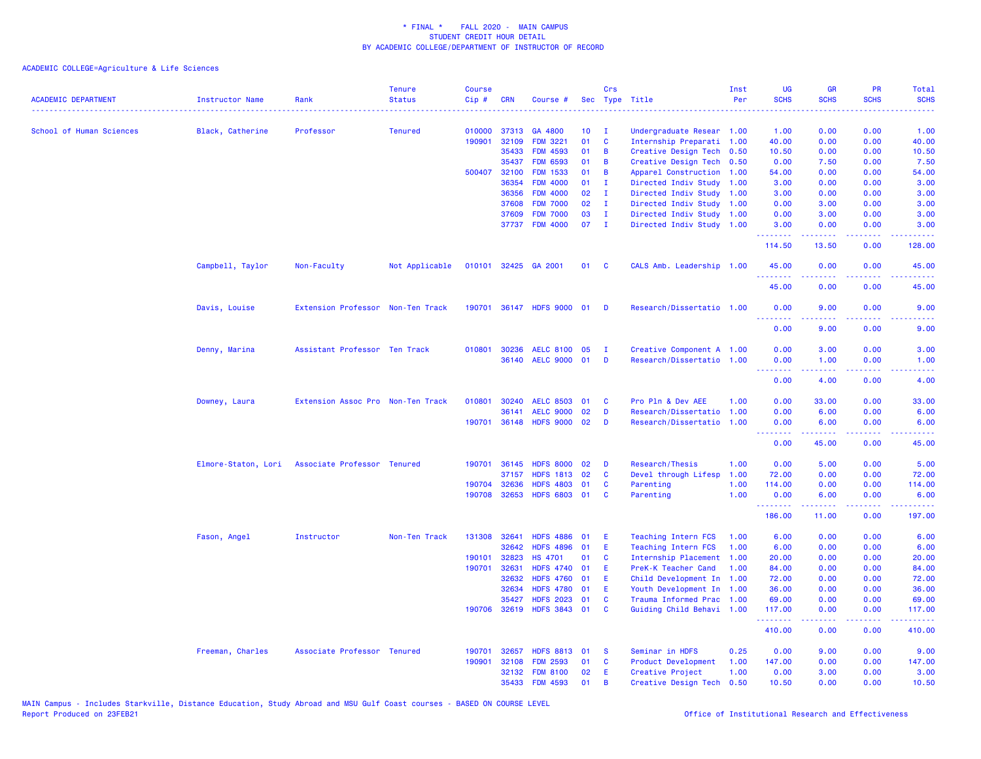| <b>ACADEMIC DEPARTMENT</b> | <b>Instructor Name</b> | Rank                              | <b>Tenure</b><br><b>Status</b> | <b>Course</b><br>Cip# | <b>CRN</b>   | Course #                  |                 | Crs                     | Sec Type Title            | Inst<br>Per | <b>UG</b><br><b>SCHS</b> | <b>GR</b><br><b>SCHS</b>                                                                                                                                     | <b>PR</b><br><b>SCHS</b>       | Total<br><b>SCHS</b> |
|----------------------------|------------------------|-----------------------------------|--------------------------------|-----------------------|--------------|---------------------------|-----------------|-------------------------|---------------------------|-------------|--------------------------|--------------------------------------------------------------------------------------------------------------------------------------------------------------|--------------------------------|----------------------|
| School of Human Sciences   | Black, Catherine       | Professor                         | <b>Tenured</b>                 | 010000                | 37313        | GA 4800                   | 10 <sub>1</sub> | $\mathbf{I}$            | Undergraduate Resear 1.00 |             | 1.00                     | 0.00                                                                                                                                                         | 0.00                           | .<br>1.00            |
|                            |                        |                                   |                                | 190901                | 32109        | <b>FDM 3221</b>           | 01              | $\mathbf{C}$            | Internship Preparati 1.00 |             | 40.00                    | 0.00                                                                                                                                                         | 0.00                           | 40.00                |
|                            |                        |                                   |                                |                       | 35433        | <b>FDM 4593</b>           | 01              | $\overline{B}$          | Creative Design Tech 0.50 |             | 10.50                    | 0.00                                                                                                                                                         | 0.00                           | 10.50                |
|                            |                        |                                   |                                |                       | 35437        | <b>FDM 6593</b>           | 01              | B                       | Creative Design Tech 0.50 |             | 0.00                     | 7.50                                                                                                                                                         | 0.00                           | 7.50                 |
|                            |                        |                                   |                                |                       | 500407 32100 | <b>FDM 1533</b>           | 01              | B                       | Apparel Construction 1.00 |             | 54.00                    | 0.00                                                                                                                                                         | 0.00                           | 54.00                |
|                            |                        |                                   |                                |                       | 36354        | <b>FDM 4000</b>           | 01              | $\mathbf{I}$            | Directed Indiv Study 1.00 |             | 3.00                     | 0.00                                                                                                                                                         | 0.00                           | 3.00                 |
|                            |                        |                                   |                                |                       | 36356        | <b>FDM 4000</b>           | 02              | $\mathbf{I}$            | Directed Indiv Study 1.00 |             | 3.00                     | 0.00                                                                                                                                                         | 0.00                           | 3.00                 |
|                            |                        |                                   |                                |                       | 37608        | <b>FDM 7000</b>           | 02              | $\mathbf I$             | Directed Indiv Study 1.00 |             | 0.00                     | 3.00                                                                                                                                                         | 0.00                           | 3.00                 |
|                            |                        |                                   |                                |                       | 37609        | <b>FDM 7000</b>           | 03              | $\mathbf I$             | Directed Indiv Study 1.00 |             | 0.00                     | 3.00                                                                                                                                                         | 0.00                           | 3.00                 |
|                            |                        |                                   |                                |                       | 37737        | <b>FDM 4000</b>           | 07              | $\mathbf{I}$            | Directed Indiv Study 1.00 |             | 3.00<br>22222            | 0.00<br>$\frac{1}{2} \left( \frac{1}{2} \right) \left( \frac{1}{2} \right) \left( \frac{1}{2} \right) \left( \frac{1}{2} \right) \left( \frac{1}{2} \right)$ | 0.00<br>$\omega$ is a $\omega$ | 3.00                 |
|                            |                        |                                   |                                |                       |              |                           |                 |                         |                           |             | 114.50                   | 13.50                                                                                                                                                        | 0.00                           | 128.00               |
|                            | Campbell, Taylor       | Non-Faculty                       | Not Applicable                 | 010101                |              | 32425 GA 2001             | 01              | $\overline{\mathbf{C}}$ | CALS Amb. Leadership 1.00 |             | 45.00<br>.               | 0.00<br>.                                                                                                                                                    | 0.00<br>$   -$                 | 45.00                |
|                            |                        |                                   |                                |                       |              |                           |                 |                         |                           |             | 45.00                    | 0.00                                                                                                                                                         | 0.00                           | 45.00                |
|                            | Davis, Louise          | Extension Professor Non-Ten Track |                                |                       |              | 190701 36147 HDFS 9000 01 |                 | - D                     | Research/Dissertatio 1.00 |             | 0.00                     | 9.00                                                                                                                                                         | 0.00                           | 9.00                 |
|                            |                        |                                   |                                |                       |              |                           |                 |                         |                           |             | 0.00                     | 9.00                                                                                                                                                         | 0.00                           | 9.00                 |
|                            | Denny, Marina          | Assistant Professor Ten Track     |                                |                       | 010801 30236 | AELC 8100 05              |                 | $\mathbf{I}$            | Creative Component A 1.00 |             | 0.00                     | 3.00                                                                                                                                                         | 0.00                           | 3.00                 |
|                            |                        |                                   |                                |                       |              | 36140 AELC 9000 01        |                 | D                       | Research/Dissertatio 1.00 |             | 0.00                     | 1.00                                                                                                                                                         | 0.00                           | 1.00                 |
|                            |                        |                                   |                                |                       |              |                           |                 |                         |                           |             | د د د د                  |                                                                                                                                                              |                                |                      |
|                            |                        |                                   |                                |                       |              |                           |                 |                         |                           |             | 0.00                     | 4.00                                                                                                                                                         | 0.00                           | 4.00                 |
|                            | Downey, Laura          | Extension Assoc Pro Non-Ten Track |                                |                       | 010801 30240 | <b>AELC 8503</b>          | 01              | <b>C</b>                | Pro Pln & Dev AEE         | 1.00        | 0.00                     | 33.00                                                                                                                                                        | 0.00                           | 33.00                |
|                            |                        |                                   |                                |                       | 36141        | <b>AELC 9000</b>          | 02              | D                       | Research/Dissertatio 1.00 |             | 0.00                     | 6.00                                                                                                                                                         | 0.00                           | 6.00                 |
|                            |                        |                                   |                                |                       | 190701 36148 | HDFS 9000 02              |                 | D                       | Research/Dissertatio 1.00 |             | 0.00<br>.                | 6.00                                                                                                                                                         | 0.00                           | 6.00                 |
|                            |                        |                                   |                                |                       |              |                           |                 |                         |                           |             | 0.00                     | 45.00                                                                                                                                                        | 0.00                           | 45.00                |
|                            | Elmore-Staton, Lori    | Associate Professor Tenured       |                                |                       | 190701 36145 | <b>HDFS 8000</b>          | 02              | D                       | Research/Thesis           | 1.00        | 0.00                     | 5.00                                                                                                                                                         | 0.00                           | 5.00                 |
|                            |                        |                                   |                                |                       | 37157        | <b>HDFS 1813</b>          | 02              | $\mathbf{C}$            | Devel through Lifesp      | 1.00        | 72.00                    | 0.00                                                                                                                                                         | 0.00                           | 72.00                |
|                            |                        |                                   |                                | 190704                | 32636        | <b>HDFS 4803</b>          | 01              | C                       | Parenting                 | 1.00        | 114.00                   | 0.00                                                                                                                                                         | 0.00                           | 114.00               |
|                            |                        |                                   |                                |                       | 190708 32653 | HDFS 6803 01              |                 | <b>C</b>                | Parenting                 | 1.00        | 0.00<br>.                | 6.00<br>$\frac{1}{2} \left( \frac{1}{2} \right) \left( \frac{1}{2} \right) \left( \frac{1}{2} \right) \left( \frac{1}{2} \right) \left( \frac{1}{2} \right)$ | 0.00<br>.                      | 6.00                 |
|                            |                        |                                   |                                |                       |              |                           |                 |                         |                           |             | 186.00                   | 11.00                                                                                                                                                        | 0.00                           | 197.00               |
|                            | Fason, Angel           | Instructor                        | Non-Ten Track                  |                       | 131308 32641 | <b>HDFS 4886</b>          | 01              | E                       | Teaching Intern FCS       | 1.00        | 6.00                     | 0.00                                                                                                                                                         | 0.00                           | 6.00                 |
|                            |                        |                                   |                                |                       | 32642        | <b>HDFS 4896</b>          | 01              | -E                      | Teaching Intern FCS       | 1.00        | 6.00                     | 0.00                                                                                                                                                         | 0.00                           | 6.00                 |
|                            |                        |                                   |                                | 190101                | 32823        | <b>HS 4701</b>            | 01              | <b>C</b>                | Internship Placement 1.00 |             | 20.00                    | 0.00                                                                                                                                                         | 0.00                           | 20.00                |
|                            |                        |                                   |                                | 190701                | 32631        | <b>HDFS 4740</b>          | 01              | -E                      | PreK-K Teacher Cand       | 1.00        | 84.00                    | 0.00                                                                                                                                                         | 0.00                           | 84.00                |
|                            |                        |                                   |                                |                       | 32632        | <b>HDFS 4760</b>          | 01              | -E                      | Child Development In 1.00 |             | 72.00                    | 0.00                                                                                                                                                         | 0.00                           | 72.00                |
|                            |                        |                                   |                                |                       | 32634        | <b>HDFS 4780</b>          | 01              | -E                      | Youth Development In 1.00 |             | 36.00                    | 0.00                                                                                                                                                         | 0.00                           | 36.00                |
|                            |                        |                                   |                                |                       | 35427        | <b>HDFS 2023</b>          | 01              | <b>C</b>                | Trauma Informed Prac 1.00 |             | 69.00                    | 0.00                                                                                                                                                         | 0.00                           | 69.00                |
|                            |                        |                                   |                                |                       | 190706 32619 | HDFS 3843 01              |                 | <b>C</b>                | Guiding Child Behavi 1.00 |             | 117.00<br>.              | 0.00<br>.                                                                                                                                                    | 0.00<br>. <b>.</b>             | 117.00<br>.          |
|                            |                        |                                   |                                |                       |              |                           |                 |                         |                           |             | 410.00                   | 0.00                                                                                                                                                         | 0.00                           | 410.00               |
|                            | Freeman, Charles       | Associate Professor Tenured       |                                | 190701                | 32657        | <b>HDFS 8813</b>          | 01              | - S                     | Seminar in HDFS           | 0.25        | 0.00                     | 9.00                                                                                                                                                         | 0.00                           | 9.00                 |
|                            |                        |                                   |                                | 190901                | 32108        | <b>FDM 2593</b>           | 01              | <b>C</b>                | Product Development       | 1.00        | 147.00                   | 0.00                                                                                                                                                         | 0.00                           | 147.00               |
|                            |                        |                                   |                                |                       | 32132        | <b>FDM 8100</b>           | 02              | E.                      | Creative Project          | 1.00        | 0.00                     | 3.00                                                                                                                                                         | 0.00                           | 3.00                 |
|                            |                        |                                   |                                |                       | 35433        | <b>FDM 4593</b>           | 01              | B                       | Creative Design Tech      | 0.50        | 10.50                    | 0.00                                                                                                                                                         | 0.00                           | 10.50                |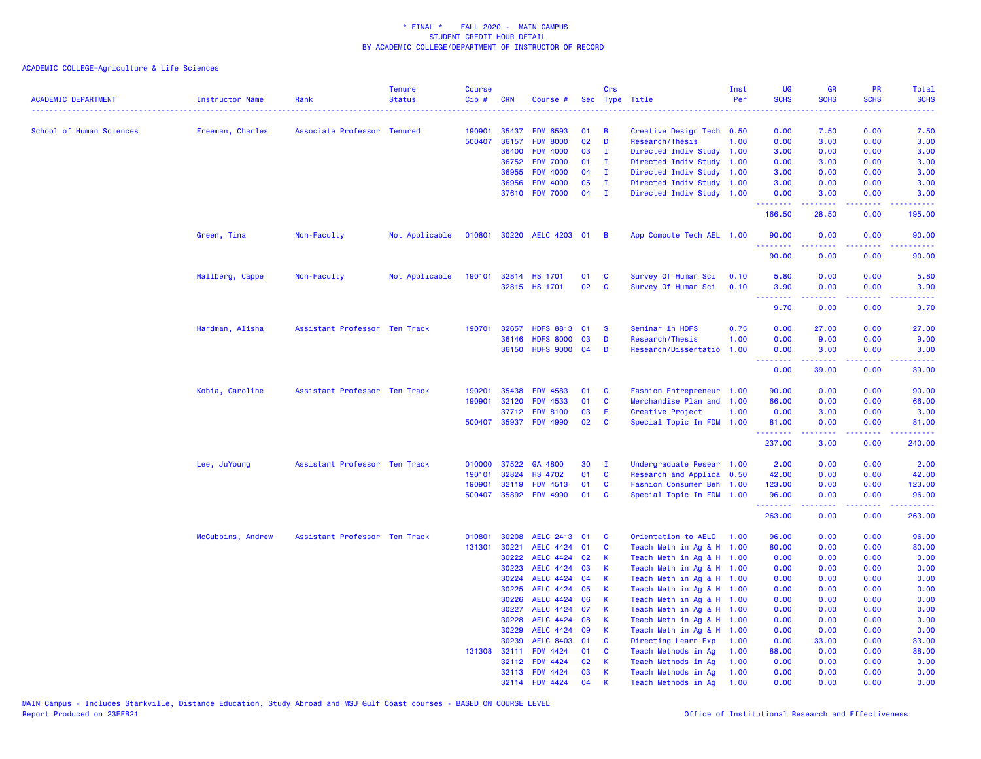| <b>ACADEMIC DEPARTMENT</b> | <b>Instructor Name</b> | Rank                          | <b>Tenure</b><br><b>Status</b> | <b>Course</b><br>Cip# | <b>CRN</b>     | Course #                           |          | Crs                          | Sec Type Title                                         | Inst<br>Per | <b>UG</b><br><b>SCHS</b> | <b>GR</b><br><b>SCHS</b>                                                                                                                                      | <b>PR</b><br><b>SCHS</b>            | Total<br><b>SCHS</b> |
|----------------------------|------------------------|-------------------------------|--------------------------------|-----------------------|----------------|------------------------------------|----------|------------------------------|--------------------------------------------------------|-------------|--------------------------|---------------------------------------------------------------------------------------------------------------------------------------------------------------|-------------------------------------|----------------------|
|                            |                        |                               |                                |                       |                |                                    |          |                              | .                                                      |             |                          |                                                                                                                                                               |                                     | .                    |
| School of Human Sciences   | Freeman, Charles       | Associate Professor Tenured   |                                | 190901                | 35437          | <b>FDM 6593</b>                    | 01       | B                            | Creative Design Tech 0.50                              |             | 0.00                     | 7.50                                                                                                                                                          | 0.00                                | 7.50                 |
|                            |                        |                               |                                | 500407                | 36157          | <b>FDM 8000</b>                    | 02       | D                            | Research/Thesis                                        | 1.00        | 0.00                     | 3.00                                                                                                                                                          | 0.00                                | 3.00                 |
|                            |                        |                               |                                |                       | 36400          | <b>FDM 4000</b>                    | 03       | $\mathbf{I}$                 | Directed Indiv Study 1.00                              |             | 3.00                     | 0.00                                                                                                                                                          | 0.00                                | 3.00                 |
|                            |                        |                               |                                |                       | 36752          | <b>FDM 7000</b>                    | 01       | $\mathbf{I}$                 | Directed Indiv Study                                   | 1.00        | 0.00                     | 3.00                                                                                                                                                          | 0.00                                | 3.00                 |
|                            |                        |                               |                                |                       | 36955<br>36956 | <b>FDM 4000</b>                    | 04<br>05 | $\mathbf{I}$<br>$\mathbf{I}$ | Directed Indiv Study 1.00                              |             | 3.00<br>3.00             | 0.00<br>0.00                                                                                                                                                  | 0.00<br>0.00                        | 3.00<br>3.00         |
|                            |                        |                               |                                |                       | 37610          | <b>FDM 4000</b><br><b>FDM 7000</b> | 04       | $\mathbf{I}$                 | Directed Indiv Study 1.00<br>Directed Indiv Study 1.00 |             | 0.00                     | 3.00                                                                                                                                                          | 0.00                                | 3.00                 |
|                            |                        |                               |                                |                       |                |                                    |          |                              |                                                        |             | .<br>166.50              | $\frac{1}{2} \left( \frac{1}{2} \right) \left( \frac{1}{2} \right) \left( \frac{1}{2} \right) \left( \frac{1}{2} \right) \left( \frac{1}{2} \right)$<br>28.50 | .<br>0.00                           | .<br>195.00          |
|                            | Green, Tina            | Non-Faculty                   | Not Applicable                 | 010801                |                | 30220 AELC 4203 01                 |          | $\overline{B}$               | App Compute Tech AEL 1.00                              |             | 90.00                    | 0.00                                                                                                                                                          | 0.00                                | 90.00                |
|                            |                        |                               |                                |                       |                |                                    |          |                              |                                                        |             |                          |                                                                                                                                                               |                                     |                      |
|                            |                        |                               |                                |                       |                |                                    |          |                              |                                                        |             | 90.00                    | 0.00                                                                                                                                                          | 0.00                                | 90.00                |
|                            | Hallberg, Cappe        | Non-Faculty                   | Not Applicable                 | 190101                |                | 32814 HS 1701                      | 01       | <b>C</b>                     | Survey Of Human Sci                                    | 0.10        | 5.80                     | 0.00                                                                                                                                                          | 0.00                                | 5.80                 |
|                            |                        |                               |                                |                       |                | 32815 HS 1701                      | 02       | $\mathbf{C}$                 | Survey Of Human Sci                                    | 0.10        | 3.90<br>.                | 0.00                                                                                                                                                          | 0.00<br>$\sim$ $\sim$ $\sim$ $\sim$ | 3.90                 |
|                            |                        |                               |                                |                       |                |                                    |          |                              |                                                        |             | 9.70                     | 0.00                                                                                                                                                          | 0.00                                | 9.70                 |
|                            | Hardman, Alisha        | Assistant Professor Ten Track |                                | 190701                | 32657          | HDFS 8813 01                       |          | <b>S</b>                     | Seminar in HDFS                                        | 0.75        | 0.00                     | 27.00                                                                                                                                                         | 0.00                                | 27.00                |
|                            |                        |                               |                                |                       | 36146          | <b>HDFS 8000</b>                   | 03       | D                            | Research/Thesis                                        | 1.00        | 0.00                     | 9.00                                                                                                                                                          | 0.00                                | 9.00                 |
|                            |                        |                               |                                |                       | 36150          | <b>HDFS 9000</b>                   | 04       | D                            | Research/Dissertatio                                   | 1.00        | 0.00<br>.                | 3.00<br>.                                                                                                                                                     | 0.00<br>.                           | 3.00<br>.            |
|                            |                        |                               |                                |                       |                |                                    |          |                              |                                                        |             | 0.00                     | 39.00                                                                                                                                                         | 0.00                                | 39.00                |
|                            | Kobia, Caroline        | Assistant Professor Ten Track |                                | 190201                | 35438          | <b>FDM 4583</b>                    | 01       | C                            | Fashion Entrepreneur 1.00                              |             | 90.00                    | 0.00                                                                                                                                                          | 0.00                                | 90.00                |
|                            |                        |                               |                                | 190901                | 32120          | <b>FDM 4533</b>                    | 01       | C                            | Merchandise Plan and 1.00                              |             | 66.00                    | 0.00                                                                                                                                                          | 0.00                                | 66.00                |
|                            |                        |                               |                                |                       | 37712          | <b>FDM 8100</b>                    | 03       | E                            | Creative Project                                       | 1.00        | 0.00                     | 3.00                                                                                                                                                          | 0.00                                | 3.00                 |
|                            |                        |                               |                                | 500407                | 35937          | <b>FDM 4990</b>                    | 02       | $\mathbf{C}$                 | Special Topic In FDM 1.00                              |             | 81.00<br>.               | 0.00                                                                                                                                                          | 0.00                                | 81.00                |
|                            |                        |                               |                                |                       |                |                                    |          |                              |                                                        |             | 237.00                   | 3.00                                                                                                                                                          | 0.00                                | 240.00               |
|                            | Lee, JuYoung           | Assistant Professor Ten Track |                                | 010000                | 37522          | GA 4800                            | 30       | $\mathbf{I}$                 | Undergraduate Resear 1.00                              |             | 2.00                     | 0.00                                                                                                                                                          | 0.00                                | 2.00                 |
|                            |                        |                               |                                | 190101                | 32824          | <b>HS 4702</b>                     | 01       | $\mathbf{C}$                 | Research and Applica 0.50                              |             | 42.00                    | 0.00                                                                                                                                                          | 0.00                                | 42.00                |
|                            |                        |                               |                                | 190901                | 32119          | <b>FDM 4513</b>                    | 01       | C                            | Fashion Consumer Beh 1.00                              |             | 123.00                   | 0.00                                                                                                                                                          | 0.00                                | 123.00               |
|                            |                        |                               |                                | 500407                | 35892          | <b>FDM 4990</b>                    | 01       | C                            | Special Topic In FDM 1.00                              |             | 96.00<br>.               | 0.00<br>بالأبابات                                                                                                                                             | 0.00<br>.                           | 96.00                |
|                            |                        |                               |                                |                       |                |                                    |          |                              |                                                        |             | 263.00                   | 0.00                                                                                                                                                          | 0.00                                | 263.00               |
|                            | McCubbins, Andrew      | Assistant Professor Ten Track |                                | 010801                | 30208          | <b>AELC 2413</b>                   | 01       | C                            | Orientation to AELC                                    | 1.00        | 96.00                    | 0.00                                                                                                                                                          | 0.00                                | 96.00                |
|                            |                        |                               |                                | 131301                | 30221          | AELC 4424 01                       |          | C                            | Teach Meth in Ag & H 1.00                              |             | 80.00                    | 0.00                                                                                                                                                          | 0.00                                | 80.00                |
|                            |                        |                               |                                |                       | 30222          | <b>AELC 4424</b>                   | 02       | K                            | Teach Meth in Ag & H 1.00                              |             | 0.00                     | 0.00                                                                                                                                                          | 0.00                                | 0.00                 |
|                            |                        |                               |                                |                       | 30223          | <b>AELC 4424</b>                   | 03       | К                            | Teach Meth in Ag & H 1.00                              |             | 0.00                     | 0.00                                                                                                                                                          | 0.00                                | 0.00                 |
|                            |                        |                               |                                |                       | 30224          | <b>AELC 4424</b>                   | 04       | К                            | Teach Meth in Ag & H 1.00                              |             | 0.00                     | 0.00                                                                                                                                                          | 0.00                                | 0.00                 |
|                            |                        |                               |                                |                       | 30225          | <b>AELC 4424</b>                   | 05       | К                            | Teach Meth in Ag & H 1.00                              |             | 0.00                     | 0.00                                                                                                                                                          | 0.00                                | 0.00                 |
|                            |                        |                               |                                |                       | 30226          | <b>AELC 4424</b>                   | 06       | К                            | Teach Meth in Ag & H 1.00                              |             | 0.00                     | 0.00                                                                                                                                                          | 0.00                                | 0.00                 |
|                            |                        |                               |                                |                       | 30227          | <b>AELC 4424</b>                   | 07       | К                            | Teach Meth in Ag & H 1.00                              |             | 0.00                     | 0.00                                                                                                                                                          | 0.00                                | 0.00                 |
|                            |                        |                               |                                |                       | 30228          | <b>AELC 4424</b>                   | 08       | $\mathsf{K}$                 | Teach Meth in Ag & H 1.00                              |             | 0.00                     | 0.00                                                                                                                                                          | 0.00                                | 0.00                 |
|                            |                        |                               |                                |                       | 30229          | <b>AELC 4424</b>                   | 09       | K                            | Teach Meth in Ag & H 1.00                              |             | 0.00                     | 0.00                                                                                                                                                          | 0.00                                | 0.00                 |
|                            |                        |                               |                                |                       | 30239          | <b>AELC 8403</b>                   | 01       | C                            | Directing Learn Exp                                    | 1.00        | 0.00                     | 33.00                                                                                                                                                         | 0.00                                | 33.00                |
|                            |                        |                               |                                |                       | 131308 32111   | <b>FDM 4424</b>                    | 01       | C                            | Teach Methods in Ag                                    | 1.00        | 88.00                    | 0.00                                                                                                                                                          | 0.00                                | 88.00                |
|                            |                        |                               |                                |                       | 32112          | <b>FDM 4424</b>                    | 02       | K                            | Teach Methods in Ag                                    | 1.00        | 0.00                     | 0.00                                                                                                                                                          | 0.00                                | 0.00                 |
|                            |                        |                               |                                |                       |                | 32113 FDM 4424                     | 03       | К                            | Teach Methods in Ag                                    | 1.00        | 0.00                     | 0.00                                                                                                                                                          | 0.00                                | 0.00                 |
|                            |                        |                               |                                |                       |                | 32114 FDM 4424                     | 04       | $\mathsf{K}$                 | Teach Methods in Ag                                    | 1.00        | 0.00                     | 0.00                                                                                                                                                          | 0.00                                | 0.00                 |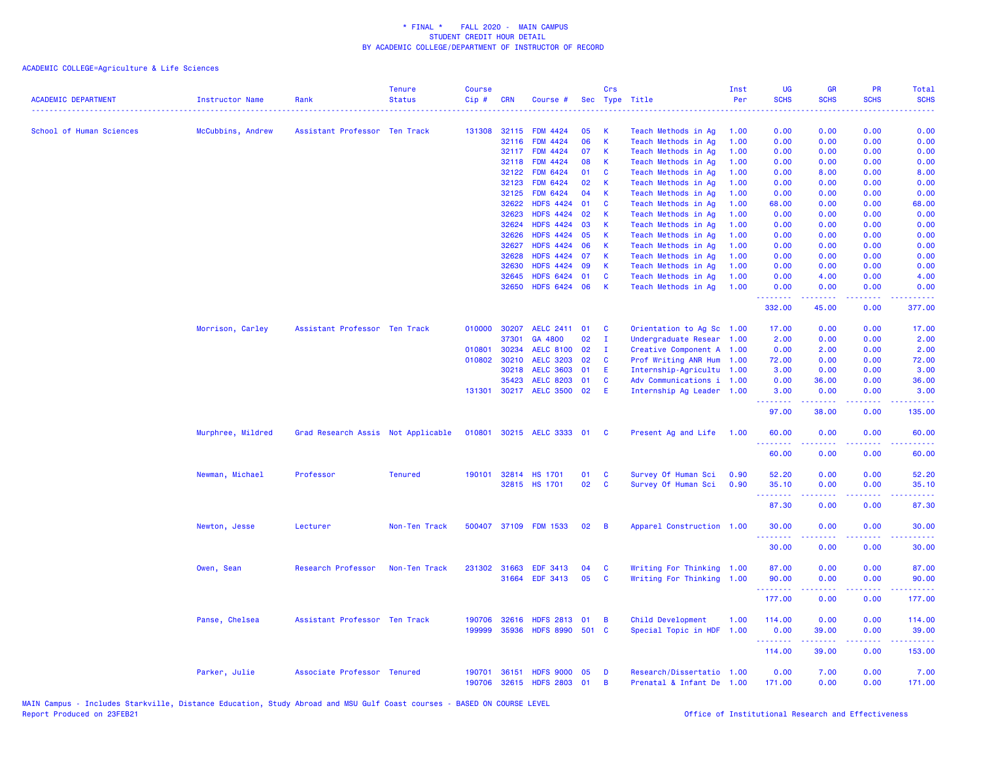| <b>ACADEMIC DEPARTMENT</b> | <b>Instructor Name</b> | Rank                               | <b>Tenure</b><br><b>Status</b> | <b>Course</b><br>Cip# | <b>CRN</b>     | Course #                             |       | Crs          | Sec Type Title            | Inst<br>Per | <b>UG</b><br><b>SCHS</b><br>$\sim$ $\sim$ $\sim$ $\sim$ | <b>GR</b><br><b>SCHS</b>                                                                                                                             | PR<br><b>SCHS</b>                                                                                                                 | Total<br><b>SCHS</b><br>.                                                                                                                                     |
|----------------------------|------------------------|------------------------------------|--------------------------------|-----------------------|----------------|--------------------------------------|-------|--------------|---------------------------|-------------|---------------------------------------------------------|------------------------------------------------------------------------------------------------------------------------------------------------------|-----------------------------------------------------------------------------------------------------------------------------------|---------------------------------------------------------------------------------------------------------------------------------------------------------------|
| School of Human Sciences   | McCubbins, Andrew      | Assistant Professor Ten Track      |                                | 131308                | 32115          | <b>FDM 4424</b>                      | 05    | K            | Teach Methods in Ag       | 1.00        | 0.00                                                    | 0.00                                                                                                                                                 | 0.00                                                                                                                              | 0.00                                                                                                                                                          |
|                            |                        |                                    |                                |                       | 32116          | <b>FDM 4424</b>                      | 06    | K            | Teach Methods in Ag       | 1.00        | 0.00                                                    | 0.00                                                                                                                                                 | 0.00                                                                                                                              | 0.00                                                                                                                                                          |
|                            |                        |                                    |                                |                       | 32117          | <b>FDM 4424</b>                      | 07    | K            | Teach Methods in Ag       | 1.00        | 0.00                                                    | 0.00                                                                                                                                                 | 0.00                                                                                                                              | 0.00                                                                                                                                                          |
|                            |                        |                                    |                                |                       | 32118          | <b>FDM 4424</b>                      | 08    | К            | Teach Methods in Ag       | 1.00        | 0.00                                                    | 0.00                                                                                                                                                 | 0.00                                                                                                                              | 0.00                                                                                                                                                          |
|                            |                        |                                    |                                |                       | 32122          | <b>FDM 6424</b>                      | 01    | C            | Teach Methods in Ag       | 1.00        | 0.00                                                    | 8.00                                                                                                                                                 | 0.00                                                                                                                              | 8.00                                                                                                                                                          |
|                            |                        |                                    |                                |                       | 32123          | <b>FDM 6424</b>                      | 02    | K            | Teach Methods in Ag       | 1.00        | 0.00                                                    | 0.00                                                                                                                                                 | 0.00                                                                                                                              | 0.00                                                                                                                                                          |
|                            |                        |                                    |                                |                       | 32125          | <b>FDM 6424</b>                      | 04    | K            | Teach Methods in Ag       | 1.00        | 0.00                                                    | 0.00                                                                                                                                                 | 0.00                                                                                                                              | 0.00                                                                                                                                                          |
|                            |                        |                                    |                                |                       | 32622          | <b>HDFS 4424</b>                     | 01    | <b>C</b>     | Teach Methods in Ag       | 1.00        | 68.00                                                   | 0.00                                                                                                                                                 | 0.00                                                                                                                              | 68.00                                                                                                                                                         |
|                            |                        |                                    |                                |                       | 32623          | <b>HDFS 4424</b>                     | 02    | $\mathsf{K}$ | Teach Methods in Ag       | 1.00        | 0.00                                                    | 0.00                                                                                                                                                 | 0.00                                                                                                                              | 0.00                                                                                                                                                          |
|                            |                        |                                    |                                |                       | 32624          | <b>HDFS 4424</b>                     | 03    | K            | Teach Methods in Ag       | 1.00        | 0.00                                                    | 0.00                                                                                                                                                 | 0.00                                                                                                                              | 0.00                                                                                                                                                          |
|                            |                        |                                    |                                |                       | 32626          | <b>HDFS 4424</b>                     | 05    | К            | Teach Methods in Ag       | 1.00        | 0.00                                                    | 0.00                                                                                                                                                 | 0.00                                                                                                                              | 0.00                                                                                                                                                          |
|                            |                        |                                    |                                |                       | 32627          | <b>HDFS 4424</b>                     | 06    | K            | Teach Methods in Ag       | 1.00        | 0.00                                                    | 0.00                                                                                                                                                 | 0.00                                                                                                                              | 0.00                                                                                                                                                          |
|                            |                        |                                    |                                |                       | 32628          | HDFS 4424 07                         |       | $\mathsf{K}$ | Teach Methods in Ag       | 1.00        | 0.00                                                    | 0.00                                                                                                                                                 | 0.00                                                                                                                              | 0.00                                                                                                                                                          |
|                            |                        |                                    |                                |                       | 32630          | <b>HDFS 4424</b><br><b>HDFS 6424</b> | 09    | $\mathsf K$  | Teach Methods in Ag       | 1.00        | 0.00                                                    | 0.00                                                                                                                                                 | 0.00                                                                                                                              | 0.00                                                                                                                                                          |
|                            |                        |                                    |                                |                       | 32645<br>32650 | HDFS 6424 06                         | 01    | C<br>K       | Teach Methods in Ag       | 1.00        | 0.00<br>0.00                                            | 4.00<br>0.00                                                                                                                                         | 0.00<br>0.00                                                                                                                      | 4.00<br>0.00                                                                                                                                                  |
|                            |                        |                                    |                                |                       |                |                                      |       |              | Teach Methods in Ag       | 1.00        | .                                                       | $\frac{1}{2} \left( \frac{1}{2} \right) \left( \frac{1}{2} \right) \left( \frac{1}{2} \right) \left( \frac{1}{2} \right) \left( \frac{1}{2} \right)$ | د د د د                                                                                                                           | المتمامين                                                                                                                                                     |
|                            |                        |                                    |                                |                       |                |                                      |       |              |                           |             | 332.00                                                  | 45.00                                                                                                                                                | 0.00                                                                                                                              | 377.00                                                                                                                                                        |
|                            | Morrison, Carley       | Assistant Professor Ten Track      |                                | 010000                | 30207          | AELC 2411 01                         |       | C            | Orientation to Ag Sc 1.00 |             | 17.00                                                   | 0.00                                                                                                                                                 | 0.00                                                                                                                              | 17.00                                                                                                                                                         |
|                            |                        |                                    |                                |                       | 37301          | GA 4800                              | 02    | $\mathbf{I}$ | Undergraduate Resear 1.00 |             | 2.00                                                    | 0.00                                                                                                                                                 | 0.00                                                                                                                              | 2.00                                                                                                                                                          |
|                            |                        |                                    |                                | 010801                | 30234          | AELC 8100 02                         |       | $\mathbf{I}$ | Creative Component A 1.00 |             | 0.00                                                    | 2.00                                                                                                                                                 | 0.00                                                                                                                              | 2.00                                                                                                                                                          |
|                            |                        |                                    |                                | 010802                | 30210          | <b>AELC 3203</b>                     | 02    | C            | Prof Writing ANR Hum 1.00 |             | 72.00                                                   | 0.00                                                                                                                                                 | 0.00                                                                                                                              | 72.00                                                                                                                                                         |
|                            |                        |                                    |                                |                       | 30218          | <b>AELC 3603</b>                     | 01    | E            | Internship-Agricultu 1.00 |             | 3.00                                                    | 0.00                                                                                                                                                 | 0.00                                                                                                                              | 3.00                                                                                                                                                          |
|                            |                        |                                    |                                |                       | 35423          | <b>AELC 8203</b>                     | 01    | C            | Adv Communications i 1.00 |             | 0.00                                                    | 36.00                                                                                                                                                | 0.00                                                                                                                              | 36.00                                                                                                                                                         |
|                            |                        |                                    |                                | 131301                |                | 30217 AELC 3500 02                   |       | E            | Internship Ag Leader 1.00 |             | 3.00<br>.                                               | 0.00                                                                                                                                                 | 0.00<br>د د د د                                                                                                                   | 3.00<br>.                                                                                                                                                     |
|                            |                        |                                    |                                |                       |                |                                      |       |              |                           |             | 97.00                                                   | 38.00                                                                                                                                                | 0.00                                                                                                                              | 135.00                                                                                                                                                        |
|                            | Murphree, Mildred      | Grad Research Assis Not Applicable |                                |                       |                | 010801 30215 AELC 3333 01            |       | <b>C</b>     | Present Ag and Life       | 1.00        | 60.00<br>.                                              | 0.00<br>.                                                                                                                                            | 0.00<br>$\frac{1}{2} \left( \frac{1}{2} \right) \left( \frac{1}{2} \right) \left( \frac{1}{2} \right) \left( \frac{1}{2} \right)$ | 60.00<br>$\frac{1}{2} \left( \frac{1}{2} \right) \left( \frac{1}{2} \right) \left( \frac{1}{2} \right) \left( \frac{1}{2} \right) \left( \frac{1}{2} \right)$ |
|                            |                        |                                    |                                |                       |                |                                      |       |              |                           |             | 60.00                                                   | 0.00                                                                                                                                                 | 0.00                                                                                                                              | 60.00                                                                                                                                                         |
|                            | Newman, Michael        | Professor                          | <b>Tenured</b>                 | 190101                |                | 32814 HS 1701                        | 01    | C            | Survey Of Human Sci       | 0.90        | 52.20                                                   | 0.00                                                                                                                                                 | 0.00                                                                                                                              | 52.20                                                                                                                                                         |
|                            |                        |                                    |                                |                       |                | 32815 HS 1701                        | 02    | C            | Survey Of Human Sci       | 0.90        | 35.10                                                   | 0.00                                                                                                                                                 | 0.00                                                                                                                              | 35.10                                                                                                                                                         |
|                            |                        |                                    |                                |                       |                |                                      |       |              |                           |             | المتمام والمتمار                                        | المتمامين                                                                                                                                            | د د د د                                                                                                                           | والمالمات                                                                                                                                                     |
|                            |                        |                                    |                                |                       |                |                                      |       |              |                           |             | 87.30                                                   | 0.00                                                                                                                                                 | 0.00                                                                                                                              | 87.30                                                                                                                                                         |
|                            | Newton, Jesse          | Lecturer                           | Non-Ten Track                  | 500407                |                | 37109 FDM 1533                       | 02    | B            | Apparel Construction 1.00 |             | 30.00                                                   | 0.00                                                                                                                                                 | 0.00                                                                                                                              | 30.00                                                                                                                                                         |
|                            |                        |                                    |                                |                       |                |                                      |       |              |                           |             | .<br>30.00                                              | .<br>0.00                                                                                                                                            | د د د د<br>0.00                                                                                                                   | .<br>30.00                                                                                                                                                    |
|                            |                        |                                    |                                |                       |                |                                      |       |              |                           |             |                                                         |                                                                                                                                                      |                                                                                                                                   |                                                                                                                                                               |
|                            | Owen, Sean             | Research Professor                 | Non-Ten Track                  |                       | 231302 31663   | <b>EDF 3413</b>                      | 04    | <b>C</b>     | Writing For Thinking 1.00 |             | 87.00                                                   | 0.00                                                                                                                                                 | 0.00                                                                                                                              | 87.00                                                                                                                                                         |
|                            |                        |                                    |                                |                       |                | 31664 EDF 3413                       | 05    | <b>C</b>     | Writing For Thinking 1.00 |             | 90.00<br><b><i><u>AAAAAAA</u></i></b>                   | 0.00<br><b><i><u></u></i></b>                                                                                                                        | 0.00<br>.                                                                                                                         | 90.00<br>$\begin{array}{cccccccccc} \bullet & \bullet & \bullet & \bullet & \bullet & \bullet & \bullet & \bullet \end{array}$                                |
|                            |                        |                                    |                                |                       |                |                                      |       |              |                           |             | 177.00                                                  | 0.00                                                                                                                                                 | 0.00                                                                                                                              | 177.00                                                                                                                                                        |
|                            | Panse, Chelsea         | Assistant Professor Ten Track      |                                | 190706                | 32616          | HDFS 2813 01                         |       | B            | Child Development         | 1.00        | 114.00                                                  | 0.00                                                                                                                                                 | 0.00                                                                                                                              | 114.00                                                                                                                                                        |
|                            |                        |                                    |                                | 199999                | 35936          | <b>HDFS 8990</b>                     | 501 C |              | Special Topic in HDF      | 1.00        | 0.00                                                    | 39.00                                                                                                                                                | 0.00                                                                                                                              | 39.00                                                                                                                                                         |
|                            |                        |                                    |                                |                       |                |                                      |       |              |                           |             | .                                                       | .                                                                                                                                                    | .                                                                                                                                 | $\begin{array}{cccccccccc} \bullet & \bullet & \bullet & \bullet & \bullet & \bullet & \bullet & \bullet \end{array}$                                         |
|                            |                        |                                    |                                |                       |                |                                      |       |              |                           |             | 114.00                                                  | 39.00                                                                                                                                                | 0.00                                                                                                                              | 153.00                                                                                                                                                        |
|                            | Parker, Julie          | Associate Professor Tenured        |                                | 190701                | 36151          | <b>HDFS 9000</b>                     | 05    | D            | Research/Dissertatio 1.00 |             | 0.00                                                    | 7.00                                                                                                                                                 | 0.00                                                                                                                              | 7.00                                                                                                                                                          |
|                            |                        |                                    |                                | 190706                |                | 32615 HDFS 2803 01                   |       | B            | Prenatal & Infant De 1.00 |             | 171.00                                                  | 0.00                                                                                                                                                 | 0.00                                                                                                                              | 171.00                                                                                                                                                        |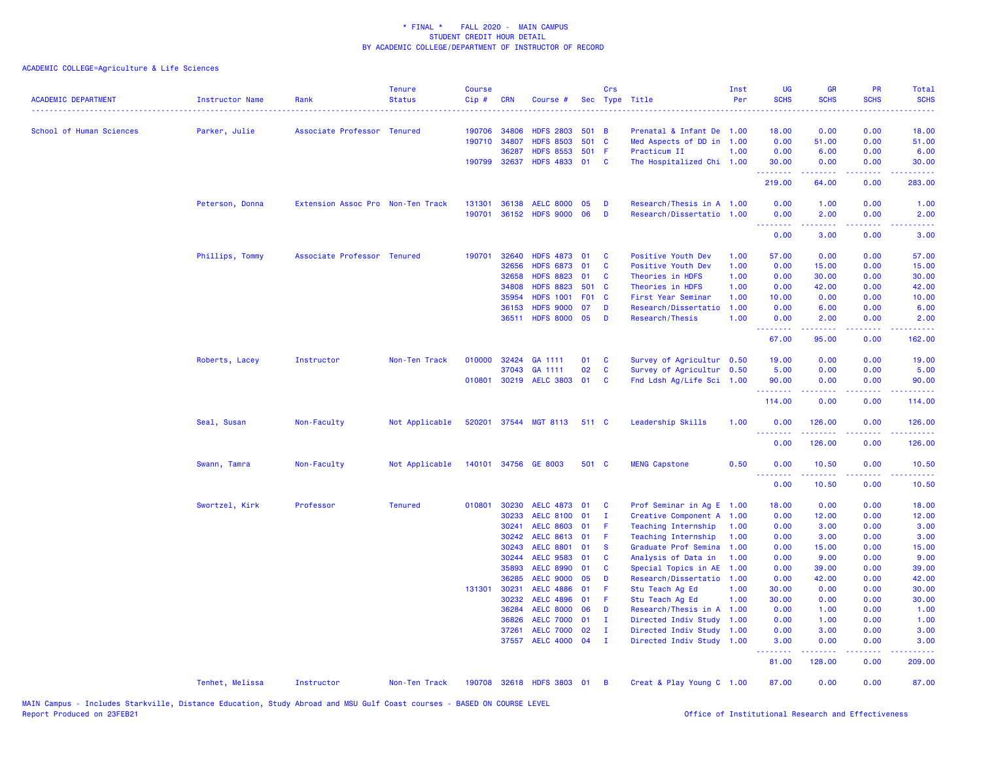| <b>ACADEMIC DEPARTMENT</b><br>------------------------------------- | Instructor Name | Rank                              | <b>Tenure</b><br><b>Status</b> | <b>Course</b><br>Cip# | <b>CRN</b>   | Course #                               |       | Crs                          | Sec Type Title                                         | Inst<br>Per | <b>UG</b><br><b>SCHS</b> | <b>GR</b><br><b>SCHS</b> | <b>PR</b><br><b>SCHS</b> | <b>Total</b><br><b>SCHS</b> |
|---------------------------------------------------------------------|-----------------|-----------------------------------|--------------------------------|-----------------------|--------------|----------------------------------------|-------|------------------------------|--------------------------------------------------------|-------------|--------------------------|--------------------------|--------------------------|-----------------------------|
| School of Human Sciences                                            | Parker, Julie   | Associate Professor Tenured       |                                |                       | 190706 34806 | <b>HDFS 2803</b>                       | 501 B |                              | Prenatal & Infant De 1.00                              |             | 18.00                    | 0.00                     | 0.00                     | 18.00                       |
|                                                                     |                 |                                   |                                |                       | 190710 34807 | <b>HDFS 8503</b>                       | 501 C |                              | Med Aspects of DD in 1.00                              |             | 0.00                     | 51.00                    | 0.00                     | 51.00                       |
|                                                                     |                 |                                   |                                |                       | 36287        | <b>HDFS 8553</b>                       | 501 F |                              | Practicum II                                           | 1.00        | 0.00                     | 6.00                     | 0.00                     | 6.00                        |
|                                                                     |                 |                                   |                                |                       | 190799 32637 | HDFS 4833 01                           |       | <b>C</b>                     | The Hospitalized Chi 1.00                              |             | 30.00<br>.               | 0.00                     | 0.00                     | 30.00                       |
|                                                                     |                 |                                   |                                |                       |              |                                        |       |                              |                                                        |             | 219.00                   | 64.00                    | 0.00                     | 283.00                      |
|                                                                     | Peterson, Donna | Extension Assoc Pro Non-Ten Track |                                | 131301                | 36138        | <b>AELC 8000</b>                       | 05    | D                            | Research/Thesis in A 1.00                              |             | 0.00                     | 1.00                     | 0.00                     | 1.00                        |
|                                                                     |                 |                                   |                                | 190701                |              | 36152 HDFS 9000 06                     |       | D                            | Research/Dissertatio 1.00                              |             | 0.00<br>.                | 2.00<br>.                | 0.00                     | 2.00                        |
|                                                                     |                 |                                   |                                |                       |              |                                        |       |                              |                                                        |             | 0.00                     | 3.00                     | 0.00                     | 3.00                        |
|                                                                     | Phillips, Tommy | Associate Professor Tenured       |                                |                       | 190701 32640 | <b>HDFS 4873</b>                       | 01    | <b>C</b>                     | Positive Youth Dev                                     | 1.00        | 57.00                    | 0.00                     | 0.00                     | 57.00                       |
|                                                                     |                 |                                   |                                |                       | 32656        | <b>HDFS 6873</b>                       | 01    | <b>C</b>                     | Positive Youth Dev                                     | 1.00        | 0.00                     | 15.00                    | 0.00                     | 15.00                       |
|                                                                     |                 |                                   |                                |                       | 32658        | <b>HDFS 8823</b>                       | 01    | C                            | Theories in HDFS                                       | 1.00        | 0.00                     | 30.00                    | 0.00                     | 30.00                       |
|                                                                     |                 |                                   |                                |                       | 34808        | <b>HDFS 8823</b>                       | 501 C |                              | Theories in HDFS                                       | 1.00        | 0.00                     | 42.00                    | 0.00                     | 42.00                       |
|                                                                     |                 |                                   |                                |                       | 35954        | <b>HDFS 1001</b>                       | F01 C |                              | First Year Seminar                                     | 1.00        | 10.00                    | 0.00                     | 0.00                     | 10.00                       |
|                                                                     |                 |                                   |                                |                       | 36153        | <b>HDFS 9000</b>                       | 07    | D                            | Research/Dissertatio                                   | 1.00        | 0.00                     | 6.00                     | 0.00                     | 6.00                        |
|                                                                     |                 |                                   |                                |                       | 36511        | <b>HDFS 8000</b>                       | 05    | D                            | Research/Thesis                                        | 1.00        | 0.00<br>.                | 2.00                     | 0.00                     | 2.00                        |
|                                                                     |                 |                                   |                                |                       |              |                                        |       |                              |                                                        |             | 67.00                    | 95.00                    | 0.00                     | 162.00                      |
|                                                                     | Roberts, Lacey  | Instructor                        | Non-Ten Track                  | 010000                | 32424        | GA 1111                                | 01    | $\mathbf{C}$                 | Survey of Agricultur 0.50                              |             | 19.00                    | 0.00                     | 0.00                     | 19.00                       |
|                                                                     |                 |                                   |                                |                       | 37043        | GA 1111                                | 02    | <b>C</b>                     | Survey of Agricultur 0.50                              |             | 5.00                     | 0.00                     | 0.00                     | 5.00                        |
|                                                                     |                 |                                   |                                |                       |              | 010801 30219 AELC 3803 01              |       | $\mathbf{C}$                 | Fnd Ldsh Ag/Life Sci 1.00                              |             | 90.00<br>.               | 0.00<br>.                | 0.00<br>.                | 90.00<br>.                  |
|                                                                     |                 |                                   |                                |                       |              |                                        |       |                              |                                                        |             | 114.00                   | 0.00                     | 0.00                     | 114.00                      |
|                                                                     | Seal, Susan     | Non-Faculty                       | Not Applicable                 |                       |              | 520201 37544 MGT 8113                  | 511 C |                              | Leadership Skills                                      | 1.00        | 0.00<br>.                | 126.00<br>.              | 0.00                     | 126.00                      |
|                                                                     |                 |                                   |                                |                       |              |                                        |       |                              |                                                        |             | 0.00                     | 126.00                   | 0.00                     | 126.00                      |
|                                                                     | Swann, Tamra    | Non-Faculty                       | Not Applicable                 |                       |              | 140101 34756 GE 8003                   | 501 C |                              | <b>MENG Capstone</b>                                   | 0.50        | 0.00<br>.                | 10.50<br>.               | 0.00<br>.                | 10.50                       |
|                                                                     |                 |                                   |                                |                       |              |                                        |       |                              |                                                        |             | 0.00                     | 10.50                    | 0.00                     | 10.50                       |
|                                                                     | Swortzel, Kirk  | Professor                         | <b>Tenured</b>                 |                       | 010801 30230 | <b>AELC 4873</b>                       | 01    | <b>C</b>                     | Prof Seminar in Ag E 1.00                              |             | 18.00                    | 0.00                     | 0.00                     | 18.00                       |
|                                                                     |                 |                                   |                                |                       | 30233        | <b>AELC 8100</b>                       | 01    | $\mathbf{I}$                 | Creative Component A 1.00                              |             | 0.00                     | 12.00                    | 0.00                     | 12.00                       |
|                                                                     |                 |                                   |                                |                       | 30241        | <b>AELC 8603</b>                       | 01    | Æ                            | Teaching Internship                                    | 1.00        | 0.00                     | 3.00                     | 0.00                     | 3.00                        |
|                                                                     |                 |                                   |                                |                       | 30242        | <b>AELC 8613</b>                       | 01    | -F                           | Teaching Internship                                    | 1.00        | 0.00                     | 3.00                     | 0.00                     | 3.00                        |
|                                                                     |                 |                                   |                                |                       | 30243        | <b>AELC 8801</b>                       | 01    | <b>S</b>                     | Graduate Prof Semina                                   | 1.00        | 0.00                     | 15.00                    | 0.00                     | 15.00                       |
|                                                                     |                 |                                   |                                |                       | 30244        | <b>AELC 9583</b>                       | 01    | C                            | Analysis of Data in                                    | 1.00        | 0.00                     | 9.00                     | 0.00                     | 9.00                        |
|                                                                     |                 |                                   |                                |                       | 35893        | <b>AELC 8990</b>                       | 01    | C                            | Special Topics in AE 1.00                              |             | 0.00                     | 39.00                    | 0.00                     | 39.00                       |
|                                                                     |                 |                                   |                                |                       | 36285        | <b>AELC 9000</b>                       | 05    | D                            | Research/Dissertatio 1.00                              |             | 0.00                     | 42.00                    | 0.00                     | 42.00                       |
|                                                                     |                 |                                   |                                | 131301                | 30231        | <b>AELC 4886</b>                       | 01    | F                            | Stu Teach Ag Ed                                        | 1.00        | 30.00                    | 0.00                     | 0.00                     | 30.00                       |
|                                                                     |                 |                                   |                                |                       | 30232        | <b>AELC 4896</b>                       | 01    | F                            | Stu Teach Ag Ed                                        | 1.00        | 30.00                    | 0.00                     | 0.00                     | 30.00                       |
|                                                                     |                 |                                   |                                |                       | 36284        | <b>AELC 8000</b>                       | 06    | D                            | Research/Thesis in A 1.00                              |             | 0.00                     | 1.00                     | 0.00                     | 1.00                        |
|                                                                     |                 |                                   |                                |                       | 36826        | <b>AELC 7000</b>                       | 01    | - I                          | Directed Indiv Study 1.00                              |             | 0.00                     | 1.00                     | 0.00                     | 1.00                        |
|                                                                     |                 |                                   |                                |                       | 37261        | <b>AELC 7000</b><br>37557 AELC 4000 04 | 02    | $\mathbf{I}$<br>$\mathbf{I}$ | Directed Indiv Study 1.00<br>Directed Indiv Study 1.00 |             | 0.00<br>3.00             | 3.00<br>0.00             | 0.00<br>0.00             | 3.00<br>3.00                |
|                                                                     |                 |                                   |                                |                       |              |                                        |       |                              |                                                        |             | .                        |                          |                          |                             |
|                                                                     |                 |                                   |                                |                       |              |                                        |       |                              |                                                        |             | 81.00                    | 128.00                   | 0.00                     | 209.00                      |
|                                                                     | Tenhet, Melissa | Instructor                        | Non-Ten Track                  |                       |              | 190708 32618 HDFS 3803 01              |       | $\overline{B}$               | Creat & Play Young C 1.00                              |             | 87.00                    | 0.00                     | 0.00                     | 87.00                       |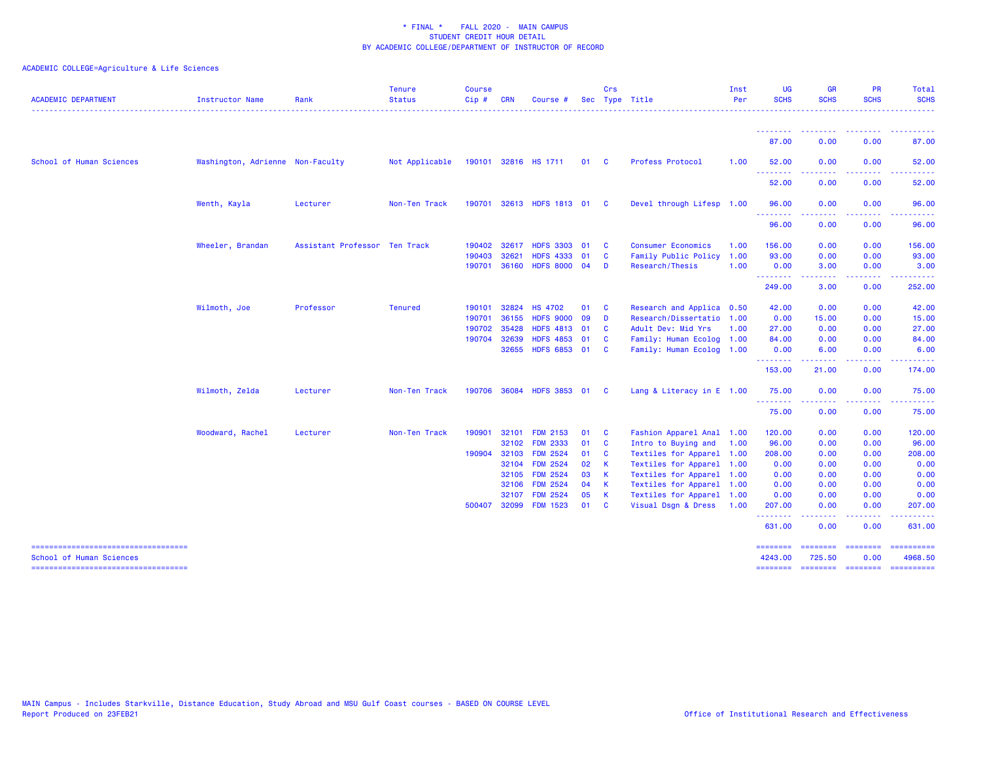| <b>ACADEMIC DEPARTMENT</b>                                        | <b>Instructor Name</b>           | Rank                          | <b>Tenure</b><br><b>Status</b> | <b>Course</b><br>Cip# | <b>CRN</b> | Course               |      | Crs          | Sec Type Title            | Inst<br>Per | <b>UG</b><br><b>SCHS</b>   | <b>GR</b><br><b>SCHS</b>                                                                                                                                      | <b>PR</b><br><b>SCHS</b>                                                                               | <b>Total</b><br><b>SCHS</b>                                                                                                                                    |
|-------------------------------------------------------------------|----------------------------------|-------------------------------|--------------------------------|-----------------------|------------|----------------------|------|--------------|---------------------------|-------------|----------------------------|---------------------------------------------------------------------------------------------------------------------------------------------------------------|--------------------------------------------------------------------------------------------------------|----------------------------------------------------------------------------------------------------------------------------------------------------------------|
|                                                                   |                                  |                               |                                |                       |            |                      |      |              |                           |             | --------<br>87.00          | -----<br>0.00                                                                                                                                                 | $\frac{1}{2} \left( \frac{1}{2} \right) \left( \frac{1}{2} \right) \left( \frac{1}{2} \right)$<br>0.00 | .<br>87.00                                                                                                                                                     |
|                                                                   |                                  |                               |                                |                       |            |                      |      |              |                           |             |                            |                                                                                                                                                               |                                                                                                        |                                                                                                                                                                |
| School of Human Sciences                                          | Washington, Adrienne Non-Faculty |                               | Not Applicable                 |                       |            | 190101 32816 HS 1711 | 01   | $\mathbf{C}$ | Profess Protocol          | 1.00        | 52.00<br>.                 | 0.00                                                                                                                                                          | 0.00<br>.                                                                                              | 52.00                                                                                                                                                          |
|                                                                   |                                  |                               |                                |                       |            |                      |      |              |                           |             | 52.00                      | 0.00                                                                                                                                                          | 0.00                                                                                                   | 52.00                                                                                                                                                          |
|                                                                   | Wenth, Kayla                     | Lecturer                      | Non-Ten Track                  | 190701                |            | 32613 HDFS 1813 01   |      | <b>C</b>     | Devel through Lifesp 1.00 |             | 96.00                      | 0.00                                                                                                                                                          | 0.00                                                                                                   | 96.00                                                                                                                                                          |
|                                                                   |                                  |                               |                                |                       |            |                      |      |              |                           |             | .<br>96.00                 | 0.00                                                                                                                                                          | .<br>0.00                                                                                              | 96.00                                                                                                                                                          |
|                                                                   | Wheeler, Brandan                 | Assistant Professor Ten Track |                                | 190402                | 32617      | <b>HDFS 3303</b>     | 01   | <b>C</b>     | <b>Consumer Economics</b> | 1.00        | 156.00                     | 0.00                                                                                                                                                          | 0.00                                                                                                   | 156.00                                                                                                                                                         |
|                                                                   |                                  |                               |                                | 190403                | 32621      | <b>HDFS</b><br>4333  | 01   | C            | Family Public Policy      | 1.00        | 93.00                      | 0.00                                                                                                                                                          | 0.00                                                                                                   | 93.00                                                                                                                                                          |
|                                                                   |                                  |                               |                                | 190701                | 36160      | HDFS 8000 04         |      | D            | Research/Thesis           | 1.00        | 0.00                       | 3.00                                                                                                                                                          | 0.00                                                                                                   | 3.00                                                                                                                                                           |
|                                                                   |                                  |                               |                                |                       |            |                      |      |              |                           |             | <b></b><br>249.00          | .<br>3.00                                                                                                                                                     | بالأباب<br>0.00                                                                                        | $\frac{1}{2} \left( \frac{1}{2} \right) \left( \frac{1}{2} \right) \left( \frac{1}{2} \right) \left( \frac{1}{2} \right) \left( \frac{1}{2} \right)$<br>252.00 |
|                                                                   | Wilmoth, Joe                     | Professor                     | <b>Tenured</b>                 | 190101                | 32824      | <b>HS 4702</b>       | 01   | C            | Research and Applica 0.50 |             | 42.00                      | 0.00                                                                                                                                                          | 0.00                                                                                                   | 42.00                                                                                                                                                          |
|                                                                   |                                  |                               |                                | 190701                | 36155      | <b>HDFS 9000</b>     | 09   | D            | Research/Dissertatio      | 1.00        | 0.00                       | 15.00                                                                                                                                                         | 0.00                                                                                                   | 15.00                                                                                                                                                          |
|                                                                   |                                  |                               |                                | 190702                | 35428      | <b>HDFS 4813</b>     | - 01 | C            | Adult Dev: Mid Yrs        | 1.00        | 27.00                      | 0.00                                                                                                                                                          | 0.00                                                                                                   | 27.00                                                                                                                                                          |
|                                                                   |                                  |                               |                                | 190704                | 32639      | HDFS 4853 01         |      | C            | Family: Human Ecolog      | 1.00        | 84.00                      | 0.00                                                                                                                                                          | 0.00                                                                                                   | 84.00                                                                                                                                                          |
|                                                                   |                                  |                               |                                |                       | 32655      | HDFS 6853 01         |      | <b>C</b>     | Family: Human Ecolog 1.00 |             | 0.00                       | 6.00                                                                                                                                                          | 0.00                                                                                                   | 6.00                                                                                                                                                           |
|                                                                   |                                  |                               |                                |                       |            |                      |      |              |                           |             | --------<br>153.00         | $\frac{1}{2} \left( \frac{1}{2} \right) \left( \frac{1}{2} \right) \left( \frac{1}{2} \right) \left( \frac{1}{2} \right) \left( \frac{1}{2} \right)$<br>21.00 | .<br>0.00                                                                                              | .<br>174.00                                                                                                                                                    |
|                                                                   | Wilmoth, Zelda                   | Lecturer                      | Non-Ten Track                  | 190706                | 36084      | HDFS 3853 01         |      | <b>C</b>     | Lang & Literacy in E 1.00 |             | 75.00                      | 0.00                                                                                                                                                          | 0.00                                                                                                   | 75.00                                                                                                                                                          |
|                                                                   |                                  |                               |                                |                       |            |                      |      |              |                           |             | .<br>75.00                 | .<br>0.00                                                                                                                                                     | $\sim$ $\sim$ $\sim$ $\sim$<br>0.00                                                                    | وعاعاتها<br>75.00                                                                                                                                              |
|                                                                   | Woodward, Rachel                 | Lecturer                      | Non-Ten Track                  | 190901                | 32101      | <b>FDM 2153</b>      | 01   | <b>C</b>     | Fashion Apparel Anal 1.00 |             | 120.00                     | 0.00                                                                                                                                                          | 0.00                                                                                                   | 120.00                                                                                                                                                         |
|                                                                   |                                  |                               |                                |                       |            | 32102 FDM 2333       | 01   | <b>C</b>     | Intro to Buying and       | 1.00        | 96.00                      | 0.00                                                                                                                                                          | 0.00                                                                                                   | 96.00                                                                                                                                                          |
|                                                                   |                                  |                               |                                | 190904                | 32103      | <b>FDM 2524</b>      | 01   | <b>C</b>     | Textiles for Apparel 1.00 |             | 208.00                     | 0.00                                                                                                                                                          | 0.00                                                                                                   | 208.00                                                                                                                                                         |
|                                                                   |                                  |                               |                                |                       |            | 32104 FDM 2524       | 02   | К            | Textiles for Apparel 1.00 |             | 0.00                       | 0.00                                                                                                                                                          | 0.00                                                                                                   | 0.00                                                                                                                                                           |
|                                                                   |                                  |                               |                                |                       | 32105      | <b>FDM 2524</b>      | 03   | К            | Textiles for Apparel 1.00 |             | 0.00                       | 0.00                                                                                                                                                          | 0.00                                                                                                   | 0.00                                                                                                                                                           |
|                                                                   |                                  |                               |                                |                       | 32106      | <b>FDM 2524</b>      | 04   | K            | Textiles for Apparel 1.00 |             | 0.00                       | 0.00                                                                                                                                                          | 0.00                                                                                                   | 0.00                                                                                                                                                           |
|                                                                   |                                  |                               |                                |                       | 32107      | <b>FDM 2524</b>      | 05   | К            | Textiles for Apparel      | 1.00        | 0.00                       | 0.00                                                                                                                                                          | 0.00                                                                                                   | 0.00                                                                                                                                                           |
|                                                                   |                                  |                               |                                | 500407                |            | 32099 FDM 1523       | 01   | <b>C</b>     | Visual Dsgn & Dress       | 1.00        | 207.00                     | 0.00                                                                                                                                                          | 0.00                                                                                                   | 207.00                                                                                                                                                         |
|                                                                   |                                  |                               |                                |                       |            |                      |      |              |                           |             | .<br>631.00                | <u>.</u><br>0.00                                                                                                                                              | .<br>0.00                                                                                              | . <b>.</b> .<br>631.00                                                                                                                                         |
| =====================================<br>School of Human Sciences |                                  |                               |                                |                       |            |                      |      |              |                           |             | <b>ESSESSES</b><br>4243.00 | $=$ =======<br>725.50                                                                                                                                         | <b>EDEDEDED</b><br>0.00                                                                                | 4968.50                                                                                                                                                        |
|                                                                   |                                  |                               |                                |                       |            |                      |      |              |                           |             | ========                   | ========                                                                                                                                                      | ========                                                                                               | ==========                                                                                                                                                     |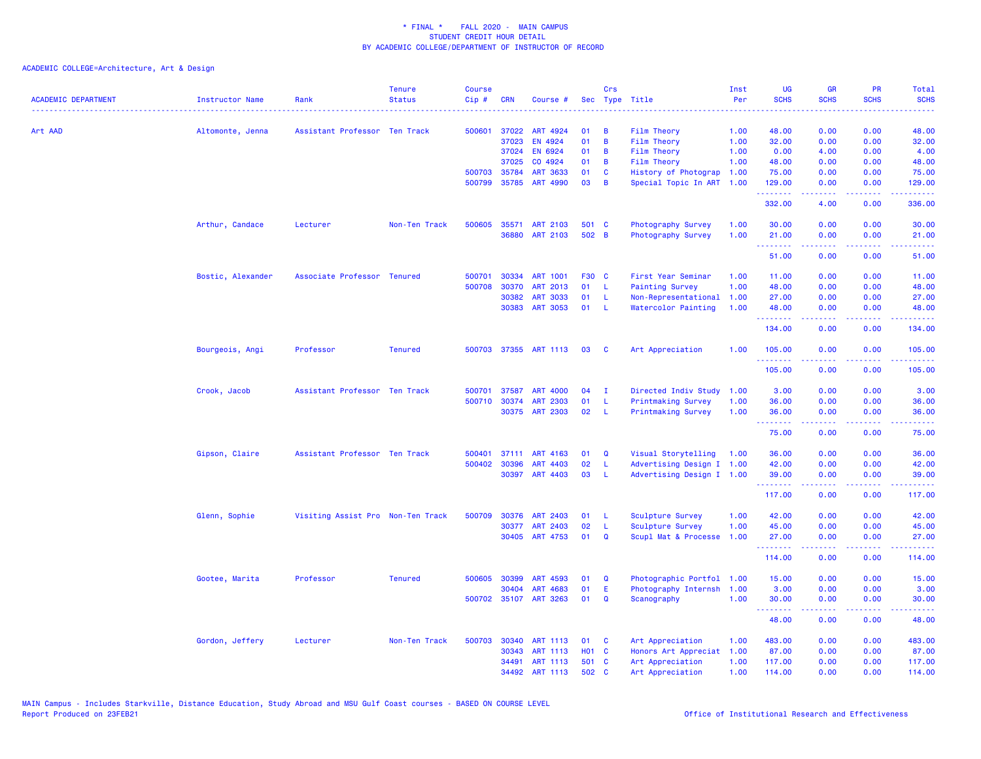| <b>ACADEMIC DEPARTMENT</b> | Instructor Name   | Rank                              | <b>Tenure</b><br><b>Status</b> | <b>Course</b><br>Cip# | <b>CRN</b>   | Course #              |              | Crs          | Sec Type Title            | Inst<br>Per | <b>UG</b><br><b>SCHS</b> | <b>GR</b><br><b>SCHS</b> | <b>PR</b><br><b>SCHS</b>                                                                               | <b>Total</b><br><b>SCHS</b> |
|----------------------------|-------------------|-----------------------------------|--------------------------------|-----------------------|--------------|-----------------------|--------------|--------------|---------------------------|-------------|--------------------------|--------------------------|--------------------------------------------------------------------------------------------------------|-----------------------------|
| Art AAD                    | Altomonte, Jenna  | Assistant Professor Ten Track     |                                | 500601                | 37022        | ART 4924              | 01           | B            | Film Theory               | 1.00        | 48.00                    | 0.00                     | 0.00                                                                                                   | 48.00                       |
|                            |                   |                                   |                                |                       | 37023        | EN 4924               | 01           | B            | <b>Film Theory</b>        | 1.00        | 32.00                    | 0.00                     | 0.00                                                                                                   | 32.00                       |
|                            |                   |                                   |                                |                       | 37024        | EN 6924               | 01           | B            | Film Theory               | 1.00        | 0.00                     | 4.00                     | 0.00                                                                                                   | 4.00                        |
|                            |                   |                                   |                                |                       | 37025        | CO 4924               | 01           | B            | <b>Film Theory</b>        | 1.00        | 48.00                    | 0.00                     | 0.00                                                                                                   | 48.00                       |
|                            |                   |                                   |                                |                       | 500703 35784 | <b>ART 3633</b>       | 01           | C            | History of Photograp      | 1.00        | 75.00                    | 0.00                     | 0.00                                                                                                   | 75.00                       |
|                            |                   |                                   |                                | 500799                | 35785        | ART 4990              | 03           | B            | Special Topic In ART      | 1.00        | 129.00<br>.              | 0.00                     | 0.00                                                                                                   | 129.00                      |
|                            |                   |                                   |                                |                       |              |                       |              |              |                           |             | 332.00                   | 4.00                     | 0.00                                                                                                   | 336.00                      |
|                            | Arthur, Candace   | Lecturer                          | Non-Ten Track                  | 500605                | 35571        | ART 2103              | 501 C        |              | Photography Survey        | 1.00        | 30.00                    | 0.00                     | 0.00                                                                                                   | 30.00                       |
|                            |                   |                                   |                                |                       | 36880        | ART 2103              | 502 B        |              | Photography Survey        | 1.00        | 21.00<br>.               | 0.00<br>.                | 0.00<br>$\omega$ is a $\omega$                                                                         | 21.00                       |
|                            |                   |                                   |                                |                       |              |                       |              |              |                           |             | 51.00                    | 0.00                     | 0.00                                                                                                   | 51.00                       |
|                            | Bostic, Alexander | Associate Professor Tenured       |                                | 500701                | 30334        | <b>ART 1001</b>       | F30 C        |              | First Year Seminar        | 1.00        | 11.00                    | 0.00                     | 0.00                                                                                                   | 11.00                       |
|                            |                   |                                   |                                | 500708                | 30370        | ART 2013              | 01           | L            | <b>Painting Survey</b>    | 1.00        | 48.00                    | 0.00                     | 0.00                                                                                                   | 48.00                       |
|                            |                   |                                   |                                |                       | 30382        | <b>ART 3033</b>       | 01           | -L           | Non-Representational      | 1.00        | 27.00                    | 0.00                     | 0.00                                                                                                   | 27.00                       |
|                            |                   |                                   |                                |                       | 30383        | ART 3053              | 01           | -L.          | Watercolor Painting       | 1.00        | 48.00<br>.               | 0.00<br>22222            | 0.00<br>.                                                                                              | 48.00<br>.                  |
|                            |                   |                                   |                                |                       |              |                       |              |              |                           |             | 134.00                   | 0.00                     | 0.00                                                                                                   | 134.00                      |
|                            | Bourgeois, Angi   | Professor                         | <b>Tenured</b>                 | 500703                |              | 37355 ART 1113        | 03           | C            | Art Appreciation          | 1.00        | 105.00<br>.              | 0.00<br>.                | 0.00<br>$\frac{1}{2} \left( \frac{1}{2} \right) \left( \frac{1}{2} \right) \left( \frac{1}{2} \right)$ | 105.00<br><u>.</u>          |
|                            |                   |                                   |                                |                       |              |                       |              |              |                           |             | 105.00                   | 0.00                     | 0.00                                                                                                   | 105.00                      |
|                            | Crook, Jacob      | Assistant Professor Ten Track     |                                | 500701                | 37587        | <b>ART 4000</b>       | 04           | $\mathbf{I}$ | Directed Indiv Study      | 1.00        | 3.00                     | 0.00                     | 0.00                                                                                                   | 3.00                        |
|                            |                   |                                   |                                | 500710                | 30374        | <b>ART 2303</b>       | 01           | L            | <b>Printmaking Survey</b> | 1.00        | 36.00                    | 0.00                     | 0.00                                                                                                   | 36.00                       |
|                            |                   |                                   |                                |                       |              | 30375 ART 2303        | 02           | L            | <b>Printmaking Survey</b> | 1.00        | 36.00<br>.               | 0.00<br>-----            | 0.00<br>المتمامين                                                                                      | 36.00<br>والمستناط          |
|                            |                   |                                   |                                |                       |              |                       |              |              |                           |             | 75.00                    | 0.00                     | 0.00                                                                                                   | 75.00                       |
|                            | Gipson, Claire    | Assistant Professor Ten Track     |                                | 500401                | 37111        | ART 4163              | 01           | Q            | Visual Storytelling       | 1.00        | 36.00                    | 0.00                     | 0.00                                                                                                   | 36.00                       |
|                            |                   |                                   |                                | 500402                | 30396        | ART 4403              | 02           | L            | Advertising Design I 1.00 |             | 42.00                    | 0.00                     | 0.00                                                                                                   | 42.00                       |
|                            |                   |                                   |                                |                       | 30397        | ART 4403              | 03           | <b>L</b>     | Advertising Design I 1.00 |             | 39.00<br>.               | 0.00<br>.                | 0.00<br>$\sim$ $\sim$ $\sim$ $\sim$                                                                    | 39.00                       |
|                            |                   |                                   |                                |                       |              |                       |              |              |                           |             | 117.00                   | 0.00                     | 0.00                                                                                                   | 117.00                      |
|                            | Glenn, Sophie     | Visiting Assist Pro Non-Ten Track |                                | 500709                | 30376        | ART 2403              | 01           | -L           | Sculpture Survey          | 1.00        | 42.00                    | 0.00                     | 0.00                                                                                                   | 42.00                       |
|                            |                   |                                   |                                |                       | 30377        | <b>ART 2403</b>       | 02           | -L           | Sculpture Survey          | 1.00        | 45.00                    | 0.00                     | 0.00                                                                                                   | 45.00                       |
|                            |                   |                                   |                                |                       |              | 30405 ART 4753        | 01           | $\mathbf Q$  | Scupl Mat & Processe      | 1.00        | 27.00<br>.               | 0.00<br>.                | 0.00                                                                                                   | 27.00<br>.                  |
|                            |                   |                                   |                                |                       |              |                       |              |              |                           |             | 114.00                   | 0.00                     | 0.00                                                                                                   | 114.00                      |
|                            | Gootee, Marita    | Professor                         | <b>Tenured</b>                 | 500605                | 30399        | ART 4593              | 01           | $\mathbf Q$  | Photographic Portfol 1.00 |             | 15.00                    | 0.00                     | 0.00                                                                                                   | 15.00                       |
|                            |                   |                                   |                                |                       | 30404        | ART 4683              | 01           | Ε            | Photography Internsh      | 1.00        | 3.00                     | 0.00                     | 0.00                                                                                                   | 3.00                        |
|                            |                   |                                   |                                |                       |              | 500702 35107 ART 3263 | 01           | $\mathbf Q$  | Scanography               | 1.00        | 30.00<br>.               | 0.00<br>.                | 0.00<br>$\frac{1}{2} \left( \frac{1}{2} \right) \left( \frac{1}{2} \right) \left( \frac{1}{2} \right)$ | 30.00<br>.                  |
|                            |                   |                                   |                                |                       |              |                       |              |              |                           |             | 48.00                    | 0.00                     | 0.00                                                                                                   | 48.00                       |
|                            | Gordon, Jeffery   | Lecturer                          | Non-Ten Track                  | 500703                | 30340        | ART 1113              | 01           | C            | Art Appreciation          | 1.00        | 483.00                   | 0.00                     | 0.00                                                                                                   | 483.00                      |
|                            |                   |                                   |                                |                       | 30343        | <b>ART 1113</b>       | <b>HO1 C</b> |              | Honors Art Appreciat 1.00 |             | 87.00                    | 0.00                     | 0.00                                                                                                   | 87.00                       |
|                            |                   |                                   |                                |                       | 34491        | <b>ART 1113</b>       | 501          | C            | Art Appreciation          | 1.00        | 117.00                   | 0.00                     | 0.00                                                                                                   | 117.00                      |
|                            |                   |                                   |                                |                       | 34492        | ART 1113              | 502 C        |              | Art Appreciation          | 1.00        | 114.00                   | 0.00                     | 0.00                                                                                                   | 114.00                      |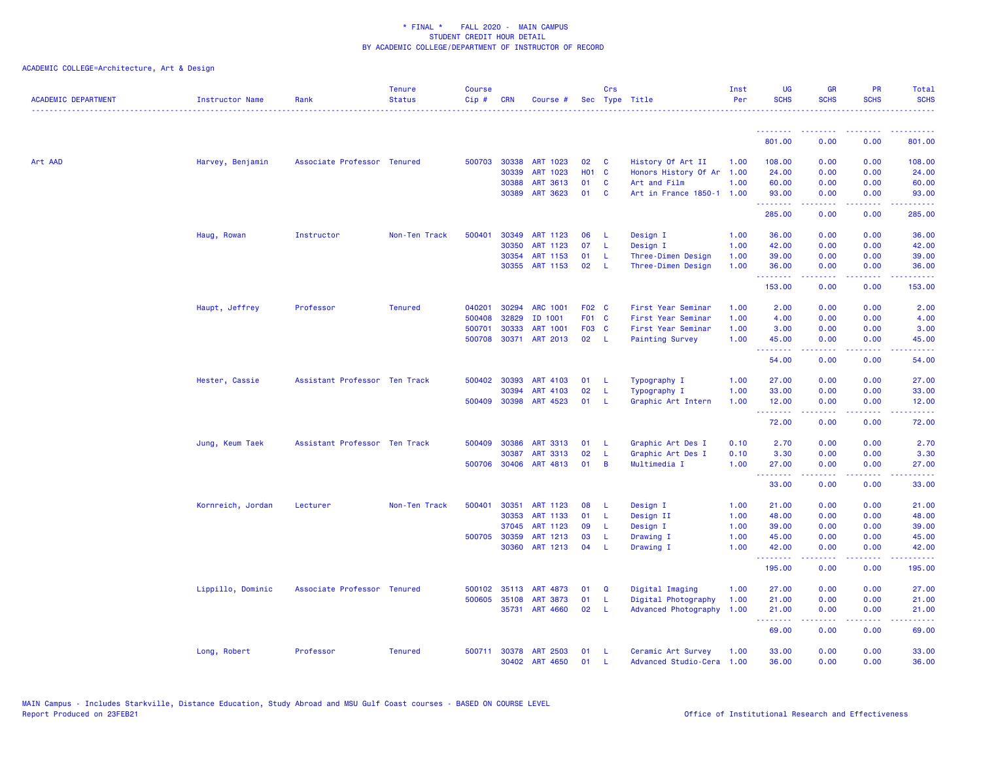| <b>ACADEMIC DEPARTMENT</b> | <b>Instructor Name</b> | Rank                          | <b>Tenure</b><br><b>Status</b> | <b>Course</b><br>Cip# | <b>CRN</b>   | Course #              |       | Crs          | Sec Type Title            | Inst<br>Per | UG<br><b>SCHS</b> | <b>GR</b><br><b>SCHS</b>                                                                                                                                     | <b>PR</b><br><b>SCHS</b> | Total<br><b>SCHS</b> |
|----------------------------|------------------------|-------------------------------|--------------------------------|-----------------------|--------------|-----------------------|-------|--------------|---------------------------|-------------|-------------------|--------------------------------------------------------------------------------------------------------------------------------------------------------------|--------------------------|----------------------|
|                            |                        |                               |                                |                       |              |                       |       |              |                           |             |                   |                                                                                                                                                              |                          |                      |
|                            |                        |                               |                                |                       |              |                       |       |              |                           |             | 801.00            | 0.00                                                                                                                                                         | 0.00                     | 801.00               |
| Art AAD                    | Harvey, Benjamin       | Associate Professor Tenured   |                                | 500703                | 30338        | ART 1023              | 02    | C            | History Of Art II         | 1.00        | 108.00            | 0.00                                                                                                                                                         | 0.00                     | 108.00               |
|                            |                        |                               |                                |                       | 30339        | ART 1023              | H01 C |              | Honors History Of Ar      | 1.00        | 24.00             | 0.00                                                                                                                                                         | 0.00                     | 24.00                |
|                            |                        |                               |                                |                       | 30388        | ART 3613              | 01    | C            | Art and Film              | 1.00        | 60.00             | 0.00                                                                                                                                                         | 0.00                     | 60.00                |
|                            |                        |                               |                                |                       | 30389        | ART 3623              | 01    | <b>C</b>     | Art in France 1850-1 1.00 |             | 93.00<br>.        | 0.00<br>.                                                                                                                                                    | 0.00<br>والمحامل         | 93.00                |
|                            |                        |                               |                                |                       |              |                       |       |              |                           |             | 285.00            | 0.00                                                                                                                                                         | 0.00                     | 285.00               |
|                            | Haug, Rowan            | Instructor                    | Non-Ten Track                  | 500401                | 30349        | <b>ART 1123</b>       | 06    | L            | Design I                  | 1.00        | 36.00             | 0.00                                                                                                                                                         | 0.00                     | 36.00                |
|                            |                        |                               |                                |                       | 30350        | ART 1123              | 07    | L            | Design I                  | 1.00        | 42.00             | 0.00                                                                                                                                                         | 0.00                     | 42.00                |
|                            |                        |                               |                                |                       | 30354        | ART 1153              | 01    | L            | Three-Dimen Design        | 1.00        | 39.00             | 0.00                                                                                                                                                         | 0.00                     | 39.00                |
|                            |                        |                               |                                |                       | 30355        | ART 1153              | 02    | L            | Three-Dimen Design        | 1.00        | 36.00<br>.        | 0.00<br>$\frac{1}{2} \left( \frac{1}{2} \right) \left( \frac{1}{2} \right) \left( \frac{1}{2} \right) \left( \frac{1}{2} \right) \left( \frac{1}{2} \right)$ | 0.00<br>.                | 36.00<br>.           |
|                            |                        |                               |                                |                       |              |                       |       |              |                           |             | 153.00            | 0.00                                                                                                                                                         | 0.00                     | 153.00               |
|                            | Haupt, Jeffrey         | Professor                     | <b>Tenured</b>                 | 040201                | 30294        | <b>ARC 1001</b>       | F02 C |              | First Year Seminar        | 1.00        | 2.00              | 0.00                                                                                                                                                         | 0.00                     | 2.00                 |
|                            |                        |                               |                                | 500408                | 32829        | ID 1001               | F01 C |              | First Year Seminar        | 1.00        | 4.00              | 0.00                                                                                                                                                         | 0.00                     | 4.00                 |
|                            |                        |                               |                                | 500701                | 30333        | <b>ART 1001</b>       | F03 C |              | First Year Seminar        | 1.00        | 3.00              | 0.00                                                                                                                                                         | 0.00                     | 3.00                 |
|                            |                        |                               |                                |                       |              | 500708 30371 ART 2013 | 02    | - L          | <b>Painting Survey</b>    | 1.00        | 45.00<br>.        | 0.00<br>.                                                                                                                                                    | 0.00                     | 45.00                |
|                            |                        |                               |                                |                       |              |                       |       |              |                           |             | 54.00             | 0.00                                                                                                                                                         | 0.00                     | 54.00                |
|                            | Hester, Cassie         | Assistant Professor Ten Track |                                |                       | 500402 30393 | ART 4103              | 01    | L            | Typography I              | 1.00        | 27.00             | 0.00                                                                                                                                                         | 0.00                     | 27.00                |
|                            |                        |                               |                                |                       | 30394        | ART 4103              | 02    | L            | Typography I              | 1.00        | 33.00             | 0.00                                                                                                                                                         | 0.00                     | 33.00                |
|                            |                        |                               |                                |                       | 500409 30398 | ART 4523              | 01    | <b>L</b>     | Graphic Art Intern        | 1.00        | 12.00             | 0.00                                                                                                                                                         | 0.00                     | 12.00                |
|                            |                        |                               |                                |                       |              |                       |       |              |                           |             | .<br>72.00        | .<br>0.00                                                                                                                                                    | .<br>0.00                | .<br>72.00           |
|                            | Jung, Keum Taek        | Assistant Professor Ten Track |                                | 500409                | 30386        | <b>ART 3313</b>       | 01    | L            | Graphic Art Des I         | 0.10        | 2.70              | 0.00                                                                                                                                                         | 0.00                     | 2.70                 |
|                            |                        |                               |                                |                       | 30387        | <b>ART 3313</b>       | 02    | L            | Graphic Art Des I         | 0.10        | 3.30              | 0.00                                                                                                                                                         | 0.00                     | 3.30                 |
|                            |                        |                               |                                |                       | 500706 30406 | ART 4813              | 01    | B            | Multimedia I              | 1.00        | 27.00<br><u>.</u> | 0.00<br>$- - - - -$                                                                                                                                          | 0.00<br>.                | 27.00<br>.           |
|                            |                        |                               |                                |                       |              |                       |       |              |                           |             | 33.00             | 0.00                                                                                                                                                         | 0.00                     | 33.00                |
|                            | Kornreich, Jordan      | Lecturer                      | Non-Ten Track                  | 500401                | 30351        | ART 1123              | 08    | -L           | Design I                  | 1.00        | 21.00             | 0.00                                                                                                                                                         | 0.00                     | 21.00                |
|                            |                        |                               |                                |                       | 30353        | ART 1133              | 01    | L            | Design II                 | 1.00        | 48.00             | 0.00                                                                                                                                                         | 0.00                     | 48.00                |
|                            |                        |                               |                                |                       | 37045        | ART 1123              | 09    | L            | Design I                  | 1.00        | 39.00             | 0.00                                                                                                                                                         | 0.00                     | 39.00                |
|                            |                        |                               |                                | 500705                | 30359        | ART 1213              | 03    | -L           | Drawing I                 | 1.00        | 45.00             | 0.00                                                                                                                                                         | 0.00                     | 45.00                |
|                            |                        |                               |                                |                       | 30360        | ART 1213              | 04    | $\mathsf{L}$ | Drawing I                 | 1.00        | 42.00<br>.        | 0.00<br>.                                                                                                                                                    | 0.00<br>ن د د د          | 42.00<br>.           |
|                            |                        |                               |                                |                       |              |                       |       |              |                           |             | 195.00            | 0.00                                                                                                                                                         | 0.00                     | 195.00               |
|                            | Lippillo, Dominic      | Associate Professor Tenured   |                                | 500102                | 35113        | ART 4873              | 01    | Q            | Digital Imaging           | 1.00        | 27.00             | 0.00                                                                                                                                                         | 0.00                     | 27.00                |
|                            |                        |                               |                                | 500605                | 35108        | <b>ART 3873</b>       | 01    | L            | Digital Photography       | 1.00        | 21.00             | 0.00                                                                                                                                                         | 0.00                     | 21.00                |
|                            |                        |                               |                                |                       | 35731        | <b>ART 4660</b>       | 02    | $\mathsf{L}$ | Advanced Photography      | 1.00        | 21.00<br>.        | 0.00<br>$\omega = \omega \omega + \omega$                                                                                                                    | 0.00<br>.                | 21.00<br>المستما     |
|                            |                        |                               |                                |                       |              |                       |       |              |                           |             | 69.00             | 0.00                                                                                                                                                         | 0.00                     | 69.00                |
|                            | Long, Robert           | Professor                     | <b>Tenured</b>                 | 500711                | 30378        | <b>ART 2503</b>       | 01    | -L           | Ceramic Art Survey        | 1.00        | 33.00             | 0.00                                                                                                                                                         | 0.00                     | 33.00                |
|                            |                        |                               |                                |                       | 30402        | ART 4650              | 01    | п.           | Advanced Studio-Cera      | 1.00        | 36.00             | 0.00                                                                                                                                                         | 0.00                     | 36.00                |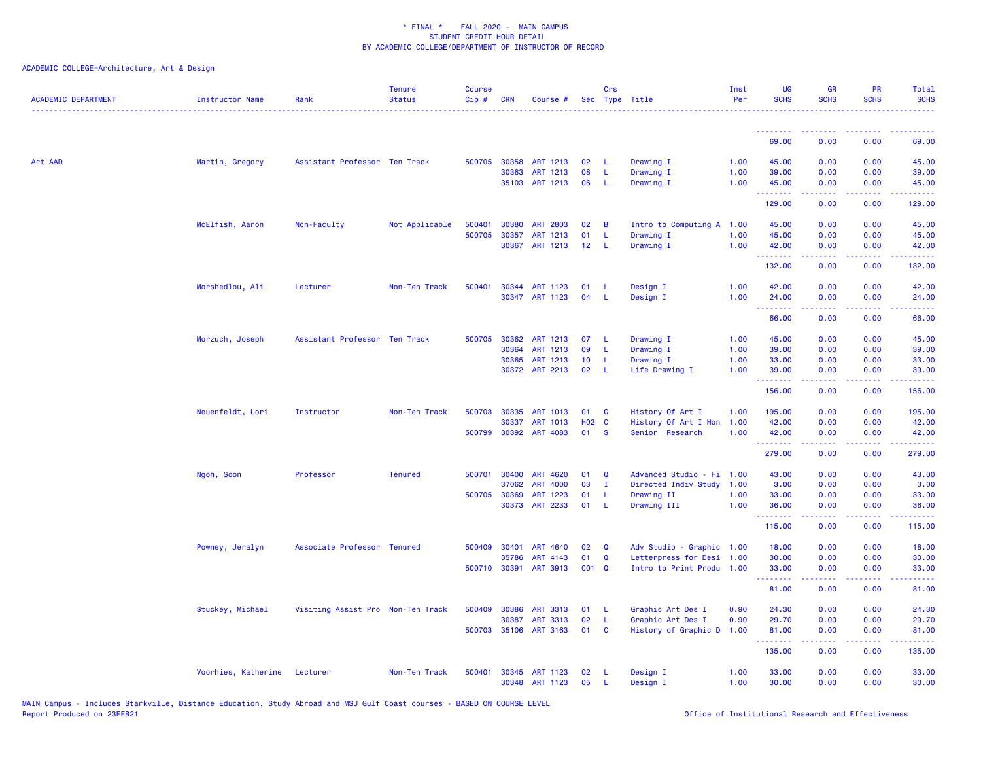| <b>ACADEMIC DEPARTMENT</b> | Instructor Name     | Rank                              | <b>Tenure</b><br><b>Status</b> | <b>Course</b><br>$Cip \#$ | CRN                   | Course #              |                 | Crs              | Sec Type Title            | Inst<br>Per | <b>UG</b><br><b>SCHS</b> | <b>GR</b><br><b>SCHS</b>                                                                                                                                     | <b>PR</b><br><b>SCHS</b> | Total<br><b>SCHS</b> |
|----------------------------|---------------------|-----------------------------------|--------------------------------|---------------------------|-----------------------|-----------------------|-----------------|------------------|---------------------------|-------------|--------------------------|--------------------------------------------------------------------------------------------------------------------------------------------------------------|--------------------------|----------------------|
|                            |                     |                                   |                                |                           |                       |                       |                 |                  |                           |             | .                        |                                                                                                                                                              |                          |                      |
|                            |                     |                                   |                                |                           |                       |                       |                 |                  |                           |             | 69.00                    | 0.00                                                                                                                                                         | 0.00                     | 69.00                |
| Art AAD                    | Martin, Gregory     | Assistant Professor Ten Track     |                                |                           | 500705 30358          | ART 1213              | 02              | -L               | Drawing I                 | 1.00        | 45.00                    | 0.00                                                                                                                                                         | 0.00                     | 45.00                |
|                            |                     |                                   |                                |                           | 30363                 | ART 1213              | 08              | L                | Drawing I                 | 1.00        | 39.00                    | 0.00                                                                                                                                                         | 0.00                     | 39.00                |
|                            |                     |                                   |                                |                           |                       | 35103 ART 1213        | 06              | L                | Drawing I                 | 1.00        | 45.00<br>.               | 0.00<br>المستملة                                                                                                                                             | 0.00<br>المستمال         | 45.00<br>المتمام     |
|                            |                     |                                   |                                |                           |                       |                       |                 |                  |                           |             | 129.00                   | 0.00                                                                                                                                                         | 0.00                     | 129.00               |
|                            | McElfish, Aaron     | Non-Faculty                       | Not Applicable                 | 500401                    | 30380                 | <b>ART 2803</b>       | 02              | B                | Intro to Computing A 1.00 |             | 45.00                    | 0.00                                                                                                                                                         | 0.00                     | 45.00                |
|                            |                     |                                   |                                | 500705                    | 30357                 | ART 1213              | 01              | L                | Drawing I                 | 1.00        | 45.00                    | 0.00                                                                                                                                                         | 0.00                     | 45.00                |
|                            |                     |                                   |                                |                           |                       | 30367 ART 1213        | 12              | - L              | Drawing I                 | 1.00        | 42.00<br><u>.</u>        | 0.00<br>.                                                                                                                                                    | 0.00<br>$\frac{1}{2}$    | 42.00<br>.           |
|                            |                     |                                   |                                |                           |                       |                       |                 |                  |                           |             | 132.00                   | 0.00                                                                                                                                                         | 0.00                     | 132.00               |
|                            | Morshedlou, Ali     | Lecturer                          | Non-Ten Track                  | 500401                    |                       | 30344 ART 1123        | 01              | -L               | Design I                  | 1.00        | 42.00                    | 0.00                                                                                                                                                         | 0.00                     | 42.00                |
|                            |                     |                                   |                                |                           |                       | 30347 ART 1123        | 04              | L                | Design I                  | 1.00        | 24,00                    | 0.00                                                                                                                                                         | 0.00                     | 24.00                |
|                            |                     |                                   |                                |                           |                       |                       |                 |                  |                           |             | .<br>66.00               | $\frac{1}{2} \left( \frac{1}{2} \right) \left( \frac{1}{2} \right) \left( \frac{1}{2} \right) \left( \frac{1}{2} \right)$<br>0.00                            | .<br>0.00                | بالأبالات<br>66.00   |
|                            | Morzuch, Joseph     | Assistant Professor Ten Track     |                                | 500705                    | 30362                 | ART 1213              | 07              | L                | Drawing I                 | 1.00        | 45.00                    | 0.00                                                                                                                                                         | 0.00                     | 45.00                |
|                            |                     |                                   |                                |                           | 30364                 | ART 1213              | 09              | L                | Drawing I                 | 1.00        | 39.00                    | 0.00                                                                                                                                                         | 0.00                     | 39.00                |
|                            |                     |                                   |                                |                           | 30365                 | ART 1213              | 10              | L                | Drawing I                 | 1.00        | 33.00                    | 0.00                                                                                                                                                         | 0.00                     | 33.00                |
|                            |                     |                                   |                                |                           | 30372                 | ART 2213              | 02              | L                | Life Drawing I            | 1.00        | 39.00                    | 0.00                                                                                                                                                         | 0.00                     | 39.00                |
|                            |                     |                                   |                                |                           |                       |                       |                 |                  |                           |             | بالمستمام<br>156.00      | .<br>0.00                                                                                                                                                    | المتحدث<br>0.00          | المتمامين<br>156.00  |
|                            | Neuenfeldt, Lori    | Instructor                        | Non-Ten Track                  | 500703                    | 30335                 | ART 1013              | 01              | <b>C</b>         | History Of Art I          | 1.00        | 195.00                   | 0.00                                                                                                                                                         | 0.00                     | 195.00               |
|                            |                     |                                   |                                |                           | 30337                 | ART 1013              | <b>HO2 C</b>    |                  | History Of Art I Hon      | 1.00        | 42.00                    | 0.00                                                                                                                                                         | 0.00                     | 42.00                |
|                            |                     |                                   |                                |                           |                       | 500799 30392 ART 4083 | 01              | <b>S</b>         | Senior Research           | 1.00        | 42.00                    | 0.00                                                                                                                                                         | 0.00                     | 42.00                |
|                            |                     |                                   |                                |                           |                       |                       |                 |                  |                           |             | .<br>279.00              | $\frac{1}{2} \left( \frac{1}{2} \right) \left( \frac{1}{2} \right) \left( \frac{1}{2} \right) \left( \frac{1}{2} \right) \left( \frac{1}{2} \right)$<br>0.00 | .<br>0.00                | .<br>279.00          |
|                            |                     | Professor                         | <b>Tenured</b>                 | 500701                    | 30400                 | ART 4620              | 01              | Q                | Advanced Studio - Fi      | 1.00        | 43.00                    | 0.00                                                                                                                                                         | 0.00                     | 43.00                |
|                            | Ngoh, Soon          |                                   |                                |                           | 37062                 | <b>ART 4000</b>       | 03              | $\mathbf{I}$     | Directed Indiv Study      | 1.00        | 3.00                     | 0.00                                                                                                                                                         | 0.00                     | 3.00                 |
|                            |                     |                                   |                                |                           | 500705 30369          | ART 1223              | 01              | L                | Drawing II                | 1.00        | 33.00                    | 0.00                                                                                                                                                         | 0.00                     | 33.00                |
|                            |                     |                                   |                                |                           | 30373                 | ART 2233              | 01              | L                | Drawing III               | 1.00        | 36.00                    | 0.00                                                                                                                                                         | 0.00                     | 36.00                |
|                            |                     |                                   |                                |                           |                       |                       |                 |                  |                           |             | .<br>115.00              | 0.00                                                                                                                                                         | 0.00                     | .<br>115.00          |
|                            | Powney, Jeralyn     | Associate Professor Tenured       |                                |                           | 500409 30401          | ART 4640              | 02              | Q                | Adv Studio - Graphic 1.00 |             | 18.00                    | 0.00                                                                                                                                                         | 0.00                     | 18.00                |
|                            |                     |                                   |                                |                           | 35786                 | ART 4143              | 01              | $\mathbf Q$      | Letterpress for Desi 1.00 |             | 30.00                    | 0.00                                                                                                                                                         | 0.00                     | 30.00                |
|                            |                     |                                   |                                | 500710                    | 30391                 | ART 3913              | CO <sub>1</sub> | Q                | Intro to Print Produ 1.00 |             | 33.00                    | 0.00                                                                                                                                                         | 0.00                     | 33.00                |
|                            |                     |                                   |                                |                           |                       |                       |                 |                  |                           |             | .<br>81.00               | 0.00                                                                                                                                                         | 0.00                     | 81.00                |
|                            |                     |                                   |                                |                           |                       |                       |                 |                  |                           |             |                          |                                                                                                                                                              |                          |                      |
|                            | Stuckey, Michael    | Visiting Assist Pro Non-Ten Track |                                | 500409                    | 30386                 | ART 3313              | 01              | -L               | Graphic Art Des I         | 0.90        | 24.30                    | 0.00                                                                                                                                                         | 0.00                     | 24.30                |
|                            |                     |                                   |                                |                           | 30387<br>500703 35106 | ART 3313<br>ART 3163  | 02<br>01        | L<br>$\mathbf c$ | Graphic Art Des I         | 0.90        | 29.70                    | 0.00                                                                                                                                                         | 0.00                     | 29.70                |
|                            |                     |                                   |                                |                           |                       |                       |                 |                  | History of Graphic D      | 1.00        | 81.00<br>.               | 0.00<br>$\frac{1}{2} \left( \frac{1}{2} \right) \left( \frac{1}{2} \right) \left( \frac{1}{2} \right) \left( \frac{1}{2} \right) \left( \frac{1}{2} \right)$ | 0.00<br>.                | 81.00<br>.           |
|                            |                     |                                   |                                |                           |                       |                       |                 |                  |                           |             | 135.00                   | 0.00                                                                                                                                                         | 0.00                     | 135.00               |
|                            | Voorhies, Katherine | Lecturer                          | Non-Ten Track                  | 500401                    | 30345                 | ART 1123              | 02              | L                | Design I                  | 1.00        | 33.00                    | 0.00                                                                                                                                                         | 0.00                     | 33.00                |
|                            |                     |                                   |                                |                           | 30348                 | ART 1123              | 05              | L                | Design I                  | 1.00        | 30.00                    | 0.00                                                                                                                                                         | 0.00                     | 30.00                |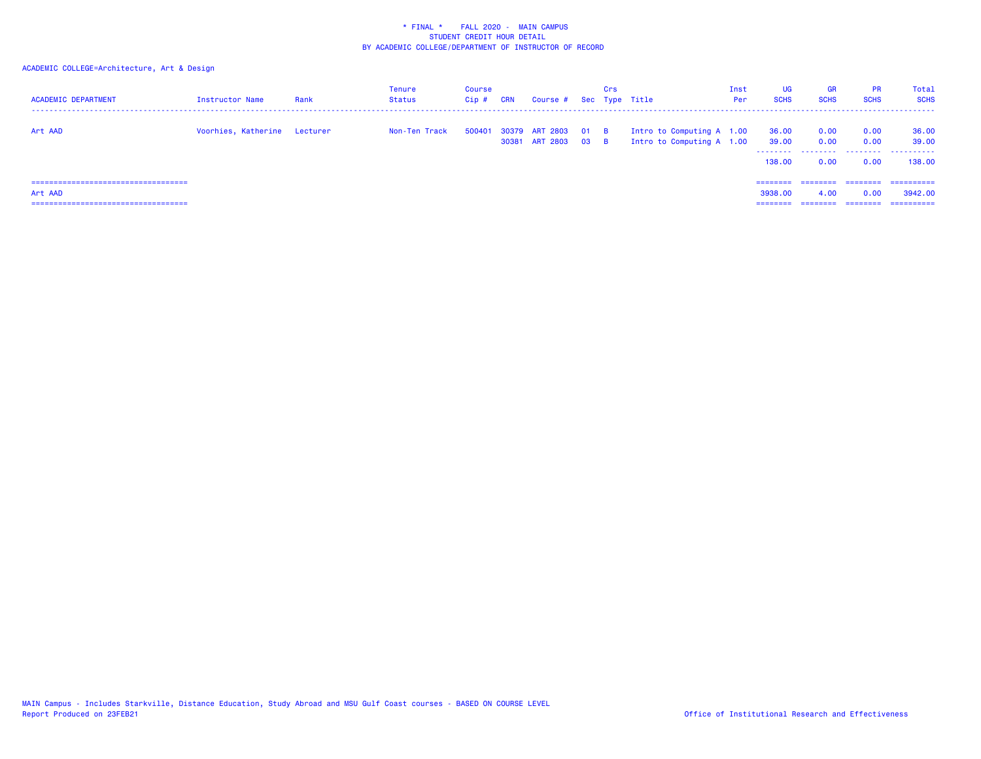| <b>ACADEMIC DEPARTMENT</b>                                                                  | Instructor Name              | Rank | Tenure<br>Status | Course<br>Cip# | CRN | Course # Sec Type Title                           | Crs |                                                        | Inst<br>Per | <b>UG</b><br><b>SCHS</b>        | <b>GR</b><br><b>SCHS</b> | <b>PR</b><br><b>SCHS</b> | <b>Total</b><br><b>SCHS</b>        |
|---------------------------------------------------------------------------------------------|------------------------------|------|------------------|----------------|-----|---------------------------------------------------|-----|--------------------------------------------------------|-------------|---------------------------------|--------------------------|--------------------------|------------------------------------|
| Art AAD                                                                                     | Voorhies, Katherine Lecturer |      | Non-Ten Track    |                |     | 500401 30379 ART 2803 01 B<br>30381 ART 2803 03 B |     | Intro to Computing A 1.00<br>Intro to Computing A 1.00 |             | 36.00<br>39.00<br>138,00        | 0.00<br>0.00<br>0.00     | 0.00<br>0.00<br>0.00     | 36.00<br>39.00<br>138,00           |
| ======================================<br>Art AAD<br>====================================== |                              |      |                  |                |     |                                                   |     |                                                        |             | ========<br>3938,00<br>======== | ---------<br>4.00        | ---------<br>0.00        | ==========<br>3942.00<br>========= |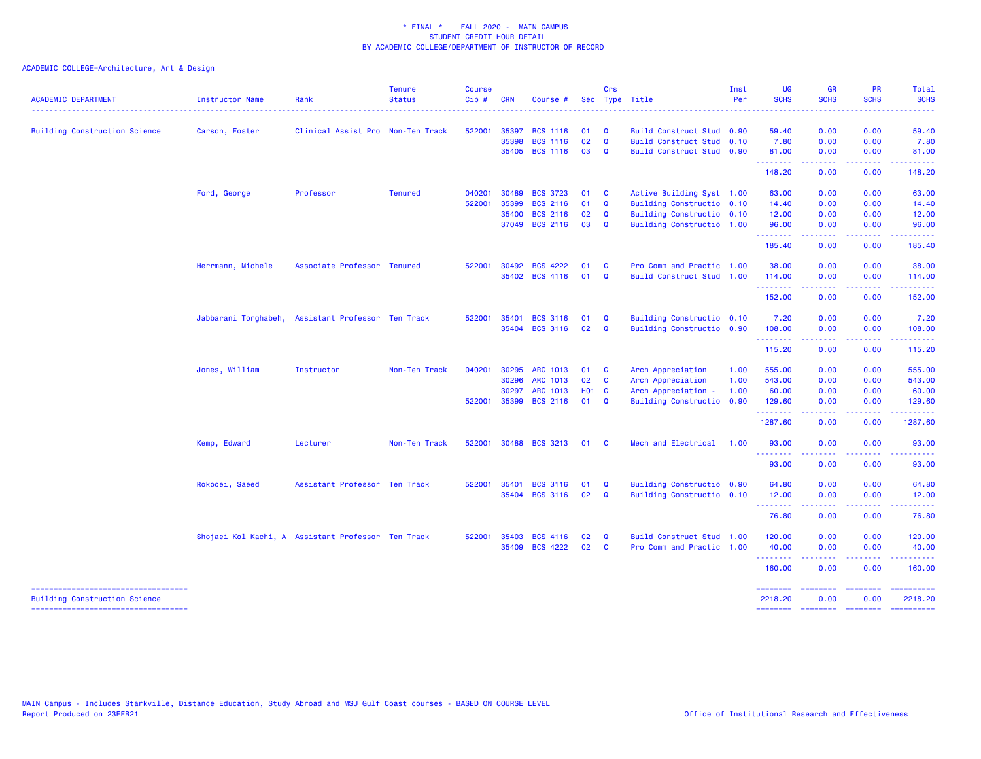| <b>ACADEMIC DEPARTMENT</b>                                                 | Instructor Name   | Rank                                               | <b>Tenure</b><br><b>Status</b> | <b>Course</b><br>$Cip \#$ | <b>CRN</b>   | Course #        |              | Crs                     | Sec Type Title            | Inst<br>Per | <b>UG</b><br><b>SCHS</b><br>. | <b>GR</b><br><b>SCHS</b>                                                                                                                                     | <b>PR</b><br><b>SCHS</b>                | Total<br><b>SCHS</b><br>.                                                                                                                                                                                                                                                                                                                                                                                                                                                              |
|----------------------------------------------------------------------------|-------------------|----------------------------------------------------|--------------------------------|---------------------------|--------------|-----------------|--------------|-------------------------|---------------------------|-------------|-------------------------------|--------------------------------------------------------------------------------------------------------------------------------------------------------------|-----------------------------------------|----------------------------------------------------------------------------------------------------------------------------------------------------------------------------------------------------------------------------------------------------------------------------------------------------------------------------------------------------------------------------------------------------------------------------------------------------------------------------------------|
| <b>Building Construction Science</b>                                       | Carson, Foster    | Clinical Assist Pro Non-Ten Track                  |                                | 522001                    | 35397        | <b>BCS 1116</b> | 01           | Q                       | Build Construct Stud 0.90 |             | 59.40                         | 0.00                                                                                                                                                         | 0.00                                    | 59.40                                                                                                                                                                                                                                                                                                                                                                                                                                                                                  |
|                                                                            |                   |                                                    |                                |                           | 35398        | <b>BCS 1116</b> | 02           | Q                       | Build Construct Stud 0.10 |             | 7.80                          | 0.00                                                                                                                                                         | 0.00                                    | 7.80                                                                                                                                                                                                                                                                                                                                                                                                                                                                                   |
|                                                                            |                   |                                                    |                                |                           | 35405        | <b>BCS 1116</b> | 03           | Q                       | Build Construct Stud 0.90 |             | 81.00<br><b>.</b> .           | 0.00<br>$\frac{1}{2} \left( \frac{1}{2} \right) \left( \frac{1}{2} \right) \left( \frac{1}{2} \right) \left( \frac{1}{2} \right) \left( \frac{1}{2} \right)$ | 0.00                                    | 81.00<br>.                                                                                                                                                                                                                                                                                                                                                                                                                                                                             |
|                                                                            |                   |                                                    |                                |                           |              |                 |              |                         |                           |             | 148.20                        | 0.00                                                                                                                                                         | 0.00                                    | 148.20                                                                                                                                                                                                                                                                                                                                                                                                                                                                                 |
|                                                                            | Ford, George      | Professor                                          | <b>Tenured</b>                 | 040201                    | 30489        | <b>BCS 3723</b> | 01           | $\mathbf{C}$            | Active Building Syst 1.00 |             | 63.00                         | 0.00                                                                                                                                                         | 0.00                                    | 63.00                                                                                                                                                                                                                                                                                                                                                                                                                                                                                  |
|                                                                            |                   |                                                    |                                | 522001                    | 35399        | <b>BCS 2116</b> | 01           | Q                       | Building Constructio 0.10 |             | 14.40                         | 0.00                                                                                                                                                         | 0.00                                    | 14.40                                                                                                                                                                                                                                                                                                                                                                                                                                                                                  |
|                                                                            |                   |                                                    |                                |                           | 35400        | <b>BCS 2116</b> | 02           | Q                       | Building Constructio 0.10 |             | 12.00                         | 0.00                                                                                                                                                         | 0.00                                    | 12.00                                                                                                                                                                                                                                                                                                                                                                                                                                                                                  |
|                                                                            |                   |                                                    |                                |                           | 37049        | <b>BCS 2116</b> | 03           | Q                       | Building Constructio 1.00 |             | 96.00<br><b>.</b> .           | 0.00<br>.                                                                                                                                                    | 0.00<br>$   -$                          | 96.00<br>. <b>.</b>                                                                                                                                                                                                                                                                                                                                                                                                                                                                    |
|                                                                            |                   |                                                    |                                |                           |              |                 |              |                         |                           |             | 185.40                        | 0.00                                                                                                                                                         | 0.00                                    | 185.40                                                                                                                                                                                                                                                                                                                                                                                                                                                                                 |
|                                                                            | Herrmann, Michele | Associate Professor Tenured                        |                                | 522001                    | 30492        | <b>BCS 4222</b> | 01           | - C                     | Pro Comm and Practic 1.00 |             | 38.00                         | 0.00                                                                                                                                                         | 0.00                                    | 38.00                                                                                                                                                                                                                                                                                                                                                                                                                                                                                  |
|                                                                            |                   |                                                    |                                |                           | 35402        | <b>BCS 4116</b> | 01           | $\mathbf{Q}$            | Build Construct Stud 1.00 |             | 114.00<br>.                   | 0.00<br>.                                                                                                                                                    | 0.00<br>.                               | 114.00                                                                                                                                                                                                                                                                                                                                                                                                                                                                                 |
|                                                                            |                   |                                                    |                                |                           |              |                 |              |                         |                           |             | 152.00                        | 0.00                                                                                                                                                         | 0.00                                    | 152.00                                                                                                                                                                                                                                                                                                                                                                                                                                                                                 |
|                                                                            |                   | Jabbarani Torghabeh, Assistant Professor Ten Track |                                | 522001                    | 35401        | <b>BCS 3116</b> | 01           | Q                       | Building Constructio 0.10 |             | 7.20                          | 0.00                                                                                                                                                         | 0.00                                    | 7.20                                                                                                                                                                                                                                                                                                                                                                                                                                                                                   |
|                                                                            |                   |                                                    |                                |                           | 35404        | <b>BCS 3116</b> | 02           | $\mathbf{Q}$            | Building Constructio 0.90 |             | 108.00<br>.                   | 0.00                                                                                                                                                         | 0.00<br>د د د د                         | 108.00<br><b>.</b>                                                                                                                                                                                                                                                                                                                                                                                                                                                                     |
|                                                                            |                   |                                                    |                                |                           |              |                 |              |                         |                           |             | 115.20                        | 0.00                                                                                                                                                         | 0.00                                    | 115.20                                                                                                                                                                                                                                                                                                                                                                                                                                                                                 |
|                                                                            | Jones, William    | Instructor                                         | Non-Ten Track                  | 040201                    | 30295        | <b>ARC 1013</b> | 01           | $\mathbf{C}$            | Arch Appreciation         | 1.00        | 555.00                        | 0.00                                                                                                                                                         | 0.00                                    | 555.00                                                                                                                                                                                                                                                                                                                                                                                                                                                                                 |
|                                                                            |                   |                                                    |                                |                           | 30296        | <b>ARC 1013</b> | 02           | $\mathbf{C}$            | Arch Appreciation         | 1.00        | 543.00                        | 0.00                                                                                                                                                         | 0.00                                    | 543.00                                                                                                                                                                                                                                                                                                                                                                                                                                                                                 |
|                                                                            |                   |                                                    |                                |                           | 30297        | ARC 1013        | <b>HO1 C</b> |                         | Arch Appreciation -       | 1.00        | 60.00                         | 0.00                                                                                                                                                         | 0.00                                    | 60.00                                                                                                                                                                                                                                                                                                                                                                                                                                                                                  |
|                                                                            |                   |                                                    |                                |                           | 522001 35399 | <b>BCS 2116</b> | $01 \quad Q$ |                         | Building Constructio 0.90 |             | 129.60<br>.                   | 0.00                                                                                                                                                         | 0.00                                    | 129.60                                                                                                                                                                                                                                                                                                                                                                                                                                                                                 |
|                                                                            |                   |                                                    |                                |                           |              |                 |              |                         |                           |             | 1287.60                       | 0.00                                                                                                                                                         | 0.00                                    | 1287.60                                                                                                                                                                                                                                                                                                                                                                                                                                                                                |
|                                                                            | Kemp, Edward      | Lecturer                                           | Non-Ten Track                  | 522001                    | 30488        | <b>BCS 3213</b> | 01           | $\overline{\mathbf{C}}$ | Mech and Electrical       | 1.00        | 93.00<br>.                    | 0.00                                                                                                                                                         | 0.00                                    | 93.00                                                                                                                                                                                                                                                                                                                                                                                                                                                                                  |
|                                                                            |                   |                                                    |                                |                           |              |                 |              |                         |                           |             | 93.00                         | 0.00                                                                                                                                                         | 0.00                                    | 93.00                                                                                                                                                                                                                                                                                                                                                                                                                                                                                  |
|                                                                            | Rokooei, Saeed    | Assistant Professor Ten Track                      |                                | 522001                    | 35401        | <b>BCS 3116</b> | 01           | Q                       | Building Constructio 0.90 |             | 64.80                         | 0.00                                                                                                                                                         | 0.00                                    | 64.80                                                                                                                                                                                                                                                                                                                                                                                                                                                                                  |
|                                                                            |                   |                                                    |                                |                           | 35404        | <b>BCS 3116</b> | 02           | $\mathbf{Q}$            | Building Constructio 0.10 |             | 12.00<br>.                    | 0.00                                                                                                                                                         | 0.00                                    | 12.00                                                                                                                                                                                                                                                                                                                                                                                                                                                                                  |
|                                                                            |                   |                                                    |                                |                           |              |                 |              |                         |                           |             | 76.80                         | 0.00                                                                                                                                                         | 0.00                                    | 76.80                                                                                                                                                                                                                                                                                                                                                                                                                                                                                  |
|                                                                            |                   | Shojaei Kol Kachi, A Assistant Professor Ten Track |                                | 522001                    | 35403        | <b>BCS 4116</b> | 02           | Q                       | Build Construct Stud 1.00 |             | 120.00                        | 0.00                                                                                                                                                         | 0.00                                    | 120.00                                                                                                                                                                                                                                                                                                                                                                                                                                                                                 |
|                                                                            |                   |                                                    |                                |                           | 35409        | <b>BCS 4222</b> | 02           | $\mathbf{C}$            | Pro Comm and Practic 1.00 |             | 40.00<br><b>.</b> .           | 0.00<br>.                                                                                                                                                    | 0.00<br>.                               | 40.00<br>. <b>.</b>                                                                                                                                                                                                                                                                                                                                                                                                                                                                    |
|                                                                            |                   |                                                    |                                |                           |              |                 |              |                         |                           |             | 160.00                        | 0.00                                                                                                                                                         | 0.00                                    | 160.00                                                                                                                                                                                                                                                                                                                                                                                                                                                                                 |
| ----------------------------------<br><b>Building Construction Science</b> |                   |                                                    |                                |                           |              |                 |              |                         |                           |             | <b>SESSESSE</b><br>2218.20    | ========<br>0.00                                                                                                                                             | <b>CONSIGNS</b><br>0.00                 | ==========<br>2218.20                                                                                                                                                                                                                                                                                                                                                                                                                                                                  |
| ----------------------------------                                         |                   |                                                    |                                |                           |              |                 |              |                         |                           |             | <b>SESSESSE</b>               |                                                                                                                                                              | $-$ = = = = = = $-$ = = = = = = = = $-$ | $\begin{array}{cccccccccc} \multicolumn{2}{c}{} & \multicolumn{2}{c}{} & \multicolumn{2}{c}{} & \multicolumn{2}{c}{} & \multicolumn{2}{c}{} & \multicolumn{2}{c}{} & \multicolumn{2}{c}{} & \multicolumn{2}{c}{} & \multicolumn{2}{c}{} & \multicolumn{2}{c}{} & \multicolumn{2}{c}{} & \multicolumn{2}{c}{} & \multicolumn{2}{c}{} & \multicolumn{2}{c}{} & \multicolumn{2}{c}{} & \multicolumn{2}{c}{} & \multicolumn{2}{c}{} & \multicolumn{2}{c}{} & \multicolumn{2}{c}{} & \mult$ |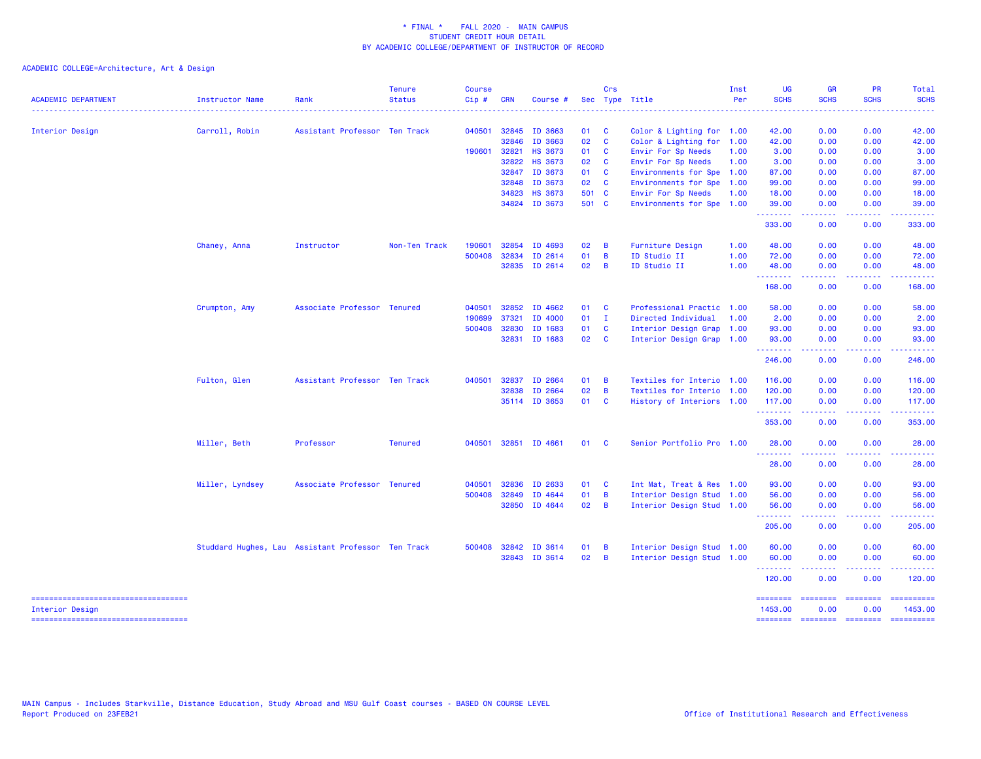| <b>ACADEMIC DEPARTMENT</b>                               | Instructor Name | Rank                                               | <b>Tenure</b><br><b>Status</b> | <b>Course</b><br>Cip# | <b>CRN</b> | Course #       |       | Crs                     | Sec Type Title            | Inst<br>Per | <b>UG</b><br><b>SCHS</b> | <b>GR</b><br><b>SCHS</b>                                                                                                                                     | PR<br><b>SCHS</b>                                                                                                                 | Total<br><b>SCHS</b>  |
|----------------------------------------------------------|-----------------|----------------------------------------------------|--------------------------------|-----------------------|------------|----------------|-------|-------------------------|---------------------------|-------------|--------------------------|--------------------------------------------------------------------------------------------------------------------------------------------------------------|-----------------------------------------------------------------------------------------------------------------------------------|-----------------------|
|                                                          |                 |                                                    |                                |                       |            |                |       |                         |                           |             |                          |                                                                                                                                                              |                                                                                                                                   |                       |
| Interior Design                                          | Carroll, Robin  | Assistant Professor Ten Track                      |                                | 040501                | 32845      | ID 3663        | 01    | $\overline{\mathbf{C}}$ | Color & Lighting for 1.00 |             | 42.00                    | 0.00                                                                                                                                                         | 0.00                                                                                                                              | 42.00                 |
|                                                          |                 |                                                    |                                |                       | 32846      | ID 3663        | 02    | $\mathbf{C}$            | Color & Lighting for 1.00 |             | 42.00                    | 0.00                                                                                                                                                         | 0.00                                                                                                                              | 42.00                 |
|                                                          |                 |                                                    |                                | 190601                | 32821      | <b>HS 3673</b> | 01    | $\mathbf{C}$            | Envir For Sp Needs        | 1.00        | 3.00                     | 0.00                                                                                                                                                         | 0.00                                                                                                                              | 3.00                  |
|                                                          |                 |                                                    |                                |                       | 32822      | <b>HS 3673</b> | 02    | <b>C</b>                | Envir For Sp Needs        | 1.00        | 3.00                     | 0.00                                                                                                                                                         | 0.00                                                                                                                              | 3.00                  |
|                                                          |                 |                                                    |                                |                       | 32847      | ID 3673        | 01 C  |                         | Environments for Spe 1.00 |             | 87.00                    | 0.00                                                                                                                                                         | 0.00                                                                                                                              | 87.00                 |
|                                                          |                 |                                                    |                                |                       | 32848      | ID 3673        | 02 C  |                         | Environments for Spe 1.00 |             | 99.00                    | 0.00                                                                                                                                                         | 0.00                                                                                                                              | 99.00                 |
|                                                          |                 |                                                    |                                |                       | 34823      | <b>HS 3673</b> | 501 C |                         | Envir For Sp Needs        | 1.00        | 18.00                    | 0.00                                                                                                                                                         | 0.00                                                                                                                              | 18.00                 |
|                                                          |                 |                                                    |                                |                       |            | 34824 ID 3673  | 501 C |                         | Environments for Spe 1.00 |             | 39.00<br>.               | 0.00<br>-----                                                                                                                                                | 0.00<br>.                                                                                                                         | 39.00<br>.            |
|                                                          |                 |                                                    |                                |                       |            |                |       |                         |                           |             | 333.00                   | 0.00                                                                                                                                                         | 0.00                                                                                                                              | 333.00                |
|                                                          | Chaney, Anna    | Instructor                                         | Non-Ten Track                  | 190601                | 32854      | ID 4693        | 02    | $\overline{B}$          | Furniture Design          | 1.00        | 48.00                    | 0.00                                                                                                                                                         | 0.00                                                                                                                              | 48.00                 |
|                                                          |                 |                                                    |                                | 500408                | 32834      | ID 2614        | 01    | $\overline{B}$          | ID Studio II              | 1.00        | 72.00                    | 0.00                                                                                                                                                         | 0.00                                                                                                                              | 72.00                 |
|                                                          |                 |                                                    |                                |                       | 32835      | ID 2614        | 02    | $\overline{B}$          | ID Studio II              | 1.00        | 48.00                    | 0.00<br>$\frac{1}{2} \left( \frac{1}{2} \right) \left( \frac{1}{2} \right) \left( \frac{1}{2} \right) \left( \frac{1}{2} \right) \left( \frac{1}{2} \right)$ | 0.00                                                                                                                              | 48.00                 |
|                                                          |                 |                                                    |                                |                       |            |                |       |                         |                           |             | --------<br>168.00       | 0.00                                                                                                                                                         | .<br>0.00                                                                                                                         | ------<br>168.00      |
|                                                          | Crumpton, Amy   | Associate Professor Tenured                        |                                | 040501                | 32852      | ID 4662        | 01    | $\overline{\mathbf{C}}$ | Professional Practic 1.00 |             | 58.00                    | 0.00                                                                                                                                                         | 0.00                                                                                                                              | 58.00                 |
|                                                          |                 |                                                    |                                | 190699                | 37321      | ID 4000        | 01    | $\blacksquare$          | Directed Individual       | 1.00        | 2.00                     | 0.00                                                                                                                                                         | 0.00                                                                                                                              | 2.00                  |
|                                                          |                 |                                                    |                                | 500408                | 32830      | ID 1683        | 01    | <b>C</b>                | Interior Design Grap 1.00 |             | 93.00                    | 0.00                                                                                                                                                         | 0.00                                                                                                                              | 93.00                 |
|                                                          |                 |                                                    |                                |                       | 32831      | ID 1683        | 02 C  |                         | Interior Design Grap 1.00 |             | 93.00                    | 0.00                                                                                                                                                         | 0.00                                                                                                                              | 93.00                 |
|                                                          |                 |                                                    |                                |                       |            |                |       |                         |                           |             | .<br>246.00              | .<br>0.00                                                                                                                                                    | .<br>0.00                                                                                                                         | 222222<br>246.00      |
|                                                          | Fulton, Glen    | Assistant Professor Ten Track                      |                                | 040501                | 32837      | ID 2664        | 01    | $\overline{B}$          | Textiles for Interio 1.00 |             | 116.00                   | 0.00                                                                                                                                                         | 0.00                                                                                                                              | 116.00                |
|                                                          |                 |                                                    |                                |                       | 32838      | ID 2664        | 02    | $\overline{B}$          | Textiles for Interio 1.00 |             | 120.00                   | 0.00                                                                                                                                                         | 0.00                                                                                                                              | 120.00                |
|                                                          |                 |                                                    |                                |                       |            | 35114 ID 3653  | 01 C  |                         | History of Interiors 1.00 |             | 117.00                   | 0.00                                                                                                                                                         | 0.00                                                                                                                              | 117.00                |
|                                                          |                 |                                                    |                                |                       |            |                |       |                         |                           |             | .<br>353.00              | .<br>0.00                                                                                                                                                    | $\frac{1}{2} \left( \frac{1}{2} \right) \left( \frac{1}{2} \right) \left( \frac{1}{2} \right) \left( \frac{1}{2} \right)$<br>0.00 | . <b>.</b><br>353.00  |
|                                                          | Miller, Beth    | Professor                                          | <b>Tenured</b>                 | 040501                |            | 32851 ID 4661  | 01    | $\mathbf{C}$            | Senior Portfolio Pro 1.00 |             | 28.00<br><u>.</u>        | 0.00                                                                                                                                                         | 0.00                                                                                                                              | 28.00                 |
|                                                          |                 |                                                    |                                |                       |            |                |       |                         |                           |             | 28.00                    | 0.00                                                                                                                                                         | 0.00                                                                                                                              | 28.00                 |
|                                                          | Miller, Lyndsey | Associate Professor Tenured                        |                                | 040501                | 32836      | ID 2633        | 01 C  |                         | Int Mat, Treat & Res 1.00 |             | 93.00                    | 0.00                                                                                                                                                         | 0.00                                                                                                                              | 93.00                 |
|                                                          |                 |                                                    |                                | 500408                | 32849      | ID 4644        | 01    | $\overline{B}$          | Interior Design Stud 1.00 |             | 56.00                    | 0.00                                                                                                                                                         | 0.00                                                                                                                              | 56.00                 |
|                                                          |                 |                                                    |                                |                       | 32850      | ID 4644        | 02    | $\overline{B}$          | Interior Design Stud 1.00 |             | 56.00<br>.               | 0.00<br>.                                                                                                                                                    | 0.00<br>.                                                                                                                         | 56.00<br>.            |
|                                                          |                 |                                                    |                                |                       |            |                |       |                         |                           |             | 205.00                   | 0.00                                                                                                                                                         | 0.00                                                                                                                              | 205.00                |
|                                                          |                 | Studdard Hughes, Lau Assistant Professor Ten Track |                                | 500408                | 32842      | ID 3614        | 01    | $\overline{B}$          | Interior Design Stud 1.00 |             | 60.00                    | 0.00                                                                                                                                                         | 0.00                                                                                                                              | 60.00                 |
|                                                          |                 |                                                    |                                |                       |            | 32843 ID 3614  | 02    | $\overline{B}$          | Interior Design Stud 1.00 |             | 60.00                    | 0.00<br>$\frac{1}{2} \left( \frac{1}{2} \right) \left( \frac{1}{2} \right) \left( \frac{1}{2} \right) \left( \frac{1}{2} \right) \left( \frac{1}{2} \right)$ | 0.00<br>.                                                                                                                         | 60.00<br>.            |
|                                                          |                 |                                                    |                                |                       |            |                |       |                         |                           |             | <u>.</u><br>120.00       | 0.00                                                                                                                                                         | 0.00                                                                                                                              | 120.00                |
| =====================================<br>Interior Design |                 |                                                    |                                |                       |            |                |       |                         |                           |             | ========<br>1453.00      | ========<br>0.00                                                                                                                                             | ========<br>0.00                                                                                                                  | ==========<br>1453.00 |
| -----------------------------------                      |                 |                                                    |                                |                       |            |                |       |                         |                           |             | <b>ESSESSES</b>          | <b>SESSESSE</b>                                                                                                                                              | $= 1.122222222$                                                                                                                   |                       |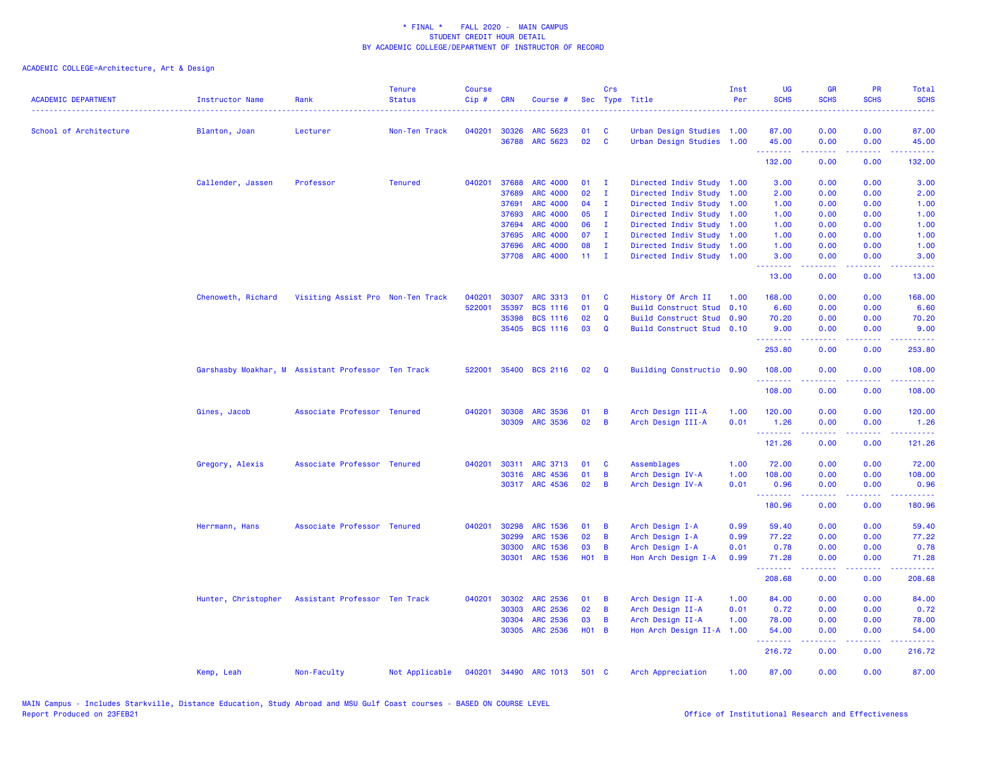| <b>ACADEMIC DEPARTMENT</b> | <b>Instructor Name</b> | Rank                                               | <b>Tenure</b><br><b>Status</b> | <b>Course</b><br>Cip# | <b>CRN</b> | Course #        |                 | Crs            | Sec Type Title            | Inst<br>Per | <b>UG</b><br><b>SCHS</b> | <b>GR</b><br><b>SCHS</b>                                                                                                          | <b>PR</b><br><b>SCHS</b>                                                                               | Total<br><b>SCHS</b>                                                                                                              |
|----------------------------|------------------------|----------------------------------------------------|--------------------------------|-----------------------|------------|-----------------|-----------------|----------------|---------------------------|-------------|--------------------------|-----------------------------------------------------------------------------------------------------------------------------------|--------------------------------------------------------------------------------------------------------|-----------------------------------------------------------------------------------------------------------------------------------|
| School of Architecture     | Blanton, Joan          | Lecturer                                           | Non-Ten Track                  | 040201                | 30326      | ARC 5623        | 01              | C              | Urban Design Studies 1.00 |             | 87.00                    | 0.00                                                                                                                              | 0.00                                                                                                   | 87.00                                                                                                                             |
|                            |                        |                                                    |                                |                       | 36788      | ARC 5623        | 02              | $\mathbf{C}$   | Urban Design Studies 1.00 |             | 45.00                    | 0.00                                                                                                                              | 0.00<br>.                                                                                              | 45.00                                                                                                                             |
|                            |                        |                                                    |                                |                       |            |                 |                 |                |                           |             | .<br>132.00              | $\frac{1}{2} \left( \frac{1}{2} \right) \left( \frac{1}{2} \right) \left( \frac{1}{2} \right) \left( \frac{1}{2} \right)$<br>0.00 | 0.00                                                                                                   | .<br>132.00                                                                                                                       |
|                            | Callender, Jassen      | Professor                                          | <b>Tenured</b>                 | 040201                | 37688      | <b>ARC 4000</b> | 01              | $\mathbf{I}$   | Directed Indiv Study 1.00 |             | 3.00                     | 0.00                                                                                                                              | 0.00                                                                                                   | 3.00                                                                                                                              |
|                            |                        |                                                    |                                |                       | 37689      | <b>ARC 4000</b> | 02              | $\mathbf{I}$   | Directed Indiv Study 1.00 |             | 2.00                     | 0.00                                                                                                                              | 0.00                                                                                                   | 2.00                                                                                                                              |
|                            |                        |                                                    |                                |                       | 37691      | ARC 4000        | 04              | $\mathbf{I}$   | Directed Indiv Study 1.00 |             | 1.00                     | 0.00                                                                                                                              | 0.00                                                                                                   | 1.00                                                                                                                              |
|                            |                        |                                                    |                                |                       | 37693      | <b>ARC 4000</b> | 05              | $\mathbf{I}$   | Directed Indiv Study 1.00 |             | 1.00                     | 0.00                                                                                                                              | 0.00                                                                                                   | 1.00                                                                                                                              |
|                            |                        |                                                    |                                |                       | 37694      | ARC 4000        | 06              | $\mathbf{I}$   | Directed Indiv Study 1.00 |             | 1.00                     | 0.00                                                                                                                              | 0.00                                                                                                   | 1.00                                                                                                                              |
|                            |                        |                                                    |                                |                       | 37695      | <b>ARC 4000</b> | 07              | $\mathbf I$    | Directed Indiv Study 1.00 |             | 1.00                     | 0.00                                                                                                                              | 0.00                                                                                                   | 1.00                                                                                                                              |
|                            |                        |                                                    |                                |                       | 37696      | <b>ARC 4000</b> | 08              | $\mathbf I$    | Directed Indiv Study 1.00 |             | 1.00                     | 0.00                                                                                                                              | 0.00                                                                                                   | 1.00                                                                                                                              |
|                            |                        |                                                    |                                |                       | 37708      | <b>ARC 4000</b> | 11 <sub>1</sub> | $\mathbf{I}$   | Directed Indiv Study 1.00 |             | 3.00<br>.                | 0.00<br>.                                                                                                                         | 0.00<br>$\frac{1}{2} \left( \frac{1}{2} \right) \left( \frac{1}{2} \right) \left( \frac{1}{2} \right)$ | 3.00<br>$\frac{1}{2} \left( \frac{1}{2} \right) \left( \frac{1}{2} \right) \left( \frac{1}{2} \right) \left( \frac{1}{2} \right)$ |
|                            |                        |                                                    |                                |                       |            |                 |                 |                |                           |             | 13.00                    | 0.00                                                                                                                              | 0.00                                                                                                   | 13.00                                                                                                                             |
|                            | Chenoweth, Richard     | Visiting Assist Pro Non-Ten Track                  |                                | 040201                | 30307      | ARC 3313        | 01              | C              | History Of Arch II        | 1.00        | 168.00                   | 0.00                                                                                                                              | 0.00                                                                                                   | 168.00                                                                                                                            |
|                            |                        |                                                    |                                | 522001                | 35397      | <b>BCS 1116</b> | 01              | $\mathbf Q$    | Build Construct Stud 0.10 |             | 6.60                     | 0.00                                                                                                                              | 0.00                                                                                                   | 6.60                                                                                                                              |
|                            |                        |                                                    |                                |                       | 35398      | <b>BCS 1116</b> | 02              | $\mathbf Q$    | Build Construct Stud 0.90 |             | 70.20                    | 0.00                                                                                                                              | 0.00                                                                                                   | 70.20                                                                                                                             |
|                            |                        |                                                    |                                |                       | 35405      | <b>BCS 1116</b> | 03              | Q              | Build Construct Stud 0.10 |             | 9.00<br>.                | 0.00                                                                                                                              | 0.00<br>$\sim$ $\sim$ $\sim$ $\sim$                                                                    | 9.00<br>$\frac{1}{2} \left( \frac{1}{2} \right) \left( \frac{1}{2} \right) \left( \frac{1}{2} \right) \left( \frac{1}{2} \right)$ |
|                            |                        |                                                    |                                |                       |            |                 |                 |                |                           |             | 253.80                   | 0.00                                                                                                                              | 0.00                                                                                                   | 253.80                                                                                                                            |
|                            |                        | Garshasby Moakhar, M Assistant Professor Ten Track |                                | 522001                |            | 35400 BCS 2116  | 02              | Q              | Building Constructio 0.90 |             | 108.00                   | 0.00                                                                                                                              | 0.00                                                                                                   | 108.00                                                                                                                            |
|                            |                        |                                                    |                                |                       |            |                 |                 |                |                           |             | .<br>108.00              | 0.00                                                                                                                              | 0.00                                                                                                   | 108.00                                                                                                                            |
|                            | Gines, Jacob           | Associate Professor Tenured                        |                                | 040201                | 30308      | <b>ARC 3536</b> | 01              | B              | Arch Design III-A         | 1.00        | 120.00                   | 0.00                                                                                                                              | 0.00                                                                                                   | 120.00                                                                                                                            |
|                            |                        |                                                    |                                |                       | 30309      | <b>ARC 3536</b> | 02              | B              | Arch Design III-A         | 0.01        | 1.26                     | 0.00                                                                                                                              | 0.00                                                                                                   | 1.26                                                                                                                              |
|                            |                        |                                                    |                                |                       |            |                 |                 |                |                           |             | .<br>121.26              | <b><i><u></u></i></b><br>0.00                                                                                                     | .<br>0.00                                                                                              | .<br>121.26                                                                                                                       |
|                            | Gregory, Alexis        | Associate Professor Tenured                        |                                | 040201                | 30311      | <b>ARC 3713</b> | 01              | C              | Assemblages               | 1.00        | 72.00                    | 0.00                                                                                                                              | 0.00                                                                                                   | 72.00                                                                                                                             |
|                            |                        |                                                    |                                |                       | 30316      | ARC 4536        | 01              | B              | Arch Design IV-A          | 1.00        | 108.00                   | 0.00                                                                                                                              | 0.00                                                                                                   | 108.00                                                                                                                            |
|                            |                        |                                                    |                                |                       |            | 30317 ARC 4536  | 02              | $\overline{B}$ | Arch Design IV-A          | 0.01        | 0.96                     | 0.00                                                                                                                              | 0.00                                                                                                   | 0.96                                                                                                                              |
|                            |                        |                                                    |                                |                       |            |                 |                 |                |                           |             | <u>.</u><br>180.96       | .<br>0.00                                                                                                                         | $\sim$ $\sim$ $\sim$ $\sim$<br>0.00                                                                    | 180.96                                                                                                                            |
|                            | Herrmann, Hans         | Associate Professor Tenured                        |                                | 040201                | 30298      | ARC 1536        | 01              | B              | Arch Design I-A           | 0.99        | 59.40                    | 0.00                                                                                                                              | 0.00                                                                                                   | 59.40                                                                                                                             |
|                            |                        |                                                    |                                |                       | 30299      | ARC 1536        | 02              | B              | Arch Design I-A           | 0.99        | 77.22                    | 0.00                                                                                                                              | 0.00                                                                                                   | 77.22                                                                                                                             |
|                            |                        |                                                    |                                |                       | 30300      | ARC 1536        | 03              | B              | Arch Design I-A           | 0.01        | 0.78                     | 0.00                                                                                                                              | 0.00                                                                                                   | 0.78                                                                                                                              |
|                            |                        |                                                    |                                |                       | 30301      | ARC 1536        | H01 B           |                | Hon Arch Design I-A       | 0.99        | 71.28<br>.               | 0.00<br>-----                                                                                                                     | 0.00<br>.                                                                                              | 71.28<br><u>.</u>                                                                                                                 |
|                            |                        |                                                    |                                |                       |            |                 |                 |                |                           |             | 208.68                   | 0.00                                                                                                                              | 0.00                                                                                                   | 208.68                                                                                                                            |
|                            | Hunter, Christopher    | Assistant Professor Ten Track                      |                                | 040201                | 30302      | <b>ARC 2536</b> | 01              | B              | Arch Design II-A          | 1.00        | 84.00                    | 0.00                                                                                                                              | 0.00                                                                                                   | 84.00                                                                                                                             |
|                            |                        |                                                    |                                |                       | 30303      | ARC 2536        | 02              | B              | Arch Design II-A          | 0.01        | 0.72                     | 0.00                                                                                                                              | 0.00                                                                                                   | 0.72                                                                                                                              |
|                            |                        |                                                    |                                |                       | 30304      | ARC 2536        | 03              | B              | Arch Design II-A          | 1.00        | 78.00                    | 0.00                                                                                                                              | 0.00                                                                                                   | 78.00                                                                                                                             |
|                            |                        |                                                    |                                |                       | 30305      | <b>ARC 2536</b> | H01 B           |                | Hon Arch Design II-A 1.00 |             | 54.00<br>.               | 0.00<br>بالمستبط                                                                                                                  | 0.00<br>المستمال                                                                                       | 54.00<br>.                                                                                                                        |
|                            |                        |                                                    |                                |                       |            |                 |                 |                |                           |             | 216.72                   | 0.00                                                                                                                              | 0.00                                                                                                   | 216.72                                                                                                                            |
|                            | Kemp, Leah             | Non-Faculty                                        | Not Applicable                 | 040201                |            | 34490 ARC 1013  | 501 C           |                | Arch Appreciation         | 1.00        | 87.00                    | 0.00                                                                                                                              | 0.00                                                                                                   | 87.00                                                                                                                             |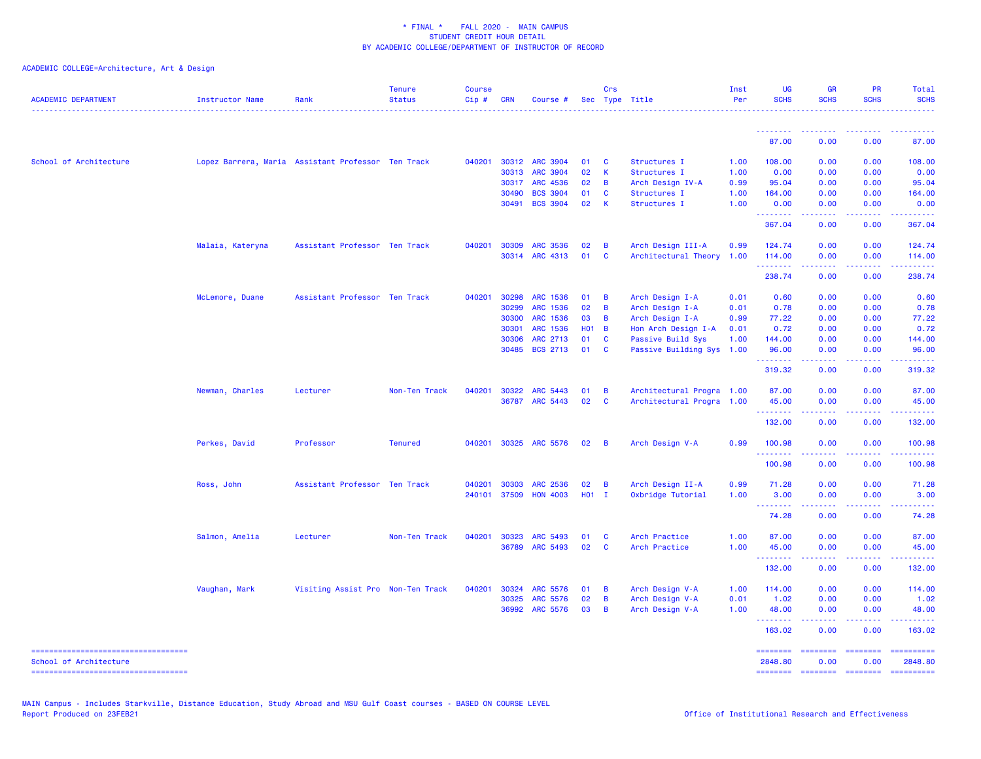| <b>ACADEMIC DEPARTMENT</b>             | Instructor Name  | Rank                                               | <b>Tenure</b><br><b>Status</b> | <b>Course</b><br>$Cip$ # | <b>CRN</b>     | Course #                           |          | Crs                     | Sec Type Title                     | Inst<br>Per  | <b>UG</b><br><b>SCHS</b> | <b>GR</b><br><b>SCHS</b>                                                                                                                                     | <b>PR</b><br><b>SCHS</b>            | Total<br><b>SCHS</b><br><u>.</u>                         |
|----------------------------------------|------------------|----------------------------------------------------|--------------------------------|--------------------------|----------------|------------------------------------|----------|-------------------------|------------------------------------|--------------|--------------------------|--------------------------------------------------------------------------------------------------------------------------------------------------------------|-------------------------------------|----------------------------------------------------------|
|                                        |                  |                                                    |                                |                          |                |                                    |          |                         |                                    |              | .                        |                                                                                                                                                              |                                     |                                                          |
|                                        |                  |                                                    |                                |                          |                |                                    |          |                         |                                    |              | 87.00                    | 0.00                                                                                                                                                         | 0.00                                | 87.00                                                    |
| School of Architecture                 |                  | Lopez Barrera, Maria Assistant Professor Ten Track |                                | 040201                   | 30312          | <b>ARC 3904</b>                    | 01       | <b>C</b>                | Structures I                       | 1.00         | 108.00                   | 0.00                                                                                                                                                         | 0.00                                | 108.00                                                   |
|                                        |                  |                                                    |                                |                          | 30313          | <b>ARC 3904</b>                    | 02       | $\overline{\mathbf{K}}$ | Structures I                       | 1.00         | 0.00                     | 0.00                                                                                                                                                         | 0.00                                | 0.00                                                     |
|                                        |                  |                                                    |                                |                          | 30317          | ARC 4536                           | 02       | $\overline{B}$          | Arch Design IV-A                   | 0.99         | 95.04                    | 0.00                                                                                                                                                         | 0.00                                | 95.04                                                    |
|                                        |                  |                                                    |                                |                          | 30490          | <b>BCS 3904</b>                    | 01       | C                       | Structures I                       | 1.00         | 164.00                   | 0.00                                                                                                                                                         | 0.00                                | 164.00                                                   |
|                                        |                  |                                                    |                                |                          | 30491          | <b>BCS 3904</b>                    | 02       | $\mathsf{K}$            | Structures I                       | 1.00         | 0.00<br>.                | 0.00<br>.                                                                                                                                                    | 0.00<br>$\sim$ $\sim$ $\sim$ $\sim$ | 0.00<br>.                                                |
|                                        |                  |                                                    |                                |                          |                |                                    |          |                         |                                    |              | 367.04                   | 0.00                                                                                                                                                         | 0.00                                | 367.04                                                   |
|                                        | Malaia, Kateryna | Assistant Professor Ten Track                      |                                | 040201                   | 30309          | <b>ARC 3536</b>                    | 02       | $\overline{B}$          | Arch Design III-A                  | 0.99         | 124.74                   | 0.00                                                                                                                                                         | 0.00                                | 124.74                                                   |
|                                        |                  |                                                    |                                |                          | 30314          | ARC 4313                           | 01       | $\mathbf{C}$            | Architectural Theory               | 1.00         | 114.00                   | 0.00                                                                                                                                                         | 0.00                                | 114.00<br>2.2.2.2.2                                      |
|                                        |                  |                                                    |                                |                          |                |                                    |          |                         |                                    |              | <u>.</u><br>238.74       | .<br>0.00                                                                                                                                                    | $\omega$ is a $\omega$<br>0.00      | 238.74                                                   |
|                                        | McLemore, Duane  | Assistant Professor Ten Track                      |                                | 040201                   | 30298          | <b>ARC 1536</b>                    | 01       | $\overline{B}$          | Arch Design I-A                    | 0.01         | 0.60                     | 0.00                                                                                                                                                         | 0.00                                | 0.60                                                     |
|                                        |                  |                                                    |                                |                          | 30299          | ARC 1536                           | 02       | $\overline{B}$          | Arch Design I-A                    | 0.01         | 0.78                     | 0.00                                                                                                                                                         | 0.00                                | 0.78                                                     |
|                                        |                  |                                                    |                                |                          | 30300          | ARC 1536                           | 03       | $\overline{B}$          | Arch Design I-A                    | 0.99         | 77.22                    | 0.00                                                                                                                                                         | 0.00                                | 77.22                                                    |
|                                        |                  |                                                    |                                |                          | 30301          | ARC 1536                           | $H01$ B  |                         | Hon Arch Design I-A                | 0.01         | 0.72                     | 0.00                                                                                                                                                         | 0.00                                | 0.72                                                     |
|                                        |                  |                                                    |                                |                          | 30306          | ARC 2713                           | 01       | $\mathbf{C}$            | Passive Build Sys                  | 1.00         | 144.00                   | 0.00                                                                                                                                                         | 0.00                                | 144.00                                                   |
|                                        |                  |                                                    |                                |                          | 30485          | <b>BCS 2713</b>                    | 01       | <b>C</b>                | Passive Building Sys 1.00          |              | 96.00<br><u>.</u>        | 0.00                                                                                                                                                         | 0.00                                | 96.00                                                    |
|                                        |                  |                                                    |                                |                          |                |                                    |          |                         |                                    |              | 319.32                   | 0.00                                                                                                                                                         | 0.00                                | 319.32                                                   |
|                                        | Newman, Charles  | Lecturer                                           | Non-Ten Track                  | 040201                   | 30322          | ARC 5443                           | 01       | $\overline{B}$          | Architectural Progra 1.00          |              | 87.00                    | 0.00                                                                                                                                                         | 0.00                                | 87.00                                                    |
|                                        |                  |                                                    |                                |                          |                | 36787 ARC 5443                     | 02       | $\mathbf{C}$            | Architectural Progra 1.00          |              | 45.00                    | 0.00                                                                                                                                                         | 0.00                                | 45.00                                                    |
|                                        |                  |                                                    |                                |                          |                |                                    |          |                         |                                    |              | .<br>132.00              | 0.00                                                                                                                                                         | 0.00                                | 132.00                                                   |
|                                        | Perkes, David    | Professor                                          | <b>Tenured</b>                 | 040201                   |                | 30325 ARC 5576                     | 02       | $\overline{B}$          | Arch Design V-A                    | 0.99         | 100.98                   | 0.00                                                                                                                                                         | 0.00                                | 100.98                                                   |
|                                        |                  |                                                    |                                |                          |                |                                    |          |                         |                                    |              | .<br>100.98              | 0.00                                                                                                                                                         | $\omega$ is a $\omega$<br>0.00      | .<br>100.98                                              |
|                                        | Ross, John       | Assistant Professor Ten Track                      |                                | 040201                   | 30303          | <b>ARC 2536</b>                    | 02       | $\overline{B}$          | Arch Design II-A                   | 0.99         | 71.28                    | 0.00                                                                                                                                                         | 0.00                                | 71.28                                                    |
|                                        |                  |                                                    |                                | 240101                   | 37509          | <b>HON 4003</b>                    | $H01$ I  |                         | Oxbridge Tutorial                  | 1.00         | 3.00                     | 0.00                                                                                                                                                         | 0.00                                | 3.00                                                     |
|                                        |                  |                                                    |                                |                          |                |                                    |          |                         |                                    |              | <b></b><br>74.28         | .<br>0.00                                                                                                                                                    | 0.00                                | .<br>74.28                                               |
|                                        | Salmon, Amelia   | Lecturer                                           | Non-Ten Track                  | 040201                   | 30323          | <b>ARC 5493</b>                    | 01       | - C                     | Arch Practice                      | 1.00         | 87.00                    | 0.00                                                                                                                                                         | 0.00                                | 87.00                                                    |
|                                        |                  |                                                    |                                |                          | 36789          | <b>ARC 5493</b>                    | 02       | <b>C</b>                | Arch Practice                      | 1.00         | 45.00                    | 0.00                                                                                                                                                         | 0.00                                | 45.00                                                    |
|                                        |                  |                                                    |                                |                          |                |                                    |          |                         |                                    |              | .<br>132.00              | $\frac{1}{2} \left( \frac{1}{2} \right) \left( \frac{1}{2} \right) \left( \frac{1}{2} \right) \left( \frac{1}{2} \right) \left( \frac{1}{2} \right)$<br>0.00 | . <b>.</b><br>0.00                  | 132.00                                                   |
|                                        |                  |                                                    |                                |                          |                |                                    |          |                         |                                    |              |                          |                                                                                                                                                              |                                     | 114.00                                                   |
|                                        | Vaughan, Mark    | Visiting Assist Pro Non-Ten Track                  |                                | 040201                   | 30324<br>30325 | <b>ARC 5576</b><br><b>ARC 5576</b> | 01<br>02 | $\overline{B}$<br>B     | Arch Design V-A<br>Arch Design V-A | 1.00<br>0.01 | 114.00<br>1.02           | 0.00<br>0.00                                                                                                                                                 | 0.00<br>0.00                        | 1.02                                                     |
|                                        |                  |                                                    |                                |                          |                | 36992 ARC 5576                     | 03       | $\overline{B}$          | Arch Design V-A                    | 1.00         | 48.00                    | 0.00                                                                                                                                                         | 0.00                                | 48.00                                                    |
|                                        |                  |                                                    |                                |                          |                |                                    |          |                         |                                    |              | <u>.</u><br>163.02       | .<br>0.00                                                                                                                                                    | .<br>0.00                           | <b><i><u><u><b>a</b></u></u> a a a a a</i></b><br>163.02 |
| ----------------------------------     |                  |                                                    |                                |                          |                |                                    |          |                         |                                    |              | ========                 | ========                                                                                                                                                     | ========                            | ==========                                               |
| School of Architecture                 |                  |                                                    |                                |                          |                |                                    |          |                         |                                    |              | 2848.80                  | 0.00                                                                                                                                                         | 0.00                                | 2848.80                                                  |
| ====================================== |                  |                                                    |                                |                          |                |                                    |          |                         |                                    |              | <b>SESSESSE</b>          | $=$ ========                                                                                                                                                 | ---------                           | ==========                                               |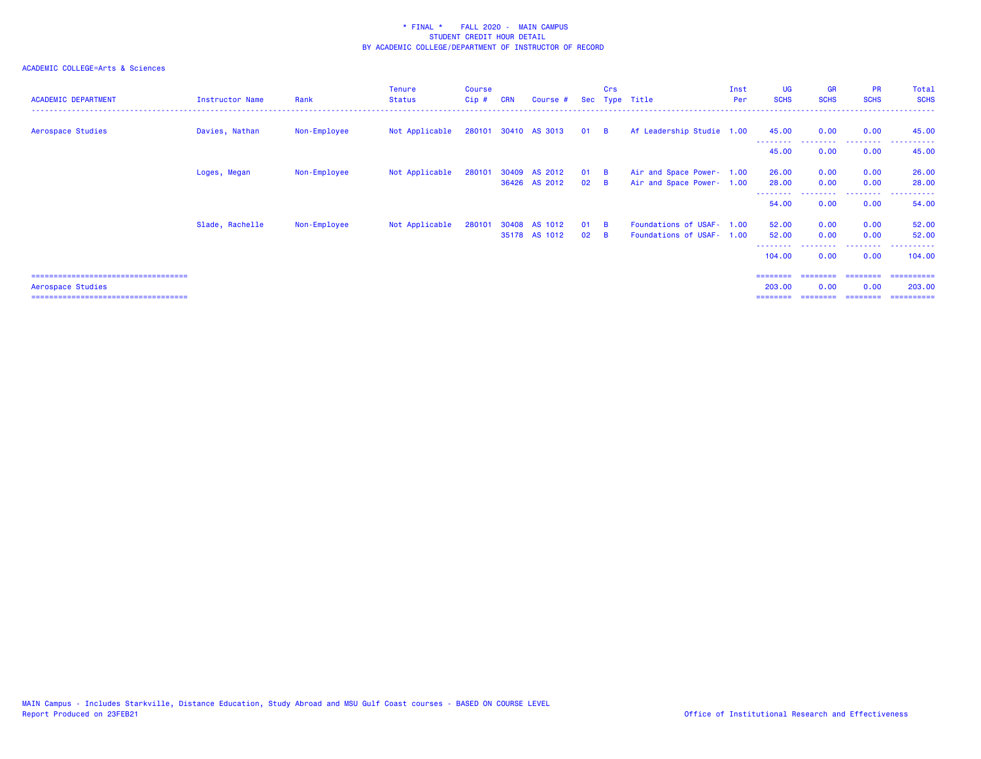## ACADEMIC COLLEGE=Arts & Sciences

| <b>ACADEMIC DEPARTMENT</b>            | Instructor Name | Rank         | <b>Tenure</b><br><b>Status</b> | Course<br>$Cip$ # | <b>CRN</b> | Course #                |              | Crs      | Sec Type Title            | Inst<br>Per | <b>UG</b><br><b>SCHS</b> | <b>GR</b><br><b>SCHS</b> | <b>PR</b><br><b>SCHS</b> | Total<br><b>SCHS</b> |
|---------------------------------------|-----------------|--------------|--------------------------------|-------------------|------------|-------------------------|--------------|----------|---------------------------|-------------|--------------------------|--------------------------|--------------------------|----------------------|
| Aerospace Studies                     | Davies, Nathan  | Non-Employee | Not Applicable                 |                   |            | 280101 30410 AS 3013 01 |              | <b>B</b> | Af Leadership Studie 1.00 |             | 45.00                    | 0.00                     | 0.00                     | 45.00                |
|                                       |                 |              |                                |                   |            |                         |              |          |                           |             | 45.00                    | 0.00                     | 0.00                     | 45.00                |
|                                       | Loges, Megan    | Non-Employee | Not Applicable                 | 280101            |            | 30409 AS 2012           | $01 \quad B$ |          | Air and Space Power- 1.00 |             | 26.00                    | 0.00                     | 0.00                     | 26.00                |
|                                       |                 |              |                                |                   |            | 36426 AS 2012           | 02           | <b>B</b> | Air and Space Power- 1.00 |             | 28.00                    | 0.00                     | 0.00                     | 28.00                |
|                                       |                 |              |                                |                   |            |                         |              |          |                           |             | 54.00                    | 0.00                     | 0.00                     | 54.00                |
|                                       | Slade, Rachelle | Non-Employee | Not Applicable                 | 280101            |            | 30408 AS 1012           | $01$ B       |          | Foundations of USAF- 1.00 |             | 52.00                    | 0.00                     | 0.00                     | 52.00                |
|                                       |                 |              |                                |                   |            | 35178 AS 1012           | $02 \quad B$ |          | Foundations of USAF- 1.00 |             | 52.00                    | 0.00                     | 0.00                     | 52.00                |
|                                       |                 |              |                                |                   |            |                         |              |          |                           |             | 104.00                   | 0.00                     | 0.00                     | 104.00               |
| ------------------------------------- |                 |              |                                |                   |            |                         |              |          |                           |             |                          |                          |                          | =========            |

Aerospace Studies 203.00 0.00 0.00 203.00

=================================== ======== ======== ======== ==========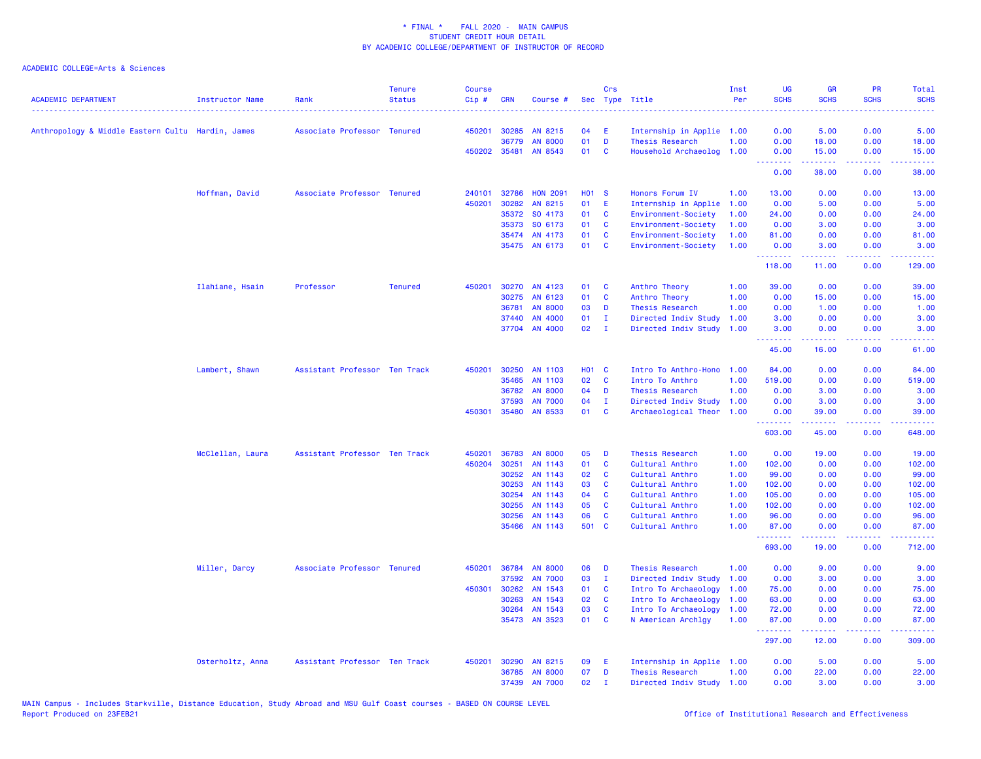| <b>ACADEMIC DEPARTMENT</b>                        | Instructor Name  | Rank                          | <b>Tenure</b><br><b>Status</b> | <b>Course</b><br>Cip# | <b>CRN</b>   | Course #                 |                   | Crs          | Sec Type Title                     | Inst<br>Per  | <b>UG</b><br><b>SCHS</b>        | <b>GR</b><br><b>SCHS</b>                                                                                                                                      | PR<br><b>SCHS</b> | Total<br><b>SCHS</b>                                                                                                              |
|---------------------------------------------------|------------------|-------------------------------|--------------------------------|-----------------------|--------------|--------------------------|-------------------|--------------|------------------------------------|--------------|---------------------------------|---------------------------------------------------------------------------------------------------------------------------------------------------------------|-------------------|-----------------------------------------------------------------------------------------------------------------------------------|
| Anthropology & Middle Eastern Cultu Hardin, James |                  | Associate Professor Tenured   |                                | 450201                | 30285        | AN 8215                  | 04                | -E           | Internship in Applie 1.00          |              | 0.00                            | 5.00                                                                                                                                                          | 0.00              | 5.00                                                                                                                              |
|                                                   |                  |                               |                                |                       | 36779        | <b>AN 8000</b>           | 01                | D            | <b>Thesis Research</b>             | 1.00         | 0.00                            | 18.00                                                                                                                                                         | 0.00              | 18.00                                                                                                                             |
|                                                   |                  |                               |                                |                       | 450202 35481 | AN 8543                  | 01                | <b>C</b>     | Household Archaeolog 1.00          |              | 0.00                            | 15.00                                                                                                                                                         | 0.00              | 15.00                                                                                                                             |
|                                                   |                  |                               |                                |                       |              |                          |                   |              |                                    |              | <u> - - - - - - - -</u><br>0.00 | .<br>38.00                                                                                                                                                    | .<br>0.00         | د د د د د<br>38.00                                                                                                                |
|                                                   | Hoffman, David   | Associate Professor Tenured   |                                | 240101                | 32786        | <b>HON 2091</b>          | <b>HO1 S</b>      |              | Honors Forum IV                    | 1.00         | 13.00                           | 0.00                                                                                                                                                          | 0.00              | 13.00                                                                                                                             |
|                                                   |                  |                               |                                | 450201                | 30282        | AN 8215                  | 01                | -E           | Internship in Applie               | 1.00         | 0.00                            | 5.00                                                                                                                                                          | 0.00              | 5.00                                                                                                                              |
|                                                   |                  |                               |                                |                       | 35372        | SO 4173                  | 01                | $\mathbf{C}$ | Environment-Society                | 1.00         | 24.00                           | 0.00                                                                                                                                                          | 0.00              | 24.00                                                                                                                             |
|                                                   |                  |                               |                                |                       | 35373        | SO 6173                  | 01                | $\mathbf{C}$ | Environment-Society                | 1.00         | 0.00                            | 3.00                                                                                                                                                          | 0.00              | 3.00                                                                                                                              |
|                                                   |                  |                               |                                |                       | 35474        | AN 4173                  | 01                | <b>C</b>     | Environment-Society                | 1.00         | 81.00                           | 0.00                                                                                                                                                          | 0.00              | 81.00                                                                                                                             |
|                                                   |                  |                               |                                |                       |              | 35475 AN 6173            | 01                | <b>C</b>     | Environment-Society                | 1.00         | 0.00<br>.                       | 3.00                                                                                                                                                          | 0.00<br>ولالات    | 3.00<br>.                                                                                                                         |
|                                                   |                  |                               |                                |                       |              |                          |                   |              |                                    |              | 118.00                          | 11.00                                                                                                                                                         | 0.00              | 129.00                                                                                                                            |
|                                                   | Ilahiane, Hsain  | Professor                     | <b>Tenured</b>                 | 450201                |              | 30270 AN 4123            | 01                | <b>C</b>     | Anthro Theory                      | 1.00         | 39.00                           | 0.00                                                                                                                                                          | 0.00              | 39.00                                                                                                                             |
|                                                   |                  |                               |                                |                       | 30275        | AN 6123                  | 01                | <b>C</b>     | Anthro Theory                      | 1.00         | 0.00                            | 15.00                                                                                                                                                         | 0.00              | 15.00                                                                                                                             |
|                                                   |                  |                               |                                |                       | 36781        | <b>AN 8000</b>           | 03                | D            | Thesis Research                    | 1.00         | 0.00                            | 1.00                                                                                                                                                          | 0.00              | 1.00                                                                                                                              |
|                                                   |                  |                               |                                |                       | 37440        | AN 4000                  | 01                | $\mathbf{I}$ | Directed Indiv Study               | 1.00         | 3.00                            | 0.00                                                                                                                                                          | 0.00              | 3.00                                                                                                                              |
|                                                   |                  |                               |                                |                       |              | 37704 AN 4000            | 02                | $\mathbf{I}$ | Directed Indiv Study               | 1.00         | 3.00<br>--------                | 0.00<br>2.2.2.2.2                                                                                                                                             | 0.00<br>.         | 3.00<br>$\frac{1}{2} \left( \frac{1}{2} \right) \left( \frac{1}{2} \right) \left( \frac{1}{2} \right) \left( \frac{1}{2} \right)$ |
|                                                   |                  |                               |                                |                       |              |                          |                   |              |                                    |              | 45.00                           | 16.00                                                                                                                                                         | 0.00              | 61.00                                                                                                                             |
|                                                   | Lambert, Shawn   | Assistant Professor Ten Track |                                | 450201                | 30250        | AN 1103                  | H <sub>01</sub> C |              | Intro To Anthro-Hono               | 1.00         | 84.00                           | 0.00                                                                                                                                                          | 0.00              | 84.00                                                                                                                             |
|                                                   |                  |                               |                                |                       | 35465        | AN 1103                  | 02                | <b>C</b>     | Intro To Anthro                    | 1.00         | 519.00                          | 0.00                                                                                                                                                          | 0.00              | 519.00                                                                                                                            |
|                                                   |                  |                               |                                |                       | 36782        | <b>AN 8000</b>           | 04                | D            | Thesis Research                    | 1.00         | 0.00                            | 3.00                                                                                                                                                          | 0.00              | 3.00                                                                                                                              |
|                                                   |                  |                               |                                |                       | 37593        | <b>AN 7000</b>           | 04                | $\mathbf{I}$ | Directed Indiv Study 1.00          |              | 0.00                            | 3.00                                                                                                                                                          | 0.00              | 3.00                                                                                                                              |
|                                                   |                  |                               |                                | 450301                | 35480        | AN 8533                  | 01                | $\mathbf{C}$ | Archaeological Theor               | 1.00         | 0.00<br>.                       | 39.00<br>2.2.2.2.2                                                                                                                                            | 0.00<br>.         | 39.00<br>.                                                                                                                        |
|                                                   |                  |                               |                                |                       |              |                          |                   |              |                                    |              | 603.00                          | 45.00                                                                                                                                                         | 0.00              | 648.00                                                                                                                            |
|                                                   | McClellan, Laura | Assistant Professor Ten Track |                                | 450201                | 36783        | <b>AN 8000</b>           | 05                | D            | Thesis Research                    | 1.00         | 0.00                            | 19.00                                                                                                                                                         | 0.00              | 19.00                                                                                                                             |
|                                                   |                  |                               |                                | 450204                | 30251        | AN 1143                  | 01                | <b>C</b>     | Cultural Anthro                    | 1.00         | 102.00                          | 0.00                                                                                                                                                          | 0.00              | 102.00                                                                                                                            |
|                                                   |                  |                               |                                |                       | 30252        | AN 1143                  | 02                | $\mathbf{C}$ | Cultural Anthro                    | 1.00         | 99.00                           | 0.00                                                                                                                                                          | 0.00              | 99.00                                                                                                                             |
|                                                   |                  |                               |                                |                       | 30253        | AN 1143                  | 03                | $\mathbf{C}$ | Cultural Anthro                    | 1.00         | 102.00                          | 0.00                                                                                                                                                          | 0.00              | 102.00                                                                                                                            |
|                                                   |                  |                               |                                |                       | 30254        | AN 1143                  | 04                | <b>C</b>     | Cultural Anthro                    | 1.00         | 105.00                          | 0.00                                                                                                                                                          | 0.00              | 105.00                                                                                                                            |
|                                                   |                  |                               |                                |                       | 30255        | AN 1143                  | 05                | $\mathbf{C}$ | Cultural Anthro                    | 1.00         | 102.00                          | 0.00                                                                                                                                                          | 0.00              | 102.00                                                                                                                            |
|                                                   |                  |                               |                                |                       | 30256        | AN 1143<br>35466 AN 1143 | 06<br>501 C       | <b>C</b>     | Cultural Anthro<br>Cultural Anthro | 1.00<br>1.00 | 96.00<br>87.00                  | 0.00<br>0.00                                                                                                                                                  | 0.00<br>0.00      | 96.00<br>87.00                                                                                                                    |
|                                                   |                  |                               |                                |                       |              |                          |                   |              |                                    |              | .<br>693.00                     | $\frac{1}{2} \left( \frac{1}{2} \right) \left( \frac{1}{2} \right) \left( \frac{1}{2} \right) \left( \frac{1}{2} \right) \left( \frac{1}{2} \right)$<br>19.00 | .<br>0.00         | 222222<br>712.00                                                                                                                  |
|                                                   | Miller, Darcy    | Associate Professor Tenured   |                                | 450201                | 36784        | <b>AN 8000</b>           | 06                | D            | Thesis Research                    | 1.00         | 0.00                            | 9.00                                                                                                                                                          | 0.00              | 9.00                                                                                                                              |
|                                                   |                  |                               |                                |                       | 37592        | <b>AN 7000</b>           | 03                | $\mathbf{I}$ | Directed Indiv Study               | 1.00         | 0.00                            | 3.00                                                                                                                                                          | 0.00              | 3.00                                                                                                                              |
|                                                   |                  |                               |                                | 450301                | 30262        | AN 1543                  | 01                | $\mathbf{C}$ | Intro To Archaeology               | 1.00         | 75.00                           | 0.00                                                                                                                                                          | 0.00              | 75.00                                                                                                                             |
|                                                   |                  |                               |                                |                       | 30263        | AN 1543                  | 02                | <b>C</b>     | Intro To Archaeology               | 1.00         | 63.00                           | 0.00                                                                                                                                                          | 0.00              | 63.00                                                                                                                             |
|                                                   |                  |                               |                                |                       | 30264        | AN 1543                  | 03                | C            | Intro To Archaeology               | 1.00         | 72.00                           | 0.00                                                                                                                                                          | 0.00              | 72.00                                                                                                                             |
|                                                   |                  |                               |                                |                       |              | 35473 AN 3523            | 01                | $\mathbf{C}$ | N American Archlgy                 | 1.00         | 87.00                           | 0.00                                                                                                                                                          | 0.00              | 87.00                                                                                                                             |
|                                                   |                  |                               |                                |                       |              |                          |                   |              |                                    |              | .<br>297.00                     | 22222<br>12.00                                                                                                                                                | .<br>0.00         | .<br>309.00                                                                                                                       |
|                                                   | Osterholtz, Anna | Assistant Professor Ten Track |                                | 450201                | 30290        | AN 8215                  | 09                | E            | Internship in Applie 1.00          |              | 0.00                            | 5.00                                                                                                                                                          | 0.00              | 5.00                                                                                                                              |
|                                                   |                  |                               |                                |                       | 36785        | <b>AN 8000</b>           | 07                | D            | Thesis Research                    | 1.00         | 0.00                            | 22.00                                                                                                                                                         | 0.00              | 22.00                                                                                                                             |
|                                                   |                  |                               |                                |                       | 37439        | <b>AN 7000</b>           | 02                | $\mathbf{T}$ | Directed Indiv Study 1.00          |              | 0.00                            | 3.00                                                                                                                                                          | 0.00              | 3.00                                                                                                                              |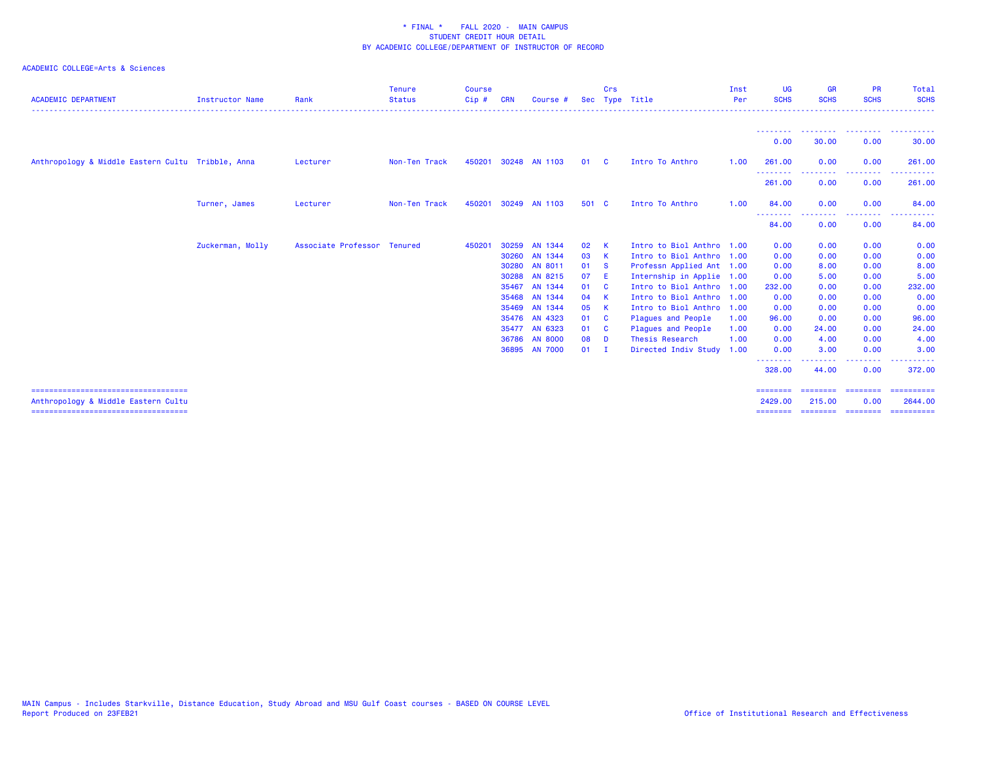| <b>ACADEMIC DEPARTMENT</b>                        | <b>Instructor Name</b> | Rank                        | <b>Tenure</b><br><b>Status</b> | <b>Course</b><br>$Cip$ # | <b>CRN</b> | Course #       |       | Crs          | Sec Type Title            | Inst<br><b>Per</b> | UG<br><b>SCHS</b>          | <b>GR</b><br><b>SCHS</b> | <b>PR</b><br><b>SCHS</b> | Total<br><b>SCHS</b>                                                                                                                                                                                                                                                                                                                                                                                                                                                                              |
|---------------------------------------------------|------------------------|-----------------------------|--------------------------------|--------------------------|------------|----------------|-------|--------------|---------------------------|--------------------|----------------------------|--------------------------|--------------------------|---------------------------------------------------------------------------------------------------------------------------------------------------------------------------------------------------------------------------------------------------------------------------------------------------------------------------------------------------------------------------------------------------------------------------------------------------------------------------------------------------|
|                                                   |                        |                             |                                |                          |            |                |       |              |                           |                    |                            |                          |                          |                                                                                                                                                                                                                                                                                                                                                                                                                                                                                                   |
|                                                   |                        |                             |                                |                          |            |                |       |              |                           |                    | --------<br>0.00           | .<br>30.00               | .<br>0.00                | .<br>30.00                                                                                                                                                                                                                                                                                                                                                                                                                                                                                        |
| Anthropology & Middle Eastern Cultu Tribble, Anna |                        | Lecturer                    | Non-Ten Track                  | 450201                   |            | 30248 AN 1103  | 01    | <b>C</b>     | Intro To Anthro           | 1.00               | 261,00<br>--------         | 0.00                     | 0.00<br>.                | 261,00<br>. <u>.</u> .                                                                                                                                                                                                                                                                                                                                                                                                                                                                            |
|                                                   |                        |                             |                                |                          |            |                |       |              |                           |                    | 261.00                     | 0.00                     | 0.00                     | 261.00                                                                                                                                                                                                                                                                                                                                                                                                                                                                                            |
|                                                   | Turner, James          | Lecturer                    | Non-Ten Track                  | 450201                   |            | 30249 AN 1103  | 501 C |              | Intro To Anthro           | 1.00               | 84.00<br>---<br>. <u>.</u> | 0.00                     | 0.00                     | 84.00                                                                                                                                                                                                                                                                                                                                                                                                                                                                                             |
|                                                   |                        |                             |                                |                          |            |                |       |              |                           |                    | 84.00                      | 0.00                     | 0.00                     | 84.00                                                                                                                                                                                                                                                                                                                                                                                                                                                                                             |
|                                                   | Zuckerman, Molly       | Associate Professor Tenured |                                | 450201                   | 30259      | AN 1344        | 02    | $\mathbf{K}$ | Intro to Biol Anthro 1.00 |                    | 0.00                       | 0.00                     | 0.00                     | 0.00                                                                                                                                                                                                                                                                                                                                                                                                                                                                                              |
|                                                   |                        |                             |                                |                          |            | 30260 AN 1344  | 03    | - K          | Intro to Biol Anthro 1.00 |                    | 0.00                       | 0.00                     | 0.00                     | 0.00                                                                                                                                                                                                                                                                                                                                                                                                                                                                                              |
|                                                   |                        |                             |                                |                          | 30280      | AN 8011        | 01    | - S          | Professn Applied Ant 1.00 |                    | 0.00                       | 8.00                     | 0.00                     | 8.00                                                                                                                                                                                                                                                                                                                                                                                                                                                                                              |
|                                                   |                        |                             |                                |                          | 30288      | AN 8215        | 07    | - E          | Internship in Applie 1.00 |                    | 0.00                       | 5.00                     | 0.00                     | 5.00                                                                                                                                                                                                                                                                                                                                                                                                                                                                                              |
|                                                   |                        |                             |                                |                          | 35467      | AN 1344        | 01    | $\mathbf{C}$ | Intro to Biol Anthro 1.00 |                    | 232.00                     | 0.00                     | 0.00                     | 232.00                                                                                                                                                                                                                                                                                                                                                                                                                                                                                            |
|                                                   |                        |                             |                                |                          | 35468      | AN 1344        | 04    | - к          | Intro to Biol Anthro 1.00 |                    | 0.00                       | 0.00                     | 0.00                     | 0.00                                                                                                                                                                                                                                                                                                                                                                                                                                                                                              |
|                                                   |                        |                             |                                |                          | 35469      | AN 1344        | 05    | - к          | Intro to Biol Anthro      | 1.00               | 0.00                       | 0.00                     | 0.00                     | 0.00                                                                                                                                                                                                                                                                                                                                                                                                                                                                                              |
|                                                   |                        |                             |                                |                          |            | 35476 AN 4323  | 01    | <b>C</b>     | Plagues and People        | 1.00               | 96.00                      | 0.00                     | 0.00                     | 96.00                                                                                                                                                                                                                                                                                                                                                                                                                                                                                             |
|                                                   |                        |                             |                                |                          |            | 35477 AN 6323  | 01 C  |              | Plagues and People        | 1.00               | 0.00                       | 24.00                    | 0.00                     | 24.00                                                                                                                                                                                                                                                                                                                                                                                                                                                                                             |
|                                                   |                        |                             |                                |                          | 36786      | <b>AN 8000</b> | 08    | - D          | Thesis Research           | 1.00               | 0.00                       | 4.00                     | 0.00                     | 4.00                                                                                                                                                                                                                                                                                                                                                                                                                                                                                              |
|                                                   |                        |                             |                                |                          |            | 36895 AN 7000  | 01    | $\mathbf{I}$ | Directed Indiv Study      | 1.00               | 0.00<br>--------           | 3.00                     | 0.00<br>.                | 3.00                                                                                                                                                                                                                                                                                                                                                                                                                                                                                              |
|                                                   |                        |                             |                                |                          |            |                |       |              |                           |                    | 328.00                     | 44.00                    | 0.00                     | 372.00                                                                                                                                                                                                                                                                                                                                                                                                                                                                                            |
| Anthropology & Middle Eastern Cultu               |                        |                             |                                |                          |            |                |       |              |                           |                    | ========<br>2429,00        | ========<br>215.00       | ---------<br>0.00        | $\begin{array}{cccccccccc} \multicolumn{2}{c}{} & \multicolumn{2}{c}{} & \multicolumn{2}{c}{} & \multicolumn{2}{c}{} & \multicolumn{2}{c}{} & \multicolumn{2}{c}{} & \multicolumn{2}{c}{} & \multicolumn{2}{c}{} & \multicolumn{2}{c}{} & \multicolumn{2}{c}{} & \multicolumn{2}{c}{} & \multicolumn{2}{c}{} & \multicolumn{2}{c}{} & \multicolumn{2}{c}{} & \multicolumn{2}{c}{} & \multicolumn{2}{c}{} & \multicolumn{2}{c}{} & \multicolumn{2}{c}{} & \multicolumn{2}{c}{} & \mult$<br>2644.00 |
| =====================================             |                        |                             |                                |                          |            |                |       |              |                           |                    | ========                   | ========                 | ---------                | ==========                                                                                                                                                                                                                                                                                                                                                                                                                                                                                        |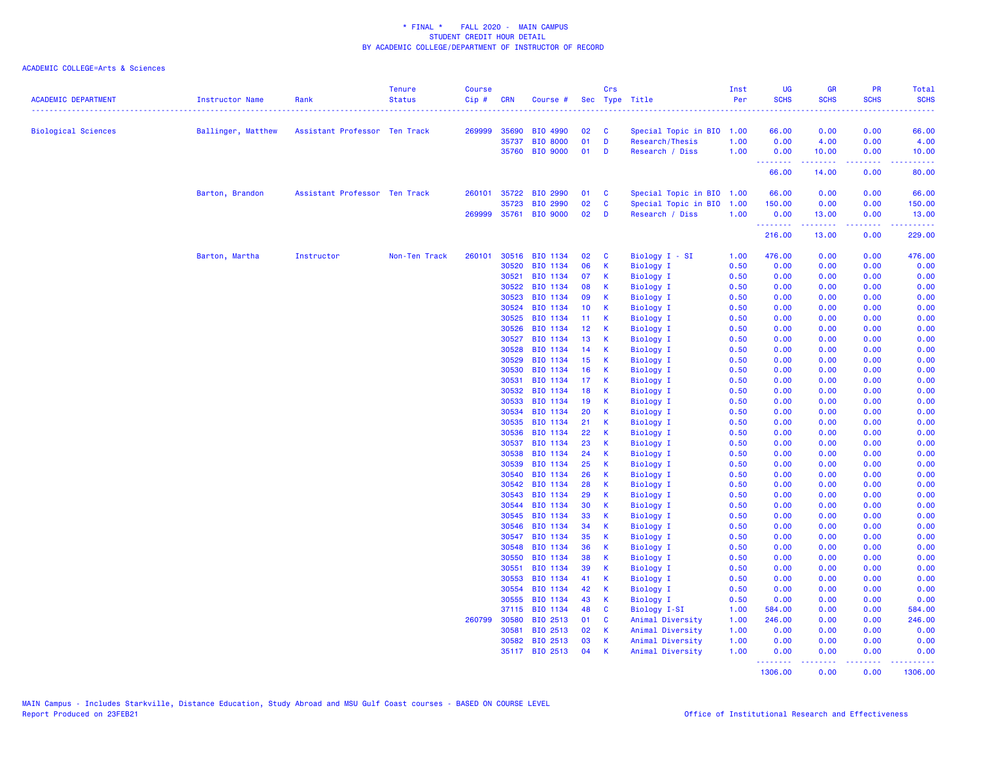| <b>ACADEMIC DEPARTMENT</b> | Instructor Name    | Rank                          | <b>Tenure</b><br><b>Status</b> | <b>Course</b><br>Cip# | CRN            | Course #              |                 | Crs                          | Sec Type Title                       | Inst<br>Per  | <b>UG</b><br><b>SCHS</b> | <b>GR</b><br><b>SCHS</b> | PR<br><b>SCHS</b> | Total<br><b>SCHS</b> |
|----------------------------|--------------------|-------------------------------|--------------------------------|-----------------------|----------------|-----------------------|-----------------|------------------------------|--------------------------------------|--------------|--------------------------|--------------------------|-------------------|----------------------|
|                            |                    |                               |                                |                       |                |                       |                 |                              |                                      |              |                          | .                        | $-2 - 2 - 2 - 2$  | .                    |
| Biological Sciences        | Ballinger, Matthew | Assistant Professor Ten Track |                                | 269999                | 35690          | BIO 4990              | 02              | $\mathbf{c}$                 | Special Topic in BIO 1.00            |              | 66.00                    | 0.00                     | 0.00              | 66.00                |
|                            |                    |                               |                                |                       | 35737          | <b>BIO 8000</b>       | 01              | D                            | Research/Thesis                      | 1.00         | 0.00                     | 4.00                     | 0.00              | 4.00                 |
|                            |                    |                               |                                |                       | 35760          | <b>BIO 9000</b>       | 01              | D                            | Research / Diss                      | 1.00         | 0.00<br>.                | 10.00<br>2.2.2.2         | 0.00<br>.         | 10.00                |
|                            |                    |                               |                                |                       |                |                       |                 |                              |                                      |              | 66.00                    | 14.00                    | 0.00              | 80.00                |
|                            | Barton, Brandon    | Assistant Professor Ten Track |                                |                       |                | 260101 35722 BIO 2990 | 01              | $\mathbf{C}$                 | Special Topic in BIO 1.00            |              | 66.00                    | 0.00                     | 0.00              | 66.00                |
|                            |                    |                               |                                |                       | 35723          | BIO 2990              | 02              | $\mathbf{C}$                 | Special Topic in BIO 1.00            |              | 150.00                   | 0.00                     | 0.00              | 150.00               |
|                            |                    |                               |                                |                       |                | 269999 35761 BIO 9000 | 02              | D                            | Research / Diss                      | 1.00         | 0.00<br>.                | 13.00<br>.               | 0.00<br>المستملة  | 13.00<br>بالمستمات   |
|                            |                    |                               |                                |                       |                |                       |                 |                              |                                      |              | 216.00                   | 13.00                    | 0.00              | 229.00               |
|                            | Barton, Martha     | Instructor                    | Non-Ten Track                  | 260101                | 30516          | BIO 1134              | 02              | <b>C</b>                     | Biology I - SI                       | 1.00         | 476.00                   | 0.00                     | 0.00              | 476.00               |
|                            |                    |                               |                                |                       | 30520          | BIO 1134              | 06              | $\mathsf K$                  | <b>Biology I</b>                     | 0.50         | 0.00                     | 0.00                     | 0.00              | 0.00                 |
|                            |                    |                               |                                |                       | 30521          | BIO 1134              | 07              | $\mathsf{K}$                 | Biology I                            | 0.50         | 0.00                     | 0.00                     | 0.00              | 0.00                 |
|                            |                    |                               |                                |                       | 30522          | BIO 1134              | 08              | $\mathsf K$                  | Biology I                            | 0.50         | 0.00                     | 0.00                     | 0.00              | 0.00                 |
|                            |                    |                               |                                |                       | 30523          | BIO 1134              | 09              | K                            | <b>Biology I</b>                     | 0.50         | 0.00                     | 0.00                     | 0.00              | 0.00                 |
|                            |                    |                               |                                |                       | 30524          | BIO 1134              | 10 <sub>1</sub> | $\mathbf{K}$                 | Biology I                            | 0.50         | 0.00                     | 0.00                     | 0.00              | 0.00                 |
|                            |                    |                               |                                |                       | 30525          | BIO 1134              | 11 <sub>1</sub> | $\mathsf{K}$                 | Biology I                            | 0.50         | 0.00                     | 0.00                     | 0.00              | 0.00                 |
|                            |                    |                               |                                |                       | 30526          | BIO 1134              | 12 <sub>1</sub> | - K                          | <b>Biology I</b>                     | 0.50         | 0.00                     | 0.00                     | 0.00              | 0.00                 |
|                            |                    |                               |                                |                       | 30527          | BIO 1134              | 13              | $\mathsf{K}$                 | Biology I                            | 0.50         | 0.00                     | 0.00                     | 0.00              | 0.00                 |
|                            |                    |                               |                                |                       | 30528          | BIO 1134              | 14              | $\mathbf{K}$                 | <b>Biology I</b>                     | 0.50         | 0.00                     | 0.00                     | 0.00              | 0.00                 |
|                            |                    |                               |                                |                       | 30529          | BIO 1134              | 15              | K                            | <b>Biology I</b>                     | 0.50         | 0.00                     | 0.00                     | 0.00              | 0.00                 |
|                            |                    |                               |                                |                       | 30530          | BIO 1134              | 16              | $\mathsf{K}$                 | <b>Biology I</b>                     | 0.50         | 0.00                     | 0.00                     | 0.00              | 0.00                 |
|                            |                    |                               |                                |                       | 30531          | BIO 1134              | 17 <sub>1</sub> | $\mathbf{K}$                 | <b>Biology I</b>                     | 0.50         | 0.00                     | 0.00                     | 0.00              | 0.00                 |
|                            |                    |                               |                                |                       | 30532          | BIO 1134              | 18              | K                            | Biology I                            | 0.50         | 0.00                     | 0.00                     | 0.00              | 0.00                 |
|                            |                    |                               |                                |                       | 30533          | BIO 1134              | 19              | $\mathsf{K}$                 | <b>Biology I</b>                     | 0.50         | 0.00                     | 0.00                     | 0.00              | 0.00                 |
|                            |                    |                               |                                |                       | 30534          | BIO 1134              | 20              | $\mathsf{K}$                 | <b>Biology I</b>                     | 0.50         | 0.00                     | 0.00                     | 0.00              | 0.00                 |
|                            |                    |                               |                                |                       | 30535          | BIO 1134              | 21              | $\mathsf{K}$                 | <b>Biology I</b>                     | 0.50         | 0.00                     | 0.00                     | 0.00              | 0.00                 |
|                            |                    |                               |                                |                       | 30536          | BIO 1134              | 22              | K                            | <b>Biology I</b>                     | 0.50         | 0.00                     | 0.00                     | 0.00              | 0.00                 |
|                            |                    |                               |                                |                       | 30537          | BIO 1134              | 23              | $\mathsf{K}$                 | Biology I                            | 0.50         | 0.00                     | 0.00                     | 0.00              | 0.00                 |
|                            |                    |                               |                                |                       | 30538          | BIO 1134              | 24              | $\mathsf{K}$                 | Biology I                            | 0.50         | 0.00                     | 0.00                     | 0.00              | 0.00                 |
|                            |                    |                               |                                |                       | 30539          | BIO 1134              | 25              | K                            | <b>Biology I</b>                     | 0.50         | 0.00                     | 0.00                     | 0.00              | 0.00                 |
|                            |                    |                               |                                |                       | 30540          | BIO 1134              | 26              | K                            | Biology I                            | 0.50         | 0.00                     | 0.00                     | 0.00              | 0.00                 |
|                            |                    |                               |                                |                       | 30542          | BIO 1134              | 28              | $\mathsf{K}$                 | <b>Biology I</b>                     | 0.50         | 0.00                     | 0.00                     | 0.00              | 0.00                 |
|                            |                    |                               |                                |                       | 30543          | BIO 1134              | 29              | К                            | <b>Biology I</b>                     | 0.50         | 0.00                     | 0.00                     | 0.00              | 0.00                 |
|                            |                    |                               |                                |                       | 30544          | BIO 1134              | 30              | $\mathsf{K}$                 | <b>Biology I</b>                     | 0.50         | 0.00                     | 0.00                     | 0.00              | 0.00                 |
|                            |                    |                               |                                |                       | 30545          | BIO 1134              | 33              | $\mathsf{K}$                 | <b>Biology I</b>                     | 0.50         | 0.00                     | 0.00                     | 0.00              | 0.00                 |
|                            |                    |                               |                                |                       | 30546          | BIO 1134              | 34              | $\mathsf{K}$                 | <b>Biology I</b>                     | 0.50         | 0.00                     | 0.00                     | 0.00              | 0.00                 |
|                            |                    |                               |                                |                       | 30547<br>30548 | BIO 1134<br>BIO 1134  | 35<br>36        | $\mathsf{K}$<br>$\mathsf{K}$ | Biology I                            | 0.50<br>0.50 | 0.00<br>0.00             | 0.00<br>0.00             | 0.00<br>0.00      | 0.00<br>0.00         |
|                            |                    |                               |                                |                       | 30550          | BIO 1134              | 38              | K                            | <b>Biology I</b>                     | 0.50         | 0.00                     | 0.00                     | 0.00              | 0.00                 |
|                            |                    |                               |                                |                       | 30551          | BIO 1134              | 39              | $\mathsf{K}$                 | <b>Biology I</b>                     | 0.50         | 0.00                     | 0.00                     | 0.00              | 0.00                 |
|                            |                    |                               |                                |                       | 30553          | BIO 1134              | 41              | $\mathsf{K}$                 | Biology I                            | 0.50         | 0.00                     | 0.00                     | 0.00              |                      |
|                            |                    |                               |                                |                       |                |                       |                 |                              | <b>Biology I</b>                     |              |                          |                          |                   | 0.00                 |
|                            |                    |                               |                                |                       | 30554<br>30555 | BIO 1134<br>BIO 1134  | 42<br>43        | <b>K</b><br>$\mathsf{K}$     | <b>Biology I</b><br><b>Biology I</b> | 0.50<br>0.50 | 0.00<br>0.00             | 0.00<br>0.00             | 0.00<br>0.00      | 0.00<br>0.00         |
|                            |                    |                               |                                |                       | 37115          | BIO 1134              | 48              | $\mathbf{C}$                 | Biology I-SI                         | 1.00         | 584.00                   | 0.00                     | 0.00              | 584.00               |
|                            |                    |                               |                                | 260799                | 30580          | BIO 2513              | 01              | <b>C</b>                     | Animal Diversity                     | 1.00         | 246.00                   | 0.00                     | 0.00              | 246.00               |
|                            |                    |                               |                                |                       |                |                       | 02              |                              |                                      |              |                          |                          |                   |                      |
|                            |                    |                               |                                |                       | 30581<br>30582 | BIO 2513<br>BIO 2513  | 03              | $\mathsf{K}$<br>$\mathsf{K}$ | Animal Diversity                     | 1.00<br>1.00 | 0.00<br>0.00             | 0.00<br>0.00             | 0.00<br>0.00      | 0.00<br>0.00         |
|                            |                    |                               |                                |                       |                | 35117 BIO 2513        | 04              | $\mathsf{K}$                 | Animal Diversity<br>Animal Diversity | 1.00         | 0.00                     | 0.00                     | 0.00              | 0.00                 |
|                            |                    |                               |                                |                       |                |                       |                 |                              |                                      |              | .                        |                          |                   |                      |
|                            |                    |                               |                                |                       |                |                       |                 |                              |                                      |              | 1306.00                  | 0.00                     | 0.00              | 1306.00              |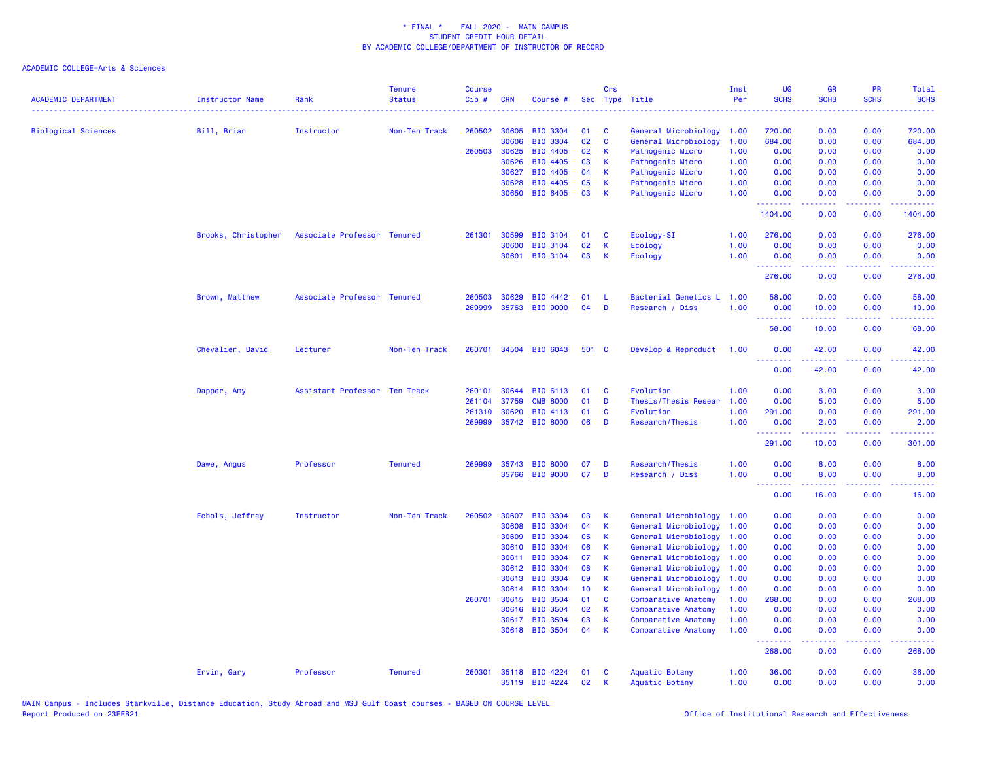| <b>ACADEMIC DEPARTMENT</b> | <b>Instructor Name</b> | Rank                          | <b>Tenure</b><br><b>Status</b> | <b>Course</b><br>Cip# | <b>CRN</b>            | Course #                           |                       | Crs               | Sec Type Title                              | Inst<br>Per  | <b>UG</b><br><b>SCHS</b>                                                                                                                                       | <b>GR</b><br><b>SCHS</b>                                                                                                                                      | PR<br><b>SCHS</b>                                                                                                                 | <b>Total</b><br><b>SCHS</b> |
|----------------------------|------------------------|-------------------------------|--------------------------------|-----------------------|-----------------------|------------------------------------|-----------------------|-------------------|---------------------------------------------|--------------|----------------------------------------------------------------------------------------------------------------------------------------------------------------|---------------------------------------------------------------------------------------------------------------------------------------------------------------|-----------------------------------------------------------------------------------------------------------------------------------|-----------------------------|
|                            |                        |                               |                                |                       |                       |                                    |                       |                   | .                                           |              |                                                                                                                                                                |                                                                                                                                                               |                                                                                                                                   |                             |
| <b>Biological Sciences</b> | Bill, Brian            | Instructor                    | Non-Ten Track                  | 260502                | 30605                 | <b>BIO 3304</b>                    | 01<br>02              | C<br>$\mathbf{C}$ | General Microbiology                        | 1.00         | 720.00                                                                                                                                                         | 0.00                                                                                                                                                          | 0.00                                                                                                                              | 720.00                      |
|                            |                        |                               |                                |                       | 30606<br>260503 30625 | <b>BIO 3304</b><br>BIO 4405        | 02                    | К                 | General Microbiology<br>Pathogenic Micro    | 1.00<br>1.00 | 684.00<br>0.00                                                                                                                                                 | 0.00<br>0.00                                                                                                                                                  | 0.00<br>0.00                                                                                                                      | 684.00<br>0.00              |
|                            |                        |                               |                                |                       | 30626                 | BIO 4405                           | 03                    | К                 | Pathogenic Micro                            | 1.00         | 0.00                                                                                                                                                           | 0.00                                                                                                                                                          | 0.00                                                                                                                              | 0.00                        |
|                            |                        |                               |                                |                       | 30627                 | BIO 4405                           | 04                    | K                 | Pathogenic Micro                            | 1.00         | 0.00                                                                                                                                                           | 0.00                                                                                                                                                          | 0.00                                                                                                                              | 0.00                        |
|                            |                        |                               |                                |                       | 30628                 | BIO 4405                           | 05                    | К                 | Pathogenic Micro                            | 1.00         | 0.00                                                                                                                                                           | 0.00                                                                                                                                                          | 0.00                                                                                                                              | 0.00                        |
|                            |                        |                               |                                |                       | 30650                 | BIO 6405                           | 03                    | $\mathsf{K}$      | Pathogenic Micro                            | 1.00         | 0.00                                                                                                                                                           | 0.00                                                                                                                                                          | 0.00                                                                                                                              | 0.00                        |
|                            |                        |                               |                                |                       |                       |                                    |                       |                   |                                             |              | د د د د<br>1404.00                                                                                                                                             | 0.00                                                                                                                                                          | $\sim$ $\sim$ $\sim$ $\sim$<br>0.00                                                                                               | 1404.00                     |
|                            | Brooks, Christopher    | Associate Professor Tenured   |                                | 261301                | 30599                 | <b>BIO 3104</b>                    | 01                    | C                 | Ecology-SI                                  | 1.00         | 276.00                                                                                                                                                         | 0.00                                                                                                                                                          | 0.00                                                                                                                              | 276.00                      |
|                            |                        |                               |                                |                       | 30600                 | <b>BIO 3104</b>                    | 02                    | K                 | Ecology                                     | 1.00         | 0.00                                                                                                                                                           | 0.00                                                                                                                                                          | 0.00                                                                                                                              | 0.00                        |
|                            |                        |                               |                                |                       | 30601                 | BIO 3104                           | 03                    | $\mathsf{K}$      | Ecology                                     | 1.00         | 0.00<br>.                                                                                                                                                      | 0.00                                                                                                                                                          | 0.00                                                                                                                              | 0.00                        |
|                            |                        |                               |                                |                       |                       |                                    |                       |                   |                                             |              | 276.00                                                                                                                                                         | 0.00                                                                                                                                                          | 0.00                                                                                                                              | 276.00                      |
|                            | Brown, Matthew         | Associate Professor Tenured   |                                | 260503                | 30629                 | BIO 4442                           | 01                    | -L                | Bacterial Genetics L                        | 1.00         | 58.00                                                                                                                                                          | 0.00                                                                                                                                                          | 0.00                                                                                                                              | 58.00                       |
|                            |                        |                               |                                | 269999                | 35763                 | <b>BIO 9000</b>                    | 04                    | D                 | Research / Diss                             | 1.00         | 0.00                                                                                                                                                           | 10.00                                                                                                                                                         | 0.00                                                                                                                              | 10.00                       |
|                            |                        |                               |                                |                       |                       |                                    |                       |                   |                                             |              | .<br>58.00                                                                                                                                                     | $\frac{1}{2} \left( \frac{1}{2} \right) \left( \frac{1}{2} \right) \left( \frac{1}{2} \right) \left( \frac{1}{2} \right) \left( \frac{1}{2} \right)$<br>10.00 | $\frac{1}{2} \left( \frac{1}{2} \right) \left( \frac{1}{2} \right) \left( \frac{1}{2} \right) \left( \frac{1}{2} \right)$<br>0.00 | .<br>68.00                  |
|                            | Chevalier, David       | Lecturer                      | Non-Ten Track                  | 260701                | 34504                 | <b>BIO 6043</b>                    | 501 C                 |                   | Develop & Reproduct                         | 1.00         | 0.00                                                                                                                                                           | 42.00                                                                                                                                                         | 0.00                                                                                                                              | 42.00                       |
|                            |                        |                               |                                |                       |                       |                                    |                       |                   |                                             |              | .<br>0.00                                                                                                                                                      | 42.00                                                                                                                                                         | 0.00                                                                                                                              | 42.00                       |
|                            | Dapper, Amy            | Assistant Professor Ten Track |                                | 260101                | 30644                 | BIO 6113                           | 01                    | C                 | Evolution                                   | 1.00         | 0.00                                                                                                                                                           | 3.00                                                                                                                                                          | 0.00                                                                                                                              | 3.00                        |
|                            |                        |                               |                                | 261104                | 37759                 | <b>CMB 8000</b>                    | 01                    | D                 | Thesis/Thesis Resear                        | 1.00         | 0.00                                                                                                                                                           | 5.00                                                                                                                                                          | 0.00                                                                                                                              | 5.00                        |
|                            |                        |                               |                                | 261310                | 30620                 | BIO 4113                           | 01                    | C                 | Evolution                                   | 1.00         | 291.00                                                                                                                                                         | 0.00                                                                                                                                                          | 0.00                                                                                                                              | 291.00                      |
|                            |                        |                               |                                | 269999                | 35742                 | <b>BIO 8000</b>                    | 06                    | D                 | Research/Thesis                             | 1.00         | 0.00                                                                                                                                                           | 2.00                                                                                                                                                          | 0.00                                                                                                                              | 2.00                        |
|                            |                        |                               |                                |                       |                       |                                    |                       |                   |                                             |              | .<br>291.00                                                                                                                                                    | 10.00                                                                                                                                                         | 0.00                                                                                                                              | 301.00                      |
|                            | Dawe, Angus            | Professor                     | <b>Tenured</b>                 | 269999                | 35743                 | <b>BIO 8000</b>                    | 07                    | D                 | Research/Thesis                             | 1.00         | 0.00                                                                                                                                                           | 8.00                                                                                                                                                          | 0.00                                                                                                                              | 8.00                        |
|                            |                        |                               |                                |                       | 35766                 | <b>BIO 9000</b>                    | 07                    | D                 | Research / Diss                             | 1.00         | 0.00                                                                                                                                                           | 8.00                                                                                                                                                          | 0.00                                                                                                                              | 8.00                        |
|                            |                        |                               |                                |                       |                       |                                    |                       |                   |                                             |              | <b></b><br>0.00                                                                                                                                                | $\frac{1}{2} \left( \frac{1}{2} \right) \left( \frac{1}{2} \right) \left( \frac{1}{2} \right) \left( \frac{1}{2} \right) \left( \frac{1}{2} \right)$<br>16.00 | $\frac{1}{2} \left( \frac{1}{2} \right) \left( \frac{1}{2} \right) \left( \frac{1}{2} \right)$<br>0.00                            | 16.00                       |
|                            | Echols, Jeffrey        | Instructor                    | Non-Ten Track                  | 260502                | 30607                 | <b>BIO 3304</b>                    | 03                    | K                 | General Microbiology                        | 1.00         | 0.00                                                                                                                                                           | 0.00                                                                                                                                                          | 0.00                                                                                                                              | 0.00                        |
|                            |                        |                               |                                |                       | 30608                 | <b>BIO 3304</b>                    | 04                    | $\mathsf{K}$      | General Microbiology                        | 1.00         | 0.00                                                                                                                                                           | 0.00                                                                                                                                                          | 0.00                                                                                                                              | 0.00                        |
|                            |                        |                               |                                |                       | 30609                 | <b>BIO 3304</b>                    | 05                    | K                 | General Microbiology                        | 1.00         | 0.00                                                                                                                                                           | 0.00                                                                                                                                                          | 0.00                                                                                                                              | 0.00                        |
|                            |                        |                               |                                |                       | 30610                 | <b>BIO 3304</b>                    | 06                    | K                 | General Microbiology                        | 1.00         | 0.00                                                                                                                                                           | 0.00                                                                                                                                                          | 0.00                                                                                                                              | 0.00                        |
|                            |                        |                               |                                |                       | 30611                 | <b>BIO 3304</b>                    | 07                    | K                 | General Microbiology                        | 1.00         | 0.00                                                                                                                                                           | 0.00                                                                                                                                                          | 0.00                                                                                                                              | 0.00                        |
|                            |                        |                               |                                |                       | 30612                 | <b>BIO 3304</b>                    | 08                    | К                 | General Microbiology                        | 1.00         | 0.00                                                                                                                                                           | 0.00                                                                                                                                                          | 0.00                                                                                                                              | 0.00                        |
|                            |                        |                               |                                |                       | 30613<br>30614        | <b>BIO 3304</b>                    | 09<br>10 <sup>°</sup> | K                 | General Microbiology                        | 1.00         | 0.00                                                                                                                                                           | 0.00                                                                                                                                                          | 0.00                                                                                                                              | 0.00                        |
|                            |                        |                               |                                | 260701                | 30615                 | <b>BIO 3304</b><br><b>BIO 3504</b> | 01                    | К<br>C            | General Microbiology<br>Comparative Anatomy | 1.00<br>1.00 | 0.00<br>268.00                                                                                                                                                 | 0.00<br>0.00                                                                                                                                                  | 0.00<br>0.00                                                                                                                      | 0.00<br>268.00              |
|                            |                        |                               |                                |                       | 30616                 | <b>BIO 3504</b>                    | 02                    | K                 | Comparative Anatomy                         | 1.00         | 0.00                                                                                                                                                           | 0.00                                                                                                                                                          | 0.00                                                                                                                              | 0.00                        |
|                            |                        |                               |                                |                       | 30617                 | <b>BIO 3504</b>                    | 03                    | К                 | Comparative Anatomy                         | 1.00         | 0.00                                                                                                                                                           | 0.00                                                                                                                                                          | 0.00                                                                                                                              | 0.00                        |
|                            |                        |                               |                                |                       | 30618                 | <b>BIO 3504</b>                    | 04                    | $\mathsf{K}$      | Comparative Anatomy                         | 1.00         | 0.00                                                                                                                                                           | 0.00                                                                                                                                                          | 0.00                                                                                                                              | 0.00                        |
|                            |                        |                               |                                |                       |                       |                                    |                       |                   |                                             |              | $\frac{1}{2} \left( \frac{1}{2} \right) \left( \frac{1}{2} \right) \left( \frac{1}{2} \right) \left( \frac{1}{2} \right) \left( \frac{1}{2} \right)$<br>268.00 | 0.00                                                                                                                                                          | $\sim$ $\sim$ $\sim$ $\sim$<br>0.00                                                                                               | 268.00                      |
|                            | Ervin, Gary            | Professor                     | <b>Tenured</b>                 | 260301                | 35118                 | <b>BIO 4224</b>                    | 01                    | C                 | Aquatic Botany                              | 1.00         | 36.00                                                                                                                                                          | 0.00                                                                                                                                                          | 0.00                                                                                                                              | 36.00                       |
|                            |                        |                               |                                |                       |                       | 35119 BIO 4224                     | 02                    | K                 | Aquatic Botany                              | 1.00         | 0.00                                                                                                                                                           | 0.00                                                                                                                                                          | 0.00                                                                                                                              | 0.00                        |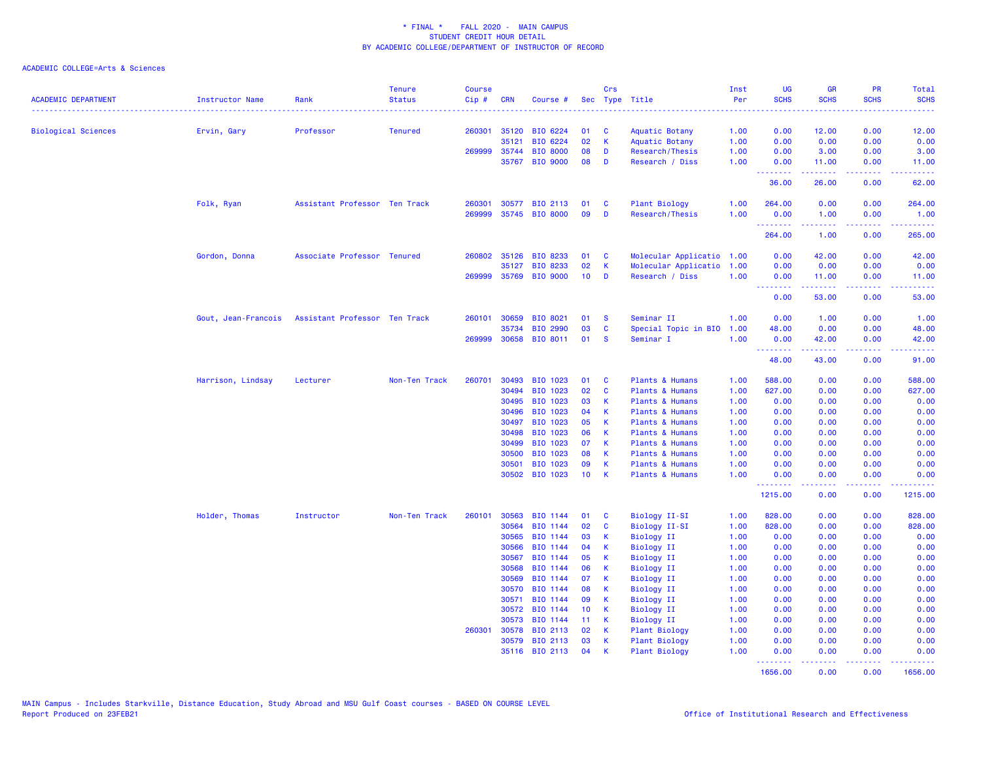| <b>ACADEMIC DEPARTMENT</b> | <b>Instructor Name</b> | Rank                          | <b>Tenure</b><br><b>Status</b> | <b>Course</b><br>$Cip \#$ | CRN   | Course #                   |                 | Crs          | Sec Type Title                               | Inst<br>Per  | UG<br><b>SCHS</b>                     | <b>GR</b><br><b>SCHS</b>                                                                                                                                      | PR<br><b>SCHS</b> | <b>Total</b><br><b>SCHS</b>                                                                                                     |
|----------------------------|------------------------|-------------------------------|--------------------------------|---------------------------|-------|----------------------------|-----------------|--------------|----------------------------------------------|--------------|---------------------------------------|---------------------------------------------------------------------------------------------------------------------------------------------------------------|-------------------|---------------------------------------------------------------------------------------------------------------------------------|
| <b>Biological Sciences</b> | Ervin, Gary            | Professor                     | <b>Tenured</b>                 | 260301                    | 35120 | BIO 6224                   | 01              | - C          | Aquatic Botany                               | 1.00         | 0.00                                  | 12.00                                                                                                                                                         | 0.00              | 12.00                                                                                                                           |
|                            |                        |                               |                                |                           | 35121 | BIO 6224                   | 02              | K            | Aquatic Botany                               | 1.00         | 0.00                                  | 0.00                                                                                                                                                          | 0.00              | 0.00                                                                                                                            |
|                            |                        |                               |                                | 269999                    | 35744 | <b>BIO 8000</b>            | 08              | D            | Research/Thesis                              | 1.00         | 0.00                                  | 3.00                                                                                                                                                          | 0.00              | 3.00                                                                                                                            |
|                            |                        |                               |                                |                           | 35767 | <b>BIO 9000</b>            | 08              | D            | Research / Diss                              | 1.00         | 0.00                                  | 11.00<br>$\frac{1}{2} \left( \frac{1}{2} \right) \left( \frac{1}{2} \right) \left( \frac{1}{2} \right) \left( \frac{1}{2} \right) \left( \frac{1}{2} \right)$ | 0.00<br>.         | 11.00<br>.                                                                                                                      |
|                            |                        |                               |                                |                           |       |                            |                 |              |                                              |              | 36.00                                 | 26.00                                                                                                                                                         | 0.00              | 62.00                                                                                                                           |
|                            | Folk, Ryan             | Assistant Professor Ten Track |                                | 260301                    |       | 30577 BIO 2113             | 01              | <b>C</b>     | <b>Plant Biology</b>                         | 1.00         | 264.00                                | 0.00                                                                                                                                                          | 0.00              | 264.00                                                                                                                          |
|                            |                        |                               |                                | 269999                    |       | 35745 BIO 8000             | 09              | D            | Research/Thesis                              | 1.00         | 0.00<br><b>.</b> .                    | 1.00<br>$\omega$ is a set of                                                                                                                                  | 0.00<br>الأنابات  | 1.00<br>.                                                                                                                       |
|                            |                        |                               |                                |                           |       |                            |                 |              |                                              |              | 264.00                                | 1.00                                                                                                                                                          | 0.00              | 265.00                                                                                                                          |
|                            | Gordon, Donna          | Associate Professor Tenured   |                                | 260802                    | 35126 | BIO 8233                   | 01              | $\mathbf{C}$ | Molecular Applicatio 1.00                    |              | 0.00                                  | 42.00                                                                                                                                                         | 0.00              | 42.00                                                                                                                           |
|                            |                        |                               |                                |                           | 35127 | BIO 8233                   | 02              | K            | Molecular Applicatio                         | 1.00         | 0.00                                  | 0.00                                                                                                                                                          | 0.00              | 0.00                                                                                                                            |
|                            |                        |                               |                                |                           |       | 269999 35769 BIO 9000      | 10 <sub>1</sub> | D            | Research / Diss                              | 1.00         | 0.00<br><b><i><u>AAAAAAAA</u></i></b> | 11.00<br>.                                                                                                                                                    | 0.00<br>.         | 11.00<br>.                                                                                                                      |
|                            |                        |                               |                                |                           |       |                            |                 |              |                                              |              | 0.00                                  | 53.00                                                                                                                                                         | 0.00              | 53.00                                                                                                                           |
|                            | Gout, Jean-Francois    | Assistant Professor Ten Track |                                | 260101                    | 30659 | BIO 8021                   | 01              | <b>S</b>     | Seminar II                                   | 1.00         | 0.00                                  | 1.00                                                                                                                                                          | 0.00              | 1.00                                                                                                                            |
|                            |                        |                               |                                |                           | 35734 | BIO 2990                   | 03              | C            | Special Topic in BIO                         | 1.00         | 48.00                                 | 0.00                                                                                                                                                          | 0.00              | 48.00                                                                                                                           |
|                            |                        |                               |                                | 269999                    | 30658 | BIO 8011                   | 01              | -S           | Seminar I                                    | 1.00         | 0.00                                  | 42.00                                                                                                                                                         | 0.00              | 42.00                                                                                                                           |
|                            |                        |                               |                                |                           |       |                            |                 |              |                                              |              | <u>.</u><br>48.00                     | 43.00                                                                                                                                                         | 0.00              | 91.00                                                                                                                           |
|                            | Harrison, Lindsay      | Lecturer                      | Non-Ten Track                  | 260701                    | 30493 | BIO 1023                   | 01              | $\mathbf{C}$ | Plants & Humans                              | 1.00         | 588.00                                | 0.00                                                                                                                                                          | 0.00              | 588.00                                                                                                                          |
|                            |                        |                               |                                |                           | 30494 | BIO 1023                   | 02              | <b>C</b>     | Plants & Humans                              | 1.00         | 627.00                                | 0.00                                                                                                                                                          | 0.00              | 627.00                                                                                                                          |
|                            |                        |                               |                                |                           | 30495 | BIO 1023                   | 03              | K            | Plants & Humans                              | 1.00         | 0.00                                  | 0.00                                                                                                                                                          | 0.00              | 0.00                                                                                                                            |
|                            |                        |                               |                                |                           | 30496 | BIO 1023                   | 04              | K            | Plants & Humans                              | 1.00         | 0.00                                  | 0.00                                                                                                                                                          | 0.00              | 0.00                                                                                                                            |
|                            |                        |                               |                                |                           | 30497 | BIO 1023                   | 05              | К            | Plants & Humans                              | 1.00         | 0.00                                  | 0.00                                                                                                                                                          | 0.00              | 0.00                                                                                                                            |
|                            |                        |                               |                                |                           | 30498 | BIO 1023                   | 06              | K            | Plants & Humans                              | 1.00         | 0.00                                  | 0.00                                                                                                                                                          | 0.00              | 0.00                                                                                                                            |
|                            |                        |                               |                                |                           | 30499 | BIO 1023                   | 07              | к            | Plants & Humans                              | 1.00         | 0.00                                  | 0.00                                                                                                                                                          | 0.00              | 0.00                                                                                                                            |
|                            |                        |                               |                                |                           | 30500 | BIO 1023                   | 08              | $\mathsf K$  | Plants & Humans                              | 1.00         | 0.00                                  | 0.00                                                                                                                                                          | 0.00              | 0.00                                                                                                                            |
|                            |                        |                               |                                |                           | 30501 | BIO 1023                   | 09              | K            | Plants & Humans                              | 1.00         | 0.00                                  | 0.00                                                                                                                                                          | 0.00              | 0.00                                                                                                                            |
|                            |                        |                               |                                |                           |       | 30502 BIO 1023             | 10 <sub>1</sub> | K            | Plants & Humans                              | 1.00         | 0.00<br>.                             | 0.00<br>.                                                                                                                                                     | 0.00<br>بالمحامي  | 0.00                                                                                                                            |
|                            |                        |                               |                                |                           |       |                            |                 |              |                                              |              | 1215.00                               | 0.00                                                                                                                                                          | 0.00              | 1215.00                                                                                                                         |
|                            | Holder, Thomas         | Instructor                    | Non-Ten Track                  | 260101                    | 30563 | <b>BIO 1144</b>            | 01              | <b>C</b>     | Biology II-SI                                | 1.00         | 828.00                                | 0.00                                                                                                                                                          | 0.00              | 828.00                                                                                                                          |
|                            |                        |                               |                                |                           | 30564 | BIO 1144                   | 02              | C            | <b>Biology II-SI</b>                         | 1.00         | 828.00                                | 0.00                                                                                                                                                          | 0.00              | 828.00                                                                                                                          |
|                            |                        |                               |                                |                           | 30565 | BIO 1144                   | 03              | K            | <b>Biology II</b>                            | 1.00         | 0.00                                  | 0.00                                                                                                                                                          | 0.00              | 0.00                                                                                                                            |
|                            |                        |                               |                                |                           | 30566 | BIO 1144                   | 04              | $\mathsf K$  | <b>Biology II</b>                            | 1.00         | 0.00                                  | 0.00                                                                                                                                                          | 0.00              | 0.00                                                                                                                            |
|                            |                        |                               |                                |                           | 30567 | BIO 1144                   | 05              | К            | <b>Biology II</b>                            | 1.00         | 0.00                                  | 0.00                                                                                                                                                          | 0.00              | 0.00                                                                                                                            |
|                            |                        |                               |                                |                           | 30568 | BIO 1144                   | 06              | K            | <b>Biology II</b>                            | 1.00         | 0.00                                  | 0.00                                                                                                                                                          | 0.00              | 0.00                                                                                                                            |
|                            |                        |                               |                                |                           | 30569 | BIO 1144                   | 07              | $\mathsf K$  | <b>Biology II</b>                            | 1.00         | 0.00                                  | 0.00                                                                                                                                                          | 0.00              | 0.00                                                                                                                            |
|                            |                        |                               |                                |                           | 30570 | BIO 1144                   | 08              | K            | <b>Biology II</b>                            | 1.00         | 0.00                                  | 0.00                                                                                                                                                          | 0.00              | 0.00                                                                                                                            |
|                            |                        |                               |                                |                           | 30571 | BIO 1144                   | 09              | K            | <b>Biology II</b>                            | 1.00         | 0.00                                  | 0.00                                                                                                                                                          | 0.00              | 0.00                                                                                                                            |
|                            |                        |                               |                                |                           | 30572 | BIO 1144                   | 10 <sub>1</sub> | K            | <b>Biology II</b>                            | 1.00         | 0.00                                  | 0.00                                                                                                                                                          | 0.00              | 0.00                                                                                                                            |
|                            |                        |                               |                                |                           | 30573 | BIO 1144                   | 11              | $\mathsf K$  | <b>Biology II</b>                            | 1.00         | 0.00                                  | 0.00                                                                                                                                                          | 0.00              | 0.00                                                                                                                            |
|                            |                        |                               |                                | 260301                    | 30578 | BIO 2113                   | 02              | К            | <b>Plant Biology</b>                         | 1.00         | 0.00                                  | 0.00                                                                                                                                                          | 0.00              | 0.00                                                                                                                            |
|                            |                        |                               |                                |                           | 30579 | BIO 2113<br>35116 BIO 2113 | 03<br>04        | K<br>к       | <b>Plant Biology</b><br><b>Plant Biology</b> | 1.00<br>1.00 | 0.00<br>0.00                          | 0.00<br>0.00                                                                                                                                                  | 0.00<br>0.00      | 0.00<br>0.00                                                                                                                    |
|                            |                        |                               |                                |                           |       |                            |                 |              |                                              |              | <u>.</u>                              | 22222                                                                                                                                                         | .                 | $\begin{array}{cccccccccc} \bullet & \bullet & \bullet & \bullet & \bullet & \bullet & \bullet & \bullet & \bullet \end{array}$ |
|                            |                        |                               |                                |                           |       |                            |                 |              |                                              |              | 1656.00                               | 0.00                                                                                                                                                          | 0.00              | 1656.00                                                                                                                         |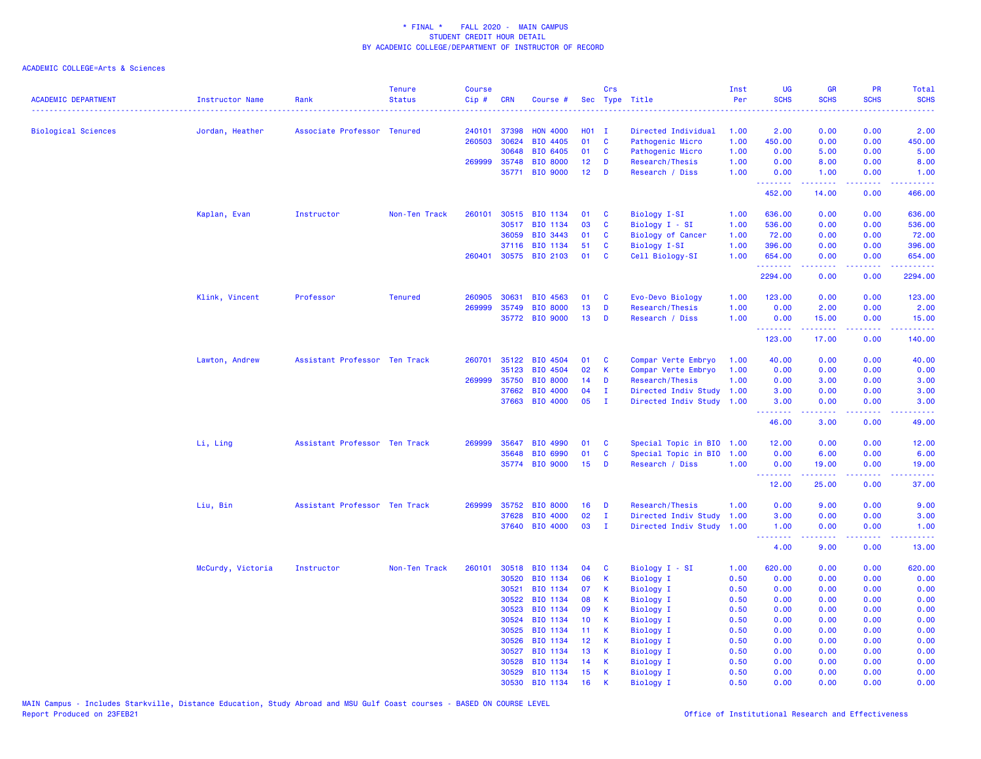| <b>ACADEMIC DEPARTMENT</b> | Instructor Name   | Rank                          | <b>Tenure</b><br><b>Status</b> | Course<br>Cip# | <b>CRN</b>     | Course #             |                 | Crs              | Sec Type Title            | Inst<br>Per  | UG<br><b>SCHS</b>  | <b>GR</b><br><b>SCHS</b> | PR<br><b>SCHS</b> | <b>Total</b><br><b>SCHS</b><br>والمرامين مرابط |
|----------------------------|-------------------|-------------------------------|--------------------------------|----------------|----------------|----------------------|-----------------|------------------|---------------------------|--------------|--------------------|--------------------------|-------------------|------------------------------------------------|
| <b>Biological Sciences</b> | Jordan, Heather   | Associate Professor Tenured   |                                | 240101         | 37398          | <b>HON 4000</b>      | $H01$ I         |                  | Directed Individual       | 1.00         | 2.00               | 0.00                     | 0.00              | 2.00                                           |
|                            |                   |                               |                                | 260503         | 30624          | BIO 4405             | 01              | C                | Pathogenic Micro          | 1.00         | 450.00             | 0.00                     | 0.00              | 450.00                                         |
|                            |                   |                               |                                |                | 30648          | BIO 6405             | 01              | C                | Pathogenic Micro          | 1.00         | 0.00               | 5.00                     | 0.00              | 5.00                                           |
|                            |                   |                               |                                | 269999         | 35748          | <b>BIO 8000</b>      | 12 <sub>2</sub> | D                | Research/Thesis           | 1.00         | 0.00               | 8.00                     | 0.00              | 8.00                                           |
|                            |                   |                               |                                |                | 35771          | <b>BIO 9000</b>      | 12              | D                | Research / Diss           | 1.00         | 0.00<br>.          | 1.00<br>بالأبادي         | 0.00<br>.         | 1.00<br>.                                      |
|                            |                   |                               |                                |                |                |                      |                 |                  |                           |              | 452.00             | 14.00                    | 0.00              | 466.00                                         |
|                            | Kaplan, Evan      | Instructor                    | Non-Ten Track                  | 260101         |                | 30515 BIO 1134       | 01              | C                | Biology I-SI              | 1.00         | 636.00             | 0.00                     | 0.00              | 636.00                                         |
|                            |                   |                               |                                |                | 30517          | <b>BIO 1134</b>      | 03              | $\mathbf{C}$     | Biology I - SI            | 1.00         | 536.00             | 0.00                     | 0.00              | 536.00                                         |
|                            |                   |                               |                                |                | 36059          | BIO 3443             | 01              | C                | <b>Biology of Cancer</b>  | 1.00         | 72.00              | 0.00                     | 0.00              | 72.00                                          |
|                            |                   |                               |                                |                | 37116          | BIO 1134             | 51              | C                | <b>Biology I-SI</b>       | 1.00         | 396.00             | 0.00                     | 0.00              | 396.00                                         |
|                            |                   |                               |                                | 260401         |                | 30575 BIO 2103       | 01              | C                | Cell Biology-SI           | 1.00         | 654.00             | 0.00                     | 0.00              | 654.00                                         |
|                            |                   |                               |                                |                |                |                      |                 |                  |                           |              | .<br>2294.00       | .<br>0.00                | .<br>0.00         | .<br>2294.00                                   |
|                            | Klink, Vincent    | Professor                     | <b>Tenured</b>                 | 260905         | 30631          | BIO 4563             | 01              | C                | Evo-Devo Biology          | 1.00         | 123.00             | 0.00                     | 0.00              | 123.00                                         |
|                            |                   |                               |                                | 269999         | 35749          | <b>BIO 8000</b>      | 13              | D                | Research/Thesis           | 1.00         | 0.00               | 2.00                     | 0.00              | 2.00                                           |
|                            |                   |                               |                                |                |                | 35772 BIO 9000       | 13              | D                | Research / Diss           | 1.00         | 0.00               | 15.00                    | 0.00              | 15.00                                          |
|                            |                   |                               |                                |                |                |                      |                 |                  |                           |              | <u>.</u><br>123.00 | .<br>17.00               | .<br>0.00         | .<br>140.00                                    |
|                            | Lawton, Andrew    | Assistant Professor Ten Track |                                | 260701         | 35122          | <b>BIO 4504</b>      | 01              | C                | Compar Verte Embryo       | 1.00         | 40.00              | 0.00                     | 0.00              | 40.00                                          |
|                            |                   |                               |                                |                | 35123          | BIO 4504             | 02              | $\mathsf K$      | Compar Verte Embryo       | 1.00         | 0.00               | 0.00                     | 0.00              | 0.00                                           |
|                            |                   |                               |                                | 269999         | 35750          | <b>BIO 8000</b>      | 14              | D                | Research/Thesis           | 1.00         | 0.00               | 3.00                     | 0.00              | 3.00                                           |
|                            |                   |                               |                                |                | 37662          | BIO 4000             | 04              | $\mathbf{I}$     | Directed Indiv Study      | 1.00         | 3.00               | 0.00                     | 0.00              | 3.00                                           |
|                            |                   |                               |                                |                |                | 37663 BIO 4000       | 05              | $\mathbf{I}$     | Directed Indiv Study 1.00 |              | 3.00               | 0.00                     | 0.00              | 3.00                                           |
|                            |                   |                               |                                |                |                |                      |                 |                  |                           |              | --------<br>46.00  | .<br>3.00                | .<br>0.00         | .<br>49.00                                     |
|                            | Li, Ling          | Assistant Professor Ten Track |                                | 269999         | 35647          | <b>BIO 4990</b>      | 01              | C                | Special Topic in BIO      | 1.00         | 12.00              | 0.00                     | 0.00              | 12.00                                          |
|                            |                   |                               |                                |                | 35648          | BIO 6990             | 01              | C                | Special Topic in BIO      | 1.00         | 0.00               | 6.00                     | 0.00              | 6.00                                           |
|                            |                   |                               |                                |                |                | 35774 BIO 9000       | 15              | D                | Research / Diss           | 1.00         | 0.00               | 19.00                    | 0.00              | 19.00                                          |
|                            |                   |                               |                                |                |                |                      |                 |                  |                           |              | <b></b><br>12.00   | .<br>25.00               | .<br>0.00         | .<br>37.00                                     |
|                            | Liu, Bin          | Assistant Professor Ten Track |                                | 269999         | 35752          | <b>BIO 8000</b>      | 16              | D                | Research/Thesis           | 1.00         | 0.00               | 9.00                     | 0.00              | 9.00                                           |
|                            |                   |                               |                                |                | 37628          | <b>BIO 4000</b>      | 02              | $\mathbf{I}$     | Directed Indiv Study      | 1.00         | 3.00               | 0.00                     | 0.00              | 3.00                                           |
|                            |                   |                               |                                |                |                | 37640 BIO 4000       | 03              | $\mathbf{I}$     | Directed Indiv Study      | 1.00         | 1.00<br><b></b>    | 0.00<br>.                | 0.00<br>.         | 1.00<br>.                                      |
|                            |                   |                               |                                |                |                |                      |                 |                  |                           |              | 4.00               | 9.00                     | 0.00              | 13.00                                          |
|                            | McCurdy, Victoria | Instructor                    | Non-Ten Track                  | 260101         | 30518          | BIO 1134             | 04              | <b>C</b>         | Biology I - SI            | 1.00         | 620.00             | 0.00                     | 0.00              | 620.00                                         |
|                            |                   |                               |                                |                | 30520          | BIO 1134             | 06              | К                | <b>Biology I</b>          | 0.50         | 0.00               | 0.00                     | 0.00              | 0.00                                           |
|                            |                   |                               |                                |                | 30521          | BIO 1134             | 07              | K                | <b>Biology I</b>          | 0.50         | 0.00               | 0.00                     | 0.00              | 0.00                                           |
|                            |                   |                               |                                |                | 30522          | BIO 1134             | 08              | К                | <b>Biology I</b>          | 0.50         | 0.00               | 0.00                     | 0.00              | 0.00                                           |
|                            |                   |                               |                                |                | 30523          | BIO 1134             | 09              | K                | Biology I                 | 0.50         | 0.00               | 0.00                     | 0.00              | 0.00                                           |
|                            |                   |                               |                                |                | 30524          | BIO 1134             | 10              | К                | <b>Biology I</b>          | 0.50         | 0.00               | 0.00                     | 0.00              | 0.00                                           |
|                            |                   |                               |                                |                | 30525          | BIO 1134             | 11              | К                | <b>Biology I</b>          | 0.50         | 0.00               | 0.00                     | 0.00              | 0.00                                           |
|                            |                   |                               |                                |                | 30526          | BIO 1134             | 12              | К                | <b>Biology I</b>          | 0.50         | 0.00               | 0.00                     | 0.00              | 0.00                                           |
|                            |                   |                               |                                |                | 30527          | BIO 1134             | 13              | К                | Biology I                 | 0.50         | 0.00               | 0.00                     | 0.00              | 0.00                                           |
|                            |                   |                               |                                |                | 30528          | BIO 1134             | 14              | К                | Biology I                 | 0.50         | 0.00               | 0.00                     | 0.00              | 0.00                                           |
|                            |                   |                               |                                |                | 30529<br>30530 | BIO 1134<br>BIO 1134 | 15<br>16        | К<br>$\mathbf k$ | <b>Biology I</b>          | 0.50<br>0.50 | 0.00<br>0.00       | 0.00<br>0.00             | 0.00<br>0.00      | 0.00<br>0.00                                   |
|                            |                   |                               |                                |                |                |                      |                 |                  | <b>Biology I</b>          |              |                    |                          |                   |                                                |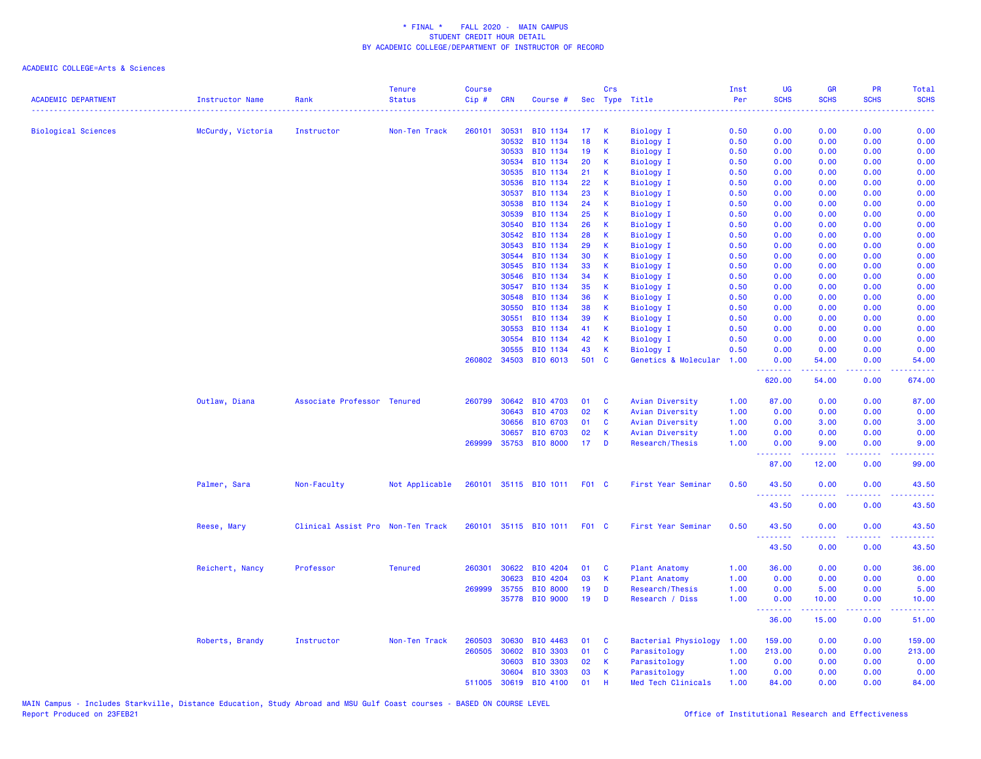| <b>ACADEMIC DEPARTMENT</b> | Instructor Name   | Rank                              | <b>Tenure</b><br><b>Status</b> | <b>Course</b><br>Cip# | <b>CRN</b>     | Course #              |              | Crs          | Sec Type Title                | Inst<br>Per  | <b>UG</b><br><b>SCHS</b> | <b>GR</b><br><b>SCHS</b>                                                                                                          | PR<br><b>SCHS</b>                                                                                                                 | <b>Total</b><br><b>SCHS</b> |
|----------------------------|-------------------|-----------------------------------|--------------------------------|-----------------------|----------------|-----------------------|--------------|--------------|-------------------------------|--------------|--------------------------|-----------------------------------------------------------------------------------------------------------------------------------|-----------------------------------------------------------------------------------------------------------------------------------|-----------------------------|
|                            |                   |                                   |                                |                       |                |                       |              |              |                               |              |                          |                                                                                                                                   |                                                                                                                                   |                             |
| <b>Biological Sciences</b> | McCurdy, Victoria | Instructor                        | Non-Ten Track                  | 260101                | 30531          | BIO 1134              | 17           | к            | <b>Biology I</b>              | 0.50         | 0.00                     | 0.00                                                                                                                              | 0.00                                                                                                                              | 0.00                        |
|                            |                   |                                   |                                |                       | 30532          | BIO 1134              | 18           | $\mathsf{K}$ | <b>Biology I</b>              | 0.50         | 0.00                     | 0.00                                                                                                                              | 0.00                                                                                                                              | 0.00                        |
|                            |                   |                                   |                                |                       | 30533          | BIO 1134              | 19           | К            | <b>Biology I</b>              | 0.50         | 0.00                     | 0.00                                                                                                                              | 0.00                                                                                                                              | 0.00                        |
|                            |                   |                                   |                                |                       | 30534          | BIO 1134              | 20           | К            | <b>Biology I</b>              | 0.50         | 0.00                     | 0.00                                                                                                                              | 0.00                                                                                                                              | 0.00                        |
|                            |                   |                                   |                                |                       | 30535          | BIO 1134              | 21           | К            | <b>Biology I</b>              | 0.50         | 0.00                     | 0.00                                                                                                                              | 0.00                                                                                                                              | 0.00                        |
|                            |                   |                                   |                                |                       | 30536          | BIO 1134              | 22           | К            | <b>Biology I</b>              | 0.50         | 0.00                     | 0.00                                                                                                                              | 0.00                                                                                                                              | 0.00                        |
|                            |                   |                                   |                                |                       | 30537          | BIO 1134              | 23           | К            | <b>Biology I</b>              | 0.50         | 0.00                     | 0.00                                                                                                                              | 0.00                                                                                                                              | 0.00                        |
|                            |                   |                                   |                                |                       | 30538          | BIO 1134              | 24           | К            | <b>Biology I</b>              | 0.50         | 0.00                     | 0.00                                                                                                                              | 0.00                                                                                                                              | 0.00                        |
|                            |                   |                                   |                                |                       | 30539          | BIO 1134              | 25           | К            | <b>Biology I</b>              | 0.50         | 0.00                     | 0.00                                                                                                                              | 0.00                                                                                                                              | 0.00                        |
|                            |                   |                                   |                                |                       | 30540          | BIO 1134              | 26           | К            | Biology I                     | 0.50         | 0.00                     | 0.00                                                                                                                              | 0.00                                                                                                                              | 0.00                        |
|                            |                   |                                   |                                |                       | 30542          | BIO 1134              | 28           | к            | Biology I                     | 0.50         | 0.00                     | 0.00                                                                                                                              | 0.00                                                                                                                              | 0.00                        |
|                            |                   |                                   |                                |                       | 30543          | BIO 1134              | 29           | К            | <b>Biology I</b>              | 0.50         | 0.00                     | 0.00                                                                                                                              | 0.00                                                                                                                              | 0.00                        |
|                            |                   |                                   |                                |                       | 30544          | BIO 1134              | 30           | К            | <b>Biology I</b>              | 0.50         | 0.00                     | 0.00                                                                                                                              | 0.00                                                                                                                              | 0.00                        |
|                            |                   |                                   |                                |                       | 30545          | BIO 1134              | 33           | К            | Biology I                     | 0.50         | 0.00                     | 0.00                                                                                                                              | 0.00                                                                                                                              | 0.00                        |
|                            |                   |                                   |                                |                       | 30546          | BIO 1134              | 34           | К            | <b>Biology I</b>              | 0.50         | 0.00                     | 0.00                                                                                                                              | 0.00                                                                                                                              | 0.00                        |
|                            |                   |                                   |                                |                       | 30547          | BIO 1134              | 35           | К            | <b>Biology I</b>              | 0.50         | 0.00                     | 0.00                                                                                                                              | 0.00                                                                                                                              | 0.00                        |
|                            |                   |                                   |                                |                       | 30548          | BIO 1134              | 36           | K            | <b>Biology I</b>              | 0.50         | 0.00                     | 0.00                                                                                                                              | 0.00                                                                                                                              | 0.00                        |
|                            |                   |                                   |                                |                       | 30550          | BIO 1134              | 38           | К            | <b>Biology I</b>              | 0.50         | 0.00                     | 0.00                                                                                                                              | 0.00                                                                                                                              | 0.00                        |
|                            |                   |                                   |                                |                       | 30551          | BIO 1134              | 39<br>41     | К            | <b>Biology I</b>              | 0.50         | 0.00                     | 0.00                                                                                                                              | 0.00                                                                                                                              | 0.00                        |
|                            |                   |                                   |                                |                       | 30553<br>30554 | BIO 1134<br>BIO 1134  | 42           | К<br>К       | Biology I                     | 0.50<br>0.50 | 0.00<br>0.00             | 0.00<br>0.00                                                                                                                      | 0.00<br>0.00                                                                                                                      | 0.00<br>0.00                |
|                            |                   |                                   |                                |                       | 30555          | BIO 1134              | 43           | К            | Biology I<br><b>Biology I</b> | 0.50         | 0.00                     | 0.00                                                                                                                              | 0.00                                                                                                                              | 0.00                        |
|                            |                   |                                   |                                | 260802                | 34503          | BIO 6013              | 501          | <b>C</b>     | Genetics & Molecular          | 1.00         | 0.00                     | 54.00                                                                                                                             | 0.00                                                                                                                              | 54.00                       |
|                            |                   |                                   |                                |                       |                |                       |              |              |                               |              | 620.00                   | 54.00                                                                                                                             | والمحامر<br>0.00                                                                                                                  | 674.00                      |
|                            | Outlaw, Diana     | Associate Professor Tenured       |                                |                       | 260799 30642   | BIO 4703              | 01           | C            | Avian Diversity               | 1.00         | 87.00                    | 0.00                                                                                                                              | 0.00                                                                                                                              | 87.00                       |
|                            |                   |                                   |                                |                       | 30643          | BIO 4703              | 02           | K            | Avian Diversity               | 1.00         | 0.00                     | 0.00                                                                                                                              | 0.00                                                                                                                              | 0.00                        |
|                            |                   |                                   |                                |                       | 30656          | <b>BIO 6703</b>       | 01           | C            | Avian Diversity               | 1.00         | 0.00                     | 3.00                                                                                                                              | 0.00                                                                                                                              | 3.00                        |
|                            |                   |                                   |                                |                       | 30657          | <b>BIO 6703</b>       | 02           | К            | Avian Diversity               | 1.00         | 0.00                     | 0.00                                                                                                                              | 0.00                                                                                                                              | 0.00                        |
|                            |                   |                                   |                                | 269999                | 35753          | <b>BIO 8000</b>       | 17           | D            | Research/Thesis               | 1.00         | 0.00<br><u>.</u>         | 9.00<br>$\frac{1}{2} \left( \frac{1}{2} \right) \left( \frac{1}{2} \right) \left( \frac{1}{2} \right) \left( \frac{1}{2} \right)$ | 0.00<br>.                                                                                                                         | 9.00<br>.                   |
|                            |                   |                                   |                                |                       |                |                       |              |              |                               |              | 87.00                    | 12.00                                                                                                                             | 0.00                                                                                                                              | 99.00                       |
|                            | Palmer, Sara      | Non-Faculty                       | Not Applicable                 | 260101                |                | 35115 BIO 1011        | F01 C        |              | First Year Seminar            | 0.50         | 43.50                    | 0.00                                                                                                                              | 0.00                                                                                                                              | 43.50                       |
|                            |                   |                                   |                                |                       |                |                       |              |              |                               |              | 43.50                    | 0.00                                                                                                                              | 0.00                                                                                                                              | 43.50                       |
|                            | Reese, Mary       | Clinical Assist Pro Non-Ten Track |                                |                       |                | 260101 35115 BIO 1011 | <b>F01 C</b> |              | First Year Seminar            | 0.50         | 43.50<br><b></b>         | 0.00                                                                                                                              | 0.00<br>.                                                                                                                         | 43.50                       |
|                            |                   |                                   |                                |                       |                |                       |              |              |                               |              | 43.50                    | 0.00                                                                                                                              | 0.00                                                                                                                              | 43.50                       |
|                            | Reichert, Nancy   | Professor                         | <b>Tenured</b>                 | 260301                | 30622          | BIO 4204              | 01           | C            | <b>Plant Anatomy</b>          | 1.00         | 36.00                    | 0.00                                                                                                                              | 0.00                                                                                                                              | 36.00                       |
|                            |                   |                                   |                                |                       | 30623          | BIO 4204              | 03           | K            | <b>Plant Anatomy</b>          | 1.00         | 0.00                     | 0.00                                                                                                                              | 0.00                                                                                                                              | 0.00                        |
|                            |                   |                                   |                                | 269999                | 35755          | <b>BIO 8000</b>       | 19           | D            | Research/Thesis               | 1.00         | 0.00                     | 5.00                                                                                                                              | 0.00                                                                                                                              | 5.00                        |
|                            |                   |                                   |                                |                       | 35778          | <b>BIO 9000</b>       | 19           | D            | Research / Diss               | 1.00         | 0.00<br><b></b>          | 10.00                                                                                                                             | 0.00<br>$\frac{1}{2} \left( \frac{1}{2} \right) \left( \frac{1}{2} \right) \left( \frac{1}{2} \right) \left( \frac{1}{2} \right)$ | 10.00<br>.                  |
|                            |                   |                                   |                                |                       |                |                       |              |              |                               |              | 36.00                    | 15.00                                                                                                                             | 0.00                                                                                                                              | 51.00                       |
|                            | Roberts, Brandy   | Instructor                        | Non-Ten Track                  | 260503                | 30630          | BIO 4463              | 01           | C            | Bacterial Physiology          | 1.00         | 159.00                   | 0.00                                                                                                                              | 0.00                                                                                                                              | 159.00                      |
|                            |                   |                                   |                                | 260505                | 30602          | <b>BIO 3303</b>       | 01           | C            | Parasitology                  | 1.00         | 213.00                   | 0.00                                                                                                                              | 0.00                                                                                                                              | 213.00                      |
|                            |                   |                                   |                                |                       | 30603          | <b>BIO 3303</b>       | 02           | К            | Parasitology                  | 1.00         | 0.00                     | 0.00                                                                                                                              | 0.00                                                                                                                              | 0.00                        |
|                            |                   |                                   |                                |                       | 30604          | <b>BIO 3303</b>       | 03           | К            | Parasitology                  | 1.00         | 0.00                     | 0.00                                                                                                                              | 0.00                                                                                                                              | 0.00                        |
|                            |                   |                                   |                                | 511005                | 30619          | <b>BIO 4100</b>       | 01           | $\mathbf{H}$ | Med Tech Clinicals            | 1.00         | 84.00                    | 0.00                                                                                                                              | 0.00                                                                                                                              | 84.00                       |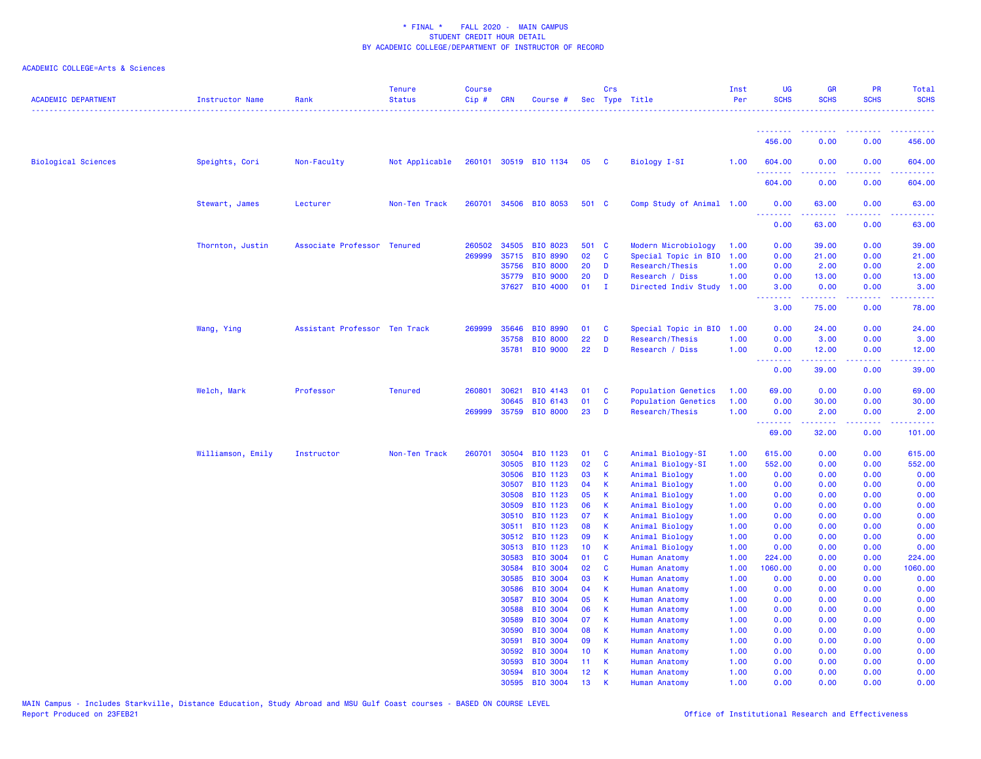| <b>ACADEMIC DEPARTMENT</b> | Instructor Name   | Rank                          | <b>Tenure</b><br><b>Status</b> | <b>Course</b><br>$Cip$ # | <b>CRN</b>     | Course #                           |                 | Crs                     | Sec Type Title                               | Inst<br>Per  | UG<br><b>SCHS</b>                                                                                                                 | <b>GR</b><br><b>SCHS</b> | PR<br><b>SCHS</b> | Total<br><b>SCHS</b> |
|----------------------------|-------------------|-------------------------------|--------------------------------|--------------------------|----------------|------------------------------------|-----------------|-------------------------|----------------------------------------------|--------------|-----------------------------------------------------------------------------------------------------------------------------------|--------------------------|-------------------|----------------------|
|                            |                   |                               |                                |                          |                |                                    |                 |                         |                                              |              | <u>.</u>                                                                                                                          |                          |                   |                      |
|                            |                   |                               |                                |                          |                |                                    |                 |                         |                                              |              | 456.00                                                                                                                            | 0.00                     | 0.00              | 456.00               |
| <b>Biological Sciences</b> | Speights, Cori    | Non-Faculty                   | Not Applicable                 |                          |                | 260101 30519 BIO 1134              | 05              | $\overline{\mathbf{C}}$ | Biology I-SI                                 | 1.00         | 604.00<br>.                                                                                                                       | 0.00                     | 0.00              | 604.00               |
|                            |                   |                               |                                |                          |                |                                    |                 |                         |                                              |              | 604.00                                                                                                                            | 0.00                     | 0.00              | 604.00               |
|                            | Stewart, James    | Lecturer                      | Non-Ten Track                  | 260701                   |                | 34506 BIO 8053                     | 501 C           |                         | Comp Study of Animal 1.00                    |              | 0.00<br><b></b>                                                                                                                   | 63.00<br>.               | 0.00              | 63.00<br>.           |
|                            |                   |                               |                                |                          |                |                                    |                 |                         |                                              |              | 0.00                                                                                                                              | 63.00                    | 0.00              | 63.00                |
|                            | Thornton, Justin  | Associate Professor Tenured   |                                | 260502                   | 34505          | BIO 8023                           | 501 C           |                         | Modern Microbiology                          | 1.00         | 0.00                                                                                                                              | 39.00                    | 0.00              | 39.00                |
|                            |                   |                               |                                | 269999                   | 35715          | <b>BIO 8990</b>                    | 02              | $\mathbf{C}$            | Special Topic in BIO                         | 1.00         | 0.00                                                                                                                              | 21.00                    | 0.00              | 21.00                |
|                            |                   |                               |                                |                          | 35756          | <b>BIO 8000</b>                    | 20              | D                       | Research/Thesis                              | 1.00         | 0.00                                                                                                                              | 2.00                     | 0.00              | 2.00                 |
|                            |                   |                               |                                |                          | 35779          | <b>BIO 9000</b>                    | 20              | D                       | Research / Diss                              | 1.00         | 0.00                                                                                                                              | 13.00                    | 0.00              | 13.00                |
|                            |                   |                               |                                |                          | 37627          | BIO 4000                           | 01              | $\blacksquare$          | Directed Indiv Study 1.00                    |              | 3.00<br>$\frac{1}{2} \left( \frac{1}{2} \right) \left( \frac{1}{2} \right) \left( \frac{1}{2} \right) \left( \frac{1}{2} \right)$ | 0.00<br>.                | 0.00<br>.         | 3.00<br>.            |
|                            |                   |                               |                                |                          |                |                                    |                 |                         |                                              |              | 3.00                                                                                                                              | 75.00                    | 0.00              | 78.00                |
|                            | Wang, Ying        | Assistant Professor Ten Track |                                | 269999                   | 35646          | <b>BIO 8990</b>                    | 01              | <b>C</b>                | Special Topic in BIO                         | 1.00         | 0.00                                                                                                                              | 24.00                    | 0.00              | 24.00                |
|                            |                   |                               |                                |                          | 35758          | <b>BIO 8000</b>                    | 22              | D                       | Research/Thesis                              | 1.00         | 0.00                                                                                                                              | 3.00                     | 0.00              | 3.00                 |
|                            |                   |                               |                                |                          | 35781          | <b>BIO 9000</b>                    | 22              | D                       | Research / Diss                              | 1.00         | 0.00<br>.                                                                                                                         | 12.00<br>.               | 0.00              | 12.00<br>.           |
|                            |                   |                               |                                |                          |                |                                    |                 |                         |                                              |              | 0.00                                                                                                                              | 39.00                    | 0.00              | 39.00                |
|                            | Welch, Mark       | Professor                     | <b>Tenured</b>                 | 260801                   | 30621          | BIO 4143                           | 01              | <b>C</b>                | <b>Population Genetics</b>                   | 1.00         | 69.00                                                                                                                             | 0.00                     | 0.00              | 69.00                |
|                            |                   |                               |                                |                          | 30645          | BIO 6143                           | 01              | $\mathbf{C}$            | <b>Population Genetics</b>                   | 1.00         | 0.00                                                                                                                              | 30.00                    | 0.00              | 30.00                |
|                            |                   |                               |                                | 269999                   | 35759          | <b>BIO 8000</b>                    | 23              | D                       | Research/Thesis                              | 1.00         | 0.00<br>.                                                                                                                         | 2.00                     | 0.00<br>.         | 2.00                 |
|                            |                   |                               |                                |                          |                |                                    |                 |                         |                                              |              | 69.00                                                                                                                             | 32.00                    | 0.00              | 101.00               |
|                            | Williamson, Emily | Instructor                    | Non-Ten Track                  | 260701                   | 30504          | BIO 1123                           | 01              | <b>C</b>                | Animal Biology-SI                            | 1.00         | 615.00                                                                                                                            | 0.00                     | 0.00              | 615.00               |
|                            |                   |                               |                                |                          | 30505          | BIO 1123                           | 02              | C                       | Animal Biology-SI                            | 1.00         | 552.00                                                                                                                            | 0.00                     | 0.00              | 552.00               |
|                            |                   |                               |                                |                          | 30506          | BIO 1123                           | 03              | K                       | Animal Biology                               | 1.00         | 0.00                                                                                                                              | 0.00                     | 0.00              | 0.00                 |
|                            |                   |                               |                                |                          | 30507          | BIO 1123                           | 04              | K                       | Animal Biology                               | 1.00         | 0.00                                                                                                                              | 0.00                     | 0.00              | 0.00                 |
|                            |                   |                               |                                |                          | 30508          | BIO 1123                           | 05              | K                       | Animal Biology                               | 1.00         | 0.00                                                                                                                              | 0.00                     | 0.00              | 0.00                 |
|                            |                   |                               |                                |                          | 30509          | BIO 1123                           | 06              | <b>K</b>                | Animal Biology                               | 1.00         | 0.00                                                                                                                              | 0.00                     | 0.00              | 0.00                 |
|                            |                   |                               |                                |                          | 30510          | BIO 1123                           | 07              | <b>K</b>                | Animal Biology                               | 1.00         | 0.00                                                                                                                              | 0.00                     | 0.00              | 0.00                 |
|                            |                   |                               |                                |                          | 30511<br>30512 | BIO 1123<br>BIO 1123               | 08<br>09        | K<br>К                  | Animal Biology<br>Animal Biology             | 1.00<br>1.00 | 0.00<br>0.00                                                                                                                      | 0.00<br>0.00             | 0.00<br>0.00      | 0.00<br>0.00         |
|                            |                   |                               |                                |                          | 30513          | BIO 1123                           | 10 <sup>°</sup> | $\mathsf{K}$            | Animal Biology                               | 1.00         | 0.00                                                                                                                              | 0.00                     | 0.00              | 0.00                 |
|                            |                   |                               |                                |                          | 30583          | <b>BIO 3004</b>                    | 01              | $\mathbf{C}$            | <b>Human Anatomy</b>                         | 1.00         | 224.00                                                                                                                            | 0.00                     | 0.00              | 224.00               |
|                            |                   |                               |                                |                          | 30584          | <b>BIO 3004</b>                    | 02              | C                       | <b>Human Anatomy</b>                         | 1.00         | 1060.00                                                                                                                           | 0.00                     | 0.00              | 1060.00              |
|                            |                   |                               |                                |                          | 30585          | <b>BIO 3004</b>                    | 03              | К                       | <b>Human Anatomy</b>                         | 1.00         | 0.00                                                                                                                              | 0.00                     | 0.00              | 0.00                 |
|                            |                   |                               |                                |                          | 30586          | <b>BIO 3004</b>                    | 04              | K                       | Human Anatomy                                | 1.00         | 0.00                                                                                                                              | 0.00                     | 0.00              | 0.00                 |
|                            |                   |                               |                                |                          | 30587          | <b>BIO 3004</b>                    | 05              | K                       | Human Anatomy                                | 1.00         | 0.00                                                                                                                              | 0.00                     | 0.00              | 0.00                 |
|                            |                   |                               |                                |                          | 30588          | <b>BIO 3004</b>                    | 06              | К                       | <b>Human Anatomy</b>                         | 1.00         | 0.00                                                                                                                              | 0.00                     | 0.00              | 0.00                 |
|                            |                   |                               |                                |                          | 30589          | <b>BIO 3004</b>                    | 07              | K                       | <b>Human Anatomy</b>                         | 1.00         | 0.00                                                                                                                              | 0.00                     | 0.00              | 0.00                 |
|                            |                   |                               |                                |                          | 30590          | <b>BIO 3004</b>                    | 08              | <b>K</b>                | <b>Human Anatomy</b>                         | 1.00         | 0.00                                                                                                                              | 0.00                     | 0.00              | 0.00                 |
|                            |                   |                               |                                |                          | 30591          | <b>BIO 3004</b>                    | 09              | К                       | <b>Human Anatomy</b>                         | 1.00         | 0.00                                                                                                                              | 0.00                     | 0.00              | 0.00                 |
|                            |                   |                               |                                |                          | 30592<br>30593 | <b>BIO 3004</b>                    | 10<br>11        | K<br>K                  | Human Anatomy                                | 1.00         | 0.00                                                                                                                              | 0.00                     | 0.00              | 0.00                 |
|                            |                   |                               |                                |                          | 30594          | <b>BIO 3004</b><br><b>BIO 3004</b> | 12              | K                       | <b>Human Anatomy</b><br><b>Human Anatomy</b> | 1.00<br>1.00 | 0.00<br>0.00                                                                                                                      | 0.00<br>0.00             | 0.00<br>0.00      | 0.00<br>0.00         |
|                            |                   |                               |                                |                          | 30595          | <b>BIO 3004</b>                    | 13              | K                       | <b>Human Anatomy</b>                         | 1.00         | 0.00                                                                                                                              | 0.00                     | 0.00              | 0.00                 |
|                            |                   |                               |                                |                          |                |                                    |                 |                         |                                              |              |                                                                                                                                   |                          |                   |                      |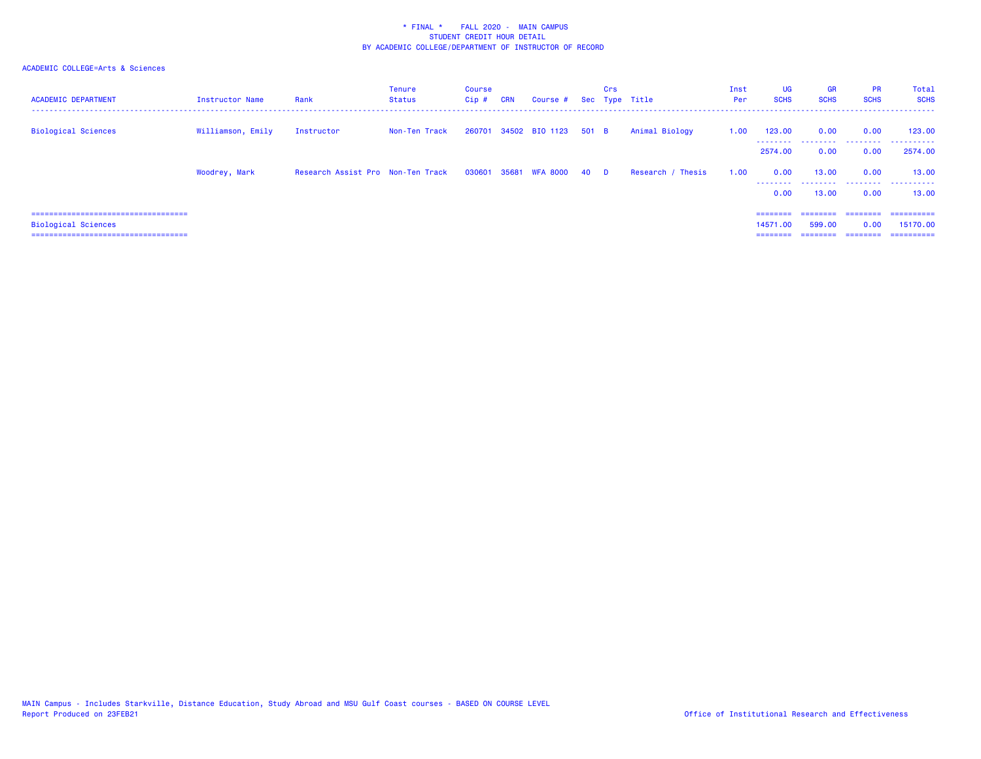| <b>ACADEMIC DEPARTMENT</b>            | Instructor Name   | Rank                              | Tenure<br>Status | Course<br>Cip# | <b>CRN</b> | Course # Sec Type Title    |       | Crs |                   | Inst<br>Per | UG<br><b>SCHS</b>   | <b>GR</b><br><b>SCHS</b> | <b>PR</b><br><b>SCHS</b> | Total<br><b>SCHS</b> |
|---------------------------------------|-------------------|-----------------------------------|------------------|----------------|------------|----------------------------|-------|-----|-------------------|-------------|---------------------|--------------------------|--------------------------|----------------------|
| <b>Biological Sciences</b>            | Williamson, Emily | Instructor                        | Non-Ten Track    |                |            | 260701 34502 BIO 1123      | 501 B |     | Animal Biology    | 1.00        | 123.00<br>--------- | 0.00<br>.                | 0.00<br>.                | 123,00<br>.          |
|                                       |                   |                                   |                  |                |            |                            |       |     |                   |             | 2574.00             | 0.00                     | 0.00                     | 2574.00              |
|                                       | Woodrey, Mark     | Research Assist Pro Non-Ten Track |                  |                |            | 030601 35681 WFA 8000 40 D |       |     | Research / Thesis | 1.00        | 0.00<br>---------   | 13,00<br>.               | 0.00                     | 13,00<br>            |
|                                       |                   |                                   |                  |                |            |                            |       |     |                   |             | 0.00                | 13,00                    | 0.00                     | 13,00                |
| ===================================== |                   |                                   |                  |                |            |                            |       |     |                   |             | ========            | ========                 | ---------                | ==========           |
| Biological Sciences                   |                   |                                   |                  |                |            |                            |       |     |                   |             | 14571.00            | 599.00                   | 0.00                     | 15170.00             |
| ===================================== |                   |                                   |                  |                |            |                            |       |     |                   |             | $=$ = = = = = = =   | $=$ = = = = = = =        | ========                 | ==========           |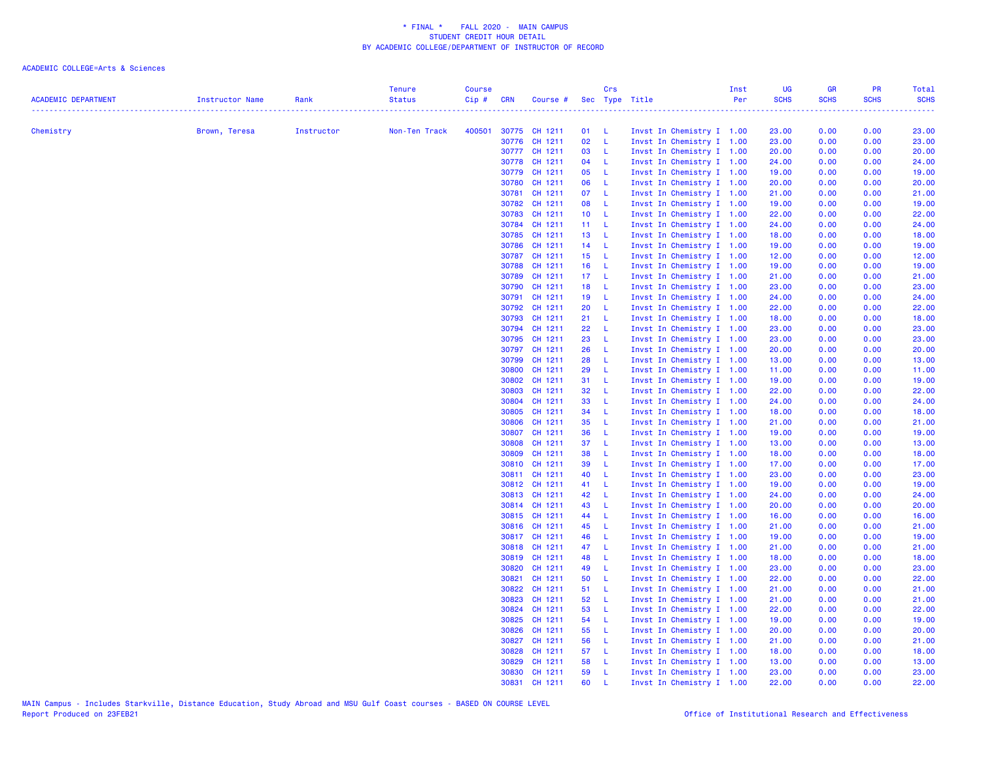| <b>ACADEMIC DEPARTMENT</b> | Instructor Name | Rank       | <b>Tenure</b><br><b>Status</b> | <b>Course</b><br>Cip# | <b>CRN</b> | Course #                       |                 | Crs          | Sec Type Title |                                                        | Inst<br>Per | UG<br><b>SCHS</b> | <b>GR</b><br><b>SCHS</b> | <b>PR</b><br><b>SCHS</b> | Total<br><b>SCHS</b> |
|----------------------------|-----------------|------------|--------------------------------|-----------------------|------------|--------------------------------|-----------------|--------------|----------------|--------------------------------------------------------|-------------|-------------------|--------------------------|--------------------------|----------------------|
|                            |                 |            |                                |                       |            |                                |                 |              |                |                                                        |             | 2.2.2.2.2.2.2     |                          | .                        | .                    |
| Chemistry                  | Brown, Teresa   | Instructor | Non-Ten Track                  | 400501                |            | 30775 CH 1211                  | 01 L            |              |                | Invst In Chemistry I 1.00                              |             | 23.00             | 0.00                     | 0.00                     | 23.00                |
|                            |                 |            |                                |                       |            | 30776 CH 1211                  | 02              | $-L$         |                | Invst In Chemistry I 1.00                              |             | 23.00             | 0.00                     | 0.00                     | 23.00                |
|                            |                 |            |                                |                       |            | 30777 CH 1211                  | 03 L            |              |                | Invst In Chemistry I 1.00                              |             | 20.00             | 0.00                     | 0.00                     | 20.00                |
|                            |                 |            |                                |                       |            | 30778 CH 1211                  | 04              | $\mathbf{L}$ |                | Invst In Chemistry I 1.00                              |             | 24.00             | 0.00                     | 0.00                     | 24.00                |
|                            |                 |            |                                |                       |            | 30779 CH 1211                  | 05              | $-L$         |                | Invst In Chemistry I 1.00                              |             | 19.00             | 0.00                     | 0.00                     | 19.00                |
|                            |                 |            |                                |                       |            | 30780 CH 1211                  | 06              | $-L$         |                | Invst In Chemistry I 1.00                              |             | 20.00             | 0.00                     | 0.00                     | 20.00                |
|                            |                 |            |                                |                       |            | 30781 CH 1211                  | 07 L            |              |                | Invst In Chemistry I 1.00                              |             | 21.00             | 0.00                     | 0.00                     | 21.00                |
|                            |                 |            |                                |                       |            | 30782 CH 1211                  | 08 L            |              |                | Invst In Chemistry I 1.00                              |             | 19.00             | 0.00                     | 0.00                     | 19.00                |
|                            |                 |            |                                |                       |            | 30783 CH 1211                  | 10 <sub>1</sub> | $\mathbf{L}$ |                | Invst In Chemistry I 1.00                              |             | 22.00             | 0.00                     | 0.00                     | 22.00                |
|                            |                 |            |                                |                       |            | 30784 CH 1211                  | 11 L            |              |                | Invst In Chemistry I 1.00                              |             | 24.00             | 0.00                     | 0.00                     | 24.00                |
|                            |                 |            |                                |                       |            | 30785 CH 1211                  | 13 L            |              |                | Invst In Chemistry I 1.00                              |             | 18.00             | 0.00                     | 0.00                     | 18.00                |
|                            |                 |            |                                |                       |            | 30786 CH 1211                  | 14              | $\mathbf{L}$ |                | Invst In Chemistry I 1.00                              |             | 19.00             | 0.00                     | 0.00                     | 19.00                |
|                            |                 |            |                                |                       |            | 30787 CH 1211                  | 15 L            |              |                | Invst In Chemistry I 1.00                              |             | 12.00             | 0.00                     | 0.00                     | 12.00                |
|                            |                 |            |                                |                       |            | 30788 CH 1211                  | 16 L            |              |                | Invst In Chemistry I 1.00                              |             | 19.00             | 0.00                     | 0.00                     | 19.00                |
|                            |                 |            |                                |                       |            | 30789 CH 1211                  | 17 L            |              |                | Invst In Chemistry I 1.00                              |             | 21.00             | 0.00                     | 0.00                     | 21.00                |
|                            |                 |            |                                |                       |            | 30790 CH 1211                  | 18              | $-L$         |                | Invst In Chemistry I 1.00                              |             | 23.00             | 0.00                     | 0.00                     | 23.00                |
|                            |                 |            |                                |                       |            | 30791 CH 1211                  | 19 L            |              |                | Invst In Chemistry I 1.00                              |             | 24.00             | 0.00                     | 0.00                     | 24.00                |
|                            |                 |            |                                |                       |            | 30792 CH 1211                  | 20              | - L          |                | Invst In Chemistry I 1.00                              |             | 22.00             | 0.00                     | 0.00                     | 22.00                |
|                            |                 |            |                                |                       |            | 30793 CH 1211                  | 21 L            |              |                | Invst In Chemistry I 1.00                              |             | 18.00             | 0.00                     | 0.00                     | 18.00                |
|                            |                 |            |                                |                       |            | 30794 CH 1211                  | 22              | - L          |                | Invst In Chemistry I 1.00                              |             | 23.00             | 0.00                     | 0.00                     | 23.00                |
|                            |                 |            |                                |                       |            | 30795 CH 1211                  | 23              | - L          |                | Invst In Chemistry I 1.00                              |             | 23.00             | 0.00                     | 0.00                     | 23.00                |
|                            |                 |            |                                |                       |            | 30797 CH 1211                  | 26              | $-L$         |                | Invst In Chemistry I 1.00                              |             | 20.00             | 0.00                     | 0.00                     | 20.00                |
|                            |                 |            |                                |                       |            | 30799 CH 1211                  | 28              | - L          |                | Invst In Chemistry I 1.00                              |             | 13.00             | 0.00                     | 0.00                     | 13.00                |
|                            |                 |            |                                |                       | 30800      | CH 1211                        | 29              | $-L$         |                | Invst In Chemistry I 1.00                              |             | 11.00             | 0.00                     | 0.00                     | 11.00                |
|                            |                 |            |                                |                       |            | 30802 CH 1211                  | 31              | - L          |                | Invst In Chemistry I 1.00                              |             | 19.00             | 0.00                     | 0.00                     | 19.00                |
|                            |                 |            |                                |                       |            | 30803 CH 1211                  | 32              | $-L$         |                | Invst In Chemistry I 1.00                              |             | 22.00             | 0.00                     | 0.00                     | 22.00                |
|                            |                 |            |                                |                       |            | 30804 CH 1211                  | 33              | $-L$         |                | Invst In Chemistry I 1.00                              |             | 24.00             | 0.00                     | 0.00                     | 24.00                |
|                            |                 |            |                                |                       |            | 30805 CH 1211                  | 34              | $-L$         |                | Invst In Chemistry I 1.00                              |             | 18.00             | 0.00                     | 0.00                     | 18.00                |
|                            |                 |            |                                |                       | 30806      | CH 1211                        | 35              | $\mathbf{L}$ |                | Invst In Chemistry I 1.00                              |             | 21.00             | 0.00                     | 0.00                     | 21.00                |
|                            |                 |            |                                |                       |            | 30807 CH 1211                  | 36              | - L          |                | Invst In Chemistry I 1.00                              |             | 19.00             | 0.00                     | 0.00                     | 19.00                |
|                            |                 |            |                                |                       | 30808      | CH 1211                        | 37 L            |              |                | Invst In Chemistry I 1.00                              |             | 13.00             | 0.00                     | 0.00                     | 13.00                |
|                            |                 |            |                                |                       |            | 30809 CH 1211                  | 38              | $-L$         |                | Invst In Chemistry I 1.00                              |             | 18.00             | 0.00                     | 0.00                     | 18.00                |
|                            |                 |            |                                |                       |            | 30810 CH 1211                  | 39              | - L          |                | Invst In Chemistry I 1.00                              |             | 17.00             | 0.00                     | 0.00                     | 17.00                |
|                            |                 |            |                                |                       |            | 30811 CH 1211                  | 40 L            |              |                | Invst In Chemistry I 1.00                              |             | 23.00             | 0.00                     | 0.00                     | 23.00                |
|                            |                 |            |                                |                       |            | 30812 CH 1211                  | 41 L            |              |                | Invst In Chemistry I 1.00                              |             | 19.00             | 0.00                     | 0.00                     | 19.00                |
|                            |                 |            |                                |                       |            | 30813 CH 1211                  | 42 L            |              |                | Invst In Chemistry I 1.00                              |             | 24.00             | 0.00                     | 0.00                     | 24.00                |
|                            |                 |            |                                |                       |            | 30814 CH 1211                  | 43              | $\mathbf{L}$ |                | Invst In Chemistry I 1.00                              |             | 20.00             | 0.00                     | 0.00                     | 20.00                |
|                            |                 |            |                                |                       |            | 30815 CH 1211                  | 44              | - L          |                | Invst In Chemistry I 1.00                              |             | 16.00             | 0.00                     | 0.00                     | 16.00                |
|                            |                 |            |                                |                       |            | 30816 CH 1211<br>30817 CH 1211 | 45 L<br>46      | $-L$         |                | Invst In Chemistry I 1.00                              |             | 21.00             | 0.00                     | 0.00                     | 21.00                |
|                            |                 |            |                                |                       |            | 30818 CH 1211                  | 47 L            |              |                | Invst In Chemistry I 1.00<br>Invst In Chemistry I 1.00 |             | 19.00<br>21.00    | 0.00<br>0.00             | 0.00<br>0.00             | 19.00<br>21.00       |
|                            |                 |            |                                |                       |            |                                |                 |              |                |                                                        |             |                   |                          |                          |                      |
|                            |                 |            |                                |                       |            | 30819 CH 1211                  | 48<br>49        | $-L$<br>- L  |                | Invst In Chemistry I 1.00                              |             | 18.00             | 0.00                     | 0.00                     | 18.00                |
|                            |                 |            |                                |                       |            | 30820 CH 1211                  |                 | - L          |                | Invst In Chemistry I 1.00                              |             | 23.00             | 0.00                     | 0.00                     | 23.00                |
|                            |                 |            |                                |                       |            | 30821 CH 1211<br>30822 CH 1211 | 50<br>51 L      |              |                | Invst In Chemistry I 1.00                              |             | 22.00<br>21.00    | 0.00<br>0.00             | 0.00<br>0.00             | 22.00<br>21.00       |
|                            |                 |            |                                |                       |            | 30823 CH 1211                  | 52              | $-L$         |                | Invst In Chemistry I 1.00<br>Invst In Chemistry I 1.00 |             |                   |                          |                          | 21.00                |
|                            |                 |            |                                |                       |            | 30824 CH 1211                  | 53              | - L          |                | Invst In Chemistry I 1.00                              |             | 21.00<br>22.00    | 0.00                     | 0.00<br>0.00             | 22.00                |
|                            |                 |            |                                |                       |            | 30825 CH 1211                  | 54              | $-L$         |                | Invst In Chemistry I 1.00                              |             | 19.00             | 0.00<br>0.00             | 0.00                     | 19.00                |
|                            |                 |            |                                |                       |            | 30826 CH 1211                  | 55              | - L          |                | Invst In Chemistry I 1.00                              |             | 20.00             | 0.00                     | 0.00                     | 20.00                |
|                            |                 |            |                                |                       |            | 30827 CH 1211                  | 56              | $-L$         |                | Invst In Chemistry I 1.00                              |             | 21.00             | 0.00                     | 0.00                     | 21.00                |
|                            |                 |            |                                |                       |            | 30828 CH 1211                  | 57 L            |              |                | Invst In Chemistry I 1.00                              |             | 18.00             | 0.00                     | 0.00                     | 18.00                |
|                            |                 |            |                                |                       | 30829      | CH 1211                        | 58              | - L          |                |                                                        |             |                   |                          |                          |                      |
|                            |                 |            |                                |                       |            | 30830 CH 1211                  | 59              | - L          |                | Invst In Chemistry I 1.00<br>Invst In Chemistry I 1.00 |             | 13.00<br>23.00    | 0.00<br>0.00             | 0.00<br>0.00             | 13.00<br>23.00       |
|                            |                 |            |                                |                       |            | 30831 CH 1211                  | 60              | $\mathbf{L}$ |                | Invst In Chemistry I 1.00                              |             | 22.00             | 0.00                     | 0.00                     | 22.00                |
|                            |                 |            |                                |                       |            |                                |                 |              |                |                                                        |             |                   |                          |                          |                      |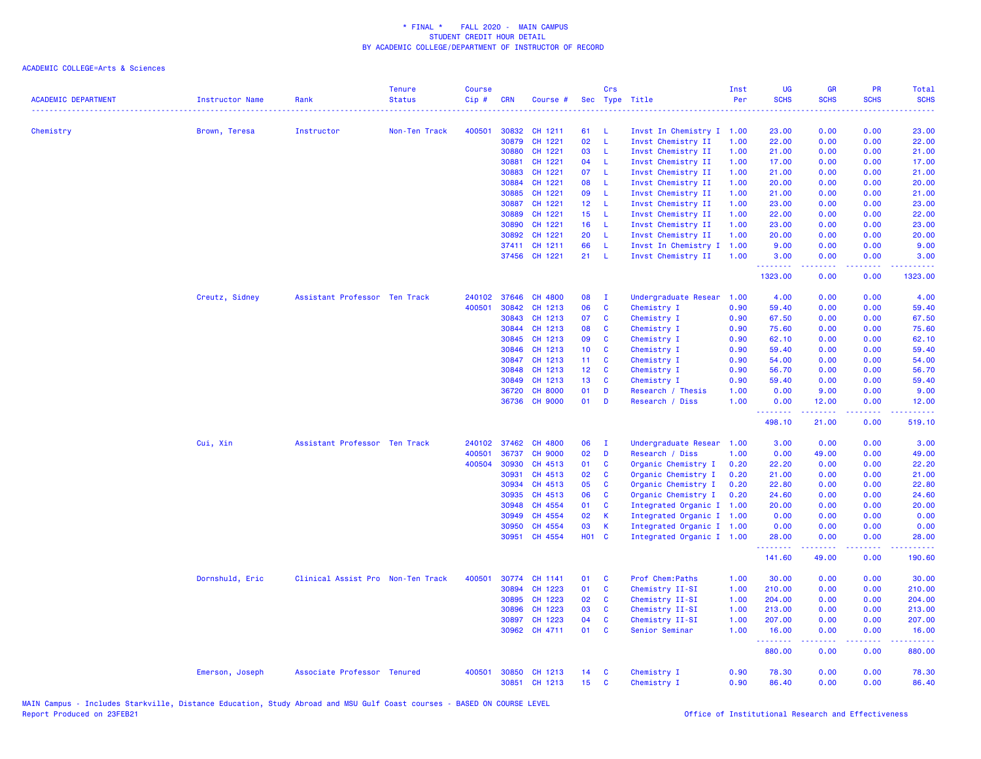| <b>ACADEMIC DEPARTMENT</b> | <b>Instructor Name</b> | Rank                              | <b>Tenure</b><br><b>Status</b> | <b>Course</b><br>$Cip$ # | <b>CRN</b> | Course #           |                 | Crs            | Sec Type Title                    | Inst<br>Per  | UG<br><b>SCHS</b>   | <b>GR</b><br><b>SCHS</b> | <b>PR</b><br><b>SCHS</b> | Total<br><b>SCHS</b>                                                                                                               |
|----------------------------|------------------------|-----------------------------------|--------------------------------|--------------------------|------------|--------------------|-----------------|----------------|-----------------------------------|--------------|---------------------|--------------------------|--------------------------|------------------------------------------------------------------------------------------------------------------------------------|
| Chemistry                  |                        | Instructor                        | Non-Ten Track                  | 400501                   | 30832      | CH 1211            | 61              | -L             | Invst In Chemistry I 1.00         |              | . <b>.</b><br>23.00 | 0.00                     | 0.00                     | $\frac{1}{2} \left( \frac{1}{2} \right) \left( \frac{1}{2} \right) \left( \frac{1}{2} \right) \left( \frac{1}{2} \right)$<br>23.00 |
|                            | Brown, Teresa          |                                   |                                |                          | 30879      | CH 1221            | 02              | L              | Invst Chemistry II                | 1.00         | 22.00               | 0.00                     | 0.00                     | 22.00                                                                                                                              |
|                            |                        |                                   |                                |                          | 30880      | CH 1221            | 03              | -L             | Invst Chemistry II                | 1.00         | 21.00               | 0.00                     | 0.00                     | 21.00                                                                                                                              |
|                            |                        |                                   |                                |                          | 30881      | CH 1221            | 04              | - L            | Invst Chemistry II                | 1.00         | 17.00               | 0.00                     | 0.00                     | 17.00                                                                                                                              |
|                            |                        |                                   |                                |                          | 30883      | CH 1221            | 07              | - L            | Invst Chemistry II                | 1.00         | 21.00               | 0.00                     | 0.00                     | 21.00                                                                                                                              |
|                            |                        |                                   |                                |                          | 30884      | CH 1221            | 08              | $\mathsf{L}$   | Invst Chemistry II                | 1.00         | 20.00               | 0.00                     | 0.00                     | 20.00                                                                                                                              |
|                            |                        |                                   |                                |                          | 30885      | CH 1221            | 09              | L.             | Invst Chemistry II                | 1.00         | 21.00               | 0.00                     | 0.00                     | 21.00                                                                                                                              |
|                            |                        |                                   |                                |                          | 30887      | CH 1221            | 12 <sup>°</sup> | - L            | Invst Chemistry II                | 1.00         | 23.00               | 0.00                     | 0.00                     | 23.00                                                                                                                              |
|                            |                        |                                   |                                |                          | 30889      | CH 1221            | 15 <sub>1</sub> | <b>L</b>       | Invst Chemistry II                | 1.00         | 22.00               | 0.00                     | 0.00                     | 22.00                                                                                                                              |
|                            |                        |                                   |                                |                          | 30890      | CH 1221            | 16              | L              | Invst Chemistry II                | 1.00         | 23.00               | 0.00                     | 0.00                     | 23.00                                                                                                                              |
|                            |                        |                                   |                                |                          | 30892      | CH 1221            | 20              | -L             | Invst Chemistry II                | 1.00         | 20.00               | 0.00                     | 0.00                     | 20.00                                                                                                                              |
|                            |                        |                                   |                                |                          | 37411      | CH 1211            | 66              | -L.            | Invst In Chemistry I              | 1.00         | 9.00                | 0.00                     | 0.00                     | 9.00                                                                                                                               |
|                            |                        |                                   |                                |                          |            | 37456 CH 1221      | 21              | - L            | Invst Chemistry II                | 1.00         | 3.00<br>.           | 0.00<br>-----            | 0.00<br>.                | 3.00<br>.                                                                                                                          |
|                            |                        |                                   |                                |                          |            |                    |                 |                |                                   |              | 1323.00             | 0.00                     | 0.00                     | 1323.00                                                                                                                            |
|                            | Creutz, Sidney         | Assistant Professor Ten Track     |                                | 240102                   | 37646      | CH 4800            | 08              | $\mathbf{I}$   | Undergraduate Resear              | 1.00         | 4.00                | 0.00                     | 0.00                     | 4.00                                                                                                                               |
|                            |                        |                                   |                                | 400501                   | 30842      | CH 1213            | 06              | C              | Chemistry I                       | 0.90         | 59.40               | 0.00                     | 0.00                     | 59.40                                                                                                                              |
|                            |                        |                                   |                                |                          | 30843      | CH 1213            | 07              | C              | Chemistry I                       | 0.90         | 67.50               | 0.00                     | 0.00                     | 67.50                                                                                                                              |
|                            |                        |                                   |                                |                          | 30844      | CH 1213            | 08              | C              | Chemistry I                       | 0.90         | 75.60               | 0.00                     | 0.00                     | 75.60                                                                                                                              |
|                            |                        |                                   |                                |                          | 30845      | CH 1213            | 09              | <b>C</b>       | Chemistry I                       | 0.90         | 62.10               | 0.00                     | 0.00                     | 62.10                                                                                                                              |
|                            |                        |                                   |                                |                          | 30846      | CH 1213            | 10 <sub>1</sub> | C              | Chemistry I                       | 0.90         | 59.40               | 0.00                     | 0.00                     | 59.40                                                                                                                              |
|                            |                        |                                   |                                |                          | 30847      | CH 1213            | 11 <sub>1</sub> | C              | Chemistry I                       | 0.90         | 54.00               | 0.00                     | 0.00                     | 54.00                                                                                                                              |
|                            |                        |                                   |                                |                          | 30848      | CH 1213            | 12 <sub>1</sub> | C              | Chemistry I                       | 0.90         | 56.70               | 0.00                     | 0.00                     | 56.70                                                                                                                              |
|                            |                        |                                   |                                |                          | 30849      | CH 1213            | 13              | C              | Chemistry I                       | 0.90         | 59.40               | 0.00                     | 0.00                     | 59.40                                                                                                                              |
|                            |                        |                                   |                                |                          | 36720      | <b>CH 8000</b>     | 01              | D              | Research / Thesis                 | 1.00         | 0.00                | 9.00                     | 0.00                     | 9.00                                                                                                                               |
|                            |                        |                                   |                                |                          |            | 36736 CH 9000      | 01              | D              | Research / Diss                   | 1.00         | 0.00<br>.           | 12.00<br>.               | 0.00<br>د د د د          | 12.00<br>.                                                                                                                         |
|                            |                        |                                   |                                |                          |            |                    |                 |                |                                   |              | 498.10              | 21.00                    | 0.00                     | 519.10                                                                                                                             |
|                            | Cui, Xin               | Assistant Professor Ten Track     |                                | 240102                   | 37462      | <b>CH 4800</b>     | 06              | $\blacksquare$ | Undergraduate Resear 1.00         |              | 3.00                | 0.00                     | 0.00                     | 3.00                                                                                                                               |
|                            |                        |                                   |                                | 400501                   | 36737      | <b>CH 9000</b>     | 02              | D              | Research / Diss                   | 1.00         | 0.00                | 49.00                    | 0.00                     | 49.00                                                                                                                              |
|                            |                        |                                   |                                | 400504                   | 30930      | CH 4513            | 01              | C              | Organic Chemistry I               | 0.20         | 22.20               | 0.00                     | 0.00                     | 22.20                                                                                                                              |
|                            |                        |                                   |                                |                          | 30931      | CH 4513            | 02              | C              | Organic Chemistry I               | 0.20         | 21.00               | 0.00                     | 0.00                     | 21.00                                                                                                                              |
|                            |                        |                                   |                                |                          | 30934      | CH 4513            | 05              | C              | Organic Chemistry I               | 0.20         | 22.80               | 0.00                     | 0.00                     | 22.80                                                                                                                              |
|                            |                        |                                   |                                |                          | 30935      | CH 4513            | 06              | C              | Organic Chemistry I               | 0.20         | 24.60               | 0.00                     | 0.00                     | 24.60                                                                                                                              |
|                            |                        |                                   |                                |                          | 30948      | CH 4554            | 01              | C              | Integrated Organic I 1.00         |              | 20.00               | 0.00                     | 0.00                     | 20.00                                                                                                                              |
|                            |                        |                                   |                                |                          | 30949      | CH 4554            | 02              | K              | Integrated Organic I 1.00         |              | 0.00                | 0.00                     | 0.00                     | 0.00                                                                                                                               |
|                            |                        |                                   |                                |                          | 30950      | CH 4554            | 03              | $\mathsf K$    | Integrated Organic I 1.00         |              | 0.00                | 0.00                     | 0.00                     | 0.00                                                                                                                               |
|                            |                        |                                   |                                |                          | 30951      | CH 4554            | H01 C           |                | Integrated Organic I 1.00         |              | 28.00<br>.          | 0.00                     | 0.00                     | 28.00<br>.                                                                                                                         |
|                            |                        |                                   |                                |                          |            |                    |                 |                |                                   |              | 141.60              | 49.00                    | 0.00                     | 190.60                                                                                                                             |
|                            | Dornshuld, Eric        | Clinical Assist Pro Non-Ten Track |                                | 400501                   | 30774      | CH 1141            | 01              | C              | Prof Chem: Paths                  | 1.00         | 30.00               | 0.00                     | 0.00                     | 30.00                                                                                                                              |
|                            |                        |                                   |                                |                          | 30894      | CH 1223            | 01              | $\mathbf{C}$   | Chemistry II-SI                   | 1.00         | 210.00              | 0.00                     | 0.00                     | 210.00                                                                                                                             |
|                            |                        |                                   |                                |                          | 30895      | CH 1223            | 02              | C              | Chemistry II-SI                   | 1.00         | 204.00              | 0.00                     | 0.00                     | 204.00                                                                                                                             |
|                            |                        |                                   |                                |                          | 30896      | CH 1223<br>CH 1223 | 03<br>04        | C              | Chemistry II-SI                   | 1.00         | 213.00              | 0.00                     | 0.00                     | 213.00                                                                                                                             |
|                            |                        |                                   |                                |                          | 30897      | CH 4711            | 01              | C<br>C         | Chemistry II-SI<br>Senior Seminar | 1.00<br>1.00 | 207.00              | 0.00                     | 0.00                     | 207.00                                                                                                                             |
|                            |                        |                                   |                                |                          | 30962      |                    |                 |                |                                   |              | 16.00<br>222222     | 0.00<br>.                | 0.00<br>ن د د د          | 16.00<br>.                                                                                                                         |
|                            |                        |                                   |                                |                          |            |                    |                 |                |                                   |              | 880.00              | 0.00                     | 0.00                     | 880.00                                                                                                                             |
|                            | Emerson, Joseph        | Associate Professor Tenured       |                                | 400501                   | 30850      | CH 1213            | 14              | C              | Chemistry I                       | 0.90         | 78.30               | 0.00                     | 0.00                     | 78.30                                                                                                                              |
|                            |                        |                                   |                                |                          |            | 30851 CH 1213      | 15              | C              | Chemistry I                       | 0.90         | 86.40               | 0.00                     | 0.00                     | 86.40                                                                                                                              |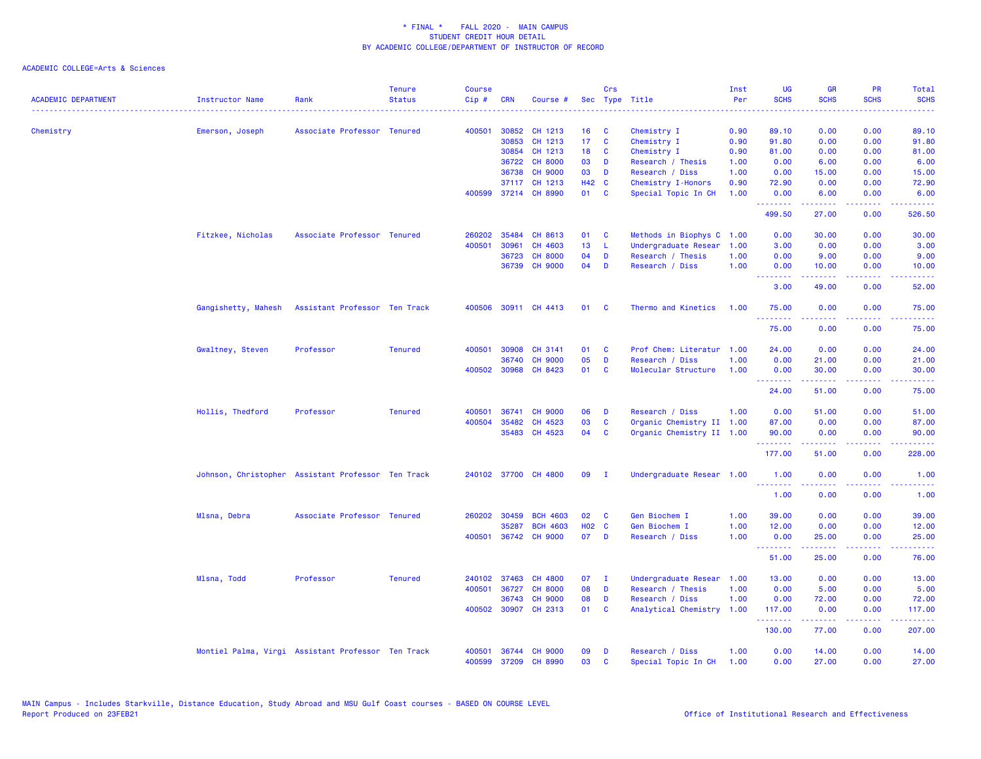| <b>ACADEMIC DEPARTMENT</b> | <b>Instructor Name</b>                             | Rank<br>. <u>.</u> .          | <b>Tenure</b><br><b>Status</b> | <b>Course</b><br>Cip# | <b>CRN</b>   | Course #             |                 | Crs          | Sec Type Title                        | Inst<br>Per<br>. | UG<br><b>SCHS</b>                                        | <b>GR</b><br><b>SCHS</b> | PR<br><b>SCHS</b>                                                                                                                 | Total<br><b>SCHS</b><br>.                                                                                                           |
|----------------------------|----------------------------------------------------|-------------------------------|--------------------------------|-----------------------|--------------|----------------------|-----------------|--------------|---------------------------------------|------------------|----------------------------------------------------------|--------------------------|-----------------------------------------------------------------------------------------------------------------------------------|-------------------------------------------------------------------------------------------------------------------------------------|
| Chemistry                  | Emerson, Joseph                                    | Associate Professor Tenured   |                                | 400501                | 30852        | CH 1213              | 16 <sup>1</sup> | C            | Chemistry I                           | 0.90             | 89.10                                                    | 0.00                     | 0.00                                                                                                                              | 89.10                                                                                                                               |
|                            |                                                    |                               |                                |                       | 30853        | CH 1213              | 17 <sub>1</sub> | $\mathbf{C}$ | Chemistry I                           | 0.90             | 91.80                                                    | 0.00                     | 0.00                                                                                                                              | 91.80                                                                                                                               |
|                            |                                                    |                               |                                |                       | 30854        | CH 1213              | 18              | C            | Chemistry I                           | 0.90             | 81.00                                                    | 0.00                     | 0.00                                                                                                                              | 81.00                                                                                                                               |
|                            |                                                    |                               |                                |                       | 36722        | <b>CH 8000</b>       | 03              | D            |                                       |                  | 0.00                                                     | 6.00                     | 0.00                                                                                                                              |                                                                                                                                     |
|                            |                                                    |                               |                                |                       | 36738        | <b>CH 9000</b>       | 03              | D            | Research / Thesis                     | 1.00<br>1.00     | 0.00                                                     | 15.00                    | 0.00                                                                                                                              | 6.00<br>15.00                                                                                                                       |
|                            |                                                    |                               |                                |                       |              | 37117 CH 1213        | $H42$ C         |              | Research / Diss<br>Chemistry I-Honors | 0.90             | 72.90                                                    | 0.00                     | 0.00                                                                                                                              | 72.90                                                                                                                               |
|                            |                                                    |                               |                                | 400599                |              | 37214 CH 8990        | 01              | <b>C</b>     |                                       |                  |                                                          |                          |                                                                                                                                   |                                                                                                                                     |
|                            |                                                    |                               |                                |                       |              |                      |                 |              | Special Topic In CH                   | 1.00             | 0.00<br><u>.</u>                                         | 6.00<br>.                | 0.00<br>.                                                                                                                         | 6.00                                                                                                                                |
|                            |                                                    |                               |                                |                       |              |                      |                 |              |                                       |                  | 499.50                                                   | 27.00                    | 0.00                                                                                                                              | 526.50                                                                                                                              |
|                            | Fitzkee, Nicholas                                  | Associate Professor Tenured   |                                | 260202                | 35484        | CH 8613              | 01 C            |              | Methods in Biophys C                  | 1.00             | 0.00                                                     | 30.00                    | 0.00                                                                                                                              | 30.00                                                                                                                               |
|                            |                                                    |                               |                                | 400501                | 30961        | CH 4603              | 13              | -L           | Undergraduate Resear                  | 1.00             | 3.00                                                     | 0.00                     | 0.00                                                                                                                              | 3.00                                                                                                                                |
|                            |                                                    |                               |                                |                       | 36723        | <b>CH 8000</b>       | 04              | D            | Research / Thesis                     | 1.00             | 0.00                                                     | 9.00                     | 0.00                                                                                                                              | 9.00                                                                                                                                |
|                            |                                                    |                               |                                |                       |              | 36739 CH 9000        | 04              | D            | Research / Diss                       | 1.00             | 0.00<br>--------                                         | 10.00<br>المستمعا        | 0.00<br>بالأباب                                                                                                                   | 10.00<br>.                                                                                                                          |
|                            |                                                    |                               |                                |                       |              |                      |                 |              |                                       |                  | 3.00                                                     | 49.00                    | 0.00                                                                                                                              | 52.00                                                                                                                               |
|                            | Gangishetty, Mahesh                                | Assistant Professor Ten Track |                                | 400506                |              | 30911 CH 4413        | 01              | <b>C</b>     | Thermo and Kinetics                   | 1.00             | 75.00                                                    | 0.00                     | 0.00                                                                                                                              | 75.00                                                                                                                               |
|                            |                                                    |                               |                                |                       |              |                      |                 |              |                                       |                  | .<br>75.00                                               | 0.00                     | $\frac{1}{2} \left( \frac{1}{2} \right) \left( \frac{1}{2} \right) \left( \frac{1}{2} \right) \left( \frac{1}{2} \right)$<br>0.00 | .<br>75.00                                                                                                                          |
|                            | Gwaltney, Steven                                   | Professor                     | <b>Tenured</b>                 | 400501                | 30908        | CH 3141              | 01              | C            | Prof Chem: Literatur 1.00             |                  | 24.00                                                    | 0.00                     | 0.00                                                                                                                              | 24.00                                                                                                                               |
|                            |                                                    |                               |                                |                       | 36740        | <b>CH 9000</b>       | 05              | D            | Research / Diss                       | 1.00             | 0.00                                                     | 21.00                    | 0.00                                                                                                                              | 21.00                                                                                                                               |
|                            |                                                    |                               |                                |                       |              | 400502 30968 CH 8423 | 01              | C            | Molecular Structure                   | 1.00             | 0.00<br><u>.</u>                                         | 30.00<br>د د د د د       | 0.00<br>.                                                                                                                         | 30.00<br>المتمامي                                                                                                                   |
|                            |                                                    |                               |                                |                       |              |                      |                 |              |                                       |                  | 24.00                                                    | 51.00                    | 0.00                                                                                                                              | 75.00                                                                                                                               |
|                            | Hollis, Thedford                                   | Professor                     | <b>Tenured</b>                 | 400501                | 36741        | <b>CH 9000</b>       | 06              | D            | Research / Diss                       | 1.00             | 0.00                                                     | 51.00                    | 0.00                                                                                                                              | 51.00                                                                                                                               |
|                            |                                                    |                               |                                | 400504                | 35482        | CH 4523              | 03              | C            | Organic Chemistry II 1.00             |                  | 87.00                                                    | 0.00                     | 0.00                                                                                                                              | 87.00                                                                                                                               |
|                            |                                                    |                               |                                |                       |              | 35483 CH 4523        | 04              | <b>C</b>     | Organic Chemistry II 1.00             |                  | 90.00<br>.                                               | 0.00                     | 0.00<br>$\sim$ $\sim$ $\sim$ $\sim$                                                                                               | 90.00<br>$\omega$ is $\omega$ in .                                                                                                  |
|                            |                                                    |                               |                                |                       |              |                      |                 |              |                                       |                  | 177.00                                                   | 51.00                    | 0.00                                                                                                                              | 228.00                                                                                                                              |
|                            | Johnson, Christopher Assistant Professor Ten Track |                               |                                |                       |              | 240102 37700 CH 4800 | 09              | $\mathbf{I}$ | Undergraduate Resear 1.00             |                  | 1.00<br><b><i><u><u><b>Little Little</b></u></u></i></b> | 0.00<br>.                | 0.00<br>$\frac{1}{2} \left( \frac{1}{2} \right) \left( \frac{1}{2} \right) \left( \frac{1}{2} \right) \left( \frac{1}{2} \right)$ | 1.00<br>$\frac{1}{2} \left( \frac{1}{2} \right) \left( \frac{1}{2} \right) \left( \frac{1}{2} \right) \left( \frac{1}{2} \right)$   |
|                            |                                                    |                               |                                |                       |              |                      |                 |              |                                       |                  | 1.00                                                     | 0.00                     | 0.00                                                                                                                              | 1.00                                                                                                                                |
|                            | Mlsna, Debra                                       | Associate Professor Tenured   |                                |                       | 260202 30459 | <b>BCH 4603</b>      | 02              | C            | Gen Biochem I                         | 1.00             | 39.00                                                    | 0.00                     | 0.00                                                                                                                              | 39.00                                                                                                                               |
|                            |                                                    |                               |                                |                       | 35287        | <b>BCH 4603</b>      | <b>HO2</b>      | <b>C</b>     | Gen Biochem I                         | 1.00             | 12.00                                                    | 0.00                     | 0.00                                                                                                                              | 12.00                                                                                                                               |
|                            |                                                    |                               |                                | 400501                |              | 36742 CH 9000        | 07              | D            | Research / Diss                       | 1.00             | 0.00<br><b>.</b> .                                       | 25.00<br>المتمامين       | 0.00<br>.                                                                                                                         | 25.00<br>.                                                                                                                          |
|                            |                                                    |                               |                                |                       |              |                      |                 |              |                                       |                  | 51.00                                                    | 25.00                    | 0.00                                                                                                                              | 76.00                                                                                                                               |
|                            | Mlsna, Todd                                        | Professor                     | <b>Tenured</b>                 |                       |              | 240102 37463 CH 4800 | 07              | $\mathbf{I}$ | Undergraduate Resear                  | 1.00             | 13.00                                                    | 0.00                     | 0.00                                                                                                                              | 13.00                                                                                                                               |
|                            |                                                    |                               |                                | 400501                | 36727        | <b>CH 8000</b>       | 08              | D            | Research / Thesis                     | 1.00             | 0.00                                                     | 5.00                     | 0.00                                                                                                                              | 5.00                                                                                                                                |
|                            |                                                    |                               |                                |                       | 36743        | <b>CH 9000</b>       | 08              | D            | Research / Diss                       | 1.00             | 0.00                                                     | 72.00                    | 0.00                                                                                                                              | 72.00                                                                                                                               |
|                            |                                                    |                               |                                |                       |              | 400502 30907 CH 2313 | 01              | C            | Analytical Chemistry 1.00             |                  | 117.00<br>.                                              | 0.00<br>د د د د د        | 0.00<br>.                                                                                                                         | 117.00<br>$\frac{1}{2} \left( \frac{1}{2} \right) \left( \frac{1}{2} \right) \left( \frac{1}{2} \right) \left( \frac{1}{2} \right)$ |
|                            |                                                    |                               |                                |                       |              |                      |                 |              |                                       |                  | 130.00                                                   | 77.00                    | 0.00                                                                                                                              | 207.00                                                                                                                              |
|                            | Montiel Palma, Virgi Assistant Professor Ten Track |                               |                                | 400501                | 36744        | <b>CH 9000</b>       | 09              | D            | Research / Diss                       | 1.00             | 0.00                                                     | 14.00                    | 0.00                                                                                                                              | 14.00                                                                                                                               |
|                            |                                                    |                               |                                | 400599                |              | 37209 CH 8990        | 03              | $\mathbf{C}$ | Special Topic In CH                   | 1.00             | 0.00                                                     | 27.00                    | 0.00                                                                                                                              | 27.00                                                                                                                               |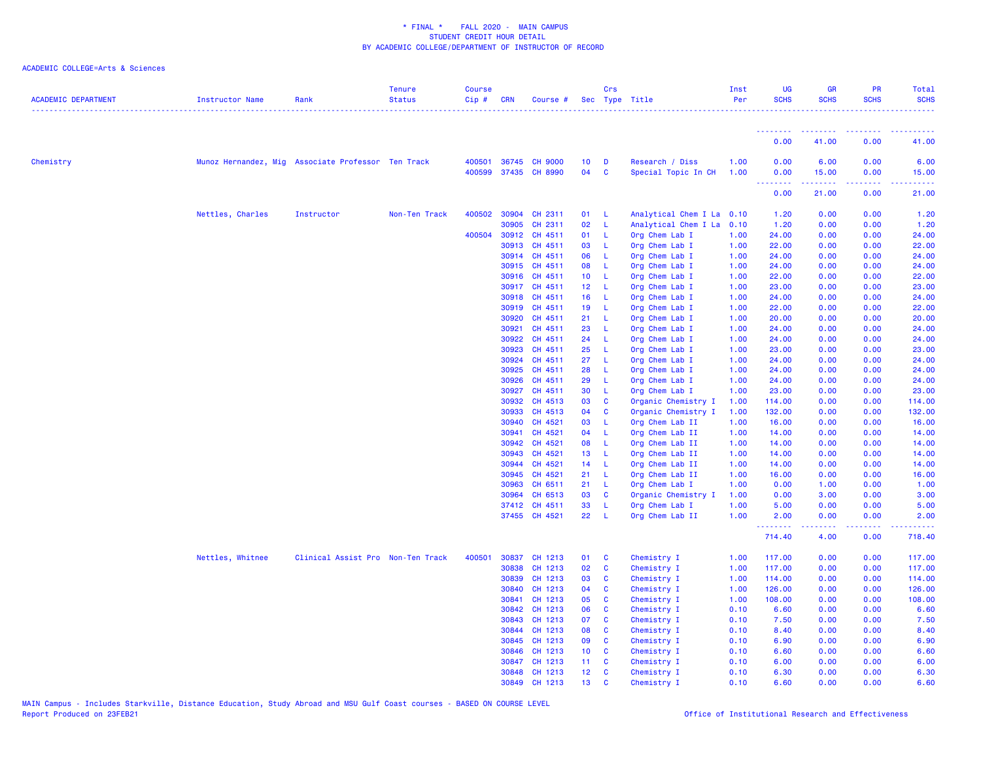| <b>ACADEMIC DEPARTMENT</b> | Instructor Name                                    | Rank                              | <b>Tenure</b><br><b>Status</b> | <b>Course</b><br>Cip# | <b>CRN</b>     | Course #                               |                       | Crs               | Sec Type Title                         | Inst<br>Per  | <b>UG</b><br><b>SCHS</b>            | <b>GR</b><br><b>SCHS</b> | <b>PR</b><br><b>SCHS</b>                                                                                                  | Total<br><b>SCHS</b> |
|----------------------------|----------------------------------------------------|-----------------------------------|--------------------------------|-----------------------|----------------|----------------------------------------|-----------------------|-------------------|----------------------------------------|--------------|-------------------------------------|--------------------------|---------------------------------------------------------------------------------------------------------------------------|----------------------|
|                            |                                                    |                                   |                                |                       |                |                                        |                       |                   |                                        |              | .                                   |                          |                                                                                                                           |                      |
|                            |                                                    |                                   |                                |                       |                |                                        |                       |                   |                                        |              | 0.00                                | 41.00                    | 0.00                                                                                                                      | 41.00                |
| Chemistry                  | Munoz Hernandez, Mig Associate Professor Ten Track |                                   |                                | 400501                | 36745          | <b>CH 9000</b><br>400599 37435 CH 8990 | 10 <sub>1</sub><br>04 | D<br>$\mathbf{C}$ | Research / Diss<br>Special Topic In CH | 1.00<br>1.00 | 0.00<br>0.00                        | 6.00<br>15.00            | 0.00<br>0.00                                                                                                              | 6.00<br>15.00        |
|                            |                                                    |                                   |                                |                       |                |                                        |                       |                   |                                        |              | $\sim$ $\sim$ $\sim$ $\sim$<br>0.00 | 21.00                    | $\omega$ is $\omega$ in<br>0.00                                                                                           | 21.00                |
|                            | Nettles, Charles                                   | Instructor                        | Non-Ten Track                  |                       | 400502 30904   | CH 2311                                | 01 L                  |                   | Analytical Chem I La 0.10              |              | 1.20                                | 0.00                     | 0.00                                                                                                                      | 1.20                 |
|                            |                                                    |                                   |                                |                       | 30905          | CH 2311                                | 02                    | -L                | Analytical Chem I La                   | 0.10         | 1.20                                | 0.00                     | 0.00                                                                                                                      | 1.20                 |
|                            |                                                    |                                   |                                | 400504                | 30912          | CH 4511                                | 01                    | - L               | Org Chem Lab I                         | 1.00         | 24.00                               | 0.00                     | 0.00                                                                                                                      | 24.00                |
|                            |                                                    |                                   |                                |                       | 30913          | CH 4511                                | 03                    | -L                | Org Chem Lab I                         | 1.00         | 22.00                               | 0.00                     | 0.00                                                                                                                      | 22.00                |
|                            |                                                    |                                   |                                |                       | 30914          | CH 4511                                | 06                    | -L                | Org Chem Lab I                         | 1.00         | 24.00                               | 0.00                     | 0.00                                                                                                                      | 24.00                |
|                            |                                                    |                                   |                                |                       | 30915          | CH 4511                                | 08                    | - L               | Org Chem Lab I                         | 1.00         | 24.00                               | 0.00                     | 0.00                                                                                                                      | 24.00                |
|                            |                                                    |                                   |                                |                       | 30916          | CH 4511                                | 10 <sub>1</sub>       | - L               | Org Chem Lab I                         | 1.00         | 22.00                               | 0.00                     | 0.00                                                                                                                      | 22.00                |
|                            |                                                    |                                   |                                |                       |                | 30917 CH 4511                          | 12 <sub>2</sub>       | - L               | Org Chem Lab I                         | 1.00         | 23.00                               | 0.00                     | 0.00                                                                                                                      | 23.00                |
|                            |                                                    |                                   |                                |                       | 30918          | CH 4511                                | 16                    | - L               | Org Chem Lab I                         | 1.00         | 24.00                               | 0.00                     | 0.00                                                                                                                      | 24.00                |
|                            |                                                    |                                   |                                |                       | 30919          | CH 4511                                | 19                    | $\mathsf{L}$      | Org Chem Lab I                         | 1.00         | 22.00                               | 0.00                     | 0.00                                                                                                                      | 22.00                |
|                            |                                                    |                                   |                                |                       | 30920          | CH 4511                                | 21                    | -L                | Org Chem Lab I                         | 1.00         | 20.00                               | 0.00                     | 0.00                                                                                                                      | 20.00                |
|                            |                                                    |                                   |                                |                       | 30921          | CH 4511                                | 23                    | -L                | Org Chem Lab I                         | 1.00         | 24.00                               | 0.00                     | 0.00                                                                                                                      | 24.00                |
|                            |                                                    |                                   |                                |                       | 30922          | CH 4511                                | 24                    | -L                | Org Chem Lab I                         | 1.00         | 24.00                               | 0.00                     | 0.00                                                                                                                      | 24.00                |
|                            |                                                    |                                   |                                |                       | 30923          | CH 4511                                | 25                    | - L               | Org Chem Lab I                         | 1.00         | 23.00                               | 0.00                     | 0.00                                                                                                                      | 23.00                |
|                            |                                                    |                                   |                                |                       | 30924          | CH 4511                                | 27                    | -L                | Org Chem Lab I                         | 1.00         | 24.00                               | 0.00                     | 0.00                                                                                                                      | 24.00                |
|                            |                                                    |                                   |                                |                       | 30925          | CH 4511                                | 28                    | L.                | Org Chem Lab I                         | 1.00         | 24.00                               | 0.00                     | 0.00                                                                                                                      | 24.00                |
|                            |                                                    |                                   |                                |                       | 30926          | CH 4511                                | 29                    | -L                | Org Chem Lab I                         | 1.00         | 24.00                               | 0.00                     | 0.00                                                                                                                      | 24.00                |
|                            |                                                    |                                   |                                |                       | 30927          | CH 4511                                | 30                    | L.                | Org Chem Lab I                         | 1.00         | 23.00                               | 0.00                     | 0.00                                                                                                                      | 23.00                |
|                            |                                                    |                                   |                                |                       | 30932          | CH 4513                                | 03                    | $\mathbf{C}$      | Organic Chemistry I                    | 1.00         | 114.00                              | 0.00                     | 0.00                                                                                                                      | 114.00               |
|                            |                                                    |                                   |                                |                       | 30933          | CH 4513                                | 04                    | <b>C</b>          | Organic Chemistry I                    | 1.00         | 132.00                              | 0.00                     | 0.00                                                                                                                      | 132.00               |
|                            |                                                    |                                   |                                |                       | 30940          | CH 4521                                | 03                    | -L                | Org Chem Lab II                        | 1.00         | 16.00                               | 0.00                     | 0.00                                                                                                                      | 16.00                |
|                            |                                                    |                                   |                                |                       | 30941          | CH 4521                                | 04                    | -L                | Org Chem Lab II                        | 1.00         | 14.00                               | 0.00                     | 0.00                                                                                                                      | 14.00                |
|                            |                                                    |                                   |                                |                       | 30942          | CH 4521                                | 08                    | $\mathsf{L}$      | Org Chem Lab II                        | 1.00         | 14.00                               | 0.00                     | 0.00                                                                                                                      | 14.00                |
|                            |                                                    |                                   |                                |                       | 30943<br>30944 | CH 4521<br>CH 4521                     | 13<br>14              | -L<br>- L         | Org Chem Lab II<br>Org Chem Lab II     | 1.00<br>1.00 | 14.00<br>14.00                      | 0.00<br>0.00             | 0.00<br>0.00                                                                                                              | 14.00<br>14.00       |
|                            |                                                    |                                   |                                |                       | 30945          | CH 4521                                | 21                    | - L               |                                        | 1.00         | 16.00                               | 0.00                     | 0.00                                                                                                                      | 16.00                |
|                            |                                                    |                                   |                                |                       | 30963          | CH 6511                                | 21                    | - L               | Org Chem Lab II                        | 1.00         |                                     |                          | 0.00                                                                                                                      |                      |
|                            |                                                    |                                   |                                |                       | 30964          | CH 6513                                | 03                    | <b>C</b>          | Org Chem Lab I<br>Organic Chemistry I  | 1.00         | 0.00<br>0.00                        | 1.00<br>3.00             | 0.00                                                                                                                      | 1.00<br>3.00         |
|                            |                                                    |                                   |                                |                       | 37412          | CH 4511                                | 33                    | -L                | Org Chem Lab I                         | 1.00         | 5.00                                | 0.00                     | 0.00                                                                                                                      | 5.00                 |
|                            |                                                    |                                   |                                |                       |                | 37455 CH 4521                          | 22                    | -L                | Org Chem Lab II                        | 1.00         | 2.00                                | 0.00                     | 0.00                                                                                                                      | 2.00                 |
|                            |                                                    |                                   |                                |                       |                |                                        |                       |                   |                                        |              | .                                   | د د د د                  | $\frac{1}{2} \left( \frac{1}{2} \right) \left( \frac{1}{2} \right) \left( \frac{1}{2} \right) \left( \frac{1}{2} \right)$ | .                    |
|                            |                                                    |                                   |                                |                       |                |                                        |                       |                   |                                        |              | 714.40                              | 4.00                     | 0.00                                                                                                                      | 718.40               |
|                            | Nettles, Whitnee                                   | Clinical Assist Pro Non-Ten Track |                                | 400501                | 30837          | CH 1213                                | 01                    | <b>C</b>          | Chemistry I                            | 1.00         | 117.00                              | 0.00                     | 0.00                                                                                                                      | 117.00               |
|                            |                                                    |                                   |                                |                       | 30838          | CH 1213                                | 02                    | C                 | Chemistry I                            | 1.00         | 117.00                              | 0.00                     | 0.00                                                                                                                      | 117.00               |
|                            |                                                    |                                   |                                |                       | 30839          | CH 1213                                | 03                    | $\mathbf{C}$      | Chemistry I                            | 1.00         | 114.00                              | 0.00                     | 0.00                                                                                                                      | 114.00               |
|                            |                                                    |                                   |                                |                       | 30840          | CH 1213                                | 04                    | $\mathbf{C}$      | Chemistry I                            | 1.00         | 126.00                              | 0.00                     | 0.00                                                                                                                      | 126.00               |
|                            |                                                    |                                   |                                |                       | 30841          | CH 1213                                | 05                    | C                 | Chemistry I                            | 1.00         | 108.00                              | 0.00                     | 0.00                                                                                                                      | 108.00               |
|                            |                                                    |                                   |                                |                       | 30842          | CH 1213                                | 06                    | $\mathbf{C}$      | Chemistry I                            | 0.10         | 6.60                                | 0.00                     | 0.00                                                                                                                      | 6.60                 |
|                            |                                                    |                                   |                                |                       | 30843          | CH 1213                                | 07                    | $\mathbf{C}$      | Chemistry I                            | 0.10         | 7.50                                | 0.00                     | 0.00                                                                                                                      | 7.50                 |
|                            |                                                    |                                   |                                |                       | 30844          | CH 1213                                | 08                    | $\mathbf{C}$      | Chemistry I                            | 0.10         | 8.40                                | 0.00                     | 0.00                                                                                                                      | 8.40                 |
|                            |                                                    |                                   |                                |                       | 30845          | CH 1213                                | 09                    | C                 | Chemistry I                            | 0.10         | 6.90                                | 0.00                     | 0.00                                                                                                                      | 6.90                 |
|                            |                                                    |                                   |                                |                       | 30846          | CH 1213                                | 10 <sub>1</sub>       | $\mathbf{C}$      | Chemistry I                            | 0.10         | 6.60                                | 0.00                     | 0.00                                                                                                                      | 6.60                 |
|                            |                                                    |                                   |                                |                       | 30847          | CH 1213                                | 11                    | C                 | Chemistry I                            | 0.10         | 6.00                                | 0.00                     | 0.00                                                                                                                      | 6.00                 |
|                            |                                                    |                                   |                                |                       | 30848          | CH 1213                                | 12 <sub>2</sub>       | $\mathbf{C}$      | Chemistry I                            | 0.10         | 6.30                                | 0.00                     | 0.00                                                                                                                      | 6.30                 |
|                            |                                                    |                                   |                                |                       | 30849          | CH 1213                                | 13                    | $\mathbf{c}$      | Chemistry I                            | 0.10         | 6.60                                | 0.00                     | 0.00                                                                                                                      | 6.60                 |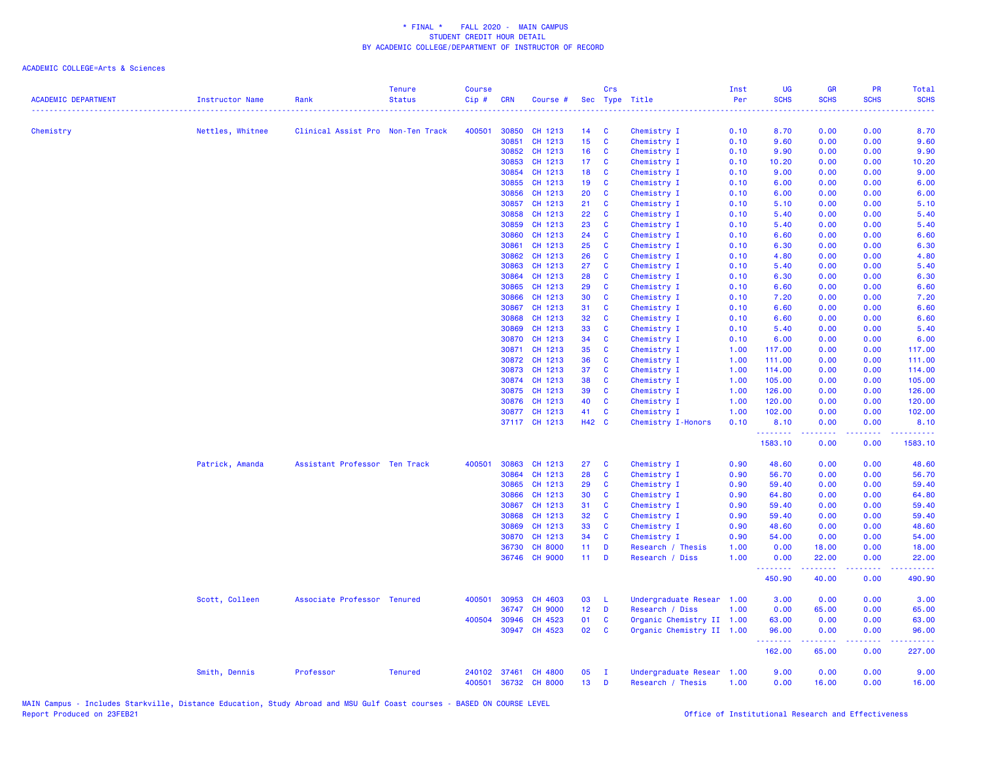|                            |                        |                                   | <b>Tenure</b>  | <b>Course</b> |              |                      |                 | Crs                     |                           | Inst | UG                     | <b>GR</b>         | <b>PR</b>          | Total                    |
|----------------------------|------------------------|-----------------------------------|----------------|---------------|--------------|----------------------|-----------------|-------------------------|---------------------------|------|------------------------|-------------------|--------------------|--------------------------|
| <b>ACADEMIC DEPARTMENT</b> | <b>Instructor Name</b> | Rank                              | <b>Status</b>  | $Cip$ #       | <b>CRN</b>   | Course #             |                 |                         | Sec Type Title            | Per  | <b>SCHS</b><br>2.2.2.2 | <b>SCHS</b>       | <b>SCHS</b>        | <b>SCHS</b>              |
| Chemistry                  | Nettles, Whitnee       | Clinical Assist Pro Non-Ten Track |                | 400501        | 30850        | CH 1213              | 14              | C                       | Chemistry I               | 0.10 | 8.70                   | 0.00              | 0.00               | 8.70                     |
|                            |                        |                                   |                |               | 30851        | CH 1213              | 15 <sub>1</sub> | C                       | Chemistry I               | 0.10 | 9.60                   | 0.00              | 0.00               | 9.60                     |
|                            |                        |                                   |                |               | 30852        | CH 1213              | 16              | C                       | Chemistry I               | 0.10 | 9.90                   | 0.00              | 0.00               | 9.90                     |
|                            |                        |                                   |                |               | 30853        | CH 1213              | 17 <sub>1</sub> | C                       | Chemistry I               | 0.10 | 10.20                  | 0.00              | 0.00               | 10.20                    |
|                            |                        |                                   |                |               | 30854        | CH 1213              | 18              | C                       | Chemistry I               | 0.10 | 9.00                   | 0.00              | 0.00               | 9.00                     |
|                            |                        |                                   |                |               | 30855        | CH 1213              | 19 <sup>°</sup> | C                       | Chemistry I               | 0.10 | 6.00                   | 0.00              | 0.00               | 6.00                     |
|                            |                        |                                   |                |               | 30856        | CH 1213              | 20              | C                       | Chemistry I               | 0.10 | 6.00                   | 0.00              | 0.00               | 6.00                     |
|                            |                        |                                   |                |               | 30857        | CH 1213              | 21              | C                       | Chemistry I               | 0.10 | 5.10                   | 0.00              | 0.00               | 5.10                     |
|                            |                        |                                   |                |               | 30858        | CH 1213              | 22              | C                       | Chemistry I               | 0.10 | 5.40                   | 0.00              | 0.00               | 5.40                     |
|                            |                        |                                   |                |               | 30859        | CH 1213              | 23              | C                       | Chemistry I               | 0.10 | 5.40                   | 0.00              | 0.00               | 5.40                     |
|                            |                        |                                   |                |               | 30860        | CH 1213              | 24              | <b>C</b>                | Chemistry I               | 0.10 | 6.60                   | 0.00              | 0.00               | 6.60                     |
|                            |                        |                                   |                |               | 30861        | CH 1213              | 25              | <b>C</b>                | Chemistry I               | 0.10 | 6.30                   | 0.00              | 0.00               | 6.30                     |
|                            |                        |                                   |                |               | 30862        | CH 1213              | 26              | C                       | Chemistry I               | 0.10 | 4.80                   | 0.00              | 0.00               | 4.80                     |
|                            |                        |                                   |                |               | 30863        | CH 1213              | 27              | C                       | Chemistry I               | 0.10 | 5.40                   | 0.00              | 0.00               | 5.40                     |
|                            |                        |                                   |                |               | 30864        | CH 1213              | 28              | C                       | Chemistry I               | 0.10 | 6.30                   | 0.00              | 0.00               | 6.30                     |
|                            |                        |                                   |                |               | 30865        | CH 1213              | 29              | C                       | Chemistry I               | 0.10 | 6.60                   | 0.00              | 0.00               | 6.60                     |
|                            |                        |                                   |                |               | 30866        | CH 1213              | 30              | $\mathbf{C}$            | Chemistry I               | 0.10 | 7.20                   | 0.00              | 0.00               | 7.20                     |
|                            |                        |                                   |                |               | 30867        | CH 1213              | 31              | C                       | Chemistry I               | 0.10 | 6.60                   | 0.00              | 0.00               | 6.60                     |
|                            |                        |                                   |                |               | 30868        | CH 1213              | 32              | C                       | Chemistry I               | 0.10 | 6.60                   | 0.00              | 0.00               | 6.60                     |
|                            |                        |                                   |                |               | 30869        | CH 1213              | 33              | C                       | Chemistry I               | 0.10 | 5.40                   | 0.00              | 0.00               | 5.40                     |
|                            |                        |                                   |                |               | 30870        | CH 1213              | 34              | C                       | Chemistry I               | 0.10 | 6.00                   | 0.00              | 0.00               | 6.00                     |
|                            |                        |                                   |                |               |              | 30871 CH 1213        | 35              | C                       | Chemistry I               | 1.00 | 117.00                 | 0.00              | 0.00               | 117.00                   |
|                            |                        |                                   |                |               | 30872        | CH 1213              | 36              | C                       | Chemistry I               | 1.00 | 111.00                 | 0.00              | 0.00               | 111.00                   |
|                            |                        |                                   |                |               | 30873        | CH 1213              | 37              | C                       | Chemistry I               | 1.00 | 114.00                 | 0.00              | 0.00               | 114.00                   |
|                            |                        |                                   |                |               |              | 30874 CH 1213        | 38              | <b>C</b>                | Chemistry I               | 1.00 | 105.00                 | 0.00              | 0.00               | 105.00                   |
|                            |                        |                                   |                |               |              | 30875 CH 1213        | 39              | C                       | Chemistry I               | 1.00 | 126.00                 | 0.00              | 0.00               | 126.00                   |
|                            |                        |                                   |                |               |              | 30876 CH 1213        | 40              | C                       | Chemistry I               | 1.00 | 120.00                 | 0.00              | 0.00               | 120.00                   |
|                            |                        |                                   |                |               |              | 30877 CH 1213        | 41              | <b>C</b>                | Chemistry I               | 1.00 | 102.00                 | 0.00              | 0.00               | 102.00                   |
|                            |                        |                                   |                |               |              | 37117 CH 1213        | H42 C           |                         | Chemistry I-Honors        | 0.10 | 8.10<br>.              | 0.00<br><u>.</u>  | 0.00               | 8.10<br>.                |
|                            |                        |                                   |                |               |              |                      |                 |                         |                           |      | 1583.10                | 0.00              | 0.00               | 1583.10                  |
|                            | Patrick, Amanda        | Assistant Professor Ten Track     |                | 400501        | 30863        | CH 1213              | 27              | C                       | Chemistry I               | 0.90 | 48.60                  | 0.00              | 0.00               | 48.60                    |
|                            |                        |                                   |                |               | 30864        | CH 1213              | 28              | C                       | Chemistry I               | 0.90 | 56.70                  | 0.00              | 0.00               | 56.70                    |
|                            |                        |                                   |                |               | 30865        | CH 1213              | 29              | C                       | Chemistry I               | 0.90 | 59.40                  | 0.00              | 0.00               | 59.40                    |
|                            |                        |                                   |                |               | 30866        | CH 1213              | 30              | C                       | Chemistry I               | 0.90 | 64.80                  | 0.00              | 0.00               | 64.80                    |
|                            |                        |                                   |                |               | 30867        | CH 1213              | 31              | C                       | Chemistry I               | 0.90 | 59.40                  | 0.00              | 0.00               | 59.40                    |
|                            |                        |                                   |                |               | 30868        | CH 1213              | 32              | C                       | Chemistry I               | 0.90 | 59.40                  | 0.00              | 0.00               | 59.40                    |
|                            |                        |                                   |                |               | 30869        | CH 1213              | 33              | <b>C</b>                | Chemistry I               | 0.90 | 48.60                  | 0.00              | 0.00               | 48.60                    |
|                            |                        |                                   |                |               | 30870        | CH 1213              | 34              | C                       | Chemistry I               | 0.90 | 54.00                  | 0.00              | 0.00               | 54.00                    |
|                            |                        |                                   |                |               | 36730        | <b>CH 8000</b>       | $11 -$          | <b>D</b>                | Research / Thesis         | 1.00 | 0.00                   | 18.00             | 0.00               | 18.00                    |
|                            |                        |                                   |                |               |              | 36746 CH 9000        | $11$ D          |                         | Research / Diss           | 1.00 | 0.00<br>.              | 22.00<br><u>.</u> | 0.00<br>a a a a an | 22.00<br>$- - - - - - -$ |
|                            |                        |                                   |                |               |              |                      |                 |                         |                           |      | 450.90                 | 40.00             | 0.00               | 490.90                   |
|                            | Scott, Colleen         | Associate Professor Tenured       |                | 400501        | 30953        | CH 4603              | 03              | - L                     | Undergraduate Resear 1.00 |      | 3.00                   | 0.00              | 0.00               | 3.00                     |
|                            |                        |                                   |                |               | 36747        | <b>CH 9000</b>       | 12 <sub>1</sub> | D                       | Research / Diss           | 1.00 | 0.00                   | 65.00             | 0.00               | 65.00                    |
|                            |                        |                                   |                |               | 400504 30946 | CH 4523              | 01              | C                       | Organic Chemistry II 1.00 |      | 63.00                  | 0.00              | 0.00               | 63.00                    |
|                            |                        |                                   |                |               | 30947        | CH 4523              | 02              | $\overline{\mathbf{C}}$ | Organic Chemistry II 1.00 |      | 96.00<br><u>.</u>      | 0.00<br>.         | 0.00<br>.          | 96.00<br>.               |
|                            |                        |                                   |                |               |              |                      |                 |                         |                           |      | 162.00                 | 65.00             | 0.00               | 227.00                   |
|                            | Smith, Dennis          | Professor                         | <b>Tenured</b> |               |              | 240102 37461 CH 4800 | 05              | $\mathbf{I}$            | Undergraduate Resear 1.00 |      | 9.00                   | 0.00              | 0.00               | 9.00                     |
|                            |                        |                                   |                | 400501        |              | 36732 CH 8000        | 13 <sup>°</sup> | D                       | Research / Thesis         | 1.00 | 0.00                   | 16.00             | 0.00               | 16.00                    |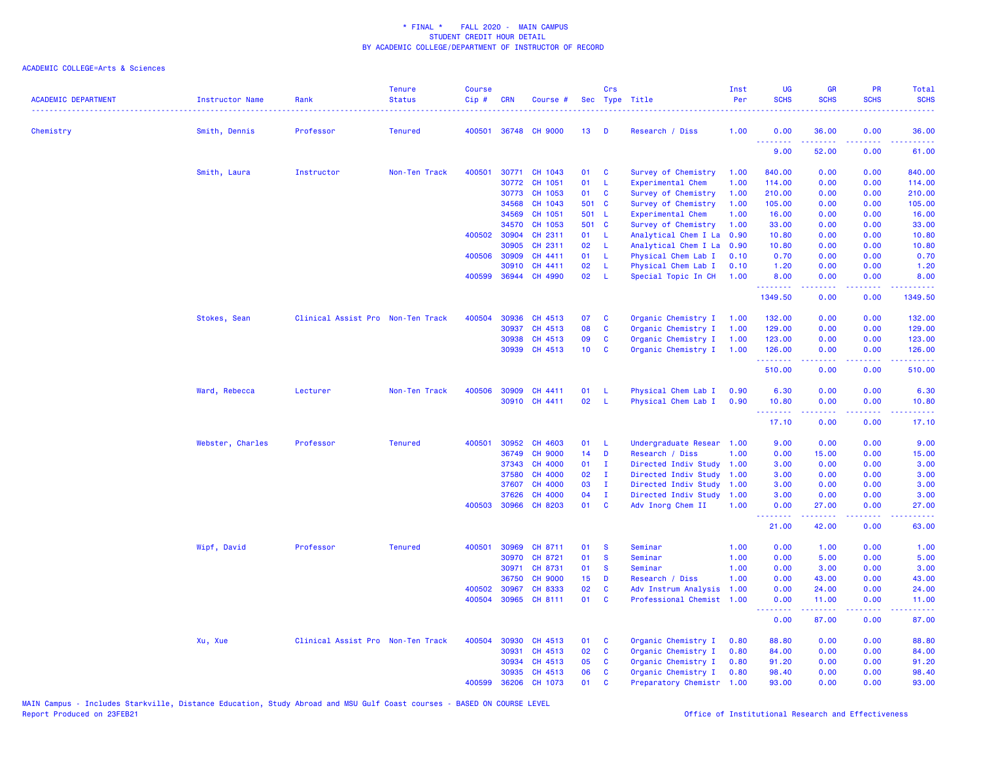| <b>ACADEMIC DEPARTMENT</b> | <b>Instructor Name</b> | Rank                              | <b>Tenure</b><br><b>Status</b> | <b>Course</b><br>Cip# | <b>CRN</b>     | Course #                 | Sec             | Crs               | Type Title                                 | Inst<br>Per  | <b>UG</b><br><b>SCHS</b>              | <b>GR</b><br><b>SCHS</b> | PR<br><b>SCHS</b>           | Total<br><b>SCHS</b>   |
|----------------------------|------------------------|-----------------------------------|--------------------------------|-----------------------|----------------|--------------------------|-----------------|-------------------|--------------------------------------------|--------------|---------------------------------------|--------------------------|-----------------------------|------------------------|
| Chemistry                  | Smith, Dennis          | Professor                         | <b>Tenured</b>                 | 400501                |                | 36748 CH 9000            | 13 <sup>1</sup> | D                 | Research / Diss                            | 1.00         | 0.00                                  | 36.00                    | 0.00                        | 36.00                  |
|                            |                        |                                   |                                |                       |                |                          |                 |                   |                                            |              | .<br>9.00                             | 52.00                    | $\sim 100$<br>0.00          | المتمامين<br>61.00     |
|                            | Smith, Laura           | Instructor                        | Non-Ten Track                  | 400501                | 30771          | CH 1043                  | 01              | C                 | Survey of Chemistry                        | 1.00         | 840.00                                | 0.00                     | 0.00                        | 840.00                 |
|                            |                        |                                   |                                |                       | 30772          | CH 1051                  | 01              | L                 | Experimental Chem                          | 1.00         | 114.00                                | 0.00                     | 0.00                        | 114.00                 |
|                            |                        |                                   |                                |                       | 30773          | CH 1053                  | 01              | C                 | Survey of Chemistry                        | 1.00         | 210.00                                | 0.00                     | 0.00                        | 210.00                 |
|                            |                        |                                   |                                |                       | 34568          | CH 1043                  | 501 C           |                   | Survey of Chemistry                        | 1.00         | 105.00                                | 0.00                     | 0.00                        | 105.00                 |
|                            |                        |                                   |                                |                       | 34569          | CH 1051                  | 501 L           |                   | Experimental Chem                          | 1.00         | 16.00                                 | 0.00                     | 0.00                        | 16.00                  |
|                            |                        |                                   |                                |                       | 34570          | CH 1053                  | 501 C           |                   | Survey of Chemistry                        | 1.00         | 33.00                                 | 0.00                     | 0.00                        | 33.00                  |
|                            |                        |                                   |                                | 400502                | 30904          | CH 2311                  | 01              | - L               | Analytical Chem I La                       | 0.90         | 10.80                                 | 0.00                     | 0.00                        | 10.80                  |
|                            |                        |                                   |                                |                       | 30905          | CH 2311                  | 02              | -L.               | Analytical Chem I La                       | 0.90         | 10.80                                 | 0.00                     | 0.00                        | 10.80                  |
|                            |                        |                                   |                                | 400506                | 30909          | CH 4411                  | 01              | -L                | Physical Chem Lab I                        | 0.10         | 0.70                                  | 0.00                     | 0.00                        | 0.70                   |
|                            |                        |                                   |                                | 400599                | 30910<br>36944 | CH 4411<br>CH 4990       | 02<br>02        | L<br>L            | Physical Chem Lab I<br>Special Topic In CH | 0.10<br>1.00 | 1.20<br>8.00                          | 0.00<br>0.00             | 0.00<br>0.00                | 1.20<br>8.00           |
|                            |                        |                                   |                                |                       |                |                          |                 |                   |                                            |              | .<br>1349.50                          | 0.00                     | $- - -$<br>0.00             | .<br>1349.50           |
|                            | Stokes, Sean           | Clinical Assist Pro Non-Ten Track |                                | 400504                | 30936          | CH 4513                  | 07              | C                 | Organic Chemistry I                        | 1.00         | 132.00                                | 0.00                     | 0.00                        | 132.00                 |
|                            |                        |                                   |                                |                       | 30937          | CH 4513                  | 08              | C                 | Organic Chemistry I                        | 1.00         | 129.00                                | 0.00                     | 0.00                        | 129.00                 |
|                            |                        |                                   |                                |                       | 30938          | CH 4513                  | 09              | C                 | Organic Chemistry I                        | 1.00         | 123.00                                | 0.00                     | 0.00                        | 123.00                 |
|                            |                        |                                   |                                |                       |                | 30939 CH 4513            | 10              | C                 | Organic Chemistry I                        | 1.00         | 126.00<br><b><i><u>AAAAAA</u></i></b> | 0.00<br>22222            | 0.00<br>.                   | 126.00<br>لأعاط عاطاته |
|                            |                        |                                   |                                |                       |                |                          |                 |                   |                                            |              | 510.00                                | 0.00                     | 0.00                        | 510.00                 |
|                            | Ward, Rebecca          | Lecturer                          | Non-Ten Track                  | 400506                | 30909          | CH 4411                  | 01              | L                 | Physical Chem Lab I                        | 0.90         | 6.30                                  | 0.00                     | 0.00                        | 6.30                   |
|                            |                        |                                   |                                |                       |                | 30910 CH 4411            | 02              | $\mathsf{L}$      | Physical Chem Lab I                        | 0.90         | 10.80<br><b></b>                      | 0.00<br>-----            | 0.00<br>.                   | 10.80<br>.             |
|                            |                        |                                   |                                |                       |                |                          |                 |                   |                                            |              | 17.10                                 | 0.00                     | 0.00                        | 17.10                  |
|                            | Webster, Charles       | Professor                         | <b>Tenured</b>                 | 400501                | 30952          | CH 4603                  | 01              | -L                | Undergraduate Resear 1.00                  |              | 9.00                                  | 0.00                     | 0.00                        | 9.00                   |
|                            |                        |                                   |                                |                       | 36749          | <b>CH 9000</b>           | 14              | D                 | Research / Diss                            | 1.00         | 0.00                                  | 15.00                    | 0.00                        | 15.00                  |
|                            |                        |                                   |                                |                       | 37343          | CH 4000                  | 01              | - I               | Directed Indiv Study                       | 1.00         | 3.00                                  | 0.00                     | 0.00                        | 3.00                   |
|                            |                        |                                   |                                |                       | 37580          | CH 4000                  | 02              | I.                | Directed Indiv Study                       | 1.00         | 3.00                                  | 0.00                     | 0.00                        | 3.00                   |
|                            |                        |                                   |                                |                       | 37607          | CH 4000                  | 03              | $\mathbf{I}$      | Directed Indiv Study                       | 1.00         | 3.00                                  | 0.00                     | 0.00                        | 3.00                   |
|                            |                        |                                   |                                | 400503                | 37626          | CH 4000<br>30966 CH 8203 | 04<br>01        | $\mathbf{I}$<br>C | Directed Indiv Study<br>Adv Inorg Chem II  | 1.00<br>1.00 | 3.00<br>0.00                          | 0.00<br>27.00            | 0.00<br>0.00                | 3.00<br>27.00          |
|                            |                        |                                   |                                |                       |                |                          |                 |                   |                                            |              | .                                     |                          | $\sim$ $\sim$ $\sim$ $\sim$ |                        |
|                            |                        |                                   |                                |                       |                |                          |                 |                   |                                            |              | 21.00                                 | 42.00                    | 0.00                        | 63.00                  |
|                            | Wipf, David            | Professor                         | <b>Tenured</b>                 | 400501                | 30969          | CH 8711                  | 01              | <b>S</b>          | Seminar                                    | 1.00         | 0.00                                  | 1.00                     | 0.00                        | 1.00                   |
|                            |                        |                                   |                                |                       | 30970          | CH 8721                  | 01              | <b>S</b>          | Seminar                                    | 1.00         | 0.00                                  | 5.00                     | 0.00                        | 5.00                   |
|                            |                        |                                   |                                |                       | 30971          | CH 8731                  | 01              | <b>S</b>          | Seminar                                    | 1.00         | 0.00                                  | 3.00                     | 0.00                        | 3.00                   |
|                            |                        |                                   |                                |                       | 36750          | <b>CH 9000</b>           | 15              | D                 | Research / Diss                            | 1.00         | 0.00                                  | 43.00                    | 0.00                        | 43.00                  |
|                            |                        |                                   |                                | 400502                | 30967          | CH 8333                  | 02              | C                 | Adv Instrum Analysis                       | 1.00         | 0.00                                  | 24.00                    | 0.00                        | 24.00                  |
|                            |                        |                                   |                                | 400504                | 30965          | CH 8111                  | 01              | <b>C</b>          | Professional Chemist                       | 1.00         | 0.00<br>--------                      | 11.00<br>-----           | 0.00<br>.                   | 11.00<br>.             |
|                            |                        |                                   |                                |                       |                |                          |                 |                   |                                            |              | 0.00                                  | 87.00                    | 0.00                        | 87.00                  |
|                            | Xu, Xue                | Clinical Assist Pro Non-Ten Track |                                | 400504                | 30930          | CH 4513                  | 01              | C                 | Organic Chemistry I                        | 0.80         | 88.80                                 | 0.00                     | 0.00                        | 88.80                  |
|                            |                        |                                   |                                |                       | 30931          | CH 4513                  | 02              | C                 | Organic Chemistry I                        | 0.80         | 84.00                                 | 0.00                     | 0.00                        | 84.00                  |
|                            |                        |                                   |                                |                       | 30934          | CH 4513                  | 05              | C                 | Organic Chemistry I                        | 0.80         | 91.20                                 | 0.00                     | 0.00                        | 91.20                  |
|                            |                        |                                   |                                |                       | 30935          | CH 4513                  | 06              | C                 | Organic Chemistry I                        | 0.80         | 98.40                                 | 0.00                     | 0.00                        | 98.40                  |
|                            |                        |                                   |                                | 400599                | 36206          | CH 1073                  | 01              | $\mathbf{c}$      | Preparatory Chemistr 1.00                  |              | 93.00                                 | 0.00                     | 0.00                        | 93.00                  |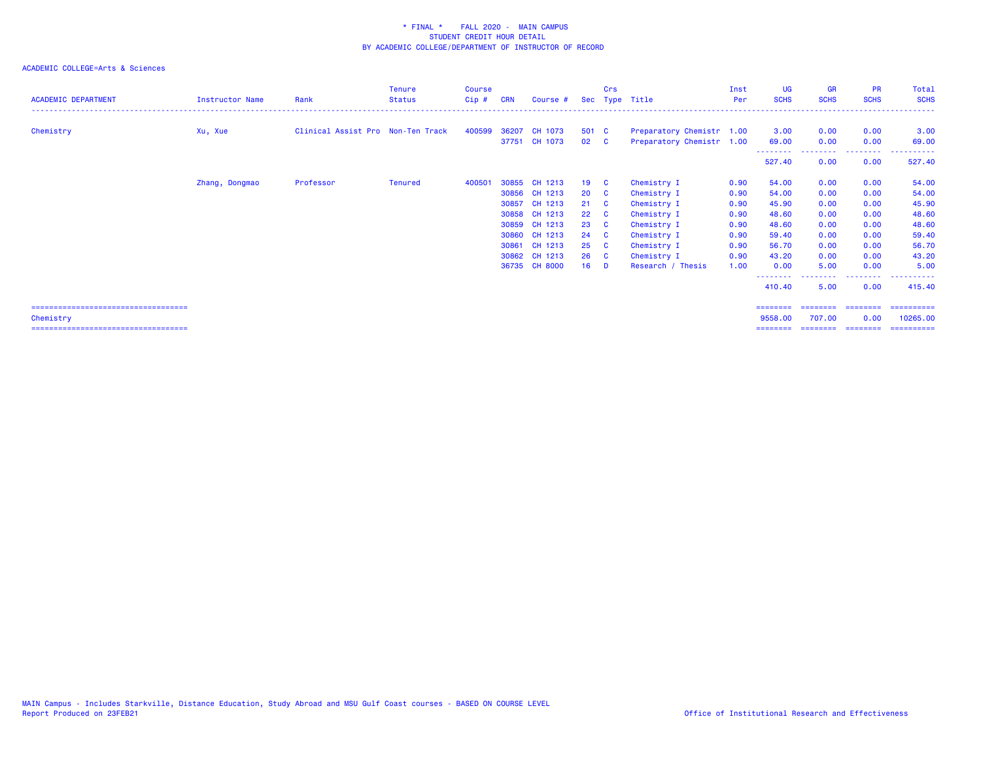| <b>Instructor Name</b> | Rank      | Tenure<br><b>Status</b> | <b>Course</b><br>$Cip$ #          | <b>CRN</b> | Course # |                                                                                                                                                                                      | Crs      |                                                                       |                |                   |                                                                                                                                               | <b>GR</b><br><b>SCHS</b>                                                                                                                                                              | <b>PR</b><br><b>SCHS</b>               | Total<br><b>SCHS</b>                   |
|------------------------|-----------|-------------------------|-----------------------------------|------------|----------|--------------------------------------------------------------------------------------------------------------------------------------------------------------------------------------|----------|-----------------------------------------------------------------------|----------------|-------------------|-----------------------------------------------------------------------------------------------------------------------------------------------|---------------------------------------------------------------------------------------------------------------------------------------------------------------------------------------|----------------------------------------|----------------------------------------|
| Xu, Xue                |           |                         | 400599                            |            |          |                                                                                                                                                                                      |          |                                                                       |                |                   |                                                                                                                                               | 0.00                                                                                                                                                                                  | 0.00                                   | 3.00<br>69.00                          |
|                        |           |                         |                                   |            |          |                                                                                                                                                                                      |          |                                                                       |                |                   |                                                                                                                                               | 0.00                                                                                                                                                                                  | --------<br>0.00                       | 527.40                                 |
| Zhang, Dongmao         | Professor | Tenured                 | 400501                            |            |          | 19                                                                                                                                                                                   | <b>C</b> | Chemistry I                                                           |                |                   |                                                                                                                                               | 0.00                                                                                                                                                                                  | 0.00                                   | 54.00                                  |
|                        |           |                         |                                   |            |          | 20 <sup>1</sup>                                                                                                                                                                      |          | Chemistry I                                                           |                |                   |                                                                                                                                               | 0.00                                                                                                                                                                                  | 0.00                                   | 54.00                                  |
|                        |           |                         |                                   | 30857      |          |                                                                                                                                                                                      |          | Chemistry I                                                           |                |                   |                                                                                                                                               | 0.00                                                                                                                                                                                  | 0.00                                   | 45.90                                  |
|                        |           |                         |                                   |            |          |                                                                                                                                                                                      |          | Chemistry I                                                           |                |                   |                                                                                                                                               | 0.00                                                                                                                                                                                  | 0.00                                   | 48.60                                  |
|                        |           |                         |                                   |            |          | 23                                                                                                                                                                                   | <b>C</b> | Chemistry I                                                           |                |                   |                                                                                                                                               | 0.00                                                                                                                                                                                  | 0.00                                   | 48.60                                  |
|                        |           |                         |                                   |            |          | 24                                                                                                                                                                                   | <b>C</b> | Chemistry I                                                           |                |                   |                                                                                                                                               | 0.00                                                                                                                                                                                  | 0.00                                   | 59.40                                  |
|                        |           |                         |                                   |            |          | 25                                                                                                                                                                                   | <b>C</b> | Chemistry I                                                           |                |                   |                                                                                                                                               | 0.00                                                                                                                                                                                  | 0.00                                   | 56.70                                  |
|                        |           |                         |                                   |            |          |                                                                                                                                                                                      |          | Chemistry I                                                           |                |                   |                                                                                                                                               | 0.00                                                                                                                                                                                  | 0.00                                   | 43.20                                  |
|                        |           |                         |                                   |            |          | 16                                                                                                                                                                                   | - D      |                                                                       |                |                   |                                                                                                                                               | 5.00                                                                                                                                                                                  | 0.00                                   | 5.00                                   |
|                        |           |                         |                                   |            |          |                                                                                                                                                                                      |          |                                                                       |                |                   |                                                                                                                                               | 5.00                                                                                                                                                                                  | 0.00                                   | 415.40                                 |
|                        |           |                         |                                   |            |          |                                                                                                                                                                                      |          |                                                                       |                |                   |                                                                                                                                               |                                                                                                                                                                                       |                                        | ==========                             |
|                        |           |                         |                                   |            |          |                                                                                                                                                                                      |          |                                                                       |                |                   |                                                                                                                                               |                                                                                                                                                                                       | 0.00                                   | 10265.00<br>==========                 |
|                        |           |                         | Clinical Assist Pro Non-Ten Track |            |          | 36207<br>CH 1073<br>37751 CH 1073<br>30855 CH 1213<br>30856 CH 1213<br>CH 1213<br>30858 CH 1213<br>30859 CH 1213<br>30860 CH 1213<br>30861 CH 1213<br>30862 CH 1213<br>36735 CH 8000 |          | 501 C<br>$02 \quad C$<br>$\mathbf{C}$<br>21 C<br>$22 \quad C$<br>26 C | Sec Type Title | Research / Thesis | Inst<br>Per<br>Preparatory Chemistr 1.00<br>Preparatory Chemistr 1.00<br>0.90<br>0.90<br>0.90<br>0.90<br>0.90<br>0.90<br>0.90<br>0.90<br>1.00 | UG<br><b>SCHS</b><br>3.00<br>69.00<br>--------<br>527.40<br>54.00<br>54.00<br>45.90<br>48.60<br>48.60<br>59.40<br>56.70<br>43.20<br>0.00<br>--------<br>410.40<br>========<br>9558.00 | 0.00<br>========<br>707.00<br>======== | 0.00<br>========<br>================== |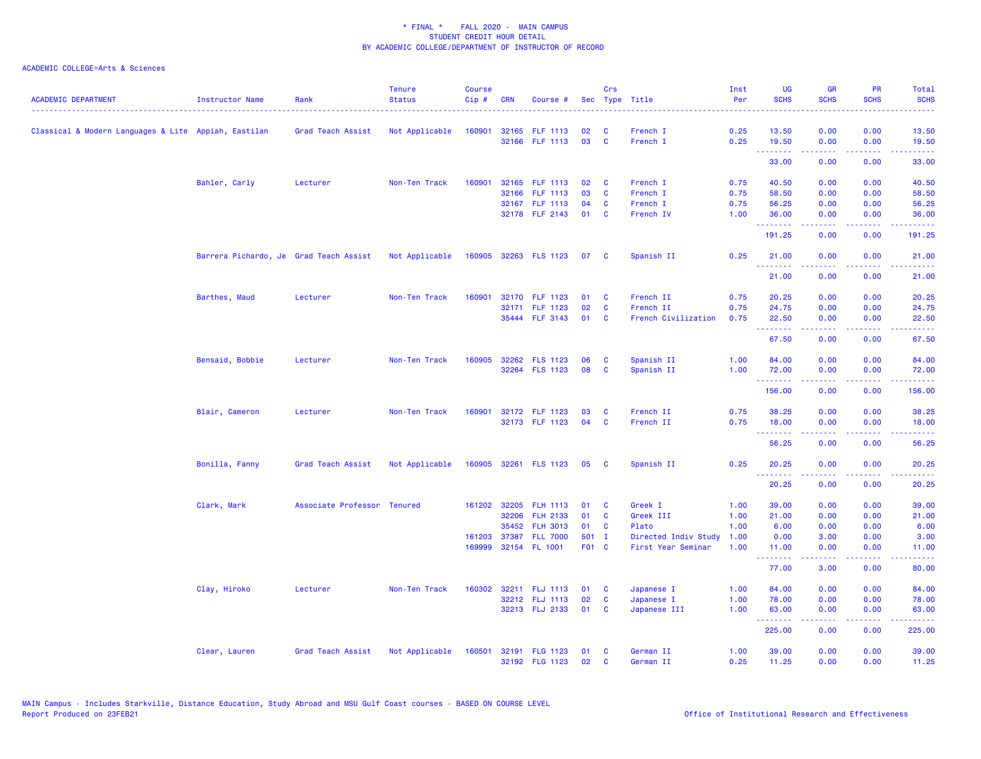| <b>ACADEMIC DEPARTMENT</b>                           | <b>Instructor Name</b>                 | Rank                        | <b>Tenure</b><br><b>Status</b> | <b>Course</b><br>Cip# | <b>CRN</b> | Course #              |       | Crs          | Sec Type Title       | Inst<br>Per | <b>UG</b><br><b>SCHS</b>                                                                                             | <b>GR</b><br><b>SCHS</b>      | <b>PR</b><br><b>SCHS</b>                                                                                                          | Total<br><b>SCHS</b> |
|------------------------------------------------------|----------------------------------------|-----------------------------|--------------------------------|-----------------------|------------|-----------------------|-------|--------------|----------------------|-------------|----------------------------------------------------------------------------------------------------------------------|-------------------------------|-----------------------------------------------------------------------------------------------------------------------------------|----------------------|
|                                                      |                                        | .                           |                                |                       |            |                       |       |              |                      |             |                                                                                                                      |                               |                                                                                                                                   |                      |
| Classical & Modern Languages & Lite Appiah, Eastilan |                                        | Grad Teach Assist           | Not Applicable                 | 160901                |            | 32165 FLF 1113        | 02    | C            | French I             | 0.25        | 13.50                                                                                                                | 0.00                          | 0.00                                                                                                                              | 13.50                |
|                                                      |                                        |                             |                                |                       |            | 32166 FLF 1113        | 03    | $\mathbf{C}$ | French I             | 0.25        | 19.50<br>$\begin{array}{cccccccccc} \bullet & \bullet & \bullet & \bullet & \bullet & \bullet & \bullet \end{array}$ | 0.00<br>.                     | 0.00<br>بالأباب                                                                                                                   | 19.50<br>.           |
|                                                      |                                        |                             |                                |                       |            |                       |       |              |                      |             | 33.00                                                                                                                | 0.00                          | 0.00                                                                                                                              | 33.00                |
|                                                      | Bahler, Carly                          | Lecturer                    | Non-Ten Track                  | 160901                |            | 32165 FLF 1113        | 02    | C            | French I             | 0.75        | 40.50                                                                                                                | 0.00                          | 0.00                                                                                                                              | 40.50                |
|                                                      |                                        |                             |                                |                       |            | 32166 FLF 1113        | 03    | C            | French I             | 0.75        | 58.50                                                                                                                | 0.00                          | 0.00                                                                                                                              | 58.50                |
|                                                      |                                        |                             |                                |                       |            | 32167 FLF 1113        | 04    | <b>C</b>     | French I             | 0.75        | 56.25                                                                                                                | 0.00                          | 0.00                                                                                                                              | 56.25                |
|                                                      |                                        |                             |                                |                       |            | 32178 FLF 2143        | 01    | <b>C</b>     | French IV            | 1.00        | 36.00<br>.                                                                                                           | 0.00<br>.                     | 0.00<br>والمحامر                                                                                                                  | 36.00<br>المتمامي    |
|                                                      |                                        |                             |                                |                       |            |                       |       |              |                      |             | 191.25                                                                                                               | 0.00                          | 0.00                                                                                                                              | 191.25               |
|                                                      | Barrera Pichardo, Je Grad Teach Assist |                             | Not Applicable                 |                       |            | 160905 32263 FLS 1123 | 07    | <b>C</b>     | Spanish II           | 0.25        | 21.00<br><u>.</u>                                                                                                    | 0.00<br>.                     | 0.00<br>$\frac{1}{2} \left( \frac{1}{2} \right) \left( \frac{1}{2} \right) \left( \frac{1}{2} \right) \left( \frac{1}{2} \right)$ | 21.00<br>.           |
|                                                      |                                        |                             |                                |                       |            |                       |       |              |                      |             | 21.00                                                                                                                | 0.00                          | 0.00                                                                                                                              | 21.00                |
|                                                      | Barthes, Maud                          | Lecturer                    | Non-Ten Track                  | 160901                |            | 32170 FLF 1123        | 01    | <b>C</b>     | French II            | 0.75        | 20.25                                                                                                                | 0.00                          | 0.00                                                                                                                              | 20.25                |
|                                                      |                                        |                             |                                |                       | 32171      | <b>FLF 1123</b>       | 02    | C            | French II            | 0.75        | 24.75                                                                                                                | 0.00                          | 0.00                                                                                                                              | 24.75                |
|                                                      |                                        |                             |                                |                       |            | 35444 FLF 3143        | 01    | C            | French Civilization  | 0.75        | 22.50<br><b><i><u><u><b>Little Little</b></u></u></i></b>                                                            | 0.00<br>22222                 | 0.00<br>.                                                                                                                         | 22.50<br>.           |
|                                                      |                                        |                             |                                |                       |            |                       |       |              |                      |             | 67.50                                                                                                                | 0.00                          | 0.00                                                                                                                              | 67.50                |
|                                                      | Bensaid, Bobbie                        | Lecturer                    | Non-Ten Track                  |                       |            | 160905 32262 FLS 1123 | 06    | C            | Spanish II           | 1.00        | 84.00                                                                                                                | 0.00                          | 0.00                                                                                                                              | 84.00                |
|                                                      |                                        |                             |                                |                       |            | 32264 FLS 1123        | 08    | C            | Spanish II           | 1.00        | 72.00                                                                                                                | 0.00                          | 0.00                                                                                                                              | 72.00                |
|                                                      |                                        |                             |                                |                       |            |                       |       |              |                      |             | .<br>156.00                                                                                                          | 0.00                          | $\sim$ $\sim$ $\sim$ $\sim$<br>0.00                                                                                               | 156.00               |
|                                                      | Blair, Cameron                         | Lecturer                    | Non-Ten Track                  | 160901                |            | 32172 FLF 1123        | 03    | C            | French II            | 0.75        | 38.25                                                                                                                | 0.00                          | 0.00                                                                                                                              | 38.25                |
|                                                      |                                        |                             |                                |                       |            | 32173 FLF 1123        | 04    | <b>C</b>     | French II            | 0.75        | 18.00                                                                                                                | 0.00                          | 0.00                                                                                                                              | 18.00                |
|                                                      |                                        |                             |                                |                       |            |                       |       |              |                      |             | .                                                                                                                    | .                             | .                                                                                                                                 | .                    |
|                                                      |                                        |                             |                                |                       |            |                       |       |              |                      |             | 56.25                                                                                                                | 0.00                          | 0.00                                                                                                                              | 56.25                |
|                                                      | Bonilla, Fanny                         | Grad Teach Assist           | Not Applicable                 |                       |            | 160905 32261 FLS 1123 | 05    | <b>C</b>     | Spanish II           | 0.25        | 20.25<br>.                                                                                                           | 0.00                          | 0.00                                                                                                                              | 20.25                |
|                                                      |                                        |                             |                                |                       |            |                       |       |              |                      |             | 20.25                                                                                                                | 0.00                          | 0.00                                                                                                                              | 20.25                |
|                                                      | Clark, Mark                            | Associate Professor Tenured |                                |                       |            | 161202 32205 FLH 1113 | 01    | C            | Greek I              | 1.00        | 39.00                                                                                                                | 0.00                          | 0.00                                                                                                                              | 39.00                |
|                                                      |                                        |                             |                                |                       |            | 32206 FLH 2133        | 01    | <b>C</b>     | Greek III            | 1.00        | 21.00                                                                                                                | 0.00                          | 0.00                                                                                                                              | 21.00                |
|                                                      |                                        |                             |                                |                       | 35452      | <b>FLH 3013</b>       | 01    | C            | Plato                | 1.00        | 6.00                                                                                                                 | 0.00                          | 0.00                                                                                                                              | 6.00                 |
|                                                      |                                        |                             |                                |                       |            | 161203 37387 FLL 7000 | 501 I |              | Directed Indiv Study | 1.00        | 0.00                                                                                                                 | 3.00                          | 0.00                                                                                                                              | 3.00                 |
|                                                      |                                        |                             |                                |                       |            | 169999 32154 FL 1001  | F01 C |              | First Year Seminar   | 1.00        | 11.00<br>.                                                                                                           | 0.00<br><b><i><u></u></i></b> | 0.00<br>.                                                                                                                         | 11.00<br>.           |
|                                                      |                                        |                             |                                |                       |            |                       |       |              |                      |             | 77.00                                                                                                                | 3.00                          | 0.00                                                                                                                              | 80.00                |
|                                                      | Clay, Hiroko                           | Lecturer                    | Non-Ten Track                  | 160302                |            | 32211 FLJ 1113        | 01    | C            | Japanese I           | 1.00        | 84.00                                                                                                                | 0.00                          | 0.00                                                                                                                              | 84.00                |
|                                                      |                                        |                             |                                |                       |            | 32212 FLJ 1113        | 02    | C            | Japanese I           | 1.00        | 78.00                                                                                                                | 0.00                          | 0.00                                                                                                                              | 78.00                |
|                                                      |                                        |                             |                                |                       |            | 32213 FLJ 2133        | 01    | <b>C</b>     | Japanese III         | 1.00        | 63.00<br>--------                                                                                                    | 0.00<br>-----                 | 0.00<br>.                                                                                                                         | 63.00<br>.           |
|                                                      |                                        |                             |                                |                       |            |                       |       |              |                      |             | 225.00                                                                                                               | 0.00                          | 0.00                                                                                                                              | 225.00               |
|                                                      | Clear, Lauren                          | Grad Teach Assist           | Not Applicable                 | 160501                |            | 32191 FLG 1123        | 01    | C            | German II            | 1.00        | 39.00                                                                                                                | 0.00                          | 0.00                                                                                                                              | 39.00                |
|                                                      |                                        |                             |                                |                       |            | 32192 FLG 1123        | 02    | <b>C</b>     | German II            | 0.25        | 11.25                                                                                                                | 0.00                          | 0.00                                                                                                                              | 11.25                |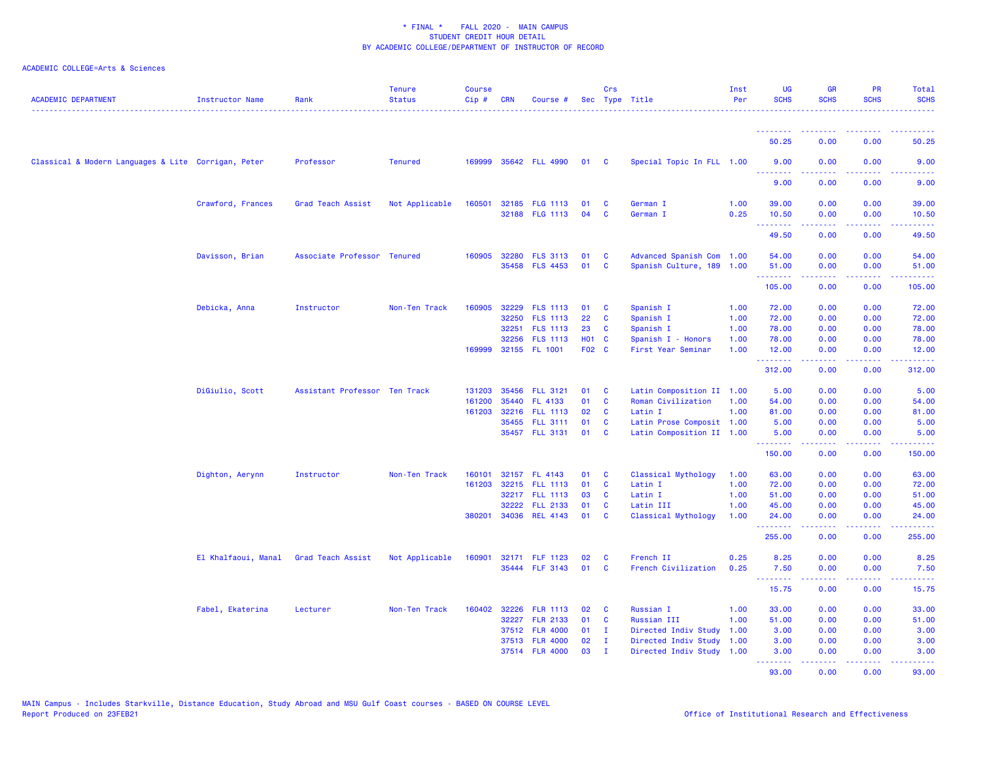| <b>ACADEMIC DEPARTMENT</b>                          | Instructor Name     | Rank                          | <b>Tenure</b><br><b>Status</b> | <b>Course</b><br>Cip# | <b>CRN</b> | Course #                          |            | <b>Crs</b>           | Sec Type Title                                         | Inst<br>Per  | <b>UG</b><br><b>SCHS</b> | <b>GR</b><br><b>SCHS</b>                                                                                                                                     | <b>PR</b><br><b>SCHS</b>                                                                                                                                     | Total<br><b>SCHS</b>                                                                                                              |
|-----------------------------------------------------|---------------------|-------------------------------|--------------------------------|-----------------------|------------|-----------------------------------|------------|----------------------|--------------------------------------------------------|--------------|--------------------------|--------------------------------------------------------------------------------------------------------------------------------------------------------------|--------------------------------------------------------------------------------------------------------------------------------------------------------------|-----------------------------------------------------------------------------------------------------------------------------------|
|                                                     |                     |                               |                                |                       |            |                                   |            |                      |                                                        |              | 50.25                    | 0.00                                                                                                                                                         | 0.00                                                                                                                                                         | 50.25                                                                                                                             |
|                                                     |                     |                               |                                |                       |            |                                   |            |                      |                                                        |              |                          |                                                                                                                                                              |                                                                                                                                                              |                                                                                                                                   |
| Classical & Modern Languages & Lite Corrigan, Peter |                     | Professor                     | <b>Tenured</b>                 | 169999                |            | 35642 FLL 4990                    | 01         | <b>C</b>             | Special Topic In FLL 1.00                              |              | 9.00<br><b>.</b> .       | 0.00<br>.                                                                                                                                                    | 0.00<br>.                                                                                                                                                    | 9.00<br>$\frac{1}{2} \left( \frac{1}{2} \right) \left( \frac{1}{2} \right) \left( \frac{1}{2} \right) \left( \frac{1}{2} \right)$ |
|                                                     |                     |                               |                                |                       |            |                                   |            |                      |                                                        |              | 9.00                     | 0.00                                                                                                                                                         | 0.00                                                                                                                                                         | 9.00                                                                                                                              |
|                                                     | Crawford, Frances   | Grad Teach Assist             | Not Applicable                 | 160501                |            | 32185 FLG 1113                    | 01         | C                    | German I                                               | 1.00         | 39.00                    | 0.00                                                                                                                                                         | 0.00                                                                                                                                                         | 39.00                                                                                                                             |
|                                                     |                     |                               |                                |                       |            | 32188 FLG 1113                    | 04         | C                    | German I                                               | 0.25         | 10.50<br>.               | 0.00<br>المستملة                                                                                                                                             | 0.00<br>.                                                                                                                                                    | 10.50<br>.                                                                                                                        |
|                                                     |                     |                               |                                |                       |            |                                   |            |                      |                                                        |              | 49.50                    | 0.00                                                                                                                                                         | 0.00                                                                                                                                                         | 49.50                                                                                                                             |
|                                                     | Davisson, Brian     | Associate Professor Tenured   |                                | 160905                |            | 32280 FLS 3113                    | 01         | C                    | Advanced Spanish Com 1.00                              |              | 54.00                    | 0.00                                                                                                                                                         | 0.00                                                                                                                                                         | 54.00                                                                                                                             |
|                                                     |                     |                               |                                |                       |            | 35458 FLS 4453                    | 01         | <b>C</b>             | Spanish Culture, 189 1.00                              |              | 51.00                    | 0.00                                                                                                                                                         | 0.00                                                                                                                                                         | 51.00                                                                                                                             |
|                                                     |                     |                               |                                |                       |            |                                   |            |                      |                                                        |              | .<br>105.00              | المتمامين<br>0.00                                                                                                                                            | 22222<br>0.00                                                                                                                                                | $\begin{array}{cccccccccc} \bullet & \bullet & \bullet & \bullet & \bullet & \bullet & \bullet \end{array}$<br>105.00             |
|                                                     | Debicka, Anna       | Instructor                    | Non-Ten Track                  | 160905                |            | 32229 FLS 1113                    | 01         | <b>C</b>             | Spanish I                                              | 1.00         | 72.00                    | 0.00                                                                                                                                                         | 0.00                                                                                                                                                         | 72.00                                                                                                                             |
|                                                     |                     |                               |                                |                       | 32250      | <b>FLS 1113</b>                   | 22         | C                    | Spanish I                                              | 1.00         | 72.00                    | 0.00                                                                                                                                                         | 0.00                                                                                                                                                         | 72.00                                                                                                                             |
|                                                     |                     |                               |                                |                       | 32251      | <b>FLS 1113</b>                   | 23         | C                    | Spanish I                                              | 1.00         | 78.00                    | 0.00                                                                                                                                                         | 0.00                                                                                                                                                         | 78.00                                                                                                                             |
|                                                     |                     |                               |                                |                       | 32256      | <b>FLS 1113</b>                   | <b>HO1</b> | <b>C</b>             | Spanish I - Honors                                     | 1.00         | 78.00                    | 0.00                                                                                                                                                         | 0.00                                                                                                                                                         | 78.00                                                                                                                             |
|                                                     |                     |                               |                                | 169999                |            | 32155 FL 1001                     | F02 C      |                      | First Year Seminar                                     | 1.00         | 12.00<br><b></b>         | 0.00<br>$\frac{1}{2} \left( \frac{1}{2} \right) \left( \frac{1}{2} \right) \left( \frac{1}{2} \right) \left( \frac{1}{2} \right) \left( \frac{1}{2} \right)$ | 0.00<br>$\frac{1}{2} \left( \frac{1}{2} \right) \left( \frac{1}{2} \right) \left( \frac{1}{2} \right) \left( \frac{1}{2} \right) \left( \frac{1}{2} \right)$ | 12.00<br>.                                                                                                                        |
|                                                     |                     |                               |                                |                       |            |                                   |            |                      |                                                        |              | 312.00                   | 0.00                                                                                                                                                         | 0.00                                                                                                                                                         | 312.00                                                                                                                            |
|                                                     | DiGiulio, Scott     | Assistant Professor Ten Track |                                | 131203                |            | 35456 FLL 3121                    | 01         | <b>C</b>             | Latin Composition II 1.00                              |              | 5.00                     | 0.00                                                                                                                                                         | 0.00                                                                                                                                                         | 5.00                                                                                                                              |
|                                                     |                     |                               |                                | 161200                | 35440      | FL 4133                           | 01         | <b>C</b>             | Roman Civilization                                     | 1.00         | 54.00                    | 0.00                                                                                                                                                         | 0.00                                                                                                                                                         | 54.00                                                                                                                             |
|                                                     |                     |                               |                                | 161203                |            | 32216 FLL 1113                    | 02         | <b>C</b>             | Latin I                                                | 1.00         | 81.00                    | 0.00                                                                                                                                                         | 0.00                                                                                                                                                         | 81.00                                                                                                                             |
|                                                     |                     |                               |                                |                       |            | 35455 FLL 3111<br>35457 FLL 3131  | 01<br>01   | <b>C</b><br><b>C</b> | Latin Prose Composit 1.00<br>Latin Composition II 1.00 |              | 5.00<br>5.00             | 0.00<br>0.00                                                                                                                                                 | 0.00<br>0.00                                                                                                                                                 | 5.00<br>5.00                                                                                                                      |
|                                                     |                     |                               |                                |                       |            |                                   |            |                      |                                                        |              | <b>.</b> .               | .                                                                                                                                                            | .                                                                                                                                                            | .                                                                                                                                 |
|                                                     |                     |                               |                                |                       |            |                                   |            |                      |                                                        |              | 150.00                   | 0.00                                                                                                                                                         | 0.00                                                                                                                                                         | 150.00                                                                                                                            |
|                                                     | Dighton, Aerynn     | Instructor                    | Non-Ten Track                  | 160101                |            | 32157 FL 4143                     | 01         | <b>C</b>             | Classical Mythology                                    | 1.00         | 63.00                    | 0.00                                                                                                                                                         | 0.00                                                                                                                                                         | 63.00                                                                                                                             |
|                                                     |                     |                               |                                | 161203                |            | 32215 FLL 1113                    | 01         | <b>C</b>             | Latin I                                                | 1.00         | 72.00                    | 0.00                                                                                                                                                         | 0.00                                                                                                                                                         | 72.00                                                                                                                             |
|                                                     |                     |                               |                                |                       |            | 32217 FLL 1113                    | 03         | <b>C</b>             | Latin I                                                | 1.00         | 51.00                    | 0.00                                                                                                                                                         | 0.00                                                                                                                                                         | 51.00                                                                                                                             |
|                                                     |                     |                               |                                | 380201                | 32222      | <b>FLL 2133</b><br>34036 REL 4143 | 01<br>01   | C<br>C               | Latin III<br>Classical Mythology                       | 1.00<br>1.00 | 45.00<br>24.00           | 0.00<br>0.00                                                                                                                                                 | 0.00<br>0.00                                                                                                                                                 | 45.00<br>24.00                                                                                                                    |
|                                                     |                     |                               |                                |                       |            |                                   |            |                      |                                                        |              | <b></b><br>255.00        | المتمامين<br>0.00                                                                                                                                            | $\frac{1}{2} \left( \frac{1}{2} \right) \left( \frac{1}{2} \right) \left( \frac{1}{2} \right) \left( \frac{1}{2} \right)$<br>0.00                            | $\begin{array}{cccccccccc} \bot & \bot & \bot & \bot & \bot & \bot \end{array}$<br>255.00                                         |
|                                                     |                     |                               |                                |                       |            |                                   |            |                      |                                                        |              |                          |                                                                                                                                                              |                                                                                                                                                              |                                                                                                                                   |
|                                                     | El Khalfaoui, Manal | Grad Teach Assist             | Not Applicable                 | 160901                |            | 32171 FLF 1123                    | 02         | C                    | French II                                              | 0.25         | 8.25                     | 0.00                                                                                                                                                         | 0.00                                                                                                                                                         | 8.25                                                                                                                              |
|                                                     |                     |                               |                                |                       |            | 35444 FLF 3143                    | 01         | <b>C</b>             | French Civilization                                    | 0.25         | 7.50<br>.                | 0.00<br>.                                                                                                                                                    | 0.00<br>22222                                                                                                                                                | 7.50<br>.                                                                                                                         |
|                                                     |                     |                               |                                |                       |            |                                   |            |                      |                                                        |              | 15.75                    | 0.00                                                                                                                                                         | 0.00                                                                                                                                                         | 15.75                                                                                                                             |
|                                                     | Fabel, Ekaterina    | Lecturer                      | Non-Ten Track                  | 160402                |            | 32226 FLR 1113                    | 02         | <b>C</b>             | Russian I                                              | 1.00         | 33.00                    | 0.00                                                                                                                                                         | 0.00                                                                                                                                                         | 33.00                                                                                                                             |
|                                                     |                     |                               |                                |                       | 32227      | <b>FLR 2133</b>                   | 01         | $\mathbf{C}$         | Russian III                                            | 1.00         | 51.00                    | 0.00                                                                                                                                                         | 0.00                                                                                                                                                         | 51.00                                                                                                                             |
|                                                     |                     |                               |                                |                       |            | 37512 FLR 4000                    | 01         | $\mathbf{I}$         | Directed Indiv Study 1.00                              |              | 3.00                     | 0.00                                                                                                                                                         | 0.00                                                                                                                                                         | 3.00                                                                                                                              |
|                                                     |                     |                               |                                |                       |            | 37513 FLR 4000                    | 02         | $\mathbf{I}$         | Directed Indiv Study 1.00                              |              | 3.00                     | 0.00                                                                                                                                                         | 0.00                                                                                                                                                         | 3.00                                                                                                                              |
|                                                     |                     |                               |                                |                       |            | 37514 FLR 4000                    | 03         | $\mathbf{I}$         | Directed Indiv Study 1.00                              |              | 3.00<br><b></b>          | 0.00<br>$\frac{1}{2} \left( \frac{1}{2} \right) \left( \frac{1}{2} \right) \left( \frac{1}{2} \right) \left( \frac{1}{2} \right) \left( \frac{1}{2} \right)$ | 0.00<br><b><i><u><u><b>Little Little</b></u></u></i></b>                                                                                                     | 3.00<br>.                                                                                                                         |
|                                                     |                     |                               |                                |                       |            |                                   |            |                      |                                                        |              | 93.00                    | 0.00                                                                                                                                                         | 0.00                                                                                                                                                         | 93.00                                                                                                                             |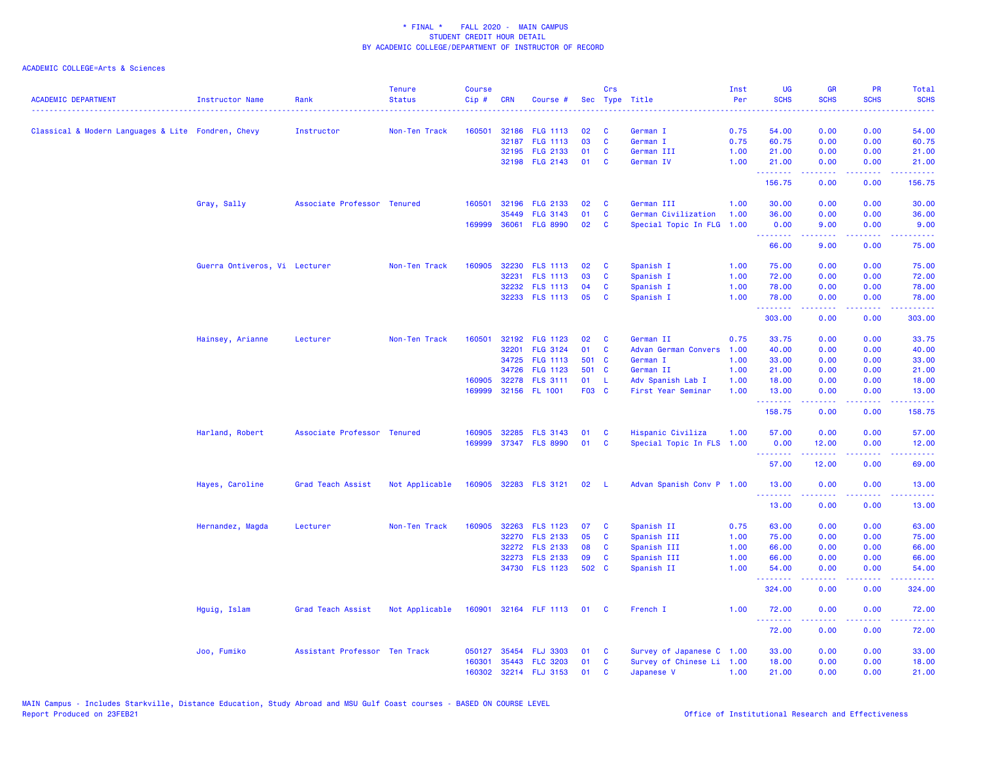| <b>ACADEMIC DEPARTMENT</b>                         | <b>Instructor Name</b>        | Rank                          | <b>Tenure</b><br><b>Status</b> | <b>Course</b><br>Cip# | <b>CRN</b>   | Course #                 |       | Crs          | Sec Type Title            | Inst<br>Per | <b>UG</b><br><b>SCHS</b> | <b>GR</b><br><b>SCHS</b>                                                                                                          | <b>PR</b><br><b>SCHS</b> | Total<br><b>SCHS</b><br>. |
|----------------------------------------------------|-------------------------------|-------------------------------|--------------------------------|-----------------------|--------------|--------------------------|-------|--------------|---------------------------|-------------|--------------------------|-----------------------------------------------------------------------------------------------------------------------------------|--------------------------|---------------------------|
| Classical & Modern Languages & Lite Fondren, Chevy |                               | Instructor                    | Non-Ten Track                  | 160501                | 32186        | <b>FLG 1113</b>          | 02    | C            | German I                  | 0.75        | 54.00                    | 0.00                                                                                                                              | 0.00                     | 54.00                     |
|                                                    |                               |                               |                                |                       | 32187        | <b>FLG 1113</b>          | 03    | $\mathbf{C}$ | German I                  | 0.75        | 60.75                    | 0.00                                                                                                                              | 0.00                     | 60.75                     |
|                                                    |                               |                               |                                |                       | 32195        | <b>FLG 2133</b>          | 01    | C            | German III                | 1.00        | 21.00                    | 0.00                                                                                                                              | 0.00                     | 21.00                     |
|                                                    |                               |                               |                                |                       |              | 32198 FLG 2143           | 01    | C            | German IV                 | 1.00        | 21.00                    | 0.00                                                                                                                              | 0.00                     | 21.00                     |
|                                                    |                               |                               |                                |                       |              |                          |       |              |                           |             | .<br>156.75              | 0.00                                                                                                                              | 0.00                     | المتمام<br>156.75         |
|                                                    | Gray, Sally                   | Associate Professor Tenured   |                                | 160501                | 32196        | <b>FLG 2133</b>          | 02    | C            | German III                | 1.00        | 30.00                    | 0.00                                                                                                                              | 0.00                     | 30.00                     |
|                                                    |                               |                               |                                |                       | 35449        | <b>FLG 3143</b>          | 01    | C            | German Civilization       | 1.00        | 36.00                    | 0.00                                                                                                                              | 0.00                     | 36.00                     |
|                                                    |                               |                               |                                | 169999                | 36061        | <b>FLG 8990</b>          | 02    | C            | Special Topic In FLG      | 1.00        | 0.00<br>.                | 9.00<br>-----                                                                                                                     | 0.00                     | 9.00<br>.                 |
|                                                    |                               |                               |                                |                       |              |                          |       |              |                           |             | 66.00                    | 9.00                                                                                                                              | 0.00                     | 75.00                     |
|                                                    | Guerra Ontiveros, Vi Lecturer |                               | Non-Ten Track                  | 160905                | 32230        | <b>FLS 1113</b>          | 02    | C            | Spanish I                 | 1.00        | 75.00                    | 0.00                                                                                                                              | 0.00                     | 75.00                     |
|                                                    |                               |                               |                                |                       | 32231        | <b>FLS 1113</b>          | 03    | <b>C</b>     | Spanish I                 | 1.00        | 72.00                    | 0.00                                                                                                                              | 0.00                     | 72.00                     |
|                                                    |                               |                               |                                |                       | 32232        | <b>FLS 1113</b>          | 04    | C            | Spanish I                 | 1.00        | 78.00                    | 0.00                                                                                                                              | 0.00                     | 78.00                     |
|                                                    |                               |                               |                                |                       |              | 32233 FLS 1113           | 05    | <b>C</b>     | Spanish I                 | 1.00        | 78.00                    | 0.00<br>.                                                                                                                         | 0.00                     | 78.00                     |
|                                                    |                               |                               |                                |                       |              |                          |       |              |                           |             | .<br>303.00              | 0.00                                                                                                                              | 0.00                     | 303.00                    |
|                                                    | Hainsey, Arianne              | Lecturer                      | Non-Ten Track                  | 160501                |              | 32192 FLG 1123           | 02    | C            | German II                 | 0.75        | 33.75                    | 0.00                                                                                                                              | 0.00                     | 33.75                     |
|                                                    |                               |                               |                                |                       | 32201        | <b>FLG 3124</b>          | 01    | C            | Advan German Convers      | 1.00        | 40.00                    | 0.00                                                                                                                              | 0.00                     | 40.00                     |
|                                                    |                               |                               |                                |                       |              | 34725 FLG 1113           | 501 C |              | German I                  | 1.00        | 33.00                    | 0.00                                                                                                                              | 0.00                     | 33.00                     |
|                                                    |                               |                               |                                |                       | 34726        | FLG 1123                 | 501 C |              | German II                 | 1.00        | 21.00                    | 0.00                                                                                                                              | 0.00                     | 21.00                     |
|                                                    |                               |                               |                                |                       | 160905 32278 | <b>FLS 3111</b>          | 01    | L            | Adv Spanish Lab I         | 1.00        | 18.00                    | 0.00                                                                                                                              | 0.00                     | 18.00                     |
|                                                    |                               |                               |                                | 169999                |              | 32156 FL 1001            | F03 C |              | First Year Seminar        | 1.00        | 13.00                    | 0.00                                                                                                                              | 0.00                     | 13.00                     |
|                                                    |                               |                               |                                |                       |              |                          |       |              |                           |             | .<br>158.75              | 0.00                                                                                                                              | .<br>0.00                | .<br>158.75               |
|                                                    | Harland, Robert               | Associate Professor Tenured   |                                | 160905                | 32285        | <b>FLS 3143</b>          | 01    | <b>C</b>     | Hispanic Civiliza         | 1.00        | 57.00                    | 0.00                                                                                                                              | 0.00                     | 57.00                     |
|                                                    |                               |                               |                                |                       |              | 169999 37347 FLS 8990    | 01    | C            | Special Topic In FLS 1.00 |             | 0.00                     | 12.00                                                                                                                             | 0.00                     | 12.00                     |
|                                                    |                               |                               |                                |                       |              |                          |       |              |                           |             | .                        | .                                                                                                                                 | .                        | .                         |
|                                                    |                               |                               |                                |                       |              |                          |       |              |                           |             | 57.00                    | 12.00                                                                                                                             | 0.00                     | 69.00                     |
|                                                    | Hayes, Caroline               | Grad Teach Assist             | Not Applicable                 |                       |              | 160905 32283 FLS 3121    | 02    | - L          | Advan Spanish Conv P 1.00 |             | 13.00<br>.               | 0.00<br>$\frac{1}{2} \left( \frac{1}{2} \right) \left( \frac{1}{2} \right) \left( \frac{1}{2} \right) \left( \frac{1}{2} \right)$ | 0.00<br>.                | 13.00<br>.                |
|                                                    |                               |                               |                                |                       |              |                          |       |              |                           |             | 13.00                    | 0.00                                                                                                                              | 0.00                     | 13.00                     |
|                                                    | Hernandez, Magda              | Lecturer                      | Non-Ten Track                  | 160905                | 32263        | <b>FLS 1123</b>          | 07    | C            | Spanish II                | 0.75        | 63.00                    | 0.00                                                                                                                              | 0.00                     | 63.00                     |
|                                                    |                               |                               |                                |                       | 32270        | <b>FLS 2133</b>          | 05    | C            | Spanish III               | 1.00        | 75.00                    | 0.00                                                                                                                              | 0.00                     | 75.00                     |
|                                                    |                               |                               |                                |                       |              | 32272 FLS 2133           | 08    | C            | Spanish III               | 1.00        | 66.00                    | 0.00                                                                                                                              | 0.00                     | 66.00                     |
|                                                    |                               |                               |                                |                       | 32273        | <b>FLS 2133</b>          | 09    | C            | Spanish III               | 1.00        | 66.00                    | 0.00                                                                                                                              | 0.00                     | 66.00                     |
|                                                    |                               |                               |                                |                       |              | 34730 FLS 1123           | 502 C |              | Spanish II                | 1.00        | 54.00                    | 0.00                                                                                                                              | 0.00                     | 54.00                     |
|                                                    |                               |                               |                                |                       |              |                          |       |              |                           |             | .<br>324.00              | 22222<br>0.00                                                                                                                     | .<br>0.00                | .<br>324.00               |
|                                                    | Hguig, Islam                  | Grad Teach Assist             | Not Applicable                 |                       |              | 160901 32164 FLF 1113 01 |       | <b>C</b>     | French I                  | 1.00        | 72.00                    | 0.00                                                                                                                              | 0.00                     | 72.00                     |
|                                                    |                               |                               |                                |                       |              |                          |       |              |                           |             | .<br>72.00               | 0.00                                                                                                                              | 0.00                     | 72.00                     |
|                                                    | Joo, Fumiko                   | Assistant Professor Ten Track |                                |                       |              | 050127 35454 FLJ 3303    | 01    | C            | Survey of Japanese C 1.00 |             | 33.00                    | 0.00                                                                                                                              | 0.00                     | 33.00                     |
|                                                    |                               |                               |                                | 160301                | 35443        | <b>FLC 3203</b>          | 01    | C            | Survey of Chinese Li 1.00 |             | 18.00                    | 0.00                                                                                                                              | 0.00                     | 18.00                     |
|                                                    |                               |                               |                                |                       |              | 160302 32214 FLJ 3153    | 01    | C            | Japanese V                | 1.00        | 21.00                    | 0.00                                                                                                                              | 0.00                     | 21.00                     |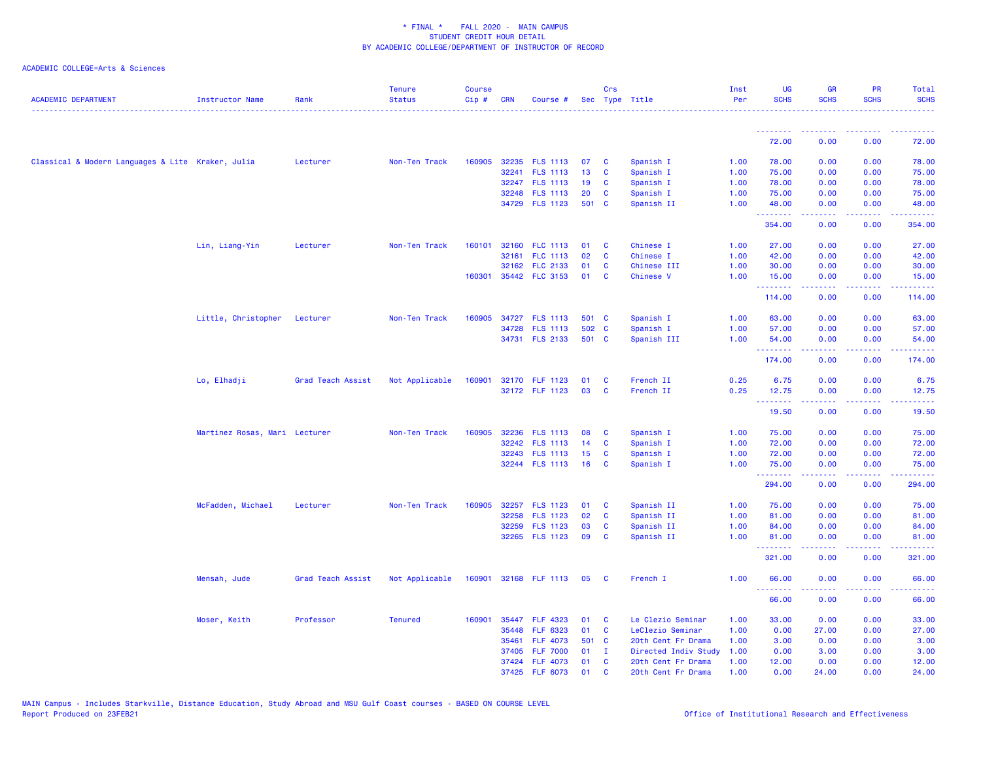| <b>ACADEMIC DEPARTMENT</b>                        | <b>Instructor Name</b>        | Rank              | <b>Tenure</b><br><b>Status</b> | <b>Course</b><br>$Cip \#$ | <b>CRN</b> | Course #                         |          | Crs<br>Sec Type Title |                      | Inst<br>Per  | <b>UG</b><br><b>SCHS</b> | <b>GR</b><br><b>SCHS</b>                             | PR<br><b>SCHS</b>       | Total<br><b>SCHS</b> |
|---------------------------------------------------|-------------------------------|-------------------|--------------------------------|---------------------------|------------|----------------------------------|----------|-----------------------|----------------------|--------------|--------------------------|------------------------------------------------------|-------------------------|----------------------|
|                                                   |                               |                   |                                |                           |            |                                  |          |                       |                      |              | <u> - - - - - - - -</u>  | <b><i><u><u><b>A</b></u></u> A A A A A A A A</i></b> | <u> - - - - - - - -</u> | .                    |
|                                                   |                               |                   |                                |                           |            |                                  |          |                       |                      |              | 72.00                    | 0.00                                                 | 0.00                    | 72.00                |
| Classical & Modern Languages & Lite Kraker, Julia |                               | Lecturer          | Non-Ten Track                  | 160905                    |            | 32235 FLS 1113                   | 07       | C                     | Spanish I            | 1.00         | 78.00                    | 0.00                                                 | 0.00                    | 78.00                |
|                                                   |                               |                   |                                |                           |            | 32241 FLS 1113                   | 13       | C                     | Spanish I            | 1.00         | 75.00                    | 0.00                                                 | 0.00                    | 75.00                |
|                                                   |                               |                   |                                |                           |            | 32247 FLS 1113                   | 19       | C                     | Spanish I            | 1.00         | 78.00                    | 0.00                                                 | 0.00                    | 78.00                |
|                                                   |                               |                   |                                |                           | 32248      | <b>FLS 1113</b>                  | 20       | C                     | Spanish I            | 1.00         | 75.00                    | 0.00                                                 | 0.00                    | 75.00                |
|                                                   |                               |                   |                                |                           |            | 34729 FLS 1123                   | 501 C    |                       | Spanish II           | 1.00         | 48.00<br>.               | 0.00<br>.                                            | 0.00<br>د د د د         | 48.00<br>.           |
|                                                   |                               |                   |                                |                           |            |                                  |          |                       |                      |              | 354.00                   | 0.00                                                 | 0.00                    | 354.00               |
|                                                   | Lin, Liang-Yin                | Lecturer          | Non-Ten Track                  | 160101                    |            | 32160 FLC 1113                   | 01       | C                     | Chinese I            | 1.00         | 27.00                    | 0.00                                                 | 0.00                    | 27.00                |
|                                                   |                               |                   |                                |                           | 32161      | FLC 1113                         | 02       | C                     | Chinese I            | 1.00         | 42.00                    | 0.00                                                 | 0.00                    | 42.00                |
|                                                   |                               |                   |                                |                           |            | 32162 FLC 2133                   | 01       | C                     | Chinese III          | 1.00         | 30.00                    | 0.00                                                 | 0.00                    | 30.00                |
|                                                   |                               |                   |                                | 160301                    |            | 35442 FLC 3153                   | 01       | <b>C</b>              | <b>Chinese V</b>     | 1.00         | 15.00<br><b></b>         | 0.00<br>.                                            | 0.00<br>د د د د         | 15.00<br>المتمان     |
|                                                   |                               |                   |                                |                           |            |                                  |          |                       |                      |              | 114.00                   | 0.00                                                 | 0.00                    | 114.00               |
|                                                   | Little, Christopher Lecturer  |                   | Non-Ten Track                  | 160905                    |            | 34727 FLS 1113                   | 501 C    |                       | Spanish I            | 1.00         | 63.00                    | 0.00                                                 | 0.00                    | 63.00                |
|                                                   |                               |                   |                                |                           |            | 34728 FLS 1113                   | 502 C    |                       | Spanish I            | 1.00         | 57.00                    | 0.00                                                 | 0.00                    | 57.00                |
|                                                   |                               |                   |                                |                           |            | 34731 FLS 2133                   | 501 C    |                       | Spanish III          | 1.00         | 54.00                    | 0.00                                                 | 0.00                    | 54.00                |
|                                                   |                               |                   |                                |                           |            |                                  |          |                       |                      |              | <u>.</u><br>174.00       | 0.00                                                 | 222<br>0.00             | 174.00               |
|                                                   | Lo, Elhadji                   | Grad Teach Assist | Not Applicable                 | 160901                    |            | 32170 FLF 1123                   | 01       | C                     | French II            | 0.25         | 6.75                     | 0.00                                                 | 0.00                    | 6.75                 |
|                                                   |                               |                   |                                |                           |            | 32172 FLF 1123                   | 03       | <b>C</b>              | French II            | 0.25         | 12.75                    | 0.00                                                 | 0.00                    | 12.75                |
|                                                   |                               |                   |                                |                           |            |                                  |          |                       |                      |              | .<br>19.50               | .<br>0.00                                            | د د د د<br>0.00         | والمالمات<br>19.50   |
|                                                   |                               |                   |                                |                           |            |                                  |          |                       |                      |              |                          |                                                      |                         |                      |
|                                                   | Martinez Rosas, Mari Lecturer |                   | Non-Ten Track                  | 160905                    | 32236      | <b>FLS 1113</b>                  | 08       | C                     | Spanish I            | 1.00         | 75.00                    | 0.00                                                 | 0.00                    | 75.00                |
|                                                   |                               |                   |                                |                           |            | 32242 FLS 1113                   | 14       | C                     | Spanish I            | 1.00         | 72.00                    | 0.00                                                 | 0.00                    | 72.00                |
|                                                   |                               |                   |                                |                           |            | 32243 FLS 1113                   | 15       | C                     | Spanish I            | 1.00         | 72.00                    | 0.00                                                 | 0.00                    | 72.00                |
|                                                   |                               |                   |                                |                           |            | 32244 FLS 1113                   | 16       | C                     | Spanish I            | 1.00         | 75.00<br><u>.</u>        | 0.00<br>.                                            | 0.00<br>بالأباد         | 75.00<br>------      |
|                                                   |                               |                   |                                |                           |            |                                  |          |                       |                      |              | 294.00                   | 0.00                                                 | 0.00                    | 294.00               |
|                                                   | McFadden, Michael             | Lecturer          | Non-Ten Track                  | 160905                    |            | 32257 FLS 1123                   | 01       | C                     | Spanish II           | 1.00         | 75.00                    | 0.00                                                 | 0.00                    | 75.00                |
|                                                   |                               |                   |                                |                           | 32258      | <b>FLS 1123</b>                  | 02       | C                     | Spanish II           | 1.00         | 81.00                    | 0.00                                                 | 0.00                    | 81.00                |
|                                                   |                               |                   |                                |                           | 32259      | <b>FLS 1123</b>                  | 03       | C                     | Spanish II           | 1.00         | 84.00                    | 0.00                                                 | 0.00                    | 84.00                |
|                                                   |                               |                   |                                |                           |            | 32265 FLS 1123                   | 09       | C                     | Spanish II           | 1.00         | 81.00<br>--------        | 0.00<br>.                                            | 0.00<br>.               | 81.00<br>.           |
|                                                   |                               |                   |                                |                           |            |                                  |          |                       |                      |              | 321.00                   | 0.00                                                 | 0.00                    | 321.00               |
|                                                   | Mensah, Jude                  | Grad Teach Assist | Not Applicable                 |                           |            | 160901 32168 FLF 1113 05         |          | $\mathbf{C}$          | French I             | 1.00         | 66.00                    | 0.00                                                 | 0.00                    | 66.00                |
|                                                   |                               |                   |                                |                           |            |                                  |          |                       |                      |              | <u>.</u><br>66.00        | 22222<br>0.00                                        | د د د د<br>0.00         | .<br>66.00           |
|                                                   | Moser, Keith                  | Professor         | <b>Tenured</b>                 | 160901                    |            | 35447 FLF 4323                   | 01       | C                     | Le Clezio Seminar    | 1.00         | 33.00                    | 0.00                                                 | 0.00                    | 33.00                |
|                                                   |                               |                   |                                |                           | 35448      | <b>FLF 6323</b>                  | 01       | C                     | LeClezio Seminar     | 1.00         | 0.00                     | 27.00                                                | 0.00                    | 27.00                |
|                                                   |                               |                   |                                |                           | 35461      | <b>FLF 4073</b>                  | 501 C    |                       | 20th Cent Fr Drama   | 1.00         | 3.00                     | 0.00                                                 | 0.00                    | 3.00                 |
|                                                   |                               |                   |                                |                           | 37405      | <b>FLF 7000</b>                  | 01       | $\mathbf{I}$          | Directed Indiv Study | 1.00         | 0.00                     | 3.00                                                 | 0.00                    | 3.00                 |
|                                                   |                               |                   |                                |                           |            | 37424 FLF 4073<br>37425 FLF 6073 | 01<br>01 | C<br>$\mathbf{C}$     | 20th Cent Fr Drama   | 1.00<br>1.00 | 12.00<br>0.00            | 0.00<br>24.00                                        | 0.00<br>0.00            | 12.00<br>24.00       |
|                                                   |                               |                   |                                |                           |            |                                  |          |                       | 20th Cent Fr Drama   |              |                          |                                                      |                         |                      |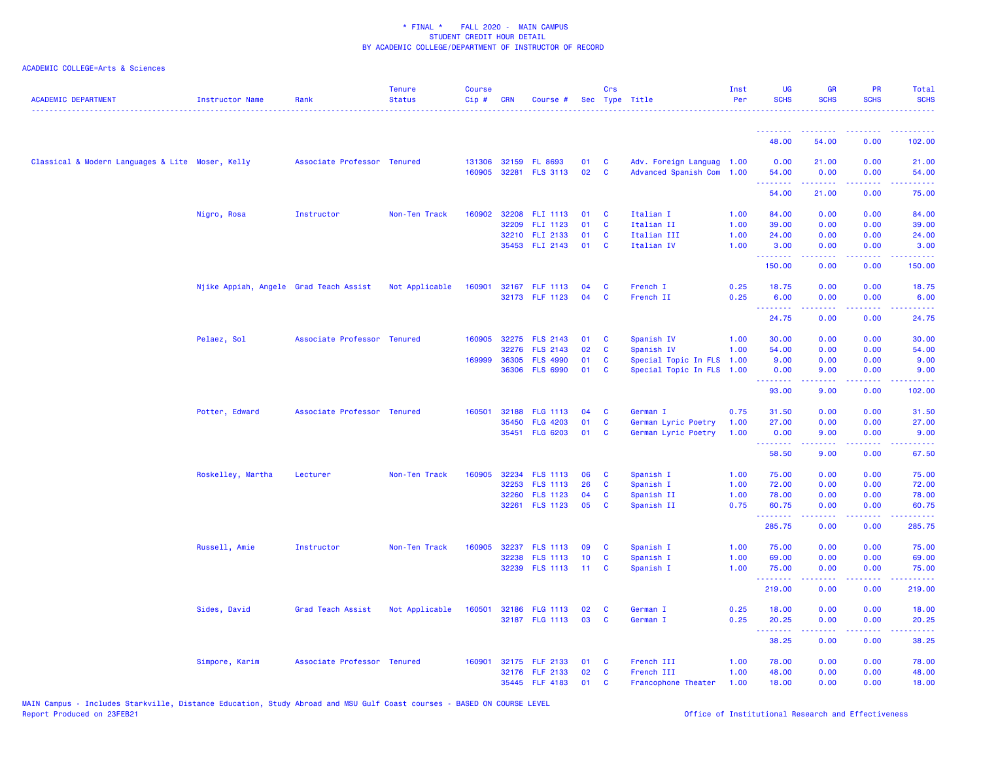| <b>ACADEMIC DEPARTMENT</b>                       | <b>Instructor Name</b>                 | Rank                        | <b>Tenure</b><br><b>Status</b> | Course<br>Cip# | <b>CRN</b> | Course #                               |          | Crs                      | Sec Type Title                                         | Inst<br>Per | UG<br><b>SCHS</b>   | <b>GR</b><br><b>SCHS</b> | <b>PR</b><br><b>SCHS</b>                                                                                                                                             | Total<br><b>SCHS</b>                                                                                                                                         |
|--------------------------------------------------|----------------------------------------|-----------------------------|--------------------------------|----------------|------------|----------------------------------------|----------|--------------------------|--------------------------------------------------------|-------------|---------------------|--------------------------|----------------------------------------------------------------------------------------------------------------------------------------------------------------------|--------------------------------------------------------------------------------------------------------------------------------------------------------------|
|                                                  |                                        |                             |                                |                |            |                                        |          |                          |                                                        |             | .                   | <u>.</u>                 | <u>.</u>                                                                                                                                                             | .                                                                                                                                                            |
|                                                  |                                        |                             |                                |                |            |                                        |          |                          |                                                        |             | 48.00               | 54.00                    | 0.00                                                                                                                                                                 | 102.00                                                                                                                                                       |
| Classical & Modern Languages & Lite Moser, Kelly |                                        | Associate Professor Tenured |                                | 160905         |            | 131306 32159 FL 8693<br>32281 FLS 3113 | 01<br>02 | <b>C</b><br>$\mathbf{C}$ | Adv. Foreign Languag 1.00<br>Advanced Spanish Com 1.00 |             | 0.00<br>54.00<br>.  | 21.00<br>0.00<br>.       | 0.00<br>0.00<br>$\frac{1}{2} \left( \frac{1}{2} \right) \left( \frac{1}{2} \right) \left( \frac{1}{2} \right) \left( \frac{1}{2} \right) \left( \frac{1}{2} \right)$ | 21.00<br>54.00<br>.                                                                                                                                          |
|                                                  |                                        |                             |                                |                |            |                                        |          |                          |                                                        |             | 54.00               | 21.00                    | 0.00                                                                                                                                                                 | 75.00                                                                                                                                                        |
|                                                  | Nigro, Rosa                            | Instructor                  | Non-Ten Track                  | 160902         |            | 32208 FLI 1113                         | 01       | C                        | Italian I                                              | 1.00        | 84.00               | 0.00                     | 0.00                                                                                                                                                                 | 84.00                                                                                                                                                        |
|                                                  |                                        |                             |                                |                | 32209      | FLI 1123                               | 01       | <b>C</b>                 | Italian II                                             | 1.00        | 39.00               | 0.00                     | 0.00                                                                                                                                                                 | 39.00                                                                                                                                                        |
|                                                  |                                        |                             |                                |                |            | 32210 FLI 2133                         | 01       | <b>C</b>                 | Italian III                                            | 1.00        | 24.00               | 0.00                     | 0.00                                                                                                                                                                 | 24.00                                                                                                                                                        |
|                                                  |                                        |                             |                                |                |            | 35453 FLI 2143                         | 01       | <b>C</b>                 | Italian IV                                             | 1.00        | 3.00<br><u>.</u>    | 0.00<br><b>.</b>         | 0.00<br>.                                                                                                                                                            | 3.00<br>$- - - - - - -$                                                                                                                                      |
|                                                  |                                        |                             |                                |                |            |                                        |          |                          |                                                        |             | 150.00              | 0.00                     | 0.00                                                                                                                                                                 | 150.00                                                                                                                                                       |
|                                                  | Njike Appiah, Angele Grad Teach Assist |                             | Not Applicable                 | 160901         |            | 32167 FLF 1113                         | 04       | C                        | French I                                               | 0.25        | 18.75               | 0.00                     | 0.00                                                                                                                                                                 | 18.75                                                                                                                                                        |
|                                                  |                                        |                             |                                |                |            | 32173 FLF 1123                         | 04       | C                        | French II                                              | 0.25        | 6.00                | 0.00<br>. <b>.</b>       | 0.00                                                                                                                                                                 | 6.00                                                                                                                                                         |
|                                                  |                                        |                             |                                |                |            |                                        |          |                          |                                                        |             | <b>.</b> .<br>24.75 | 0.00                     | المستمال<br>0.00                                                                                                                                                     | .<br>24.75                                                                                                                                                   |
|                                                  | Pelaez, Sol                            | Associate Professor Tenured |                                | 160905         |            | 32275 FLS 2143                         | 01       | C                        | Spanish IV                                             | 1.00        | 30.00               | 0.00                     | 0.00                                                                                                                                                                 | 30.00                                                                                                                                                        |
|                                                  |                                        |                             |                                |                | 32276      | <b>FLS 2143</b>                        | 02       | C                        | Spanish IV                                             | 1.00        | 54.00               | 0.00                     | 0.00                                                                                                                                                                 | 54.00                                                                                                                                                        |
|                                                  |                                        |                             |                                | 169999         | 36305      | <b>FLS 4990</b>                        | 01       | C                        | Special Topic In FLS 1.00                              |             | 9.00                | 0.00                     | 0.00                                                                                                                                                                 | 9.00                                                                                                                                                         |
|                                                  |                                        |                             |                                |                | 36306      | <b>FLS 6990</b>                        | 01       | C                        | Special Topic In FLS 1.00                              |             | 0.00<br>.           | 9.00<br>.                | 0.00<br>.                                                                                                                                                            | 9.00<br>$\frac{1}{2} \left( \frac{1}{2} \right) \left( \frac{1}{2} \right) \left( \frac{1}{2} \right) \left( \frac{1}{2} \right) \left( \frac{1}{2} \right)$ |
|                                                  |                                        |                             |                                |                |            |                                        |          |                          |                                                        |             | 93.00               | 9.00                     | 0.00                                                                                                                                                                 | 102.00                                                                                                                                                       |
|                                                  | Potter, Edward                         | Associate Professor Tenured |                                | 160501         | 32188      | <b>FLG 1113</b>                        | 04       | C                        | German I                                               | 0.75        | 31.50               | 0.00                     | 0.00                                                                                                                                                                 | 31.50                                                                                                                                                        |
|                                                  |                                        |                             |                                |                | 35450      | <b>FLG 4203</b>                        | 01       | C                        | German Lyric Poetry                                    | 1.00        | 27.00               | 0.00                     | 0.00                                                                                                                                                                 | 27.00                                                                                                                                                        |
|                                                  |                                        |                             |                                |                |            | 35451 FLG 6203                         | 01       | <b>C</b>                 | German Lyric Poetry                                    | 1.00        | 0.00<br><u>.</u>    | 9.00<br>22222            | 0.00<br>.                                                                                                                                                            | 9.00<br>22222                                                                                                                                                |
|                                                  |                                        |                             |                                |                |            |                                        |          |                          |                                                        |             | 58.50               | 9.00                     | 0.00                                                                                                                                                                 | 67.50                                                                                                                                                        |
|                                                  | Roskelley, Martha                      | Lecturer                    | Non-Ten Track                  | 160905         |            | 32234 FLS 1113                         | 06       | C                        | Spanish I                                              | 1.00        | 75.00               | 0.00                     | 0.00                                                                                                                                                                 | 75.00                                                                                                                                                        |
|                                                  |                                        |                             |                                |                | 32253      | <b>FLS 1113</b>                        | 26       | C                        | Spanish I                                              | 1.00        | 72.00               | 0.00                     | 0.00                                                                                                                                                                 | 72.00                                                                                                                                                        |
|                                                  |                                        |                             |                                |                |            | 32260 FLS 1123                         | 04       | C                        | Spanish II                                             | 1.00        | 78.00               | 0.00                     | 0.00                                                                                                                                                                 | 78.00                                                                                                                                                        |
|                                                  |                                        |                             |                                |                |            | 32261 FLS 1123                         | 05       | C                        | Spanish II                                             | 0.75        | 60.75<br>.          | 0.00<br>.                | 0.00<br>.                                                                                                                                                            | 60.75<br>.                                                                                                                                                   |
|                                                  |                                        |                             |                                |                |            |                                        |          |                          |                                                        |             | 285.75              | 0.00                     | 0.00                                                                                                                                                                 | 285.75                                                                                                                                                       |
|                                                  | Russell, Amie                          | Instructor                  | Non-Ten Track                  | 160905         |            | 32237 FLS 1113                         | 09       | <b>C</b>                 | Spanish I                                              | 1.00        | 75.00               | 0.00                     | 0.00                                                                                                                                                                 | 75.00                                                                                                                                                        |
|                                                  |                                        |                             |                                |                | 32238      | <b>FLS 1113</b>                        | 10       | C                        | Spanish I                                              | 1.00        | 69.00               | 0.00                     | 0.00                                                                                                                                                                 | 69.00                                                                                                                                                        |
|                                                  |                                        |                             |                                |                |            | 32239 FLS 1113                         | $-11$    | C                        | Spanish I                                              | 1.00        | 75.00<br><u>.</u>   | 0.00<br>المتمالين        | 0.00<br>د د د د .                                                                                                                                                    | 75.00<br>22222                                                                                                                                               |
|                                                  |                                        |                             |                                |                |            |                                        |          |                          |                                                        |             | 219.00              | 0.00                     | 0.00                                                                                                                                                                 | 219.00                                                                                                                                                       |
|                                                  | Sides, David                           | Grad Teach Assist           | Not Applicable                 | 160501         |            | 32186 FLG 1113                         | 02       | <b>C</b>                 | German I                                               | 0.25        | 18.00               | 0.00                     | 0.00                                                                                                                                                                 | 18.00                                                                                                                                                        |
|                                                  |                                        |                             |                                |                |            | 32187 FLG 1113                         | 03       | C                        | German I                                               | 0.25        | 20.25               | 0.00                     | 0.00                                                                                                                                                                 | 20.25                                                                                                                                                        |
|                                                  |                                        |                             |                                |                |            |                                        |          |                          |                                                        |             | <u>.</u><br>38.25   | 22222<br>0.00            | .<br>0.00                                                                                                                                                            | .<br>38.25                                                                                                                                                   |
|                                                  | Simpore, Karim                         | Associate Professor Tenured |                                | 160901         |            | 32175 FLF 2133                         | 01       | C                        | French III                                             | 1.00        | 78.00               | 0.00                     | 0.00                                                                                                                                                                 | 78.00                                                                                                                                                        |
|                                                  |                                        |                             |                                |                |            | 32176 FLF 2133                         | 02       | <b>C</b>                 | French III                                             | 1.00        | 48.00               | 0.00                     | 0.00                                                                                                                                                                 | 48.00                                                                                                                                                        |
|                                                  |                                        |                             |                                |                |            | 35445 FLF 4183                         | 01       | <b>C</b>                 | Francophone Theater                                    | 1.00        | 18.00               | 0.00                     | 0.00                                                                                                                                                                 | 18.00                                                                                                                                                        |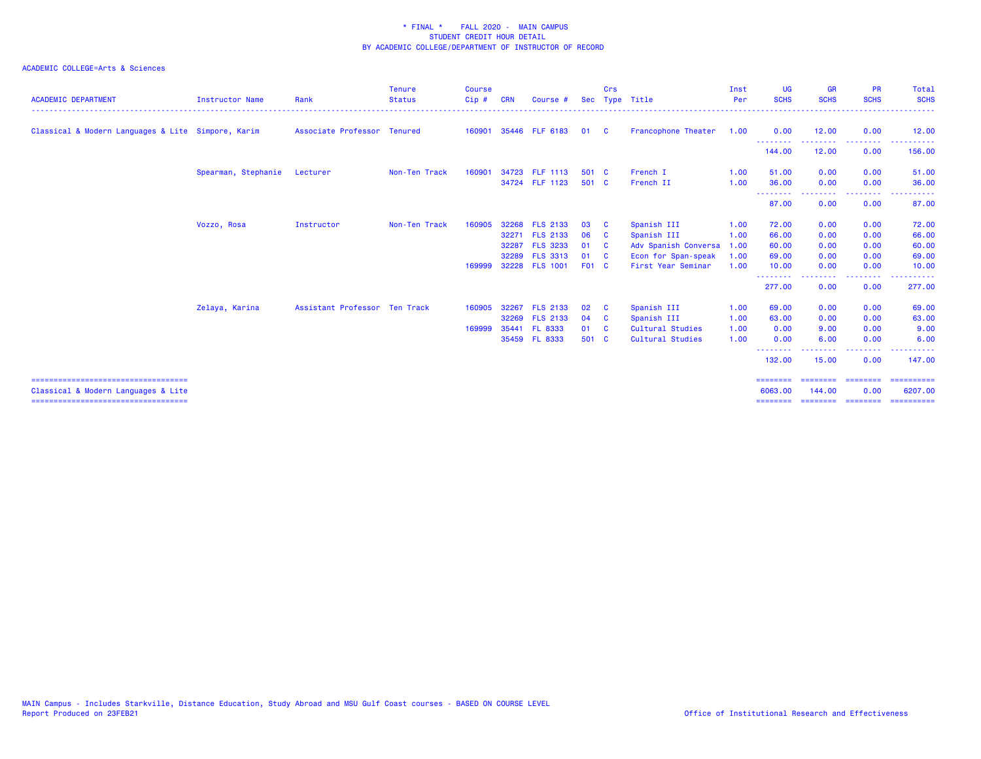| <b>ACADEMIC DEPARTMENT</b>                                                    | <b>Instructor Name</b> | Rank                          | <b>Tenure</b><br><b>Status</b> | <b>Course</b><br>$Cip$ # | <b>CRN</b> | Course #        |              | Crs            | Sec Type Title       | Inst<br>Per | <b>UG</b><br><b>SCHS</b> | <b>GR</b><br><b>SCHS</b> | <b>PR</b><br><b>SCHS</b>           | Total<br><b>SCHS</b>  |
|-------------------------------------------------------------------------------|------------------------|-------------------------------|--------------------------------|--------------------------|------------|-----------------|--------------|----------------|----------------------|-------------|--------------------------|--------------------------|------------------------------------|-----------------------|
| Classical & Modern Languages & Lite Simpore, Karim                            |                        | Associate Professor Tenured   |                                | 160901                   |            | 35446 FLF 6183  | 01           | $\overline{c}$ | Francophone Theater  | 1.00        | 0.00                     | 12.00                    | 0.00                               | 12.00                 |
|                                                                               |                        |                               |                                |                          |            |                 |              |                |                      |             | --------<br>144.00       | -----<br>12.00           | . <u>.</u> .<br>0.00               | ------<br>156.00      |
|                                                                               | Spearman, Stephanie    | Lecturer                      | Non-Ten Track                  | 160901                   |            | 34723 FLF 1113  | 501 C        |                | French I             | 1.00        | 51.00                    | 0.00                     | 0.00                               | 51.00                 |
|                                                                               |                        |                               |                                |                          |            | 34724 FLF 1123  | 501 C        |                | French II            | 1.00        | 36.00                    | 0.00                     | 0.00                               | 36.00                 |
|                                                                               |                        |                               |                                |                          |            |                 |              |                |                      |             | --------<br>87.00        | 0.00                     | 0.00                               | 87.00                 |
|                                                                               | Vozzo, Rosa            | Instructor                    | Non-Ten Track                  | 160905                   |            | 32268 FLS 2133  | 03           | - C            | Spanish III          | 1.00        | 72.00                    | 0.00                     | 0.00                               | 72.00                 |
|                                                                               |                        |                               |                                |                          |            | 32271 FLS 2133  | 06           | <b>C</b>       | Spanish III          | 1.00        | 66.00                    | 0.00                     | 0.00                               | 66.00                 |
|                                                                               |                        |                               |                                |                          | 32287      | <b>FLS 3233</b> | 01           | <b>C</b>       | Adv Spanish Conversa | 1.00        | 60.00                    | 0.00                     | 0.00                               | 60.00                 |
|                                                                               |                        |                               |                                |                          | 32289      | <b>FLS 3313</b> | 01           | <b>C</b>       | Econ for Span-speak  | 1.00        | 69.00                    | 0.00                     | 0.00                               | 69.00                 |
|                                                                               |                        |                               |                                | 169999                   |            | 32228 FLS 1001  | <b>F01 C</b> |                | First Year Seminar   | 1.00        | 10.00                    | 0.00                     | 0.00                               | 10.00                 |
|                                                                               |                        |                               |                                |                          |            |                 |              |                |                      |             | --------<br>277.00       | -----<br>0.00            | .<br>0.00                          | 277.00                |
|                                                                               | Zelaya, Karina         | Assistant Professor Ten Track |                                | 160905                   | 32267      | <b>FLS 2133</b> | 02           | $\mathbf{C}$   | Spanish III          | 1.00        | 69.00                    | 0.00                     | 0.00                               | 69.00                 |
|                                                                               |                        |                               |                                |                          |            | 32269 FLS 2133  | 04 C         |                | Spanish III          | 1.00        | 63.00                    | 0.00                     | 0.00                               | 63.00                 |
|                                                                               |                        |                               |                                | 169999                   | 35441      | <b>FL 8333</b>  | 01           | <b>C</b>       | Cultural Studies     | 1.00        | 0.00                     | 9.00                     | 0.00                               | 9.00                  |
|                                                                               |                        |                               |                                |                          |            | 35459 FL 8333   | 501 C        |                | Cultural Studies     | 1.00        | 0.00                     | 6.00                     | 0.00                               | 6.00                  |
|                                                                               |                        |                               |                                |                          |            |                 |              |                |                      |             | --------<br>132.00       | 15.00                    | <b><i><u>ALLAS</u></i></b><br>0.00 | 147.00                |
| ======================================<br>Classical & Modern Languages & Lite |                        |                               |                                |                          |            |                 |              |                |                      |             | ========<br>6063,00      | ========<br>144.00       | ---------<br>0.00                  | ==========<br>6207.00 |
| ====================================                                          |                        |                               |                                |                          |            |                 |              |                |                      |             |                          |                          |                                    | ==========            |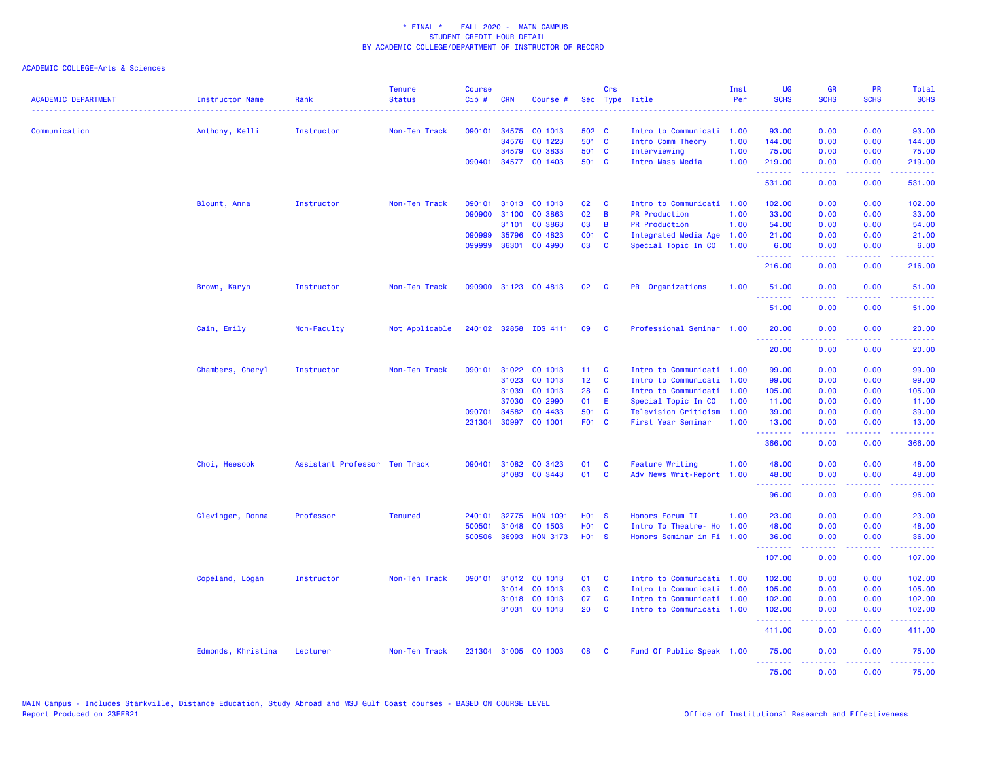| <b>ACADEMIC DEPARTMENT</b> | <b>Instructor Name</b> | Rank                          | <b>Tenure</b><br><b>Status</b> | <b>Course</b><br>Cip# | <b>CRN</b>   | Course #              |                   | Crs          | Sec Type Title            | Inst<br>Per | <b>UG</b><br><b>SCHS</b> | <b>GR</b><br><b>SCHS</b> | <b>PR</b><br><b>SCHS</b> | Total<br><b>SCHS</b><br>المالمانية الم |
|----------------------------|------------------------|-------------------------------|--------------------------------|-----------------------|--------------|-----------------------|-------------------|--------------|---------------------------|-------------|--------------------------|--------------------------|--------------------------|----------------------------------------|
| Communication              | Anthony, Kelli         | Instructor                    | Non-Ten Track                  | 090101                | 34575        | CO 1013               | 502 C             |              | Intro to Communicati      | 1.00        | 93.00                    | 0.00                     | 0.00                     | 93.00                                  |
|                            |                        |                               |                                |                       | 34576        | CO 1223               | 501 C             |              | Intro Comm Theory         | 1.00        | 144.00                   | 0.00                     | 0.00                     | 144.00                                 |
|                            |                        |                               |                                |                       |              | 34579 CO 3833         | 501 C             |              | Interviewing              | 1.00        | 75.00                    | 0.00                     | 0.00                     | 75.00                                  |
|                            |                        |                               |                                |                       |              | 090401 34577 CO 1403  | 501 C             |              | Intro Mass Media          | 1.00        | 219.00                   | 0.00                     | 0.00                     | 219.00                                 |
|                            |                        |                               |                                |                       |              |                       |                   |              |                           |             | .<br>531.00              | 0.00                     | 0.00                     | المتمامي<br>531.00                     |
|                            | Blount, Anna           | Instructor                    | Non-Ten Track                  | 090101                |              | 31013 CO 1013         | 02                | C            | Intro to Communicati 1.00 |             | 102.00                   | 0.00                     | 0.00                     | 102.00                                 |
|                            |                        |                               |                                | 090900                | 31100        | CO 3863               | 02                | B            | <b>PR Production</b>      | 1.00        | 33.00                    | 0.00                     | 0.00                     | 33.00                                  |
|                            |                        |                               |                                |                       | 31101        | CO 3863               | 03                | B            | <b>PR Production</b>      | 1.00        | 54.00                    | 0.00                     | 0.00                     | 54.00                                  |
|                            |                        |                               |                                | 090999                | 35796        | CO 4823               | $CO1$ $C$         |              | Integrated Media Age      | 1.00        | 21.00                    | 0.00                     | 0.00                     | 21.00                                  |
|                            |                        |                               |                                |                       | 099999 36301 | CO 4990               | 03 C              |              | Special Topic In CO       | 1.00        | 6.00                     | 0.00                     | 0.00                     | 6.00                                   |
|                            |                        |                               |                                |                       |              |                       |                   |              |                           |             | .<br>216.00              | 22222<br>0.00            | .<br>0.00                | .<br>216.00                            |
|                            | Brown, Karyn           | Instructor                    | Non-Ten Track                  |                       |              | 090900 31123 CO 4813  | 02 <sub>o</sub>   | <b>C</b>     | PR Organizations          | 1.00        | 51.00<br>.               | 0.00<br>.                | 0.00<br>د د د د .        | 51.00<br>.                             |
|                            |                        |                               |                                |                       |              |                       |                   |              |                           |             | 51.00                    | 0.00                     | 0.00                     | 51.00                                  |
|                            | Cain, Emily            | Non-Faculty                   | Not Applicable                 |                       |              | 240102 32858 IDS 4111 | 09                | <b>C</b>     | Professional Seminar 1.00 |             | 20.00<br>.               | 0.00                     | 0.00                     | 20.00<br>.                             |
|                            |                        |                               |                                |                       |              |                       |                   |              |                           |             | 20.00                    | 0.00                     | 0.00                     | 20.00                                  |
|                            | Chambers, Cheryl       | Instructor                    | Non-Ten Track                  |                       | 090101 31022 | CO 1013               | 11 <sub>1</sub>   | C            | Intro to Communicati 1.00 |             | 99.00                    | 0.00                     | 0.00                     | 99.00                                  |
|                            |                        |                               |                                |                       | 31023        | CO 1013               | 12 <sub>2</sub>   | $\mathbf{C}$ | Intro to Communicati 1.00 |             | 99.00                    | 0.00                     | 0.00                     | 99.00                                  |
|                            |                        |                               |                                |                       | 31039        | CO 1013               | 28                | <b>C</b>     | Intro to Communicati      | 1.00        | 105.00                   | 0.00                     | 0.00                     | 105.00                                 |
|                            |                        |                               |                                |                       | 37030        | CO 2990               | 01                | -E           | Special Topic In CO       | 1.00        | 11.00                    | 0.00                     | 0.00                     | 11.00                                  |
|                            |                        |                               |                                | 090701                | 34582        | CO 4433               | 501 C             |              | Television Criticism      | 1.00        | 39.00                    | 0.00                     | 0.00                     | 39.00                                  |
|                            |                        |                               |                                | 231304                | 30997        | CO 1001               | F01 C             |              | First Year Seminar        | 1.00        | 13.00<br>.               | 0.00<br><b>.</b>         | 0.00<br>.                | 13.00<br>.                             |
|                            |                        |                               |                                |                       |              |                       |                   |              |                           |             | 366.00                   | 0.00                     | 0.00                     | 366.00                                 |
|                            | Choi, Heesook          | Assistant Professor Ten Track |                                | 090401                | 31082        | CO 3423               | 01                | C            | <b>Feature Writing</b>    | 1.00        | 48.00                    | 0.00                     | 0.00                     | 48.00                                  |
|                            |                        |                               |                                |                       |              | 31083 CO 3443         | 01                | <b>C</b>     | Adv News Writ-Report 1.00 |             | 48.00                    | 0.00                     | 0.00                     | 48.00                                  |
|                            |                        |                               |                                |                       |              |                       |                   |              |                           |             | .<br>96.00               | .<br>0.00                | د د د د<br>0.00          | .<br>96.00                             |
|                            |                        | Professor                     | <b>Tenured</b>                 | 240101                | 32775        | <b>HON 1091</b>       | H <sub>01</sub> S |              | Honors Forum II           | 1.00        | 23.00                    | 0.00                     | 0.00                     | 23.00                                  |
|                            | Clevinger, Donna       |                               |                                | 500501                | 31048        | CO 1503               | <b>HO1</b>        | $\mathbf{C}$ | Intro To Theatre- Ho      | 1.00        | 48.00                    | 0.00                     | 0.00                     | 48.00                                  |
|                            |                        |                               |                                | 500506                | 36993        | <b>HON 3173</b>       | H <sub>01</sub> S |              | Honors Seminar in Fi 1.00 |             | 36.00                    | 0.00                     | 0.00                     | 36.00                                  |
|                            |                        |                               |                                |                       |              |                       |                   |              |                           |             | .                        | د د د د د                | بالأباب                  | .                                      |
|                            |                        |                               |                                |                       |              |                       |                   |              |                           |             | 107.00                   | 0.00                     | 0.00                     | 107.00                                 |
|                            | Copeland, Logan        | Instructor                    | Non-Ten Track                  | 090101                |              | 31012 CO 1013         | 01                | C            | Intro to Communicati 1.00 |             | 102.00                   | 0.00                     | 0.00                     | 102.00                                 |
|                            |                        |                               |                                |                       |              | 31014 CO 1013         | 03                | C            | Intro to Communicati 1.00 |             | 105.00                   | 0.00                     | 0.00                     | 105.00                                 |
|                            |                        |                               |                                |                       |              | 31018 CO 1013         | 07                | <b>C</b>     | Intro to Communicati 1.00 |             | 102.00                   | 0.00                     | 0.00                     | 102.00                                 |
|                            |                        |                               |                                |                       |              | 31031 CO 1013         | 20                | $\mathbf{C}$ | Intro to Communicati 1.00 |             | 102.00<br>.              | 0.00<br><b>.</b>         | 0.00<br>.                | 102.00<br>.                            |
|                            |                        |                               |                                |                       |              |                       |                   |              |                           |             | 411.00                   | 0.00                     | 0.00                     | 411.00                                 |
|                            | Edmonds, Khristina     | Lecturer                      | Non-Ten Track                  |                       |              | 231304 31005 CO 1003  | 08                | $\mathbf{C}$ | Fund Of Public Speak 1.00 |             | 75.00<br><u>.</u>        | 0.00<br>$- - - - -$      | 0.00<br>.                | 75.00<br>$- - - - -$                   |
|                            |                        |                               |                                |                       |              |                       |                   |              |                           |             | 75.00                    | 0.00                     | 0.00                     | 75.00                                  |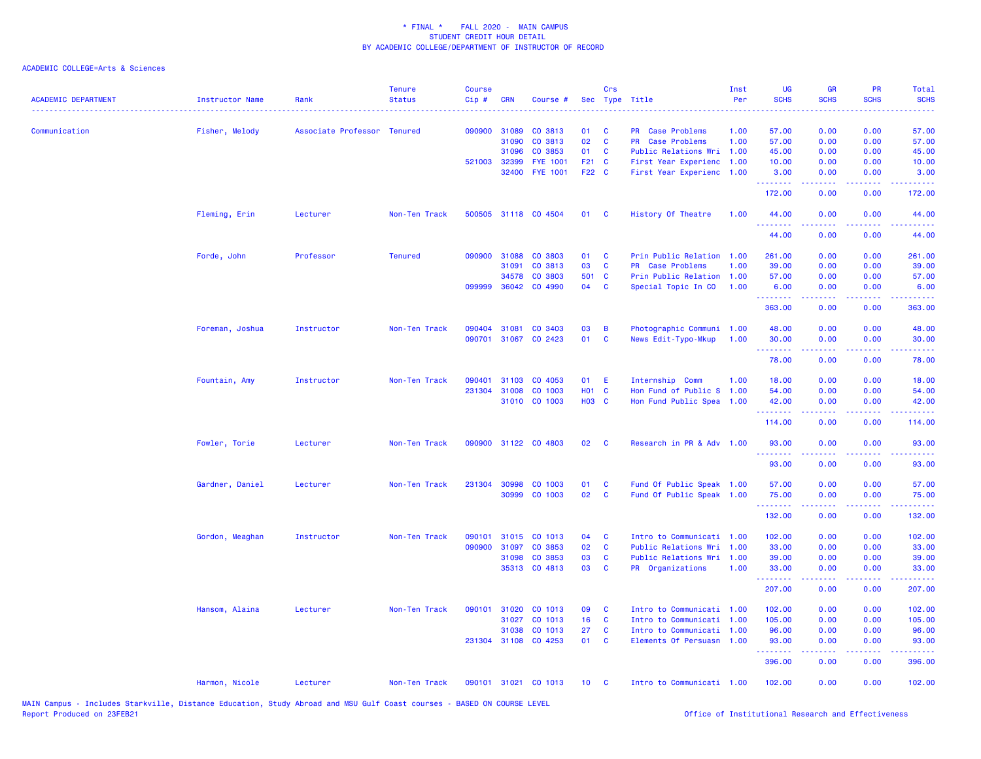| <b>ACADEMIC DEPARTMENT</b> | Instructor Name | Rank                        | <b>Tenure</b><br><b>Status</b> | <b>Course</b><br>Cip# | <b>CRN</b>   | Course #             |              | Crs                      | Sec Type Title                       | Inst<br>Per | UG<br><b>SCHS</b> | <b>GR</b><br><b>SCHS</b> | PR<br><b>SCHS</b>                                                                                                                 | Total<br><b>SCHS</b> |
|----------------------------|-----------------|-----------------------------|--------------------------------|-----------------------|--------------|----------------------|--------------|--------------------------|--------------------------------------|-------------|-------------------|--------------------------|-----------------------------------------------------------------------------------------------------------------------------------|----------------------|
|                            |                 |                             |                                | 090900                | 31089        | CO 3813              | 01           |                          |                                      | 1.00        | 57.00             | 0.00                     | 0.00                                                                                                                              | 57.00                |
| Communication              | Fisher, Melody  | Associate Professor Tenured |                                |                       | 31090        | CO 3813              | 02           | <b>C</b><br>$\mathbf{C}$ | PR Case Problems<br>PR Case Problems | 1.00        | 57.00             | 0.00                     | 0.00                                                                                                                              | 57.00                |
|                            |                 |                             |                                |                       | 31096        | CO 3853              | 01           | <b>C</b>                 | Public Relations Wri                 | 1.00        | 45.00             | 0.00                     | 0.00                                                                                                                              | 45.00                |
|                            |                 |                             |                                |                       | 521003 32399 | <b>FYE 1001</b>      | F21 C        |                          | First Year Experienc 1.00            |             | 10.00             | 0.00                     | 0.00                                                                                                                              | 10.00                |
|                            |                 |                             |                                |                       | 32400        | <b>FYE 1001</b>      | F22 C        |                          | First Year Experienc 1.00            |             | 3.00              | 0.00                     | 0.00                                                                                                                              | 3.00                 |
|                            |                 |                             |                                |                       |              |                      |              |                          |                                      |             | .<br>172.00       | 0.00                     | 0.00                                                                                                                              | 172.00               |
|                            | Fleming, Erin   | Lecturer                    | Non-Ten Track                  |                       |              | 500505 31118 CO 4504 | 01 C         |                          | History Of Theatre                   | 1.00        | 44.00             | 0.00                     | 0.00                                                                                                                              | 44.00                |
|                            |                 |                             |                                |                       |              |                      |              |                          |                                      |             | 44.00             | 0.00                     | 0.00                                                                                                                              | 44.00                |
|                            | Forde, John     | Professor                   | <b>Tenured</b>                 | 090900                | 31088        | CO 3803              | 01           | <b>C</b>                 | Prin Public Relation 1.00            |             | 261.00            | 0.00                     | 0.00                                                                                                                              | 261.00               |
|                            |                 |                             |                                |                       | 31091        | CO 3813              | 03           | <b>C</b>                 | <b>PR</b> Case Problems              | 1.00        | 39.00             | 0.00                     | 0.00                                                                                                                              | 39.00                |
|                            |                 |                             |                                |                       | 34578        | CO 3803              | 501 C        |                          | Prin Public Relation 1.00            |             | 57.00             | 0.00                     | 0.00                                                                                                                              | 57.00                |
|                            |                 |                             |                                |                       | 099999 36042 | CO 4990              | 04           | $\mathbf{C}$             | Special Topic In CO                  | 1.00        | 6.00<br>.         | 0.00<br>.                | 0.00                                                                                                                              | 6.00<br>.            |
|                            |                 |                             |                                |                       |              |                      |              |                          |                                      |             | 363.00            | 0.00                     | 0.00                                                                                                                              | 363.00               |
|                            | Foreman, Joshua | Instructor                  | Non-Ten Track                  | 090404                | 31081        | CO 3403              | 03           | B                        | Photographic Communi 1.00            |             | 48.00             | 0.00                     | 0.00                                                                                                                              | 48.00                |
|                            |                 |                             |                                | 090701                |              | 31067 CO 2423        | 01           | $\mathbf{C}$             | News Edit-Typo-Mkup                  | 1.00        | 30.00<br>.        | 0.00<br>.                | 0.00                                                                                                                              | 30.00                |
|                            |                 |                             |                                |                       |              |                      |              |                          |                                      |             | 78.00             | 0.00                     | 0.00                                                                                                                              | 78.00                |
|                            | Fountain, Amy   | Instructor                  | Non-Ten Track                  | 090401                | 31103        | CO 4053              | 01           | E                        | Internship Comm                      | 1.00        | 18.00             | 0.00                     | 0.00                                                                                                                              | 18.00                |
|                            |                 |                             |                                | 231304                | 31008        | CO 1003              | <b>HO1 C</b> |                          | Hon Fund of Public S 1.00            |             | 54.00             | 0.00                     | 0.00                                                                                                                              | 54.00                |
|                            |                 |                             |                                |                       |              | 31010 CO 1003        | <b>HO3 C</b> |                          | Hon Fund Public Spea 1.00            |             | 42.00<br>.        | 0.00<br>-----            | 0.00                                                                                                                              | 42.00                |
|                            |                 |                             |                                |                       |              |                      |              |                          |                                      |             | 114.00            | 0.00                     | 0.00                                                                                                                              | 114.00               |
|                            | Fowler, Torie   | Lecturer                    | Non-Ten Track                  |                       |              | 090900 31122 CO 4803 | 02           | $\overline{\mathbf{C}}$  | Research in PR & Adv 1.00            |             | 93.00<br>.        | 0.00                     | 0.00                                                                                                                              | 93.00                |
|                            |                 |                             |                                |                       |              |                      |              |                          |                                      |             | 93.00             | 0.00                     | 0.00                                                                                                                              | 93.00                |
|                            | Gardner, Daniel | Lecturer                    | Non-Ten Track                  |                       | 231304 30998 | CO 1003              | 01           | <b>C</b>                 | Fund Of Public Speak 1.00            |             | 57.00             | 0.00                     | 0.00                                                                                                                              | 57.00                |
|                            |                 |                             |                                |                       |              | 30999 CO 1003        | 02           | <b>C</b>                 | Fund Of Public Speak 1.00            |             | 75.00<br>.        | 0.00                     | 0.00                                                                                                                              | 75.00                |
|                            |                 |                             |                                |                       |              |                      |              |                          |                                      |             | 132.00            | 0.00                     | 0.00                                                                                                                              | 132.00               |
|                            | Gordon, Meaghan | Instructor                  | Non-Ten Track                  |                       |              | 090101 31015 CO 1013 | 04           | <b>C</b>                 | Intro to Communicati 1.00            |             | 102.00            | 0.00                     | 0.00                                                                                                                              | 102.00               |
|                            |                 |                             |                                | 090900                | 31097        | CO 3853              | 02           | $\mathbf{C}$             | Public Relations Wri 1.00            |             | 33.00             | 0.00                     | 0.00                                                                                                                              | 33.00                |
|                            |                 |                             |                                |                       | 31098        | CO 3853              | 03           | <b>C</b>                 | Public Relations Wri 1.00            |             | 39.00             | 0.00                     | 0.00                                                                                                                              | 39.00                |
|                            |                 |                             |                                |                       |              | 35313 CO 4813        | 03           | $\mathbf{C}$             | PR Organizations                     | 1.00        | 33.00<br>.        | 0.00<br>.                | 0.00<br>$\frac{1}{2} \left( \frac{1}{2} \right) \left( \frac{1}{2} \right) \left( \frac{1}{2} \right) \left( \frac{1}{2} \right)$ | 33.00<br>.           |
|                            |                 |                             |                                |                       |              |                      |              |                          |                                      |             | 207.00            | 0.00                     | 0.00                                                                                                                              | 207.00               |
|                            | Hansom, Alaina  | Lecturer                    | Non-Ten Track                  | 090101                | 31020        | CO 1013              | 09           | C                        | Intro to Communicati 1.00            |             | 102.00            | 0.00                     | 0.00                                                                                                                              | 102.00               |
|                            |                 |                             |                                |                       | 31027        | CO 1013              | 16           | <b>C</b>                 | Intro to Communicati 1.00            |             | 105.00            | 0.00                     | 0.00                                                                                                                              | 105.00               |
|                            |                 |                             |                                |                       | 31038        | CO 1013              | 27           | <b>C</b>                 | Intro to Communicati 1.00            |             | 96.00             | 0.00                     | 0.00                                                                                                                              | 96.00                |
|                            |                 |                             |                                |                       |              | 231304 31108 CO 4253 | 01           | $\mathbf{C}$             | Elements Of Persuasn 1.00            |             | 93.00<br>.        | 0.00                     | 0.00                                                                                                                              | 93.00<br>.           |
|                            |                 |                             |                                |                       |              |                      |              |                          |                                      |             | 396.00            | 0.00                     | 0.00                                                                                                                              | 396.00               |
|                            | Harmon, Nicole  | Lecturer                    | Non-Ten Track                  |                       |              | 090101 31021 CO 1013 | 10           | $\mathbf{C}$             | Intro to Communicati 1.00            |             | 102.00            | 0.00                     | 0.00                                                                                                                              | 102.00               |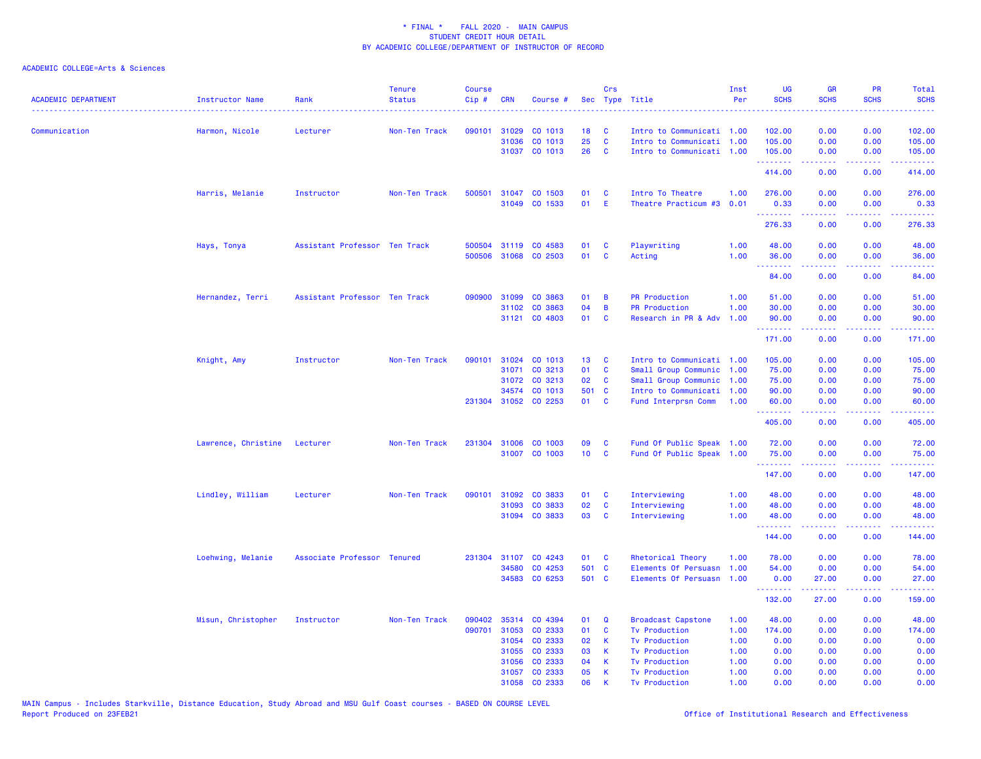| <b>ACADEMIC DEPARTMENT</b> | Instructor Name              | Rank                          | <b>Tenure</b><br><b>Status</b> | <b>Course</b><br>Cip# | <b>CRN</b>   | Course #             | <b>Sec</b>      | Crs          | Type Title                | Inst<br>Per | <b>UG</b><br><b>SCHS</b>             | GR<br><b>SCHS</b>                                                                                          | PR<br><b>SCHS</b><br>وعاعات                                                                            | Total<br><b>SCHS</b><br>.                                                                                                       |
|----------------------------|------------------------------|-------------------------------|--------------------------------|-----------------------|--------------|----------------------|-----------------|--------------|---------------------------|-------------|--------------------------------------|------------------------------------------------------------------------------------------------------------|--------------------------------------------------------------------------------------------------------|---------------------------------------------------------------------------------------------------------------------------------|
| Communication              | Harmon, Nicole               | Lecturer                      | Non-Ten Track                  |                       | 090101 31029 | CO 1013              | 18              | C            | Intro to Communicati 1.00 |             | 102.00                               | 0.00                                                                                                       | 0.00                                                                                                   | 102.00                                                                                                                          |
|                            |                              |                               |                                |                       | 31036        | CO 1013              | 25              | $\mathbf{C}$ | Intro to Communicati 1.00 |             | 105.00                               | 0.00                                                                                                       | 0.00                                                                                                   | 105.00                                                                                                                          |
|                            |                              |                               |                                |                       |              | 31037 CO 1013        | 26              | $\mathbf{C}$ | Intro to Communicati 1.00 |             | 105.00<br>.                          | 0.00<br>22222                                                                                              | 0.00<br>.                                                                                              | 105.00<br>$\begin{array}{cccccccccc} \bullet & \bullet & \bullet & \bullet & \bullet & \bullet & \bullet & \bullet \end{array}$ |
|                            |                              |                               |                                |                       |              |                      |                 |              |                           |             | 414.00                               | 0.00                                                                                                       | 0.00                                                                                                   | 414.00                                                                                                                          |
|                            | Harris, Melanie              | Instructor                    | Non-Ten Track                  | 500501                |              | 31047 CO 1503        | 01              | C            | Intro To Theatre          | 1.00        | 276.00                               | 0.00                                                                                                       | 0.00                                                                                                   | 276.00                                                                                                                          |
|                            |                              |                               |                                |                       |              | 31049 CO 1533        | 01              | - E          | Theatre Practicum #3      | 0.01        | 0.33<br><u>.</u>                     | 0.00<br><b></b>                                                                                            | 0.00<br>.                                                                                              | 0.33<br>.                                                                                                                       |
|                            |                              |                               |                                |                       |              |                      |                 |              |                           |             | 276.33                               | 0.00                                                                                                       | 0.00                                                                                                   | 276.33                                                                                                                          |
|                            | Hays, Tonya                  | Assistant Professor Ten Track |                                | 500504                |              | 31119 CO 4583        | 01              | C            | Playwriting               | 1.00        | 48.00                                | 0.00                                                                                                       | 0.00                                                                                                   | 48.00                                                                                                                           |
|                            |                              |                               |                                | 500506                |              | 31068 CO 2503        | 01              | C            | Acting                    | 1.00        | 36.00<br>.                           | 0.00<br>.                                                                                                  | 0.00<br>د د د د                                                                                        | 36.00<br>وعاديات                                                                                                                |
|                            |                              |                               |                                |                       |              |                      |                 |              |                           |             | 84.00                                | 0.00                                                                                                       | 0.00                                                                                                   | 84.00                                                                                                                           |
|                            | Hernandez, Terri             | Assistant Professor Ten Track |                                | 090900                | 31099        | CO 3863              | 01              | B            | <b>PR Production</b>      | 1.00        | 51.00                                | 0.00                                                                                                       | 0.00                                                                                                   | 51.00                                                                                                                           |
|                            |                              |                               |                                |                       | 31102        | CO 3863              | 04              | B            | <b>PR Production</b>      | 1.00        | 30.00                                | 0.00                                                                                                       | 0.00                                                                                                   | 30.00                                                                                                                           |
|                            |                              |                               |                                |                       |              | 31121 CO 4803        | 01              | <b>C</b>     | Research in PR & Adv      | 1.00        | 90.00<br>---------                   | 0.00                                                                                                       | 0.00<br>.                                                                                              | 90.00<br>.                                                                                                                      |
|                            |                              |                               |                                |                       |              |                      |                 |              |                           |             | 171.00                               | 0.00                                                                                                       | 0.00                                                                                                   | 171.00                                                                                                                          |
|                            | Knight, Amy                  | Instructor                    | Non-Ten Track                  | 090101                | 31024        | CO 1013              | 13              | <b>C</b>     | Intro to Communicati 1.00 |             | 105.00                               | 0.00                                                                                                       | 0.00                                                                                                   | 105.00                                                                                                                          |
|                            |                              |                               |                                |                       | 31071        | CO 3213              | 01              | $\mathbf{C}$ | Small Group Communic      | 1.00        | 75.00                                | 0.00                                                                                                       | 0.00                                                                                                   | 75.00                                                                                                                           |
|                            |                              |                               |                                |                       | 31072        | CO 3213              | 02              | C            | Small Group Communic      | 1.00        | 75.00                                | 0.00                                                                                                       | 0.00                                                                                                   | 75.00                                                                                                                           |
|                            |                              |                               |                                |                       | 34574        | CO 1013              | 501 C           |              | Intro to Communicati      | 1.00        | 90.00                                | 0.00                                                                                                       | 0.00                                                                                                   | 90.00                                                                                                                           |
|                            |                              |                               |                                |                       |              | 231304 31052 CO 2253 | 01              | $\mathbf{C}$ | Fund Interprsn Comm       | 1.00        | 60.00                                | 0.00                                                                                                       | 0.00                                                                                                   | 60.00                                                                                                                           |
|                            |                              |                               |                                |                       |              |                      |                 |              |                           |             | 405.00                               | 0.00                                                                                                       | 0.00                                                                                                   | 405.00                                                                                                                          |
|                            | Lawrence, Christine Lecturer |                               | Non-Ten Track                  |                       | 231304 31006 | CO 1003              | 09              | C            | Fund Of Public Speak 1.00 |             | 72.00                                | 0.00                                                                                                       | 0.00                                                                                                   | 72.00                                                                                                                           |
|                            |                              |                               |                                |                       | 31007        | CO 1003              | 10 <sub>1</sub> | C            | Fund Of Public Speak      | 1.00        | 75.00<br>.                           | 0.00<br>.                                                                                                  | 0.00<br>$\frac{1}{2} \left( \frac{1}{2} \right) \left( \frac{1}{2} \right) \left( \frac{1}{2} \right)$ | 75.00<br>.                                                                                                                      |
|                            |                              |                               |                                |                       |              |                      |                 |              |                           |             | 147.00                               | 0.00                                                                                                       | 0.00                                                                                                   | 147.00                                                                                                                          |
|                            | Lindley, William             | Lecturer                      | Non-Ten Track                  | 090101                | 31092        | CO 3833              | 01              | <b>C</b>     | Interviewing              | 1.00        | 48.00                                | 0.00                                                                                                       | 0.00                                                                                                   | 48.00                                                                                                                           |
|                            |                              |                               |                                |                       | 31093        | CO 3833              | 02              | $\mathbf{C}$ | Interviewing              | 1.00        | 48.00                                | 0.00                                                                                                       | 0.00                                                                                                   | 48.00                                                                                                                           |
|                            |                              |                               |                                |                       |              | 31094 CO 3833        | 03              | <b>C</b>     | Interviewing              | 1.00        | 48.00<br>.                           | 0.00<br>22222                                                                                              | 0.00<br>.                                                                                              | 48.00<br>.                                                                                                                      |
|                            |                              |                               |                                |                       |              |                      |                 |              |                           |             | 144.00                               | 0.00                                                                                                       | 0.00                                                                                                   | 144.00                                                                                                                          |
|                            | Loehwing, Melanie            | Associate Professor Tenured   |                                | 231304                | 31107        | CO 4243              | 01              | <b>C</b>     | Rhetorical Theory         | 1.00        | 78.00                                | 0.00                                                                                                       | 0.00                                                                                                   | 78.00                                                                                                                           |
|                            |                              |                               |                                |                       | 34580        | CO 4253              | 501 C           |              | Elements Of Persuasn      | 1.00        | 54.00                                | 0.00                                                                                                       | 0.00                                                                                                   | 54.00                                                                                                                           |
|                            |                              |                               |                                |                       |              | 34583 CO 6253        | 501 C           |              | Elements Of Persuasn 1.00 |             | 0.00<br><b><i><u>AAAAAAA</u></i></b> | 27.00<br>$\mathbf{1} \cdot \mathbf{1} \cdot \mathbf{1} \cdot \mathbf{1} \cdot \mathbf{1} \cdot \mathbf{1}$ | 0.00<br>22222                                                                                          | 27.00<br><u>.</u>                                                                                                               |
|                            |                              |                               |                                |                       |              |                      |                 |              |                           |             | 132.00                               | 27.00                                                                                                      | 0.00                                                                                                   | 159.00                                                                                                                          |
|                            | Misun, Christopher           | Instructor                    | Non-Ten Track                  | 090402                | 35314        | CO 4394              | 01              | Q            | <b>Broadcast Capstone</b> | 1.00        | 48.00                                | 0.00                                                                                                       | 0.00                                                                                                   | 48.00                                                                                                                           |
|                            |                              |                               |                                | 090701                | 31053        | CO 2333              | 01              | C            | <b>Tv Production</b>      | 1.00        | 174.00                               | 0.00                                                                                                       | 0.00                                                                                                   | 174.00                                                                                                                          |
|                            |                              |                               |                                |                       | 31054        | CO 2333              | 02              | K            | <b>Tv Production</b>      | 1.00        | 0.00                                 | 0.00                                                                                                       | 0.00                                                                                                   | 0.00                                                                                                                            |
|                            |                              |                               |                                |                       | 31055        | CO 2333              | 03              | K            | <b>Tv Production</b>      | 1.00        | 0.00                                 | 0.00                                                                                                       | 0.00                                                                                                   | 0.00                                                                                                                            |
|                            |                              |                               |                                |                       | 31056        | CO 2333              | 04              | K            | <b>Tv Production</b>      | 1.00        | 0.00                                 | 0.00                                                                                                       | 0.00                                                                                                   | 0.00                                                                                                                            |
|                            |                              |                               |                                |                       | 31057        | CO 2333              | 05              | $\mathsf K$  | <b>Tv Production</b>      | 1.00        | 0.00                                 | 0.00                                                                                                       | 0.00                                                                                                   | 0.00                                                                                                                            |
|                            |                              |                               |                                |                       |              | 31058 CO 2333        | 06              | K            | <b>Tv Production</b>      | 1.00        | 0.00                                 | 0.00                                                                                                       | 0.00                                                                                                   | 0.00                                                                                                                            |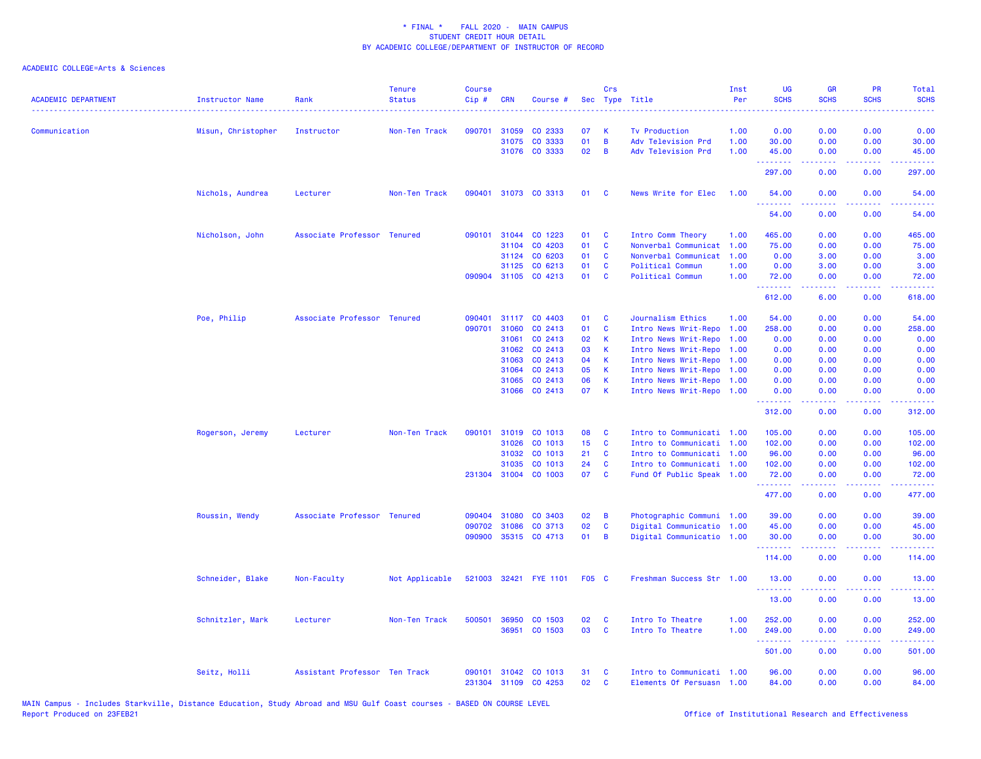| <b>ACADEMIC DEPARTMENT</b> | <b>Instructor Name</b> | Rank                          | <b>Tenure</b><br><b>Status</b> | <b>Course</b><br>Cip# | <b>CRN</b> | Course #             | Sec          | Crs            | Type Title                | Inst<br>Per | UG<br><b>SCHS</b>    | <b>GR</b><br><b>SCHS</b> | PR<br><b>SCHS</b>                   | Total<br><b>SCHS</b>                                                                                                                                          |
|----------------------------|------------------------|-------------------------------|--------------------------------|-----------------------|------------|----------------------|--------------|----------------|---------------------------|-------------|----------------------|--------------------------|-------------------------------------|---------------------------------------------------------------------------------------------------------------------------------------------------------------|
| Communication              | Misun, Christopher     | Instructor                    | Non-Ten Track                  | 090701                | 31059      | CO 2333              | 07           | к              | <b>Tv Production</b>      | 1.00        | 0.00                 | 0.00                     | 0.00                                | 0.00                                                                                                                                                          |
|                            |                        |                               |                                |                       | 31075      | CO 3333              | 01           | B              | Adv Television Prd        | 1.00        | 30.00                | 0.00                     | 0.00                                | 30.00                                                                                                                                                         |
|                            |                        |                               |                                |                       |            | 31076 CO 3333        | 02           | B              | Adv Television Prd        | 1.00        | 45.00<br><u>.</u>    | 0.00<br>22222            | 0.00<br>.                           | 45.00<br>.                                                                                                                                                    |
|                            |                        |                               |                                |                       |            |                      |              |                |                           |             | 297.00               | 0.00                     | 0.00                                | 297.00                                                                                                                                                        |
|                            | Nichols, Aundrea       | Lecturer                      | Non-Ten Track                  | 090401                |            | 31073 CO 3313        | 01           | <b>C</b>       | News Write for Elec       | 1.00        | 54.00<br>.           | 0.00<br>.                | 0.00<br>$\omega$ is a $\omega$      | 54.00<br>وعاعاها                                                                                                                                              |
|                            |                        |                               |                                |                       |            |                      |              |                |                           |             | 54.00                | 0.00                     | 0.00                                | 54.00                                                                                                                                                         |
|                            | Nicholson, John        | Associate Professor Tenured   |                                | 090101                | 31044      | CO 1223              | 01           | $\mathbf{C}$   | Intro Comm Theory         | 1.00        | 465.00               | 0.00                     | 0.00                                | 465.00                                                                                                                                                        |
|                            |                        |                               |                                |                       | 31104      | CO 4203              | 01           | <b>C</b>       | Nonverbal Communicat      | 1.00        | 75.00                | 0.00                     | 0.00                                | 75.00                                                                                                                                                         |
|                            |                        |                               |                                |                       | 31124      | CO 6203              | 01           | C              | Nonverbal Communicat      | 1.00        | 0.00                 | 3.00                     | 0.00                                | 3.00                                                                                                                                                          |
|                            |                        |                               |                                |                       | 31125      | CO 6213              | 01           | <b>C</b>       | Political Commun          | 1.00        | 0.00                 | 3.00                     | 0.00                                | 3.00                                                                                                                                                          |
|                            |                        |                               |                                |                       |            | 090904 31105 CO 4213 | 01           | $\mathbf{C}$   | Political Commun          | 1.00        | 72.00                | 0.00                     | 0.00                                | 72.00<br>المتمامين                                                                                                                                            |
|                            |                        |                               |                                |                       |            |                      |              |                |                           |             | 612.00               | 6.00                     | 0.00                                | 618.00                                                                                                                                                        |
|                            | Poe, Philip            | Associate Professor Tenured   |                                | 090401                |            | 31117 CO 4403        | 01           | <b>C</b>       | Journalism Ethics         | 1.00        | 54.00                | 0.00                     | 0.00                                | 54.00                                                                                                                                                         |
|                            |                        |                               |                                | 090701                | 31060      | CO 2413              | 01           | <b>C</b>       | Intro News Writ-Repo      | 1.00        | 258.00               | 0.00                     | 0.00                                | 258.00                                                                                                                                                        |
|                            |                        |                               |                                |                       | 31061      | CO 2413              | 02           | -K             | Intro News Writ-Repo      | 1.00        | 0.00                 | 0.00                     | 0.00                                | 0.00                                                                                                                                                          |
|                            |                        |                               |                                |                       | 31062      | CO 2413              | 03           | K.             | Intro News Writ-Repo      | 1.00        | 0.00                 | 0.00                     | 0.00                                | 0.00                                                                                                                                                          |
|                            |                        |                               |                                |                       | 31063      | CO 2413              | 04           | -K             | Intro News Writ-Repo      | 1.00        | 0.00                 | 0.00                     | 0.00                                | 0.00                                                                                                                                                          |
|                            |                        |                               |                                |                       | 31064      | CO 2413              | 05           | $\mathsf K$    | Intro News Writ-Repo 1.00 |             | 0.00                 | 0.00                     | 0.00                                | 0.00                                                                                                                                                          |
|                            |                        |                               |                                |                       | 31065      | CO 2413              | 06           | К              | Intro News Writ-Repo 1.00 |             | 0.00                 | 0.00                     | 0.00                                | 0.00                                                                                                                                                          |
|                            |                        |                               |                                |                       |            | 31066 CO 2413        | 07           | $\mathbf{K}$   | Intro News Writ-Repo 1.00 |             | 0.00                 | 0.00                     | 0.00                                | 0.00                                                                                                                                                          |
|                            |                        |                               |                                |                       |            |                      |              |                |                           |             | <b>.</b> .<br>312.00 | .<br>0.00                | $\sim$ $\sim$ $\sim$ $\sim$<br>0.00 | 22222.<br>312.00                                                                                                                                              |
|                            | Rogerson, Jeremy       | Lecturer                      | Non-Ten Track                  | 090101                |            | 31019 CO 1013        | 08           | <b>C</b>       | Intro to Communicati 1.00 |             | 105.00               | 0.00                     | 0.00                                | 105.00                                                                                                                                                        |
|                            |                        |                               |                                |                       | 31026      | CO 1013              | 15           | <b>C</b>       | Intro to Communicati 1.00 |             | 102.00               | 0.00                     | 0.00                                | 102.00                                                                                                                                                        |
|                            |                        |                               |                                |                       | 31032      | CO 1013              | 21           | $\mathbf{C}$   | Intro to Communicati 1.00 |             | 96.00                | 0.00                     | 0.00                                | 96.00                                                                                                                                                         |
|                            |                        |                               |                                |                       | 31035      | CO 1013              | 24           | $\mathbf{C}$   | Intro to Communicati 1.00 |             | 102.00               | 0.00                     | 0.00                                | 102.00                                                                                                                                                        |
|                            |                        |                               |                                |                       |            | 231304 31004 CO 1003 | 07           | $\mathbf{C}$   | Fund Of Public Speak 1.00 |             | 72.00                | 0.00                     | 0.00                                | 72.00                                                                                                                                                         |
|                            |                        |                               |                                |                       |            |                      |              |                |                           |             | .<br>477.00          | 0.00                     | 0.00                                | .<br>477.00                                                                                                                                                   |
|                            | Roussin, Wendy         | Associate Professor Tenured   |                                |                       |            | 090404 31080 CO 3403 | 02           | $\overline{B}$ | Photographic Communi 1.00 |             | 39.00                | 0.00                     | 0.00                                | 39.00                                                                                                                                                         |
|                            |                        |                               |                                | 090702                | 31086      | CO 3713              | 02           | C              | Digital Communicatio 1.00 |             | 45.00                | 0.00                     | 0.00                                | 45.00                                                                                                                                                         |
|                            |                        |                               |                                | 090900                |            | 35315 CO 4713        | 01           | $\overline{B}$ | Digital Communicatio 1.00 |             | 30.00                | 0.00                     | 0.00                                | 30.00                                                                                                                                                         |
|                            |                        |                               |                                |                       |            |                      |              |                |                           |             | .<br>114.00          | 0.00                     | 0.00                                | .<br>114.00                                                                                                                                                   |
|                            | Schneider, Blake       | Non-Faculty                   | Not Applicable                 | 521003                |            | 32421 FYE 1101       | <b>F05 C</b> |                | Freshman Success Str 1.00 |             | 13.00                | 0.00                     | 0.00                                | 13.00                                                                                                                                                         |
|                            |                        |                               |                                |                       |            |                      |              |                |                           |             | <u>.</u><br>13.00    | .<br>0.00                | .<br>0.00                           | $\frac{1}{2} \left( \frac{1}{2} \right) \left( \frac{1}{2} \right) \left( \frac{1}{2} \right) \left( \frac{1}{2} \right) \left( \frac{1}{2} \right)$<br>13.00 |
|                            | Schnitzler, Mark       | Lecturer                      | Non-Ten Track                  | 500501                | 36950      | CO 1503              | 02           | C              | Intro To Theatre          | 1.00        | 252.00               | 0.00                     | 0.00                                | 252.00                                                                                                                                                        |
|                            |                        |                               |                                |                       | 36951      | CO 1503              | 03           | C              | Intro To Theatre          | 1.00        | 249.00               | 0.00                     | 0.00                                | 249.00                                                                                                                                                        |
|                            |                        |                               |                                |                       |            |                      |              |                |                           |             | .<br>501.00          | .<br>0.00                | .<br>0.00                           | .<br>501.00                                                                                                                                                   |
|                            | Seitz, Holli           | Assistant Professor Ten Track |                                | 090101                |            | 31042 CO 1013        | 31           | C              | Intro to Communicati 1.00 |             | 96.00                | 0.00                     | 0.00                                | 96.00                                                                                                                                                         |
|                            |                        |                               |                                | 231304                |            | 31109 CO 4253        | 02           | C              | Elements Of Persuasn 1.00 |             | 84.00                | 0.00                     | 0.00                                | 84.00                                                                                                                                                         |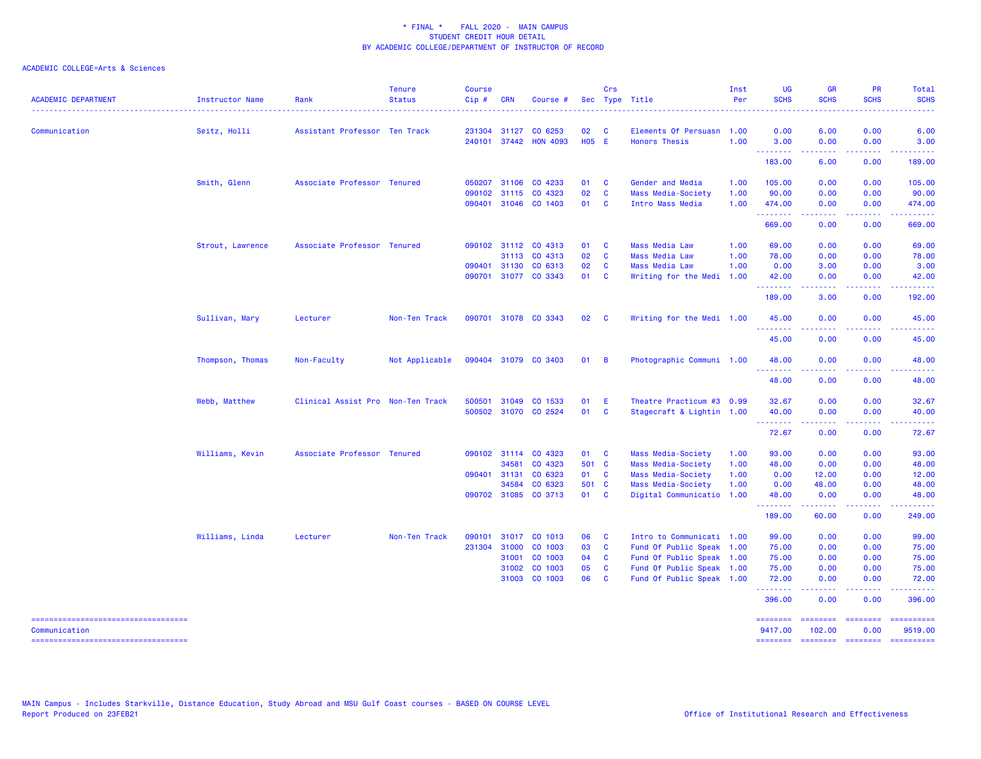| <b>ACADEMIC DEPARTMENT</b>                             | Instructor Name  | Rank                              | <b>Tenure</b><br><b>Status</b> | <b>Course</b><br>Cip# | <b>CRN</b>   | Course #                               |                    | Crs                        | Sec Type Title                                    | Inst<br>Per | <b>UG</b><br><b>SCHS</b> | <b>GR</b><br><b>SCHS</b> | <b>PR</b><br><b>SCHS</b> | Total<br><b>SCHS</b>  |
|--------------------------------------------------------|------------------|-----------------------------------|--------------------------------|-----------------------|--------------|----------------------------------------|--------------------|----------------------------|---------------------------------------------------|-------------|--------------------------|--------------------------|--------------------------|-----------------------|
| Communication                                          | Seitz, Holli     | Assistant Professor Ten Track     |                                | 231304                |              | 31127 CO 6253<br>240101 37442 HON 4093 | 02<br><b>HO5 E</b> | <b>C</b>                   | Elements Of Persuasn 1.00<br><b>Honors Thesis</b> | 1.00        | 0.00<br>3.00             | 6.00<br>0.00             | 0.00<br>0.00             | 6.00<br>3.00          |
|                                                        |                  |                                   |                                |                       |              |                                        |                    |                            |                                                   |             | .                        |                          |                          |                       |
|                                                        |                  |                                   |                                |                       |              |                                        |                    |                            |                                                   |             | 183.00                   | 6.00                     | 0.00                     | 189.00                |
|                                                        | Smith, Glenn     | Associate Professor Tenured       |                                |                       |              | 050207 31106 CO 4233                   | 01 C               |                            | Gender and Media                                  | 1.00        | 105.00                   | 0.00                     | 0.00                     | 105.00                |
|                                                        |                  |                                   |                                | 090102                | 31115        | CO 4323                                | 02                 | $\mathbf{C}$               | Mass Media-Society                                | 1.00        | 90.00                    | 0.00                     | 0.00                     | 90.00                 |
|                                                        |                  |                                   |                                |                       |              | 090401 31046 CO 1403                   | 01 C               |                            | Intro Mass Media                                  | 1.00        | 474.00<br><u>.</u>       | 0.00                     | 0.00                     | 474.00<br>.           |
|                                                        |                  |                                   |                                |                       |              |                                        |                    |                            |                                                   |             | 669.00                   | 0.00                     | 0.00                     | 669.00                |
|                                                        | Strout, Lawrence | Associate Professor Tenured       |                                |                       |              | 090102 31112 CO 4313                   | 01                 | $\mathbf{C}$               | <b>Mass Media Law</b>                             | 1.00        | 69.00                    | 0.00                     | 0.00                     | 69.00                 |
|                                                        |                  |                                   |                                |                       | 31113        | CO 4313                                | 02                 | <b>C</b>                   | <b>Mass Media Law</b>                             | 1.00        | 78.00                    | 0.00                     | 0.00                     | 78.00                 |
|                                                        |                  |                                   |                                |                       | 090401 31130 | CO 6313                                | 02                 | $\mathbf{C}$               | <b>Mass Media Law</b>                             | 1.00        | 0.00                     | 3.00                     | 0.00                     | 3.00                  |
|                                                        |                  |                                   |                                |                       |              | 090701 31077 CO 3343                   | 01 C               |                            | Writing for the Medi                              | 1.00        | 42.00<br>--------        | 0.00<br>-----            | 0.00                     | 42.00<br>.            |
|                                                        |                  |                                   |                                |                       |              |                                        |                    |                            |                                                   |             | 189.00                   | 3.00                     | 0.00                     | 192.00                |
|                                                        | Sullivan, Mary   | Lecturer                          | Non-Ten Track                  |                       |              | 090701 31078 CO 3343                   | 02                 | $\overline{\phantom{a}}$ C | Writing for the Medi 1.00                         |             | 45.00                    | 0.00                     | 0.00                     | 45.00                 |
|                                                        |                  |                                   |                                |                       |              |                                        |                    |                            |                                                   |             | --------<br>45.00        | -----<br>0.00            | .<br>0.00                | .<br>45.00            |
|                                                        | Thompson, Thomas | Non-Faculty                       | Not Applicable                 |                       |              | 090404 31079 CO 3403                   | 01 B               |                            | Photographic Communi 1.00                         |             | 48.00                    | 0.00                     | 0.00                     | 48.00                 |
|                                                        |                  |                                   |                                |                       |              |                                        |                    |                            |                                                   |             | .<br>48.00               | 0.00                     | 0.00                     | 48.00                 |
|                                                        | Webb, Matthew    | Clinical Assist Pro Non-Ten Track |                                | 500501                | 31049        | CO 1533                                | 01                 | E                          | Theatre Practicum #3 0.99                         |             | 32.67                    | 0.00                     | 0.00                     | 32.67                 |
|                                                        |                  |                                   |                                |                       |              | 500502 31070 CO 2524                   | 01                 | $\mathbf{C}$               | Stagecraft & Lightin 1.00                         |             | 40.00                    | 0.00                     | 0.00                     | 40.00                 |
|                                                        |                  |                                   |                                |                       |              |                                        |                    |                            |                                                   |             | .                        |                          |                          |                       |
|                                                        |                  |                                   |                                |                       |              |                                        |                    |                            |                                                   |             | 72.67                    | 0.00                     | 0.00                     | 72.67                 |
|                                                        | Williams, Kevin  | Associate Professor Tenured       |                                |                       |              | 090102 31114 CO 4323                   | 01 C               |                            | Mass Media-Society                                | 1.00        | 93.00                    | 0.00                     | 0.00                     | 93.00                 |
|                                                        |                  |                                   |                                |                       | 34581        | CO 4323                                | 501 C              |                            | Mass Media-Society                                | 1.00        | 48.00                    | 0.00                     | 0.00                     | 48.00                 |
|                                                        |                  |                                   |                                | 090401                | 31131        | CO 6323                                | 01 C               |                            | Mass Media-Society                                | 1.00        | 0.00                     | 12.00                    | 0.00                     | 12.00                 |
|                                                        |                  |                                   |                                |                       | 34584        | CO 6323                                | 501 C              |                            | Mass Media-Society                                | 1.00        | 0.00                     | 48.00                    | 0.00                     | 48.00                 |
|                                                        |                  |                                   |                                |                       |              | 090702 31085 CO 3713                   | 01 C               |                            | Digital Communicatio 1.00                         |             | 48.00<br>.               | 0.00<br>.                | 0.00<br>.                | 48.00<br>.            |
|                                                        |                  |                                   |                                |                       |              |                                        |                    |                            |                                                   |             | 189.00                   | 60.00                    | 0.00                     | 249.00                |
|                                                        | Williams, Linda  | Lecturer                          | Non-Ten Track                  | 090101                |              | 31017 CO 1013                          | 06                 | $\mathbf{C}$               | Intro to Communicati 1.00                         |             | 99.00                    | 0.00                     | 0.00                     | 99.00                 |
|                                                        |                  |                                   |                                | 231304                | 31000        | CO 1003                                | 03                 | $\mathbf{C}$               | Fund Of Public Speak 1.00                         |             | 75.00                    | 0.00                     | 0.00                     | 75.00                 |
|                                                        |                  |                                   |                                |                       | 31001        | CO 1003                                | 04                 | <b>C</b>                   | Fund Of Public Speak 1.00                         |             | 75.00                    | 0.00                     | 0.00                     | 75.00                 |
|                                                        |                  |                                   |                                |                       | 31002        | CO 1003                                | 05                 | $\mathbf{C}$               | Fund Of Public Speak 1.00                         |             | 75.00                    | 0.00                     | 0.00                     | 75.00                 |
|                                                        |                  |                                   |                                |                       |              | 31003 CO 1003                          | 06 C               |                            | Fund Of Public Speak 1.00                         |             | 72.00<br>.               | 0.00                     | 0.00                     | 72.00                 |
|                                                        |                  |                                   |                                |                       |              |                                        |                    |                            |                                                   |             | 396.00                   | 0.00                     | 0.00                     | 396.00                |
| =====================================<br>Communication |                  |                                   |                                |                       |              |                                        |                    |                            |                                                   |             | ========<br>9417.00      | ========<br>102.00       | ========<br>0.00         | ==========<br>9519.00 |
| -----------------------------------                    |                  |                                   |                                |                       |              |                                        |                    |                            |                                                   |             | ========                 | <b>SESSESSE</b>          | $= 1.122222222$          | ==========            |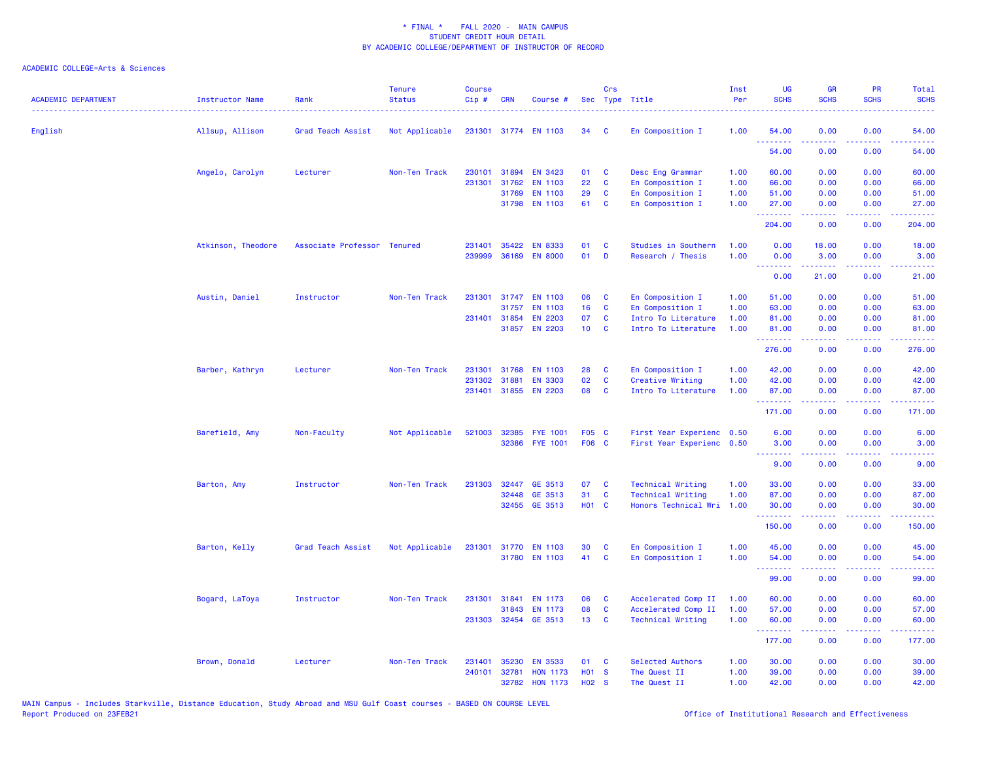| <b>ACADEMIC DEPARTMENT</b> | <b>Instructor Name</b> | Rank                        | <b>Tenure</b><br><b>Status</b> | <b>Course</b><br>Cip# | <b>CRN</b>   | Course #              |                 | Crs         | Sec Type Title            | Inst<br>Per | UG<br><b>SCHS</b>                                                                                                                                                                                                                                                                                                                                                                                                                                                                              | <b>GR</b><br><b>SCHS</b>                                                                                                                                      | PR<br><b>SCHS</b>  | Total<br><b>SCHS</b>                                                                                                               |
|----------------------------|------------------------|-----------------------------|--------------------------------|-----------------------|--------------|-----------------------|-----------------|-------------|---------------------------|-------------|------------------------------------------------------------------------------------------------------------------------------------------------------------------------------------------------------------------------------------------------------------------------------------------------------------------------------------------------------------------------------------------------------------------------------------------------------------------------------------------------|---------------------------------------------------------------------------------------------------------------------------------------------------------------|--------------------|------------------------------------------------------------------------------------------------------------------------------------|
| English                    | Allsup, Allison        | Grad Teach Assist           | Not Applicable                 |                       |              | 231301 31774 EN 1103  | 34              | C           | En Composition I          | 1.00        | 54.00                                                                                                                                                                                                                                                                                                                                                                                                                                                                                          | 0.00                                                                                                                                                          | 0.00               | 54.00                                                                                                                              |
|                            |                        |                             |                                |                       |              |                       |                 |             |                           |             | .<br>54.00                                                                                                                                                                                                                                                                                                                                                                                                                                                                                     | .<br>0.00                                                                                                                                                     | 0.00               | $\frac{1}{2} \left( \frac{1}{2} \right) \left( \frac{1}{2} \right) \left( \frac{1}{2} \right) \left( \frac{1}{2} \right)$<br>54.00 |
|                            | Angelo, Carolyn        | Lecturer                    | Non-Ten Track                  | 230101                | 31894        | <b>EN 3423</b>        | 01              | C           | Desc Eng Grammar          | 1.00        | 60.00                                                                                                                                                                                                                                                                                                                                                                                                                                                                                          | 0.00                                                                                                                                                          | 0.00               | 60.00                                                                                                                              |
|                            |                        |                             |                                | 231301                | 31762        | <b>EN 1103</b>        | 22              | C           | En Composition I          | 1.00        | 66.00                                                                                                                                                                                                                                                                                                                                                                                                                                                                                          | 0.00                                                                                                                                                          | 0.00               | 66.00                                                                                                                              |
|                            |                        |                             |                                |                       | 31769        | EN 1103               | 29              | C           | En Composition I          | 1.00        | 51.00                                                                                                                                                                                                                                                                                                                                                                                                                                                                                          | 0.00                                                                                                                                                          | 0.00               | 51.00                                                                                                                              |
|                            |                        |                             |                                |                       | 31798        | <b>EN 1103</b>        | 61              | <b>C</b>    | En Composition I          | 1.00        | 27.00<br>.                                                                                                                                                                                                                                                                                                                                                                                                                                                                                     | 0.00<br>.                                                                                                                                                     | 0.00<br>.          | 27.00<br>.                                                                                                                         |
|                            |                        |                             |                                |                       |              |                       |                 |             |                           |             | 204.00                                                                                                                                                                                                                                                                                                                                                                                                                                                                                         | 0.00                                                                                                                                                          | 0.00               | 204.00                                                                                                                             |
|                            | Atkinson, Theodore     | Associate Professor Tenured |                                | 231401                | 35422        | <b>EN 8333</b>        | 01              | C           | Studies in Southern       | 1.00        | 0.00                                                                                                                                                                                                                                                                                                                                                                                                                                                                                           | 18.00                                                                                                                                                         | 0.00               | 18.00                                                                                                                              |
|                            |                        |                             |                                | 239999                | 36169        | <b>EN 8000</b>        | 01              | D           | Research / Thesis         | 1.00        | 0.00                                                                                                                                                                                                                                                                                                                                                                                                                                                                                           | 3.00                                                                                                                                                          | 0.00               | 3.00                                                                                                                               |
|                            |                        |                             |                                |                       |              |                       |                 |             |                           |             | .<br>0.00                                                                                                                                                                                                                                                                                                                                                                                                                                                                                      | $\frac{1}{2} \left( \frac{1}{2} \right) \left( \frac{1}{2} \right) \left( \frac{1}{2} \right) \left( \frac{1}{2} \right) \left( \frac{1}{2} \right)$<br>21.00 | المتمالي<br>0.00   | $\sim$ $\sim$ $\sim$ $\sim$<br>21.00                                                                                               |
|                            | Austin, Daniel         | Instructor                  | Non-Ten Track                  | 231301                | 31747        | <b>EN 1103</b>        | 06              | C           | En Composition I          | 1.00        | 51.00                                                                                                                                                                                                                                                                                                                                                                                                                                                                                          | 0.00                                                                                                                                                          | 0.00               | 51.00                                                                                                                              |
|                            |                        |                             |                                |                       | 31757        | <b>EN 1103</b>        | 16              | C           | En Composition I          | 1.00        | 63.00                                                                                                                                                                                                                                                                                                                                                                                                                                                                                          | 0.00                                                                                                                                                          | 0.00               | 63.00                                                                                                                              |
|                            |                        |                             |                                |                       | 231401 31854 | <b>EN 2203</b>        | 07              | C           | Intro To Literature       | 1.00        | 81.00                                                                                                                                                                                                                                                                                                                                                                                                                                                                                          | 0.00                                                                                                                                                          | 0.00               | 81.00                                                                                                                              |
|                            |                        |                             |                                |                       |              | 31857 EN 2203         | 10 <sub>1</sub> | C           | Intro To Literature       | 1.00        | 81.00<br>.                                                                                                                                                                                                                                                                                                                                                                                                                                                                                     | 0.00<br>2.2.2.2.2                                                                                                                                             | 0.00<br>.          | 81.00<br>.                                                                                                                         |
|                            |                        |                             |                                |                       |              |                       |                 |             |                           |             | 276.00                                                                                                                                                                                                                                                                                                                                                                                                                                                                                         | 0.00                                                                                                                                                          | 0.00               | 276.00                                                                                                                             |
|                            | Barber, Kathryn        | Lecturer                    | Non-Ten Track                  | 231301                | 31768        | <b>EN 1103</b>        | 28              | C           | En Composition I          | 1.00        | 42.00                                                                                                                                                                                                                                                                                                                                                                                                                                                                                          | 0.00                                                                                                                                                          | 0.00               | 42.00                                                                                                                              |
|                            |                        |                             |                                | 231302                | 31881        | <b>EN 3303</b>        | 02              | C           | Creative Writing          | 1.00        | 42.00                                                                                                                                                                                                                                                                                                                                                                                                                                                                                          | 0.00                                                                                                                                                          | 0.00               | 42.00                                                                                                                              |
|                            |                        |                             |                                |                       |              | 231401 31855 EN 2203  | 08              | <b>C</b>    | Intro To Literature       | 1.00        | 87.00<br>.                                                                                                                                                                                                                                                                                                                                                                                                                                                                                     | 0.00<br>22222                                                                                                                                                 | 0.00<br>$  -$      | 87.00<br>.                                                                                                                         |
|                            |                        |                             |                                |                       |              |                       |                 |             |                           |             | 171.00                                                                                                                                                                                                                                                                                                                                                                                                                                                                                         | 0.00                                                                                                                                                          | 0.00               | 171.00                                                                                                                             |
|                            | Barefield, Amy         | Non-Faculty                 | Not Applicable                 |                       |              | 521003 32385 FYE 1001 | F05 C           |             | First Year Experienc 0.50 |             | 6.00                                                                                                                                                                                                                                                                                                                                                                                                                                                                                           | 0.00                                                                                                                                                          | 0.00               | 6.00                                                                                                                               |
|                            |                        |                             |                                |                       | 32386        | <b>FYE 1001</b>       | F06 C           |             | First Year Experienc 0.50 |             | 3.00                                                                                                                                                                                                                                                                                                                                                                                                                                                                                           | 0.00                                                                                                                                                          | 0.00               | 3.00                                                                                                                               |
|                            |                        |                             |                                |                       |              |                       |                 |             |                           |             | $\begin{array}{cccccccccccccc} \multicolumn{2}{c}{} & \multicolumn{2}{c}{} & \multicolumn{2}{c}{} & \multicolumn{2}{c}{} & \multicolumn{2}{c}{} & \multicolumn{2}{c}{} & \multicolumn{2}{c}{} & \multicolumn{2}{c}{} & \multicolumn{2}{c}{} & \multicolumn{2}{c}{} & \multicolumn{2}{c}{} & \multicolumn{2}{c}{} & \multicolumn{2}{c}{} & \multicolumn{2}{c}{} & \multicolumn{2}{c}{} & \multicolumn{2}{c}{} & \multicolumn{2}{c}{} & \multicolumn{2}{c}{} & \multicolumn{2}{c}{} & \$<br>9.00 | $\frac{1}{2} \left( \frac{1}{2} \right) \left( \frac{1}{2} \right) \left( \frac{1}{2} \right) \left( \frac{1}{2} \right) \left( \frac{1}{2} \right)$<br>0.00  | . <b>.</b><br>0.00 | .<br>9.00                                                                                                                          |
|                            | Barton, Amy            | Instructor                  | Non-Ten Track                  | 231303                | 32447        | GE 3513               | 07              | <b>C</b>    | <b>Technical Writing</b>  | 1.00        | 33.00                                                                                                                                                                                                                                                                                                                                                                                                                                                                                          | 0.00                                                                                                                                                          | 0.00               | 33.00                                                                                                                              |
|                            |                        |                             |                                |                       | 32448        | GE 3513               | 31              | C           | <b>Technical Writing</b>  | 1.00        | 87.00                                                                                                                                                                                                                                                                                                                                                                                                                                                                                          | 0.00                                                                                                                                                          | 0.00               | 87.00                                                                                                                              |
|                            |                        |                             |                                |                       |              | 32455 GE 3513         | <b>HO1 C</b>    |             | Honors Technical Wri      | 1.00        | 30.00                                                                                                                                                                                                                                                                                                                                                                                                                                                                                          | 0.00                                                                                                                                                          | 0.00               | 30.00                                                                                                                              |
|                            |                        |                             |                                |                       |              |                       |                 |             |                           |             | .<br>150.00                                                                                                                                                                                                                                                                                                                                                                                                                                                                                    | -----<br>0.00                                                                                                                                                 | .<br>0.00          | .<br>150.00                                                                                                                        |
|                            | Barton, Kelly          | Grad Teach Assist           | Not Applicable                 |                       |              | 231301 31770 EN 1103  | 30              | C           | En Composition I          | 1.00        | 45.00                                                                                                                                                                                                                                                                                                                                                                                                                                                                                          | 0.00                                                                                                                                                          | 0.00               | 45.00                                                                                                                              |
|                            |                        |                             |                                |                       |              | 31780 EN 1103         | 41              | C           | En Composition I          | 1.00        | 54.00                                                                                                                                                                                                                                                                                                                                                                                                                                                                                          | 0.00                                                                                                                                                          | 0.00               | 54.00                                                                                                                              |
|                            |                        |                             |                                |                       |              |                       |                 |             |                           |             | .<br>99.00                                                                                                                                                                                                                                                                                                                                                                                                                                                                                     | 0.00                                                                                                                                                          | 0.00               | د د د د د د<br>99.00                                                                                                               |
|                            | Bogard, LaToya         | Instructor                  | Non-Ten Track                  | 231301                | 31841        | <b>EN 1173</b>        | 06              | C           | Accelerated Comp II       | 1.00        | 60.00                                                                                                                                                                                                                                                                                                                                                                                                                                                                                          | 0.00                                                                                                                                                          | 0.00               | 60.00                                                                                                                              |
|                            |                        |                             |                                |                       | 31843        | EN 1173               | 08              | $\mathbf c$ | Accelerated Comp II       | 1.00        | 57.00                                                                                                                                                                                                                                                                                                                                                                                                                                                                                          | 0.00                                                                                                                                                          | 0.00               | 57.00                                                                                                                              |
|                            |                        |                             |                                |                       |              | 231303 32454 GE 3513  | 13 <sup>°</sup> | C           | <b>Technical Writing</b>  | 1.00        | 60.00                                                                                                                                                                                                                                                                                                                                                                                                                                                                                          | 0.00                                                                                                                                                          | 0.00               | 60.00                                                                                                                              |
|                            |                        |                             |                                |                       |              |                       |                 |             |                           |             | .<br>177.00                                                                                                                                                                                                                                                                                                                                                                                                                                                                                    | $\frac{1}{2} \left( \frac{1}{2} \right) \left( \frac{1}{2} \right) \left( \frac{1}{2} \right) \left( \frac{1}{2} \right) \left( \frac{1}{2} \right)$<br>0.00  | المتمالين<br>0.00  | .<br>177.00                                                                                                                        |
|                            | Brown, Donald          | Lecturer                    | Non-Ten Track                  | 231401                | 35230        | <b>EN 3533</b>        | 01              | C           | Selected Authors          | 1.00        | 30.00                                                                                                                                                                                                                                                                                                                                                                                                                                                                                          | 0.00                                                                                                                                                          | 0.00               | 30.00                                                                                                                              |
|                            |                        |                             |                                |                       | 240101 32781 | <b>HON 1173</b>       | <b>HO1 S</b>    |             | The Quest II              | 1.00        | 39.00                                                                                                                                                                                                                                                                                                                                                                                                                                                                                          | 0.00                                                                                                                                                          | 0.00               | 39.00                                                                                                                              |
|                            |                        |                             |                                |                       | 32782        | <b>HON 1173</b>       | <b>HO2</b>      | <b>S</b>    | The Quest II              | 1.00        | 42.00                                                                                                                                                                                                                                                                                                                                                                                                                                                                                          | 0.00                                                                                                                                                          | 0.00               | 42.00                                                                                                                              |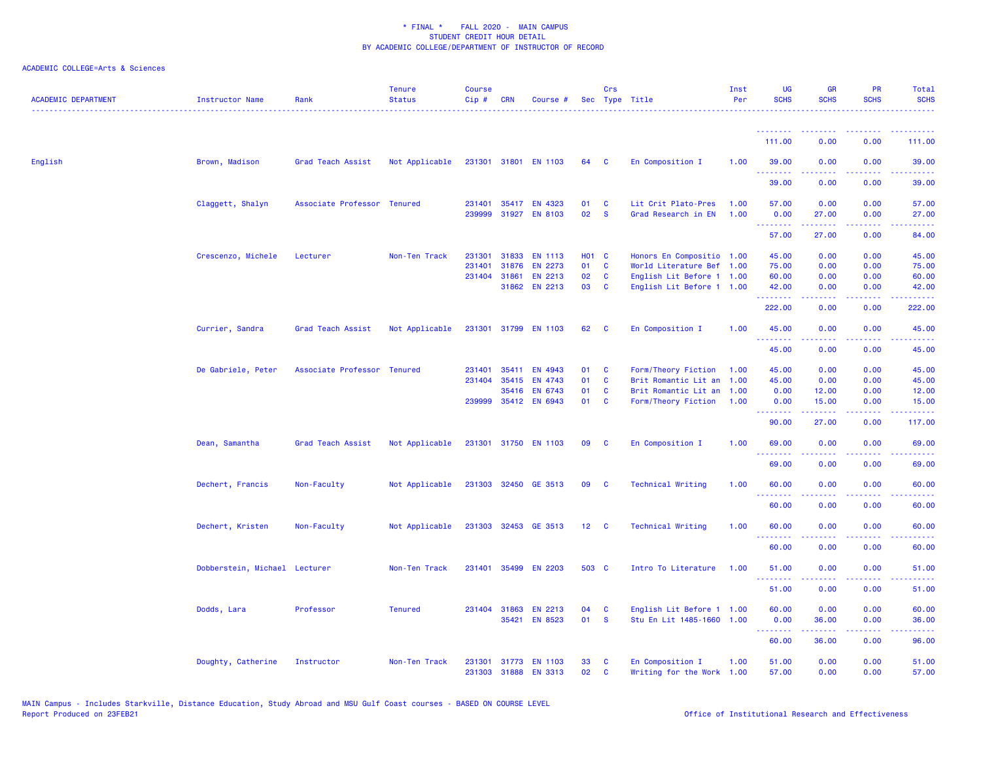| <b>ACADEMIC DEPARTMENT</b> | Instructor Name               | Rank                        | <b>Tenure</b><br><b>Status</b> | <b>Course</b><br>Cip# | <b>CRN</b>   | Course #             |              | Crs                     | Sec Type Title            | Inst<br>Per | <b>UG</b><br><b>SCHS</b> | <b>GR</b><br><b>SCHS</b> | <b>PR</b><br><b>SCHS</b>                                                                                                          | Total<br><b>SCHS</b> |
|----------------------------|-------------------------------|-----------------------------|--------------------------------|-----------------------|--------------|----------------------|--------------|-------------------------|---------------------------|-------------|--------------------------|--------------------------|-----------------------------------------------------------------------------------------------------------------------------------|----------------------|
|                            |                               |                             |                                |                       |              |                      |              |                         |                           |             | <u>.</u>                 |                          |                                                                                                                                   |                      |
|                            |                               |                             |                                |                       |              |                      |              |                         |                           |             | 111.00                   | 0.00                     | 0.00                                                                                                                              | 111.00               |
| English                    | Brown, Madison                | Grad Teach Assist           | Not Applicable                 |                       |              | 231301 31801 EN 1103 | 64 C         |                         | En Composition I          | 1.00        | 39.00<br>.               | 0.00<br>.                | 0.00                                                                                                                              | 39.00                |
|                            |                               |                             |                                |                       |              |                      |              |                         |                           |             | 39.00                    | 0.00                     | 0.00                                                                                                                              | 39.00                |
|                            | Claggett, Shalyn              | Associate Professor Tenured |                                |                       |              | 231401 35417 EN 4323 | 01           | <b>C</b>                | Lit Crit Plato-Pres       | 1.00        | 57.00                    | 0.00                     | 0.00                                                                                                                              | 57.00                |
|                            |                               |                             |                                | 239999                |              | 31927 EN 8103        | 02           | <b>S</b>                | Grad Research in EN       | 1.00        | 0.00<br>.                | 27.00                    | 0.00                                                                                                                              | 27.00                |
|                            |                               |                             |                                |                       |              |                      |              |                         |                           |             | 57.00                    | 27.00                    | 0.00                                                                                                                              | 84.00                |
|                            | Crescenzo, Michele            | Lecturer                    | Non-Ten Track                  | 231301                | 31833        | <b>EN 1113</b>       | H01 C        |                         | Honors En Compositio 1.00 |             | 45.00                    | 0.00                     | 0.00                                                                                                                              | 45.00                |
|                            |                               |                             |                                | 231401                | 31876        | EN 2273              | 01           | $\mathbf{C}$            | World Literature Bef 1.00 |             | 75.00                    | 0.00                     | 0.00                                                                                                                              | 75.00                |
|                            |                               |                             |                                |                       | 231404 31861 | EN 2213              | 02           | $\mathbf{C}$            | English Lit Before 1 1.00 |             | 60.00                    | 0.00                     | 0.00                                                                                                                              | 60.00                |
|                            |                               |                             |                                |                       |              | 31862 EN 2213        | 03           | <b>C</b>                | English Lit Before 1 1.00 |             | 42.00<br>.               | 0.00<br>.                | 0.00                                                                                                                              | 42.00<br>.           |
|                            |                               |                             |                                |                       |              |                      |              |                         |                           |             | 222.00                   | 0.00                     | 0.00                                                                                                                              | 222.00               |
|                            | Currier, Sandra               | Grad Teach Assist           | Not Applicable                 |                       |              | 231301 31799 EN 1103 | 62           | $\mathbf{C}$            | En Composition I          | 1.00        | 45.00                    | 0.00                     | 0.00                                                                                                                              | 45.00                |
|                            |                               |                             |                                |                       |              |                      |              |                         |                           |             | .<br>45.00               | .<br>0.00                | 0.00                                                                                                                              | .<br>45.00           |
|                            | De Gabriele, Peter            | Associate Professor Tenured |                                | 231401                | 35411        | EN 4943              | 01 C         |                         | Form/Theory Fiction       | 1.00        | 45.00                    | 0.00                     | 0.00                                                                                                                              | 45.00                |
|                            |                               |                             |                                | 231404                | 35415        | EN 4743              | 01           | $\mathbf{C}$            | Brit Romantic Lit an 1.00 |             | 45.00                    | 0.00                     | 0.00                                                                                                                              | 45.00                |
|                            |                               |                             |                                |                       | 35416        | <b>EN 6743</b>       | 01           | <b>C</b>                | Brit Romantic Lit an 1.00 |             | 0.00                     | 12.00                    | 0.00                                                                                                                              | 12.00                |
|                            |                               |                             |                                |                       |              | 239999 35412 EN 6943 | 01           | $\mathbf{C}$            | Form/Theory Fiction       | 1.00        | 0.00<br>.                | 15.00                    | 0.00                                                                                                                              | 15.00                |
|                            |                               |                             |                                |                       |              |                      |              |                         |                           |             | 90.00                    | 27.00                    | 0.00                                                                                                                              | 117.00               |
|                            | Dean, Samantha                | Grad Teach Assist           | Not Applicable                 |                       |              | 231301 31750 EN 1103 | 09           | <b>C</b>                | En Composition I          | 1.00        | 69.00                    | 0.00                     | 0.00                                                                                                                              | 69.00                |
|                            |                               |                             |                                |                       |              |                      |              |                         |                           |             | .<br>69.00               | 0.00                     | 0.00                                                                                                                              | وساعات<br>69.00      |
|                            | Dechert, Francis              | Non-Faculty                 | Not Applicable                 |                       |              | 231303 32450 GE 3513 | 09           | $\overline{\mathbf{C}}$ | <b>Technical Writing</b>  | 1.00        | 60.00                    | 0.00                     | 0.00                                                                                                                              | 60.00                |
|                            |                               |                             |                                |                       |              |                      |              |                         |                           |             | .<br>60.00               | .<br>0.00                | $\sim$ $\sim$ $\sim$ $\sim$<br>0.00                                                                                               | .<br>60.00           |
|                            | Dechert, Kristen              | Non-Faculty                 | Not Applicable                 |                       |              | 231303 32453 GE 3513 | $12 \quad C$ |                         | <b>Technical Writing</b>  | 1.00        | 60.00                    | 0.00                     | 0.00                                                                                                                              | 60.00                |
|                            |                               |                             |                                |                       |              |                      |              |                         |                           |             | .<br>60.00               | 0.00                     | 0.00                                                                                                                              | 60.00                |
|                            |                               |                             |                                |                       |              |                      |              |                         |                           |             |                          |                          |                                                                                                                                   |                      |
|                            | Dobberstein, Michael Lecturer |                             | Non-Ten Track                  |                       |              | 231401 35499 EN 2203 | 503 C        |                         | Intro To Literature       | 1.00        | 51.00<br>.               | 0.00                     | 0.00                                                                                                                              | 51.00                |
|                            |                               |                             |                                |                       |              |                      |              |                         |                           |             | 51.00                    | 0.00                     | 0.00                                                                                                                              | 51.00                |
|                            | Dodds, Lara                   | Professor                   | <b>Tenured</b>                 |                       | 231404 31863 | <b>EN 2213</b>       | 04           | $\mathbf{C}$            | English Lit Before 1 1.00 |             | 60.00                    | 0.00                     | 0.00                                                                                                                              | 60.00                |
|                            |                               |                             |                                |                       | 35421        | <b>EN 8523</b>       | 01           | $\mathbf{s}$            | Stu En Lit 1485-1660 1.00 |             | 0.00<br>.                | 36.00<br>.               | 0.00<br>$\frac{1}{2} \left( \frac{1}{2} \right) \left( \frac{1}{2} \right) \left( \frac{1}{2} \right) \left( \frac{1}{2} \right)$ | 36.00                |
|                            |                               |                             |                                |                       |              |                      |              |                         |                           |             | 60.00                    | 36.00                    | 0.00                                                                                                                              | 96.00                |
|                            | Doughty, Catherine            | Instructor                  | Non-Ten Track                  |                       |              | 231301 31773 EN 1103 | 33           | <b>C</b>                | En Composition I          | 1.00        | 51.00                    | 0.00                     | 0.00                                                                                                                              | 51.00                |
|                            |                               |                             |                                |                       |              | 231303 31888 EN 3313 | 02           | <b>C</b>                | Writing for the Work 1.00 |             | 57.00                    | 0.00                     | 0.00                                                                                                                              | 57.00                |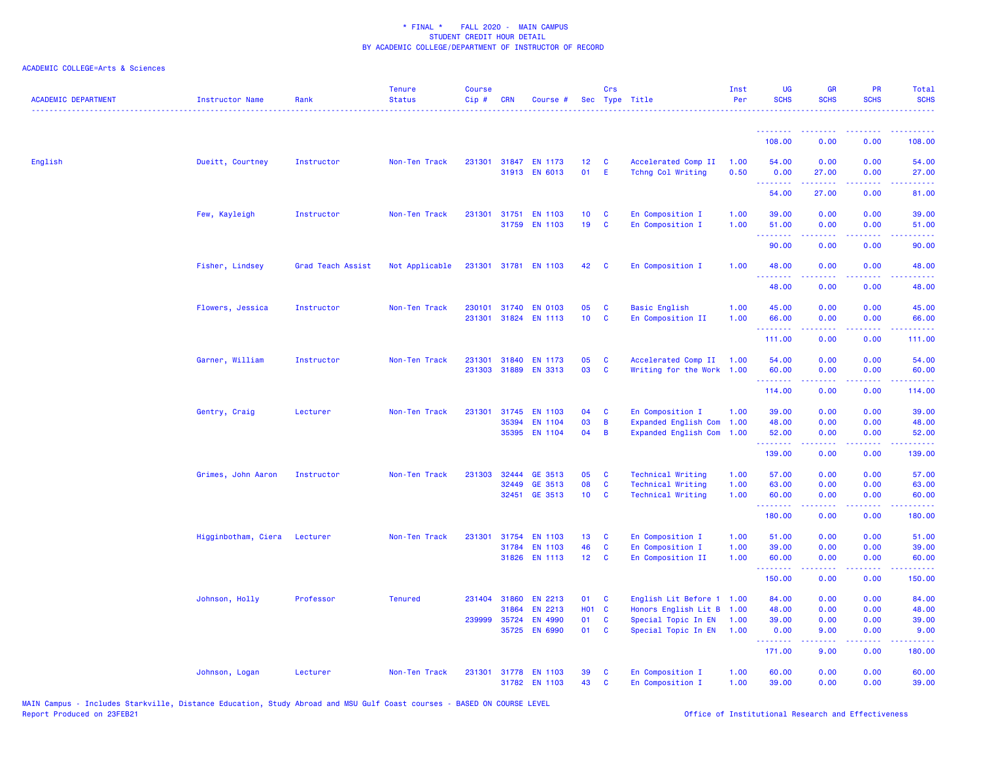| <b>ACADEMIC DEPARTMENT</b> | Instructor Name     | Rank              | <b>Tenure</b><br><b>Status</b> | <b>Course</b><br>Cip# | <b>CRN</b>   | Course #                              |                       | Crs          | Sec Type Title                           | Inst<br>Per    | <b>UG</b><br><b>SCHS</b>                                                                                                       | <b>GR</b><br><b>SCHS</b> | <b>PR</b><br><b>SCHS</b>                                                                               | Total<br><b>SCHS</b> |
|----------------------------|---------------------|-------------------|--------------------------------|-----------------------|--------------|---------------------------------------|-----------------------|--------------|------------------------------------------|----------------|--------------------------------------------------------------------------------------------------------------------------------|--------------------------|--------------------------------------------------------------------------------------------------------|----------------------|
|                            |                     |                   |                                |                       |              |                                       |                       |              |                                          |                |                                                                                                                                |                          |                                                                                                        |                      |
|                            |                     |                   |                                |                       |              |                                       |                       |              |                                          |                | 108.00                                                                                                                         | 0.00                     | 0.00                                                                                                   | 108.00               |
| English                    | Dueitt, Courtney    | Instructor        | Non-Ten Track                  |                       |              | 231301 31847 EN 1173<br>31913 EN 6013 | 12 <sub>1</sub><br>01 | C<br>- E     | Accelerated Comp II<br>Tchng Col Writing | 1.00<br>0.50   | 54.00<br>0.00                                                                                                                  | 0.00<br>27.00            | 0.00<br>0.00                                                                                           | 54.00<br>27.00       |
|                            |                     |                   |                                |                       |              |                                       |                       |              |                                          |                | .<br>54.00                                                                                                                     | 27.00                    | 0.00                                                                                                   | 81.00                |
|                            | Few, Kayleigh       | Instructor        | Non-Ten Track                  | 231301                | 31759        | 31751 EN 1103<br><b>EN 1103</b>       | 10 <sub>1</sub><br>19 | C<br>C       | En Composition I<br>En Composition I     | 1.00<br>1.00   | 39.00<br>51.00                                                                                                                 | 0.00<br>0.00             | 0.00<br>0.00                                                                                           | 39.00<br>51.00       |
|                            |                     |                   |                                |                       |              |                                       |                       |              |                                          |                | .<br>90.00                                                                                                                     | .<br>0.00                | د د د د<br>0.00                                                                                        | .<br>90.00           |
|                            | Fisher, Lindsey     | Grad Teach Assist | Not Applicable                 |                       |              | 231301 31781 EN 1103                  | 42                    | $\mathbf{C}$ | En Composition I                         | 1.00           | 48.00                                                                                                                          | 0.00                     | 0.00                                                                                                   | 48.00                |
|                            |                     |                   |                                |                       |              |                                       |                       |              |                                          |                | 48.00                                                                                                                          | 0.00                     | 0.00                                                                                                   | 48.00                |
|                            | Flowers, Jessica    | Instructor        | Non-Ten Track                  | 230101                | 31740        | <b>EN 0103</b>                        | 05                    | C            | <b>Basic English</b>                     | 1.00           | 45.00                                                                                                                          | 0.00                     | 0.00                                                                                                   | 45.00                |
|                            |                     |                   |                                | 231301                |              | 31824 EN 1113                         | 10 <sub>1</sub>       | C            | En Composition II                        | 1.00           | 66.00                                                                                                                          | 0.00                     | 0.00                                                                                                   | 66.00                |
|                            |                     |                   |                                |                       |              |                                       |                       |              |                                          |                | .<br>111.00                                                                                                                    | .<br>0.00                | $\frac{1}{2} \left( \frac{1}{2} \right) \left( \frac{1}{2} \right) \left( \frac{1}{2} \right)$<br>0.00 | .<br>111.00          |
|                            | Garner, William     | Instructor        | Non-Ten Track                  | 231301                | 31840        | <b>EN 1173</b>                        | 05                    | C            | Accelerated Comp II                      | 1.00           | 54.00                                                                                                                          | 0.00                     | 0.00                                                                                                   | 54.00                |
|                            |                     |                   |                                | 231303                | 31889        | <b>EN 3313</b>                        | 03                    | C            | Writing for the Work 1.00                |                | 60.00                                                                                                                          | 0.00                     | 0.00                                                                                                   | 60.00                |
|                            |                     |                   |                                |                       |              |                                       |                       |              |                                          |                | .<br>114.00                                                                                                                    | . <b>.</b><br>0.00       | .<br>0.00                                                                                              | .<br>114.00          |
|                            | Gentry, Craig       | Lecturer          | Non-Ten Track                  | 231301                | 31745        | <b>EN 1103</b>                        | 04                    | C            | En Composition I                         | 1.00           | 39.00                                                                                                                          | 0.00                     | 0.00                                                                                                   | 39.00                |
|                            |                     |                   |                                |                       | 35394        | <b>EN 1104</b>                        | 03                    | B            | <b>Expanded English Com</b>              | 1.00           | 48.00                                                                                                                          | 0.00                     | 0.00                                                                                                   | 48.00                |
|                            |                     |                   |                                |                       |              | 35395 EN 1104                         | 04                    | B            | <b>Expanded English Com</b>              | 1.00           | 52.00<br>$\begin{array}{cccccccccc} \bullet & \bullet & \bullet & \bullet & \bullet & \bullet & \bullet & \bullet \end{array}$ | 0.00<br>.                | 0.00<br>د د د د                                                                                        | 52.00<br>.           |
|                            |                     |                   |                                |                       |              |                                       |                       |              |                                          |                | 139.00                                                                                                                         | 0.00                     | 0.00                                                                                                   | 139.00               |
|                            | Grimes, John Aaron  | Instructor        | Non-Ten Track                  | 231303                | 32444        | GE 3513                               | 05                    | C            | <b>Technical Writing</b>                 | 1.00           | 57.00                                                                                                                          | 0.00                     | 0.00                                                                                                   | 57.00                |
|                            |                     |                   |                                |                       | 32449        | GE 3513                               | 08                    | C            | <b>Technical Writing</b>                 | 1.00           | 63.00                                                                                                                          | 0.00                     | 0.00                                                                                                   | 63.00                |
|                            |                     |                   |                                |                       |              | 32451 GE 3513                         | 10 <sub>1</sub>       | $\mathbf{C}$ | <b>Technical Writing</b>                 | 1.00           | 60.00<br>.                                                                                                                     | 0.00<br>.                | 0.00                                                                                                   | 60.00<br>.           |
|                            |                     |                   |                                |                       |              |                                       |                       |              |                                          |                | 180.00                                                                                                                         | 0.00                     | 0.00                                                                                                   | 180.00               |
|                            | Higginbotham, Ciera | Lecturer          | Non-Ten Track                  | 231301                | 31754        | <b>EN 1103</b>                        | 13                    | C            | En Composition I                         | 1.00           | 51.00                                                                                                                          | 0.00                     | 0.00                                                                                                   | 51.00                |
|                            |                     |                   |                                |                       | 31784        | <b>EN 1103</b>                        | 46                    | C            | En Composition I                         | 1.00           | 39.00                                                                                                                          | 0.00                     | 0.00                                                                                                   | 39.00                |
|                            |                     |                   |                                |                       |              | 31826 EN 1113                         | 12 <sub>2</sub>       | C            | En Composition II                        | 1.00           | 60.00<br>. <u>.</u>                                                                                                            | 0.00<br>.                | 0.00<br>.                                                                                              | 60.00<br>.           |
|                            |                     |                   |                                |                       |              |                                       |                       |              |                                          |                | 150.00                                                                                                                         | 0.00                     | 0.00                                                                                                   | 150.00               |
|                            | Johnson, Holly      | Professor         | <b>Tenured</b>                 | 231404                | 31860        | <b>EN 2213</b>                        | 01                    | C            | English Lit Before                       | $1 \quad 1.00$ | 84.00                                                                                                                          | 0.00                     | 0.00                                                                                                   | 84.00                |
|                            |                     |                   |                                |                       | 31864        | EN 2213                               | HO <sub>1</sub> C     |              | Honors English Lit B                     | 1.00           | 48.00                                                                                                                          | 0.00                     | 0.00                                                                                                   | 48.00                |
|                            |                     |                   |                                |                       | 239999 35724 | <b>EN 4990</b>                        | 01                    | C            | Special Topic In EN                      | 1.00           | 39.00                                                                                                                          | 0.00                     | 0.00                                                                                                   | 39.00                |
|                            |                     |                   |                                |                       | 35725        | <b>EN 6990</b>                        | 01                    | C            | Special Topic In EN                      | 1.00           | 0.00<br>.                                                                                                                      | 9.00<br>.                | 0.00<br>د د د د .                                                                                      | 9.00<br>.            |
|                            |                     |                   |                                |                       |              |                                       |                       |              |                                          |                | 171.00                                                                                                                         | 9.00                     | 0.00                                                                                                   | 180.00               |
|                            | Johnson, Logan      | Lecturer          | Non-Ten Track                  | 231301                |              | 31778 EN 1103                         | 39                    | C            | En Composition I                         | 1.00           | 60.00                                                                                                                          | 0.00                     | 0.00                                                                                                   | 60.00                |
|                            |                     |                   |                                |                       |              | 31782 EN 1103                         | 43                    | <b>C</b>     | En Composition I                         | 1.00           | 39.00                                                                                                                          | 0.00                     | 0.00                                                                                                   | 39.00                |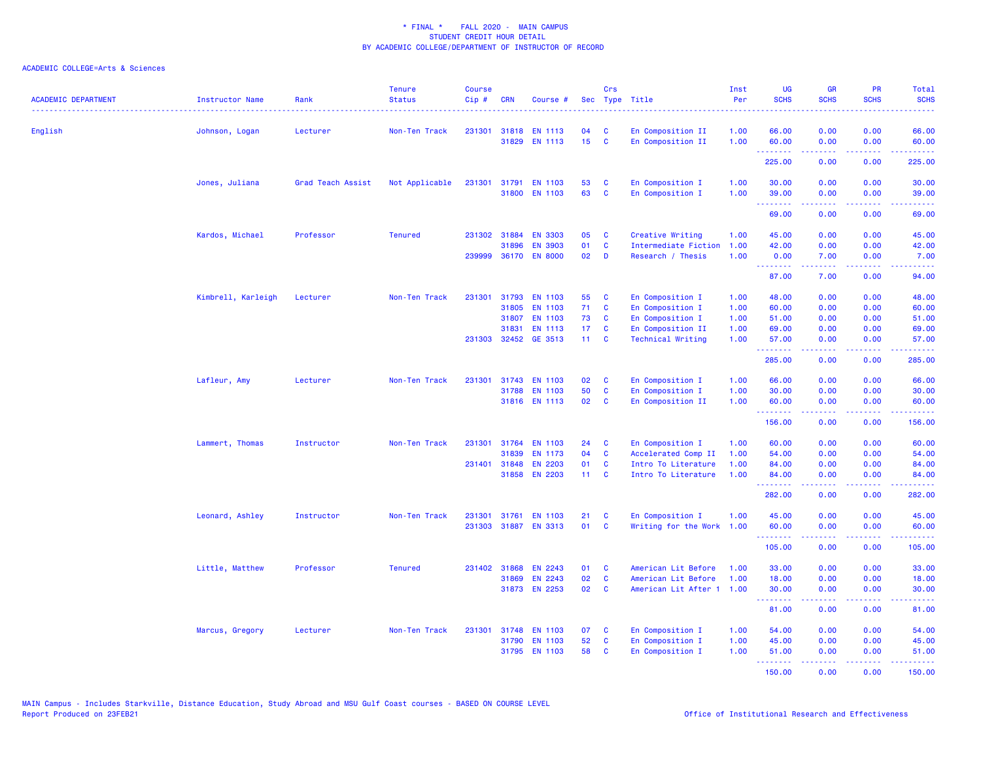| <b>ACADEMIC DEPARTMENT</b> | <b>Instructor Name</b><br>. <b>.</b> . | Rank              | <b>Tenure</b><br><b>Status</b> | <b>Course</b><br>Cip# | <b>CRN</b>   | Course #             | Sec              | <b>Crs</b>   | Type Title               | Inst<br>Per | <b>UG</b><br><b>SCHS</b>                                  | <b>GR</b><br><b>SCHS</b> | PR<br><b>SCHS</b>                                                                                                                 | <b>Total</b><br><b>SCHS</b><br><u>.</u> |
|----------------------------|----------------------------------------|-------------------|--------------------------------|-----------------------|--------------|----------------------|------------------|--------------|--------------------------|-------------|-----------------------------------------------------------|--------------------------|-----------------------------------------------------------------------------------------------------------------------------------|-----------------------------------------|
| English                    | Johnson, Logan                         | Lecturer          | Non-Ten Track                  | 231301                | 31818        | <b>EN 1113</b>       | 04               | C            | En Composition II        | 1.00        | 66.00                                                     | 0.00                     | 0.00                                                                                                                              | 66.00                                   |
|                            |                                        |                   |                                |                       |              | 31829 EN 1113        | 15 <sub>15</sub> | $\mathbf{C}$ | En Composition II        | 1.00        | 60.00<br><u> - - - - - - - -</u>                          | 0.00<br>.                | 0.00<br>.                                                                                                                         | 60.00<br>.                              |
|                            |                                        |                   |                                |                       |              |                      |                  |              |                          |             | 225.00                                                    | 0.00                     | 0.00                                                                                                                              | 225.00                                  |
|                            | Jones, Juliana                         | Grad Teach Assist | Not Applicable                 | 231301                | 31791        | <b>EN 1103</b>       | 53               | C            | En Composition I         | 1.00        | 30.00                                                     | 0.00                     | 0.00                                                                                                                              | 30.00                                   |
|                            |                                        |                   |                                |                       |              | 31800 EN 1103        | 63               | $\mathbf{C}$ | En Composition I         | 1.00        | 39.00<br><b></b>                                          | 0.00                     | 0.00<br>$\frac{1}{2} \left( \frac{1}{2} \right) \left( \frac{1}{2} \right) \left( \frac{1}{2} \right) \left( \frac{1}{2} \right)$ | 39.00<br>والمستحيل                      |
|                            |                                        |                   |                                |                       |              |                      |                  |              |                          |             | 69.00                                                     | 0.00                     | 0.00                                                                                                                              | 69.00                                   |
|                            | Kardos, Michael                        | Professor         | <b>Tenured</b>                 |                       | 231302 31884 | <b>EN 3303</b>       | 05               | C            | Creative Writing         | 1.00        | 45.00                                                     | 0.00                     | 0.00                                                                                                                              | 45.00                                   |
|                            |                                        |                   |                                |                       | 31896        | <b>EN 3903</b>       | 01               | $\mathbf{C}$ | Intermediate Fiction     | 1.00        | 42.00                                                     | 0.00                     | 0.00                                                                                                                              | 42.00                                   |
|                            |                                        |                   |                                | 239999                |              | 36170 EN 8000        | 02               | D            | Research / Thesis        | 1.00        | 0.00<br><b><i><u>AAAAAAA</u></i></b>                      | 7.00<br>.                | 0.00<br>.                                                                                                                         | 7.00<br>وعاديات                         |
|                            |                                        |                   |                                |                       |              |                      |                  |              |                          |             | 87.00                                                     | 7.00                     | 0.00                                                                                                                              | 94.00                                   |
|                            | Kimbrell, Karleigh                     | Lecturer          | Non-Ten Track                  | 231301                | 31793        | <b>EN 1103</b>       | 55               | C            | En Composition I         | 1.00        | 48.00                                                     | 0.00                     | 0.00                                                                                                                              | 48.00                                   |
|                            |                                        |                   |                                |                       | 31805        | <b>EN 1103</b>       | 71               | C            | En Composition I         | 1.00        | 60.00                                                     | 0.00                     | 0.00                                                                                                                              | 60.00                                   |
|                            |                                        |                   |                                |                       | 31807        | <b>EN 1103</b>       | 73               | C            | En Composition I         | 1.00        | 51.00                                                     | 0.00                     | 0.00                                                                                                                              | 51.00                                   |
|                            |                                        |                   |                                |                       | 31831        | <b>EN 1113</b>       | 17               | C            | En Composition II        | 1.00        | 69.00                                                     | 0.00                     | 0.00                                                                                                                              | 69.00                                   |
|                            |                                        |                   |                                | 231303                | 32452        | GE 3513              | 11 <sub>1</sub>  | C            | <b>Technical Writing</b> | 1.00        | 57.00<br>.                                                | 0.00<br>.                | 0.00<br>د د د د                                                                                                                   | 57.00<br>المتمامين                      |
|                            |                                        |                   |                                |                       |              |                      |                  |              |                          |             | 285.00                                                    | 0.00                     | 0.00                                                                                                                              | 285.00                                  |
|                            | Lafleur, Amy                           | Lecturer          | Non-Ten Track                  | 231301                |              | 31743 EN 1103        | 02               | C            | En Composition I         | 1.00        | 66.00                                                     | 0.00                     | 0.00                                                                                                                              | 66.00                                   |
|                            |                                        |                   |                                |                       | 31788        | <b>EN 1103</b>       | 50               | C            | En Composition I         | 1.00        | 30.00                                                     | 0.00                     | 0.00                                                                                                                              | 30.00                                   |
|                            |                                        |                   |                                |                       |              | 31816 EN 1113        | 02               | C            | En Composition II        | 1.00        | 60.00<br><b><i><u>AAAAAAA</u></i></b>                     | 0.00<br>.                | 0.00<br>.                                                                                                                         | 60.00<br>.                              |
|                            |                                        |                   |                                |                       |              |                      |                  |              |                          |             | 156.00                                                    | 0.00                     | 0.00                                                                                                                              | 156.00                                  |
|                            | Lammert, Thomas                        | Instructor        | Non-Ten Track                  |                       |              | 231301 31764 EN 1103 | 24               | C            | En Composition I         | 1.00        | 60.00                                                     | 0.00                     | 0.00                                                                                                                              | 60.00                                   |
|                            |                                        |                   |                                |                       | 31839        | <b>EN 1173</b>       | 04               | $\mathbf{C}$ | Accelerated Comp II      | 1.00        | 54.00                                                     | 0.00                     | 0.00                                                                                                                              | 54.00                                   |
|                            |                                        |                   |                                | 231401                | 31848        | <b>EN 2203</b>       | 01               | C            | Intro To Literature      | 1.00        | 84.00                                                     | 0.00                     | 0.00                                                                                                                              | 84.00                                   |
|                            |                                        |                   |                                |                       |              | 31858 EN 2203        | 11               | <b>C</b>     | Intro To Literature      | 1.00        | 84.00<br><u> - - - - - - - -</u>                          | 0.00<br>.                | 0.00<br>د د د د                                                                                                                   | 84.00<br>.                              |
|                            |                                        |                   |                                |                       |              |                      |                  |              |                          |             | 282.00                                                    | 0.00                     | 0.00                                                                                                                              | 282.00                                  |
|                            | Leonard, Ashley                        | Instructor        | Non-Ten Track                  | 231301                | 31761        | <b>EN 1103</b>       | 21               | C            | En Composition I         | 1.00        | 45.00                                                     | 0.00                     | 0.00                                                                                                                              | 45.00                                   |
|                            |                                        |                   |                                | 231303                |              | 31887 EN 3313        | 01               | <b>C</b>     | Writing for the Work     | 1.00        | 60.00<br><u>.</u>                                         | 0.00                     | 0.00<br>$  -$                                                                                                                     | 60.00<br>.                              |
|                            |                                        |                   |                                |                       |              |                      |                  |              |                          |             | 105.00                                                    | 0.00                     | 0.00                                                                                                                              | 105.00                                  |
|                            | Little, Matthew                        | Professor         | <b>Tenured</b>                 |                       | 231402 31868 | EN 2243              | 01               | C            | American Lit Before      | 1.00        | 33.00                                                     | 0.00                     | 0.00                                                                                                                              | 33.00                                   |
|                            |                                        |                   |                                |                       | 31869        | <b>EN 2243</b>       | 02               | $\mathbf{C}$ | American Lit Before      | 1.00        | 18.00                                                     | 0.00                     | 0.00                                                                                                                              | 18.00                                   |
|                            |                                        |                   |                                |                       | 31873        | <b>EN 2253</b>       | 02               | C            | American Lit After 1     | 1.00        | 30.00<br><b><i><u><u><b>Little Little</b></u></u></i></b> | 0.00<br>د د د د          | 0.00<br>د د د د                                                                                                                   | 30.00<br>والمالمات                      |
|                            |                                        |                   |                                |                       |              |                      |                  |              |                          |             | 81.00                                                     | 0.00                     | 0.00                                                                                                                              | 81.00                                   |
|                            | Marcus, Gregory                        | Lecturer          | Non-Ten Track                  | 231301                | 31748        | <b>EN 1103</b>       | 07               | C            | En Composition I         | 1.00        | 54.00                                                     | 0.00                     | 0.00                                                                                                                              | 54.00                                   |
|                            |                                        |                   |                                |                       | 31790        | <b>EN 1103</b>       | 52               | $\mathbf{C}$ | En Composition I         | 1.00        | 45.00                                                     | 0.00                     | 0.00                                                                                                                              | 45.00                                   |
|                            |                                        |                   |                                |                       | 31795        | <b>EN 1103</b>       | 58               | C            | En Composition I         | 1.00        | 51.00                                                     | 0.00                     | 0.00                                                                                                                              | 51.00                                   |
|                            |                                        |                   |                                |                       |              |                      |                  |              |                          |             | .<br>150.00                                               | 22222<br>0.00            | $\frac{1}{2} \left( \frac{1}{2} \right) \left( \frac{1}{2} \right) \left( \frac{1}{2} \right) \left( \frac{1}{2} \right)$<br>0.00 | 150.00                                  |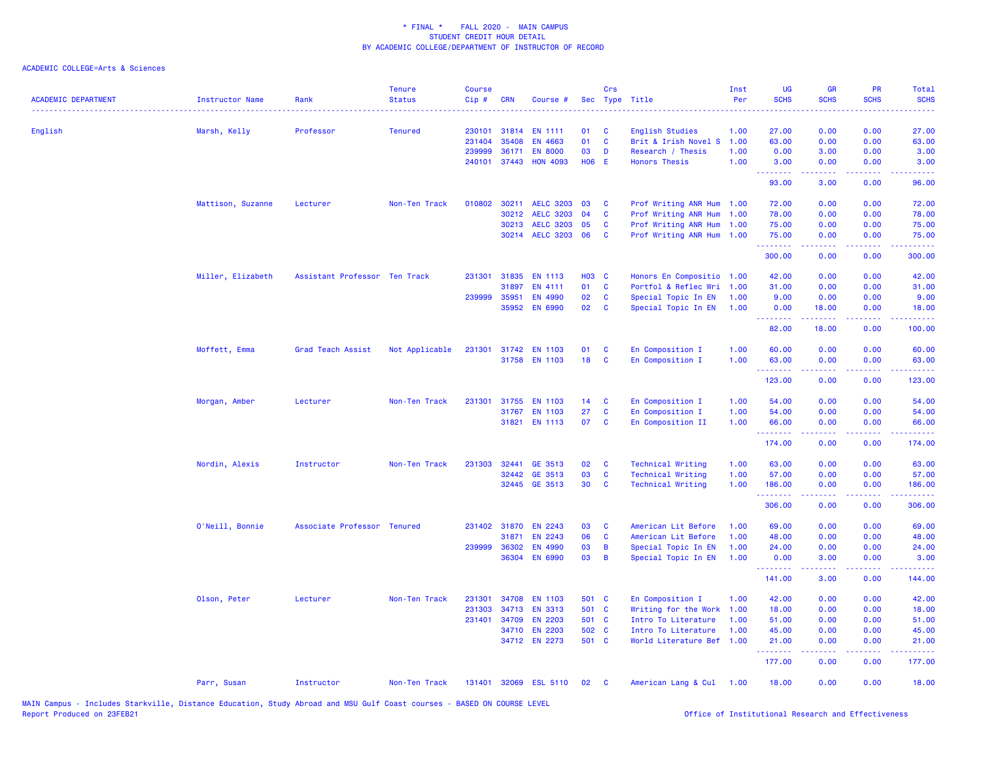| <b>ACADEMIC DEPARTMENT</b> | Instructor Name   | Rank                          | <b>Tenure</b><br><b>Status</b> | <b>Course</b><br>$Cip$ # | <b>CRN</b> | Course #                 |              | Crs                          | Sec Type Title                                       | Inst<br>Per  | UG<br><b>SCHS</b> | <b>GR</b><br><b>SCHS</b>                                                                                                          | PR<br><b>SCHS</b> | Total<br><b>SCHS</b> |
|----------------------------|-------------------|-------------------------------|--------------------------------|--------------------------|------------|--------------------------|--------------|------------------------------|------------------------------------------------------|--------------|-------------------|-----------------------------------------------------------------------------------------------------------------------------------|-------------------|----------------------|
| English                    | Marsh, Kelly      | Professor                     | <b>Tenured</b>                 | 230101                   | 31814      | <b>EN 1111</b>           | 01           | $\mathbf{C}$                 | English Studies                                      | 1.00         | 27.00             | 0.00                                                                                                                              | 0.00              | 27.00                |
|                            |                   |                               |                                | 231404                   | 35408      | <b>EN 4663</b>           | 01           | <b>C</b>                     | Brit & Irish Novel S                                 | 1.00         | 63.00             | 0.00                                                                                                                              | 0.00              | 63.00                |
|                            |                   |                               |                                | 239999                   | 36171      | <b>EN 8000</b>           | 03           | D                            | Research / Thesis                                    | 1.00         | 0.00              | 3.00                                                                                                                              | 0.00              | 3.00                 |
|                            |                   |                               |                                | 240101                   | 37443      | <b>HON 4093</b>          | H06 E        |                              | <b>Honors Thesis</b>                                 | 1.00         | 3.00<br>.         | 0.00<br>$\frac{1}{2} \left( \frac{1}{2} \right) \left( \frac{1}{2} \right) \left( \frac{1}{2} \right) \left( \frac{1}{2} \right)$ | 0.00<br>.         | 3.00<br>. <b>.</b>   |
|                            |                   |                               |                                |                          |            |                          |              |                              |                                                      |              | 93.00             | 3.00                                                                                                                              | 0.00              | 96.00                |
|                            | Mattison, Suzanne | Lecturer                      | Non-Ten Track                  | 010802                   | 30211      | <b>AELC 3203</b>         | 03           | $\mathbf{C}$                 | Prof Writing ANR Hum 1.00                            |              | 72.00             | 0.00                                                                                                                              | 0.00              | 72.00                |
|                            |                   |                               |                                |                          | 30212      | <b>AELC 3203</b>         | 04           | $\mathbf{C}$                 | Prof Writing ANR Hum 1.00                            |              | 78.00             | 0.00                                                                                                                              | 0.00              | 78.00                |
|                            |                   |                               |                                |                          | 30213      | <b>AELC 3203</b>         | 05           | <b>C</b>                     | Prof Writing ANR Hum 1.00                            |              | 75.00             | 0.00                                                                                                                              | 0.00              | 75.00                |
|                            |                   |                               |                                |                          |            | 30214 AELC 3203          | 06           | $\mathbf{C}$                 | Prof Writing ANR Hum 1.00                            |              | 75.00<br><u>.</u> | 0.00<br>.                                                                                                                         | 0.00<br>.         | 75.00<br>.           |
|                            |                   |                               |                                |                          |            |                          |              |                              |                                                      |              | 300.00            | 0.00                                                                                                                              | 0.00              | 300.00               |
|                            | Miller, Elizabeth | Assistant Professor Ten Track |                                | 231301                   | 31835      | <b>EN 1113</b>           | <b>HO3 C</b> |                              | Honors En Compositio 1.00                            |              | 42.00             | 0.00                                                                                                                              | 0.00              | 42.00                |
|                            |                   |                               |                                |                          | 31897      | EN 4111                  | 01           | $\mathbf{C}$                 | Portfol & Reflec Wri 1.00                            |              | 31.00             | 0.00                                                                                                                              | 0.00              | 31.00                |
|                            |                   |                               |                                | 239999                   | 35951      | EN 4990                  | 02           | <b>C</b>                     | Special Topic In EN                                  | 1.00         | 9.00              | 0.00                                                                                                                              | 0.00              | 9.00                 |
|                            |                   |                               |                                |                          |            | 35952 EN 6990            | 02           | <b>C</b>                     | Special Topic In EN                                  | 1.00         | 0.00<br>.         | 18.00<br>.                                                                                                                        | 0.00<br>.         | 18.00<br>.           |
|                            |                   |                               |                                |                          |            |                          |              |                              |                                                      |              | 82.00             | 18.00                                                                                                                             | 0.00              | 100.00               |
|                            | Moffett, Emma     | Grad Teach Assist             | Not Applicable                 |                          |            | 231301 31742 EN 1103     | 01           | <b>C</b>                     | En Composition I                                     | 1.00         | 60.00             | 0.00                                                                                                                              | 0.00              | 60.00                |
|                            |                   |                               |                                |                          |            | 31758 EN 1103            | 18           | $\mathbf{C}$                 | En Composition I                                     | 1.00         | 63.00             | 0.00                                                                                                                              | 0.00              | 63.00                |
|                            |                   |                               |                                |                          |            |                          |              |                              |                                                      |              | .<br>123.00       | 0.00                                                                                                                              | 0.00              | 123.00               |
|                            | Morgan, Amber     | Lecturer                      | Non-Ten Track                  | 231301                   | 31755      | <b>EN 1103</b>           | 14           | $\mathbf{C}$                 | En Composition I                                     | 1.00         | 54.00             | 0.00                                                                                                                              | 0.00              | 54.00                |
|                            |                   |                               |                                |                          | 31767      | <b>EN 1103</b>           | 27           | C                            | En Composition I                                     | 1.00         | 54.00             | 0.00                                                                                                                              | 0.00              | 54.00                |
|                            |                   |                               |                                |                          |            | 31821 EN 1113            | 07           | $\mathbf{C}$                 | En Composition II                                    | 1.00         | 66.00<br>.        | 0.00                                                                                                                              | 0.00              | 66.00                |
|                            |                   |                               |                                |                          |            |                          |              |                              |                                                      |              | 174.00            | 0.00                                                                                                                              | 0.00              | 174.00               |
|                            | Nordin, Alexis    | Instructor                    | Non-Ten Track                  | 231303                   | 32441      | GE 3513                  | 02           | $\mathbf{C}$                 | <b>Technical Writing</b>                             | 1.00         | 63.00             | 0.00                                                                                                                              | 0.00              | 63.00                |
|                            |                   |                               |                                |                          | 32442      | GE 3513<br>32445 GE 3513 | 03<br>30     | $\mathbf{C}$<br>$\mathbf{C}$ | <b>Technical Writing</b><br><b>Technical Writing</b> | 1.00<br>1.00 | 57.00<br>186.00   | 0.00<br>0.00                                                                                                                      | 0.00<br>0.00      | 57.00<br>186.00      |
|                            |                   |                               |                                |                          |            |                          |              |                              |                                                      |              | .<br>306.00       | .<br>0.00                                                                                                                         | .<br>0.00         | .<br>306.00          |
|                            | O'Neill, Bonnie   | Associate Professor Tenured   |                                | 231402                   | 31870      | <b>EN 2243</b>           | 03           | <b>C</b>                     | American Lit Before                                  | 1.00         | 69.00             | 0.00                                                                                                                              | 0.00              | 69.00                |
|                            |                   |                               |                                |                          | 31871      | <b>EN 2243</b>           | 06           | $\mathbf{C}$                 | American Lit Before                                  | 1.00         | 48.00             | 0.00                                                                                                                              | 0.00              | 48.00                |
|                            |                   |                               |                                | 239999 36302             |            | <b>EN 4990</b>           | 03           | $\overline{B}$               | Special Topic In EN                                  | 1.00         | 24.00             | 0.00                                                                                                                              | 0.00              | 24.00                |
|                            |                   |                               |                                |                          | 36304      | <b>EN 6990</b>           | 03           | $\overline{B}$               | Special Topic In EN                                  | 1.00         | 0.00              | 3.00                                                                                                                              | 0.00              | 3.00                 |
|                            |                   |                               |                                |                          |            |                          |              |                              |                                                      |              | .<br>141.00       | 3.00                                                                                                                              | 0.00              | 144.00               |
|                            | Olson, Peter      | Lecturer                      | Non-Ten Track                  | 231301                   | 34708      | <b>EN 1103</b>           | 501 C        |                              | En Composition I                                     | 1.00         | 42.00             | 0.00                                                                                                                              | 0.00              | 42.00                |
|                            |                   |                               |                                | 231303                   | 34713      | <b>EN 3313</b>           | 501 C        |                              | Writing for the Work                                 | 1.00         | 18.00             | 0.00                                                                                                                              | 0.00              | 18.00                |
|                            |                   |                               |                                |                          |            | 231401 34709 EN 2203     | 501 C        |                              | Intro To Literature                                  | 1.00         | 51.00             | 0.00                                                                                                                              | 0.00              | 51.00                |
|                            |                   |                               |                                |                          | 34710      | <b>EN 2203</b>           | 502 C        |                              | Intro To Literature                                  | 1.00         | 45.00             | 0.00                                                                                                                              | 0.00              | 45.00                |
|                            |                   |                               |                                |                          |            | 34712 EN 2273            | 501 C        |                              | World Literature Bef 1.00                            |              | 21.00<br>.        | 0.00                                                                                                                              | 0.00              | 21.00                |
|                            |                   |                               |                                |                          |            |                          |              |                              |                                                      |              | 177.00            | 0.00                                                                                                                              | 0.00              | 177.00               |
|                            | Parr, Susan       | Instructor                    | Non-Ten Track                  | 131401                   |            | 32069 ESL 5110           | 02           | $\mathbf{C}$                 | American Lang & Cul 1.00                             |              | 18.00             | 0.00                                                                                                                              | 0.00              | 18.00                |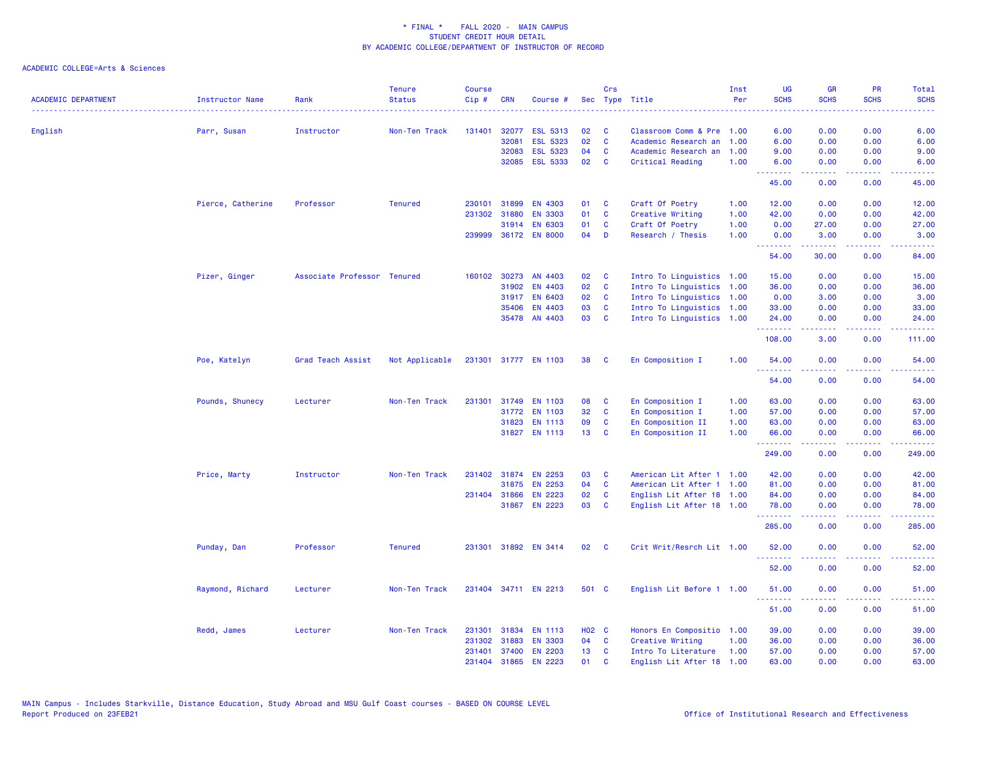| <b>ACADEMIC DEPARTMENT</b> | <b>Instructor Name</b> | Rank                        | <b>Tenure</b><br><b>Status</b> | <b>Course</b><br>Cip# | <b>CRN</b>   | Course #             |                 | Crs          | Sec Type Title            | Inst<br>Per | <b>UG</b><br><b>SCHS</b>                                                                                                                                                                                                                                                                                                                                                                                                                                                                        | <b>GR</b><br><b>SCHS</b>                                                                                                                                      | <b>PR</b><br><b>SCHS</b>                                                                                                          | Total<br><b>SCHS</b>                                                                                                               |
|----------------------------|------------------------|-----------------------------|--------------------------------|-----------------------|--------------|----------------------|-----------------|--------------|---------------------------|-------------|-------------------------------------------------------------------------------------------------------------------------------------------------------------------------------------------------------------------------------------------------------------------------------------------------------------------------------------------------------------------------------------------------------------------------------------------------------------------------------------------------|---------------------------------------------------------------------------------------------------------------------------------------------------------------|-----------------------------------------------------------------------------------------------------------------------------------|------------------------------------------------------------------------------------------------------------------------------------|
| English                    | Parr, Susan            | Instructor                  | Non-Ten Track                  | 131401                | 32077        | <b>ESL 5313</b>      | 02              | C            | Classroom Comm & Pre 1.00 |             | 6.00                                                                                                                                                                                                                                                                                                                                                                                                                                                                                            | 0.00                                                                                                                                                          | 0.00                                                                                                                              | 6.00                                                                                                                               |
|                            |                        |                             |                                |                       | 32081        | <b>ESL 5323</b>      | 02              | $\mathbf{C}$ | Academic Research an      | 1.00        | 6.00                                                                                                                                                                                                                                                                                                                                                                                                                                                                                            | 0.00                                                                                                                                                          | 0.00                                                                                                                              | 6.00                                                                                                                               |
|                            |                        |                             |                                |                       | 32083        | ESL 5323             | 04              | C            | Academic Research an      | 1.00        | 9.00                                                                                                                                                                                                                                                                                                                                                                                                                                                                                            | 0.00                                                                                                                                                          | 0.00                                                                                                                              | 9.00                                                                                                                               |
|                            |                        |                             |                                |                       | 32085        | <b>ESL 5333</b>      | 02              | C            | Critical Reading          | 1.00        | 6.00                                                                                                                                                                                                                                                                                                                                                                                                                                                                                            | 0.00                                                                                                                                                          | 0.00                                                                                                                              | 6.00                                                                                                                               |
|                            |                        |                             |                                |                       |              |                      |                 |              |                           |             | .<br>45.00                                                                                                                                                                                                                                                                                                                                                                                                                                                                                      | .<br>0.00                                                                                                                                                     | $\frac{1}{2} \left( \frac{1}{2} \right) \left( \frac{1}{2} \right) \left( \frac{1}{2} \right) \left( \frac{1}{2} \right)$<br>0.00 | $\frac{1}{2} \left( \frac{1}{2} \right) \left( \frac{1}{2} \right) \left( \frac{1}{2} \right) \left( \frac{1}{2} \right)$<br>45.00 |
|                            | Pierce, Catherine      | Professor                   | <b>Tenured</b>                 |                       | 230101 31899 | EN 4303              | 01              | <b>C</b>     | Craft Of Poetry           | 1.00        | 12.00                                                                                                                                                                                                                                                                                                                                                                                                                                                                                           | 0.00                                                                                                                                                          | 0.00                                                                                                                              | 12.00                                                                                                                              |
|                            |                        |                             |                                | 231302                | 31880        | <b>EN 3303</b>       | 01              | C            | Creative Writing          | 1.00        | 42.00                                                                                                                                                                                                                                                                                                                                                                                                                                                                                           | 0.00                                                                                                                                                          | 0.00                                                                                                                              | 42.00                                                                                                                              |
|                            |                        |                             |                                |                       | 31914        | <b>EN 6303</b>       | 01              | C            | Craft Of Poetry           | 1.00        | 0.00                                                                                                                                                                                                                                                                                                                                                                                                                                                                                            | 27.00                                                                                                                                                         | 0.00                                                                                                                              | 27.00                                                                                                                              |
|                            |                        |                             |                                |                       |              | 239999 36172 EN 8000 | 04              | D            | Research / Thesis         | 1.00        | 0.00                                                                                                                                                                                                                                                                                                                                                                                                                                                                                            | 3.00                                                                                                                                                          | 0.00                                                                                                                              | 3.00                                                                                                                               |
|                            |                        |                             |                                |                       |              |                      |                 |              |                           |             | .<br>54.00                                                                                                                                                                                                                                                                                                                                                                                                                                                                                      | $\frac{1}{2} \left( \frac{1}{2} \right) \left( \frac{1}{2} \right) \left( \frac{1}{2} \right) \left( \frac{1}{2} \right) \left( \frac{1}{2} \right)$<br>30.00 | د د د د<br>0.00                                                                                                                   | .<br>84.00                                                                                                                         |
|                            | Pizer, Ginger          | Associate Professor Tenured |                                | 160102                | 30273        | AN 4403              | 02              | C            | Intro To Linguistics 1.00 |             | 15.00                                                                                                                                                                                                                                                                                                                                                                                                                                                                                           | 0.00                                                                                                                                                          | 0.00                                                                                                                              | 15.00                                                                                                                              |
|                            |                        |                             |                                |                       | 31902        | EN 4403              | 02              | C            | Intro To Linguistics 1.00 |             | 36.00                                                                                                                                                                                                                                                                                                                                                                                                                                                                                           | 0.00                                                                                                                                                          | 0.00                                                                                                                              | 36.00                                                                                                                              |
|                            |                        |                             |                                |                       |              | 31917 EN 6403        | 02 <sub>o</sub> | $\mathbf{C}$ | Intro To Linguistics 1.00 |             | 0.00                                                                                                                                                                                                                                                                                                                                                                                                                                                                                            | 3.00                                                                                                                                                          | 0.00                                                                                                                              | 3.00                                                                                                                               |
|                            |                        |                             |                                |                       | 35406        | <b>EN 4403</b>       | 03              | <b>C</b>     | Intro To Linguistics 1.00 |             | 33.00                                                                                                                                                                                                                                                                                                                                                                                                                                                                                           | 0.00                                                                                                                                                          | 0.00                                                                                                                              | 33.00                                                                                                                              |
|                            |                        |                             |                                |                       |              | 35478 AN 4403        | 03              | <b>C</b>     | Intro To Linguistics 1.00 |             | 24.00                                                                                                                                                                                                                                                                                                                                                                                                                                                                                           | 0.00                                                                                                                                                          | 0.00                                                                                                                              | 24.00                                                                                                                              |
|                            |                        |                             |                                |                       |              |                      |                 |              |                           |             | .<br>108.00                                                                                                                                                                                                                                                                                                                                                                                                                                                                                     | .<br>3.00                                                                                                                                                     | 0.00                                                                                                                              | .<br>111.00                                                                                                                        |
|                            | Poe, Katelyn           | Grad Teach Assist           | Not Applicable                 |                       |              | 231301 31777 EN 1103 | 38              | <b>C</b>     | En Composition I          | 1.00        | 54.00                                                                                                                                                                                                                                                                                                                                                                                                                                                                                           | 0.00                                                                                                                                                          | 0.00                                                                                                                              | 54.00                                                                                                                              |
|                            |                        |                             |                                |                       |              |                      |                 |              |                           |             | .<br>54.00                                                                                                                                                                                                                                                                                                                                                                                                                                                                                      | .<br>0.00                                                                                                                                                     | .<br>0.00                                                                                                                         | .<br>54.00                                                                                                                         |
|                            | Pounds, Shunecy        | Lecturer                    | Non-Ten Track                  | 231301                | 31749        | <b>EN 1103</b>       | 08              | C            | En Composition I          | 1.00        | 63.00                                                                                                                                                                                                                                                                                                                                                                                                                                                                                           | 0.00                                                                                                                                                          | 0.00                                                                                                                              | 63.00                                                                                                                              |
|                            |                        |                             |                                |                       |              | 31772 EN 1103        | 32              | C            | En Composition I          | 1.00        | 57.00                                                                                                                                                                                                                                                                                                                                                                                                                                                                                           | 0.00                                                                                                                                                          | 0.00                                                                                                                              | 57.00                                                                                                                              |
|                            |                        |                             |                                |                       |              | 31823 EN 1113        | 09              | <b>C</b>     | En Composition II         | 1.00        | 63.00                                                                                                                                                                                                                                                                                                                                                                                                                                                                                           | 0.00                                                                                                                                                          | 0.00                                                                                                                              | 63.00                                                                                                                              |
|                            |                        |                             |                                |                       |              | 31827 EN 1113        | 13 <sup>°</sup> | $\mathbf{C}$ | En Composition II         | 1.00        | 66.00                                                                                                                                                                                                                                                                                                                                                                                                                                                                                           | 0.00                                                                                                                                                          | 0.00                                                                                                                              | 66.00                                                                                                                              |
|                            |                        |                             |                                |                       |              |                      |                 |              |                           |             | .<br>249.00                                                                                                                                                                                                                                                                                                                                                                                                                                                                                     | $\frac{1}{2} \left( \frac{1}{2} \right) \left( \frac{1}{2} \right) \left( \frac{1}{2} \right) \left( \frac{1}{2} \right) \left( \frac{1}{2} \right)$<br>0.00  | .<br>0.00                                                                                                                         | .<br>249.00                                                                                                                        |
|                            | Price, Marty           | Instructor                  | Non-Ten Track                  |                       | 231402 31874 | <b>EN 2253</b>       | 03              | C            | American Lit After 1 1.00 |             | 42.00                                                                                                                                                                                                                                                                                                                                                                                                                                                                                           | 0.00                                                                                                                                                          | 0.00                                                                                                                              | 42.00                                                                                                                              |
|                            |                        |                             |                                |                       | 31875        | <b>EN 2253</b>       | 04              | $\mathbf{C}$ | American Lit After 1 1.00 |             | 81.00                                                                                                                                                                                                                                                                                                                                                                                                                                                                                           | 0.00                                                                                                                                                          | 0.00                                                                                                                              | 81.00                                                                                                                              |
|                            |                        |                             |                                |                       | 231404 31866 | <b>EN 2223</b>       | 02              | $\mathbf{C}$ | English Lit After 18 1.00 |             | 84.00                                                                                                                                                                                                                                                                                                                                                                                                                                                                                           | 0.00                                                                                                                                                          | 0.00                                                                                                                              | 84.00                                                                                                                              |
|                            |                        |                             |                                |                       |              | 31867 EN 2223        | 03              | $\mathbf{C}$ | English Lit After 18 1.00 |             | 78.00                                                                                                                                                                                                                                                                                                                                                                                                                                                                                           | 0.00                                                                                                                                                          | 0.00                                                                                                                              | 78.00                                                                                                                              |
|                            |                        |                             |                                |                       |              |                      |                 |              |                           |             | .<br>285.00                                                                                                                                                                                                                                                                                                                                                                                                                                                                                     | 0.00                                                                                                                                                          | 0.00                                                                                                                              | .<br>285.00                                                                                                                        |
|                            | Punday, Dan            | Professor                   | <b>Tenured</b>                 |                       |              | 231301 31892 EN 3414 | 02              | C            | Crit Writ/Resrch Lit 1.00 |             | 52.00                                                                                                                                                                                                                                                                                                                                                                                                                                                                                           | 0.00                                                                                                                                                          | 0.00                                                                                                                              | 52.00                                                                                                                              |
|                            |                        |                             |                                |                       |              |                      |                 |              |                           |             | 52.00                                                                                                                                                                                                                                                                                                                                                                                                                                                                                           | 0.00                                                                                                                                                          | 0.00                                                                                                                              | 52.00                                                                                                                              |
|                            | Raymond, Richard       | Lecturer                    | Non-Ten Track                  |                       |              | 231404 34711 EN 2213 | 501 C           |              | English Lit Before 1 1.00 |             | 51.00                                                                                                                                                                                                                                                                                                                                                                                                                                                                                           | 0.00                                                                                                                                                          | 0.00                                                                                                                              | 51.00                                                                                                                              |
|                            |                        |                             |                                |                       |              |                      |                 |              |                           |             | $\begin{array}{cccccccccc} \multicolumn{2}{c}{} & \multicolumn{2}{c}{} & \multicolumn{2}{c}{} & \multicolumn{2}{c}{} & \multicolumn{2}{c}{} & \multicolumn{2}{c}{} & \multicolumn{2}{c}{} & \multicolumn{2}{c}{} & \multicolumn{2}{c}{} & \multicolumn{2}{c}{} & \multicolumn{2}{c}{} & \multicolumn{2}{c}{} & \multicolumn{2}{c}{} & \multicolumn{2}{c}{} & \multicolumn{2}{c}{} & \multicolumn{2}{c}{} & \multicolumn{2}{c}{} & \multicolumn{2}{c}{} & \multicolumn{2}{c}{} & \mult$<br>51.00 | .<br>0.00                                                                                                                                                     | $\omega$ is a $\omega$<br>0.00                                                                                                    | المتمامي<br>51.00                                                                                                                  |
|                            | Redd, James            | Lecturer                    | Non-Ten Track                  | 231301                | 31834        | <b>EN 1113</b>       | <b>HO2 C</b>    |              | Honors En Compositio 1.00 |             | 39.00                                                                                                                                                                                                                                                                                                                                                                                                                                                                                           | 0.00                                                                                                                                                          | 0.00                                                                                                                              | 39.00                                                                                                                              |
|                            |                        |                             |                                | 231302                | 31883        | <b>EN 3303</b>       | 04              | C            | Creative Writing          | 1.00        | 36.00                                                                                                                                                                                                                                                                                                                                                                                                                                                                                           | 0.00                                                                                                                                                          | 0.00                                                                                                                              | 36.00                                                                                                                              |
|                            |                        |                             |                                | 231401                | 37400        | <b>EN 2203</b>       | 13 <sub>1</sub> | C            | Intro To Literature       | 1.00        | 57.00                                                                                                                                                                                                                                                                                                                                                                                                                                                                                           | 0.00                                                                                                                                                          | 0.00                                                                                                                              | 57.00                                                                                                                              |
|                            |                        |                             |                                |                       |              | 231404 31865 EN 2223 | 01              | C            | English Lit After 18      | 1.00        | 63.00                                                                                                                                                                                                                                                                                                                                                                                                                                                                                           | 0.00                                                                                                                                                          | 0.00                                                                                                                              | 63.00                                                                                                                              |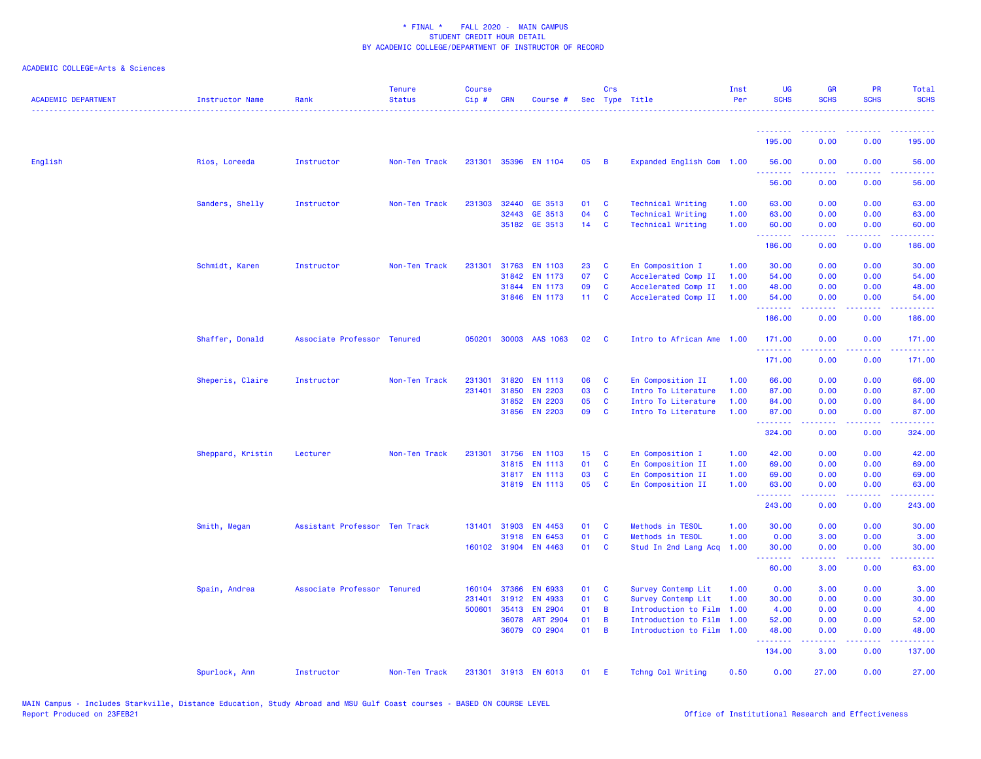| <b>ACADEMIC DEPARTMENT</b> | <b>Instructor Name</b> | Rank                          | <b>Tenure</b><br><b>Status</b> | <b>Course</b><br>Cip# | <b>CRN</b>   | Course #             |                 | Crs            | Sec Type Title            | Inst<br>Per | <b>UG</b><br><b>SCHS</b> | <b>GR</b><br><b>SCHS</b> | PR<br><b>SCHS</b> | Total<br><b>SCHS</b> |
|----------------------------|------------------------|-------------------------------|--------------------------------|-----------------------|--------------|----------------------|-----------------|----------------|---------------------------|-------------|--------------------------|--------------------------|-------------------|----------------------|
|                            |                        |                               |                                |                       |              |                      |                 |                |                           |             | <u> - - - - - - - -</u>  |                          |                   |                      |
|                            |                        |                               |                                |                       |              |                      |                 |                |                           |             | 195.00                   | 0.00                     | 0.00              | 195.00               |
| English                    | Rios, Loreeda          | Instructor                    | Non-Ten Track                  |                       |              | 231301 35396 EN 1104 | 05              | $\overline{B}$ | Expanded English Com 1.00 |             | 56.00<br>.               | 0.00                     | 0.00              | 56.00                |
|                            |                        |                               |                                |                       |              |                      |                 |                |                           |             | 56.00                    | 0.00                     | 0.00              | 56.00                |
|                            | Sanders, Shelly        | Instructor                    | Non-Ten Track                  |                       | 231303 32440 | GE 3513              | 01              | - C            | <b>Technical Writing</b>  | 1.00        | 63.00                    | 0.00                     | 0.00              | 63.00                |
|                            |                        |                               |                                |                       | 32443        | GE 3513              | 04              | $\mathbf{C}$   | <b>Technical Writing</b>  | 1.00        | 63.00                    | 0.00                     | 0.00              | 63.00                |
|                            |                        |                               |                                |                       |              | 35182 GE 3513        | $14$ C          |                | <b>Technical Writing</b>  | 1.00        | 60.00<br>.               | 0.00                     | 0.00              | 60.00<br>.           |
|                            |                        |                               |                                |                       |              |                      |                 |                |                           |             | 186.00                   | 0.00                     | 0.00              | 186.00               |
|                            | Schmidt, Karen         | Instructor                    | Non-Ten Track                  | 231301                | 31763        | <b>EN 1103</b>       | 23              | C              | En Composition I          | 1.00        | 30.00                    | 0.00                     | 0.00              | 30.00                |
|                            |                        |                               |                                |                       | 31842        | <b>EN 1173</b>       | 07              | $\mathbf{C}$   | Accelerated Comp II       | 1.00        | 54.00                    | 0.00                     | 0.00              | 54.00                |
|                            |                        |                               |                                |                       | 31844        | EN 1173              | 09              | $\mathbf{C}$   | Accelerated Comp II       | 1.00        | 48.00                    | 0.00                     | 0.00              | 48.00                |
|                            |                        |                               |                                |                       | 31846        | <b>EN 1173</b>       | 11 <sub>1</sub> | $\mathbf{C}$   | Accelerated Comp II       | 1.00        | 54.00                    | 0.00                     | 0.00              | 54.00                |
|                            |                        |                               |                                |                       |              |                      |                 |                |                           |             | .<br>186.00              | بالأباب<br>0.00          | 0.00              | .<br>186.00          |
|                            | Shaffer, Donald        | Associate Professor Tenured   |                                | 050201                |              | 30003 AAS 1063       | 02              | $\mathbf{C}$   | Intro to African Ame 1.00 |             | 171.00                   | 0.00                     | 0.00              | 171.00               |
|                            |                        |                               |                                |                       |              |                      |                 |                |                           |             | .<br>171.00              | 0.00                     | 0.00              | 171.00               |
|                            | Sheperis, Claire       | Instructor                    | Non-Ten Track                  | 231301                | 31820        | <b>EN 1113</b>       | 06              | C              | En Composition II         | 1.00        | 66.00                    | 0.00                     | 0.00              | 66.00                |
|                            |                        |                               |                                | 231401                | 31850        | <b>EN 2203</b>       | 03              | $\mathbf{C}$   | Intro To Literature       | 1.00        | 87.00                    | 0.00                     | 0.00              | 87.00                |
|                            |                        |                               |                                |                       | 31852        | <b>EN 2203</b>       | 05              | $\mathbf{C}$   | Intro To Literature       | 1.00        | 84.00                    | 0.00                     | 0.00              | 84.00                |
|                            |                        |                               |                                |                       | 31856        | <b>EN 2203</b>       | 09              | $\mathbf{C}$   | Intro To Literature       | 1.00        | 87.00                    | 0.00                     | 0.00              | 87.00                |
|                            |                        |                               |                                |                       |              |                      |                 |                |                           |             | . <u>.</u> .<br>324.00   | .<br>0.00                | .<br>0.00         | 324.00               |
|                            | Sheppard, Kristin      | Lecturer                      | Non-Ten Track                  | 231301                | 31756        | <b>EN 1103</b>       | 15              | $\mathbf{C}$   | En Composition I          | 1.00        | 42.00                    | 0.00                     | 0.00              | 42.00                |
|                            |                        |                               |                                |                       |              | 31815 EN 1113        | 01              | C              | En Composition II         | 1.00        | 69.00                    | 0.00                     | 0.00              | 69.00                |
|                            |                        |                               |                                |                       |              | 31817 EN 1113        | 03              | $\mathbf{C}$   | En Composition II         | 1.00        | 69.00                    | 0.00                     | 0.00              | 69.00                |
|                            |                        |                               |                                |                       |              | 31819 EN 1113        | 05              | $\mathbf{C}$   | En Composition II         | 1.00        | 63.00<br>.               | 0.00<br>2.2.2.2.2        | 0.00<br>.         | 63.00<br>.           |
|                            |                        |                               |                                |                       |              |                      |                 |                |                           |             | 243.00                   | 0.00                     | 0.00              | 243.00               |
|                            | Smith, Megan           | Assistant Professor Ten Track |                                | 131401                | 31903        | EN 4453              | 01              | $\mathbf{C}$   | Methods in TESOL          | 1.00        | 30.00                    | 0.00                     | 0.00              | 30.00                |
|                            |                        |                               |                                |                       | 31918        | EN 6453              | 01              | $\mathbf{C}$   | Methods in TESOL          | 1.00        | 0.00                     | 3.00                     | 0.00              | 3.00                 |
|                            |                        |                               |                                |                       | 160102 31904 | EN 4463              | 01              | $\mathbf{C}$   | Stud In 2nd Lang Acq      | 1.00        | 30.00                    | 0.00                     | 0.00              | 30.00                |
|                            |                        |                               |                                |                       |              |                      |                 |                |                           |             | <u>.</u><br>60.00        | 3.00                     | 0.00              | 63.00                |
|                            | Spain, Andrea          | Associate Professor Tenured   |                                | 160104                | 37366        | <b>EN 6933</b>       | 01              | $\mathbf{C}$   | Survey Contemp Lit        | 1.00        | 0.00                     | 3.00                     | 0.00              | 3.00                 |
|                            |                        |                               |                                | 231401                | 31912        | EN 4933              | 01              | $\mathbf{C}$   | Survey Contemp Lit        | 1.00        | 30.00                    | 0.00                     | 0.00              | 30.00                |
|                            |                        |                               |                                | 500601                | 35413        | <b>EN 2904</b>       | 01              | $\overline{B}$ | Introduction to Film      | 1.00        | 4.00                     | 0.00                     | 0.00              | 4.00                 |
|                            |                        |                               |                                |                       | 36078        | ART 2904             | 01              | $\overline{B}$ | Introduction to Film      | 1.00        | 52.00                    | 0.00                     | 0.00              | 52.00                |
|                            |                        |                               |                                |                       | 36079        | CO 2904              | 01              | $\overline{B}$ | Introduction to Film 1.00 |             | 48.00<br>.               | 0.00<br>2.2.2.2.2        | 0.00<br>.         | 48.00<br>2.2.2.2.1   |
|                            |                        |                               |                                |                       |              |                      |                 |                |                           |             | 134.00                   | 3.00                     | 0.00              | 137.00               |
|                            | Spurlock, Ann          | Instructor                    | Non-Ten Track                  |                       |              | 231301 31913 EN 6013 | 01              | -E             | Tchng Col Writing         | 0.50        | 0.00                     | 27.00                    | 0.00              | 27.00                |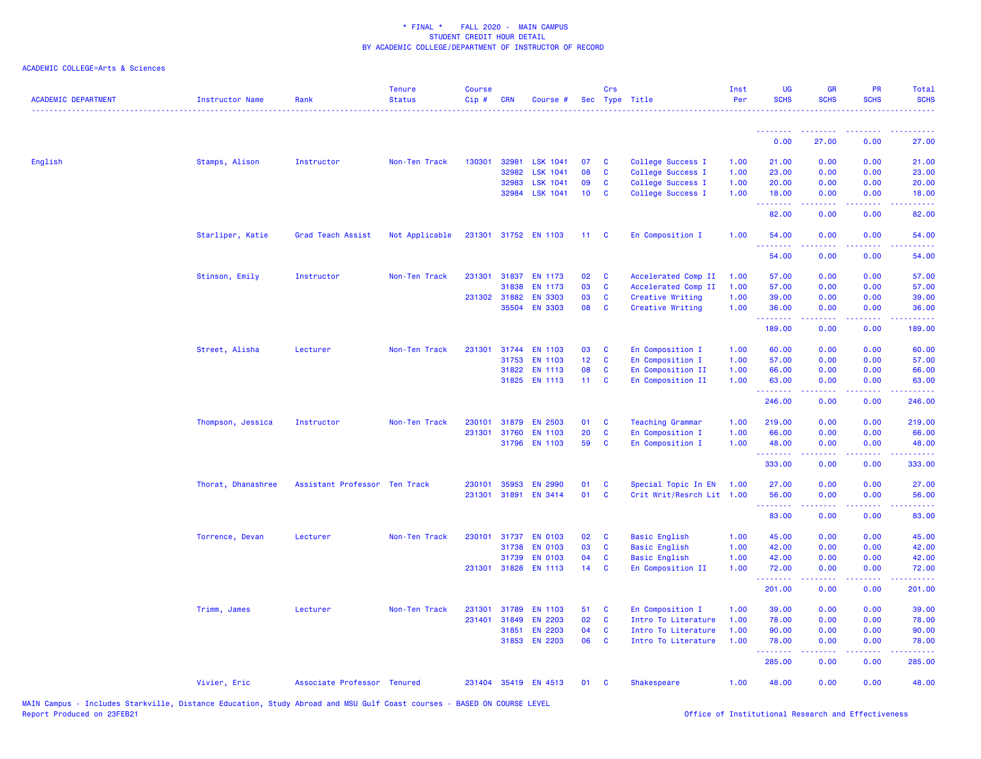| <b>ACADEMIC DEPARTMENT</b> | <b>Instructor Name</b> | Rank                          | <b>Tenure</b><br><b>Status</b> | <b>Course</b><br>Cip# | <b>CRN</b>   | Course #             |                 | Crs          | Sec Type Title            | Inst<br>Per | <b>UG</b><br><b>SCHS</b>               | <b>GR</b><br><b>SCHS</b>                                                                                                                                     | <b>PR</b><br><b>SCHS</b>                                                                               | Total<br><b>SCHS</b> |
|----------------------------|------------------------|-------------------------------|--------------------------------|-----------------------|--------------|----------------------|-----------------|--------------|---------------------------|-------------|----------------------------------------|--------------------------------------------------------------------------------------------------------------------------------------------------------------|--------------------------------------------------------------------------------------------------------|----------------------|
|                            |                        |                               |                                |                       |              |                      |                 |              |                           |             |                                        |                                                                                                                                                              |                                                                                                        |                      |
|                            |                        |                               |                                |                       |              |                      |                 |              |                           |             | 0.00                                   | 27.00                                                                                                                                                        | 0.00                                                                                                   | 27.00                |
| English                    | Stamps, Alison         | Instructor                    | Non-Ten Track                  | 130301                | 32981        | <b>LSK 1041</b>      | 07              | <b>C</b>     | College Success I         | 1.00        | 21.00                                  | 0.00                                                                                                                                                         | 0.00                                                                                                   | 21.00                |
|                            |                        |                               |                                |                       | 32982        | <b>LSK 1041</b>      | 08              | $\mathbf{C}$ | College Success I         | 1.00        | 23.00                                  | 0.00                                                                                                                                                         | 0.00                                                                                                   | 23.00                |
|                            |                        |                               |                                |                       | 32983        | <b>LSK 1041</b>      | 09              | $\mathbf{C}$ | College Success I         | 1.00        | 20.00                                  | 0.00                                                                                                                                                         | 0.00                                                                                                   | 20.00                |
|                            |                        |                               |                                |                       | 32984        | <b>LSK 1041</b>      | 10 <sub>1</sub> | <b>C</b>     | College Success I         | 1.00        | 18.00<br><u>.</u>                      | 0.00<br>. <u>.</u> .                                                                                                                                         | 0.00                                                                                                   | 18.00<br>.           |
|                            |                        |                               |                                |                       |              |                      |                 |              |                           |             | 82.00                                  | 0.00                                                                                                                                                         | 0.00                                                                                                   | 82.00                |
|                            | Starliper, Katie       | Grad Teach Assist             | Not Applicable                 |                       |              | 231301 31752 EN 1103 | $11 \quad C$    |              | En Composition I          | 1.00        | 54.00<br>.                             | 0.00<br>.                                                                                                                                                    | 0.00                                                                                                   | 54.00                |
|                            |                        |                               |                                |                       |              |                      |                 |              |                           |             | 54.00                                  | 0.00                                                                                                                                                         | 0.00                                                                                                   | 54.00                |
|                            | Stinson, Emily         | Instructor                    | Non-Ten Track                  | 231301                | 31837        | EN 1173              | 02              | <b>C</b>     | Accelerated Comp II       | 1.00        | 57.00                                  | 0.00                                                                                                                                                         | 0.00                                                                                                   | 57.00                |
|                            |                        |                               |                                |                       | 31838        | EN 1173              | 03              | $\mathbf{C}$ | Accelerated Comp II       | 1.00        | 57.00                                  | 0.00                                                                                                                                                         | 0.00                                                                                                   | 57.00                |
|                            |                        |                               |                                |                       | 231302 31882 | <b>EN 3303</b>       | 03              | $\mathbf{C}$ | Creative Writing          | 1.00        | 39.00                                  | 0.00                                                                                                                                                         | 0.00                                                                                                   | 39.00                |
|                            |                        |                               |                                |                       | 35504        | <b>EN 3303</b>       | 08              | $\mathbf{C}$ | Creative Writing          | 1.00        | 36.00<br>.                             | 0.00                                                                                                                                                         | 0.00                                                                                                   | 36.00                |
|                            |                        |                               |                                |                       |              |                      |                 |              |                           |             | 189.00                                 | 0.00                                                                                                                                                         | 0.00                                                                                                   | 189.00               |
|                            | Street, Alisha         | Lecturer                      | Non-Ten Track                  | 231301                | 31744        | <b>EN 1103</b>       | 03              | $\mathbf{C}$ | En Composition I          | 1.00        | 60.00                                  | 0.00                                                                                                                                                         | 0.00                                                                                                   | 60.00                |
|                            |                        |                               |                                |                       | 31753        | <b>EN 1103</b>       | 12 <sub>2</sub> | $\mathbf{C}$ | En Composition I          | 1.00        | 57.00                                  | 0.00                                                                                                                                                         | 0.00                                                                                                   | 57.00                |
|                            |                        |                               |                                |                       | 31822        | <b>EN 1113</b>       | 08              | $\mathbf{C}$ | En Composition II         | 1.00        | 66.00                                  | 0.00                                                                                                                                                         | 0.00                                                                                                   | 66.00                |
|                            |                        |                               |                                |                       | 31825        | <b>EN 1113</b>       | 11 <sub>1</sub> | $\mathbf{C}$ | En Composition II         | 1.00        | 63.00<br><u>.</u>                      | 0.00<br>$\frac{1}{2} \left( \frac{1}{2} \right) \left( \frac{1}{2} \right) \left( \frac{1}{2} \right) \left( \frac{1}{2} \right) \left( \frac{1}{2} \right)$ | 0.00<br>.                                                                                              | 63.00<br>.           |
|                            |                        |                               |                                |                       |              |                      |                 |              |                           |             | 246.00                                 | 0.00                                                                                                                                                         | 0.00                                                                                                   | 246.00               |
|                            | Thompson, Jessica      | Instructor                    | Non-Ten Track                  | 230101                | 31879        | <b>EN 2503</b>       | 01              | $\mathbf{C}$ | <b>Teaching Grammar</b>   | 1.00        | 219.00                                 | 0.00                                                                                                                                                         | 0.00                                                                                                   | 219.00               |
|                            |                        |                               |                                |                       | 231301 31760 | <b>EN 1103</b>       | 20              | $\mathbf{C}$ | En Composition I          | 1.00        | 66.00                                  | 0.00                                                                                                                                                         | 0.00                                                                                                   | 66.00                |
|                            |                        |                               |                                |                       |              | 31796 EN 1103        | 59              | $\mathbf{C}$ | En Composition I          | 1.00        | 48.00                                  | 0.00                                                                                                                                                         | 0.00                                                                                                   | 48.00                |
|                            |                        |                               |                                |                       |              |                      |                 |              |                           |             | .<br>333.00                            | .<br>0.00                                                                                                                                                    | .<br>0.00                                                                                              | .<br>333.00          |
|                            | Thorat, Dhanashree     | Assistant Professor Ten Track |                                | 230101                | 35953        | <b>EN 2990</b>       | 01              | $\mathbf{C}$ | Special Topic In EN       | 1.00        | 27.00                                  | 0.00                                                                                                                                                         | 0.00                                                                                                   | 27.00                |
|                            |                        |                               |                                | 231301                | 31891        | <b>EN 3414</b>       | 01              | $\mathbf{C}$ | Crit Writ/Resrch Lit 1.00 |             | 56.00<br>.                             | 0.00<br>. <u>. .</u>                                                                                                                                         | 0.00<br>$\sim$ $\sim$ $\sim$ $\sim$                                                                    | 56.00                |
|                            |                        |                               |                                |                       |              |                      |                 |              |                           |             | 83.00                                  | 0.00                                                                                                                                                         | 0.00                                                                                                   | 83.00                |
|                            | Torrence, Devan        | Lecturer                      | Non-Ten Track                  | 230101                | 31737        | <b>EN 0103</b>       | 02              | $\mathbf{C}$ | <b>Basic English</b>      | 1.00        | 45.00                                  | 0.00                                                                                                                                                         | 0.00                                                                                                   | 45.00                |
|                            |                        |                               |                                |                       | 31738        | <b>EN 0103</b>       | 03              | $\mathbf{C}$ | <b>Basic English</b>      | 1.00        | 42.00                                  | 0.00                                                                                                                                                         | 0.00                                                                                                   | 42.00                |
|                            |                        |                               |                                |                       | 31739        | <b>EN 0103</b>       | 04              | $\mathbf{C}$ | <b>Basic English</b>      | 1.00        | 42.00                                  | 0.00                                                                                                                                                         | 0.00                                                                                                   | 42.00                |
|                            |                        |                               |                                | 231301                | 31828        | <b>EN 1113</b>       | 14              | $\mathbf{C}$ | En Composition II         | 1.00        | 72.00<br>.                             | 0.00<br>.                                                                                                                                                    | 0.00<br>$\frac{1}{2} \left( \frac{1}{2} \right) \left( \frac{1}{2} \right) \left( \frac{1}{2} \right)$ | 72.00<br>.           |
|                            |                        |                               |                                |                       |              |                      |                 |              |                           |             | 201.00                                 | 0.00                                                                                                                                                         | 0.00                                                                                                   | 201.00               |
|                            | Trimm, James           | Lecturer                      | Non-Ten Track                  | 231301                | 31789        | EN 1103              | 51              | <b>C</b>     | En Composition I          | 1.00        | 39.00                                  | 0.00                                                                                                                                                         | 0.00                                                                                                   | 39.00                |
|                            |                        |                               |                                | 231401                | 31849        | <b>EN 2203</b>       | 02              | <b>C</b>     | Intro To Literature       | 1.00        | 78.00                                  | 0.00                                                                                                                                                         | 0.00                                                                                                   | 78.00                |
|                            |                        |                               |                                |                       | 31851        | <b>EN 2203</b>       | 04              | <b>C</b>     | Intro To Literature       | 1.00        | 90.00                                  | 0.00                                                                                                                                                         | 0.00                                                                                                   | 90.00                |
|                            |                        |                               |                                |                       | 31853        | <b>EN 2203</b>       | 06              | $\mathbf{C}$ | Intro To Literature       | 1.00        | 78.00<br><b><i><u><u>.</u></u></i></b> | 0.00<br>.                                                                                                                                                    | 0.00<br>.                                                                                              | 78.00<br>.           |
|                            |                        |                               |                                |                       |              |                      |                 |              |                           |             | 285.00                                 | 0.00                                                                                                                                                         | 0.00                                                                                                   | 285.00               |
|                            | Vivier, Eric           | Associate Professor Tenured   |                                | 231404                |              | 35419 EN 4513        | 01              | <b>C</b>     | Shakespeare               | 1.00        | 48.00                                  | 0.00                                                                                                                                                         | 0.00                                                                                                   | 48.00                |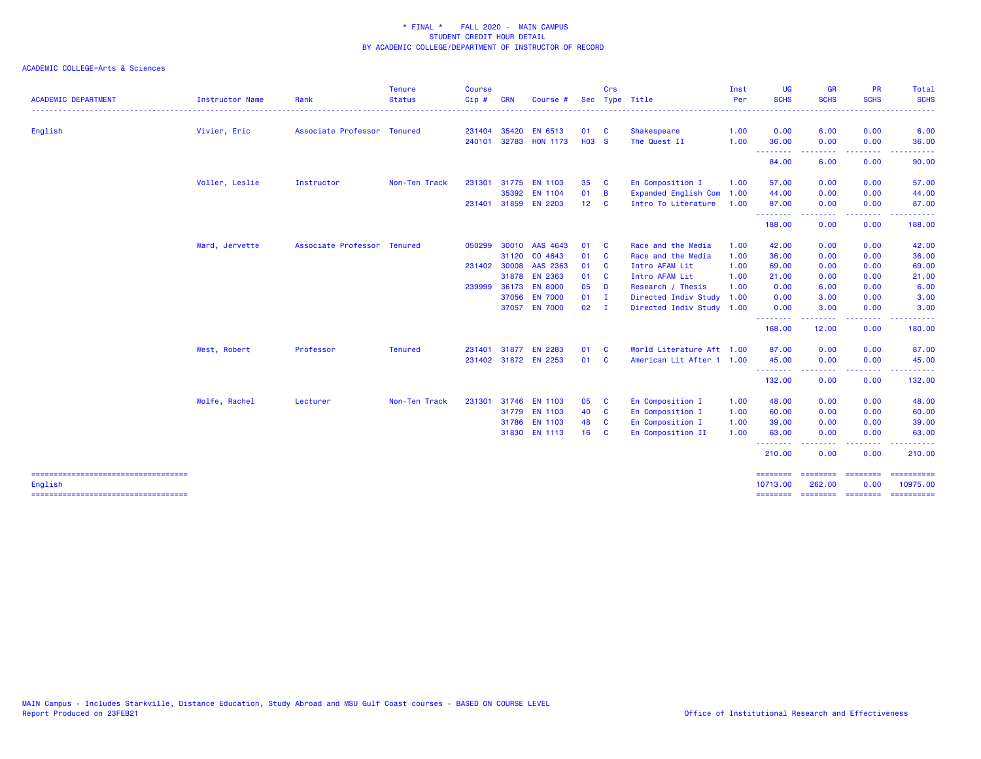| 01<br>$\overline{\mathbf{c}}$<br>Shakespeare<br><b>HO3 S</b><br>The Quest II<br>En Composition I<br>35<br><b>C</b><br>01<br><b>Expanded English Com</b><br>$\overline{B}$<br>12 <sub>2</sub><br><b>C</b><br>Intro To Literature<br>Race and the Media<br>01<br>- C<br>Race and the Media<br>01<br><b>C</b><br>01<br>Intro AFAM Lit<br>$\mathbf{C}$ | 1.00<br>1.00<br>1.00<br>1.00<br>1.00<br>1.00<br>1.00<br>1.00 | 0.00<br>36.00<br>- - - - - - - -<br>84.00<br>57.00<br>44.00<br>87.00<br>--------<br>188.00<br>42.00 | 6.00<br>0.00<br>-----<br>6.00<br>0.00<br>0.00<br>0.00<br>.<br>0.00 | 0.00<br>0.00<br>.<br>0.00<br>0.00<br>0.00<br>0.00<br>بالأباب<br>0.00 | 6.00<br>.                                                                                                                                                                                                                                                                                                                                                                                                                                                                                                                         |
|----------------------------------------------------------------------------------------------------------------------------------------------------------------------------------------------------------------------------------------------------------------------------------------------------------------------------------------------------|--------------------------------------------------------------|-----------------------------------------------------------------------------------------------------|--------------------------------------------------------------------|----------------------------------------------------------------------|-----------------------------------------------------------------------------------------------------------------------------------------------------------------------------------------------------------------------------------------------------------------------------------------------------------------------------------------------------------------------------------------------------------------------------------------------------------------------------------------------------------------------------------|
|                                                                                                                                                                                                                                                                                                                                                    |                                                              |                                                                                                     |                                                                    |                                                                      | 36.00<br>90.00<br>57.00<br>44.00<br>87.00                                                                                                                                                                                                                                                                                                                                                                                                                                                                                         |
|                                                                                                                                                                                                                                                                                                                                                    |                                                              |                                                                                                     |                                                                    |                                                                      |                                                                                                                                                                                                                                                                                                                                                                                                                                                                                                                                   |
|                                                                                                                                                                                                                                                                                                                                                    |                                                              |                                                                                                     |                                                                    |                                                                      |                                                                                                                                                                                                                                                                                                                                                                                                                                                                                                                                   |
|                                                                                                                                                                                                                                                                                                                                                    |                                                              |                                                                                                     |                                                                    |                                                                      |                                                                                                                                                                                                                                                                                                                                                                                                                                                                                                                                   |
|                                                                                                                                                                                                                                                                                                                                                    |                                                              |                                                                                                     |                                                                    |                                                                      |                                                                                                                                                                                                                                                                                                                                                                                                                                                                                                                                   |
|                                                                                                                                                                                                                                                                                                                                                    |                                                              |                                                                                                     |                                                                    |                                                                      |                                                                                                                                                                                                                                                                                                                                                                                                                                                                                                                                   |
|                                                                                                                                                                                                                                                                                                                                                    |                                                              |                                                                                                     |                                                                    |                                                                      | 188.00                                                                                                                                                                                                                                                                                                                                                                                                                                                                                                                            |
|                                                                                                                                                                                                                                                                                                                                                    |                                                              |                                                                                                     | 0.00                                                               | 0.00                                                                 | 42.00                                                                                                                                                                                                                                                                                                                                                                                                                                                                                                                             |
|                                                                                                                                                                                                                                                                                                                                                    |                                                              | 36.00                                                                                               | 0.00                                                               | 0.00                                                                 | 36.00                                                                                                                                                                                                                                                                                                                                                                                                                                                                                                                             |
|                                                                                                                                                                                                                                                                                                                                                    |                                                              | 69.00                                                                                               | 0.00                                                               | 0.00                                                                 | 69.00                                                                                                                                                                                                                                                                                                                                                                                                                                                                                                                             |
| 01 C<br>Intro AFAM Lit                                                                                                                                                                                                                                                                                                                             | 1.00                                                         | 21.00                                                                                               | 0.00                                                               | 0.00                                                                 | 21.00                                                                                                                                                                                                                                                                                                                                                                                                                                                                                                                             |
| 05<br>Research / Thesis<br>- D                                                                                                                                                                                                                                                                                                                     | 1.00                                                         | 0.00                                                                                                | 6.00                                                               | 0.00                                                                 | 6.00                                                                                                                                                                                                                                                                                                                                                                                                                                                                                                                              |
| 01<br>Directed Indiv Study<br>$\mathbf I$                                                                                                                                                                                                                                                                                                          | 1.00                                                         | 0.00                                                                                                | 3.00                                                               | 0.00                                                                 | 3.00                                                                                                                                                                                                                                                                                                                                                                                                                                                                                                                              |
| $02 \qquad I$<br>Directed Indiv Study 1.00                                                                                                                                                                                                                                                                                                         |                                                              | 0.00                                                                                                | 3.00                                                               | 0.00                                                                 | 3.00                                                                                                                                                                                                                                                                                                                                                                                                                                                                                                                              |
|                                                                                                                                                                                                                                                                                                                                                    |                                                              | --------<br>168.00                                                                                  | .<br>12.00                                                         | .<br>0.00                                                            | .<br>180.00                                                                                                                                                                                                                                                                                                                                                                                                                                                                                                                       |
| World Literature Aft 1.00<br>01<br><b>C</b>                                                                                                                                                                                                                                                                                                        |                                                              | 87.00                                                                                               | 0.00                                                               | 0.00                                                                 | 87.00                                                                                                                                                                                                                                                                                                                                                                                                                                                                                                                             |
| 01 C<br>American Lit After 1 1.00                                                                                                                                                                                                                                                                                                                  |                                                              | 45.00                                                                                               | 0.00                                                               | 0.00                                                                 | 45.00                                                                                                                                                                                                                                                                                                                                                                                                                                                                                                                             |
|                                                                                                                                                                                                                                                                                                                                                    |                                                              | <u>.</u><br>132.00                                                                                  | 0.00                                                               | 0.00                                                                 | 132.00                                                                                                                                                                                                                                                                                                                                                                                                                                                                                                                            |
| 05<br>En Composition I<br><b>C</b>                                                                                                                                                                                                                                                                                                                 | 1.00                                                         | 48.00                                                                                               | 0.00                                                               | 0.00                                                                 | 48.00                                                                                                                                                                                                                                                                                                                                                                                                                                                                                                                             |
| 40<br>En Composition I<br><b>C</b>                                                                                                                                                                                                                                                                                                                 | 1.00                                                         | 60.00                                                                                               | 0.00                                                               | 0.00                                                                 | 60.00                                                                                                                                                                                                                                                                                                                                                                                                                                                                                                                             |
| 48<br>En Composition I<br><b>C</b>                                                                                                                                                                                                                                                                                                                 | 1.00                                                         | 39.00                                                                                               | 0.00                                                               | 0.00                                                                 | 39.00                                                                                                                                                                                                                                                                                                                                                                                                                                                                                                                             |
| 16<br>- C                                                                                                                                                                                                                                                                                                                                          |                                                              | 63.00                                                                                               | 0.00                                                               | 0.00                                                                 | 63.00                                                                                                                                                                                                                                                                                                                                                                                                                                                                                                                             |
|                                                                                                                                                                                                                                                                                                                                                    |                                                              | 210.00                                                                                              | 0.00                                                               | 0.00                                                                 | .<br>210.00                                                                                                                                                                                                                                                                                                                                                                                                                                                                                                                       |
|                                                                                                                                                                                                                                                                                                                                                    |                                                              |                                                                                                     | <b>EEEEEEEE</b>                                                    | <b>CONSISTER</b>                                                     | $\begin{array}{cccccccccc} \multicolumn{2}{c}{} & \multicolumn{2}{c}{} & \multicolumn{2}{c}{} & \multicolumn{2}{c}{} & \multicolumn{2}{c}{} & \multicolumn{2}{c}{} & \multicolumn{2}{c}{} & \multicolumn{2}{c}{} & \multicolumn{2}{c}{} & \multicolumn{2}{c}{} & \multicolumn{2}{c}{} & \multicolumn{2}{c}{} & \multicolumn{2}{c}{} & \multicolumn{2}{c}{} & \multicolumn{2}{c}{} & \multicolumn{2}{c}{} & \multicolumn{2}{c}{} & \multicolumn{2}{c}{} & \multicolumn{2}{c}{} & \mult$<br>10975.00                                |
|                                                                                                                                                                                                                                                                                                                                                    |                                                              | En Composition II                                                                                   | 1.00<br>.                                                          | .<br><b>SEREEBER</b><br>10713.00<br>262.00                           | .<br>0.00<br>$\begin{array}{cccccccccc} \multicolumn{2}{c}{} & \multicolumn{2}{c}{} & \multicolumn{2}{c}{} & \multicolumn{2}{c}{} & \multicolumn{2}{c}{} & \multicolumn{2}{c}{} & \multicolumn{2}{c}{} & \multicolumn{2}{c}{} & \multicolumn{2}{c}{} & \multicolumn{2}{c}{} & \multicolumn{2}{c}{} & \multicolumn{2}{c}{} & \multicolumn{2}{c}{} & \multicolumn{2}{c}{} & \multicolumn{2}{c}{} & \multicolumn{2}{c}{} & \multicolumn{2}{c}{} & \multicolumn{2}{c}{} & \multicolumn{2}{c}{} & \mult$<br>======== ======== ======== |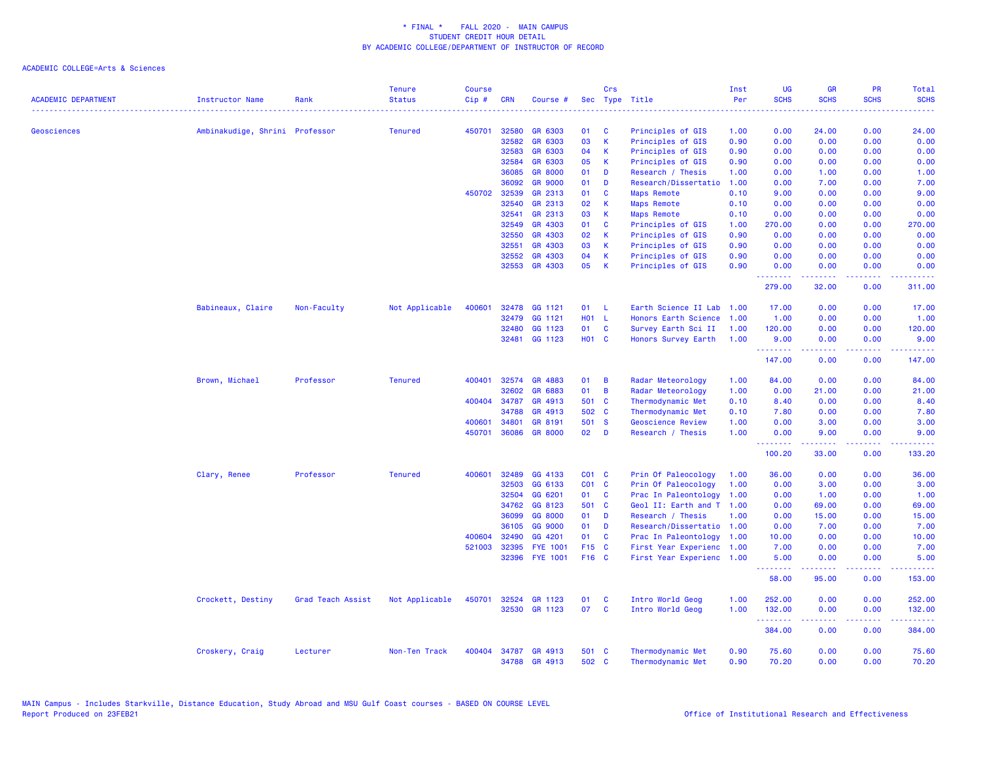| <b>ACADEMIC DEPARTMENT</b> | <b>Instructor Name</b>         | Rank              | <b>Tenure</b><br><b>Status</b> | <b>Course</b><br>Cip# | <b>CRN</b> | Course #                       |                | Crs      | Sec Type Title                         | Inst<br>Per  | <b>UG</b><br><b>SCHS</b> | <b>GR</b><br><b>SCHS</b>                                                                                                                                     | PR<br><b>SCHS</b> | <b>Total</b><br><b>SCHS</b>                                                                                 |
|----------------------------|--------------------------------|-------------------|--------------------------------|-----------------------|------------|--------------------------------|----------------|----------|----------------------------------------|--------------|--------------------------|--------------------------------------------------------------------------------------------------------------------------------------------------------------|-------------------|-------------------------------------------------------------------------------------------------------------|
| Geosciences                | Ambinakudige, Shrini Professor |                   | <b>Tenured</b>                 | 450701                | 32580      | GR 6303                        | 01             | <b>C</b> | Principles of GIS                      | 1.00         | 0.00                     | 24.00                                                                                                                                                        | 0.00              | 24.00                                                                                                       |
|                            |                                |                   |                                |                       | 32582      | GR 6303                        | 03             | К        | Principles of GIS                      | 0.90         | 0.00                     | 0.00                                                                                                                                                         | 0.00              | 0.00                                                                                                        |
|                            |                                |                   |                                |                       | 32583      | GR 6303                        | 04             | K        | Principles of GIS                      | 0.90         | 0.00                     | 0.00                                                                                                                                                         | 0.00              | 0.00                                                                                                        |
|                            |                                |                   |                                |                       | 32584      | GR 6303                        | 05             | К        | Principles of GIS                      | 0.90         | 0.00                     | 0.00                                                                                                                                                         | 0.00              | 0.00                                                                                                        |
|                            |                                |                   |                                |                       | 36085      | <b>GR 8000</b>                 | 01             | D        | Research / Thesis                      | 1.00         | 0.00                     | 1.00                                                                                                                                                         | 0.00              | 1.00                                                                                                        |
|                            |                                |                   |                                |                       | 36092      | <b>GR 9000</b>                 | 01             | D        | Research/Dissertatio                   | 1.00         | 0.00                     | 7.00                                                                                                                                                         | 0.00              | 7.00                                                                                                        |
|                            |                                |                   |                                | 450702                | 32539      | GR 2313                        | 01             | C        | <b>Maps Remote</b>                     | 0.10         | 9.00                     | 0.00                                                                                                                                                         | 0.00              | 9.00                                                                                                        |
|                            |                                |                   |                                |                       | 32540      | GR 2313                        | 02             | K        | <b>Maps Remote</b>                     | 0.10         | 0.00                     | 0.00                                                                                                                                                         | 0.00              | 0.00                                                                                                        |
|                            |                                |                   |                                |                       | 32541      | GR 2313                        | 03             | K        | <b>Maps Remote</b>                     | 0.10         | 0.00                     | 0.00                                                                                                                                                         | 0.00              | 0.00                                                                                                        |
|                            |                                |                   |                                |                       | 32549      | GR 4303                        | 01             | C        | Principles of GIS                      | 1.00         | 270.00                   | 0.00                                                                                                                                                         | 0.00              | 270.00                                                                                                      |
|                            |                                |                   |                                |                       | 32550      | GR 4303                        | 02             | К        | Principles of GIS                      | 0.90         | 0.00                     | 0.00                                                                                                                                                         | 0.00              | 0.00                                                                                                        |
|                            |                                |                   |                                |                       | 32551      | GR 4303                        | 03             | K        | Principles of GIS                      | 0.90         | 0.00                     | 0.00                                                                                                                                                         | 0.00              | 0.00                                                                                                        |
|                            |                                |                   |                                |                       | 32552      | GR 4303                        | 04             | К        | Principles of GIS                      | 0.90         | 0.00                     | 0.00                                                                                                                                                         | 0.00              | 0.00                                                                                                        |
|                            |                                |                   |                                |                       |            | 32553 GR 4303                  | 05             | К        | Principles of GIS                      | 0.90         | 0.00<br>- - - - - - - -  | 0.00<br>-----                                                                                                                                                | 0.00<br>.         | 0.00<br>-----                                                                                               |
|                            |                                |                   |                                |                       |            |                                |                |          |                                        |              | 279.00                   | 32.00                                                                                                                                                        | 0.00              | 311.00                                                                                                      |
|                            | Babineaux, Claire              | Non-Faculty       | Not Applicable                 | 400601                | 32478      | GG 1121                        | 01             | - L      | Earth Science II Lab                   | 1.00         | 17.00                    | 0.00                                                                                                                                                         | 0.00              | 17.00                                                                                                       |
|                            |                                |                   |                                |                       | 32479      | GG 1121                        | H01 L          |          | Honors Earth Science                   | 1.00         | 1.00                     | 0.00                                                                                                                                                         | 0.00              | 1.00                                                                                                        |
|                            |                                |                   |                                |                       | 32480      | GG 1123                        | 01             | C        | Survey Earth Sci II                    | 1.00         | 120.00                   | 0.00                                                                                                                                                         | 0.00              | 120.00                                                                                                      |
|                            |                                |                   |                                |                       | 32481      | GG 1123                        | H01 C          |          | Honors Survey Earth                    | 1.00         | 9.00<br>.                | 0.00<br>22222                                                                                                                                                | 0.00<br>.         | 9.00<br>222223                                                                                              |
|                            |                                |                   |                                |                       |            |                                |                |          |                                        |              | 147.00                   | 0.00                                                                                                                                                         | 0.00              | 147.00                                                                                                      |
|                            | Brown, Michael                 | Professor         | <b>Tenured</b>                 | 400401                | 32574      | GR 4883                        | 01             | B        | Radar Meteorology                      | 1.00         | 84.00                    | 0.00                                                                                                                                                         | 0.00              | 84.00                                                                                                       |
|                            |                                |                   |                                |                       | 32602      | GR 6883                        | 01             | B        | Radar Meteorology                      | 1.00         | 0.00                     | 21.00                                                                                                                                                        | 0.00              | 21.00                                                                                                       |
|                            |                                |                   |                                | 400404                | 34787      | GR 4913                        | 501 C          |          | Thermodynamic Met                      | 0.10         | 8.40                     | 0.00                                                                                                                                                         | 0.00              | 8.40                                                                                                        |
|                            |                                |                   |                                |                       | 34788      | GR 4913                        | 502 C          |          | Thermodynamic Met                      | 0.10         | 7.80                     | 0.00                                                                                                                                                         | 0.00              | 7.80                                                                                                        |
|                            |                                |                   |                                | 400601                | 34801      | GR 8191                        | 501 S          |          | <b>Geoscience Review</b>               | 1.00         | 0.00                     | 3.00                                                                                                                                                         | 0.00              | 3.00                                                                                                        |
|                            |                                |                   |                                | 450701                | 36086      | <b>GR 8000</b>                 | 02             | D        | Research / Thesis                      | 1.00         | 0.00<br>.                | 9.00<br>المتمام المتمار                                                                                                                                      | 0.00<br>.         | 9.00<br>.                                                                                                   |
|                            |                                |                   |                                |                       |            |                                |                |          |                                        |              | 100.20                   | 33.00                                                                                                                                                        | 0.00              | 133.20                                                                                                      |
|                            | Clary, Renee                   | Professor         | <b>Tenured</b>                 | 400601                | 32489      | GG 4133                        | $CO1$ $C$      |          | Prin Of Paleocology                    | 1.00         | 36.00                    | 0.00                                                                                                                                                         | 0.00              | 36.00                                                                                                       |
|                            |                                |                   |                                |                       | 32503      | GG 6133                        | $CO1$ $C$      |          | Prin Of Paleocology                    | 1.00         | 0.00                     | 3.00                                                                                                                                                         | 0.00              | 3.00                                                                                                        |
|                            |                                |                   |                                |                       | 32504      | GG 6201                        | 01             | C        | Prac In Paleontology                   | 1.00         | 0.00                     | 1.00                                                                                                                                                         | 0.00              | 1.00                                                                                                        |
|                            |                                |                   |                                |                       | 34762      | GG 8123                        | 501 C          |          | Geol II: Earth and T 1.00              |              | 0.00                     | 69.00                                                                                                                                                        | 0.00              | 69.00                                                                                                       |
|                            |                                |                   |                                |                       | 36099      | GG 8000                        | 01             | D        | Research / Thesis                      | 1.00         | 0.00                     | 15.00                                                                                                                                                        | 0.00              | 15.00                                                                                                       |
|                            |                                |                   |                                |                       | 36105      | GG 9000                        | 01             | D        | Research/Dissertatio                   | 1.00         | 0.00                     | 7.00                                                                                                                                                         | 0.00              | 7.00                                                                                                        |
|                            |                                |                   |                                | 400604                | 32490      | GG 4201                        | 01             | <b>C</b> | Prac In Paleontology                   | 1.00         | 10.00                    | 0.00                                                                                                                                                         | 0.00              | 10.00                                                                                                       |
|                            |                                |                   |                                | 521003                | 32395      | <b>FYE 1001</b>                | F15 C          |          | First Year Experienc                   | 1.00         | 7.00                     | 0.00                                                                                                                                                         | 0.00              | 7.00                                                                                                        |
|                            |                                |                   |                                |                       | 32396      | <b>FYE 1001</b>                | F16 C          |          | First Year Experienc 1.00              |              | 5.00<br>.                | 0.00<br>$\frac{1}{2} \left( \frac{1}{2} \right) \left( \frac{1}{2} \right) \left( \frac{1}{2} \right) \left( \frac{1}{2} \right) \left( \frac{1}{2} \right)$ | 0.00<br>د د د د   | 5.00<br>.                                                                                                   |
|                            |                                |                   |                                |                       |            |                                |                |          |                                        |              | 58.00                    | 95.00                                                                                                                                                        | 0.00              | 153.00                                                                                                      |
|                            | Crockett, Destiny              | Grad Teach Assist | Not Applicable                 | 450701                | 32524      | GR 1123                        | 01             | <b>C</b> | Intro World Geog                       | 1.00         | 252.00                   | 0.00                                                                                                                                                         | 0.00              | 252.00                                                                                                      |
|                            |                                |                   |                                |                       | 32530      | GR 1123                        | 07             | <b>C</b> | Intro World Geog                       | 1.00         | 132.00<br>.              | 0.00<br>.                                                                                                                                                    | 0.00<br>بالمحام   | 132.00<br>$\mathbf{1} \cdot \mathbf{1} \cdot \mathbf{1} \cdot \mathbf{1} \cdot \mathbf{1} \cdot \mathbf{1}$ |
|                            |                                |                   |                                |                       |            |                                |                |          |                                        |              | 384.00                   | 0.00                                                                                                                                                         | 0.00              | 384.00                                                                                                      |
|                            | Croskery, Craig                | Lecturer          | Non-Ten Track                  | 400404                |            | 34787 GR 4913<br>34788 GR 4913 | 501 C<br>502 C |          | Thermodynamic Met<br>Thermodynamic Met | 0.90<br>0.90 | 75.60<br>70.20           | 0.00<br>0.00                                                                                                                                                 | 0.00<br>0.00      | 75.60<br>70.20                                                                                              |
|                            |                                |                   |                                |                       |            |                                |                |          |                                        |              |                          |                                                                                                                                                              |                   |                                                                                                             |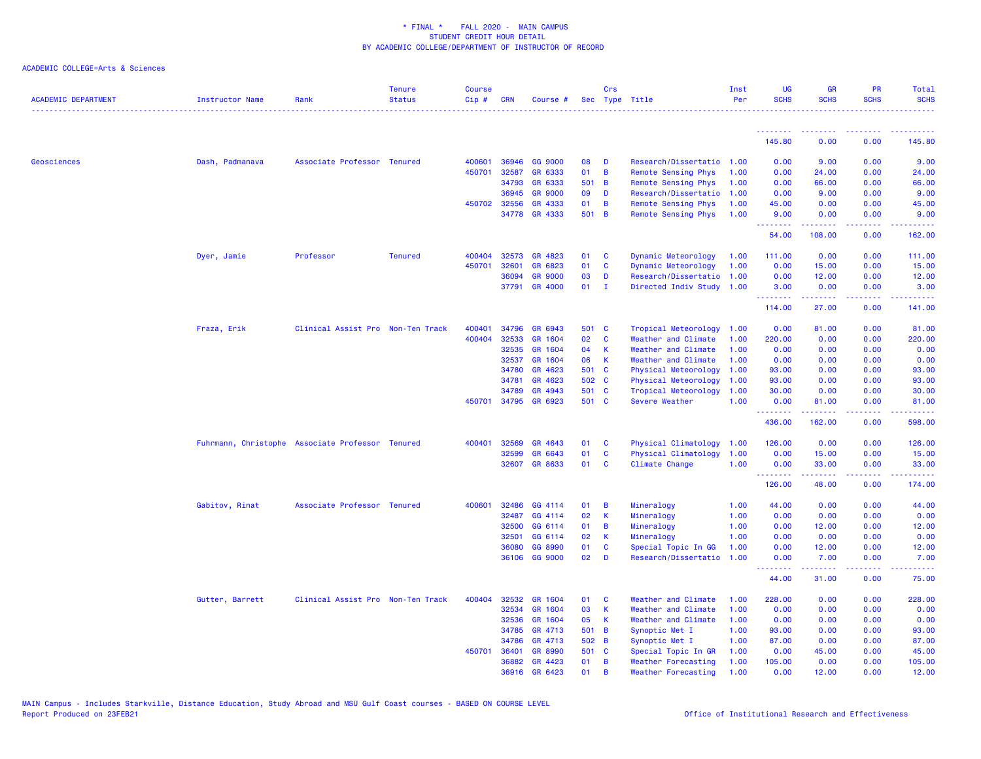| <b>ACADEMIC DEPARTMENT</b> | Instructor Name                                  | Rank                              | <b>Tenure</b><br><b>Status</b> | <b>Course</b><br>$Cip \#$ | <b>CRN</b>            | Course #           |             | <b>Crs</b>   | Sec Type Title                         | Inst<br>Per  | <b>UG</b><br><b>SCHS</b> | <b>GR</b><br><b>SCHS</b>                                                                                                                             | <b>PR</b><br><b>SCHS</b> | <b>Total</b><br><b>SCHS</b> |
|----------------------------|--------------------------------------------------|-----------------------------------|--------------------------------|---------------------------|-----------------------|--------------------|-------------|--------------|----------------------------------------|--------------|--------------------------|------------------------------------------------------------------------------------------------------------------------------------------------------|--------------------------|-----------------------------|
|                            |                                                  |                                   |                                |                           |                       |                    |             |              |                                        |              | 145.80                   | 0.00                                                                                                                                                 | 0.00                     | 145.80                      |
|                            |                                                  |                                   |                                |                           |                       |                    |             |              |                                        |              |                          |                                                                                                                                                      |                          |                             |
| Geosciences                | Dash, Padmanava                                  | Associate Professor Tenured       |                                | 400601                    | 36946                 | GG 9000            | 08          | D            | Research/Dissertatio                   | 1.00         | 0.00                     | 9.00                                                                                                                                                 | 0.00                     | 9.00                        |
|                            |                                                  |                                   |                                | 450701                    | 32587                 | GR 6333            | 01          | B            | Remote Sensing Phys                    | 1.00         | 0.00                     | 24.00                                                                                                                                                | 0.00                     | 24.00                       |
|                            |                                                  |                                   |                                |                           | 34793                 | GR 6333            | 501 B<br>09 |              | Remote Sensing Phys                    | 1.00         | 0.00                     | 66.00                                                                                                                                                | 0.00                     | 66.00                       |
|                            |                                                  |                                   |                                |                           | 36945                 | <b>GR 9000</b>     | 01          | D            | Research/Dissertatio                   | 1.00         | 0.00                     | 9.00                                                                                                                                                 | 0.00                     | 9.00                        |
|                            |                                                  |                                   |                                |                           | 450702 32556<br>34778 | GR 4333<br>GR 4333 | 501 B       | В            | Remote Sensing Phys                    | 1.00<br>1.00 | 45.00<br>9.00            | 0.00<br>0.00                                                                                                                                         | 0.00<br>0.00             | 45.00<br>9.00               |
|                            |                                                  |                                   |                                |                           |                       |                    |             |              | Remote Sensing Phys                    |              | .                        | .                                                                                                                                                    | 22222                    | .                           |
|                            |                                                  |                                   |                                |                           |                       |                    |             |              |                                        |              | 54.00                    | 108.00                                                                                                                                               | 0.00                     | 162.00                      |
|                            | Dyer, Jamie                                      | Professor                         | <b>Tenured</b>                 | 400404                    | 32573                 | GR 4823            | 01          | C            | Dynamic Meteorology                    | 1.00         | 111.00                   | 0.00                                                                                                                                                 | 0.00                     | 111.00                      |
|                            |                                                  |                                   |                                | 450701                    | 32601                 | GR 6823            | 01          | $\mathbf{C}$ | Dynamic Meteorology                    | 1.00         | 0.00                     | 15.00                                                                                                                                                | 0.00                     | 15.00                       |
|                            |                                                  |                                   |                                |                           | 36094                 | <b>GR 9000</b>     | 03          | D            | Research/Dissertatio                   | 1.00         | 0.00                     | 12.00                                                                                                                                                | 0.00                     | 12.00                       |
|                            |                                                  |                                   |                                |                           | 37791                 | GR 4000            | 01          | $\mathbf{I}$ | Directed Indiv Study                   | 1.00         | 3.00                     | 0.00                                                                                                                                                 | 0.00                     | 3.00                        |
|                            |                                                  |                                   |                                |                           |                       |                    |             |              |                                        |              | .<br>114.00              | 27.00                                                                                                                                                | والمحامر<br>0.00         | 141.00                      |
|                            | Fraza, Erik                                      | Clinical Assist Pro Non-Ten Track |                                | 400401                    | 34796                 | GR 6943            | 501 C       |              | Tropical Meteorology                   | 1.00         | 0.00                     | 81.00                                                                                                                                                | 0.00                     | 81.00                       |
|                            |                                                  |                                   |                                | 400404                    | 32533                 | GR 1604            | 02          | C            | Weather and Climate                    | 1.00         | 220.00                   | 0.00                                                                                                                                                 | 0.00                     | 220.00                      |
|                            |                                                  |                                   |                                |                           | 32535                 | GR 1604            | 04          | $\mathbf{K}$ | Weather and Climate                    | 1.00         | 0.00                     | 0.00                                                                                                                                                 | 0.00                     | 0.00                        |
|                            |                                                  |                                   |                                |                           | 32537                 | GR 1604            | 06          | K            | Weather and Climate                    | 1.00         | 0.00                     | 0.00                                                                                                                                                 | 0.00                     | 0.00                        |
|                            |                                                  |                                   |                                |                           | 34780                 | GR 4623            | 501 C       |              | Physical Meteorology                   | 1.00         | 93.00                    | 0.00                                                                                                                                                 | 0.00                     | 93.00                       |
|                            |                                                  |                                   |                                |                           | 34781                 | GR 4623            | 502 C       |              | Physical Meteorology                   | 1.00         | 93.00                    | 0.00                                                                                                                                                 | 0.00                     | 93.00                       |
|                            |                                                  |                                   |                                |                           | 34789                 | GR 4943            | 501 C       |              | Tropical Meteorology                   | 1.00         | 30.00                    | 0.00                                                                                                                                                 | 0.00                     | 30.00                       |
|                            |                                                  |                                   |                                | 450701                    | 34795                 | GR 6923            | 501 C       |              | Severe Weather                         | 1.00         | 0.00                     | 81.00                                                                                                                                                | 0.00                     | 81.00                       |
|                            |                                                  |                                   |                                |                           |                       |                    |             |              |                                        |              | .<br>436.00              | 2.2.2.2.2.2<br>162.00                                                                                                                                | د د د د<br>0.00          | .<br>598.00                 |
|                            |                                                  |                                   |                                | 400401                    | 32569                 | GR 4643            | 01          | <b>C</b>     | Physical Climatology                   |              | 126.00                   | 0.00                                                                                                                                                 | 0.00                     | 126.00                      |
|                            | Fuhrmann, Christophe Associate Professor Tenured |                                   |                                |                           | 32599                 | GR 6643            | 01          | C            |                                        | 1.00         |                          |                                                                                                                                                      | 0.00                     |                             |
|                            |                                                  |                                   |                                |                           | 32607                 | GR 8633            | 01          | C            | Physical Climatology<br>Climate Change | 1.00<br>1.00 | 0.00<br>0.00             | 15.00<br>33.00                                                                                                                                       | 0.00                     | 15.00<br>33.00              |
|                            |                                                  |                                   |                                |                           |                       |                    |             |              |                                        |              | <b></b>                  | $\frac{1}{2} \left( \frac{1}{2} \right) \left( \frac{1}{2} \right) \left( \frac{1}{2} \right) \left( \frac{1}{2} \right) \left( \frac{1}{2} \right)$ | د د د د                  | .                           |
|                            |                                                  |                                   |                                |                           |                       |                    |             |              |                                        |              | 126.00                   | 48.00                                                                                                                                                | 0.00                     | 174.00                      |
|                            | Gabitov, Rinat                                   | Associate Professor Tenured       |                                | 400601                    | 32486                 | GG 4114            | 01          | B            | Mineralogy                             | 1.00         | 44.00                    | 0.00                                                                                                                                                 | 0.00                     | 44.00                       |
|                            |                                                  |                                   |                                |                           | 32487                 | GG 4114            | 02          | K            | Mineralogy                             | 1.00         | 0.00                     | 0.00                                                                                                                                                 | 0.00                     | 0.00                        |
|                            |                                                  |                                   |                                |                           | 32500                 | GG 6114            | 01          | B            | Mineralogy                             | 1.00         | 0.00                     | 12.00                                                                                                                                                | 0.00                     | 12.00                       |
|                            |                                                  |                                   |                                |                           | 32501                 | GG 6114            | 02          | K            | Mineralogy                             | 1.00         | 0.00                     | 0.00                                                                                                                                                 | 0.00                     | 0.00                        |
|                            |                                                  |                                   |                                |                           | 36080                 | GG 8990            | 01          | C            | Special Topic In GG                    | 1.00         | 0.00                     | 12.00                                                                                                                                                | 0.00                     | 12.00                       |
|                            |                                                  |                                   |                                |                           | 36106                 | GG 9000            | 02          | D            | Research/Dissertatio                   | 1.00         | 0.00                     | 7.00                                                                                                                                                 | 0.00                     | 7.00                        |
|                            |                                                  |                                   |                                |                           |                       |                    |             |              |                                        |              | <b></b><br>44.00         | .<br>31.00                                                                                                                                           | بالأباد<br>0.00          | وعاديات<br>75.00            |
|                            | Gutter, Barrett                                  | Clinical Assist Pro Non-Ten Track |                                | 400404                    | 32532                 | GR 1604            | 01          | <b>C</b>     | Weather and Climate                    | 1.00         | 228.00                   | 0.00                                                                                                                                                 | 0.00                     | 228.00                      |
|                            |                                                  |                                   |                                |                           | 32534                 | GR 1604            | 03          | K            | Weather and Climate                    | 1.00         | 0.00                     | 0.00                                                                                                                                                 | 0.00                     | 0.00                        |
|                            |                                                  |                                   |                                |                           | 32536                 | GR 1604            | 05          | K            | Weather and Climate                    | 1.00         | 0.00                     | 0.00                                                                                                                                                 | 0.00                     | 0.00                        |
|                            |                                                  |                                   |                                |                           | 34785                 | GR 4713            | 501 B       |              | Synoptic Met I                         | 1.00         | 93.00                    | 0.00                                                                                                                                                 | 0.00                     | 93.00                       |
|                            |                                                  |                                   |                                |                           | 34786                 | GR 4713            | 502 B       |              | Synoptic Met I                         | 1.00         | 87.00                    | 0.00                                                                                                                                                 | 0.00                     | 87.00                       |
|                            |                                                  |                                   |                                | 450701                    | 36401                 | GR 8990            | 501 C       |              | Special Topic In GR                    | 1.00         | 0.00                     | 45.00                                                                                                                                                | 0.00                     | 45.00                       |
|                            |                                                  |                                   |                                |                           | 36882                 | GR 4423            | 01          | B            | Weather Forecasting                    | 1.00         | 105.00                   | 0.00                                                                                                                                                 | 0.00                     | 105.00                      |
|                            |                                                  |                                   |                                |                           | 36916                 | GR 6423            | 01          | B            | Weather Forecasting                    | 1.00         | 0.00                     | 12.00                                                                                                                                                | 0.00                     | 12.00                       |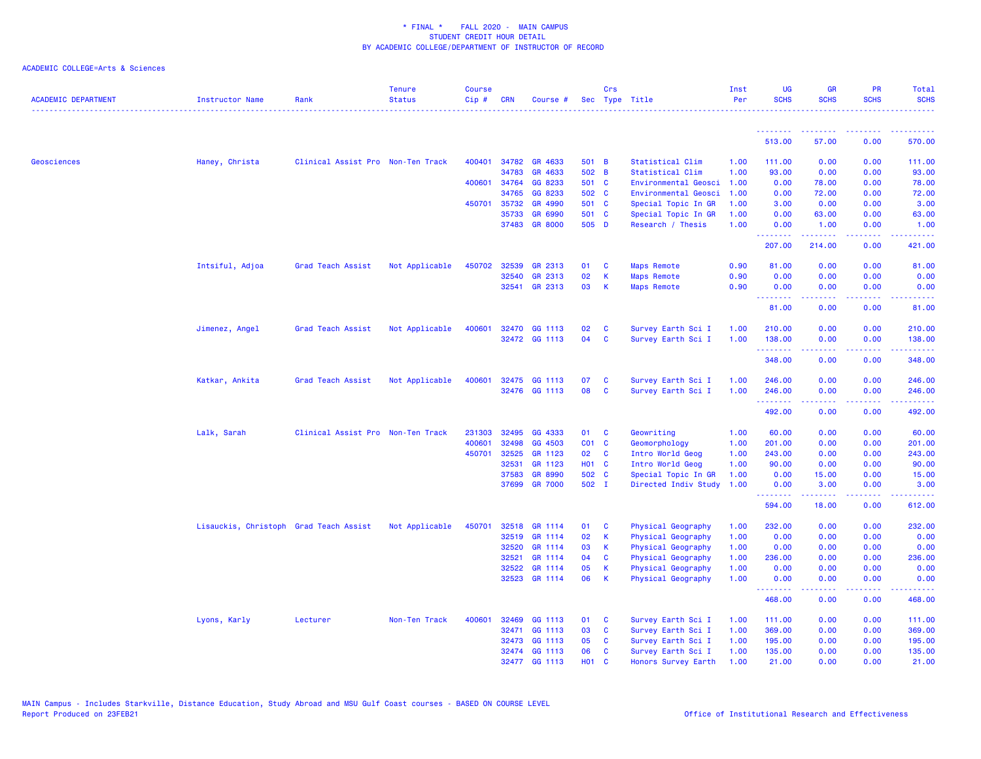| <b>ACADEMIC DEPARTMENT</b> | <b>Instructor Name</b>                 | Rank                              | <b>Tenure</b><br><b>Status</b> | <b>Course</b><br>Cip# | <b>CRN</b>   | Course #       |              | Crs          | Sec Type Title            | Inst<br>Per | UG<br><b>SCHS</b> | <b>GR</b><br><b>SCHS</b>                                                                                                          | PR<br><b>SCHS</b>              | <b>Total</b><br><b>SCHS</b>                                                                                                                                  |
|----------------------------|----------------------------------------|-----------------------------------|--------------------------------|-----------------------|--------------|----------------|--------------|--------------|---------------------------|-------------|-------------------|-----------------------------------------------------------------------------------------------------------------------------------|--------------------------------|--------------------------------------------------------------------------------------------------------------------------------------------------------------|
|                            |                                        |                                   |                                |                       |              |                |              |              |                           |             |                   |                                                                                                                                   |                                |                                                                                                                                                              |
|                            |                                        |                                   |                                |                       |              |                |              |              |                           |             | 513.00            | 57.00                                                                                                                             | 0.00                           | 570.00                                                                                                                                                       |
| Geosciences                | Haney, Christa                         | Clinical Assist Pro Non-Ten Track |                                | 400401                | 34782        | GR 4633        | 501 B        |              | Statistical Clim          | 1.00        | 111.00            | 0.00                                                                                                                              | 0.00                           | 111.00                                                                                                                                                       |
|                            |                                        |                                   |                                |                       | 34783        | GR 4633        | 502 B        |              | Statistical Clim          | 1.00        | 93.00             | 0.00                                                                                                                              | 0.00                           | 93.00                                                                                                                                                        |
|                            |                                        |                                   |                                |                       | 400601 34764 | GG 8233        | 501 C        |              | Environmental Geosci      | 1.00        | 0.00              | 78.00                                                                                                                             | 0.00                           | 78.00                                                                                                                                                        |
|                            |                                        |                                   |                                |                       | 34765        | GG 8233        | 502 C        |              | Environmental Geosci      | 1.00        | 0.00              | 72.00                                                                                                                             | 0.00                           | 72.00                                                                                                                                                        |
|                            |                                        |                                   |                                |                       | 450701 35732 | GR 4990        | 501 C        |              | Special Topic In GR       | 1.00        | 3.00              | 0.00                                                                                                                              | 0.00                           | 3.00                                                                                                                                                         |
|                            |                                        |                                   |                                |                       | 35733        | GR 6990        | 501 C        |              | Special Topic In GR       | 1.00        | 0.00              | 63.00                                                                                                                             | 0.00                           | 63.00                                                                                                                                                        |
|                            |                                        |                                   |                                |                       |              | 37483 GR 8000  | 505 D        |              | Research / Thesis         | 1.00        | 0.00<br>.         | 1.00<br>.                                                                                                                         | 0.00<br>$\sim$ $\sim$ $\sim$   | 1.00<br>.                                                                                                                                                    |
|                            |                                        |                                   |                                |                       |              |                |              |              |                           |             | 207.00            | 214.00                                                                                                                            | 0.00                           | 421.00                                                                                                                                                       |
|                            | Intsiful, Adjoa                        | Grad Teach Assist                 | Not Applicable                 | 450702                | 32539        | GR 2313        | 01           | C            | <b>Maps Remote</b>        | 0.90        | 81.00             | 0.00                                                                                                                              | 0.00                           | 81.00                                                                                                                                                        |
|                            |                                        |                                   |                                |                       | 32540        | GR 2313        | 02           | К            | <b>Maps Remote</b>        | 0.90        | 0.00              | 0.00                                                                                                                              | 0.00                           | 0.00                                                                                                                                                         |
|                            |                                        |                                   |                                |                       |              | 32541 GR 2313  | 03           | K            | <b>Maps Remote</b>        | 0.90        | 0.00<br>.         | 0.00<br>.                                                                                                                         | 0.00<br>والمحامر               | 0.00<br>$\sim$ $\sim$ $\sim$ $\sim$                                                                                                                          |
|                            |                                        |                                   |                                |                       |              |                |              |              |                           |             | 81.00             | 0.00                                                                                                                              | 0.00                           | 81.00                                                                                                                                                        |
|                            | Jimenez, Angel                         | Grad Teach Assist                 | Not Applicable                 | 400601                |              | 32470 GG 1113  | 02           | C            | Survey Earth Sci I        | 1.00        | 210.00            | 0.00                                                                                                                              | 0.00                           | 210.00                                                                                                                                                       |
|                            |                                        |                                   |                                |                       |              | 32472 GG 1113  | 04           | <b>C</b>     | Survey Earth Sci I        | 1.00        | 138.00            | 0.00                                                                                                                              | 0.00                           | 138.00                                                                                                                                                       |
|                            |                                        |                                   |                                |                       |              |                |              |              |                           |             | .<br>348.00       | 0.00                                                                                                                              | 0.00                           | .<br>348.00                                                                                                                                                  |
|                            | Katkar, Ankita                         | Grad Teach Assist                 | Not Applicable                 | 400601                | 32475        | GG 1113        | 07           | C            | Survey Earth Sci I        | 1.00        | 246.00            | 0.00                                                                                                                              | 0.00                           | 246.00                                                                                                                                                       |
|                            |                                        |                                   |                                |                       |              | 32476 GG 1113  | 08           | C            | Survey Earth Sci I        | 1.00        | 246.00            | 0.00                                                                                                                              | 0.00                           | 246.00                                                                                                                                                       |
|                            |                                        |                                   |                                |                       |              |                |              |              |                           |             | .                 | .                                                                                                                                 | المتمام الما                   | $\begin{array}{cccccccccc} \bullet & \bullet & \bullet & \bullet & \bullet & \bullet & \bullet & \bullet \end{array}$                                        |
|                            |                                        |                                   |                                |                       |              |                |              |              |                           |             | 492.00            | 0.00                                                                                                                              | 0.00                           | 492.00                                                                                                                                                       |
|                            | Lalk, Sarah                            | Clinical Assist Pro Non-Ten Track |                                | 231303                | 32495        | GG 4333        | 01           | C            | Geowriting                | 1.00        | 60.00             | 0.00                                                                                                                              | 0.00                           | 60.00                                                                                                                                                        |
|                            |                                        |                                   |                                | 400601                | 32498        | GG 4503        | $CO1$ $C$    |              | Geomorphology             | 1.00        | 201.00            | 0.00                                                                                                                              | 0.00                           | 201.00                                                                                                                                                       |
|                            |                                        |                                   |                                | 450701                | 32525        | GR 1123        | 02           | <b>C</b>     | Intro World Geog          | 1.00        | 243.00            | 0.00                                                                                                                              | 0.00                           | 243.00                                                                                                                                                       |
|                            |                                        |                                   |                                |                       | 32531        | GR 1123        | <b>HO1 C</b> |              | Intro World Geog          | 1.00        | 90.00             | 0.00                                                                                                                              | 0.00                           | 90.00                                                                                                                                                        |
|                            |                                        |                                   |                                |                       | 37583        | GR 8990        | 502 C        |              | Special Topic In GR       | 1.00        | 0.00              | 15.00                                                                                                                             | 0.00                           | 15.00                                                                                                                                                        |
|                            |                                        |                                   |                                |                       | 37699        | <b>GR 7000</b> | 502 I        |              | Directed Indiv Study      | 1.00        | 0.00<br>.         | 3.00<br>$\frac{1}{2} \left( \frac{1}{2} \right) \left( \frac{1}{2} \right) \left( \frac{1}{2} \right) \left( \frac{1}{2} \right)$ | 0.00<br>الأعاماء               | 3.00<br>$\frac{1}{2} \left( \frac{1}{2} \right) \left( \frac{1}{2} \right) \left( \frac{1}{2} \right) \left( \frac{1}{2} \right) \left( \frac{1}{2} \right)$ |
|                            |                                        |                                   |                                |                       |              |                |              |              |                           |             | 594.00            | 18.00                                                                                                                             | 0.00                           | 612.00                                                                                                                                                       |
|                            | Lisauckis, Christoph Grad Teach Assist |                                   | Not Applicable                 | 450701                | 32518        | GR 1114        | 01           | <b>C</b>     | Physical Geography        | 1.00        | 232.00            | 0.00                                                                                                                              | 0.00                           | 232.00                                                                                                                                                       |
|                            |                                        |                                   |                                |                       | 32519        | GR 1114        | 02           | K            | <b>Physical Geography</b> | 1.00        | 0.00              | 0.00                                                                                                                              | 0.00                           | 0.00                                                                                                                                                         |
|                            |                                        |                                   |                                |                       | 32520        | GR 1114        | 03           | К            | Physical Geography        | 1.00        | 0.00              | 0.00                                                                                                                              | 0.00                           | 0.00                                                                                                                                                         |
|                            |                                        |                                   |                                |                       | 32521        | GR 1114        | 04           | C            | Physical Geography        | 1.00        | 236.00            | 0.00                                                                                                                              | 0.00                           | 236.00                                                                                                                                                       |
|                            |                                        |                                   |                                |                       | 32522        | GR 1114        | 05           | K            | Physical Geography        | 1.00        | 0.00              | 0.00                                                                                                                              | 0.00                           | 0.00                                                                                                                                                         |
|                            |                                        |                                   |                                |                       | 32523        | GR 1114        | 06           | $\mathsf{K}$ | Physical Geography        | 1.00        | 0.00<br>.         | 0.00<br>.                                                                                                                         | 0.00<br>$\omega$ is a $\omega$ | 0.00<br>2.2.2.2.2.                                                                                                                                           |
|                            |                                        |                                   |                                |                       |              |                |              |              |                           |             | 468.00            | 0.00                                                                                                                              | 0.00                           | 468.00                                                                                                                                                       |
|                            | Lyons, Karly                           | Lecturer                          | Non-Ten Track                  | 400601                | 32469        | GG 1113        | 01           | C            | Survey Earth Sci I        | 1.00        | 111.00            | 0.00                                                                                                                              | 0.00                           | 111.00                                                                                                                                                       |
|                            |                                        |                                   |                                |                       | 32471        | GG 1113        | 03           | C            | Survey Earth Sci I        | 1.00        | 369.00            | 0.00                                                                                                                              | 0.00                           | 369.00                                                                                                                                                       |
|                            |                                        |                                   |                                |                       | 32473        | GG 1113        | 05           | C            | Survey Earth Sci I        | 1.00        | 195.00            | 0.00                                                                                                                              | 0.00                           | 195.00                                                                                                                                                       |
|                            |                                        |                                   |                                |                       |              | 32474 GG 1113  | 06           | <b>C</b>     | Survey Earth Sci I        | 1.00        | 135.00            | 0.00                                                                                                                              | 0.00                           | 135.00                                                                                                                                                       |
|                            |                                        |                                   |                                |                       |              | 32477 GG 1113  | <b>HO1</b>   | <b>C</b>     | Honors Survey Earth       | 1.00        | 21.00             | 0.00                                                                                                                              | 0.00                           | 21.00                                                                                                                                                        |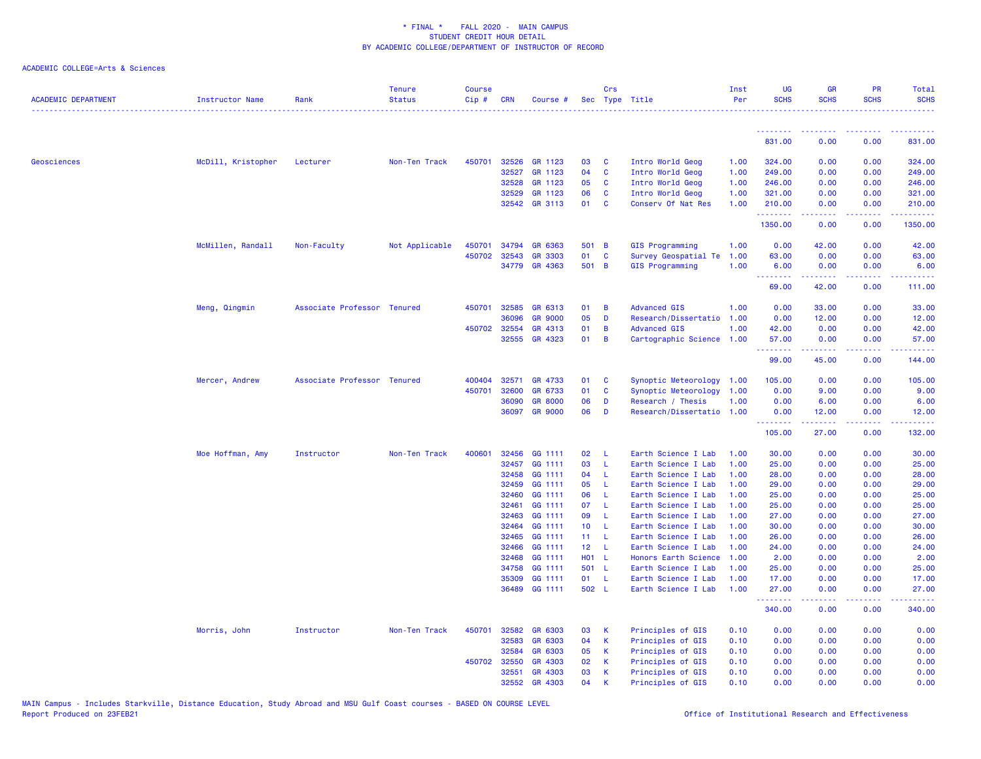| <u>.</u> .<br><b><i><u><u><b>a</b></u></u> a a a a a</i> <b><i>a a</i></b></b><br><u>.</u><br>$\frac{1}{2} \left( \frac{1}{2} \right) \left( \frac{1}{2} \right) \left( \frac{1}{2} \right) \left( \frac{1}{2} \right)$<br>831.00<br>0.00<br>0.00<br>831.00<br>Geosciences<br>McDill, Kristopher<br>Non-Ten Track<br>32526<br>GR 1123<br>03<br>Intro World Geog<br>324.00<br>0.00<br>324.00<br>Lecturer<br>450701<br>C<br>1.00<br>0.00<br>32527<br>GR 1123<br>04<br>C<br>Intro World Geog<br>249.00<br>249.00<br>1.00<br>0.00<br>0.00<br>GR 1123<br>05<br>32528<br><b>C</b><br>Intro World Geog<br>1.00<br>246.00<br>0.00<br>0.00<br>246.00<br>GR 1123<br>06<br>32529<br>C<br>Intro World Geog<br>321.00<br>0.00<br>0.00<br>321.00<br>1.00<br>01<br>32542<br><b>GR 3113</b><br><b>C</b><br>Conserv Of Nat Res<br>1.00<br>210.00<br>0.00<br>0.00<br>210.00<br>.<br>د د د د د د د<br>$\frac{1}{2} \left( \frac{1}{2} \right) \left( \frac{1}{2} \right) \left( \frac{1}{2} \right) \left( \frac{1}{2} \right) \left( \frac{1}{2} \right)$<br>$\sim$ $\sim$ $\sim$<br>1350.00<br>0.00<br>0.00<br>1350.00<br>McMillen, Randall<br><b>GIS Programming</b><br>Non-Faculty<br>Not Applicable<br>450701<br>34794<br>GR 6363<br>501 B<br>1.00<br>0.00<br>42.00<br>0.00<br>42.00<br>01<br>450702 32543<br><b>GR 3303</b><br>C<br>Survey Geospatial Te<br>1.00<br>63.00<br>0.00<br>0.00<br>63.00<br>GR 4363<br>501 B<br>34779<br>GIS Programming<br>1.00<br>0.00<br>6.00<br>6.00<br>0.00<br>.<br>د د د د د<br>.<br><u>.</u><br>69.00<br>42.00<br>0.00<br>111.00<br>Meng, Qingmin<br>Associate Professor Tenured<br>450701<br>32585<br>GR 6313<br>01<br><b>Advanced GIS</b><br>1.00<br>0.00<br>33.00<br>0.00<br>33.00<br>B<br>05<br>36096<br><b>GR 9000</b><br>D<br>Research/Dissertatio<br>1.00<br>0.00<br>12.00<br>0.00<br>12.00<br>450702 32554<br>GR 4313<br>01<br>B<br><b>Advanced GIS</b><br>1.00<br>42.00<br>0.00<br>0.00<br>42.00<br>32555<br>GR 4323<br>01<br>B<br>Cartographic Science<br>1.00<br>57.00<br>0.00<br>0.00<br>57.00<br>.<br>.<br>99.00<br>45.00<br>0.00<br>144.00<br>Associate Professor Tenured<br>32571<br>GR 4733<br>01<br>Synoptic Meteorology<br>105.00<br>0.00<br>0.00<br>105.00<br>Mercer, Andrew<br>400404<br>C<br>1.00<br>01<br>C<br>450701<br>32600<br>GR 6733<br>Synoptic Meteorology<br>1.00<br>0.00<br>9.00<br>0.00<br>9.00<br>36090<br>06<br>D<br>1.00<br>0.00<br>0.00<br><b>GR 8000</b><br>Research / Thesis<br>6.00<br>6.00<br><b>GR 9000</b><br>06<br>36097<br>D<br>Research/Dissertatio 1.00<br>0.00<br>0.00<br>12.00<br>12.00<br>.<br>$\frac{1}{2} \left( \frac{1}{2} \right) \left( \frac{1}{2} \right) \left( \frac{1}{2} \right) \left( \frac{1}{2} \right) \left( \frac{1}{2} \right)$<br>$\sim$ $\sim$ $\sim$<br>.<br>105.00<br>27.00<br>0.00<br>132.00<br>Moe Hoffman, Amy<br>Instructor<br>Non-Ten Track<br>400601<br>32456<br>GG 1111<br>02<br>L<br>Earth Science I Lab<br>1.00<br>30.00<br>0.00<br>0.00<br>30.00<br>03<br>32457<br>GG 1111<br>L<br>Earth Science I Lab<br>1.00<br>25.00<br>0.00<br>0.00<br>25.00<br>GG 1111<br>04<br>$\mathsf{L}$<br>32458<br>Earth Science I Lab<br>1.00<br>28.00<br>0.00<br>0.00<br>28.00<br>32459<br>GG 1111<br>05<br>L<br>Earth Science I Lab<br>1.00<br>29.00<br>0.00<br>0.00<br>29.00<br>GG 1111<br>06<br>32460<br>L<br>1.00<br>25.00<br>0.00<br>0.00<br>25.00<br>Earth Science I Lab<br>GG 1111<br>07<br>32461<br>L<br>Earth Science I Lab<br>1.00<br>25.00<br>0.00<br>0.00<br>25.00<br>32463<br>GG 1111<br>09<br>L<br>Earth Science I Lab<br>1.00<br>27.00<br>0.00<br>0.00<br>27.00<br>32464<br>GG 1111<br>10 <sub>1</sub><br>L<br>Earth Science I Lab<br>1.00<br>30.00<br>0.00<br>0.00<br>30.00<br>32465<br>GG 1111<br>11 <sub>1</sub><br>26.00<br>0.00<br>0.00<br>26.00<br>L<br>Earth Science I Lab<br>1.00<br>32466<br>GG 1111<br>12 <sub>2</sub><br>-L<br>24.00<br>0.00<br>0.00<br>Earth Science I Lab<br>1.00<br>24.00<br>GG 1111<br><b>HO1</b><br>32468<br>- L<br>Honors Earth Science<br>1.00<br>2.00<br>0.00<br>0.00<br>2.00<br>501 L<br>GG 1111<br>25.00<br>0.00<br>0.00<br>25.00<br>34758<br>Earth Science I Lab<br>1.00<br>35309<br>GG 1111<br>01<br>L<br>Earth Science I Lab<br>1.00<br>17.00<br>0.00<br>0.00<br>17.00<br>36489<br>GG 1111<br>502 L<br>1.00<br>27.00<br>0.00<br>Earth Science I Lab<br>0.00<br>27.00<br>.<br>22222)<br>2.2.2.2.2<br>.<br>340.00<br>340.00<br>0.00<br>0.00<br>32582<br>Principles of GIS<br>Morris, John<br>Instructor<br>Non-Ten Track<br>450701<br>GR 6303<br>03<br>К<br>0.10<br>0.00<br>0.00<br>0.00<br>0.00<br>32583<br>GR 6303<br>04<br>K<br>Principles of GIS<br>0.00<br>0.10<br>0.00<br>0.00<br>0.00<br>32584<br>GR 6303<br>05<br>К<br>Principles of GIS<br>0.10<br>0.00<br>0.00<br>0.00<br>0.00<br>GR 4303<br>02<br>450702 32550<br>К<br>Principles of GIS<br>0.10<br>0.00<br>0.00<br>0.00<br>0.00<br>GR 4303<br>03<br>32551<br>K<br>Principles of GIS<br>0.10<br>0.00<br>0.00<br>0.00<br>0.00<br>32552<br>GR 4303<br>04<br>0.10<br>0.00<br>0.00<br>0.00<br>0.00<br>K<br>Principles of GIS | <b>ACADEMIC DEPARTMENT</b> | <b>Instructor Name</b> | Rank | <b>Tenure</b><br><b>Status</b> | <b>Course</b><br>Cip# | <b>CRN</b> | Course # | Crs | Sec Type Title | Inst<br>Per | <b>UG</b><br><b>SCHS</b> | <b>GR</b><br><b>SCHS</b> | <b>PR</b><br><b>SCHS</b> | <b>Total</b><br><b>SCHS</b> |
|------------------------------------------------------------------------------------------------------------------------------------------------------------------------------------------------------------------------------------------------------------------------------------------------------------------------------------------------------------------------------------------------------------------------------------------------------------------------------------------------------------------------------------------------------------------------------------------------------------------------------------------------------------------------------------------------------------------------------------------------------------------------------------------------------------------------------------------------------------------------------------------------------------------------------------------------------------------------------------------------------------------------------------------------------------------------------------------------------------------------------------------------------------------------------------------------------------------------------------------------------------------------------------------------------------------------------------------------------------------------------------------------------------------------------------------------------------------------------------------------------------------------------------------------------------------------------------------------------------------------------------------------------------------------------------------------------------------------------------------------------------------------------------------------------------------------------------------------------------------------------------------------------------------------------------------------------------------------------------------------------------------------------------------------------------------------------------------------------------------------------------------------------------------------------------------------------------------------------------------------------------------------------------------------------------------------------------------------------------------------------------------------------------------------------------------------------------------------------------------------------------------------------------------------------------------------------------------------------------------------------------------------------------------------------------------------------------------------------------------------------------------------------------------------------------------------------------------------------------------------------------------------------------------------------------------------------------------------------------------------------------------------------------------------------------------------------------------------------------------------------------------------------------------------------------------------------------------------------------------------------------------------------------------------------------------------------------------------------------------------------------------------------------------------------------------------------------------------------------------------------------------------------------------------------------------------------------------------------------------------------------------------------------------------------------------------------------------------------------------------------------------------------------------------------------------------------------------------------------------------------------------------------------------------------------------------------------------------------------------------------------------------------------------------------------------------------------------------------------------------------------------------------------------------------------------------------------------------------------------------------------------------------------------------------------------------------------------------------------------------------------------------------------------------------------------------------------------------------------------------------------------------------------------------------------------------------------------------------------------------------------------------------------------------------------------------------------------------------------------------------------------------------------------------------------------------------------------------------------------------------------------------------------------------------------------------------------------------------------------------------------------------------|----------------------------|------------------------|------|--------------------------------|-----------------------|------------|----------|-----|----------------|-------------|--------------------------|--------------------------|--------------------------|-----------------------------|
|                                                                                                                                                                                                                                                                                                                                                                                                                                                                                                                                                                                                                                                                                                                                                                                                                                                                                                                                                                                                                                                                                                                                                                                                                                                                                                                                                                                                                                                                                                                                                                                                                                                                                                                                                                                                                                                                                                                                                                                                                                                                                                                                                                                                                                                                                                                                                                                                                                                                                                                                                                                                                                                                                                                                                                                                                                                                                                                                                                                                                                                                                                                                                                                                                                                                                                                                                                                                                                                                                                                                                                                                                                                                                                                                                                                                                                                                                                                                                                                                                                                                                                                                                                                                                                                                                                                                                                                                                                                                                                                                                                                                                                                                                                                                                                                                                                                                                                                                                                                                                              |                            |                        |      |                                |                       |            |          |     |                |             |                          |                          |                          |                             |
|                                                                                                                                                                                                                                                                                                                                                                                                                                                                                                                                                                                                                                                                                                                                                                                                                                                                                                                                                                                                                                                                                                                                                                                                                                                                                                                                                                                                                                                                                                                                                                                                                                                                                                                                                                                                                                                                                                                                                                                                                                                                                                                                                                                                                                                                                                                                                                                                                                                                                                                                                                                                                                                                                                                                                                                                                                                                                                                                                                                                                                                                                                                                                                                                                                                                                                                                                                                                                                                                                                                                                                                                                                                                                                                                                                                                                                                                                                                                                                                                                                                                                                                                                                                                                                                                                                                                                                                                                                                                                                                                                                                                                                                                                                                                                                                                                                                                                                                                                                                                                              |                            |                        |      |                                |                       |            |          |     |                |             |                          |                          |                          |                             |
|                                                                                                                                                                                                                                                                                                                                                                                                                                                                                                                                                                                                                                                                                                                                                                                                                                                                                                                                                                                                                                                                                                                                                                                                                                                                                                                                                                                                                                                                                                                                                                                                                                                                                                                                                                                                                                                                                                                                                                                                                                                                                                                                                                                                                                                                                                                                                                                                                                                                                                                                                                                                                                                                                                                                                                                                                                                                                                                                                                                                                                                                                                                                                                                                                                                                                                                                                                                                                                                                                                                                                                                                                                                                                                                                                                                                                                                                                                                                                                                                                                                                                                                                                                                                                                                                                                                                                                                                                                                                                                                                                                                                                                                                                                                                                                                                                                                                                                                                                                                                                              |                            |                        |      |                                |                       |            |          |     |                |             |                          |                          |                          |                             |
|                                                                                                                                                                                                                                                                                                                                                                                                                                                                                                                                                                                                                                                                                                                                                                                                                                                                                                                                                                                                                                                                                                                                                                                                                                                                                                                                                                                                                                                                                                                                                                                                                                                                                                                                                                                                                                                                                                                                                                                                                                                                                                                                                                                                                                                                                                                                                                                                                                                                                                                                                                                                                                                                                                                                                                                                                                                                                                                                                                                                                                                                                                                                                                                                                                                                                                                                                                                                                                                                                                                                                                                                                                                                                                                                                                                                                                                                                                                                                                                                                                                                                                                                                                                                                                                                                                                                                                                                                                                                                                                                                                                                                                                                                                                                                                                                                                                                                                                                                                                                                              |                            |                        |      |                                |                       |            |          |     |                |             |                          |                          |                          |                             |
|                                                                                                                                                                                                                                                                                                                                                                                                                                                                                                                                                                                                                                                                                                                                                                                                                                                                                                                                                                                                                                                                                                                                                                                                                                                                                                                                                                                                                                                                                                                                                                                                                                                                                                                                                                                                                                                                                                                                                                                                                                                                                                                                                                                                                                                                                                                                                                                                                                                                                                                                                                                                                                                                                                                                                                                                                                                                                                                                                                                                                                                                                                                                                                                                                                                                                                                                                                                                                                                                                                                                                                                                                                                                                                                                                                                                                                                                                                                                                                                                                                                                                                                                                                                                                                                                                                                                                                                                                                                                                                                                                                                                                                                                                                                                                                                                                                                                                                                                                                                                                              |                            |                        |      |                                |                       |            |          |     |                |             |                          |                          |                          |                             |
|                                                                                                                                                                                                                                                                                                                                                                                                                                                                                                                                                                                                                                                                                                                                                                                                                                                                                                                                                                                                                                                                                                                                                                                                                                                                                                                                                                                                                                                                                                                                                                                                                                                                                                                                                                                                                                                                                                                                                                                                                                                                                                                                                                                                                                                                                                                                                                                                                                                                                                                                                                                                                                                                                                                                                                                                                                                                                                                                                                                                                                                                                                                                                                                                                                                                                                                                                                                                                                                                                                                                                                                                                                                                                                                                                                                                                                                                                                                                                                                                                                                                                                                                                                                                                                                                                                                                                                                                                                                                                                                                                                                                                                                                                                                                                                                                                                                                                                                                                                                                                              |                            |                        |      |                                |                       |            |          |     |                |             |                          |                          |                          |                             |
|                                                                                                                                                                                                                                                                                                                                                                                                                                                                                                                                                                                                                                                                                                                                                                                                                                                                                                                                                                                                                                                                                                                                                                                                                                                                                                                                                                                                                                                                                                                                                                                                                                                                                                                                                                                                                                                                                                                                                                                                                                                                                                                                                                                                                                                                                                                                                                                                                                                                                                                                                                                                                                                                                                                                                                                                                                                                                                                                                                                                                                                                                                                                                                                                                                                                                                                                                                                                                                                                                                                                                                                                                                                                                                                                                                                                                                                                                                                                                                                                                                                                                                                                                                                                                                                                                                                                                                                                                                                                                                                                                                                                                                                                                                                                                                                                                                                                                                                                                                                                                              |                            |                        |      |                                |                       |            |          |     |                |             |                          |                          |                          |                             |
|                                                                                                                                                                                                                                                                                                                                                                                                                                                                                                                                                                                                                                                                                                                                                                                                                                                                                                                                                                                                                                                                                                                                                                                                                                                                                                                                                                                                                                                                                                                                                                                                                                                                                                                                                                                                                                                                                                                                                                                                                                                                                                                                                                                                                                                                                                                                                                                                                                                                                                                                                                                                                                                                                                                                                                                                                                                                                                                                                                                                                                                                                                                                                                                                                                                                                                                                                                                                                                                                                                                                                                                                                                                                                                                                                                                                                                                                                                                                                                                                                                                                                                                                                                                                                                                                                                                                                                                                                                                                                                                                                                                                                                                                                                                                                                                                                                                                                                                                                                                                                              |                            |                        |      |                                |                       |            |          |     |                |             |                          |                          |                          |                             |
|                                                                                                                                                                                                                                                                                                                                                                                                                                                                                                                                                                                                                                                                                                                                                                                                                                                                                                                                                                                                                                                                                                                                                                                                                                                                                                                                                                                                                                                                                                                                                                                                                                                                                                                                                                                                                                                                                                                                                                                                                                                                                                                                                                                                                                                                                                                                                                                                                                                                                                                                                                                                                                                                                                                                                                                                                                                                                                                                                                                                                                                                                                                                                                                                                                                                                                                                                                                                                                                                                                                                                                                                                                                                                                                                                                                                                                                                                                                                                                                                                                                                                                                                                                                                                                                                                                                                                                                                                                                                                                                                                                                                                                                                                                                                                                                                                                                                                                                                                                                                                              |                            |                        |      |                                |                       |            |          |     |                |             |                          |                          |                          |                             |
|                                                                                                                                                                                                                                                                                                                                                                                                                                                                                                                                                                                                                                                                                                                                                                                                                                                                                                                                                                                                                                                                                                                                                                                                                                                                                                                                                                                                                                                                                                                                                                                                                                                                                                                                                                                                                                                                                                                                                                                                                                                                                                                                                                                                                                                                                                                                                                                                                                                                                                                                                                                                                                                                                                                                                                                                                                                                                                                                                                                                                                                                                                                                                                                                                                                                                                                                                                                                                                                                                                                                                                                                                                                                                                                                                                                                                                                                                                                                                                                                                                                                                                                                                                                                                                                                                                                                                                                                                                                                                                                                                                                                                                                                                                                                                                                                                                                                                                                                                                                                                              |                            |                        |      |                                |                       |            |          |     |                |             |                          |                          |                          |                             |
|                                                                                                                                                                                                                                                                                                                                                                                                                                                                                                                                                                                                                                                                                                                                                                                                                                                                                                                                                                                                                                                                                                                                                                                                                                                                                                                                                                                                                                                                                                                                                                                                                                                                                                                                                                                                                                                                                                                                                                                                                                                                                                                                                                                                                                                                                                                                                                                                                                                                                                                                                                                                                                                                                                                                                                                                                                                                                                                                                                                                                                                                                                                                                                                                                                                                                                                                                                                                                                                                                                                                                                                                                                                                                                                                                                                                                                                                                                                                                                                                                                                                                                                                                                                                                                                                                                                                                                                                                                                                                                                                                                                                                                                                                                                                                                                                                                                                                                                                                                                                                              |                            |                        |      |                                |                       |            |          |     |                |             |                          |                          |                          |                             |
|                                                                                                                                                                                                                                                                                                                                                                                                                                                                                                                                                                                                                                                                                                                                                                                                                                                                                                                                                                                                                                                                                                                                                                                                                                                                                                                                                                                                                                                                                                                                                                                                                                                                                                                                                                                                                                                                                                                                                                                                                                                                                                                                                                                                                                                                                                                                                                                                                                                                                                                                                                                                                                                                                                                                                                                                                                                                                                                                                                                                                                                                                                                                                                                                                                                                                                                                                                                                                                                                                                                                                                                                                                                                                                                                                                                                                                                                                                                                                                                                                                                                                                                                                                                                                                                                                                                                                                                                                                                                                                                                                                                                                                                                                                                                                                                                                                                                                                                                                                                                                              |                            |                        |      |                                |                       |            |          |     |                |             |                          |                          |                          |                             |
|                                                                                                                                                                                                                                                                                                                                                                                                                                                                                                                                                                                                                                                                                                                                                                                                                                                                                                                                                                                                                                                                                                                                                                                                                                                                                                                                                                                                                                                                                                                                                                                                                                                                                                                                                                                                                                                                                                                                                                                                                                                                                                                                                                                                                                                                                                                                                                                                                                                                                                                                                                                                                                                                                                                                                                                                                                                                                                                                                                                                                                                                                                                                                                                                                                                                                                                                                                                                                                                                                                                                                                                                                                                                                                                                                                                                                                                                                                                                                                                                                                                                                                                                                                                                                                                                                                                                                                                                                                                                                                                                                                                                                                                                                                                                                                                                                                                                                                                                                                                                                              |                            |                        |      |                                |                       |            |          |     |                |             |                          |                          |                          |                             |
|                                                                                                                                                                                                                                                                                                                                                                                                                                                                                                                                                                                                                                                                                                                                                                                                                                                                                                                                                                                                                                                                                                                                                                                                                                                                                                                                                                                                                                                                                                                                                                                                                                                                                                                                                                                                                                                                                                                                                                                                                                                                                                                                                                                                                                                                                                                                                                                                                                                                                                                                                                                                                                                                                                                                                                                                                                                                                                                                                                                                                                                                                                                                                                                                                                                                                                                                                                                                                                                                                                                                                                                                                                                                                                                                                                                                                                                                                                                                                                                                                                                                                                                                                                                                                                                                                                                                                                                                                                                                                                                                                                                                                                                                                                                                                                                                                                                                                                                                                                                                                              |                            |                        |      |                                |                       |            |          |     |                |             |                          |                          |                          |                             |
|                                                                                                                                                                                                                                                                                                                                                                                                                                                                                                                                                                                                                                                                                                                                                                                                                                                                                                                                                                                                                                                                                                                                                                                                                                                                                                                                                                                                                                                                                                                                                                                                                                                                                                                                                                                                                                                                                                                                                                                                                                                                                                                                                                                                                                                                                                                                                                                                                                                                                                                                                                                                                                                                                                                                                                                                                                                                                                                                                                                                                                                                                                                                                                                                                                                                                                                                                                                                                                                                                                                                                                                                                                                                                                                                                                                                                                                                                                                                                                                                                                                                                                                                                                                                                                                                                                                                                                                                                                                                                                                                                                                                                                                                                                                                                                                                                                                                                                                                                                                                                              |                            |                        |      |                                |                       |            |          |     |                |             |                          |                          |                          |                             |
|                                                                                                                                                                                                                                                                                                                                                                                                                                                                                                                                                                                                                                                                                                                                                                                                                                                                                                                                                                                                                                                                                                                                                                                                                                                                                                                                                                                                                                                                                                                                                                                                                                                                                                                                                                                                                                                                                                                                                                                                                                                                                                                                                                                                                                                                                                                                                                                                                                                                                                                                                                                                                                                                                                                                                                                                                                                                                                                                                                                                                                                                                                                                                                                                                                                                                                                                                                                                                                                                                                                                                                                                                                                                                                                                                                                                                                                                                                                                                                                                                                                                                                                                                                                                                                                                                                                                                                                                                                                                                                                                                                                                                                                                                                                                                                                                                                                                                                                                                                                                                              |                            |                        |      |                                |                       |            |          |     |                |             |                          |                          |                          |                             |
|                                                                                                                                                                                                                                                                                                                                                                                                                                                                                                                                                                                                                                                                                                                                                                                                                                                                                                                                                                                                                                                                                                                                                                                                                                                                                                                                                                                                                                                                                                                                                                                                                                                                                                                                                                                                                                                                                                                                                                                                                                                                                                                                                                                                                                                                                                                                                                                                                                                                                                                                                                                                                                                                                                                                                                                                                                                                                                                                                                                                                                                                                                                                                                                                                                                                                                                                                                                                                                                                                                                                                                                                                                                                                                                                                                                                                                                                                                                                                                                                                                                                                                                                                                                                                                                                                                                                                                                                                                                                                                                                                                                                                                                                                                                                                                                                                                                                                                                                                                                                                              |                            |                        |      |                                |                       |            |          |     |                |             |                          |                          |                          |                             |
|                                                                                                                                                                                                                                                                                                                                                                                                                                                                                                                                                                                                                                                                                                                                                                                                                                                                                                                                                                                                                                                                                                                                                                                                                                                                                                                                                                                                                                                                                                                                                                                                                                                                                                                                                                                                                                                                                                                                                                                                                                                                                                                                                                                                                                                                                                                                                                                                                                                                                                                                                                                                                                                                                                                                                                                                                                                                                                                                                                                                                                                                                                                                                                                                                                                                                                                                                                                                                                                                                                                                                                                                                                                                                                                                                                                                                                                                                                                                                                                                                                                                                                                                                                                                                                                                                                                                                                                                                                                                                                                                                                                                                                                                                                                                                                                                                                                                                                                                                                                                                              |                            |                        |      |                                |                       |            |          |     |                |             |                          |                          |                          |                             |
|                                                                                                                                                                                                                                                                                                                                                                                                                                                                                                                                                                                                                                                                                                                                                                                                                                                                                                                                                                                                                                                                                                                                                                                                                                                                                                                                                                                                                                                                                                                                                                                                                                                                                                                                                                                                                                                                                                                                                                                                                                                                                                                                                                                                                                                                                                                                                                                                                                                                                                                                                                                                                                                                                                                                                                                                                                                                                                                                                                                                                                                                                                                                                                                                                                                                                                                                                                                                                                                                                                                                                                                                                                                                                                                                                                                                                                                                                                                                                                                                                                                                                                                                                                                                                                                                                                                                                                                                                                                                                                                                                                                                                                                                                                                                                                                                                                                                                                                                                                                                                              |                            |                        |      |                                |                       |            |          |     |                |             |                          |                          |                          |                             |
|                                                                                                                                                                                                                                                                                                                                                                                                                                                                                                                                                                                                                                                                                                                                                                                                                                                                                                                                                                                                                                                                                                                                                                                                                                                                                                                                                                                                                                                                                                                                                                                                                                                                                                                                                                                                                                                                                                                                                                                                                                                                                                                                                                                                                                                                                                                                                                                                                                                                                                                                                                                                                                                                                                                                                                                                                                                                                                                                                                                                                                                                                                                                                                                                                                                                                                                                                                                                                                                                                                                                                                                                                                                                                                                                                                                                                                                                                                                                                                                                                                                                                                                                                                                                                                                                                                                                                                                                                                                                                                                                                                                                                                                                                                                                                                                                                                                                                                                                                                                                                              |                            |                        |      |                                |                       |            |          |     |                |             |                          |                          |                          |                             |
|                                                                                                                                                                                                                                                                                                                                                                                                                                                                                                                                                                                                                                                                                                                                                                                                                                                                                                                                                                                                                                                                                                                                                                                                                                                                                                                                                                                                                                                                                                                                                                                                                                                                                                                                                                                                                                                                                                                                                                                                                                                                                                                                                                                                                                                                                                                                                                                                                                                                                                                                                                                                                                                                                                                                                                                                                                                                                                                                                                                                                                                                                                                                                                                                                                                                                                                                                                                                                                                                                                                                                                                                                                                                                                                                                                                                                                                                                                                                                                                                                                                                                                                                                                                                                                                                                                                                                                                                                                                                                                                                                                                                                                                                                                                                                                                                                                                                                                                                                                                                                              |                            |                        |      |                                |                       |            |          |     |                |             |                          |                          |                          |                             |
|                                                                                                                                                                                                                                                                                                                                                                                                                                                                                                                                                                                                                                                                                                                                                                                                                                                                                                                                                                                                                                                                                                                                                                                                                                                                                                                                                                                                                                                                                                                                                                                                                                                                                                                                                                                                                                                                                                                                                                                                                                                                                                                                                                                                                                                                                                                                                                                                                                                                                                                                                                                                                                                                                                                                                                                                                                                                                                                                                                                                                                                                                                                                                                                                                                                                                                                                                                                                                                                                                                                                                                                                                                                                                                                                                                                                                                                                                                                                                                                                                                                                                                                                                                                                                                                                                                                                                                                                                                                                                                                                                                                                                                                                                                                                                                                                                                                                                                                                                                                                                              |                            |                        |      |                                |                       |            |          |     |                |             |                          |                          |                          |                             |
|                                                                                                                                                                                                                                                                                                                                                                                                                                                                                                                                                                                                                                                                                                                                                                                                                                                                                                                                                                                                                                                                                                                                                                                                                                                                                                                                                                                                                                                                                                                                                                                                                                                                                                                                                                                                                                                                                                                                                                                                                                                                                                                                                                                                                                                                                                                                                                                                                                                                                                                                                                                                                                                                                                                                                                                                                                                                                                                                                                                                                                                                                                                                                                                                                                                                                                                                                                                                                                                                                                                                                                                                                                                                                                                                                                                                                                                                                                                                                                                                                                                                                                                                                                                                                                                                                                                                                                                                                                                                                                                                                                                                                                                                                                                                                                                                                                                                                                                                                                                                                              |                            |                        |      |                                |                       |            |          |     |                |             |                          |                          |                          |                             |
|                                                                                                                                                                                                                                                                                                                                                                                                                                                                                                                                                                                                                                                                                                                                                                                                                                                                                                                                                                                                                                                                                                                                                                                                                                                                                                                                                                                                                                                                                                                                                                                                                                                                                                                                                                                                                                                                                                                                                                                                                                                                                                                                                                                                                                                                                                                                                                                                                                                                                                                                                                                                                                                                                                                                                                                                                                                                                                                                                                                                                                                                                                                                                                                                                                                                                                                                                                                                                                                                                                                                                                                                                                                                                                                                                                                                                                                                                                                                                                                                                                                                                                                                                                                                                                                                                                                                                                                                                                                                                                                                                                                                                                                                                                                                                                                                                                                                                                                                                                                                                              |                            |                        |      |                                |                       |            |          |     |                |             |                          |                          |                          |                             |
|                                                                                                                                                                                                                                                                                                                                                                                                                                                                                                                                                                                                                                                                                                                                                                                                                                                                                                                                                                                                                                                                                                                                                                                                                                                                                                                                                                                                                                                                                                                                                                                                                                                                                                                                                                                                                                                                                                                                                                                                                                                                                                                                                                                                                                                                                                                                                                                                                                                                                                                                                                                                                                                                                                                                                                                                                                                                                                                                                                                                                                                                                                                                                                                                                                                                                                                                                                                                                                                                                                                                                                                                                                                                                                                                                                                                                                                                                                                                                                                                                                                                                                                                                                                                                                                                                                                                                                                                                                                                                                                                                                                                                                                                                                                                                                                                                                                                                                                                                                                                                              |                            |                        |      |                                |                       |            |          |     |                |             |                          |                          |                          |                             |
|                                                                                                                                                                                                                                                                                                                                                                                                                                                                                                                                                                                                                                                                                                                                                                                                                                                                                                                                                                                                                                                                                                                                                                                                                                                                                                                                                                                                                                                                                                                                                                                                                                                                                                                                                                                                                                                                                                                                                                                                                                                                                                                                                                                                                                                                                                                                                                                                                                                                                                                                                                                                                                                                                                                                                                                                                                                                                                                                                                                                                                                                                                                                                                                                                                                                                                                                                                                                                                                                                                                                                                                                                                                                                                                                                                                                                                                                                                                                                                                                                                                                                                                                                                                                                                                                                                                                                                                                                                                                                                                                                                                                                                                                                                                                                                                                                                                                                                                                                                                                                              |                            |                        |      |                                |                       |            |          |     |                |             |                          |                          |                          |                             |
|                                                                                                                                                                                                                                                                                                                                                                                                                                                                                                                                                                                                                                                                                                                                                                                                                                                                                                                                                                                                                                                                                                                                                                                                                                                                                                                                                                                                                                                                                                                                                                                                                                                                                                                                                                                                                                                                                                                                                                                                                                                                                                                                                                                                                                                                                                                                                                                                                                                                                                                                                                                                                                                                                                                                                                                                                                                                                                                                                                                                                                                                                                                                                                                                                                                                                                                                                                                                                                                                                                                                                                                                                                                                                                                                                                                                                                                                                                                                                                                                                                                                                                                                                                                                                                                                                                                                                                                                                                                                                                                                                                                                                                                                                                                                                                                                                                                                                                                                                                                                                              |                            |                        |      |                                |                       |            |          |     |                |             |                          |                          |                          |                             |
|                                                                                                                                                                                                                                                                                                                                                                                                                                                                                                                                                                                                                                                                                                                                                                                                                                                                                                                                                                                                                                                                                                                                                                                                                                                                                                                                                                                                                                                                                                                                                                                                                                                                                                                                                                                                                                                                                                                                                                                                                                                                                                                                                                                                                                                                                                                                                                                                                                                                                                                                                                                                                                                                                                                                                                                                                                                                                                                                                                                                                                                                                                                                                                                                                                                                                                                                                                                                                                                                                                                                                                                                                                                                                                                                                                                                                                                                                                                                                                                                                                                                                                                                                                                                                                                                                                                                                                                                                                                                                                                                                                                                                                                                                                                                                                                                                                                                                                                                                                                                                              |                            |                        |      |                                |                       |            |          |     |                |             |                          |                          |                          |                             |
|                                                                                                                                                                                                                                                                                                                                                                                                                                                                                                                                                                                                                                                                                                                                                                                                                                                                                                                                                                                                                                                                                                                                                                                                                                                                                                                                                                                                                                                                                                                                                                                                                                                                                                                                                                                                                                                                                                                                                                                                                                                                                                                                                                                                                                                                                                                                                                                                                                                                                                                                                                                                                                                                                                                                                                                                                                                                                                                                                                                                                                                                                                                                                                                                                                                                                                                                                                                                                                                                                                                                                                                                                                                                                                                                                                                                                                                                                                                                                                                                                                                                                                                                                                                                                                                                                                                                                                                                                                                                                                                                                                                                                                                                                                                                                                                                                                                                                                                                                                                                                              |                            |                        |      |                                |                       |            |          |     |                |             |                          |                          |                          |                             |
|                                                                                                                                                                                                                                                                                                                                                                                                                                                                                                                                                                                                                                                                                                                                                                                                                                                                                                                                                                                                                                                                                                                                                                                                                                                                                                                                                                                                                                                                                                                                                                                                                                                                                                                                                                                                                                                                                                                                                                                                                                                                                                                                                                                                                                                                                                                                                                                                                                                                                                                                                                                                                                                                                                                                                                                                                                                                                                                                                                                                                                                                                                                                                                                                                                                                                                                                                                                                                                                                                                                                                                                                                                                                                                                                                                                                                                                                                                                                                                                                                                                                                                                                                                                                                                                                                                                                                                                                                                                                                                                                                                                                                                                                                                                                                                                                                                                                                                                                                                                                                              |                            |                        |      |                                |                       |            |          |     |                |             |                          |                          |                          |                             |
|                                                                                                                                                                                                                                                                                                                                                                                                                                                                                                                                                                                                                                                                                                                                                                                                                                                                                                                                                                                                                                                                                                                                                                                                                                                                                                                                                                                                                                                                                                                                                                                                                                                                                                                                                                                                                                                                                                                                                                                                                                                                                                                                                                                                                                                                                                                                                                                                                                                                                                                                                                                                                                                                                                                                                                                                                                                                                                                                                                                                                                                                                                                                                                                                                                                                                                                                                                                                                                                                                                                                                                                                                                                                                                                                                                                                                                                                                                                                                                                                                                                                                                                                                                                                                                                                                                                                                                                                                                                                                                                                                                                                                                                                                                                                                                                                                                                                                                                                                                                                                              |                            |                        |      |                                |                       |            |          |     |                |             |                          |                          |                          |                             |
|                                                                                                                                                                                                                                                                                                                                                                                                                                                                                                                                                                                                                                                                                                                                                                                                                                                                                                                                                                                                                                                                                                                                                                                                                                                                                                                                                                                                                                                                                                                                                                                                                                                                                                                                                                                                                                                                                                                                                                                                                                                                                                                                                                                                                                                                                                                                                                                                                                                                                                                                                                                                                                                                                                                                                                                                                                                                                                                                                                                                                                                                                                                                                                                                                                                                                                                                                                                                                                                                                                                                                                                                                                                                                                                                                                                                                                                                                                                                                                                                                                                                                                                                                                                                                                                                                                                                                                                                                                                                                                                                                                                                                                                                                                                                                                                                                                                                                                                                                                                                                              |                            |                        |      |                                |                       |            |          |     |                |             |                          |                          |                          |                             |
|                                                                                                                                                                                                                                                                                                                                                                                                                                                                                                                                                                                                                                                                                                                                                                                                                                                                                                                                                                                                                                                                                                                                                                                                                                                                                                                                                                                                                                                                                                                                                                                                                                                                                                                                                                                                                                                                                                                                                                                                                                                                                                                                                                                                                                                                                                                                                                                                                                                                                                                                                                                                                                                                                                                                                                                                                                                                                                                                                                                                                                                                                                                                                                                                                                                                                                                                                                                                                                                                                                                                                                                                                                                                                                                                                                                                                                                                                                                                                                                                                                                                                                                                                                                                                                                                                                                                                                                                                                                                                                                                                                                                                                                                                                                                                                                                                                                                                                                                                                                                                              |                            |                        |      |                                |                       |            |          |     |                |             |                          |                          |                          |                             |
|                                                                                                                                                                                                                                                                                                                                                                                                                                                                                                                                                                                                                                                                                                                                                                                                                                                                                                                                                                                                                                                                                                                                                                                                                                                                                                                                                                                                                                                                                                                                                                                                                                                                                                                                                                                                                                                                                                                                                                                                                                                                                                                                                                                                                                                                                                                                                                                                                                                                                                                                                                                                                                                                                                                                                                                                                                                                                                                                                                                                                                                                                                                                                                                                                                                                                                                                                                                                                                                                                                                                                                                                                                                                                                                                                                                                                                                                                                                                                                                                                                                                                                                                                                                                                                                                                                                                                                                                                                                                                                                                                                                                                                                                                                                                                                                                                                                                                                                                                                                                                              |                            |                        |      |                                |                       |            |          |     |                |             |                          |                          |                          |                             |
|                                                                                                                                                                                                                                                                                                                                                                                                                                                                                                                                                                                                                                                                                                                                                                                                                                                                                                                                                                                                                                                                                                                                                                                                                                                                                                                                                                                                                                                                                                                                                                                                                                                                                                                                                                                                                                                                                                                                                                                                                                                                                                                                                                                                                                                                                                                                                                                                                                                                                                                                                                                                                                                                                                                                                                                                                                                                                                                                                                                                                                                                                                                                                                                                                                                                                                                                                                                                                                                                                                                                                                                                                                                                                                                                                                                                                                                                                                                                                                                                                                                                                                                                                                                                                                                                                                                                                                                                                                                                                                                                                                                                                                                                                                                                                                                                                                                                                                                                                                                                                              |                            |                        |      |                                |                       |            |          |     |                |             |                          |                          |                          |                             |
|                                                                                                                                                                                                                                                                                                                                                                                                                                                                                                                                                                                                                                                                                                                                                                                                                                                                                                                                                                                                                                                                                                                                                                                                                                                                                                                                                                                                                                                                                                                                                                                                                                                                                                                                                                                                                                                                                                                                                                                                                                                                                                                                                                                                                                                                                                                                                                                                                                                                                                                                                                                                                                                                                                                                                                                                                                                                                                                                                                                                                                                                                                                                                                                                                                                                                                                                                                                                                                                                                                                                                                                                                                                                                                                                                                                                                                                                                                                                                                                                                                                                                                                                                                                                                                                                                                                                                                                                                                                                                                                                                                                                                                                                                                                                                                                                                                                                                                                                                                                                                              |                            |                        |      |                                |                       |            |          |     |                |             |                          |                          |                          |                             |
|                                                                                                                                                                                                                                                                                                                                                                                                                                                                                                                                                                                                                                                                                                                                                                                                                                                                                                                                                                                                                                                                                                                                                                                                                                                                                                                                                                                                                                                                                                                                                                                                                                                                                                                                                                                                                                                                                                                                                                                                                                                                                                                                                                                                                                                                                                                                                                                                                                                                                                                                                                                                                                                                                                                                                                                                                                                                                                                                                                                                                                                                                                                                                                                                                                                                                                                                                                                                                                                                                                                                                                                                                                                                                                                                                                                                                                                                                                                                                                                                                                                                                                                                                                                                                                                                                                                                                                                                                                                                                                                                                                                                                                                                                                                                                                                                                                                                                                                                                                                                                              |                            |                        |      |                                |                       |            |          |     |                |             |                          |                          |                          |                             |
|                                                                                                                                                                                                                                                                                                                                                                                                                                                                                                                                                                                                                                                                                                                                                                                                                                                                                                                                                                                                                                                                                                                                                                                                                                                                                                                                                                                                                                                                                                                                                                                                                                                                                                                                                                                                                                                                                                                                                                                                                                                                                                                                                                                                                                                                                                                                                                                                                                                                                                                                                                                                                                                                                                                                                                                                                                                                                                                                                                                                                                                                                                                                                                                                                                                                                                                                                                                                                                                                                                                                                                                                                                                                                                                                                                                                                                                                                                                                                                                                                                                                                                                                                                                                                                                                                                                                                                                                                                                                                                                                                                                                                                                                                                                                                                                                                                                                                                                                                                                                                              |                            |                        |      |                                |                       |            |          |     |                |             |                          |                          |                          |                             |
|                                                                                                                                                                                                                                                                                                                                                                                                                                                                                                                                                                                                                                                                                                                                                                                                                                                                                                                                                                                                                                                                                                                                                                                                                                                                                                                                                                                                                                                                                                                                                                                                                                                                                                                                                                                                                                                                                                                                                                                                                                                                                                                                                                                                                                                                                                                                                                                                                                                                                                                                                                                                                                                                                                                                                                                                                                                                                                                                                                                                                                                                                                                                                                                                                                                                                                                                                                                                                                                                                                                                                                                                                                                                                                                                                                                                                                                                                                                                                                                                                                                                                                                                                                                                                                                                                                                                                                                                                                                                                                                                                                                                                                                                                                                                                                                                                                                                                                                                                                                                                              |                            |                        |      |                                |                       |            |          |     |                |             |                          |                          |                          |                             |
|                                                                                                                                                                                                                                                                                                                                                                                                                                                                                                                                                                                                                                                                                                                                                                                                                                                                                                                                                                                                                                                                                                                                                                                                                                                                                                                                                                                                                                                                                                                                                                                                                                                                                                                                                                                                                                                                                                                                                                                                                                                                                                                                                                                                                                                                                                                                                                                                                                                                                                                                                                                                                                                                                                                                                                                                                                                                                                                                                                                                                                                                                                                                                                                                                                                                                                                                                                                                                                                                                                                                                                                                                                                                                                                                                                                                                                                                                                                                                                                                                                                                                                                                                                                                                                                                                                                                                                                                                                                                                                                                                                                                                                                                                                                                                                                                                                                                                                                                                                                                                              |                            |                        |      |                                |                       |            |          |     |                |             |                          |                          |                          |                             |
|                                                                                                                                                                                                                                                                                                                                                                                                                                                                                                                                                                                                                                                                                                                                                                                                                                                                                                                                                                                                                                                                                                                                                                                                                                                                                                                                                                                                                                                                                                                                                                                                                                                                                                                                                                                                                                                                                                                                                                                                                                                                                                                                                                                                                                                                                                                                                                                                                                                                                                                                                                                                                                                                                                                                                                                                                                                                                                                                                                                                                                                                                                                                                                                                                                                                                                                                                                                                                                                                                                                                                                                                                                                                                                                                                                                                                                                                                                                                                                                                                                                                                                                                                                                                                                                                                                                                                                                                                                                                                                                                                                                                                                                                                                                                                                                                                                                                                                                                                                                                                              |                            |                        |      |                                |                       |            |          |     |                |             |                          |                          |                          |                             |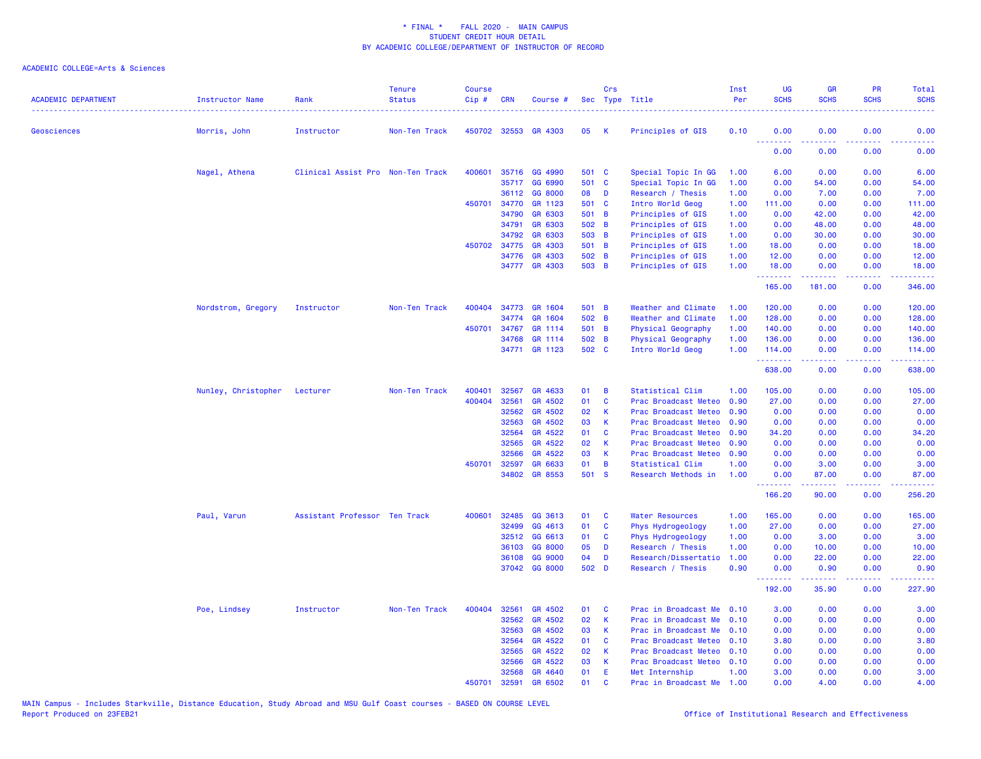| <b>ACADEMIC DEPARTMENT</b> | Instructor Name     | Rank<br>. <u>.</u>                | <b>Tenure</b><br><b>Status</b> | <b>Course</b><br>Cip# | <b>CRN</b>   | Course #       |       | Crs          | Sec Type Title            | Inst<br>Per | <b>UG</b><br><b>SCHS</b>   | <b>GR</b><br><b>SCHS</b>                                                                                                                                     | <b>PR</b><br><b>SCHS</b> | <b>Total</b><br><b>SCHS</b>                                                                                                                                  |
|----------------------------|---------------------|-----------------------------------|--------------------------------|-----------------------|--------------|----------------|-------|--------------|---------------------------|-------------|----------------------------|--------------------------------------------------------------------------------------------------------------------------------------------------------------|--------------------------|--------------------------------------------------------------------------------------------------------------------------------------------------------------|
| Geosciences                | Morris, John        | Instructor                        | Non-Ten Track                  |                       | 450702 32553 | <b>GR 4303</b> | 05    | K            | Principles of GIS         | 0.10        | 0.00                       | 0.00                                                                                                                                                         | 0.00                     | 0.00                                                                                                                                                         |
|                            |                     |                                   |                                |                       |              |                |       |              |                           |             | 0.00                       | 0.00                                                                                                                                                         | 0.00                     | 0.00                                                                                                                                                         |
|                            | Nagel, Athena       | Clinical Assist Pro Non-Ten Track |                                | 400601                | 35716        | GG 4990        | 501 C |              | Special Topic In GG       | 1.00        | 6.00                       | 0.00                                                                                                                                                         | 0.00                     | 6.00                                                                                                                                                         |
|                            |                     |                                   |                                |                       |              | 35717 GG 6990  | 501 C |              | Special Topic In GG       | 1.00        | 0.00                       | 54.00                                                                                                                                                        | 0.00                     | 54.00                                                                                                                                                        |
|                            |                     |                                   |                                |                       | 36112        | GG 8000        | 08    | D            | Research / Thesis         | 1.00        | 0.00                       | 7.00                                                                                                                                                         | 0.00                     | 7.00                                                                                                                                                         |
|                            |                     |                                   |                                |                       | 450701 34770 | GR 1123        | 501 C |              | Intro World Geog          | 1.00        | 111.00                     | 0.00                                                                                                                                                         | 0.00                     | 111.00                                                                                                                                                       |
|                            |                     |                                   |                                |                       | 34790        | GR 6303        | 501 B |              | Principles of GIS         | 1.00        | 0.00                       | 42.00                                                                                                                                                        | 0.00                     | 42.00                                                                                                                                                        |
|                            |                     |                                   |                                |                       | 34791        | GR 6303        | 502 B |              | Principles of GIS         | 1.00        | 0.00                       | 48.00                                                                                                                                                        | 0.00                     | 48.00                                                                                                                                                        |
|                            |                     |                                   |                                |                       | 34792        | GR 6303        | 503 B |              | Principles of GIS         | 1.00        | 0.00                       | 30.00                                                                                                                                                        | 0.00                     | 30.00                                                                                                                                                        |
|                            |                     |                                   |                                |                       | 450702 34775 | GR 4303        | 501 B |              | Principles of GIS         | 1.00        | 18.00                      | 0.00                                                                                                                                                         | 0.00                     | 18.00                                                                                                                                                        |
|                            |                     |                                   |                                |                       | 34776        | GR 4303        | 502 B |              | Principles of GIS         | 1.00        | 12.00                      | 0.00                                                                                                                                                         | 0.00                     | 12.00                                                                                                                                                        |
|                            |                     |                                   |                                |                       |              | 34777 GR 4303  | 503 B |              | Principles of GIS         | 1.00        | 18.00<br>.                 | 0.00<br>.                                                                                                                                                    | 0.00<br>.                | 18.00<br>.                                                                                                                                                   |
|                            |                     |                                   |                                |                       |              |                |       |              |                           |             | 165.00                     | 181.00                                                                                                                                                       | 0.00                     | 346.00                                                                                                                                                       |
|                            | Nordstrom, Gregory  | Instructor                        | Non-Ten Track                  | 400404                |              | 34773 GR 1604  | 501 B |              | Weather and Climate       | 1.00        | 120.00                     | 0.00                                                                                                                                                         | 0.00                     | 120.00                                                                                                                                                       |
|                            |                     |                                   |                                |                       | 34774        | GR 1604        | 502 B |              | Weather and Climate       | 1.00        | 128.00                     | 0.00                                                                                                                                                         | 0.00                     | 128.00                                                                                                                                                       |
|                            |                     |                                   |                                |                       | 450701 34767 | GR 1114        | 501 B |              | Physical Geography        | 1.00        | 140.00                     | 0.00                                                                                                                                                         | 0.00                     | 140.00                                                                                                                                                       |
|                            |                     |                                   |                                |                       | 34768        | GR 1114        | 502 B |              | Physical Geography        | 1.00        | 136.00                     | 0.00                                                                                                                                                         | 0.00                     | 136.00                                                                                                                                                       |
|                            |                     |                                   |                                |                       |              | 34771 GR 1123  | 502 C |              | Intro World Geog          | 1.00        | 114.00<br>المستملة المساري | 0.00<br>$\frac{1}{2} \left( \frac{1}{2} \right) \left( \frac{1}{2} \right) \left( \frac{1}{2} \right) \left( \frac{1}{2} \right) \left( \frac{1}{2} \right)$ | 0.00<br>.                | 114.00<br>د د د د د د د                                                                                                                                      |
|                            |                     |                                   |                                |                       |              |                |       |              |                           |             | 638.00                     | 0.00                                                                                                                                                         | 0.00                     | 638.00                                                                                                                                                       |
|                            | Nunley, Christopher | Lecturer                          | Non-Ten Track                  | 400401                | 32567        | GR 4633        | 01    | B            | Statistical Clim          | 1.00        | 105.00                     | 0.00                                                                                                                                                         | 0.00                     | 105.00                                                                                                                                                       |
|                            |                     |                                   |                                | 400404                | 32561        | GR 4502        | 01    | $\mathbf c$  | Prac Broadcast Meteo 0.90 |             | 27.00                      | 0.00                                                                                                                                                         | 0.00                     | 27.00                                                                                                                                                        |
|                            |                     |                                   |                                |                       | 32562        | GR 4502        | 02    | K            | Prac Broadcast Meteo      | 0.90        | 0.00                       | 0.00                                                                                                                                                         | 0.00                     | 0.00                                                                                                                                                         |
|                            |                     |                                   |                                |                       | 32563        | GR 4502        | 03    | K            | Prac Broadcast Meteo      | 0.90        | 0.00                       | 0.00                                                                                                                                                         | 0.00                     | 0.00                                                                                                                                                         |
|                            |                     |                                   |                                |                       | 32564        | GR 4522        | 01    | C            | Prac Broadcast Meteo      | 0.90        | 34.20                      | 0.00                                                                                                                                                         | 0.00                     | 34.20                                                                                                                                                        |
|                            |                     |                                   |                                |                       | 32565        | GR 4522        | 02    | К            | Prac Broadcast Meteo      | 0.90        | 0.00                       | 0.00                                                                                                                                                         | 0.00                     | 0.00                                                                                                                                                         |
|                            |                     |                                   |                                |                       | 32566        | GR 4522        | 03    | K            | Prac Broadcast Meteo      | 0.90        | 0.00                       | 0.00                                                                                                                                                         | 0.00                     | 0.00                                                                                                                                                         |
|                            |                     |                                   |                                | 450701 32597          |              | GR 6633        | 01    | B            | Statistical Clim          | 1.00        | 0.00                       | 3.00                                                                                                                                                         | 0.00                     | 3.00                                                                                                                                                         |
|                            |                     |                                   |                                |                       | 34802        | GR 8553        | 501 S |              | Research Methods in       | 1.00        | 0.00<br>.                  | 87.00<br>.                                                                                                                                                   | 0.00<br>.                | 87.00<br><u>.</u>                                                                                                                                            |
|                            |                     |                                   |                                |                       |              |                |       |              |                           |             | 166.20                     | 90.00                                                                                                                                                        | 0.00                     | 256.20                                                                                                                                                       |
|                            | Paul, Varun         | Assistant Professor Ten Track     |                                | 400601                | 32485        | GG 3613        | 01    | <b>C</b>     | <b>Water Resources</b>    | 1.00        | 165.00                     | 0.00                                                                                                                                                         | 0.00                     | 165.00                                                                                                                                                       |
|                            |                     |                                   |                                |                       | 32499        | GG 4613        | 01    | C            | Phys Hydrogeology         | 1.00        | 27.00                      | 0.00                                                                                                                                                         | 0.00                     | 27.00                                                                                                                                                        |
|                            |                     |                                   |                                |                       | 32512        | GG 6613        | 01    | C            | Phys Hydrogeology         | 1.00        | 0.00                       | 3.00                                                                                                                                                         | 0.00                     | 3.00                                                                                                                                                         |
|                            |                     |                                   |                                |                       | 36103        | GG 8000        | 05    | D            | Research / Thesis         | 1.00        | 0.00                       | 10.00                                                                                                                                                        | 0.00                     | 10.00                                                                                                                                                        |
|                            |                     |                                   |                                |                       | 36108        | GG 9000        | 04    | D            | Research/Dissertatio      | 1.00        | 0.00                       | 22.00                                                                                                                                                        | 0.00                     | 22.00                                                                                                                                                        |
|                            |                     |                                   |                                |                       |              | 37042 GG 8000  | 502 D |              | Research / Thesis         | 0.90        | 0.00<br>.                  | 0.90<br>$\frac{1}{2} \left( \frac{1}{2} \right) \left( \frac{1}{2} \right) \left( \frac{1}{2} \right) \left( \frac{1}{2} \right) \left( \frac{1}{2} \right)$ | 0.00                     | 0.90<br>$\frac{1}{2} \left( \frac{1}{2} \right) \left( \frac{1}{2} \right) \left( \frac{1}{2} \right) \left( \frac{1}{2} \right) \left( \frac{1}{2} \right)$ |
|                            |                     |                                   |                                |                       |              |                |       |              |                           |             | 192.00                     | 35.90                                                                                                                                                        | 0.00                     | 227.90                                                                                                                                                       |
|                            | Poe, Lindsey        | Instructor                        | Non-Ten Track                  | 400404                | 32561        | GR 4502        | 01    | C            | Prac in Broadcast Me      | 0.10        | 3.00                       | 0.00                                                                                                                                                         | 0.00                     | 3.00                                                                                                                                                         |
|                            |                     |                                   |                                |                       | 32562        | GR 4502        | 02    | К            | Prac in Broadcast Me      | 0.10        | 0.00                       | 0.00                                                                                                                                                         | 0.00                     | 0.00                                                                                                                                                         |
|                            |                     |                                   |                                |                       | 32563        | GR 4502        | 03    | К            | Prac in Broadcast Me      | 0.10        | 0.00                       | 0.00                                                                                                                                                         | 0.00                     | 0.00                                                                                                                                                         |
|                            |                     |                                   |                                |                       | 32564        | GR 4522        | 01    | <b>C</b>     | Prac Broadcast Meteo      | 0.10        | 3.80                       | 0.00                                                                                                                                                         | 0.00                     | 3.80                                                                                                                                                         |
|                            |                     |                                   |                                |                       | 32565        | GR 4522        | 02    | К            | Prac Broadcast Meteo 0.10 |             | 0.00                       | 0.00                                                                                                                                                         | 0.00                     | 0.00                                                                                                                                                         |
|                            |                     |                                   |                                |                       | 32566        | GR 4522        | 03    | К            | Prac Broadcast Meteo      | 0.10        | 0.00                       | 0.00                                                                                                                                                         | 0.00                     | 0.00                                                                                                                                                         |
|                            |                     |                                   |                                |                       | 32568        | GR 4640        | 01    | Æ            | Met Internship            | 1.00        | 3.00                       | 0.00                                                                                                                                                         | 0.00                     | 3.00                                                                                                                                                         |
|                            |                     |                                   |                                | 450701                | 32591        | GR 6502        | 01    | $\mathbf{C}$ | Prac in Broadcast Me      | 1.00        | 0.00                       | 4.00                                                                                                                                                         | 0.00                     | 4.00                                                                                                                                                         |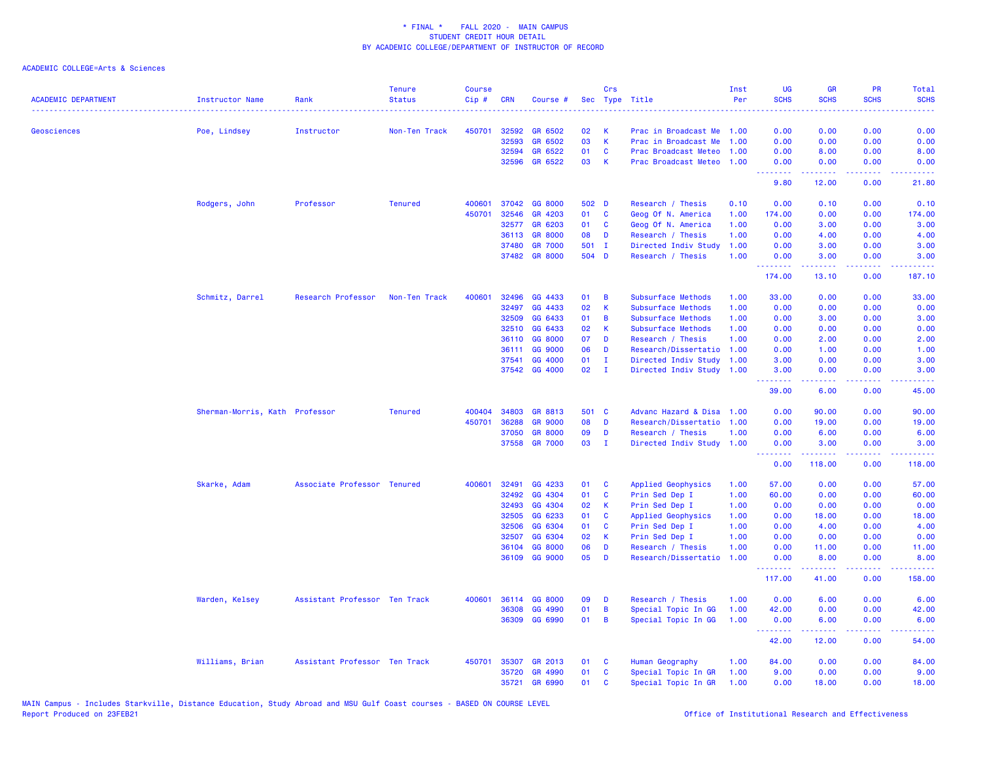| <b>ACADEMIC DEPARTMENT</b> | <b>Instructor Name</b>         | Rank                          | <b>Tenure</b><br><b>Status</b> | <b>Course</b><br>Cip# | <b>CRN</b> | Course #       | <b>Sec</b> | Crs          | Type Title                | Inst<br>Per | <b>UG</b><br><b>SCHS</b>                           | <b>GR</b><br><b>SCHS</b>                                                                                                                                     | PR<br><b>SCHS</b> | <b>Total</b><br><b>SCHS</b><br>.                                                                                                  |
|----------------------------|--------------------------------|-------------------------------|--------------------------------|-----------------------|------------|----------------|------------|--------------|---------------------------|-------------|----------------------------------------------------|--------------------------------------------------------------------------------------------------------------------------------------------------------------|-------------------|-----------------------------------------------------------------------------------------------------------------------------------|
| <b>Geosciences</b>         | Poe, Lindsey                   | Instructor                    | Non-Ten Track                  | 450701                | 32592      | GR 6502        | 02         | К            | Prac in Broadcast Me      | 1.00        | 0.00                                               | 0.00                                                                                                                                                         | 0.00              | 0.00                                                                                                                              |
|                            |                                |                               |                                |                       | 32593      | GR 6502        | 03         | $\mathsf K$  | Prac in Broadcast Me      | 1.00        | 0.00                                               | 0.00                                                                                                                                                         | 0.00              | 0.00                                                                                                                              |
|                            |                                |                               |                                |                       | 32594      | GR 6522        | 01         | C            | Prac Broadcast Meteo      | 1.00        | 0.00                                               | 8.00                                                                                                                                                         | 0.00              | 8.00                                                                                                                              |
|                            |                                |                               |                                |                       | 32596      | GR 6522        | 03         | K            | Prac Broadcast Meteo      | 1.00        | 0.00<br>$\omega$ is a $\omega$                     | 0.00                                                                                                                                                         | 0.00<br>.         | 0.00                                                                                                                              |
|                            |                                |                               |                                |                       |            |                |            |              |                           |             | 9.80                                               | 12.00                                                                                                                                                        | 0.00              | 21.80                                                                                                                             |
|                            | Rodgers, John                  | Professor                     | <b>Tenured</b>                 | 400601                | 37042      | GG 8000        | 502 D      |              | Research / Thesis         | 0.10        | 0.00                                               | 0.10                                                                                                                                                         | 0.00              | 0.10                                                                                                                              |
|                            |                                |                               |                                | 450701                | 32546      | GR 4203        | 01         | C            | Geog Of N. America        | 1.00        | 174.00                                             | 0.00                                                                                                                                                         | 0.00              | 174.00                                                                                                                            |
|                            |                                |                               |                                |                       | 32577      | GR 6203        | 01         | C            | Geog Of N. America        | 1.00        | 0.00                                               | 3.00                                                                                                                                                         | 0.00              | 3.00                                                                                                                              |
|                            |                                |                               |                                |                       | 36113      | <b>GR 8000</b> | 08         | D            | Research / Thesis         | 1.00        | 0.00                                               | 4.00                                                                                                                                                         | 0.00              | 4.00                                                                                                                              |
|                            |                                |                               |                                |                       | 37480      | <b>GR 7000</b> | 501 I      |              | Directed Indiv Study      | 1.00        | 0.00                                               | 3.00                                                                                                                                                         | 0.00              | 3.00                                                                                                                              |
|                            |                                |                               |                                |                       |            | 37482 GR 8000  | 504 D      |              | Research / Thesis         | 1.00        | 0.00<br>.                                          | 3.00<br>$\frac{1}{2} \left( \frac{1}{2} \right) \left( \frac{1}{2} \right) \left( \frac{1}{2} \right) \left( \frac{1}{2} \right) \left( \frac{1}{2} \right)$ | 0.00<br>د د د د   | 3.00<br>$\sim$ $\sim$ $\sim$ $\sim$                                                                                               |
|                            |                                |                               |                                |                       |            |                |            |              |                           |             | 174.00                                             | 13.10                                                                                                                                                        | 0.00              | 187.10                                                                                                                            |
|                            | Schmitz, Darrel                | Research Professor            | Non-Ten Track                  | 400601                | 32496      | GG 4433        | 01         | B            | Subsurface Methods        | 1.00        | 33.00                                              | 0.00                                                                                                                                                         | 0.00              | 33.00                                                                                                                             |
|                            |                                |                               |                                |                       | 32497      | GG 4433        | 02         | K            | Subsurface Methods        | 1.00        | 0.00                                               | 0.00                                                                                                                                                         | 0.00              | 0.00                                                                                                                              |
|                            |                                |                               |                                |                       | 32509      | GG 6433        | 01         | B            | Subsurface Methods        | 1.00        | 0.00                                               | 3.00                                                                                                                                                         | 0.00              | 3.00                                                                                                                              |
|                            |                                |                               |                                |                       | 32510      | GG 6433        | 02         | К            | Subsurface Methods        | 1.00        | 0.00                                               | 0.00                                                                                                                                                         | 0.00              | 0.00                                                                                                                              |
|                            |                                |                               |                                |                       | 36110      | GG 8000        | 07         | D            | Research / Thesis         | 1.00        | 0.00                                               | 2.00                                                                                                                                                         | 0.00              | 2.00                                                                                                                              |
|                            |                                |                               |                                |                       | 36111      | GG 9000        | 06         | D            | Research/Dissertatio      | 1.00        | 0.00                                               | 1.00                                                                                                                                                         | 0.00              | 1.00                                                                                                                              |
|                            |                                |                               |                                |                       | 37541      | GG 4000        | 01         | T            | Directed Indiv Study      | 1.00        | 3.00                                               | 0.00                                                                                                                                                         | 0.00              | 3.00                                                                                                                              |
|                            |                                |                               |                                |                       |            | 37542 GG 4000  | 02         | $\mathbf{I}$ | Directed Indiv Study      | 1.00        | 3.00<br><b><i><u><u> - - - - - - -</u></u></i></b> | 0.00<br>22222                                                                                                                                                | 0.00<br>د د د د   | 3.00<br>$\frac{1}{2} \left( \frac{1}{2} \right) \left( \frac{1}{2} \right) \left( \frac{1}{2} \right) \left( \frac{1}{2} \right)$ |
|                            |                                |                               |                                |                       |            |                |            |              |                           |             | 39.00                                              | 6.00                                                                                                                                                         | 0.00              | 45.00                                                                                                                             |
|                            | Sherman-Morris, Kath Professor |                               | <b>Tenured</b>                 | 400404                | 34803      | GR 8813        | 501 C      |              | Advanc Hazard & Disa      | 1.00        | 0.00                                               | 90.00                                                                                                                                                        | 0.00              | 90.00                                                                                                                             |
|                            |                                |                               |                                | 450701                | 36288      | <b>GR 9000</b> | 08         | D            | Research/Dissertatio      | 1.00        | 0.00                                               | 19.00                                                                                                                                                        | 0.00              | 19.00                                                                                                                             |
|                            |                                |                               |                                |                       | 37050      | <b>GR 8000</b> | 09         | D            | Research / Thesis         | 1.00        | 0.00                                               | 6.00                                                                                                                                                         | 0.00              | 6.00                                                                                                                              |
|                            |                                |                               |                                |                       |            | 37558 GR 7000  | 03         | $\mathbf{I}$ | Directed Indiv Study 1.00 |             | 0.00<br><u>.</u>                                   | 3.00<br>.                                                                                                                                                    | 0.00<br>.         | 3.00<br>.                                                                                                                         |
|                            |                                |                               |                                |                       |            |                |            |              |                           |             | 0.00                                               | 118.00                                                                                                                                                       | 0.00              | 118.00                                                                                                                            |
|                            | Skarke, Adam                   | Associate Professor Tenured   |                                | 400601                | 32491      | GG 4233        | 01         | C            | Applied Geophysics        | 1.00        | 57.00                                              | 0.00                                                                                                                                                         | 0.00              | 57.00                                                                                                                             |
|                            |                                |                               |                                |                       | 32492      | GG 4304        | 01         | <b>C</b>     | Prin Sed Dep I            | 1.00        | 60.00                                              | 0.00                                                                                                                                                         | 0.00              | 60.00                                                                                                                             |
|                            |                                |                               |                                |                       | 32493      | GG 4304        | 02         | K            | Prin Sed Dep I            | 1.00        | 0.00                                               | 0.00                                                                                                                                                         | 0.00              | 0.00                                                                                                                              |
|                            |                                |                               |                                |                       | 32505      | GG 6233        | 01         | C            | Applied Geophysics        | 1.00        | 0.00                                               | 18.00                                                                                                                                                        | 0.00              | 18.00                                                                                                                             |
|                            |                                |                               |                                |                       | 32506      | GG 6304        | 01         | C            | Prin Sed Dep I            | 1.00        | 0.00                                               | 4.00                                                                                                                                                         | 0.00              | 4.00                                                                                                                              |
|                            |                                |                               |                                |                       | 32507      | GG 6304        | 02         | K            | Prin Sed Dep I            | 1.00        | 0.00                                               | 0.00                                                                                                                                                         | 0.00              | 0.00                                                                                                                              |
|                            |                                |                               |                                |                       | 36104      | GG 8000        | 06         | D            | Research / Thesis         | 1.00        | 0.00                                               | 11.00                                                                                                                                                        | 0.00              | 11.00                                                                                                                             |
|                            |                                |                               |                                |                       | 36109      | GG 9000        | 05         | D            | Research/Dissertatio      | 1.00        | 0.00<br>.                                          | 8.00<br>بالأبادي                                                                                                                                             | 0.00<br>د د د د   | 8.00<br>وعاعاها                                                                                                                   |
|                            |                                |                               |                                |                       |            |                |            |              |                           |             | 117.00                                             | 41.00                                                                                                                                                        | 0.00              | 158.00                                                                                                                            |
|                            | Warden, Kelsey                 | Assistant Professor Ten Track |                                | 400601                | 36114      | GG 8000        | 09         | D            | Research / Thesis         | 1.00        | 0.00                                               | 6.00                                                                                                                                                         | 0.00              | 6.00                                                                                                                              |
|                            |                                |                               |                                |                       | 36308      | GG 4990        | 01         | B            | Special Topic In GG       | 1.00        | 42.00                                              | 0.00                                                                                                                                                         | 0.00              | 42.00                                                                                                                             |
|                            |                                |                               |                                |                       | 36309      | GG 6990        | 01         | B            | Special Topic In GG       | 1.00        | 0.00<br><b></b>                                    | 6.00                                                                                                                                                         | 0.00<br>والمحامر  | 6.00                                                                                                                              |
|                            |                                |                               |                                |                       |            |                |            |              |                           |             | 42.00                                              | 12.00                                                                                                                                                        | 0.00              | 54.00                                                                                                                             |
|                            | Williams, Brian                | Assistant Professor Ten Track |                                | 450701                | 35307      | GR 2013        | 01         | <b>C</b>     | Human Geography           | 1.00        | 84.00                                              | 0.00                                                                                                                                                         | 0.00              | 84.00                                                                                                                             |
|                            |                                |                               |                                |                       | 35720      | GR 4990        | 01         | C            | Special Topic In GR       | 1.00        | 9.00                                               | 0.00                                                                                                                                                         | 0.00              | 9.00                                                                                                                              |
|                            |                                |                               |                                |                       | 35721      | <b>GR 6990</b> | 01         | C            | Special Topic In GR       | 1.00        | 0.00                                               | 18.00                                                                                                                                                        | 0.00              | 18.00                                                                                                                             |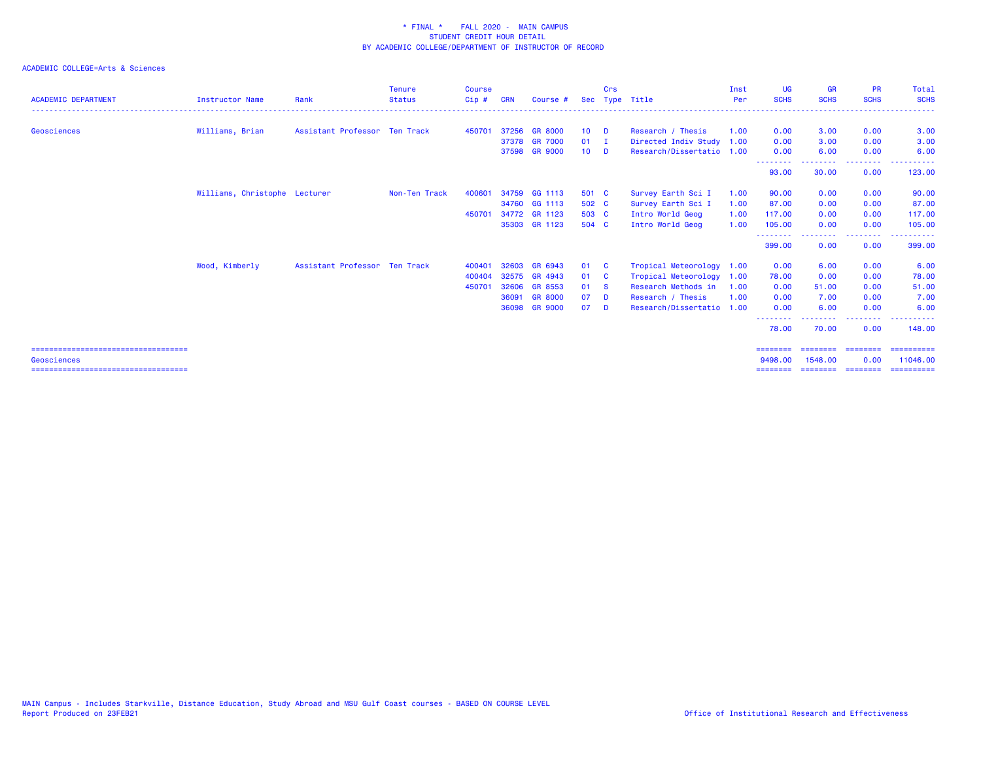| <b>ACADEMIC DEPARTMENT</b>             | <b>Instructor Name</b>        | Rank                          | <b>Tenure</b><br><b>Status</b> | <b>Course</b><br>Cip# | <b>CRN</b> | Course #       |                 | Crs      | Sec Type Title            | Inst<br>Per | <b>UG</b><br><b>SCHS</b> | <b>GR</b><br><b>SCHS</b> | <b>PR</b><br><b>SCHS</b>                                                                                                                                                                                                                                                                                                                                                                                                                                                               | Total<br><b>SCHS</b> |
|----------------------------------------|-------------------------------|-------------------------------|--------------------------------|-----------------------|------------|----------------|-----------------|----------|---------------------------|-------------|--------------------------|--------------------------|----------------------------------------------------------------------------------------------------------------------------------------------------------------------------------------------------------------------------------------------------------------------------------------------------------------------------------------------------------------------------------------------------------------------------------------------------------------------------------------|----------------------|
|                                        |                               |                               |                                |                       |            |                |                 |          |                           |             |                          |                          |                                                                                                                                                                                                                                                                                                                                                                                                                                                                                        |                      |
| Geosciences                            | Williams, Brian               | Assistant Professor Ten Track |                                | 450701                |            | 37256 GR 8000  | $10-10$         | <b>D</b> | Research / Thesis         | 1.00        | 0.00                     | 3.00                     | 0.00                                                                                                                                                                                                                                                                                                                                                                                                                                                                                   | 3.00                 |
|                                        |                               |                               |                                |                       |            | 37378 GR 7000  | $01 \quad I$    |          | Directed Indiv Study 1.00 |             | 0.00                     | 3.00                     | 0.00                                                                                                                                                                                                                                                                                                                                                                                                                                                                                   | 3.00                 |
|                                        |                               |                               |                                |                       |            | 37598 GR 9000  | 10 <sup>1</sup> | <b>D</b> | Research/Dissertatio 1.00 |             | 0.00<br>---------        | 6.00                     | 0.00<br>.                                                                                                                                                                                                                                                                                                                                                                                                                                                                              | 6.00                 |
|                                        |                               |                               |                                |                       |            |                |                 |          |                           |             | 93.00                    | 30.00                    | 0.00                                                                                                                                                                                                                                                                                                                                                                                                                                                                                   | 123.00               |
|                                        | Williams, Christophe Lecturer |                               | Non-Ten Track                  | 400601                |            | 34759 GG 1113  | 501 C           |          | Survey Earth Sci I        | 1.00        | 90.00                    | 0.00                     | 0.00                                                                                                                                                                                                                                                                                                                                                                                                                                                                                   | 90.00                |
|                                        |                               |                               |                                |                       |            | 34760 GG 1113  | 502 C           |          | Survey Earth Sci I        | 1.00        | 87.00                    | 0.00                     | 0.00                                                                                                                                                                                                                                                                                                                                                                                                                                                                                   | 87.00                |
|                                        |                               |                               |                                | 450701                |            | 34772 GR 1123  | 503 C           |          | Intro World Geog          | 1.00        | 117.00                   | 0.00                     | 0.00                                                                                                                                                                                                                                                                                                                                                                                                                                                                                   | 117.00               |
|                                        |                               |                               |                                |                       |            | 35303 GR 1123  | 504 C           |          | Intro World Geog          | 1.00        | 105.00                   | 0.00                     | 0.00                                                                                                                                                                                                                                                                                                                                                                                                                                                                                   | 105.00               |
|                                        |                               |                               |                                |                       |            |                |                 |          |                           |             | 399.00                   | 0.00                     | .<br>0.00                                                                                                                                                                                                                                                                                                                                                                                                                                                                              | .<br>399.00          |
|                                        | Wood, Kimberly                | Assistant Professor Ten Track |                                | 400401                | 32603      | GR 6943        | 01              | <b>C</b> | Tropical Meteorology 1.00 |             | 0.00                     | 6.00                     | 0.00                                                                                                                                                                                                                                                                                                                                                                                                                                                                                   | 6.00                 |
|                                        |                               |                               |                                | 400404                |            | 32575 GR 4943  | 01              | <b>C</b> | Tropical Meteorology      | 1.00        | 78.00                    | 0.00                     | 0.00                                                                                                                                                                                                                                                                                                                                                                                                                                                                                   | 78.00                |
|                                        |                               |                               |                                | 450701                | 32606      | <b>GR 8553</b> | 01 S            |          | Research Methods in       | 1.00        | 0.00                     | 51.00                    | 0.00                                                                                                                                                                                                                                                                                                                                                                                                                                                                                   | 51.00                |
|                                        |                               |                               |                                |                       | 36091      | <b>GR 8000</b> | 07              | <b>D</b> | Research / Thesis         | 1.00        | 0.00                     | 7.00                     | 0.00                                                                                                                                                                                                                                                                                                                                                                                                                                                                                   | 7.00                 |
|                                        |                               |                               |                                |                       | 36098      | <b>GR 9000</b> | 07              | <b>D</b> | Research/Dissertatio 1.00 |             | 0.00                     | 6.00                     | 0.00                                                                                                                                                                                                                                                                                                                                                                                                                                                                                   | 6.00                 |
|                                        |                               |                               |                                |                       |            |                |                 |          |                           |             | ---------<br>78.00       | . <u>.</u><br>70.00      | $\frac{1}{2} \left( \frac{1}{2} \right) \left( \frac{1}{2} \right) \left( \frac{1}{2} \right) \left( \frac{1}{2} \right) \left( \frac{1}{2} \right)$<br>0.00                                                                                                                                                                                                                                                                                                                           | 148.00               |
| ====================================== |                               |                               |                                |                       |            |                |                 |          |                           |             | $=$ = = = = = = =        | ========                 | ========                                                                                                                                                                                                                                                                                                                                                                                                                                                                               | ==========           |
| Geosciences                            |                               |                               |                                |                       |            |                |                 |          |                           |             | 9498.00                  | 1548.00                  | 0.00                                                                                                                                                                                                                                                                                                                                                                                                                                                                                   | 11046.00             |
| ====================================   |                               |                               |                                |                       |            |                |                 |          |                           |             | ========                 | ========                 | $\begin{array}{cccccccccc} \multicolumn{2}{c}{} & \multicolumn{2}{c}{} & \multicolumn{2}{c}{} & \multicolumn{2}{c}{} & \multicolumn{2}{c}{} & \multicolumn{2}{c}{} & \multicolumn{2}{c}{} & \multicolumn{2}{c}{} & \multicolumn{2}{c}{} & \multicolumn{2}{c}{} & \multicolumn{2}{c}{} & \multicolumn{2}{c}{} & \multicolumn{2}{c}{} & \multicolumn{2}{c}{} & \multicolumn{2}{c}{} & \multicolumn{2}{c}{} & \multicolumn{2}{c}{} & \multicolumn{2}{c}{} & \multicolumn{2}{c}{} & \mult$ | ==========           |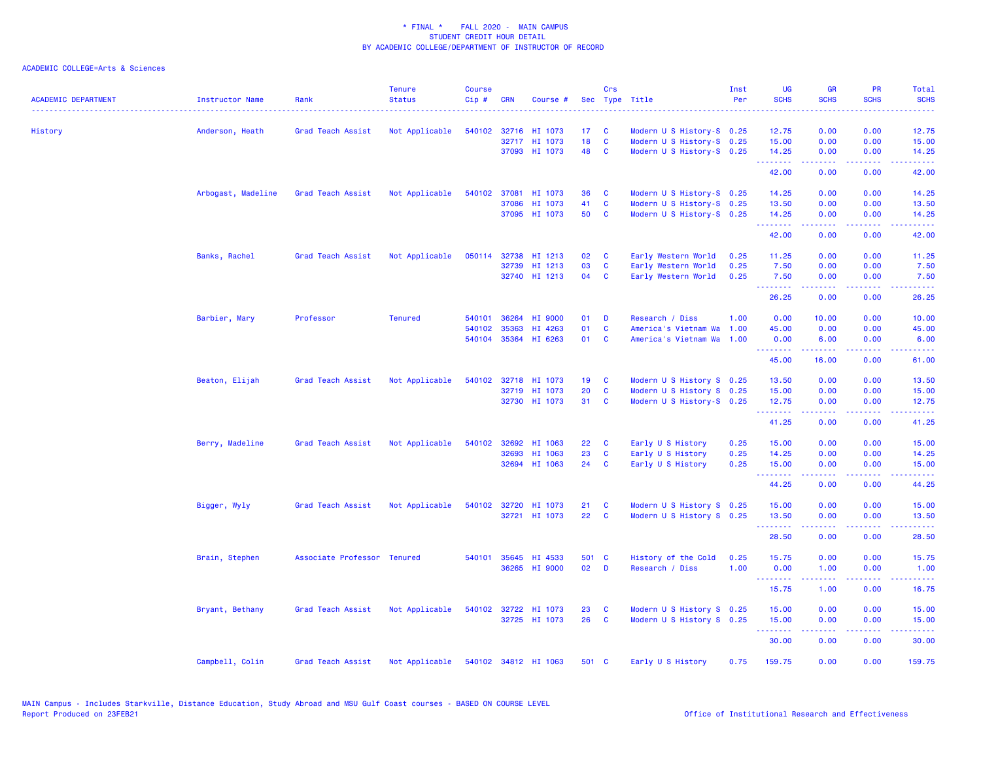| <b>ACADEMIC DEPARTMENT</b> | Instructor Name    | Rank                        | <b>Tenure</b><br><b>Status</b>      | <b>Course</b><br>Cip# | <b>CRN</b>   | Course #             |                 | Crs                     | Sec Type Title            | Inst<br>Per | <b>UG</b><br><b>SCHS</b> | <b>GR</b><br><b>SCHS</b>                                                                                                                                     | <b>PR</b><br><b>SCHS</b> | Total<br><b>SCHS</b><br>. |
|----------------------------|--------------------|-----------------------------|-------------------------------------|-----------------------|--------------|----------------------|-----------------|-------------------------|---------------------------|-------------|--------------------------|--------------------------------------------------------------------------------------------------------------------------------------------------------------|--------------------------|---------------------------|
| History                    | Anderson, Heath    | Grad Teach Assist           | Not Applicable                      |                       |              | 540102 32716 HI 1073 | 17 <sub>1</sub> | $\mathbf{C}$            | Modern U S History-S 0.25 |             | 12.75                    | 0.00                                                                                                                                                         | 0.00                     | 12.75                     |
|                            |                    |                             |                                     |                       |              | 32717 HI 1073        | 18              | $\mathbf{C}$            | Modern U S History-S 0.25 |             | 15.00                    | 0.00                                                                                                                                                         | 0.00                     | 15.00                     |
|                            |                    |                             |                                     |                       |              | 37093 HI 1073        | 48              | $\mathbf{C}$            | Modern U S History-S 0.25 |             | 14.25<br>.               | 0.00<br>$\frac{1}{2} \left( \frac{1}{2} \right) \left( \frac{1}{2} \right) \left( \frac{1}{2} \right) \left( \frac{1}{2} \right) \left( \frac{1}{2} \right)$ | 0.00<br>.                | 14.25<br>.                |
|                            |                    |                             |                                     |                       |              |                      |                 |                         |                           |             | 42.00                    | 0.00                                                                                                                                                         | 0.00                     | 42.00                     |
|                            | Arbogast, Madeline | Grad Teach Assist           | Not Applicable                      |                       |              | 540102 37081 HI 1073 | 36              | C                       | Modern U S History-S 0.25 |             | 14.25                    | 0.00                                                                                                                                                         | 0.00                     | 14.25                     |
|                            |                    |                             |                                     |                       | 37086        | HI 1073              | 41              | C                       | Modern U S History-S 0.25 |             | 13.50                    | 0.00                                                                                                                                                         | 0.00                     | 13.50                     |
|                            |                    |                             |                                     |                       |              | 37095 HI 1073        | 50              | $\mathbf{C}$            | Modern U S History-S 0.25 |             | 14.25<br>.               | 0.00<br>$\frac{1}{2} \left( \frac{1}{2} \right) \left( \frac{1}{2} \right) \left( \frac{1}{2} \right) \left( \frac{1}{2} \right) \left( \frac{1}{2} \right)$ | 0.00<br>.                | 14.25<br>.                |
|                            |                    |                             |                                     |                       |              |                      |                 |                         |                           |             | 42.00                    | 0.00                                                                                                                                                         | 0.00                     | 42.00                     |
|                            | Banks, Rachel      | Grad Teach Assist           | Not Applicable                      |                       | 050114 32738 | HI 1213              | 02              | <b>C</b>                | Early Western World       | 0.25        | 11.25                    | 0.00                                                                                                                                                         | 0.00                     | 11.25                     |
|                            |                    |                             |                                     |                       | 32739        | HI 1213              | 03              | $\mathbf c$             | Early Western World       | 0.25        | 7.50                     | 0.00                                                                                                                                                         | 0.00                     | 7.50                      |
|                            |                    |                             |                                     |                       |              | 32740 HI 1213        | 04              | <b>C</b>                | Early Western World       | 0.25        | 7.50<br><u>.</u> .       | 0.00<br>.                                                                                                                                                    | 0.00<br>. <b>.</b>       | 7.50<br>.                 |
|                            |                    |                             |                                     |                       |              |                      |                 |                         |                           |             | 26.25                    | 0.00                                                                                                                                                         | 0.00                     | 26.25                     |
|                            | Barbier, Mary      | Professor                   | <b>Tenured</b>                      |                       | 540101 36264 | HI 9000              | 01              | D                       | Research / Diss           | 1.00        | 0.00                     | 10.00                                                                                                                                                        | 0.00                     | 10.00                     |
|                            |                    |                             |                                     |                       | 540102 35363 | HI 4263              | 01              | C                       | America's Vietnam Wa      | 1.00        | 45.00                    | 0.00                                                                                                                                                         | 0.00                     | 45.00                     |
|                            |                    |                             |                                     |                       |              | 540104 35364 HI 6263 | 01              | <b>C</b>                | America's Vietnam Wa      | 1.00        | 0.00<br>.                | 6.00<br>.                                                                                                                                                    | 0.00<br>. <b>.</b>       | 6.00<br>.                 |
|                            |                    |                             |                                     |                       |              |                      |                 |                         |                           |             | 45.00                    | 16.00                                                                                                                                                        | 0.00                     | 61.00                     |
|                            | Beaton, Elijah     | Grad Teach Assist           | Not Applicable                      |                       |              | 540102 32718 HI 1073 | 19              | <b>C</b>                | Modern U S History S 0.25 |             | 13.50                    | 0.00                                                                                                                                                         | 0.00                     | 13.50                     |
|                            |                    |                             |                                     |                       |              | 32719 HI 1073        | 20              | C                       | Modern U S History S 0.25 |             | 15.00                    | 0.00                                                                                                                                                         | 0.00                     | 15.00                     |
|                            |                    |                             |                                     |                       |              | 32730 HI 1073        | 31              | $\mathbf{C}$            | Modern U S History-S 0.25 |             | 12.75<br>.               | 0.00<br>.                                                                                                                                                    | 0.00<br>2.2.2.2.2        | 12.75                     |
|                            |                    |                             |                                     |                       |              |                      |                 |                         |                           |             | 41.25                    | 0.00                                                                                                                                                         | 0.00                     | 41.25                     |
|                            | Berry, Madeline    | Grad Teach Assist           | Not Applicable                      |                       | 540102 32692 | HI 1063              | 22              | <b>C</b>                | Early U S History         | 0.25        | 15.00                    | 0.00                                                                                                                                                         | 0.00                     | 15.00                     |
|                            |                    |                             |                                     |                       | 32693        | HI 1063              | 23              | C                       | Early U S History         | 0.25        | 14.25                    | 0.00                                                                                                                                                         | 0.00                     | 14.25                     |
|                            |                    |                             |                                     |                       |              | 32694 HI 1063        | 24              | C                       | Early U S History         | 0.25        | 15.00<br>.               | 0.00<br>$\mathbf{1} \cdot \mathbf{1} \cdot \mathbf{1} \cdot \mathbf{1} \cdot \mathbf{1}$                                                                     | 0.00<br>.                | 15.00<br>.                |
|                            |                    |                             |                                     |                       |              |                      |                 |                         |                           |             | 44.25                    | 0.00                                                                                                                                                         | 0.00                     | 44.25                     |
|                            | Bigger, Wyly       | Grad Teach Assist           | Not Applicable                      |                       |              | 540102 32720 HI 1073 | 21              | <b>C</b>                | Modern U S History S 0.25 |             | 15.00                    | 0.00                                                                                                                                                         | 0.00                     | 15.00                     |
|                            |                    |                             |                                     |                       |              | 32721 HI 1073        | 22              | <b>C</b>                | Modern U S History S 0.25 |             | 13.50                    | 0.00                                                                                                                                                         | 0.00                     | 13.50                     |
|                            |                    |                             |                                     |                       |              |                      |                 |                         |                           |             | .<br>28.50               | .<br>0.00                                                                                                                                                    | . <b>.</b><br>0.00       | .<br>28.50                |
|                            | Brain, Stephen     | Associate Professor Tenured |                                     |                       |              | 540101 35645 HI 4533 | 501 C           |                         | History of the Cold       | 0.25        | 15.75                    | 0.00                                                                                                                                                         | 0.00                     | 15.75                     |
|                            |                    |                             |                                     |                       |              | 36265 HI 9000        | 02              | D                       | Research / Diss           | 1.00        | 0.00                     | 1.00                                                                                                                                                         | 0.00                     | 1.00                      |
|                            |                    |                             |                                     |                       |              |                      |                 |                         |                           |             | .                        | 22222                                                                                                                                                        | .                        | .                         |
|                            |                    |                             |                                     |                       |              |                      |                 |                         |                           |             | 15.75                    | 1.00                                                                                                                                                         | 0.00                     | 16.75                     |
|                            | Bryant, Bethany    | Grad Teach Assist           | Not Applicable                      |                       |              | 540102 32722 HI 1073 | 23              | <b>C</b>                | Modern U S History S 0.25 |             | 15.00                    | 0.00                                                                                                                                                         | 0.00                     | 15.00                     |
|                            |                    |                             |                                     |                       |              | 32725 HI 1073        | 26              | $\overline{\mathbf{C}}$ | Modern U S History S 0.25 |             | 15.00<br>.               | 0.00<br>.                                                                                                                                                    | 0.00<br>2.2.2.2.2        | 15.00<br><b></b>          |
|                            |                    |                             |                                     |                       |              |                      |                 |                         |                           |             | 30.00                    | 0.00                                                                                                                                                         | 0.00                     | 30.00                     |
|                            | Campbell, Colin    | Grad Teach Assist           | Not Applicable 540102 34812 HI 1063 |                       |              |                      | 501 C           |                         | Early U S History         | 0.75        | 159.75                   | 0.00                                                                                                                                                         | 0.00                     | 159.75                    |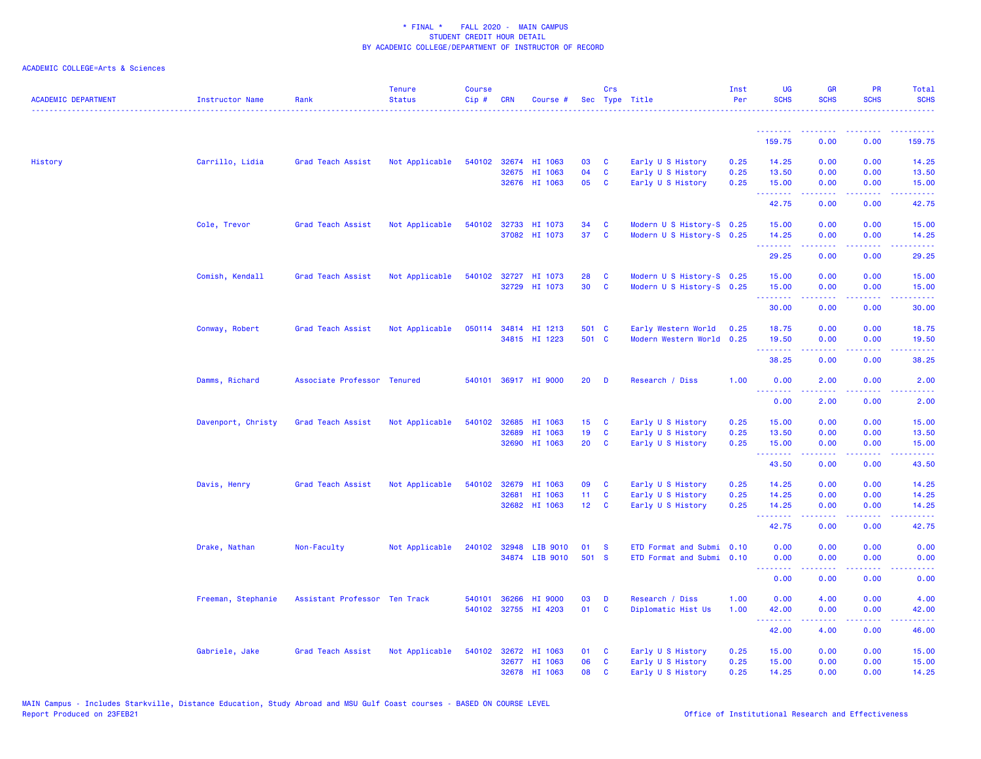| <b>ACADEMIC DEPARTMENT</b> | Instructor Name    | Rank                          | <b>Tenure</b><br><b>Status</b> | <b>Course</b><br>$Cip \#$ | <b>CRN</b>   | Course #             |                  | Crs          | Sec Type Title            | Inst<br>Per | <b>UG</b><br><b>SCHS</b> | <b>GR</b><br><b>SCHS</b>                                                                                                                                     | <b>PR</b><br><b>SCHS</b>                                                                                                          | <b>Total</b><br><b>SCHS</b> |
|----------------------------|--------------------|-------------------------------|--------------------------------|---------------------------|--------------|----------------------|------------------|--------------|---------------------------|-------------|--------------------------|--------------------------------------------------------------------------------------------------------------------------------------------------------------|-----------------------------------------------------------------------------------------------------------------------------------|-----------------------------|
|                            |                    |                               |                                |                           |              |                      |                  |              |                           |             | <u>.</u>                 |                                                                                                                                                              |                                                                                                                                   |                             |
|                            |                    |                               |                                |                           |              |                      |                  |              |                           |             | 159.75                   | 0.00                                                                                                                                                         | 0.00                                                                                                                              | 159.75                      |
| History                    | Carrillo, Lidia    | Grad Teach Assist             | Not Applicable                 |                           |              | 540102 32674 HI 1063 | 03               | <b>C</b>     | Early U S History         | 0.25        | 14.25                    | 0.00                                                                                                                                                         | 0.00                                                                                                                              | 14.25                       |
|                            |                    |                               |                                |                           | 32675        | HI 1063              | 04               | $\mathbf{C}$ | Early U S History         | 0.25        | 13.50                    | 0.00                                                                                                                                                         | 0.00                                                                                                                              | 13.50                       |
|                            |                    |                               |                                |                           |              | 32676 HI 1063        | 05               | <b>C</b>     | Early U S History         | 0.25        | 15.00<br>.               | 0.00                                                                                                                                                         | 0.00                                                                                                                              | 15.00                       |
|                            |                    |                               |                                |                           |              |                      |                  |              |                           |             | 42.75                    | 0.00                                                                                                                                                         | 0.00                                                                                                                              | 42.75                       |
|                            | Cole, Trevor       | Grad Teach Assist             | Not Applicable                 |                           | 540102 32733 | HI 1073              | 34               | C            | Modern U S History-S 0.25 |             | 15.00                    | 0.00                                                                                                                                                         | 0.00                                                                                                                              | 15.00                       |
|                            |                    |                               |                                |                           |              | 37082 HI 1073        | 37               | $\mathbf{C}$ | Modern U S History-S 0.25 |             | 14.25                    | 0.00                                                                                                                                                         | 0.00                                                                                                                              | 14.25                       |
|                            |                    |                               |                                |                           |              |                      |                  |              |                           |             | .<br>29.25               | $\frac{1}{2} \left( \frac{1}{2} \right) \left( \frac{1}{2} \right) \left( \frac{1}{2} \right) \left( \frac{1}{2} \right) \left( \frac{1}{2} \right)$<br>0.00 | .<br>0.00                                                                                                                         | .<br>29.25                  |
|                            | Comish, Kendall    | Grad Teach Assist             | Not Applicable                 | 540102                    | 32727        | HI 1073              | 28               | C            | Modern U S History-S 0.25 |             | 15.00                    | 0.00                                                                                                                                                         | 0.00                                                                                                                              | 15.00                       |
|                            |                    |                               |                                |                           |              | 32729 HI 1073        | 30               | <b>C</b>     | Modern U S History-S 0.25 |             | 15.00<br>.               | 0.00                                                                                                                                                         | 0.00                                                                                                                              | 15.00                       |
|                            |                    |                               |                                |                           |              |                      |                  |              |                           |             | 30.00                    | .<br>0.00                                                                                                                                                    | 0.00                                                                                                                              | 30.00                       |
|                            | Conway, Robert     | Grad Teach Assist             | Not Applicable                 |                           |              | 050114 34814 HI 1213 | 501 C            |              | Early Western World       | 0.25        | 18.75                    | 0.00                                                                                                                                                         | 0.00                                                                                                                              | 18.75                       |
|                            |                    |                               |                                |                           |              | 34815 HI 1223        | 501 C            |              | Modern Western World 0.25 |             | 19.50                    | 0.00                                                                                                                                                         | 0.00                                                                                                                              | 19.50                       |
|                            |                    |                               |                                |                           |              |                      |                  |              |                           |             | <u>.</u><br>38.25        | .<br>0.00                                                                                                                                                    | .<br>0.00                                                                                                                         | .<br>38.25                  |
|                            | Damms, Richard     | Associate Professor Tenured   |                                |                           |              | 540101 36917 HI 9000 | 20               | D            | Research / Diss           | 1.00        | 0.00                     | 2.00                                                                                                                                                         | 0.00                                                                                                                              | 2.00                        |
|                            |                    |                               |                                |                           |              |                      |                  |              |                           |             | .<br>0.00                | .<br>2.00                                                                                                                                                    | $\frac{1}{2} \left( \frac{1}{2} \right) \left( \frac{1}{2} \right) \left( \frac{1}{2} \right) \left( \frac{1}{2} \right)$<br>0.00 | .<br>2.00                   |
|                            | Davenport, Christy | Grad Teach Assist             | Not Applicable                 |                           | 540102 32685 | HI 1063              | 15 <sub>15</sub> | $\mathbf{C}$ | Early U S History         | 0.25        | 15.00                    | 0.00                                                                                                                                                         | 0.00                                                                                                                              | 15.00                       |
|                            |                    |                               |                                |                           | 32689        | HI 1063              | 19               | $\mathbf{C}$ | Early U S History         | 0.25        | 13.50                    | 0.00                                                                                                                                                         | 0.00                                                                                                                              | 13.50                       |
|                            |                    |                               |                                |                           | 32690        | HI 1063              | 20               | $\mathbf{C}$ | Early U S History         | 0.25        | 15.00<br>.               | 0.00<br>بالمستمال                                                                                                                                            | 0.00<br>الأنابات                                                                                                                  | 15.00<br>.                  |
|                            |                    |                               |                                |                           |              |                      |                  |              |                           |             | 43.50                    | 0.00                                                                                                                                                         | 0.00                                                                                                                              | 43.50                       |
|                            | Davis, Henry       | Grad Teach Assist             | Not Applicable                 | 540102                    | 32679        | HI 1063              | 09               | <b>C</b>     | Early U S History         | 0.25        | 14.25                    | 0.00                                                                                                                                                         | 0.00                                                                                                                              | 14.25                       |
|                            |                    |                               |                                |                           | 32681        | HI 1063              | 11 <sub>1</sub>  | $\mathbf{C}$ | Early U S History         | 0.25        | 14.25                    | 0.00                                                                                                                                                         | 0.00                                                                                                                              | 14.25                       |
|                            |                    |                               |                                |                           |              | 32682 HI 1063        | $12 \quad C$     |              | Early U S History         | 0.25        | 14.25<br>.               | 0.00                                                                                                                                                         | 0.00<br>المتحدث                                                                                                                   | 14.25                       |
|                            |                    |                               |                                |                           |              |                      |                  |              |                           |             | 42.75                    | 0.00                                                                                                                                                         | 0.00                                                                                                                              | 42.75                       |
|                            | Drake, Nathan      | Non-Faculty                   | Not Applicable                 |                           | 240102 32948 | LIB 9010             | 01               | <b>S</b>     | ETD Format and Submi 0.10 |             | 0.00                     | 0.00                                                                                                                                                         | 0.00                                                                                                                              | 0.00                        |
|                            |                    |                               |                                |                           |              | 34874 LIB 9010       | 501 S            |              | ETD Format and Submi 0.10 |             | 0.00<br>.                | 0.00                                                                                                                                                         | 0.00                                                                                                                              | 0.00                        |
|                            |                    |                               |                                |                           |              |                      |                  |              |                           |             | 0.00                     | 0.00                                                                                                                                                         | 0.00                                                                                                                              | 0.00                        |
|                            | Freeman, Stephanie | Assistant Professor Ten Track |                                |                           | 540101 36266 | HI 9000              | 03               | D            | Research / Diss           | 1.00        | 0.00                     | 4.00                                                                                                                                                         | 0.00                                                                                                                              | 4.00                        |
|                            |                    |                               |                                |                           |              | 540102 32755 HI 4203 | 01               | <b>C</b>     | Diplomatic Hist Us        | 1.00        | 42.00<br>.               | 0.00<br>$\frac{1}{2} \left( \frac{1}{2} \right) \left( \frac{1}{2} \right) \left( \frac{1}{2} \right) \left( \frac{1}{2} \right) \left( \frac{1}{2} \right)$ | 0.00<br>.                                                                                                                         | 42.00<br>.                  |
|                            |                    |                               |                                |                           |              |                      |                  |              |                           |             | 42.00                    | 4.00                                                                                                                                                         | 0.00                                                                                                                              | 46.00                       |
|                            | Gabriele, Jake     | Grad Teach Assist             | Not Applicable                 | 540102                    | 32672        | HI 1063              | 01               | C            | Early U S History         | 0.25        | 15.00                    | 0.00                                                                                                                                                         | 0.00                                                                                                                              | 15.00                       |
|                            |                    |                               |                                |                           |              | 32677 HI 1063        | 06               | $\mathbf{C}$ | Early U S History         | 0.25        | 15.00                    | 0.00                                                                                                                                                         | 0.00                                                                                                                              | 15.00                       |
|                            |                    |                               |                                |                           |              | 32678 HI 1063        | 08               | <b>C</b>     | Early U S History         | 0.25        | 14.25                    | 0.00                                                                                                                                                         | 0.00                                                                                                                              | 14.25                       |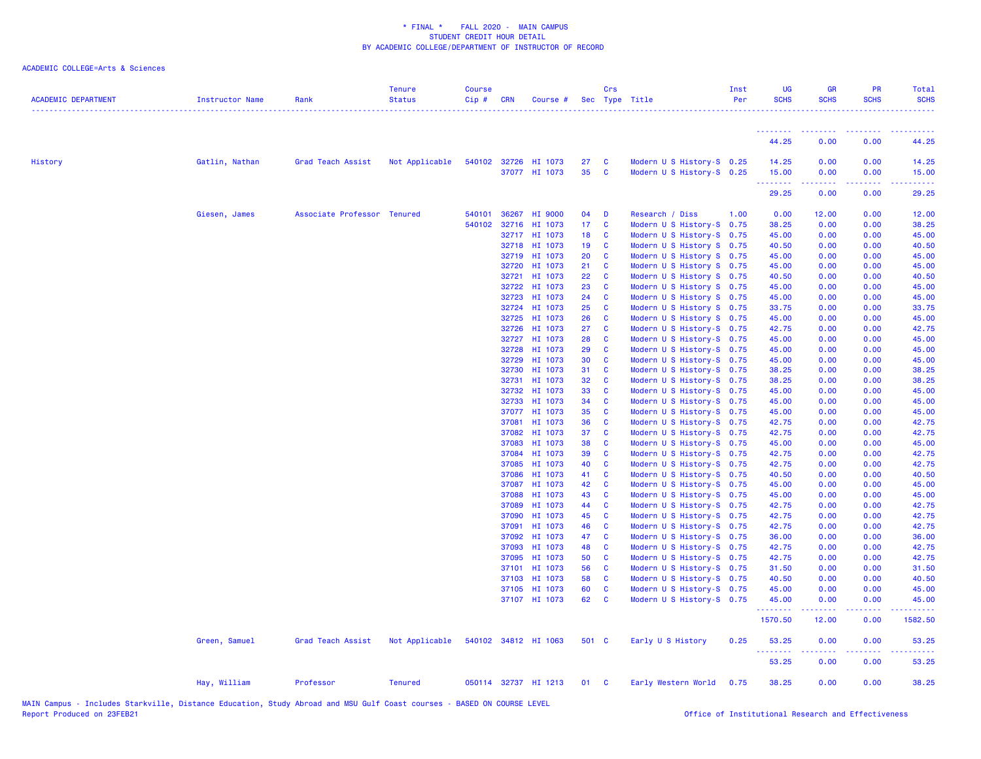| <b>ACADEMIC DEPARTMENT</b> | <b>Instructor Name</b> | Rank                        | <b>Tenure</b><br><b>Status</b> | <b>Course</b><br>Cip# | <b>CRN</b>     | Course #                              |            | Crs                                     | Sec Type Title                                         | Inst<br>Per | UG<br><b>SCHS</b>          | <b>GR</b><br><b>SCHS</b> | <b>PR</b><br><b>SCHS</b>      | Total<br><b>SCHS</b>        |
|----------------------------|------------------------|-----------------------------|--------------------------------|-----------------------|----------------|---------------------------------------|------------|-----------------------------------------|--------------------------------------------------------|-------------|----------------------------|--------------------------|-------------------------------|-----------------------------|
|                            |                        |                             |                                |                       |                |                                       |            |                                         |                                                        |             | <u> - - - - - - - -</u>    | . <b>.</b> .             | <b><i><u>AAAAAAAA</u></i></b> | <u> - - - - - - - - - -</u> |
|                            |                        |                             |                                |                       |                |                                       |            |                                         |                                                        |             | 44.25                      | 0.00                     | 0.00                          | 44.25                       |
| History                    | Gatlin, Nathan         | Grad Teach Assist           | Not Applicable                 |                       |                | 540102 32726 HI 1073<br>37077 HI 1073 | 27<br>35   | $\mathbf{C}$<br>$\mathbf{C}$            | Modern U S History-S 0.25<br>Modern U S History-S 0.25 |             | 14.25<br>15.00<br><u>.</u> | 0.00<br>0.00<br>.        | 0.00<br>0.00                  | 14.25<br>15.00<br>.         |
|                            |                        |                             |                                |                       |                |                                       |            |                                         |                                                        |             | 29.25                      | 0.00                     | 0.00                          | 29.25                       |
|                            | Giesen, James          | Associate Professor Tenured |                                | 540101                | 36267          | HI 9000                               | 04         | $\blacksquare$                          | Research / Diss                                        | 1.00        | 0.00                       | 12.00                    | 0.00                          | 12.00                       |
|                            |                        |                             |                                |                       | 540102 32716   | HI 1073                               | 17 C       |                                         | Modern U S History-S 0.75                              |             | 38.25                      | 0.00                     | 0.00                          | 38.25                       |
|                            |                        |                             |                                |                       |                | 32717 HI 1073                         | 18 C       |                                         | Modern U S History-S 0.75                              |             | 45.00                      | 0.00                     | 0.00                          | 45.00                       |
|                            |                        |                             |                                |                       | 32718          | HI 1073                               | 19         | $\mathbf{C}$                            | Modern U S History S 0.75                              |             | 40.50                      | 0.00                     | 0.00                          | 40.50                       |
|                            |                        |                             |                                |                       | 32719          | HI 1073                               | 20         | <b>C</b>                                | Modern U S History S 0.75                              |             | 45.00                      | 0.00                     | 0.00                          | 45.00                       |
|                            |                        |                             |                                |                       | 32720          | HI 1073                               | 21 C       |                                         | Modern U S History S 0.75                              |             | 45.00                      | 0.00                     | 0.00                          | 45.00                       |
|                            |                        |                             |                                |                       | 32721          | HI 1073                               | 22         | $\mathbf{C}$                            | Modern U S History S 0.75                              |             | 40.50                      | 0.00                     | 0.00                          | 40.50                       |
|                            |                        |                             |                                |                       | 32722<br>32723 | HI 1073<br>HI 1073                    | 23<br>24 C | $\mathbf{C}$                            | Modern U S History S 0.75<br>Modern U S History S 0.75 |             | 45.00<br>45.00             | 0.00<br>0.00             | 0.00<br>0.00                  | 45.00<br>45.00              |
|                            |                        |                             |                                |                       | 32724          | HI 1073                               | 25         | $\mathbf{C}$                            | Modern U S History S 0.75                              |             | 33.75                      | 0.00                     | 0.00                          | 33.75                       |
|                            |                        |                             |                                |                       | 32725          | HI 1073                               | 26         | $\mathbf{C}$                            | Modern U S History S 0.75                              |             | 45.00                      | 0.00                     | 0.00                          | 45.00                       |
|                            |                        |                             |                                |                       | 32726          | HI 1073                               | 27         | $\mathbf{C}$                            | Modern U S History-S 0.75                              |             | 42.75                      | 0.00                     | 0.00                          | 42.75                       |
|                            |                        |                             |                                |                       |                | 32727 HI 1073                         | 28         | $\mathbf{C}$                            | Modern U S History-S 0.75                              |             | 45.00                      | 0.00                     | 0.00                          | 45.00                       |
|                            |                        |                             |                                |                       | 32728          | HI 1073                               | 29         | $\mathbf{C}$                            | Modern U S History-S 0.75                              |             | 45.00                      | 0.00                     | 0.00                          | 45.00                       |
|                            |                        |                             |                                |                       | 32729          | HI 1073                               | 30         | $\mathbf{C}$                            | Modern U S History-S 0.75                              |             | 45.00                      | 0.00                     | 0.00                          | 45.00                       |
|                            |                        |                             |                                |                       | 32730          | HI 1073                               | 31         | $\mathbf{C}$                            | Modern U S History-S 0.75                              |             | 38.25                      | 0.00                     | 0.00                          | 38.25                       |
|                            |                        |                             |                                |                       | 32731          | HI 1073                               | 32 C       |                                         | Modern U S History-S 0.75                              |             | 38.25                      | 0.00                     | 0.00                          | 38.25                       |
|                            |                        |                             |                                |                       | 32732          | HI 1073                               | 33         | $\mathbf{C}$                            | Modern U S History-S 0.75                              |             | 45.00                      | 0.00                     | 0.00                          | 45.00                       |
|                            |                        |                             |                                |                       | 32733          | HI 1073                               | 34<br>35   | $\mathbf{C}$<br>$\mathbf{C}$            | Modern U S History-S 0.75                              |             | 45.00                      | 0.00<br>0.00             | 0.00                          | 45.00                       |
|                            |                        |                             |                                |                       | 37077<br>37081 | HI 1073<br>HI 1073                    | 36         | $\mathbf{C}$                            | Modern U S History-S 0.75<br>Modern U S History-S 0.75 |             | 45.00<br>42.75             | 0.00                     | 0.00<br>0.00                  | 45.00<br>42.75              |
|                            |                        |                             |                                |                       | 37082          | HI 1073                               | 37         | $\mathbf{C}$                            | Modern U S History-S 0.75                              |             | 42.75                      | 0.00                     | 0.00                          | 42.75                       |
|                            |                        |                             |                                |                       | 37083          | HI 1073                               | 38         | $\mathbf{C}$                            | Modern U S History-S 0.75                              |             | 45.00                      | 0.00                     | 0.00                          | 45.00                       |
|                            |                        |                             |                                |                       | 37084          | HI 1073                               | 39         | $\mathbf{C}$                            | Modern U S History-S 0.75                              |             | 42.75                      | 0.00                     | 0.00                          | 42.75                       |
|                            |                        |                             |                                |                       | 37085          | HI 1073                               | 40         | $\mathbf{C}$                            | Modern U S History-S 0.75                              |             | 42.75                      | 0.00                     | 0.00                          | 42.75                       |
|                            |                        |                             |                                |                       | 37086          | HI 1073                               | 41         | $\mathbf{C}$                            | Modern U S History-S 0.75                              |             | 40.50                      | 0.00                     | 0.00                          | 40.50                       |
|                            |                        |                             |                                |                       | 37087          | HI 1073                               | 42         | $\mathbf{C}$                            | Modern U S History-S 0.75                              |             | 45.00                      | 0.00                     | 0.00                          | 45.00                       |
|                            |                        |                             |                                |                       | 37088          | HI 1073                               | 43 C       |                                         | Modern U S History-S 0.75                              |             | 45.00                      | 0.00                     | 0.00                          | 45.00                       |
|                            |                        |                             |                                |                       | 37089          | HI 1073                               | 44 C       |                                         | Modern U S History-S 0.75                              |             | 42.75                      | 0.00                     | 0.00                          | 42.75                       |
|                            |                        |                             |                                |                       | 37090          | HI 1073                               | 45         | $\mathbf{C}$                            | Modern U S History-S 0.75                              |             | 42.75                      | 0.00                     | 0.00                          | 42.75                       |
|                            |                        |                             |                                |                       | 37091          | HI 1073                               | 46         | $\mathbf{C}$                            | Modern U S History-S 0.75                              |             | 42.75                      | 0.00                     | 0.00                          | 42.75                       |
|                            |                        |                             |                                |                       | 37092<br>37093 | HI 1073<br>HI 1073                    | 47<br>48   | $\overline{\mathbf{C}}$<br>$\mathbf{C}$ | Modern U S History-S 0.75<br>Modern U S History-S 0.75 |             | 36.00<br>42.75             | 0.00<br>0.00             | 0.00<br>0.00                  | 36.00<br>42.75              |
|                            |                        |                             |                                |                       | 37095          | HI 1073                               | 50         | $\mathbf{C}$                            | Modern U S History-S 0.75                              |             | 42.75                      | 0.00                     | 0.00                          | 42.75                       |
|                            |                        |                             |                                |                       | 37101          | HI 1073                               | 56         | $\mathbf{C}$                            | Modern U S History-S 0.75                              |             | 31.50                      | 0.00                     | 0.00                          | 31.50                       |
|                            |                        |                             |                                |                       | 37103          | HI 1073                               | 58         | $\mathbf{C}$                            | Modern U S History-S 0.75                              |             | 40.50                      | 0.00                     | 0.00                          | 40.50                       |
|                            |                        |                             |                                |                       | 37105          | HI 1073                               | 60         | $\mathbf{C}$                            | Modern U S History-S 0.75                              |             | 45.00                      | 0.00                     | 0.00                          | 45.00                       |
|                            |                        |                             |                                |                       |                | 37107 HI 1073                         | 62 C       |                                         | Modern U S History-S 0.75                              |             | 45.00<br>.                 | 0.00<br>.                | 0.00<br>.                     | 45.00                       |
|                            |                        |                             |                                |                       |                |                                       |            |                                         |                                                        |             | 1570.50                    | 12.00                    | 0.00                          | 1582.50                     |
|                            | Green, Samuel          | Grad Teach Assist           | Not Applicable                 |                       |                | 540102 34812 HI 1063                  | 501 C      |                                         | Early U S History                                      | 0.25        | 53.25<br>.                 | 0.00<br>.                | 0.00<br>-----                 | 53.25<br><b>.</b>           |
|                            |                        |                             |                                |                       |                |                                       |            |                                         |                                                        |             | 53.25                      | 0.00                     | 0.00                          | 53.25                       |
|                            | Hay, William           | Professor                   | <b>Tenured</b>                 |                       |                | 050114 32737 HI 1213                  | 01 C       |                                         | Early Western World                                    | 0.75        | 38.25                      | 0.00                     | 0.00                          | 38.25                       |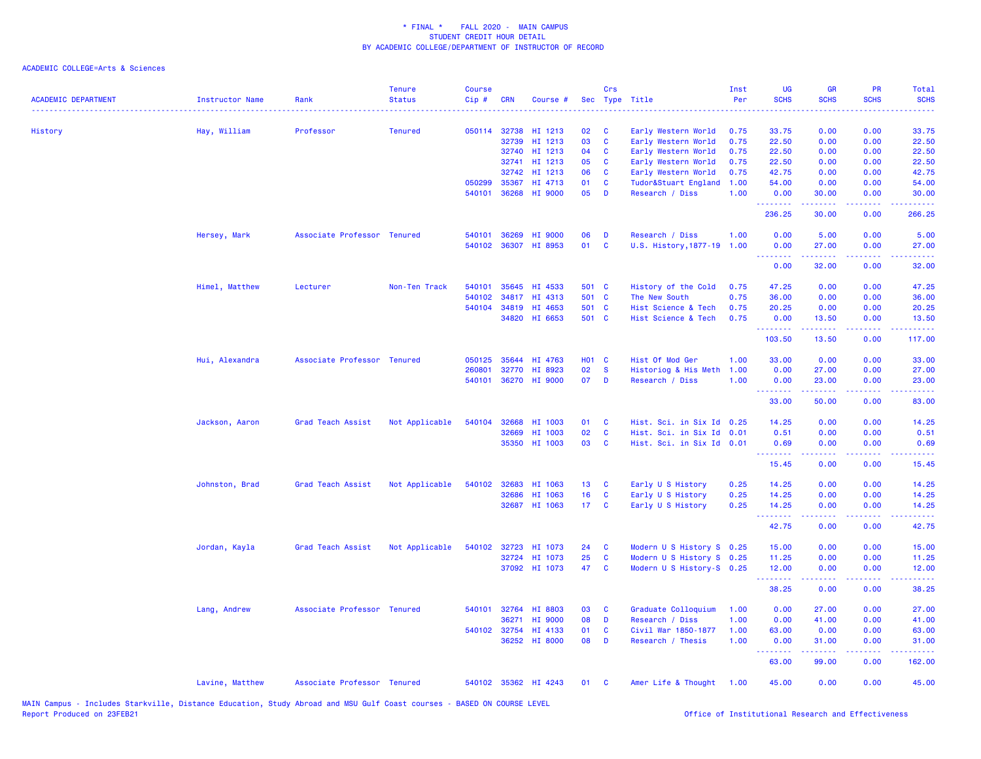| <b>ACADEMIC DEPARTMENT</b> | Instructor Name | Rank                        | Tenure<br><b>Status</b> | <b>Course</b><br>Cip# | <b>CRN</b>   | Course #             |                 | Crs          | Sec Type Title            | Inst<br>Per | <b>UG</b><br><b>SCHS</b>                                                                                                       | <b>GR</b><br><b>SCHS</b> | PR<br><b>SCHS</b> | Total<br><b>SCHS</b><br>$\sim 100$ km s $^{-1}$ |
|----------------------------|-----------------|-----------------------------|-------------------------|-----------------------|--------------|----------------------|-----------------|--------------|---------------------------|-------------|--------------------------------------------------------------------------------------------------------------------------------|--------------------------|-------------------|-------------------------------------------------|
| History                    | Hay, William    | Professor                   | <b>Tenured</b>          |                       | 050114 32738 | HI 1213              | 02              | C            | Early Western World       | 0.75        | 33.75                                                                                                                          | 0.00                     | 0.00              | 33.75                                           |
|                            |                 |                             |                         |                       | 32739        | HI 1213              | 03              | C            | Early Western World       | 0.75        | 22.50                                                                                                                          | 0.00                     | 0.00              | 22.50                                           |
|                            |                 |                             |                         |                       | 32740        | HI 1213              | 04              | C            | Early Western World       | 0.75        | 22.50                                                                                                                          | 0.00                     | 0.00              | 22.50                                           |
|                            |                 |                             |                         |                       | 32741        | HI 1213              | 05              | C            | Early Western World       | 0.75        | 22.50                                                                                                                          | 0.00                     | 0.00              | 22.50                                           |
|                            |                 |                             |                         |                       | 32742        | HI 1213              | 06              | C            | Early Western World       | 0.75        | 42.75                                                                                                                          | 0.00                     | 0.00              | 42.75                                           |
|                            |                 |                             |                         | 050299                | 35367        | HI 4713              | 01              | C            | Tudor&Stuart England      | 1.00        | 54.00                                                                                                                          | 0.00                     | 0.00              | 54.00                                           |
|                            |                 |                             |                         | 540101                | 36268        | HI 9000              | 05              | D            | Research / Diss           | 1.00        | 0.00<br>.                                                                                                                      | 30.00<br>.               | 0.00<br>.         | 30.00<br>.                                      |
|                            |                 |                             |                         |                       |              |                      |                 |              |                           |             | 236.25                                                                                                                         | 30.00                    | 0.00              | 266.25                                          |
|                            | Hersey, Mark    | Associate Professor Tenured |                         | 540101                | 36269        | HI 9000              | 06              | D            | Research / Diss           | 1.00        | 0.00                                                                                                                           | 5.00                     | 0.00              | 5.00                                            |
|                            |                 |                             |                         |                       | 540102 36307 | HI 8953              | 01              | <b>C</b>     | U.S. History, 1877-19     | 1.00        | 0.00<br>.                                                                                                                      | 27.00                    | 0.00              | 27.00                                           |
|                            |                 |                             |                         |                       |              |                      |                 |              |                           |             | 0.00                                                                                                                           | 32.00                    | 0.00              | 32.00                                           |
|                            | Himel, Matthew  | Lecturer                    | Non-Ten Track           | 540101                |              | 35645 HI 4533        | 501 C           |              | History of the Cold       | 0.75        | 47.25                                                                                                                          | 0.00                     | 0.00              | 47.25                                           |
|                            |                 |                             |                         | 540102                | 34817        | HI 4313              | 501 C           |              | The New South             | 0.75        | 36.00                                                                                                                          | 0.00                     | 0.00              | 36.00                                           |
|                            |                 |                             |                         |                       | 540104 34819 | HI 4653              | 501 C           |              | Hist Science & Tech       | 0.75        | 20.25                                                                                                                          | 0.00                     | 0.00              | 20.25                                           |
|                            |                 |                             |                         |                       |              | 34820 HI 6653        | 501 C           |              | Hist Science & Tech       | 0.75        | 0.00<br>.                                                                                                                      | 13.50<br>د د د د د       | 0.00<br>د د د د   | 13.50<br>.                                      |
|                            |                 |                             |                         |                       |              |                      |                 |              |                           |             | 103.50                                                                                                                         | 13.50                    | 0.00              | 117.00                                          |
|                            | Hui, Alexandra  | Associate Professor Tenured |                         | 050125                | 35644        | HI 4763              | <b>HO1 C</b>    |              | Hist Of Mod Ger           | 1.00        | 33.00                                                                                                                          | 0.00                     | 0.00              | 33.00                                           |
|                            |                 |                             |                         | 260801                | 32770        | HI 8923              | 02              | <b>S</b>     | Historiog & His Meth      | 1.00        | 0.00                                                                                                                           | 27.00                    | 0.00              | 27.00                                           |
|                            |                 |                             |                         |                       |              | 540101 36270 HI 9000 | 07              | $\mathbf{D}$ | Research / Diss           | 1.00        | 0.00<br><u> - - - - - - - -</u>                                                                                                | 23.00<br>د د د د د       | 0.00<br>.         | 23.00<br>.                                      |
|                            |                 |                             |                         |                       |              |                      |                 |              |                           |             | 33.00                                                                                                                          | 50.00                    | 0.00              | 83.00                                           |
|                            | Jackson, Aaron  | Grad Teach Assist           | Not Applicable          | 540104                | 32668        | HI 1003              | 01              | - C          | Hist. Sci. in Six Id 0.25 |             | 14.25                                                                                                                          | 0.00                     | 0.00              | 14.25                                           |
|                            |                 |                             |                         |                       | 32669        | HI 1003              | 02              | C            | Hist. Sci. in Six Id 0.01 |             | 0.51                                                                                                                           | 0.00                     | 0.00              | 0.51                                            |
|                            |                 |                             |                         |                       | 35350        | HI 1003              | 03              | C            | Hist. Sci. in Six Id 0.01 |             | 0.69                                                                                                                           | 0.00                     | 0.00              | 0.69                                            |
|                            |                 |                             |                         |                       |              |                      |                 |              |                           |             | <u>.</u><br>15.45                                                                                                              | 0.00                     | 0.00              | 15.45                                           |
|                            | Johnston, Brad  | Grad Teach Assist           | Not Applicable          |                       | 540102 32683 | HI 1063              | 13 <sub>1</sub> | C            | Early U S History         | 0.25        | 14.25                                                                                                                          | 0.00                     | 0.00              | 14.25                                           |
|                            |                 |                             |                         |                       | 32686        | HI 1063              | 16              | C            | Early U S History         | 0.25        | 14.25                                                                                                                          | 0.00                     | 0.00              | 14.25                                           |
|                            |                 |                             |                         |                       | 32687        | HI 1063              | 17 <sub>1</sub> | $\mathbf{C}$ | Early U S History         | 0.25        | 14.25<br>.                                                                                                                     | 0.00<br>22222            | 0.00<br>.         | 14.25<br>.                                      |
|                            |                 |                             |                         |                       |              |                      |                 |              |                           |             | 42.75                                                                                                                          | 0.00                     | 0.00              | 42.75                                           |
|                            | Jordan, Kayla   | Grad Teach Assist           | Not Applicable          | 540102                | 32723        | HI 1073              | 24              | C            | Modern U S History S 0.25 |             | 15.00                                                                                                                          | 0.00                     | 0.00              | 15.00                                           |
|                            |                 |                             |                         |                       | 32724        | HI 1073              | 25              | C            | Modern U S History S 0.25 |             | 11.25                                                                                                                          | 0.00                     | 0.00              | 11.25                                           |
|                            |                 |                             |                         |                       |              | 37092 HI 1073        | 47              | C            | Modern U S History-S 0.25 |             | 12.00<br>$\begin{array}{cccccccccc} \bullet & \bullet & \bullet & \bullet & \bullet & \bullet & \bullet & \bullet \end{array}$ | 0.00                     | 0.00<br>د د د د   | 12.00<br>.                                      |
|                            |                 |                             |                         |                       |              |                      |                 |              |                           |             | 38.25                                                                                                                          | 0.00                     | 0.00              | 38.25                                           |
|                            | Lang, Andrew    | Associate Professor Tenured |                         | 540101                | 32764        | HI 8803              | 03              | C            | Graduate Colloquium       | 1.00        | 0.00                                                                                                                           | 27.00                    | 0.00              | 27.00                                           |
|                            |                 |                             |                         |                       | 36271        | HI 9000              | 08              | D            | Research / Diss           | 1.00        | 0.00                                                                                                                           | 41.00                    | 0.00              | 41.00                                           |
|                            |                 |                             |                         |                       | 540102 32754 | HI 4133              | 01              | C            | Civil War 1850-1877       | 1.00        | 63.00                                                                                                                          | 0.00                     | 0.00              | 63.00                                           |
|                            |                 |                             |                         |                       |              | 36252 HI 8000        | 08              | D            | Research / Thesis         | 1.00        | 0.00<br><u> - - - - - - - -</u>                                                                                                | 31.00<br>$- - - - -$     | 0.00<br>.         | 31.00<br>.                                      |
|                            |                 |                             |                         |                       |              |                      |                 |              |                           |             | 63.00                                                                                                                          | 99.00                    | 0.00              | 162.00                                          |
|                            | Lavine, Matthew | Associate Professor Tenured |                         |                       |              | 540102 35362 HI 4243 | 01              | C            | Amer Life & Thought       | 1.00        | 45.00                                                                                                                          | 0.00                     | 0.00              | 45.00                                           |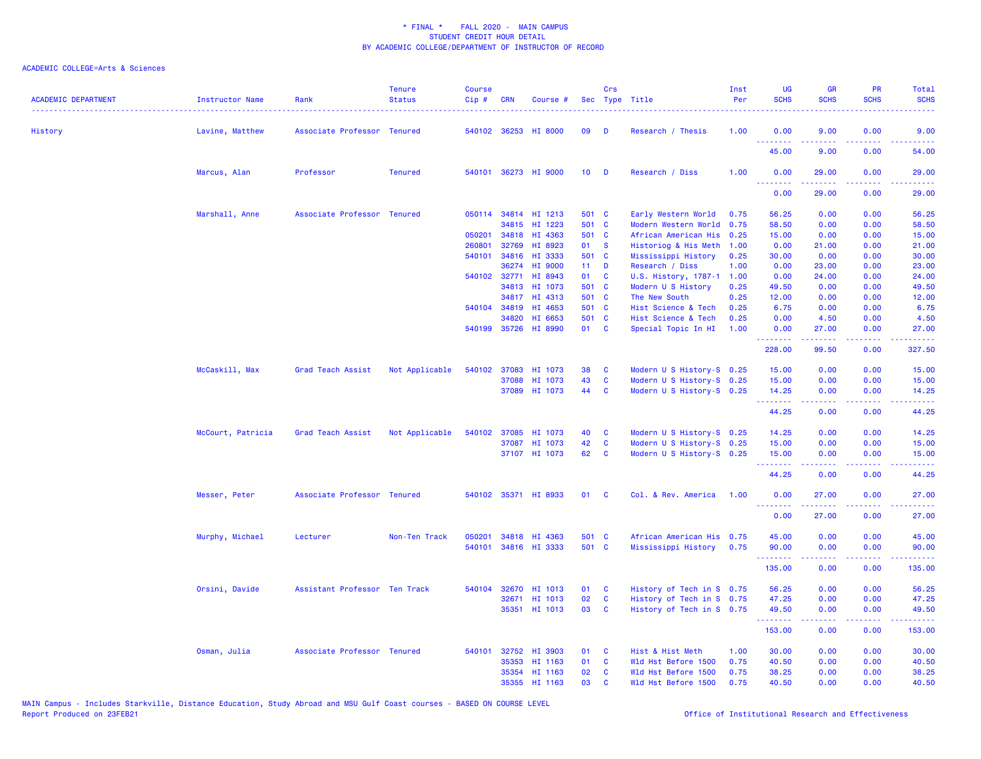| <b>ACADEMIC DEPARTMENT</b> | Instructor Name   | Rank                          | <b>Tenure</b><br><b>Status</b> | <b>Course</b><br>Cip# | <b>CRN</b> | Course #             |                 | <b>Crs</b>   | Sec Type Title            | Inst<br>Per | <b>UG</b><br><b>SCHS</b>                                   | <b>GR</b><br><b>SCHS</b> | PR<br><b>SCHS</b> | <b>Total</b><br><b>SCHS</b><br>. |
|----------------------------|-------------------|-------------------------------|--------------------------------|-----------------------|------------|----------------------|-----------------|--------------|---------------------------|-------------|------------------------------------------------------------|--------------------------|-------------------|----------------------------------|
| History                    | Lavine, Matthew   | Associate Professor Tenured   |                                |                       |            | 540102 36253 HI 8000 | 09              | <b>D</b>     | Research / Thesis         | 1.00        | 0.00<br><u> - - - - - - - -</u>                            | 9.00                     | 0.00              | 9.00                             |
|                            |                   |                               |                                |                       |            |                      |                 |              |                           |             | 45.00                                                      | 9.00                     | 0.00              | 54.00                            |
|                            | Marcus, Alan      | Professor                     | <b>Tenured</b>                 |                       |            | 540101 36273 HI 9000 | 10 <sub>1</sub> | D            | Research / Diss           | 1.00        | 0.00<br>.                                                  | 29.00                    | 0.00              | 29.00<br>.                       |
|                            |                   |                               |                                |                       |            |                      |                 |              |                           |             | 0.00                                                       | 29.00                    | 0.00              | 29.00                            |
|                            | Marshall, Anne    | Associate Professor Tenured   |                                |                       |            | 050114 34814 HI 1213 | 501 C           |              | Early Western World       | 0.75        | 56.25                                                      | 0.00                     | 0.00              | 56.25                            |
|                            |                   |                               |                                |                       |            | 34815 HI 1223        | 501 C           |              | Modern Western World 0.75 |             | 58.50                                                      | 0.00                     | 0.00              | 58.50                            |
|                            |                   |                               |                                | 050201                |            | 34818 HI 4363        | 501 C           |              | African American His      | 0.25        | 15.00                                                      | 0.00                     | 0.00              | 15.00                            |
|                            |                   |                               |                                | 260801                | 32769      | HI 8923              | 01              | <b>S</b>     | Historiog & His Meth 1.00 |             | 0.00                                                       | 21.00                    | 0.00              | 21.00                            |
|                            |                   |                               |                                |                       |            | 540101 34816 HI 3333 | 501 C           |              | Mississippi History       | 0.25        | 30.00                                                      | 0.00                     | 0.00              | 30.00                            |
|                            |                   |                               |                                |                       | 36274      | HI 9000              | 11 <sub>1</sub> | D            | Research / Diss           | 1.00        | 0.00                                                       | 23.00                    | 0.00              | 23.00                            |
|                            |                   |                               |                                | 540102                | 32771      | HI 8943              | 01              | C            | U.S. History, 1787-1      | 1.00        | 0.00                                                       | 24.00                    | 0.00              | 24.00                            |
|                            |                   |                               |                                |                       |            | 34813 HI 1073        | 501 C           |              | Modern U S History        | 0.25        | 49.50                                                      | 0.00                     | 0.00              | 49.50                            |
|                            |                   |                               |                                |                       |            | 34817 HI 4313        | 501 C           |              | The New South             | 0.25        | 12.00                                                      | 0.00                     | 0.00              | 12.00                            |
|                            |                   |                               |                                | 540104                | 34819      | HI 4653              | 501 C           |              | Hist Science & Tech       | 0.25        | 6.75                                                       | 0.00                     | 0.00              | 6.75                             |
|                            |                   |                               |                                |                       | 34820      | HI 6653              | 501 C           |              | Hist Science & Tech       | 0.25        | 0.00                                                       | 4.50                     | 0.00              | 4.50                             |
|                            |                   |                               |                                |                       |            | 540199 35726 HI 8990 | 01 C            |              | Special Topic In HI       | 1.00        | 0.00<br><b><i><u><u><b>a</b></u></u> a a a a a a a</i></b> | 27.00<br><u>.</u>        | 0.00<br>22222     | 27.00<br>.                       |
|                            |                   |                               |                                |                       |            |                      |                 |              |                           |             | 228.00                                                     | 99.50                    | 0.00              | 327.50                           |
|                            | McCaskill, Max    | Grad Teach Assist             | Not Applicable                 | 540102                |            | 37083 HI 1073        | 38              | C            | Modern U S History-S 0.25 |             | 15.00                                                      | 0.00                     | 0.00              | 15.00                            |
|                            |                   |                               |                                |                       | 37088      | HI 1073              | 43              | C            | Modern U S History-S 0.25 |             | 15.00                                                      | 0.00                     | 0.00              | 15.00                            |
|                            |                   |                               |                                |                       |            | 37089 HI 1073        | 44              | C            | Modern U S History-S 0.25 |             | 14.25<br><b><i><u><u><b>a</b></u></u> a a a a a a</i></b>  | 0.00<br>.                | 0.00<br>.         | 14.25<br>.                       |
|                            |                   |                               |                                |                       |            |                      |                 |              |                           |             | 44.25                                                      | 0.00                     | 0.00              | 44.25                            |
|                            | McCourt, Patricia | Grad Teach Assist             | Not Applicable                 |                       |            | 540102 37085 HI 1073 | 40              | C            | Modern U S History-S 0.25 |             | 14.25                                                      | 0.00                     | 0.00              | 14.25                            |
|                            |                   |                               |                                |                       |            | 37087 HI 1073        | 42              | C            | Modern U S History-S 0.25 |             | 15.00                                                      | 0.00                     | 0.00              | 15.00                            |
|                            |                   |                               |                                |                       |            | 37107 HI 1073        | 62              | C            | Modern U S History-S 0.25 |             | 15.00<br><b><i><u><u><b>Little Little</b></u></u></i></b>  | 0.00<br>.                | 0.00<br>22222     | 15.00<br>.                       |
|                            |                   |                               |                                |                       |            |                      |                 |              |                           |             | 44.25                                                      | 0.00                     | 0.00              | 44.25                            |
|                            | Messer, Peter     | Associate Professor Tenured   |                                |                       |            | 540102 35371 HI 8933 | 01              | C            | Col. & Rev. America       | 1.00        | 0.00<br>.                                                  | 27.00<br>د د د د د       | 0.00<br>د د د د   | 27.00<br>.                       |
|                            |                   |                               |                                |                       |            |                      |                 |              |                           |             | 0.00                                                       | 27.00                    | 0.00              | 27.00                            |
|                            | Murphy, Michael   | Lecturer                      | Non-Ten Track                  | 050201                |            | 34818 HI 4363        | 501 C           |              | African American His 0.75 |             | 45.00                                                      | 0.00                     | 0.00              | 45.00                            |
|                            |                   |                               |                                | 540101                |            | 34816 HI 3333        | 501 C           |              | Mississippi History       | 0.75        | 90.00                                                      | 0.00                     | 0.00              | 90.00                            |
|                            |                   |                               |                                |                       |            |                      |                 |              |                           |             | .<br>135.00                                                | 22222<br>0.00            | .<br>0.00         | .<br>135.00                      |
|                            | Orsini, Davide    | Assistant Professor Ten Track |                                | 540104                | 32670      | HI 1013              | 01              | <b>C</b>     | History of Tech in S 0.75 |             | 56.25                                                      | 0.00                     | 0.00              | 56.25                            |
|                            |                   |                               |                                |                       |            | 32671 HI 1013        | 02              | C            | History of Tech in S 0.75 |             | 47.25                                                      | 0.00                     | 0.00              | 47.25                            |
|                            |                   |                               |                                |                       |            | 35351 HI 1013        | 03              | <b>C</b>     | History of Tech in S 0.75 |             | 49.50                                                      | 0.00                     | 0.00              | 49.50                            |
|                            |                   |                               |                                |                       |            |                      |                 |              |                           |             | .<br>153.00                                                | 22222<br>0.00            | .<br>0.00         | .<br>153.00                      |
|                            | Osman, Julia      | Associate Professor Tenured   |                                | 540101                |            | 32752 HI 3903        | 01              | C            | Hist & Hist Meth          | 1.00        | 30.00                                                      | 0.00                     | 0.00              | 30.00                            |
|                            |                   |                               |                                |                       | 35353      | HI 1163              | 01              | C            | Wld Hst Before 1500       | 0.75        | 40.50                                                      | 0.00                     | 0.00              | 40.50                            |
|                            |                   |                               |                                |                       |            | 35354 HI 1163        | 02              | <b>C</b>     | Wld Hst Before 1500       | 0.75        | 38.25                                                      | 0.00                     | 0.00              | 38.25                            |
|                            |                   |                               |                                |                       |            | 35355 HI 1163        | 03              | $\mathbf{C}$ | Wld Hst Before 1500       | 0.75        | 40.50                                                      | 0.00                     | 0.00              | 40.50                            |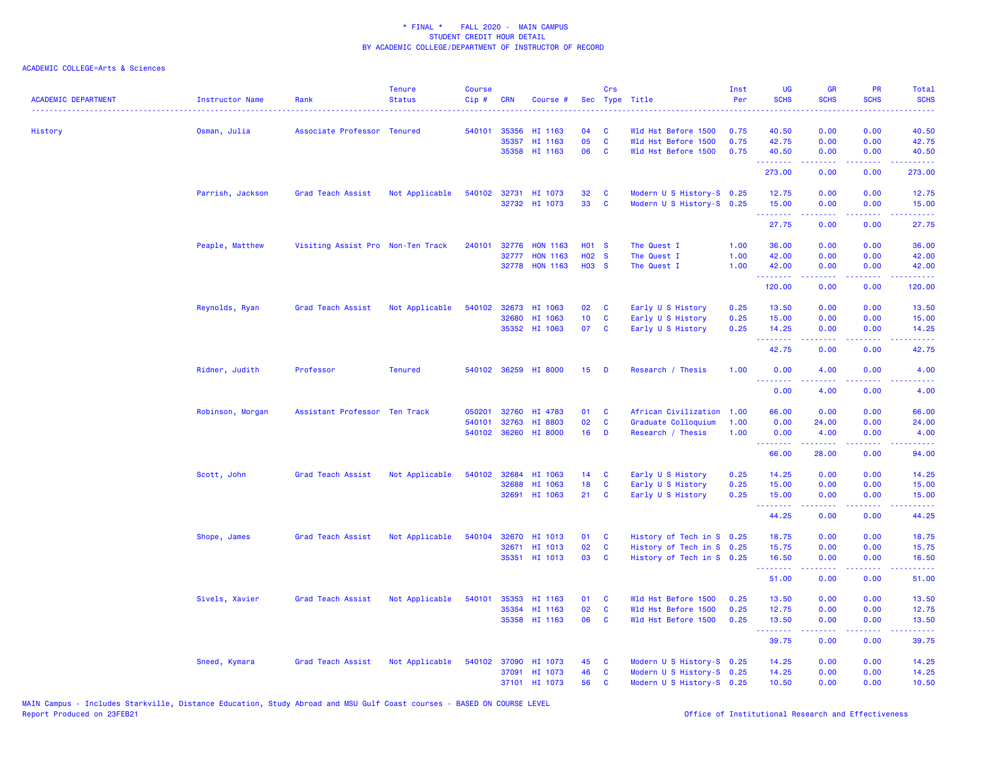| <b>ACADEMIC DEPARTMENT</b> | Instructor Name  | Rank                              | <b>Tenure</b><br><b>Status</b> | <b>Course</b><br>Cip# | <b>CRN</b>   | Course #             |                   | Crs          | Sec Type Title            | Inst<br>Per | <b>UG</b><br><b>SCHS</b>                                  | <b>GR</b><br><b>SCHS</b> | PR<br><b>SCHS</b> | <b>Total</b><br><b>SCHS</b><br>والمالمات                                                                                                                     |
|----------------------------|------------------|-----------------------------------|--------------------------------|-----------------------|--------------|----------------------|-------------------|--------------|---------------------------|-------------|-----------------------------------------------------------|--------------------------|-------------------|--------------------------------------------------------------------------------------------------------------------------------------------------------------|
| History                    | Osman, Julia     | Associate Professor Tenured       |                                |                       | 540101 35356 | HI 1163              | 04                | C            | Wld Hst Before 1500       | 0.75        | 40.50                                                     | 0.00                     | 0.00              | 40.50                                                                                                                                                        |
|                            |                  |                                   |                                |                       | 35357        | HI 1163              | 05                | $\mathbf{C}$ | Wld Hst Before 1500       | 0.75        | 42.75                                                     | 0.00                     | 0.00              | 42.75                                                                                                                                                        |
|                            |                  |                                   |                                |                       |              | 35358 HI 1163        | 06                | C            | Wld Hst Before 1500       | 0.75        | 40.50                                                     | 0.00                     | 0.00              | 40.50                                                                                                                                                        |
|                            |                  |                                   |                                |                       |              |                      |                   |              |                           |             | <u>.</u><br>273.00                                        | 22222<br>0.00            | .<br>0.00         | .<br>273.00                                                                                                                                                  |
|                            | Parrish, Jackson | Grad Teach Assist                 | Not Applicable                 | 540102                |              | 32731 HI 1073        | 32                | C            | Modern U S History-S 0.25 |             | 12.75                                                     | 0.00                     | 0.00              | 12.75                                                                                                                                                        |
|                            |                  |                                   |                                |                       |              | 32732 HI 1073        | 33                | <b>C</b>     | Modern U S History-S 0.25 |             | 15.00<br><b>.</b> .                                       | 0.00<br>22222            | 0.00<br>22222     | 15.00<br>.                                                                                                                                                   |
|                            |                  |                                   |                                |                       |              |                      |                   |              |                           |             | 27.75                                                     | 0.00                     | 0.00              | 27.75                                                                                                                                                        |
|                            | Peaple, Matthew  | Visiting Assist Pro Non-Ten Track |                                | 240101                | 32776        | <b>HON 1163</b>      | <b>HO1 S</b>      |              | The Quest I               | 1.00        | 36.00                                                     | 0.00                     | 0.00              | 36.00                                                                                                                                                        |
|                            |                  |                                   |                                |                       | 32777        | <b>HON 1163</b>      | H <sub>02</sub> S |              | The Quest I               | 1.00        | 42.00                                                     | 0.00                     | 0.00              | 42.00                                                                                                                                                        |
|                            |                  |                                   |                                |                       |              | 32778 HON 1163       | <b>HO3 S</b>      |              | The Quest I               | 1.00        | 42.00<br><b><i><u>AAAAAAA</u></i></b>                     | 0.00<br>22222            | 0.00<br>22222     | 42.00<br>. <b>.</b>                                                                                                                                          |
|                            |                  |                                   |                                |                       |              |                      |                   |              |                           |             | 120.00                                                    | 0.00                     | 0.00              | 120.00                                                                                                                                                       |
|                            | Reynolds, Ryan   | Grad Teach Assist                 | Not Applicable                 | 540102                | 32673        | HI 1063              | 02                | C            | Early U S History         | 0.25        | 13.50                                                     | 0.00                     | 0.00              | 13.50                                                                                                                                                        |
|                            |                  |                                   |                                |                       | 32680        | HI 1063              | 10 <sub>1</sub>   | C            | Early U S History         | 0.25        | 15.00                                                     | 0.00                     | 0.00              | 15.00                                                                                                                                                        |
|                            |                  |                                   |                                |                       |              | 35352 HI 1063        | 07                | C            | Early U S History         | 0.25        | 14.25<br><b><i><u><u> - - - - - - - -</u></u></i></b>     | 0.00<br>-----            | 0.00<br>22222     | 14.25<br>.                                                                                                                                                   |
|                            |                  |                                   |                                |                       |              |                      |                   |              |                           |             | 42.75                                                     | 0.00                     | 0.00              | 42.75                                                                                                                                                        |
|                            | Ridner, Judith   | Professor                         | <b>Tenured</b>                 |                       |              | 540102 36259 HI 8000 | 15 <sub>1</sub>   | D            | Research / Thesis         | 1.00        | 0.00                                                      | 4.00                     | 0.00              | 4.00                                                                                                                                                         |
|                            |                  |                                   |                                |                       |              |                      |                   |              |                           |             | <u>.</u><br>0.00                                          | بالأباب<br>4.00          | المستبدا<br>0.00  | $\frac{1}{2} \left( \frac{1}{2} \right) \left( \frac{1}{2} \right) \left( \frac{1}{2} \right) \left( \frac{1}{2} \right) \left( \frac{1}{2} \right)$<br>4.00 |
|                            | Robinson, Morgan | Assistant Professor Ten Track     |                                | 050201                | 32760        | HI 4783              | 01                | C            | African Civilization      | 1.00        | 66.00                                                     | 0.00                     | 0.00              | 66.00                                                                                                                                                        |
|                            |                  |                                   |                                | 540101                | 32763        | HI 8803              | 02                | C            | Graduate Colloquium       | 1.00        | 0.00                                                      | 24.00                    | 0.00              | 24.00                                                                                                                                                        |
|                            |                  |                                   |                                |                       |              | 540102 36260 HI 8000 | 16                | D            | Research / Thesis         | 1.00        | 0.00                                                      | 4.00                     | 0.00              | 4.00                                                                                                                                                         |
|                            |                  |                                   |                                |                       |              |                      |                   |              |                           |             | <b><i><u><u> - - - - - - -</u></u></i></b>                | .<br>28.00               | .<br>0.00         | .                                                                                                                                                            |
|                            |                  |                                   |                                |                       |              |                      |                   |              |                           |             | 66.00                                                     |                          |                   | 94.00                                                                                                                                                        |
|                            | Scott, John      | Grad Teach Assist                 | Not Applicable                 |                       | 540102 32684 | HI 1063              | 14                | $\mathbf{C}$ | Early U S History         | 0.25        | 14.25                                                     | 0.00                     | 0.00              | 14.25                                                                                                                                                        |
|                            |                  |                                   |                                |                       | 32688        | HI 1063              | 18                | C            | Early U S History         | 0.25        | 15.00                                                     | 0.00                     | 0.00              | 15.00                                                                                                                                                        |
|                            |                  |                                   |                                |                       |              | 32691 HI 1063        | 21                | <b>C</b>     | Early U S History         | 0.25        | 15.00<br><u>.</u>                                         | 0.00<br>-----            | 0.00<br>22222     | 15.00<br>.                                                                                                                                                   |
|                            |                  |                                   |                                |                       |              |                      |                   |              |                           |             | 44.25                                                     | 0.00                     | 0.00              | 44.25                                                                                                                                                        |
|                            | Shope, James     | Grad Teach Assist                 | Not Applicable                 | 540104                |              | 32670 HI 1013        | 01                | C            | History of Tech in S 0.25 |             | 18.75                                                     | 0.00                     | 0.00              | 18.75                                                                                                                                                        |
|                            |                  |                                   |                                |                       |              | 32671 HI 1013        | 02                | $\mathbf{C}$ | History of Tech in S 0.25 |             | 15.75                                                     | 0.00                     | 0.00              | 15.75                                                                                                                                                        |
|                            |                  |                                   |                                |                       |              | 35351 HI 1013        | 03                | <b>C</b>     | History of Tech in S 0.25 |             | 16.50                                                     | 0.00                     | 0.00              | 16.50                                                                                                                                                        |
|                            |                  |                                   |                                |                       |              |                      |                   |              |                           |             | .<br>51.00                                                | 22222<br>0.00            | 22222<br>0.00     | .<br>51.00                                                                                                                                                   |
|                            | Sivels, Xavier   | Grad Teach Assist                 | Not Applicable                 | 540101                | 35353        | HI 1163              | 01                | C            | Wld Hst Before 1500       | 0.25        | 13.50                                                     | 0.00                     | 0.00              | 13.50                                                                                                                                                        |
|                            |                  |                                   |                                |                       |              | 35354 HI 1163        | 02                | $\mathbf{C}$ | Wld Hst Before 1500       | 0.25        | 12.75                                                     | 0.00                     | 0.00              | 12.75                                                                                                                                                        |
|                            |                  |                                   |                                |                       |              | 35358 HI 1163        | 06                | <b>C</b>     | Wld Hst Before 1500       | 0.25        | 13.50<br><b><i><u><u><b>a</b></u></u> a a a a a a</i></b> | 0.00<br>2.2.2.2.2        | 0.00<br>22222     | 13.50                                                                                                                                                        |
|                            |                  |                                   |                                |                       |              |                      |                   |              |                           |             | 39.75                                                     | 0.00                     | 0.00              | .<br>39.75                                                                                                                                                   |
|                            | Sneed, Kymara    | <b>Grad Teach Assist</b>          | Not Applicable                 | 540102                |              | 37090 HI 1073        | 45                | <b>C</b>     | Modern U S History-S 0.25 |             | 14.25                                                     | 0.00                     | 0.00              | 14.25                                                                                                                                                        |
|                            |                  |                                   |                                |                       |              | 37091 HI 1073        | 46                | C            | Modern U S History-S 0.25 |             | 14.25                                                     | 0.00                     | 0.00              | 14.25                                                                                                                                                        |
|                            |                  |                                   |                                |                       |              | 37101 HI 1073        | 56                | C            | Modern U S History-S 0.25 |             | 10.50                                                     | 0.00                     | 0.00              | 10.50                                                                                                                                                        |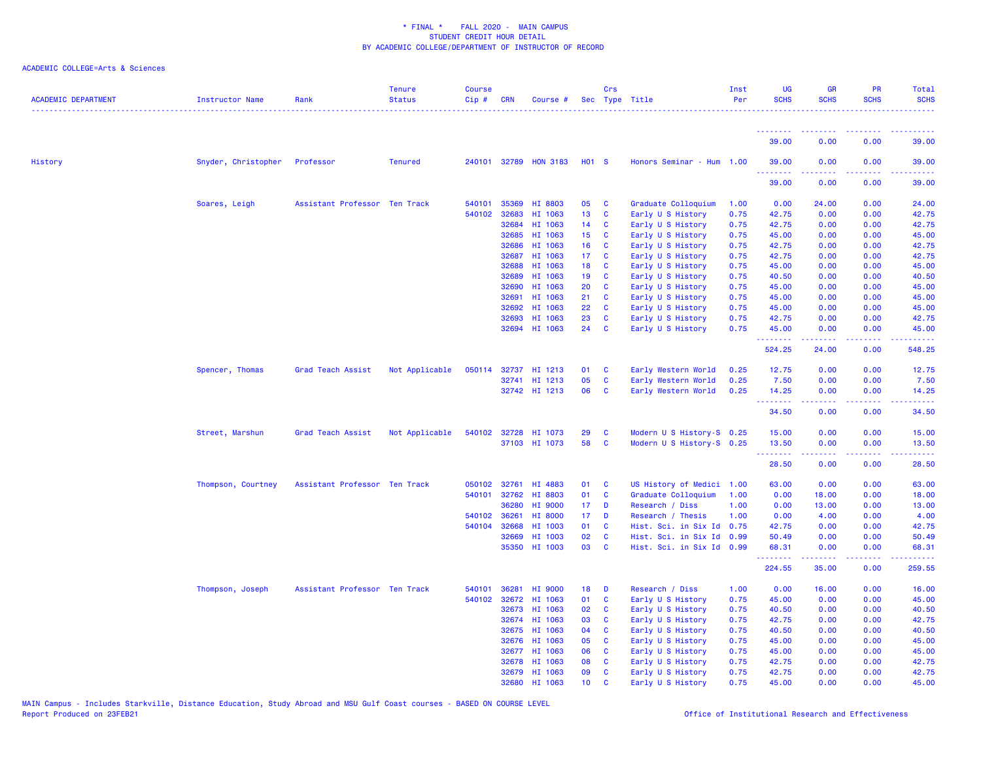| <b>ACADEMIC DEPARTMENT</b> | Instructor Name     | Rank                          | <b>Tenure</b><br><b>Status</b> | <b>Course</b><br>Cip# | <b>CRN</b> | Course #              |                 | Crs          | Sec Type Title            | Inst<br>Per | <b>UG</b><br><b>SCHS</b> | <b>GR</b><br><b>SCHS</b>      | PR<br><b>SCHS</b>                                                                                                                 | Total<br><b>SCHS</b> |
|----------------------------|---------------------|-------------------------------|--------------------------------|-----------------------|------------|-----------------------|-----------------|--------------|---------------------------|-------------|--------------------------|-------------------------------|-----------------------------------------------------------------------------------------------------------------------------------|----------------------|
|                            |                     |                               |                                |                       |            |                       |                 |              |                           |             | .<br>39.00               | 0.00                          | 0.00                                                                                                                              | 39.00                |
| History                    | Snyder, Christopher | Professor                     | <b>Tenured</b>                 |                       |            | 240101 32789 HON 3183 | <b>HO1 S</b>    |              | Honors Seminar - Hum 1.00 |             | 39.00                    | 0.00                          | 0.00                                                                                                                              | 39.00                |
|                            |                     |                               |                                |                       |            |                       |                 |              |                           |             | .<br>39.00               | 0.00                          | $\frac{1}{2} \left( \frac{1}{2} \right) \left( \frac{1}{2} \right) \left( \frac{1}{2} \right) \left( \frac{1}{2} \right)$<br>0.00 | .<br>39.00           |
|                            | Soares, Leigh       | Assistant Professor Ten Track |                                | 540101                | 35369      | HI 8803               | 05              | C            | Graduate Colloquium       | 1.00        | 0.00                     | 24.00                         | 0.00                                                                                                                              | 24.00                |
|                            |                     |                               |                                | 540102                | 32683      | HI 1063               | 13              | C            | Early U S History         | 0.75        | 42.75                    | 0.00                          | 0.00                                                                                                                              | 42.75                |
|                            |                     |                               |                                |                       | 32684      | HI 1063               | 14              | C            | Early U S History         | 0.75        | 42.75                    | 0.00                          | 0.00                                                                                                                              | 42.75                |
|                            |                     |                               |                                |                       | 32685      | HI 1063               | 15              | C            | Early U S History         | 0.75        | 45.00                    | 0.00                          | 0.00                                                                                                                              | 45.00                |
|                            |                     |                               |                                |                       | 32686      | HI 1063               | 16              | C            | Early U S History         | 0.75        | 42.75                    | 0.00                          | 0.00                                                                                                                              | 42.75                |
|                            |                     |                               |                                |                       | 32687      | HI 1063               | 17              | C            | Early U S History         | 0.75        | 42.75                    | 0.00                          | 0.00                                                                                                                              | 42.75                |
|                            |                     |                               |                                |                       | 32688      | HI 1063               | 18              | C            | Early U S History         | 0.75        | 45.00                    | 0.00                          | 0.00                                                                                                                              | 45.00                |
|                            |                     |                               |                                |                       | 32689      | HI 1063               | 19              | C            | Early U S History         | 0.75        | 40.50                    | 0.00                          | 0.00                                                                                                                              | 40.50                |
|                            |                     |                               |                                |                       | 32690      | HI 1063               | 20              | C            | Early U S History         | 0.75        | 45.00                    | 0.00                          | 0.00                                                                                                                              | 45.00                |
|                            |                     |                               |                                |                       | 32691      | HI 1063               | 21              | C            | Early U S History         | 0.75        | 45.00                    | 0.00                          | 0.00                                                                                                                              | 45.00                |
|                            |                     |                               |                                |                       | 32692      | HI 1063               | 22              | C            | Early U S History         | 0.75        | 45.00                    | 0.00                          | 0.00                                                                                                                              | 45.00                |
|                            |                     |                               |                                |                       | 32693      | HI 1063               | 23              | $\mathbf{C}$ | Early U S History         | 0.75        | 42.75                    | 0.00                          | 0.00                                                                                                                              | 42.75                |
|                            |                     |                               |                                |                       |            | 32694 HI 1063         | 24              | C            | Early U S History         | 0.75        | 45.00                    | 0.00                          | 0.00                                                                                                                              | 45.00                |
|                            |                     |                               |                                |                       |            |                       |                 |              |                           |             | .<br>524.25              | 22222<br>24.00                | د د د د<br>0.00                                                                                                                   | وبالأباب<br>548.25   |
|                            |                     |                               |                                |                       |            |                       |                 |              |                           |             |                          |                               |                                                                                                                                   |                      |
|                            | Spencer, Thomas     | Grad Teach Assist             | Not Applicable                 | 050114                | 32737      | HI 1213               | 01              | C            | Early Western World       | 0.25        | 12.75                    | 0.00                          | 0.00                                                                                                                              | 12.75                |
|                            |                     |                               |                                |                       |            | 32741 HI 1213         | 05              | $\mathbf c$  | Early Western World       | 0.25        | 7.50                     | 0.00                          | 0.00                                                                                                                              | 7.50                 |
|                            |                     |                               |                                |                       |            | 32742 HI 1213         | 06              | C            | Early Western World       | 0.25        | 14.25                    | 0.00                          | 0.00                                                                                                                              | 14.25                |
|                            |                     |                               |                                |                       |            |                       |                 |              |                           |             | <b></b><br>34.50         | 0.00                          | 222<br>0.00                                                                                                                       | 22223<br>34.50       |
|                            | Street, Marshun     | Grad Teach Assist             | Not Applicable                 |                       |            | 540102 32728 HI 1073  | 29              | C            | Modern U S History-S 0.25 |             | 15.00                    | 0.00                          | 0.00                                                                                                                              | 15.00                |
|                            |                     |                               |                                |                       |            | 37103 HI 1073         | 58              | $\mathbf{C}$ | Modern U S History-S 0.25 |             | 13.50                    | 0.00                          | 0.00                                                                                                                              | 13.50                |
|                            |                     |                               |                                |                       |            |                       |                 |              |                           |             | <u>.</u> .               | <b><i><u><u>.</u></u></i></b> | 22222                                                                                                                             | .                    |
|                            |                     |                               |                                |                       |            |                       |                 |              |                           |             | 28.50                    | 0.00                          | 0.00                                                                                                                              | 28.50                |
|                            | Thompson, Courtney  | Assistant Professor Ten Track |                                | 050102                | 32761      | HI 4883               | 01              | C            | US History of Medici      | 1.00        | 63.00                    | 0.00                          | 0.00                                                                                                                              | 63.00                |
|                            |                     |                               |                                | 540101                | 32762      | HI 8803               | 01              | C            | Graduate Colloquium       | 1.00        | 0.00                     | 18.00                         | 0.00                                                                                                                              | 18.00                |
|                            |                     |                               |                                |                       | 36280      | HI 9000               | 17 <sub>2</sub> | D            | Research / Diss           | 1.00        | 0.00                     | 13.00                         | 0.00                                                                                                                              | 13.00                |
|                            |                     |                               |                                | 540102                | 36261      | HI 8000               | 17              | D            | Research / Thesis         | 1.00        | 0.00                     | 4.00                          | 0.00                                                                                                                              | 4.00                 |
|                            |                     |                               |                                | 540104                | 32668      | HI 1003               | 01              | <b>C</b>     | Hist. Sci. in Six Id 0.75 |             | 42.75                    | 0.00                          | 0.00                                                                                                                              | 42.75                |
|                            |                     |                               |                                |                       | 32669      | HI 1003               | 02              | C            | Hist. Sci. in Six Id 0.99 |             | 50.49                    | 0.00                          | 0.00                                                                                                                              | 50.49                |
|                            |                     |                               |                                |                       |            | 35350 HI 1003         | 03              | $\mathbf{C}$ | Hist. Sci. in Six Id 0.99 |             | 68.31<br><u>.</u>        | 0.00<br>بالأبابات             | 0.00<br>بالأباب                                                                                                                   | 68.31<br>.           |
|                            |                     |                               |                                |                       |            |                       |                 |              |                           |             | 224.55                   | 35.00                         | 0.00                                                                                                                              | 259.55               |
|                            | Thompson, Joseph    | Assistant Professor Ten Track |                                | 540101                | 36281      | HI 9000               | 18              | D            | Research / Diss           | 1.00        | 0.00                     | 16.00                         | 0.00                                                                                                                              | 16.00                |
|                            |                     |                               |                                | 540102                | 32672      | HI 1063               | 01              | C            | Early U S History         | 0.75        | 45.00                    | 0.00                          | 0.00                                                                                                                              | 45.00                |
|                            |                     |                               |                                |                       | 32673      | HI 1063               | 02              | C            | Early U S History         | 0.75        | 40.50                    | 0.00                          | 0.00                                                                                                                              | 40.50                |
|                            |                     |                               |                                |                       | 32674      | HI 1063               | 03              | C            | Early U S History         | 0.75        | 42.75                    | 0.00                          | 0.00                                                                                                                              | 42.75                |
|                            |                     |                               |                                |                       | 32675      | HI 1063               | 04              | C            | Early U S History         | 0.75        | 40.50                    | 0.00                          | 0.00                                                                                                                              | 40.50                |
|                            |                     |                               |                                |                       | 32676      | HI 1063               | 05              | C            | Early U S History         | 0.75        | 45.00                    | 0.00                          | 0.00                                                                                                                              | 45.00                |
|                            |                     |                               |                                |                       | 32677      | HI 1063               | 06              | C            | Early U S History         | 0.75        | 45.00                    | 0.00                          | 0.00                                                                                                                              | 45.00                |
|                            |                     |                               |                                |                       | 32678      | HI 1063               | 80              | <b>C</b>     | Early U S History         | 0.75        | 42.75                    | 0.00                          | 0.00                                                                                                                              | 42.75                |
|                            |                     |                               |                                |                       |            | 32679 HI 1063         | 09              | <b>C</b>     | Early U S History         | 0.75        | 42.75                    | 0.00                          | 0.00                                                                                                                              | 42.75                |
|                            |                     |                               |                                |                       |            | 32680 HI 1063         | 10 <sub>1</sub> | $\mathbf{C}$ | Early U S History         | 0.75        | 45.00                    | 0.00                          | 0.00                                                                                                                              | 45.00                |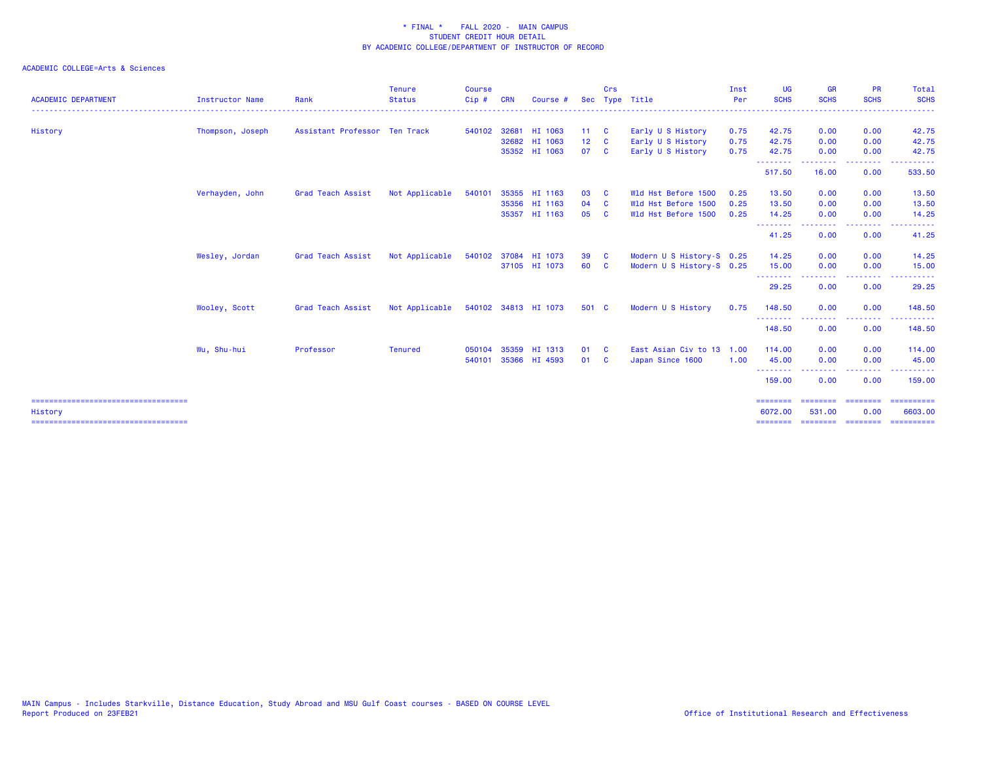|                  |                          | <b>Status</b>  | Cip#                          | <b>CRN</b> | Course # |                                                                                                                                                                                                              |          | Sec Type Title                                                                                   | Per               | <b>SCHS</b>                                                                                 | <b>SCHS</b>                           | <b>SCHS</b>       | <b>SCHS</b>                                                                                                                                                                                                                             |
|------------------|--------------------------|----------------|-------------------------------|------------|----------|--------------------------------------------------------------------------------------------------------------------------------------------------------------------------------------------------------------|----------|--------------------------------------------------------------------------------------------------|-------------------|---------------------------------------------------------------------------------------------|---------------------------------------|-------------------|-----------------------------------------------------------------------------------------------------------------------------------------------------------------------------------------------------------------------------------------|
| Thompson, Joseph |                          |                |                               |            |          |                                                                                                                                                                                                              |          | Early U S History                                                                                | 0.75              | 42.75                                                                                       | 0.00                                  | 0.00              | 42.75                                                                                                                                                                                                                                   |
|                  |                          |                |                               |            |          |                                                                                                                                                                                                              |          |                                                                                                  |                   |                                                                                             |                                       |                   | 42.75                                                                                                                                                                                                                                   |
|                  |                          |                |                               |            |          |                                                                                                                                                                                                              |          | Early U S History                                                                                | 0.75              | 42.75                                                                                       | 0.00                                  | 0.00              | 42.75                                                                                                                                                                                                                                   |
|                  |                          |                |                               |            |          |                                                                                                                                                                                                              |          |                                                                                                  |                   | 517.50                                                                                      | 16.00                                 | 0.00              | 533.50                                                                                                                                                                                                                                  |
| Verhayden, John  | Grad Teach Assist        | Not Applicable | 540101                        |            |          | 03                                                                                                                                                                                                           | <b>C</b> | Wld Hst Before 1500                                                                              | 0.25              | 13.50                                                                                       | 0.00                                  | 0.00              | 13.50                                                                                                                                                                                                                                   |
|                  |                          |                |                               |            |          | 04                                                                                                                                                                                                           | <b>C</b> | Wld Hst Before 1500                                                                              | 0.25              | 13.50                                                                                       | 0.00                                  | 0.00              | 13.50                                                                                                                                                                                                                                   |
|                  |                          |                |                               |            |          | 05                                                                                                                                                                                                           | <b>C</b> | Wld Hst Before 1500                                                                              | 0.25              | 14.25                                                                                       | 0.00<br>. <u>.</u> .                  | 0.00<br>$- - - -$ | 14.25                                                                                                                                                                                                                                   |
|                  |                          |                |                               |            |          |                                                                                                                                                                                                              |          |                                                                                                  |                   | 41.25                                                                                       | 0.00                                  | 0.00              | 41.25                                                                                                                                                                                                                                   |
| Wesley, Jordan   | <b>Grad Teach Assist</b> | Not Applicable |                               |            |          | 39                                                                                                                                                                                                           |          |                                                                                                  |                   | 14.25                                                                                       | 0.00                                  | 0.00              | 14.25                                                                                                                                                                                                                                   |
|                  |                          |                |                               |            |          | 60                                                                                                                                                                                                           |          |                                                                                                  |                   | 15.00                                                                                       | 0.00                                  | 0.00              | 15.00                                                                                                                                                                                                                                   |
|                  |                          |                |                               |            |          |                                                                                                                                                                                                              |          |                                                                                                  |                   | 29.25                                                                                       | 0.00                                  | 0.00              | 29.25                                                                                                                                                                                                                                   |
| Wooley, Scott    | <b>Grad Teach Assist</b> | Not Applicable |                               |            |          |                                                                                                                                                                                                              |          | Modern U S History                                                                               | 0.75              | 148.50                                                                                      | 0.00                                  | 0.00              | 148.50                                                                                                                                                                                                                                  |
|                  |                          |                |                               |            |          |                                                                                                                                                                                                              |          |                                                                                                  |                   | 148.50                                                                                      | 0.00                                  | 0.00              | 148.50                                                                                                                                                                                                                                  |
| Wu, Shu-hui      | Professor                | <b>Tenured</b> | 050104                        |            |          |                                                                                                                                                                                                              |          |                                                                                                  |                   | 114.00                                                                                      | 0.00                                  | 0.00              | 114.00                                                                                                                                                                                                                                  |
|                  |                          |                | 540101                        |            |          | 01                                                                                                                                                                                                           | - C      | Japan Since 1600                                                                                 | 1.00              | 45.00                                                                                       | 0.00                                  | 0.00              | 45.00                                                                                                                                                                                                                                   |
|                  |                          |                |                               |            |          |                                                                                                                                                                                                              |          |                                                                                                  |                   | 159.00                                                                                      | 0.00                                  | 0.00              | $\frac{1}{2} \left( \frac{1}{2} \right) \left( \frac{1}{2} \right) \left( \frac{1}{2} \right) \left( \frac{1}{2} \right) \left( \frac{1}{2} \right) \left( \frac{1}{2} \right)$<br>159.00                                               |
|                  |                          |                |                               |            |          |                                                                                                                                                                                                              |          |                                                                                                  |                   | ========<br>6072.00                                                                         | ======<br>531.00                      | 0.00              | ==========<br>6603.00                                                                                                                                                                                                                   |
|                  |                          |                | Assistant Professor Ten Track |            |          | 540102 32681 HI 1063<br>32682 HI 1063<br>35352 HI 1063<br>35355 HI 1163<br>35356 HI 1163<br>35357 HI 1163<br>540102 37084 HI 1073<br>37105 HI 1073<br>540102 34813 HI 1073<br>35359 HI 1313<br>35366 HI 4593 |          | $11 \quad C$<br>$12 \quad C$<br>07 C<br>$\overline{\mathbf{c}}$<br>$\mathbf{C}$<br>501 C<br>01 C | Early U S History | 0.75<br>Modern U S History-S 0.25<br>Modern U S History-S 0.25<br>East Asian Civ to 13 1.00 | 42.75<br>--------<br>.<br>.<br>.<br>. | 0.00              | 0.00<br>$\frac{1}{2} \left( \frac{1}{2} \right) \left( \frac{1}{2} \right) \left( \frac{1}{2} \right) \left( \frac{1}{2} \right)$<br>.<br>$\begin{array}{c} \texttt{m} = \texttt{m} = \texttt{m} = \texttt{m} = \texttt{m} \end{array}$ |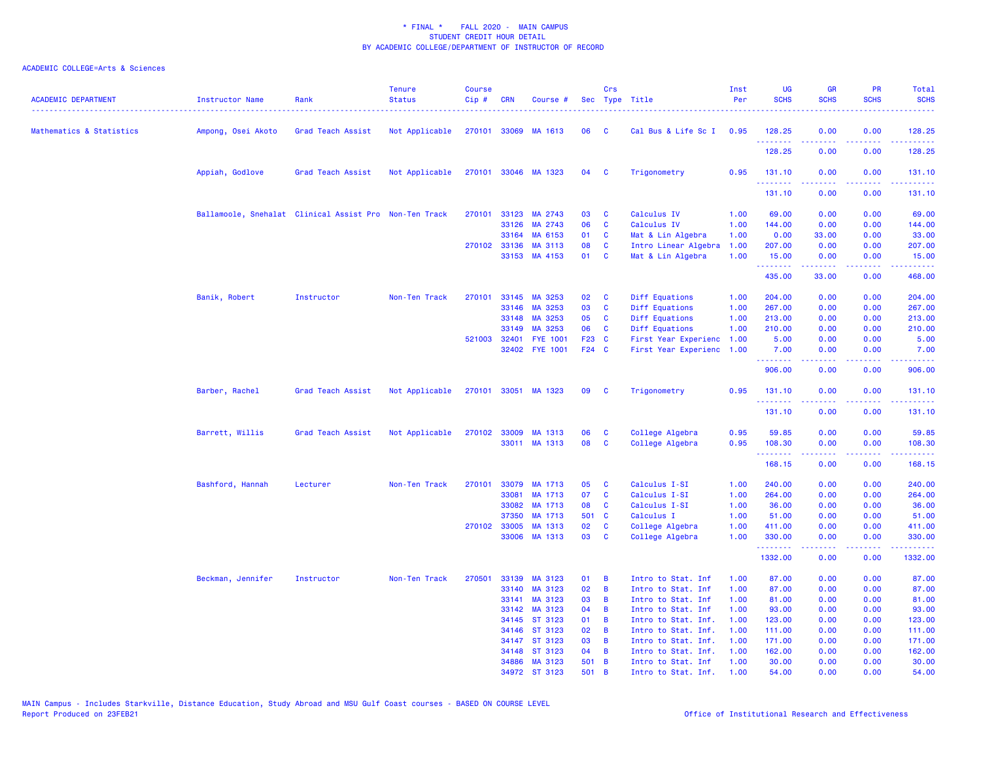| <b>ACADEMIC DEPARTMENT</b> | Instructor Name                                        | Rank              | <b>Tenure</b><br><b>Status</b> | <b>Course</b><br>Cip# | <b>CRN</b>   | Course #                 |              | Crs          | Sec Type Title                            | Inst<br>Per  | UG<br><b>SCHS</b>                                  | <b>GR</b><br><b>SCHS</b> | PR<br><b>SCHS</b>                                                                                                                 | Total<br><b>SCHS</b>                                                                                                                                           |
|----------------------------|--------------------------------------------------------|-------------------|--------------------------------|-----------------------|--------------|--------------------------|--------------|--------------|-------------------------------------------|--------------|----------------------------------------------------|--------------------------|-----------------------------------------------------------------------------------------------------------------------------------|----------------------------------------------------------------------------------------------------------------------------------------------------------------|
| Mathematics & Statistics   | Ampong, Osei Akoto                                     | Grad Teach Assist | Not Applicable                 | 270101                |              | 33069 MA 1613            | 06           | C            | Cal Bus & Life Sc I                       | 0.95         | 128.25<br>.                                        | 0.00                     | 0.00<br>.                                                                                                                         | 128.25<br>.                                                                                                                                                    |
|                            |                                                        |                   |                                |                       |              |                          |              |              |                                           |              | 128.25                                             | 0.00                     | 0.00                                                                                                                              | 128.25                                                                                                                                                         |
|                            | Appiah, Godlove                                        | Grad Teach Assist | Not Applicable                 |                       |              | 270101 33046 MA 1323     | 04           | $\mathbf{C}$ | Trigonometry                              | 0.95         | 131.10                                             | 0.00                     | 0.00                                                                                                                              | 131.10                                                                                                                                                         |
|                            |                                                        |                   |                                |                       |              |                          |              |              |                                           |              | <b><i><u><u> - - - - - -</u></u></i></b><br>131.10 | .<br>0.00                | .<br>0.00                                                                                                                         | .<br>131.10                                                                                                                                                    |
|                            | Ballamoole, Snehalat Clinical Assist Pro Non-Ten Track |                   |                                | 270101                | 33123        | MA 2743                  | 03           | C            | Calculus IV                               | 1.00         | 69.00                                              | 0.00                     | 0.00                                                                                                                              | 69.00                                                                                                                                                          |
|                            |                                                        |                   |                                |                       | 33126        | MA 2743                  | 06           | C            | Calculus IV                               | 1.00         | 144.00                                             | 0.00                     | 0.00                                                                                                                              | 144.00                                                                                                                                                         |
|                            |                                                        |                   |                                |                       | 33164        | MA 6153                  | 01           | C            | Mat & Lin Algebra                         | 1.00         | 0.00                                               | 33.00                    | 0.00                                                                                                                              | 33.00                                                                                                                                                          |
|                            |                                                        |                   |                                |                       | 270102 33136 | MA 3113                  | 08           | C            | Intro Linear Algebra                      | 1.00         | 207.00                                             | 0.00                     | 0.00                                                                                                                              | 207.00                                                                                                                                                         |
|                            |                                                        |                   |                                |                       |              | 33153 MA 4153            | 01           | <b>C</b>     | Mat & Lin Algebra                         | 1.00         | 15.00<br>.                                         | 0.00                     | 0.00<br>$\frac{1}{2} \left( \frac{1}{2} \right) \left( \frac{1}{2} \right) \left( \frac{1}{2} \right) \left( \frac{1}{2} \right)$ | 15.00<br>.                                                                                                                                                     |
|                            |                                                        |                   |                                |                       |              |                          |              |              |                                           |              | 435.00                                             | 33.00                    | 0.00                                                                                                                              | 468.00                                                                                                                                                         |
|                            | Banik, Robert                                          | Instructor        | Non-Ten Track                  | 270101                | 33145        | MA 3253                  | 02           | C            | Diff Equations                            | 1.00         | 204.00                                             | 0.00                     | 0.00                                                                                                                              | 204.00                                                                                                                                                         |
|                            |                                                        |                   |                                |                       | 33146        | MA 3253                  | 03           | <b>C</b>     | Diff Equations                            | 1.00         | 267.00                                             | 0.00                     | 0.00                                                                                                                              | 267.00                                                                                                                                                         |
|                            |                                                        |                   |                                |                       | 33148        | MA 3253                  | 05           | <b>C</b>     | Diff Equations                            | 1.00         | 213.00                                             | 0.00                     | 0.00                                                                                                                              | 213.00                                                                                                                                                         |
|                            |                                                        |                   |                                |                       | 33149        | MA 3253                  | 06           | C            | Diff Equations                            | 1.00         | 210.00                                             | 0.00                     | 0.00                                                                                                                              | 210.00                                                                                                                                                         |
|                            |                                                        |                   |                                | 521003                | 32401        | <b>FYE 1001</b>          | F23 C        |              | First Year Experienc                      | 1.00         | 5.00                                               | 0.00                     | 0.00                                                                                                                              | 5.00                                                                                                                                                           |
|                            |                                                        |                   |                                |                       |              | 32402 FYE 1001           | F24 C        |              | First Year Experienc                      | 1.00         | 7.00<br>.                                          | 0.00<br>.                | 0.00<br>$\frac{1}{2} \left( \frac{1}{2} \right) \left( \frac{1}{2} \right) \left( \frac{1}{2} \right) \left( \frac{1}{2} \right)$ | 7.00<br>.                                                                                                                                                      |
|                            |                                                        |                   |                                |                       |              |                          |              |              |                                           |              | 906.00                                             | 0.00                     | 0.00                                                                                                                              | 906.00                                                                                                                                                         |
|                            | Barber, Rachel                                         | Grad Teach Assist | Not Applicable                 |                       |              | 270101 33051 MA 1323     | 09           | <b>C</b>     | Trigonometry                              | 0.95         | 131.10<br>.                                        | 0.00                     | 0.00<br>$\frac{1}{2} \left( \frac{1}{2} \right) \left( \frac{1}{2} \right) \left( \frac{1}{2} \right) \left( \frac{1}{2} \right)$ | 131.10<br>$\frac{1}{2} \left( \frac{1}{2} \right) \left( \frac{1}{2} \right) \left( \frac{1}{2} \right) \left( \frac{1}{2} \right) \left( \frac{1}{2} \right)$ |
|                            |                                                        |                   |                                |                       |              |                          |              |              |                                           |              | 131.10                                             | 0.00                     | 0.00                                                                                                                              | 131.10                                                                                                                                                         |
|                            | Barrett, Willis                                        | Grad Teach Assist | Not Applicable                 | 270102                | 33009        | MA 1313                  | 06           | C            | College Algebra                           | 0.95         | 59.85                                              | 0.00                     | 0.00                                                                                                                              | 59.85                                                                                                                                                          |
|                            |                                                        |                   |                                |                       |              | 33011 MA 1313            | 08           | C            | College Algebra                           | 0.95         | 108.30                                             | 0.00                     | 0.00                                                                                                                              | 108.30                                                                                                                                                         |
|                            |                                                        |                   |                                |                       |              |                          |              |              |                                           |              | .<br>168.15                                        | .<br>0.00                | .<br>0.00                                                                                                                         | المتمام ماما<br>168.15                                                                                                                                         |
|                            | Bashford, Hannah                                       | Lecturer          | Non-Ten Track                  | 270101                | 33079        | MA 1713                  | 05           | C            | Calculus I-SI                             | 1.00         | 240.00                                             | 0.00                     | 0.00                                                                                                                              | 240.00                                                                                                                                                         |
|                            |                                                        |                   |                                |                       | 33081        | MA 1713                  | 07           | C            | Calculus I-SI                             | 1.00         | 264.00                                             | 0.00                     | 0.00                                                                                                                              | 264.00                                                                                                                                                         |
|                            |                                                        |                   |                                |                       | 33082        | MA 1713                  | 08           | C            | Calculus I-SI                             | 1.00         | 36.00                                              | 0.00                     | 0.00                                                                                                                              | 36.00                                                                                                                                                          |
|                            |                                                        |                   |                                |                       | 37350        | MA 1713                  | 501 C        |              | Calculus I                                | 1.00         | 51.00                                              | 0.00                     | 0.00                                                                                                                              | 51.00                                                                                                                                                          |
|                            |                                                        |                   |                                |                       | 270102 33005 | MA 1313                  | 02           | C            | College Algebra                           | 1.00         | 411.00                                             | 0.00                     | 0.00                                                                                                                              | 411.00                                                                                                                                                         |
|                            |                                                        |                   |                                |                       | 33006        | MA 1313                  | 03           | C            | College Algebra                           | 1.00         | 330.00<br>.                                        | 0.00<br>.                | 0.00<br>.                                                                                                                         | 330.00<br>2.2222                                                                                                                                               |
|                            |                                                        |                   |                                |                       |              |                          |              |              |                                           |              | 1332.00                                            | 0.00                     | 0.00                                                                                                                              | 1332.00                                                                                                                                                        |
|                            | Beckman, Jennifer                                      | Instructor        | Non-Ten Track                  | 270501                | 33139        | MA 3123                  | 01           | B            | Intro to Stat. Inf                        | 1.00         | 87.00                                              | 0.00                     | 0.00                                                                                                                              | 87.00                                                                                                                                                          |
|                            |                                                        |                   |                                |                       | 33140        | MA 3123                  | 02           | B            | Intro to Stat. Inf                        | 1.00         | 87.00                                              | 0.00                     | 0.00                                                                                                                              | 87.00                                                                                                                                                          |
|                            |                                                        |                   |                                |                       | 33141        | MA 3123                  | 03           | B            | Intro to Stat. Inf                        | 1.00         | 81.00                                              | 0.00                     | 0.00                                                                                                                              | 81.00                                                                                                                                                          |
|                            |                                                        |                   |                                |                       | 33142        | MA 3123                  | 04           | B            | Intro to Stat. Inf                        | 1.00         | 93.00                                              | 0.00                     | 0.00                                                                                                                              | 93.00                                                                                                                                                          |
|                            |                                                        |                   |                                |                       | 34145        | ST 3123                  | 01           | B            | Intro to Stat. Inf.                       | 1.00         | 123.00                                             | 0.00                     | 0.00                                                                                                                              | 123.00                                                                                                                                                         |
|                            |                                                        |                   |                                |                       | 34146        | ST 3123                  | 02           | B            | Intro to Stat. Inf.                       | 1.00         | 111.00                                             | 0.00                     | 0.00                                                                                                                              | 111.00                                                                                                                                                         |
|                            |                                                        |                   |                                |                       |              | 34147 ST 3123            | 03           | B            | Intro to Stat. Inf.                       | 1.00         | 171.00                                             | 0.00                     | 0.00                                                                                                                              | 171.00                                                                                                                                                         |
|                            |                                                        |                   |                                |                       | 34148        | ST 3123<br>34886 MA 3123 | 04           | B            | Intro to Stat. Inf.                       | 1.00         | 162.00                                             | 0.00<br>0.00             | 0.00                                                                                                                              | 162.00                                                                                                                                                         |
|                            |                                                        |                   |                                |                       |              | 34972 ST 3123            | 501 B<br>501 | B            | Intro to Stat. Inf<br>Intro to Stat. Inf. | 1.00<br>1.00 | 30.00<br>54.00                                     | 0.00                     | 0.00<br>0.00                                                                                                                      | 30.00<br>54.00                                                                                                                                                 |
|                            |                                                        |                   |                                |                       |              |                          |              |              |                                           |              |                                                    |                          |                                                                                                                                   |                                                                                                                                                                |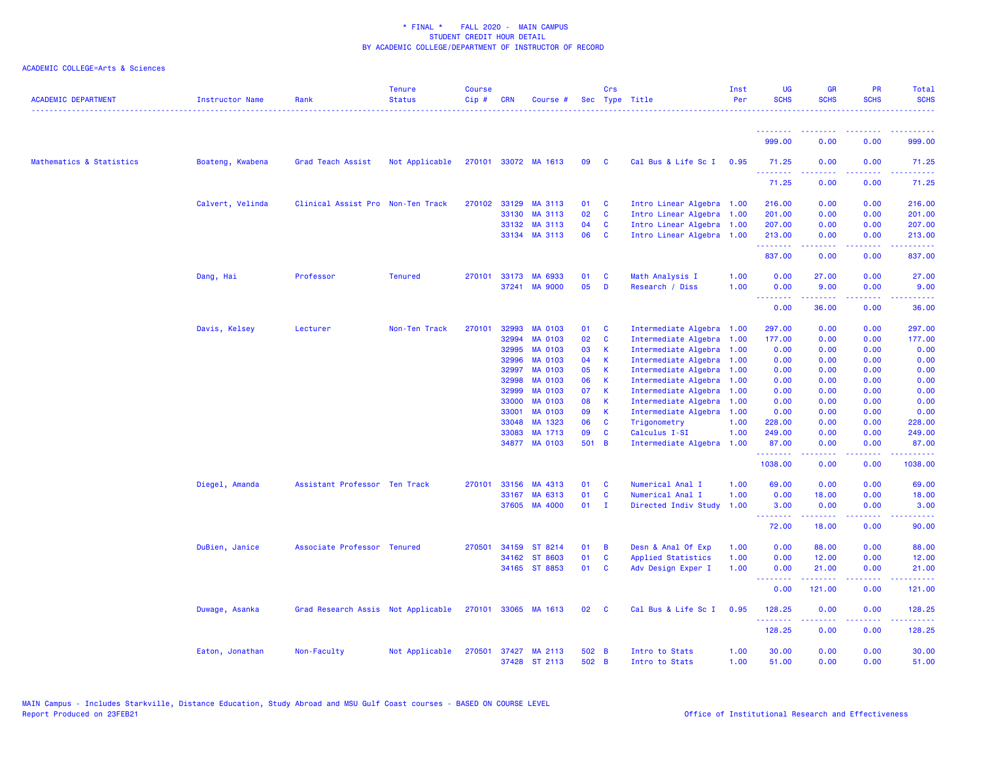| <b>ACADEMIC DEPARTMENT</b> | Instructor Name  | Rank                               | <b>Tenure</b><br><b>Status</b> | <b>Course</b><br>$Cip \#$ | <b>CRN</b>   | Course #             |       | Crs                     | Sec Type Title            | Inst<br>Per | <b>UG</b><br><b>SCHS</b> | <b>GR</b><br><b>SCHS</b>                                                                                                                                     | <b>PR</b><br><b>SCHS</b>     | Total<br><b>SCHS</b>                                                                                                                                           |
|----------------------------|------------------|------------------------------------|--------------------------------|---------------------------|--------------|----------------------|-------|-------------------------|---------------------------|-------------|--------------------------|--------------------------------------------------------------------------------------------------------------------------------------------------------------|------------------------------|----------------------------------------------------------------------------------------------------------------------------------------------------------------|
|                            |                  |                                    |                                |                           |              |                      |       |                         |                           |             |                          |                                                                                                                                                              |                              |                                                                                                                                                                |
|                            |                  |                                    |                                |                           |              |                      |       |                         |                           |             | 999.00                   | 0.00                                                                                                                                                         | 0.00                         | 999.00                                                                                                                                                         |
| Mathematics & Statistics   | Boateng, Kwabena | Grad Teach Assist                  | Not Applicable                 |                           |              | 270101 33072 MA 1613 | 09    | $\overline{\mathbf{C}}$ | Cal Bus & Life Sc I 0.95  |             | 71.25<br>.               | 0.00<br>.                                                                                                                                                    | 0.00<br>.                    | 71.25<br>.                                                                                                                                                     |
|                            |                  |                                    |                                |                           |              |                      |       |                         |                           |             | 71.25                    | 0.00                                                                                                                                                         | 0.00                         | 71.25                                                                                                                                                          |
|                            | Calvert, Velinda | Clinical Assist Pro Non-Ten Track  |                                |                           | 270102 33129 | MA 3113              | 01    | $\mathbf{c}$            | Intro Linear Algebra 1.00 |             | 216.00                   | 0.00                                                                                                                                                         | 0.00                         | 216.00                                                                                                                                                         |
|                            |                  |                                    |                                |                           | 33130        | MA 3113              | 02    | <b>C</b>                | Intro Linear Algebra 1.00 |             | 201.00                   | 0.00                                                                                                                                                         | 0.00                         | 201.00                                                                                                                                                         |
|                            |                  |                                    |                                |                           | 33132        | MA 3113              | 04    | $\mathbf{C}$            | Intro Linear Algebra 1.00 |             | 207.00                   | 0.00                                                                                                                                                         | 0.00                         | 207.00                                                                                                                                                         |
|                            |                  |                                    |                                |                           |              | 33134 MA 3113        | 06    | $\mathbf{C}$            | Intro Linear Algebra 1.00 |             | 213.00                   | 0.00                                                                                                                                                         | 0.00                         | 213.00                                                                                                                                                         |
|                            |                  |                                    |                                |                           |              |                      |       |                         |                           |             | .<br>837.00              | 2.2.2.2.2<br>0.00                                                                                                                                            | المستما<br>0.00              | 2.2.2.2.2.2<br>837.00                                                                                                                                          |
|                            | Dang, Hai        | Professor                          | <b>Tenured</b>                 |                           | 270101 33173 | MA 6933              | 01    | <b>C</b>                | Math Analysis I           | 1.00        | 0.00                     | 27.00                                                                                                                                                        | 0.00                         | 27.00                                                                                                                                                          |
|                            |                  |                                    |                                |                           |              | 37241 MA 9000        | 05    | D                       | Research / Diss           | 1.00        | 0.00<br>.                | 9.00<br>.                                                                                                                                                    | 0.00<br>.                    | 9.00<br>.                                                                                                                                                      |
|                            |                  |                                    |                                |                           |              |                      |       |                         |                           |             | 0.00                     | 36.00                                                                                                                                                        | 0.00                         | 36.00                                                                                                                                                          |
|                            | Davis, Kelsey    | Lecturer                           | Non-Ten Track                  | 270101                    | 32993        | <b>MA 0103</b>       | 01    | <b>C</b>                | Intermediate Algebra 1.00 |             | 297.00                   | 0.00                                                                                                                                                         | 0.00                         | 297.00                                                                                                                                                         |
|                            |                  |                                    |                                |                           | 32994        | <b>MA 0103</b>       | 02    | $\mathbf{C}$            | Intermediate Algebra 1.00 |             | 177.00                   | 0.00                                                                                                                                                         | 0.00                         | 177.00                                                                                                                                                         |
|                            |                  |                                    |                                |                           | 32995        | <b>MA 0103</b>       | 03    | $\mathsf{K}$            | Intermediate Algebra 1.00 |             | 0.00                     | 0.00                                                                                                                                                         | 0.00                         | 0.00                                                                                                                                                           |
|                            |                  |                                    |                                |                           | 32996        | <b>MA 0103</b>       | 04    | $\mathsf{K}$            | Intermediate Algebra 1.00 |             | 0.00                     | 0.00                                                                                                                                                         | 0.00                         | 0.00                                                                                                                                                           |
|                            |                  |                                    |                                |                           | 32997        | <b>MA 0103</b>       | 05    | K                       | Intermediate Algebra 1.00 |             | 0.00                     | 0.00                                                                                                                                                         | 0.00                         | 0.00                                                                                                                                                           |
|                            |                  |                                    |                                |                           | 32998        | <b>MA 0103</b>       | 06    | $\mathbf{K}$            | Intermediate Algebra 1.00 |             | 0.00                     | 0.00                                                                                                                                                         | 0.00                         | 0.00                                                                                                                                                           |
|                            |                  |                                    |                                |                           | 32999        | <b>MA 0103</b>       | 07    | - K                     | Intermediate Algebra 1.00 |             | 0.00                     | 0.00                                                                                                                                                         | 0.00                         | 0.00                                                                                                                                                           |
|                            |                  |                                    |                                |                           | 33000        | <b>MA 0103</b>       | 08    | K                       | Intermediate Algebra 1.00 |             | 0.00                     | 0.00                                                                                                                                                         | 0.00                         | 0.00                                                                                                                                                           |
|                            |                  |                                    |                                |                           | 33001        | <b>MA 0103</b>       | 09    | $\mathsf{K}$            | Intermediate Algebra 1.00 |             | 0.00                     | 0.00                                                                                                                                                         | 0.00                         | 0.00                                                                                                                                                           |
|                            |                  |                                    |                                |                           | 33048        | MA 1323              | 06    | $\mathbf{C}$            | Trigonometry              | 1.00        | 228.00                   | 0.00                                                                                                                                                         | 0.00                         | 228.00                                                                                                                                                         |
|                            |                  |                                    |                                |                           | 33083        | MA 1713              | 09    | $\mathbf{C}$            | Calculus I-SI             | 1.00        | 249.00                   | 0.00                                                                                                                                                         | 0.00                         | 249.00                                                                                                                                                         |
|                            |                  |                                    |                                |                           |              | 34877 MA 0103        | 501 B |                         | Intermediate Algebra 1.00 |             | 87.00                    | 0.00                                                                                                                                                         | 0.00                         | 87.00                                                                                                                                                          |
|                            |                  |                                    |                                |                           |              |                      |       |                         |                           |             | .<br>1038.00             | .<br>0.00                                                                                                                                                    | $\sim$ $\sim$ $\sim$<br>0.00 | 1038.00                                                                                                                                                        |
|                            | Diegel, Amanda   | Assistant Professor Ten Track      |                                | 270101                    | 33156        | MA 4313              | 01    | - C                     | Numerical Anal I          | 1.00        | 69.00                    | 0.00                                                                                                                                                         | 0.00                         | 69.00                                                                                                                                                          |
|                            |                  |                                    |                                |                           | 33167        | MA 6313              | 01    | <b>C</b>                | Numerical Anal I          | 1.00        | 0.00                     | 18.00                                                                                                                                                        | 0.00                         | 18.00                                                                                                                                                          |
|                            |                  |                                    |                                |                           |              | 37605 MA 4000        | 01    | $\mathbf I$             | Directed Indiv Study      | 1.00        | 3.00<br>.                | 0.00<br>$\frac{1}{2} \left( \frac{1}{2} \right) \left( \frac{1}{2} \right) \left( \frac{1}{2} \right) \left( \frac{1}{2} \right) \left( \frac{1}{2} \right)$ | 0.00                         | 3.00                                                                                                                                                           |
|                            |                  |                                    |                                |                           |              |                      |       |                         |                           |             | 72.00                    | 18.00                                                                                                                                                        | 0.00                         | 90.00                                                                                                                                                          |
|                            | DuBien, Janice   | Associate Professor Tenured        |                                | 270501                    | 34159        | ST 8214              | 01    | $\overline{B}$          | Desn & Anal Of Exp        | 1.00        | 0.00                     | 88.00                                                                                                                                                        | 0.00                         | 88.00                                                                                                                                                          |
|                            |                  |                                    |                                |                           | 34162        | ST 8603              | 01    | $\mathbf{C}$            | Applied Statistics        | 1.00        | 0.00                     | 12.00                                                                                                                                                        | 0.00                         | 12.00                                                                                                                                                          |
|                            |                  |                                    |                                |                           |              | 34165 ST 8853        | 01    | <b>C</b>                | Adv Design Exper I        | 1.00        | 0.00                     | 21.00                                                                                                                                                        | 0.00                         | 21.00                                                                                                                                                          |
|                            |                  |                                    |                                |                           |              |                      |       |                         |                           |             | ولالات<br>0.00           | 121.00                                                                                                                                                       | 0.00                         | 121.00                                                                                                                                                         |
|                            | Duwage, Asanka   | Grad Research Assis Not Applicable |                                |                           |              | 270101 33065 MA 1613 | 02    | $\mathbf{C}$            | Cal Bus & Life Sc I       | 0.95        | 128.25                   | 0.00                                                                                                                                                         | 0.00                         | 128.25                                                                                                                                                         |
|                            |                  |                                    |                                |                           |              |                      |       |                         |                           |             | .<br>128.25              | .<br>0.00                                                                                                                                                    | الدامات ب<br>0.00            | $\frac{1}{2} \left( \frac{1}{2} \right) \left( \frac{1}{2} \right) \left( \frac{1}{2} \right) \left( \frac{1}{2} \right) \left( \frac{1}{2} \right)$<br>128.25 |
|                            | Eaton, Jonathan  | Non-Faculty                        | Not Applicable                 |                           |              | 270501 37427 MA 2113 | 502 B |                         | Intro to Stats            | 1.00        | 30.00                    | 0.00                                                                                                                                                         | 0.00                         | 30.00                                                                                                                                                          |
|                            |                  |                                    |                                |                           |              | 37428 ST 2113        | 502 B |                         | Intro to Stats            | 1.00        | 51.00                    | 0.00                                                                                                                                                         | 0.00                         | 51.00                                                                                                                                                          |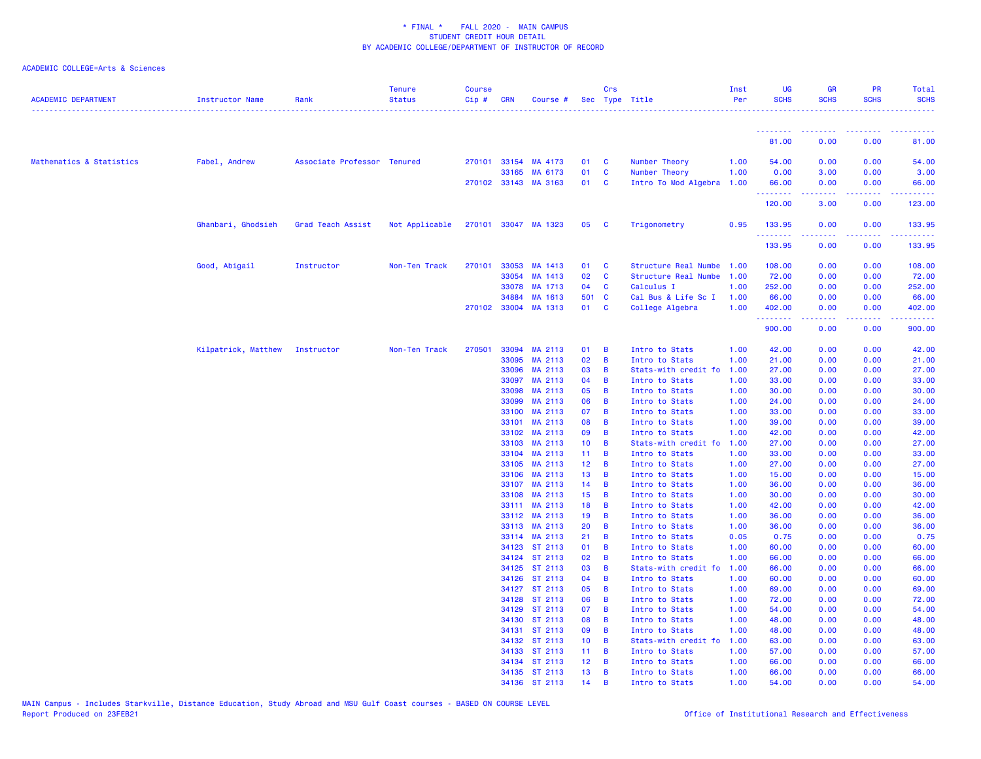| <b>ACADEMIC DEPARTMENT</b> | <b>Instructor Name</b> | Rank                        | <b>Tenure</b><br><b>Status</b> | <b>Course</b><br>Cip# | <b>CRN</b>     | Course #             |                       | Crs                 | Sec Type Title                   | Inst<br>Per  | <b>UG</b><br><b>SCHS</b> | <b>GR</b><br><b>SCHS</b>                                                                                                                                     | <b>PR</b><br><b>SCHS</b>                     | Total<br><b>SCHS</b>                                                                                                                                                                      |
|----------------------------|------------------------|-----------------------------|--------------------------------|-----------------------|----------------|----------------------|-----------------------|---------------------|----------------------------------|--------------|--------------------------|--------------------------------------------------------------------------------------------------------------------------------------------------------------|----------------------------------------------|-------------------------------------------------------------------------------------------------------------------------------------------------------------------------------------------|
|                            |                        |                             |                                |                       |                |                      |                       |                     |                                  |              | <u> - - - - - - - -</u>  | <b><i><u>AAAAAAAA</u></i></b>                                                                                                                                | <b><i><u><u> - - - - - - - -</u></u></i></b> | <u>.</u>                                                                                                                                                                                  |
|                            |                        |                             |                                |                       |                |                      |                       |                     |                                  |              | 81.00                    | 0.00                                                                                                                                                         | 0.00                                         | 81.00                                                                                                                                                                                     |
| Mathematics & Statistics   | Fabel, Andrew          | Associate Professor Tenured |                                |                       |                | 270101 33154 MA 4173 | 01                    | <b>C</b>            | Number Theory                    | 1.00         | 54.00                    | 0.00                                                                                                                                                         | 0.00                                         | 54.00                                                                                                                                                                                     |
|                            |                        |                             |                                |                       | 33165          | MA 6173              | 01                    | <b>C</b>            | Number Theory                    | 1.00         | 0.00                     | 3.00                                                                                                                                                         | 0.00                                         | 3.00                                                                                                                                                                                      |
|                            |                        |                             |                                |                       |                | 270102 33143 MA 3163 | 01 C                  |                     | Intro To Mod Algebra 1.00        |              | 66.00                    | 0.00                                                                                                                                                         | 0.00                                         | 66.00                                                                                                                                                                                     |
|                            |                        |                             |                                |                       |                |                      |                       |                     |                                  |              | .<br>120.00              | .<br>3.00                                                                                                                                                    | .<br>0.00                                    | $\begin{array}{cccccccccc} \bullet & \bullet & \bullet & \bullet & \bullet & \bullet & \bullet & \bullet \end{array}$<br>123.00                                                           |
|                            | Ghanbari, Ghodsieh     | Grad Teach Assist           | Not Applicable                 |                       |                | 270101 33047 MA 1323 | 05                    | - C                 | Trigonometry                     | 0.95         | 133.95                   | 0.00                                                                                                                                                         | 0.00                                         | 133.95                                                                                                                                                                                    |
|                            |                        |                             |                                |                       |                |                      |                       |                     |                                  |              | .<br>133.95              | $\frac{1}{2} \left( \frac{1}{2} \right) \left( \frac{1}{2} \right) \left( \frac{1}{2} \right) \left( \frac{1}{2} \right) \left( \frac{1}{2} \right)$<br>0.00 | .<br>0.00                                    | .<br>133.95                                                                                                                                                                               |
|                            | Good, Abigail          | Instructor                  | Non-Ten Track                  | 270101                | 33053          | MA 1413              | 01                    | $\mathbf{C}$        | Structure Real Numbe             | 1.00         | 108.00                   | 0.00                                                                                                                                                         | 0.00                                         | 108.00                                                                                                                                                                                    |
|                            |                        |                             |                                |                       | 33054          | MA 1413              | 02                    | <b>C</b>            | Structure Real Numbe             | 1.00         | 72.00                    | 0.00                                                                                                                                                         | 0.00                                         | 72.00                                                                                                                                                                                     |
|                            |                        |                             |                                |                       | 33078          | MA 1713              | 04                    | <b>C</b>            | Calculus I                       | 1.00         | 252.00                   | 0.00                                                                                                                                                         | 0.00                                         | 252.00                                                                                                                                                                                    |
|                            |                        |                             |                                |                       | 34884          | MA 1613              | 501 C                 |                     | Cal Bus & Life Sc I              | 1.00         | 66.00                    | 0.00                                                                                                                                                         | 0.00                                         | 66.00                                                                                                                                                                                     |
|                            |                        |                             |                                |                       | 270102 33004   | MA 1313              | 01 C                  |                     | College Algebra                  | 1.00         | 402.00<br>.              | 0.00<br>.                                                                                                                                                    | 0.00<br>.                                    | 402.00<br>$\frac{1}{2} \left( \frac{1}{2} \right) \left( \frac{1}{2} \right) \left( \frac{1}{2} \right) \left( \frac{1}{2} \right) \left( \frac{1}{2} \right) \left( \frac{1}{2} \right)$ |
|                            |                        |                             |                                |                       |                |                      |                       |                     |                                  |              | 900.00                   | 0.00                                                                                                                                                         | 0.00                                         | 900.00                                                                                                                                                                                    |
|                            | Kilpatrick, Matthew    | Instructor                  | Non-Ten Track                  | 270501                | 33094          | MA 2113              | 01                    | $\overline{B}$      | Intro to Stats                   | 1.00         | 42.00                    | 0.00                                                                                                                                                         | 0.00                                         | 42.00                                                                                                                                                                                     |
|                            |                        |                             |                                |                       | 33095          | MA 2113              | 02                    | $\overline{B}$      | Intro to Stats                   | 1.00         | 21.00                    | 0.00                                                                                                                                                         | 0.00                                         | 21.00                                                                                                                                                                                     |
|                            |                        |                             |                                |                       | 33096          | MA 2113              | 03                    | $\overline{B}$      | Stats-with credit fo             | 1.00         | 27.00                    | 0.00                                                                                                                                                         | 0.00                                         | 27.00                                                                                                                                                                                     |
|                            |                        |                             |                                |                       | 33097          | MA 2113              | 04                    | $\overline{B}$      | Intro to Stats                   | 1.00         | 33.00                    | 0.00                                                                                                                                                         | 0.00                                         | 33.00                                                                                                                                                                                     |
|                            |                        |                             |                                |                       | 33098          | MA 2113              | 05                    | B                   | Intro to Stats                   | 1.00         | 30.00                    | 0.00                                                                                                                                                         | 0.00                                         | 30.00                                                                                                                                                                                     |
|                            |                        |                             |                                |                       | 33099          | MA 2113              | 06                    | $\overline{B}$      | Intro to Stats                   | 1.00         | 24.00                    | 0.00                                                                                                                                                         | 0.00                                         | 24.00                                                                                                                                                                                     |
|                            |                        |                             |                                |                       | 33100          | MA 2113              | 07                    | B                   | Intro to Stats                   | 1.00         | 33.00                    | 0.00                                                                                                                                                         | 0.00                                         | 33.00                                                                                                                                                                                     |
|                            |                        |                             |                                |                       | 33101          | MA 2113              | 08                    | $\overline{B}$      | Intro to Stats                   | 1.00         | 39.00                    | 0.00                                                                                                                                                         | 0.00                                         | 39.00                                                                                                                                                                                     |
|                            |                        |                             |                                |                       | 33102          | MA 2113              | 09                    | $\overline{B}$      | Intro to Stats                   | 1.00         | 42.00                    | 0.00                                                                                                                                                         | 0.00                                         | 42.00                                                                                                                                                                                     |
|                            |                        |                             |                                |                       | 33103          | MA 2113              | 10 <sub>1</sub>       | $\overline{B}$      | Stats-with credit fo             | 1.00         | 27.00                    | 0.00                                                                                                                                                         | 0.00                                         | 27.00                                                                                                                                                                                     |
|                            |                        |                             |                                |                       | 33104          | MA 2113              | 11 <sub>1</sub>       | $\overline{B}$      | Intro to Stats                   | 1.00         | 33.00                    | 0.00                                                                                                                                                         | 0.00                                         | 33.00                                                                                                                                                                                     |
|                            |                        |                             |                                |                       | 33105          | MA 2113              | 12 <sub>2</sub>       | $\overline{B}$      | Intro to Stats                   | 1.00         | 27.00                    | 0.00                                                                                                                                                         | 0.00                                         | 27.00                                                                                                                                                                                     |
|                            |                        |                             |                                |                       | 33106          | MA 2113              | 13 <sub>1</sub>       | $\overline{B}$      | Intro to Stats                   | 1.00         | 15.00                    | 0.00                                                                                                                                                         | 0.00                                         | 15.00                                                                                                                                                                                     |
|                            |                        |                             |                                |                       | 33107<br>33108 | MA 2113<br>MA 2113   | 14<br>15 <sub>1</sub> | B<br>$\overline{B}$ | Intro to Stats<br>Intro to Stats | 1.00<br>1.00 | 36.00<br>30.00           | 0.00<br>0.00                                                                                                                                                 | 0.00<br>0.00                                 | 36.00<br>30.00                                                                                                                                                                            |
|                            |                        |                             |                                |                       |                | 33111 MA 2113        | 18                    | $\overline{B}$      | Intro to Stats                   |              | 42.00                    | 0.00                                                                                                                                                         | 0.00                                         | 42.00                                                                                                                                                                                     |
|                            |                        |                             |                                |                       | 33112          | MA 2113              | 19                    | B                   | Intro to Stats                   | 1.00<br>1.00 | 36.00                    | 0.00                                                                                                                                                         | 0.00                                         | 36.00                                                                                                                                                                                     |
|                            |                        |                             |                                |                       | 33113          | MA 2113              | 20                    | $\overline{B}$      | Intro to Stats                   | 1.00         | 36.00                    | 0.00                                                                                                                                                         | 0.00                                         | 36.00                                                                                                                                                                                     |
|                            |                        |                             |                                |                       | 33114          | MA 2113              | 21                    | $\overline{B}$      | Intro to Stats                   | 0.05         | 0.75                     | 0.00                                                                                                                                                         | 0.00                                         | 0.75                                                                                                                                                                                      |
|                            |                        |                             |                                |                       | 34123          | ST 2113              | 01                    | $\overline{B}$      | Intro to Stats                   | 1.00         | 60.00                    | 0.00                                                                                                                                                         | 0.00                                         | 60.00                                                                                                                                                                                     |
|                            |                        |                             |                                |                       | 34124          | ST 2113              | 02                    | $\overline{B}$      | Intro to Stats                   | 1.00         | 66.00                    | 0.00                                                                                                                                                         | 0.00                                         | 66.00                                                                                                                                                                                     |
|                            |                        |                             |                                |                       | 34125          | ST 2113              | 03                    | $\overline{B}$      | Stats-with credit fo             | 1.00         | 66.00                    | 0.00                                                                                                                                                         | 0.00                                         | 66.00                                                                                                                                                                                     |
|                            |                        |                             |                                |                       | 34126          | ST 2113              | 04                    | $\overline{B}$      | Intro to Stats                   | 1.00         | 60.00                    | 0.00                                                                                                                                                         | 0.00                                         | 60.00                                                                                                                                                                                     |
|                            |                        |                             |                                |                       | 34127          | ST 2113              | 05                    | $\overline{B}$      | Intro to Stats                   | 1.00         | 69.00                    | 0.00                                                                                                                                                         | 0.00                                         | 69.00                                                                                                                                                                                     |
|                            |                        |                             |                                |                       | 34128          | ST 2113              | 06                    | $\overline{B}$      | Intro to Stats                   | 1.00         | 72.00                    | 0.00                                                                                                                                                         | 0.00                                         | 72.00                                                                                                                                                                                     |
|                            |                        |                             |                                |                       | 34129          | ST 2113              | 07                    | $\overline{B}$      | Intro to Stats                   | 1.00         | 54.00                    | 0.00                                                                                                                                                         | 0.00                                         | 54.00                                                                                                                                                                                     |
|                            |                        |                             |                                |                       | 34130          | ST 2113              | 08                    | $\overline{B}$      | Intro to Stats                   | 1.00         | 48.00                    | 0.00                                                                                                                                                         | 0.00                                         | 48.00                                                                                                                                                                                     |
|                            |                        |                             |                                |                       | 34131          | ST 2113              | 09                    | $\overline{B}$      | Intro to Stats                   | 1.00         | 48.00                    | 0.00                                                                                                                                                         | 0.00                                         | 48.00                                                                                                                                                                                     |
|                            |                        |                             |                                |                       | 34132          | ST 2113              | 10 <sub>1</sub>       | $\overline{B}$      | Stats-with credit fo             | 1.00         | 63.00                    | 0.00                                                                                                                                                         | 0.00                                         | 63.00                                                                                                                                                                                     |
|                            |                        |                             |                                |                       |                | 34133 ST 2113        | $11 -$                | $\overline{B}$      | Intro to Stats                   | 1.00         | 57.00                    | 0.00                                                                                                                                                         | 0.00                                         | 57.00                                                                                                                                                                                     |
|                            |                        |                             |                                |                       | 34134          | ST 2113              | 12 <sub>2</sub>       | $\overline{B}$      | Intro to Stats                   | 1.00         | 66.00                    | 0.00                                                                                                                                                         | 0.00                                         | 66.00                                                                                                                                                                                     |
|                            |                        |                             |                                |                       |                | 34135 ST 2113        | 13                    | $\overline{B}$      | Intro to Stats                   | 1.00         | 66.00                    | 0.00                                                                                                                                                         | 0.00                                         | 66.00                                                                                                                                                                                     |
|                            |                        |                             |                                |                       |                | 34136 ST 2113        | 14                    | B                   | Intro to Stats                   | 1.00         | 54.00                    | 0.00                                                                                                                                                         | 0.00                                         | 54.00                                                                                                                                                                                     |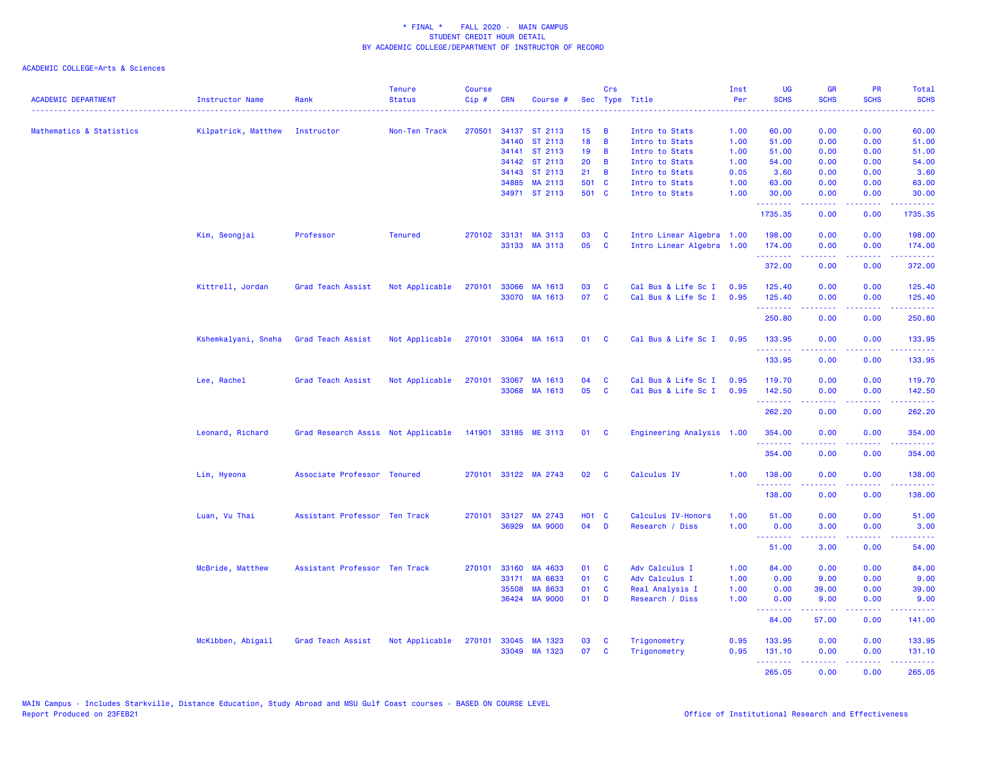| <b>ACADEMIC DEPARTMENT</b> | <b>Instructor Name</b> | Rank                               | <b>Tenure</b><br><b>Status</b> | <b>Course</b><br>Cip# | <b>CRN</b> | Course #             |              | Crs            | Sec Type Title            | Inst<br>Per | <b>UG</b><br><b>SCHS</b>                         | <b>GR</b><br><b>SCHS</b>                                                                                                                             | <b>PR</b><br><b>SCHS</b>                                                                                                  | Total<br><b>SCHS</b>    |
|----------------------------|------------------------|------------------------------------|--------------------------------|-----------------------|------------|----------------------|--------------|----------------|---------------------------|-------------|--------------------------------------------------|------------------------------------------------------------------------------------------------------------------------------------------------------|---------------------------------------------------------------------------------------------------------------------------|-------------------------|
| Mathematics & Statistics   | Kilpatrick, Matthew    | Instructor                         | Non-Ten Track                  | 270501                |            | 34137 ST 2113        | 15           | B              | Intro to Stats            | 1.00        | 60.00                                            | 0.00                                                                                                                                                 | 0.00                                                                                                                      | 60.00                   |
|                            |                        |                                    |                                |                       |            | 34140 ST 2113        | 18           | B              | Intro to Stats            | 1.00        | 51.00                                            | 0.00                                                                                                                                                 | 0.00                                                                                                                      | 51.00                   |
|                            |                        |                                    |                                |                       |            | 34141 ST 2113        | 19           | B              | Intro to Stats            | 1.00        | 51.00                                            | 0.00                                                                                                                                                 | 0.00                                                                                                                      | 51.00                   |
|                            |                        |                                    |                                |                       |            | 34142 ST 2113        | 20           | B              | Intro to Stats            | 1.00        | 54.00                                            | 0.00                                                                                                                                                 | 0.00                                                                                                                      | 54.00                   |
|                            |                        |                                    |                                |                       |            | 34143 ST 2113        | 21           | $\overline{B}$ | Intro to Stats            | 0.05        | 3.60                                             | 0.00                                                                                                                                                 | 0.00                                                                                                                      | 3.60                    |
|                            |                        |                                    |                                |                       |            | 34885 MA 2113        | 501 C        |                | Intro to Stats            | 1.00        | 63.00                                            | 0.00                                                                                                                                                 | 0.00                                                                                                                      | 63.00                   |
|                            |                        |                                    |                                |                       |            | 34971 ST 2113        | 501 C        |                | Intro to Stats            | 1.00        | 30.00<br><b>.</b> .                              | 0.00<br>.                                                                                                                                            | 0.00<br>بالانادا                                                                                                          | 30.00<br>وعامام ماما    |
|                            |                        |                                    |                                |                       |            |                      |              |                |                           |             | 1735.35                                          | 0.00                                                                                                                                                 | 0.00                                                                                                                      | 1735.35                 |
|                            | Kim, Seongjai          | Professor                          | <b>Tenured</b>                 |                       |            | 270102 33131 MA 3113 | 03           | C              | Intro Linear Algebra 1.00 |             | 198.00                                           | 0.00                                                                                                                                                 | 0.00                                                                                                                      | 198.00                  |
|                            |                        |                                    |                                |                       |            | 33133 MA 3113        | 05           | $\mathbf{C}$   | Intro Linear Algebra 1.00 |             | 174.00<br>.                                      | 0.00<br>-----                                                                                                                                        | 0.00<br>بالأباب                                                                                                           | 174.00<br>د د د د د د د |
|                            |                        |                                    |                                |                       |            |                      |              |                |                           |             | 372.00                                           | 0.00                                                                                                                                                 | 0.00                                                                                                                      | 372.00                  |
|                            | Kittrell, Jordan       | Grad Teach Assist                  | Not Applicable                 | 270101                | 33066      | MA 1613              | 03           | C              | Cal Bus & Life Sc I       | 0.95        | 125.40                                           | 0.00                                                                                                                                                 | 0.00                                                                                                                      | 125.40                  |
|                            |                        |                                    |                                |                       |            | 33070 MA 1613        | 07           | $\mathbf{C}$   | Cal Bus & Life Sc I       | 0.95        | 125.40<br><u>.</u> .                             | 0.00<br>22222                                                                                                                                        | 0.00<br>.                                                                                                                 | 125.40<br>.             |
|                            |                        |                                    |                                |                       |            |                      |              |                |                           |             | 250.80                                           | 0.00                                                                                                                                                 | 0.00                                                                                                                      | 250.80                  |
|                            | Kshemkalyani, Sneha    | Grad Teach Assist                  | Not Applicable                 |                       |            | 270101 33064 MA 1613 | 01 C         |                | Cal Bus & Life Sc I       | 0.95        | 133.95<br>.                                      | 0.00                                                                                                                                                 | 0.00                                                                                                                      | 133.95<br>.             |
|                            |                        |                                    |                                |                       |            |                      |              |                |                           |             | 133.95                                           | .<br>0.00                                                                                                                                            | بالمحامر<br>0.00                                                                                                          | 133.95                  |
|                            | Lee, Rachel            | Grad Teach Assist                  | Not Applicable                 | 270101                |            | 33067 MA 1613        | 04           | <b>C</b>       | Cal Bus & Life Sc I       | 0.95        | 119.70                                           | 0.00                                                                                                                                                 | 0.00                                                                                                                      | 119.70                  |
|                            |                        |                                    |                                |                       |            | 33068 MA 1613        | 05           | <b>C</b>       | Cal Bus & Life Sc I       | 0.95        | 142.50                                           | 0.00                                                                                                                                                 | 0.00                                                                                                                      | 142.50                  |
|                            |                        |                                    |                                |                       |            |                      |              |                |                           |             | <u>.</u><br>262.20                               | <u>.</u><br>0.00                                                                                                                                     | .<br>0.00                                                                                                                 | .<br>262.20             |
|                            |                        |                                    |                                |                       |            |                      |              |                |                           |             |                                                  |                                                                                                                                                      |                                                                                                                           |                         |
|                            | Leonard, Richard       | Grad Research Assis Not Applicable |                                |                       |            | 141901 33185 ME 3113 | 01           | $\mathbf{C}$   | Engineering Analysis 1.00 |             | 354.00<br>.                                      | 0.00                                                                                                                                                 | 0.00<br>$\omega$ is a $\omega$                                                                                            | 354.00<br>.             |
|                            |                        |                                    |                                |                       |            |                      |              |                |                           |             | 354.00                                           | 0.00                                                                                                                                                 | 0.00                                                                                                                      | 354.00                  |
|                            | Lim, Hyeona            | Associate Professor Tenured        |                                |                       |            | 270101 33122 MA 2743 | 02           | $\mathbf{C}$   | Calculus IV               | 1.00        | 138.00<br>.                                      | 0.00<br>.                                                                                                                                            | 0.00<br>.                                                                                                                 | 138.00<br>.             |
|                            |                        |                                    |                                |                       |            |                      |              |                |                           |             | 138.00                                           | 0.00                                                                                                                                                 | 0.00                                                                                                                      | 138.00                  |
|                            | Luan, Vu Thai          | Assistant Professor Ten Track      |                                | 270101                | 33127      | MA 2743              | <b>HO1 C</b> |                | Calculus IV-Honors        | 1.00        | 51.00                                            | 0.00                                                                                                                                                 | 0.00                                                                                                                      | 51.00                   |
|                            |                        |                                    |                                |                       |            | 36929 MA 9000        | $04$ D       |                | Research / Diss           | 1.00        | 0.00                                             | 3.00                                                                                                                                                 | 0.00                                                                                                                      | 3.00                    |
|                            |                        |                                    |                                |                       |            |                      |              |                |                           |             | <b><i><u><u><b>Little Little</b></u></u></i></b> |                                                                                                                                                      | $  -$                                                                                                                     | .                       |
|                            |                        |                                    |                                |                       |            |                      |              |                |                           |             | 51.00                                            | 3.00                                                                                                                                                 | 0.00                                                                                                                      | 54.00                   |
|                            | McBride, Matthew       | Assistant Professor Ten Track      |                                | 270101                | 33160      | MA 4633              | 01           | <b>C</b>       | Adv Calculus I            | 1.00        | 84.00                                            | 0.00                                                                                                                                                 | 0.00                                                                                                                      | 84.00                   |
|                            |                        |                                    |                                |                       | 33171      | MA 6633              | 01           | $\mathbf{C}$   | Adv Calculus I            | 1.00        | 0.00                                             | 9.00                                                                                                                                                 | 0.00                                                                                                                      | 9.00                    |
|                            |                        |                                    |                                |                       | 35508      | MA 8633              | 01           | C              | Real Analysis I           | 1.00        | 0.00                                             | 39.00                                                                                                                                                | 0.00                                                                                                                      | 39.00                   |
|                            |                        |                                    |                                |                       |            | 36424 MA 9000        | 01           | $\mathbf{D}$   | Research / Diss           | 1.00        | 0.00<br><b>.</b> .                               | 9.00<br>.                                                                                                                                            | 0.00<br>.                                                                                                                 | 9.00<br>وعامام ماما     |
|                            |                        |                                    |                                |                       |            |                      |              |                |                           |             | 84.00                                            | 57.00                                                                                                                                                | 0.00                                                                                                                      | 141.00                  |
|                            | McKibben, Abigail      | Grad Teach Assist                  | Not Applicable                 | 270101                |            | 33045 MA 1323        | 03           | C              | Trigonometry              | 0.95        | 133.95                                           | 0.00                                                                                                                                                 | 0.00                                                                                                                      | 133.95                  |
|                            |                        |                                    |                                |                       |            | 33049 MA 1323        | 07           | <b>C</b>       | Trigonometry              | 0.95        | 131.10                                           | 0.00                                                                                                                                                 | 0.00                                                                                                                      | 131.10                  |
|                            |                        |                                    |                                |                       |            |                      |              |                |                           |             | <u>.</u>                                         | $\frac{1}{2} \left( \frac{1}{2} \right) \left( \frac{1}{2} \right) \left( \frac{1}{2} \right) \left( \frac{1}{2} \right) \left( \frac{1}{2} \right)$ | $\frac{1}{2} \left( \frac{1}{2} \right) \left( \frac{1}{2} \right) \left( \frac{1}{2} \right) \left( \frac{1}{2} \right)$ | <b><i><u></u></i></b>   |
|                            |                        |                                    |                                |                       |            |                      |              |                |                           |             | 265.05                                           | 0.00                                                                                                                                                 | 0.00                                                                                                                      | 265.05                  |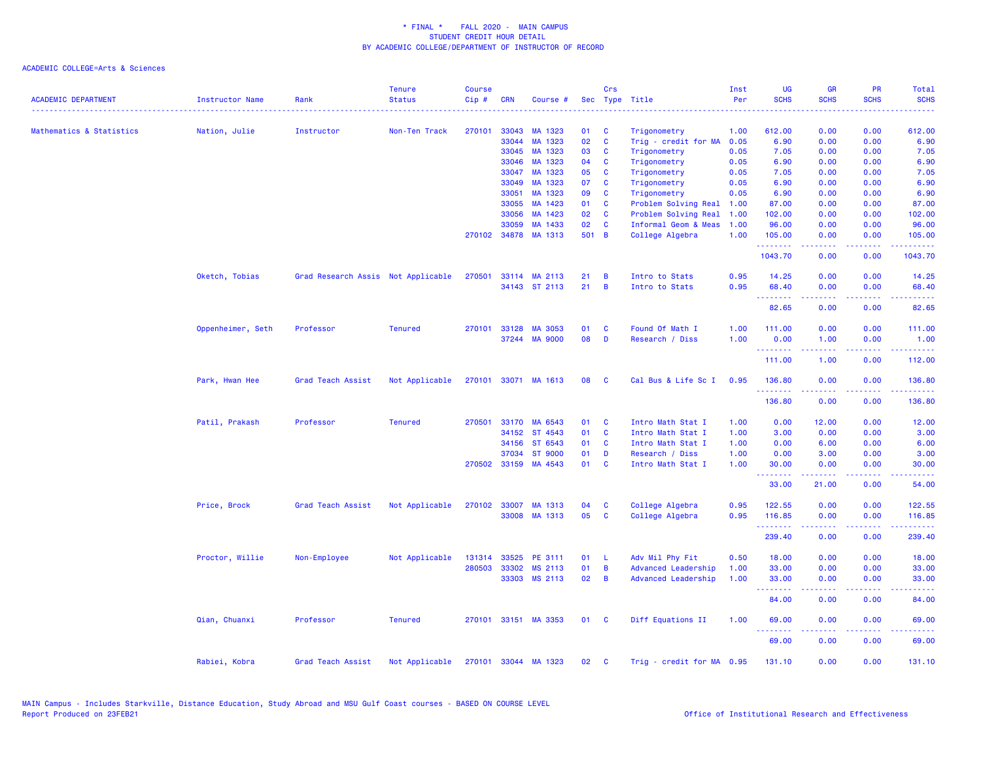| <b>ACADEMIC DEPARTMENT</b>          | <b>Instructor Name</b> | Rank                               | <b>Tenure</b><br><b>Status</b> | <b>Course</b><br>Cip# | <b>CRN</b>   | Course #             |       | Crs                     | Sec Type Title            | Inst<br>Per | UG<br><b>SCHS</b> | <b>GR</b><br><b>SCHS</b> | <b>PR</b><br><b>SCHS</b>     | Total<br><b>SCHS</b>                                                                                                                                            |
|-------------------------------------|------------------------|------------------------------------|--------------------------------|-----------------------|--------------|----------------------|-------|-------------------------|---------------------------|-------------|-------------------|--------------------------|------------------------------|-----------------------------------------------------------------------------------------------------------------------------------------------------------------|
|                                     |                        |                                    |                                |                       |              |                      |       |                         |                           |             |                   |                          |                              |                                                                                                                                                                 |
| <b>Mathematics &amp; Statistics</b> | Nation, Julie          | Instructor                         | Non-Ten Track                  | 270101                | 33043        | MA 1323              | 01    | C                       | Trigonometry              | 1.00        | 612.00            | 0.00                     | 0.00                         | 612.00                                                                                                                                                          |
|                                     |                        |                                    |                                |                       | 33044        | MA 1323              | 02    | C                       | Trig - credit for MA      | 0.05        | 6.90              | 0.00                     | 0.00                         | 6.90                                                                                                                                                            |
|                                     |                        |                                    |                                |                       | 33045        | MA 1323              | 03    | C                       | Trigonometry              | 0.05        | 7.05              | 0.00                     | 0.00                         | 7.05                                                                                                                                                            |
|                                     |                        |                                    |                                |                       | 33046        | MA 1323              | 04    | C                       | Trigonometry              | 0.05        | 6.90              | 0.00                     | 0.00                         | 6.90                                                                                                                                                            |
|                                     |                        |                                    |                                |                       | 33047        | MA 1323              | 05    | C                       | Trigonometry              | 0.05        | 7.05              | 0.00                     | 0.00                         | 7.05                                                                                                                                                            |
|                                     |                        |                                    |                                |                       | 33049        | MA 1323              | 07    | <b>C</b>                | Trigonometry              | 0.05        | 6.90              | 0.00                     | 0.00                         | 6.90                                                                                                                                                            |
|                                     |                        |                                    |                                |                       | 33051        | MA 1323              | 09    | C                       | Trigonometry              | 0.05        | 6.90              | 0.00                     | 0.00                         | 6.90                                                                                                                                                            |
|                                     |                        |                                    |                                |                       | 33055        | MA 1423              | 01    | C                       | Problem Solving Real      | 1.00        | 87.00             | 0.00                     | 0.00                         | 87.00                                                                                                                                                           |
|                                     |                        |                                    |                                |                       | 33056        | MA 1423              | 02    | C                       | Problem Solving Real      | 1.00        | 102.00            | 0.00                     | 0.00                         | 102.00                                                                                                                                                          |
|                                     |                        |                                    |                                |                       | 33059        | MA 1433              | 02    | C                       | Informal Geom & Meas      | 1.00        | 96.00             | 0.00                     | 0.00                         | 96.00                                                                                                                                                           |
|                                     |                        |                                    |                                |                       |              | 270102 34878 MA 1313 | 501 B |                         | College Algebra           | 1.00        | 105.00            | 0.00                     | 0.00                         | 105.00                                                                                                                                                          |
|                                     |                        |                                    |                                |                       |              |                      |       |                         |                           |             | .<br>1043.70      | .<br>0.00                | .<br>0.00                    | $\frac{1}{2} \left( \frac{1}{2} \right) \left( \frac{1}{2} \right) \left( \frac{1}{2} \right) \left( \frac{1}{2} \right) \left( \frac{1}{2} \right)$<br>1043.70 |
|                                     | Oketch, Tobias         | Grad Research Assis Not Applicable |                                | 270501                |              | 33114 MA 2113        | 21    | B                       | Intro to Stats            | 0.95        | 14.25             | 0.00                     | 0.00                         | 14.25                                                                                                                                                           |
|                                     |                        |                                    |                                |                       |              | 34143 ST 2113        | 21    | B                       | Intro to Stats            | 0.95        | 68.40<br>.        | 0.00                     | 0.00                         | 68.40                                                                                                                                                           |
|                                     |                        |                                    |                                |                       |              |                      |       |                         |                           |             | 82.65             | 0.00                     | 0.00                         | 82.65                                                                                                                                                           |
|                                     | Oppenheimer, Seth      | Professor                          | <b>Tenured</b>                 |                       | 270101 33128 | MA 3053              | 01    | C                       | Found Of Math I           | 1.00        | 111.00            | 0.00                     | 0.00                         | 111.00                                                                                                                                                          |
|                                     |                        |                                    |                                |                       |              | 37244 MA 9000        | 08    | D                       | Research / Diss           | 1.00        | 0.00              | 1.00                     | 0.00                         | 1.00                                                                                                                                                            |
|                                     |                        |                                    |                                |                       |              |                      |       |                         |                           |             | .<br>111.00       | 22222<br>1.00            | .<br>0.00                    | $\frac{1}{2} \left( \frac{1}{2} \right) \left( \frac{1}{2} \right) \left( \frac{1}{2} \right) \left( \frac{1}{2} \right) \left( \frac{1}{2} \right)$<br>112.00  |
|                                     |                        |                                    |                                |                       |              |                      |       |                         |                           |             |                   |                          |                              |                                                                                                                                                                 |
|                                     | Park, Hwan Hee         | Grad Teach Assist                  | Not Applicable                 |                       |              | 270101 33071 MA 1613 | 08    | <b>C</b>                | Cal Bus & Life Sc I       | 0.95        | 136.80<br>.       | 0.00                     | 0.00                         | 136.80                                                                                                                                                          |
|                                     |                        |                                    |                                |                       |              |                      |       |                         |                           |             | 136.80            | 0.00                     | 0.00                         | 136.80                                                                                                                                                          |
|                                     | Patil, Prakash         | Professor                          | <b>Tenured</b>                 | 270501                |              | 33170 MA 6543        | 01    | C                       | Intro Math Stat I         | 1.00        | 0.00              | 12.00                    | 0.00                         | 12.00                                                                                                                                                           |
|                                     |                        |                                    |                                |                       | 34152        | ST 4543              | 01    | <b>C</b>                | Intro Math Stat I         | 1.00        | 3.00              | 0.00                     | 0.00                         | 3.00                                                                                                                                                            |
|                                     |                        |                                    |                                |                       | 34156        | ST 6543              | 01    | <b>C</b>                | Intro Math Stat I         | 1.00        | 0.00              | 6.00                     | 0.00                         | 6.00                                                                                                                                                            |
|                                     |                        |                                    |                                |                       | 37034        | <b>ST 9000</b>       | 01    | D                       | Research / Diss           | 1.00        | 0.00              | 3.00                     | 0.00                         | 3.00                                                                                                                                                            |
|                                     |                        |                                    |                                |                       | 270502 33159 | MA 4543              | 01    | C                       | Intro Math Stat I         | 1.00        | 30.00<br>.        | 0.00<br>المتمام المتمار  | 0.00<br>.                    | 30.00<br>د د د د د                                                                                                                                              |
|                                     |                        |                                    |                                |                       |              |                      |       |                         |                           |             | 33.00             | 21.00                    | 0.00                         | 54.00                                                                                                                                                           |
|                                     | Price, Brock           | Grad Teach Assist                  | Not Applicable                 |                       | 270102 33007 | MA 1313              | 04    | <b>C</b>                | College Algebra           | 0.95        | 122.55            | 0.00                     | 0.00                         | 122.55                                                                                                                                                          |
|                                     |                        |                                    |                                |                       | 33008        | MA 1313              | 05    | C                       | College Algebra           | 0.95        | 116.85            | 0.00                     | 0.00                         | 116.85                                                                                                                                                          |
|                                     |                        |                                    |                                |                       |              |                      |       |                         |                           |             | .<br>239.40       | 0.00                     | $\sim$ $\sim$ $\sim$<br>0.00 | 239.40                                                                                                                                                          |
|                                     | Proctor, Willie        | Non-Employee                       | Not Applicable                 | 131314                | 33525        | PE 3111              | 01    | -L                      | Adv Mil Phy Fit           | 0.50        | 18.00             | 0.00                     | 0.00                         | 18.00                                                                                                                                                           |
|                                     |                        |                                    |                                | 280503                | 33302        | MS 2113              | 01    | B                       | Advanced Leadership       | 1.00        | 33.00             | 0.00                     | 0.00                         | 33.00                                                                                                                                                           |
|                                     |                        |                                    |                                |                       | 33303        | MS 2113              | 02    | B                       | Advanced Leadership       | 1.00        | 33.00             | 0.00                     | 0.00                         | 33.00                                                                                                                                                           |
|                                     |                        |                                    |                                |                       |              |                      |       |                         |                           |             | .<br>84.00        | 0.00                     | 0.00                         | 84.00                                                                                                                                                           |
|                                     | Qian, Chuanxi          | Professor                          | <b>Tenured</b>                 |                       |              | 270101 33151 MA 3353 | 01    | $\overline{\mathbf{c}}$ | Diff Equations II         | 1.00        | 69.00             | 0.00                     | 0.00                         | 69.00                                                                                                                                                           |
|                                     |                        |                                    |                                |                       |              |                      |       |                         |                           |             | .                 | .                        | .                            | المتمامين                                                                                                                                                       |
|                                     |                        |                                    |                                |                       |              |                      |       |                         |                           |             | 69.00             | 0.00                     | 0.00                         | 69.00                                                                                                                                                           |
|                                     | Rabiei, Kobra          | Grad Teach Assist                  | Not Applicable                 |                       |              | 270101 33044 MA 1323 | 02    | <b>C</b>                | Trig - credit for MA 0.95 |             | 131.10            | 0.00                     | 0.00                         | 131.10                                                                                                                                                          |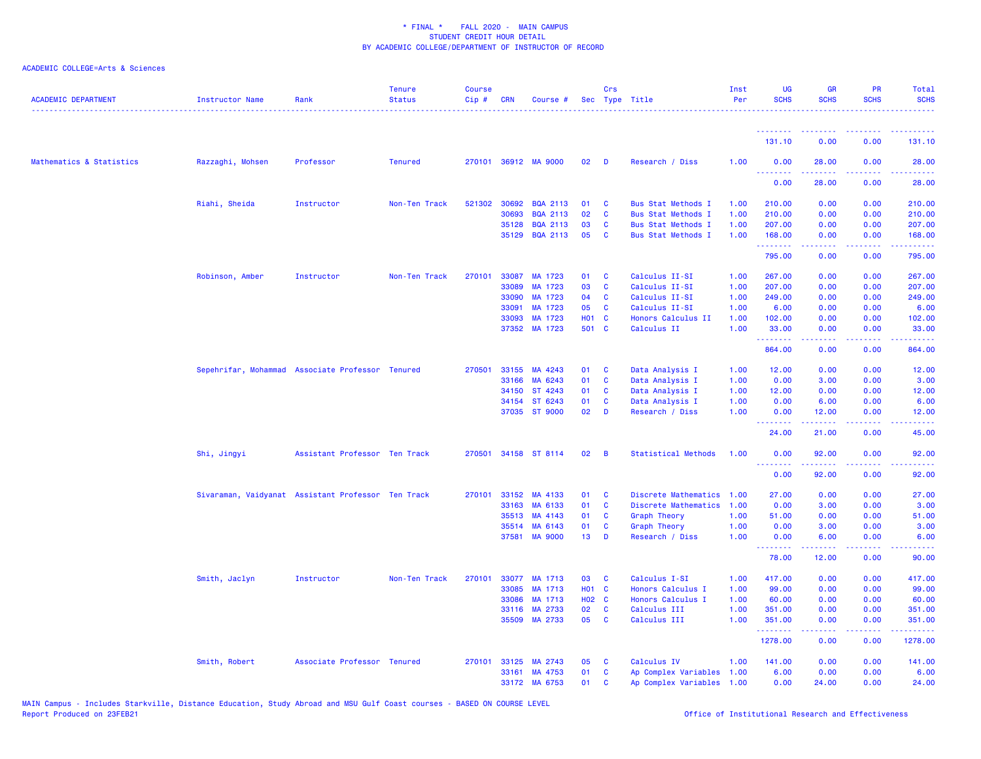| <b>ACADEMIC DEPARTMENT</b> | <b>Instructor Name</b>                             | Rank                          | <b>Tenure</b><br><b>Status</b> | <b>Course</b><br>Cip# | <b>CRN</b> | Course #             |              | Crs            | Sec Type Title             | Inst<br>Per | UG<br><b>SCHS</b>                                  | <b>GR</b><br><b>SCHS</b> | <b>PR</b><br><b>SCHS</b> | Total<br><b>SCHS</b>             |
|----------------------------|----------------------------------------------------|-------------------------------|--------------------------------|-----------------------|------------|----------------------|--------------|----------------|----------------------------|-------------|----------------------------------------------------|--------------------------|--------------------------|----------------------------------|
|                            |                                                    |                               |                                |                       |            |                      |              |                |                            |             |                                                    |                          |                          |                                  |
|                            |                                                    |                               |                                |                       |            |                      |              |                |                            |             | 131.10                                             | 0.00                     | 0.00                     | 131.10                           |
| Mathematics & Statistics   | Razzaghi, Mohsen                                   | Professor                     | <b>Tenured</b>                 |                       |            | 270101 36912 MA 9000 | 02           | - D            | Research / Diss            | 1.00        | 0.00<br><u>.</u>                                   | 28.00                    | 0.00                     | 28.00<br>.                       |
|                            |                                                    |                               |                                |                       |            |                      |              |                |                            |             | 0.00                                               | 28.00                    | 0.00                     | 28.00                            |
|                            | Riahi, Sheida                                      | Instructor                    | Non-Ten Track                  | 521302                | 30692      | <b>BQA 2113</b>      | 01           | C              | <b>Bus Stat Methods I</b>  | 1.00        | 210.00                                             | 0.00                     | 0.00                     | 210.00                           |
|                            |                                                    |                               |                                |                       | 30693      | <b>BQA 2113</b>      | 02           | C              | <b>Bus Stat Methods I</b>  | 1.00        | 210.00                                             | 0.00                     | 0.00                     | 210.00                           |
|                            |                                                    |                               |                                |                       | 35128      | <b>BQA 2113</b>      | 03           | C              | <b>Bus Stat Methods I</b>  | 1.00        | 207.00                                             | 0.00                     | 0.00                     | 207.00                           |
|                            |                                                    |                               |                                |                       |            | 35129 BQA 2113       | 05           | <b>C</b>       | <b>Bus Stat Methods I</b>  | 1.00        | 168.00<br>.                                        | 0.00<br>22222            | 0.00<br>.                | 168.00<br>بالأباليات             |
|                            |                                                    |                               |                                |                       |            |                      |              |                |                            |             | 795.00                                             | 0.00                     | 0.00                     | 795.00                           |
|                            | Robinson, Amber                                    | Instructor                    | Non-Ten Track                  | 270101                | 33087      | MA 1723              | 01           | C              | Calculus II-SI             | 1.00        | 267.00                                             | 0.00                     | 0.00                     | 267.00                           |
|                            |                                                    |                               |                                |                       | 33089      | MA 1723              | 03           | C              | Calculus II-SI             | 1.00        | 207.00                                             | 0.00                     | 0.00                     | 207.00                           |
|                            |                                                    |                               |                                |                       | 33090      | MA 1723              | 04           | <b>C</b>       | Calculus II-SI             | 1.00        | 249.00                                             | 0.00                     | 0.00                     | 249.00                           |
|                            |                                                    |                               |                                |                       | 33091      | MA 1723              | 05           | C              | Calculus II-SI             | 1.00        | 6.00                                               | 0.00                     | 0.00                     | 6.00                             |
|                            |                                                    |                               |                                |                       | 33093      | MA 1723              | <b>HO1 C</b> |                | Honors Calculus II         | 1.00        | 102.00                                             | 0.00                     | 0.00                     | 102.00                           |
|                            |                                                    |                               |                                |                       |            | 37352 MA 1723        | 501 C        |                | Calculus II                | 1.00        | 33.00<br>.                                         | 0.00<br>22222            | 0.00<br>.                | 33.00<br>والمتحدث للمنابذ        |
|                            |                                                    |                               |                                |                       |            |                      |              |                |                            |             | 864.00                                             | 0.00                     | 0.00                     | 864.00                           |
|                            | Sepehrifar, Mohammad Associate Professor Tenured   |                               |                                | 270501                |            | 33155 MA 4243        | 01           | C              | Data Analysis I            | 1.00        | 12.00                                              | 0.00                     | 0.00                     | 12.00                            |
|                            |                                                    |                               |                                |                       | 33166      | MA 6243              | 01           | <b>C</b>       | Data Analysis I            | 1.00        | 0.00                                               | 3.00                     | 0.00                     | 3.00                             |
|                            |                                                    |                               |                                |                       | 34150      | ST 4243              | 01           | C              | Data Analysis I            | 1.00        | 12.00                                              | 0.00                     | 0.00                     | 12.00                            |
|                            |                                                    |                               |                                |                       | 34154      | ST 6243              | 01           | $\mathbf{C}$   | Data Analysis I            | 1.00        | 0.00                                               | 6.00                     | 0.00                     | 6.00                             |
|                            |                                                    |                               |                                |                       |            | 37035 ST 9000        | 02           | D              | Research / Diss            | 1.00        | 0.00<br>.                                          | 12.00                    | 0.00<br>د د د د          | 12.00<br>$\omega$ is $\omega$ in |
|                            |                                                    |                               |                                |                       |            |                      |              |                |                            |             | 24.00                                              | 21.00                    | 0.00                     | 45.00                            |
|                            | Shi, Jingyi                                        | Assistant Professor Ten Track |                                | 270501                |            | 34158 ST 8114        | 02           | $\overline{B}$ | <b>Statistical Methods</b> | 1.00        | 0.00<br><b><i><u><u> - - - - - - -</u></u></i></b> | 92.00<br>$- - - - -$     | 0.00<br>.                | 92.00<br>.                       |
|                            |                                                    |                               |                                |                       |            |                      |              |                |                            |             | 0.00                                               | 92.00                    | 0.00                     | 92.00                            |
|                            | Sivaraman, Vaidyanat Assistant Professor Ten Track |                               |                                | 270101                | 33152      | MA 4133              | 01           | C              | Discrete Mathematics 1.00  |             | 27.00                                              | 0.00                     | 0.00                     | 27.00                            |
|                            |                                                    |                               |                                |                       | 33163      | MA 6133              | 01           | <b>C</b>       | Discrete Mathematics       | 1.00        | 0.00                                               | 3.00                     | 0.00                     | 3.00                             |
|                            |                                                    |                               |                                |                       | 35513      | MA 4143              | 01           | C              | Graph Theory               | 1.00        | 51.00                                              | 0.00                     | 0.00                     | 51.00                            |
|                            |                                                    |                               |                                |                       | 35514      | MA 6143              | 01           | C              | <b>Graph Theory</b>        | 1.00        | 0.00                                               | 3.00                     | 0.00                     | 3.00                             |
|                            |                                                    |                               |                                |                       | 37581      | <b>MA 9000</b>       | 13           | D              | Research / Diss            | 1.00        | 0.00<br><u>.</u>                                   | 6.00<br>2.2.2.2.2        | 0.00<br>.                | 6.00<br>.                        |
|                            |                                                    |                               |                                |                       |            |                      |              |                |                            |             | 78.00                                              | 12.00                    | 0.00                     | 90.00                            |
|                            | Smith, Jaclyn                                      | Instructor                    | Non-Ten Track                  | 270101                |            | 33077 MA 1713        | 03           | <b>C</b>       | Calculus I-SI              | 1.00        | 417.00                                             | 0.00                     | 0.00                     | 417.00                           |
|                            |                                                    |                               |                                |                       | 33085      | MA 1713              | H01 C        |                | Honors Calculus I          | 1.00        | 99.00                                              | 0.00                     | 0.00                     | 99.00                            |
|                            |                                                    |                               |                                |                       | 33086      | MA 1713              | H02 C        |                | Honors Calculus I          | 1.00        | 60.00                                              | 0.00                     | 0.00                     | 60.00                            |
|                            |                                                    |                               |                                |                       | 33116      | MA 2733              | 02           | C              | Calculus III               | 1.00        | 351.00                                             | 0.00                     | 0.00                     | 351.00                           |
|                            |                                                    |                               |                                |                       |            | 35509 MA 2733        | 05           | C              | Calculus III               | 1.00        | 351.00<br>.                                        | 0.00<br>22222            | 0.00<br>.                | 351.00<br>.                      |
|                            |                                                    |                               |                                |                       |            |                      |              |                |                            |             | 1278.00                                            | 0.00                     | 0.00                     | 1278.00                          |
|                            | Smith, Robert                                      | Associate Professor Tenured   |                                | 270101                |            | 33125 MA 2743        | 05           | C              | Calculus IV                | 1.00        | 141.00                                             | 0.00                     | 0.00                     | 141.00                           |
|                            |                                                    |                               |                                |                       |            | 33161 MA 4753        | 01           | <b>C</b>       | Ap Complex Variables 1.00  |             | 6.00                                               | 0.00                     | 0.00                     | 6.00                             |
|                            |                                                    |                               |                                |                       |            | 33172 MA 6753        | 01           | <b>C</b>       | Ap Complex Variables 1.00  |             | 0.00                                               | 24.00                    | 0.00                     | 24.00                            |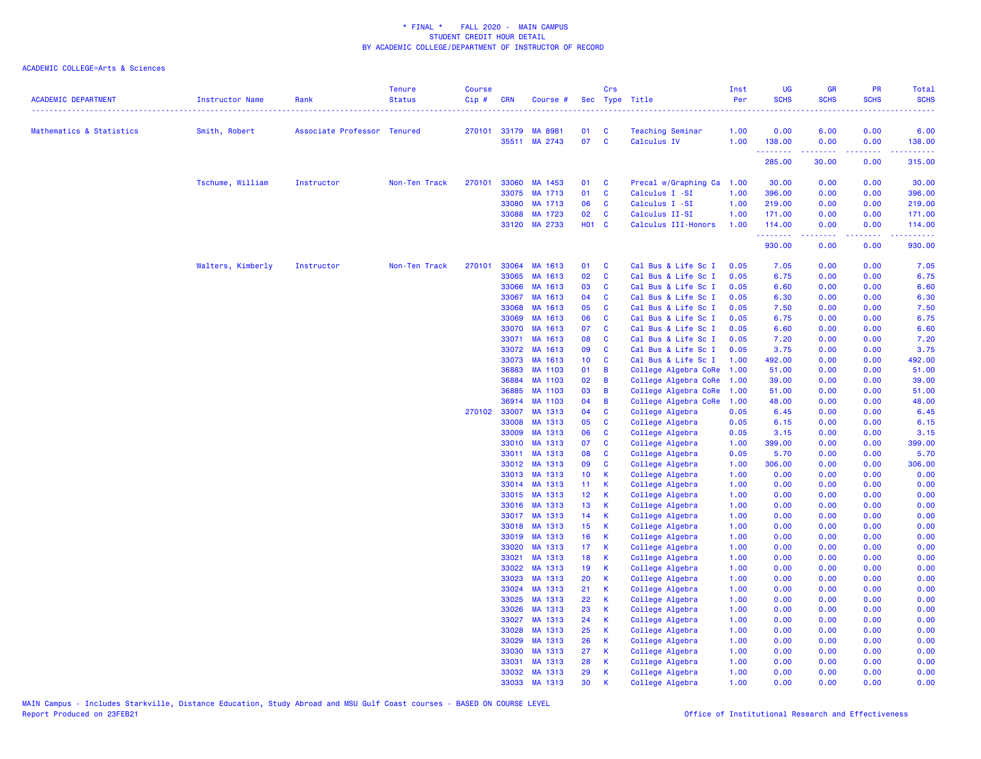| <b>ACADEMIC DEPARTMENT</b> | Instructor Name   | Rank                        | <b>Tenure</b><br><b>Status</b> | <b>Course</b><br>Cip# | <b>CRN</b>     | Course #           |                 | Crs                     | Sec Type Title<br>. <u>.</u> .     | Inst<br>Per  | <b>UG</b><br><b>SCHS</b> | <b>GR</b><br><b>SCHS</b> | PR<br><b>SCHS</b> | Total<br><b>SCHS</b> |
|----------------------------|-------------------|-----------------------------|--------------------------------|-----------------------|----------------|--------------------|-----------------|-------------------------|------------------------------------|--------------|--------------------------|--------------------------|-------------------|----------------------|
| Mathematics & Statistics   | Smith, Robert     | Associate Professor Tenured |                                |                       | 270101 33179   | MA 8981            | 01              | $\overline{\mathbf{C}}$ | <b>Teaching Seminar</b>            | 1.00         | 0.00                     | 6.00                     | 0.00              | 6.00                 |
|                            |                   |                             |                                |                       |                | 35511 MA 2743      | 07              | $\mathbf{C}$            | Calculus IV                        | 1.00         | 138.00                   | 0.00                     | 0.00              | 138.00               |
|                            |                   |                             |                                |                       |                |                    |                 |                         |                                    |              | .<br>285.00              | 30.00                    | .<br>0.00         | 315.00               |
|                            |                   |                             |                                |                       |                |                    |                 |                         |                                    |              |                          |                          |                   |                      |
|                            | Tschume, William  | Instructor                  | Non-Ten Track                  |                       | 270101 33060   | MA 1453            | 01 C            |                         | Precal w/Graphing Ca 1.00          |              | 30.00                    | 0.00                     | 0.00              | 30.00                |
|                            |                   |                             |                                |                       | 33075          | MA 1713            | 01              | $\mathbf{C}$            | Calculus I -SI                     | 1.00         | 396.00                   | 0.00                     | 0.00              | 396.00               |
|                            |                   |                             |                                |                       | 33080<br>33088 | MA 1713<br>MA 1723 | 06<br>02        | <b>C</b><br><b>C</b>    | Calculus I -SI<br>Calculus II-SI   | 1.00<br>1.00 | 219.00<br>171.00         | 0.00<br>0.00             | 0.00<br>0.00      | 219.00<br>171.00     |
|                            |                   |                             |                                |                       | 33120          | MA 2733            | <b>HO1 C</b>    |                         | Calculus III-Honors                | 1.00         | 114.00                   | 0.00                     | 0.00              | 114.00               |
|                            |                   |                             |                                |                       |                |                    |                 |                         |                                    |              | .<br>930.00              | المالم مالم ما<br>0.00   | .<br>0.00         | .<br>930.00          |
|                            | Walters, Kimberly | Instructor                  | Non-Ten Track                  | 270101                | 33064          | MA 1613            | 01              | $\mathbf{C}$            | Cal Bus & Life Sc I                | 0.05         | 7.05                     | 0.00                     | 0.00              | 7.05                 |
|                            |                   |                             |                                |                       | 33065          | MA 1613            | 02              | <b>C</b>                | Cal Bus & Life Sc I                | 0.05         | 6.75                     | 0.00                     | 0.00              | 6.75                 |
|                            |                   |                             |                                |                       | 33066          | MA 1613            | 03              | <b>C</b>                | Cal Bus & Life Sc I                | 0.05         | 6.60                     | 0.00                     | 0.00              | 6.60                 |
|                            |                   |                             |                                |                       | 33067          | MA 1613            | 04              | $\mathbf{C}$            | Cal Bus & Life Sc I                | 0.05         | 6.30                     | 0.00                     | 0.00              | 6.30                 |
|                            |                   |                             |                                |                       | 33068          | MA 1613            | 05              | <b>C</b>                | Cal Bus & Life Sc I                | 0.05         | 7.50                     | 0.00                     | 0.00              | 7.50                 |
|                            |                   |                             |                                |                       | 33069          | MA 1613            | 06              | $\mathbf{C}$            | Cal Bus & Life Sc I                | 0.05         | 6.75                     | 0.00                     | 0.00              | 6.75                 |
|                            |                   |                             |                                |                       | 33070          | MA 1613            | 07              | $\mathbf{C}$            | Cal Bus & Life Sc I                | 0.05         | 6.60                     | 0.00                     | 0.00              | 6.60                 |
|                            |                   |                             |                                |                       | 33071          | MA 1613            | 08              | $\mathbf{C}$            | Cal Bus & Life Sc I                | 0.05         | 7.20                     | 0.00                     | 0.00              | 7.20                 |
|                            |                   |                             |                                |                       | 33072          | MA 1613            | 09              | C                       | Cal Bus & Life Sc I                | 0.05         | 3.75                     | 0.00                     | 0.00              | 3.75                 |
|                            |                   |                             |                                |                       | 33073          | MA 1613            | 10 <sub>1</sub> | <b>C</b>                | Cal Bus & Life Sc I                | 1.00         | 492.00                   | 0.00                     | 0.00              | 492.00               |
|                            |                   |                             |                                |                       | 36883          | MA 1103            | 01              | $\overline{B}$          | College Algebra CoRe 1.00          |              | 51.00                    | 0.00                     | 0.00              | 51.00                |
|                            |                   |                             |                                |                       | 36884          | MA 1103            | 02              | $\overline{B}$          | College Algebra CoRe               | 1.00         | 39.00                    | 0.00                     | 0.00              | 39.00                |
|                            |                   |                             |                                |                       | 36885          | MA 1103            | 03              | B                       | College Algebra CoRe               | 1.00         | 51.00                    | 0.00                     | 0.00              | 51.00                |
|                            |                   |                             |                                |                       | 36914          | MA 1103            | 04              | B                       | College Algebra CoRe               | 1.00         | 48.00                    | 0.00                     | 0.00              | 48.00                |
|                            |                   |                             |                                | 270102                | 33007<br>33008 | MA 1313<br>MA 1313 | 04<br>05        | C<br>C                  | College Algebra<br>College Algebra | 0.05<br>0.05 | 6.45<br>6.15             | 0.00<br>0.00             | 0.00<br>0.00      | 6.45<br>6.15         |
|                            |                   |                             |                                |                       | 33009          | MA 1313            | 06              | $\mathbf{C}$            | College Algebra                    | 0.05         | 3.15                     | 0.00                     | 0.00              | 3.15                 |
|                            |                   |                             |                                |                       | 33010          | MA 1313            | 07              | $\mathbf{C}$            | College Algebra                    | 1.00         | 399.00                   | 0.00                     | 0.00              | 399.00               |
|                            |                   |                             |                                |                       | 33011          | MA 1313            | 08              | $\mathbf{C}$            | College Algebra                    | 0.05         | 5.70                     | 0.00                     | 0.00              | 5.70                 |
|                            |                   |                             |                                |                       | 33012          | MA 1313            | 09              | <b>C</b>                | College Algebra                    | 1.00         | 306.00                   | 0.00                     | 0.00              | 306.00               |
|                            |                   |                             |                                |                       | 33013          | MA 1313            | 10 <sub>1</sub> | <b>K</b>                | College Algebra                    | 1.00         | 0.00                     | 0.00                     | 0.00              | 0.00                 |
|                            |                   |                             |                                |                       | 33014          | MA 1313            | 11 <sub>1</sub> | <b>K</b>                | College Algebra                    | 1.00         | 0.00                     | 0.00                     | 0.00              | 0.00                 |
|                            |                   |                             |                                |                       | 33015          | MA 1313            | 12 <sub>1</sub> | K                       | College Algebra                    | 1.00         | 0.00                     | 0.00                     | 0.00              | 0.00                 |
|                            |                   |                             |                                |                       | 33016          | MA 1313            | 13 <sup>°</sup> | <b>K</b>                | College Algebra                    | 1.00         | 0.00                     | 0.00                     | 0.00              | 0.00                 |
|                            |                   |                             |                                |                       | 33017          | MA 1313            | 14              | $\mathbf{K}$            | College Algebra                    | 1.00         | 0.00                     | 0.00                     | 0.00              | 0.00                 |
|                            |                   |                             |                                |                       | 33018          | MA 1313            | 15              | K                       | College Algebra                    | 1.00         | 0.00                     | 0.00                     | 0.00              | 0.00                 |
|                            |                   |                             |                                |                       | 33019          | MA 1313            | 16              | K                       | College Algebra                    | 1.00         | 0.00                     | 0.00                     | 0.00              | 0.00                 |
|                            |                   |                             |                                |                       | 33020          | MA 1313            | 17              | K                       | College Algebra                    | 1.00         | 0.00                     | 0.00                     | 0.00              | 0.00                 |
|                            |                   |                             |                                |                       | 33021          | MA 1313            | 18              | $\mathsf K$             | College Algebra                    | 1.00         | 0.00                     | 0.00                     | 0.00              | 0.00                 |
|                            |                   |                             |                                |                       | 33022<br>33023 | MA 1313<br>MA 1313 | 19 <sup>°</sup> | К<br><b>K</b>           | College Algebra                    | 1.00         | 0.00<br>0.00             | 0.00<br>0.00             | 0.00<br>0.00      | 0.00<br>0.00         |
|                            |                   |                             |                                |                       | 33024          | MA 1313            | 20<br>21        | $\mathsf K$             | College Algebra<br>College Algebra | 1.00<br>1.00 | 0.00                     | 0.00                     | 0.00              | 0.00                 |
|                            |                   |                             |                                |                       | 33025          | MA 1313            | 22              | K                       | College Algebra                    | 1.00         | 0.00                     | 0.00                     | 0.00              | 0.00                 |
|                            |                   |                             |                                |                       | 33026          | MA 1313            | 23              | $\mathbf k$             | College Algebra                    | 1.00         | 0.00                     | 0.00                     | 0.00              | 0.00                 |
|                            |                   |                             |                                |                       | 33027          | MA 1313            | 24              | <b>K</b>                | College Algebra                    | 1.00         | 0.00                     | 0.00                     | 0.00              | 0.00                 |
|                            |                   |                             |                                |                       | 33028          | MA 1313            | 25              | <b>K</b>                | College Algebra                    | 1.00         | 0.00                     | 0.00                     | 0.00              | 0.00                 |
|                            |                   |                             |                                |                       | 33029          | MA 1313            | 26              | К                       | College Algebra                    | 1.00         | 0.00                     | 0.00                     | 0.00              | 0.00                 |
|                            |                   |                             |                                |                       | 33030          | MA 1313            | 27              | -K                      | College Algebra                    | 1.00         | 0.00                     | 0.00                     | 0.00              | 0.00                 |
|                            |                   |                             |                                |                       | 33031          | MA 1313            | 28              | K                       | College Algebra                    | 1.00         | 0.00                     | 0.00                     | 0.00              | 0.00                 |
|                            |                   |                             |                                |                       | 33032          | MA 1313            | 29              | K                       | College Algebra                    | 1.00         | 0.00                     | 0.00                     | 0.00              | 0.00                 |
|                            |                   |                             |                                |                       | 33033          | MA 1313            | 30              | K                       | College Algebra                    | 1.00         | 0.00                     | 0.00                     | 0.00              | 0.00                 |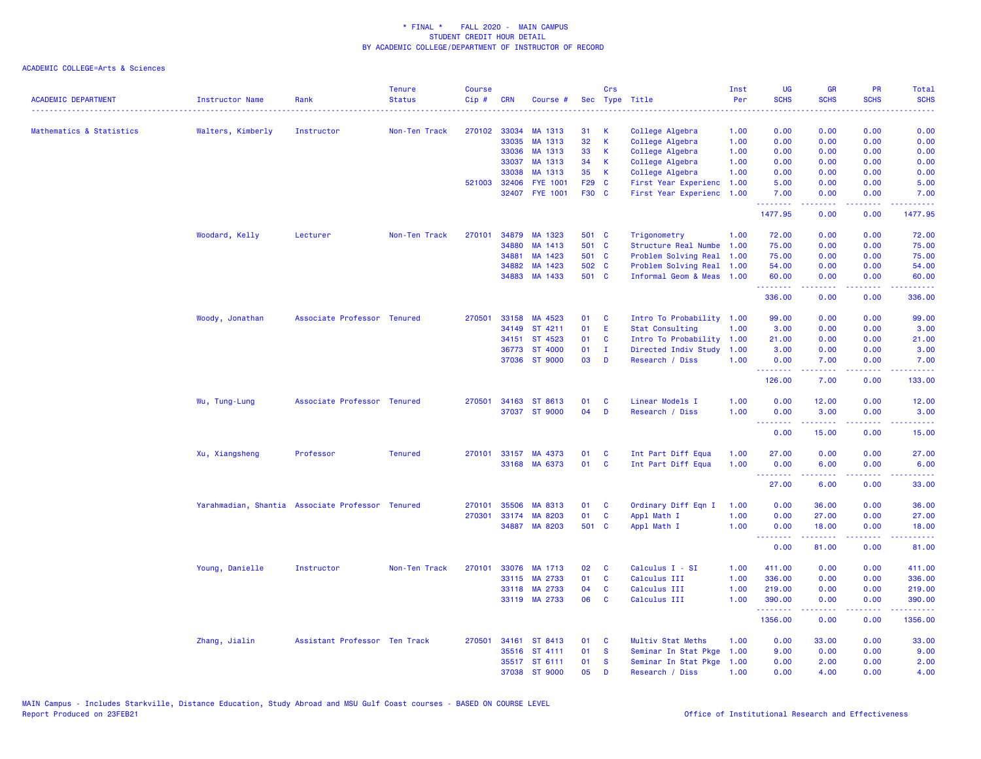| <b>ACADEMIC DEPARTMENT</b> | Instructor Name<br>.                             | Rank                          | <b>Tenure</b><br><b>Status</b> | <b>Course</b><br>Cip# | <b>CRN</b>   | Course #        |       | Crs          | Sec Type Title            | Inst<br>Per | <b>UG</b><br><b>SCHS</b>                                  | <b>GR</b><br><b>SCHS</b>      | <b>PR</b><br><b>SCHS</b> | Total<br><b>SCHS</b>   |
|----------------------------|--------------------------------------------------|-------------------------------|--------------------------------|-----------------------|--------------|-----------------|-------|--------------|---------------------------|-------------|-----------------------------------------------------------|-------------------------------|--------------------------|------------------------|
| Mathematics & Statistics   | Walters, Kimberly                                | Instructor                    | Non-Ten Track                  |                       | 270102 33034 | MA 1313         | 31    | К            | College Algebra           | 1.00        | 0.00                                                      | 0.00                          | 0.00                     | 0.00                   |
|                            |                                                  |                               |                                |                       | 33035        | MA 1313         | 32    | $\mathsf K$  | College Algebra           | 1.00        | 0.00                                                      | 0.00                          | 0.00                     | 0.00                   |
|                            |                                                  |                               |                                |                       | 33036        | MA 1313         | 33    | К            | College Algebra           | 1.00        | 0.00                                                      | 0.00                          | 0.00                     | 0.00                   |
|                            |                                                  |                               |                                |                       | 33037        | MA 1313         | 34    | К            | College Algebra           | 1.00        | 0.00                                                      | 0.00                          | 0.00                     | 0.00                   |
|                            |                                                  |                               |                                |                       | 33038        | MA 1313         | 35    | K            | College Algebra           | 1.00        | 0.00                                                      | 0.00                          | 0.00                     | 0.00                   |
|                            |                                                  |                               |                                | 521003                | 32406        | <b>FYE 1001</b> |       | F29 C        | First Year Experienc 1.00 |             | 5.00                                                      | 0.00                          | 0.00                     | 5.00                   |
|                            |                                                  |                               |                                |                       |              | 32407 FYE 1001  | F30 C |              | First Year Experienc      | 1.00        | 7.00<br>--------                                          | 0.00<br>.                     | 0.00<br>.                | 7.00<br>وساعاته عاماته |
|                            |                                                  |                               |                                |                       |              |                 |       |              |                           |             | 1477.95                                                   | 0.00                          | 0.00                     | 1477.95                |
|                            | Woodard, Kelly                                   | Lecturer                      | Non-Ten Track                  | 270101                | 34879        | MA 1323         | 501 C |              | Trigonometry              | 1.00        | 72.00                                                     | 0.00                          | 0.00                     | 72.00                  |
|                            |                                                  |                               |                                |                       | 34880        | MA 1413         | 501 C |              | Structure Real Numbe      | 1.00        | 75.00                                                     | 0.00                          | 0.00                     | 75.00                  |
|                            |                                                  |                               |                                |                       | 34881        | MA 1423         |       | 501 C        | Problem Solving Real      | 1.00        | 75.00                                                     | 0.00                          | 0.00                     | 75.00                  |
|                            |                                                  |                               |                                |                       | 34882        | MA 1423         | 502 C |              | Problem Solving Real      | 1.00        | 54.00                                                     | 0.00                          | 0.00                     | 54.00                  |
|                            |                                                  |                               |                                |                       |              | 34883 MA 1433   | 501 C |              | Informal Geom & Meas      | 1.00        | 60.00<br><b></b>                                          | 0.00<br><b><i><u></u></i></b> | 0.00<br>22222            | 60.00<br>.             |
|                            |                                                  |                               |                                |                       |              |                 |       |              |                           |             | 336.00                                                    | 0.00                          | 0.00                     | 336.00                 |
|                            | Woody, Jonathan                                  | Associate Professor Tenured   |                                | 270501                | 33158        | MA 4523         | 01    | C            | Intro To Probability 1.00 |             | 99.00                                                     | 0.00                          | 0.00                     | 99.00                  |
|                            |                                                  |                               |                                |                       | 34149        | ST 4211         | 01    | Ε            | Stat Consulting           | 1.00        | 3.00                                                      | 0.00                          | 0.00                     | 3.00                   |
|                            |                                                  |                               |                                |                       | 34151        | ST 4523         | 01    | C            | Intro To Probability      | 1.00        | 21.00                                                     | 0.00                          | 0.00                     | 21.00                  |
|                            |                                                  |                               |                                |                       | 36773        | ST 4000         | 01    | $\mathbf{I}$ | Directed Indiv Study      | 1.00        | 3.00                                                      | 0.00                          | 0.00                     | 3.00                   |
|                            |                                                  |                               |                                |                       |              | 37036 ST 9000   | 03    | <b>D</b>     | Research / Diss           | 1.00        | 0.00<br>.                                                 | 7.00<br>.                     | 0.00<br>.                | 7.00<br>.              |
|                            |                                                  |                               |                                |                       |              |                 |       |              |                           |             | 126.00                                                    | 7.00                          | 0.00                     | 133.00                 |
|                            | Wu, Tung-Lung                                    | Associate Professor Tenured   |                                | 270501                |              | 34163 ST 8613   | 01    | C            | Linear Models I           | 1.00        | 0.00                                                      | 12.00                         | 0.00                     | 12.00                  |
|                            |                                                  |                               |                                |                       |              | 37037 ST 9000   | 04    | D            | Research / Diss           | 1.00        | 0.00                                                      | 3.00                          | 0.00                     | 3.00                   |
|                            |                                                  |                               |                                |                       |              |                 |       |              |                           |             | .<br>0.00                                                 | بالأباب<br>15.00              | بالأباب<br>0.00          | المحامية<br>15.00      |
|                            | Xu, Xiangsheng                                   | Professor                     | <b>Tenured</b>                 | 270101                | 33157        | MA 4373         | 01    | C            | Int Part Diff Equa        | 1.00        | 27.00                                                     | 0.00                          | 0.00                     | 27.00                  |
|                            |                                                  |                               |                                |                       |              | 33168 MA 6373   | 01    | <b>C</b>     | Int Part Diff Equa        | 1.00        | 0.00                                                      | 6.00                          | 0.00                     | 6.00                   |
|                            |                                                  |                               |                                |                       |              |                 |       |              |                           |             | <b><i><u><u><b>Little Little</b></u></u></i></b><br>27.00 | .<br>6.00                     | 0.00                     | وعاعاها<br>33.00       |
|                            | Yarahmadian, Shantia Associate Professor Tenured |                               |                                | 270101                | 35506        | MA 8313         | 01    | C            | Ordinary Diff Eqn I       | 1.00        | 0.00                                                      | 36.00                         | 0.00                     | 36.00                  |
|                            |                                                  |                               |                                | 270301                | 33174        | MA 8203         | 01    | C            | Appl Math I               | 1.00        | 0.00                                                      | 27.00                         | 0.00                     | 27.00                  |
|                            |                                                  |                               |                                |                       |              | 34887 MA 8203   | 501 C |              | Appl Math I               | 1.00        | 0.00                                                      | 18.00                         | 0.00                     | 18.00                  |
|                            |                                                  |                               |                                |                       |              |                 |       |              |                           |             | <b>.</b><br>0.00                                          | 81.00                         | .<br>0.00                | .<br>81.00             |
|                            | Young, Danielle                                  | Instructor                    | Non-Ten Track                  | 270101                | 33076        | MA 1713         | 02    | C            | Calculus I - SI           | 1.00        | 411.00                                                    | 0.00                          | 0.00                     | 411.00                 |
|                            |                                                  |                               |                                |                       | 33115        | MA 2733         | 01    | $\mathbf{C}$ | Calculus III              | 1.00        | 336.00                                                    | 0.00                          | 0.00                     | 336.00                 |
|                            |                                                  |                               |                                |                       | 33118        | MA 2733         | 04    | C            | Calculus III              | 1.00        | 219.00                                                    | 0.00                          | 0.00                     | 219.00                 |
|                            |                                                  |                               |                                |                       |              | 33119 MA 2733   | 06    | C            | Calculus III              | 1.00        | 390.00                                                    | 0.00                          | 0.00                     | 390.00                 |
|                            |                                                  |                               |                                |                       |              |                 |       |              |                           |             | <u>.</u><br>1356.00                                       | المستملة<br>0.00              | .<br>0.00                | .<br>1356.00           |
|                            | Zhang, Jialin                                    | Assistant Professor Ten Track |                                | 270501                | 34161        | ST 8413         | 01    | C            | Multiv Stat Meths         | 1.00        | 0.00                                                      | 33.00                         | 0.00                     | 33.00                  |
|                            |                                                  |                               |                                |                       |              | 35516 ST 4111   | 01    | <b>S</b>     | Seminar In Stat Pkge      | 1.00        | 9.00                                                      | 0.00                          | 0.00                     | 9.00                   |
|                            |                                                  |                               |                                |                       |              | 35517 ST 6111   | 01    | <b>S</b>     | Seminar In Stat Pkge      | 1.00        | 0.00                                                      | 2.00                          | 0.00                     | 2.00                   |
|                            |                                                  |                               |                                |                       |              | 37038 ST 9000   | 05    | D            | Research / Diss           | 1.00        | 0.00                                                      | 4.00                          | 0.00                     | 4.00                   |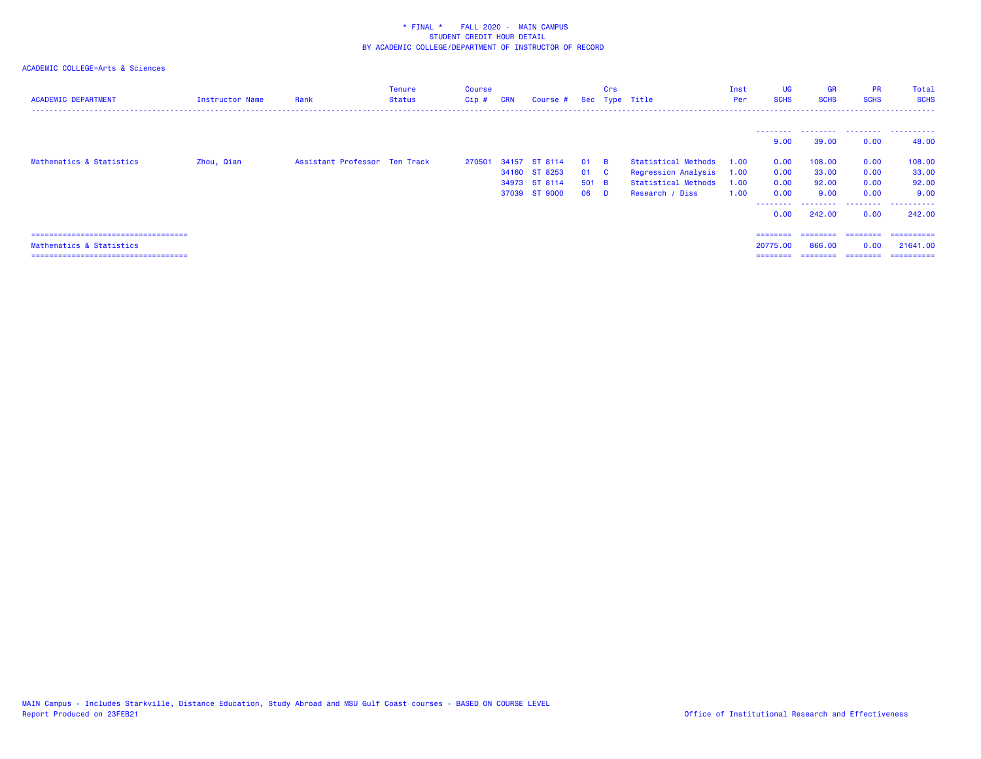| <b>ACADEMIC DEPARTMENT</b>                                                                                | Instructor Name | Rank                          | <b>Tenure</b><br><b>Status</b> | Course<br>Cip# | <b>CRN</b> | Course #                       |             | Crs             | Sec Type Title                             | Inst<br>Per  | <b>UG</b><br><b>SCHS</b>         | <b>GR</b><br><b>SCHS</b>        | <b>PR</b><br><b>SCHS</b>     | Total<br><b>SCHS</b><br>---------------- |
|-----------------------------------------------------------------------------------------------------------|-----------------|-------------------------------|--------------------------------|----------------|------------|--------------------------------|-------------|-----------------|--------------------------------------------|--------------|----------------------------------|---------------------------------|------------------------------|------------------------------------------|
|                                                                                                           |                 |                               |                                |                |            |                                |             |                 |                                            |              | ---------<br>9.00                | .<br>39.00                      | 0.00                         | 48.00                                    |
| Mathematics & Statistics                                                                                  | Zhou, Qian      | Assistant Professor Ten Track |                                | 270501         | 34157      | ST 8114<br>34160 ST 8253       | 01<br>01    | <b>R</b><br>- C | Statistical Methods<br>Regression Analysis | 1.00<br>1.00 | 0.00<br>0.00                     | 108,00<br>33.00                 | 0.00<br>0.00                 | 108.00<br>33.00                          |
|                                                                                                           |                 |                               |                                |                |            | 34973 ST 8114<br>37039 ST 9000 | 501 B<br>06 | <b>D</b>        | Statistical Methods<br>Research / Diss     | 1.00<br>1.00 | 0.00<br>0.00                     | 92.00<br>9.00                   | 0.00<br>0.00                 | 92.00<br>9.00                            |
|                                                                                                           |                 |                               |                                |                |            |                                |             |                 |                                            |              | --------<br>0.00                 | 242,00                          | .<br>0.00                    | .<br>242,00                              |
| =====================================<br>Mathematics & Statistics<br>==================================== |                 |                               |                                |                |            |                                |             |                 |                                            |              | ========<br>20775.00<br>======== | ---------<br>866,00<br>======== | ========<br>0.00<br>-------- | ==========<br>21641.00<br>==========     |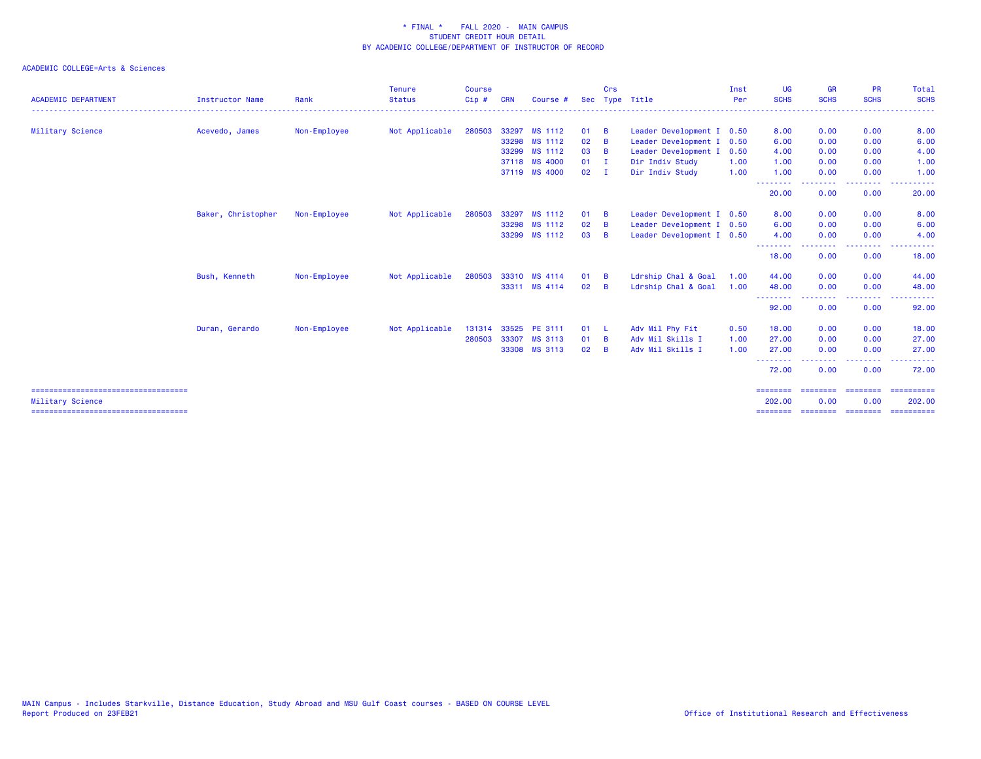|                                                            |                        |              | <b>Tenure</b>  | <b>Course</b> |            |               |               | Crs            |                           | Inst | <b>UG</b>          | <b>GR</b>         | <b>PR</b>                                                                                                                         | Total                |
|------------------------------------------------------------|------------------------|--------------|----------------|---------------|------------|---------------|---------------|----------------|---------------------------|------|--------------------|-------------------|-----------------------------------------------------------------------------------------------------------------------------------|----------------------|
| <b>ACADEMIC DEPARTMENT</b>                                 | <b>Instructor Name</b> | Rank         | <b>Status</b>  | Cip#          | <b>CRN</b> | Course #      | <b>Sec</b>    |                | Type Title                | Per  | <b>SCHS</b>        | <b>SCHS</b>       | <b>SCHS</b>                                                                                                                       | <b>SCHS</b><br>----- |
| Military Science                                           | Acevedo, James         | Non-Employee | Not Applicable | 280503        | 33297      | MS 1112       | 01            | B              | Leader Development I 0.50 |      | 8.00               | 0.00              | 0.00                                                                                                                              | 8.00                 |
|                                                            |                        |              |                |               | 33298      | MS 1112       | 02            | B              | Leader Development I      | 0.50 | 6.00               | 0.00              | 0.00                                                                                                                              | 6.00                 |
|                                                            |                        |              |                |               | 33299      | MS 1112       | 03            | $\overline{B}$ | Leader Development I      | 0.50 | 4.00               | 0.00              | 0.00                                                                                                                              | 4.00                 |
|                                                            |                        |              |                |               |            | 37118 MS 4000 | $01 \quad I$  |                | Dir Indiv Study           | 1.00 | 1.00               | 0.00              | 0.00                                                                                                                              | 1.00                 |
|                                                            |                        |              |                |               |            | 37119 MS 4000 | $02 \qquad I$ |                | Dir Indiv Study           | 1.00 | 1.00               | 0.00              | 0.00                                                                                                                              | 1.00                 |
|                                                            |                        |              |                |               |            |               |               |                |                           |      | --------<br>20.00  | 0.00              | .<br>0.00                                                                                                                         | 20.00                |
|                                                            | Baker, Christopher     | Non-Employee | Not Applicable | 280503        | 33297      | MS 1112       | 01            | B              | Leader Development I 0.50 |      | 8.00               | 0.00              | 0.00                                                                                                                              | 8.00                 |
|                                                            |                        |              |                |               | 33298      | MS 1112       | 02            | B              | Leader Development I 0.50 |      | 6.00               | 0.00              | 0.00                                                                                                                              | 6.00                 |
|                                                            |                        |              |                |               |            | 33299 MS 1112 | 03            | <b>B</b>       | Leader Development I 0.50 |      | 4.00<br>--------   | 0.00              | 0.00                                                                                                                              | 4.00                 |
|                                                            |                        |              |                |               |            |               |               |                |                           |      | 18.00              | 0.00              | 0.00                                                                                                                              | 18.00                |
|                                                            | Bush, Kenneth          | Non-Employee | Not Applicable | 280503        |            | 33310 MS 4114 | 01            | B              | Ldrship Chal & Goal       | 1.00 | 44.00              | 0.00              | 0.00                                                                                                                              | 44.00                |
|                                                            |                        |              |                |               |            | 33311 MS 4114 | 02            | B              | Ldrship Chal & Goal       | 1.00 | 48.00<br>--------  | 0.00              | 0.00<br>$\frac{1}{2} \left( \frac{1}{2} \right) \left( \frac{1}{2} \right) \left( \frac{1}{2} \right) \left( \frac{1}{2} \right)$ | 48.00<br>.           |
|                                                            |                        |              |                |               |            |               |               |                |                           |      | 92.00              | 0.00              | 0.00                                                                                                                              | 92.00                |
|                                                            | Duran, Gerardo         | Non-Employee | Not Applicable | 131314        |            | 33525 PE 3111 | 01 L          |                | Adv Mil Phy Fit           | 0.50 | 18.00              | 0.00              | 0.00                                                                                                                              | 18.00                |
|                                                            |                        |              |                | 280503        | 33307      | MS 3113       | 01            | B              | Adv Mil Skills I          | 1.00 | 27.00              | 0.00              | 0.00                                                                                                                              | 27.00                |
|                                                            |                        |              |                |               | 33308      | MS 3113       | 02            | B              | Adv Mil Skills I          | 1.00 | 27.00<br>--------  | 0.00              | 0.00<br>--------                                                                                                                  | 27.00<br>------      |
|                                                            |                        |              |                |               |            |               |               |                |                           |      | 72.00              | 0.00              | 0.00                                                                                                                              | 72.00                |
| ======================================<br>Military Science |                        |              |                |               |            |               |               |                |                           |      | ========<br>202.00 | ========<br>0.00  | ========<br>0.00                                                                                                                  | ==========<br>202.00 |
| =====================================                      |                        |              |                |               |            |               |               |                |                           |      | ========           | secondos presente |                                                                                                                                   | -----------          |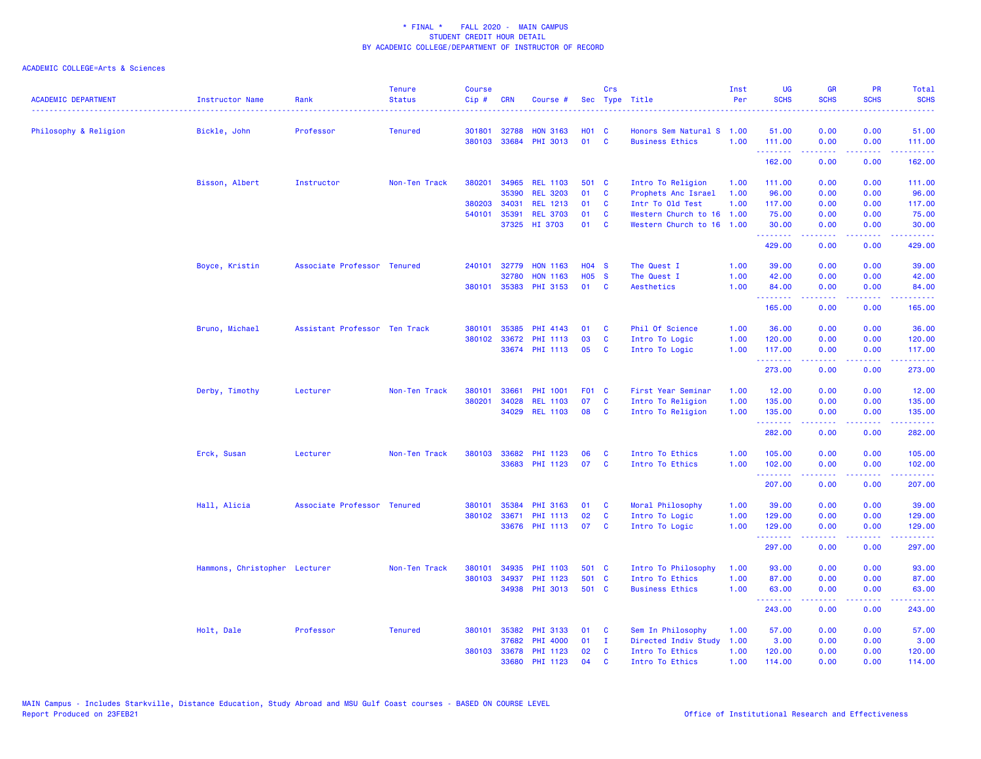| <b>ACADEMIC DEPARTMENT</b> | <b>Instructor Name</b>        | Rank                          | <b>Tenure</b><br><b>Status</b> | <b>Course</b><br>Cip# | <b>CRN</b>   | Course #              |              | Crs          | Sec Type Title            | Inst<br>Per | <b>UG</b><br><b>SCHS</b> | <b>GR</b><br><b>SCHS</b> | PR<br><b>SCHS</b>                                                                                                                 | Total<br><b>SCHS</b>                                                                                                                                           |
|----------------------------|-------------------------------|-------------------------------|--------------------------------|-----------------------|--------------|-----------------------|--------------|--------------|---------------------------|-------------|--------------------------|--------------------------|-----------------------------------------------------------------------------------------------------------------------------------|----------------------------------------------------------------------------------------------------------------------------------------------------------------|
| Philosophy & Religion      | Bickle, John                  | Professor                     | <b>Tenured</b>                 | 301801                | 32788        | <b>HON 3163</b>       | <b>HO1 C</b> |              | Honors Sem Natural S      | 1.00        | 51.00                    | 0.00                     | 0.00                                                                                                                              | 51.00                                                                                                                                                          |
|                            |                               |                               |                                |                       |              | 380103 33684 PHI 3013 | 01           | $\mathbf{C}$ | <b>Business Ethics</b>    | 1.00        | 111.00<br>.              | 0.00<br>.                | 0.00<br>.                                                                                                                         | 111.00<br>$\frac{1}{2} \left( \frac{1}{2} \right) \left( \frac{1}{2} \right) \left( \frac{1}{2} \right) \left( \frac{1}{2} \right) \left( \frac{1}{2} \right)$ |
|                            |                               |                               |                                |                       |              |                       |              |              |                           |             | 162.00                   | 0.00                     | 0.00                                                                                                                              | 162.00                                                                                                                                                         |
|                            | Bisson, Albert                | Instructor                    | Non-Ten Track                  | 380201                | 34965        | <b>REL 1103</b>       | 501 C        |              | Intro To Religion         | 1.00        | 111.00                   | 0.00                     | 0.00                                                                                                                              | 111.00                                                                                                                                                         |
|                            |                               |                               |                                |                       | 35390        | <b>REL 3203</b>       | 01           | C            | Prophets Anc Israel       | 1.00        | 96.00                    | 0.00                     | 0.00                                                                                                                              | 96.00                                                                                                                                                          |
|                            |                               |                               |                                | 380203                | 34031        | <b>REL 1213</b>       | 01           | <b>C</b>     | Intr To Old Test          | 1.00        | 117.00                   | 0.00                     | 0.00                                                                                                                              | 117.00                                                                                                                                                         |
|                            |                               |                               |                                | 540101                | 35391        | <b>REL 3703</b>       | 01           | <b>C</b>     | Western Church to 16      | 1.00        | 75.00                    | 0.00                     | 0.00                                                                                                                              | 75.00                                                                                                                                                          |
|                            |                               |                               |                                |                       |              | 37325 HI 3703         | 01           | C            | Western Church to 16 1.00 |             | 30.00<br>.               | 0.00<br>.                | 0.00<br>د د د د                                                                                                                   | 30.00<br>.                                                                                                                                                     |
|                            |                               |                               |                                |                       |              |                       |              |              |                           |             | 429.00                   | 0.00                     | 0.00                                                                                                                              | 429.00                                                                                                                                                         |
|                            | Boyce, Kristin                | Associate Professor Tenured   |                                |                       | 240101 32779 | <b>HON 1163</b>       | <b>HO4 S</b> |              | The Quest I               | 1.00        | 39.00                    | 0.00                     | 0.00                                                                                                                              | 39.00                                                                                                                                                          |
|                            |                               |                               |                                |                       | 32780        | <b>HON 1163</b>       | <b>HO5 S</b> |              | The Quest I               | 1.00        | 42.00                    | 0.00                     | 0.00                                                                                                                              | 42.00                                                                                                                                                          |
|                            |                               |                               |                                | 380101                |              | 35383 PHI 3153        | 01           | <b>C</b>     | Aesthetics                | 1.00        | 84.00<br><b></b>         | 0.00<br>.                | 0.00<br>$\frac{1}{2} \left( \frac{1}{2} \right) \left( \frac{1}{2} \right) \left( \frac{1}{2} \right) \left( \frac{1}{2} \right)$ | 84.00<br>.                                                                                                                                                     |
|                            |                               |                               |                                |                       |              |                       |              |              |                           |             | 165.00                   | 0.00                     | 0.00                                                                                                                              | 165.00                                                                                                                                                         |
|                            | Bruno, Michael                | Assistant Professor Ten Track |                                | 380101                |              | 35385 PHI 4143        | 01           | <b>C</b>     | Phil Of Science           | 1.00        | 36.00                    | 0.00                     | 0.00                                                                                                                              | 36.00                                                                                                                                                          |
|                            |                               |                               |                                | 380102                | 33672        | PHI 1113              | 03           | <b>C</b>     | Intro To Logic            | 1.00        | 120.00                   | 0.00                     | 0.00                                                                                                                              | 120.00                                                                                                                                                         |
|                            |                               |                               |                                |                       |              | 33674 PHI 1113        | 05           | <b>C</b>     | Intro To Logic            | 1.00        | 117.00<br><u>.</u> .     | 0.00<br>.                | 0.00<br>.                                                                                                                         | 117.00<br>لأعاط عاطاته                                                                                                                                         |
|                            |                               |                               |                                |                       |              |                       |              |              |                           |             | 273.00                   | 0.00                     | 0.00                                                                                                                              | 273.00                                                                                                                                                         |
|                            | Derby, Timothy                | Lecturer                      | Non-Ten Track                  | 380101                | 33661        | PHI 1001              | F01 C        |              | First Year Seminar        | 1.00        | 12.00                    | 0.00                     | 0.00                                                                                                                              | 12.00                                                                                                                                                          |
|                            |                               |                               |                                | 380201                | 34028        | <b>REL 1103</b>       | 07           | C            | Intro To Religion         | 1.00        | 135.00                   | 0.00                     | 0.00                                                                                                                              | 135.00                                                                                                                                                         |
|                            |                               |                               |                                |                       |              | 34029 REL 1103        | 08           | <b>C</b>     | Intro To Religion         | 1.00        | 135.00<br>.              | 0.00<br>.                | 0.00<br>د د د د                                                                                                                   | 135.00<br>$\frac{1}{2} \left( \frac{1}{2} \right) \left( \frac{1}{2} \right) \left( \frac{1}{2} \right) \left( \frac{1}{2} \right) \left( \frac{1}{2} \right)$ |
|                            |                               |                               |                                |                       |              |                       |              |              |                           |             | 282.00                   | 0.00                     | 0.00                                                                                                                              | 282.00                                                                                                                                                         |
|                            | Erck, Susan                   | Lecturer                      | Non-Ten Track                  | 380103                | 33682        | PHI 1123              | 06           | C            | Intro To Ethics           | 1.00        | 105.00                   | 0.00                     | 0.00                                                                                                                              | 105.00                                                                                                                                                         |
|                            |                               |                               |                                |                       |              | 33683 PHI 1123        | 07           | <b>C</b>     | Intro To Ethics           | 1.00        | 102.00<br>.              | 0.00<br>-----            | 0.00<br>-----                                                                                                                     | 102.00<br>$\frac{1}{2} \left( \frac{1}{2} \right) \left( \frac{1}{2} \right) \left( \frac{1}{2} \right) \left( \frac{1}{2} \right) \left( \frac{1}{2} \right)$ |
|                            |                               |                               |                                |                       |              |                       |              |              |                           |             | 207.00                   | 0.00                     | 0.00                                                                                                                              | 207.00                                                                                                                                                         |
|                            | Hall, Alicia                  | Associate Professor Tenured   |                                | 380101                | 35384        | PHI 3163              | 01           | C            | Moral Philosophy          | 1.00        | 39.00                    | 0.00                     | 0.00                                                                                                                              | 39.00                                                                                                                                                          |
|                            |                               |                               |                                |                       | 380102 33671 | PHI 1113              | 02           | <b>C</b>     | Intro To Logic            | 1.00        | 129.00                   | 0.00                     | 0.00                                                                                                                              | 129.00                                                                                                                                                         |
|                            |                               |                               |                                |                       |              | 33676 PHI 1113        | 07           | <b>C</b>     | Intro To Logic            | 1.00        | 129.00<br>.              | 0.00<br>.                | 0.00<br>.                                                                                                                         | 129.00<br>$\frac{1}{2} \left( \frac{1}{2} \right) \left( \frac{1}{2} \right) \left( \frac{1}{2} \right) \left( \frac{1}{2} \right) \left( \frac{1}{2} \right)$ |
|                            |                               |                               |                                |                       |              |                       |              |              |                           |             | 297.00                   | 0.00                     | 0.00                                                                                                                              | 297.00                                                                                                                                                         |
|                            | Hammons, Christopher Lecturer |                               | Non-Ten Track                  | 380101                | 34935        | PHI 1103              | 501 C        |              | Intro To Philosophy       | 1.00        | 93.00                    | 0.00                     | 0.00                                                                                                                              | 93.00                                                                                                                                                          |
|                            |                               |                               |                                | 380103                | 34937        | PHI 1123              | 501 C        |              | Intro To Ethics           | 1.00        | 87.00                    | 0.00                     | 0.00                                                                                                                              | 87.00                                                                                                                                                          |
|                            |                               |                               |                                |                       |              | 34938 PHI 3013        | 501 C        |              | <b>Business Ethics</b>    | 1.00        | 63.00<br>.               | 0.00<br>-----            | 0.00<br>.                                                                                                                         | 63.00<br>والمستوات المنابذ                                                                                                                                     |
|                            |                               |                               |                                |                       |              |                       |              |              |                           |             | 243.00                   | 0.00                     | 0.00                                                                                                                              | 243.00                                                                                                                                                         |
|                            | Holt, Dale                    | Professor                     | <b>Tenured</b>                 | 380101                | 35382        | PHI 3133              | 01           | C            | Sem In Philosophy         | 1.00        | 57.00                    | 0.00                     | 0.00                                                                                                                              | 57.00                                                                                                                                                          |
|                            |                               |                               |                                |                       | 37682        | <b>PHI 4000</b>       | 01           | $\mathbf{I}$ | Directed Indiv Study      | 1.00        | 3.00                     | 0.00                     | 0.00                                                                                                                              | 3.00                                                                                                                                                           |
|                            |                               |                               |                                |                       | 380103 33678 | <b>PHI 1123</b>       | 02           | <b>C</b>     | Intro To Ethics           | 1.00        | 120.00                   | 0.00                     | 0.00                                                                                                                              | 120.00                                                                                                                                                         |
|                            |                               |                               |                                |                       | 33680        | PHI 1123              | 04           | <b>C</b>     | Intro To Ethics           | 1.00        | 114.00                   | 0.00                     | 0.00                                                                                                                              | 114.00                                                                                                                                                         |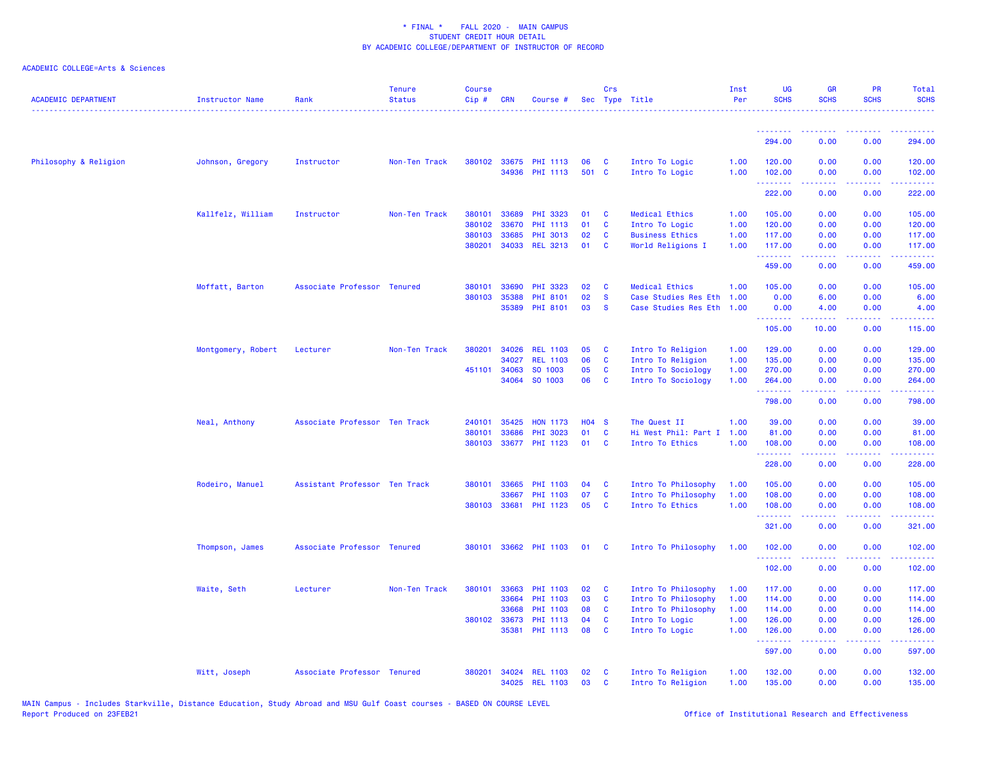| <b>ACADEMIC DEPARTMENT</b> | Instructor Name    | Rank                          | <b>Tenure</b><br><b>Status</b> | <b>Course</b><br>Cip# | <b>CRN</b>   | Course #              |              | Crs          | Sec Type Title         | Inst<br>Per | <b>UG</b><br><b>SCHS</b>                                 | <b>GR</b><br><b>SCHS</b> | <b>PR</b><br><b>SCHS</b> | Total<br><b>SCHS</b>                                                                                                                                           |
|----------------------------|--------------------|-------------------------------|--------------------------------|-----------------------|--------------|-----------------------|--------------|--------------|------------------------|-------------|----------------------------------------------------------|--------------------------|--------------------------|----------------------------------------------------------------------------------------------------------------------------------------------------------------|
|                            |                    |                               |                                |                       |              |                       |              |              |                        |             | <u> - - - - - - - -</u>                                  | . <u>.</u>               | .                        | $\mathcal{L}^{\mathcal{A}}\mathcal{L}^{\mathcal{A}}\mathcal{L}^{\mathcal{A}}\mathcal{L}^{\mathcal{A}}\mathcal{L}^{\mathcal{A}}$                                |
|                            |                    |                               |                                |                       |              |                       |              |              |                        |             | 294.00                                                   | 0.00                     | 0.00                     | 294.00                                                                                                                                                         |
| Philosophy & Religion      | Johnson, Gregory   | Instructor                    | Non-Ten Track                  |                       |              | 380102 33675 PHI 1113 | 06           | <b>C</b>     | Intro To Logic         | 1.00        | 120.00                                                   | 0.00                     | 0.00                     | 120.00                                                                                                                                                         |
|                            |                    |                               |                                |                       |              | 34936 PHI 1113        | 501 C        |              | Intro To Logic         | 1.00        | 102.00<br>.                                              | 0.00<br>.                | 0.00<br>.                | 102.00<br>.                                                                                                                                                    |
|                            |                    |                               |                                |                       |              |                       |              |              |                        |             | 222.00                                                   | 0.00                     | 0.00                     | 222.00                                                                                                                                                         |
|                            | Kallfelz, William  | Instructor                    | Non-Ten Track                  | 380101                | 33689        | PHI 3323              | 01           | C            | <b>Medical Ethics</b>  | 1.00        | 105.00                                                   | 0.00                     | 0.00                     | 105.00                                                                                                                                                         |
|                            |                    |                               |                                | 380102                | 33670        | <b>PHI 1113</b>       | 01           | C            | Intro To Logic         | 1.00        | 120.00                                                   | 0.00                     | 0.00                     | 120.00                                                                                                                                                         |
|                            |                    |                               |                                | 380103                | 33685        | <b>PHI 3013</b>       | 02           | C            | <b>Business Ethics</b> | 1.00        | 117.00                                                   | 0.00                     | 0.00                     | 117.00                                                                                                                                                         |
|                            |                    |                               |                                | 380201                |              | 34033 REL 3213        | 01           | C            | World Religions I      | 1.00        | 117.00<br>.                                              | 0.00<br>22222            | 0.00<br>.                | 117.00<br>.                                                                                                                                                    |
|                            |                    |                               |                                |                       |              |                       |              |              |                        |             | 459.00                                                   | 0.00                     | 0.00                     | 459.00                                                                                                                                                         |
|                            | Moffatt, Barton    | Associate Professor Tenured   |                                | 380101                | 33690        | PHI 3323              | 02           | C            | <b>Medical Ethics</b>  | 1.00        | 105.00                                                   | 0.00                     | 0.00                     | 105.00                                                                                                                                                         |
|                            |                    |                               |                                | 380103                | 35388        | PHI 8101              | 02           | <b>S</b>     | Case Studies Res Eth   | 1.00        | 0.00                                                     | 6.00                     | 0.00                     | 6.00                                                                                                                                                           |
|                            |                    |                               |                                |                       | 35389        | PHI 8101              | 03           | <b>S</b>     | Case Studies Res Eth   | 1.00        | 0.00<br><b><i><u><u><b>Little Little</b></u></u></i></b> | 4.00                     | 0.00<br>.                | 4.00                                                                                                                                                           |
|                            |                    |                               |                                |                       |              |                       |              |              |                        |             | 105.00                                                   | <b>.</b><br>10.00        | 0.00                     | المستمامات<br>115.00                                                                                                                                           |
|                            | Montgomery, Robert | Lecturer                      | Non-Ten Track                  | 380201                | 34026        | <b>REL 1103</b>       | 05           | C            | Intro To Religion      | 1.00        | 129.00                                                   | 0.00                     | 0.00                     | 129.00                                                                                                                                                         |
|                            |                    |                               |                                |                       | 34027        | <b>REL 1103</b>       | 06           | C            | Intro To Religion      | 1.00        | 135.00                                                   | 0.00                     | 0.00                     | 135.00                                                                                                                                                         |
|                            |                    |                               |                                | 451101                | 34063        | SO 1003               | 05           | $\mathbf c$  | Intro To Sociology     | 1.00        | 270.00                                                   | 0.00                     | 0.00                     | 270.00                                                                                                                                                         |
|                            |                    |                               |                                |                       | 34064        | SO 1003               | 06           | C            | Intro To Sociology     | 1.00        | 264.00                                                   | 0.00                     | 0.00                     | 264.00<br>$\frac{1}{2} \left( \frac{1}{2} \right) \left( \frac{1}{2} \right) \left( \frac{1}{2} \right) \left( \frac{1}{2} \right) \left( \frac{1}{2} \right)$ |
|                            |                    |                               |                                |                       |              |                       |              |              |                        |             | .<br>798.00                                              | 22222<br>0.00            | .<br>0.00                | 798.00                                                                                                                                                         |
|                            | Neal, Anthony      | Associate Professor Ten Track |                                | 240101                | 35425        | <b>HON 1173</b>       | <b>HO4 S</b> |              | The Quest II           | 1.00        | 39.00                                                    | 0.00                     | 0.00                     | 39.00                                                                                                                                                          |
|                            |                    |                               |                                | 380101                | 33686        | PHI 3023              | 01           | $\mathbf{C}$ | Hi West Phil: Part I   | 1.00        | 81.00                                                    | 0.00                     | 0.00                     | 81.00                                                                                                                                                          |
|                            |                    |                               |                                | 380103                |              | 33677 PHI 1123        | 01           | <b>C</b>     | Intro To Ethics        | 1.00        | 108.00                                                   | 0.00                     | 0.00                     | 108.00                                                                                                                                                         |
|                            |                    |                               |                                |                       |              |                       |              |              |                        |             | .<br>228.00                                              | 22222<br>0.00            | .<br>0.00                | $\omega$ is a second<br>228.00                                                                                                                                 |
|                            | Rodeiro, Manuel    | Assistant Professor Ten Track |                                | 380101                | 33665        | PHI 1103              | 04           | C            | Intro To Philosophy    | 1.00        | 105.00                                                   | 0.00                     | 0.00                     | 105.00                                                                                                                                                         |
|                            |                    |                               |                                |                       | 33667        | PHI 1103              | 07           | C            | Intro To Philosophy    | 1.00        | 108.00                                                   | 0.00                     | 0.00                     | 108.00                                                                                                                                                         |
|                            |                    |                               |                                |                       | 380103 33681 | PHI 1123              | 05           | C            | Intro To Ethics        | 1.00        | 108.00                                                   | 0.00                     | 0.00                     | 108.00                                                                                                                                                         |
|                            |                    |                               |                                |                       |              |                       |              |              |                        |             | .<br>321.00                                              | 0.00                     | 2222<br>0.00             | .<br>321.00                                                                                                                                                    |
|                            | Thompson, James    | Associate Professor Tenured   |                                |                       |              | 380101 33662 PHI 1103 | 01           | - C          | Intro To Philosophy    | 1.00        | 102.00                                                   | 0.00                     | 0.00                     | 102.00                                                                                                                                                         |
|                            |                    |                               |                                |                       |              |                       |              |              |                        |             | .<br>102.00                                              | 22222<br>0.00            | .<br>0.00                | .<br>102.00                                                                                                                                                    |
|                            | Waite, Seth        | Lecturer                      | Non-Ten Track                  | 380101                | 33663        | <b>PHI 1103</b>       | 02           | C            | Intro To Philosophy    | 1.00        | 117.00                                                   | 0.00                     | 0.00                     | 117.00                                                                                                                                                         |
|                            |                    |                               |                                |                       | 33664        | PHI 1103              | 03           | C            | Intro To Philosophy    | 1.00        | 114.00                                                   | 0.00                     | 0.00                     | 114.00                                                                                                                                                         |
|                            |                    |                               |                                |                       | 33668        | PHI 1103              | 08           | C            | Intro To Philosophy    | 1.00        | 114.00                                                   | 0.00                     | 0.00                     | 114.00                                                                                                                                                         |
|                            |                    |                               |                                |                       | 380102 33673 | PHI 1113              | 04           | <b>C</b>     | Intro To Logic         | 1.00        | 126.00                                                   | 0.00                     | 0.00                     | 126.00                                                                                                                                                         |
|                            |                    |                               |                                |                       | 35381        | PHI 1113              | 08           | C            | Intro To Logic         | 1.00        | 126.00                                                   | 0.00                     | 0.00                     | 126.00                                                                                                                                                         |
|                            |                    |                               |                                |                       |              |                       |              |              |                        |             | المستملة والمناور<br>597.00                              | .<br>0.00                | .<br>0.00                | لأعاط عاطاته<br>597.00                                                                                                                                         |
|                            | Witt, Joseph       | Associate Professor Tenured   |                                | 380201                |              | 34024 REL 1103        | 02           | C            | Intro To Religion      | 1.00        | 132.00                                                   | 0.00                     | 0.00                     | 132.00                                                                                                                                                         |
|                            |                    |                               |                                |                       |              | 34025 REL 1103        | 03           | <b>C</b>     | Intro To Religion      | 1.00        | 135.00                                                   | 0.00                     | 0.00                     | 135.00                                                                                                                                                         |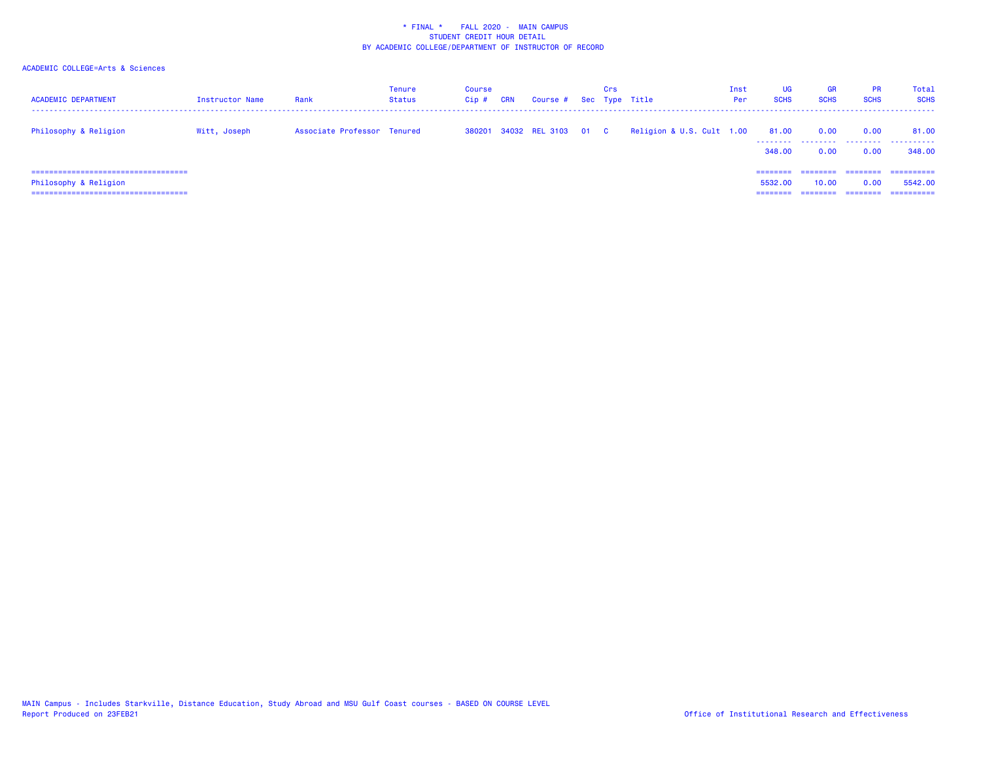| <b>ACADEMIC DEPARTMENT</b>                                                                               | Instructor Name | Rank                        | Tenure<br><b>Status</b> | Course<br>Cip # | <b>CRN</b> | Course # Sec Type Title    | Crs |                           | Inst<br>Per | <b>UG</b><br><b>SCHS</b>    | <b>GR</b><br><b>SCHS</b> | <b>PR</b><br><b>SCHS</b>     | Total<br><b>SCHS</b>                 |
|----------------------------------------------------------------------------------------------------------|-----------------|-----------------------------|-------------------------|-----------------|------------|----------------------------|-----|---------------------------|-------------|-----------------------------|--------------------------|------------------------------|--------------------------------------|
| Philosophy & Religion                                                                                    | Witt, Joseph    | Associate Professor Tenured |                         |                 |            | 380201 34032 REL 3103 01 C |     | Religion & U.S. Cult 1.00 |             | 81.00<br>--------<br>348,00 | 0.00<br>.<br>0.00        | 0.00<br>.<br>0.00            | 81.00<br>.<br>348,00                 |
| ======================================<br>Philosophy & Religion<br>===================================== |                 |                             |                         |                 |            |                            |     |                           |             | 5532.00<br>=====            | .<br>10.00<br>-------    | ========<br>0.00<br>======== | -----------<br>5542.00<br>========== |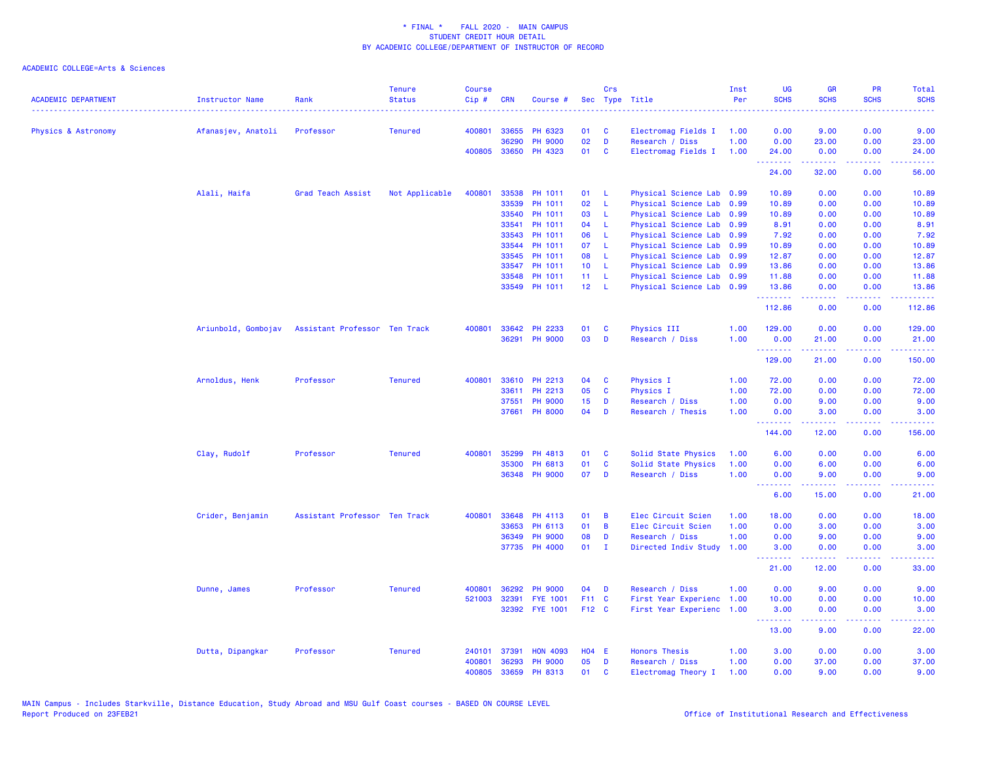| <b>ACADEMIC DEPARTMENT</b> | Instructor Name     | Rank                          | <b>Tenure</b><br><b>Status</b> | <b>Course</b><br>Cip# | <b>CRN</b>   | Course #        | <b>Sec</b>      | Crs          | Type Title                | Inst<br>Per | <b>UG</b><br><b>SCHS</b> | <b>GR</b><br><b>SCHS</b> | <b>PR</b><br><b>SCHS</b> | Total<br><b>SCHS</b>                                                                                                              |
|----------------------------|---------------------|-------------------------------|--------------------------------|-----------------------|--------------|-----------------|-----------------|--------------|---------------------------|-------------|--------------------------|--------------------------|--------------------------|-----------------------------------------------------------------------------------------------------------------------------------|
| Physics & Astronomy        | Afanasjev, Anatoli  | Professor                     | <b>Tenured</b>                 | 400801                | 33655        | PH 6323         | 01              | C            | Electromag Fields I       | 1.00        | 0.00                     | 9.00                     | 0.00                     | 9.00                                                                                                                              |
|                            |                     |                               |                                |                       | 36290        | <b>PH 9000</b>  | 02              | D            | Research / Diss           | 1.00        | 0.00                     | 23.00                    | 0.00                     | 23.00                                                                                                                             |
|                            |                     |                               |                                |                       | 400805 33650 | PH 4323         | 01              | C            | Electromag Fields I       | 1.00        | 24.00<br>.               | 0.00<br>.                | 0.00<br>.                | 24.00<br>المتمامين                                                                                                                |
|                            |                     |                               |                                |                       |              |                 |                 |              |                           |             | 24.00                    | 32.00                    | 0.00                     | 56.00                                                                                                                             |
|                            | Alali, Haifa        | Grad Teach Assist             | Not Applicable                 | 400801                | 33538        | PH 1011         | 01              | -L           | Physical Science Lab 0.99 |             | 10.89                    | 0.00                     | 0.00                     | 10.89                                                                                                                             |
|                            |                     |                               |                                |                       | 33539        | PH 1011         | 02              | L            | Physical Science Lab 0.99 |             | 10.89                    | 0.00                     | 0.00                     | 10.89                                                                                                                             |
|                            |                     |                               |                                |                       | 33540        | PH 1011         | 03              | -L.          | Physical Science Lab 0.99 |             | 10.89                    | 0.00                     | 0.00                     | 10.89                                                                                                                             |
|                            |                     |                               |                                |                       | 33541        | PH 1011         | 04              | L            | Physical Science Lab      | 0.99        | 8.91                     | 0.00                     | 0.00                     | 8.91                                                                                                                              |
|                            |                     |                               |                                |                       | 33543        | PH 1011         | 06              | -L.          | Physical Science Lab 0.99 |             | 7.92                     | 0.00                     | 0.00                     | 7.92                                                                                                                              |
|                            |                     |                               |                                |                       | 33544        | PH 1011         | 07              | L            | Physical Science Lab 0.99 |             | 10.89                    | 0.00                     | 0.00                     | 10.89                                                                                                                             |
|                            |                     |                               |                                |                       | 33545        | PH 1011         | 08              | L            | Physical Science Lab 0.99 |             | 12.87                    | 0.00                     | 0.00                     | 12.87                                                                                                                             |
|                            |                     |                               |                                |                       | 33547        | PH 1011         | 10 <sub>1</sub> | L            | Physical Science Lab 0.99 |             | 13.86                    | 0.00                     | 0.00                     | 13.86                                                                                                                             |
|                            |                     |                               |                                |                       | 33548        | PH 1011         | 11              | L            | Physical Science Lab 0.99 |             | 11.88                    | 0.00                     | 0.00                     | 11.88                                                                                                                             |
|                            |                     |                               |                                |                       | 33549        | PH 1011         | 12 <sup>°</sup> | L            | Physical Science Lab 0.99 |             | 13.86<br>1.1.1.1.1.1     | 0.00<br>22222            | 0.00<br>ن د د د          | 13.86<br>.                                                                                                                        |
|                            |                     |                               |                                |                       |              |                 |                 |              |                           |             | 112.86                   | 0.00                     | 0.00                     | 112.86                                                                                                                            |
|                            | Ariunbold, Gombojav | Assistant Professor Ten Track |                                | 400801                | 33642        | PH 2233         | 01              | C            | Physics III               | 1.00        | 129.00                   | 0.00                     | 0.00                     | 129.00                                                                                                                            |
|                            |                     |                               |                                |                       | 36291        | <b>PH 9000</b>  | 03              | D            | Research / Diss           | 1.00        | 0.00                     | 21.00                    | 0.00                     | 21.00                                                                                                                             |
|                            |                     |                               |                                |                       |              |                 |                 |              |                           |             | .<br>129.00              | 21.00                    | 0.00                     | .<br>150.00                                                                                                                       |
|                            | Arnoldus, Henk      | Professor                     | <b>Tenured</b>                 | 400801                |              | 33610 PH 2213   | 04              | C            | Physics I                 | 1.00        | 72.00                    | 0.00                     | 0.00                     | 72.00                                                                                                                             |
|                            |                     |                               |                                |                       | 33611        | PH 2213         | 05              | C            | Physics I                 | 1.00        | 72.00                    | 0.00                     | 0.00                     | 72.00                                                                                                                             |
|                            |                     |                               |                                |                       | 37551        | <b>PH 9000</b>  | 15              | D            | Research / Diss           | 1.00        | 0.00                     | 9.00                     | 0.00                     | 9.00                                                                                                                              |
|                            |                     |                               |                                |                       | 37661        | <b>PH 8000</b>  | 04              | D            | Research / Thesis         | 1.00        | 0.00<br>.                | 3.00                     | 0.00<br><b>.</b>         | 3.00                                                                                                                              |
|                            |                     |                               |                                |                       |              |                 |                 |              |                           |             | 144.00                   | 12.00                    | 0.00                     | 156.00                                                                                                                            |
|                            | Clay, Rudolf        | Professor                     | <b>Tenured</b>                 | 400801                | 35299        | PH 4813         | 01              | C            | Solid State Physics       | 1.00        | 6.00                     | 0.00                     | 0.00                     | 6.00                                                                                                                              |
|                            |                     |                               |                                |                       | 35300        | PH 6813         | 01              | C            | Solid State Physics       | 1.00        | 0.00                     | 6.00                     | 0.00                     | 6.00                                                                                                                              |
|                            |                     |                               |                                |                       | 36348        | <b>PH 9000</b>  | 07              | D            | Research / Diss           | 1.00        | 0.00<br><u>.</u>         | 9.00<br>.                | 0.00<br>.                | 9.00<br>.                                                                                                                         |
|                            |                     |                               |                                |                       |              |                 |                 |              |                           |             | 6.00                     | 15.00                    | 0.00                     | 21.00                                                                                                                             |
|                            | Crider, Benjamin    | Assistant Professor Ten Track |                                | 400801                | 33648        | PH 4113         | 01              | B            | Elec Circuit Scien        | 1.00        | 18.00                    | 0.00                     | 0.00                     | 18.00                                                                                                                             |
|                            |                     |                               |                                |                       | 33653        | PH 6113         | 01              | B            | Elec Circuit Scien        | 1.00        | 0.00                     | 3.00                     | 0.00                     | 3.00                                                                                                                              |
|                            |                     |                               |                                |                       | 36349        | <b>PH 9000</b>  | 08              | D            | Research / Diss           | 1.00        | 0.00                     | 9.00                     | 0.00                     | 9.00                                                                                                                              |
|                            |                     |                               |                                |                       |              | 37735 PH 4000   | 01              | $\mathbf{I}$ | Directed Indiv Study      | 1.00        | 3.00<br>.                | 0.00                     | 0.00                     | 3.00                                                                                                                              |
|                            |                     |                               |                                |                       |              |                 |                 |              |                           |             | 21.00                    | 12.00                    | 0.00                     | 33.00                                                                                                                             |
|                            | Dunne, James        | Professor                     | <b>Tenured</b>                 | 400801                | 36292        | <b>PH 9000</b>  | 04              | D            | Research / Diss           | 1.00        | 0.00                     | 9.00                     | 0.00                     | 9.00                                                                                                                              |
|                            |                     |                               |                                | 521003                | 32391        | <b>FYE 1001</b> | F11 C           |              | First Year Experienc      | 1.00        | 10.00                    | 0.00                     | 0.00                     | 10.00                                                                                                                             |
|                            |                     |                               |                                |                       | 32392        | <b>FYE 1001</b> | F12 C           |              | First Year Experienc      | 1.00        | 3.00<br><u>.</u>         | 0.00<br>.                | 0.00                     | 3.00<br>$\frac{1}{2} \left( \frac{1}{2} \right) \left( \frac{1}{2} \right) \left( \frac{1}{2} \right) \left( \frac{1}{2} \right)$ |
|                            |                     |                               |                                |                       |              |                 |                 |              |                           |             | 13.00                    | 9.00                     | 0.00                     | 22.00                                                                                                                             |
|                            | Dutta, Dipangkar    | Professor                     | <b>Tenured</b>                 | 240101                | 37391        | <b>HON 4093</b> | $H04$ E         |              | <b>Honors Thesis</b>      | 1.00        | 3.00                     | 0.00                     | 0.00                     | 3.00                                                                                                                              |
|                            |                     |                               |                                | 400801                | 36293        | <b>PH 9000</b>  | 05              | D            | Research / Diss           | 1.00        | 0.00                     | 37.00                    | 0.00                     | 37.00                                                                                                                             |
|                            |                     |                               |                                | 400805                | 33659        | PH 8313         | 01              | C            | Electromag Theory I       | 1.00        | 0.00                     | 9.00                     | 0.00                     | 9.00                                                                                                                              |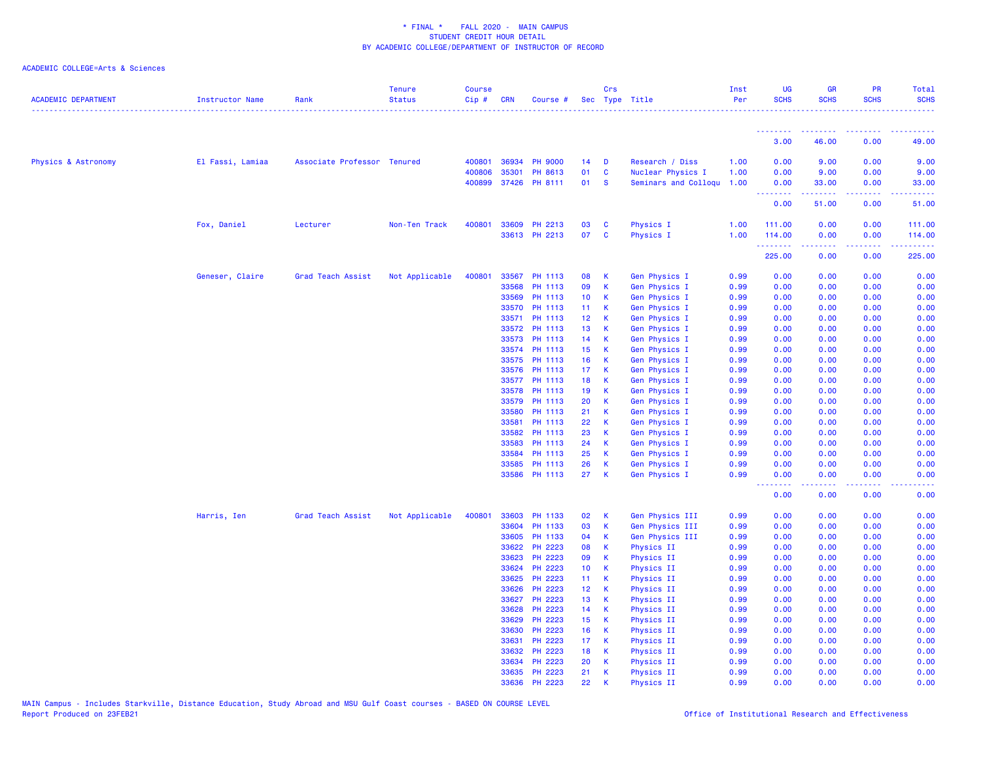| <b>ACADEMIC DEPARTMENT</b> | <b>Instructor Name</b> | Rank                        | <b>Tenure</b><br><b>Status</b> | <b>Course</b><br>Cip# | <b>CRN</b> | Course #       |                 | Crs              | Sec Type Title       | Inst<br>Per | UG<br><b>SCHS</b> | <b>GR</b><br><b>SCHS</b> | PR<br><b>SCHS</b> | Total<br><b>SCHS</b>                                                                                                              |
|----------------------------|------------------------|-----------------------------|--------------------------------|-----------------------|------------|----------------|-----------------|------------------|----------------------|-------------|-------------------|--------------------------|-------------------|-----------------------------------------------------------------------------------------------------------------------------------|
|                            |                        |                             |                                |                       |            |                |                 |                  |                      |             | <u>.</u><br>3.00  | 46.00                    | 0.00              | 49.00                                                                                                                             |
|                            |                        |                             |                                |                       |            |                |                 |                  |                      |             |                   |                          |                   |                                                                                                                                   |
| Physics & Astronomy        | El Fassi, Lamiaa       | Associate Professor Tenured |                                | 400801                | 36934      | <b>PH 9000</b> | 14              | D                | Research / Diss      | 1.00        | 0.00              | 9.00                     | 0.00              | 9.00                                                                                                                              |
|                            |                        |                             |                                | 400806                | 35301      | PH 8613        | 01              | $\mathbf c$      | Nuclear Physics I    | 1.00        | 0.00              | 9.00                     | 0.00              | 9.00                                                                                                                              |
|                            |                        |                             |                                | 400899                | 37426      | PH 8111        | 01              | <b>S</b>         | Seminars and Colloqu | 1.00        | 0.00              | 33.00                    | 0.00              | 33.00                                                                                                                             |
|                            |                        |                             |                                |                       |            |                |                 |                  |                      |             | <b></b><br>0.00   | .<br>51.00               | الأبالات<br>0.00  | المستما<br>51.00                                                                                                                  |
|                            | Fox, Daniel            | Lecturer                    | Non-Ten Track                  | 400801                | 33609      | PH 2213        | 03              | C                | <b>Physics I</b>     | 1.00        | 111.00            | 0.00                     | 0.00              | 111.00                                                                                                                            |
|                            |                        |                             |                                |                       |            | 33613 PH 2213  | 07              | C                | Physics I            | 1.00        | 114.00            | 0.00                     | 0.00              | 114.00                                                                                                                            |
|                            |                        |                             |                                |                       |            |                |                 |                  |                      |             | .<br>225.00       | .<br>0.00                | 22222<br>0.00     | .<br>225.00                                                                                                                       |
|                            | Geneser, Claire        | Grad Teach Assist           | Not Applicable                 | 400801                | 33567      | PH 1113        | 08              | K                | Gen Physics I        | 0.99        | 0.00              | 0.00                     | 0.00              | 0.00                                                                                                                              |
|                            |                        |                             |                                |                       | 33568      | PH 1113        | 09              | К                | Gen Physics I        | 0.99        | 0.00              | 0.00                     | 0.00              | 0.00                                                                                                                              |
|                            |                        |                             |                                |                       | 33569      | PH 1113        | 10              | $\mathsf K$      | Gen Physics I        | 0.99        | 0.00              | 0.00                     | 0.00              | 0.00                                                                                                                              |
|                            |                        |                             |                                |                       | 33570      | PH 1113        | 11 <sub>1</sub> | K                | Gen Physics I        | 0.99        | 0.00              | 0.00                     | 0.00              | 0.00                                                                                                                              |
|                            |                        |                             |                                |                       | 33571      | PH 1113        | 12 <sup>°</sup> | К                | Gen Physics I        | 0.99        | 0.00              | 0.00                     | 0.00              | 0.00                                                                                                                              |
|                            |                        |                             |                                |                       | 33572      | PH 1113        | 13              | К                | Gen Physics I        | 0.99        | 0.00              | 0.00                     | 0.00              | 0.00                                                                                                                              |
|                            |                        |                             |                                |                       | 33573      | PH 1113        | 14              | К                | Gen Physics I        | 0.99        | 0.00              | 0.00                     | 0.00              | 0.00                                                                                                                              |
|                            |                        |                             |                                |                       | 33574      | PH 1113        | 15              | $\mathsf{K}$     | Gen Physics I        | 0.99        | 0.00              | 0.00                     | 0.00              | 0.00                                                                                                                              |
|                            |                        |                             |                                |                       |            | 33575 PH 1113  | 16              | K                | Gen Physics I        | 0.99        | 0.00              | 0.00                     | 0.00              | 0.00                                                                                                                              |
|                            |                        |                             |                                |                       | 33576      | PH 1113        | 17 <sub>1</sub> | К                | Gen Physics I        | 0.99        | 0.00              | 0.00                     | 0.00              | 0.00                                                                                                                              |
|                            |                        |                             |                                |                       |            | 33577 PH 1113  | 18              | K                | Gen Physics I        | 0.99        | 0.00              | 0.00                     | 0.00              | 0.00                                                                                                                              |
|                            |                        |                             |                                |                       | 33578      | PH 1113        | 19              | К                | Gen Physics I        | 0.99        | 0.00              | 0.00                     | 0.00              | 0.00                                                                                                                              |
|                            |                        |                             |                                |                       | 33579      | PH 1113        | 20              | K                | Gen Physics I        | 0.99        | 0.00              | 0.00                     | 0.00              | 0.00                                                                                                                              |
|                            |                        |                             |                                |                       | 33580      | PH 1113        | 21              | К                | Gen Physics I        | 0.99        | 0.00              | 0.00                     | 0.00              | 0.00                                                                                                                              |
|                            |                        |                             |                                |                       | 33581      | PH 1113        | 22              | $\mathsf{K}$     | Gen Physics I        | 0.99        | 0.00              | 0.00                     | 0.00              | 0.00                                                                                                                              |
|                            |                        |                             |                                |                       | 33582      | PH 1113        | 23              | К                | Gen Physics I        | 0.99        | 0.00              | 0.00                     | 0.00              | 0.00                                                                                                                              |
|                            |                        |                             |                                |                       | 33583      | PH 1113        | 24              | К                | Gen Physics I        | 0.99        | 0.00              | 0.00                     | 0.00              | 0.00                                                                                                                              |
|                            |                        |                             |                                |                       | 33584      | PH 1113        | 25              | К                | Gen Physics I        | 0.99        | 0.00              | 0.00                     | 0.00              | 0.00                                                                                                                              |
|                            |                        |                             |                                |                       | 33585      | PH 1113        | 26              | $\mathbf k$      | Gen Physics I        | 0.99        | 0.00              | 0.00                     | 0.00              | 0.00                                                                                                                              |
|                            |                        |                             |                                |                       | 33586      | PH 1113        | 27              | $\mathsf K$      | Gen Physics I        | 0.99        | 0.00<br>.         | 0.00<br>بالمستمال        | 0.00<br>.         | 0.00<br>$\frac{1}{2} \left( \frac{1}{2} \right) \left( \frac{1}{2} \right) \left( \frac{1}{2} \right) \left( \frac{1}{2} \right)$ |
|                            |                        |                             |                                |                       |            |                |                 |                  |                      |             | 0.00              | 0.00                     | 0.00              | 0.00                                                                                                                              |
|                            | Harris, Ien            | Grad Teach Assist           | Not Applicable                 | 400801                | 33603      | PH 1133        | 02              | К                | Gen Physics III      | 0.99        | 0.00              | 0.00                     | 0.00              | 0.00                                                                                                                              |
|                            |                        |                             |                                |                       | 33604      | PH 1133        | 03              | К                | Gen Physics III      | 0.99        | 0.00              | 0.00                     | 0.00              | 0.00                                                                                                                              |
|                            |                        |                             |                                |                       | 33605      | PH 1133        | 04              | К                | Gen Physics III      | 0.99        | 0.00              | 0.00                     | 0.00              | 0.00                                                                                                                              |
|                            |                        |                             |                                |                       | 33622      | PH 2223        | 08              | K                | <b>Physics II</b>    | 0.99        | 0.00              | 0.00                     | 0.00              | 0.00                                                                                                                              |
|                            |                        |                             |                                |                       | 33623      | PH 2223        | 09              | К                | <b>Physics II</b>    | 0.99        | 0.00              | 0.00                     | 0.00              | 0.00                                                                                                                              |
|                            |                        |                             |                                |                       | 33624      | PH 2223        | 10 <sub>1</sub> | K                | Physics II           | 0.99        | 0.00              | 0.00                     | 0.00              | 0.00                                                                                                                              |
|                            |                        |                             |                                |                       | 33625      | PH 2223        | 11 <sub>1</sub> | К                | Physics II           | 0.99        | 0.00              | 0.00                     | 0.00              | 0.00                                                                                                                              |
|                            |                        |                             |                                |                       | 33626      | PH 2223        | 12 <sup>°</sup> | $\mathsf K$      | Physics II           | 0.99        | 0.00              | 0.00                     | 0.00              | 0.00                                                                                                                              |
|                            |                        |                             |                                |                       | 33627      | PH 2223        | 13              | K                | Physics II           | 0.99        | 0.00              | 0.00                     | 0.00              | 0.00                                                                                                                              |
|                            |                        |                             |                                |                       | 33628      | PH 2223        | 14              | К                | Physics II           | 0.99        | 0.00              | 0.00                     | 0.00              | 0.00                                                                                                                              |
|                            |                        |                             |                                |                       | 33629      | PH 2223        | 15 <sub>1</sub> | К                | Physics II           | 0.99        | 0.00              | 0.00                     | 0.00              | 0.00                                                                                                                              |
|                            |                        |                             |                                |                       | 33630      | PH 2223        | 16              | K                | Physics II           | 0.99        | 0.00              | 0.00                     | 0.00              | 0.00                                                                                                                              |
|                            |                        |                             |                                |                       | 33631      | PH 2223        | 17 <sub>1</sub> | К                | Physics II           | 0.99        | 0.00              | 0.00                     | 0.00              | 0.00                                                                                                                              |
|                            |                        |                             |                                |                       | 33632      | PH 2223        | 18              | К                | Physics II           | 0.99        | 0.00              | 0.00                     | 0.00              | 0.00                                                                                                                              |
|                            |                        |                             |                                |                       | 33634      | PH 2223        | 20              | К                | <b>Physics II</b>    | 0.99        | 0.00              | 0.00                     | 0.00              | 0.00                                                                                                                              |
|                            |                        |                             |                                |                       | 33635      | PH 2223        | 21              | К<br>$\mathbf k$ | Physics II           | 0.99        | 0.00              | 0.00                     | 0.00              | 0.00                                                                                                                              |
|                            |                        |                             |                                |                       | 33636      | PH 2223        | 22              |                  | Physics II           | 0.99        | 0.00              | 0.00                     | 0.00              | 0.00                                                                                                                              |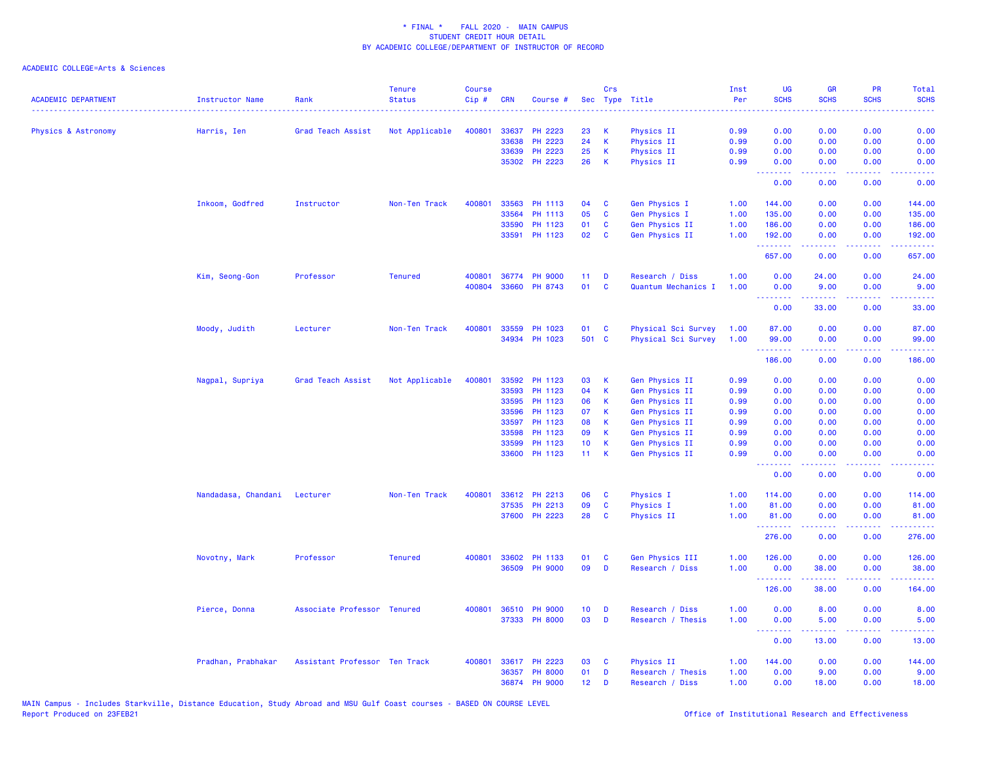| <b>ACADEMIC DEPARTMENT</b> | Instructor Name              | Rank                          | <b>Tenure</b><br><b>Status</b> | <b>Course</b><br>Cip# | <b>CRN</b>     | Course #             |                           | <b>Crs</b>       | Sec Type Title                   | Inst<br>Per  | <b>UG</b><br><b>SCHS</b>                                 | <b>GR</b><br><b>SCHS</b> | PR<br><b>SCHS</b>                   | Total<br><b>SCHS</b><br>.                                                                                                       |
|----------------------------|------------------------------|-------------------------------|--------------------------------|-----------------------|----------------|----------------------|---------------------------|------------------|----------------------------------|--------------|----------------------------------------------------------|--------------------------|-------------------------------------|---------------------------------------------------------------------------------------------------------------------------------|
| Physics & Astronomy        | Harris, Ien                  | Grad Teach Assist             | Not Applicable                 | 400801                | 33637          | PH 2223              | 23                        | К                | Physics II                       | 0.99         | 0.00                                                     | 0.00                     | 0.00                                | 0.00                                                                                                                            |
|                            |                              |                               |                                |                       | 33638          | PH 2223              | 24                        | $\,$ K           | Physics II                       | 0.99         | 0.00                                                     | 0.00                     | 0.00                                | 0.00                                                                                                                            |
|                            |                              |                               |                                |                       | 33639          | PH 2223              | 25                        | $\mathsf K$      | <b>Physics II</b>                | 0.99         | 0.00                                                     | 0.00                     | 0.00                                | 0.00                                                                                                                            |
|                            |                              |                               |                                |                       |                | 35302 PH 2223        | 26                        | K                | Physics II                       | 0.99         | 0.00<br><b><i><u><u><b>Little Little</b></u></u></i></b> | 0.00<br>د د د د          | 0.00<br>.                           | 0.00<br>.                                                                                                                       |
|                            |                              |                               |                                |                       |                |                      |                           |                  |                                  |              | 0.00                                                     | 0.00                     | 0.00                                | 0.00                                                                                                                            |
|                            | Inkoom, Godfred              | Instructor                    | Non-Ten Track                  | 400801                | 33563          | PH 1113              | 04                        | C                | Gen Physics I                    | 1.00         | 144.00                                                   | 0.00                     | 0.00                                | 144.00                                                                                                                          |
|                            |                              |                               |                                |                       | 33564          | PH 1113              | 05                        | $\mathbf{C}$     | Gen Physics I                    | 1.00         | 135.00                                                   | 0.00                     | 0.00                                | 135.00                                                                                                                          |
|                            |                              |                               |                                |                       | 33590          | PH 1123              | 01                        | C                | Gen Physics II                   | 1.00         | 186.00                                                   | 0.00                     | 0.00                                | 186.00                                                                                                                          |
|                            |                              |                               |                                |                       | 33591          | PH 1123              | 02                        | C                | Gen Physics II                   | 1.00         | 192.00<br>.                                              | 0.00<br>.                | 0.00<br>د د د د                     | 192.00<br>.                                                                                                                     |
|                            |                              |                               |                                |                       |                |                      |                           |                  |                                  |              | 657.00                                                   | 0.00                     | 0.00                                | 657.00                                                                                                                          |
|                            | Kim, Seong-Gon               | Professor                     | <b>Tenured</b>                 | 400801                |                | 36774 PH 9000        | 11                        | D                | Research / Diss                  | 1.00         | 0.00                                                     | 24.00                    | 0.00                                | 24.00                                                                                                                           |
|                            |                              |                               |                                | 400804                |                | 33660 PH 8743        | 01                        | $\mathbf{C}$     | Quantum Mechanics I              | 1.00         | 0.00<br>.                                                | 9.00<br>22222            | 0.00<br>$\sim$ $\sim$ $\sim$ $\sim$ | 9.00                                                                                                                            |
|                            |                              |                               |                                |                       |                |                      |                           |                  |                                  |              | 0.00                                                     | 33.00                    | 0.00                                | 33.00                                                                                                                           |
|                            | Moody, Judith                | Lecturer                      | Non-Ten Track                  | 400801                | 33559          | PH 1023              | 01                        | C                | Physical Sci Survey              | 1.00         | 87.00                                                    | 0.00                     | 0.00                                | 87.00                                                                                                                           |
|                            |                              |                               |                                |                       |                | 34934 PH 1023        | 501 C                     |                  | Physical Sci Survey              | 1.00         | 99.00<br><u>.</u>                                        | 0.00<br>.                | 0.00<br>الدائد الدائد               | 99.00<br>.                                                                                                                      |
|                            |                              |                               |                                |                       |                |                      |                           |                  |                                  |              | 186.00                                                   | 0.00                     | 0.00                                | 186.00                                                                                                                          |
|                            | Nagpal, Supriya              | Grad Teach Assist             | Not Applicable                 | 400801                | 33592          | PH 1123              | 03                        | К                | Gen Physics II                   | 0.99         | 0.00                                                     | 0.00                     | 0.00                                | 0.00                                                                                                                            |
|                            |                              |                               |                                |                       | 33593          | PH 1123              | 04                        | $\mathsf K$      | Gen Physics II                   | 0.99         | 0.00                                                     | 0.00                     | 0.00                                | 0.00                                                                                                                            |
|                            |                              |                               |                                |                       | 33595          | PH 1123              | 06                        | $\mathsf K$      | Gen Physics II                   | 0.99         | 0.00                                                     | 0.00                     | 0.00                                | 0.00                                                                                                                            |
|                            |                              |                               |                                |                       | 33596          | PH 1123              | 07                        | K                | Gen Physics II                   | 0.99         | 0.00                                                     | 0.00                     | 0.00                                | 0.00                                                                                                                            |
|                            |                              |                               |                                |                       | 33597          | PH 1123              | 08                        | K                | Gen Physics II                   | 0.99         | 0.00                                                     | 0.00                     | 0.00                                | 0.00                                                                                                                            |
|                            |                              |                               |                                |                       | 33598          | PH 1123              | 09                        | K                | Gen Physics II                   | 0.99         | 0.00                                                     | 0.00                     | 0.00                                | 0.00                                                                                                                            |
|                            |                              |                               |                                |                       | 33599<br>33600 | PH 1123<br>PH 1123   | 10 <sub>1</sub><br>$11 -$ | $\mathsf K$<br>K | Gen Physics II<br>Gen Physics II | 0.99<br>0.99 | 0.00<br>0.00                                             | 0.00<br>0.00             | 0.00<br>0.00                        | 0.00<br>0.00                                                                                                                    |
|                            |                              |                               |                                |                       |                |                      |                           |                  |                                  |              | <b><i><u><u><b>Little Little</b></u></u></i></b><br>0.00 | د د د د .<br>0.00        | د د د د<br>0.00                     | .<br>0.00                                                                                                                       |
|                            | Nandadasa, Chandani Lecturer |                               | Non-Ten Track                  | 400801                |                | 33612 PH 2213        | 06                        | C                | Physics I                        | 1.00         | 114.00                                                   | 0.00                     | 0.00                                | 114.00                                                                                                                          |
|                            |                              |                               |                                |                       | 37535          | PH 2213              | 09                        | C                | Physics I                        | 1.00         | 81.00                                                    | 0.00                     | 0.00                                | 81.00                                                                                                                           |
|                            |                              |                               |                                |                       |                | 37600 PH 2223        | 28                        | $\mathbf{C}$     | Physics II                       | 1.00         | 81.00                                                    | 0.00                     | 0.00                                | 81.00                                                                                                                           |
|                            |                              |                               |                                |                       |                |                      |                           |                  |                                  |              | <b>.</b><br>276.00                                       | 22222<br>0.00            | .<br>0.00                           | $\begin{array}{cccccccccc} \bullet & \bullet & \bullet & \bullet & \bullet & \bullet & \bullet & \bullet \end{array}$<br>276.00 |
|                            |                              |                               |                                |                       |                |                      |                           |                  |                                  |              |                                                          |                          |                                     |                                                                                                                                 |
|                            | Novotny, Mark                | Professor                     | <b>Tenured</b>                 | 400801                | 33602          | PH 1133              | 01                        | C                | Gen Physics III                  | 1.00         | 126.00                                                   | 0.00                     | 0.00                                | 126.00                                                                                                                          |
|                            |                              |                               |                                |                       |                | 36509 PH 9000        | 09                        | D                | Research / Diss                  | 1.00         | 0.00<br>--------                                         | 38.00<br><u>.</u>        | 0.00<br>د د د د .                   | 38.00<br>.                                                                                                                      |
|                            |                              |                               |                                |                       |                |                      |                           |                  |                                  |              | 126.00                                                   | 38.00                    | 0.00                                | 164.00                                                                                                                          |
|                            | Pierce, Donna                | Associate Professor Tenured   |                                |                       |                | 400801 36510 PH 9000 | 10 <sub>1</sub>           | D                | Research / Diss                  | 1.00         | 0.00                                                     | 8.00                     | 0.00                                | 8.00                                                                                                                            |
|                            |                              |                               |                                |                       |                | 37333 PH 8000        | 03                        | D                | Research / Thesis                | 1.00         | 0.00<br><b></b>                                          | 5.00<br>.                | 0.00<br>.                           | 5.00<br>والمستناط                                                                                                               |
|                            |                              |                               |                                |                       |                |                      |                           |                  |                                  |              | 0.00                                                     | 13.00                    | 0.00                                | 13.00                                                                                                                           |
|                            | Pradhan, Prabhakar           | Assistant Professor Ten Track |                                | 400801                |                | 33617 PH 2223        | 03                        | C                | Physics II                       | 1.00         | 144.00                                                   | 0.00                     | 0.00                                | 144.00                                                                                                                          |
|                            |                              |                               |                                |                       | 36357          | <b>PH 8000</b>       | 01                        | D                | Research / Thesis                | 1.00         | 0.00                                                     | 9.00                     | 0.00                                | 9.00                                                                                                                            |
|                            |                              |                               |                                |                       |                | 36874 PH 9000        | 12 <sup>2</sup>           | D                | Research / Diss                  | 1.00         | 0.00                                                     | 18.00                    | 0.00                                | 18.00                                                                                                                           |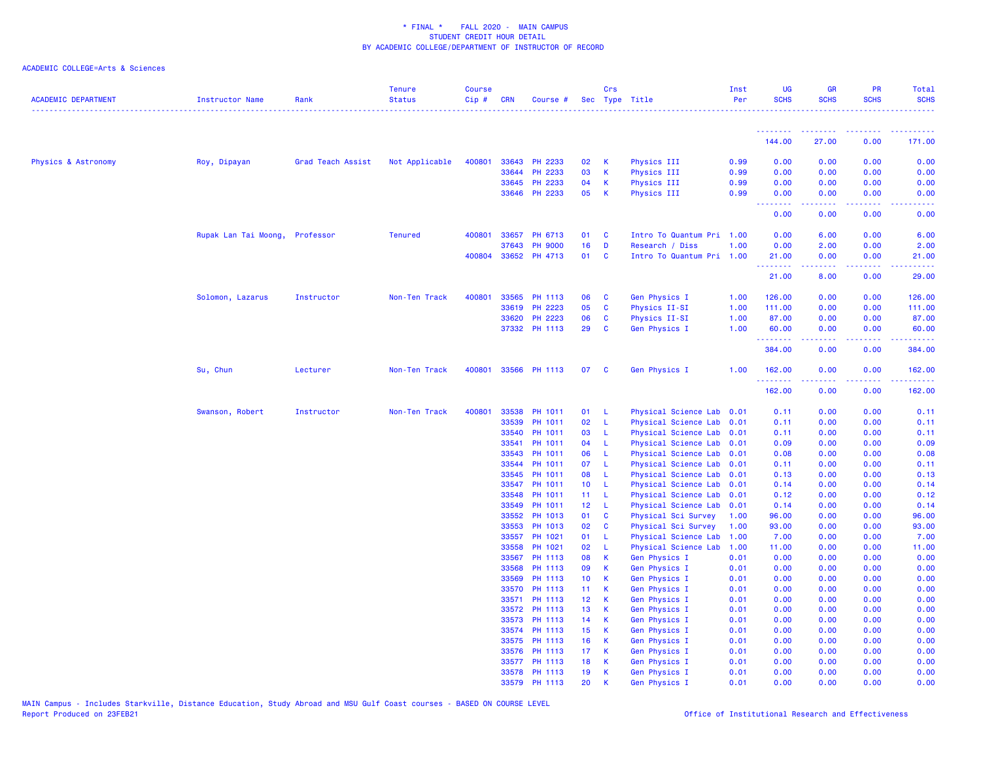| <b>ACADEMIC DEPARTMENT</b> | Instructor Name      | Rank              | <b>Tenure</b><br><b>Status</b> | <b>Course</b><br>$Cip$ # | CRN            | Course #           |                         | Crs          | Sec Type Title                                         | Inst<br>Per | <b>UG</b><br><b>SCHS</b>              | <b>GR</b><br><b>SCHS</b>                                                                                                                                     | <b>PR</b><br><b>SCHS</b> | Total<br><b>SCHS</b> |
|----------------------------|----------------------|-------------------|--------------------------------|--------------------------|----------------|--------------------|-------------------------|--------------|--------------------------------------------------------|-------------|---------------------------------------|--------------------------------------------------------------------------------------------------------------------------------------------------------------|--------------------------|----------------------|
|                            |                      |                   |                                |                          |                |                    |                         |              |                                                        |             | .                                     |                                                                                                                                                              |                          |                      |
|                            |                      |                   |                                |                          |                |                    |                         |              |                                                        |             | 144.00                                | 27.00                                                                                                                                                        | 0.00                     | 171.00               |
| Physics & Astronomy        | Roy, Dipayan         | Grad Teach Assist | Not Applicable                 | 400801                   | 33643          | PH 2233            | 02                      | K            | Physics III                                            | 0.99        | 0.00                                  | 0.00                                                                                                                                                         | 0.00                     | 0.00                 |
|                            |                      |                   |                                |                          | 33644          | PH 2233            | 03                      | K            | Physics III                                            | 0.99        | 0.00                                  | 0.00                                                                                                                                                         | 0.00                     | 0.00                 |
|                            |                      |                   |                                |                          | 33645          | PH 2233            | 04                      | <b>K</b>     | Physics III                                            | 0.99        | 0.00                                  | 0.00                                                                                                                                                         | 0.00                     | 0.00                 |
|                            |                      |                   |                                |                          | 33646          | PH 2233            | 05                      | <b>K</b>     | Physics III                                            | 0.99        | 0.00<br>$\sim$ $\sim$ $\sim$<br>----- | 0.00                                                                                                                                                         | 0.00                     | 0.00                 |
|                            |                      |                   |                                |                          |                |                    |                         |              |                                                        |             | 0.00                                  | 0.00                                                                                                                                                         | 0.00                     | 0.00                 |
|                            | Rupak Lan Tai Moong, | Professor         | <b>Tenured</b>                 | 400801                   | 33657          | PH 6713            | 01                      | <b>C</b>     | Intro To Quantum Pri 1.00                              |             | 0.00                                  | 6.00                                                                                                                                                         | 0.00                     | 6.00                 |
|                            |                      |                   |                                |                          | 37643          | <b>PH 9000</b>     | 16                      | D            | Research / Diss                                        | 1.00        | 0.00                                  | 2.00                                                                                                                                                         | 0.00                     | 2.00                 |
|                            |                      |                   |                                | 400804                   | 33652          | PH 4713            | 01                      | $\mathbf{C}$ | Intro To Quantum Pri 1.00                              |             | 21.00<br>.                            | 0.00<br>$\frac{1}{2} \left( \frac{1}{2} \right) \left( \frac{1}{2} \right) \left( \frac{1}{2} \right) \left( \frac{1}{2} \right) \left( \frac{1}{2} \right)$ | 0.00<br>.                | 21.00<br>.           |
|                            |                      |                   |                                |                          |                |                    |                         |              |                                                        |             | 21.00                                 | 8.00                                                                                                                                                         | 0.00                     | 29.00                |
|                            | Solomon, Lazarus     | Instructor        | Non-Ten Track                  | 400801                   | 33565          | PH 1113            | 06                      | $\mathbf{C}$ | <b>Gen Physics I</b>                                   | 1.00        | 126.00                                | 0.00                                                                                                                                                         | 0.00                     | 126.00               |
|                            |                      |                   |                                |                          | 33619          | PH 2223            | 05                      | <b>C</b>     | Physics II-SI                                          | 1.00        | 111.00                                | 0.00                                                                                                                                                         | 0.00                     | 111.00               |
|                            |                      |                   |                                |                          | 33620          | PH 2223            | 06                      | <b>C</b>     | Physics II-SI                                          | 1.00        | 87.00                                 | 0.00                                                                                                                                                         | 0.00                     | 87.00                |
|                            |                      |                   |                                |                          | 37332          | PH 1113            | 29                      | $\mathbf{C}$ | Gen Physics I                                          | 1.00        | 60.00<br>.                            | 0.00<br>.                                                                                                                                                    | 0.00<br>.                | 60.00<br>. <b>.</b>  |
|                            |                      |                   |                                |                          |                |                    |                         |              |                                                        |             | 384.00                                | 0.00                                                                                                                                                         | 0.00                     | 384.00               |
|                            | Su, Chun             | Lecturer          | Non-Ten Track                  | 400801                   |                | 33566 PH 1113      | 07                      | <b>C</b>     | <b>Gen Physics I</b>                                   | 1.00        | 162.00<br>.                           | 0.00                                                                                                                                                         | 0.00                     | 162.00               |
|                            |                      |                   |                                |                          |                |                    |                         |              |                                                        |             | 162.00                                | 0.00                                                                                                                                                         | 0.00                     | 162.00               |
|                            | Swanson, Robert      | Instructor        | Non-Ten Track                  | 400801                   | 33538          | PH 1011            | 01                      | $\mathbf{L}$ | Physical Science Lab 0.01                              |             | 0.11                                  | 0.00                                                                                                                                                         | 0.00                     | 0.11                 |
|                            |                      |                   |                                |                          | 33539          | PH 1011            | 02                      | $\mathsf{L}$ | Physical Science Lab 0.01                              |             | 0.11                                  | 0.00                                                                                                                                                         | 0.00                     | 0.11                 |
|                            |                      |                   |                                |                          | 33540          | PH 1011            | 03                      | - L          | Physical Science Lab 0.01                              |             | 0.11                                  | 0.00                                                                                                                                                         | 0.00                     | 0.11                 |
|                            |                      |                   |                                |                          | 33541          | PH 1011            | 04                      | - L          | Physical Science Lab 0.01                              |             | 0.09                                  | 0.00                                                                                                                                                         | 0.00                     | 0.09                 |
|                            |                      |                   |                                |                          | 33543          | PH 1011            | 06                      | -L           | Physical Science Lab 0.01                              |             | 0.08                                  | 0.00                                                                                                                                                         | 0.00                     | 0.08                 |
|                            |                      |                   |                                |                          | 33544          | PH 1011            | 07                      | - L          | Physical Science Lab 0.01                              |             | 0.11                                  | 0.00                                                                                                                                                         | 0.00                     | 0.11                 |
|                            |                      |                   |                                |                          | 33545          | PH 1011            | 08                      | - L          | Physical Science Lab 0.01                              |             | 0.13                                  | 0.00                                                                                                                                                         | 0.00                     | 0.13                 |
|                            |                      |                   |                                |                          | 33547<br>33548 | PH 1011<br>PH 1011 | 10 <sup>°</sup><br>11 L | - L          | Physical Science Lab 0.01<br>Physical Science Lab 0.01 |             | 0.14<br>0.12                          | 0.00<br>0.00                                                                                                                                                 | 0.00<br>0.00             | 0.14<br>0.12         |
|                            |                      |                   |                                |                          | 33549          | PH 1011            | 12 L                    |              | Physical Science Lab 0.01                              |             | 0.14                                  | 0.00                                                                                                                                                         | 0.00                     | 0.14                 |
|                            |                      |                   |                                |                          | 33552          | PH 1013            | 01                      | $\mathbf{C}$ | Physical Sci Survey                                    | 1.00        | 96.00                                 | 0.00                                                                                                                                                         | 0.00                     | 96.00                |
|                            |                      |                   |                                |                          | 33553          | PH 1013            | 02                      | <b>C</b>     | Physical Sci Survey                                    | 1.00        | 93.00                                 | 0.00                                                                                                                                                         | 0.00                     | 93.00                |
|                            |                      |                   |                                |                          | 33557          | PH 1021            | 01                      | -L           | Physical Science Lab                                   | 1.00        | 7.00                                  | 0.00                                                                                                                                                         | 0.00                     | 7.00                 |
|                            |                      |                   |                                |                          | 33558          | PH 1021            | 02                      | $\mathsf{L}$ | Physical Science Lab 1.00                              |             | 11.00                                 | 0.00                                                                                                                                                         | 0.00                     | 11.00                |
|                            |                      |                   |                                |                          | 33567          | PH 1113            | 08                      | <b>K</b>     | <b>Gen Physics I</b>                                   | 0.01        | 0.00                                  | 0.00                                                                                                                                                         | 0.00                     | 0.00                 |
|                            |                      |                   |                                |                          | 33568          | PH 1113            | 09                      | K            | Gen Physics I                                          | 0.01        | 0.00                                  | 0.00                                                                                                                                                         | 0.00                     | 0.00                 |
|                            |                      |                   |                                |                          | 33569          | PH 1113            | 10 <sub>1</sub>         | <b>K</b>     | <b>Gen Physics I</b>                                   | 0.01        | 0.00                                  | 0.00                                                                                                                                                         | 0.00                     | 0.00                 |
|                            |                      |                   |                                |                          | 33570          | PH 1113            | 11 <sub>1</sub>         | K            | Gen Physics I                                          | 0.01        | 0.00                                  | 0.00                                                                                                                                                         | 0.00                     | 0.00                 |
|                            |                      |                   |                                |                          | 33571          | PH 1113            | 12 <sub>1</sub>         | К            | Gen Physics I                                          | 0.01        | 0.00                                  | 0.00                                                                                                                                                         | 0.00                     | 0.00                 |
|                            |                      |                   |                                |                          | 33572          | PH 1113            | 13                      | <b>K</b>     | Gen Physics I                                          | 0.01        | 0.00                                  | 0.00                                                                                                                                                         | 0.00                     | 0.00                 |
|                            |                      |                   |                                |                          | 33573          | PH 1113            | 14                      | <b>K</b>     | Gen Physics I                                          | 0.01        | 0.00                                  | 0.00                                                                                                                                                         | 0.00                     | 0.00                 |
|                            |                      |                   |                                |                          | 33574          | PH 1113            | 15                      | <b>K</b>     | <b>Gen Physics I</b>                                   | 0.01        | 0.00                                  | 0.00                                                                                                                                                         | 0.00                     | 0.00                 |
|                            |                      |                   |                                |                          | 33575          | PH 1113            | 16                      | K            | Gen Physics I                                          | 0.01        | 0.00                                  | 0.00                                                                                                                                                         | 0.00                     | 0.00                 |
|                            |                      |                   |                                |                          | 33576          | PH 1113            | 17                      | $\mathsf K$  | Gen Physics I                                          | 0.01        | 0.00                                  | 0.00                                                                                                                                                         | 0.00                     | 0.00                 |
|                            |                      |                   |                                |                          | 33577          | PH 1113            | 18                      | К            | Gen Physics I                                          | 0.01        | 0.00                                  | 0.00                                                                                                                                                         | 0.00                     | 0.00                 |
|                            |                      |                   |                                |                          | 33578          | PH 1113            | 19                      | К            | Gen Physics I                                          | 0.01        | 0.00                                  | 0.00                                                                                                                                                         | 0.00                     | 0.00                 |
|                            |                      |                   |                                |                          | 33579          | PH 1113            | 20                      | K            | <b>Gen Physics I</b>                                   | 0.01        | 0.00                                  | 0.00                                                                                                                                                         | 0.00                     | 0.00                 |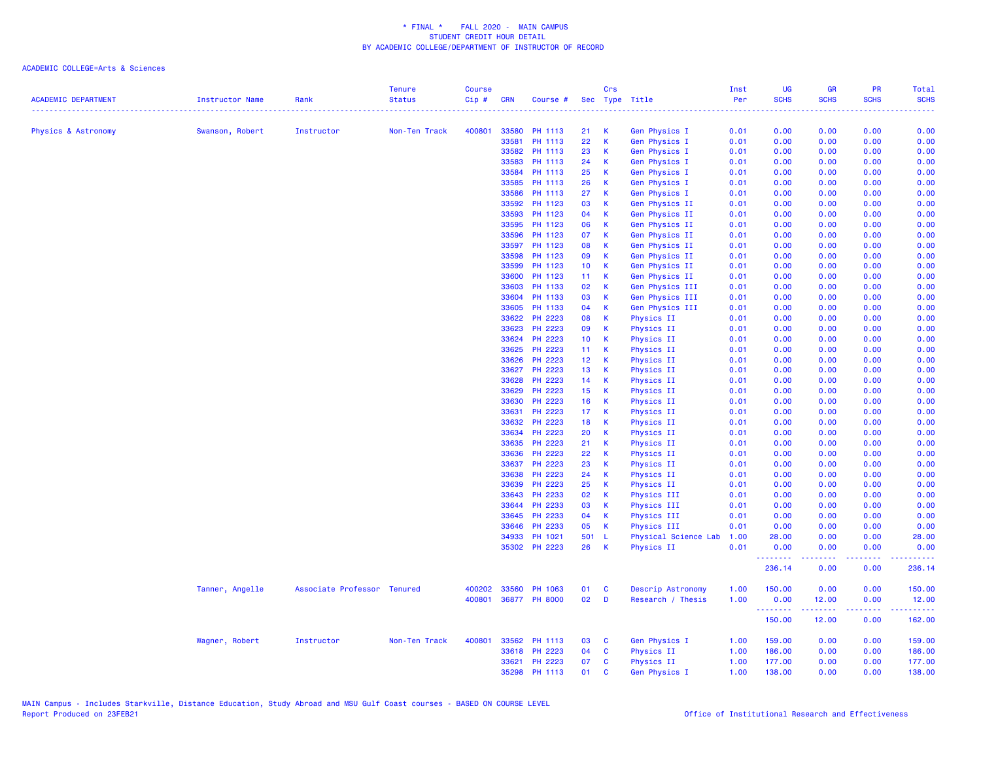|                            |                 |                             | <b>Tenure</b> | <b>Course</b> |            |                |                 | Crs          |                                | Inst     | <b>UG</b>   | <b>GR</b>     | <b>PR</b>   | <b>Total</b>         |
|----------------------------|-----------------|-----------------------------|---------------|---------------|------------|----------------|-----------------|--------------|--------------------------------|----------|-------------|---------------|-------------|----------------------|
| <b>ACADEMIC DEPARTMENT</b> | Instructor Name | Rank                        | <b>Status</b> | Cip#          | <b>CRN</b> | Course #       |                 |              | Sec Type Title<br>. <u>.</u> . | Per<br>. | <b>SCHS</b> | <b>SCHS</b>   | <b>SCHS</b> | <b>SCHS</b>          |
| Physics & Astronomy        | Swanson, Robert | Instructor                  | Non-Ten Track | 400801        | 33580      | PH 1113        | 21              | K            | Gen Physics I                  | 0.01     | 0.00        | 0.00          | 0.00        | 0.00                 |
|                            |                 |                             |               |               | 33581      | PH 1113        | 22              | $\mathbf k$  | Gen Physics I                  | 0.01     | 0.00        | 0.00          | 0.00        | 0.00                 |
|                            |                 |                             |               |               | 33582      | PH 1113        | 23              | К            | Gen Physics I                  | 0.01     | 0.00        | 0.00          | 0.00        | 0.00                 |
|                            |                 |                             |               |               | 33583      | PH 1113        | 24              | $\mathsf{K}$ | Gen Physics I                  | 0.01     | 0.00        | 0.00          | 0.00        | 0.00                 |
|                            |                 |                             |               |               | 33584      | PH 1113        | 25              | К            | Gen Physics I                  | 0.01     | 0.00        | 0.00          | 0.00        | 0.00                 |
|                            |                 |                             |               |               | 33585      | PH 1113        | 26              | К            | Gen Physics I                  | 0.01     | 0.00        | 0.00          | 0.00        | 0.00                 |
|                            |                 |                             |               |               | 33586      | PH 1113        | 27              | $\mathsf{K}$ | Gen Physics I                  | 0.01     | 0.00        | 0.00          | 0.00        | 0.00                 |
|                            |                 |                             |               |               | 33592      | PH 1123        | 03              | К            | Gen Physics II                 | 0.01     | 0.00        | 0.00          | 0.00        | 0.00                 |
|                            |                 |                             |               |               | 33593      | PH 1123        | 04              | $\mathsf{K}$ | Gen Physics II                 | 0.01     | 0.00        | 0.00          | 0.00        | 0.00                 |
|                            |                 |                             |               |               | 33595      | PH 1123        | 06              | К            | Gen Physics II                 | 0.01     | 0.00        | 0.00          | 0.00        | 0.00                 |
|                            |                 |                             |               |               | 33596      | PH 1123        | 07              | К            | Gen Physics II                 | 0.01     | 0.00        | 0.00          | 0.00        | 0.00                 |
|                            |                 |                             |               |               | 33597      | PH 1123        | 08              | $\mathbf k$  | Gen Physics II                 | 0.01     | 0.00        | 0.00          | 0.00        | 0.00                 |
|                            |                 |                             |               |               | 33598      | PH 1123        | 09              | К            | Gen Physics II                 | 0.01     | 0.00        | 0.00          | 0.00        | 0.00                 |
|                            |                 |                             |               |               | 33599      | PH 1123        | 10 <sub>1</sub> | К            | Gen Physics II                 | 0.01     | 0.00        | 0.00          | 0.00        | 0.00                 |
|                            |                 |                             |               |               | 33600      | PH 1123        | 11 <sub>1</sub> | К            | Gen Physics II                 | 0.01     | 0.00        | 0.00          | 0.00        | 0.00                 |
|                            |                 |                             |               |               | 33603      | PH 1133        | 02              | $\mathsf{K}$ | Gen Physics III                | 0.01     | 0.00        | 0.00          | 0.00        | 0.00                 |
|                            |                 |                             |               |               | 33604      | PH 1133        | 03              | $\mathsf{K}$ | Gen Physics III                | 0.01     | 0.00        | 0.00          | 0.00        | 0.00                 |
|                            |                 |                             |               |               | 33605      | PH 1133        | 04              | K            | Gen Physics III                | 0.01     | 0.00        | 0.00          | 0.00        | 0.00                 |
|                            |                 |                             |               |               | 33622      | PH 2223        | 08              | К            | Physics II                     | 0.01     | 0.00        | 0.00          | 0.00        | 0.00                 |
|                            |                 |                             |               |               | 33623      | PH 2223        | 09              | К            | Physics II                     | 0.01     | 0.00        | 0.00          | 0.00        | 0.00                 |
|                            |                 |                             |               |               | 33624      | PH 2223        | 10 <sub>1</sub> | $\mathsf{K}$ | Physics II                     | 0.01     | 0.00        | 0.00          | 0.00        | 0.00                 |
|                            |                 |                             |               |               | 33625      | PH 2223        | 11 <sub>1</sub> | К            | Physics II                     | 0.01     | 0.00        | 0.00          | 0.00        | 0.00                 |
|                            |                 |                             |               |               | 33626      | PH 2223        | 12 <sup>°</sup> | К            | Physics II                     | 0.01     | 0.00        | 0.00          | 0.00        | 0.00                 |
|                            |                 |                             |               |               | 33627      | PH 2223        | 13              | K            | Physics II                     | 0.01     | 0.00        | 0.00          | 0.00        | 0.00                 |
|                            |                 |                             |               |               | 33628      | PH 2223        | 14              | $\mathsf{K}$ | Physics II                     | 0.01     | 0.00        | 0.00          | 0.00        | 0.00                 |
|                            |                 |                             |               |               | 33629      | <b>PH 2223</b> | 15              | К            | Physics II                     | 0.01     | 0.00        | 0.00          | 0.00        | 0.00                 |
|                            |                 |                             |               |               | 33630      | PH 2223        | 16              | $\mathsf{K}$ | <b>Physics II</b>              | 0.01     | 0.00        | 0.00          | 0.00        | 0.00                 |
|                            |                 |                             |               |               | 33631      | PH 2223        | 17 <sub>1</sub> | K            | Physics II                     | 0.01     | 0.00        | 0.00          | 0.00        | 0.00                 |
|                            |                 |                             |               |               | 33632      | PH 2223        | 18              | K            | Physics II                     | 0.01     | 0.00        | 0.00          | 0.00        | 0.00                 |
|                            |                 |                             |               |               | 33634      | PH 2223        | 20              | $\mathsf{K}$ | <b>Physics II</b>              | 0.01     | 0.00        | 0.00          | 0.00        | 0.00                 |
|                            |                 |                             |               |               | 33635      | <b>PH 2223</b> | 21              | К            | Physics II                     | 0.01     | 0.00        | 0.00          | 0.00        | 0.00                 |
|                            |                 |                             |               |               | 33636      | PH 2223        | 22              | $\mathsf{K}$ | Physics II                     | 0.01     | 0.00        | 0.00          | 0.00        | 0.00                 |
|                            |                 |                             |               |               | 33637      | <b>PH 2223</b> | 23              | K            | Physics II                     | 0.01     | 0.00        | 0.00          | 0.00        | 0.00                 |
|                            |                 |                             |               |               | 33638      | PH 2223        | 24              | K            | Physics II                     | 0.01     | 0.00        | 0.00          | 0.00        | 0.00                 |
|                            |                 |                             |               |               | 33639      | <b>PH 2223</b> | 25              | К            | Physics II                     | 0.01     | 0.00        | 0.00          | 0.00        | 0.00                 |
|                            |                 |                             |               |               | 33643      | PH 2233        | 02              | К            | Physics III                    | 0.01     | 0.00        | 0.00          | 0.00        | 0.00                 |
|                            |                 |                             |               |               | 33644      | PH 2233        | 03              | $\mathsf{K}$ | Physics III                    | 0.01     | 0.00        | 0.00          | 0.00        | 0.00                 |
|                            |                 |                             |               |               | 33645      | PH 2233        | 04              | К            | Physics III                    | 0.01     | 0.00        | 0.00          | 0.00        | 0.00                 |
|                            |                 |                             |               |               | 33646      | PH 2233        | 05              | K            | Physics III                    | 0.01     | 0.00        | 0.00          | 0.00        | 0.00                 |
|                            |                 |                             |               |               | 34933      | PH 1021        | 501             | - L          | Physical Science Lab           | 1.00     | 28.00       | 0.00          | 0.00        | 28.00                |
|                            |                 |                             |               |               |            | 35302 PH 2223  | 26              | K            | Physics II                     | 0.01     | 0.00        | 0.00          | 0.00        | 0.00                 |
|                            |                 |                             |               |               |            |                |                 |              |                                |          | .<br>236.14 | 22222<br>0.00 | .<br>0.00   | .<br>236.14          |
|                            | Tanner, Angelle | Associate Professor Tenured |               | 400202        | 33560      | PH 1063        | 01              | C            | Descrip Astronomy              | 1.00     | 150.00      | 0.00          | 0.00        | 150.00               |
|                            |                 |                             |               | 400801        |            | 36877 PH 8000  | 02              | D            | Research / Thesis              | 1.00     | 0.00        | 12.00         | 0.00<br>.   | 12.00                |
|                            |                 |                             |               |               |            |                |                 |              |                                |          | .<br>150.00 | .<br>12.00    | 0.00        | بالمتمامين<br>162.00 |
|                            | Wagner, Robert  | Instructor                  | Non-Ten Track | 400801        | 33562      | PH 1113        | 03              | C            | Gen Physics I                  | 1.00     | 159.00      | 0.00          | 0.00        | 159.00               |
|                            |                 |                             |               |               | 33618      | PH 2223        | 04              | $\mathbf c$  | Physics II                     | 1.00     | 186.00      | 0.00          | 0.00        | 186.00               |
|                            |                 |                             |               |               | 33621      | PH 2223        | 07              | C            | <b>Physics II</b>              | 1.00     | 177.00      | 0.00          | 0.00        | 177.00               |
|                            |                 |                             |               |               | 35298      | PH 1113        | 01              | $\mathbf{C}$ | Gen Physics I                  | 1.00     | 138.00      | 0.00          | 0.00        | 138.00               |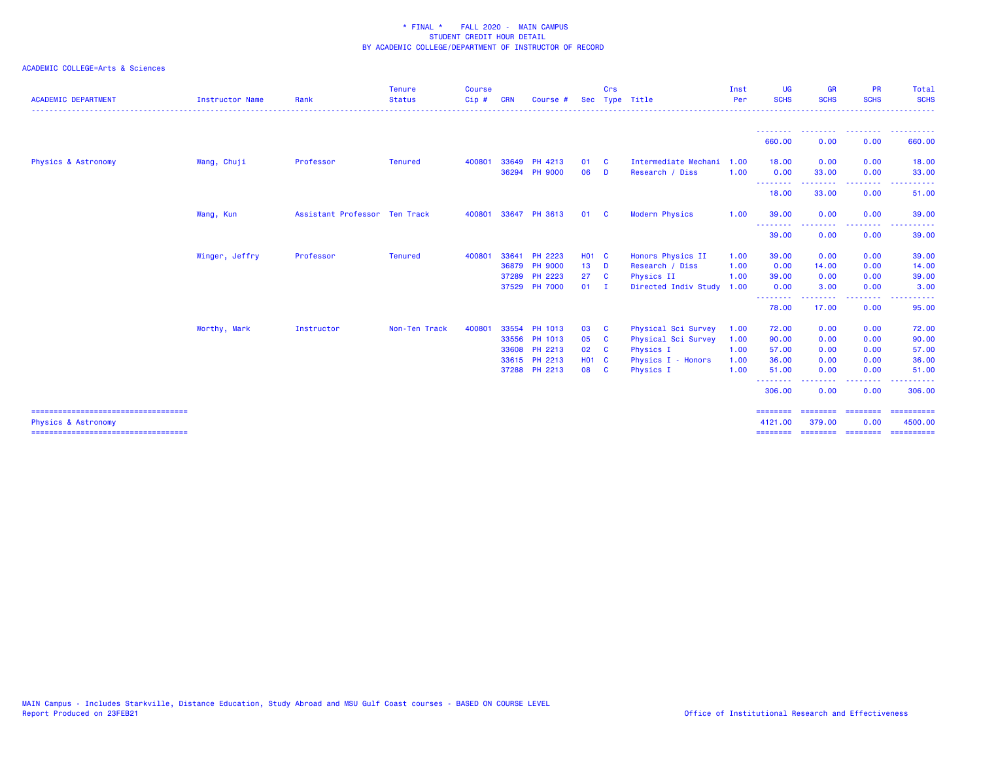| <b>ACADEMIC DEPARTMENT</b>                                              | <b>Instructor Name</b> | Rank                          | <b>Tenure</b><br><b>Status</b> | <b>Course</b><br>Cip# | <b>CRN</b> | Course #                       | <b>Sec</b>   | Crs          | Type Title                              | Inst<br>Per  | <b>UG</b><br><b>SCHS</b> | <b>GR</b><br><b>SCHS</b>                                                                                                          | <b>PR</b><br><b>SCHS</b> | Total<br><b>SCHS</b>   |
|-------------------------------------------------------------------------|------------------------|-------------------------------|--------------------------------|-----------------------|------------|--------------------------------|--------------|--------------|-----------------------------------------|--------------|--------------------------|-----------------------------------------------------------------------------------------------------------------------------------|--------------------------|------------------------|
|                                                                         |                        |                               |                                |                       |            |                                |              |              |                                         |              | <u>.</u><br>660.00       | <u> - - - - - - - -</u><br>0.00                                                                                                   | .<br>0.00                | . <u>.</u> .<br>660.00 |
| Physics & Astronomy                                                     | Wang, Chuji            | Professor                     | <b>Tenured</b>                 | 400801                |            | 33649 PH 4213<br>36294 PH 9000 | 01<br>06     | - C<br>D     | Intermediate Mechani<br>Research / Diss | 1.00<br>1.00 | 18.00<br>0.00            | 0.00<br>33.00                                                                                                                     | 0.00<br>0.00             | 18.00<br>33.00         |
|                                                                         |                        |                               |                                |                       |            |                                |              |              |                                         |              | --------<br>18.00        | .<br>33.00                                                                                                                        | -----<br>0.00            | .<br>51.00             |
|                                                                         | Wang, Kun              | Assistant Professor Ten Track |                                | 400801                |            | 33647 PH 3613                  | 01           | <b>C</b>     | <b>Modern Physics</b>                   | 1.00         | 39.00<br>--------        | 0.00<br>.                                                                                                                         | 0.00<br>. <b>.</b> .     | 39.00<br>. <u>.</u> .  |
|                                                                         |                        |                               |                                |                       |            |                                |              |              |                                         |              | 39.00                    | 0.00                                                                                                                              | 0.00                     | 39.00                  |
|                                                                         | Winger, Jeffry         | Professor                     | <b>Tenured</b>                 | 400801                | 33641      | PH 2223                        | <b>HO1 C</b> |              | Honors Physics II                       | 1.00         | 39.00                    | 0.00                                                                                                                              | 0.00                     | 39.00                  |
|                                                                         |                        |                               |                                |                       |            | 36879 PH 9000                  | $13$ D       |              | Research / Diss                         | 1.00         | 0.00                     | 14.00                                                                                                                             | 0.00                     | 14.00                  |
|                                                                         |                        |                               |                                |                       |            | 37289 PH 2223                  | 27 C         |              | Physics II                              | 1.00         | 39.00                    | 0.00                                                                                                                              | 0.00                     | 39.00                  |
|                                                                         |                        |                               |                                |                       |            | 37529 PH 7000                  | $01$ I       |              | Directed Indiv Study                    | 1.00         | 0.00<br>--------         | 3.00<br>.                                                                                                                         | 0.00<br>.                | 3.00<br>والمستناء      |
|                                                                         |                        |                               |                                |                       |            |                                |              |              |                                         |              | 78.00                    | 17.00                                                                                                                             | 0.00                     | 95.00                  |
|                                                                         | Worthy, Mark           | Instructor                    | Non-Ten Track                  | 400801                |            | 33554 PH 1013                  | 03           | $\mathbf{C}$ | Physical Sci Survey                     | 1.00         | 72.00                    | 0.00                                                                                                                              | 0.00                     | 72.00                  |
|                                                                         |                        |                               |                                |                       |            | 33556 PH 1013                  | 05 C         |              | Physical Sci Survey                     | 1.00         | 90.00                    | 0.00                                                                                                                              | 0.00                     | 90.00                  |
|                                                                         |                        |                               |                                |                       |            | 33608 PH 2213                  | 02 C         |              | Physics I                               | 1.00         | 57.00                    | 0.00                                                                                                                              | 0.00                     | 57.00                  |
|                                                                         |                        |                               |                                |                       |            | 33615 PH 2213                  | <b>HO1 C</b> |              | Physics I - Honors                      | 1.00         | 36.00                    | 0.00                                                                                                                              | 0.00                     | 36.00                  |
|                                                                         |                        |                               |                                |                       |            | 37288 PH 2213                  | 08 C         |              | Physics I                               | 1.00         | 51.00<br>--------        | 0.00<br>$\frac{1}{2} \left( \frac{1}{2} \right) \left( \frac{1}{2} \right) \left( \frac{1}{2} \right) \left( \frac{1}{2} \right)$ | 0.00<br>-----            | 51.00<br>.             |
|                                                                         |                        |                               |                                |                       |            |                                |              |              |                                         |              | 306.00                   | 0.00                                                                                                                              | 0.00                     | 306.00                 |
| =====================================<br><b>Physics &amp; Astronomy</b> |                        |                               |                                |                       |            |                                |              |              |                                         |              | ========<br>4121.00      | ========<br>379.00                                                                                                                | ========<br>0.00         | ==========<br>4500.00  |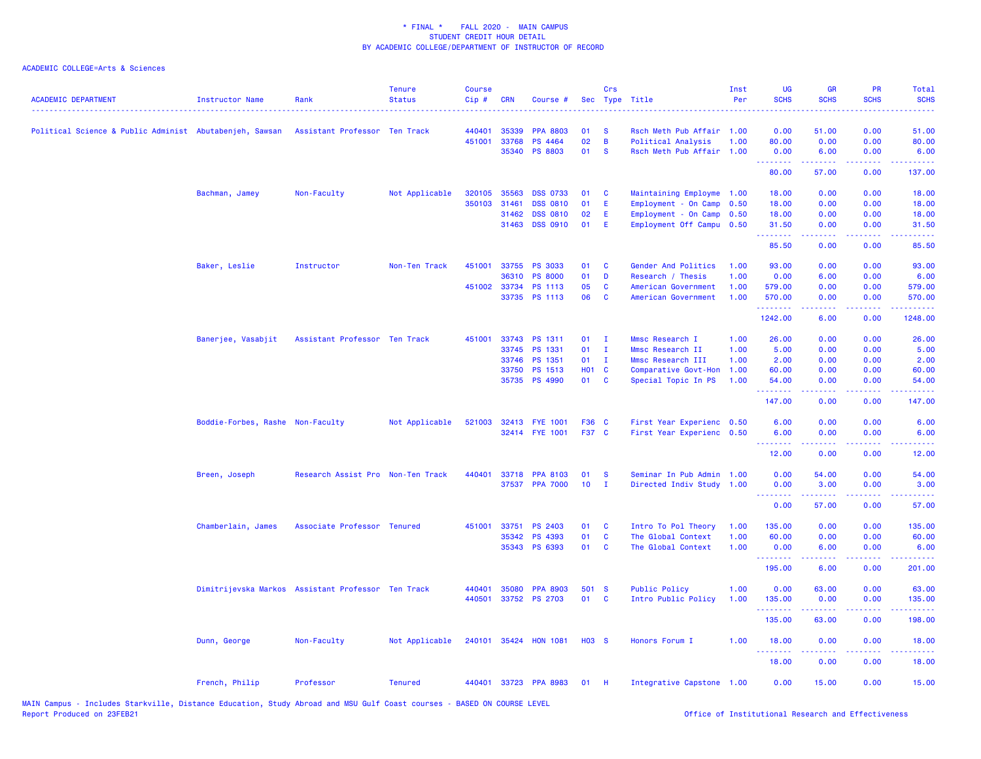| <b>ACADEMIC DEPARTMENT</b><br><b>Instructor Name</b>    | Rank                                               | <b>Tenure</b><br><b>Status</b> | <b>Course</b><br>Cip# | <b>CRN</b>     | Course #                  |              | Crs           | Sec Type Title                                  | Inst<br>Per | UG<br><b>SCHS</b> | <b>GR</b><br><b>SCHS</b>                                                                                                                                      | PR<br><b>SCHS</b>     | <b>Total</b><br><b>SCHS</b> |
|---------------------------------------------------------|----------------------------------------------------|--------------------------------|-----------------------|----------------|---------------------------|--------------|---------------|-------------------------------------------------|-------------|-------------------|---------------------------------------------------------------------------------------------------------------------------------------------------------------|-----------------------|-----------------------------|
| Political Science & Public Administ Abutabenjeh, Sawsan | Assistant Professor Ten Track                      |                                | 440401                | 35339          | <b>PPA 8803</b>           | 01           | -S            | Rsch Meth Pub Affair 1.00                       |             | 0.00              | 51.00                                                                                                                                                         | 0.00                  | 51.00                       |
|                                                         |                                                    |                                | 451001                | 33768<br>35340 | PS 4464<br><b>PS 8803</b> | 02<br>01     | B<br><b>S</b> | Political Analysis<br>Rsch Meth Pub Affair 1.00 | 1.00        | 80.00<br>0.00     | 0.00<br>6.00                                                                                                                                                  | 0.00<br>0.00          | 80.00<br>6.00               |
|                                                         |                                                    |                                |                       |                |                           |              |               |                                                 |             | .<br>80.00        | .<br>57.00                                                                                                                                                    | .<br>0.00             | .<br>137.00                 |
| Bachman, Jamey                                          | Non-Faculty                                        | Not Applicable                 |                       | 320105 35563   | <b>DSS 0733</b>           | 01           | <b>C</b>      | Maintaining Employme 1.00                       |             | 18.00             | 0.00                                                                                                                                                          | 0.00                  | 18.00                       |
|                                                         |                                                    |                                | 350103                | 31461          | <b>DSS 0810</b>           | 01           | E             | Employment - On Camp                            | 0.50        | 18.00             | 0.00                                                                                                                                                          | 0.00                  | 18.00                       |
|                                                         |                                                    |                                |                       | 31462          | <b>DSS 0810</b>           | 02           | E             | Employment - On Camp 0.50                       |             | 18.00             | 0.00                                                                                                                                                          | 0.00                  | 18.00                       |
|                                                         |                                                    |                                |                       | 31463          | <b>DSS 0910</b>           | 01           | E             | Employment Off Campu 0.50                       |             | 31.50<br>.        | 0.00<br>2.2.2.2.2                                                                                                                                             | 0.00<br>.             | 31.50<br>.                  |
|                                                         |                                                    |                                |                       |                |                           |              |               |                                                 |             | 85.50             | 0.00                                                                                                                                                          | 0.00                  | 85.50                       |
| Baker, Leslie                                           | Instructor                                         | Non-Ten Track                  | 451001                |                | 33755 PS 3033             | 01           | C             | Gender And Politics                             | 1.00        | 93.00             | 0.00                                                                                                                                                          | 0.00                  | 93.00                       |
|                                                         |                                                    |                                |                       | 36310          | <b>PS 8000</b>            | 01           | D             | Research / Thesis                               | 1.00        | 0.00              | 6.00                                                                                                                                                          | 0.00                  | 6.00                        |
|                                                         |                                                    |                                |                       | 451002 33734   | PS 1113                   | 05           | C             | American Government                             | 1.00        | 579.00            | 0.00                                                                                                                                                          | 0.00                  | 579.00                      |
|                                                         |                                                    |                                |                       |                | 33735 PS 1113             | 06           | C             | American Government                             | 1.00        | 570.00<br>.       | 0.00<br>.                                                                                                                                                     | 0.00<br>$\frac{1}{2}$ | 570.00<br>.                 |
|                                                         |                                                    |                                |                       |                |                           |              |               |                                                 |             | 1242.00           | 6.00                                                                                                                                                          | 0.00                  | 1248.00                     |
| Banerjee, Vasabjit                                      | Assistant Professor Ten Track                      |                                |                       |                | 451001 33743 PS 1311      | 01           | $\mathbf{I}$  | Mmsc Research I                                 | 1.00        | 26.00             | 0.00                                                                                                                                                          | 0.00                  | 26.00                       |
|                                                         |                                                    |                                |                       | 33745          | PS 1331                   | 01           | $\mathbf{I}$  | Mmsc Research II                                | 1.00        | 5.00              | 0.00                                                                                                                                                          | 0.00                  | 5.00                        |
|                                                         |                                                    |                                |                       | 33746          | PS 1351                   | 01           | $\mathbf{I}$  | Mmsc Research III                               | 1.00        | 2.00              | 0.00                                                                                                                                                          | 0.00                  | 2.00                        |
|                                                         |                                                    |                                |                       | 33750          | PS 1513                   | H01 C        |               | Comparative Govt-Hon                            | 1.00        | 60.00             | 0.00                                                                                                                                                          | 0.00                  | 60.00                       |
|                                                         |                                                    |                                |                       |                | 35735 PS 4990             | 01 C         |               | Special Topic In PS                             | 1.00        | 54.00             | 0.00                                                                                                                                                          | 0.00                  | 54.00                       |
|                                                         |                                                    |                                |                       |                |                           |              |               |                                                 |             | 147.00            | 0.00                                                                                                                                                          | 0.00                  | 147.00                      |
|                                                         | Boddie-Forbes, Rashe Non-Faculty                   | Not Applicable                 |                       |                | 521003 32413 FYE 1001     | F36 C        |               | First Year Experienc 0.50                       |             | 6.00              | 0.00                                                                                                                                                          | 0.00                  | 6.00                        |
|                                                         |                                                    |                                |                       |                | 32414 FYE 1001            | F37 C        |               | First Year Experienc 0.50                       |             | 6.00              | 0.00                                                                                                                                                          | 0.00                  | 6.00                        |
|                                                         |                                                    |                                |                       |                |                           |              |               |                                                 |             | <u>.</u><br>12.00 | <b><i><u><u>AAAAA</u></u></i></b><br>0.00                                                                                                                     | .<br>0.00             | .<br>12.00                  |
| Breen, Joseph                                           | Research Assist Pro Non-Ten Track                  |                                | 440401                | 33718          | <b>PPA 8103</b>           | 01           | <b>S</b>      | Seminar In Pub Admin                            | 1.00        | 0.00              | 54.00                                                                                                                                                         | 0.00                  | 54.00                       |
|                                                         |                                                    |                                |                       |                | 37537 PPA 7000            | 10           | $\mathbf{I}$  | Directed Indiv Study 1.00                       |             | 0.00              | 3.00                                                                                                                                                          | 0.00                  | 3.00                        |
|                                                         |                                                    |                                |                       |                |                           |              |               |                                                 |             | <u>.</u><br>0.00  | .<br>57.00                                                                                                                                                    | 0.00                  | .<br>57.00                  |
| Chamberlain, James                                      | Associate Professor Tenured                        |                                | 451001                | 33751          | PS 2403                   | 01           | C             | Intro To Pol Theory                             | 1.00        | 135.00            | 0.00                                                                                                                                                          | 0.00                  | 135.00                      |
|                                                         |                                                    |                                |                       | 35342          | PS 4393                   | 01           | C             | The Global Context                              | 1.00        | 60.00             | 0.00                                                                                                                                                          | 0.00                  | 60.00                       |
|                                                         |                                                    |                                |                       |                | 35343 PS 6393             | 01           | <b>C</b>      | The Global Context                              | 1.00        | 0.00              | 6.00                                                                                                                                                          | 0.00                  | 6.00                        |
|                                                         |                                                    |                                |                       |                |                           |              |               |                                                 |             | .<br>195.00       | الداعات عامات<br>6.00                                                                                                                                         | .<br>0.00             | 2.2.2.2.2.<br>201.00        |
|                                                         | Dimitrijevska Markos Assistant Professor Ten Track |                                | 440401                | 35080          | <b>PPA 8903</b>           | 501 S        |               | <b>Public Policy</b>                            | 1.00        | 0.00              | 63.00                                                                                                                                                         | 0.00                  | 63.00                       |
|                                                         |                                                    |                                | 440501                |                | 33752 PS 2703             | 01           | <b>C</b>      | Intro Public Policy                             | 1.00        | 135.00            | 0.00                                                                                                                                                          | 0.00                  | 135.00                      |
|                                                         |                                                    |                                |                       |                |                           |              |               |                                                 |             | .<br>135.00       | $\frac{1}{2} \left( \frac{1}{2} \right) \left( \frac{1}{2} \right) \left( \frac{1}{2} \right) \left( \frac{1}{2} \right) \left( \frac{1}{2} \right)$<br>63.00 | 0.00                  | 22222<br>198.00             |
| Dunn, George                                            | Non-Faculty                                        | Not Applicable                 |                       |                | 240101 35424 HON 1081     | <b>HO3 S</b> |               | Honors Forum I                                  | 1.00        | 18.00             | 0.00                                                                                                                                                          | 0.00                  | 18.00                       |
|                                                         |                                                    |                                |                       |                |                           |              |               |                                                 |             | .<br>18.00        | 0.00                                                                                                                                                          | 0.00                  | 18.00                       |
| French, Philip                                          | Professor                                          | <b>Tenured</b>                 |                       |                | 440401 33723 PPA 8983     | 01           | - H           | Integrative Capstone 1.00                       |             | 0.00              | 15.00                                                                                                                                                         | 0.00                  | 15.00                       |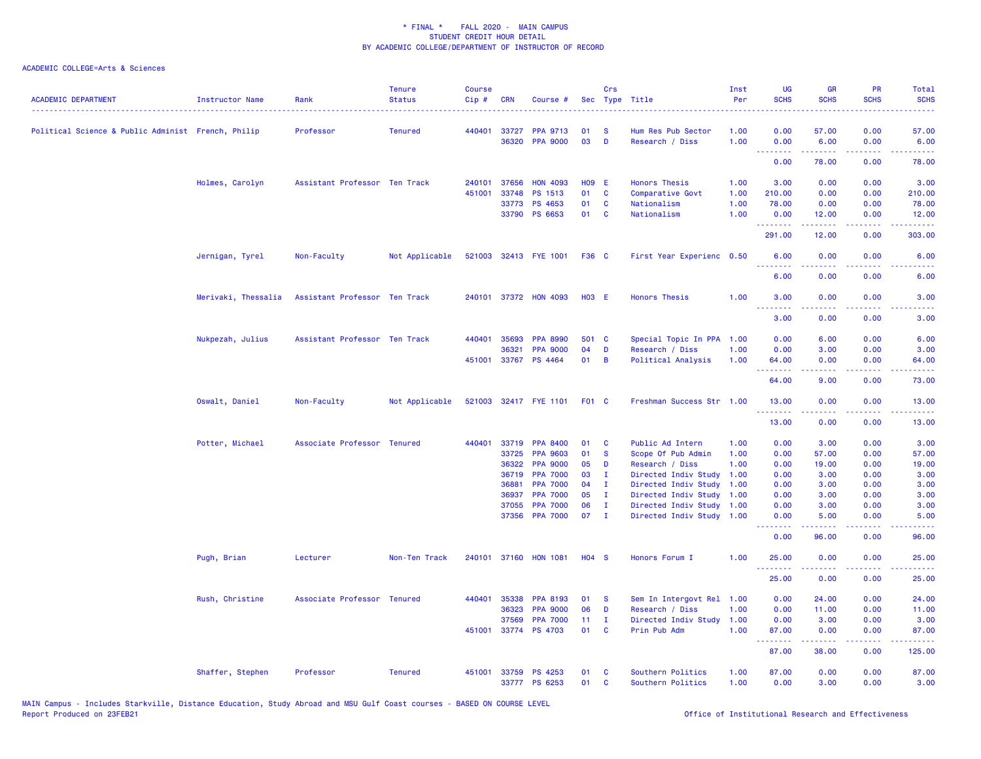| <b>ACADEMIC DEPARTMENT</b>                         | <b>Instructor Name</b> | Rank                          | <b>Tenure</b><br><b>Status</b> | <b>Course</b><br>Cip# | <b>CRN</b> | Course #                          | Sec          | Crs                          | Type Title                                        | Inst<br>Per  | <b>UG</b><br><b>SCHS</b>                            | <b>GR</b><br><b>SCHS</b>                                                                                                          | PR<br><b>SCHS</b>                   | Total<br><b>SCHS</b>                                                                                                              |
|----------------------------------------------------|------------------------|-------------------------------|--------------------------------|-----------------------|------------|-----------------------------------|--------------|------------------------------|---------------------------------------------------|--------------|-----------------------------------------------------|-----------------------------------------------------------------------------------------------------------------------------------|-------------------------------------|-----------------------------------------------------------------------------------------------------------------------------------|
| Political Science & Public Administ French, Philip |                        | Professor                     | <b>Tenured</b>                 | 440401                | 33727      | <b>PPA 9713</b>                   | 01           | <b>S</b>                     | Hum Res Pub Sector                                | 1.00         | 0.00                                                | 57.00                                                                                                                             | 0.00                                | 57.00                                                                                                                             |
|                                                    |                        |                               |                                |                       |            | 36320 PPA 9000                    | 03           | D                            | Research / Diss                                   | 1.00         | 0.00<br>.                                           | 6.00<br>.                                                                                                                         | 0.00<br>.                           | 6.00<br>.                                                                                                                         |
|                                                    |                        |                               |                                |                       |            |                                   |              |                              |                                                   |              | 0.00                                                | 78.00                                                                                                                             | 0.00                                | 78.00                                                                                                                             |
|                                                    | Holmes, Carolyn        | Assistant Professor Ten Track |                                | 240101                | 37656      | <b>HON 4093</b>                   | <b>HO9 E</b> |                              | <b>Honors Thesis</b>                              | 1.00         | 3.00                                                | 0.00                                                                                                                              | 0.00                                | 3.00                                                                                                                              |
|                                                    |                        |                               |                                | 451001                | 33748      | PS 1513                           | 01           | $\mathbf{C}$                 | Comparative Govt                                  | 1.00         | 210.00                                              | 0.00                                                                                                                              | 0.00                                | 210.00                                                                                                                            |
|                                                    |                        |                               |                                |                       |            | 33773 PS 4653                     | 01           | <b>C</b>                     | Nationalism                                       | 1.00         | 78.00                                               | 0.00                                                                                                                              | 0.00                                | 78.00                                                                                                                             |
|                                                    |                        |                               |                                |                       |            | 33790 PS 6653                     | 01           | <b>C</b>                     | Nationalism                                       | 1.00         | 0.00<br>1.1.1.1.1.1.1                               | 12.00<br>المتمامين                                                                                                                | 0.00<br>.                           | 12.00<br>المتمام مامان                                                                                                            |
|                                                    |                        |                               |                                |                       |            |                                   |              |                              |                                                   |              | 291.00                                              | 12.00                                                                                                                             | 0.00                                | 303.00                                                                                                                            |
|                                                    | Jernigan, Tyrel        | Non-Faculty                   | Not Applicable                 |                       |            | 521003 32413 FYE 1001             | F36 C        |                              | First Year Experienc 0.50                         |              | 6.00<br>$\sim$ $\sim$ $\sim$ $\sim$                 | 0.00                                                                                                                              | 0.00<br>والمحامر                    | 6.00                                                                                                                              |
|                                                    |                        |                               |                                |                       |            |                                   |              |                              |                                                   |              | 6.00                                                | 0.00                                                                                                                              | 0.00                                | 6.00                                                                                                                              |
|                                                    | Merivaki, Thessalia    | Assistant Professor Ten Track |                                |                       |            | 240101 37372 HON 4093             | <b>HO3 E</b> |                              | <b>Honors Thesis</b>                              | 1.00         | 3.00<br><b><i><u><u>ALLERS A</u></u></i></b>        | 0.00<br>-----                                                                                                                     | 0.00<br>-----                       | 3.00<br>$\frac{1}{2} \left( \frac{1}{2} \right) \left( \frac{1}{2} \right) \left( \frac{1}{2} \right) \left( \frac{1}{2} \right)$ |
|                                                    |                        |                               |                                |                       |            |                                   |              |                              |                                                   |              | 3.00                                                | 0.00                                                                                                                              | 0.00                                | 3.00                                                                                                                              |
|                                                    | Nukpezah, Julius       | Assistant Professor Ten Track |                                | 440401                | 35693      | <b>PPA 8990</b>                   | 501 C        |                              | Special Topic In PPA                              | 1.00         | 0.00                                                | 6.00                                                                                                                              | 0.00                                | 6.00                                                                                                                              |
|                                                    |                        |                               |                                |                       | 36321      | <b>PPA 9000</b>                   | 04           | D                            | Research / Diss                                   | 1.00         | 0.00                                                | 3.00                                                                                                                              | 0.00                                | 3.00                                                                                                                              |
|                                                    |                        |                               |                                | 451001                |            | 33767 PS 4464                     | 01           | B                            | Political Analysis                                | 1.00         | 64.00<br><b><i><u><u> - - - - - - -</u></u></i></b> | 0.00<br>.                                                                                                                         | 0.00<br>د د د د                     | 64.00<br>.                                                                                                                        |
|                                                    |                        |                               |                                |                       |            |                                   |              |                              |                                                   |              | 64.00                                               | 9.00                                                                                                                              | 0.00                                | 73.00                                                                                                                             |
|                                                    | Oswalt, Daniel         | Non-Faculty                   | Not Applicable                 |                       |            | 521003 32417 FYE 1101             | <b>F01 C</b> |                              | Freshman Success Str 1.00                         |              | 13.00                                               | 0.00                                                                                                                              | 0.00<br>.                           | 13.00                                                                                                                             |
|                                                    |                        |                               |                                |                       |            |                                   |              |                              |                                                   |              | 13.00                                               | 0.00                                                                                                                              | 0.00                                | 13.00                                                                                                                             |
|                                                    | Potter, Michael        | Associate Professor Tenured   |                                | 440401                |            | 33719 PPA 8400                    | 01           | C                            | Public Ad Intern                                  | 1.00         | 0.00                                                | 3.00                                                                                                                              | 0.00                                | 3.00                                                                                                                              |
|                                                    |                        |                               |                                |                       | 33725      | <b>PPA 9603</b>                   | 01           | <b>S</b>                     | Scope Of Pub Admin                                | 1.00         | 0.00                                                | 57.00                                                                                                                             | 0.00                                | 57.00                                                                                                                             |
|                                                    |                        |                               |                                |                       | 36322      | <b>PPA 9000</b>                   | 05           | D                            | Research / Diss                                   | 1.00         | 0.00                                                | 19.00                                                                                                                             | 0.00                                | 19.00                                                                                                                             |
|                                                    |                        |                               |                                |                       | 36719      | <b>PPA 7000</b>                   | 03           | $\mathbf I$                  | Directed Indiv Study                              | 1.00         | 0.00                                                | 3.00                                                                                                                              | 0.00                                | 3.00                                                                                                                              |
|                                                    |                        |                               |                                |                       | 36881      | <b>PPA 7000</b>                   | 04           | I.                           | Directed Indiv Study                              | 1.00         | 0.00                                                | 3.00                                                                                                                              | 0.00                                | 3.00                                                                                                                              |
|                                                    |                        |                               |                                |                       | 36937      | <b>PPA 7000</b>                   | 05           | $\mathbf{I}$                 | Directed Indiv Study                              | 1.00         | 0.00                                                | 3.00                                                                                                                              | 0.00                                | 3.00                                                                                                                              |
|                                                    |                        |                               |                                |                       | 37055      | <b>PPA 7000</b><br>37356 PPA 7000 | 06<br>07     | $\mathbf{I}$<br>$\mathbf{I}$ | Directed Indiv Study<br>Directed Indiv Study 1.00 | 1.00         | 0.00<br>0.00                                        | 3.00<br>5.00                                                                                                                      | 0.00<br>0.00                        | 3.00<br>5.00                                                                                                                      |
|                                                    |                        |                               |                                |                       |            |                                   |              |                              |                                                   |              | .<br>0.00                                           | 22222<br>96.00                                                                                                                    | .<br>0.00                           | الداعات عاد<br>96.00                                                                                                              |
|                                                    | Pugh, Brian            | Lecturer                      | Non-Ten Track                  | 240101                |            | 37160 HON 1081                    | $H04$ S      |                              | Honors Forum I                                    | 1.00         | 25.00                                               | 0.00                                                                                                                              | 0.00                                | 25.00                                                                                                                             |
|                                                    |                        |                               |                                |                       |            |                                   |              |                              |                                                   |              | .<br>25.00                                          | .<br>0.00                                                                                                                         | $\sim$ $\sim$ $\sim$ $\sim$<br>0.00 | المتماما<br>25.00                                                                                                                 |
|                                                    | Rush, Christine        | Associate Professor Tenured   |                                | 440401                | 35338      | <b>PPA 8193</b>                   | 01           | <b>S</b>                     | Sem In Intergovt Rel 1.00                         |              | 0.00                                                | 24.00                                                                                                                             | 0.00                                | 24.00                                                                                                                             |
|                                                    |                        |                               |                                |                       | 36323      | <b>PPA 9000</b>                   | 06           | D                            | Research / Diss                                   | 1.00         | 0.00                                                | 11.00                                                                                                                             | 0.00                                | 11.00                                                                                                                             |
|                                                    |                        |                               |                                |                       | 37569      | <b>PPA 7000</b>                   | 11           | T                            | Directed Indiv Study                              | 1.00         | 0.00                                                | 3.00                                                                                                                              | 0.00                                | 3.00                                                                                                                              |
|                                                    |                        |                               |                                | 451001                |            | 33774 PS 4703                     | 01           | C                            | Prin Pub Adm                                      | 1.00         | 87.00<br>.                                          | 0.00<br>$\frac{1}{2} \left( \frac{1}{2} \right) \left( \frac{1}{2} \right) \left( \frac{1}{2} \right) \left( \frac{1}{2} \right)$ | 0.00<br>د د د د .                   | 87.00<br>.                                                                                                                        |
|                                                    |                        |                               |                                |                       |            |                                   |              |                              |                                                   |              | 87.00                                               | 38.00                                                                                                                             | 0.00                                | 125.00                                                                                                                            |
|                                                    | Shaffer, Stephen       | Professor                     | <b>Tenured</b>                 | 451001                |            | 33759 PS 4253<br>33777 PS 6253    | 01<br>01     | C<br>C                       | Southern Politics<br>Southern Politics            | 1.00<br>1.00 | 87.00<br>0.00                                       | 0.00<br>3.00                                                                                                                      | 0.00<br>0.00                        | 87.00<br>3.00                                                                                                                     |
|                                                    |                        |                               |                                |                       |            |                                   |              |                              |                                                   |              |                                                     |                                                                                                                                   |                                     |                                                                                                                                   |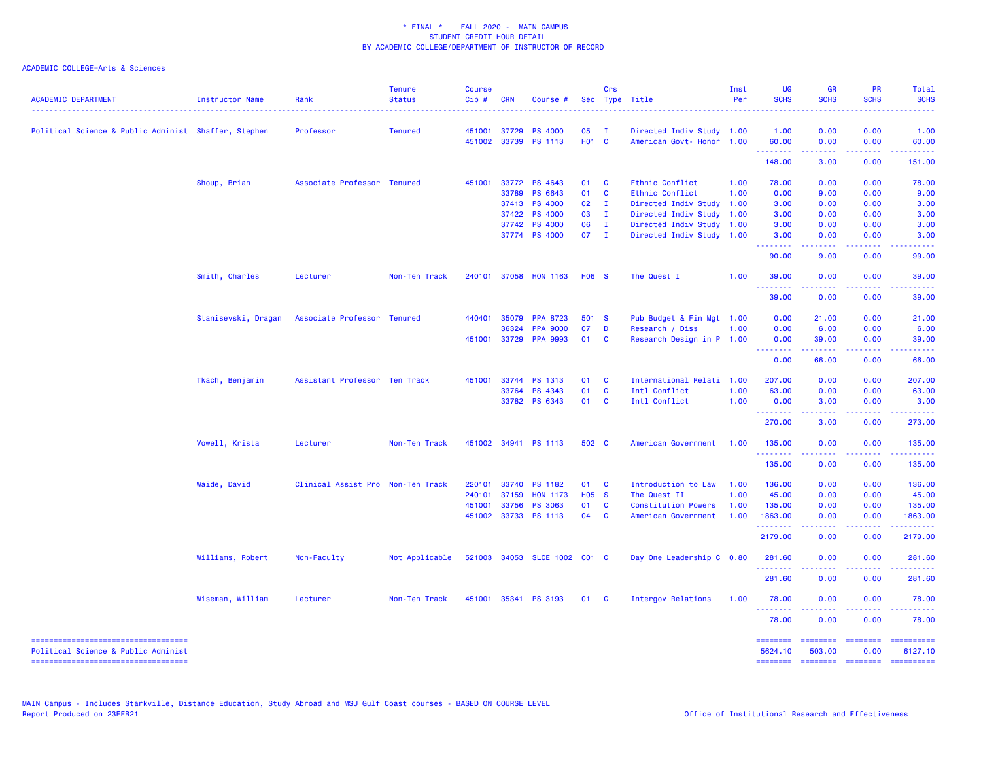| <b>ACADEMIC DEPARTMENT</b>                                                | Instructor Name     | Rank                              | Tenure<br><b>Status</b> | <b>Course</b><br>Cip# | <b>CRN</b>   | Course #                     |                   | Crs            | Sec Type Title             | Inst<br>Per | <b>UG</b><br><b>SCHS</b> | <b>GR</b><br><b>SCHS</b>            | PR<br><b>SCHS</b>         | Total<br><b>SCHS</b>                                                                                                                                                                                                                                                                                                                                                                                                                 |
|---------------------------------------------------------------------------|---------------------|-----------------------------------|-------------------------|-----------------------|--------------|------------------------------|-------------------|----------------|----------------------------|-------------|--------------------------|-------------------------------------|---------------------------|--------------------------------------------------------------------------------------------------------------------------------------------------------------------------------------------------------------------------------------------------------------------------------------------------------------------------------------------------------------------------------------------------------------------------------------|
| Political Science & Public Administ Shaffer, Stephen                      |                     | Professor                         | <b>Tenured</b>          | 451001                | 37729        | <b>PS 4000</b>               | 05                | $\mathbf{I}$   | Directed Indiv Study 1.00  |             | 1.00                     | 0.00                                | 0.00                      | 1.00                                                                                                                                                                                                                                                                                                                                                                                                                                 |
|                                                                           |                     |                                   |                         | 451002                | 33739        | <b>PS 1113</b>               | HO <sub>1</sub> C |                | American Govt- Honor 1.00  |             | 60.00<br>.               | 0.00<br>المستبدا                    | 0.00<br>المستما           | 60.00<br>.                                                                                                                                                                                                                                                                                                                                                                                                                           |
|                                                                           |                     |                                   |                         |                       |              |                              |                   |                |                            |             | 148.00                   | 3.00                                | 0.00                      | 151.00                                                                                                                                                                                                                                                                                                                                                                                                                               |
|                                                                           | Shoup, Brian        | Associate Professor Tenured       |                         | 451001                | 33772        | PS 4643                      | 01                | $\mathbf{C}$   | Ethnic Conflict            | 1.00        | 78.00                    | 0.00                                | 0.00                      | 78.00                                                                                                                                                                                                                                                                                                                                                                                                                                |
|                                                                           |                     |                                   |                         |                       | 33789        | PS 6643                      | 01                | <b>C</b>       | Ethnic Conflict            | 1.00        | 0.00                     | 9.00                                | 0.00                      | 9.00                                                                                                                                                                                                                                                                                                                                                                                                                                 |
|                                                                           |                     |                                   |                         |                       | 37413        | <b>PS 4000</b>               | 02                | $\mathbf{I}$   | Directed Indiv Study 1.00  |             | 3.00                     | 0.00                                | 0.00                      | 3.00                                                                                                                                                                                                                                                                                                                                                                                                                                 |
|                                                                           |                     |                                   |                         |                       | 37422        | <b>PS 4000</b>               | 03                | $\mathbf{I}$   | Directed Indiv Study 1.00  |             | 3.00                     | 0.00                                | 0.00                      | 3.00                                                                                                                                                                                                                                                                                                                                                                                                                                 |
|                                                                           |                     |                                   |                         |                       | 37742        | <b>PS 4000</b>               | 06                | $\mathbf{I}$   | Directed Indiv Study 1.00  |             | 3.00                     | 0.00                                | 0.00                      | 3.00                                                                                                                                                                                                                                                                                                                                                                                                                                 |
|                                                                           |                     |                                   |                         |                       |              | 37774 PS 4000                | $07$ I            |                | Directed Indiv Study 1.00  |             | 3.00<br>.                | 0.00<br>$\sim$ $\sim$ $\sim$ $\sim$ | 0.00<br>.                 | 3.00                                                                                                                                                                                                                                                                                                                                                                                                                                 |
|                                                                           |                     |                                   |                         |                       |              |                              |                   |                |                            |             | 90.00                    | 9.00                                | 0.00                      | 99.00                                                                                                                                                                                                                                                                                                                                                                                                                                |
|                                                                           | Smith, Charles      | Lecturer                          | Non-Ten Track           |                       | 240101 37058 | <b>HON 1163</b>              | <b>HO6 S</b>      |                | The Quest I                | 1.00        | 39.00<br>.               | 0.00                                | 0.00                      | 39.00                                                                                                                                                                                                                                                                                                                                                                                                                                |
|                                                                           |                     |                                   |                         |                       |              |                              |                   |                |                            |             | 39.00                    | 0.00                                | 0.00                      | 39.00                                                                                                                                                                                                                                                                                                                                                                                                                                |
|                                                                           | Stanisevski, Dragan | Associate Professor Tenured       |                         | 440401                | 35079        | <b>PPA 8723</b>              | 501 S             |                | Pub Budget & Fin Mgt 1.00  |             | 0.00                     | 21.00                               | 0.00                      | 21.00                                                                                                                                                                                                                                                                                                                                                                                                                                |
|                                                                           |                     |                                   |                         |                       | 36324        | <b>PPA 9000</b>              | 07                | $\overline{D}$ | Research / Diss            | 1.00        | 0.00                     | 6.00                                | 0.00                      | 6.00                                                                                                                                                                                                                                                                                                                                                                                                                                 |
|                                                                           |                     |                                   |                         |                       | 451001 33729 | <b>PPA 9993</b>              | 01                | <b>C</b>       | Research Design in P 1.00  |             | 0.00<br>2222.            | 39.00                               | 0.00                      | 39.00                                                                                                                                                                                                                                                                                                                                                                                                                                |
|                                                                           |                     |                                   |                         |                       |              |                              |                   |                |                            |             | 0.00                     | 66.00                               | 0.00                      | 66.00                                                                                                                                                                                                                                                                                                                                                                                                                                |
|                                                                           | Tkach, Benjamin     | Assistant Professor Ten Track     |                         | 451001                | 33744        | PS 1313                      | 01                | C              | International Relati 1.00  |             | 207.00                   | 0.00                                | 0.00                      | 207.00                                                                                                                                                                                                                                                                                                                                                                                                                               |
|                                                                           |                     |                                   |                         |                       | 33764        | PS 4343                      | 01                | $\mathbf{C}$   | Intl Conflict              | 1.00        | 63.00                    | 0.00                                | 0.00                      | 63.00                                                                                                                                                                                                                                                                                                                                                                                                                                |
|                                                                           |                     |                                   |                         |                       |              | 33782 PS 6343                | 01                | $\mathbf{C}$   | Intl Conflict              | 1.00        | 0.00<br>. <u>.</u>       | 3.00                                | 0.00                      | 3.00                                                                                                                                                                                                                                                                                                                                                                                                                                 |
|                                                                           |                     |                                   |                         |                       |              |                              |                   |                |                            |             | 270.00                   | 3.00                                | 0.00                      | 273.00                                                                                                                                                                                                                                                                                                                                                                                                                               |
|                                                                           | Vowell, Krista      | Lecturer                          | Non-Ten Track           |                       |              | 451002 34941 PS 1113         | 502 C             |                | American Government        | 1.00        | 135.00<br>.              | 0.00                                | 0.00                      | 135.00                                                                                                                                                                                                                                                                                                                                                                                                                               |
|                                                                           |                     |                                   |                         |                       |              |                              |                   |                |                            |             | 135.00                   | 0.00                                | 0.00                      | 135.00                                                                                                                                                                                                                                                                                                                                                                                                                               |
|                                                                           | Waide, David        | Clinical Assist Pro Non-Ten Track |                         |                       | 220101 33740 | <b>PS 1182</b>               | 01 C              |                | Introduction to Law        | 1.00        | 136.00                   | 0.00                                | 0.00                      | 136.00                                                                                                                                                                                                                                                                                                                                                                                                                               |
|                                                                           |                     |                                   |                         | 240101                | 37159        | <b>HON 1173</b>              | <b>H05 S</b>      |                | The Quest II               | 1.00        | 45.00                    | 0.00                                | 0.00                      | 45.00                                                                                                                                                                                                                                                                                                                                                                                                                                |
|                                                                           |                     |                                   |                         | 451001                | 33756        | <b>PS 3063</b>               | 01                | C              | <b>Constitution Powers</b> | 1.00        | 135.00                   | 0.00                                | 0.00                      | 135.00                                                                                                                                                                                                                                                                                                                                                                                                                               |
|                                                                           |                     |                                   |                         |                       |              | 451002 33733 PS 1113         | 04 C              |                | American Government        | 1.00        | 1863.00<br>. <u>.</u> .  | 0.00<br>-----                       | 0.00<br>-----             | 1863.00<br>.                                                                                                                                                                                                                                                                                                                                                                                                                         |
|                                                                           |                     |                                   |                         |                       |              |                              |                   |                |                            |             | 2179.00                  | 0.00                                | 0.00                      | 2179.00                                                                                                                                                                                                                                                                                                                                                                                                                              |
|                                                                           | Williams, Robert    | Non-Faculty                       | Not Applicable          |                       |              | 521003 34053 SLCE 1002 C01 C |                   |                | Day One Leadership C 0.80  |             | 281.60<br>.              | 0.00                                | 0.00                      | 281.60                                                                                                                                                                                                                                                                                                                                                                                                                               |
|                                                                           |                     |                                   |                         |                       |              |                              |                   |                |                            |             | 281.60                   | .<br>0.00                           | .<br>0.00                 | .<br>281.60                                                                                                                                                                                                                                                                                                                                                                                                                          |
|                                                                           | Wiseman, William    | Lecturer                          | Non-Ten Track           |                       |              | 451001 35341 PS 3193         | 01 C              |                | <b>Intergov Relations</b>  | 1.00        | 78.00                    | 0.00                                | 0.00                      | 78.00                                                                                                                                                                                                                                                                                                                                                                                                                                |
|                                                                           |                     |                                   |                         |                       |              |                              |                   |                |                            |             | .<br>78.00               | 0.00                                | 0.00                      | 78.00                                                                                                                                                                                                                                                                                                                                                                                                                                |
| ----------------------------------<br>Political Science & Public Administ |                     |                                   |                         |                       |              |                              |                   |                |                            |             | ========<br>5624.10      | 503.00                              | ======== ========<br>0.00 | ==========<br>6127.10                                                                                                                                                                                                                                                                                                                                                                                                                |
| -----------------------------------                                       |                     |                                   |                         |                       |              |                              |                   |                |                            |             | ========                 |                                     | energen energen           | $\begin{minipage}{0.9\linewidth} \hspace*{-0.2cm} \textbf{1} & \textbf{2} & \textbf{3} & \textbf{5} & \textbf{6} & \textbf{7} \\ \textbf{5} & \textbf{6} & \textbf{7} & \textbf{8} & \textbf{8} & \textbf{8} & \textbf{9} \\ \textbf{6} & \textbf{8} & \textbf{8} & \textbf{8} & \textbf{8} & \textbf{9} & \textbf{9} \\ \textbf{7} & \textbf{8} & \textbf{8} & \textbf{8} & \textbf{9} & \textbf{9} & \textbf{9} \\ \textbf{8} & \$ |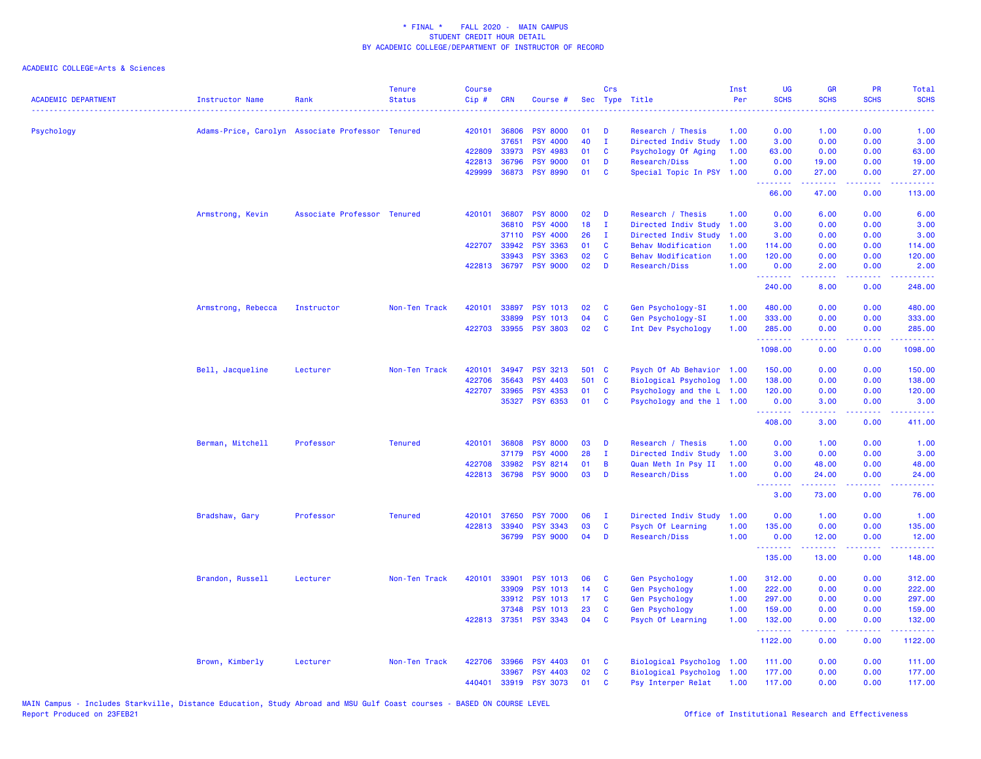| <b>ACADEMIC DEPARTMENT</b> | <b>Instructor Name</b>                           | Rank                        | <b>Tenure</b><br><b>Status</b> | <b>Course</b><br>Cip# | <b>CRN</b>   | Course #              |       | Crs          | Sec Type Title              | Inst<br>Per | <b>UG</b><br><b>SCHS</b> | <b>GR</b><br><b>SCHS</b>                                                                                                                                      | <b>PR</b><br><b>SCHS</b> | <b>Total</b><br><b>SCHS</b><br>.                                                                                                                              |
|----------------------------|--------------------------------------------------|-----------------------------|--------------------------------|-----------------------|--------------|-----------------------|-------|--------------|-----------------------------|-------------|--------------------------|---------------------------------------------------------------------------------------------------------------------------------------------------------------|--------------------------|---------------------------------------------------------------------------------------------------------------------------------------------------------------|
| Psychology                 | Adams-Price, Carolyn Associate Professor Tenured |                             |                                |                       | 420101 36806 | <b>PSY 8000</b>       | 01    | D            | Research / Thesis           | 1.00        | 0.00                     | 1.00                                                                                                                                                          | 0.00                     | 1.00                                                                                                                                                          |
|                            |                                                  |                             |                                |                       | 37651        | <b>PSY 4000</b>       | 40    | $\mathbf I$  | Directed Indiv Study        | 1.00        | 3.00                     | 0.00                                                                                                                                                          | 0.00                     | 3.00                                                                                                                                                          |
|                            |                                                  |                             |                                | 422809                | 33973        | <b>PSY 4983</b>       | 01    | C            | Psychology Of Aging         | 1.00        | 63.00                    | 0.00                                                                                                                                                          | 0.00                     | 63.00                                                                                                                                                         |
|                            |                                                  |                             |                                |                       | 422813 36796 | <b>PSY 9000</b>       | 01    | D            | Research/Diss               | 1.00        | 0.00                     | 19.00                                                                                                                                                         | 0.00                     | 19.00                                                                                                                                                         |
|                            |                                                  |                             |                                | 429999                | 36873        | <b>PSY 8990</b>       | 01    | C            | Special Topic In PSY 1.00   |             | 0.00<br>.                | 27.00<br>.                                                                                                                                                    | 0.00<br>.                | 27.00<br>22222)                                                                                                                                               |
|                            |                                                  |                             |                                |                       |              |                       |       |              |                             |             | 66.00                    | 47.00                                                                                                                                                         | 0.00                     | 113.00                                                                                                                                                        |
|                            | Armstrong, Kevin                                 | Associate Professor Tenured |                                | 420101                | 36807        | <b>PSY 8000</b>       | 02    | D            | Research / Thesis           | 1.00        | 0.00                     | 6.00                                                                                                                                                          | 0.00                     | 6.00                                                                                                                                                          |
|                            |                                                  |                             |                                |                       | 36810        | <b>PSY 4000</b>       | 18    | $\mathbf{I}$ | Directed Indiv Study        | 1.00        | 3.00                     | 0.00                                                                                                                                                          | 0.00                     | 3.00                                                                                                                                                          |
|                            |                                                  |                             |                                |                       | 37110        | <b>PSY 4000</b>       | 26    | п            | Directed Indiv Study        | 1.00        | 3.00                     | 0.00                                                                                                                                                          | 0.00                     | 3.00                                                                                                                                                          |
|                            |                                                  |                             |                                | 422707                | 33942        | <b>PSY 3363</b>       | 01    | C            | <b>Behav Modification</b>   | 1.00        | 114.00                   | 0.00                                                                                                                                                          | 0.00                     | 114.00                                                                                                                                                        |
|                            |                                                  |                             |                                |                       | 33943        | <b>PSY 3363</b>       | 02    | C            | <b>Behav Modification</b>   | 1.00        | 120.00                   | 0.00                                                                                                                                                          | 0.00                     | 120.00                                                                                                                                                        |
|                            |                                                  |                             |                                |                       | 422813 36797 | <b>PSY 9000</b>       | 02    | D            | Research/Diss               | 1.00        | 0.00<br>.                | 2.00<br>$\frac{1}{2} \left( \frac{1}{2} \right) \left( \frac{1}{2} \right) \left( \frac{1}{2} \right) \left( \frac{1}{2} \right) \left( \frac{1}{2} \right)$  | 0.00<br>.                | 2.00<br>.                                                                                                                                                     |
|                            |                                                  |                             |                                |                       |              |                       |       |              |                             |             | 240.00                   | 8.00                                                                                                                                                          | 0.00                     | 248.00                                                                                                                                                        |
|                            | Armstrong, Rebecca                               | Instructor                  | Non-Ten Track                  | 420101                | 33897        | <b>PSY 1013</b>       | 02    | C            | Gen Psychology-SI           | 1.00        | 480.00                   | 0.00                                                                                                                                                          | 0.00                     | 480.00                                                                                                                                                        |
|                            |                                                  |                             |                                |                       | 33899        | <b>PSY 1013</b>       | 04    | C            | Gen Psychology-SI           | 1.00        | 333.00                   | 0.00                                                                                                                                                          | 0.00                     | 333.00                                                                                                                                                        |
|                            |                                                  |                             |                                |                       |              | 422703 33955 PSY 3803 | 02    | C            | Int Dev Psychology          | 1.00        | 285.00<br>.              | 0.00<br><u>.</u>                                                                                                                                              | 0.00<br>.                | 285.00<br>.                                                                                                                                                   |
|                            |                                                  |                             |                                |                       |              |                       |       |              |                             |             | 1098.00                  | 0.00                                                                                                                                                          | 0.00                     | 1098.00                                                                                                                                                       |
|                            | Bell, Jacqueline                                 | Lecturer                    | Non-Ten Track                  | 420101                | 34947        | <b>PSY 3213</b>       | 501 C |              | Psych Of Ab Behavior 1.00   |             | 150.00                   | 0.00                                                                                                                                                          | 0.00                     | 150.00                                                                                                                                                        |
|                            |                                                  |                             |                                | 422706                | 35643        | <b>PSY 4403</b>       | 501 C |              | Biological Psycholog        | 1.00        | 138.00                   | 0.00                                                                                                                                                          | 0.00                     | 138.00                                                                                                                                                        |
|                            |                                                  |                             |                                | 422707                | 33965        | <b>PSY 4353</b>       | 01    | C            | Psychology and the L 1.00   |             | 120.00                   | 0.00                                                                                                                                                          | 0.00                     | 120.00                                                                                                                                                        |
|                            |                                                  |                             |                                |                       | 35327        | <b>PSY 6353</b>       | 01    | <b>C</b>     | Psychology and the 1 1.00   |             | 0.00                     | 3.00                                                                                                                                                          | 0.00                     | 3.00                                                                                                                                                          |
|                            |                                                  |                             |                                |                       |              |                       |       |              |                             |             | .<br>408.00              | $\frac{1}{2} \left( \frac{1}{2} \right) \left( \frac{1}{2} \right) \left( \frac{1}{2} \right) \left( \frac{1}{2} \right) \left( \frac{1}{2} \right)$<br>3.00  | .<br>0.00                | .<br>411.00                                                                                                                                                   |
|                            | Berman, Mitchell                                 | Professor                   | <b>Tenured</b>                 | 420101                | 36808        | <b>PSY 8000</b>       | 03    | D            | Research / Thesis           | 1.00        | 0.00                     | 1.00                                                                                                                                                          | 0.00                     | 1.00                                                                                                                                                          |
|                            |                                                  |                             |                                |                       | 37179        | <b>PSY 4000</b>       | 28    | п            | Directed Indiv Study        | 1.00        | 3.00                     | 0.00                                                                                                                                                          | 0.00                     | 3.00                                                                                                                                                          |
|                            |                                                  |                             |                                |                       | 422708 33982 | <b>PSY 8214</b>       | 01    | B            | Quan Meth In Psy II         | 1.00        | 0.00                     | 48.00                                                                                                                                                         | 0.00                     | 48.00                                                                                                                                                         |
|                            |                                                  |                             |                                |                       | 422813 36798 | <b>PSY 9000</b>       | 03    | D            | Research/Diss               | 1.00        | 0.00<br><b></b>          | 24.00<br>.                                                                                                                                                    | 0.00<br>.                | 24.00<br>.                                                                                                                                                    |
|                            |                                                  |                             |                                |                       |              |                       |       |              |                             |             | 3.00                     | 73.00                                                                                                                                                         | 0.00                     | 76.00                                                                                                                                                         |
|                            | Bradshaw, Gary                                   | Professor                   | <b>Tenured</b>                 | 420101                | 37650        | <b>PSY 7000</b>       | 06    | $\mathbf I$  | Directed Indiv Study        | 1.00        | 0.00                     | 1.00                                                                                                                                                          | 0.00                     | 1.00                                                                                                                                                          |
|                            |                                                  |                             |                                | 422813                | 33940        | <b>PSY 3343</b>       | 03    | $\mathbf c$  | Psych Of Learning           | 1.00        | 135.00                   | 0.00                                                                                                                                                          | 0.00                     | 135.00                                                                                                                                                        |
|                            |                                                  |                             |                                |                       | 36799        | <b>PSY 9000</b>       | 04    | D            | Research/Diss               | 1.00        | 0.00<br>.                | 12.00<br>$\frac{1}{2} \left( \frac{1}{2} \right) \left( \frac{1}{2} \right) \left( \frac{1}{2} \right) \left( \frac{1}{2} \right) \left( \frac{1}{2} \right)$ | 0.00                     | 12.00<br>$\frac{1}{2} \left( \frac{1}{2} \right) \left( \frac{1}{2} \right) \left( \frac{1}{2} \right) \left( \frac{1}{2} \right) \left( \frac{1}{2} \right)$ |
|                            |                                                  |                             |                                |                       |              |                       |       |              |                             |             | 135.00                   | 13.00                                                                                                                                                         | 0.00                     | 148.00                                                                                                                                                        |
|                            | Brandon, Russell                                 | Lecturer                    | Non-Ten Track                  | 420101                | 33901        | <b>PSY 1013</b>       | 06    | C            | Gen Psychology              | 1.00        | 312.00                   | 0.00                                                                                                                                                          | 0.00                     | 312.00                                                                                                                                                        |
|                            |                                                  |                             |                                |                       | 33909        | <b>PSY 1013</b>       | 14    | C            | <b>Gen Psychology</b>       | 1.00        | 222.00                   | 0.00                                                                                                                                                          | 0.00                     | 222.00                                                                                                                                                        |
|                            |                                                  |                             |                                |                       | 33912        | <b>PSY 1013</b>       | 17    | C            | <b>Gen Psychology</b>       | 1.00        | 297.00                   | 0.00                                                                                                                                                          | 0.00                     | 297.00                                                                                                                                                        |
|                            |                                                  |                             |                                |                       | 37348        | <b>PSY 1013</b>       | 23    | C            | <b>Gen Psychology</b>       | 1.00        | 159,00                   | 0.00                                                                                                                                                          | 0.00                     | 159.00                                                                                                                                                        |
|                            |                                                  |                             |                                |                       | 422813 37351 | <b>PSY 3343</b>       | 04    | C            | Psych Of Learning           | 1.00        | 132.00<br>.              | 0.00<br>$\frac{1}{2} \left( \frac{1}{2} \right) \left( \frac{1}{2} \right) \left( \frac{1}{2} \right) \left( \frac{1}{2} \right) \left( \frac{1}{2} \right)$  | 0.00<br>.                | 132.00<br>.                                                                                                                                                   |
|                            |                                                  |                             |                                |                       |              |                       |       |              |                             |             | 1122.00                  | 0.00                                                                                                                                                          | 0.00                     | 1122.00                                                                                                                                                       |
|                            | Brown, Kimberly                                  | Lecturer                    | Non-Ten Track                  | 422706                | 33966        | <b>PSY 4403</b>       | 01    | <b>C</b>     | <b>Biological Psycholog</b> | 1.00        | 111.00                   | 0.00                                                                                                                                                          | 0.00                     | 111.00                                                                                                                                                        |
|                            |                                                  |                             |                                |                       | 33967        | <b>PSY 4403</b>       | 02    | C            | <b>Biological Psycholog</b> | 1.00        | 177.00                   | 0.00                                                                                                                                                          | 0.00                     | 177.00                                                                                                                                                        |
|                            |                                                  |                             |                                | 440401                | 33919        | <b>PSY 3073</b>       | 01    | C            | Psy Interper Relat          | 1.00        | 117.00                   | 0.00                                                                                                                                                          | 0.00                     | 117.00                                                                                                                                                        |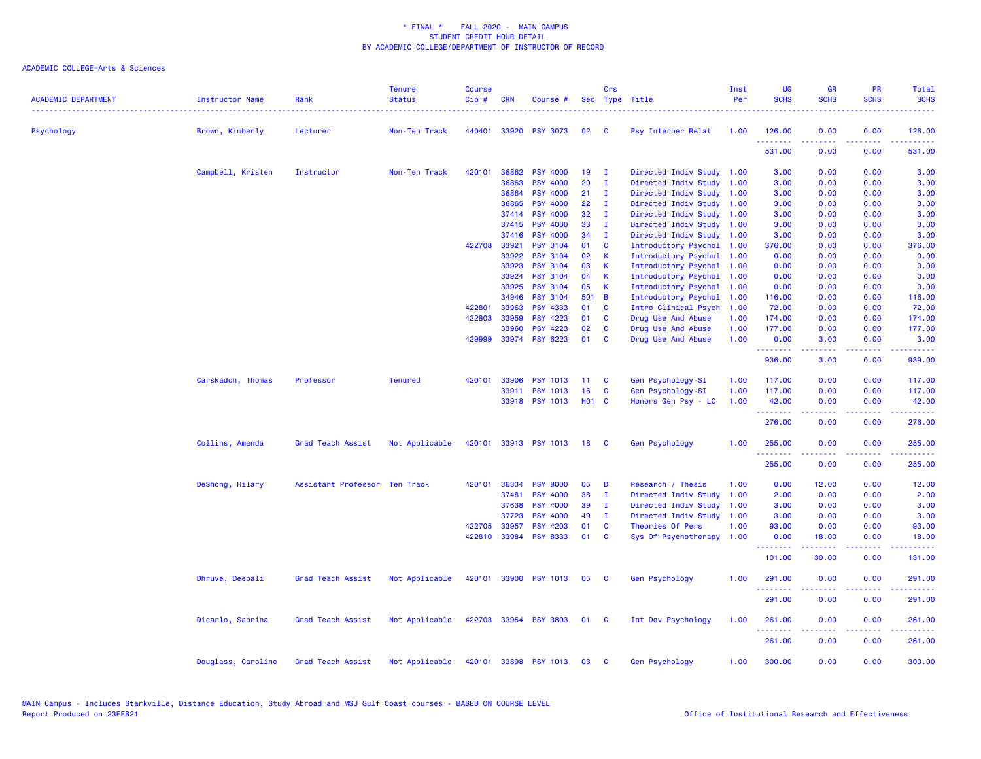| <b>ACADEMIC DEPARTMENT</b> | Instructor Name    | Rank                          | <b>Tenure</b><br><b>Status</b> | <b>Course</b><br>Cip# | <b>CRN</b>     | Course #                           |                   | Crs                          | Sec Type Title            | Inst<br>Per | <b>UG</b><br><b>SCHS</b> | <b>GR</b><br><b>SCHS</b> | PR<br><b>SCHS</b> | Total<br><b>SCHS</b>                                                                                                                                           |
|----------------------------|--------------------|-------------------------------|--------------------------------|-----------------------|----------------|------------------------------------|-------------------|------------------------------|---------------------------|-------------|--------------------------|--------------------------|-------------------|----------------------------------------------------------------------------------------------------------------------------------------------------------------|
|                            |                    | Lecturer                      | Non-Ten Track                  | 440401                |                | 33920 PSY 3073                     | 02                | <b>C</b>                     |                           | 1.00        | 126.00                   | 0.00                     | 0.00              | 126.00                                                                                                                                                         |
| Psychology                 | Brown, Kimberly    |                               |                                |                       |                |                                    |                   |                              | Psy Interper Relat        |             | .                        |                          |                   |                                                                                                                                                                |
|                            |                    |                               |                                |                       |                |                                    |                   |                              |                           |             | 531.00                   | 0.00                     | 0.00              | 531.00                                                                                                                                                         |
|                            | Campbell, Kristen  | Instructor                    | Non-Ten Track                  | 420101                | 36862<br>36863 | <b>PSY 4000</b><br><b>PSY 4000</b> | 19<br>20          | $\mathbf{I}$<br>$\mathbf{I}$ | Directed Indiv Study 1.00 |             | 3.00                     | 0.00                     | 0.00<br>0.00      | 3.00                                                                                                                                                           |
|                            |                    |                               |                                |                       |                |                                    |                   |                              | Directed Indiv Study 1.00 |             | 3.00                     | 0.00                     |                   | 3.00                                                                                                                                                           |
|                            |                    |                               |                                |                       | 36864          | <b>PSY 4000</b>                    | 21                | - I                          | Directed Indiv Study 1.00 |             | 3.00                     | 0.00                     | 0.00              | 3.00                                                                                                                                                           |
|                            |                    |                               |                                |                       | 36865          | <b>PSY 4000</b>                    | 22<br>32          | - 1                          | Directed Indiv Study      | 1.00        | 3.00                     | 0.00                     | 0.00<br>0.00      | 3.00                                                                                                                                                           |
|                            |                    |                               |                                |                       | 37414<br>37415 | <b>PSY 4000</b><br><b>PSY 4000</b> | 33                | $\mathbf{I}$                 | Directed Indiv Study 1.00 |             | 3.00                     | 0.00                     |                   | 3.00                                                                                                                                                           |
|                            |                    |                               |                                |                       |                |                                    | 34                | $\mathbf{I}$                 | Directed Indiv Study 1.00 |             | 3.00                     | 0.00                     | 0.00              | 3.00                                                                                                                                                           |
|                            |                    |                               |                                |                       | 37416<br>33921 | <b>PSY 4000</b>                    | 01                | $\mathbf{I}$                 | Directed Indiv Study 1.00 |             | 3.00                     | 0.00                     | 0.00              | 3.00                                                                                                                                                           |
|                            |                    |                               |                                | 422708                |                | <b>PSY 3104</b><br><b>PSY 3104</b> | 02                | C                            | Introductory Psychol      | 1.00        | 376.00                   | 0.00                     | 0.00              | 376.00                                                                                                                                                         |
|                            |                    |                               |                                |                       | 33922          |                                    |                   | К<br>К                       | Introductory Psychol      | 1.00        | 0.00                     | 0.00                     | 0.00              | 0.00                                                                                                                                                           |
|                            |                    |                               |                                |                       | 33923          | <b>PSY 3104</b>                    | 03                |                              | Introductory Psychol      | 1.00        | 0.00                     | 0.00                     | 0.00              | 0.00                                                                                                                                                           |
|                            |                    |                               |                                |                       | 33924          | <b>PSY 3104</b>                    | 04                | K                            | Introductory Psychol      | 1.00        | 0.00                     | 0.00                     | 0.00              | 0.00                                                                                                                                                           |
|                            |                    |                               |                                |                       | 33925          | <b>PSY 3104</b>                    | 05                | К                            | Introductory Psychol      | 1.00        | 0.00                     | 0.00                     | 0.00              | 0.00                                                                                                                                                           |
|                            |                    |                               |                                |                       | 34946          | <b>PSY 3104</b>                    | 501               | B                            | Introductory Psychol      | 1.00        | 116.00                   | 0.00                     | 0.00              | 116.00                                                                                                                                                         |
|                            |                    |                               |                                | 422801                | 33963          | <b>PSY 4333</b>                    | 01                | C                            | Intro Clinical Psych      | 1.00        | 72.00                    | 0.00                     | 0.00              | 72.00                                                                                                                                                          |
|                            |                    |                               |                                | 422803                | 33959          | <b>PSY 4223</b>                    | 01                | <b>C</b>                     | Drug Use And Abuse        | 1.00        | 174.00                   | 0.00                     | 0.00              | 174.00                                                                                                                                                         |
|                            |                    |                               |                                |                       | 33960          | <b>PSY 4223</b>                    | 02                | <b>C</b>                     | Drug Use And Abuse        | 1.00        | 177.00                   | 0.00                     | 0.00              | 177.00                                                                                                                                                         |
|                            |                    |                               |                                |                       |                | 429999 33974 PSY 6223              | 01                | C                            | Drug Use And Abuse        | 1.00        | 0.00<br>.                | 3.00<br>22222            | 0.00<br>د د د د . | 3.00<br>.                                                                                                                                                      |
|                            |                    |                               |                                |                       |                |                                    |                   |                              |                           |             | 936.00                   | 3.00                     | 0.00              | 939.00                                                                                                                                                         |
|                            | Carskadon, Thomas  | Professor                     | <b>Tenured</b>                 | 420101                | 33906          | <b>PSY 1013</b>                    | 11                | <b>C</b>                     | Gen Psychology-SI         | 1.00        | 117.00                   | 0.00                     | 0.00              | 117.00                                                                                                                                                         |
|                            |                    |                               |                                |                       |                | 33911 PSY 1013                     | 16                | C                            | Gen Psychology-SI         | 1.00        | 117.00                   | 0.00                     | 0.00              | 117.00                                                                                                                                                         |
|                            |                    |                               |                                |                       |                | 33918 PSY 1013                     | H <sub>01</sub> C |                              | Honors Gen Psy - LC       | 1.00        | 42.00<br>وواوي والأوار   | 0.00<br>.                | 0.00<br>بالمحام   | 42.00<br>.                                                                                                                                                     |
|                            |                    |                               |                                |                       |                |                                    |                   |                              |                           |             | 276.00                   | 0.00                     | 0.00              | 276.00                                                                                                                                                         |
|                            | Collins, Amanda    | Grad Teach Assist             | Not Applicable                 | 420101                |                | 33913 PSY 1013                     | 18                | <b>C</b>                     | Gen Psychology            | 1.00        | 255.00                   | 0.00                     | 0.00              | 255.00                                                                                                                                                         |
|                            |                    |                               |                                |                       |                |                                    |                   |                              |                           |             | 255.00                   | 0.00                     | 0.00              | 255.00                                                                                                                                                         |
|                            | DeShong, Hilary    | Assistant Professor Ten Track |                                | 420101                | 36834          | <b>PSY 8000</b>                    | 05                | D                            | Research / Thesis         | 1.00        | 0.00                     | 12.00                    | 0.00              | 12.00                                                                                                                                                          |
|                            |                    |                               |                                |                       | 37481          | <b>PSY 4000</b>                    | 38                | $\mathbf{I}$                 | Directed Indiv Study      | 1.00        | 2.00                     | 0.00                     | 0.00              | 2.00                                                                                                                                                           |
|                            |                    |                               |                                |                       | 37638          | <b>PSY 4000</b>                    | 39                | п.                           | Directed Indiv Study      | 1.00        | 3.00                     | 0.00                     | 0.00              | 3.00                                                                                                                                                           |
|                            |                    |                               |                                |                       | 37723          | <b>PSY 4000</b>                    | 49                | - 1                          | Directed Indiv Study      | 1.00        | 3.00                     | 0.00                     | 0.00              | 3.00                                                                                                                                                           |
|                            |                    |                               |                                |                       | 422705 33957   | <b>PSY 4203</b>                    | 01                | C                            | Theories Of Pers          | 1.00        | 93.00                    | 0.00                     | 0.00              | 93.00                                                                                                                                                          |
|                            |                    |                               |                                | 422810                | 33984          | <b>PSY 8333</b>                    | 01                | C                            | Sys Of Psychotherapy      | 1.00        | 0.00                     | 18.00                    | 0.00              | 18.00                                                                                                                                                          |
|                            |                    |                               |                                |                       |                |                                    |                   |                              |                           |             | .<br>101.00              | 30.00                    | 0.00              | 131.00                                                                                                                                                         |
|                            | Dhruve, Deepali    | Grad Teach Assist             | Not Applicable                 | 420101                |                | 33900 PSY 1013                     | 05                | <b>C</b>                     | Gen Psychology            | 1.00        | 291.00                   | 0.00                     | 0.00              | 291.00                                                                                                                                                         |
|                            |                    |                               |                                |                       |                |                                    |                   |                              |                           |             | .<br>291.00              | 0.00                     | 0.00              | $\frac{1}{2} \left( \frac{1}{2} \right) \left( \frac{1}{2} \right) \left( \frac{1}{2} \right) \left( \frac{1}{2} \right) \left( \frac{1}{2} \right)$<br>291.00 |
|                            |                    |                               |                                |                       |                |                                    |                   |                              |                           |             |                          |                          |                   |                                                                                                                                                                |
|                            | Dicarlo, Sabrina   | Grad Teach Assist             | Not Applicable                 |                       |                | 422703 33954 PSY 3803              | 01 C              |                              | Int Dev Psychology        | 1.00        | 261.00<br>.              | 0.00<br>.                | 0.00<br>.         | 261.00                                                                                                                                                         |
|                            |                    |                               |                                |                       |                |                                    |                   |                              |                           |             | 261.00                   | 0.00                     | 0.00              | 261.00                                                                                                                                                         |
|                            | Douglass, Caroline | Grad Teach Assist             | Not Applicable                 | 420101                |                | 33898 PSY 1013                     | 03                | C                            | <b>Gen Psychology</b>     | 1.00        | 300.00                   | 0.00                     | 0.00              | 300.00                                                                                                                                                         |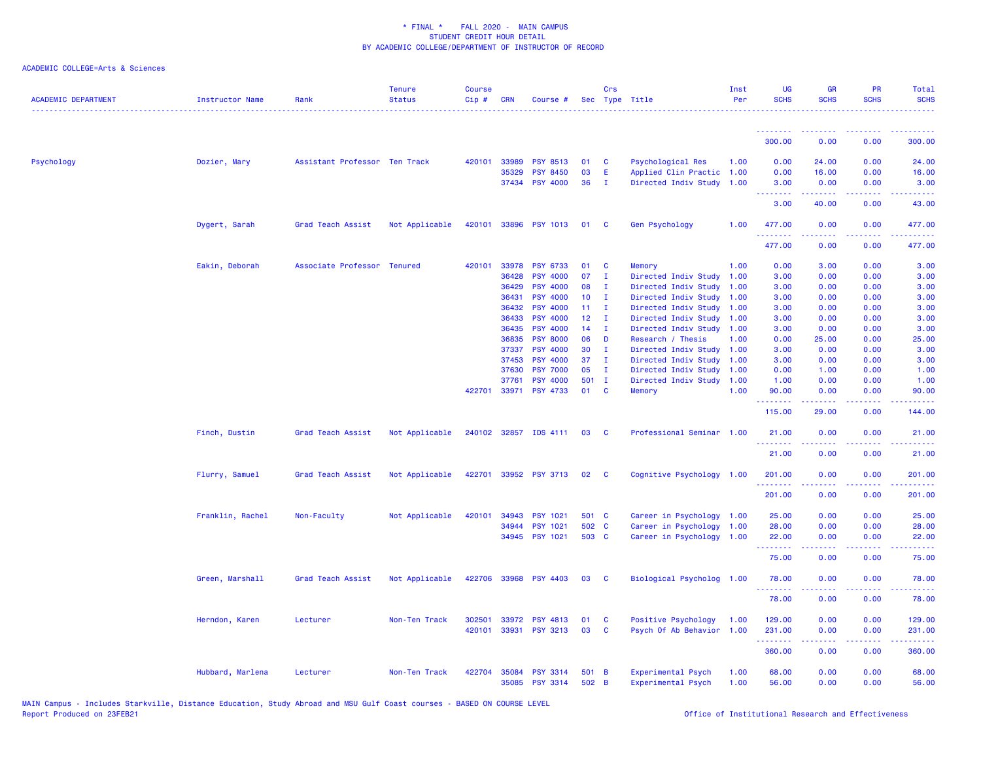| <b>ACADEMIC DEPARTMENT</b> | <b>Instructor Name</b> | Rank                          | <b>Tenure</b><br><b>Status</b> | <b>Course</b><br>Cip# | <b>CRN</b>     | Course #                           |                 | Crs                | Sec Type Title                               | Inst<br>Per  | <b>UG</b><br><b>SCHS</b> | <b>GR</b><br><b>SCHS</b> | <b>PR</b><br><b>SCHS</b>            | Total<br><b>SCHS</b>  |
|----------------------------|------------------------|-------------------------------|--------------------------------|-----------------------|----------------|------------------------------------|-----------------|--------------------|----------------------------------------------|--------------|--------------------------|--------------------------|-------------------------------------|-----------------------|
|                            |                        |                               |                                |                       |                |                                    |                 |                    |                                              |              | <u>.</u>                 | .                        | $- - - -$                           | .                     |
|                            |                        |                               |                                |                       |                |                                    |                 |                    |                                              |              | 300.00                   | 0.00                     | 0.00                                | 300.00                |
| Psychology                 | Dozier, Mary           | Assistant Professor Ten Track |                                | 420101                | 33989          | <b>PSY 8513</b>                    | 01              | C                  | <b>Psychological Res</b>                     | 1.00         | 0.00                     | 24.00                    | 0.00                                | 24.00                 |
|                            |                        |                               |                                |                       | 35329          | <b>PSY 8450</b>                    | 03              | E                  | Applied Clin Practic                         | 1.00         | 0.00                     | 16.00                    | 0.00                                | 16.00                 |
|                            |                        |                               |                                |                       |                | 37434 PSY 4000                     | 36              | п.                 | Directed Indiv Study 1.00                    |              | 3.00<br><u>.</u>         | 0.00<br>.                | 0.00<br>.                           | 3.00<br>.             |
|                            |                        |                               |                                |                       |                |                                    |                 |                    |                                              |              | 3.00                     | 40.00                    | 0.00                                | 43.00                 |
|                            | Dygert, Sarah          | Grad Teach Assist             | Not Applicable                 | 420101                | 33896          | <b>PSY 1013</b>                    | 01              | C                  | Gen Psychology                               | 1.00         | 477.00<br>.              | 0.00                     | 0.00<br>$\sim$ $\sim$ $\sim$ $\sim$ | 477.00<br>.           |
|                            |                        |                               |                                |                       |                |                                    |                 |                    |                                              |              | 477.00                   | 0.00                     | 0.00                                | 477.00                |
|                            | Eakin, Deborah         | Associate Professor           | <b>Tenured</b>                 | 420101                | 33978          | <b>PSY 6733</b>                    | 01              | C                  | Memory                                       | 1.00         | 0.00                     | 3.00                     | 0.00                                | 3.00                  |
|                            |                        |                               |                                |                       | 36428          | <b>PSY 4000</b>                    | 07              | $\mathbf{I}$       | Directed Indiv Study                         | 1.00         | 3.00                     | 0.00                     | 0.00                                | 3.00                  |
|                            |                        |                               |                                |                       | 36429          | <b>PSY 4000</b>                    | 08              | $\mathbf I$        | Directed Indiv Study                         | 1.00         | 3.00                     | 0.00                     | 0.00                                | 3.00                  |
|                            |                        |                               |                                |                       | 36431          | <b>PSY 4000</b>                    | 10              | Ι.                 | Directed Indiv Study                         | 1.00         | 3.00                     | 0.00                     | 0.00                                | 3.00                  |
|                            |                        |                               |                                |                       | 36432          | PSY 4000                           | 11 <sub>1</sub> | Ι.                 | Directed Indiv Study                         | 1.00         | 3.00                     | 0.00                     | 0.00                                | 3.00                  |
|                            |                        |                               |                                |                       | 36433          | <b>PSY 4000</b>                    | 12 <sup>°</sup> | $\mathbf{I}$       | Directed Indiv Study 1.00                    |              | 3.00                     | 0.00                     | 0.00                                | 3.00                  |
|                            |                        |                               |                                |                       | 36435          | <b>PSY 4000</b>                    | 14              | $\mathbf{I}$       | Directed Indiv Study 1.00                    |              | 3.00                     | 0.00                     | 0.00                                | 3.00                  |
|                            |                        |                               |                                |                       | 36835          | <b>PSY 8000</b><br><b>PSY 4000</b> | 06<br>30        | D                  | Research / Thesis                            | 1.00         | 0.00                     | 25.00                    | 0.00                                | 25.00                 |
|                            |                        |                               |                                |                       | 37337<br>37453 | <b>PSY 4000</b>                    | 37              | $\mathbf{I}$<br>Ι. | Directed Indiv Study<br>Directed Indiv Study | 1.00<br>1.00 | 3.00<br>3.00             | 0.00<br>0.00             | 0.00<br>0.00                        | 3.00<br>3.00          |
|                            |                        |                               |                                |                       | 37630          | <b>PSY 7000</b>                    | 05              | $\mathbf{I}$       | Directed Indiv Study                         | 1.00         | 0.00                     | 1.00                     | 0.00                                | 1.00                  |
|                            |                        |                               |                                |                       | 37761          | <b>PSY 4000</b>                    | $501$ I         |                    | Directed Indiv Study                         | 1.00         | 1.00                     | 0.00                     | 0.00                                | 1.00                  |
|                            |                        |                               |                                | 422701                | 33971          | <b>PSY 4733</b>                    | 01              | C                  | Memory                                       | 1.00         | 90.00                    | 0.00                     | 0.00                                | 90.00                 |
|                            |                        |                               |                                |                       |                |                                    |                 |                    |                                              |              | .<br>115.00              | .<br>29.00               | $\frac{1}{2}$<br>0.00               | المتمامين<br>144.00   |
|                            | Finch, Dustin          | Grad Teach Assist             | Not Applicable                 |                       |                | 240102 32857 IDS 4111              | 03              | - C                | Professional Seminar 1.00                    |              | 21.00                    | 0.00                     | 0.00                                | 21.00                 |
|                            |                        |                               |                                |                       |                |                                    |                 |                    |                                              |              | 21.00                    | 0.00                     | 0.00                                | 21.00                 |
|                            | Flurry, Samuel         | Grad Teach Assist             | Not Applicable                 |                       |                | 422701 33952 PSY 3713              | 02              | - C                | Cognitive Psychology 1.00                    |              | 201.00<br>. <u>.</u>     | 0.00<br><u>.</u>         | 0.00<br>.                           | 201.00<br><b>.</b> .  |
|                            |                        |                               |                                |                       |                |                                    |                 |                    |                                              |              | 201.00                   | 0.00                     | 0.00                                | 201.00                |
|                            | Franklin, Rachel       | Non-Faculty                   | Not Applicable                 | 420101                | 34943          | <b>PSY 1021</b>                    | 501 C           |                    | Career in Psychology 1.00                    |              | 25.00                    | 0.00                     | 0.00                                | 25.00                 |
|                            |                        |                               |                                |                       | 34944          | <b>PSY 1021</b>                    | 502 C           |                    | Career in Psychology                         | 1.00         | 28.00                    | 0.00                     | 0.00                                | 28.00                 |
|                            |                        |                               |                                |                       |                | 34945 PSY 1021                     | 503 C           |                    | Career in Psychology 1.00                    |              | 22.00<br><u>.</u>        | 0.00                     | 0.00                                | 22.00                 |
|                            |                        |                               |                                |                       |                |                                    |                 |                    |                                              |              | 75.00                    | .<br>0.00                | .<br>0.00                           | .<br>75.00            |
|                            | Green, Marshall        | Grad Teach Assist             | Not Applicable                 |                       |                | 422706 33968 PSY 4403              | 03              | - C                | Biological Psycholog 1.00                    |              | 78.00                    | 0.00                     | 0.00                                | 78.00                 |
|                            |                        |                               |                                |                       |                |                                    |                 |                    |                                              |              | 78.00                    | 0.00                     | 0.00                                | 78.00                 |
|                            | Herndon, Karen         | Lecturer                      | Non-Ten Track                  | 302501                | 33972          | <b>PSY 4813</b>                    | 01              | C                  | Positive Psychology                          | 1.00         | 129.00                   | 0.00                     | 0.00                                | 129.00                |
|                            |                        |                               |                                | 420101                | 33931          | <b>PSY 3213</b>                    | 03              | C                  | Psych Of Ab Behavior                         | 1.00         | 231.00                   | 0.00                     | 0.00                                | 231.00                |
|                            |                        |                               |                                |                       |                |                                    |                 |                    |                                              |              | 360.00                   | .<br>0.00                | د د د د<br>0.00                     | $- - - - -$<br>360.00 |
|                            | Hubbard, Marlena       | Lecturer                      | Non-Ten Track                  | 422704                | 35084          | <b>PSY 3314</b>                    | 501 B           |                    | Experimental Psych                           | 1.00         | 68.00                    | 0.00                     | 0.00                                | 68.00                 |
|                            |                        |                               |                                |                       | 35085          | <b>PSY 3314</b>                    | 502             | B                  | Experimental Psych                           | 1.00         | 56.00                    | 0.00                     | 0.00                                | 56.00                 |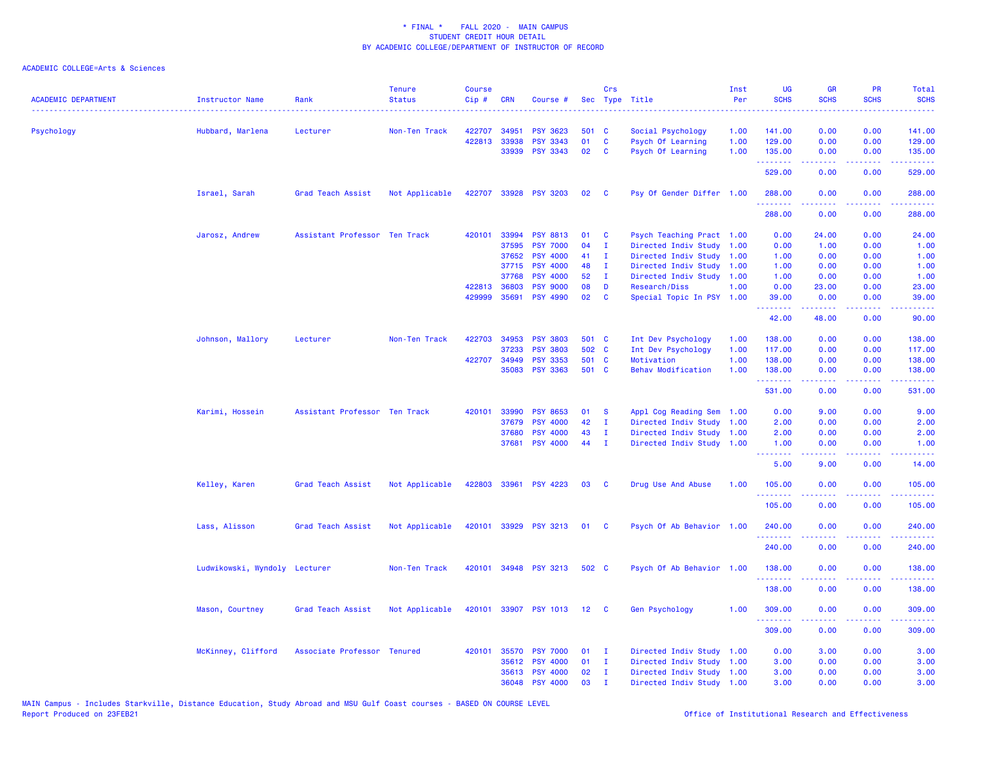| <b>ACADEMIC DEPARTMENT</b> | <b>Instructor Name</b>        | Rank                          | <b>Tenure</b><br><b>Status</b> | <b>Course</b><br>Cip# | <b>CRN</b>   | Course #        |                  | Crs          | Sec Type Title            | Inst<br>Per | <b>UG</b><br><b>SCHS</b> | <b>GR</b><br><b>SCHS</b>                                                                                                                                     | <b>PR</b><br><b>SCHS</b>                                                                                                          | Total<br><b>SCHS</b>                                                                                                              |
|----------------------------|-------------------------------|-------------------------------|--------------------------------|-----------------------|--------------|-----------------|------------------|--------------|---------------------------|-------------|--------------------------|--------------------------------------------------------------------------------------------------------------------------------------------------------------|-----------------------------------------------------------------------------------------------------------------------------------|-----------------------------------------------------------------------------------------------------------------------------------|
| Psychology                 | Hubbard, Marlena              | Lecturer                      | Non-Ten Track                  | 422707                | 34951        | <b>PSY 3623</b> | 501 C            |              | Social Psychology         | 1.00        | 141.00                   | 0.00                                                                                                                                                         | 0.00                                                                                                                              | 141.00                                                                                                                            |
|                            |                               |                               |                                | 422813                | 33938        | <b>PSY 3343</b> | 01               | $\mathbf c$  | Psych Of Learning         | 1.00        | 129.00                   | 0.00                                                                                                                                                         | 0.00                                                                                                                              | 129.00                                                                                                                            |
|                            |                               |                               |                                |                       |              | 33939 PSY 3343  | 02               | C            | Psych Of Learning         | 1.00        | 135.00<br>.              | 0.00<br>$- - - - -$                                                                                                                                          | 0.00<br>.                                                                                                                         | 135.00                                                                                                                            |
|                            |                               |                               |                                |                       |              |                 |                  |              |                           |             | 529.00                   | 0.00                                                                                                                                                         | 0.00                                                                                                                              | 529.00                                                                                                                            |
|                            | Israel, Sarah                 | Grad Teach Assist             | Not Applicable                 | 422707                |              | 33928 PSY 3203  | 02               | <b>C</b>     | Psy Of Gender Differ 1.00 |             | 288.00<br>2.2.2.2.2.2.2  | 0.00<br>.                                                                                                                                                    | 0.00<br>الأعامات                                                                                                                  | 288.00<br>$\begin{array}{cccccccccc} \bullet & \bullet & \bullet & \bullet & \bullet & \bullet & \bullet & \bullet \end{array}$   |
|                            |                               |                               |                                |                       |              |                 |                  |              |                           |             | 288.00                   | 0.00                                                                                                                                                         | 0.00                                                                                                                              | 288.00                                                                                                                            |
|                            | Jarosz, Andrew                | Assistant Professor Ten Track |                                | 420101                | 33994        | <b>PSY 8813</b> | 01               | C            | Psych Teaching Pract 1.00 |             | 0.00                     | 24.00                                                                                                                                                        | 0.00                                                                                                                              | 24.00                                                                                                                             |
|                            |                               |                               |                                |                       | 37595        | <b>PSY 7000</b> | 04               | $\mathbf I$  | Directed Indiv Study      | 1.00        | 0.00                     | 1.00                                                                                                                                                         | 0.00                                                                                                                              | 1.00                                                                                                                              |
|                            |                               |                               |                                |                       | 37652        | <b>PSY 4000</b> | 41               | $\mathbf{I}$ | Directed Indiv Study      | 1.00        | 1.00                     | 0.00                                                                                                                                                         | 0.00                                                                                                                              | 1.00                                                                                                                              |
|                            |                               |                               |                                |                       | 37715        | <b>PSY 4000</b> | 48               | $\mathbf{I}$ | Directed Indiv Study      | 1.00        | 1.00                     | 0.00                                                                                                                                                         | 0.00                                                                                                                              | 1.00                                                                                                                              |
|                            |                               |                               |                                |                       | 37768        | <b>PSY 4000</b> | 52               | $\mathbf{I}$ | Directed Indiv Study      | 1.00        | 1.00                     | 0.00                                                                                                                                                         | 0.00                                                                                                                              | 1.00                                                                                                                              |
|                            |                               |                               |                                |                       | 422813 36803 | <b>PSY 9000</b> | 08               | D            | Research/Diss             | 1.00        | 0.00                     | 23.00                                                                                                                                                        | 0.00                                                                                                                              | 23.00                                                                                                                             |
|                            |                               |                               |                                |                       | 429999 35691 | <b>PSY 4990</b> | 02               | C            | Special Topic In PSY 1.00 |             | 39.00<br>.               | 0.00<br>.                                                                                                                                                    | 0.00<br>.                                                                                                                         | 39.00<br>.                                                                                                                        |
|                            |                               |                               |                                |                       |              |                 |                  |              |                           |             | 42.00                    | 48.00                                                                                                                                                        | 0.00                                                                                                                              | 90.00                                                                                                                             |
|                            | Johnson, Mallory              | Lecturer                      | Non-Ten Track                  |                       | 422703 34953 | <b>PSY 3803</b> | 501 C            |              | Int Dev Psychology        | 1.00        | 138.00                   | 0.00                                                                                                                                                         | 0.00                                                                                                                              | 138.00                                                                                                                            |
|                            |                               |                               |                                |                       | 37233        | <b>PSY 3803</b> | 502 C            |              | Int Dev Psychology        | 1.00        | 117.00                   | 0.00                                                                                                                                                         | 0.00                                                                                                                              | 117.00                                                                                                                            |
|                            |                               |                               |                                |                       | 422707 34949 | <b>PSY 3353</b> | 501 C            |              | Motivation                | 1.00        | 138.00                   | 0.00                                                                                                                                                         | 0.00                                                                                                                              | 138.00                                                                                                                            |
|                            |                               |                               |                                |                       | 35083        | <b>PSY 3363</b> | 501 C            |              | <b>Behav Modification</b> | 1.00        | 138.00<br>.              | 0.00<br>$\frac{1}{2} \left( \frac{1}{2} \right) \left( \frac{1}{2} \right) \left( \frac{1}{2} \right) \left( \frac{1}{2} \right) \left( \frac{1}{2} \right)$ | 0.00<br>.                                                                                                                         | 138.00<br>.                                                                                                                       |
|                            |                               |                               |                                |                       |              |                 |                  |              |                           |             | 531.00                   | 0.00                                                                                                                                                         | 0.00                                                                                                                              | 531.00                                                                                                                            |
|                            | Karimi, Hossein               | Assistant Professor Ten Track |                                | 420101                | 33990        | <b>PSY 8653</b> | 01               | -S           | Appl Cog Reading Sem 1.00 |             | 0.00                     | 9.00                                                                                                                                                         | 0.00                                                                                                                              | 9.00                                                                                                                              |
|                            |                               |                               |                                |                       | 37679        | <b>PSY 4000</b> | 42               | $\mathbf{I}$ | Directed Indiv Study 1.00 |             | 2.00                     | 0.00                                                                                                                                                         | 0.00                                                                                                                              | 2.00                                                                                                                              |
|                            |                               |                               |                                |                       | 37680        | <b>PSY 4000</b> | 43               | $\mathbf{I}$ | Directed Indiv Study 1.00 |             | 2.00                     | 0.00                                                                                                                                                         | 0.00                                                                                                                              | 2.00                                                                                                                              |
|                            |                               |                               |                                |                       | 37681        | <b>PSY 4000</b> | 44               | $\mathbf{I}$ | Directed Indiv Study 1.00 |             | 1.00<br><u>.</u>         | 0.00<br>.                                                                                                                                                    | 0.00<br>.                                                                                                                         | 1.00<br>$\frac{1}{2} \left( \frac{1}{2} \right) \left( \frac{1}{2} \right) \left( \frac{1}{2} \right) \left( \frac{1}{2} \right)$ |
|                            |                               |                               |                                |                       |              |                 |                  |              |                           |             | 5.00                     | 9.00                                                                                                                                                         | 0.00                                                                                                                              | 14.00                                                                                                                             |
|                            | Kelley, Karen                 | Grad Teach Assist             | Not Applicable                 | 422803                |              | 33961 PSY 4223  | 03               | C            | Drug Use And Abuse        | 1.00        | 105.00                   | 0.00                                                                                                                                                         | 0.00<br>$\sim$ $\sim$ $\sim$ $\sim$                                                                                               | 105.00<br>.                                                                                                                       |
|                            |                               |                               |                                |                       |              |                 |                  |              |                           |             | 105.00                   | 0.00                                                                                                                                                         | 0.00                                                                                                                              | 105.00                                                                                                                            |
|                            | Lass, Alisson                 | Grad Teach Assist             | Not Applicable                 | 420101                |              | 33929 PSY 3213  | 01               | <b>C</b>     | Psych Of Ab Behavior 1.00 |             | 240.00<br>.              | 0.00                                                                                                                                                         | 0.00<br>$\frac{1}{2} \left( \frac{1}{2} \right) \left( \frac{1}{2} \right) \left( \frac{1}{2} \right) \left( \frac{1}{2} \right)$ | 240.00<br><u>.</u>                                                                                                                |
|                            |                               |                               |                                |                       |              |                 |                  |              |                           |             | 240.00                   | 0.00                                                                                                                                                         | 0.00                                                                                                                              | 240.00                                                                                                                            |
|                            | Ludwikowski, Wyndoly Lecturer |                               | Non-Ten Track                  | 420101                |              | 34948 PSY 3213  | 502 C            |              | Psych Of Ab Behavior 1.00 |             | 138.00                   | 0.00                                                                                                                                                         | 0.00                                                                                                                              | 138.00                                                                                                                            |
|                            |                               |                               |                                |                       |              |                 |                  |              |                           |             | 138.00                   | 0.00                                                                                                                                                         | 0.00                                                                                                                              | 138.00                                                                                                                            |
|                            | Mason, Courtney               | Grad Teach Assist             | Not Applicable                 | 420101                |              | 33907 PSY 1013  | 12 <sup>12</sup> | $\mathbf{C}$ | Gen Psychology            | 1.00        | 309.00<br>.              | 0.00                                                                                                                                                         | 0.00                                                                                                                              | 309.00                                                                                                                            |
|                            |                               |                               |                                |                       |              |                 |                  |              |                           |             | 309.00                   | 0.00                                                                                                                                                         | 0.00                                                                                                                              | 309.00                                                                                                                            |
|                            | McKinney, Clifford            | Associate Professor Tenured   |                                | 420101                | 35570        | <b>PSY 7000</b> | 01               | $\mathbf{I}$ | Directed Indiv Study 1.00 |             | 0.00                     | 3.00                                                                                                                                                         | 0.00                                                                                                                              | 3.00                                                                                                                              |
|                            |                               |                               |                                |                       | 35612        | <b>PSY 4000</b> | 01               | $\mathbf{I}$ | Directed Indiv Study 1.00 |             | 3.00                     | 0.00                                                                                                                                                         | 0.00                                                                                                                              | 3.00                                                                                                                              |
|                            |                               |                               |                                |                       | 35613        | <b>PSY 4000</b> | 02               | $\mathbf{I}$ | Directed Indiv Study 1.00 |             | 3.00                     | 0.00                                                                                                                                                         | 0.00                                                                                                                              | 3.00                                                                                                                              |
|                            |                               |                               |                                |                       | 36048        | <b>PSY 4000</b> | 03               | $\mathbf I$  | Directed Indiv Study 1.00 |             | 3.00                     | 0.00                                                                                                                                                         | 0.00                                                                                                                              | 3.00                                                                                                                              |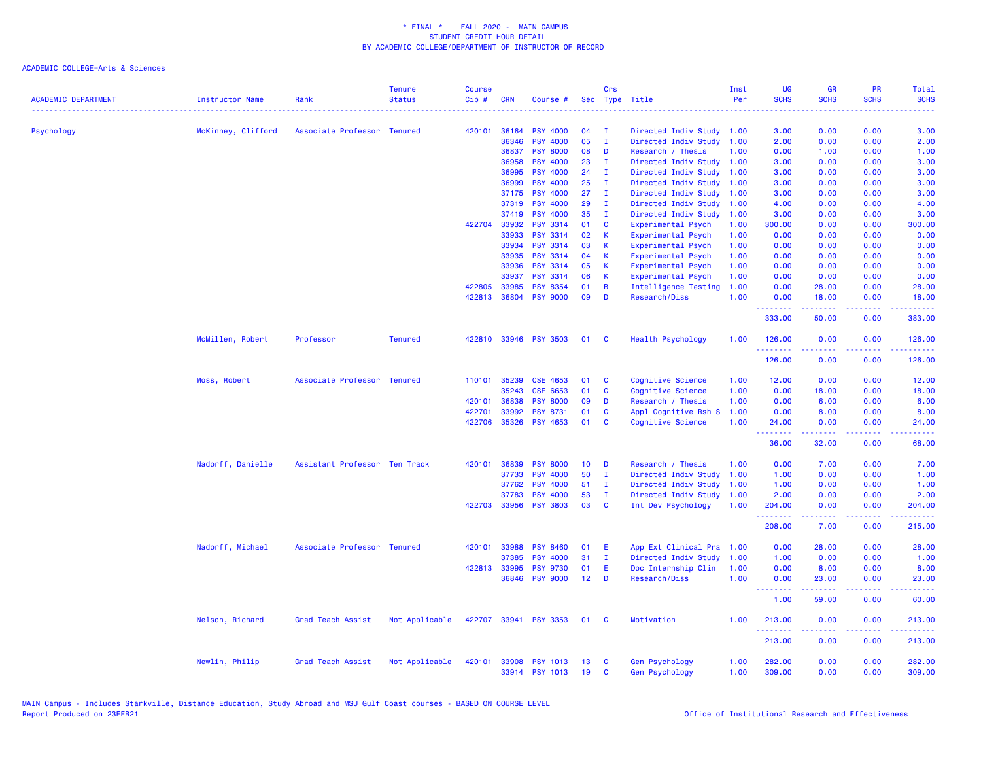| <b>ACADEMIC DEPARTMENT</b> | Instructor Name    | Rank                          | <b>Tenure</b><br><b>Status</b> | <b>Course</b><br>$Cip \#$ | <b>CRN</b>   | Course #                          |                 | Crs          | Sec Type Title                                 | Inst<br>Per  | <b>UG</b><br><b>SCHS</b> | <b>GR</b><br><b>SCHS</b>                                                                                                                                     | PR<br><b>SCHS</b>                   | <b>Total</b><br><b>SCHS</b> |
|----------------------------|--------------------|-------------------------------|--------------------------------|---------------------------|--------------|-----------------------------------|-----------------|--------------|------------------------------------------------|--------------|--------------------------|--------------------------------------------------------------------------------------------------------------------------------------------------------------|-------------------------------------|-----------------------------|
| Psychology                 | McKinney, Clifford | Associate Professor Tenured   |                                | 420101                    | 36164        | <b>PSY 4000</b>                   | 04              | $\mathbf{I}$ | Directed Indiv Study 1.00                      |              | 3.00                     | 0.00                                                                                                                                                         | 0.00                                | 3.00                        |
|                            |                    |                               |                                |                           | 36346        | <b>PSY 4000</b>                   | 05              | $\mathbf{I}$ | Directed Indiv Study                           | 1.00         | 2.00                     | 0.00                                                                                                                                                         | 0.00                                | 2.00                        |
|                            |                    |                               |                                |                           | 36837        | <b>PSY 8000</b>                   | 08              | D            | Research / Thesis                              | 1.00         | 0.00                     | 1.00                                                                                                                                                         | 0.00                                | 1.00                        |
|                            |                    |                               |                                |                           | 36958        | <b>PSY 4000</b>                   | 23              | $\mathbf{I}$ | Directed Indiv Study                           | 1.00         | 3.00                     | 0.00                                                                                                                                                         | 0.00                                | 3.00                        |
|                            |                    |                               |                                |                           | 36995        | <b>PSY 4000</b>                   | 24              | I.           | Directed Indiv Study                           | 1.00         | 3.00                     | 0.00                                                                                                                                                         | 0.00                                | 3.00                        |
|                            |                    |                               |                                |                           | 36999        | <b>PSY 4000</b>                   | 25              | $\mathbf{I}$ | Directed Indiv Study                           | 1.00         | 3.00                     | 0.00                                                                                                                                                         | 0.00                                | 3.00                        |
|                            |                    |                               |                                |                           | 37175        | <b>PSY 4000</b>                   | 27              | I.           | Directed Indiv Study                           | 1.00         | 3.00                     | 0.00                                                                                                                                                         | 0.00                                | 3.00                        |
|                            |                    |                               |                                |                           | 37319        | <b>PSY 4000</b>                   | 29              | $\mathbf{I}$ | Directed Indiv Study                           | 1.00         | 4.00                     | 0.00                                                                                                                                                         | 0.00                                | 4.00                        |
|                            |                    |                               |                                |                           | 37419        | <b>PSY 4000</b>                   | 35              | $\mathbf I$  | Directed Indiv Study                           | 1.00         | 3.00                     | 0.00                                                                                                                                                         | 0.00                                | 3.00                        |
|                            |                    |                               |                                | 422704                    | 33932        | <b>PSY 3314</b>                   | 01              | C            | Experimental Psych                             | 1.00         | 300.00                   | 0.00                                                                                                                                                         | 0.00                                | 300.00                      |
|                            |                    |                               |                                |                           | 33933        | <b>PSY 3314</b>                   | 02              | К            | Experimental Psych                             | 1.00         | 0.00                     | 0.00                                                                                                                                                         | 0.00                                | 0.00                        |
|                            |                    |                               |                                |                           | 33934        | <b>PSY 3314</b>                   | 03              | К            | Experimental Psych                             | 1.00         | 0.00                     | 0.00                                                                                                                                                         | 0.00                                | 0.00                        |
|                            |                    |                               |                                |                           | 33935        | <b>PSY 3314</b>                   | 04              | К            | Experimental Psych                             | 1.00         | 0.00                     | 0.00                                                                                                                                                         | 0.00                                | 0.00                        |
|                            |                    |                               |                                |                           | 33936        | <b>PSY 3314</b>                   | 05              | К            | Experimental Psych                             | 1.00         | 0.00                     | 0.00                                                                                                                                                         | 0.00                                | 0.00                        |
|                            |                    |                               |                                |                           | 33937        | <b>PSY 3314</b>                   | 06              | К            | Experimental Psych                             | 1.00         | 0.00                     | 0.00                                                                                                                                                         | 0.00                                | 0.00                        |
|                            |                    |                               |                                | 422805                    | 33985        | <b>PSY 8354</b>                   | 01              | B            | Intelligence Testing                           | 1.00         | 0.00                     | 28.00                                                                                                                                                        | 0.00                                | 28.00                       |
|                            |                    |                               |                                |                           | 422813 36804 | <b>PSY 9000</b>                   | 09              | D            | Research/Diss                                  | 1.00         | 0.00<br>.                | 18.00<br><u>.</u>                                                                                                                                            | 0.00<br>.                           | 18.00<br>.                  |
|                            |                    |                               |                                |                           |              |                                   |                 |              |                                                |              | 333.00                   | 50.00                                                                                                                                                        | 0.00                                | 383.00                      |
|                            | McMillen, Robert   | Professor                     | <b>Tenured</b>                 |                           |              | 422810 33946 PSY 3503             | 01              | <b>C</b>     | <b>Health Psychology</b>                       | 1.00         | 126.00<br>.              | 0.00                                                                                                                                                         | 0.00<br>----                        | 126.00<br><b>.</b> .        |
|                            |                    |                               |                                |                           |              |                                   |                 |              |                                                |              | 126.00                   | 0.00                                                                                                                                                         | 0.00                                | 126.00                      |
|                            | Moss, Robert       | Associate Professor Tenured   |                                | 110101                    | 35239        | CSE 4653                          | 01              | C            | Cognitive Science                              | 1.00         | 12.00                    | 0.00                                                                                                                                                         | 0.00                                | 12.00                       |
|                            |                    |                               |                                |                           | 35243        | CSE 6653                          | 01              | C            | Cognitive Science                              | 1.00         | 0.00                     | 18.00                                                                                                                                                        | 0.00                                | 18.00                       |
|                            |                    |                               |                                | 420101                    | 36838        | <b>PSY 8000</b>                   | 09              | D            | Research / Thesis                              | 1.00         | 0.00                     | 6.00                                                                                                                                                         | 0.00                                | 6.00                        |
|                            |                    |                               |                                | 422701                    | 33992        | <b>PSY 8731</b>                   | 01              | C            | Appl Cognitive Rsh S                           | 1.00         | 0.00                     | 8.00                                                                                                                                                         | 0.00                                | 8.00                        |
|                            |                    |                               |                                | 422706                    | 35326        | <b>PSY 4653</b>                   | 01              | C            | Cognitive Science                              | 1.00         | 24.00<br>.               | 0.00<br>$\frac{1}{2} \left( \frac{1}{2} \right) \left( \frac{1}{2} \right) \left( \frac{1}{2} \right) \left( \frac{1}{2} \right) \left( \frac{1}{2} \right)$ | 0.00<br>.                           | 24.00<br>. د د د د          |
|                            |                    |                               |                                |                           |              |                                   |                 |              |                                                |              | 36.00                    | 32.00                                                                                                                                                        | 0.00                                | 68.00                       |
|                            | Nadorff, Danielle  | Assistant Professor Ten Track |                                | 420101                    | 36839        | <b>PSY 8000</b>                   | 10 <sup>°</sup> | D            | Research / Thesis                              | 1.00         | 0.00                     | 7.00                                                                                                                                                         | 0.00                                | 7.00                        |
|                            |                    |                               |                                |                           | 37733        | <b>PSY 4000</b>                   | 50              | $\mathbf{I}$ | Directed Indiv Study                           | 1.00         | 1.00                     | 0.00                                                                                                                                                         | 0.00                                | 1.00                        |
|                            |                    |                               |                                |                           | 37762        | <b>PSY 4000</b>                   | 51              | $\mathbf{I}$ | Directed Indiv Study                           | 1.00         | 1.00                     | 0.00                                                                                                                                                         | 0.00                                | 1.00                        |
|                            |                    |                               |                                |                           | 37783        | <b>PSY 4000</b>                   | 53              | $\mathbf{I}$ | Directed Indiv Study                           | 1.00         | 2.00                     | 0.00                                                                                                                                                         | 0.00                                | 2.00                        |
|                            |                    |                               |                                |                           |              | 422703 33956 PSY 3803             | 03              | C            | Int Dev Psychology                             | 1.00         | 204.00<br>.              | 0.00                                                                                                                                                         | 0.00<br>د د د د                     | 204.00<br>2.2.2.2.2         |
|                            |                    |                               |                                |                           |              |                                   |                 |              |                                                |              | 208.00                   | .<br>7.00                                                                                                                                                    | 0.00                                | 215.00                      |
|                            | Nadorff, Michael   | Associate Professor Tenured   |                                | 420101                    | 33988        | <b>PSY 8460</b>                   | 01              | E            | App Ext Clinical Pra                           | 1.00         | 0.00                     | 28.00                                                                                                                                                        | 0.00                                | 28.00                       |
|                            |                    |                               |                                |                           | 37385        | <b>PSY 4000</b>                   | 31              | $\mathbf{I}$ | Directed Indiv Study                           | 1.00         | 1.00                     | 0.00                                                                                                                                                         | 0.00                                | 1.00                        |
|                            |                    |                               |                                |                           | 422813 33995 | <b>PSY 9730</b>                   | 01              | E            | Doc Internship Clin                            | 1.00         | 0.00                     | 8.00                                                                                                                                                         | 0.00                                | 8.00                        |
|                            |                    |                               |                                |                           |              | 36846 PSY 9000                    | 12              | D            | Research/Diss                                  | 1.00         | 0.00                     | 23.00                                                                                                                                                        | 0.00                                | 23.00                       |
|                            |                    |                               |                                |                           |              |                                   |                 |              |                                                |              | <u>.</u><br>1.00         | 59.00                                                                                                                                                        | والمرامين<br>0.00                   | 60.00                       |
|                            | Nelson, Richard    | Grad Teach Assist             | Not Applicable                 |                           |              | 422707 33941 PSY 3353             | 01              | <b>C</b>     | Motivation                                     | 1.00         | 213.00                   | 0.00                                                                                                                                                         | 0.00                                | 213.00<br>22222             |
|                            |                    |                               |                                |                           |              |                                   |                 |              |                                                |              | .<br>213.00              | 0.00                                                                                                                                                         | $\sim$ $\sim$ $\sim$ $\sim$<br>0.00 | 213.00                      |
|                            | Newlin, Philip     | Grad Teach Assist             | Not Applicable                 | 420101                    | 33908        | <b>PSY 1013</b><br>33914 PSY 1013 | 13<br>19        | C<br>C       | <b>Gen Psychology</b><br><b>Gen Psychology</b> | 1.00<br>1.00 | 282.00<br>309.00         | 0.00<br>0.00                                                                                                                                                 | 0.00<br>0.00                        | 282.00<br>309.00            |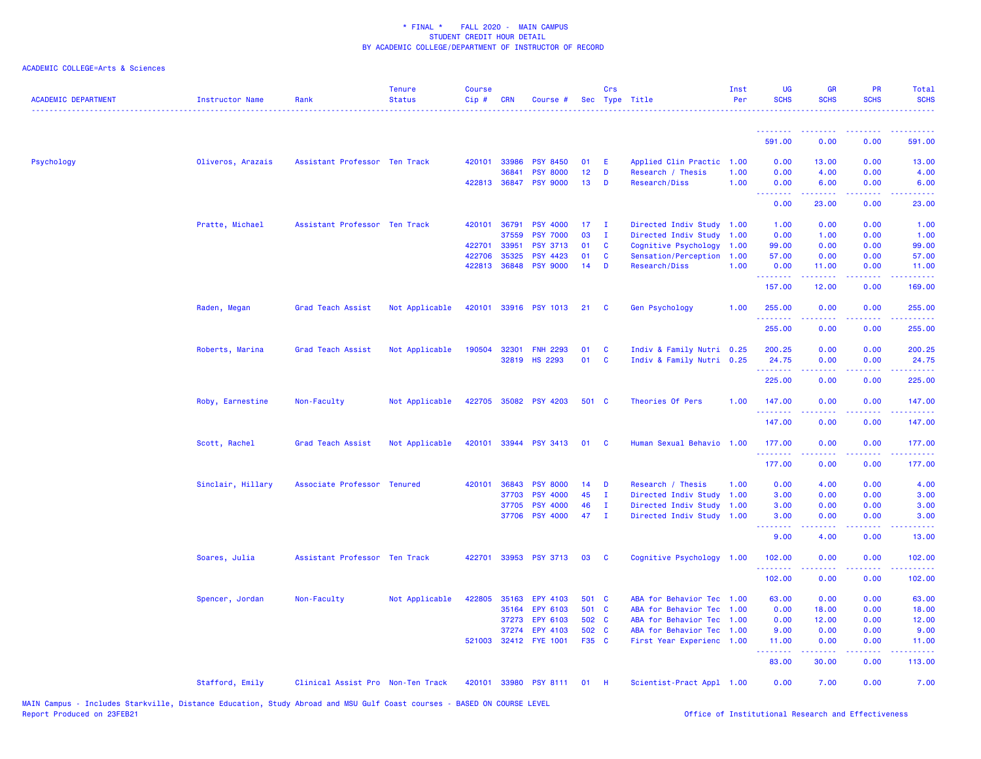| <b>ACADEMIC DEPARTMENT</b> | <b>Instructor Name</b> | Rank                              | <b>Tenure</b><br><b>Status</b> | <b>Course</b><br>Cip# | <b>CRN</b>   | Course #              |                 | Crs          | Sec Type Title            | Inst<br>Per | <b>UG</b><br><b>SCHS</b>          | <b>GR</b><br><b>SCHS</b> | <b>PR</b><br><b>SCHS</b>                                                                               | Total<br><b>SCHS</b>                                                                                                              |
|----------------------------|------------------------|-----------------------------------|--------------------------------|-----------------------|--------------|-----------------------|-----------------|--------------|---------------------------|-------------|-----------------------------------|--------------------------|--------------------------------------------------------------------------------------------------------|-----------------------------------------------------------------------------------------------------------------------------------|
|                            |                        |                                   |                                |                       |              |                       |                 |              |                           |             | <u> - - - - - - - -</u><br>591.00 | .<br>0.00                | 0.00                                                                                                   | 591.00                                                                                                                            |
|                            |                        |                                   |                                |                       |              |                       |                 |              |                           |             |                                   |                          |                                                                                                        |                                                                                                                                   |
| Psychology                 | Oliveros, Arazais      | Assistant Professor Ten Track     |                                | 420101                | 33986        | <b>PSY 8450</b>       | 01              | E            | Applied Clin Practic      | 1.00        | 0.00                              | 13.00                    | 0.00                                                                                                   | 13.00                                                                                                                             |
|                            |                        |                                   |                                |                       | 36841        | <b>PSY 8000</b>       | 12 <sub>2</sub> | D            | Research / Thesis         | 1.00        | 0.00                              | 4.00                     | 0.00                                                                                                   | 4.00                                                                                                                              |
|                            |                        |                                   |                                |                       |              | 422813 36847 PSY 9000 | 13              | D            | Research/Diss             | 1.00        | 0.00<br><u>.</u>                  | 6.00<br>.                | 0.00<br>.                                                                                              | 6.00<br>$\frac{1}{2} \left( \frac{1}{2} \right) \left( \frac{1}{2} \right) \left( \frac{1}{2} \right) \left( \frac{1}{2} \right)$ |
|                            |                        |                                   |                                |                       |              |                       |                 |              |                           |             | 0.00                              | 23.00                    | 0.00                                                                                                   | 23.00                                                                                                                             |
|                            | Pratte, Michael        | Assistant Professor Ten Track     |                                |                       | 420101 36791 | <b>PSY 4000</b>       | 17 <sub>1</sub> | $\mathbf{I}$ | Directed Indiv Study 1.00 |             | 1.00                              | 0.00                     | 0.00                                                                                                   | 1.00                                                                                                                              |
|                            |                        |                                   |                                |                       | 37559        | <b>PSY 7000</b>       | 03              | $\mathbf{I}$ | Directed Indiv Study 1.00 |             | 0.00                              | 1.00                     | 0.00                                                                                                   | 1.00                                                                                                                              |
|                            |                        |                                   |                                | 422701                | 33951        | <b>PSY 3713</b>       | 01              | C            | Cognitive Psychology      | 1.00        | 99.00                             | 0.00                     | 0.00                                                                                                   | 99.00                                                                                                                             |
|                            |                        |                                   |                                | 422706                | 35325        | <b>PSY 4423</b>       | 01              | C            | Sensation/Perception 1.00 |             | 57.00                             | 0.00                     | 0.00                                                                                                   | 57.00                                                                                                                             |
|                            |                        |                                   |                                |                       | 422813 36848 | <b>PSY 9000</b>       | 14              | D            | Research/Diss             | 1.00        | 0.00<br>.                         | 11.00<br>.               | 0.00<br>.                                                                                              | 11.00<br>.                                                                                                                        |
|                            |                        |                                   |                                |                       |              |                       |                 |              |                           |             | 157.00                            | 12.00                    | 0.00                                                                                                   | 169.00                                                                                                                            |
|                            | Raden, Megan           | Grad Teach Assist                 | Not Applicable                 | 420101                |              | 33916 PSY 1013        | 21              | C            | <b>Gen Psychology</b>     | 1.00        | 255.00<br>1.1.1.1.1.1             | 0.00<br>.                | 0.00<br>الداعات عاد                                                                                    | 255.00<br>بالأباليات                                                                                                              |
|                            |                        |                                   |                                |                       |              |                       |                 |              |                           |             | 255.00                            | 0.00                     | 0.00                                                                                                   | 255.00                                                                                                                            |
|                            | Roberts, Marina        | Grad Teach Assist                 | Not Applicable                 | 190504                | 32301        | <b>FNH 2293</b>       | 01              | C            | Indiv & Family Nutri 0.25 |             | 200.25                            | 0.00                     | 0.00                                                                                                   | 200.25                                                                                                                            |
|                            |                        |                                   |                                |                       |              | 32819 HS 2293         | 01              | C            | Indiv & Family Nutri 0.25 |             | 24.75                             | 0.00                     | 0.00                                                                                                   | 24.75                                                                                                                             |
|                            |                        |                                   |                                |                       |              |                       |                 |              |                           |             | .                                 | .                        | $  -$                                                                                                  | .                                                                                                                                 |
|                            |                        |                                   |                                |                       |              |                       |                 |              |                           |             | 225.00                            | 0.00                     | 0.00                                                                                                   | 225.00                                                                                                                            |
|                            | Roby, Earnestine       | Non-Faculty                       | Not Applicable                 |                       |              | 422705 35082 PSY 4203 | 501 C           |              | Theories Of Pers          | 1.00        | 147.00<br>.                       | 0.00                     | 0.00                                                                                                   | 147.00                                                                                                                            |
|                            |                        |                                   |                                |                       |              |                       |                 |              |                           |             | 147.00                            | 0.00                     | 0.00                                                                                                   | 147.00                                                                                                                            |
|                            | Scott, Rachel          | Grad Teach Assist                 | Not Applicable                 | 420101                |              | 33944 PSY 3413        | 01              | C            | Human Sexual Behavio      | 1.00        | 177.00<br>.                       | 0.00                     | 0.00                                                                                                   | 177.00<br>وعاعاته عامل                                                                                                            |
|                            |                        |                                   |                                |                       |              |                       |                 |              |                           |             | 177.00                            | 0.00                     | 0.00                                                                                                   | 177.00                                                                                                                            |
|                            | Sinclair, Hillary      | Associate Professor Tenured       |                                | 420101                | 36843        | <b>PSY 8000</b>       | 14              | D            | Research / Thesis         | 1.00        | 0.00                              | 4.00                     | 0.00                                                                                                   | 4.00                                                                                                                              |
|                            |                        |                                   |                                |                       | 37703        | <b>PSY 4000</b>       | 45              | $\mathbf{I}$ | Directed Indiv Study 1.00 |             | 3.00                              | 0.00                     | 0.00                                                                                                   | 3.00                                                                                                                              |
|                            |                        |                                   |                                |                       | 37705        | <b>PSY 4000</b>       | 46              | $\mathbf{I}$ | Directed Indiv Study 1.00 |             | 3.00                              | 0.00                     | 0.00                                                                                                   | 3.00                                                                                                                              |
|                            |                        |                                   |                                |                       | 37706        | <b>PSY 4000</b>       | 47              | $\mathbf{I}$ | Directed Indiv Study 1.00 |             | 3.00<br><u>.</u>                  | 0.00<br>.                | 0.00                                                                                                   | 3.00                                                                                                                              |
|                            |                        |                                   |                                |                       |              |                       |                 |              |                           |             | 9.00                              | 4.00                     | 0.00                                                                                                   | 13.00                                                                                                                             |
|                            | Soares, Julia          | Assistant Professor Ten Track     |                                | 422701                |              | 33953 PSY 3713        | 03              | C            | Cognitive Psychology 1.00 |             | 102.00                            | 0.00                     | 0.00                                                                                                   | 102.00                                                                                                                            |
|                            |                        |                                   |                                |                       |              |                       |                 |              |                           |             | .<br>102.00                       | 0.00                     | 0.00                                                                                                   | <u>.</u><br>102.00                                                                                                                |
|                            | Spencer, Jordan        | Non-Faculty                       | Not Applicable                 |                       | 422805 35163 | EPY 4103              | 501 C           |              | ABA for Behavior Tec 1.00 |             | 63.00                             | 0.00                     | 0.00                                                                                                   | 63.00                                                                                                                             |
|                            |                        |                                   |                                |                       | 35164        | EPY 6103              | 501 C           |              | ABA for Behavior Tec 1.00 |             | 0.00                              | 18.00                    | 0.00                                                                                                   | 18.00                                                                                                                             |
|                            |                        |                                   |                                |                       | 37273        | EPY 6103              | 502 C           |              | ABA for Behavior Tec 1.00 |             | 0.00                              | 12.00                    | 0.00                                                                                                   | 12.00                                                                                                                             |
|                            |                        |                                   |                                |                       | 37274        | EPY 4103              | 502 C           |              | ABA for Behavior Tec 1.00 |             | 9.00                              | 0.00                     | 0.00                                                                                                   | 9.00                                                                                                                              |
|                            |                        |                                   |                                |                       |              | 521003 32412 FYE 1001 | F35 C           |              | First Year Experienc 1.00 |             | 11.00<br>.                        | 0.00<br>$- - - - -$      | 0.00<br>$\frac{1}{2} \left( \frac{1}{2} \right) \left( \frac{1}{2} \right) \left( \frac{1}{2} \right)$ | 11.00<br>.                                                                                                                        |
|                            |                        |                                   |                                |                       |              |                       |                 |              |                           |             | 83.00                             | 30.00                    | 0.00                                                                                                   | 113.00                                                                                                                            |
|                            | Stafford, Emily        | Clinical Assist Pro Non-Ten Track |                                |                       |              | 420101 33980 PSY 8111 | 01              | - H          | Scientist-Pract Appl 1.00 |             | 0.00                              | 7.00                     | 0.00                                                                                                   | 7.00                                                                                                                              |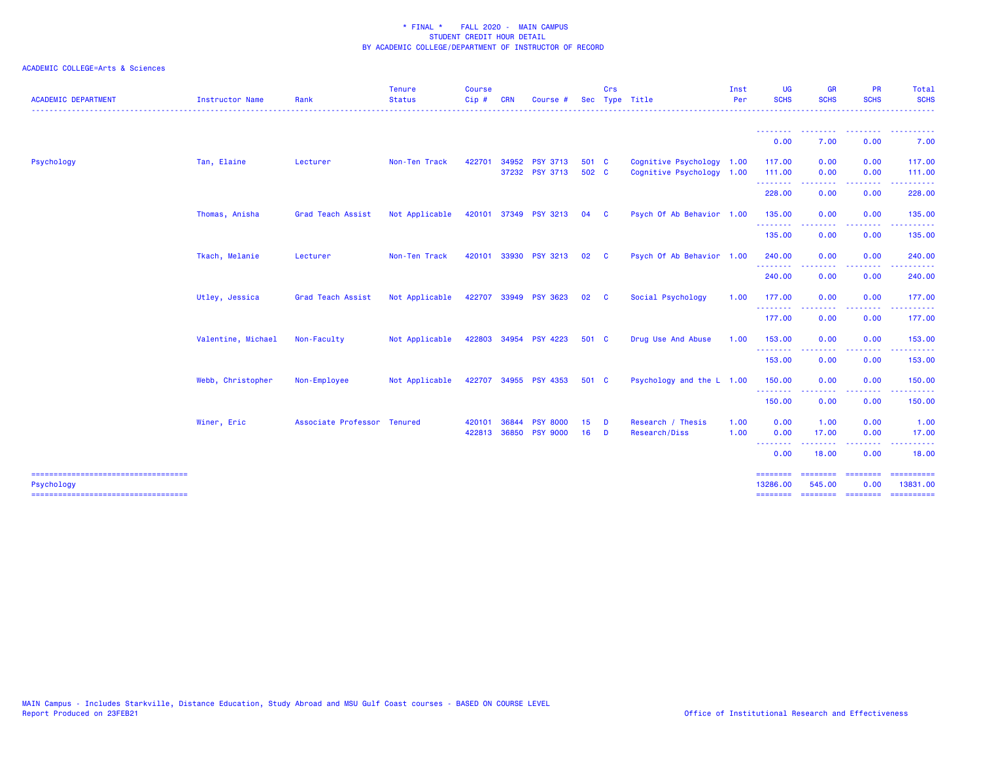| <b>ACADEMIC DEPARTMENT</b>                          | <b>Instructor Name</b> | Rank                        | <b>Tenure</b><br><b>Status</b> | <b>Course</b><br>Cip#  | <b>CRN</b> | Course                                | <b>Sec</b>     | Crs           | Type Title                                             | Inst<br>Per  | <b>UG</b><br><b>SCHS</b>                | <b>GR</b><br><b>SCHS</b>                        | <b>PR</b><br><b>SCHS</b>                                                                                                          | Total<br><b>SCHS</b><br>.                |
|-----------------------------------------------------|------------------------|-----------------------------|--------------------------------|------------------------|------------|---------------------------------------|----------------|---------------|--------------------------------------------------------|--------------|-----------------------------------------|-------------------------------------------------|-----------------------------------------------------------------------------------------------------------------------------------|------------------------------------------|
|                                                     |                        |                             |                                |                        |            |                                       |                |               |                                                        |              | 0.00                                    | --------<br>7.00                                | 0.00                                                                                                                              | .<br>7.00                                |
| Psychology                                          | Tan, Elaine            | Lecturer                    | Non-Ten Track                  | 422701                 | 34952      | <b>PSY 3713</b><br>37232 PSY 3713     | 501 C<br>502 C |               | Cognitive Psychology 1.00<br>Cognitive Psychology 1.00 |              | 117.00<br>111.00                        | 0.00<br>0.00                                    | 0.00<br>0.00                                                                                                                      | 117.00<br>111.00                         |
|                                                     |                        |                             |                                |                        |            |                                       |                |               |                                                        |              | .<br>228.00                             | . <u>.</u> .<br>0.00                            | .<br>0.00                                                                                                                         | .<br>228.00                              |
|                                                     | Thomas, Anisha         | Grad Teach Assist           | Not Applicable                 |                        |            | 420101 37349 PSY 3213                 | 04             | <b>C</b>      | Psych Of Ab Behavior 1.00                              |              | 135.00<br>.                             | 0.00                                            | 0.00                                                                                                                              | 135.00                                   |
|                                                     |                        |                             |                                |                        |            |                                       |                |               |                                                        |              | 135.00                                  | 0.00                                            | 0.00                                                                                                                              | 135.00                                   |
|                                                     | Tkach, Melanie         | Lecturer                    | Non-Ten Track                  | 420101                 | 33930      | <b>PSY 3213</b>                       | 02             | - C           | Psych Of Ab Behavior 1.00                              |              | 240.00<br>.                             | 0.00                                            | 0.00<br>$\frac{1}{2} \left( \frac{1}{2} \right) \left( \frac{1}{2} \right) \left( \frac{1}{2} \right) \left( \frac{1}{2} \right)$ | 240.00                                   |
|                                                     |                        |                             |                                |                        |            |                                       |                |               |                                                        |              | 240.00                                  | 0.00                                            | 0.00                                                                                                                              | 240.00                                   |
|                                                     | Utley, Jessica         | Grad Teach Assist           | Not Applicable                 |                        |            | 422707 33949 PSY 3623                 | 02             | - C           | Social Psychology                                      | 1.00         | 177.00<br>.                             | 0.00<br>--------                                | 0.00<br>-----                                                                                                                     | 177.00<br>.                              |
|                                                     | Valentine, Michael     | Non-Faculty                 | Not Applicable                 |                        |            | 422803 34954 PSY 4223                 | 501 C          |               | Drug Use And Abuse                                     | 1.00         | 177.00<br>153.00                        | 0.00<br>0.00                                    | 0.00<br>0.00                                                                                                                      | 177.00<br>153.00                         |
|                                                     |                        |                             |                                |                        |            |                                       |                |               |                                                        |              | .<br>153.00                             | .<br>0.00                                       | 0.00                                                                                                                              | 153.00                                   |
|                                                     | Webb, Christopher      | Non-Employee                | Not Applicable                 |                        |            | 422707 34955 PSY 4353                 | 501 C          |               | Psychology and the L 1.00                              |              | 150.00                                  | 0.00                                            | 0.00                                                                                                                              | 150.00                                   |
|                                                     |                        |                             |                                |                        |            |                                       |                |               |                                                        |              | .<br>150.00                             | 0.00                                            | $   -$<br>0.00                                                                                                                    | .<br>150.00                              |
|                                                     | Winer, Eric            | Associate Professor Tenured |                                | 420101<br>422813 36850 | 36844      | <b>PSY</b><br>8000<br><b>PSY 9000</b> | 15<br>16       | D<br><b>D</b> | Research / Thesis<br>Research/Diss                     | 1.00<br>1.00 | 0.00<br>0.00<br><u> - - - - - - - -</u> | 1.00<br>17.00<br>. <u>.</u> .                   | 0.00<br>0.00<br>$- - - -$                                                                                                         | 1.00<br>17.00                            |
|                                                     |                        |                             |                                |                        |            |                                       |                |               |                                                        |              | 0.00                                    | 18.00                                           | 0.00                                                                                                                              | 18.00                                    |
| =====================================<br>Psychology |                        |                             |                                |                        |            |                                       |                |               |                                                        |              | ========<br>13286.00<br>========        | <b>EBBERSER</b><br>545.00<br>========= ======== | $=$ ========<br>0.00                                                                                                              | $=$ ==========<br>13831.00<br>========== |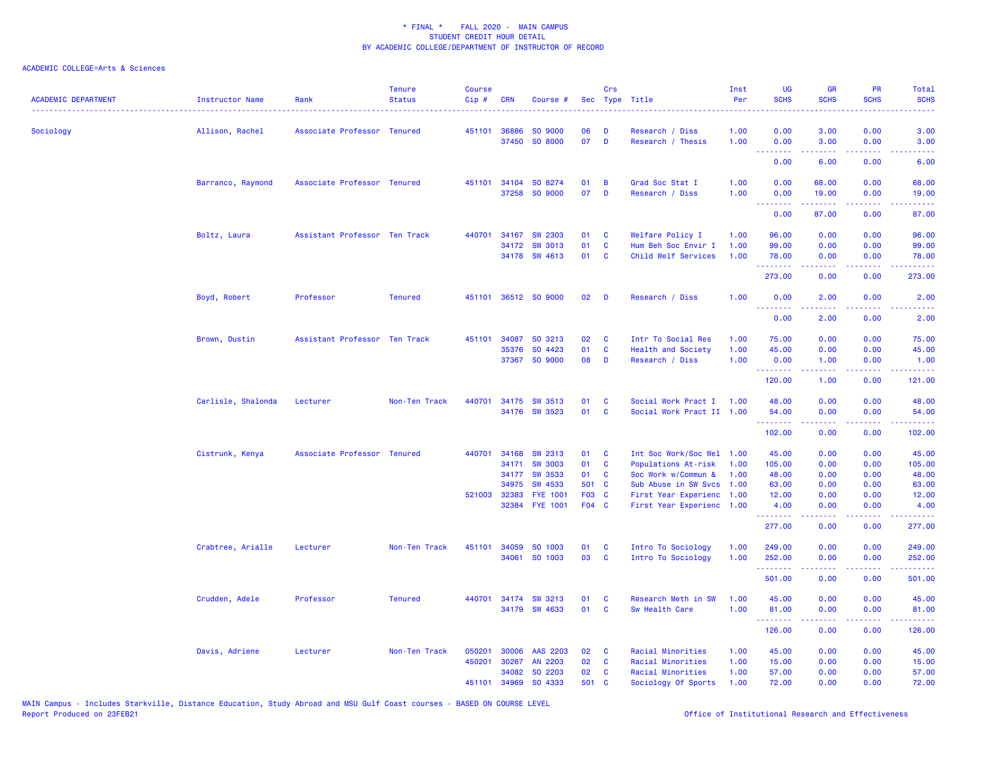| <b>ACADEMIC DEPARTMENT</b> | <b>Instructor Name</b> | Rank                          | <b>Tenure</b><br><b>Status</b> | <b>Course</b><br>Cip# | <b>CRN</b>   | Course #                          |                | Crs          | Sec Type Title                                    | Inst<br>Per | UG<br><b>SCHS</b>           | <b>GR</b><br><b>SCHS</b>                                                                                                          | PR<br><b>SCHS</b>                   | Total<br><b>SCHS</b>                                                                                                                                         |
|----------------------------|------------------------|-------------------------------|--------------------------------|-----------------------|--------------|-----------------------------------|----------------|--------------|---------------------------------------------------|-------------|-----------------------------|-----------------------------------------------------------------------------------------------------------------------------------|-------------------------------------|--------------------------------------------------------------------------------------------------------------------------------------------------------------|
| Sociology                  | Allison, Rachel        | Associate Professor Tenured   |                                |                       | 451101 36886 | SO 9000                           | 06             | D            | Research / Diss                                   | 1.00        | 0.00                        | 3.00                                                                                                                              | 0.00                                | 3.00                                                                                                                                                         |
|                            |                        |                               |                                |                       | 37450        | SO 8000                           | 07             | D            | Research / Thesis                                 | 1.00        | 0.00                        | 3.00                                                                                                                              | 0.00                                | 3.00                                                                                                                                                         |
|                            |                        |                               |                                |                       |              |                                   |                |              |                                                   |             | ---<br>.<br>0.00            | $\frac{1}{2} \left( \frac{1}{2} \right) \left( \frac{1}{2} \right) \left( \frac{1}{2} \right) \left( \frac{1}{2} \right)$<br>6.00 | .<br>0.00                           | $\frac{1}{2} \left( \frac{1}{2} \right) \left( \frac{1}{2} \right) \left( \frac{1}{2} \right) \left( \frac{1}{2} \right)$<br>6.00                            |
|                            | Barranco, Raymond      | Associate Professor Tenured   |                                |                       | 451101 34104 | SO 8274                           | 01             | B            | Grad Soc Stat I                                   | 1.00        | 0.00                        | 68.00                                                                                                                             | 0.00                                | 68.00                                                                                                                                                        |
|                            |                        |                               |                                |                       | 37258        | SO 9000                           | 07             | D            | Research / Diss                                   | 1.00        | 0.00                        | 19.00                                                                                                                             | 0.00                                | 19.00                                                                                                                                                        |
|                            |                        |                               |                                |                       |              |                                   |                |              |                                                   |             | .<br>0.00                   | 87.00                                                                                                                             | 0.00                                | 87.00                                                                                                                                                        |
|                            | Boltz, Laura           | Assistant Professor Ten Track |                                |                       | 440701 34167 | <b>SW 2303</b>                    | 01             | <b>C</b>     | Welfare Policy I                                  | 1.00        | 96.00                       | 0.00                                                                                                                              | 0.00                                | 96.00                                                                                                                                                        |
|                            |                        |                               |                                |                       | 34172        | <b>SW 3013</b>                    | 01             | C            | Hum Beh Soc Envir I                               | 1.00        | 99.00                       | 0.00                                                                                                                              | 0.00                                | 99.00                                                                                                                                                        |
|                            |                        |                               |                                |                       |              | 34178 SW 4613                     | 01             | C            | Child Welf Services                               | 1.00        | 78.00<br>.                  | 0.00<br>بالأباب                                                                                                                   | 0.00<br>$\sim$ $\sim$ $\sim$ $\sim$ | 78.00<br>المتمامين                                                                                                                                           |
|                            |                        |                               |                                |                       |              |                                   |                |              |                                                   |             | 273.00                      | 0.00                                                                                                                              | 0.00                                | 273.00                                                                                                                                                       |
|                            | Boyd, Robert           | Professor                     | <b>Tenured</b>                 |                       |              | 451101 36512 SO 9000              | 02             | D            | Research / Diss                                   | 1.00        | 0.00                        | 2.00                                                                                                                              | 0.00                                | 2.00                                                                                                                                                         |
|                            |                        |                               |                                |                       |              |                                   |                |              |                                                   |             | .<br>0.00                   | .<br>2.00                                                                                                                         | .<br>0.00                           | .<br>2.00                                                                                                                                                    |
|                            | Brown, Dustin          | Assistant Professor Ten Track |                                | 451101                | 34087        | SO 3213                           | 02             | C            | Intr To Social Res                                | 1.00        | 75.00                       | 0.00                                                                                                                              | 0.00                                | 75.00                                                                                                                                                        |
|                            |                        |                               |                                |                       | 35376        | SO 4423                           | 01             | $\mathbf{c}$ | Health and Society                                | 1.00        | 45.00                       | 0.00                                                                                                                              | 0.00                                | 45.00                                                                                                                                                        |
|                            |                        |                               |                                |                       |              | 37367 SO 9000                     | 08             | D            | Research / Diss                                   | 1.00        | 0.00<br>.                   | 1.00<br>.                                                                                                                         | 0.00<br>.                           | 1.00<br>$\frac{1}{2} \left( \frac{1}{2} \right) \left( \frac{1}{2} \right) \left( \frac{1}{2} \right) \left( \frac{1}{2} \right) \left( \frac{1}{2} \right)$ |
|                            |                        |                               |                                |                       |              |                                   |                |              |                                                   |             | 120.00                      | 1.00                                                                                                                              | 0.00                                | 121.00                                                                                                                                                       |
|                            | Carlisle, Shalonda     | Lecturer                      | Non-Ten Track                  |                       |              | 440701 34175 SW 3513              | 01             | C            | Social Work Pract I                               | 1.00        | 48.00                       | 0.00                                                                                                                              | 0.00                                | 48.00                                                                                                                                                        |
|                            |                        |                               |                                |                       |              | 34176 SW 3523                     | 01             | C            | Social Work Pract II 1.00                         |             | 54.00<br>.                  | 0.00                                                                                                                              | 0.00<br>.                           | 54.00<br>. <b>.</b>                                                                                                                                          |
|                            |                        |                               |                                |                       |              |                                   |                |              |                                                   |             | 102.00                      | 0.00                                                                                                                              | 0.00                                | 102.00                                                                                                                                                       |
|                            | Cistrunk, Kenya        | Associate Professor Tenured   |                                | 440701                | 34168        | SW 2313                           | 01             | <b>C</b>     | Int Soc Work/Soc Wel                              | 1.00        | 45.00                       | 0.00                                                                                                                              | 0.00                                | 45.00                                                                                                                                                        |
|                            |                        |                               |                                |                       | 34171        | <b>SW 3003</b>                    | 01             | C            | Populations At-risk                               | 1.00        | 105.00                      | 0.00                                                                                                                              | 0.00                                | 105.00                                                                                                                                                       |
|                            |                        |                               |                                |                       | 34177        | <b>SW 3533</b>                    | 01             | - C          | Soc Work w/Commun &                               | 1.00        | 48.00                       | 0.00                                                                                                                              | 0.00                                | 48.00                                                                                                                                                        |
|                            |                        |                               |                                |                       | 34975        | <b>SW 4533</b>                    | 501 C          |              | Sub Abuse in SW Svcs                              | 1.00        | 63.00                       | 0.00                                                                                                                              | 0.00                                | 63.00                                                                                                                                                        |
|                            |                        |                               |                                |                       | 521003 32383 | <b>FYE 1001</b><br>32384 FYE 1001 | F03 C<br>F04 C |              | First Year Experienc<br>First Year Experienc 1.00 | 1.00        | 12.00<br>4.00               | 0.00<br>0.00                                                                                                                      | 0.00<br>0.00                        | 12.00<br>4.00                                                                                                                                                |
|                            |                        |                               |                                |                       |              |                                   |                |              |                                                   |             | .<br>277.00                 | 0.00                                                                                                                              | .<br>0.00                           | .<br>277.00                                                                                                                                                  |
|                            | Crabtree, Arialle      | Lecturer                      | Non-Ten Track                  |                       | 451101 34059 | SO 1003                           | 01             | <b>C</b>     | Intro To Sociology                                | 1.00        | 249.00                      | 0.00                                                                                                                              | 0.00                                | 249.00                                                                                                                                                       |
|                            |                        |                               |                                |                       | 34061        | SO 1003                           | 03             | C            | Intro To Sociology                                | 1.00        | 252.00                      | 0.00                                                                                                                              | 0.00                                | 252.00                                                                                                                                                       |
|                            |                        |                               |                                |                       |              |                                   |                |              |                                                   |             | المستملة والمناور<br>501.00 | 0.00                                                                                                                              | 0.00                                | وعاعاه عاما<br>501.00                                                                                                                                        |
|                            | Crudden, Adele         | Professor                     | <b>Tenured</b>                 | 440701                |              | 34174 SW 3213                     | 01             | C            | Research Meth in SW                               | 1.00        | 45.00                       | 0.00                                                                                                                              | 0.00                                | 45.00                                                                                                                                                        |
|                            |                        |                               |                                |                       |              | 34179 SW 4633                     | 01             | <b>C</b>     | Sw Health Care                                    | 1.00        | 81.00                       | 0.00<br>2.2.2.2.2                                                                                                                 | 0.00<br>.                           | 81.00<br><u>.</u>                                                                                                                                            |
|                            |                        |                               |                                |                       |              |                                   |                |              |                                                   |             | .<br>126.00                 | 0.00                                                                                                                              | 0.00                                | 126.00                                                                                                                                                       |
|                            | Davis, Adriene         | Lecturer                      | Non-Ten Track                  | 050201                | 30006        | AAS 2203                          | 02             | C            | Racial Minorities                                 | 1.00        | 45.00                       | 0.00                                                                                                                              | 0.00                                | 45.00                                                                                                                                                        |
|                            |                        |                               |                                | 450201                | 30267        | AN 2203                           | 02             | C            | Racial Minorities                                 | 1.00        | 15.00                       | 0.00                                                                                                                              | 0.00                                | 15.00                                                                                                                                                        |
|                            |                        |                               |                                |                       | 34082        | SO 2203                           | 02             | C            | Racial Minorities                                 | 1.00        | 57.00                       | 0.00                                                                                                                              | 0.00                                | 57.00                                                                                                                                                        |
|                            |                        |                               |                                | 451101                | 34969        | SO 4333                           | 501            | <b>C</b>     | Sociology Of Sports                               | 1.00        | 72.00                       | 0.00                                                                                                                              | 0.00                                | 72.00                                                                                                                                                        |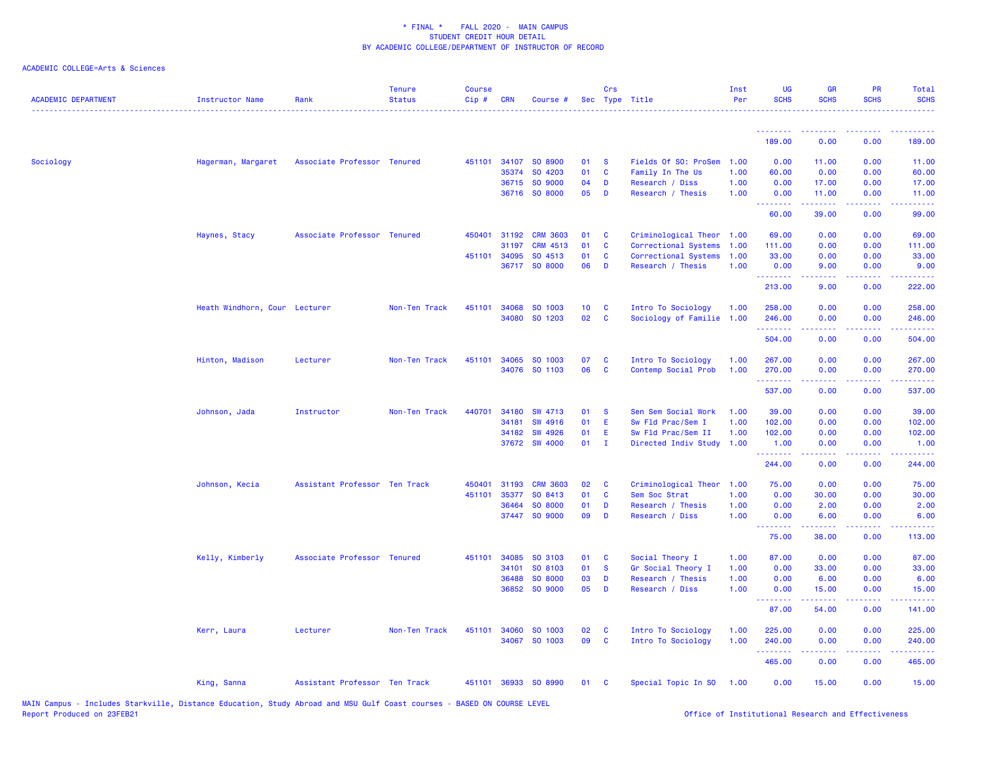| <b>ACADEMIC DEPARTMENT</b> | Instructor Name               | Rank                          | <b>Tenure</b><br><b>Status</b> | <b>Course</b><br>Cip# | <b>CRN</b> | Course #        |                 | Crs<br>Sec Type Title |                           | Inst<br>Per | <b>UG</b><br><b>SCHS</b>         | <b>GR</b><br><b>SCHS</b> | <b>PR</b><br><b>SCHS</b>            | Total<br><b>SCHS</b>                                                                                                  |
|----------------------------|-------------------------------|-------------------------------|--------------------------------|-----------------------|------------|-----------------|-----------------|-----------------------|---------------------------|-------------|----------------------------------|--------------------------|-------------------------------------|-----------------------------------------------------------------------------------------------------------------------|
|                            |                               |                               |                                |                       |            |                 |                 |                       |                           |             | <u>.</u>                         | <u>.</u>                 | د د د د                             | .                                                                                                                     |
|                            |                               |                               |                                |                       |            |                 |                 |                       |                           |             | 189.00                           | 0.00                     | 0.00                                | 189.00                                                                                                                |
| Sociology                  | Hagerman, Margaret            | Associate Professor Tenured   |                                | 451101                | 34107      | SO 8900         | 01              | <b>S</b>              | Fields Of SO: ProSem      | 1.00        | 0.00                             | 11.00                    | 0.00                                | 11.00                                                                                                                 |
|                            |                               |                               |                                |                       | 35374      | SO 4203         | 01              | C                     | Family In The Us          | 1.00        | 60.00                            | 0.00                     | 0.00                                | 60.00                                                                                                                 |
|                            |                               |                               |                                |                       |            | 36715 SO 9000   | 04              | D                     | Research / Diss           | 1.00        | 0.00                             | 17.00                    | 0.00                                | 17.00                                                                                                                 |
|                            |                               |                               |                                |                       |            | 36716 SO 8000   | 05              | D                     | Research / Thesis         | 1.00        | 0.00<br>.                        | 11.00<br>222222          | 0.00<br>.                           | 11.00<br>بالمتمام                                                                                                     |
|                            |                               |                               |                                |                       |            |                 |                 |                       |                           |             | 60.00                            | 39.00                    | 0.00                                | 99.00                                                                                                                 |
|                            | Haynes, Stacy                 | Associate Professor Tenured   |                                | 450401                | 31192      | <b>CRM 3603</b> | 01              | C                     | Criminological Theor      | 1.00        | 69.00                            | 0.00                     | 0.00                                | 69.00                                                                                                                 |
|                            |                               |                               |                                |                       | 31197      | CRM 4513        | 01              | $\mathbf{C}$          | Correctional Systems      | 1.00        | 111.00                           | 0.00                     | 0.00                                | 111.00                                                                                                                |
|                            |                               |                               |                                | 451101                | 34095      | SO 4513         | 01              | C                     | Correctional Systems      | 1.00        | 33.00                            | 0.00                     | 0.00                                | 33.00                                                                                                                 |
|                            |                               |                               |                                |                       |            | 36717 SO 8000   | 06              | D                     | Research / Thesis         | 1.00        | 0.00<br>.                        | 9.00<br>22222            | 0.00<br>.                           | 9.00<br>.                                                                                                             |
|                            |                               |                               |                                |                       |            |                 |                 |                       |                           |             | 213.00                           | 9.00                     | 0.00                                | 222.00                                                                                                                |
|                            | Heath Windhorn, Cour Lecturer |                               | Non-Ten Track                  | 451101                | 34068      | SO 1003         | 10 <sub>1</sub> | C                     | Intro To Sociology        | 1.00        | 258.00                           | 0.00                     | 0.00                                | 258.00                                                                                                                |
|                            |                               |                               |                                |                       | 34080      | SO 1203         | 02 <sub>o</sub> | <b>C</b>              | Sociology of Familie 1.00 |             | 246.00                           | 0.00                     | 0.00                                | 246.00                                                                                                                |
|                            |                               |                               |                                |                       |            |                 |                 |                       |                           |             | 504.00                           | 0.00                     | 0.00                                | .<br>504.00                                                                                                           |
|                            | Hinton, Madison               | Lecturer                      | Non-Ten Track                  | 451101                | 34065      | SO 1003         | 07              | C                     | Intro To Sociology        | 1.00        | 267.00                           | 0.00                     | 0.00                                | 267.00                                                                                                                |
|                            |                               |                               |                                |                       |            | 34076 SO 1103   | 06              | <b>C</b>              | Contemp Social Prob       | 1.00        | 270.00                           | 0.00                     | 0.00                                | 270.00                                                                                                                |
|                            |                               |                               |                                |                       |            |                 |                 |                       |                           |             | .<br>537.00                      | .<br>0.00                | .<br>0.00                           | .<br>537.00                                                                                                           |
|                            | Johnson, Jada                 | Instructor                    | Non-Ten Track                  | 440701                | 34180      | SW 4713         | 01              | <b>S</b>              | Sen Sem Social Work       | 1.00        | 39.00                            | 0.00                     | 0.00                                | 39.00                                                                                                                 |
|                            |                               |                               |                                |                       | 34181      | <b>SW 4916</b>  | 01              | E                     | Sw Fld Prac/Sem I         | 1.00        | 102.00                           | 0.00                     | 0.00                                | 102.00                                                                                                                |
|                            |                               |                               |                                |                       | 34182      | <b>SW 4926</b>  | 01              | E                     | Sw Fld Prac/Sem II        | 1.00        | 102.00                           | 0.00                     | 0.00                                | 102.00                                                                                                                |
|                            |                               |                               |                                |                       |            | 37672 SW 4000   | 01              | $\mathbf{I}$          | Directed Indiv Study      | 1.00        | 1.00                             | 0.00                     | 0.00                                | 1.00                                                                                                                  |
|                            |                               |                               |                                |                       |            |                 |                 |                       |                           |             | <u>.</u><br>244.00               | .<br>0.00                | $\sim$ $\sim$ $\sim$ $\sim$<br>0.00 | $\begin{array}{cccccccccc} \bullet & \bullet & \bullet & \bullet & \bullet & \bullet & \bullet \end{array}$<br>244.00 |
|                            | Johnson, Kecia                | Assistant Professor Ten Track |                                | 450401                | 31193      | <b>CRM 3603</b> | 02              | C                     | Criminological Theor      | 1.00        | 75.00                            | 0.00                     | 0.00                                | 75.00                                                                                                                 |
|                            |                               |                               |                                | 451101                | 35377      | SO 8413         | 01              | C                     | Sem Soc Strat             | 1.00        | 0.00                             | 30.00                    | 0.00                                | 30.00                                                                                                                 |
|                            |                               |                               |                                |                       | 36464      | SO 8000         | 01              | D                     | Research / Thesis         | 1.00        | 0.00                             | 2.00                     | 0.00                                | 2.00                                                                                                                  |
|                            |                               |                               |                                |                       |            | 37447 SO 9000   | 09              | D                     | Research / Diss           | 1.00        | 0.00                             | 6.00                     | 0.00                                | 6.00                                                                                                                  |
|                            |                               |                               |                                |                       |            |                 |                 |                       |                           |             | <u> - - - - - - - -</u><br>75.00 | .<br>38.00               | .<br>0.00                           | <u>.</u><br>113.00                                                                                                    |
|                            | Kelly, Kimberly               | Associate Professor Tenured   |                                | 451101                | 34085      | SO 3103         | 01              | C                     | Social Theory I           | 1.00        | 87.00                            | 0.00                     | 0.00                                | 87.00                                                                                                                 |
|                            |                               |                               |                                |                       | 34101      | SO 8103         | 01              | <b>S</b>              | Gr Social Theory I        | 1.00        | 0.00                             | 33.00                    | 0.00                                | 33.00                                                                                                                 |
|                            |                               |                               |                                |                       | 36488      | SO 8000         | 03              | D                     | Research / Thesis         | 1.00        | 0.00                             | 6.00                     | 0.00                                | 6.00                                                                                                                  |
|                            |                               |                               |                                |                       | 36852      | SO 9000         | 05              | D                     | Research / Diss           | 1.00        | 0.00                             | 15.00                    | 0.00                                | 15.00                                                                                                                 |
|                            |                               |                               |                                |                       |            |                 |                 |                       |                           |             | <b>.</b><br>87.00                | 22222<br>54.00           | .<br>0.00                           | .<br>141.00                                                                                                           |
|                            | Kerr, Laura                   | Lecturer                      | Non-Ten Track                  | 451101                | 34060      | SO 1003         | 02              | <b>C</b>              | Intro To Sociology        | 1.00        | 225.00                           | 0.00                     | 0.00                                | 225.00                                                                                                                |
|                            |                               |                               |                                |                       |            | 34067 SO 1003   | 09              | C                     | Intro To Sociology        | 1.00        | 240.00                           | 0.00                     | 0.00                                | 240.00                                                                                                                |
|                            |                               |                               |                                |                       |            |                 |                 |                       |                           |             | <u>.</u><br>465.00               | .<br>0.00                | .<br>0.00                           | $\begin{array}{cccccccccc} \bullet & \bullet & \bullet & \bullet & \bullet & \bullet & \bullet \end{array}$<br>465.00 |
|                            | King, Sanna                   | Assistant Professor Ten Track |                                | 451101                |            | 36933 SO 8990   | 01              | <b>C</b>              | Special Topic In SO       | 1.00        | 0.00                             | 15.00                    | 0.00                                | 15.00                                                                                                                 |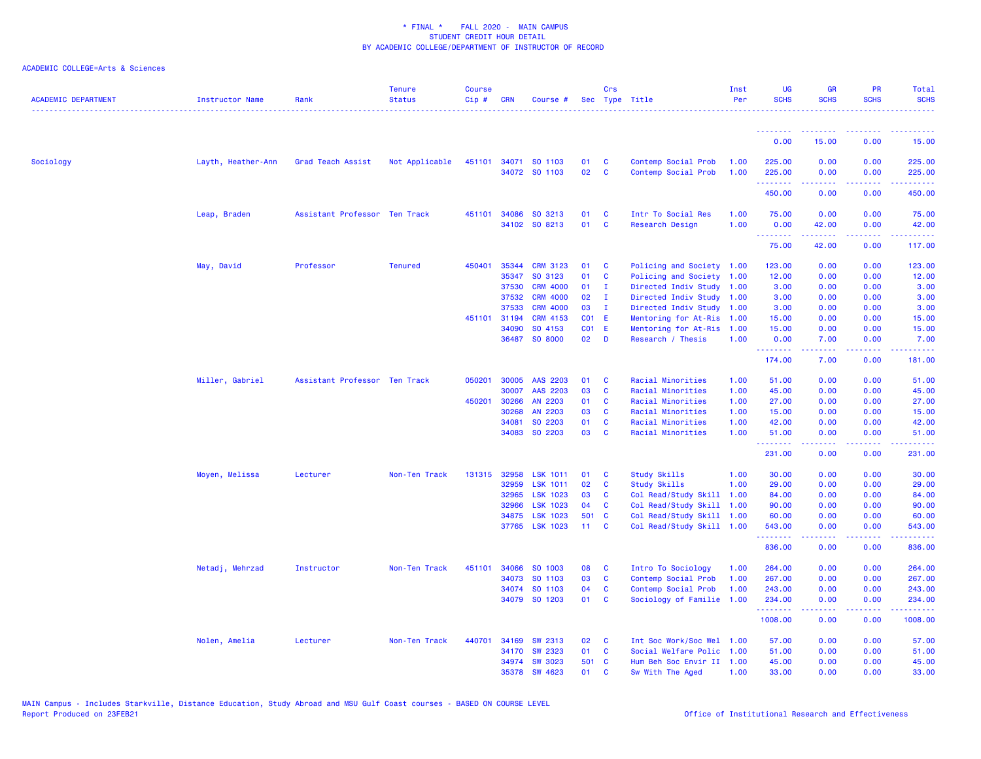| <b>ACADEMIC DEPARTMENT</b> | Instructor Name    | Rank                          | <b>Tenure</b><br><b>Status</b> | <b>Course</b><br>Cip# | <b>CRN</b>     | Course #                          |                       | Crs               | Sec Type Title                                    | Inst<br>Per  | <b>UG</b><br><b>SCHS</b>                                   | <b>GR</b><br><b>SCHS</b> | <b>PR</b><br><b>SCHS</b>                                                                                                          | Total<br><b>SCHS</b>      |
|----------------------------|--------------------|-------------------------------|--------------------------------|-----------------------|----------------|-----------------------------------|-----------------------|-------------------|---------------------------------------------------|--------------|------------------------------------------------------------|--------------------------|-----------------------------------------------------------------------------------------------------------------------------------|---------------------------|
|                            |                    |                               |                                |                       |                |                                   |                       |                   |                                                   |              | .<br>0.00                                                  | 15.00                    | 0.00                                                                                                                              | 15.00                     |
| Sociology                  | Layth, Heather-Ann | Grad Teach Assist             | Not Applicable                 | 451101                |                | 34071 SO 1103                     | 01                    | C                 | Contemp Social Prob                               | 1.00         | 225.00                                                     | 0.00                     | 0.00                                                                                                                              | 225.00                    |
|                            |                    |                               |                                |                       |                | 34072 SO 1103                     | 02 <sub>2</sub>       | C                 | Contemp Social Prob                               | 1.00         | 225.00<br>.                                                | 0.00<br>.                | 0.00<br>.                                                                                                                         | 225.00<br>22222)          |
|                            |                    |                               |                                |                       |                |                                   |                       |                   |                                                   |              | 450.00                                                     | 0.00                     | 0.00                                                                                                                              | 450.00                    |
|                            | Leap, Braden       | Assistant Professor Ten Track |                                | 451101                | 34086          | SO 3213                           | 01                    | C                 | Intr To Social Res                                | 1.00         | 75.00                                                      | 0.00                     | 0.00                                                                                                                              | 75.00                     |
|                            |                    |                               |                                |                       |                | 34102 SO 8213                     | 01                    | <b>C</b>          | <b>Research Design</b>                            | 1.00         | 0.00<br><b><i><u><u> - - - - - - -</u></u></i></b>         | 42.00                    | 0.00<br>$\frac{1}{2} \left( \frac{1}{2} \right) \left( \frac{1}{2} \right) \left( \frac{1}{2} \right) \left( \frac{1}{2} \right)$ | 42.00<br>والمتحدث للمنابذ |
|                            |                    |                               |                                |                       |                |                                   |                       |                   |                                                   |              | 75.00                                                      | 42.00                    | 0.00                                                                                                                              | 117.00                    |
|                            | May, David         | Professor                     | <b>Tenured</b>                 | 450401                | 35344          | <b>CRM 3123</b>                   | 01                    | C                 | Policing and Society 1.00                         |              | 123.00                                                     | 0.00                     | 0.00                                                                                                                              | 123.00                    |
|                            |                    |                               |                                |                       | 35347          | SO 3123                           | 01                    | <b>C</b>          | Policing and Society 1.00                         |              | 12.00                                                      | 0.00                     | 0.00                                                                                                                              | 12.00                     |
|                            |                    |                               |                                |                       | 37530          | <b>CRM 4000</b>                   | 01                    | $\mathbf{I}$      | Directed Indiv Study 1.00                         |              | 3.00                                                       | 0.00                     | 0.00                                                                                                                              | 3.00                      |
|                            |                    |                               |                                |                       | 37532          | <b>CRM 4000</b>                   | 02                    | $\mathbf{I}$      | Directed Indiv Study 1.00                         |              | 3.00                                                       | 0.00                     | 0.00                                                                                                                              | 3.00                      |
|                            |                    |                               |                                |                       | 37533<br>31194 | <b>CRM 4000</b>                   | 03                    | $\mathbf{I}$      | Directed Indiv Study 1.00                         |              | 3.00                                                       | 0.00                     | 0.00                                                                                                                              | 3.00                      |
|                            |                    |                               |                                | 451101                | 34090          | CRM 4153<br>SO 4153               | <b>CO1 E</b><br>CO1 E |                   | Mentoring for At-Ris 1.00<br>Mentoring for At-Ris | 1.00         | 15.00<br>15.00                                             | 0.00<br>0.00             | 0.00<br>0.00                                                                                                                      | 15.00<br>15.00            |
|                            |                    |                               |                                |                       |                | 36487 SO 8000                     | 02                    | <b>D</b>          | Research / Thesis                                 | 1.00         | 0.00                                                       | 7.00                     | 0.00                                                                                                                              | 7.00                      |
|                            |                    |                               |                                |                       |                |                                   |                       |                   |                                                   |              | <b><i><u><u><b>Little Little</b></u></u></i></b><br>174.00 | .<br>7.00                | د د د د<br>0.00                                                                                                                   | .<br>181.00               |
|                            | Miller, Gabriel    | Assistant Professor Ten Track |                                | 050201                | 30005          | AAS 2203                          | 01                    | <b>C</b>          | Racial Minorities                                 | 1.00         | 51.00                                                      | 0.00                     | 0.00                                                                                                                              | 51.00                     |
|                            |                    |                               |                                |                       | 30007          | AAS 2203                          | 03                    | C                 | Racial Minorities                                 | 1.00         | 45.00                                                      | 0.00                     | 0.00                                                                                                                              | 45.00                     |
|                            |                    |                               |                                | 450201                | 30266          | AN 2203                           | 01                    | C                 | Racial Minorities                                 | 1.00         | 27.00                                                      | 0.00                     | 0.00                                                                                                                              | 27.00                     |
|                            |                    |                               |                                |                       | 30268          | AN 2203                           | 03                    | C                 | Racial Minorities                                 | 1.00         | 15.00                                                      | 0.00                     | 0.00                                                                                                                              | 15.00                     |
|                            |                    |                               |                                |                       | 34081          | SO 2203                           | 01                    | C                 | Racial Minorities                                 | 1.00         | 42.00                                                      | 0.00                     | 0.00                                                                                                                              | 42.00                     |
|                            |                    |                               |                                |                       |                | 34083 SO 2203                     | 03                    | C                 | Racial Minorities                                 | 1.00         | 51.00<br>.                                                 | 0.00<br>د د د د          | 0.00                                                                                                                              | 51.00<br>.                |
|                            |                    |                               |                                |                       |                |                                   |                       |                   |                                                   |              | 231.00                                                     | 0.00                     | 0.00                                                                                                                              | 231.00                    |
|                            | Moyen, Melissa     | Lecturer                      | Non-Ten Track                  |                       |                | 131315 32958 LSK 1011             | 01                    | C                 | <b>Study Skills</b>                               | 1.00         | 30.00                                                      | 0.00                     | 0.00                                                                                                                              | 30.00                     |
|                            |                    |                               |                                |                       | 32959          | <b>LSK 1011</b>                   | 02                    | C                 | <b>Study Skills</b>                               | 1.00         | 29.00                                                      | 0.00                     | 0.00                                                                                                                              | 29.00                     |
|                            |                    |                               |                                |                       | 32965          | <b>LSK 1023</b>                   | 03                    | C                 | Col Read/Study Skill                              | 1.00         | 84.00                                                      | 0.00                     | 0.00                                                                                                                              | 84.00                     |
|                            |                    |                               |                                |                       | 32966          | <b>LSK 1023</b>                   | 04                    | C                 | Col Read/Study Skill                              | 1.00         | 90.00                                                      | 0.00                     | 0.00                                                                                                                              | 90.00                     |
|                            |                    |                               |                                |                       | 34875          | <b>LSK 1023</b><br>37765 LSK 1023 | 501 C<br>$11 -$       | $\mathbf{C}$      | Col Read/Study Skill<br>Col Read/Study Skill 1.00 | 1.00         | 60.00<br>543.00                                            | 0.00<br>0.00             | 0.00<br>0.00                                                                                                                      | 60.00<br>543.00           |
|                            |                    |                               |                                |                       |                |                                   |                       |                   |                                                   |              | .<br>836.00                                                | 0.00                     | .<br>0.00                                                                                                                         | <u>.</u><br>836.00        |
|                            |                    |                               |                                |                       |                |                                   |                       |                   |                                                   |              |                                                            |                          |                                                                                                                                   |                           |
|                            | Netadj, Mehrzad    | Instructor                    | Non-Ten Track                  | 451101                | 34066          | SO 1003                           | 08                    | C                 | Intro To Sociology                                | 1.00         | 264.00                                                     | 0.00                     | 0.00                                                                                                                              | 264.00                    |
|                            |                    |                               |                                |                       | 34074          | 34073 SO 1103<br>SO 1103          | 03<br>04              | $\mathbf{C}$<br>C | Contemp Social Prob<br>Contemp Social Prob        | 1.00<br>1.00 | 267.00<br>243.00                                           | 0.00<br>0.00             | 0.00<br>0.00                                                                                                                      | 267.00<br>243.00          |
|                            |                    |                               |                                |                       |                | 34079 SO 1203                     | 01                    | C                 | Sociology of Familie                              | 1.00         | 234.00                                                     | 0.00                     | 0.00                                                                                                                              | 234.00                    |
|                            |                    |                               |                                |                       |                |                                   |                       |                   |                                                   |              | .<br>1008.00                                               | 22222<br>0.00            | .<br>0.00                                                                                                                         | .<br>1008.00              |
|                            | Nolen, Amelia      | Lecturer                      | Non-Ten Track                  | 440701                | 34169          | SW 2313                           | 02                    | C                 | Int Soc Work/Soc Wel                              | 1.00         | 57.00                                                      | 0.00                     | 0.00                                                                                                                              | 57.00                     |
|                            |                    |                               |                                |                       | 34170          | <b>SW 2323</b>                    | 01                    | C                 | Social Welfare Polic                              | 1.00         | 51.00                                                      | 0.00                     | 0.00                                                                                                                              | 51.00                     |
|                            |                    |                               |                                |                       |                | 34974 SW 3023                     | 501 C                 |                   | Hum Beh Soc Envir II 1.00                         |              | 45.00                                                      | 0.00                     | 0.00                                                                                                                              | 45.00                     |
|                            |                    |                               |                                |                       |                | 35378 SW 4623                     | 01                    | $\mathbf{C}$      | Sw With The Aged                                  | 1.00         | 33.00                                                      | 0.00                     | 0.00                                                                                                                              | 33.00                     |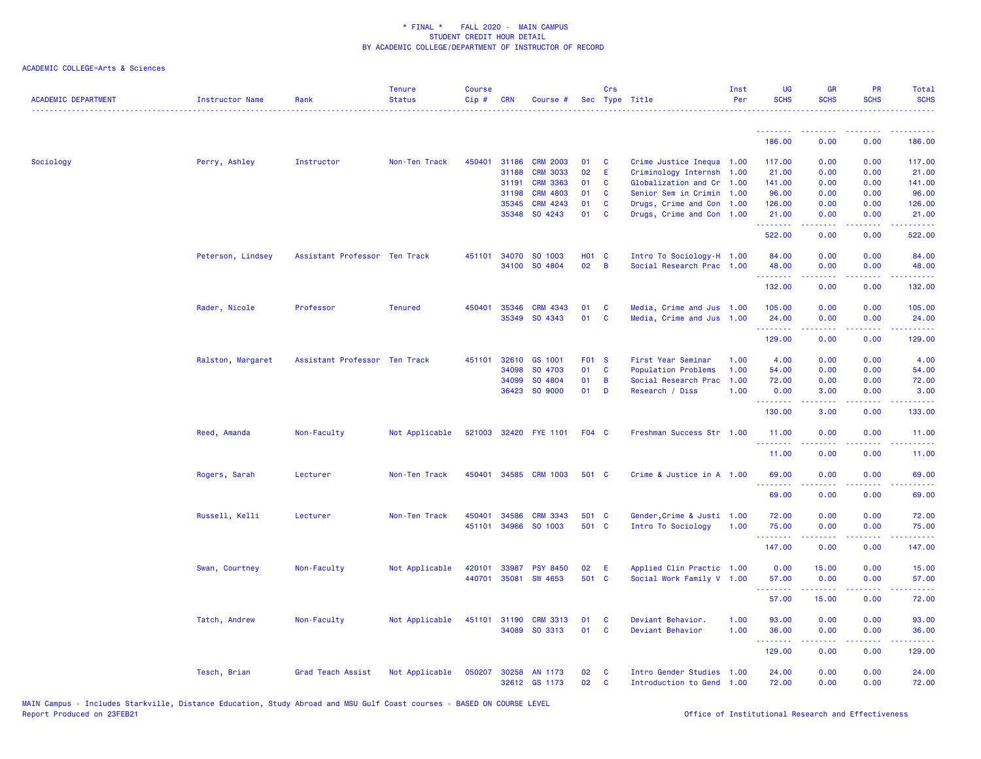| <b>ACADEMIC DEPARTMENT</b> | <b>Instructor Name</b> | Rank                          | <b>Tenure</b><br><b>Status</b> | <b>Course</b><br>$Cip$ # | <b>CRN</b> | Course #              |              | Crs          | Sec Type Title             | Inst<br>Per | UG<br><b>SCHS</b>  | <b>GR</b><br><b>SCHS</b> | <b>PR</b><br><b>SCHS</b>                                                                                                          | Total<br><b>SCHS</b> |
|----------------------------|------------------------|-------------------------------|--------------------------------|--------------------------|------------|-----------------------|--------------|--------------|----------------------------|-------------|--------------------|--------------------------|-----------------------------------------------------------------------------------------------------------------------------------|----------------------|
|                            |                        |                               |                                |                          |            |                       |              |              |                            |             | <u>.</u><br>186.00 | <u>.</u><br>0.00         | الداعات عامات<br>0.00                                                                                                             | .<br>186.00          |
|                            |                        |                               |                                |                          |            |                       |              |              |                            |             |                    |                          |                                                                                                                                   |                      |
| Sociology                  | Perry, Ashley          | Instructor                    | Non-Ten Track                  | 450401                   | 31186      | <b>CRM 2003</b>       | 01           | C            | Crime Justice Inequa 1.00  |             | 117.00             | 0.00                     | 0.00                                                                                                                              | 117.00               |
|                            |                        |                               |                                |                          | 31188      | <b>CRM 3033</b>       | 02           | Ε            | Criminology Internsh 1.00  |             | 21.00              | 0.00                     | 0.00                                                                                                                              | 21.00                |
|                            |                        |                               |                                |                          | 31191      | <b>CRM 3363</b>       | 01           | C            | Globalization and Cr 1.00  |             | 141.00             | 0.00                     | 0.00                                                                                                                              | 141.00               |
|                            |                        |                               |                                |                          | 31198      | <b>CRM 4803</b>       | 01           | C            | Senior Sem in Crimin 1.00  |             | 96.00              | 0.00                     | 0.00                                                                                                                              | 96.00                |
|                            |                        |                               |                                |                          | 35345      | CRM 4243              | 01           | <b>C</b>     | Drugs, Crime and Con 1.00  |             | 126.00             | 0.00                     | 0.00                                                                                                                              | 126.00               |
|                            |                        |                               |                                |                          |            | 35348 SO 4243         | 01           | C            | Drugs, Crime and Con 1.00  |             | 21.00<br>.         | 0.00<br>.                | 0.00<br>$\omega$ is a $\omega$                                                                                                    | 21.00<br>المتمامين   |
|                            |                        |                               |                                |                          |            |                       |              |              |                            |             | 522.00             | 0.00                     | 0.00                                                                                                                              | 522.00               |
|                            | Peterson, Lindsey      | Assistant Professor Ten Track |                                |                          |            | 451101 34070 SO 1003  | <b>HO1 C</b> |              | Intro To Sociology-H 1.00  |             | 84.00              | 0.00                     | 0.00                                                                                                                              | 84.00                |
|                            |                        |                               |                                |                          |            | 34100 SO 4804         | 02           | B            | Social Research Prac 1.00  |             | 48.00              | 0.00                     | 0.00                                                                                                                              | 48.00                |
|                            |                        |                               |                                |                          |            |                       |              |              |                            |             | .<br>132.00        | .<br>0.00                | .<br>0.00                                                                                                                         | <u>.</u><br>132.00   |
|                            | Rader, Nicole          | Professor                     | <b>Tenured</b>                 | 450401                   | 35346      | <b>CRM 4343</b>       | 01           | C            | Media, Crime and Jus 1.00  |             | 105.00             | 0.00                     | 0.00                                                                                                                              | 105.00               |
|                            |                        |                               |                                |                          | 35349      | SO 4343               | 01           | C            | Media, Crime and Jus 1.00  |             | 24.00              | 0.00                     | 0.00                                                                                                                              | 24.00                |
|                            |                        |                               |                                |                          |            |                       |              |              |                            |             | <u>.</u>           | 22222                    | .                                                                                                                                 | .                    |
|                            |                        |                               |                                |                          |            |                       |              |              |                            |             | 129.00             | 0.00                     | 0.00                                                                                                                              | 129.00               |
|                            | Ralston, Margaret      | Assistant Professor Ten Track |                                | 451101                   | 32610      | GS 1001               | F01 S        |              | First Year Seminar         | 1.00        | 4.00               | 0.00                     | 0.00                                                                                                                              | 4.00                 |
|                            |                        |                               |                                |                          | 34098      | SO 4703               | 01           | <b>C</b>     | <b>Population Problems</b> | 1.00        | 54.00              | 0.00                     | 0.00                                                                                                                              | 54.00                |
|                            |                        |                               |                                |                          | 34099      | SO 4804               | 01           | B            | Social Research Prac       | 1.00        | 72.00              | 0.00                     | 0.00                                                                                                                              | 72.00                |
|                            |                        |                               |                                |                          |            | 36423 SO 9000         | 01           | D            | Research / Diss            | 1.00        | 0.00<br>.          | 3.00                     | 0.00                                                                                                                              | 3.00<br>المتمامين    |
|                            |                        |                               |                                |                          |            |                       |              |              |                            |             | 130.00             | 3.00                     | 0.00                                                                                                                              | 133.00               |
|                            | Reed, Amanda           | Non-Faculty                   | Not Applicable                 |                          |            | 521003 32420 FYE 1101 | F04 C        |              | Freshman Success Str 1.00  |             | 11.00<br>.         | 0.00<br>.                | 0.00<br>$\frac{1}{2} \left( \frac{1}{2} \right) \left( \frac{1}{2} \right) \left( \frac{1}{2} \right) \left( \frac{1}{2} \right)$ | 11.00<br>.           |
|                            |                        |                               |                                |                          |            |                       |              |              |                            |             | 11.00              | 0.00                     | 0.00                                                                                                                              | 11.00                |
|                            | Rogers, Sarah          | Lecturer                      | Non-Ten Track                  | 450401                   |            | 34585 CRM 1003        | 501 C        |              | Crime & Justice in A 1.00  |             | 69.00              | 0.00                     | 0.00                                                                                                                              | 69.00                |
|                            |                        |                               |                                |                          |            |                       |              |              |                            |             |                    |                          |                                                                                                                                   |                      |
|                            |                        |                               |                                |                          |            |                       |              |              |                            |             | 69.00              | 0.00                     | 0.00                                                                                                                              | 69.00                |
|                            | Russell, Kelli         | Lecturer                      | Non-Ten Track                  | 450401                   | 34586      | <b>CRM 3343</b>       | 501 C        |              | Gender, Crime & Justi 1.00 |             | 72.00              | 0.00                     | 0.00                                                                                                                              | 72.00                |
|                            |                        |                               |                                | 451101                   | 34966      | SO 1003               | 501 C        |              | Intro To Sociology         | 1.00        | 75.00              | 0.00                     | 0.00                                                                                                                              | 75.00                |
|                            |                        |                               |                                |                          |            |                       |              |              |                            |             | .<br>147.00        | .<br>0.00                | .<br>0.00                                                                                                                         | .<br>147.00          |
|                            |                        |                               |                                |                          |            |                       |              |              |                            |             |                    |                          |                                                                                                                                   |                      |
|                            | Swan, Courtney         | Non-Faculty                   | Not Applicable                 | 420101                   | 33987      | <b>PSY 8450</b>       | 02           | E            | Applied Clin Practic 1.00  |             | 0.00               | 15.00                    | 0.00                                                                                                                              | 15.00                |
|                            |                        |                               |                                | 440701                   | 35081      | SW 4653               | 501 C        |              | Social Work Family V 1.00  |             | 57.00              | 0.00                     | 0.00                                                                                                                              | 57.00                |
|                            |                        |                               |                                |                          |            |                       |              |              |                            |             | .<br>57.00         | <u>.</u><br>15.00        | .<br>0.00                                                                                                                         | .<br>72.00           |
|                            |                        |                               |                                |                          |            |                       |              |              |                            |             |                    |                          |                                                                                                                                   |                      |
|                            | Tatch, Andrew          | Non-Faculty                   | Not Applicable                 | 451101                   | 31190      | <b>CRM 3313</b>       | 01           | C            | Deviant Behavior.          | 1.00        | 93.00              | 0.00                     | 0.00                                                                                                                              | 93.00                |
|                            |                        |                               |                                |                          |            | 34089 SO 3313         | 01           | C            | Deviant Behavior           | 1.00        | 36.00<br>.         | 0.00<br>.                | 0.00<br>بالأباب                                                                                                                   | 36.00<br>المستما     |
|                            |                        |                               |                                |                          |            |                       |              |              |                            |             | 129.00             | 0.00                     | 0.00                                                                                                                              | 129.00               |
|                            | Tesch, Brian           | Grad Teach Assist             | Not Applicable                 | 050207                   |            | 30258 AN 1173         | 02           | C            | Intro Gender Studies 1.00  |             | 24.00              | 0.00                     | 0.00                                                                                                                              | 24.00                |
|                            |                        |                               |                                |                          |            | 32612 GS 1173         | 02           | $\mathbf{C}$ | Introduction to Gend 1.00  |             | 72.00              | 0.00                     | 0.00                                                                                                                              | 72.00                |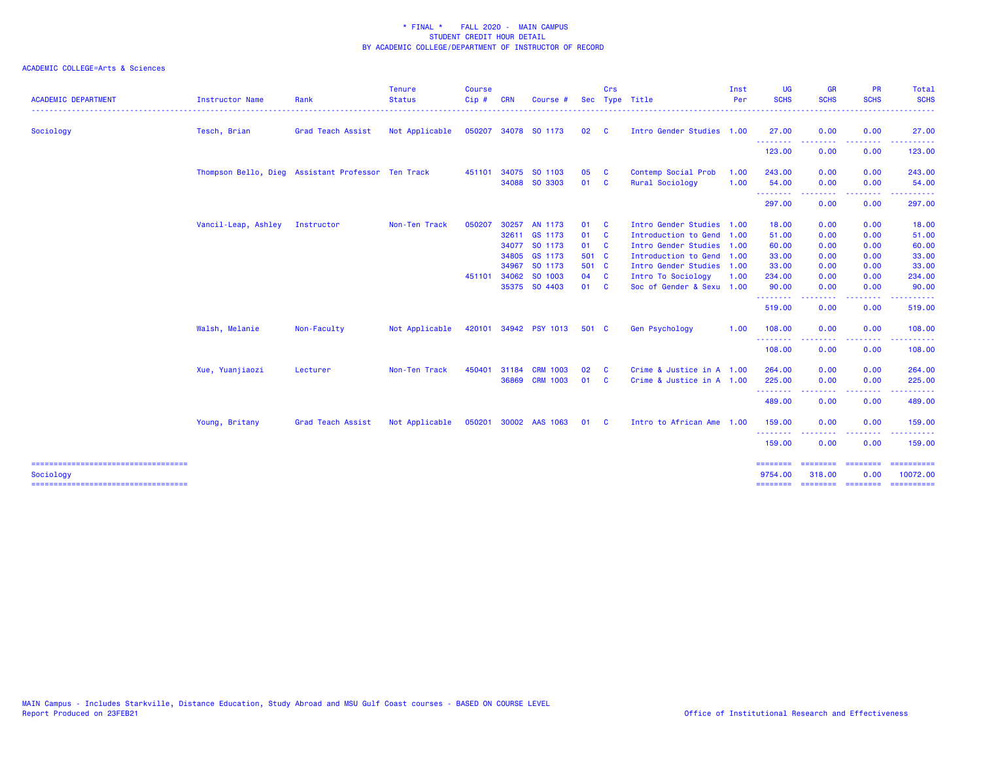| <b>ACADEMIC DEPARTMENT</b>                         | <b>Instructor Name</b> | Rank                                               | <b>Tenure</b><br><b>Status</b> | <b>Course</b><br>Cip# | <b>CRN</b> | Course #              |       | Crs                        | Sec Type Title            | Inst<br>Per | <b>UG</b><br><b>SCHS</b> | <b>GR</b><br><b>SCHS</b>                                                                                                          | <b>PR</b><br><b>SCHS</b>                                                                                                          | Total<br><b>SCHS</b>                                                                                                                |
|----------------------------------------------------|------------------------|----------------------------------------------------|--------------------------------|-----------------------|------------|-----------------------|-------|----------------------------|---------------------------|-------------|--------------------------|-----------------------------------------------------------------------------------------------------------------------------------|-----------------------------------------------------------------------------------------------------------------------------------|-------------------------------------------------------------------------------------------------------------------------------------|
| Sociology                                          | Tesch, Brian           | Grad Teach Assist                                  | Not Applicable                 |                       |            | 050207 34078 SO 1173  | 02    | <b>C</b>                   | Intro Gender Studies 1.00 |             | 27.00                    | 0.00                                                                                                                              | 0.00                                                                                                                              | 27.00                                                                                                                               |
|                                                    |                        |                                                    |                                |                       |            |                       |       |                            |                           |             | .<br>123.00              | $\frac{1}{2} \left( \frac{1}{2} \right) \left( \frac{1}{2} \right) \left( \frac{1}{2} \right) \left( \frac{1}{2} \right)$<br>0.00 | $\frac{1}{2} \left( \frac{1}{2} \right) \left( \frac{1}{2} \right) \left( \frac{1}{2} \right) \left( \frac{1}{2} \right)$<br>0.00 | .<br>123.00                                                                                                                         |
|                                                    |                        | Thompson Bello, Dieg Assistant Professor Ten Track |                                |                       |            | 451101 34075 SO 1103  | 05    | - C                        | Contemp Social Prob       | 1.00        | 243.00                   | 0.00                                                                                                                              | 0.00                                                                                                                              | 243.00                                                                                                                              |
|                                                    |                        |                                                    |                                |                       |            | 34088 SO 3303         | 01    | $\mathbf{C}$               | Rural Sociology           | 1.00        | 54.00                    | 0.00                                                                                                                              | 0.00                                                                                                                              | 54.00                                                                                                                               |
|                                                    |                        |                                                    |                                |                       |            |                       |       |                            |                           |             | . <u>.</u><br>297.00     | 0.00                                                                                                                              | .<br>0.00                                                                                                                         | .<br>297.00                                                                                                                         |
|                                                    | Vancil-Leap, Ashley    | Instructor                                         | Non-Ten Track                  | 050207                | 30257      | AN 1173               | 01    | - C                        | Intro Gender Studies      | 1.00        | 18.00                    | 0.00                                                                                                                              | 0.00                                                                                                                              | 18.00                                                                                                                               |
|                                                    |                        |                                                    |                                |                       |            | 32611 GS 1173         | 01    | <b>C</b>                   | Introduction to Gend 1.00 |             | 51.00                    | 0.00                                                                                                                              | 0.00                                                                                                                              | 51.00                                                                                                                               |
|                                                    |                        |                                                    |                                |                       | 34077      | SO 1173               | 01    | $\overline{\phantom{a}}$ c | Intro Gender Studies      | 1.00        | 60.00                    | 0.00                                                                                                                              | 0.00                                                                                                                              | 60.00                                                                                                                               |
|                                                    |                        |                                                    |                                |                       | 34805      | GS 1173               | 501 C |                            | Introduction to Gend      | 1.00        | 33.00                    | 0.00                                                                                                                              | 0.00                                                                                                                              | 33.00                                                                                                                               |
|                                                    |                        |                                                    |                                |                       | 34967      | SO 1173               | 501 C |                            | Intro Gender Studies      | 1.00        | 33.00                    | 0.00                                                                                                                              | 0.00                                                                                                                              | 33.00                                                                                                                               |
|                                                    |                        |                                                    |                                | 451101                | 34062      | SO 1003               | 04    | $\mathbf{C}$               | Intro To Sociology        | 1.00        | 234.00                   | 0.00                                                                                                                              | 0.00                                                                                                                              | 234.00                                                                                                                              |
|                                                    |                        |                                                    |                                |                       |            | 35375 SO 4403         | 01    | <b>C</b>                   | Soc of Gender & Sexu 1.00 |             | 90.00                    | 0.00                                                                                                                              | 0.00                                                                                                                              | 90.00                                                                                                                               |
|                                                    |                        |                                                    |                                |                       |            |                       |       |                            |                           |             | <b>.</b> .<br>519.00     | .<br>0.00                                                                                                                         | $\frac{1}{2} \left( \frac{1}{2} \right) \left( \frac{1}{2} \right) \left( \frac{1}{2} \right) \left( \frac{1}{2} \right)$<br>0.00 | $\frac{1}{2} \left( \frac{1}{2} \right) \left( \frac{1}{2} \right) \left( \frac{1}{2} \right) \left( \frac{1}{2} \right)$<br>519.00 |
|                                                    | Walsh, Melanie         | Non-Faculty                                        | Not Applicable                 |                       |            | 420101 34942 PSY 1013 | 501 C |                            | <b>Gen Psychology</b>     | 1.00        | 108.00                   | 0.00                                                                                                                              | 0.00                                                                                                                              | 108.00                                                                                                                              |
|                                                    |                        |                                                    |                                |                       |            |                       |       |                            |                           |             | .<br>108.00              | 0.00                                                                                                                              | $\frac{1}{2} \left( \frac{1}{2} \right) \left( \frac{1}{2} \right) \left( \frac{1}{2} \right) \left( \frac{1}{2} \right)$<br>0.00 | 108.00                                                                                                                              |
|                                                    | Xue, Yuanjiaozi        | Lecturer                                           | Non-Ten Track                  | 450401                | 31184      | <b>CRM 1003</b>       | 02    | - C                        | Crime & Justice in A 1.00 |             | 264.00                   | 0.00                                                                                                                              | 0.00                                                                                                                              | 264.00                                                                                                                              |
|                                                    |                        |                                                    |                                |                       | 36869      | <b>CRM 1003</b>       | 01    | - C                        | Crime & Justice in A 1.00 |             | 225.00                   | 0.00                                                                                                                              | 0.00                                                                                                                              | 225.00                                                                                                                              |
|                                                    |                        |                                                    |                                |                       |            |                       |       |                            |                           |             | .<br>489.00              | -----<br>0.00                                                                                                                     | . <b>.</b><br>0.00                                                                                                                | ------<br>489.00                                                                                                                    |
|                                                    | Young, Britany         | Grad Teach Assist                                  | Not Applicable                 |                       |            | 050201 30002 AAS 1063 | 01    | - C                        | Intro to African Ame 1.00 |             | 159.00                   | 0.00                                                                                                                              | 0.00                                                                                                                              | 159.00                                                                                                                              |
|                                                    |                        |                                                    |                                |                       |            |                       |       |                            |                           |             | .<br>159.00              | . <b>.</b> .<br>0.00                                                                                                              | .<br>0.00                                                                                                                         | 159.00                                                                                                                              |
| =====================================<br>Sociology |                        |                                                    |                                |                       |            |                       |       |                            |                           |             | ========<br>9754.00      | ========<br>318.00                                                                                                                | ========<br>0.00                                                                                                                  | 10072.00                                                                                                                            |
| =====================================              |                        |                                                    |                                |                       |            |                       |       |                            |                           |             | ========                 | <b>ESSESSEE</b>                                                                                                                   | $=$ ========                                                                                                                      |                                                                                                                                     |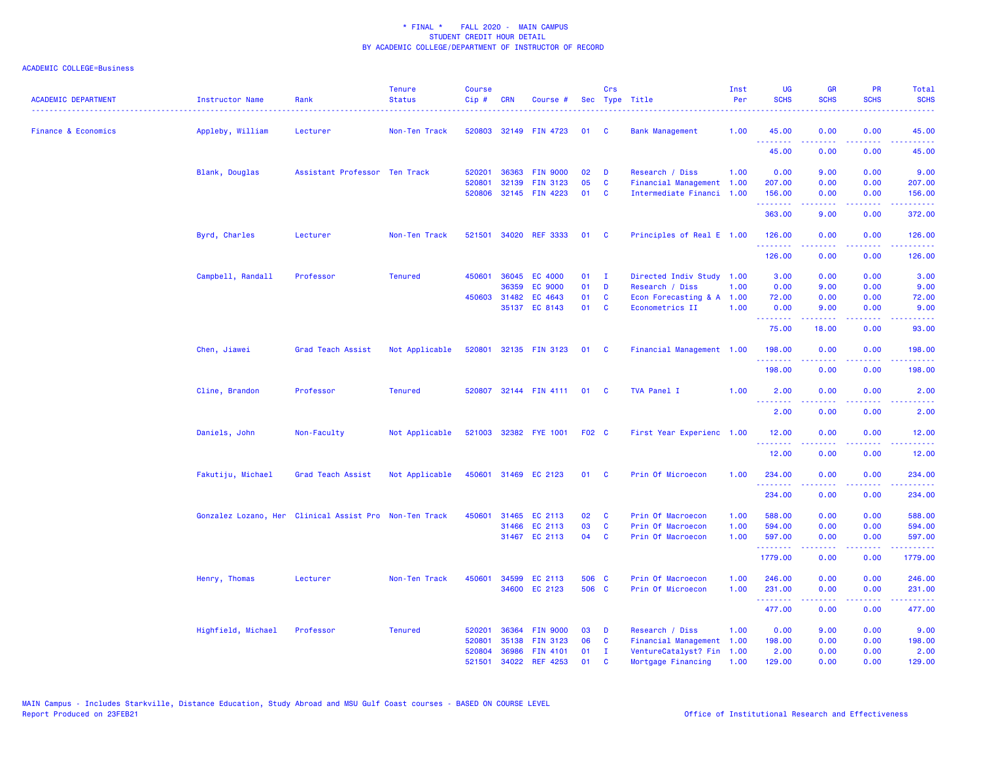| <b>ACADEMIC DEPARTMENT</b>     | <b>Instructor Name</b> | Rank                                                   | <b>Tenure</b><br><b>Status</b> | <b>Course</b><br>$Cip$ # | <b>CRN</b>   | Course #                                 |          | Crs                     | Sec Type Title                                         | Inst<br>Per | <b>UG</b><br><b>SCHS</b> | <b>GR</b><br><b>SCHS</b> | <b>PR</b><br><b>SCHS</b>            | Total<br><b>SCHS</b>                                                                                                                                           |
|--------------------------------|------------------------|--------------------------------------------------------|--------------------------------|--------------------------|--------------|------------------------------------------|----------|-------------------------|--------------------------------------------------------|-------------|--------------------------|--------------------------|-------------------------------------|----------------------------------------------------------------------------------------------------------------------------------------------------------------|
| <b>Finance &amp; Economics</b> | Appleby, William       | Lecturer                                               | Non-Ten Track                  |                          |              | 520803 32149 FIN 4723                    | 01       | - C                     | <b>Bank Management</b>                                 | 1.00        | 45.00<br>.               | 0.00                     | 0.00<br>وعاويا                      | 45.00                                                                                                                                                          |
|                                |                        |                                                        |                                |                          |              |                                          |          |                         |                                                        |             | 45.00                    | 0.00                     | 0.00                                | .<br>45.00                                                                                                                                                     |
|                                | Blank, Douglas         | Assistant Professor Ten Track                          |                                | 520201                   | 36363        | <b>FIN 9000</b>                          | 02       | D                       | Research / Diss                                        | 1.00        | 0.00                     | 9.00                     | 0.00                                | 9.00                                                                                                                                                           |
|                                |                        |                                                        |                                | 520801                   | 32139        | <b>FIN 3123</b><br>520806 32145 FIN 4223 | 05<br>01 | C<br><b>C</b>           | Financial Management 1.00<br>Intermediate Financi 1.00 |             | 207.00<br>156.00         | 0.00<br>0.00             | 0.00<br>0.00                        | 207.00<br>156.00                                                                                                                                               |
|                                |                        |                                                        |                                |                          |              |                                          |          |                         |                                                        |             | 363.00                   | 9.00                     | 0.00                                | 372.00                                                                                                                                                         |
|                                | Byrd, Charles          | Lecturer                                               | Non-Ten Track                  | 521501                   | 34020        | <b>REF 3333</b>                          | 01       | <b>C</b>                | Principles of Real E 1.00                              |             | 126.00                   | 0.00                     | 0.00                                | 126.00                                                                                                                                                         |
|                                |                        |                                                        |                                |                          |              |                                          |          |                         |                                                        |             | .<br>126.00              | .<br>0.00                | د د د د<br>0.00                     | $\frac{1}{2} \left( \frac{1}{2} \right) \left( \frac{1}{2} \right) \left( \frac{1}{2} \right) \left( \frac{1}{2} \right) \left( \frac{1}{2} \right)$<br>126.00 |
|                                | Campbell, Randall      | Professor                                              | <b>Tenured</b>                 | 450601                   | 36045        | EC 4000                                  | 01       | $\mathbf{I}$            | Directed Indiv Study 1.00                              |             | 3.00                     | 0.00                     | 0.00                                | 3.00                                                                                                                                                           |
|                                |                        |                                                        |                                |                          | 36359        | <b>EC 9000</b>                           | 01       | D                       | Research / Diss                                        | 1.00        | 0.00                     | 9.00                     | 0.00                                | 9.00                                                                                                                                                           |
|                                |                        |                                                        |                                |                          | 450603 31482 | EC 4643                                  | 01       | C                       | Econ Forecasting & A 1.00                              |             | 72.00                    | 0.00                     | 0.00                                | 72.00                                                                                                                                                          |
|                                |                        |                                                        |                                |                          |              | 35137 EC 8143                            | 01 C     |                         | Econometrics II                                        | 1.00        | 0.00<br>.                | 9.00<br><u>.</u>         | 0.00<br>د د د د .                   | 9.00<br>.                                                                                                                                                      |
|                                |                        |                                                        |                                |                          |              |                                          |          |                         |                                                        |             | 75.00                    | 18.00                    | 0.00                                | 93.00                                                                                                                                                          |
|                                | Chen, Jiawei           | Grad Teach Assist                                      | Not Applicable                 |                          |              | 520801 32135 FIN 3123                    | 01       | $\mathbf{C}$            | Financial Management 1.00                              |             | 198.00<br>.              | 0.00                     | 0.00                                | 198.00                                                                                                                                                         |
|                                |                        |                                                        |                                |                          |              |                                          |          |                         |                                                        |             | 198.00                   | 0.00                     | 0.00                                | 198.00                                                                                                                                                         |
|                                | Cline, Brandon         | Professor                                              | <b>Tenured</b>                 |                          |              | 520807 32144 FIN 4111 01                 |          | - C                     | TVA Panel I                                            | 1.00        | 2.00<br>.                | 0.00<br>. <u>.</u> .     | 0.00<br>$\frac{1}{2}$               | 2.00<br>----                                                                                                                                                   |
|                                |                        |                                                        |                                |                          |              |                                          |          |                         |                                                        |             | 2.00                     | 0.00                     | 0.00                                | 2.00                                                                                                                                                           |
|                                | Daniels, John          | Non-Faculty                                            | Not Applicable                 |                          |              | 521003 32382 FYE 1001                    | F02 C    |                         | First Year Experienc 1.00                              |             | 12.00<br>.               | 0.00                     | 0.00                                | 12.00                                                                                                                                                          |
|                                |                        |                                                        |                                |                          |              |                                          |          |                         |                                                        |             | 12.00                    | 0.00                     | 0.00                                | 12.00                                                                                                                                                          |
|                                | Fakutiju, Michael      | Grad Teach Assist                                      | Not Applicable                 |                          |              | 450601 31469 EC 2123                     | 01       | $\overline{\mathbf{C}}$ | Prin Of Microecon                                      | 1.00        | 234.00                   | 0.00                     | 0.00                                | 234.00                                                                                                                                                         |
|                                |                        |                                                        |                                |                          |              |                                          |          |                         |                                                        |             | 234.00                   | 0.00                     | 0.00                                | 234.00                                                                                                                                                         |
|                                |                        | Gonzalez Lozano, Her Clinical Assist Pro Non-Ten Track |                                | 450601                   |              | 31465 EC 2113                            | 02       | - C                     | Prin Of Macroecon                                      | 1.00        | 588.00                   | 0.00                     | 0.00                                | 588.00                                                                                                                                                         |
|                                |                        |                                                        |                                |                          | 31466        | EC 2113                                  | 03       | <b>C</b>                | Prin Of Macroecon                                      | 1.00        | 594.00                   | 0.00                     | 0.00                                | 594.00                                                                                                                                                         |
|                                |                        |                                                        |                                |                          |              | 31467 EC 2113                            | 04       | $\mathbf{C}$            | Prin Of Macroecon                                      | 1.00        | 597.00<br>.              | 0.00<br>.                | 0.00<br>$\sim$ $\sim$ $\sim$ $\sim$ | 597.00<br>$\frac{1}{2} \left( \frac{1}{2} \right) \left( \frac{1}{2} \right) \left( \frac{1}{2} \right) \left( \frac{1}{2} \right) \left( \frac{1}{2} \right)$ |
|                                |                        |                                                        |                                |                          |              |                                          |          |                         |                                                        |             | 1779.00                  | 0.00                     | 0.00                                | 1779.00                                                                                                                                                        |
|                                | Henry, Thomas          | Lecturer                                               | Non-Ten Track                  | 450601                   | 34599        | EC 2113                                  | 506 C    |                         | Prin Of Macroecon                                      | 1.00        | 246.00                   | 0.00                     | 0.00                                | 246.00                                                                                                                                                         |
|                                |                        |                                                        |                                |                          |              | 34600 EC 2123                            | 506 C    |                         | Prin Of Microecon                                      | 1.00        | 231.00<br>.              | 0.00<br>-----            | 0.00<br>.                           | 231.00<br>.                                                                                                                                                    |
|                                |                        |                                                        |                                |                          |              |                                          |          |                         |                                                        |             | 477.00                   | 0.00                     | 0.00                                | 477.00                                                                                                                                                         |
|                                | Highfield, Michael     | Professor                                              | <b>Tenured</b>                 | 520201                   | 36364        | <b>FIN 9000</b>                          | 03       | D                       | Research / Diss                                        | 1.00        | 0.00                     | 9.00                     | 0.00                                | 9.00                                                                                                                                                           |
|                                |                        |                                                        |                                | 520801                   | 35138        | <b>FIN 3123</b>                          | 06       | C                       | Financial Management                                   | 1.00        | 198.00                   | 0.00                     | 0.00                                | 198.00                                                                                                                                                         |
|                                |                        |                                                        |                                | 520804                   | 36986        | <b>FIN 4101</b>                          | 01       | - I                     | VentureCatalyst? Fin 1.00                              |             | 2.00                     | 0.00                     | 0.00                                | 2.00                                                                                                                                                           |
|                                |                        |                                                        |                                | 521501                   | 34022        | <b>REF 4253</b>                          | 01       | <b>C</b>                | Mortgage Financing                                     | 1.00        | 129.00                   | 0.00                     | 0.00                                | 129.00                                                                                                                                                         |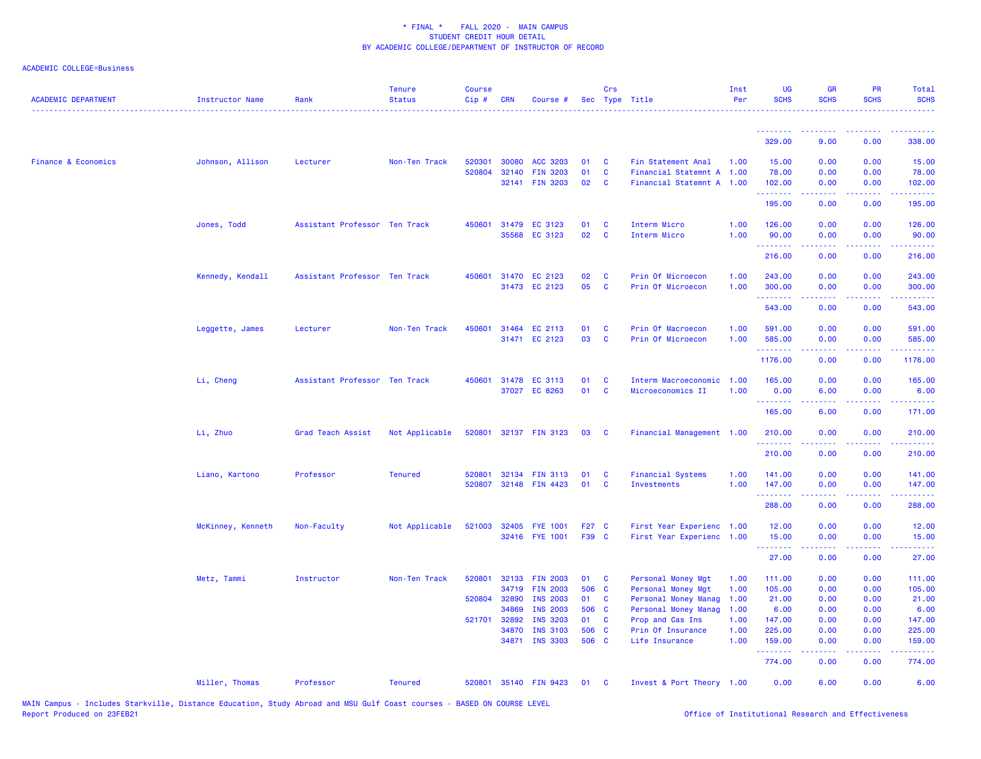| <b>ACADEMIC DEPARTMENT</b>     | Instructor Name   | Rank                          | <b>Tenure</b><br><b>Status</b> | <b>Course</b><br>Cip# | <b>CRN</b>     | Course #                           |             | Crs                          | Sec Type Title                                         | Inst<br>Per  | <b>UG</b><br><b>SCHS</b> | <b>GR</b><br><b>SCHS</b> | <b>PR</b><br><b>SCHS</b>    | Total<br><b>SCHS</b>                   |
|--------------------------------|-------------------|-------------------------------|--------------------------------|-----------------------|----------------|------------------------------------|-------------|------------------------------|--------------------------------------------------------|--------------|--------------------------|--------------------------|-----------------------------|----------------------------------------|
|                                |                   |                               |                                |                       |                |                                    |             |                              |                                                        |              | 329.00                   | 9.00                     | 0.00                        | 338.00                                 |
|                                |                   |                               |                                |                       |                |                                    |             |                              |                                                        |              |                          |                          |                             |                                        |
| <b>Finance &amp; Economics</b> | Johnson, Allison  | Lecturer                      | Non-Ten Track                  | 520301                | 30080          | ACC 3203                           | 01          | $\mathbf{C}$                 | Fin Statement Anal                                     | 1.00         | 15.00                    | 0.00                     | 0.00                        | 15.00                                  |
|                                |                   |                               |                                | 520804                | 32140          | <b>FIN 3203</b><br>32141 FIN 3203  | 01<br>02    | $\mathbf{C}$<br>$\mathbf{C}$ | Financial Statemnt A 1.00<br>Financial Statemnt A 1.00 |              | 78.00<br>102.00          | 0.00<br>0.00             | 0.00<br>0.00                | 78.00<br>102.00                        |
|                                |                   |                               |                                |                       |                |                                    |             |                              |                                                        |              | .                        | .                        | .                           |                                        |
|                                |                   |                               |                                |                       |                |                                    |             |                              |                                                        |              | 195.00                   | 0.00                     | 0.00                        | 195.00                                 |
|                                | Jones, Todd       | Assistant Professor Ten Track |                                | 450601                |                | 31479 EC 3123                      | 01          | <b>C</b>                     | Interm Micro                                           | 1.00         | 126.00                   | 0.00                     | 0.00                        | 126.00                                 |
|                                |                   |                               |                                |                       |                | 35568 EC 3123                      | 02          | $\mathbf{C}$                 | Interm Micro                                           | 1.00         | 90.00                    | 0.00                     | 0.00                        | 90.00                                  |
|                                |                   |                               |                                |                       |                |                                    |             |                              |                                                        |              | .<br>216.00              | 0.00                     | 0.00                        | 222222<br>216.00                       |
|                                |                   |                               |                                |                       |                |                                    |             |                              |                                                        |              |                          |                          |                             |                                        |
|                                | Kennedy, Kendall  | Assistant Professor Ten Track |                                | 450601                |                | 31470 EC 2123                      | 02          | $\mathbf{C}$                 | Prin Of Microecon                                      | 1.00         | 243.00                   | 0.00                     | 0.00                        | 243.00                                 |
|                                |                   |                               |                                |                       |                | 31473 EC 2123                      | 05          | $\mathbf{C}$                 | Prin Of Microecon                                      | 1.00         | 300.00                   | 0.00                     | 0.00                        | 300.00                                 |
|                                |                   |                               |                                |                       |                |                                    |             |                              |                                                        |              | <u> - - - - - - - -</u>  | $- - - - -$<br>0.00      | .<br>0.00                   | .<br>543.00                            |
|                                |                   |                               |                                |                       |                |                                    |             |                              |                                                        |              | 543.00                   |                          |                             |                                        |
|                                | Leggette, James   | Lecturer                      | Non-Ten Track                  | 450601                |                | 31464 EC 2113                      | 01          | <b>C</b>                     | Prin Of Macroecon                                      | 1.00         | 591.00                   | 0.00                     | 0.00                        | 591.00                                 |
|                                |                   |                               |                                |                       |                | 31471 EC 2123                      | 03          | $\mathbf{C}$                 | Prin Of Microecon                                      | 1.00         | 585.00                   | 0.00                     | 0.00                        | 585.00                                 |
|                                |                   |                               |                                |                       |                |                                    |             |                              |                                                        |              | .                        | .                        | $\sim$ $\sim$ $\sim$ $\sim$ | <b><i><u><u> - - - - -</u></u></i></b> |
|                                |                   |                               |                                |                       |                |                                    |             |                              |                                                        |              | 1176.00                  | 0.00                     | 0.00                        | 1176.00                                |
|                                | Li, Cheng         | Assistant Professor Ten Track |                                | 450601                |                | 31478 EC 3113                      | 01          | $\mathbf{C}$                 | Interm Macroeconomic                                   | 1.00         | 165.00                   | 0.00                     | 0.00                        | 165.00                                 |
|                                |                   |                               |                                |                       |                | 37027 EC 8263                      | 01          | $\mathbf{C}$                 | Microeconomics II                                      | 1.00         | 0.00                     | 6.00                     | 0.00                        | 6.00                                   |
|                                |                   |                               |                                |                       |                |                                    |             |                              |                                                        |              | .                        |                          |                             |                                        |
|                                |                   |                               |                                |                       |                |                                    |             |                              |                                                        |              | 165.00                   | 6.00                     | 0.00                        | 171.00                                 |
|                                |                   |                               |                                |                       |                |                                    |             |                              |                                                        |              |                          |                          |                             |                                        |
|                                | Li, Zhuo          | Grad Teach Assist             | Not Applicable                 | 520801                |                | 32137 FIN 3123                     | 03 C        |                              | Financial Management 1.00                              |              | 210.00                   | 0.00                     | 0.00                        | 210.00                                 |
|                                |                   |                               |                                |                       |                |                                    |             |                              |                                                        |              | <b></b>                  |                          |                             | .                                      |
|                                |                   |                               |                                |                       |                |                                    |             |                              |                                                        |              | 210.00                   | 0.00                     | 0.00                        | 210.00                                 |
|                                | Liano, Kartono    | Professor                     | <b>Tenured</b>                 | 520801                |                | 32134 FIN 3113                     | 01          | <b>C</b>                     | <b>Financial Systems</b>                               | 1.00         | 141.00                   | 0.00                     | 0.00                        | 141.00                                 |
|                                |                   |                               |                                | 520807                |                | 32148 FIN 4423                     | 01          | $\mathbf{C}$                 | <b>Investments</b>                                     | 1.00         | 147.00                   | 0.00                     | 0.00                        | 147.00                                 |
|                                |                   |                               |                                |                       |                |                                    |             |                              |                                                        |              | .                        |                          |                             | 222222                                 |
|                                |                   |                               |                                |                       |                |                                    |             |                              |                                                        |              | 288.00                   | 0.00                     | 0.00                        | 288.00                                 |
|                                |                   |                               |                                | 521003                | 32405          | <b>FYE 1001</b>                    | F27 C       |                              | First Year Experienc 1.00                              |              | 12.00                    | 0.00                     | 0.00                        | 12.00                                  |
|                                | McKinney, Kenneth | Non-Faculty                   | Not Applicable                 |                       |                | 32416 FYE 1001                     | F39 C       |                              | First Year Experienc 1.00                              |              | 15.00                    | 0.00                     | 0.00                        | 15.00                                  |
|                                |                   |                               |                                |                       |                |                                    |             |                              |                                                        |              | .                        | .                        | .                           | .                                      |
|                                |                   |                               |                                |                       |                |                                    |             |                              |                                                        |              | 27.00                    | 0.00                     | 0.00                        | 27.00                                  |
|                                |                   |                               |                                |                       |                |                                    |             |                              |                                                        |              |                          |                          |                             |                                        |
|                                | Metz, Tammi       | Instructor                    | Non-Ten Track                  | 520801                | 32133<br>34719 | <b>FIN 2003</b><br><b>FIN 2003</b> | 01<br>506 C | $\mathbf{C}$                 | Personal Money Mgt<br>Personal Money Mgt               | 1.00<br>1.00 | 111.00<br>105.00         | 0.00<br>0.00             | 0.00<br>0.00                | 111.00<br>105.00                       |
|                                |                   |                               |                                | 520804                | 32890          | <b>INS 2003</b>                    | 01 C        |                              | Personal Money Manag                                   | 1.00         | 21.00                    | 0.00                     | 0.00                        | 21.00                                  |
|                                |                   |                               |                                |                       | 34869          | <b>INS 2003</b>                    | 506 C       |                              | Personal Money Manag                                   | 1.00         | 6.00                     | 0.00                     | 0.00                        | 6.00                                   |
|                                |                   |                               |                                | 521701                | 32892          | <b>INS 3203</b>                    | 01          | $\mathbf{C}$                 | Prop and Cas Ins                                       | 1.00         | 147.00                   | 0.00                     | 0.00                        | 147.00                                 |
|                                |                   |                               |                                |                       | 34870          | <b>INS 3103</b>                    | 506 C       |                              | Prin Of Insurance                                      | 1.00         | 225.00                   | 0.00                     | 0.00                        | 225.00                                 |
|                                |                   |                               |                                |                       | 34871          | <b>INS 3303</b>                    | 506 C       |                              | Life Insurance                                         | 1.00         | 159.00<br>.              | 0.00<br>.                | 0.00<br>.                   | 159.00                                 |
|                                |                   |                               |                                |                       |                |                                    |             |                              |                                                        |              | 774.00                   | 0.00                     | 0.00                        | 774.00                                 |
|                                |                   |                               |                                |                       |                |                                    |             |                              |                                                        |              |                          |                          |                             |                                        |
|                                | Miller, Thomas    | Professor                     | <b>Tenured</b>                 | 520801                |                | 35140 FIN 9423                     | 01          | $\mathbf{C}$                 | Invest & Port Theory 1.00                              |              | 0.00                     | 6.00                     | 0.00                        | 6.00                                   |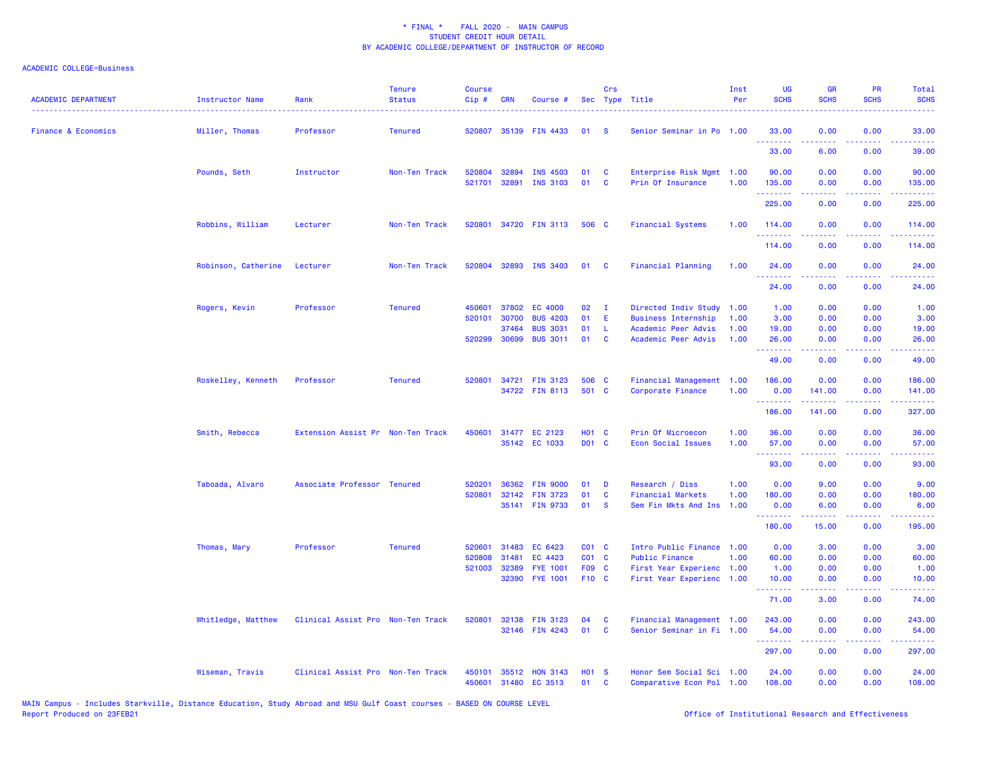| <b>ACADEMIC DEPARTMENT</b>     | <b>Instructor Name</b> | Rank                              | <b>Tenure</b><br><b>Status</b> | <b>Course</b><br>Cip# | <b>CRN</b> | Course #                         |                | Crs          | Sec Type Title                                 | Inst<br>Per | <b>UG</b><br><b>SCHS</b>                            | <b>GR</b><br><b>SCHS</b> | PR<br><b>SCHS</b>                                                                                                                 | <b>Total</b><br><b>SCHS</b>                                                                                                                                   |
|--------------------------------|------------------------|-----------------------------------|--------------------------------|-----------------------|------------|----------------------------------|----------------|--------------|------------------------------------------------|-------------|-----------------------------------------------------|--------------------------|-----------------------------------------------------------------------------------------------------------------------------------|---------------------------------------------------------------------------------------------------------------------------------------------------------------|
| <b>Finance &amp; Economics</b> | Miller, Thomas         | Professor                         | <b>Tenured</b>                 | 520807                |            | 35139 FIN 4433                   | 01             | -S           | Senior Seminar in Po 1.00                      |             | 33.00<br><u>.</u>                                   | 0.00                     | 0.00<br>$\frac{1}{2} \left( \frac{1}{2} \right) \left( \frac{1}{2} \right) \left( \frac{1}{2} \right) \left( \frac{1}{2} \right)$ | 33.00<br>.                                                                                                                                                    |
|                                |                        |                                   |                                |                       |            |                                  |                |              |                                                |             | 33.00                                               | 6.00                     | 0.00                                                                                                                              | 39.00                                                                                                                                                         |
|                                | Pounds, Seth           | Instructor                        | Non-Ten Track                  | 520804                | 32894      | <b>INS 4503</b>                  | 01             | C            | Enterprise Risk Mgmt 1.00                      |             | 90.00                                               | 0.00                     | 0.00                                                                                                                              | 90.00                                                                                                                                                         |
|                                |                        |                                   |                                | 521701                | 32891      | <b>INS 3103</b>                  | 01             | C            | Prin Of Insurance                              | 1.00        | 135.00<br>.                                         | 0.00<br>.                | 0.00<br>د د د د                                                                                                                   | 135.00<br>.                                                                                                                                                   |
|                                |                        |                                   |                                |                       |            |                                  |                |              |                                                |             | 225.00                                              | 0.00                     | 0.00                                                                                                                              | 225.00                                                                                                                                                        |
|                                | Robbins, William       | Lecturer                          | Non-Ten Track                  |                       |            | 520801 34720 FIN 3113            | 506 C          |              | <b>Financial Systems</b>                       | 1.00        | 114.00<br>.                                         | 0.00<br>.                | 0.00<br>.                                                                                                                         | 114.00<br><u>.</u>                                                                                                                                            |
|                                |                        |                                   |                                |                       |            |                                  |                |              |                                                |             | 114.00                                              | 0.00                     | 0.00                                                                                                                              | 114.00                                                                                                                                                        |
|                                | Robinson, Catherine    | Lecturer                          | Non-Ten Track                  | 520804                |            | 32893 INS 3403                   | 01             | <b>C</b>     | Financial Planning                             | 1.00        | 24.00<br>.                                          | 0.00<br>د د د د          | 0.00<br>د د د د                                                                                                                   | 24.00<br>.                                                                                                                                                    |
|                                |                        |                                   |                                |                       |            |                                  |                |              |                                                |             | 24.00                                               | 0.00                     | 0.00                                                                                                                              | 24.00                                                                                                                                                         |
|                                | Rogers, Kevin          | Professor                         | <b>Tenured</b>                 | 450601                | 37802      | <b>EC 4000</b>                   | 02             | $\mathbf{I}$ | Directed Indiv Study                           | 1.00        | 1.00                                                | 0.00                     | 0.00                                                                                                                              | 1.00                                                                                                                                                          |
|                                |                        |                                   |                                | 520101                | 30700      | <b>BUS 4203</b>                  | 01             | E            | <b>Business Internship</b>                     | 1.00        | 3.00                                                | 0.00                     | 0.00                                                                                                                              | 3.00                                                                                                                                                          |
|                                |                        |                                   |                                |                       | 37464      | <b>BUS 3031</b>                  | 01             | L.           | Academic Peer Advis                            | 1.00        | 19.00                                               | 0.00                     | 0.00                                                                                                                              | 19.00                                                                                                                                                         |
|                                |                        |                                   |                                | 520299                | 30699      | <b>BUS 3011</b>                  | 01             | C            | Academic Peer Advis                            | 1.00        | 26.00<br>---------                                  | 0.00<br>.                | 0.00<br>$\sim$ $\sim$ $\sim$ $\sim$                                                                                               | 26.00<br>$\frac{1}{2} \left( \frac{1}{2} \right) \left( \frac{1}{2} \right) \left( \frac{1}{2} \right) \left( \frac{1}{2} \right) \left( \frac{1}{2} \right)$ |
|                                |                        |                                   |                                |                       |            |                                  |                |              |                                                |             | 49.00                                               | 0.00                     | 0.00                                                                                                                              | 49.00                                                                                                                                                         |
|                                | Roskelley, Kenneth     | Professor                         | <b>Tenured</b>                 | 520801                |            | 34721 FIN 3123<br>34722 FIN 8113 | 506 C<br>501 C |              | Financial Management 1.00<br>Corporate Finance | 1.00        | 186.00<br>0.00                                      | 0.00<br>141.00           | 0.00<br>0.00                                                                                                                      | 186.00<br>141.00                                                                                                                                              |
|                                |                        |                                   |                                |                       |            |                                  |                |              |                                                |             | <b></b>                                             | .                        | .                                                                                                                                 | .                                                                                                                                                             |
|                                |                        |                                   |                                |                       |            |                                  |                |              |                                                |             | 186.00                                              | 141.00                   | 0.00                                                                                                                              | 327.00                                                                                                                                                        |
|                                | Smith, Rebecca         | Extension Assist Pr Non-Ten Track |                                | 450601                |            | 31477 EC 2123                    | <b>HO1 C</b>   |              | Prin Of Microecon                              | 1.00        | 36.00                                               | 0.00                     | 0.00                                                                                                                              | 36.00                                                                                                                                                         |
|                                |                        |                                   |                                |                       |            | 35142 EC 1033                    | D01 C          |              | Econ Social Issues                             | 1.00        | 57.00<br><b><i><u><u> - - - - - - -</u></u></i></b> | 0.00<br>.                | 0.00<br>د د د د                                                                                                                   | 57.00<br>وعاديات                                                                                                                                              |
|                                |                        |                                   |                                |                       |            |                                  |                |              |                                                |             | 93.00                                               | 0.00                     | 0.00                                                                                                                              | 93.00                                                                                                                                                         |
|                                | Taboada, Alvaro        | Associate Professor Tenured       |                                | 520201                | 36362      | <b>FIN 9000</b>                  | 01             | D            | Research / Diss                                | 1.00        | 0.00                                                | 9.00                     | 0.00                                                                                                                              | 9.00                                                                                                                                                          |
|                                |                        |                                   |                                | 520801                | 32142      | <b>FIN 3723</b>                  | 01             | C            | <b>Financial Markets</b>                       | 1.00        | 180.00                                              | 0.00                     | 0.00                                                                                                                              | 180.00                                                                                                                                                        |
|                                |                        |                                   |                                |                       |            | 35141 FIN 9733                   | 01             | <b>S</b>     | Sem Fin Mkts And Ins                           | 1.00        | 0.00<br><b><i><u><u> - - - - - - -</u></u></i></b>  | 6.00                     | 0.00<br>$  -$                                                                                                                     | 6.00<br>.                                                                                                                                                     |
|                                |                        |                                   |                                |                       |            |                                  |                |              |                                                |             | 180.00                                              | 15.00                    | 0.00                                                                                                                              | 195.00                                                                                                                                                        |
|                                | Thomas, Mary           | Professor                         | <b>Tenured</b>                 | 520601                | 31483      | EC 6423                          | $CO1$ C        |              | Intro Public Finance 1.00                      |             | 0.00                                                | 3.00                     | 0.00                                                                                                                              | 3.00                                                                                                                                                          |
|                                |                        |                                   |                                | 520808                | 31481      | EC 4423                          | CO1 C          |              | Public Finance                                 | 1.00        | 60.00                                               | 0.00                     | 0.00                                                                                                                              | 60.00                                                                                                                                                         |
|                                |                        |                                   |                                | 521003                | 32389      | <b>FYE 1001</b>                  | F09 C          |              | First Year Experienc 1.00                      |             | 1.00                                                | 0.00                     | 0.00                                                                                                                              | 1.00                                                                                                                                                          |
|                                |                        |                                   |                                |                       | 32390      | <b>FYE 1001</b>                  | F10 C          |              | First Year Experienc 1.00                      |             | 10.00<br>.                                          | 0.00                     | 0.00<br>د د د د                                                                                                                   | 10.00<br>.                                                                                                                                                    |
|                                |                        |                                   |                                |                       |            |                                  |                |              |                                                |             | 71.00                                               | 3.00                     | 0.00                                                                                                                              | 74.00                                                                                                                                                         |
|                                | Whitledge, Matthew     | Clinical Assist Pro Non-Ten Track |                                | 520801                | 32138      | <b>FIN 3123</b>                  | 04             | C            | Financial Management 1.00                      |             | 243.00                                              | 0.00                     | 0.00                                                                                                                              | 243.00                                                                                                                                                        |
|                                |                        |                                   |                                |                       |            | 32146 FIN 4243                   | 01             | <b>C</b>     | Senior Seminar in Fi 1.00                      |             | 54.00<br><u> - - - - - - - -</u>                    | 0.00<br>.                | 0.00<br>.                                                                                                                         | 54.00<br><u>.</u>                                                                                                                                             |
|                                |                        |                                   |                                |                       |            |                                  |                |              |                                                |             | 297.00                                              | 0.00                     | 0.00                                                                                                                              | 297.00                                                                                                                                                        |
|                                | Wiseman, Travis        | Clinical Assist Pro Non-Ten Track |                                | 450101<br>450601      |            | 35512 HON 3143                   | <b>HO1 S</b>   |              | Honor Sem Social Sci 1.00                      |             | 24.00                                               | 0.00<br>0.00             | 0.00                                                                                                                              | 24.00                                                                                                                                                         |
|                                |                        |                                   |                                |                       |            | 31480 EC 3513                    | 01             | C            | Comparative Econ Pol 1.00                      |             | 108.00                                              |                          | 0.00                                                                                                                              | 108.00                                                                                                                                                        |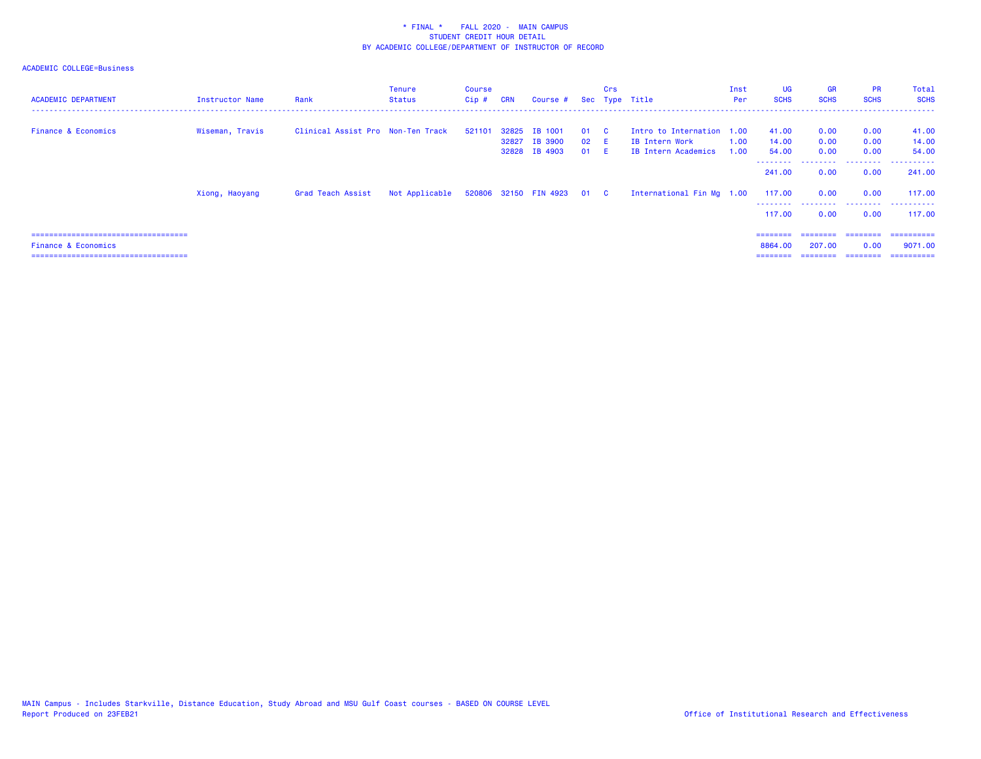| <b>ACADEMIC DEPARTMENT</b>                                             | Instructor Name | Rank                              | <b>Tenure</b><br><b>Status</b>            | Course<br>Cip # | <b>CRN</b> | Course #                                         |                    | Crs<br>Sec Type Title |                                                                    | Inst<br>Per  | UG<br><b>SCHS</b>       | <b>GR</b><br><b>SCHS</b> | <b>PR</b><br><b>SCHS</b> | Total<br><b>SCHS</b>    |
|------------------------------------------------------------------------|-----------------|-----------------------------------|-------------------------------------------|-----------------|------------|--------------------------------------------------|--------------------|-----------------------|--------------------------------------------------------------------|--------------|-------------------------|--------------------------|--------------------------|-------------------------|
| <b>Finance &amp; Economics</b>                                         | Wiseman, Travis | Clinical Assist Pro Non-Ten Track |                                           | 521101          | 32827      | 32825 IB 1001<br><b>IB 3900</b><br>32828 IB 4903 | 01 C<br>02 E<br>01 | - F -                 | Intro to Internation 1.00<br>IB Intern Work<br>IB Intern Academics | 1.00<br>1.00 | 41.00<br>14.00<br>54.00 | 0.00<br>0.00<br>0.00     | 0.00<br>0.00<br>0.00     | 41.00<br>14.00<br>54,00 |
|                                                                        |                 |                                   |                                           |                 |            |                                                  |                    |                       |                                                                    |              | --------<br>241,00      | .<br>0.00                | 0.00                     | <br>241.00              |
|                                                                        | Xiong, Haoyang  | Grad Teach Assist                 | Not Applicable 520806 32150 FIN 4923 01 C |                 |            |                                                  |                    |                       | International Fin Mg 1.00                                          |              | 117.00                  | 0.00                     | 0.00<br>.                | 117.00                  |
|                                                                        |                 |                                   |                                           |                 |            |                                                  |                    |                       |                                                                    |              | 117.00<br>========      | 0.00<br>========         | 0.00<br>========         | 117,00<br>-----------   |
| <b>Finance &amp; Economics</b><br>:=================================== |                 |                                   |                                           |                 |            |                                                  |                    |                       |                                                                    |              | 8864,00                 | 207,00                   | 0.00                     | 9071.00<br>==========   |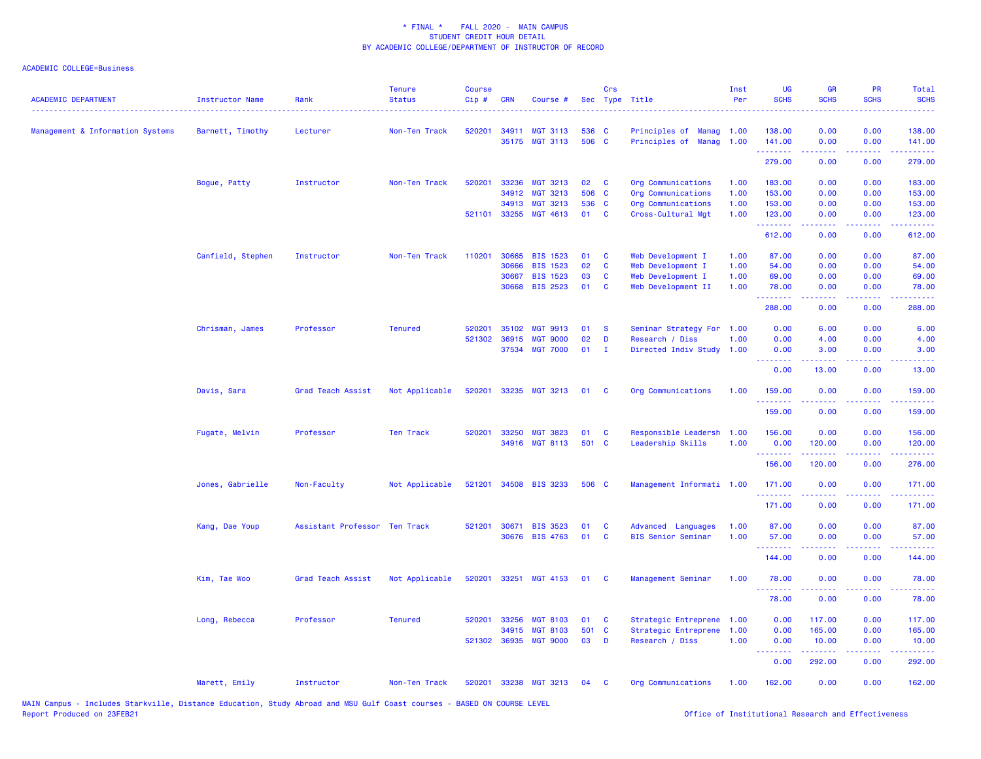| 0.00<br>520201<br>34911<br><b>MGT 3113</b><br>536 C<br>Principles of Manag 1.00<br>138.00<br>0.00<br>138.00<br>Management & Information Systems<br>Barnett, Timothy<br>Lecturer<br>Non-Ten Track<br>506 C<br><b>MGT 3113</b><br>0.00<br>35175<br>Principles of Manag 1.00<br>141.00<br>0.00<br>141.00<br>.<br>22222<br><b><i><u><u> - - - - -</u></u></i></b><br>279.00<br>0.00<br>0.00<br>279.00<br>Bogue, Patty<br>Instructor<br>Non-Ten Track<br>520201<br>33236<br><b>MGT 3213</b><br>02<br>C<br>Org Communications<br>1.00<br>183.00<br>0.00<br>0.00<br>183.00<br>34912<br><b>MGT 3213</b><br>506 C<br>Org Communications<br>1.00<br>153.00<br>0.00<br>0.00<br>153.00<br>34913<br><b>MGT 3213</b><br>536 C<br>Org Communications<br>1.00<br>153.00<br>0.00<br>0.00<br>153.00<br>521101 33255<br>01<br>MGT 4613<br><b>C</b><br>Cross-Cultural Mgt<br>1.00<br>123.00<br>0.00<br>0.00<br>123.00<br>.<br>612.00<br>0.00<br>0.00<br>612.00<br>110201<br>30665<br><b>BIS 1523</b><br>01<br>$\mathbf{C}$<br>87.00<br>0.00<br>0.00<br>87.00<br>Canfield, Stephen<br>Instructor<br>Non-Ten Track<br>Web Development I<br>1.00<br>02<br>$\mathbf{c}$<br>30666<br><b>BIS 1523</b><br>Web Development I<br>1.00<br>0.00<br>54.00<br>54.00<br>0.00<br>03<br>C<br>0.00<br>0.00<br>69.00<br>30667<br><b>BIS 1523</b><br>Web Development I<br>1.00<br>69.00<br>30668<br><b>BIS 2523</b><br>01<br>Web Development II<br>1.00<br>0.00<br>78.00<br><b>C</b><br>78.00<br>0.00<br>.<br>288.00<br>0.00<br>0.00<br>Chrisman, James<br>Professor<br><b>Tenured</b><br>520201<br>35102<br><b>MGT 9913</b><br>01<br><b>S</b><br>Seminar Strategy For 1.00<br>0.00<br>6.00<br>0.00<br>D<br>521302<br>36915<br><b>MGT 9000</b><br>02<br>Research / Diss<br>1.00<br>0.00<br>4.00<br>0.00<br>37534 MGT 7000<br>01<br>$\mathbf I$<br>Directed Indiv Study 1.00<br>0.00<br>3.00<br>0.00<br>.<br>.<br>$\frac{1}{2} \left( \frac{1}{2} \right) \left( \frac{1}{2} \right) \left( \frac{1}{2} \right) \left( \frac{1}{2} \right) \left( \frac{1}{2} \right)$<br>$\frac{1}{2} \left( \frac{1}{2} \right) \left( \frac{1}{2} \right) \left( \frac{1}{2} \right) \left( \frac{1}{2} \right)$<br>0.00<br>13.00<br>0.00<br>Not Applicable<br>33235 MGT 3213<br>Org Communications<br>Davis, Sara<br>Grad Teach Assist<br>520201<br>01<br><b>C</b><br>1.00<br>159.00<br>0.00<br>0.00<br><u> 222222</u><br>.<br>-----<br>$\frac{1}{2} \left( \frac{1}{2} \right) \left( \frac{1}{2} \right) \left( \frac{1}{2} \right) \left( \frac{1}{2} \right) \left( \frac{1}{2} \right)$<br>159.00<br>0.00<br>0.00<br>520201<br>33250<br>Responsible Leadersh<br>0.00<br>0.00<br>Fugate, Melvin<br>Professor<br>Ten Track<br><b>MGT 3823</b><br>01<br><b>C</b><br>1.00<br>156.00<br><b>MGT 8113</b><br>501 C<br>Leadership Skills<br>34916<br>1.00<br>0.00<br>120.00<br>0.00<br>.<br>156.00<br>120.00<br>0.00<br>Jones, Gabrielle<br>Non-Faculty<br>Not Applicable<br>521201 34508 BIS 3233<br>506 C<br>Management Informati 1.00<br>171.00<br>0.00<br>0.00<br><u>.</u><br>171.00<br>0.00<br>0.00<br>0.00<br>Assistant Professor Ten Track<br>521201<br>30671<br><b>BIS 3523</b><br>01<br><b>C</b><br>Advanced Languages<br>1.00<br>87.00<br>0.00<br>Kang, Dae Youp<br>30676 BIS 4763<br>01<br>$\mathbf{C}$<br>1.00<br>0.00<br><b>BIS Senior Seminar</b><br>57.00<br>0.00<br>.<br>144.00<br>0.00<br>0.00<br>Kim, Tae Woo<br>Grad Teach Assist<br>Not Applicable<br>520201<br>33251 MGT 4153<br>Management Seminar<br>1.00<br>78.00<br>0.00<br>0.00<br>01 C<br>78.00<br>0.00<br>0.00<br>Long, Rebecca<br>Professor<br><b>Tenured</b><br>520201 33256<br><b>MGT 8103</b><br>01<br>$\mathbf{C}$<br>Strategic Entreprene 1.00<br>0.00<br>117.00<br>0.00<br>501 C<br>Strategic Entreprene 1.00<br>0.00<br>165.00<br>0.00<br>34915<br><b>MGT 8103</b><br>36935<br><b>MGT 9000</b><br>03<br>D<br>Research / Diss<br>1.00<br>0.00<br>521302<br>0.00<br>10.00<br>.<br>$\frac{1}{2} \left( \frac{1}{2} \right) \left( \frac{1}{2} \right) \left( \frac{1}{2} \right) \left( \frac{1}{2} \right) \left( \frac{1}{2} \right)$<br>0.00<br>292.00<br>0.00<br>33238<br>0.00<br>Marett, Emily<br>Instructor<br>Non-Ten Track<br>520201<br><b>MGT 3213</b><br>04<br><b>C</b><br>Org Communications<br>1.00<br>162.00<br>0.00 | <b>ACADEMIC DEPARTMENT</b> | <b>Instructor Name</b> | Rank | <b>Tenure</b><br><b>Status</b> | <b>Course</b><br>Cip# | <b>CRN</b> | Course # | Crs | Sec Type Title | Inst<br>Per | <b>UG</b><br><b>SCHS</b> | <b>GR</b><br><b>SCHS</b> | PR<br><b>SCHS</b> | Total<br><b>SCHS</b> |
|-------------------------------------------------------------------------------------------------------------------------------------------------------------------------------------------------------------------------------------------------------------------------------------------------------------------------------------------------------------------------------------------------------------------------------------------------------------------------------------------------------------------------------------------------------------------------------------------------------------------------------------------------------------------------------------------------------------------------------------------------------------------------------------------------------------------------------------------------------------------------------------------------------------------------------------------------------------------------------------------------------------------------------------------------------------------------------------------------------------------------------------------------------------------------------------------------------------------------------------------------------------------------------------------------------------------------------------------------------------------------------------------------------------------------------------------------------------------------------------------------------------------------------------------------------------------------------------------------------------------------------------------------------------------------------------------------------------------------------------------------------------------------------------------------------------------------------------------------------------------------------------------------------------------------------------------------------------------------------------------------------------------------------------------------------------------------------------------------------------------------------------------------------------------------------------------------------------------------------------------------------------------------------------------------------------------------------------------------------------------------------------------------------------------------------------------------------------------------------------------------------------------------------------------------------------------------------------------------------------------------------------------------------------------------------------------------------------------------------------------------------------------------------------------------------------------------------------------------------------------------------------------------------------------------------------------------------------------------------------------------------------------------------------------------------------------------------------------------------------------------------------------------------------------------------------------------------------------------------------------------------------------------------------------------------------------------------------------------------------------------------------------------------------------------------------------------------------------------------------------------------------------------------------------------------------------------------------------------------------------------------------------------------------------------------------------------------------------------------------------------------------------------------------------------------------------------------------------------------------------------------------------------------------------------------------------------------------------------------------------------------------------------------------------------------------------------------------------------------------------------------------------------------------------------------------------------------------------------------------------------------------|----------------------------|------------------------|------|--------------------------------|-----------------------|------------|----------|-----|----------------|-------------|--------------------------|--------------------------|-------------------|----------------------|
|                                                                                                                                                                                                                                                                                                                                                                                                                                                                                                                                                                                                                                                                                                                                                                                                                                                                                                                                                                                                                                                                                                                                                                                                                                                                                                                                                                                                                                                                                                                                                                                                                                                                                                                                                                                                                                                                                                                                                                                                                                                                                                                                                                                                                                                                                                                                                                                                                                                                                                                                                                                                                                                                                                                                                                                                                                                                                                                                                                                                                                                                                                                                                                                                                                                                                                                                                                                                                                                                                                                                                                                                                                                                                                                                                                                                                                                                                                                                                                                                                                                                                                                                                                                                                                                             |                            |                        |      |                                |                       |            |          |     |                |             |                          |                          |                   |                      |
|                                                                                                                                                                                                                                                                                                                                                                                                                                                                                                                                                                                                                                                                                                                                                                                                                                                                                                                                                                                                                                                                                                                                                                                                                                                                                                                                                                                                                                                                                                                                                                                                                                                                                                                                                                                                                                                                                                                                                                                                                                                                                                                                                                                                                                                                                                                                                                                                                                                                                                                                                                                                                                                                                                                                                                                                                                                                                                                                                                                                                                                                                                                                                                                                                                                                                                                                                                                                                                                                                                                                                                                                                                                                                                                                                                                                                                                                                                                                                                                                                                                                                                                                                                                                                                                             |                            |                        |      |                                |                       |            |          |     |                |             |                          |                          |                   |                      |
|                                                                                                                                                                                                                                                                                                                                                                                                                                                                                                                                                                                                                                                                                                                                                                                                                                                                                                                                                                                                                                                                                                                                                                                                                                                                                                                                                                                                                                                                                                                                                                                                                                                                                                                                                                                                                                                                                                                                                                                                                                                                                                                                                                                                                                                                                                                                                                                                                                                                                                                                                                                                                                                                                                                                                                                                                                                                                                                                                                                                                                                                                                                                                                                                                                                                                                                                                                                                                                                                                                                                                                                                                                                                                                                                                                                                                                                                                                                                                                                                                                                                                                                                                                                                                                                             |                            |                        |      |                                |                       |            |          |     |                |             |                          |                          |                   |                      |
|                                                                                                                                                                                                                                                                                                                                                                                                                                                                                                                                                                                                                                                                                                                                                                                                                                                                                                                                                                                                                                                                                                                                                                                                                                                                                                                                                                                                                                                                                                                                                                                                                                                                                                                                                                                                                                                                                                                                                                                                                                                                                                                                                                                                                                                                                                                                                                                                                                                                                                                                                                                                                                                                                                                                                                                                                                                                                                                                                                                                                                                                                                                                                                                                                                                                                                                                                                                                                                                                                                                                                                                                                                                                                                                                                                                                                                                                                                                                                                                                                                                                                                                                                                                                                                                             |                            |                        |      |                                |                       |            |          |     |                |             |                          |                          |                   |                      |
|                                                                                                                                                                                                                                                                                                                                                                                                                                                                                                                                                                                                                                                                                                                                                                                                                                                                                                                                                                                                                                                                                                                                                                                                                                                                                                                                                                                                                                                                                                                                                                                                                                                                                                                                                                                                                                                                                                                                                                                                                                                                                                                                                                                                                                                                                                                                                                                                                                                                                                                                                                                                                                                                                                                                                                                                                                                                                                                                                                                                                                                                                                                                                                                                                                                                                                                                                                                                                                                                                                                                                                                                                                                                                                                                                                                                                                                                                                                                                                                                                                                                                                                                                                                                                                                             |                            |                        |      |                                |                       |            |          |     |                |             |                          |                          |                   |                      |
|                                                                                                                                                                                                                                                                                                                                                                                                                                                                                                                                                                                                                                                                                                                                                                                                                                                                                                                                                                                                                                                                                                                                                                                                                                                                                                                                                                                                                                                                                                                                                                                                                                                                                                                                                                                                                                                                                                                                                                                                                                                                                                                                                                                                                                                                                                                                                                                                                                                                                                                                                                                                                                                                                                                                                                                                                                                                                                                                                                                                                                                                                                                                                                                                                                                                                                                                                                                                                                                                                                                                                                                                                                                                                                                                                                                                                                                                                                                                                                                                                                                                                                                                                                                                                                                             |                            |                        |      |                                |                       |            |          |     |                |             |                          |                          |                   |                      |
|                                                                                                                                                                                                                                                                                                                                                                                                                                                                                                                                                                                                                                                                                                                                                                                                                                                                                                                                                                                                                                                                                                                                                                                                                                                                                                                                                                                                                                                                                                                                                                                                                                                                                                                                                                                                                                                                                                                                                                                                                                                                                                                                                                                                                                                                                                                                                                                                                                                                                                                                                                                                                                                                                                                                                                                                                                                                                                                                                                                                                                                                                                                                                                                                                                                                                                                                                                                                                                                                                                                                                                                                                                                                                                                                                                                                                                                                                                                                                                                                                                                                                                                                                                                                                                                             |                            |                        |      |                                |                       |            |          |     |                |             |                          |                          |                   |                      |
|                                                                                                                                                                                                                                                                                                                                                                                                                                                                                                                                                                                                                                                                                                                                                                                                                                                                                                                                                                                                                                                                                                                                                                                                                                                                                                                                                                                                                                                                                                                                                                                                                                                                                                                                                                                                                                                                                                                                                                                                                                                                                                                                                                                                                                                                                                                                                                                                                                                                                                                                                                                                                                                                                                                                                                                                                                                                                                                                                                                                                                                                                                                                                                                                                                                                                                                                                                                                                                                                                                                                                                                                                                                                                                                                                                                                                                                                                                                                                                                                                                                                                                                                                                                                                                                             |                            |                        |      |                                |                       |            |          |     |                |             |                          |                          |                   |                      |
|                                                                                                                                                                                                                                                                                                                                                                                                                                                                                                                                                                                                                                                                                                                                                                                                                                                                                                                                                                                                                                                                                                                                                                                                                                                                                                                                                                                                                                                                                                                                                                                                                                                                                                                                                                                                                                                                                                                                                                                                                                                                                                                                                                                                                                                                                                                                                                                                                                                                                                                                                                                                                                                                                                                                                                                                                                                                                                                                                                                                                                                                                                                                                                                                                                                                                                                                                                                                                                                                                                                                                                                                                                                                                                                                                                                                                                                                                                                                                                                                                                                                                                                                                                                                                                                             |                            |                        |      |                                |                       |            |          |     |                |             |                          |                          |                   |                      |
|                                                                                                                                                                                                                                                                                                                                                                                                                                                                                                                                                                                                                                                                                                                                                                                                                                                                                                                                                                                                                                                                                                                                                                                                                                                                                                                                                                                                                                                                                                                                                                                                                                                                                                                                                                                                                                                                                                                                                                                                                                                                                                                                                                                                                                                                                                                                                                                                                                                                                                                                                                                                                                                                                                                                                                                                                                                                                                                                                                                                                                                                                                                                                                                                                                                                                                                                                                                                                                                                                                                                                                                                                                                                                                                                                                                                                                                                                                                                                                                                                                                                                                                                                                                                                                                             |                            |                        |      |                                |                       |            |          |     |                |             |                          |                          |                   |                      |
|                                                                                                                                                                                                                                                                                                                                                                                                                                                                                                                                                                                                                                                                                                                                                                                                                                                                                                                                                                                                                                                                                                                                                                                                                                                                                                                                                                                                                                                                                                                                                                                                                                                                                                                                                                                                                                                                                                                                                                                                                                                                                                                                                                                                                                                                                                                                                                                                                                                                                                                                                                                                                                                                                                                                                                                                                                                                                                                                                                                                                                                                                                                                                                                                                                                                                                                                                                                                                                                                                                                                                                                                                                                                                                                                                                                                                                                                                                                                                                                                                                                                                                                                                                                                                                                             |                            |                        |      |                                |                       |            |          |     |                |             |                          |                          |                   |                      |
|                                                                                                                                                                                                                                                                                                                                                                                                                                                                                                                                                                                                                                                                                                                                                                                                                                                                                                                                                                                                                                                                                                                                                                                                                                                                                                                                                                                                                                                                                                                                                                                                                                                                                                                                                                                                                                                                                                                                                                                                                                                                                                                                                                                                                                                                                                                                                                                                                                                                                                                                                                                                                                                                                                                                                                                                                                                                                                                                                                                                                                                                                                                                                                                                                                                                                                                                                                                                                                                                                                                                                                                                                                                                                                                                                                                                                                                                                                                                                                                                                                                                                                                                                                                                                                                             |                            |                        |      |                                |                       |            |          |     |                |             |                          |                          |                   |                      |
| 6.00<br>4.00<br>3.00<br>13.00<br>159.00<br>159.00<br>156.00<br>120.00<br>276.00<br>171.00<br>171.00<br>87.00<br>57.00<br>144.00<br>78.00<br>78.00<br>117.00<br>165.00<br>10.00<br>292.00<br>162.00                                                                                                                                                                                                                                                                                                                                                                                                                                                                                                                                                                                                                                                                                                                                                                                                                                                                                                                                                                                                                                                                                                                                                                                                                                                                                                                                                                                                                                                                                                                                                                                                                                                                                                                                                                                                                                                                                                                                                                                                                                                                                                                                                                                                                                                                                                                                                                                                                                                                                                                                                                                                                                                                                                                                                                                                                                                                                                                                                                                                                                                                                                                                                                                                                                                                                                                                                                                                                                                                                                                                                                                                                                                                                                                                                                                                                                                                                                                                                                                                                                                          |                            |                        |      |                                |                       |            |          |     |                |             |                          |                          |                   | 288.00               |
|                                                                                                                                                                                                                                                                                                                                                                                                                                                                                                                                                                                                                                                                                                                                                                                                                                                                                                                                                                                                                                                                                                                                                                                                                                                                                                                                                                                                                                                                                                                                                                                                                                                                                                                                                                                                                                                                                                                                                                                                                                                                                                                                                                                                                                                                                                                                                                                                                                                                                                                                                                                                                                                                                                                                                                                                                                                                                                                                                                                                                                                                                                                                                                                                                                                                                                                                                                                                                                                                                                                                                                                                                                                                                                                                                                                                                                                                                                                                                                                                                                                                                                                                                                                                                                                             |                            |                        |      |                                |                       |            |          |     |                |             |                          |                          |                   |                      |
|                                                                                                                                                                                                                                                                                                                                                                                                                                                                                                                                                                                                                                                                                                                                                                                                                                                                                                                                                                                                                                                                                                                                                                                                                                                                                                                                                                                                                                                                                                                                                                                                                                                                                                                                                                                                                                                                                                                                                                                                                                                                                                                                                                                                                                                                                                                                                                                                                                                                                                                                                                                                                                                                                                                                                                                                                                                                                                                                                                                                                                                                                                                                                                                                                                                                                                                                                                                                                                                                                                                                                                                                                                                                                                                                                                                                                                                                                                                                                                                                                                                                                                                                                                                                                                                             |                            |                        |      |                                |                       |            |          |     |                |             |                          |                          |                   |                      |
|                                                                                                                                                                                                                                                                                                                                                                                                                                                                                                                                                                                                                                                                                                                                                                                                                                                                                                                                                                                                                                                                                                                                                                                                                                                                                                                                                                                                                                                                                                                                                                                                                                                                                                                                                                                                                                                                                                                                                                                                                                                                                                                                                                                                                                                                                                                                                                                                                                                                                                                                                                                                                                                                                                                                                                                                                                                                                                                                                                                                                                                                                                                                                                                                                                                                                                                                                                                                                                                                                                                                                                                                                                                                                                                                                                                                                                                                                                                                                                                                                                                                                                                                                                                                                                                             |                            |                        |      |                                |                       |            |          |     |                |             |                          |                          |                   |                      |
|                                                                                                                                                                                                                                                                                                                                                                                                                                                                                                                                                                                                                                                                                                                                                                                                                                                                                                                                                                                                                                                                                                                                                                                                                                                                                                                                                                                                                                                                                                                                                                                                                                                                                                                                                                                                                                                                                                                                                                                                                                                                                                                                                                                                                                                                                                                                                                                                                                                                                                                                                                                                                                                                                                                                                                                                                                                                                                                                                                                                                                                                                                                                                                                                                                                                                                                                                                                                                                                                                                                                                                                                                                                                                                                                                                                                                                                                                                                                                                                                                                                                                                                                                                                                                                                             |                            |                        |      |                                |                       |            |          |     |                |             |                          |                          |                   |                      |
|                                                                                                                                                                                                                                                                                                                                                                                                                                                                                                                                                                                                                                                                                                                                                                                                                                                                                                                                                                                                                                                                                                                                                                                                                                                                                                                                                                                                                                                                                                                                                                                                                                                                                                                                                                                                                                                                                                                                                                                                                                                                                                                                                                                                                                                                                                                                                                                                                                                                                                                                                                                                                                                                                                                                                                                                                                                                                                                                                                                                                                                                                                                                                                                                                                                                                                                                                                                                                                                                                                                                                                                                                                                                                                                                                                                                                                                                                                                                                                                                                                                                                                                                                                                                                                                             |                            |                        |      |                                |                       |            |          |     |                |             |                          |                          |                   |                      |
|                                                                                                                                                                                                                                                                                                                                                                                                                                                                                                                                                                                                                                                                                                                                                                                                                                                                                                                                                                                                                                                                                                                                                                                                                                                                                                                                                                                                                                                                                                                                                                                                                                                                                                                                                                                                                                                                                                                                                                                                                                                                                                                                                                                                                                                                                                                                                                                                                                                                                                                                                                                                                                                                                                                                                                                                                                                                                                                                                                                                                                                                                                                                                                                                                                                                                                                                                                                                                                                                                                                                                                                                                                                                                                                                                                                                                                                                                                                                                                                                                                                                                                                                                                                                                                                             |                            |                        |      |                                |                       |            |          |     |                |             |                          |                          |                   |                      |
|                                                                                                                                                                                                                                                                                                                                                                                                                                                                                                                                                                                                                                                                                                                                                                                                                                                                                                                                                                                                                                                                                                                                                                                                                                                                                                                                                                                                                                                                                                                                                                                                                                                                                                                                                                                                                                                                                                                                                                                                                                                                                                                                                                                                                                                                                                                                                                                                                                                                                                                                                                                                                                                                                                                                                                                                                                                                                                                                                                                                                                                                                                                                                                                                                                                                                                                                                                                                                                                                                                                                                                                                                                                                                                                                                                                                                                                                                                                                                                                                                                                                                                                                                                                                                                                             |                            |                        |      |                                |                       |            |          |     |                |             |                          |                          |                   |                      |
|                                                                                                                                                                                                                                                                                                                                                                                                                                                                                                                                                                                                                                                                                                                                                                                                                                                                                                                                                                                                                                                                                                                                                                                                                                                                                                                                                                                                                                                                                                                                                                                                                                                                                                                                                                                                                                                                                                                                                                                                                                                                                                                                                                                                                                                                                                                                                                                                                                                                                                                                                                                                                                                                                                                                                                                                                                                                                                                                                                                                                                                                                                                                                                                                                                                                                                                                                                                                                                                                                                                                                                                                                                                                                                                                                                                                                                                                                                                                                                                                                                                                                                                                                                                                                                                             |                            |                        |      |                                |                       |            |          |     |                |             |                          |                          |                   |                      |
|                                                                                                                                                                                                                                                                                                                                                                                                                                                                                                                                                                                                                                                                                                                                                                                                                                                                                                                                                                                                                                                                                                                                                                                                                                                                                                                                                                                                                                                                                                                                                                                                                                                                                                                                                                                                                                                                                                                                                                                                                                                                                                                                                                                                                                                                                                                                                                                                                                                                                                                                                                                                                                                                                                                                                                                                                                                                                                                                                                                                                                                                                                                                                                                                                                                                                                                                                                                                                                                                                                                                                                                                                                                                                                                                                                                                                                                                                                                                                                                                                                                                                                                                                                                                                                                             |                            |                        |      |                                |                       |            |          |     |                |             |                          |                          |                   |                      |
|                                                                                                                                                                                                                                                                                                                                                                                                                                                                                                                                                                                                                                                                                                                                                                                                                                                                                                                                                                                                                                                                                                                                                                                                                                                                                                                                                                                                                                                                                                                                                                                                                                                                                                                                                                                                                                                                                                                                                                                                                                                                                                                                                                                                                                                                                                                                                                                                                                                                                                                                                                                                                                                                                                                                                                                                                                                                                                                                                                                                                                                                                                                                                                                                                                                                                                                                                                                                                                                                                                                                                                                                                                                                                                                                                                                                                                                                                                                                                                                                                                                                                                                                                                                                                                                             |                            |                        |      |                                |                       |            |          |     |                |             |                          |                          |                   |                      |
|                                                                                                                                                                                                                                                                                                                                                                                                                                                                                                                                                                                                                                                                                                                                                                                                                                                                                                                                                                                                                                                                                                                                                                                                                                                                                                                                                                                                                                                                                                                                                                                                                                                                                                                                                                                                                                                                                                                                                                                                                                                                                                                                                                                                                                                                                                                                                                                                                                                                                                                                                                                                                                                                                                                                                                                                                                                                                                                                                                                                                                                                                                                                                                                                                                                                                                                                                                                                                                                                                                                                                                                                                                                                                                                                                                                                                                                                                                                                                                                                                                                                                                                                                                                                                                                             |                            |                        |      |                                |                       |            |          |     |                |             |                          |                          |                   |                      |
|                                                                                                                                                                                                                                                                                                                                                                                                                                                                                                                                                                                                                                                                                                                                                                                                                                                                                                                                                                                                                                                                                                                                                                                                                                                                                                                                                                                                                                                                                                                                                                                                                                                                                                                                                                                                                                                                                                                                                                                                                                                                                                                                                                                                                                                                                                                                                                                                                                                                                                                                                                                                                                                                                                                                                                                                                                                                                                                                                                                                                                                                                                                                                                                                                                                                                                                                                                                                                                                                                                                                                                                                                                                                                                                                                                                                                                                                                                                                                                                                                                                                                                                                                                                                                                                             |                            |                        |      |                                |                       |            |          |     |                |             |                          |                          |                   |                      |
|                                                                                                                                                                                                                                                                                                                                                                                                                                                                                                                                                                                                                                                                                                                                                                                                                                                                                                                                                                                                                                                                                                                                                                                                                                                                                                                                                                                                                                                                                                                                                                                                                                                                                                                                                                                                                                                                                                                                                                                                                                                                                                                                                                                                                                                                                                                                                                                                                                                                                                                                                                                                                                                                                                                                                                                                                                                                                                                                                                                                                                                                                                                                                                                                                                                                                                                                                                                                                                                                                                                                                                                                                                                                                                                                                                                                                                                                                                                                                                                                                                                                                                                                                                                                                                                             |                            |                        |      |                                |                       |            |          |     |                |             |                          |                          |                   |                      |
|                                                                                                                                                                                                                                                                                                                                                                                                                                                                                                                                                                                                                                                                                                                                                                                                                                                                                                                                                                                                                                                                                                                                                                                                                                                                                                                                                                                                                                                                                                                                                                                                                                                                                                                                                                                                                                                                                                                                                                                                                                                                                                                                                                                                                                                                                                                                                                                                                                                                                                                                                                                                                                                                                                                                                                                                                                                                                                                                                                                                                                                                                                                                                                                                                                                                                                                                                                                                                                                                                                                                                                                                                                                                                                                                                                                                                                                                                                                                                                                                                                                                                                                                                                                                                                                             |                            |                        |      |                                |                       |            |          |     |                |             |                          |                          |                   |                      |
|                                                                                                                                                                                                                                                                                                                                                                                                                                                                                                                                                                                                                                                                                                                                                                                                                                                                                                                                                                                                                                                                                                                                                                                                                                                                                                                                                                                                                                                                                                                                                                                                                                                                                                                                                                                                                                                                                                                                                                                                                                                                                                                                                                                                                                                                                                                                                                                                                                                                                                                                                                                                                                                                                                                                                                                                                                                                                                                                                                                                                                                                                                                                                                                                                                                                                                                                                                                                                                                                                                                                                                                                                                                                                                                                                                                                                                                                                                                                                                                                                                                                                                                                                                                                                                                             |                            |                        |      |                                |                       |            |          |     |                |             |                          |                          |                   |                      |
|                                                                                                                                                                                                                                                                                                                                                                                                                                                                                                                                                                                                                                                                                                                                                                                                                                                                                                                                                                                                                                                                                                                                                                                                                                                                                                                                                                                                                                                                                                                                                                                                                                                                                                                                                                                                                                                                                                                                                                                                                                                                                                                                                                                                                                                                                                                                                                                                                                                                                                                                                                                                                                                                                                                                                                                                                                                                                                                                                                                                                                                                                                                                                                                                                                                                                                                                                                                                                                                                                                                                                                                                                                                                                                                                                                                                                                                                                                                                                                                                                                                                                                                                                                                                                                                             |                            |                        |      |                                |                       |            |          |     |                |             |                          |                          |                   |                      |
|                                                                                                                                                                                                                                                                                                                                                                                                                                                                                                                                                                                                                                                                                                                                                                                                                                                                                                                                                                                                                                                                                                                                                                                                                                                                                                                                                                                                                                                                                                                                                                                                                                                                                                                                                                                                                                                                                                                                                                                                                                                                                                                                                                                                                                                                                                                                                                                                                                                                                                                                                                                                                                                                                                                                                                                                                                                                                                                                                                                                                                                                                                                                                                                                                                                                                                                                                                                                                                                                                                                                                                                                                                                                                                                                                                                                                                                                                                                                                                                                                                                                                                                                                                                                                                                             |                            |                        |      |                                |                       |            |          |     |                |             |                          |                          |                   |                      |
|                                                                                                                                                                                                                                                                                                                                                                                                                                                                                                                                                                                                                                                                                                                                                                                                                                                                                                                                                                                                                                                                                                                                                                                                                                                                                                                                                                                                                                                                                                                                                                                                                                                                                                                                                                                                                                                                                                                                                                                                                                                                                                                                                                                                                                                                                                                                                                                                                                                                                                                                                                                                                                                                                                                                                                                                                                                                                                                                                                                                                                                                                                                                                                                                                                                                                                                                                                                                                                                                                                                                                                                                                                                                                                                                                                                                                                                                                                                                                                                                                                                                                                                                                                                                                                                             |                            |                        |      |                                |                       |            |          |     |                |             |                          |                          |                   |                      |
|                                                                                                                                                                                                                                                                                                                                                                                                                                                                                                                                                                                                                                                                                                                                                                                                                                                                                                                                                                                                                                                                                                                                                                                                                                                                                                                                                                                                                                                                                                                                                                                                                                                                                                                                                                                                                                                                                                                                                                                                                                                                                                                                                                                                                                                                                                                                                                                                                                                                                                                                                                                                                                                                                                                                                                                                                                                                                                                                                                                                                                                                                                                                                                                                                                                                                                                                                                                                                                                                                                                                                                                                                                                                                                                                                                                                                                                                                                                                                                                                                                                                                                                                                                                                                                                             |                            |                        |      |                                |                       |            |          |     |                |             |                          |                          |                   |                      |
|                                                                                                                                                                                                                                                                                                                                                                                                                                                                                                                                                                                                                                                                                                                                                                                                                                                                                                                                                                                                                                                                                                                                                                                                                                                                                                                                                                                                                                                                                                                                                                                                                                                                                                                                                                                                                                                                                                                                                                                                                                                                                                                                                                                                                                                                                                                                                                                                                                                                                                                                                                                                                                                                                                                                                                                                                                                                                                                                                                                                                                                                                                                                                                                                                                                                                                                                                                                                                                                                                                                                                                                                                                                                                                                                                                                                                                                                                                                                                                                                                                                                                                                                                                                                                                                             |                            |                        |      |                                |                       |            |          |     |                |             |                          |                          |                   |                      |
|                                                                                                                                                                                                                                                                                                                                                                                                                                                                                                                                                                                                                                                                                                                                                                                                                                                                                                                                                                                                                                                                                                                                                                                                                                                                                                                                                                                                                                                                                                                                                                                                                                                                                                                                                                                                                                                                                                                                                                                                                                                                                                                                                                                                                                                                                                                                                                                                                                                                                                                                                                                                                                                                                                                                                                                                                                                                                                                                                                                                                                                                                                                                                                                                                                                                                                                                                                                                                                                                                                                                                                                                                                                                                                                                                                                                                                                                                                                                                                                                                                                                                                                                                                                                                                                             |                            |                        |      |                                |                       |            |          |     |                |             |                          |                          |                   |                      |
|                                                                                                                                                                                                                                                                                                                                                                                                                                                                                                                                                                                                                                                                                                                                                                                                                                                                                                                                                                                                                                                                                                                                                                                                                                                                                                                                                                                                                                                                                                                                                                                                                                                                                                                                                                                                                                                                                                                                                                                                                                                                                                                                                                                                                                                                                                                                                                                                                                                                                                                                                                                                                                                                                                                                                                                                                                                                                                                                                                                                                                                                                                                                                                                                                                                                                                                                                                                                                                                                                                                                                                                                                                                                                                                                                                                                                                                                                                                                                                                                                                                                                                                                                                                                                                                             |                            |                        |      |                                |                       |            |          |     |                |             |                          |                          |                   |                      |
|                                                                                                                                                                                                                                                                                                                                                                                                                                                                                                                                                                                                                                                                                                                                                                                                                                                                                                                                                                                                                                                                                                                                                                                                                                                                                                                                                                                                                                                                                                                                                                                                                                                                                                                                                                                                                                                                                                                                                                                                                                                                                                                                                                                                                                                                                                                                                                                                                                                                                                                                                                                                                                                                                                                                                                                                                                                                                                                                                                                                                                                                                                                                                                                                                                                                                                                                                                                                                                                                                                                                                                                                                                                                                                                                                                                                                                                                                                                                                                                                                                                                                                                                                                                                                                                             |                            |                        |      |                                |                       |            |          |     |                |             |                          |                          |                   |                      |
|                                                                                                                                                                                                                                                                                                                                                                                                                                                                                                                                                                                                                                                                                                                                                                                                                                                                                                                                                                                                                                                                                                                                                                                                                                                                                                                                                                                                                                                                                                                                                                                                                                                                                                                                                                                                                                                                                                                                                                                                                                                                                                                                                                                                                                                                                                                                                                                                                                                                                                                                                                                                                                                                                                                                                                                                                                                                                                                                                                                                                                                                                                                                                                                                                                                                                                                                                                                                                                                                                                                                                                                                                                                                                                                                                                                                                                                                                                                                                                                                                                                                                                                                                                                                                                                             |                            |                        |      |                                |                       |            |          |     |                |             |                          |                          |                   |                      |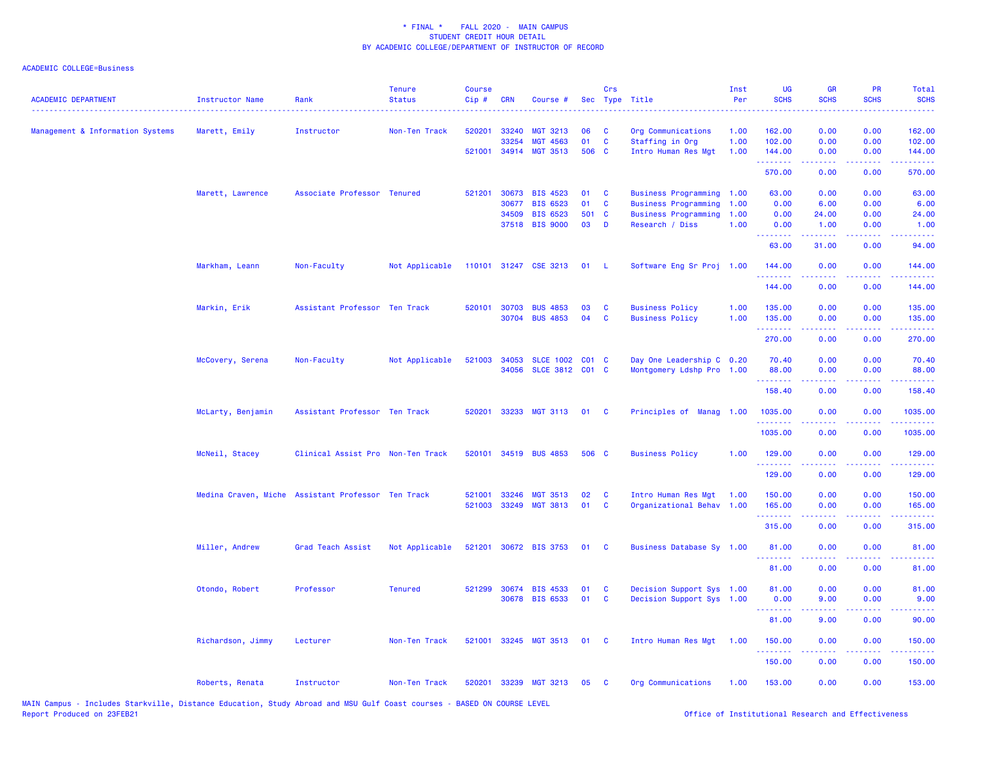| <b>ACADEMIC DEPARTMENT</b>       | <b>Instructor Name</b> | Rank                                               | <b>Tenure</b><br><b>Status</b> | <b>Course</b><br>Cip# | <b>CRN</b>     | Course #                           |             | Crs                      | Sec Type Title                          | Inst<br>Per  | <b>UG</b><br><b>SCHS</b> | <b>GR</b><br><b>SCHS</b>                                                                                                                                     | PR<br><b>SCHS</b>                                                                                                                 | Total<br><b>SCHS</b>                 |
|----------------------------------|------------------------|----------------------------------------------------|--------------------------------|-----------------------|----------------|------------------------------------|-------------|--------------------------|-----------------------------------------|--------------|--------------------------|--------------------------------------------------------------------------------------------------------------------------------------------------------------|-----------------------------------------------------------------------------------------------------------------------------------|--------------------------------------|
| Management & Information Systems | Marett, Emily          | Instructor                                         | Non-Ten Track                  | 520201                | 33240<br>33254 | <b>MGT 3213</b><br><b>MGT 4563</b> | 06<br>01    | <b>C</b><br>$\mathbf{C}$ | Org Communications<br>Staffing in Org   | 1.00<br>1.00 | 162.00<br>102.00         | 0.00<br>0.00                                                                                                                                                 | 0.00<br>0.00                                                                                                                      | 162.00<br>102.00                     |
|                                  |                        |                                                    |                                |                       |                | 521001 34914 MGT 3513              | 506 C       |                          | Intro Human Res Mgt                     | 1.00         | 144.00<br>. <u>.</u>     | 0.00<br>$- - - - -$                                                                                                                                          | 0.00<br>.                                                                                                                         | 144.00<br>.                          |
|                                  |                        |                                                    |                                |                       |                |                                    |             |                          |                                         |              | 570.00                   | 0.00                                                                                                                                                         | 0.00                                                                                                                              | 570.00                               |
|                                  | Marett, Lawrence       | Associate Professor Tenured                        |                                | 521201                | 30673          | <b>BIS 4523</b>                    | 01          | $\mathbf{C}$             | Business Programming 1.00               |              | 63.00                    | 0.00                                                                                                                                                         | 0.00                                                                                                                              | 63.00                                |
|                                  |                        |                                                    |                                |                       | 30677          | <b>BIS 6523</b>                    | 01          | $\mathbf{C}$             | Business Programming                    | 1.00         | 0.00                     | 6.00                                                                                                                                                         | 0.00                                                                                                                              | 6.00                                 |
|                                  |                        |                                                    |                                |                       | 34509          | <b>BIS 6523</b><br>37518 BIS 9000  | 501 C<br>03 | D                        | Business Programming<br>Research / Diss | 1.00<br>1.00 | 0.00<br>0.00             | 24.00<br>1.00                                                                                                                                                | 0.00<br>0.00                                                                                                                      | 24.00<br>1.00                        |
|                                  |                        |                                                    |                                |                       |                |                                    |             |                          |                                         |              | ولالات<br>63.00          | 31.00                                                                                                                                                        | 0.00                                                                                                                              | 94.00                                |
|                                  | Markham, Leann         | Non-Faculty                                        | Not Applicable                 |                       |                | 110101 31247 CSE 3213 01 L         |             |                          | Software Eng Sr Proj 1.00               |              | 144.00                   | 0.00                                                                                                                                                         | 0.00                                                                                                                              | 144.00                               |
|                                  |                        |                                                    |                                |                       |                |                                    |             |                          |                                         |              | .<br>144.00              | $\frac{1}{2} \left( \frac{1}{2} \right) \left( \frac{1}{2} \right) \left( \frac{1}{2} \right) \left( \frac{1}{2} \right) \left( \frac{1}{2} \right)$<br>0.00 | .<br>0.00                                                                                                                         | .<br>144.00                          |
|                                  | Markin, Erik           | Assistant Professor Ten Track                      |                                |                       | 520101 30703   | <b>BUS 4853</b>                    | 03          | $\mathbf{C}$             | <b>Business Policy</b>                  | 1.00         | 135.00                   | 0.00                                                                                                                                                         | 0.00                                                                                                                              | 135.00                               |
|                                  |                        |                                                    |                                |                       |                | 30704 BUS 4853                     | 04          | <b>C</b>                 | <b>Business Policy</b>                  | 1.00         | 135.00                   | 0.00                                                                                                                                                         | 0.00                                                                                                                              | 135.00                               |
|                                  |                        |                                                    |                                |                       |                |                                    |             |                          |                                         |              | 270.00                   | 0.00                                                                                                                                                         | 0.00                                                                                                                              | 270.00                               |
|                                  | McCovery, Serena       | Non-Faculty                                        | Not Applicable                 |                       | 521003 34053   | SLCE 1002 C01 C                    |             |                          | Day One Leadership C 0.20               |              | 70.40                    | 0.00                                                                                                                                                         | 0.00                                                                                                                              | 70.40                                |
|                                  |                        |                                                    |                                |                       | 34056          | SLCE 3812 C01 C                    |             |                          | Montgomery Ldshp Pro 1.00               |              | 88.00                    | 0.00                                                                                                                                                         | 0.00                                                                                                                              | 88.00                                |
|                                  |                        |                                                    |                                |                       |                |                                    |             |                          |                                         |              | .<br>158.40              | .<br>0.00                                                                                                                                                    | $\sim$ $\sim$ $\sim$<br>0.00                                                                                                      | <b><i><u>AAAAA</u></i></b><br>158.40 |
|                                  |                        |                                                    |                                |                       |                |                                    |             |                          |                                         |              |                          |                                                                                                                                                              |                                                                                                                                   |                                      |
|                                  | McLarty, Benjamin      | Assistant Professor Ten Track                      |                                | 520201                |                | 33233 MGT 3113                     | 01          | $\mathbf{C}$             | Principles of Manag 1.00                |              | 1035.00                  | 0.00                                                                                                                                                         | 0.00                                                                                                                              | 1035.00                              |
|                                  |                        |                                                    |                                |                       |                |                                    |             |                          |                                         |              | 1035.00                  | 0.00                                                                                                                                                         | 0.00                                                                                                                              | 1035.00                              |
|                                  | McNeil, Stacey         | Clinical Assist Pro Non-Ten Track                  |                                |                       |                | 520101 34519 BUS 4853              | 506 C       |                          | <b>Business Policy</b>                  | 1.00         | 129.00                   | 0.00                                                                                                                                                         | 0.00                                                                                                                              | 129.00                               |
|                                  |                        |                                                    |                                |                       |                |                                    |             |                          |                                         |              | . <u>.</u><br>129.00     | 0.00                                                                                                                                                         | $\frac{1}{2} \left( \frac{1}{2} \right) \left( \frac{1}{2} \right) \left( \frac{1}{2} \right) \left( \frac{1}{2} \right)$<br>0.00 | 129.00                               |
|                                  |                        | Medina Craven, Miche Assistant Professor Ten Track |                                | 521001                | 33246          | <b>MGT 3513</b>                    | 02          | $\mathbf c$              | Intro Human Res Mgt                     | 1.00         | 150.00                   | 0.00                                                                                                                                                         | 0.00                                                                                                                              | 150.00                               |
|                                  |                        |                                                    |                                | 521003                | 33249          | <b>MGT 3813</b>                    | 01          | <b>C</b>                 | Organizational Behav 1.00               |              | 165.00                   | 0.00                                                                                                                                                         | 0.00                                                                                                                              | 165.00                               |
|                                  |                        |                                                    |                                |                       |                |                                    |             |                          |                                         |              | <u> 222222</u><br>315.00 | . <u>.</u> .<br>0.00                                                                                                                                         | $\sim$ $\sim$ $\sim$ $\sim$<br>0.00                                                                                               | 315.00                               |
|                                  | Miller, Andrew         | Grad Teach Assist                                  | Not Applicable                 |                       |                | 521201 30672 BIS 3753              | 01          | $\mathbf{C}$             | Business Database Sy 1.00               |              | 81.00                    | 0.00                                                                                                                                                         | 0.00                                                                                                                              | 81.00                                |
|                                  |                        |                                                    |                                |                       |                |                                    |             |                          |                                         |              | . <u>.</u> .<br>81.00    | 0.00                                                                                                                                                         | 0.00                                                                                                                              | 81.00                                |
|                                  | Otondo, Robert         | Professor                                          | <b>Tenured</b>                 |                       |                | 521299 30674 BIS 4533              | 01          | <b>C</b>                 | Decision Support Sys 1.00               |              | 81.00                    | 0.00                                                                                                                                                         | 0.00                                                                                                                              | 81.00                                |
|                                  |                        |                                                    |                                |                       |                | 30678 BIS 6533                     | 01          | $\mathbf{C}$             | Decision Support Sys 1.00               |              | 0.00                     | 9.00                                                                                                                                                         | 0.00                                                                                                                              | 9.00                                 |
|                                  |                        |                                                    |                                |                       |                |                                    |             |                          |                                         |              | .<br>81.00               | $\frac{1}{2} \left( \frac{1}{2} \right) \left( \frac{1}{2} \right) \left( \frac{1}{2} \right) \left( \frac{1}{2} \right)$<br>9.00                            | 0.00                                                                                                                              | 90.00                                |
|                                  | Richardson, Jimmy      | Lecturer                                           | Non-Ten Track                  |                       |                | 521001 33245 MGT 3513              | 01 C        |                          | Intro Human Res Mgt 1.00                |              | 150.00                   | 0.00                                                                                                                                                         | 0.00                                                                                                                              | 150.00                               |
|                                  |                        |                                                    |                                |                       |                |                                    |             |                          |                                         |              | 150.00                   | 0.00                                                                                                                                                         | 0.00                                                                                                                              | 150.00                               |
|                                  | Roberts, Renata        | Instructor                                         | Non-Ten Track                  |                       |                | 520201 33239 MGT 3213              | 05          | - C                      | Org Communications                      | 1.00         | 153.00                   | 0.00                                                                                                                                                         | 0.00                                                                                                                              | 153.00                               |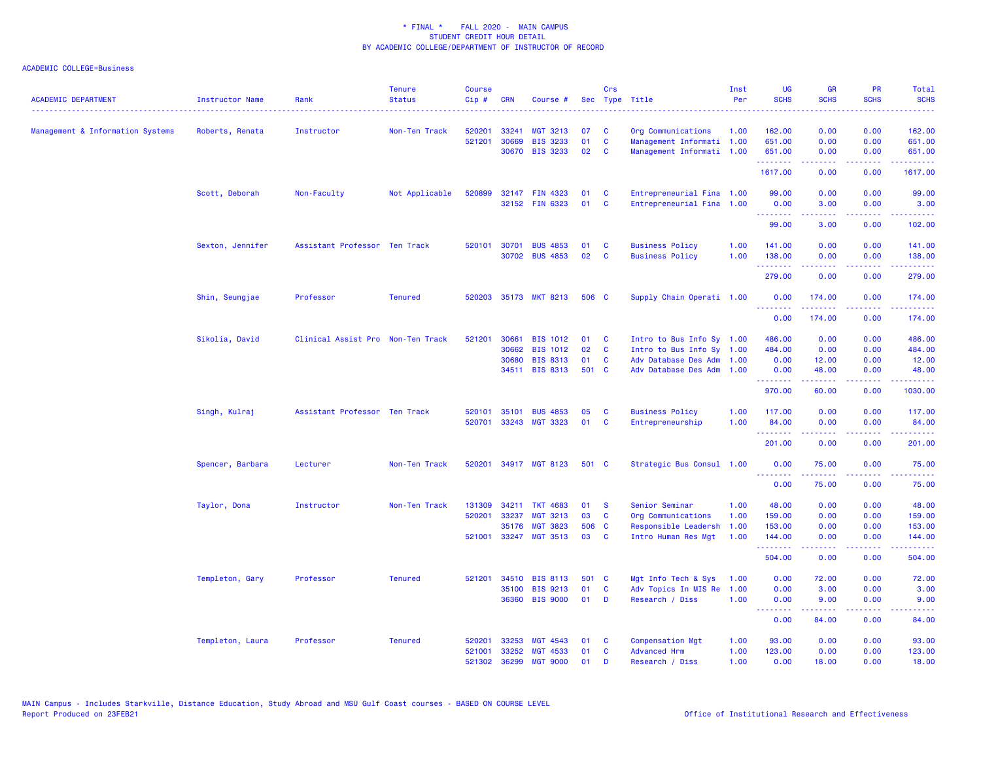| <b>ACADEMIC DEPARTMENT</b>       | <b>Instructor Name</b><br>. | Rank                              | <b>Tenure</b><br><b>Status</b> | <b>Course</b><br>Cip# | <b>CRN</b>   | Course #              |       | Crs          | Sec Type Title            | Inst<br>Per | <b>UG</b><br><b>SCHS</b>        | <b>GR</b><br><b>SCHS</b> | <b>PR</b><br><b>SCHS</b> | Total<br><b>SCHS</b><br>.                                                                                                                                      |
|----------------------------------|-----------------------------|-----------------------------------|--------------------------------|-----------------------|--------------|-----------------------|-------|--------------|---------------------------|-------------|---------------------------------|--------------------------|--------------------------|----------------------------------------------------------------------------------------------------------------------------------------------------------------|
| Management & Information Systems | Roberts, Renata             | Instructor                        | Non-Ten Track                  | 520201                | 33241        | <b>MGT 3213</b>       | 07    | C            | Org Communications        | 1.00        | 162.00                          | 0.00                     | 0.00                     | 162.00                                                                                                                                                         |
|                                  |                             |                                   |                                | 521201                | 30669        | <b>BIS 3233</b>       | 01    | C            | Management Informati 1.00 |             | 651.00                          | 0.00                     | 0.00                     | 651.00                                                                                                                                                         |
|                                  |                             |                                   |                                |                       | 30670        | <b>BIS 3233</b>       | 02    | C            | Management Informati 1.00 |             | 651.00<br>.                     | 0.00                     | 0.00                     | 651.00                                                                                                                                                         |
|                                  |                             |                                   |                                |                       |              |                       |       |              |                           |             | 1617.00                         | 0.00                     | 0.00                     | 1617.00                                                                                                                                                        |
|                                  | Scott, Deborah              | Non-Faculty                       | Not Applicable                 | 520899                |              | 32147 FIN 4323        | 01    | C            | Entrepreneurial Fina 1.00 |             | 99.00                           | 0.00                     | 0.00                     | 99.00                                                                                                                                                          |
|                                  |                             |                                   |                                |                       |              | 32152 FIN 6323        | 01    | C            | Entrepreneurial Fina 1.00 |             | 0.00<br>.                       | 3.00<br>-----            | 0.00<br>المستمات         | 3.00<br>.                                                                                                                                                      |
|                                  |                             |                                   |                                |                       |              |                       |       |              |                           |             | 99.00                           | 3.00                     | 0.00                     | 102.00                                                                                                                                                         |
|                                  | Sexton, Jennifer            | Assistant Professor Ten Track     |                                | 520101                | 30701        | <b>BUS 4853</b>       | 01    | C            | <b>Business Policy</b>    | 1.00        | 141.00                          | 0.00                     | 0.00                     | 141.00                                                                                                                                                         |
|                                  |                             |                                   |                                |                       |              | 30702 BUS 4853        | 02    | C            | <b>Business Policy</b>    | 1.00        | 138.00<br>.                     | 0.00<br><b>.</b>         | 0.00<br>.                | 138.00<br><b><i><u>AAAAA</u></i></b>                                                                                                                           |
|                                  |                             |                                   |                                |                       |              |                       |       |              |                           |             | 279.00                          | 0.00                     | 0.00                     | 279.00                                                                                                                                                         |
|                                  | Shin, Seungjae              | Professor                         | <b>Tenured</b>                 |                       |              | 520203 35173 MKT 8213 | 506 C |              | Supply Chain Operati 1.00 |             | 0.00<br><u> - - - - - - - -</u> | 174.00<br>.              | 0.00<br>.                | 174.00<br>$\frac{1}{2} \left( \frac{1}{2} \right) \left( \frac{1}{2} \right) \left( \frac{1}{2} \right) \left( \frac{1}{2} \right) \left( \frac{1}{2} \right)$ |
|                                  |                             |                                   |                                |                       |              |                       |       |              |                           |             | 0.00                            | 174.00                   | 0.00                     | 174.00                                                                                                                                                         |
|                                  | Sikolia, David              | Clinical Assist Pro Non-Ten Track |                                | 521201                | 30661        | <b>BIS 1012</b>       | 01    | C            | Intro to Bus Info Sy 1.00 |             | 486.00                          | 0.00                     | 0.00                     | 486.00                                                                                                                                                         |
|                                  |                             |                                   |                                |                       | 30662        | <b>BIS 1012</b>       | 02    | C            | Intro to Bus Info Sy 1.00 |             | 484.00                          | 0.00                     | 0.00                     | 484.00                                                                                                                                                         |
|                                  |                             |                                   |                                |                       | 30680        | <b>BIS 8313</b>       | 01    | C            | Adv Database Des Adm      | 1.00        | 0.00                            | 12.00                    | 0.00                     | 12.00                                                                                                                                                          |
|                                  |                             |                                   |                                |                       |              | 34511 BIS 8313        | 501 C |              | Adv Database Des Adm      | 1.00        | 0.00<br>.                       | 48.00                    | 0.00                     | 48.00                                                                                                                                                          |
|                                  |                             |                                   |                                |                       |              |                       |       |              |                           |             | 970.00                          | 60.00                    | 0.00                     | 1030.00                                                                                                                                                        |
|                                  | Singh, Kulraj               | Assistant Professor Ten Track     |                                | 520101                | 35101        | <b>BUS 4853</b>       | 05    | C            | <b>Business Policy</b>    | 1.00        | 117.00                          | 0.00                     | 0.00                     | 117.00                                                                                                                                                         |
|                                  |                             |                                   |                                | 520701                |              | 33243 MGT 3323        | 01    | $\mathbf{C}$ | Entrepreneurship          | 1.00        | 84.00                           | 0.00                     | 0.00                     | 84.00                                                                                                                                                          |
|                                  |                             |                                   |                                |                       |              |                       |       |              |                           |             | .<br>201.00                     | .<br>0.00                | بالمحامي<br>0.00         | .<br>201.00                                                                                                                                                    |
|                                  | Spencer, Barbara            | Lecturer                          | Non-Ten Track                  | 520201                |              | 34917 MGT 8123        | 501 C |              | Strategic Bus Consul 1.00 |             | 0.00                            | 75.00                    | 0.00                     | 75.00                                                                                                                                                          |
|                                  |                             |                                   |                                |                       |              |                       |       |              |                           |             | <u>.</u><br>0.00                | 75.00                    | 0.00                     | 75.00                                                                                                                                                          |
|                                  | Taylor, Dona                | Instructor                        | Non-Ten Track                  | 131309                | 34211        | <b>TKT 4683</b>       | 01    | <b>S</b>     | Senior Seminar            | 1.00        | 48.00                           | 0.00                     | 0.00                     | 48.00                                                                                                                                                          |
|                                  |                             |                                   |                                | 520201                | 33237        | MGT 3213              | 03    | C            | Org Communications        | 1.00        | 159.00                          | 0.00                     | 0.00                     | 159.00                                                                                                                                                         |
|                                  |                             |                                   |                                |                       | 35176        | <b>MGT 3823</b>       | 506 C |              | Responsible Leadersh      | 1.00        | 153.00                          | 0.00                     | 0.00                     | 153.00                                                                                                                                                         |
|                                  |                             |                                   |                                | 521001                |              | 33247 MGT 3513        | 03    | C            | Intro Human Res Mgt       | 1.00        | 144.00<br>.                     | 0.00<br>.                | 0.00<br>د د د د          | 144.00<br>والموالي الموالي                                                                                                                                     |
|                                  |                             |                                   |                                |                       |              |                       |       |              |                           |             | 504.00                          | 0.00                     | 0.00                     | 504.00                                                                                                                                                         |
|                                  | Templeton, Gary             | Professor                         | <b>Tenured</b>                 |                       | 521201 34510 | <b>BIS 8113</b>       | 501 C |              | Mgt Info Tech & Sys       | 1.00        | 0.00                            | 72.00                    | 0.00                     | 72.00                                                                                                                                                          |
|                                  |                             |                                   |                                |                       | 35100        | <b>BIS 9213</b>       | 01    | C            | Adv Topics In MIS Re      | 1.00        | 0.00                            | 3.00                     | 0.00                     | 3.00                                                                                                                                                           |
|                                  |                             |                                   |                                |                       | 36360        | <b>BIS 9000</b>       | 01    | D            | Research / Diss           | 1.00        | 0.00<br><u> - - - - - - - -</u> | 9.00                     | 0.00                     | 9.00                                                                                                                                                           |
|                                  |                             |                                   |                                |                       |              |                       |       |              |                           |             | 0.00                            | 84.00                    | 0.00                     | 84.00                                                                                                                                                          |
|                                  | Templeton, Laura            | Professor                         | <b>Tenured</b>                 | 520201                | 33253        | <b>MGT 4543</b>       | 01    | <b>C</b>     | <b>Compensation Mgt</b>   | 1.00        | 93.00                           | 0.00                     | 0.00                     | 93.00                                                                                                                                                          |
|                                  |                             |                                   |                                | 521001                | 33252        | <b>MGT 4533</b>       | 01    | C            | <b>Advanced Hrm</b>       | 1.00        | 123.00                          | 0.00                     | 0.00                     | 123.00                                                                                                                                                         |
|                                  |                             |                                   |                                | 521302                | 36299        | <b>MGT 9000</b>       | 01    | D            | Research / Diss           | 1.00        | 0.00                            | 18.00                    | 0.00                     | 18.00                                                                                                                                                          |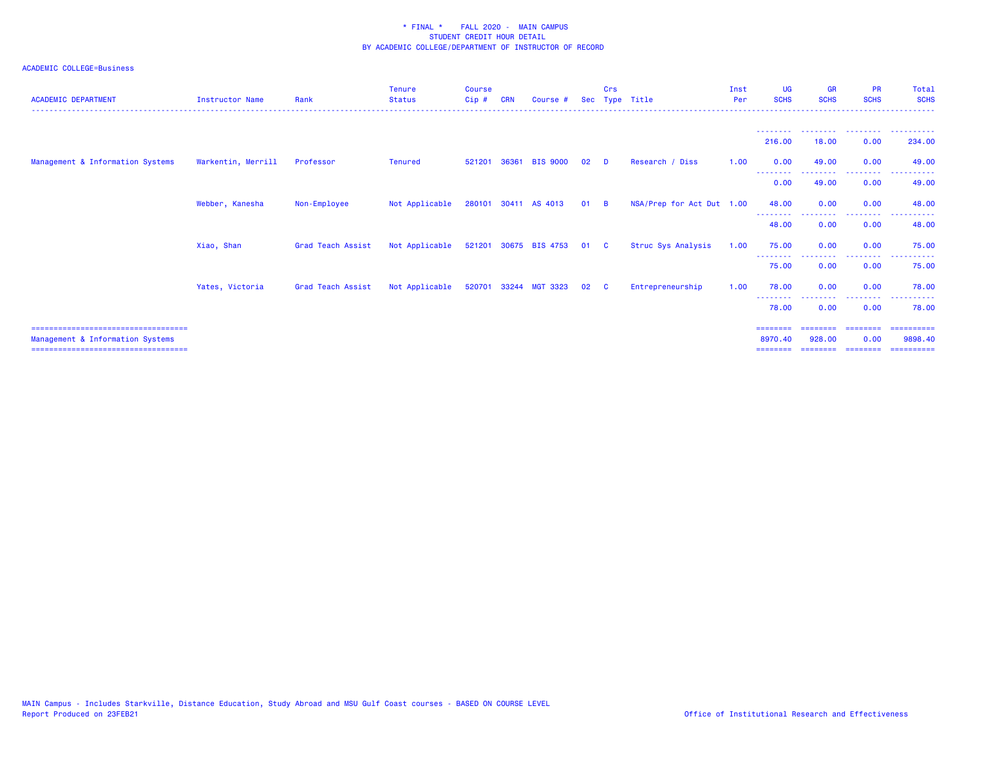| <b>ACADEMIC DEPARTMENT</b>                                                                                           | <b>Instructor Name</b> | Rank              | <b>Tenure</b><br><b>Status</b> | Course<br>Cip# | <b>CRN</b> | Course #              |              | Crs      | Sec Type Title            | Inst<br>Per | <b>UG</b><br><b>SCHS</b>        | <b>GR</b><br><b>SCHS</b>       | <b>PR</b><br><b>SCHS</b>      | Total<br><b>SCHS</b>                |
|----------------------------------------------------------------------------------------------------------------------|------------------------|-------------------|--------------------------------|----------------|------------|-----------------------|--------------|----------|---------------------------|-------------|---------------------------------|--------------------------------|-------------------------------|-------------------------------------|
|                                                                                                                      |                        |                   |                                |                |            |                       |              |          |                           |             |                                 |                                |                               |                                     |
|                                                                                                                      |                        |                   |                                |                |            |                       |              |          |                           |             | 216.00                          | 18.00                          | 0.00                          | 234,00                              |
| Management & Information Systems                                                                                     | Warkentin, Merrill     | Professor         | <b>Tenured</b>                 | 521201         | 36361      | <b>BIS 9000</b>       | 02           | <b>D</b> | Research / Diss           | 1.00        | 0.00<br>--------                | 49.00<br>- - - - - - - - -     | 0.00<br>---------             | 49.00<br>. <b>.</b>                 |
|                                                                                                                      |                        |                   |                                |                |            |                       |              |          |                           |             | 0.00                            | 49.00                          | 0.00                          | 49.00                               |
|                                                                                                                      | Webber, Kanesha        | Non-Employee      | Not Applicable                 |                |            | 280101 30411 AS 4013  | $01 \quad B$ |          | NSA/Prep for Act Dut 1.00 |             | 48.00                           | 0.00                           | 0.00                          | 48.00                               |
|                                                                                                                      |                        |                   |                                |                |            |                       |              |          |                           |             | - - - - - - - -<br>48.00        | 0.00                           | .<br>0.00                     | 48.00                               |
|                                                                                                                      | Xiao, Shan             | Grad Teach Assist | Not Applicable                 |                |            | 521201 30675 BIS 4753 | 01 C         |          | Struc Sys Analysis        | 1.00        | 75.00<br>- - - - - - - - -      | 0.00                           | 0.00<br>.                     | 75.00<br>. <u>.</u>                 |
|                                                                                                                      |                        |                   |                                |                |            |                       |              |          |                           |             | 75.00                           | 0.00                           | 0.00                          | 75.00                               |
|                                                                                                                      | Yates, Victoria        | Grad Teach Assist | Not Applicable                 |                |            | 520701 33244 MGT 3323 | 02           | <b>C</b> | Entrepreneurship          | 1.00        | 78.00                           | 0.00                           | 0.00                          | 78.00                               |
|                                                                                                                      |                        |                   |                                |                |            |                       |              |          |                           |             | 78.00                           | 0.00                           | 0.00                          | 78.00                               |
| ======================================<br>Management & Information Systems<br>====================================== |                        |                   |                                |                |            |                       |              |          |                           |             | ========<br>8970.40<br>======== | ========<br>928,00<br>-------- | ========<br>0.00<br>--------- | ==========<br>9898.40<br>========== |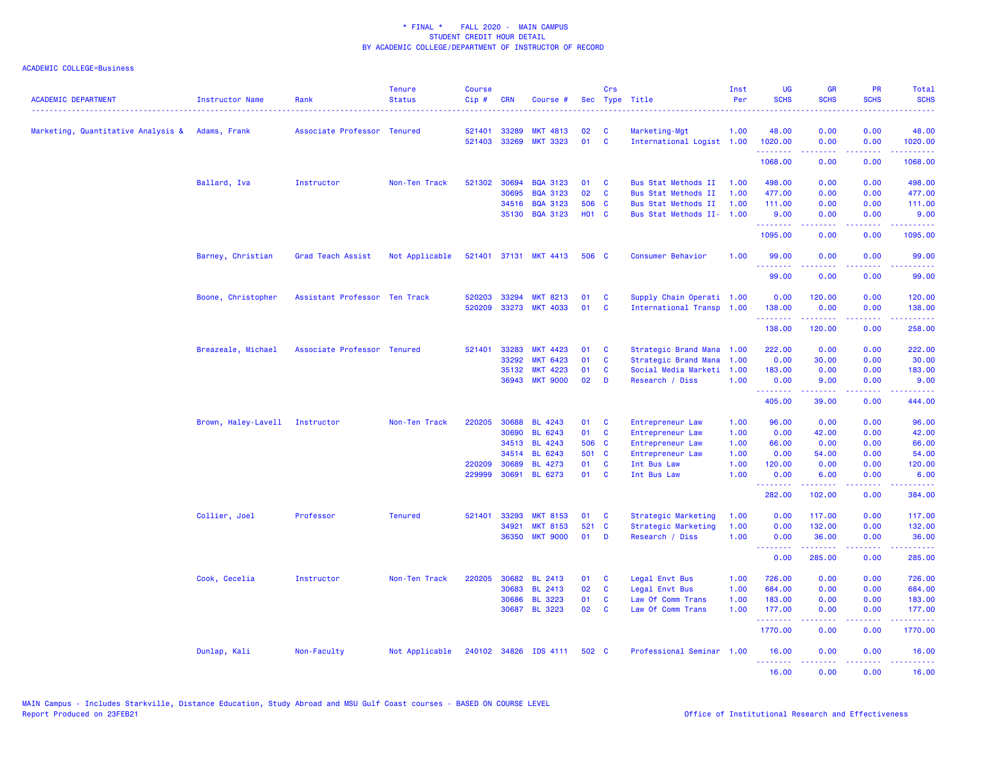| <b>ACADEMIC DEPARTMENT</b>                      | <b>Instructor Name</b> | Rank                          | <b>Tenure</b><br><b>Status</b> | <b>Course</b><br>Cip# | <b>CRN</b> | Course #              |              | Crs                     | Sec Type Title            | Inst<br>Per | UG<br><b>SCHS</b>       | <b>GR</b><br><b>SCHS</b>                                                                                                                                     | <b>PR</b><br><b>SCHS</b>     | Total<br><b>SCHS</b>                                                                                                                                         |
|-------------------------------------------------|------------------------|-------------------------------|--------------------------------|-----------------------|------------|-----------------------|--------------|-------------------------|---------------------------|-------------|-------------------------|--------------------------------------------------------------------------------------------------------------------------------------------------------------|------------------------------|--------------------------------------------------------------------------------------------------------------------------------------------------------------|
| Marketing, Quantitative Analysis & Adams, Frank |                        | Associate Professor Tenured   |                                | 521401                | 33289      | <b>MKT 4813</b>       | 02           | C                       | Marketing-Mgt             | 1.00        | 48.00                   | 0.00                                                                                                                                                         | 0.00                         | 48.00                                                                                                                                                        |
|                                                 |                        |                               |                                | 521403                | 33269      | <b>MKT 3323</b>       | 01           | <b>C</b>                | International Logist 1.00 |             | 1020.00                 | 0.00                                                                                                                                                         | 0.00                         | 1020.00                                                                                                                                                      |
|                                                 |                        |                               |                                |                       |            |                       |              |                         |                           |             | .<br>1068.00            | $\frac{1}{2} \left( \frac{1}{2} \right) \left( \frac{1}{2} \right) \left( \frac{1}{2} \right) \left( \frac{1}{2} \right) \left( \frac{1}{2} \right)$<br>0.00 | .<br>0.00                    | <u>.</u><br>1068.00                                                                                                                                          |
|                                                 | Ballard, Iva           | Instructor                    | Non-Ten Track                  | 521302                | 30694      | <b>BQA 3123</b>       | 01           | C                       | Bus Stat Methods II       | 1.00        | 498.00                  | 0.00                                                                                                                                                         | 0.00                         | 498.00                                                                                                                                                       |
|                                                 |                        |                               |                                |                       | 30695      | <b>BQA 3123</b>       | 02           | $\mathbf c$             | Bus Stat Methods II       | 1.00        | 477.00                  | 0.00                                                                                                                                                         | 0.00                         | 477.00                                                                                                                                                       |
|                                                 |                        |                               |                                |                       | 34516      | <b>BQA 3123</b>       | 506 C        |                         | Bus Stat Methods II       | 1.00        | 111.00                  | 0.00                                                                                                                                                         | 0.00                         | 111.00                                                                                                                                                       |
|                                                 |                        |                               |                                |                       | 35130      | <b>BQA 3123</b>       | <b>HO1 C</b> |                         | Bus Stat Methods II- 1.00 |             | 9.00<br><u>.</u>        | 0.00<br><u>.</u>                                                                                                                                             | 0.00<br>.                    | 9.00<br>$\frac{1}{2} \left( \frac{1}{2} \right) \left( \frac{1}{2} \right) \left( \frac{1}{2} \right) \left( \frac{1}{2} \right)$                            |
|                                                 |                        |                               |                                |                       |            |                       |              |                         |                           |             | 1095.00                 | 0.00                                                                                                                                                         | 0.00                         | 1095.00                                                                                                                                                      |
|                                                 | Barney, Christian      | Grad Teach Assist             | Not Applicable                 |                       |            | 521401 37131 MKT 4413 | 506 C        |                         | Consumer Behavior         | 1.00        | 99.00<br>.              | 0.00<br>$\frac{1}{2} \left( \frac{1}{2} \right) \left( \frac{1}{2} \right) \left( \frac{1}{2} \right) \left( \frac{1}{2} \right) \left( \frac{1}{2} \right)$ | 0.00<br>.                    | 99.00<br>.                                                                                                                                                   |
|                                                 |                        |                               |                                |                       |            |                       |              |                         |                           |             | 99.00                   | 0.00                                                                                                                                                         | 0.00                         | 99.00                                                                                                                                                        |
|                                                 | Boone, Christopher     | Assistant Professor Ten Track |                                | 520203                | 33294      | <b>MKT 8213</b>       | 01           | C                       | Supply Chain Operati 1.00 |             | 0.00                    | 120.00                                                                                                                                                       | 0.00                         | 120.00                                                                                                                                                       |
|                                                 |                        |                               |                                | 520209                | 33273      | <b>MKT 4033</b>       | 01           | C                       | International Transp 1.00 |             | 138.00                  | 0.00                                                                                                                                                         | 0.00                         | 138.00                                                                                                                                                       |
|                                                 |                        |                               |                                |                       |            |                       |              |                         |                           |             | .<br>138.00             | . <u>.</u> .<br>120.00                                                                                                                                       | 0.00                         | 258.00                                                                                                                                                       |
|                                                 | Breazeale, Michael     | Associate Professor Tenured   |                                | 521401                | 33283      | <b>MKT 4423</b>       | 01           | C                       | Strategic Brand Mana      | 1.00        | 222.00                  | 0.00                                                                                                                                                         | 0.00                         | 222.00                                                                                                                                                       |
|                                                 |                        |                               |                                |                       | 33292      | <b>MKT 6423</b>       | 01           | C                       | Strategic Brand Mana      | 1.00        | 0.00                    | 30.00                                                                                                                                                        | 0.00                         | 30.00                                                                                                                                                        |
|                                                 |                        |                               |                                |                       | 35132      | <b>MKT 4223</b>       | 01           | C                       | Social Media Marketi      | 1.00        | 183.00                  | 0.00                                                                                                                                                         | 0.00                         | 183.00                                                                                                                                                       |
|                                                 |                        |                               |                                |                       | 36943      | <b>MKT 9000</b>       | 02           | D                       | Research / Diss           | 1.00        | 0.00<br>- - - - - - - - | 9.00<br>.                                                                                                                                                    | 0.00<br>.                    | 9.00<br>$\frac{1}{2} \left( \frac{1}{2} \right) \left( \frac{1}{2} \right) \left( \frac{1}{2} \right) \left( \frac{1}{2} \right) \left( \frac{1}{2} \right)$ |
|                                                 |                        |                               |                                |                       |            |                       |              |                         |                           |             | 405.00                  | 39.00                                                                                                                                                        | 0.00                         | 444.00                                                                                                                                                       |
|                                                 | Brown, Haley-Lavell    | Instructor                    | Non-Ten Track                  | 220205                | 30688      | <b>BL 4243</b>        | 01           | <b>C</b>                | Entrepreneur Law          | 1.00        | 96.00                   | 0.00                                                                                                                                                         | 0.00                         | 96.00                                                                                                                                                        |
|                                                 |                        |                               |                                |                       | 30690      | <b>BL 6243</b>        | 01           | C                       | Entrepreneur Law          | 1.00        | 0.00                    | 42.00                                                                                                                                                        | 0.00                         | 42.00                                                                                                                                                        |
|                                                 |                        |                               |                                |                       | 34513      | <b>BL 4243</b>        | 506 C        |                         | Entrepreneur Law          | 1.00        | 66.00                   | 0.00                                                                                                                                                         | 0.00                         | 66.00                                                                                                                                                        |
|                                                 |                        |                               |                                |                       | 34514      | BL 6243               | 501 C        |                         | Entrepreneur Law          | 1.00        | 0.00                    | 54.00                                                                                                                                                        | 0.00                         | 54.00                                                                                                                                                        |
|                                                 |                        |                               |                                | 220209                | 30689      | <b>BL 4273</b>        | 01           | <b>C</b>                | Int Bus Law               | 1.00        | 120.00                  | 0.00                                                                                                                                                         | 0.00                         | 120.00                                                                                                                                                       |
|                                                 |                        |                               |                                | 229999                | 30691      | <b>BL 6273</b>        | 01           | $\overline{\mathbf{c}}$ | Int Bus Law               | 1.00        | 0.00<br><u>.</u>        | 6.00                                                                                                                                                         | 0.00<br>$  -$                | 6.00                                                                                                                                                         |
|                                                 |                        |                               |                                |                       |            |                       |              |                         |                           |             | 282.00                  | 102.00                                                                                                                                                       | 0.00                         | 384.00                                                                                                                                                       |
|                                                 | Collier, Joel          | Professor                     | <b>Tenured</b>                 | 521401                | 33293      | <b>MKT 8153</b>       | 01           | C                       | Strategic Marketing       | 1.00        | 0.00                    | 117.00                                                                                                                                                       | 0.00                         | 117.00                                                                                                                                                       |
|                                                 |                        |                               |                                |                       | 34921      | <b>MKT 8153</b>       | 521 C        |                         | Strategic Marketing       | 1.00        | 0.00                    | 132.00                                                                                                                                                       | 0.00                         | 132.00                                                                                                                                                       |
|                                                 |                        |                               |                                |                       | 36350      | <b>MKT 9000</b>       | 01           | D                       | Research / Diss           | 1.00        | 0.00<br><u>.</u>        | 36.00<br>.                                                                                                                                                   | 0.00<br>.                    | 36.00<br>وبالمستمال                                                                                                                                          |
|                                                 |                        |                               |                                |                       |            |                       |              |                         |                           |             | 0.00                    | 285.00                                                                                                                                                       | 0.00                         | 285.00                                                                                                                                                       |
|                                                 | Cook, Cecelia          | Instructor                    | Non-Ten Track                  | 220205                | 30682      | <b>BL 2413</b>        | 01           | C                       | Legal Envt Bus            | 1.00        | 726.00                  | 0.00                                                                                                                                                         | 0.00                         | 726.00                                                                                                                                                       |
|                                                 |                        |                               |                                |                       | 30683      | <b>BL 2413</b>        | 02           | C                       | Legal Envt Bus            | 1.00        | 684.00                  | 0.00                                                                                                                                                         | 0.00                         | 684.00                                                                                                                                                       |
|                                                 |                        |                               |                                |                       | 30686      | <b>BL 3223</b>        | 01           | <b>C</b>                | Law Of Comm Trans         | 1.00        | 183.00                  | 0.00                                                                                                                                                         | 0.00                         | 183.00                                                                                                                                                       |
|                                                 |                        |                               |                                |                       | 30687      | <b>BL 3223</b>        | 02           | C                       | Law Of Comm Trans         | 1.00        | 177.00                  | 0.00                                                                                                                                                         | 0.00                         | 177.00                                                                                                                                                       |
|                                                 |                        |                               |                                |                       |            |                       |              |                         |                           |             | 1770.00                 | 0.00                                                                                                                                                         | 0.00                         | 1770.00                                                                                                                                                      |
|                                                 | Dunlap, Kali           | Non-Faculty                   | Not Applicable                 |                       |            | 240102 34826 IDS 4111 | 502 C        |                         | Professional Seminar 1.00 |             | 16.00<br>.              | 0.00<br>22222                                                                                                                                                | 0.00<br>$\sim$ $\sim$ $\sim$ | 16.00<br>وعاعاها                                                                                                                                             |
|                                                 |                        |                               |                                |                       |            |                       |              |                         |                           |             | 16.00                   | 0.00                                                                                                                                                         | 0.00                         | 16.00                                                                                                                                                        |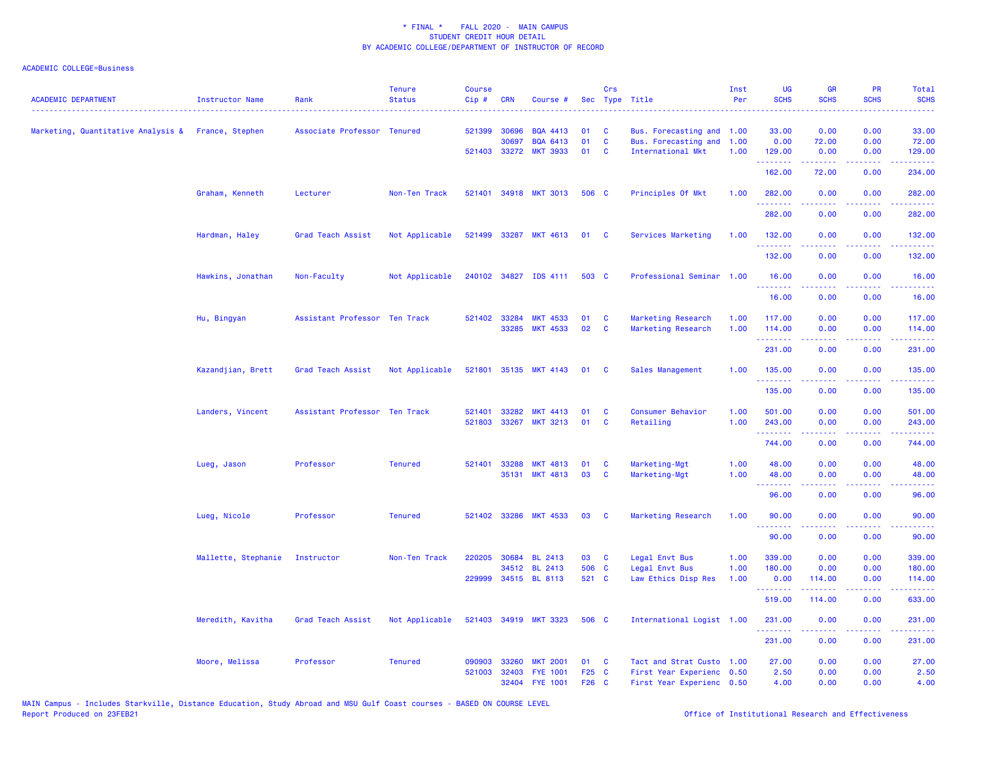| <b>ACADEMIC DEPARTMENT</b>                         | <b>Instructor Name</b> | Rank                          | <b>Tenure</b><br><b>Status</b> | <b>Course</b><br>Cip# | <b>CRN</b>   | Course #                                 |                | Crs                  | Sec Type Title                                         | Inst<br>Per  | UG<br><b>SCHS</b>                                           | <b>GR</b><br><b>SCHS</b> | PR<br><b>SCHS</b>                   | Total<br><b>SCHS</b>                                                                                                                                           |
|----------------------------------------------------|------------------------|-------------------------------|--------------------------------|-----------------------|--------------|------------------------------------------|----------------|----------------------|--------------------------------------------------------|--------------|-------------------------------------------------------------|--------------------------|-------------------------------------|----------------------------------------------------------------------------------------------------------------------------------------------------------------|
| Marketing, Quantitative Analysis & France, Stephen |                        | Associate Professor Tenured   |                                |                       | 521399 30696 | <b>BQA 4413</b>                          | 01             | <b>C</b>             | Bus. Forecasting and 1.00                              |              | 33.00                                                       | 0.00                     | 0.00                                | 33.00                                                                                                                                                          |
|                                                    |                        |                               |                                |                       | 30697        | <b>BQA 6413</b><br>521403 33272 MKT 3933 | 01<br>01       | C<br><b>C</b>        | Bus. Forecasting and<br>International Mkt              | 1.00<br>1.00 | 0.00<br>129.00                                              | 72.00<br>0.00            | 0.00<br>0.00                        | 72.00<br>129.00                                                                                                                                                |
|                                                    |                        |                               |                                |                       |              |                                          |                |                      |                                                        |              | .<br>162.00                                                 | د د د د د<br>72.00       | .<br>0.00                           | <u>.</u><br>234.00                                                                                                                                             |
|                                                    | Graham, Kenneth        | Lecturer                      | Non-Ten Track                  | 521401                |              | 34918 MKT 3013                           | 506 C          |                      | Principles Of Mkt                                      | 1.00         | 282.00<br>.                                                 | 0.00<br>.                | 0.00<br>د د د                       | 282.00<br>22222.                                                                                                                                               |
|                                                    |                        |                               |                                |                       |              |                                          |                |                      |                                                        |              | 282.00                                                      | 0.00                     | 0.00                                | 282.00                                                                                                                                                         |
|                                                    | Hardman, Haley         | Grad Teach Assist             | Not Applicable                 | 521499                |              | 33287 MKT 4613                           | 01 C           |                      | Services Marketing                                     | 1.00         | 132.00<br>.                                                 | 0.00                     | 0.00<br>.                           | 132.00<br>.                                                                                                                                                    |
|                                                    |                        |                               |                                |                       |              |                                          |                |                      |                                                        |              | 132.00                                                      | 0.00                     | 0.00                                | 132.00                                                                                                                                                         |
|                                                    | Hawkins, Jonathan      | Non-Faculty                   | Not Applicable                 |                       |              | 240102 34827 IDS 4111 503 C              |                |                      | Professional Seminar 1.00                              |              | 16.00                                                       | 0.00                     | 0.00                                | 16.00<br>.                                                                                                                                                     |
|                                                    |                        |                               |                                |                       |              |                                          |                |                      |                                                        |              | 16.00                                                       | 0.00                     | 0.00                                | 16.00                                                                                                                                                          |
|                                                    | Hu, Bingyan            | Assistant Professor Ten Track |                                |                       | 521402 33284 | <b>MKT 4533</b><br>33285 MKT 4533        | 01<br>02       | <b>C</b><br><b>C</b> | Marketing Research<br>Marketing Research               | 1.00<br>1.00 | 117.00<br>114.00                                            | 0.00<br>0.00             | 0.00<br>0.00                        | 117.00<br>114.00                                                                                                                                               |
|                                                    |                        |                               |                                |                       |              |                                          |                |                      |                                                        |              | 231.00                                                      | 0.00                     | 0.00                                | 231.00                                                                                                                                                         |
|                                                    | Kazandjian, Brett      | Grad Teach Assist             | Not Applicable                 |                       |              | 521801 35135 MKT 4143                    | 01             | <b>C</b>             | Sales Management                                       | 1.00         | 135.00                                                      | 0.00                     | 0.00                                | 135.00                                                                                                                                                         |
|                                                    |                        |                               |                                |                       |              |                                          |                |                      |                                                        |              | .<br>135.00                                                 | .<br>0.00                | د د د د<br>0.00                     | وعامام ماما<br>135.00                                                                                                                                          |
|                                                    | Landers, Vincent       | Assistant Professor Ten Track |                                | 521401                | 33282        | <b>MKT 4413</b>                          | 01             | C                    | Consumer Behavior                                      | 1.00         | 501.00                                                      | 0.00                     | 0.00                                | 501.00                                                                                                                                                         |
|                                                    |                        |                               |                                | 521803                | 33267        | <b>MKT 3213</b>                          | 01             | $\mathbf{C}$         | Retailing                                              | 1.00         | 243.00<br><u>.</u><br>744.00                                | 0.00<br>0.00             | 0.00<br>.<br>0.00                   | 243.00<br>.<br>744.00                                                                                                                                          |
|                                                    | Lueg, Jason            | Professor                     | <b>Tenured</b>                 | 521401                | 33288        | <b>MKT 4813</b>                          | 01             | C                    | Marketing-Mgt                                          | 1.00         | 48.00                                                       | 0.00                     | 0.00                                | 48.00                                                                                                                                                          |
|                                                    |                        |                               |                                |                       |              | 35131 MKT 4813                           | 03             | <b>C</b>             | Marketing-Mgt                                          | 1.00         | 48.00<br><b><i><u><u><b>a</b></u></u> a a a a a a a</i></b> | 0.00<br>.                | 0.00<br>د د د د .                   | 48.00<br>.                                                                                                                                                     |
|                                                    |                        |                               |                                |                       |              |                                          |                |                      |                                                        |              | 96.00                                                       | 0.00                     | 0.00                                | 96.00                                                                                                                                                          |
|                                                    | Lueg, Nicole           | Professor                     | <b>Tenured</b>                 |                       |              | 521402 33286 MKT 4533                    | 03             | <b>C</b>             | Marketing Research                                     | 1.00         | 90.00<br><b>.</b> .                                         | 0.00<br>.                | 0.00<br>$\sim$ $\sim$ $\sim$ $\sim$ | 90.00<br>وساعات                                                                                                                                                |
|                                                    |                        |                               |                                |                       |              |                                          |                |                      |                                                        |              | 90.00                                                       | 0.00                     | 0.00                                | 90.00                                                                                                                                                          |
|                                                    | Mallette, Stephanie    | Instructor                    | Non-Ten Track                  | 220205                | 30684        | <b>BL 2413</b><br>34512 BL 2413          | 03<br>506 C    | $\mathbf{C}$         | Legal Envt Bus<br>Legal Envt Bus                       | 1.00<br>1.00 | 339.00<br>180.00                                            | 0.00<br>0.00             | 0.00<br>0.00                        | 339.00<br>180.00                                                                                                                                               |
|                                                    |                        |                               |                                | 229999                |              | 34515 BL 8113                            | 521 C          |                      | Law Ethics Disp Res                                    | 1.00         | 0.00                                                        | 114.00                   | 0.00                                | 114.00                                                                                                                                                         |
|                                                    |                        |                               |                                |                       |              |                                          |                |                      |                                                        |              | .<br>519.00                                                 | 114.00                   | $  -$<br>0.00                       | .<br>633.00                                                                                                                                                    |
|                                                    | Meredith, Kavitha      | Grad Teach Assist             | Not Applicable                 |                       |              | 521403 34919 MKT 3323                    | 506 C          |                      | International Logist 1.00                              |              | 231.00<br>.                                                 | 0.00<br>د د د د د        | 0.00<br>.                           | 231.00<br>$\frac{1}{2} \left( \frac{1}{2} \right) \left( \frac{1}{2} \right) \left( \frac{1}{2} \right) \left( \frac{1}{2} \right) \left( \frac{1}{2} \right)$ |
|                                                    |                        |                               |                                |                       |              |                                          |                |                      |                                                        |              | 231.00                                                      | 0.00                     | 0.00                                | 231.00                                                                                                                                                         |
|                                                    | Moore, Melissa         | Professor                     | <b>Tenured</b>                 | 090903                | 33260        | <b>MKT 2001</b>                          | 01             | <b>C</b>             | Tact and Strat Custo 1.00                              |              | 27.00                                                       | 0.00                     | 0.00                                | 27.00                                                                                                                                                          |
|                                                    |                        |                               |                                | 521003                | 32403        | <b>FYE 1001</b><br>32404 FYE 1001        | F25 C<br>F26 C |                      | First Year Experienc 0.50<br>First Year Experienc 0.50 |              | 2.50<br>4.00                                                | 0.00<br>0.00             | 0.00<br>0.00                        | 2.50<br>4.00                                                                                                                                                   |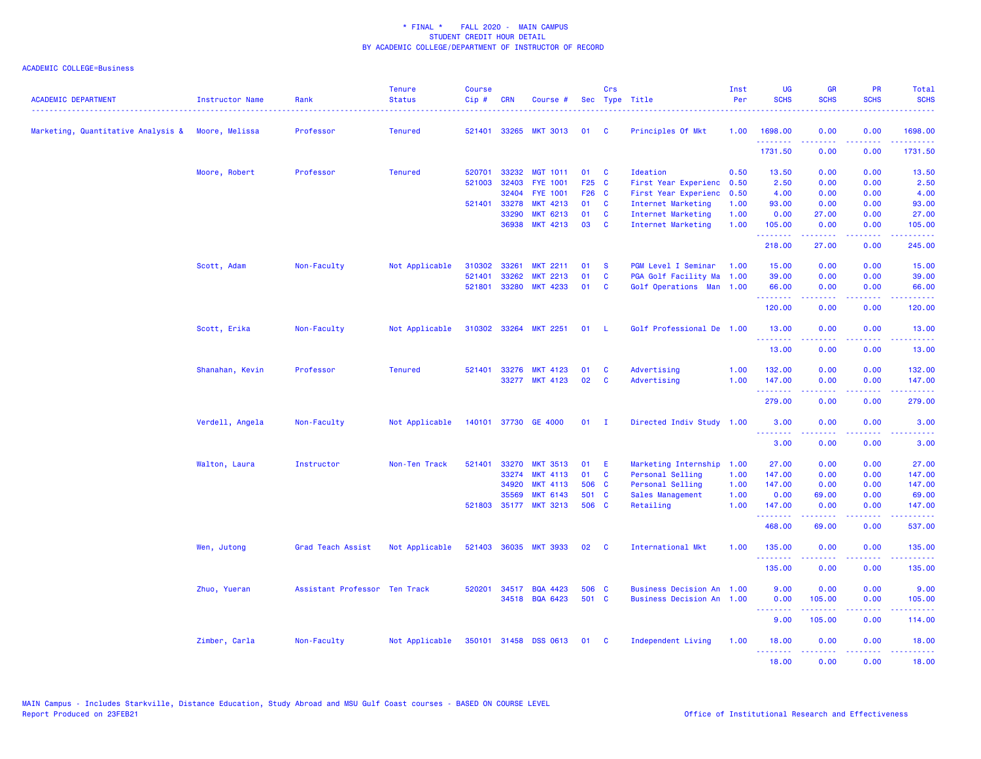| <b>ACADEMIC DEPARTMENT</b>                        | Instructor Name | Rank                          | <b>Tenure</b><br><b>Status</b> | <b>Course</b><br>Cip# | <b>CRN</b> | Course #              |        | Crs          | Sec Type Title              | Inst<br>Per | <b>UG</b><br><b>SCHS</b> | <b>GR</b><br><b>SCHS</b> | <b>PR</b><br><b>SCHS</b>                                                                               | Total<br><b>SCHS</b>                                                                                                                                           |
|---------------------------------------------------|-----------------|-------------------------------|--------------------------------|-----------------------|------------|-----------------------|--------|--------------|-----------------------------|-------------|--------------------------|--------------------------|--------------------------------------------------------------------------------------------------------|----------------------------------------------------------------------------------------------------------------------------------------------------------------|
| Marketing, Quantitative Analysis & Moore, Melissa |                 | Professor                     | <b>Tenured</b>                 | 521401                |            | 33265 MKT 3013        | 01     | <b>C</b>     | Principles Of Mkt           | 1.00        | 1698.00                  | 0.00                     | 0.00<br>$\omega$ is a $\omega$                                                                         | 1698.00                                                                                                                                                        |
|                                                   |                 |                               |                                |                       |            |                       |        |              |                             |             | <u>.</u><br>1731.50      | 0.00                     | 0.00                                                                                                   | .<br>1731.50                                                                                                                                                   |
|                                                   | Moore, Robert   | Professor                     | <b>Tenured</b>                 | 520701                | 33232      | <b>MGT 1011</b>       | 01     | <b>C</b>     | Ideation                    | 0.50        | 13.50                    | 0.00                     | 0.00                                                                                                   | 13.50                                                                                                                                                          |
|                                                   |                 |                               |                                | 521003                | 32403      | <b>FYE 1001</b>       | F25 C  |              | First Year Experienc        | 0.50        | 2.50                     | 0.00                     | 0.00                                                                                                   | 2.50                                                                                                                                                           |
|                                                   |                 |                               |                                |                       | 32404      | <b>FYE 1001</b>       | F26 C  |              | First Year Experienc        | 0.50        | 4.00                     | 0.00                     | 0.00                                                                                                   | 4.00                                                                                                                                                           |
|                                                   |                 |                               |                                | 521401                | 33278      | <b>MKT 4213</b>       | 01     | C            | Internet Marketing          | 1.00        | 93.00                    | 0.00                     | 0.00                                                                                                   | 93.00                                                                                                                                                          |
|                                                   |                 |                               |                                |                       | 33290      | <b>MKT 6213</b>       | 01     | $\mathbf{C}$ | Internet Marketing          | 1.00        | 0.00                     | 27.00                    | 0.00                                                                                                   | 27.00                                                                                                                                                          |
|                                                   |                 |                               |                                |                       | 36938      | <b>MKT 4213</b>       | 03     | $\mathbf{C}$ | Internet Marketing          | 1.00        | 105.00<br>.              | 0.00<br>$- - - - -$      | 0.00<br>.                                                                                              | 105.00<br>.                                                                                                                                                    |
|                                                   |                 |                               |                                |                       |            |                       |        |              |                             |             | 218.00                   | 27.00                    | 0.00                                                                                                   | 245.00                                                                                                                                                         |
|                                                   | Scott, Adam     | Non-Faculty                   | Not Applicable                 | 310302                | 33261      | <b>MKT 2211</b>       | 01     | <b>S</b>     | PGM Level I Seminar         | 1.00        | 15.00                    | 0.00                     | 0.00                                                                                                   | 15.00                                                                                                                                                          |
|                                                   |                 |                               |                                | 521401                | 33262      | <b>MKT 2213</b>       | 01     | C            | PGA Golf Facility Ma 1.00   |             | 39.00                    | 0.00                     | 0.00                                                                                                   | 39.00                                                                                                                                                          |
|                                                   |                 |                               |                                | 521801                | 33280      | <b>MKT 4233</b>       | 01     | $\mathbf{C}$ | Golf Operations Man 1.00    |             | 66.00<br>.               | 0.00                     | 0.00<br>$\frac{1}{2} \left( \frac{1}{2} \right) \left( \frac{1}{2} \right) \left( \frac{1}{2} \right)$ | 66.00<br>.                                                                                                                                                     |
|                                                   |                 |                               |                                |                       |            |                       |        |              |                             |             | 120.00                   | 0.00                     | 0.00                                                                                                   | 120.00                                                                                                                                                         |
|                                                   | Scott, Erika    | Non-Faculty                   | Not Applicable                 |                       |            | 310302 33264 MKT 2251 | 01     | - L          | Golf Professional De 1.00   |             | 13.00                    | 0.00                     | 0.00                                                                                                   | 13.00                                                                                                                                                          |
|                                                   |                 |                               |                                |                       |            |                       |        |              |                             |             | .<br>13.00               | 0.00                     | 0.00                                                                                                   | 13.00                                                                                                                                                          |
|                                                   | Shanahan, Kevin | Professor                     | <b>Tenured</b>                 | 521401                | 33276      | <b>MKT 4123</b>       | 01     | C            | Advertising                 | 1.00        | 132.00                   | 0.00                     | 0.00                                                                                                   | 132.00                                                                                                                                                         |
|                                                   |                 |                               |                                |                       |            | 33277 MKT 4123        | 02     | $\mathbf{C}$ | Advertising                 | 1.00        | 147.00                   | 0.00                     | 0.00                                                                                                   | 147.00                                                                                                                                                         |
|                                                   |                 |                               |                                |                       |            |                       |        |              |                             |             | .<br>279.00              | 0.00                     | $\frac{1}{2} \left( \frac{1}{2} \right) \left( \frac{1}{2} \right) \left( \frac{1}{2} \right)$<br>0.00 | .<br>279.00                                                                                                                                                    |
|                                                   | Verdell, Angela | Non-Faculty                   | Not Applicable                 |                       |            | 140101 37730 GE 4000  | $01$ I |              | Directed Indiv Study 1.00   |             | 3.00                     | 0.00                     | 0.00                                                                                                   | 3.00                                                                                                                                                           |
|                                                   |                 |                               |                                |                       |            |                       |        |              |                             |             | .<br>3.00                | 0.00                     | 0.00                                                                                                   | 3.00                                                                                                                                                           |
|                                                   | Walton, Laura   | Instructor                    | Non-Ten Track                  | 521401                | 33270      | <b>MKT 3513</b>       | 01     | - E          | Marketing Internship 1.00   |             | 27.00                    | 0.00                     | 0.00                                                                                                   | 27.00                                                                                                                                                          |
|                                                   |                 |                               |                                |                       | 33274      | <b>MKT 4113</b>       | 01     | C            | Personal Selling            | 1.00        | 147.00                   | 0.00                     | 0.00                                                                                                   | 147.00                                                                                                                                                         |
|                                                   |                 |                               |                                |                       | 34920      | <b>MKT 4113</b>       | 506 C  |              | Personal Selling            | 1.00        | 147.00                   | 0.00                     | 0.00                                                                                                   | 147.00                                                                                                                                                         |
|                                                   |                 |                               |                                |                       | 35569      | <b>MKT 6143</b>       | 501 C  |              | Sales Management            | 1.00        | 0.00                     | 69.00                    | 0.00                                                                                                   | 69.00                                                                                                                                                          |
|                                                   |                 |                               |                                |                       |            | 521803 35177 MKT 3213 | 506 C  |              | Retailing                   | 1.00        | 147.00<br>.              | 0.00                     | 0.00<br>د د د د .                                                                                      | 147.00<br>.                                                                                                                                                    |
|                                                   |                 |                               |                                |                       |            |                       |        |              |                             |             | 468.00                   | 69.00                    | 0.00                                                                                                   | 537.00                                                                                                                                                         |
|                                                   | Wen, Jutong     | Grad Teach Assist             | Not Applicable                 | 521403                |            | 36035 MKT 3933        | 02     | <b>C</b>     | International Mkt           | 1.00        | 135.00                   | 0.00                     | 0.00                                                                                                   | 135.00                                                                                                                                                         |
|                                                   |                 |                               |                                |                       |            |                       |        |              |                             |             | <u>.</u><br>135.00       | 0.00                     | $- - - -$<br>0.00                                                                                      | $\frac{1}{2} \left( \frac{1}{2} \right) \left( \frac{1}{2} \right) \left( \frac{1}{2} \right) \left( \frac{1}{2} \right) \left( \frac{1}{2} \right)$<br>135.00 |
|                                                   | Zhuo, Yueran    | Assistant Professor Ten Track |                                | 520201                | 34517      | <b>BQA 4423</b>       | 506 C  |              | <b>Business Decision An</b> | 1.00        | 9.00                     | 0.00                     | 0.00                                                                                                   | 9.00                                                                                                                                                           |
|                                                   |                 |                               |                                |                       |            | 34518 BQA 6423        | 501 C  |              | <b>Business Decision An</b> | 1.00        | 0.00<br><b></b>          | 105.00                   | 0.00<br>د د د د .                                                                                      | 105.00<br>.                                                                                                                                                    |
|                                                   |                 |                               |                                |                       |            |                       |        |              |                             |             | 9.00                     | 105.00                   | 0.00                                                                                                   | 114.00                                                                                                                                                         |
|                                                   | Zimber, Carla   | Non-Faculty                   | Not Applicable                 |                       |            | 350101 31458 DSS 0613 | 01     | $\mathbf{C}$ | Independent Living          | 1.00        | 18.00<br>.               | 0.00                     | 0.00<br>.                                                                                              | 18.00<br>.                                                                                                                                                     |
|                                                   |                 |                               |                                |                       |            |                       |        |              |                             |             | 18.00                    | المتمام المتمار<br>0.00  | 0.00                                                                                                   | 18.00                                                                                                                                                          |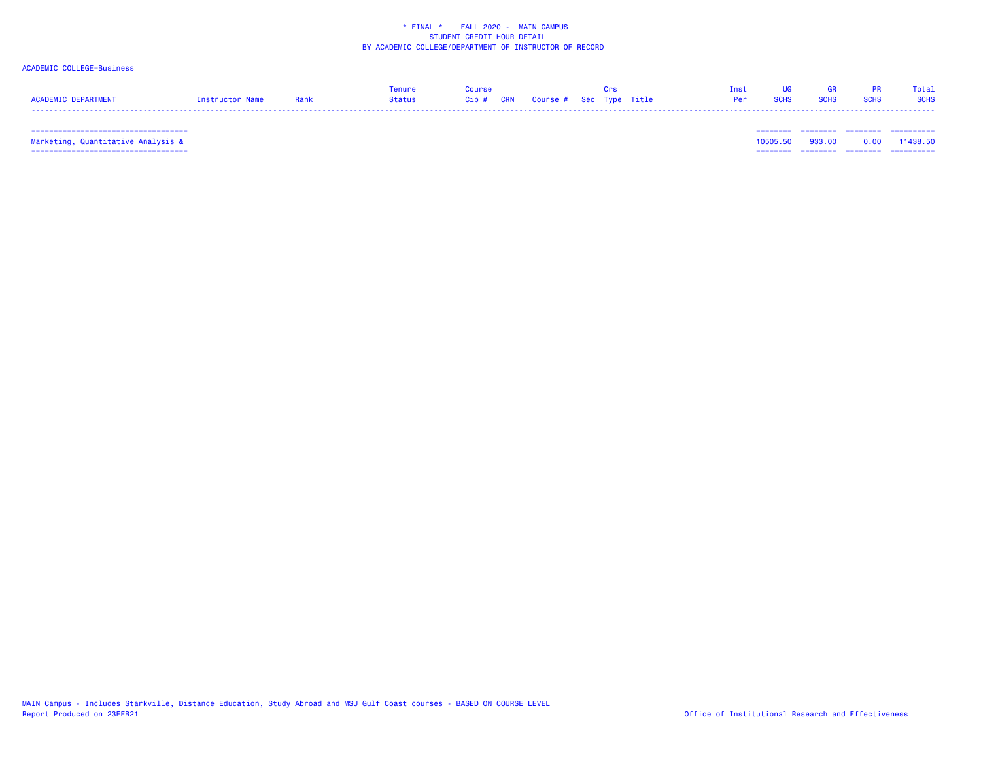## ACADEMIC COLLEGE=Business

|                     |                 |      | Tenure | <b>OULDSA</b> |                                   |  | Inst |             | 68 G.R      |             | Total       |
|---------------------|-----------------|------|--------|---------------|-----------------------------------|--|------|-------------|-------------|-------------|-------------|
| ACADEMIC DEPARTMENT | Instructor Name | Rank | Status |               | Cip # CRN Course # Sec Type Title |  | Per  | <b>SCHS</b> | <b>SCHS</b> | <b>SCHS</b> | <b>SCHS</b> |
|                     |                 |      |        |               |                                   |  |      |             |             |             |             |

=================================== ======== ======== ======== ==========

 =================================== ======== ======== ======== ========== Marketing, Quantitative Analysis & 10505.50 933.00 0.00 11438.50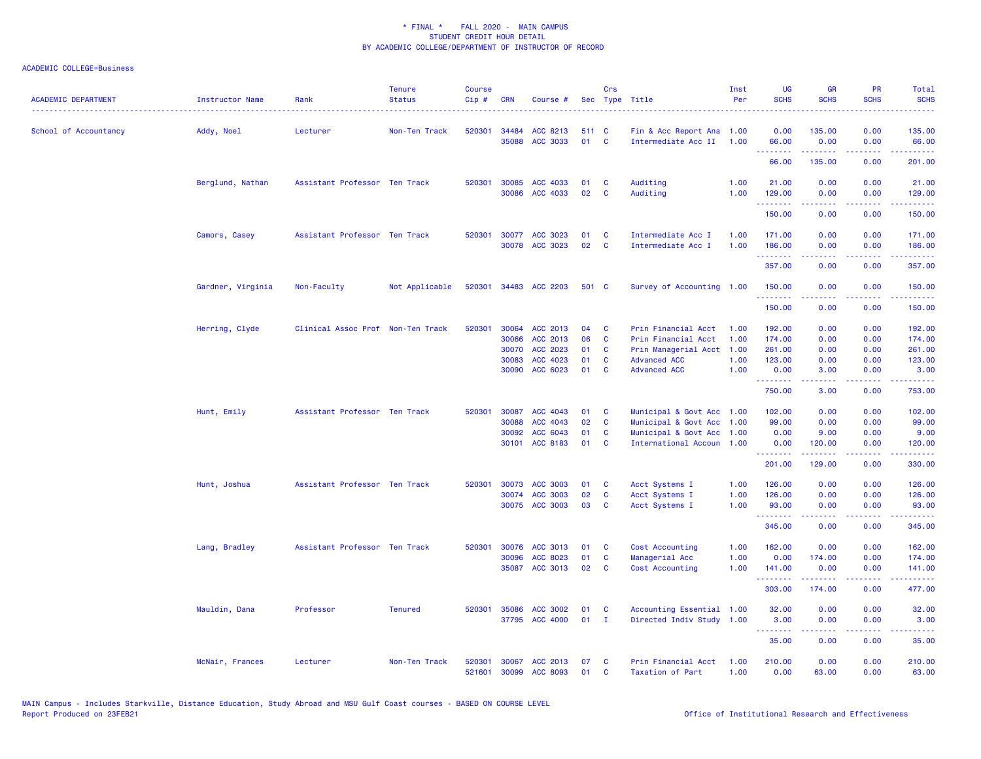| <b>ACADEMIC DEPARTMENT</b> | <b>Instructor Name</b> | Rank                              | <b>Tenure</b><br><b>Status</b> | <b>Course</b><br>Cip# | <b>CRN</b>     | Course #             |             | Crs          | Sec Type Title                              | Inst<br>Per  | UG<br><b>SCHS</b>                                  | <b>GR</b><br><b>SCHS</b>                                                                                                                                     | <b>PR</b><br><b>SCHS</b>                                                                                                          | <b>Total</b><br><b>SCHS</b>                                                                                                     |
|----------------------------|------------------------|-----------------------------------|--------------------------------|-----------------------|----------------|----------------------|-------------|--------------|---------------------------------------------|--------------|----------------------------------------------------|--------------------------------------------------------------------------------------------------------------------------------------------------------------|-----------------------------------------------------------------------------------------------------------------------------------|---------------------------------------------------------------------------------------------------------------------------------|
| School of Accountancy      | Addy, Noel             | Lecturer                          | Non-Ten Track                  | 520301                | 34484<br>35088 | ACC 8213<br>ACC 3033 | 511 C<br>01 | <b>C</b>     | Fin & Acc Report Ana<br>Intermediate Acc II | 1.00<br>1.00 | 0.00<br>66.00                                      | 135.00<br>0.00                                                                                                                                               | 0.00<br>0.00                                                                                                                      | 135.00<br>66.00                                                                                                                 |
|                            |                        |                                   |                                |                       |                |                      |             |              |                                             |              | .<br>66.00                                         | .<br>135.00                                                                                                                                                  | .<br>0.00                                                                                                                         | .<br>201.00                                                                                                                     |
|                            | Berglund, Nathan       | Assistant Professor Ten Track     |                                | 520301                | 30085          | ACC 4033             | 01          | C            | Auditing                                    | 1.00         | 21.00                                              | 0.00                                                                                                                                                         | 0.00                                                                                                                              | 21.00                                                                                                                           |
|                            |                        |                                   |                                |                       | 30086          | ACC 4033             | 02          | C            | Auditing                                    | 1.00         | 129.00<br>.                                        | 0.00                                                                                                                                                         | 0.00                                                                                                                              | 129.00<br>.                                                                                                                     |
|                            |                        |                                   |                                |                       |                |                      |             |              |                                             |              | 150.00                                             | 0.00                                                                                                                                                         | 0.00                                                                                                                              | 150.00                                                                                                                          |
|                            | Camors, Casey          | Assistant Professor Ten Track     |                                | 520301                |                | 30077 ACC 3023       | 01          | C            | Intermediate Acc I                          | 1.00         | 171.00                                             | 0.00                                                                                                                                                         | 0.00                                                                                                                              | 171.00                                                                                                                          |
|                            |                        |                                   |                                |                       |                | 30078 ACC 3023       | 02          | C            | Intermediate Acc I                          | 1.00         | 186.00<br>.                                        | 0.00<br>$\frac{1}{2} \left( \frac{1}{2} \right) \left( \frac{1}{2} \right) \left( \frac{1}{2} \right) \left( \frac{1}{2} \right) \left( \frac{1}{2} \right)$ | 0.00<br>.                                                                                                                         | 186.00<br>$\begin{array}{cccccccccc} \bullet & \bullet & \bullet & \bullet & \bullet & \bullet & \bullet & \bullet \end{array}$ |
|                            |                        |                                   |                                |                       |                |                      |             |              |                                             |              | 357.00                                             | 0.00                                                                                                                                                         | 0.00                                                                                                                              | 357.00                                                                                                                          |
|                            | Gardner, Virginia      | Non-Faculty                       | Not Applicable                 | 520301                | 34483          | <b>ACC 2203</b>      | 501 C       |              | Survey of Accounting 1.00                   |              | 150.00<br><b><i><u><u> - - - - - -</u></u></i></b> | 0.00                                                                                                                                                         | 0.00                                                                                                                              | 150.00                                                                                                                          |
|                            |                        |                                   |                                |                       |                |                      |             |              |                                             |              | 150.00                                             | 0.00                                                                                                                                                         | 0.00                                                                                                                              | 150.00                                                                                                                          |
|                            | Herring, Clyde         | Clinical Assoc Prof Non-Ten Track |                                | 520301                | 30064          | ACC 2013             | 04          | C            | Prin Financial Acct                         | 1.00         | 192.00                                             | 0.00                                                                                                                                                         | 0.00                                                                                                                              | 192.00                                                                                                                          |
|                            |                        |                                   |                                |                       | 30066          | ACC 2013             | 06          | C            | Prin Financial Acct                         | 1.00         | 174.00                                             | 0.00                                                                                                                                                         | 0.00                                                                                                                              | 174.00                                                                                                                          |
|                            |                        |                                   |                                |                       | 30070          | ACC 2023             | 01          | C            | Prin Managerial Acct                        | 1.00         | 261.00                                             | 0.00                                                                                                                                                         | 0.00                                                                                                                              | 261.00                                                                                                                          |
|                            |                        |                                   |                                |                       | 30083          | ACC 4023             | 01          | C            | <b>Advanced ACC</b>                         | 1.00         | 123.00                                             | 0.00                                                                                                                                                         | 0.00                                                                                                                              | 123.00                                                                                                                          |
|                            |                        |                                   |                                |                       | 30090          | ACC 6023             | 01          | C            | <b>Advanced ACC</b>                         | 1.00         | 0.00<br>.                                          | 3.00<br>.                                                                                                                                                    | 0.00<br>2222                                                                                                                      | 3.00                                                                                                                            |
|                            |                        |                                   |                                |                       |                |                      |             |              |                                             |              | 750.00                                             | 3.00                                                                                                                                                         | 0.00                                                                                                                              | 753.00                                                                                                                          |
|                            | Hunt, Emily            | Assistant Professor Ten Track     |                                | 520301                | 30087          | ACC 4043             | 01          | <b>C</b>     | Municipal & Govt Acc 1.00                   |              | 102.00                                             | 0.00                                                                                                                                                         | 0.00                                                                                                                              | 102.00                                                                                                                          |
|                            |                        |                                   |                                |                       | 30088          | ACC 4043             | 02          | C            | Municipal & Govt Acc                        | 1.00         | 99.00                                              | 0.00                                                                                                                                                         | 0.00                                                                                                                              | 99.00                                                                                                                           |
|                            |                        |                                   |                                |                       | 30092          | ACC 6043             | 01          | <b>C</b>     | Municipal & Govt Acc                        | 1.00         | 0.00                                               | 9.00                                                                                                                                                         | 0.00                                                                                                                              | 9.00                                                                                                                            |
|                            |                        |                                   |                                |                       | 30101          | ACC 8183             | 01          | C            | International Accoun 1.00                   |              | 0.00<br>.                                          | 120.00<br>$- - - - - - -$                                                                                                                                    | 0.00<br>.                                                                                                                         | 120.00<br>.                                                                                                                     |
|                            |                        |                                   |                                |                       |                |                      |             |              |                                             |              | 201.00                                             | 129.00                                                                                                                                                       | 0.00                                                                                                                              | 330.00                                                                                                                          |
|                            | Hunt, Joshua           | Assistant Professor Ten Track     |                                | 520301                | 30073          | <b>ACC 3003</b>      | 01          | C            | Acct Systems I                              | 1.00         | 126.00                                             | 0.00                                                                                                                                                         | 0.00                                                                                                                              | 126.00                                                                                                                          |
|                            |                        |                                   |                                |                       | 30074          | <b>ACC 3003</b>      | 02          | C            | Acct Systems I                              | 1.00         | 126.00                                             | 0.00                                                                                                                                                         | 0.00                                                                                                                              | 126.00                                                                                                                          |
|                            |                        |                                   |                                |                       |                | 30075 ACC 3003       | 03          | C            | Acct Systems I                              | 1.00         | 93.00<br>.                                         | 0.00<br>.                                                                                                                                                    | 0.00<br>$\sim$ $\sim$ $\sim$                                                                                                      | 93.00<br>. <b>.</b>                                                                                                             |
|                            |                        |                                   |                                |                       |                |                      |             |              |                                             |              | 345.00                                             | 0.00                                                                                                                                                         | 0.00                                                                                                                              | 345.00                                                                                                                          |
|                            | Lang, Bradley          | Assistant Professor Ten Track     |                                | 520301                | 30076          | ACC 3013             | 01          | C            | Cost Accounting                             | 1.00         | 162.00                                             | 0.00                                                                                                                                                         | 0.00                                                                                                                              | 162.00                                                                                                                          |
|                            |                        |                                   |                                |                       | 30096          | ACC 8023             | 01          | C            | Managerial Acc                              | 1.00         | 0.00                                               | 174.00                                                                                                                                                       | 0.00                                                                                                                              | 174.00                                                                                                                          |
|                            |                        |                                   |                                |                       |                | 35087 ACC 3013       | 02          | C            | Cost Accounting                             | 1.00         | 141.00<br>.                                        | 0.00<br>.                                                                                                                                                    | 0.00<br>.                                                                                                                         | 141.00<br>لأعاط عاطاته                                                                                                          |
|                            |                        |                                   |                                |                       |                |                      |             |              |                                             |              | 303.00                                             | 174.00                                                                                                                                                       | 0.00                                                                                                                              | 477.00                                                                                                                          |
|                            | Mauldin, Dana          | Professor                         | <b>Tenured</b>                 | 520301                | 35086          | <b>ACC 3002</b>      | 01          | <b>C</b>     | Accounting Essential 1.00                   |              | 32.00                                              | 0.00                                                                                                                                                         | 0.00                                                                                                                              | 32.00                                                                                                                           |
|                            |                        |                                   |                                |                       | 37795          | <b>ACC 4000</b>      | 01          | $\mathbf{I}$ | Directed Indiv Study                        | 1.00         | 3.00<br><u>.</u>                                   | 0.00<br>.                                                                                                                                                    | 0.00<br>$\frac{1}{2} \left( \frac{1}{2} \right) \left( \frac{1}{2} \right) \left( \frac{1}{2} \right) \left( \frac{1}{2} \right)$ | 3.00<br>.                                                                                                                       |
|                            |                        |                                   |                                |                       |                |                      |             |              |                                             |              | 35.00                                              | 0.00                                                                                                                                                         | 0.00                                                                                                                              | 35.00                                                                                                                           |
|                            | McNair, Frances        | Lecturer                          | Non-Ten Track                  | 520301                | 30067          | ACC 2013             | 07          | C            | Prin Financial Acct                         | 1.00         | 210.00                                             | 0.00                                                                                                                                                         | 0.00                                                                                                                              | 210.00                                                                                                                          |
|                            |                        |                                   |                                | 521601                | 30099          | <b>ACC 8093</b>      | 01          | $\mathbf{C}$ | <b>Taxation of Part</b>                     | 1.00         | 0.00                                               | 63,00                                                                                                                                                        | 0.00                                                                                                                              | 63.00                                                                                                                           |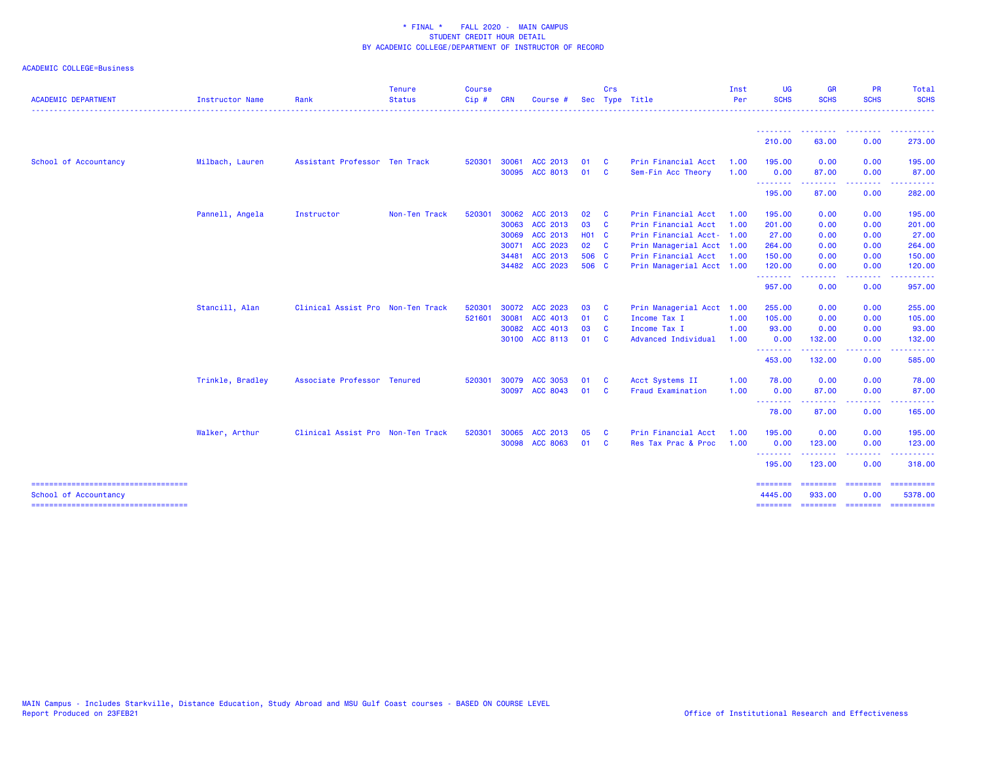| <b>ACADEMIC DEPARTMENT</b>             | Instructor Name  | Rank                              | <b>Tenure</b><br><b>Status</b><br>- - - - - - - - - - - - | <b>Course</b><br>Cip# | <b>CRN</b> | Course #                   |              | <b>Crs</b>                              | Sec Type Title                            | Inst<br>Per  | <b>UG</b><br><b>SCHS</b> | <b>GR</b><br><b>SCHS</b>         | <b>PR</b><br><b>SCHS</b>        | Total<br><b>SCHS</b><br>. |
|----------------------------------------|------------------|-----------------------------------|-----------------------------------------------------------|-----------------------|------------|----------------------------|--------------|-----------------------------------------|-------------------------------------------|--------------|--------------------------|----------------------------------|---------------------------------|---------------------------|
|                                        |                  |                                   |                                                           |                       |            |                            |              |                                         |                                           |              | --------<br>210.00       | --------<br>63.00                | <u> - - - - - - - -</u><br>0.00 | ----------<br>273.00      |
|                                        |                  |                                   |                                                           |                       |            |                            |              |                                         |                                           |              |                          |                                  |                                 |                           |
| School of Accountancy                  | Milbach, Lauren  | Assistant Professor Ten Track     |                                                           | 520301                | 30061      | ACC 2013<br>30095 ACC 8013 | 01<br>01     | $\overline{\mathbf{C}}$<br>$\mathbf{C}$ | Prin Financial Acct<br>Sem-Fin Acc Theory | 1.00<br>1.00 | 195.00<br>0.00           | 0.00<br>87.00                    | 0.00<br>0.00                    | 195.00<br>87.00           |
|                                        |                  |                                   |                                                           |                       |            |                            |              |                                         |                                           |              | <b>.</b> .<br>195.00     | .<br>87.00                       | <b>.</b><br>0.00                | 282.00                    |
|                                        | Pannell, Angela  | Instructor                        | Non-Ten Track                                             | 520301                | 30062      | ACC 2013                   | 02           | <b>C</b>                                | Prin Financial Acct                       | 1.00         | 195.00                   | 0.00                             | 0.00                            | 195.00                    |
|                                        |                  |                                   |                                                           |                       | 30063      | ACC 2013                   | 03           | $\overline{\mathbf{C}}$                 | Prin Financial Acct                       | 1.00         | 201.00                   | 0.00                             | 0.00                            | 201.00                    |
|                                        |                  |                                   |                                                           |                       | 30069      | ACC 2013                   | <b>HO1 C</b> |                                         | Prin Financial Acct- 1.00                 |              | 27.00                    | 0.00                             | 0.00                            | 27.00                     |
|                                        |                  |                                   |                                                           |                       | 30071      | ACC 2023                   | 02 C         |                                         | Prin Managerial Acct 1.00                 |              | 264.00                   | 0.00                             | 0.00                            | 264.00                    |
|                                        |                  |                                   |                                                           |                       | 34481      | ACC 2013                   | 506 C        |                                         | Prin Financial Acct 1.00                  |              | 150.00                   | 0.00                             | 0.00                            | 150.00                    |
|                                        |                  |                                   |                                                           |                       | 34482      | <b>ACC 2023</b>            | 506 C        |                                         | Prin Managerial Acct 1.00                 |              | 120.00                   | 0.00                             | 0.00                            | 120.00                    |
|                                        |                  |                                   |                                                           |                       |            |                            |              |                                         |                                           |              | --------<br>957.00       | .<br>0.00                        | <b>.</b><br>0.00                | .<br>957.00               |
|                                        | Stancill, Alan   | Clinical Assist Pro Non-Ten Track |                                                           | 520301                |            | 30072 ACC 2023             | 03           | $\overline{\mathbf{C}}$                 | Prin Managerial Acct 1.00                 |              | 255.00                   | 0.00                             | 0.00                            | 255.00                    |
|                                        |                  |                                   |                                                           | 521601                | 30081      | ACC 4013                   | 01 C         |                                         | Income Tax I                              | 1.00         | 105.00                   | 0.00                             | 0.00                            | 105.00                    |
|                                        |                  |                                   |                                                           |                       |            | 30082 ACC 4013             | 03           | $\mathbf{C}$                            | Income Tax I                              | 1.00         | 93.00                    | 0.00                             | 0.00                            | 93.00                     |
|                                        |                  |                                   |                                                           |                       |            | 30100 ACC 8113             | 01           | $\mathbf{C}$                            | Advanced Individual                       | 1.00         | 0.00                     | 132.00                           | 0.00                            | 132.00                    |
|                                        |                  |                                   |                                                           |                       |            |                            |              |                                         |                                           |              | --------<br>453.00       | .<br>132.00                      | .<br>0.00                       | 585.00                    |
|                                        | Trinkle, Bradley | Associate Professor Tenured       |                                                           | 520301                | 30079      | ACC 3053                   | 01           | - C                                     | Acct Systems II                           | 1.00         | 78.00                    | 0.00                             | 0.00                            | 78.00                     |
|                                        |                  |                                   |                                                           |                       |            | 30097 ACC 8043             | 01           | $\overline{\mathbf{C}}$                 | <b>Fraud Examination</b>                  | 1.00         | 0.00                     | 87.00                            | 0.00                            | 87.00                     |
|                                        |                  |                                   |                                                           |                       |            |                            |              |                                         |                                           |              | .<br>78.00               | <u> - - - - - - - -</u><br>87.00 | . <u>.</u><br>0.00              | .<br>165.00               |
|                                        | Walker, Arthur   | Clinical Assist Pro Non-Ten Track |                                                           | 520301                | 30065      | ACC 2013                   | 05           | <b>C</b>                                | Prin Financial Acct                       | 1.00         | 195.00                   | 0.00                             | 0.00                            | 195.00                    |
|                                        |                  |                                   |                                                           |                       |            | 30098 ACC 8063             | 01           | $\overline{\mathbf{C}}$                 | Res Tax Prac & Proc                       | 1.00         | 0.00                     | 123.00                           | 0.00                            | 123.00                    |
|                                        |                  |                                   |                                                           |                       |            |                            |              |                                         |                                           |              | .<br>195.00              | .<br>123.00                      | .<br>0.00                       | 318.00                    |
| School of Accountancy                  |                  |                                   |                                                           |                       |            |                            |              |                                         |                                           |              | ========<br>4445.00      | ---------<br>933.00              | ========<br>0.00                | ==========<br>5378.00     |
| ====================================== |                  |                                   |                                                           |                       |            |                            |              |                                         |                                           |              | ========                 | ========                         | ========                        | ==========                |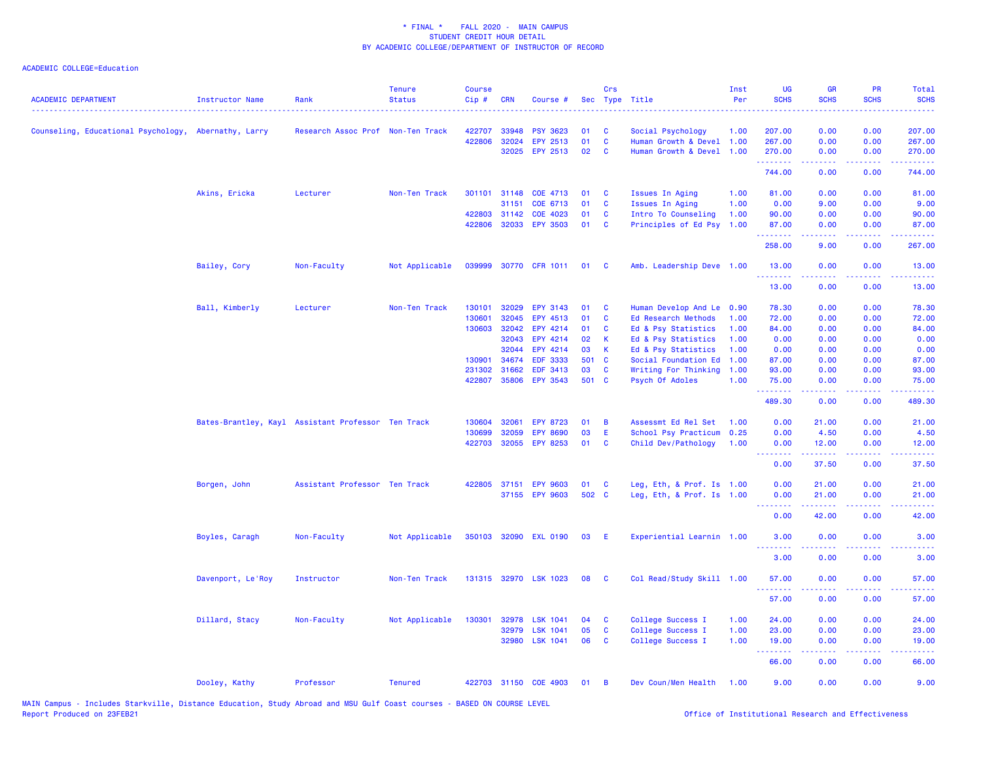| <b>ACADEMIC DEPARTMENT</b>                           | <b>Instructor Name</b> | Rank                                               | <b>Tenure</b><br><b>Status</b> | <b>Course</b><br>Cip# | <b>CRN</b>   | Course #                 |       | Crs          | Sec Type Title            | Inst<br>Per | <b>UG</b><br><b>SCHS</b>            | <b>GR</b><br><b>SCHS</b> | <b>PR</b><br><b>SCHS</b>       | Total<br><b>SCHS</b> |
|------------------------------------------------------|------------------------|----------------------------------------------------|--------------------------------|-----------------------|--------------|--------------------------|-------|--------------|---------------------------|-------------|-------------------------------------|--------------------------|--------------------------------|----------------------|
| Counseling, Educational Psychology, Abernathy, Larry |                        | Research Assoc Prof Non-Ten Track                  |                                | 422707                | 33948        | <b>PSY 3623</b>          | 01    | C            | Social Psychology         | 1.00        | 207.00                              | 0.00                     | 0.00                           | 207.00               |
|                                                      |                        |                                                    |                                | 422806                | 32024        | EPY 2513                 | 01    | $\mathbf{C}$ | Human Growth & Devel 1.00 |             | 267.00                              | 0.00                     | 0.00                           | 267.00               |
|                                                      |                        |                                                    |                                |                       |              | 32025 EPY 2513           | 02    | $\mathbf{C}$ | Human Growth & Devel 1.00 |             | 270.00<br>.                         | 0.00<br>.                | 0.00<br>a a a a a              | 270.00<br>.          |
|                                                      |                        |                                                    |                                |                       |              |                          |       |              |                           |             | 744.00                              | 0.00                     | 0.00                           | 744.00               |
|                                                      | Akins, Ericka          | Lecturer                                           | Non-Ten Track                  |                       | 301101 31148 | COE 4713                 | 01    | C            | Issues In Aging           | 1.00        | 81.00                               | 0.00                     | 0.00                           | 81.00                |
|                                                      |                        |                                                    |                                |                       | 31151        | COE 6713                 | 01    | C            | Issues In Aging           | 1.00        | 0.00                                | 9.00                     | 0.00                           | 9.00                 |
|                                                      |                        |                                                    |                                |                       | 422803 31142 | COE 4023                 | 01    | C            | Intro To Counseling       | 1.00        | 90.00                               | 0.00                     | 0.00                           | 90.00                |
|                                                      |                        |                                                    |                                |                       |              | 422806 32033 EPY 3503    | 01    | C            | Principles of Ed Psy 1.00 |             | 87.00<br><u> 222222</u>             | 0.00<br>.                | 0.00<br>$\omega$ is a $\omega$ | 87.00                |
|                                                      |                        |                                                    |                                |                       |              |                          |       |              |                           |             | 258.00                              | 9.00                     | 0.00                           | 267.00               |
|                                                      | Bailey, Cory           | Non-Faculty                                        | Not Applicable                 |                       |              | 039999 30770 CFR 1011 01 |       | <b>C</b>     | Amb. Leadership Deve 1.00 |             | 13.00<br>.                          | 0.00<br>-----            | 0.00<br>.                      | 13.00                |
|                                                      |                        |                                                    |                                |                       |              |                          |       |              |                           |             | 13.00                               | 0.00                     | 0.00                           | 13.00                |
|                                                      | Ball, Kimberly         | Lecturer                                           | Non-Ten Track                  | 130101                | 32029        | <b>EPY 3143</b>          | 01    | C            | Human Develop And Le      | 0.90        | 78.30                               | 0.00                     | 0.00                           | 78.30                |
|                                                      |                        |                                                    |                                | 130601                | 32045        | EPY 4513                 | 01    | $\mathbf{C}$ | Ed Research Methods       | 1.00        | 72.00                               | 0.00                     | 0.00                           | 72.00                |
|                                                      |                        |                                                    |                                | 130603                | 32042        | EPY 4214                 | 01    | C            | Ed & Psy Statistics       | 1.00        | 84.00                               | 0.00                     | 0.00                           | 84.00                |
|                                                      |                        |                                                    |                                |                       | 32043        | EPY 4214                 | 02    | К            | Ed & Psy Statistics       | 1.00        | 0.00                                | 0.00                     | 0.00                           | 0.00                 |
|                                                      |                        |                                                    |                                |                       | 32044        | EPY 4214                 | 03    | $\mathbf k$  | Ed & Psy Statistics       | 1.00        | 0.00                                | 0.00                     | 0.00                           | 0.00                 |
|                                                      |                        |                                                    |                                | 130901                | 34674        | <b>EDF 3333</b>          | 501   | C            | Social Foundation Ed      | 1.00        | 87.00                               | 0.00                     | 0.00                           | 87.00                |
|                                                      |                        |                                                    |                                | 231302                | 31662        | EDF 3413                 | 03    | C            | Writing For Thinking      | 1.00        | 93.00                               | 0.00                     | 0.00                           | 93.00                |
|                                                      |                        |                                                    |                                |                       |              | 422807 35806 EPY 3543    | 501 C |              | Psych Of Adoles           | 1.00        | 75.00                               | 0.00                     | 0.00                           | 75.00                |
|                                                      |                        |                                                    |                                |                       |              |                          |       |              |                           |             | .<br>489.30                         | 0.00                     | 0.00                           | 489.30               |
|                                                      |                        | Bates-Brantley, Kayl Assistant Professor Ten Track |                                | 130604                | 32061        | <b>EPY 8723</b>          | 01    | B            | Assessmt Ed Rel Set       | 1.00        | 0.00                                | 21.00                    | 0.00                           | 21.00                |
|                                                      |                        |                                                    |                                | 130699                | 32059        | <b>EPY 8690</b>          | 03    | E            | School Psy Practicum      | 0.25        | 0.00                                | 4.50                     | 0.00                           | 4.50                 |
|                                                      |                        |                                                    |                                | 422703                | 32055        | <b>EPY 8253</b>          | 01    | C            | Child Dev/Pathology       | 1.00        | 0.00                                | 12.00                    | 0.00                           | 12.00                |
|                                                      |                        |                                                    |                                |                       |              |                          |       |              |                           |             | <u>.</u>                            | <u>.</u>                 | .                              | .                    |
|                                                      |                        |                                                    |                                |                       |              |                          |       |              |                           |             | 0.00                                | 37.50                    | 0.00                           | 37.50                |
|                                                      | Borgen, John           | Assistant Professor Ten Track                      |                                |                       | 422805 37151 | <b>EPY 9603</b>          | 01    | C            | Leg, Eth, & Prof. Is 1.00 |             | 0.00                                | 21.00                    | 0.00                           | 21.00                |
|                                                      |                        |                                                    |                                |                       |              | 37155 EPY 9603           | 502 C |              | Leg, Eth, & Prof. Is 1.00 |             | 0.00                                | 21.00                    | 0.00                           | 21.00                |
|                                                      |                        |                                                    |                                |                       |              |                          |       |              |                           |             | .                                   | 22222                    | $\sim$ $\sim$ $\sim$           |                      |
|                                                      |                        |                                                    |                                |                       |              |                          |       |              |                           |             | 0.00                                | 42.00                    | 0.00                           | 42.00                |
|                                                      | Boyles, Caragh         | Non-Faculty                                        | Not Applicable                 |                       |              | 350103 32090 EXL 0190    | 03    | Æ            | Experiential Learnin 1.00 |             | 3.00<br>$\sim$ $\sim$ $\sim$ $\sim$ | 0.00                     | 0.00                           | 3.00                 |
|                                                      |                        |                                                    |                                |                       |              |                          |       |              |                           |             | 3.00                                | 0.00                     | 0.00                           | 3.00                 |
|                                                      | Davenport, Le'Roy      | Instructor                                         | Non-Ten Track                  |                       |              | 131315 32970 LSK 1023    | 08    | <b>C</b>     | Col Read/Study Skill 1.00 |             | 57.00<br>.                          | 0.00<br>د د د د د        | 0.00<br>-----                  | 57.00                |
|                                                      |                        |                                                    |                                |                       |              |                          |       |              |                           |             | 57.00                               | 0.00                     | 0.00                           | 57.00                |
|                                                      | Dillard, Stacy         | Non-Faculty                                        | Not Applicable                 | 130301                | 32978        | <b>LSK 1041</b>          | 04    | C            | College Success I         | 1.00        | 24.00                               | 0.00                     | 0.00                           | 24.00                |
|                                                      |                        |                                                    |                                |                       | 32979        | <b>LSK 1041</b>          | 05    | $\mathbf c$  | College Success I         | 1.00        | 23.00                               | 0.00                     | 0.00                           | 23.00                |
|                                                      |                        |                                                    |                                |                       | 32980        | <b>LSK 1041</b>          | 06    | $\mathbf{C}$ | College Success I         | 1.00        | 19.00                               | 0.00                     | 0.00                           | 19.00                |
|                                                      |                        |                                                    |                                |                       |              |                          |       |              |                           |             | .<br>66.00                          | 0.00                     | 0.00                           | 66.00                |
|                                                      | Dooley, Kathy          | Professor                                          | <b>Tenured</b>                 |                       |              | 422703 31150 COE 4903    | 01    | B            | Dev Coun/Men Health       | 1.00        | 9.00                                | 0.00                     | 0.00                           | 9.00                 |
|                                                      |                        |                                                    |                                |                       |              |                          |       |              |                           |             |                                     |                          |                                |                      |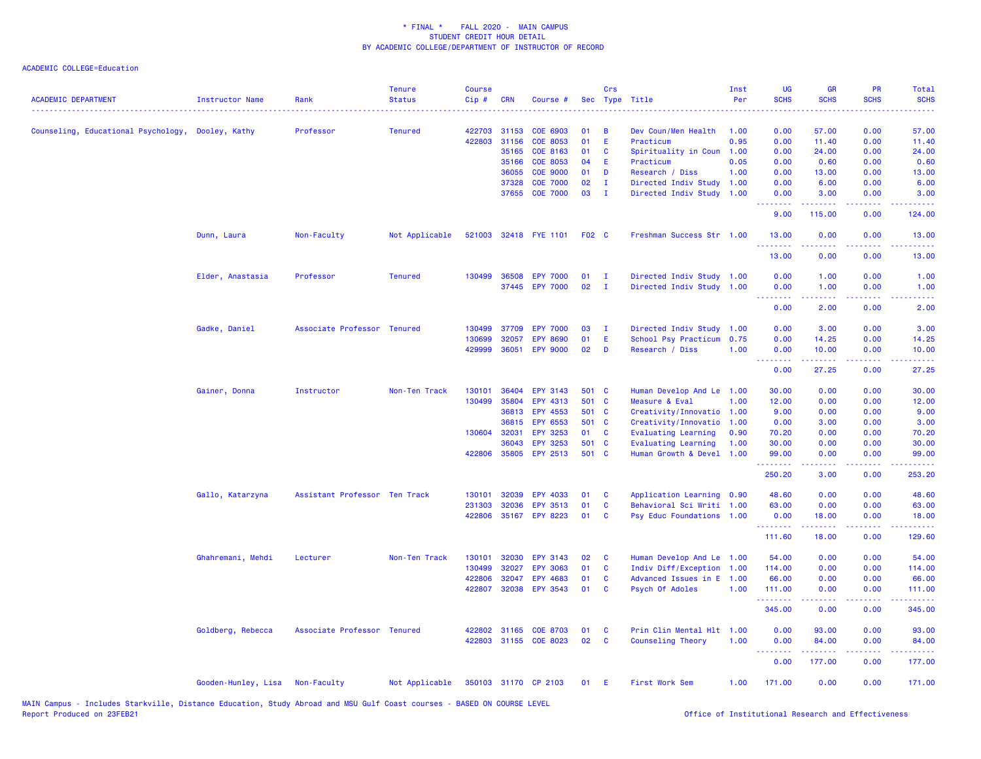## ACADEMIC COLLEGE=Education

| <b>ACADEMIC DEPARTMENT</b>                        | <b>Instructor Name</b> | Rank                          | <b>Tenure</b><br><b>Status</b> | <b>Course</b><br>Cip# | <b>CRN</b>     | Course #                    | Sec          | Crs          | Type Title                        | Inst<br>Per  | UG<br><b>SCHS</b>                                          | <b>GR</b><br><b>SCHS</b>                                                                                                                                      | PR<br><b>SCHS</b>                                                                                      | Total<br><b>SCHS</b>                                                                                                              |
|---------------------------------------------------|------------------------|-------------------------------|--------------------------------|-----------------------|----------------|-----------------------------|--------------|--------------|-----------------------------------|--------------|------------------------------------------------------------|---------------------------------------------------------------------------------------------------------------------------------------------------------------|--------------------------------------------------------------------------------------------------------|-----------------------------------------------------------------------------------------------------------------------------------|
|                                                   |                        |                               |                                |                       |                |                             |              |              |                                   |              |                                                            |                                                                                                                                                               |                                                                                                        |                                                                                                                                   |
| Counseling, Educational Psychology, Dooley, Kathy |                        | Professor                     | <b>Tenured</b>                 | 422703                | 31153          | COE 6903                    | 01           | В<br>E       | Dev Coun/Men Health               | 1.00<br>0.95 | 0.00                                                       | 57.00                                                                                                                                                         | 0.00                                                                                                   | 57.00                                                                                                                             |
|                                                   |                        |                               |                                | 422803                | 31156<br>35165 | <b>COE 8053</b><br>COE 8163 | 01<br>01     | C            | Practicum<br>Spirituality in Coun | 1.00         | 0.00<br>0.00                                               | 11.40<br>24.00                                                                                                                                                | 0.00<br>0.00                                                                                           | 11.40<br>24.00                                                                                                                    |
|                                                   |                        |                               |                                |                       | 35166          | <b>COE 8053</b>             | 04           | E            | Practicum                         | 0.05         | 0.00                                                       | 0.60                                                                                                                                                          | 0.00                                                                                                   | 0.60                                                                                                                              |
|                                                   |                        |                               |                                |                       | 36055          | <b>COE 9000</b>             | 01           | D            | Research / Diss                   | 1.00         | 0.00                                                       | 13.00                                                                                                                                                         | 0.00                                                                                                   | 13.00                                                                                                                             |
|                                                   |                        |                               |                                |                       | 37328          | <b>COE 7000</b>             | 02           | $\mathbf I$  | Directed Indiv Study              | 1.00         | 0.00                                                       | 6.00                                                                                                                                                          | 0.00                                                                                                   | 6.00                                                                                                                              |
|                                                   |                        |                               |                                |                       | 37655          | <b>COE 7000</b>             | 03           | $\mathbf{I}$ | Directed Indiv Study              | 1.00         | 0.00                                                       | 3.00                                                                                                                                                          | 0.00                                                                                                   | 3.00                                                                                                                              |
|                                                   |                        |                               |                                |                       |                |                             |              |              |                                   |              | .<br>9.00                                                  | .<br>115.00                                                                                                                                                   | .<br>0.00                                                                                              | والمناصبات<br>124.00                                                                                                              |
|                                                   | Dunn, Laura            | Non-Faculty                   | Not Applicable                 |                       |                | 521003 32418 FYE 1101       | <b>F02 C</b> |              | Freshman Success Str 1.00         |              | 13.00<br>.                                                 | 0.00<br>.                                                                                                                                                     | 0.00<br>د د د د                                                                                        | 13.00<br>وعاعاها                                                                                                                  |
|                                                   |                        |                               |                                |                       |                |                             |              |              |                                   |              | 13.00                                                      | 0.00                                                                                                                                                          | 0.00                                                                                                   | 13.00                                                                                                                             |
|                                                   | Elder, Anastasia       | Professor                     | <b>Tenured</b>                 | 130499                | 36508          | <b>EPY 7000</b>             | 01           | Ι.           | Directed Indiv Study 1.00         |              | 0.00                                                       | 1.00                                                                                                                                                          | 0.00                                                                                                   | 1.00                                                                                                                              |
|                                                   |                        |                               |                                |                       |                | 37445 EPY 7000              | 02           | $\mathbf{I}$ | Directed Indiv Study              | 1.00         | 0.00<br>.                                                  | 1.00<br>.                                                                                                                                                     | 0.00<br>.                                                                                              | 1.00<br>$\frac{1}{2} \left( \frac{1}{2} \right) \left( \frac{1}{2} \right) \left( \frac{1}{2} \right) \left( \frac{1}{2} \right)$ |
|                                                   |                        |                               |                                |                       |                |                             |              |              |                                   |              | 0.00                                                       | 2.00                                                                                                                                                          | 0.00                                                                                                   | 2.00                                                                                                                              |
|                                                   | Gadke, Daniel          | Associate Professor Tenured   |                                | 130499                | 37709          | <b>EPY 7000</b>             | 03           | $\mathbf{I}$ | Directed Indiv Study 1.00         |              | 0.00                                                       | 3.00                                                                                                                                                          | 0.00                                                                                                   | 3.00                                                                                                                              |
|                                                   |                        |                               |                                | 130699                | 32057          | <b>EPY 8690</b>             | 01           | Ε            | School Psy Practicum              | 0.75         | 0.00                                                       | 14.25                                                                                                                                                         | 0.00                                                                                                   | 14.25                                                                                                                             |
|                                                   |                        |                               |                                | 429999                | 36051          | <b>EPY 9000</b>             | 02           | D            | Research / Diss                   | 1.00         | 0.00                                                       | 10.00                                                                                                                                                         | 0.00                                                                                                   | 10.00                                                                                                                             |
|                                                   |                        |                               |                                |                       |                |                             |              |              |                                   |              | .<br>0.00                                                  | بالالالال<br>27.25                                                                                                                                            | .<br>0.00                                                                                              | وعاعاها<br>27.25                                                                                                                  |
|                                                   | Gainer, Donna          | Instructor                    | Non-Ten Track                  | 130101                | 36404          | EPY 3143                    | 501 C        |              | Human Develop And Le              | 1.00         | 30.00                                                      | 0.00                                                                                                                                                          | 0.00                                                                                                   | 30.00                                                                                                                             |
|                                                   |                        |                               |                                | 130499                | 35804          | EPY 4313                    | 501          | $\mathbf{C}$ | Measure & Eval                    | 1.00         | 12.00                                                      | 0.00                                                                                                                                                          | 0.00                                                                                                   | 12.00                                                                                                                             |
|                                                   |                        |                               |                                |                       | 36813          | EPY 4553                    | 501 C        |              | Creativity/Innovatio 1.00         |              | 9.00                                                       | 0.00                                                                                                                                                          | 0.00                                                                                                   | 9.00                                                                                                                              |
|                                                   |                        |                               |                                |                       | 36815          | EPY 6553                    | 501 C        |              | Creativity/Innovatio              | 1.00         | 0.00                                                       | 3.00                                                                                                                                                          | 0.00                                                                                                   | 3.00                                                                                                                              |
|                                                   |                        |                               |                                | 130604                | 32031          | EPY 3253                    | 01           | C            | <b>Evaluating Learning</b>        | 0.90         | 70.20                                                      | 0.00                                                                                                                                                          | 0.00                                                                                                   | 70.20                                                                                                                             |
|                                                   |                        |                               |                                |                       | 36043          | EPY 3253                    | 501 C        |              | <b>Evaluating Learning</b>        | 1.00         | 30.00                                                      | 0.00                                                                                                                                                          | 0.00                                                                                                   | 30.00                                                                                                                             |
|                                                   |                        |                               |                                | 422806                | 35805          | <b>EPY 2513</b>             | 501 C        |              | Human Growth & Devel 1.00         |              | 99.00<br>.                                                 | 0.00<br>.                                                                                                                                                     | 0.00<br>د د د د                                                                                        | 99.00<br>.                                                                                                                        |
|                                                   |                        |                               |                                |                       |                |                             |              |              |                                   |              | 250.20                                                     | 3.00                                                                                                                                                          | 0.00                                                                                                   | 253.20                                                                                                                            |
|                                                   | Gallo, Katarzyna       | Assistant Professor Ten Track |                                | 130101                | 32039          | <b>EPY 4033</b>             | 01           | C            | Application Learning 0.90         |              | 48.60                                                      | 0.00                                                                                                                                                          | 0.00                                                                                                   | 48.60                                                                                                                             |
|                                                   |                        |                               |                                | 231303                | 32036          | <b>EPY 3513</b>             | 01           | C            | Behavioral Sci Writi 1.00         |              | 63.00                                                      | 0.00                                                                                                                                                          | 0.00                                                                                                   | 63.00                                                                                                                             |
|                                                   |                        |                               |                                | 422806                |                | 35167 EPY 8223              | 01           | <b>C</b>     | Psy Educ Foundations 1.00         |              | 0.00<br>.                                                  | 18.00<br>$\frac{1}{2} \left( \frac{1}{2} \right) \left( \frac{1}{2} \right) \left( \frac{1}{2} \right) \left( \frac{1}{2} \right) \left( \frac{1}{2} \right)$ | 0.00<br>.                                                                                              | 18.00<br>.                                                                                                                        |
|                                                   |                        |                               |                                |                       |                |                             |              |              |                                   |              | 111.60                                                     | 18.00                                                                                                                                                         | 0.00                                                                                                   | 129.60                                                                                                                            |
|                                                   | Ghahremani, Mehdi      | Lecturer                      | Non-Ten Track                  | 130101                | 32030          | EPY 3143                    | 02           | C            | Human Develop And Le 1.00         |              | 54.00                                                      | 0.00                                                                                                                                                          | 0.00                                                                                                   | 54.00                                                                                                                             |
|                                                   |                        |                               |                                | 130499                | 32027          | <b>EPY 3063</b>             | 01           | C            | Indiv Diff/Exception              | 1.00         | 114.00                                                     | 0.00                                                                                                                                                          | 0.00                                                                                                   | 114.00                                                                                                                            |
|                                                   |                        |                               |                                | 422806                | 32047          | EPY 4683                    | 01           | C            | Advanced Issues in E              | 1.00         | 66.00                                                      | 0.00                                                                                                                                                          | 0.00                                                                                                   | 66.00                                                                                                                             |
|                                                   |                        |                               |                                | 422807                | 32038          | EPY 3543                    | 01           | C            | Psych Of Adoles                   | 1.00         | 111.00<br><b><i><u><u><b>Little Little</b></u></u></i></b> | 0.00                                                                                                                                                          | 0.00<br>2222                                                                                           | 111.00<br>.                                                                                                                       |
|                                                   |                        |                               |                                |                       |                |                             |              |              |                                   |              | 345.00                                                     | 0.00                                                                                                                                                          | 0.00                                                                                                   | 345.00                                                                                                                            |
|                                                   | Goldberg, Rebecca      | Associate Professor Tenured   |                                | 422802                | 31165          | <b>COE 8703</b>             | 01           | <b>C</b>     | Prin Clin Mental Hlt 1.00         |              | 0.00                                                       | 93.00                                                                                                                                                         | 0.00                                                                                                   | 93.00                                                                                                                             |
|                                                   |                        |                               |                                | 422803                |                | 31155 COE 8023              | 02           | C            | Counseling Theory                 | 1.00         | 0.00<br><u>.</u>                                           | 84.00                                                                                                                                                         | 0.00                                                                                                   | 84.00<br>.                                                                                                                        |
|                                                   |                        |                               |                                |                       |                |                             |              |              |                                   |              | 0.00                                                       | 177.00                                                                                                                                                        | $\frac{1}{2} \left( \frac{1}{2} \right) \left( \frac{1}{2} \right) \left( \frac{1}{2} \right)$<br>0.00 | 177.00                                                                                                                            |
|                                                   | Gooden-Hunley, Lisa    | Non-Faculty                   | Not Applicable                 |                       |                | 350103 31170 CP 2103        | 01           | -E           | First Work Sem                    | 1.00         | 171.00                                                     | 0.00                                                                                                                                                          | 0.00                                                                                                   | 171.00                                                                                                                            |

MAIN Campus - Includes Starkville, Distance Education, Study Abroad and MSU Gulf Coast courses - BASED ON COURSE LEVEL<br>Report Produced on 23FEB21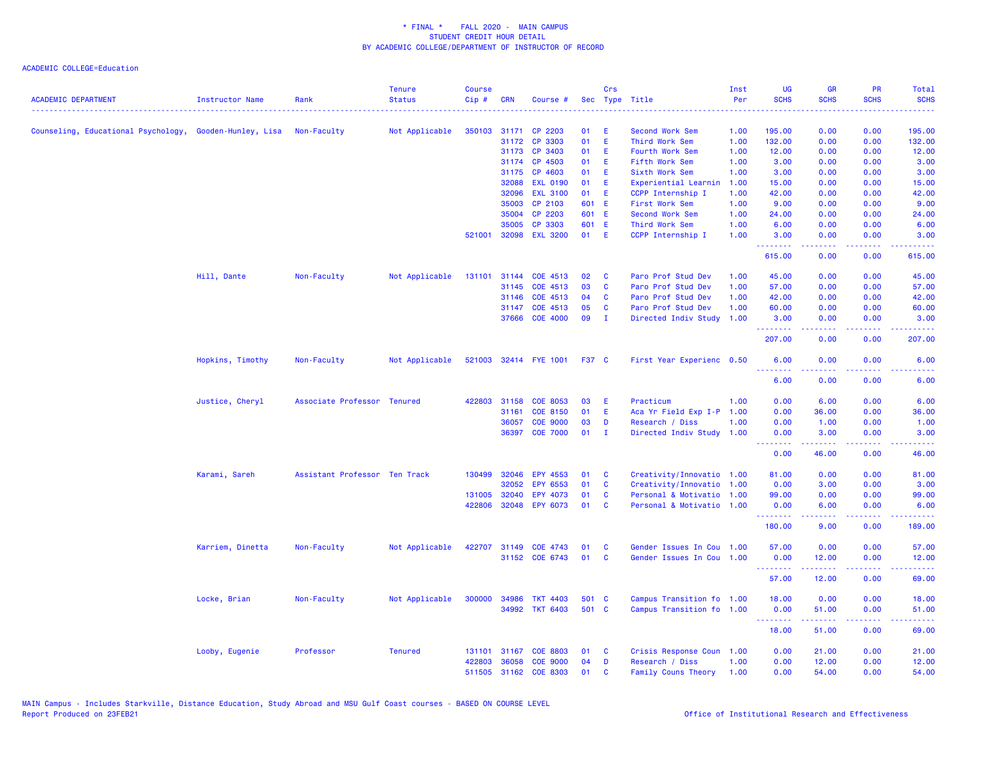| <b>ACADEMIC DEPARTMENT</b>                              | <b>Instructor Name</b> | Rank                          | <b>Tenure</b><br><b>Status</b> | <b>Course</b><br>Cip# | <b>CRN</b>   | Course #              |              | Crs          | Sec Type Title            | Inst<br>Per | <b>UG</b><br><b>SCHS</b> | <b>GR</b><br><b>SCHS</b> | <b>PR</b><br><b>SCHS</b>                                                                               | Total<br><b>SCHS</b>                                                                                                               |
|---------------------------------------------------------|------------------------|-------------------------------|--------------------------------|-----------------------|--------------|-----------------------|--------------|--------------|---------------------------|-------------|--------------------------|--------------------------|--------------------------------------------------------------------------------------------------------|------------------------------------------------------------------------------------------------------------------------------------|
| Counseling, Educational Psychology, Gooden-Hunley, Lisa |                        | Non-Faculty                   | Not Applicable                 |                       | 350103 31171 | CP 2203               | 01           | Ε            | Second Work Sem           | 1.00        | 195.00                   | 0.00                     | 0.00                                                                                                   | 195.00                                                                                                                             |
|                                                         |                        |                               |                                |                       | 31172        | CP 3303               | 01           | E            | Third Work Sem            | 1.00        | 132.00                   | 0.00                     | 0.00                                                                                                   | 132.00                                                                                                                             |
|                                                         |                        |                               |                                |                       | 31173        | CP 3403               | 01           | E.           | Fourth Work Sem           | 1.00        | 12.00                    | 0.00                     | 0.00                                                                                                   | 12.00                                                                                                                              |
|                                                         |                        |                               |                                |                       | 31174        | CP 4503               | 01           | Ε            | Fifth Work Sem            | 1.00        | 3.00                     | 0.00                     | 0.00                                                                                                   | 3.00                                                                                                                               |
|                                                         |                        |                               |                                |                       | 31175        | CP 4603               | 01           | E            | Sixth Work Sem            | 1.00        | 3.00                     | 0.00                     | 0.00                                                                                                   | 3.00                                                                                                                               |
|                                                         |                        |                               |                                |                       | 32088        | <b>EXL 0190</b>       | 01           | E.           | Experiential Learnin      | 1.00        | 15.00                    | 0.00                     | 0.00                                                                                                   | 15.00                                                                                                                              |
|                                                         |                        |                               |                                |                       | 32096        | <b>EXL 3100</b>       | 01           | E            | CCPP Internship I         | 1.00        | 42.00                    | 0.00                     | 0.00                                                                                                   | 42.00                                                                                                                              |
|                                                         |                        |                               |                                |                       | 35003        | CP 2103               | 601          | E            | First Work Sem            | 1.00        | 9.00                     | 0.00                     | 0.00                                                                                                   | 9.00                                                                                                                               |
|                                                         |                        |                               |                                |                       | 35004        | CP 2203               | 601 E        |              | Second Work Sem           | 1.00        | 24.00                    | 0.00                     | 0.00                                                                                                   | 24.00                                                                                                                              |
|                                                         |                        |                               |                                |                       | 35005        | CP 3303               | 601 E        |              | Third Work Sem            | 1.00        | 6.00                     | 0.00                     | 0.00                                                                                                   | 6.00                                                                                                                               |
|                                                         |                        |                               |                                | 521001                | 32098        | <b>EXL 3200</b>       | 01           | E            | CCPP Internship I         | 1.00        | 3.00                     | 0.00                     | 0.00                                                                                                   | 3.00                                                                                                                               |
|                                                         |                        |                               |                                |                       |              |                       |              |              |                           |             | .<br>615.00              | 0.00                     | $\sim$ $\sim$ $\sim$ $\sim$<br>0.00                                                                    | 615.00                                                                                                                             |
|                                                         | Hill, Dante            | Non-Faculty                   | Not Applicable                 | 131101                | 31144        | COE 4513              | 02           | C            | Paro Prof Stud Dev        | 1.00        | 45.00                    | 0.00                     | 0.00                                                                                                   | 45.00                                                                                                                              |
|                                                         |                        |                               |                                |                       | 31145        | COE 4513              | 03           | C            | Paro Prof Stud Dev        | 1.00        | 57.00                    | 0.00                     | 0.00                                                                                                   | 57.00                                                                                                                              |
|                                                         |                        |                               |                                |                       | 31146        | COE 4513              | 04           | C            | Paro Prof Stud Dev        | 1.00        | 42.00                    | 0.00                     | 0.00                                                                                                   | 42.00                                                                                                                              |
|                                                         |                        |                               |                                |                       | 31147        | COE 4513              | 05           | C            | Paro Prof Stud Dev        | 1.00        | 60.00                    | 0.00                     | 0.00                                                                                                   | 60.00                                                                                                                              |
|                                                         |                        |                               |                                |                       | 37666        | <b>COE 4000</b>       | 09           | $\mathbf{I}$ | Directed Indiv Study      | 1.00        | 3.00<br>.                | 0.00<br>.                | 0.00<br>$\frac{1}{2} \left( \frac{1}{2} \right) \left( \frac{1}{2} \right) \left( \frac{1}{2} \right)$ | 3.00<br>.                                                                                                                          |
|                                                         |                        |                               |                                |                       |              |                       |              |              |                           |             | 207.00                   | 0.00                     | 0.00                                                                                                   | 207.00                                                                                                                             |
|                                                         | Hopkins, Timothy       | Non-Faculty                   | Not Applicable                 |                       |              | 521003 32414 FYE 1001 | <b>F37 C</b> |              | First Year Experienc 0.50 |             | 6.00<br><u>.</u>         | 0.00<br>.                | 0.00<br>.                                                                                              | 6.00                                                                                                                               |
|                                                         |                        |                               |                                |                       |              |                       |              |              |                           |             | 6.00                     | 0.00                     | 0.00                                                                                                   | 6.00                                                                                                                               |
|                                                         | Justice, Cheryl        | Associate Professor Tenured   |                                | 422803                | 31158        | COE 8053              | 03           | Ε            | Practicum                 | 1.00        | 0.00                     | 6.00                     | 0.00                                                                                                   | 6.00                                                                                                                               |
|                                                         |                        |                               |                                |                       | 31161        | COE 8150              | 01           | E            | Aca Yr Field Exp I-P 1.00 |             | 0.00                     | 36.00                    | 0.00                                                                                                   | 36.00                                                                                                                              |
|                                                         |                        |                               |                                |                       | 36057        | <b>COE 9000</b>       | 03           | D            | Research / Diss           | 1.00        | 0.00                     | 1.00                     | 0.00                                                                                                   | 1.00                                                                                                                               |
|                                                         |                        |                               |                                |                       | 36397        | <b>COE 7000</b>       | 01           | л.           | Directed Indiv Study      | 1.00        | 0.00<br><u>.</u>         | 3.00<br>-----            | 0.00<br>$\sim$ $\sim$ $\sim$ $\sim$                                                                    | 3.00<br>-----                                                                                                                      |
|                                                         |                        |                               |                                |                       |              |                       |              |              |                           |             | 0.00                     | 46.00                    | 0.00                                                                                                   | 46.00                                                                                                                              |
|                                                         | Karami, Sareh          | Assistant Professor Ten Track |                                |                       | 130499 32046 | EPY 4553              | 01           | C            | Creativity/Innovatio 1.00 |             | 81.00                    | 0.00                     | 0.00                                                                                                   | 81.00                                                                                                                              |
|                                                         |                        |                               |                                |                       | 32052        | EPY 6553              | 01           | C            | Creativity/Innovatio 1.00 |             | 0.00                     | 3.00                     | 0.00                                                                                                   | 3.00                                                                                                                               |
|                                                         |                        |                               |                                | 131005                | 32040        | EPY 4073              | 01           | C            | Personal & Motivatio 1.00 |             | 99.00                    | 0.00                     | 0.00                                                                                                   | 99.00                                                                                                                              |
|                                                         |                        |                               |                                | 422806                |              | 32048 EPY 6073        | 01           | C            | Personal & Motivatio 1.00 |             | 0.00<br>.                | 6.00<br>$- - - - -$      | 0.00<br>.                                                                                              | 6.00<br>.                                                                                                                          |
|                                                         |                        |                               |                                |                       |              |                       |              |              |                           |             | 180.00                   | 9.00                     | 0.00                                                                                                   | 189.00                                                                                                                             |
|                                                         | Karriem, Dinetta       | Non-Faculty                   | Not Applicable                 |                       | 422707 31149 | COE 4743              | 01           | C            | Gender Issues In Cou 1.00 |             | 57.00                    | 0.00                     | 0.00                                                                                                   | 57.00                                                                                                                              |
|                                                         |                        |                               |                                |                       |              | 31152 COE 6743        | 01           | C            | Gender Issues In Cou 1.00 |             | 0.00                     | 12.00                    | 0.00                                                                                                   | 12.00                                                                                                                              |
|                                                         |                        |                               |                                |                       |              |                       |              |              |                           |             | .<br>57.00               | المتمام المتمار<br>12.00 | الداعات عادة<br>0.00                                                                                   | $\frac{1}{2} \left( \frac{1}{2} \right) \left( \frac{1}{2} \right) \left( \frac{1}{2} \right) \left( \frac{1}{2} \right)$<br>69.00 |
|                                                         | Locke, Brian           | Non-Faculty                   | Not Applicable                 |                       | 300000 34986 | <b>TKT 4403</b>       | 501 C        |              | Campus Transition fo 1.00 |             | 18.00                    | 0.00                     | 0.00                                                                                                   | 18.00                                                                                                                              |
|                                                         |                        |                               |                                |                       |              | 34992 TKT 6403        | 501 C        |              | Campus Transition fo 1.00 |             | 0.00                     | 51.00                    | 0.00                                                                                                   | 51.00                                                                                                                              |
|                                                         |                        |                               |                                |                       |              |                       |              |              |                           |             | .<br>18.00               | <u>.</u><br>51.00        | $\frac{1}{2} \left( \frac{1}{2} \right) \left( \frac{1}{2} \right) \left( \frac{1}{2} \right)$<br>0.00 | 69.00                                                                                                                              |
|                                                         | Looby, Eugenie         | Professor                     | <b>Tenured</b>                 | 131101                | 31167        | <b>COE 8803</b>       | 01           | C            | Crisis Response Coun 1.00 |             | 0.00                     | 21.00                    | 0.00                                                                                                   | 21.00                                                                                                                              |
|                                                         |                        |                               |                                | 422803                | 36058        | <b>COE 9000</b>       | 04           | D            | Research / Diss           | 1.00        | 0.00                     | 12.00                    | 0.00                                                                                                   | 12.00                                                                                                                              |
|                                                         |                        |                               |                                |                       | 511505 31162 | <b>COE 8303</b>       | 01           | C            | Family Couns Theory       | 1.00        | 0.00                     | 54.00                    | 0.00                                                                                                   | 54.00                                                                                                                              |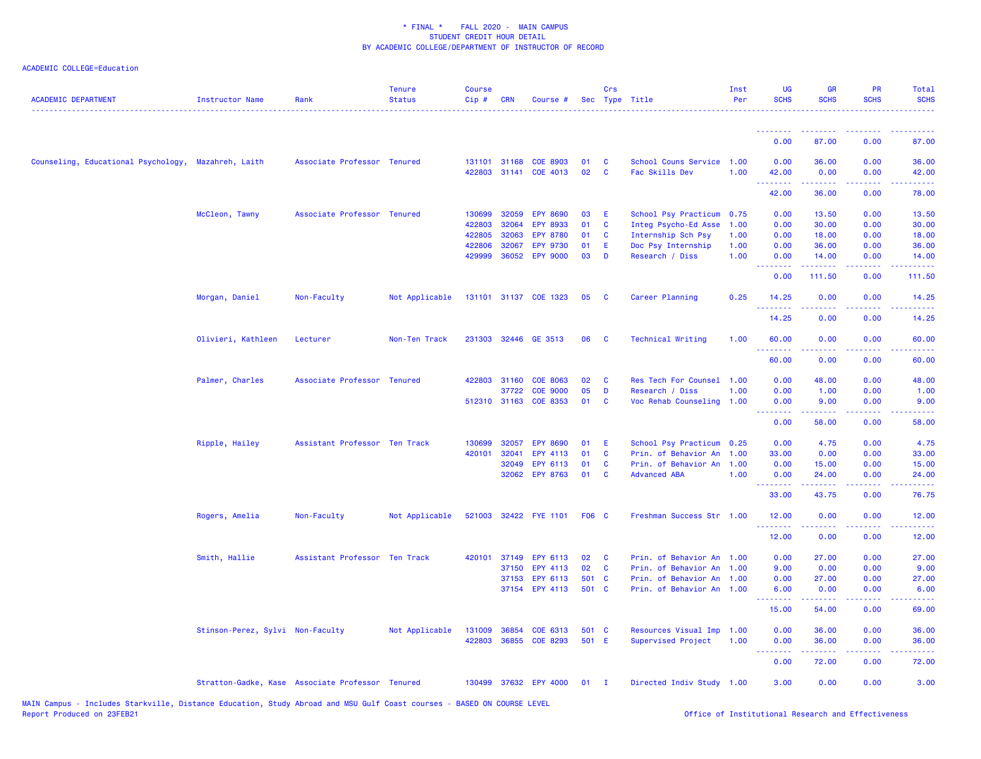| <b>ACADEMIC DEPARTMENT</b>                          | Instructor Name                                  | Rank                          | <b>Tenure</b><br><b>Status</b> | <b>Course</b><br>$Cip \#$ | <b>CRN</b>     | Course #                           |              | Crs               | Sec Type Title                              | Inst<br>Per  | UG<br><b>SCHS</b>               | <b>GR</b><br><b>SCHS</b>                                                                                                                                     | PR<br><b>SCHS</b>                                                                                                                 | Total<br><b>SCHS</b>                                                                                                                                         |
|-----------------------------------------------------|--------------------------------------------------|-------------------------------|--------------------------------|---------------------------|----------------|------------------------------------|--------------|-------------------|---------------------------------------------|--------------|---------------------------------|--------------------------------------------------------------------------------------------------------------------------------------------------------------|-----------------------------------------------------------------------------------------------------------------------------------|--------------------------------------------------------------------------------------------------------------------------------------------------------------|
|                                                     |                                                  |                               |                                |                           |                |                                    |              |                   |                                             |              | <u> - - - - - - - -</u>         | 87.00                                                                                                                                                        |                                                                                                                                   |                                                                                                                                                              |
|                                                     |                                                  |                               |                                |                           |                |                                    |              |                   |                                             |              | 0.00                            |                                                                                                                                                              | 0.00                                                                                                                              | 87.00                                                                                                                                                        |
| Counseling, Educational Psychology, Mazahreh, Laith |                                                  | Associate Professor Tenured   |                                | 131101<br>422803          | 31168<br>31141 | <b>COE 8903</b><br>COE 4013        | 01<br>02     | C<br>$\mathbf{C}$ | School Couns Service 1.00<br>Fac Skills Dev | 1.00         | 0.00<br>42.00<br><u>.</u>       | 36.00<br>0.00                                                                                                                                                | 0.00<br>0.00<br>$\frac{1}{2} \left( \frac{1}{2} \right) \left( \frac{1}{2} \right) \left( \frac{1}{2} \right)$                    | 36.00<br>42.00<br>.                                                                                                                                          |
|                                                     |                                                  |                               |                                |                           |                |                                    |              |                   |                                             |              | 42.00                           | 36.00                                                                                                                                                        | 0.00                                                                                                                              | 78.00                                                                                                                                                        |
|                                                     | McCleon, Tawny                                   | Associate Professor Tenured   |                                | 130699                    | 32059          | <b>EPY 8690</b>                    | 03           | Е                 | School Psy Practicum                        | 0.75         | 0.00                            | 13.50                                                                                                                                                        | 0.00                                                                                                                              | 13.50                                                                                                                                                        |
|                                                     |                                                  |                               |                                | 422803                    | 32064<br>32063 | <b>EPY 8933</b>                    | 01           | C                 | Integ Psycho-Ed Asse                        | 1.00         | 0.00                            | 30.00                                                                                                                                                        | 0.00                                                                                                                              | 30.00                                                                                                                                                        |
|                                                     |                                                  |                               |                                | 422805<br>422806          | 32067          | <b>EPY 8780</b><br><b>EPY 9730</b> | 01<br>01     | C<br>Ε            | Internship Sch Psy<br>Doc Psy Internship    | 1.00<br>1.00 | 0.00<br>0.00                    | 18.00<br>36.00                                                                                                                                               | 0.00<br>0.00                                                                                                                      | 18.00<br>36.00                                                                                                                                               |
|                                                     |                                                  |                               |                                | 429999                    |                | 36052 EPY 9000                     | 03           | D                 | Research / Diss                             | 1.00         | 0.00                            | 14.00                                                                                                                                                        | 0.00                                                                                                                              | 14.00                                                                                                                                                        |
|                                                     |                                                  |                               |                                |                           |                |                                    |              |                   |                                             |              | .<br>0.00                       | .<br>111.50                                                                                                                                                  | .<br>0.00                                                                                                                         | .<br>111.50                                                                                                                                                  |
|                                                     | Morgan, Daniel                                   | Non-Faculty                   | Not Applicable                 |                           |                | 131101 31137 COE 1323              | 05           | <b>C</b>          | Career Planning                             | 0.25         | 14.25<br><u>.</u>               | 0.00<br>.                                                                                                                                                    | 0.00<br>$\frac{1}{2} \left( \frac{1}{2} \right) \left( \frac{1}{2} \right) \left( \frac{1}{2} \right)$                            | 14.25<br>.                                                                                                                                                   |
|                                                     |                                                  |                               |                                |                           |                |                                    |              |                   |                                             |              | 14.25                           | 0.00                                                                                                                                                         | 0.00                                                                                                                              | 14.25                                                                                                                                                        |
|                                                     | Olivieri, Kathleen                               | Lecturer                      | Non-Ten Track                  |                           |                | 231303 32446 GE 3513               | 06           | C                 | <b>Technical Writing</b>                    | 1.00         | 60.00                           | 0.00<br>.                                                                                                                                                    | 0.00<br>$\frac{1}{2} \left( \frac{1}{2} \right) \left( \frac{1}{2} \right) \left( \frac{1}{2} \right) \left( \frac{1}{2} \right)$ | 60.00<br>$\frac{1}{2} \left( \frac{1}{2} \right) \left( \frac{1}{2} \right) \left( \frac{1}{2} \right) \left( \frac{1}{2} \right)$                           |
|                                                     |                                                  |                               |                                |                           |                |                                    |              |                   |                                             |              | 60.00                           | 0.00                                                                                                                                                         | 0.00                                                                                                                              | 60.00                                                                                                                                                        |
|                                                     | Palmer, Charles                                  | Associate Professor Tenured   |                                | 422803                    | 31160          | <b>COE 8063</b>                    | 02           | C                 | Res Tech For Counsel 1.00                   |              | 0.00                            | 48.00                                                                                                                                                        | 0.00                                                                                                                              | 48.00                                                                                                                                                        |
|                                                     |                                                  |                               |                                |                           | 37722          | <b>COE 9000</b>                    | 05           | D                 | Research / Diss                             | 1.00         | 0.00                            | 1.00                                                                                                                                                         | 0.00                                                                                                                              | 1.00                                                                                                                                                         |
|                                                     |                                                  |                               |                                |                           |                | 512310 31163 COE 8353              | 01           | <b>C</b>          | Voc Rehab Counseling                        | 1.00         | 0.00<br><u>.</u>                | 9.00<br>$\frac{1}{2} \left( \frac{1}{2} \right) \left( \frac{1}{2} \right) \left( \frac{1}{2} \right) \left( \frac{1}{2} \right) \left( \frac{1}{2} \right)$ | 0.00<br>.                                                                                                                         | 9.00<br>$\frac{1}{2} \left( \frac{1}{2} \right) \left( \frac{1}{2} \right) \left( \frac{1}{2} \right) \left( \frac{1}{2} \right) \left( \frac{1}{2} \right)$ |
|                                                     |                                                  |                               |                                |                           |                |                                    |              |                   |                                             |              | 0.00                            | 58.00                                                                                                                                                        | 0.00                                                                                                                              | 58.00                                                                                                                                                        |
|                                                     | Ripple, Hailey                                   | Assistant Professor Ten Track |                                | 130699                    | 32057          | <b>EPY 8690</b>                    | 01           | Е                 | School Psy Practicum                        | 0.25         | 0.00                            | 4.75                                                                                                                                                         | 0.00                                                                                                                              | 4.75                                                                                                                                                         |
|                                                     |                                                  |                               |                                | 420101                    | 32041          | EPY 4113                           | 01           | <b>C</b>          | Prin. of Behavior An                        | 1.00         | 33.00                           | 0.00                                                                                                                                                         | 0.00                                                                                                                              | 33.00                                                                                                                                                        |
|                                                     |                                                  |                               |                                |                           | 32049<br>32062 | EPY 6113<br><b>EPY 8763</b>        | 01<br>01     | C<br><b>C</b>     | Prin. of Behavior An<br><b>Advanced ABA</b> | 1.00<br>1.00 | 0.00                            | 15.00                                                                                                                                                        | 0.00<br>0.00                                                                                                                      | 15.00<br>24.00                                                                                                                                               |
|                                                     |                                                  |                               |                                |                           |                |                                    |              |                   |                                             |              | 0.00<br>.                       | 24.00                                                                                                                                                        | والمحامل                                                                                                                          | د د د د د                                                                                                                                                    |
|                                                     |                                                  |                               |                                |                           |                |                                    |              |                   |                                             |              | 33.00                           | 43.75                                                                                                                                                        | 0.00                                                                                                                              | 76.75                                                                                                                                                        |
|                                                     | Rogers, Amelia                                   | Non-Faculty                   | Not Applicable                 |                           |                | 521003 32422 FYE 1101              | <b>F06 C</b> |                   | Freshman Success Str 1.00                   |              | 12.00<br>.                      | 0.00<br>.                                                                                                                                                    | 0.00<br>$\sim$ $\sim$ $\sim$ $\sim$                                                                                               | 12.00<br>د د د د د                                                                                                                                           |
|                                                     |                                                  |                               |                                |                           |                |                                    |              |                   |                                             |              | 12.00                           | 0.00                                                                                                                                                         | 0.00                                                                                                                              | 12.00                                                                                                                                                        |
|                                                     | Smith, Hallie                                    | Assistant Professor Ten Track |                                | 420101                    | 37149          | EPY 6113                           | 02           | <b>C</b>          | Prin. of Behavior An                        | 1.00         | 0.00                            | 27.00                                                                                                                                                        | 0.00                                                                                                                              | 27.00                                                                                                                                                        |
|                                                     |                                                  |                               |                                |                           |                | 37150 EPY 4113                     | 02           | <b>C</b>          | Prin. of Behavior An                        | 1.00         | 9.00                            | 0.00                                                                                                                                                         | 0.00                                                                                                                              | 9.00                                                                                                                                                         |
|                                                     |                                                  |                               |                                |                           | 37153          | EPY 6113                           | 501<br>501 C | $\mathbf{C}$      | Prin. of Behavior An                        | 1.00<br>1.00 | 0.00                            | 27.00                                                                                                                                                        | 0.00<br>0.00                                                                                                                      | 27.00                                                                                                                                                        |
|                                                     |                                                  |                               |                                |                           |                | 37154 EPY 4113                     |              |                   | Prin. of Behavior An                        |              | 6.00<br>.                       | 0.00                                                                                                                                                         | $\sim$ $\sim$ $\sim$ $\sim$                                                                                                       | 6.00<br>$\frac{1}{2} \left( \frac{1}{2} \right) \left( \frac{1}{2} \right) \left( \frac{1}{2} \right) \left( \frac{1}{2} \right)$                            |
|                                                     |                                                  |                               |                                |                           |                |                                    |              |                   |                                             |              | 15.00                           | 54.00                                                                                                                                                        | 0.00                                                                                                                              | 69.00                                                                                                                                                        |
|                                                     | Stinson-Perez, Sylvi Non-Faculty                 |                               | Not Applicable                 | 131009                    | 36854          | COE 6313                           | 501 C        |                   | Resources Visual Imp 1.00                   |              | 0.00                            | 36.00                                                                                                                                                        | 0.00                                                                                                                              | 36.00                                                                                                                                                        |
|                                                     |                                                  |                               |                                | 422803                    |                | 36855 COE 8293                     | 501 E        |                   | Supervised Project                          | 1.00         | 0.00<br><u> - - - - - - - -</u> | 36.00<br>.                                                                                                                                                   | 0.00<br>$\sim$ $\sim$ $\sim$ $\sim$                                                                                               | 36.00<br>$- - - - -$                                                                                                                                         |
|                                                     |                                                  |                               |                                |                           |                |                                    |              |                   |                                             |              | 0.00                            | 72.00                                                                                                                                                        | 0.00                                                                                                                              | 72.00                                                                                                                                                        |
|                                                     | Stratton-Gadke, Kase Associate Professor Tenured |                               |                                |                           |                | 130499 37632 EPY 4000              | $01$ I       |                   | Directed Indiv Study 1.00                   |              | 3.00                            | 0.00                                                                                                                                                         | 0.00                                                                                                                              | 3.00                                                                                                                                                         |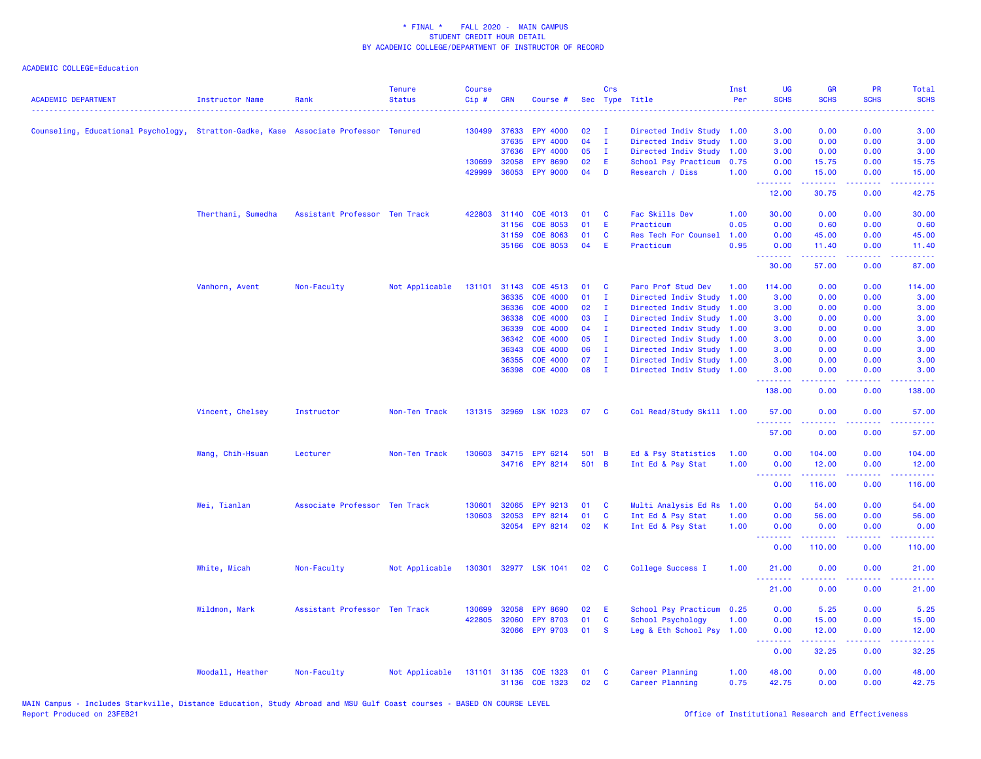| <b>ACADEMIC DEPARTMENT</b>                                                           | <b>Instructor Name</b> | Rank                          | <b>Tenure</b><br><b>Status</b> | <b>Course</b><br>Cip# | <b>CRN</b>   | Course #        |       | Crs          | Sec Type Title            | Inst<br>Per | UG<br><b>SCHS</b><br>222 L                       | <b>GR</b><br><b>SCHS</b>                                                                                                                                     | PR<br><b>SCHS</b> | Total<br><b>SCHS</b>                                                                                                                                           |
|--------------------------------------------------------------------------------------|------------------------|-------------------------------|--------------------------------|-----------------------|--------------|-----------------|-------|--------------|---------------------------|-------------|--------------------------------------------------|--------------------------------------------------------------------------------------------------------------------------------------------------------------|-------------------|----------------------------------------------------------------------------------------------------------------------------------------------------------------|
| Counseling, Educational Psychology, Stratton-Gadke, Kase Associate Professor Tenured |                        |                               |                                | 130499                | 37633        | <b>EPY 4000</b> | 02    | - 1          | Directed Indiv Study 1.00 |             | 3.00                                             | 0.00                                                                                                                                                         | 0.00              | 3.00                                                                                                                                                           |
|                                                                                      |                        |                               |                                |                       | 37635        | EPY 4000        | 04    | T            | Directed Indiv Study      | 1.00        | 3.00                                             | 0.00                                                                                                                                                         | 0.00              | 3.00                                                                                                                                                           |
|                                                                                      |                        |                               |                                |                       | 37636        | <b>EPY 4000</b> | 05    | $\mathbf{I}$ | Directed Indiv Study      | 1.00        | 3.00                                             | 0.00                                                                                                                                                         | 0.00              | 3.00                                                                                                                                                           |
|                                                                                      |                        |                               |                                |                       | 130699 32058 | <b>EPY 8690</b> | 02    | Æ            | School Psy Practicum      | 0.75        | 0.00                                             | 15.75                                                                                                                                                        | 0.00              | 15.75                                                                                                                                                          |
|                                                                                      |                        |                               |                                | 429999                | 36053        | <b>EPY 9000</b> | 04    | D            | Research / Diss           | 1.00        | 0.00<br>.                                        | 15.00<br>.                                                                                                                                                   | 0.00<br>.         | 15.00<br>.                                                                                                                                                     |
|                                                                                      |                        |                               |                                |                       |              |                 |       |              |                           |             | 12.00                                            | 30.75                                                                                                                                                        | 0.00              | 42.75                                                                                                                                                          |
|                                                                                      | Therthani, Sumedha     | Assistant Professor Ten Track |                                |                       | 422803 31140 | COE 4013        | 01    | C            | Fac Skills Dev            | 1.00        | 30.00                                            | 0.00                                                                                                                                                         | 0.00              | 30.00                                                                                                                                                          |
|                                                                                      |                        |                               |                                |                       | 31156        | <b>COE 8053</b> | 01    | E            | Practicum                 | 0.05        | 0.00                                             | 0.60                                                                                                                                                         | 0.00              | 0.60                                                                                                                                                           |
|                                                                                      |                        |                               |                                |                       | 31159        | <b>COE 8063</b> | 01    | C            | Res Tech For Counsel      | 1.00        | 0.00                                             | 45.00                                                                                                                                                        | 0.00              | 45.00                                                                                                                                                          |
|                                                                                      |                        |                               |                                |                       | 35166        | <b>COE 8053</b> | 04    | Ε            | Practicum                 | 0.95        | 0.00                                             | 11.40                                                                                                                                                        | 0.00              | 11.40                                                                                                                                                          |
|                                                                                      |                        |                               |                                |                       |              |                 |       |              |                           |             | .<br>30.00                                       | 57.00                                                                                                                                                        | 0.00              | وعاعاتها<br>87.00                                                                                                                                              |
|                                                                                      | Vanhorn, Avent         | Non-Faculty                   | Not Applicable                 |                       | 131101 31143 | COE 4513        | 01    | <b>C</b>     | Paro Prof Stud Dev        | 1.00        | 114.00                                           | 0.00                                                                                                                                                         | 0.00              | 114.00                                                                                                                                                         |
|                                                                                      |                        |                               |                                |                       | 36335        | <b>COE 4000</b> | 01    | $\mathbf{I}$ | Directed Indiv Study      | 1.00        | 3.00                                             | 0.00                                                                                                                                                         | 0.00              | 3.00                                                                                                                                                           |
|                                                                                      |                        |                               |                                |                       | 36336        | <b>COE 4000</b> | 02    | $\mathbf{I}$ | Directed Indiv Study      | 1.00        | 3.00                                             | 0.00                                                                                                                                                         | 0.00              | 3.00                                                                                                                                                           |
|                                                                                      |                        |                               |                                |                       | 36338        | <b>COE 4000</b> | 03    | $\mathbf{I}$ | Directed Indiv Study      | 1.00        | 3.00                                             | 0.00                                                                                                                                                         | 0.00              | 3.00                                                                                                                                                           |
|                                                                                      |                        |                               |                                |                       | 36339        | <b>COE 4000</b> | 04    | $\mathbf{I}$ | Directed Indiv Study      | 1.00        | 3.00                                             | 0.00                                                                                                                                                         | 0.00              | 3.00                                                                                                                                                           |
|                                                                                      |                        |                               |                                |                       | 36342        | <b>COE 4000</b> | 05    | $\mathbf{I}$ | Directed Indiv Study      | 1.00        | 3.00                                             | 0.00                                                                                                                                                         | 0.00              | 3.00                                                                                                                                                           |
|                                                                                      |                        |                               |                                |                       | 36343        | <b>COE 4000</b> | 06    | - I          | Directed Indiv Study      | 1.00        | 3.00                                             | 0.00                                                                                                                                                         | 0.00              | 3.00                                                                                                                                                           |
|                                                                                      |                        |                               |                                |                       | 36355        | <b>COE 4000</b> | 07    | $\mathbf{I}$ | Directed Indiv Study 1.00 |             | 3.00                                             | 0.00                                                                                                                                                         | 0.00              | 3.00                                                                                                                                                           |
|                                                                                      |                        |                               |                                |                       | 36398        | <b>COE 4000</b> | 08    | $\mathbf{I}$ | Directed Indiv Study 1.00 |             | 3.00<br><b><i><u><u> - - - - - -</u></u></i></b> | 0.00<br>.                                                                                                                                                    | 0.00<br>.         | 3.00<br>.                                                                                                                                                      |
|                                                                                      |                        |                               |                                |                       |              |                 |       |              |                           |             | 138.00                                           | 0.00                                                                                                                                                         | 0.00              | 138.00                                                                                                                                                         |
|                                                                                      | Vincent, Chelsey       | Instructor                    | Non-Ten Track                  |                       | 131315 32969 | <b>LSK 1023</b> | 07    | C            | Col Read/Study Skill 1.00 |             | 57.00<br>.                                       | 0.00<br>$\frac{1}{2} \left( \frac{1}{2} \right) \left( \frac{1}{2} \right) \left( \frac{1}{2} \right) \left( \frac{1}{2} \right) \left( \frac{1}{2} \right)$ | 0.00<br>.         | 57.00<br>.                                                                                                                                                     |
|                                                                                      |                        |                               |                                |                       |              |                 |       |              |                           |             | 57.00                                            | 0.00                                                                                                                                                         | 0.00              | 57.00                                                                                                                                                          |
|                                                                                      | Wang, Chih-Hsuan       | Lecturer                      | Non-Ten Track                  | 130603                |              | 34715 EPY 6214  | 501 B |              | Ed & Psy Statistics       | 1.00        | 0.00                                             | 104.00                                                                                                                                                       | 0.00              | 104.00                                                                                                                                                         |
|                                                                                      |                        |                               |                                |                       |              | 34716 EPY 8214  | 501 B |              | Int Ed & Psy Stat         | 1.00        | 0.00                                             | 12.00                                                                                                                                                        | 0.00              | 12.00                                                                                                                                                          |
|                                                                                      |                        |                               |                                |                       |              |                 |       |              |                           |             | .<br>0.00                                        | د د د د د د<br>116.00                                                                                                                                        | .<br>0.00         | $\frac{1}{2} \left( \frac{1}{2} \right) \left( \frac{1}{2} \right) \left( \frac{1}{2} \right) \left( \frac{1}{2} \right) \left( \frac{1}{2} \right)$<br>116.00 |
|                                                                                      | Wei, Tianlan           | Associate Professor Ten Track |                                | 130601                | 32065        | EPY 9213        | 01    | C            | Multi Analysis Ed Rs      | 1.00        | 0.00                                             | 54.00                                                                                                                                                        | 0.00              | 54.00                                                                                                                                                          |
|                                                                                      |                        |                               |                                |                       | 130603 32053 | EPY 8214        | 01    | C            | Int Ed & Psy Stat         | 1.00        | 0.00                                             | 56.00                                                                                                                                                        | 0.00              | 56.00                                                                                                                                                          |
|                                                                                      |                        |                               |                                |                       | 32054        | EPY 8214        | 02    | $\mathsf{K}$ | Int Ed & Psy Stat         | 1.00        | 0.00<br>.                                        | 0.00<br>.                                                                                                                                                    | 0.00<br>.         | 0.00<br>.                                                                                                                                                      |
|                                                                                      |                        |                               |                                |                       |              |                 |       |              |                           |             | 0.00                                             | 110.00                                                                                                                                                       | 0.00              | 110.00                                                                                                                                                         |
|                                                                                      | White, Micah           | Non-Faculty                   | Not Applicable                 | 130301                |              | 32977 LSK 1041  | 02    | <b>C</b>     | College Success I         | 1.00        | 21.00<br>.                                       | 0.00                                                                                                                                                         | 0.00              | 21.00                                                                                                                                                          |
|                                                                                      |                        |                               |                                |                       |              |                 |       |              |                           |             | 21.00                                            | 0.00                                                                                                                                                         | 0.00              | 21.00                                                                                                                                                          |
|                                                                                      | Wildmon, Mark          | Assistant Professor Ten Track |                                | 130699                | 32058        | <b>EPY 8690</b> | 02    | E            | School Psy Practicum      | 0.25        | 0.00                                             | 5.25                                                                                                                                                         | 0.00              | 5.25                                                                                                                                                           |
|                                                                                      |                        |                               |                                | 422805                | 32060        | <b>EPY 8703</b> | 01    | C            | School Psychology         | 1.00        | 0.00                                             | 15.00                                                                                                                                                        | 0.00              | 15.00                                                                                                                                                          |
|                                                                                      |                        |                               |                                |                       | 32066        | <b>EPY 9703</b> | 01    | <b>S</b>     | Leg & Eth School Psy 1.00 |             | 0.00<br>.                                        | 12.00<br>.                                                                                                                                                   | 0.00<br>.         | 12.00<br>.                                                                                                                                                     |
|                                                                                      |                        |                               |                                |                       |              |                 |       |              |                           |             | 0.00                                             | 32.25                                                                                                                                                        | 0.00              | 32.25                                                                                                                                                          |
|                                                                                      | Woodall, Heather       | Non-Faculty                   | Not Applicable                 | 131101 31135          |              | COE 1323        | 01    | C            | Career Planning           | 1.00        | 48.00                                            | 0.00                                                                                                                                                         | 0.00              | 48.00                                                                                                                                                          |
|                                                                                      |                        |                               |                                |                       |              | 31136 COE 1323  | 02    | C            | Career Planning           | 0.75        | 42.75                                            | 0.00                                                                                                                                                         | 0.00              | 42.75                                                                                                                                                          |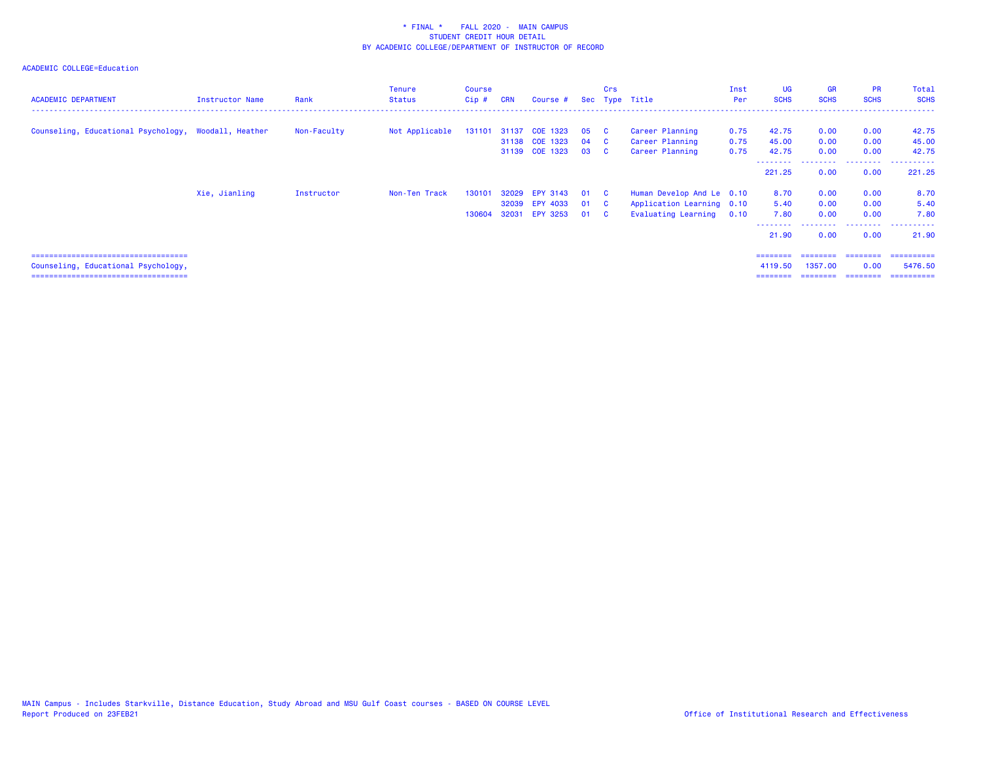| <b>ACADEMIC DEPARTMENT</b>                                                                                             | <b>Instructor Name</b> | Rank        | <b>Tenure</b><br><b>Status</b> | Course<br>Cip #  | <b>CRN</b>              | Course #                                              |                  | Crs                                            | Sec Type Title                                                                     | Inst<br>Per          | UG<br><b>SCHS</b>               | <b>GR</b><br><b>SCHS</b>        | <b>PR</b><br><b>SCHS</b>      | <b>Total</b><br><b>SCHS</b>         |
|------------------------------------------------------------------------------------------------------------------------|------------------------|-------------|--------------------------------|------------------|-------------------------|-------------------------------------------------------|------------------|------------------------------------------------|------------------------------------------------------------------------------------|----------------------|---------------------------------|---------------------------------|-------------------------------|-------------------------------------|
| Counseling, Educational Psychology, Woodall, Heather                                                                   |                        | Non-Faculty | Not Applicable                 | 131101           | 31137                   | COE 1323<br>31138 COE 1323<br>31139 COE 1323          | 05<br>04<br>03 C | $\overline{c}$<br>$\overline{c}$               | Career Planning<br>Career Planning<br>Career Planning                              | 0.75<br>0.75<br>0.75 | 42.75<br>45.00<br>42.75         | 0.00<br>0.00<br>0.00            | 0.00<br>0.00<br>0.00          | 42.75<br>45.00<br>42.75             |
|                                                                                                                        |                        |             |                                |                  |                         |                                                       |                  |                                                |                                                                                    |                      | --------<br>221.25              | 0.00                            | 0.00                          | 221.25                              |
|                                                                                                                        | Xie, Jianling          | Instructor  | Non-Ten Track                  | 130101<br>130604 | 32029<br>32039<br>32031 | <b>EPY 3143</b><br><b>EPY 4033</b><br><b>EPY 3253</b> | 01<br>01<br>01   | $\mathbf{C}$<br>$\overline{c}$<br>$\mathbf{c}$ | Human Develop And Le 0.10<br>Application Learning 0.10<br>Evaluating Learning 0.10 |                      | 8.70<br>5.40<br>7.80<br>21.90   | 0.00<br>0.00<br>0.00<br>0.00    | 0.00<br>0.00<br>0.00<br>0.00  | 8.70<br>5.40<br>7.80<br>21.90       |
| ======================================<br>Counseling, Educational Psychology,<br>===================================== |                        |             |                                |                  |                         |                                                       |                  |                                                |                                                                                    |                      | ========<br>4119.50<br>======== | ========<br>1357,00<br>======== | ========<br>0.00<br>--------- | ==========<br>5476.50<br>========== |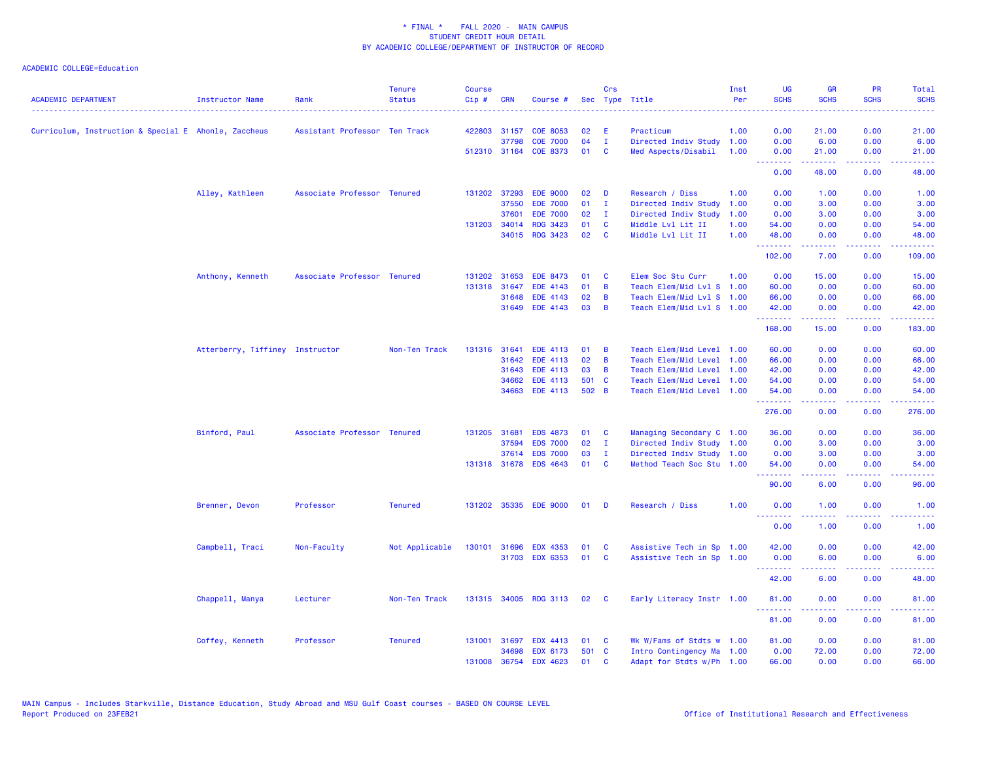| <b>ACADEMIC DEPARTMENT</b>                           | Instructor Name                 | Rank                          | <b>Tenure</b><br><b>Status</b> | <b>Course</b><br>Cip# | <b>CRN</b>   | Course #              |       | Crs            | Sec Type Title            | Inst<br>Per | <b>UG</b><br><b>SCHS</b> | <b>GR</b><br><b>SCHS</b>                                                                                                                                     | <b>PR</b><br><b>SCHS</b> | Total<br><b>SCHS</b> |
|------------------------------------------------------|---------------------------------|-------------------------------|--------------------------------|-----------------------|--------------|-----------------------|-------|----------------|---------------------------|-------------|--------------------------|--------------------------------------------------------------------------------------------------------------------------------------------------------------|--------------------------|----------------------|
|                                                      |                                 |                               |                                |                       |              |                       |       |                |                           |             |                          |                                                                                                                                                              |                          |                      |
| Curriculum, Instruction & Special E Ahonle, Zaccheus |                                 | Assistant Professor Ten Track |                                |                       | 422803 31157 | <b>COE 8053</b>       | 02    | Ε              | Practicum                 | 1.00        | 0.00                     | 21.00                                                                                                                                                        | 0.00                     | 21.00                |
|                                                      |                                 |                               |                                |                       | 37798        | <b>COE 7000</b>       | 04    | $\mathbf{I}$   | Directed Indiv Study      | 1.00        | 0.00                     | 6.00                                                                                                                                                         | 0.00                     | 6.00                 |
|                                                      |                                 |                               |                                |                       |              | 512310 31164 COE 8373 | 01    | <b>C</b>       | Med Aspects/Disabil       | 1.00        | 0.00<br>--------         | 21.00<br>.                                                                                                                                                   | 0.00<br>.                | 21.00<br>.           |
|                                                      |                                 |                               |                                |                       |              |                       |       |                |                           |             | 0.00                     | 48.00                                                                                                                                                        | 0.00                     | 48.00                |
|                                                      | Alley, Kathleen                 | Associate Professor Tenured   |                                |                       | 131202 37293 | <b>EDE 9000</b>       | 02    | D              | Research / Diss           | 1.00        | 0.00                     | 1.00                                                                                                                                                         | 0.00                     | 1.00                 |
|                                                      |                                 |                               |                                |                       | 37550        | <b>EDE 7000</b>       | 01    | - I            | Directed Indiv Study      | 1.00        | 0.00                     | 3.00                                                                                                                                                         | 0.00                     | 3.00                 |
|                                                      |                                 |                               |                                |                       | 37601        | <b>EDE 7000</b>       | 02    | $\mathbf{I}$   | Directed Indiv Study      | 1.00        | 0.00                     | 3.00                                                                                                                                                         | 0.00                     | 3.00                 |
|                                                      |                                 |                               |                                |                       | 131203 34014 | <b>RDG 3423</b>       | 01    | C              | Middle Lvl Lit II         | 1.00        | 54.00                    | 0.00                                                                                                                                                         | 0.00                     | 54.00                |
|                                                      |                                 |                               |                                |                       | 34015        | <b>RDG 3423</b>       | 02    | C              | Middle Lvl Lit II         | 1.00        | 48.00<br>.               | 0.00<br>$\omega = \omega \left( \omega \right) \omega$                                                                                                       | 0.00<br>الأعاماء         | 48.00<br>المتمامين   |
|                                                      |                                 |                               |                                |                       |              |                       |       |                |                           |             | 102.00                   | 7.00                                                                                                                                                         | 0.00                     | 109.00               |
|                                                      | Anthony, Kenneth                | Associate Professor Tenured   |                                | 131202                | 31653        | EDE 8473              | 01    | <b>C</b>       | Elem Soc Stu Curr         | 1.00        | 0.00                     | 15.00                                                                                                                                                        | 0.00                     | 15.00                |
|                                                      |                                 |                               |                                | 131318                | 31647        | EDE 4143              | 01    | B              | Teach Elem/Mid Lvl S      | 1.00        | 60.00                    | 0.00                                                                                                                                                         | 0.00                     | 60.00                |
|                                                      |                                 |                               |                                |                       | 31648        | EDE 4143              | 02    | B              | Teach Elem/Mid Lvl S 1.00 |             | 66.00                    | 0.00                                                                                                                                                         | 0.00                     | 66.00                |
|                                                      |                                 |                               |                                |                       | 31649        | EDE 4143              | 03    | B              | Teach Elem/Mid Lvl S 1.00 |             | 42.00<br>.               | 0.00<br>$\frac{1}{2} \left( \frac{1}{2} \right) \left( \frac{1}{2} \right) \left( \frac{1}{2} \right) \left( \frac{1}{2} \right) \left( \frac{1}{2} \right)$ | 0.00<br>.                | 42.00<br>.           |
|                                                      |                                 |                               |                                |                       |              |                       |       |                |                           |             | 168.00                   | 15.00                                                                                                                                                        | 0.00                     | 183.00               |
|                                                      | Atterberry, Tiffiney Instructor |                               | Non-Ten Track                  |                       | 131316 31641 | EDE 4113              | 01    | B              | Teach Elem/Mid Level 1.00 |             | 60.00                    | 0.00                                                                                                                                                         | 0.00                     | 60.00                |
|                                                      |                                 |                               |                                |                       | 31642        | <b>EDE 4113</b>       | 02    | $\overline{B}$ | Teach Elem/Mid Level      | 1.00        | 66.00                    | 0.00                                                                                                                                                         | 0.00                     | 66.00                |
|                                                      |                                 |                               |                                |                       | 31643        | <b>EDE 4113</b>       | 03    | B              | Teach Elem/Mid Level      | 1.00        | 42.00                    | 0.00                                                                                                                                                         | 0.00                     | 42.00                |
|                                                      |                                 |                               |                                |                       | 34662        | <b>EDE 4113</b>       | 501 C |                | Teach Elem/Mid Level      | 1.00        | 54.00                    | 0.00                                                                                                                                                         | 0.00                     | 54.00                |
|                                                      |                                 |                               |                                |                       | 34663        | <b>EDE 4113</b>       | 502 B |                | Teach Elem/Mid Level 1.00 |             | 54.00                    | 0.00                                                                                                                                                         | 0.00                     | 54.00                |
|                                                      |                                 |                               |                                |                       |              |                       |       |                |                           |             | .<br>276.00              | $\frac{1}{2} \left( \frac{1}{2} \right) \left( \frac{1}{2} \right) \left( \frac{1}{2} \right) \left( \frac{1}{2} \right) \left( \frac{1}{2} \right)$<br>0.00 | .<br>0.00                | .<br>276.00          |
|                                                      | Binford, Paul                   | Associate Professor Tenured   |                                |                       | 131205 31681 | <b>EDS 4873</b>       | 01    | <b>C</b>       | Managing Secondary C 1.00 |             | 36.00                    | 0.00                                                                                                                                                         | 0.00                     | 36.00                |
|                                                      |                                 |                               |                                |                       | 37594        | <b>EDS 7000</b>       | 02    | $\mathbf{I}$   | Directed Indiv Study 1.00 |             | 0.00                     | 3.00                                                                                                                                                         | 0.00                     | 3.00                 |
|                                                      |                                 |                               |                                |                       | 37614        | <b>EDS 7000</b>       | 03    | $\mathbf{I}$   | Directed Indiv Study 1.00 |             | 0.00                     | 3.00                                                                                                                                                         | 0.00                     | 3.00                 |
|                                                      |                                 |                               |                                |                       | 131318 31678 | <b>EDS 4643</b>       | 01    | <b>C</b>       | Method Teach Soc Stu 1.00 |             | 54.00                    | 0.00                                                                                                                                                         | 0.00                     | 54.00                |
|                                                      |                                 |                               |                                |                       |              |                       |       |                |                           |             | <u> 22222</u><br>90.00   | 6.00                                                                                                                                                         | 0.00                     | 96.00                |
|                                                      | Brenner, Devon                  | Professor                     | <b>Tenured</b>                 |                       |              | 131202 35335 EDE 9000 | 01    | - D            | Research / Diss           | 1.00        | 0.00                     | 1.00                                                                                                                                                         | 0.00                     | 1.00                 |
|                                                      |                                 |                               |                                |                       |              |                       |       |                |                           |             | .<br>0.00                | 1.00                                                                                                                                                         | 0.00                     | 1.00                 |
|                                                      | Campbell, Traci                 | Non-Faculty                   | Not Applicable                 |                       | 130101 31696 | <b>EDX 4353</b>       | 01    | <b>C</b>       | Assistive Tech in Sp 1.00 |             | 42.00                    | 0.00                                                                                                                                                         | 0.00                     | 42.00                |
|                                                      |                                 |                               |                                |                       | 31703        | <b>EDX 6353</b>       | 01    | C              | Assistive Tech in Sp 1.00 |             | 0.00                     | 6.00                                                                                                                                                         | 0.00                     | 6.00                 |
|                                                      |                                 |                               |                                |                       |              |                       |       |                |                           |             | .<br>42.00               | 2.2.2.2.2<br>6.00                                                                                                                                            | .<br>0.00                | .<br>48.00           |
|                                                      | Chappell, Manya                 | Lecturer                      | Non-Ten Track                  | 131315 34005          |              | <b>RDG 3113</b>       | 02    | <b>C</b>       | Early Literacy Instr 1.00 |             | 81.00                    | 0.00                                                                                                                                                         | 0.00                     | 81.00                |
|                                                      |                                 |                               |                                |                       |              |                       |       |                |                           |             | .<br>81.00               | 0.00                                                                                                                                                         | 0.00                     | 81.00                |
|                                                      | Coffey, Kenneth                 | Professor                     | <b>Tenured</b>                 |                       | 131001 31697 | <b>EDX 4413</b>       | 01    | <b>C</b>       | Wk W/Fams of Stdts w 1.00 |             | 81.00                    | 0.00                                                                                                                                                         | 0.00                     | 81.00                |
|                                                      |                                 |                               |                                |                       | 34698        | EDX 6173              | 501 C |                | Intro Contingency Ma 1.00 |             | 0.00                     | 72.00                                                                                                                                                        | 0.00                     | 72.00                |
|                                                      |                                 |                               |                                |                       | 131008 36754 | EDX 4623              | 01    | C              | Adapt for Stdts w/Ph 1.00 |             | 66.00                    | 0.00                                                                                                                                                         | 0.00                     | 66.00                |
|                                                      |                                 |                               |                                |                       |              |                       |       |                |                           |             |                          |                                                                                                                                                              |                          |                      |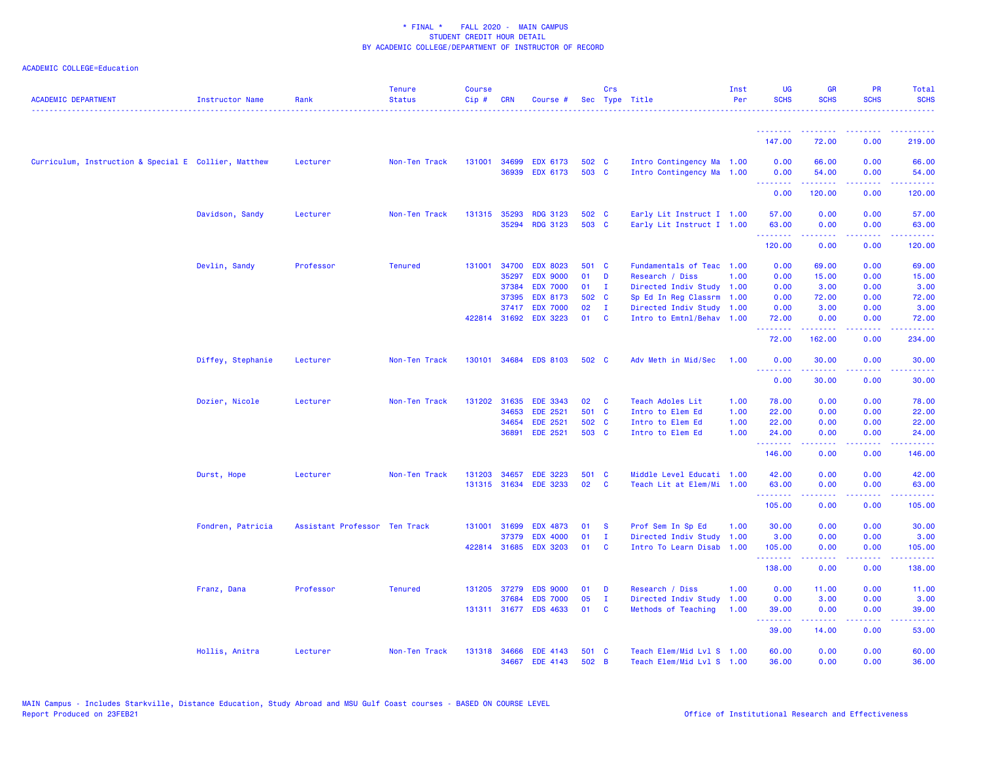| <b>ACADEMIC DEPARTMENT</b>                           | <b>Instructor Name</b> | Rank                          | <b>Tenure</b><br><b>Status</b> | <b>Course</b><br>Cip# | <b>CRN</b>     | Course #                           |                | Crs                      | Sec Type Title                                         | Inst<br>Per | UG<br><b>SCHS</b> | <b>GR</b><br><b>SCHS</b>                                                                                                                                     | <b>PR</b><br><b>SCHS</b> | Total<br><b>SCHS</b> |
|------------------------------------------------------|------------------------|-------------------------------|--------------------------------|-----------------------|----------------|------------------------------------|----------------|--------------------------|--------------------------------------------------------|-------------|-------------------|--------------------------------------------------------------------------------------------------------------------------------------------------------------|--------------------------|----------------------|
|                                                      |                        |                               |                                |                       |                |                                    |                |                          |                                                        |             | .                 |                                                                                                                                                              |                          |                      |
|                                                      |                        |                               |                                |                       |                |                                    |                |                          |                                                        |             | 147.00            | 72.00                                                                                                                                                        | 0.00                     | 219.00               |
| Curriculum, Instruction & Special E Collier, Matthew |                        | Lecturer                      | Non-Ten Track                  | 131001 34699          | 36939          | <b>EDX 6173</b><br><b>EDX 6173</b> | 502 C<br>503 C |                          | Intro Contingency Ma 1.00<br>Intro Contingency Ma 1.00 |             | 0.00<br>0.00      | 66.00<br>54.00                                                                                                                                               | 0.00<br>0.00             | 66.00<br>54.00       |
|                                                      |                        |                               |                                |                       |                |                                    |                |                          |                                                        |             | .                 | .                                                                                                                                                            | .                        | .                    |
|                                                      |                        |                               |                                |                       |                |                                    |                |                          |                                                        |             | 0.00              | 120.00                                                                                                                                                       | 0.00                     | 120.00               |
|                                                      | Davidson, Sandy        | Lecturer                      | Non-Ten Track                  | 131315                | 35293          | <b>RDG 3123</b>                    | 502 C          |                          | Early Lit Instruct I 1.00                              |             | 57.00             | 0.00                                                                                                                                                         | 0.00                     | 57.00                |
|                                                      |                        |                               |                                |                       | 35294          | <b>RDG 3123</b>                    | 503 C          |                          | Early Lit Instruct I 1.00                              |             | 63.00<br>.        | 0.00<br>.                                                                                                                                                    | 0.00                     | 63.00                |
|                                                      |                        |                               |                                |                       |                |                                    |                |                          |                                                        |             | 120.00            | 0.00                                                                                                                                                         | 0.00                     | 120.00               |
|                                                      | Devlin, Sandy          | Professor                     | <b>Tenured</b>                 | 131001 34700          |                | <b>EDX 8023</b>                    | 501 C          |                          | Fundamentals of Teac 1.00                              |             | 0.00              | 69.00                                                                                                                                                        | 0.00                     | 69.00                |
|                                                      |                        |                               |                                |                       | 35297          | <b>EDX 9000</b>                    | 01             | D                        | Research / Diss                                        | 1.00        | 0.00              | 15.00                                                                                                                                                        | 0.00                     | 15.00                |
|                                                      |                        |                               |                                |                       | 37384          | <b>EDX 7000</b>                    | 01             | $\mathbf{I}$             | Directed Indiv Study 1.00                              |             | 0.00              | 3.00                                                                                                                                                         | 0.00                     | 3.00                 |
|                                                      |                        |                               |                                |                       | 37395<br>37417 | <b>EDX 8173</b><br><b>EDX 7000</b> | 502 C<br>02    | $\mathbf{I}$             | Sp Ed In Reg Classrm 1.00<br>Directed Indiv Study 1.00 |             | 0.00<br>0.00      | 72.00<br>3.00                                                                                                                                                | 0.00<br>0.00             | 72.00<br>3.00        |
|                                                      |                        |                               |                                | 422814 31692          |                | <b>EDX 3223</b>                    | 01             | <b>C</b>                 | Intro to Emtnl/Behav 1.00                              |             | 72.00             | 0.00                                                                                                                                                         | 0.00                     | 72.00                |
|                                                      |                        |                               |                                |                       |                |                                    |                |                          |                                                        |             | .                 |                                                                                                                                                              |                          |                      |
|                                                      |                        |                               |                                |                       |                |                                    |                |                          |                                                        |             | 72.00             | 162.00                                                                                                                                                       | 0.00                     | 234.00               |
|                                                      | Diffey, Stephanie      | Lecturer                      | Non-Ten Track                  |                       |                | 130101 34684 EDS 8103              | 502 C          |                          | Adv Meth in Mid/Sec                                    | 1.00        | 0.00<br><b></b>   | 30.00<br>------                                                                                                                                              | 0.00<br>.                | 30.00<br>.           |
|                                                      |                        |                               |                                |                       |                |                                    |                |                          |                                                        |             | 0.00              | 30.00                                                                                                                                                        | 0.00                     | 30.00                |
|                                                      | Dozier, Nicole         | Lecturer                      | Non-Ten Track                  | 131202                | 31635          | EDE 3343                           | 02             | <b>C</b>                 | Teach Adoles Lit                                       | 1.00        | 78.00             | 0.00                                                                                                                                                         | 0.00                     | 78.00                |
|                                                      |                        |                               |                                |                       | 34653          | <b>EDE 2521</b>                    | 501 C          |                          | Intro to Elem Ed                                       | 1.00        | 22.00             | 0.00                                                                                                                                                         | 0.00                     | 22.00                |
|                                                      |                        |                               |                                |                       | 34654          | <b>EDE 2521</b>                    | 502 C          |                          | Intro to Elem Ed                                       | 1.00        | 22.00             | 0.00                                                                                                                                                         | 0.00                     | 22.00                |
|                                                      |                        |                               |                                |                       | 36891          | <b>EDE 2521</b>                    | 503 C          |                          | Intro to Elem Ed                                       | 1.00        | 24.00             | 0.00                                                                                                                                                         | 0.00                     | 24.00                |
|                                                      |                        |                               |                                |                       |                |                                    |                |                          |                                                        |             | .<br>146.00       | $\frac{1}{2} \left( \frac{1}{2} \right) \left( \frac{1}{2} \right) \left( \frac{1}{2} \right) \left( \frac{1}{2} \right) \left( \frac{1}{2} \right)$<br>0.00 | .<br>0.00                | .<br>146.00          |
|                                                      | Durst, Hope            | Lecturer                      | Non-Ten Track                  | 131203                | 34657          | <b>EDE 3223</b>                    | 501 C          |                          | Middle Level Educati 1.00                              |             | 42.00             | 0.00                                                                                                                                                         | 0.00                     | 42.00                |
|                                                      |                        |                               |                                | 131315 31634          |                | <b>EDE 3233</b>                    | 02             | $\mathbf{C}$             | Teach Lit at Elem/Mi 1.00                              |             | 63.00             | 0.00                                                                                                                                                         | 0.00                     | 63.00                |
|                                                      |                        |                               |                                |                       |                |                                    |                |                          |                                                        |             | .<br>105.00       | 0.00                                                                                                                                                         | 0.00                     | 105.00               |
|                                                      |                        |                               |                                |                       |                |                                    |                |                          |                                                        |             |                   |                                                                                                                                                              |                          |                      |
|                                                      | Fondren, Patricia      | Assistant Professor Ten Track |                                | 131001 31699          |                | <b>EDX 4873</b>                    | 01             | <b>S</b>                 | Prof Sem In Sp Ed                                      | 1.00        | 30.00             | 0.00                                                                                                                                                         | 0.00                     | 30.00                |
|                                                      |                        |                               |                                | 422814 31685          | 37379          | <b>EDX 4000</b><br><b>EDX 3203</b> | 01<br>01       | $\mathbf{I}$<br><b>C</b> | Directed Indiv Study<br>Intro To Learn Disab 1.00      | 1.00        | 3.00              | 0.00<br>0.00                                                                                                                                                 | 0.00<br>0.00             | 3.00                 |
|                                                      |                        |                               |                                |                       |                |                                    |                |                          |                                                        |             | 105.00<br>.       |                                                                                                                                                              | $\frac{1}{2}$            | 105.00<br>.          |
|                                                      |                        |                               |                                |                       |                |                                    |                |                          |                                                        |             | 138.00            | 0.00                                                                                                                                                         | 0.00                     | 138.00               |
|                                                      | Franz, Dana            | Professor                     | <b>Tenured</b>                 | 131205 37279          |                | <b>EDS 9000</b>                    | 01             | D                        | Research / Diss                                        | 1.00        | 0.00              | 11.00                                                                                                                                                        | 0.00                     | 11.00                |
|                                                      |                        |                               |                                |                       | 37684          | <b>EDS 7000</b>                    | 05             | $\mathbf{I}$             | Directed Indiv Study                                   | 1.00        | 0.00              | 3.00                                                                                                                                                         | 0.00                     | 3.00                 |
|                                                      |                        |                               |                                |                       |                | 131311 31677 EDS 4633              | 01             | <b>C</b>                 | Methods of Teaching                                    | 1.00        | 39.00<br>.        | 0.00<br>.                                                                                                                                                    | 0.00<br>.                | 39.00<br>.           |
|                                                      |                        |                               |                                |                       |                |                                    |                |                          |                                                        |             | 39.00             | 14.00                                                                                                                                                        | 0.00                     | 53.00                |
|                                                      | Hollis, Anitra         | Lecturer                      | Non-Ten Track                  | 131318 34666          |                | EDE 4143                           | 501 C          |                          | Teach Elem/Mid Lvl S 1.00                              |             | 60.00             | 0.00                                                                                                                                                         | 0.00                     | 60.00                |
|                                                      |                        |                               |                                |                       | 34667          | EDE 4143                           | 502 B          |                          | Teach Elem/Mid Lvl S 1.00                              |             | 36.00             | 0.00                                                                                                                                                         | 0.00                     | 36.00                |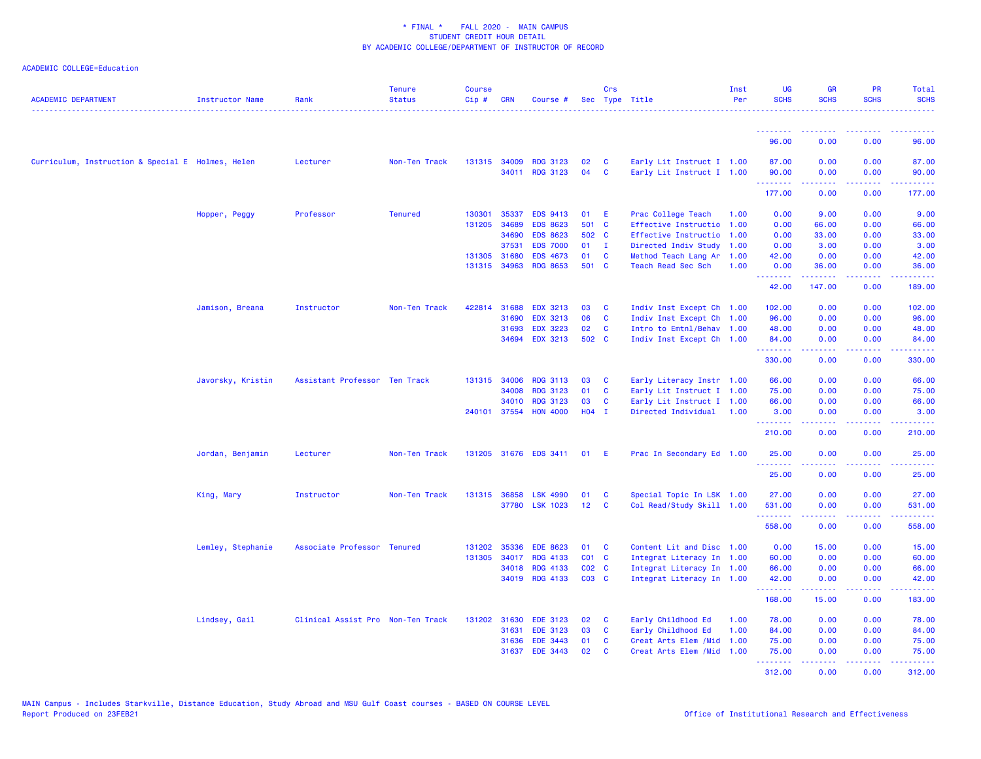| <b>ACADEMIC DEPARTMENT</b>                        | <b>Instructor Name</b> | Rank                              | <b>Tenure</b><br><b>Status</b> | <b>Course</b><br>$Cip \#$ | <b>CRN</b>            | Course #                           |                 | Crs          | Sec Type Title                                         | Inst<br>Per | <b>UG</b><br><b>SCHS</b>        | <b>GR</b><br><b>SCHS</b>                                                                                             | PR<br><b>SCHS</b> | Total<br><b>SCHS</b><br>. |
|---------------------------------------------------|------------------------|-----------------------------------|--------------------------------|---------------------------|-----------------------|------------------------------------|-----------------|--------------|--------------------------------------------------------|-------------|---------------------------------|----------------------------------------------------------------------------------------------------------------------|-------------------|---------------------------|
|                                                   |                        |                                   |                                |                           |                       |                                    |                 |              |                                                        |             | <b><i><u>AAAAAAA</u></i></b>    | .                                                                                                                    | $  -$             |                           |
|                                                   |                        |                                   |                                |                           |                       |                                    |                 |              |                                                        |             | 96.00                           | 0.00                                                                                                                 | 0.00              | 96.00                     |
| Curriculum, Instruction & Special E Holmes, Helen |                        | Lecturer                          | Non-Ten Track                  |                           | 131315 34009<br>34011 | <b>RDG 3123</b><br><b>RDG 3123</b> | 02<br>04        | C<br>C       | Early Lit Instruct I 1.00<br>Early Lit Instruct I 1.00 |             | 87.00<br>90.00                  | 0.00<br>0.00                                                                                                         | 0.00<br>0.00      | 87.00<br>90.00            |
|                                                   |                        |                                   |                                |                           |                       |                                    |                 |              |                                                        |             | <u>.</u><br>177.00              | .<br>0.00                                                                                                            | بالأباد<br>0.00   | وساعات<br>177.00          |
|                                                   | Hopper, Peggy          | Professor                         | <b>Tenured</b>                 | 130301                    | 35337                 | <b>EDS 9413</b>                    | 01              | E            | Prac College Teach                                     | 1.00        | 0.00                            | 9.00                                                                                                                 | 0.00              | 9.00                      |
|                                                   |                        |                                   |                                | 131205                    | 34689                 | <b>EDS 8623</b>                    | 501 C           |              | Effective Instructio                                   | 1.00        | 0.00                            | 66.00                                                                                                                | 0.00              | 66.00                     |
|                                                   |                        |                                   |                                |                           | 34690                 | <b>EDS 8623</b>                    | 502             | $\mathbf{C}$ | Effective Instructio                                   | 1.00        | 0.00                            | 33.00                                                                                                                | 0.00              | 33.00                     |
|                                                   |                        |                                   |                                |                           | 37531                 | <b>EDS 7000</b>                    | 01              | $\mathbf{I}$ | Directed Indiv Study                                   | 1.00        | 0.00                            | 3.00                                                                                                                 | 0.00              | 3.00                      |
|                                                   |                        |                                   |                                | 131305                    | 31680                 | <b>EDS 4673</b>                    | 01              | C            | Method Teach Lang Ar                                   | 1.00        | 42.00                           | 0.00                                                                                                                 | 0.00              | 42.00                     |
|                                                   |                        |                                   |                                |                           | 131315 34963          | <b>RDG 8653</b>                    | 501 C           |              | Teach Read Sec Sch                                     | 1.00        | 0.00<br>.                       | 36.00<br>$\begin{array}{cccccccccc} \bullet & \bullet & \bullet & \bullet & \bullet & \bullet & \bullet \end{array}$ | 0.00<br>.         | 36.00<br>.                |
|                                                   |                        |                                   |                                |                           |                       |                                    |                 |              |                                                        |             | 42.00                           | 147.00                                                                                                               | 0.00              | 189.00                    |
|                                                   | Jamison, Breana        | Instructor                        | Non-Ten Track                  | 422814                    | 31688                 | <b>EDX 3213</b>                    | 03              | <b>C</b>     | Indiv Inst Except Ch 1.00                              |             | 102.00                          | 0.00                                                                                                                 | 0.00              | 102.00                    |
|                                                   |                        |                                   |                                |                           | 31690                 | <b>EDX 3213</b>                    | 06              | C            | Indiv Inst Except Ch 1.00                              |             | 96.00                           | 0.00                                                                                                                 | 0.00              | 96.00                     |
|                                                   |                        |                                   |                                |                           | 31693                 | <b>EDX 3223</b>                    | 02              | C            | Intro to Emtnl/Behav 1.00                              |             | 48.00                           | 0.00                                                                                                                 | 0.00              | 48.00                     |
|                                                   |                        |                                   |                                |                           | 34694                 | <b>EDX 3213</b>                    | 502 C           |              | Indiv Inst Except Ch 1.00                              |             | 84.00<br>.                      | 0.00<br>.                                                                                                            | 0.00<br>د د د د   | 84.00<br>والمستناط        |
|                                                   |                        |                                   |                                |                           |                       |                                    |                 |              |                                                        |             | 330.00                          | 0.00                                                                                                                 | 0.00              | 330.00                    |
|                                                   | Javorsky, Kristin      | Assistant Professor Ten Track     |                                |                           | 131315 34006          | <b>RDG 3113</b>                    | 03              | C            | Early Literacy Instr 1.00                              |             | 66.00                           | 0.00                                                                                                                 | 0.00              | 66.00                     |
|                                                   |                        |                                   |                                |                           | 34008                 | <b>RDG 3123</b>                    | 01              | C            | Early Lit Instruct I 1.00                              |             | 75.00                           | 0.00                                                                                                                 | 0.00              | 75.00                     |
|                                                   |                        |                                   |                                |                           | 34010                 | <b>RDG 3123</b>                    | 03              | C            | Early Lit Instruct I 1.00                              |             | 66.00                           | 0.00                                                                                                                 | 0.00              | 66.00                     |
|                                                   |                        |                                   |                                |                           | 240101 37554          | <b>HON 4000</b>                    | $H04$ I         |              | Directed Individual 1.00                               |             | 3.00<br><u> - - - - - - - -</u> | 0.00<br>.                                                                                                            | 0.00<br>د د د د   | 3.00<br>.                 |
|                                                   |                        |                                   |                                |                           |                       |                                    |                 |              |                                                        |             | 210.00                          | 0.00                                                                                                                 | 0.00              | 210.00                    |
|                                                   | Jordan, Benjamin       | Lecturer                          | Non-Ten Track                  |                           |                       | 131205 31676 EDS 3411              | 01              | E            | Prac In Secondary Ed 1.00                              |             | 25.00<br>.                      | 0.00<br>.                                                                                                            | 0.00<br>د د د د   | 25.00<br>.                |
|                                                   |                        |                                   |                                |                           |                       |                                    |                 |              |                                                        |             | 25.00                           | 0.00                                                                                                                 | 0.00              | 25.00                     |
|                                                   | King, Mary             | Instructor                        | Non-Ten Track                  | 131315                    | 36858                 | <b>LSK 4990</b>                    | 01              | <b>C</b>     | Special Topic In LSK 1.00                              |             | 27.00                           | 0.00                                                                                                                 | 0.00              | 27.00                     |
|                                                   |                        |                                   |                                |                           |                       | 37780 LSK 1023                     | 12 <sup>7</sup> | <b>C</b>     | Col Read/Study Skill 1.00                              |             | 531.00<br>.                     | 0.00<br><b>.</b>                                                                                                     | 0.00<br>22222     | 531.00<br>$- - - - - - -$ |
|                                                   |                        |                                   |                                |                           |                       |                                    |                 |              |                                                        |             | 558.00                          | 0.00                                                                                                                 | 0.00              | 558.00                    |
|                                                   | Lemley, Stephanie      | Associate Professor Tenured       |                                | 131202                    | 35336                 | <b>EDE 8623</b>                    | 01              | $\mathbf{C}$ | Content Lit and Disc 1.00                              |             | 0.00                            | 15.00                                                                                                                | 0.00              | 15.00                     |
|                                                   |                        |                                   |                                | 131305                    | 34017                 | <b>RDG 4133</b>                    | CO1 C           |              | Integrat Literacy In 1.00                              |             | 60.00                           | 0.00                                                                                                                 | 0.00              | 60.00                     |
|                                                   |                        |                                   |                                |                           | 34018                 | <b>RDG 4133</b>                    | $CO2$ $C$       |              | Integrat Literacy In 1.00                              |             | 66.00                           | 0.00                                                                                                                 | 0.00              | 66.00                     |
|                                                   |                        |                                   |                                |                           |                       | 34019 RDG 4133                     | C03 C           |              | Integrat Literacy In 1.00                              |             | 42.00<br><u>.</u>               | 0.00<br>$- - - - -$                                                                                                  | 0.00<br>د د د د   | 42.00<br>.                |
|                                                   |                        |                                   |                                |                           |                       |                                    |                 |              |                                                        |             | 168.00                          | 15.00                                                                                                                | 0.00              | 183.00                    |
|                                                   | Lindsey, Gail          | Clinical Assist Pro Non-Ten Track |                                | 131202                    | 31630                 | <b>EDE 3123</b>                    | 02              | C            | Early Childhood Ed                                     | 1.00        | 78.00                           | 0.00                                                                                                                 | 0.00              | 78.00                     |
|                                                   |                        |                                   |                                |                           | 31631                 | <b>EDE 3123</b>                    | 03              | <b>C</b>     | Early Childhood Ed                                     | 1.00        | 84.00                           | 0.00                                                                                                                 | 0.00              | 84.00                     |
|                                                   |                        |                                   |                                |                           | 31636                 | <b>EDE 3443</b>                    | 01              | C            | Creat Arts Elem / Mid                                  | 1.00        | 75.00                           | 0.00                                                                                                                 | 0.00              | 75.00                     |
|                                                   |                        |                                   |                                |                           | 31637                 | <b>EDE 3443</b>                    | 02              | $\mathbf{C}$ | Creat Arts Elem / Mid 1.00                             |             | 75.00<br><u>.</u>               | 0.00<br>بالأباب                                                                                                      | 0.00<br>المستبدا  | 75.00<br>.                |
|                                                   |                        |                                   |                                |                           |                       |                                    |                 |              |                                                        |             | 312.00                          | 0.00                                                                                                                 | 0.00              | 312.00                    |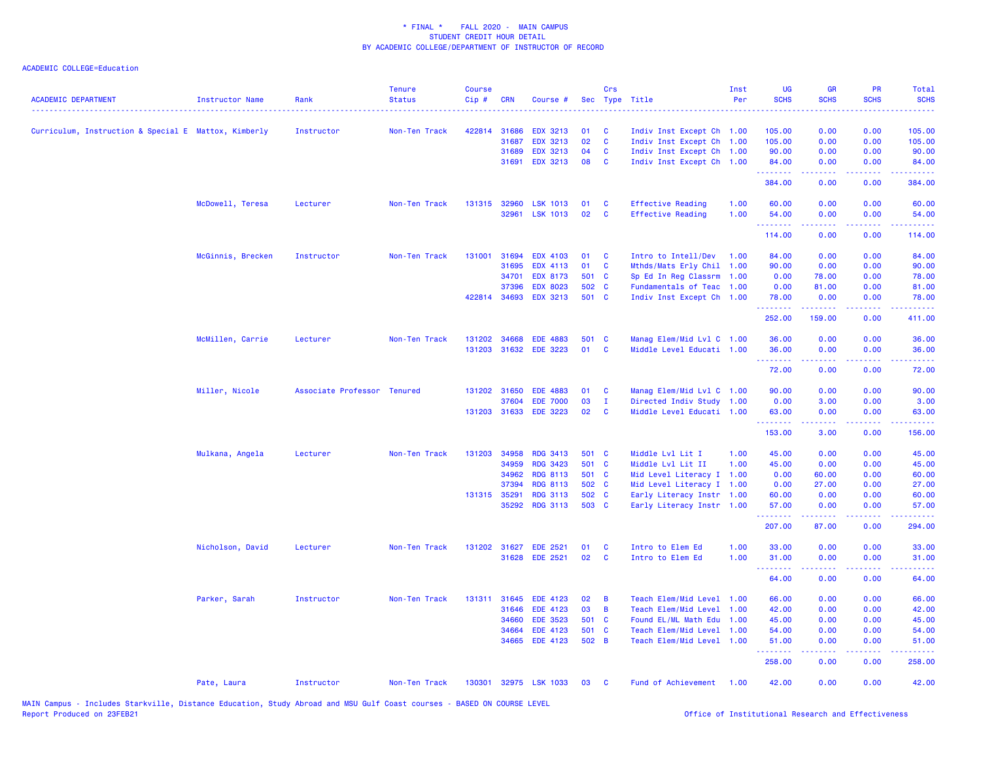| <b>ACADEMIC DEPARTMENT</b>                           | <b>Instructor Name</b> | Rank                        | <b>Tenure</b><br><b>Status</b> | <b>Course</b><br>$Cip$ # | <b>CRN</b>   | Course #        |       | Crs            | Sec Type Title            | Inst<br>Per | <b>UG</b><br><b>SCHS</b> | <b>GR</b><br><b>SCHS</b>                                                                                                                                     | PR<br><b>SCHS</b>  | Total<br><b>SCHS</b> |
|------------------------------------------------------|------------------------|-----------------------------|--------------------------------|--------------------------|--------------|-----------------|-------|----------------|---------------------------|-------------|--------------------------|--------------------------------------------------------------------------------------------------------------------------------------------------------------|--------------------|----------------------|
| Curriculum, Instruction & Special E Mattox, Kimberly |                        | Instructor                  | Non-Ten Track                  | 422814                   | 31686        | <b>EDX 3213</b> | 01    | <b>C</b>       | Indiv Inst Except Ch 1.00 |             | 105.00                   | 0.00                                                                                                                                                         | 0.00               | 105.00               |
|                                                      |                        |                             |                                |                          | 31687        | <b>EDX 3213</b> | 02    | <b>C</b>       | Indiv Inst Except Ch 1.00 |             | 105.00                   | 0.00                                                                                                                                                         | 0.00               | 105.00               |
|                                                      |                        |                             |                                |                          | 31689        | <b>EDX 3213</b> | 04    | <b>C</b>       | Indiv Inst Except Ch 1.00 |             | 90.00                    | 0.00                                                                                                                                                         | 0.00               | 90.00                |
|                                                      |                        |                             |                                |                          | 31691        | <b>EDX 3213</b> | 08    | $\mathbf{C}$   | Indiv Inst Except Ch 1.00 |             | 84.00<br>.               | 0.00<br>$\frac{1}{2} \left( \frac{1}{2} \right) \left( \frac{1}{2} \right) \left( \frac{1}{2} \right) \left( \frac{1}{2} \right) \left( \frac{1}{2} \right)$ | 0.00<br>. <b>.</b> | 84.00<br><b>.</b>    |
|                                                      |                        |                             |                                |                          |              |                 |       |                |                           |             | 384.00                   | 0.00                                                                                                                                                         | 0.00               | 384.00               |
|                                                      | McDowell, Teresa       | Lecturer                    | Non-Ten Track                  | 131315                   | 32960        | <b>LSK 1013</b> | 01    | $\mathbf{C}$   | <b>Effective Reading</b>  | 1.00        | 60.00                    | 0.00                                                                                                                                                         | 0.00               | 60.00                |
|                                                      |                        |                             |                                |                          | 32961        | <b>LSK 1013</b> | 02    | $\mathbf{C}$   | <b>Effective Reading</b>  | 1.00        | 54.00<br>.               | 0.00                                                                                                                                                         | 0.00               | 54.00                |
|                                                      |                        |                             |                                |                          |              |                 |       |                |                           |             | 114.00                   | 0.00                                                                                                                                                         | 0.00               | 114.00               |
|                                                      | McGinnis, Brecken      | Instructor                  | Non-Ten Track                  | 131001                   | 31694        | <b>EDX 4103</b> | 01    | <b>C</b>       | Intro to Intell/Dev       | 1.00        | 84.00                    | 0.00                                                                                                                                                         | 0.00               | 84.00                |
|                                                      |                        |                             |                                |                          | 31695        | <b>EDX 4113</b> | 01    | <b>C</b>       | Mthds/Mats Erly Chil 1.00 |             | 90.00                    | 0.00                                                                                                                                                         | 0.00               | 90.00                |
|                                                      |                        |                             |                                |                          | 34701        | <b>EDX 8173</b> | 501 C |                | Sp Ed In Reg Classrm 1.00 |             | 0.00                     | 78.00                                                                                                                                                        | 0.00               | 78.00                |
|                                                      |                        |                             |                                |                          | 37396        | <b>EDX 8023</b> | 502 C |                | Fundamentals of Teac 1.00 |             | 0.00                     | 81.00                                                                                                                                                        | 0.00               | 81.00                |
|                                                      |                        |                             |                                |                          | 422814 34693 | <b>EDX 3213</b> | 501 C |                | Indiv Inst Except Ch 1.00 |             | 78.00<br>.               | 0.00<br>.                                                                                                                                                    | 0.00               | 78.00<br>.           |
|                                                      |                        |                             |                                |                          |              |                 |       |                |                           |             | 252.00                   | 159.00                                                                                                                                                       | 0.00               | 411.00               |
|                                                      | McMillen, Carrie       | Lecturer                    | Non-Ten Track                  | 131202                   | 34668        | <b>EDE 4883</b> | 501 C |                | Manag Elem/Mid Lvl C 1.00 |             | 36.00                    | 0.00                                                                                                                                                         | 0.00               | 36.00                |
|                                                      |                        |                             |                                |                          | 131203 31632 | <b>EDE 3223</b> | 01    | $\mathbf{C}$   | Middle Level Educati 1.00 |             | 36.00<br>.               | 0.00                                                                                                                                                         | 0.00<br>22222      | 36.00<br>.           |
|                                                      |                        |                             |                                |                          |              |                 |       |                |                           |             | 72.00                    | 2.2.2.2.2<br>0.00                                                                                                                                            | 0.00               | 72.00                |
|                                                      | Miller, Nicole         | Associate Professor Tenured |                                |                          | 131202 31650 | <b>EDE 4883</b> | 01    | $\mathbf{C}$   | Manag Elem/Mid Lvl C 1.00 |             | 90.00                    | 0.00                                                                                                                                                         | 0.00               | 90.00                |
|                                                      |                        |                             |                                |                          | 37604        | <b>EDE 7000</b> | 03    | $\mathbf{I}$   | Directed Indiv Study 1.00 |             | 0.00                     | 3.00                                                                                                                                                         | 0.00               | 3.00                 |
|                                                      |                        |                             |                                |                          | 131203 31633 | <b>EDE 3223</b> | 02    | $\mathbf{C}$   | Middle Level Educati 1.00 |             | 63.00<br><u>.</u>        | 0.00<br>المتمام المتمار                                                                                                                                      | 0.00<br>.          | 63.00<br>.           |
|                                                      |                        |                             |                                |                          |              |                 |       |                |                           |             | 153.00                   | 3.00                                                                                                                                                         | 0.00               | 156.00               |
|                                                      | Mulkana, Angela        | Lecturer                    | Non-Ten Track                  |                          | 131203 34958 | <b>RDG 3413</b> | 501 C |                | Middle Lvl Lit I          | 1.00        | 45.00                    | 0.00                                                                                                                                                         | 0.00               | 45.00                |
|                                                      |                        |                             |                                |                          | 34959        | RDG 3423        | 501 C |                | Middle Lvl Lit II         | 1.00        | 45.00                    | 0.00                                                                                                                                                         | 0.00               | 45.00                |
|                                                      |                        |                             |                                |                          | 34962        | <b>RDG 8113</b> | 501 C |                | Mid Level Literacy I 1.00 |             | 0.00                     | 60.00                                                                                                                                                        | 0.00               | 60.00                |
|                                                      |                        |                             |                                |                          | 37394        | <b>RDG 8113</b> | 502 C |                | Mid Level Literacy I 1.00 |             | 0.00                     | 27.00                                                                                                                                                        | 0.00               | 27.00                |
|                                                      |                        |                             |                                |                          | 131315 35291 | <b>RDG 3113</b> | 502 C |                | Early Literacy Instr 1.00 |             | 60.00                    | 0.00                                                                                                                                                         | 0.00               | 60.00                |
|                                                      |                        |                             |                                |                          | 35292        | <b>RDG 3113</b> | 503 C |                | Early Literacy Instr 1.00 |             | 57.00<br><u> 222222</u>  | 0.00                                                                                                                                                         | 0.00<br>بالأباب    | 57.00<br>د د د د د د |
|                                                      |                        |                             |                                |                          |              |                 |       |                |                           |             | 207.00                   | 87.00                                                                                                                                                        | 0.00               | 294.00               |
|                                                      | Nicholson, David       | Lecturer                    | Non-Ten Track                  | 131202                   | 31627        | <b>EDE 2521</b> | 01    | <b>C</b>       | Intro to Elem Ed          | 1.00        | 33.00                    | 0.00                                                                                                                                                         | 0.00               | 33.00                |
|                                                      |                        |                             |                                |                          | 31628        | <b>EDE 2521</b> | 02    | $\mathbf{C}$   | Intro to Elem Ed          | 1.00        | 31.00<br>.               | 0.00                                                                                                                                                         | 0.00               | 31.00                |
|                                                      |                        |                             |                                |                          |              |                 |       |                |                           |             | 64.00                    | 0.00                                                                                                                                                         | 0.00               | 64.00                |
|                                                      | Parker, Sarah          | Instructor                  | Non-Ten Track                  |                          | 131311 31645 | EDE 4123        | 02    | $\overline{B}$ | Teach Elem/Mid Level 1.00 |             | 66.00                    | 0.00                                                                                                                                                         | 0.00               | 66.00                |
|                                                      |                        |                             |                                |                          | 31646        | <b>EDE 4123</b> | 03    | $\overline{B}$ | Teach Elem/Mid Level 1.00 |             | 42.00                    | 0.00                                                                                                                                                         | 0.00               | 42.00                |
|                                                      |                        |                             |                                |                          | 34660        | <b>EDE 3523</b> | 501 C |                | Found EL/ML Math Edu 1.00 |             | 45.00                    | 0.00                                                                                                                                                         | 0.00               | 45.00                |
|                                                      |                        |                             |                                |                          | 34664        | <b>EDE 4123</b> | 501 C |                | Teach Elem/Mid Level 1.00 |             | 54.00                    | 0.00                                                                                                                                                         | 0.00               | 54.00                |
|                                                      |                        |                             |                                |                          | 34665        | <b>EDE 4123</b> | 502 B |                | Teach Elem/Mid Level 1.00 |             | 51.00<br>.               | 0.00                                                                                                                                                         | 0.00               | 51.00                |
|                                                      |                        |                             |                                |                          |              |                 |       |                |                           |             | 258.00                   | 0.00                                                                                                                                                         | 0.00               | 258.00               |
|                                                      | Pate, Laura            | Instructor                  | Non-Ten Track                  | 130301                   |              | 32975 LSK 1033  | 03    | <b>C</b>       | Fund of Achievement 1.00  |             | 42.00                    | 0.00                                                                                                                                                         | 0.00               | 42.00                |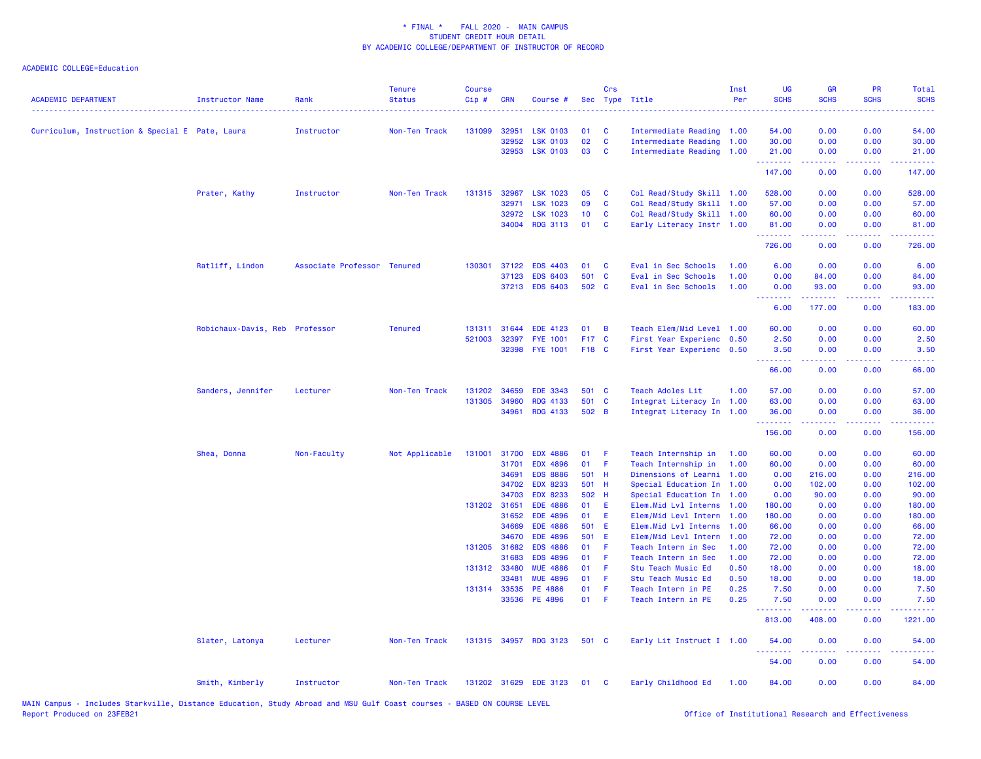|                                                 |                                |                             | <b>Tenure</b>  | <b>Course</b> |                       |                                    |             | Crs          |                                            | Inst         | <b>UG</b>      | <b>GR</b>           | PR              | Total                                       |
|-------------------------------------------------|--------------------------------|-----------------------------|----------------|---------------|-----------------------|------------------------------------|-------------|--------------|--------------------------------------------|--------------|----------------|---------------------|-----------------|---------------------------------------------|
| <b>ACADEMIC DEPARTMENT</b>                      | <b>Instructor Name</b>         | Rank                        | <b>Status</b>  | Cip#          | <b>CRN</b>            | Course #                           |             |              | Sec Type Title                             | Per          | <b>SCHS</b>    | <b>SCHS</b>         | <b>SCHS</b>     | <b>SCHS</b>                                 |
| Curriculum, Instruction & Special E Pate, Laura |                                | Instructor                  | Non-Ten Track  | 131099        | 32951                 | <b>LSK 0103</b>                    | 01          | <b>C</b>     | Intermediate Reading 1.00                  |              | 54.00          | 0.00                | 0.00            | 54.00                                       |
|                                                 |                                |                             |                |               | 32952                 | <b>LSK 0103</b>                    | 02          | $\mathbf{C}$ | Intermediate Reading 1.00                  |              | 30.00          | 0.00                | 0.00            | 30.00                                       |
|                                                 |                                |                             |                |               | 32953                 | <b>LSK 0103</b>                    | 03          | $\mathbf{C}$ | Intermediate Reading 1.00                  |              | 21.00          | 0.00                | 0.00            | 21.00                                       |
|                                                 |                                |                             |                |               |                       |                                    |             |              |                                            |              | .<br>147.00    | 0.00                | 0.00            | 147.00                                      |
|                                                 | Prater, Kathy                  | Instructor                  | Non-Ten Track  |               | 131315 32967          | <b>LSK 1023</b>                    | 05          | <b>C</b>     | Col Read/Study Skill 1.00                  |              | 528.00         | 0.00                | 0.00            | 528.00                                      |
|                                                 |                                |                             |                |               | 32971                 | <b>LSK 1023</b>                    | 09          | $\mathbf{C}$ | Col Read/Study Skill 1.00                  |              | 57.00          | 0.00                | 0.00            | 57.00                                       |
|                                                 |                                |                             |                |               | 32972                 | <b>LSK 1023</b>                    | 10          | $\mathbf{C}$ | Col Read/Study Skill 1.00                  |              | 60.00          | 0.00                | 0.00            | 60.00                                       |
|                                                 |                                |                             |                |               | 34004                 | <b>RDG 3113</b>                    | 01          | $\mathbf{C}$ | Early Literacy Instr 1.00                  |              | 81.00          | 0.00                | 0.00            | 81.00                                       |
|                                                 |                                |                             |                |               |                       |                                    |             |              |                                            |              | .<br>726.00    | $- - - - -$<br>0.00 | .<br>0.00       | <b><i><u><u>AAAAA</u></u></i></b><br>726.00 |
|                                                 | Ratliff, Lindon                | Associate Professor Tenured |                | 130301        | 37122                 | <b>EDS 4403</b>                    | 01          | C            | Eval in Sec Schools                        | 1.00         | 6.00           | 0.00                | 0.00            | 6.00                                        |
|                                                 |                                |                             |                |               | 37123                 | <b>EDS 6403</b>                    | 501 C       |              | Eval in Sec Schools                        | 1.00         | 0.00           | 84.00               | 0.00            | 84.00                                       |
|                                                 |                                |                             |                |               |                       | 37213 EDS 6403                     | 502 C       |              | Eval in Sec Schools                        | 1.00         | 0.00           | 93.00               | 0.00            | 93.00                                       |
|                                                 |                                |                             |                |               |                       |                                    |             |              |                                            |              | .<br>6.00      | 177.00              | د د د د<br>0.00 | 183.00                                      |
|                                                 | Robichaux-Davis, Reb Professor |                             | <b>Tenured</b> |               | 131311 31644          | <b>EDE 4123</b>                    | 01          | - B          | Teach Elem/Mid Level 1.00                  |              | 60.00          | 0.00                | 0.00            | 60.00                                       |
|                                                 |                                |                             |                | 521003        | 32397                 | <b>FYE 1001</b>                    | F17 C       |              | First Year Experienc 0.50                  |              | 2.50           | 0.00                | 0.00            | 2.50                                        |
|                                                 |                                |                             |                |               | 32398                 | <b>FYE 1001</b>                    | F18 C       |              | First Year Experienc 0.50                  |              | 3.50           | 0.00                | 0.00            | 3.50                                        |
|                                                 |                                |                             |                |               |                       |                                    |             |              |                                            |              | .<br>66.00     | 22222<br>0.00       | .<br>0.00       | .<br>66.00                                  |
|                                                 | Sanders, Jennifer              | Lecturer                    | Non-Ten Track  | 131202        | 34659                 | <b>EDE 3343</b>                    | 501 C       |              | Teach Adoles Lit                           | 1.00         | 57.00          | 0.00                | 0.00            | 57.00                                       |
|                                                 |                                |                             |                |               | 131305 34960          | RDG 4133                           | 501 C       |              | Integrat Literacy In 1.00                  |              | 63.00          | 0.00                | 0.00            | 63.00                                       |
|                                                 |                                |                             |                |               | 34961                 | <b>RDG 4133</b>                    | 502 B       |              | Integrat Literacy In 1.00                  |              | 36.00          | 0.00                | 0.00            | 36.00                                       |
|                                                 |                                |                             |                |               |                       |                                    |             |              |                                            |              | .<br>156.00    | .<br>0.00           | 0.00            | .<br>156.00                                 |
|                                                 | Shea, Donna                    | Non-Faculty                 | Not Applicable |               | 131001 31700          | <b>EDX 4886</b>                    | 01          | -F           | Teach Internship in                        | 1.00         | 60.00          | 0.00                | 0.00            | 60.00                                       |
|                                                 |                                |                             |                |               | 31701                 | <b>EDX 4896</b>                    | 01 F        |              | Teach Internship in                        | 1.00         | 60.00          | 0.00                | 0.00            | 60.00                                       |
|                                                 |                                |                             |                |               | 34691                 | <b>EDS 8886</b>                    | 501 H       |              | Dimensions of Learni 1.00                  |              | 0.00           | 216.00              | 0.00            | 216.00                                      |
|                                                 |                                |                             |                |               | 34702                 | <b>EDX 8233</b>                    | 501 H       |              | Special Education In 1.00                  |              | 0.00           | 102.00              | 0.00            | 102.00                                      |
|                                                 |                                |                             |                |               | 34703                 | <b>EDX 8233</b>                    | 502 H       |              | Special Education In 1.00                  |              | 0.00           | 90.00               | 0.00            | 90.00                                       |
|                                                 |                                |                             |                | 131202 31651  |                       | <b>EDE 4886</b>                    | 01          | -E           | Elem.Mid Lvl Interns 1.00                  |              | 180.00         | 0.00                | 0.00            | 180.00                                      |
|                                                 |                                |                             |                |               | 31652                 | <b>EDE 4896</b>                    | 01          | E.           | Elem/Mid Levl Intern 1.00                  |              | 180.00         | 0.00                | 0.00            | 180.00                                      |
|                                                 |                                |                             |                |               | 34669                 | <b>EDE 4886</b>                    | 501 E       |              | Elem.Mid Lvl Interns 1.00                  |              | 66.00          | 0.00                | 0.00            | 66.00                                       |
|                                                 |                                |                             |                |               | 34670<br>131205 31682 | <b>EDE 4896</b><br><b>EDS 4886</b> | 501 E<br>01 | $-F$         | Elem/Mid Levl Intern                       | 1.00<br>1.00 | 72.00          | 0.00                | 0.00<br>0.00    | 72.00                                       |
|                                                 |                                |                             |                |               | 31683                 | <b>EDS 4896</b>                    | 01          | - F          | Teach Intern in Sec<br>Teach Intern in Sec | 1.00         | 72.00<br>72.00 | 0.00<br>0.00        | 0.00            | 72.00<br>72.00                              |
|                                                 |                                |                             |                | 131312 33480  |                       | <b>MUE 4886</b>                    | 01          | - F          | Stu Teach Music Ed                         | 0.50         | 18.00          | 0.00                | 0.00            | 18.00                                       |
|                                                 |                                |                             |                |               | 33481                 | <b>MUE 4896</b>                    | 01          | $\mathsf F$  | Stu Teach Music Ed                         | 0.50         | 18.00          | 0.00                | 0.00            | 18.00                                       |
|                                                 |                                |                             |                |               | 131314 33535          | PE 4886                            | 01          | - F          | Teach Intern in PE                         | 0.25         | 7.50           | 0.00                | 0.00            | 7.50                                        |
|                                                 |                                |                             |                |               | 33536                 | PE 4896                            | $01$ F      |              | Teach Intern in PE                         | 0.25         | 7.50           | 0.00                | 0.00            | 7.50                                        |
|                                                 |                                |                             |                |               |                       |                                    |             |              |                                            |              | .<br>813.00    | 408.00              | 0.00            | 1221.00                                     |
|                                                 | Slater, Latonya                | Lecturer                    | Non-Ten Track  |               |                       | 131315 34957 RDG 3123              | 501 C       |              | Early Lit Instruct I 1.00                  |              | 54.00          | 0.00                | 0.00            | 54.00                                       |
|                                                 |                                |                             |                |               |                       |                                    |             |              |                                            |              | 54.00          | 0.00                | 0.00            | 54.00                                       |
|                                                 | Smith, Kimberly                | Instructor                  | Non-Ten Track  |               |                       | 131202 31629 EDE 3123              | 01          | $\mathbf{C}$ | Early Childhood Ed                         | 1.00         | 84.00          | 0.00                | 0.00            | 84.00                                       |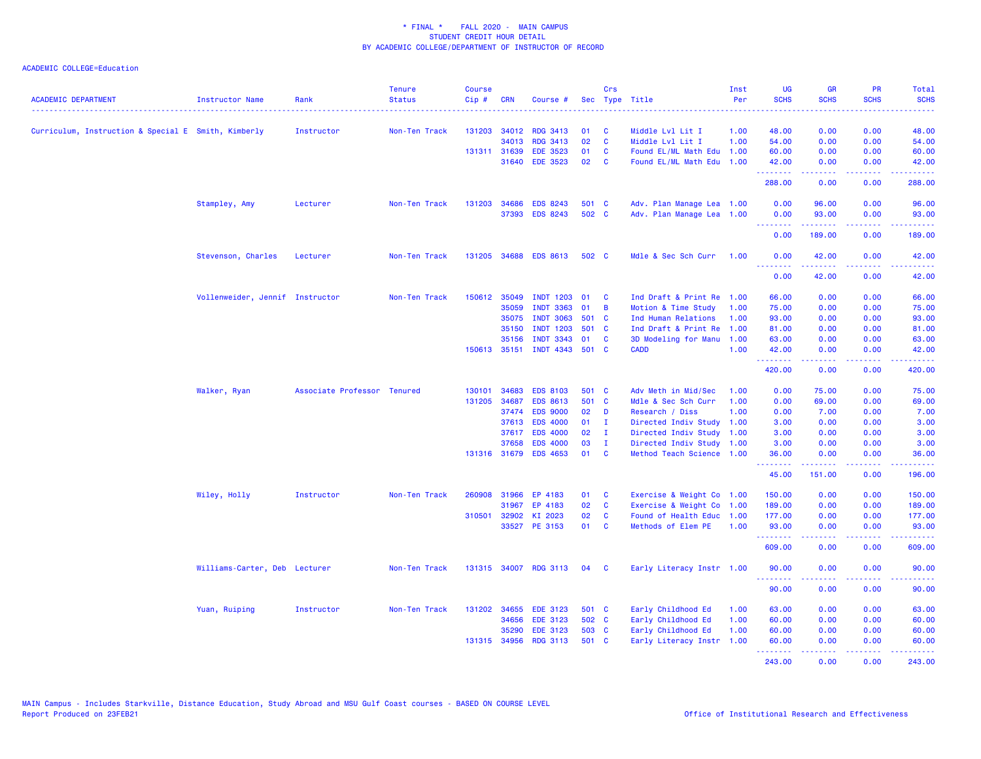| <b>ACADEMIC DEPARTMENT</b>                          | Instructor Name                 | Rank                        | <b>Tenure</b><br><b>Status</b> | <b>Course</b><br>Cip# | <b>CRN</b>   | Course #              |       | Crs                     | Sec Type Title            | Inst<br>Per | UG<br><b>SCHS</b> | <b>GR</b><br><b>SCHS</b> | <b>PR</b><br><b>SCHS</b>            | Total<br><b>SCHS</b>                            |
|-----------------------------------------------------|---------------------------------|-----------------------------|--------------------------------|-----------------------|--------------|-----------------------|-------|-------------------------|---------------------------|-------------|-------------------|--------------------------|-------------------------------------|-------------------------------------------------|
| Curriculum, Instruction & Special E Smith, Kimberly |                                 | Instructor                  | Non-Ten Track                  |                       | 131203 34012 | <b>RDG 3413</b>       | 01    | - C                     | Middle Lvl Lit I          | 1.00        | 48.00             | 0.00                     | 0.00                                | 48.00                                           |
|                                                     |                                 |                             |                                |                       | 34013        | <b>RDG 3413</b>       | 02    | <b>C</b>                | Middle Lvl Lit I          | 1.00        | 54.00             | 0.00                     | 0.00                                | 54.00                                           |
|                                                     |                                 |                             |                                |                       | 131311 31639 | <b>EDE 3523</b>       | 01    | <b>C</b>                | Found EL/ML Math Edu 1.00 |             | 60.00             | 0.00                     | 0.00                                | 60.00                                           |
|                                                     |                                 |                             |                                |                       | 31640        | <b>EDE 3523</b>       | 02    | $\mathbf{C}$            | Found EL/ML Math Edu 1.00 |             | 42.00             | 0.00                     | 0.00                                | 42.00                                           |
|                                                     |                                 |                             |                                |                       |              |                       |       |                         |                           |             | .<br>288.00       | 22222<br>0.00            | 0.00                                | .<br>288.00                                     |
|                                                     |                                 |                             |                                |                       |              |                       |       |                         |                           |             |                   |                          |                                     |                                                 |
|                                                     | Stampley, Amy                   | Lecturer                    | Non-Ten Track                  |                       | 131203 34686 | <b>EDS 8243</b>       | 501 C |                         | Adv. Plan Manage Lea 1.00 |             | 0.00              | 96.00                    | 0.00                                | 96.00                                           |
|                                                     |                                 |                             |                                |                       | 37393        | <b>EDS 8243</b>       | 502 C |                         | Adv. Plan Manage Lea 1.00 |             | 0.00<br>.         | 93.00                    | 0.00<br>$\sim$ $\sim$ $\sim$ $\sim$ | 93.00<br>.                                      |
|                                                     |                                 |                             |                                |                       |              |                       |       |                         |                           |             | 0.00              | 189.00                   | 0.00                                | 189.00                                          |
|                                                     | Stevenson, Charles              | Lecturer                    | Non-Ten Track                  |                       |              | 131205 34688 EDS 8613 | 502 C |                         | Mdle & Sec Sch Curr       | 1.00        | 0.00<br>.         | 42.00                    | 0.00                                | 42.00                                           |
|                                                     |                                 |                             |                                |                       |              |                       |       |                         |                           |             | 0.00              | 42.00                    | 0.00                                | 42.00                                           |
|                                                     | Vollenweider, Jennif Instructor |                             | Non-Ten Track                  |                       | 150612 35049 | <b>INDT 1203</b>      | 01    | <b>C</b>                | Ind Draft & Print Re 1.00 |             | 66.00             | 0.00                     | 0.00                                | 66.00                                           |
|                                                     |                                 |                             |                                |                       | 35059        | <b>INDT 3363</b>      | 01    | $\overline{B}$          | Motion & Time Study       | 1.00        | 75.00             | 0.00                     | 0.00                                | 75.00                                           |
|                                                     |                                 |                             |                                |                       | 35075        | <b>INDT 3063</b>      | 501 C |                         | Ind Human Relations       | 1.00        | 93.00             | 0.00                     | 0.00                                | 93.00                                           |
|                                                     |                                 |                             |                                |                       | 35150        | <b>INDT 1203</b>      | 501 C |                         | Ind Draft & Print Re 1.00 |             | 81.00             | 0.00                     | 0.00                                | 81.00                                           |
|                                                     |                                 |                             |                                |                       | 35156        | <b>INDT 3343</b>      | 01    | <b>C</b>                | 3D Modeling for Manu 1.00 |             | 63.00             | 0.00                     | 0.00                                | 63.00                                           |
|                                                     |                                 |                             |                                |                       | 150613 35151 | INDT 4343 501 C       |       |                         | <b>CADD</b>               | 1.00        | 42.00<br>.        | 0.00<br>.                | 0.00                                | 42.00<br>.                                      |
|                                                     |                                 |                             |                                |                       |              |                       |       |                         |                           |             | 420.00            | 0.00                     | 0.00                                | 420.00                                          |
|                                                     | Walker, Ryan                    | Associate Professor Tenured |                                | 130101                | 34683        | <b>EDS 8103</b>       | 501 C |                         | Adv Meth in Mid/Sec       | 1.00        | 0.00              | 75.00                    | 0.00                                | 75.00                                           |
|                                                     |                                 |                             |                                |                       | 131205 34687 | <b>EDS 8613</b>       | 501 C |                         | Mdle & Sec Sch Curr       | 1.00        | 0.00              | 69.00                    | 0.00                                | 69.00                                           |
|                                                     |                                 |                             |                                |                       | 37474        | <b>EDS 9000</b>       | 02    | <b>D</b>                | Research / Diss           | 1.00        | 0.00              | 7.00                     | 0.00                                | 7.00                                            |
|                                                     |                                 |                             |                                |                       | 37613        | <b>EDS 4000</b>       | 01    | T                       | Directed Indiv Study 1.00 |             | 3.00              | 0.00                     | 0.00                                | 3.00                                            |
|                                                     |                                 |                             |                                |                       | 37617        | <b>EDS 4000</b>       | 02    | $\mathbf{I}$            | Directed Indiv Study 1.00 |             | 3.00              | 0.00                     | 0.00                                | 3.00                                            |
|                                                     |                                 |                             |                                |                       | 37658        | <b>EDS 4000</b>       | 03    | $\mathbf{I}$            | Directed Indiv Study 1.00 |             | 3.00              | 0.00                     | 0.00                                | 3.00                                            |
|                                                     |                                 |                             |                                |                       | 131316 31679 | <b>EDS 4653</b>       | 01    | $\overline{\mathbf{C}}$ | Method Teach Science 1.00 |             | 36.00<br>.        | 0.00                     | 0.00                                | 36.00                                           |
|                                                     |                                 |                             |                                |                       |              |                       |       |                         |                           |             | 45.00             | 151.00                   | 0.00                                | 196.00                                          |
|                                                     | Wiley, Holly                    | Instructor                  | Non-Ten Track                  | 260908                | 31966        | EP 4183               | 01 C  |                         | Exercise & Weight Co 1.00 |             | 150.00            | 0.00                     | 0.00                                | 150.00                                          |
|                                                     |                                 |                             |                                |                       | 31967        | EP 4183               | 02    | $\mathbf{C}$            | Exercise & Weight Co 1.00 |             | 189.00            | 0.00                     | 0.00                                | 189.00                                          |
|                                                     |                                 |                             |                                |                       | 310501 32902 | KI 2023               | 02    | $\mathbf{C}$            | Found of Health Educ 1.00 |             | 177.00            | 0.00                     | 0.00                                | 177.00                                          |
|                                                     |                                 |                             |                                |                       | 33527        | PE 3153               | 01 C  |                         | Methods of Elem PE        | 1.00        | 93.00<br>.        | 0.00<br>.                | 0.00<br>22222                       | 93.00                                           |
|                                                     |                                 |                             |                                |                       |              |                       |       |                         |                           |             | 609.00            | 0.00                     | 0.00                                | 609.00                                          |
|                                                     | Williams-Carter, Deb Lecturer   |                             | Non-Ten Track                  |                       |              | 131315 34007 RDG 3113 | 04    | $\mathbf{C}$            | Early Literacy Instr 1.00 |             | 90.00<br>.        | 0.00                     | 0.00                                | 90.00                                           |
|                                                     |                                 |                             |                                |                       |              |                       |       |                         |                           |             | 90.00             | 0.00                     | 0.00                                | 90.00                                           |
|                                                     | Yuan, Ruiping                   | Instructor                  | Non-Ten Track                  |                       | 131202 34655 | <b>EDE 3123</b>       | 501 C |                         | Early Childhood Ed        | 1.00        | 63.00             | 0.00                     | 0.00                                | 63.00                                           |
|                                                     |                                 |                             |                                |                       | 34656        | <b>EDE 3123</b>       | 502 C |                         | Early Childhood Ed        | 1.00        | 60.00             | 0.00                     | 0.00                                | 60.00                                           |
|                                                     |                                 |                             |                                |                       | 35290        | <b>EDE 3123</b>       | 503 C |                         | Early Childhood Ed        | 1.00        | 60.00             | 0.00                     | 0.00                                | 60.00                                           |
|                                                     |                                 |                             |                                |                       | 131315 34956 | <b>RDG 3113</b>       | 501 C |                         | Early Literacy Instr 1.00 |             | 60.00<br>.        | 0.00<br>.                | 0.00<br>a a a a al                  | 60.00<br><b><i><u><u> - - - - -</u></u></i></b> |
|                                                     |                                 |                             |                                |                       |              |                       |       |                         |                           |             | 243.00            | 0.00                     | 0.00                                | 243.00                                          |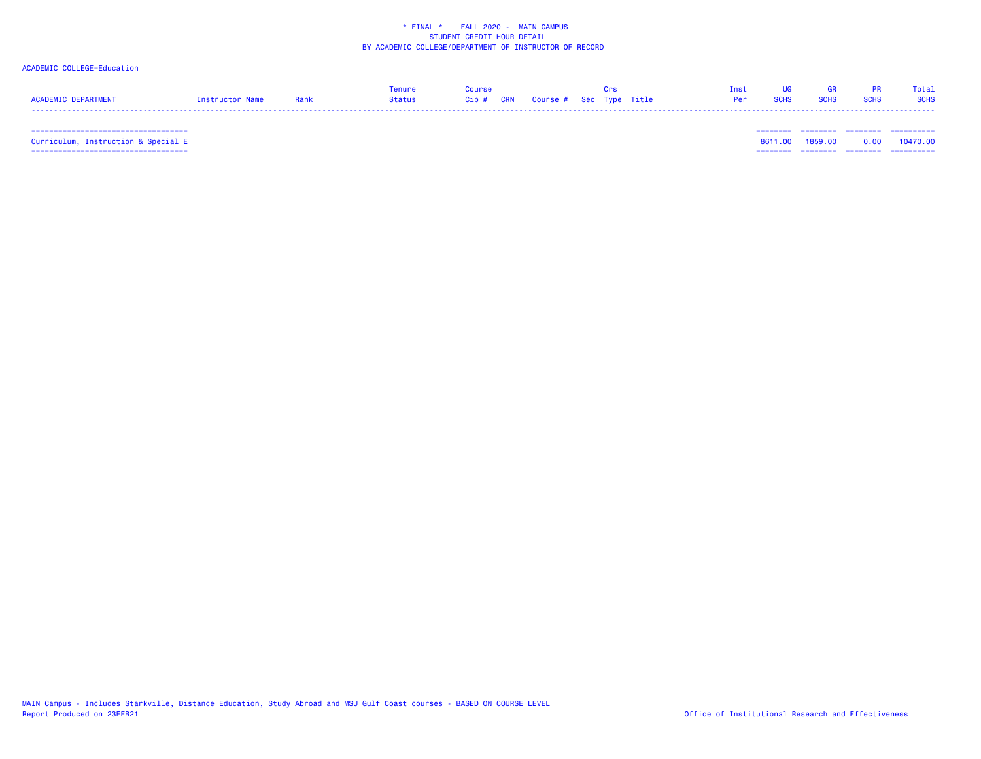## ACADEMIC COLLEGE=Education

|                            |                 |      | Tenure | Course                            |  |  | Tnst            | <b>IIG</b> | <b>GR</b>   | <b>PR</b>   | Total       |
|----------------------------|-----------------|------|--------|-----------------------------------|--|--|-----------------|------------|-------------|-------------|-------------|
| <b>ACADEMIC DEPARTMENT</b> | Instructor Name | Rank | Status | Cip # CRN Course # Sec Type Title |  |  | <b>Per</b> SCHS |            | <b>SCHS</b> | <b>SCHS</b> | <b>SCHS</b> |
|                            |                 |      |        |                                   |  |  |                 |            |             |             |             |

=================================== ======== ======== ======== ==========

 =================================== ======== ======== ======== ========== Curriculum, Instruction & Special E 8611.00 1859.00 0.00 10470.00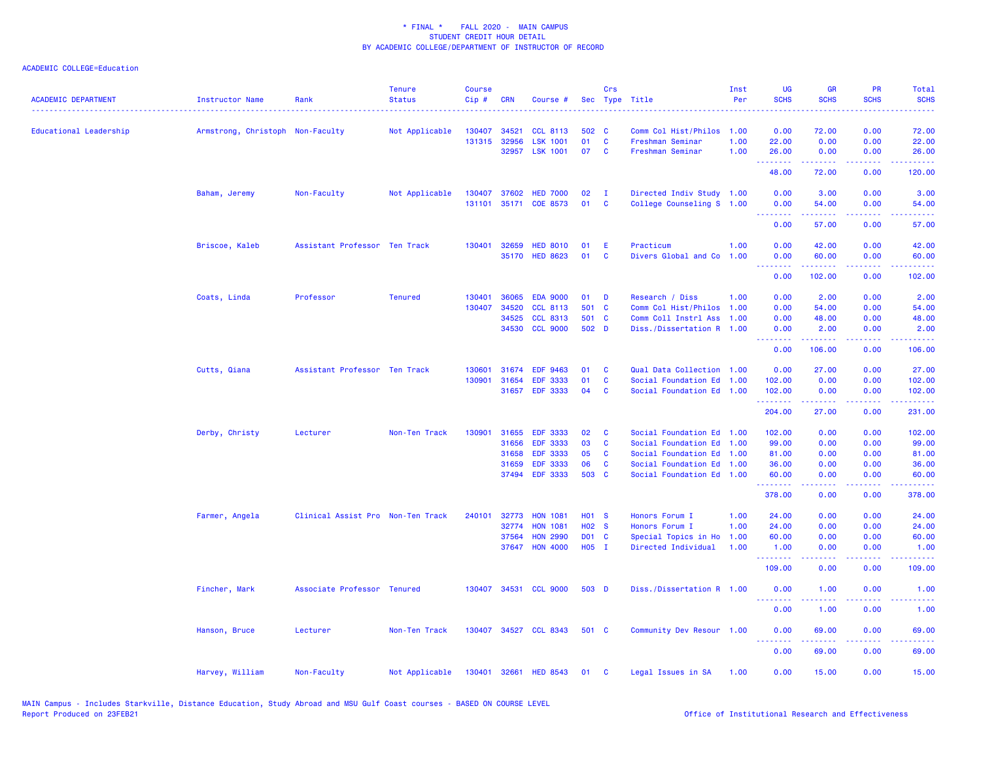| <b>ACADEMIC DEPARTMENT</b> | <b>Instructor Name</b>           | Rank                              | <b>Tenure</b><br><b>Status</b> | <b>Course</b><br>Cip# | <b>CRN</b>     | Course #                           |                   | Crs      | Sec Type Title                                         | Inst<br>Per | <b>UG</b><br><b>SCHS</b> | <b>GR</b><br><b>SCHS</b>                                                                                                                             | <b>PR</b><br><b>SCHS</b> | Total<br><b>SCHS</b>                |
|----------------------------|----------------------------------|-----------------------------------|--------------------------------|-----------------------|----------------|------------------------------------|-------------------|----------|--------------------------------------------------------|-------------|--------------------------|------------------------------------------------------------------------------------------------------------------------------------------------------|--------------------------|-------------------------------------|
| Educational Leadership     | Armstrong, Christoph Non-Faculty |                                   | Not Applicable                 | 130407                | 34521          | <b>CCL 8113</b>                    | 502 C             |          | Comm Col Hist/Philos                                   | 1.00        | 0.00                     | 72.00                                                                                                                                                | 0.00                     | 72.00                               |
|                            |                                  |                                   |                                |                       | 131315 32956   | <b>LSK 1001</b>                    | 01                | C        | Freshman Seminar                                       | 1.00        | 22.00                    | 0.00                                                                                                                                                 | 0.00                     | 22.00                               |
|                            |                                  |                                   |                                |                       | 32957          | <b>LSK 1001</b>                    | 07                | C        | Freshman Seminar                                       | 1.00        | 26.00<br>.               | 0.00<br>.                                                                                                                                            | 0.00<br>.                | 26.00<br>.                          |
|                            |                                  |                                   |                                |                       |                |                                    |                   |          |                                                        |             | 48.00                    | 72.00                                                                                                                                                | 0.00                     | 120.00                              |
|                            | Baham, Jeremy                    | Non-Faculty                       | Not Applicable                 | 130407                | 37602          | <b>HED 7000</b>                    | 02                | - 1      | Directed Indiv Study 1.00                              |             | 0.00                     | 3.00                                                                                                                                                 | 0.00                     | 3.00                                |
|                            |                                  |                                   |                                | 131101                |                | 35171 COE 8573                     | 01                | C        | College Counseling S 1.00                              |             | 0.00<br>.                | 54.00<br>.                                                                                                                                           | 0.00<br>.                | 54.00<br>.                          |
|                            |                                  |                                   |                                |                       |                |                                    |                   |          |                                                        |             | 0.00                     | 57.00                                                                                                                                                | 0.00                     | 57.00                               |
|                            | Briscoe, Kaleb                   | Assistant Professor Ten Track     |                                | 130401                | 32659          | <b>HED 8010</b>                    | 01                | E        | Practicum                                              | 1.00        | 0.00                     | 42.00                                                                                                                                                | 0.00                     | 42.00                               |
|                            |                                  |                                   |                                |                       | 35170          | <b>HED 8623</b>                    | 01                | C        | Divers Global and Co                                   | 1.00        | 0.00<br>.                | 60.00<br>.                                                                                                                                           | 0.00<br>.                | 60.00<br>22222)                     |
|                            |                                  |                                   |                                |                       |                |                                    |                   |          |                                                        |             | 0.00                     | 102.00                                                                                                                                               | 0.00                     | 102.00                              |
|                            | Coats, Linda                     | Professor                         | <b>Tenured</b>                 | 130401                | 36065          | <b>EDA 9000</b>                    | 01                | D        | Research / Diss                                        | 1.00        | 0.00                     | 2.00                                                                                                                                                 | 0.00                     | 2.00                                |
|                            |                                  |                                   |                                | 130407                | 34520          | <b>CCL 8113</b>                    | 501 C             |          | Comm Col Hist/Philos                                   | 1.00        | 0.00                     | 54.00                                                                                                                                                | 0.00                     | 54.00                               |
|                            |                                  |                                   |                                |                       | 34525          | <b>CCL 8313</b>                    | 501 C             |          | Comm Coll Instrl Ass                                   | 1.00        | 0.00                     | 48.00                                                                                                                                                | 0.00                     | 48.00                               |
|                            |                                  |                                   |                                |                       | 34530          | <b>CCL 9000</b>                    | 502 D             |          | Diss./Dissertation R 1.00                              |             | 0.00<br>.                | 2.00<br>.                                                                                                                                            | 0.00<br>.                | 2.00<br>.                           |
|                            |                                  |                                   |                                |                       |                |                                    |                   |          |                                                        |             | 0.00                     | 106.00                                                                                                                                               | 0.00                     | 106.00                              |
|                            | Cutts, Qiana                     | Assistant Professor Ten Track     |                                | 130601                | 31674          | <b>EDF 9463</b>                    | 01                | <b>C</b> | Qual Data Collection 1.00                              |             | 0.00                     | 27.00                                                                                                                                                | 0.00                     | 27.00                               |
|                            |                                  |                                   |                                | 130901                | 31654          | <b>EDF 3333</b>                    | 01                | C        | Social Foundation Ed 1.00                              |             | 102.00                   | 0.00                                                                                                                                                 | 0.00                     | 102.00                              |
|                            |                                  |                                   |                                |                       | 31657          | <b>EDF 3333</b>                    | 04                | C        | Social Foundation Ed 1.00                              |             | 102.00<br>.              | 0.00<br>.                                                                                                                                            | 0.00<br>.                | 102.00<br>.                         |
|                            |                                  |                                   |                                |                       |                |                                    |                   |          |                                                        |             | 204.00                   | 27.00                                                                                                                                                | 0.00                     | 231.00                              |
|                            | Derby, Christy                   | Lecturer                          | Non-Ten Track                  | 130901                | 31655          | <b>EDF 3333</b>                    | 02                | C        | Social Foundation Ed                                   | 1.00        | 102.00                   | 0.00                                                                                                                                                 | 0.00                     | 102.00                              |
|                            |                                  |                                   |                                |                       | 31656          | <b>EDF 3333</b>                    | 03                | C        | Social Foundation Ed                                   | 1.00        | 99.00                    | 0.00                                                                                                                                                 | 0.00                     | 99.00                               |
|                            |                                  |                                   |                                |                       | 31658          | <b>EDF 3333</b>                    | 05                | C        | Social Foundation Ed 1.00                              |             | 81.00                    | 0.00                                                                                                                                                 | 0.00                     | 81.00                               |
|                            |                                  |                                   |                                |                       | 31659<br>37494 | <b>EDF 3333</b><br><b>EDF 3333</b> | 06<br>503 C       | C        | Social Foundation Ed 1.00<br>Social Foundation Ed 1.00 |             | 36.00<br>60.00           | 0.00<br>0.00                                                                                                                                         | 0.00<br>0.00             | 36.00<br>60.00                      |
|                            |                                  |                                   |                                |                       |                |                                    |                   |          |                                                        |             | بالمتمام والمتمارين      | $\frac{1}{2} \left( \frac{1}{2} \right) \left( \frac{1}{2} \right) \left( \frac{1}{2} \right) \left( \frac{1}{2} \right) \left( \frac{1}{2} \right)$ | .                        | .                                   |
|                            |                                  |                                   |                                |                       |                |                                    |                   |          |                                                        |             | 378.00                   | 0.00                                                                                                                                                 | 0.00                     | 378.00                              |
|                            | Farmer, Angela                   | Clinical Assist Pro Non-Ten Track |                                | 240101                | 32773          | <b>HON 1081</b>                    | H <sub>01</sub> S |          | Honors Forum I                                         | 1.00        | 24.00                    | 0.00                                                                                                                                                 | 0.00                     | 24.00                               |
|                            |                                  |                                   |                                |                       | 32774          | <b>HON 1081</b>                    | H <sub>02</sub> S |          | Honors Forum I                                         | 1.00        | 24.00                    | 0.00                                                                                                                                                 | 0.00                     | 24.00                               |
|                            |                                  |                                   |                                |                       | 37564          | <b>HON 2990</b>                    | D01 C             |          | Special Topics in Ho                                   | 1.00        | 60.00                    | 0.00                                                                                                                                                 | 0.00                     | 60.00                               |
|                            |                                  |                                   |                                |                       | 37647          | <b>HON 4000</b>                    | H05 I             |          | Directed Individual                                    | 1.00        | 1.00<br>.                | 0.00<br>.                                                                                                                                            | 0.00<br>$\frac{1}{2}$    | 1.00<br>.                           |
|                            |                                  |                                   |                                |                       |                |                                    |                   |          |                                                        |             | 109.00                   | 0.00                                                                                                                                                 | 0.00                     | 109.00                              |
|                            | Fincher, Mark                    | Associate Professor Tenured       |                                |                       |                | 130407 34531 CCL 9000              | 503 D             |          | Diss./Dissertation R 1.00                              |             | 0.00<br>.                | 1.00                                                                                                                                                 | 0.00<br>والمستناء        | 1.00<br>$\sim$ $\sim$ $\sim$ $\sim$ |
|                            |                                  |                                   |                                |                       |                |                                    |                   |          |                                                        |             | 0.00                     | 1.00                                                                                                                                                 | 0.00                     | 1.00                                |
|                            | Hanson, Bruce                    | Lecturer                          | Non-Ten Track                  |                       |                | 130407 34527 CCL 8343              | 501 C             |          | Community Dev Resour 1.00                              |             | 0.00<br>د د د د          | 69.00<br>$\frac{1}{2} \left( \frac{1}{2} \right) \left( \frac{1}{2} \right) \left( \frac{1}{2} \right) \left( \frac{1}{2} \right)$                   | 0.00<br>بالمحام          | 69.00<br>المتمامين                  |
|                            |                                  |                                   |                                |                       |                |                                    |                   |          |                                                        |             | 0.00                     | 69.00                                                                                                                                                | 0.00                     | 69.00                               |
|                            | Harvey, William                  | Non-Faculty                       | Not Applicable                 | 130401                | 32661          | <b>HED 8543</b>                    | 01                | <b>C</b> | Legal Issues in SA                                     | 1.00        | 0.00                     | 15.00                                                                                                                                                | 0.00                     | 15.00                               |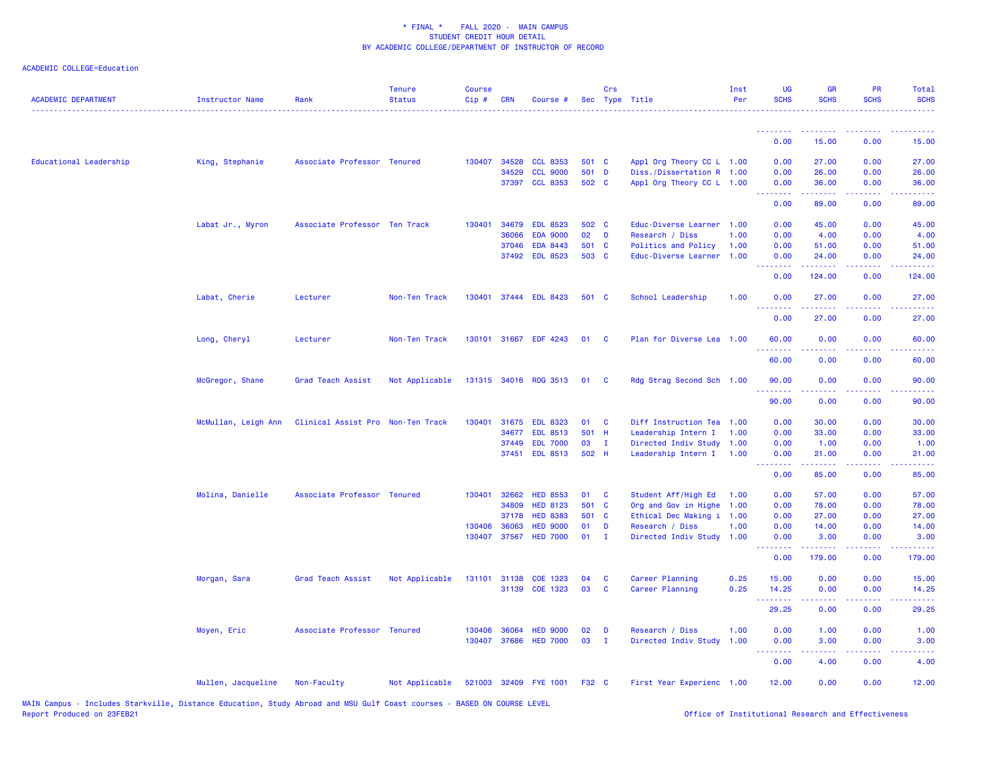| <b>ACADEMIC DEPARTMENT</b> | <b>Instructor Name</b> | Rank                              | <b>Tenure</b><br><b>Status</b> | <b>Course</b><br>Cip# | <b>CRN</b>   | Course #              |       | Crs            | Sec Type Title            | Inst<br>Per | UG<br><b>SCHS</b>                                                                                                                 | <b>GR</b><br><b>SCHS</b>                                                                                                                                      | <b>PR</b><br><b>SCHS</b>                                                                                                          | <b>Total</b><br><b>SCHS</b>                                                                                                        |
|----------------------------|------------------------|-----------------------------------|--------------------------------|-----------------------|--------------|-----------------------|-------|----------------|---------------------------|-------------|-----------------------------------------------------------------------------------------------------------------------------------|---------------------------------------------------------------------------------------------------------------------------------------------------------------|-----------------------------------------------------------------------------------------------------------------------------------|------------------------------------------------------------------------------------------------------------------------------------|
|                            |                        |                                   |                                |                       |              |                       |       |                |                           |             | .<br>0.00                                                                                                                         | 15.00                                                                                                                                                         | 0.00                                                                                                                              | 15.00                                                                                                                              |
|                            |                        |                                   |                                |                       |              |                       |       |                |                           |             |                                                                                                                                   |                                                                                                                                                               |                                                                                                                                   |                                                                                                                                    |
| Educational Leadership     | King, Stephanie        | Associate Professor Tenured       |                                |                       | 130407 34528 | <b>CCL 8353</b>       | 501 C |                | Appl Org Theory CC L 1.00 |             | 0.00                                                                                                                              | 27.00                                                                                                                                                         | 0.00                                                                                                                              | 27.00                                                                                                                              |
|                            |                        |                                   |                                |                       | 34529        | <b>CCL 9000</b>       | 501 D |                | Diss./Dissertation R 1.00 |             | 0.00                                                                                                                              | 26.00                                                                                                                                                         | 0.00                                                                                                                              | 26.00                                                                                                                              |
|                            |                        |                                   |                                |                       | 37397        | <b>CCL 8353</b>       | 502 C |                | Appl Org Theory CC L 1.00 |             | 0.00<br><b><i><u><u><b>Little Little</b></u></u></i></b>                                                                          | 36.00<br>.                                                                                                                                                    | 0.00<br>.                                                                                                                         | 36.00<br>.                                                                                                                         |
|                            |                        |                                   |                                |                       |              |                       |       |                |                           |             | 0.00                                                                                                                              | 89.00                                                                                                                                                         | 0.00                                                                                                                              | 89.00                                                                                                                              |
|                            | Labat Jr., Myron       | Associate Professor Ten Track     |                                | 130401                | 34679        | <b>EDL 8523</b>       | 502 C |                | Educ-Diverse Learner 1.00 |             | 0.00                                                                                                                              | 45.00                                                                                                                                                         | 0.00                                                                                                                              | 45.00                                                                                                                              |
|                            |                        |                                   |                                |                       | 36066        | <b>EDA 9000</b>       | 02    | D              | Research / Diss           | 1.00        | 0.00                                                                                                                              | 4.00                                                                                                                                                          | 0.00                                                                                                                              | 4.00                                                                                                                               |
|                            |                        |                                   |                                |                       | 37046        | <b>EDA 8443</b>       | 501 C |                | Politics and Policy       | 1.00        | 0.00                                                                                                                              | 51.00                                                                                                                                                         | 0.00                                                                                                                              | 51.00                                                                                                                              |
|                            |                        |                                   |                                |                       | 37492        | <b>EDL 8523</b>       | 503 C |                | Educ-Diverse Learner      | 1.00        | 0.00<br>.                                                                                                                         | 24.00<br>.                                                                                                                                                    | 0.00<br>$\sim$ $\sim$ $\sim$                                                                                                      | 24.00<br>.                                                                                                                         |
|                            |                        |                                   |                                |                       |              |                       |       |                |                           |             | 0.00                                                                                                                              | 124.00                                                                                                                                                        | 0.00                                                                                                                              | 124.00                                                                                                                             |
|                            | Labat, Cherie          | Lecturer                          | Non-Ten Track                  |                       |              | 130401 37444 EDL 8423 | 501 C |                | School Leadership         | 1.00        | 0.00<br>.                                                                                                                         | 27.00<br>$\frac{1}{2} \left( \frac{1}{2} \right) \left( \frac{1}{2} \right) \left( \frac{1}{2} \right) \left( \frac{1}{2} \right) \left( \frac{1}{2} \right)$ | 0.00                                                                                                                              | 27.00                                                                                                                              |
|                            |                        |                                   |                                |                       |              |                       |       |                |                           |             | 0.00                                                                                                                              | 27.00                                                                                                                                                         | 0.00                                                                                                                              | 27.00                                                                                                                              |
|                            | Long, Cheryl           | Lecturer                          | Non-Ten Track                  |                       |              | 130101 31667 EDF 4243 | 01    | <b>C</b>       | Plan for Diverse Lea 1.00 |             | 60.00<br>.                                                                                                                        | 0.00                                                                                                                                                          | 0.00                                                                                                                              | 60.00<br>$\frac{1}{2} \left( \frac{1}{2} \right) \left( \frac{1}{2} \right) \left( \frac{1}{2} \right) \left( \frac{1}{2} \right)$ |
|                            |                        |                                   |                                |                       |              |                       |       |                |                           |             | 60.00                                                                                                                             | 0.00                                                                                                                                                          | 0.00                                                                                                                              | 60.00                                                                                                                              |
|                            | McGregor, Shane        | Grad Teach Assist                 | Not Applicable                 |                       |              | 131315 34016 RDG 3513 | 01    | <b>C</b>       | Rdg Strag Second Sch 1.00 |             | 90.00<br>.                                                                                                                        | 0.00<br>$\frac{1}{2} \left( \frac{1}{2} \right) \left( \frac{1}{2} \right) \left( \frac{1}{2} \right) \left( \frac{1}{2} \right) \left( \frac{1}{2} \right)$  | 0.00<br>$\frac{1}{2} \left( \frac{1}{2} \right) \left( \frac{1}{2} \right) \left( \frac{1}{2} \right) \left( \frac{1}{2} \right)$ | 90.00<br>$\frac{1}{2} \left( \frac{1}{2} \right) \left( \frac{1}{2} \right) \left( \frac{1}{2} \right) \left( \frac{1}{2} \right)$ |
|                            |                        |                                   |                                |                       |              |                       |       |                |                           |             | 90.00                                                                                                                             | 0.00                                                                                                                                                          | 0.00                                                                                                                              | 90.00                                                                                                                              |
|                            | McMullan, Leigh Ann    | Clinical Assist Pro Non-Ten Track |                                |                       |              | 130401 31675 EDL 8323 | 01    | <b>C</b>       | Diff Instruction Tea 1.00 |             | 0.00                                                                                                                              | 30.00                                                                                                                                                         | 0.00                                                                                                                              | 30.00                                                                                                                              |
|                            |                        |                                   |                                |                       | 34677        | <b>EDL 8513</b>       | 501 H |                | Leadership Intern I       | 1.00        | 0.00                                                                                                                              | 33.00                                                                                                                                                         | 0.00                                                                                                                              | 33.00                                                                                                                              |
|                            |                        |                                   |                                |                       | 37449        | <b>EDL 7000</b>       | 03    | $\mathbf{I}$   | Directed Indiv Study 1.00 |             | 0.00                                                                                                                              | 1.00                                                                                                                                                          | 0.00                                                                                                                              | 1.00                                                                                                                               |
|                            |                        |                                   |                                |                       | 37451        | <b>EDL 8513</b>       | 502 H |                | Leadership Intern I 1.00  |             | 0.00                                                                                                                              | 21.00<br>الداعات عامات                                                                                                                                        | 0.00                                                                                                                              | 21.00<br>.                                                                                                                         |
|                            |                        |                                   |                                |                       |              |                       |       |                |                           |             | .<br>0.00                                                                                                                         | 85.00                                                                                                                                                         | 0.00                                                                                                                              | 85.00                                                                                                                              |
|                            | Molina, Danielle       | Associate Professor Tenured       |                                |                       | 130401 32662 | <b>HED 8553</b>       | 01    | C              | Student Aff/High Ed       | 1.00        | 0.00                                                                                                                              | 57.00                                                                                                                                                         | 0.00                                                                                                                              | 57.00                                                                                                                              |
|                            |                        |                                   |                                |                       | 34809        | <b>HED 8123</b>       | 501 C |                | Org and Gov in Highe 1.00 |             | 0.00                                                                                                                              | 78.00                                                                                                                                                         | 0.00                                                                                                                              | 78.00                                                                                                                              |
|                            |                        |                                   |                                |                       | 37178        | <b>HED 8383</b>       | 501 C |                | Ethical Dec Making i 1.00 |             | 0.00                                                                                                                              | 27.00                                                                                                                                                         | 0.00                                                                                                                              | 27.00                                                                                                                              |
|                            |                        |                                   |                                | 130406                | 36063        | <b>HED 9000</b>       | 01    | D              | Research / Diss           | 1.00        | 0.00                                                                                                                              | 14.00                                                                                                                                                         | 0.00                                                                                                                              | 14.00                                                                                                                              |
|                            |                        |                                   |                                |                       | 130407 37567 | <b>HED 7000</b>       | 01    | $\blacksquare$ | Directed Indiv Study 1.00 |             | 0.00<br>$\frac{1}{2} \left( \frac{1}{2} \right) \left( \frac{1}{2} \right) \left( \frac{1}{2} \right) \left( \frac{1}{2} \right)$ | 3.00<br>$\frac{1}{2} \left( \frac{1}{2} \right) \left( \frac{1}{2} \right) \left( \frac{1}{2} \right) \left( \frac{1}{2} \right) \left( \frac{1}{2} \right)$  | 0.00                                                                                                                              | 3.00                                                                                                                               |
|                            |                        |                                   |                                |                       |              |                       |       |                |                           |             | 0.00                                                                                                                              | 179.00                                                                                                                                                        | 0.00                                                                                                                              | 179.00                                                                                                                             |
|                            | Morgan, Sara           | Grad Teach Assist                 | Not Applicable                 |                       | 131101 31138 | COE 1323              | 04    | <b>C</b>       | Career Planning           | 0.25        | 15.00                                                                                                                             | 0.00                                                                                                                                                          | 0.00                                                                                                                              | 15.00                                                                                                                              |
|                            |                        |                                   |                                |                       | 31139        | COE 1323              | 03    | C              | Career Planning           | 0.25        | 14.25                                                                                                                             | 0.00                                                                                                                                                          | 0.00                                                                                                                              | 14.25                                                                                                                              |
|                            |                        |                                   |                                |                       |              |                       |       |                |                           |             | .<br>29.25                                                                                                                        | 22222<br>0.00                                                                                                                                                 | ن د د د<br>0.00                                                                                                                   | المتمامين<br>29.25                                                                                                                 |
|                            | Moyen, Eric            | Associate Professor Tenured       |                                | 130406                | 36064        | <b>HED 9000</b>       | 02    | D              | Research / Diss           | 1.00        | 0.00                                                                                                                              | 1.00                                                                                                                                                          | 0.00                                                                                                                              | 1.00                                                                                                                               |
|                            |                        |                                   |                                | 130407                | 37686        | <b>HED 7000</b>       | 03    | $\mathbf{I}$   | Directed Indiv Study      | 1.00        | 0.00<br><u> - - - - - - - -</u>                                                                                                   | 3.00                                                                                                                                                          | 0.00                                                                                                                              | 3.00                                                                                                                               |
|                            |                        |                                   |                                |                       |              |                       |       |                |                           |             | 0.00                                                                                                                              | 4.00                                                                                                                                                          | 0.00                                                                                                                              | 4.00                                                                                                                               |
|                            | Mullen, Jacqueline     | Non-Faculty                       | Not Applicable                 |                       |              | 521003 32409 FYE 1001 | F32 C |                | First Year Experienc 1.00 |             | 12.00                                                                                                                             | 0.00                                                                                                                                                          | 0.00                                                                                                                              | 12.00                                                                                                                              |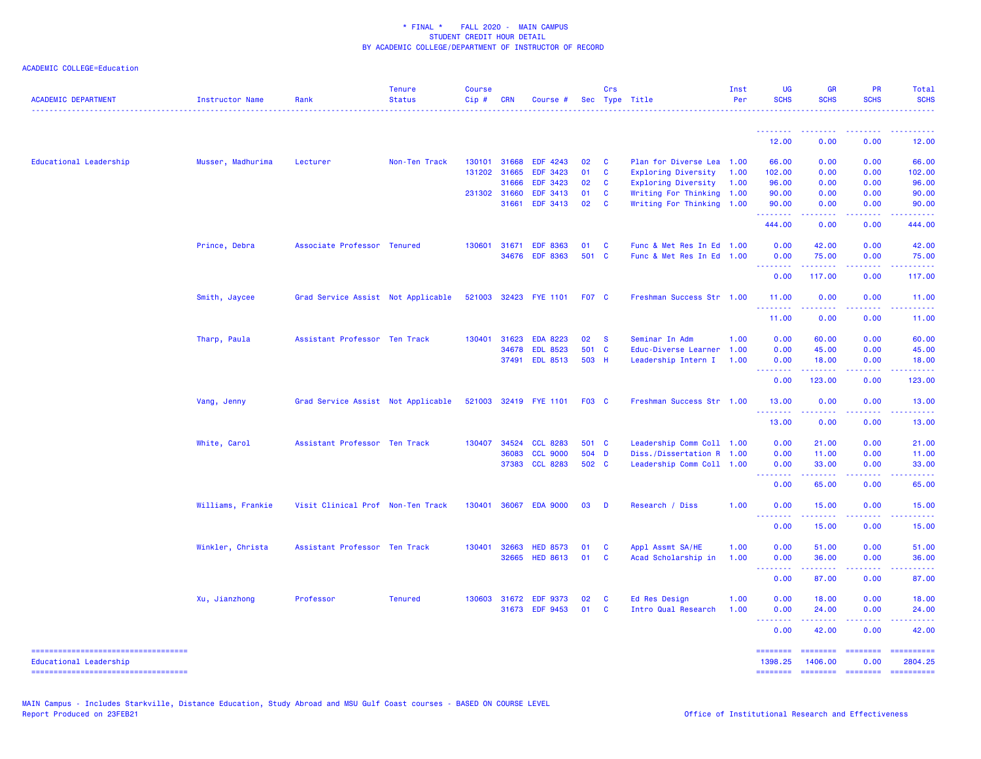| <b>ACADEMIC DEPARTMENT</b>                                   | Instructor Name   | Rank                               | <b>Tenure</b><br><b>Status</b> | <b>Course</b><br>$Cip \#$ | <b>CRN</b>   | Course #              |              | Crs          | Sec Type Title            | Inst<br>Per | <b>UG</b><br><b>SCHS</b>                                                                                                                                                                                                                                                                                                                                                                                                                                                                       | <b>GR</b><br><b>SCHS</b>                                                                                                                                      | PR<br><b>SCHS</b>                                                                                                                                                                                                                                                                                                                                                                                                                                                                              | Total<br><b>SCHS</b>  |
|--------------------------------------------------------------|-------------------|------------------------------------|--------------------------------|---------------------------|--------------|-----------------------|--------------|--------------|---------------------------|-------------|------------------------------------------------------------------------------------------------------------------------------------------------------------------------------------------------------------------------------------------------------------------------------------------------------------------------------------------------------------------------------------------------------------------------------------------------------------------------------------------------|---------------------------------------------------------------------------------------------------------------------------------------------------------------|------------------------------------------------------------------------------------------------------------------------------------------------------------------------------------------------------------------------------------------------------------------------------------------------------------------------------------------------------------------------------------------------------------------------------------------------------------------------------------------------|-----------------------|
|                                                              |                   |                                    |                                |                           |              |                       |              |              |                           |             | <u>.</u>                                                                                                                                                                                                                                                                                                                                                                                                                                                                                       |                                                                                                                                                               |                                                                                                                                                                                                                                                                                                                                                                                                                                                                                                |                       |
|                                                              |                   |                                    |                                |                           |              |                       |              |              |                           |             | 12.00                                                                                                                                                                                                                                                                                                                                                                                                                                                                                          | 0.00                                                                                                                                                          | 0.00                                                                                                                                                                                                                                                                                                                                                                                                                                                                                           | 12.00                 |
| Educational Leadership                                       | Musser, Madhurima | Lecturer                           | Non-Ten Track                  |                           | 130101 31668 | EDF 4243              | 02           | <b>C</b>     | Plan for Diverse Lea 1.00 |             | 66.00                                                                                                                                                                                                                                                                                                                                                                                                                                                                                          | 0.00                                                                                                                                                          | 0.00                                                                                                                                                                                                                                                                                                                                                                                                                                                                                           | 66.00                 |
|                                                              |                   |                                    |                                |                           | 131202 31665 | <b>EDF 3423</b>       | 01           | $\mathbf{C}$ | Exploring Diversity       | 1.00        | 102.00                                                                                                                                                                                                                                                                                                                                                                                                                                                                                         | 0.00                                                                                                                                                          | 0.00                                                                                                                                                                                                                                                                                                                                                                                                                                                                                           | 102.00                |
|                                                              |                   |                                    |                                |                           | 31666        | EDF 3423              | 02           | C            | Exploring Diversity       | 1.00        | 96.00                                                                                                                                                                                                                                                                                                                                                                                                                                                                                          | 0.00                                                                                                                                                          | 0.00                                                                                                                                                                                                                                                                                                                                                                                                                                                                                           | 96.00                 |
|                                                              |                   |                                    |                                | 231302 31660              |              | <b>EDF 3413</b>       | 01           | C            | Writing For Thinking 1.00 |             | 90.00                                                                                                                                                                                                                                                                                                                                                                                                                                                                                          | 0.00                                                                                                                                                          | 0.00                                                                                                                                                                                                                                                                                                                                                                                                                                                                                           | 90.00                 |
|                                                              |                   |                                    |                                |                           | 31661        | EDF 3413              | 02           | <b>C</b>     | Writing For Thinking 1.00 |             | 90.00<br>.                                                                                                                                                                                                                                                                                                                                                                                                                                                                                     | 0.00<br>$\frac{1}{2} \left( \frac{1}{2} \right) \left( \frac{1}{2} \right) \left( \frac{1}{2} \right) \left( \frac{1}{2} \right) \left( \frac{1}{2} \right)$  | 0.00<br>.                                                                                                                                                                                                                                                                                                                                                                                                                                                                                      | 90.00                 |
|                                                              |                   |                                    |                                |                           |              |                       |              |              |                           |             | 444.00                                                                                                                                                                                                                                                                                                                                                                                                                                                                                         | 0.00                                                                                                                                                          | 0.00                                                                                                                                                                                                                                                                                                                                                                                                                                                                                           | 444.00                |
|                                                              | Prince, Debra     | Associate Professor Tenured        |                                | 130601                    | 31671        | <b>EDF 8363</b>       | 01           | <b>C</b>     | Func & Met Res In Ed 1.00 |             | 0.00                                                                                                                                                                                                                                                                                                                                                                                                                                                                                           | 42.00                                                                                                                                                         | 0.00                                                                                                                                                                                                                                                                                                                                                                                                                                                                                           | 42.00                 |
|                                                              |                   |                                    |                                |                           | 34676        | <b>EDF 8363</b>       | 501 C        |              | Func & Met Res In Ed 1.00 |             | 0.00<br>.                                                                                                                                                                                                                                                                                                                                                                                                                                                                                      | 75.00<br>.                                                                                                                                                    | 0.00                                                                                                                                                                                                                                                                                                                                                                                                                                                                                           | 75.00                 |
|                                                              |                   |                                    |                                |                           |              |                       |              |              |                           |             | 0.00                                                                                                                                                                                                                                                                                                                                                                                                                                                                                           | 117.00                                                                                                                                                        | 0.00                                                                                                                                                                                                                                                                                                                                                                                                                                                                                           | 117.00                |
|                                                              | Smith, Jaycee     | Grad Service Assist Not Applicable |                                |                           |              | 521003 32423 FYE 1101 | <b>F07 C</b> |              | Freshman Success Str 1.00 |             | 11.00                                                                                                                                                                                                                                                                                                                                                                                                                                                                                          | 0.00                                                                                                                                                          | 0.00                                                                                                                                                                                                                                                                                                                                                                                                                                                                                           | 11.00                 |
|                                                              |                   |                                    |                                |                           |              |                       |              |              |                           |             | $\frac{1}{2} \left( \frac{1}{2} \right) \left( \frac{1}{2} \right) \left( \frac{1}{2} \right)$<br>11.00                                                                                                                                                                                                                                                                                                                                                                                        | 0.00                                                                                                                                                          | 0.00                                                                                                                                                                                                                                                                                                                                                                                                                                                                                           | 11.00                 |
|                                                              | Tharp, Paula      | Assistant Professor Ten Track      |                                | 130401                    | 31623        | <b>EDA 8223</b>       | 02           | $\mathbf{s}$ | Seminar In Adm            | 1.00        | 0.00                                                                                                                                                                                                                                                                                                                                                                                                                                                                                           | 60.00                                                                                                                                                         | 0.00                                                                                                                                                                                                                                                                                                                                                                                                                                                                                           | 60.00                 |
|                                                              |                   |                                    |                                |                           | 34678        | <b>EDL 8523</b>       | 501 C        |              | Educ-Diverse Learner 1.00 |             | 0.00                                                                                                                                                                                                                                                                                                                                                                                                                                                                                           | 45.00                                                                                                                                                         | 0.00                                                                                                                                                                                                                                                                                                                                                                                                                                                                                           | 45.00                 |
|                                                              |                   |                                    |                                |                           | 37491        | <b>EDL 8513</b>       | 503 H        |              | Leadership Intern I       | 1.00        | 0.00                                                                                                                                                                                                                                                                                                                                                                                                                                                                                           | 18.00                                                                                                                                                         | 0.00                                                                                                                                                                                                                                                                                                                                                                                                                                                                                           | 18.00                 |
|                                                              |                   |                                    |                                |                           |              |                       |              |              |                           |             | .<br>0.00                                                                                                                                                                                                                                                                                                                                                                                                                                                                                      | .<br>123.00                                                                                                                                                   | 0.00                                                                                                                                                                                                                                                                                                                                                                                                                                                                                           | 123.00                |
|                                                              | Vang, Jenny       | Grad Service Assist Not Applicable |                                |                           |              | 521003 32419 FYE 1101 | <b>F03 C</b> |              | Freshman Success Str 1.00 |             | 13.00                                                                                                                                                                                                                                                                                                                                                                                                                                                                                          | 0.00                                                                                                                                                          | 0.00                                                                                                                                                                                                                                                                                                                                                                                                                                                                                           | 13.00                 |
|                                                              |                   |                                    |                                |                           |              |                       |              |              |                           |             | <u>.</u><br>13.00                                                                                                                                                                                                                                                                                                                                                                                                                                                                              | $- - - - -$<br>0.00                                                                                                                                           | 0.00                                                                                                                                                                                                                                                                                                                                                                                                                                                                                           | 13.00                 |
|                                                              | White, Carol      | Assistant Professor Ten Track      |                                |                           | 130407 34524 | <b>CCL 8283</b>       | 501 C        |              | Leadership Comm Coll 1.00 |             | 0.00                                                                                                                                                                                                                                                                                                                                                                                                                                                                                           | 21.00                                                                                                                                                         | 0.00                                                                                                                                                                                                                                                                                                                                                                                                                                                                                           | 21.00                 |
|                                                              |                   |                                    |                                |                           | 36083        | <b>CCL 9000</b>       | 504 D        |              | Diss./Dissertation R 1.00 |             | 0.00                                                                                                                                                                                                                                                                                                                                                                                                                                                                                           | 11.00                                                                                                                                                         | 0.00                                                                                                                                                                                                                                                                                                                                                                                                                                                                                           | 11.00                 |
|                                                              |                   |                                    |                                |                           | 37383        | <b>CCL 8283</b>       | 502 C        |              | Leadership Comm Coll 1.00 |             | 0.00                                                                                                                                                                                                                                                                                                                                                                                                                                                                                           | 33.00                                                                                                                                                         | 0.00                                                                                                                                                                                                                                                                                                                                                                                                                                                                                           | 33.00                 |
|                                                              |                   |                                    |                                |                           |              |                       |              |              |                           |             | <u>.</u><br>0.00                                                                                                                                                                                                                                                                                                                                                                                                                                                                               | 65.00                                                                                                                                                         | 0.00                                                                                                                                                                                                                                                                                                                                                                                                                                                                                           | 65.00                 |
|                                                              | Williams, Frankie | Visit Clinical Prof Non-Ten Track  |                                | 130401                    | 36067        | <b>EDA 9000</b>       | 03           | D            | Research / Diss           | 1.00        | 0.00                                                                                                                                                                                                                                                                                                                                                                                                                                                                                           | 15.00                                                                                                                                                         | 0.00                                                                                                                                                                                                                                                                                                                                                                                                                                                                                           | 15.00                 |
|                                                              |                   |                                    |                                |                           |              |                       |              |              |                           |             | $\sim 10$<br>وعاعات<br>0.00                                                                                                                                                                                                                                                                                                                                                                                                                                                                    | $\frac{1}{2} \left( \frac{1}{2} \right) \left( \frac{1}{2} \right) \left( \frac{1}{2} \right) \left( \frac{1}{2} \right) \left( \frac{1}{2} \right)$<br>15.00 | 0.00                                                                                                                                                                                                                                                                                                                                                                                                                                                                                           | 15.00                 |
|                                                              | Winkler, Christa  | Assistant Professor Ten Track      |                                |                           | 130401 32663 | <b>HED 8573</b>       | 01           | <b>C</b>     | Appl Assmt SA/HE          | 1.00        | 0.00                                                                                                                                                                                                                                                                                                                                                                                                                                                                                           | 51.00                                                                                                                                                         | 0.00                                                                                                                                                                                                                                                                                                                                                                                                                                                                                           | 51.00                 |
|                                                              |                   |                                    |                                |                           | 32665        | <b>HED 8613</b>       | 01           | C            | Acad Scholarship in       | 1.00        | 0.00                                                                                                                                                                                                                                                                                                                                                                                                                                                                                           | 36.00                                                                                                                                                         | 0.00                                                                                                                                                                                                                                                                                                                                                                                                                                                                                           | 36.00                 |
|                                                              |                   |                                    |                                |                           |              |                       |              |              |                           |             | .<br>0.00                                                                                                                                                                                                                                                                                                                                                                                                                                                                                      | 87.00                                                                                                                                                         | 0.00                                                                                                                                                                                                                                                                                                                                                                                                                                                                                           | 87.00                 |
|                                                              | Xu, Jianzhong     | Professor                          | <b>Tenured</b>                 |                           | 130603 31672 | <b>EDF 9373</b>       | 02           | $\mathbf{C}$ | Ed Res Design             | 1.00        | 0.00                                                                                                                                                                                                                                                                                                                                                                                                                                                                                           | 18.00                                                                                                                                                         | 0.00                                                                                                                                                                                                                                                                                                                                                                                                                                                                                           | 18.00                 |
|                                                              |                   |                                    |                                |                           |              | 31673 EDF 9453        | 01           | $\mathbf{C}$ | Intro Qual Research       | 1.00        | 0.00                                                                                                                                                                                                                                                                                                                                                                                                                                                                                           | 24.00                                                                                                                                                         | 0.00                                                                                                                                                                                                                                                                                                                                                                                                                                                                                           | 24.00                 |
|                                                              |                   |                                    |                                |                           |              |                       |              |              |                           |             | $\begin{array}{cccccccccccccc} \multicolumn{2}{c}{} & \multicolumn{2}{c}{} & \multicolumn{2}{c}{} & \multicolumn{2}{c}{} & \multicolumn{2}{c}{} & \multicolumn{2}{c}{} & \multicolumn{2}{c}{} & \multicolumn{2}{c}{} & \multicolumn{2}{c}{} & \multicolumn{2}{c}{} & \multicolumn{2}{c}{} & \multicolumn{2}{c}{} & \multicolumn{2}{c}{} & \multicolumn{2}{c}{} & \multicolumn{2}{c}{} & \multicolumn{2}{c}{} & \multicolumn{2}{c}{} & \multicolumn{2}{c}{} & \multicolumn{2}{c}{} & \$<br>0.00 | .<br>42.00                                                                                                                                                    | 0.00                                                                                                                                                                                                                                                                                                                                                                                                                                                                                           | 42.00                 |
| ----------------------------------                           |                   |                                    |                                |                           |              |                       |              |              |                           |             | ========                                                                                                                                                                                                                                                                                                                                                                                                                                                                                       | ========                                                                                                                                                      | <b>SEESEESE</b>                                                                                                                                                                                                                                                                                                                                                                                                                                                                                | ==========<br>2804.25 |
| Educational Leadership<br>---------------------------------- |                   |                                    |                                |                           |              |                       |              |              |                           |             | 1398.25<br><b>ESSESSES</b>                                                                                                                                                                                                                                                                                                                                                                                                                                                                     | 1406.00<br><b>ESSESSES</b>                                                                                                                                    | 0.00<br>$\begin{array}{cccccccccc} \multicolumn{2}{c}{} & \multicolumn{2}{c}{} & \multicolumn{2}{c}{} & \multicolumn{2}{c}{} & \multicolumn{2}{c}{} & \multicolumn{2}{c}{} & \multicolumn{2}{c}{} & \multicolumn{2}{c}{} & \multicolumn{2}{c}{} & \multicolumn{2}{c}{} & \multicolumn{2}{c}{} & \multicolumn{2}{c}{} & \multicolumn{2}{c}{} & \multicolumn{2}{c}{} & \multicolumn{2}{c}{} & \multicolumn{2}{c}{} & \multicolumn{2}{c}{} & \multicolumn{2}{c}{} & \multicolumn{2}{c}{} & \mult$ | <b>ESSESSERS</b>      |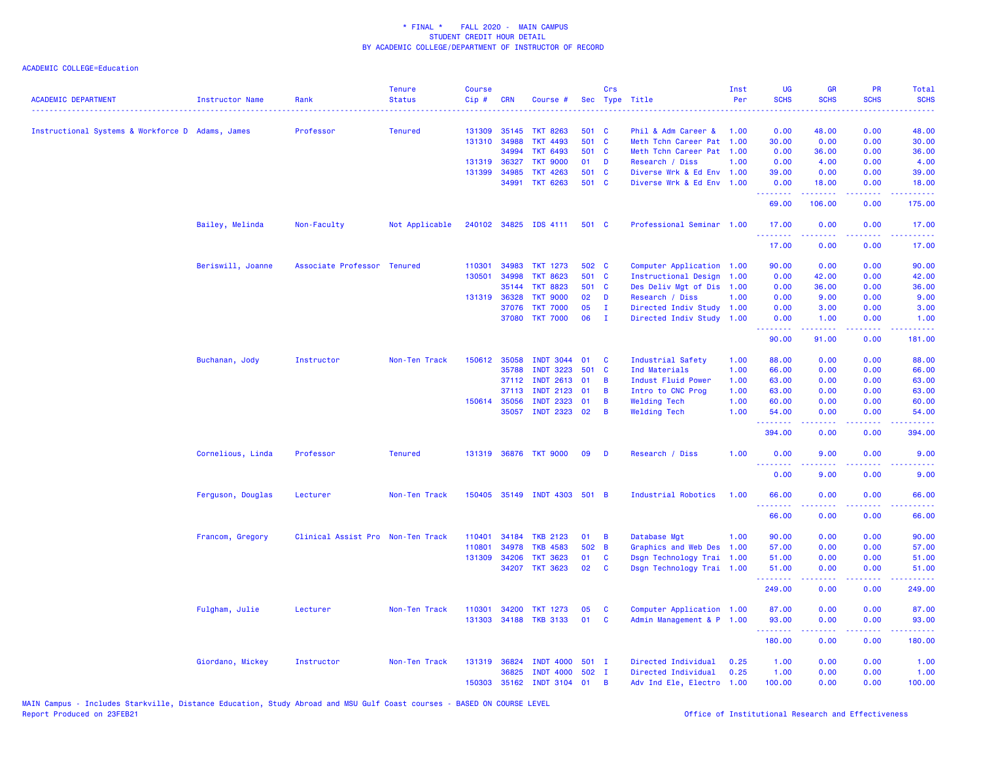| <b>ACADEMIC DEPARTMENT</b>                       | <b>Instructor Name</b> | Rank                              | <b>Tenure</b><br><b>Status</b> | <b>Course</b><br>Cip# | <b>CRN</b>   | Course #                     |       | Crs          | Sec Type Title            | Inst<br>Per | UG<br><b>SCHS</b> | GR<br><b>SCHS</b>                                                                                                                 | <b>PR</b><br><b>SCHS</b> | Total<br><b>SCHS</b><br>$\frac{1}{2} \left( \frac{1}{2} \right) \left( \frac{1}{2} \right) \left( \frac{1}{2} \right) \left( \frac{1}{2} \right)$ |
|--------------------------------------------------|------------------------|-----------------------------------|--------------------------------|-----------------------|--------------|------------------------------|-------|--------------|---------------------------|-------------|-------------------|-----------------------------------------------------------------------------------------------------------------------------------|--------------------------|---------------------------------------------------------------------------------------------------------------------------------------------------|
| Instructional Systems & Workforce D Adams, James |                        | Professor                         | <b>Tenured</b>                 | 131309                | 35145        | <b>TKT 8263</b>              | 501   | <b>C</b>     | Phil & Adm Career &       | 1.00        | 0.00              | 48.00                                                                                                                             | 0.00                     | 48.00                                                                                                                                             |
|                                                  |                        |                                   |                                |                       | 131310 34988 | <b>TKT 4493</b>              | 501 C |              | Meth Tchn Career Pat 1.00 |             | 30.00             | 0.00                                                                                                                              | 0.00                     | 30.00                                                                                                                                             |
|                                                  |                        |                                   |                                |                       | 34994        | <b>TKT 6493</b>              | 501 C |              | Meth Tchn Career Pat 1.00 |             | 0.00              | 36.00                                                                                                                             | 0.00                     | 36.00                                                                                                                                             |
|                                                  |                        |                                   |                                |                       | 131319 36327 | <b>TKT 9000</b>              | 01    | D            | Research / Diss           | 1.00        | 0.00              | 4.00                                                                                                                              | 0.00                     | 4.00                                                                                                                                              |
|                                                  |                        |                                   |                                |                       | 131399 34985 | <b>TKT 4263</b>              | 501 C |              | Diverse Wrk & Ed Env 1.00 |             | 39.00             | 0.00                                                                                                                              | 0.00                     | 39.00                                                                                                                                             |
|                                                  |                        |                                   |                                |                       | 34991        | <b>TKT 6263</b>              | 501 C |              | Diverse Wrk & Ed Env 1.00 |             | 0.00              | 18.00                                                                                                                             | 0.00                     | 18.00                                                                                                                                             |
|                                                  |                        |                                   |                                |                       |              |                              |       |              |                           |             | .<br>69.00        | .<br>106.00                                                                                                                       | .<br>0.00                | .<br>175.00                                                                                                                                       |
|                                                  | Bailey, Melinda        | Non-Faculty                       | Not Applicable                 |                       |              | 240102 34825 IDS 4111        | 501 C |              | Professional Seminar 1.00 |             | 17.00<br>.        | 0.00<br>$\frac{1}{2} \left( \frac{1}{2} \right) \left( \frac{1}{2} \right) \left( \frac{1}{2} \right) \left( \frac{1}{2} \right)$ | 0.00<br>د د د د          | 17.00<br>.                                                                                                                                        |
|                                                  |                        |                                   |                                |                       |              |                              |       |              |                           |             | 17.00             | 0.00                                                                                                                              | 0.00                     | 17.00                                                                                                                                             |
|                                                  | Beriswill, Joanne      | Associate Professor               | <b>Tenured</b>                 | 110301                | 34983        | <b>TKT 1273</b>              | 502 C |              | Computer Application 1.00 |             | 90.00             | 0.00                                                                                                                              | 0.00                     | 90.00                                                                                                                                             |
|                                                  |                        |                                   |                                | 130501                | 34998        | <b>TKT 8623</b>              | 501 C |              | Instructional Design 1.00 |             | 0.00              | 42.00                                                                                                                             | 0.00                     | 42.00                                                                                                                                             |
|                                                  |                        |                                   |                                |                       | 35144        | <b>TKT 8823</b>              | 501 C |              | Des Deliv Mgt of Dis 1.00 |             | 0.00              | 36.00                                                                                                                             | 0.00                     | 36.00                                                                                                                                             |
|                                                  |                        |                                   |                                |                       | 131319 36328 | <b>TKT 9000</b>              | 02    | D            | Research / Diss           | 1.00        | 0.00              | 9.00                                                                                                                              | 0.00                     | 9.00                                                                                                                                              |
|                                                  |                        |                                   |                                |                       | 37076        | <b>TKT 7000</b>              | 05    | $\mathbf{I}$ | Directed Indiv Study      | 1.00        | 0.00              | 3.00                                                                                                                              | 0.00                     | 3.00                                                                                                                                              |
|                                                  |                        |                                   |                                |                       | 37080        | <b>TKT 7000</b>              | 06    | $\mathbf{I}$ | Directed Indiv Study 1.00 |             | 0.00<br>.         | 1.00<br>.                                                                                                                         | 0.00<br>.                | 1.00                                                                                                                                              |
|                                                  |                        |                                   |                                |                       |              |                              |       |              |                           |             | 90.00             | 91.00                                                                                                                             | 0.00                     | وعاعاته عامل<br>181.00                                                                                                                            |
|                                                  | Buchanan, Jody         | Instructor                        | Non-Ten Track                  |                       | 150612 35058 | <b>INDT 3044</b>             | 01    | C            | Industrial Safety         | 1.00        | 88.00             | 0.00                                                                                                                              | 0.00                     | 88.00                                                                                                                                             |
|                                                  |                        |                                   |                                |                       | 35788        | <b>INDT 3223</b>             | 501   | <b>C</b>     | Ind Materials             | 1.00        | 66.00             | 0.00                                                                                                                              | 0.00                     | 66.00                                                                                                                                             |
|                                                  |                        |                                   |                                |                       | 37112        | <b>INDT 2613</b>             | 01    | B            | Indust Fluid Power        | 1.00        | 63.00             | 0.00                                                                                                                              | 0.00                     | 63.00                                                                                                                                             |
|                                                  |                        |                                   |                                |                       | 37113        | <b>INDT 2123</b>             | 01    | B            | Intro to CNC Prog         | 1.00        | 63.00             | 0.00                                                                                                                              | 0.00                     | 63.00                                                                                                                                             |
|                                                  |                        |                                   |                                |                       | 150614 35056 | <b>INDT 2323</b>             | 01    | B            | <b>Welding Tech</b>       | 1.00        | 60.00             | 0.00                                                                                                                              | 0.00                     | 60.00                                                                                                                                             |
|                                                  |                        |                                   |                                |                       | 35057        | <b>INDT 2323</b>             | 02    | B            | <b>Welding Tech</b>       | 1.00        | 54.00<br>.        | 0.00<br>الداعات عامات                                                                                                             | 0.00<br>. <b>.</b>       | 54.00<br>.                                                                                                                                        |
|                                                  |                        |                                   |                                |                       |              |                              |       |              |                           |             | 394.00            | 0.00                                                                                                                              | 0.00                     | 394.00                                                                                                                                            |
|                                                  | Cornelious, Linda      | Professor                         | <b>Tenured</b>                 |                       |              | 131319 36876 TKT 9000        | 09    | D            | Research / Diss           | 1.00        | 0.00<br>.         | 9.00                                                                                                                              | 0.00                     | 9.00                                                                                                                                              |
|                                                  |                        |                                   |                                |                       |              |                              |       |              |                           |             | 0.00              | 9.00                                                                                                                              | 0.00                     | 9.00                                                                                                                                              |
|                                                  | Ferguson, Douglas      | Lecturer                          | Non-Ten Track                  |                       |              | 150405 35149 INDT 4303 501 B |       |              | Industrial Robotics       | 1.00        | 66.00<br><u>.</u> | 0.00<br><u>.</u>                                                                                                                  | 0.00<br>.                | 66.00<br>.                                                                                                                                        |
|                                                  |                        |                                   |                                |                       |              |                              |       |              |                           |             | 66.00             | 0.00                                                                                                                              | 0.00                     | 66.00                                                                                                                                             |
|                                                  | Francom, Gregory       | Clinical Assist Pro Non-Ten Track |                                | 110401                | 34184        | <b>TKB 2123</b>              | 01    | B            | Database Mgt              | 1.00        | 90.00             | 0.00                                                                                                                              | 0.00                     | 90.00                                                                                                                                             |
|                                                  |                        |                                   |                                | 110801                | 34978        | <b>TKB 4583</b>              | 502 B |              | Graphics and Web Des 1.00 |             | 57.00             | 0.00                                                                                                                              | 0.00                     | 57.00                                                                                                                                             |
|                                                  |                        |                                   |                                | 131309                | 34206        | <b>TKT 3623</b>              | 01    | C            | Dsgn Technology Trai 1.00 |             | 51.00             | 0.00                                                                                                                              | 0.00                     | 51.00                                                                                                                                             |
|                                                  |                        |                                   |                                |                       | 34207        | <b>TKT 3623</b>              | 02    | C            | Dsgn Technology Trai 1.00 |             | 51.00             | 0.00                                                                                                                              | 0.00                     | 51.00                                                                                                                                             |
|                                                  |                        |                                   |                                |                       |              |                              |       |              |                           |             | .<br>249.00       | 0.00                                                                                                                              | .<br>0.00                | .<br>249.00                                                                                                                                       |
|                                                  | Fulgham, Julie         | Lecturer                          | Non-Ten Track                  | 110301                | 34200        | TKT 1273                     | 05    | C            | Computer Application 1.00 |             | 87.00             | 0.00                                                                                                                              | 0.00                     | 87.00                                                                                                                                             |
|                                                  |                        |                                   |                                |                       |              | 131303 34188 TKB 3133        | 01    | <b>C</b>     | Admin Management & P 1.00 |             | 93.00             | 0.00                                                                                                                              | 0.00                     | 93.00                                                                                                                                             |
|                                                  |                        |                                   |                                |                       |              |                              |       |              |                           |             | .<br>180.00       | 0.00                                                                                                                              | وعاويا<br>0.00           | 180.00                                                                                                                                            |
|                                                  | Giordano, Mickey       | Instructor                        | Non-Ten Track                  |                       | 131319 36824 | <b>INDT 4000</b>             | 501 I |              | Directed Individual       | 0.25        | 1.00              | 0.00                                                                                                                              | 0.00                     | 1.00                                                                                                                                              |
|                                                  |                        |                                   |                                |                       | 36825        | <b>INDT 4000</b>             | 502 I |              | Directed Individual       | 0.25        | 1.00              | 0.00                                                                                                                              | 0.00                     | 1.00                                                                                                                                              |
|                                                  |                        |                                   |                                |                       | 150303 35162 | <b>INDT 3104</b>             | 01    | B            | Adv Ind Ele, Electro 1.00 |             | 100.00            | 0.00                                                                                                                              | 0.00                     | 100.00                                                                                                                                            |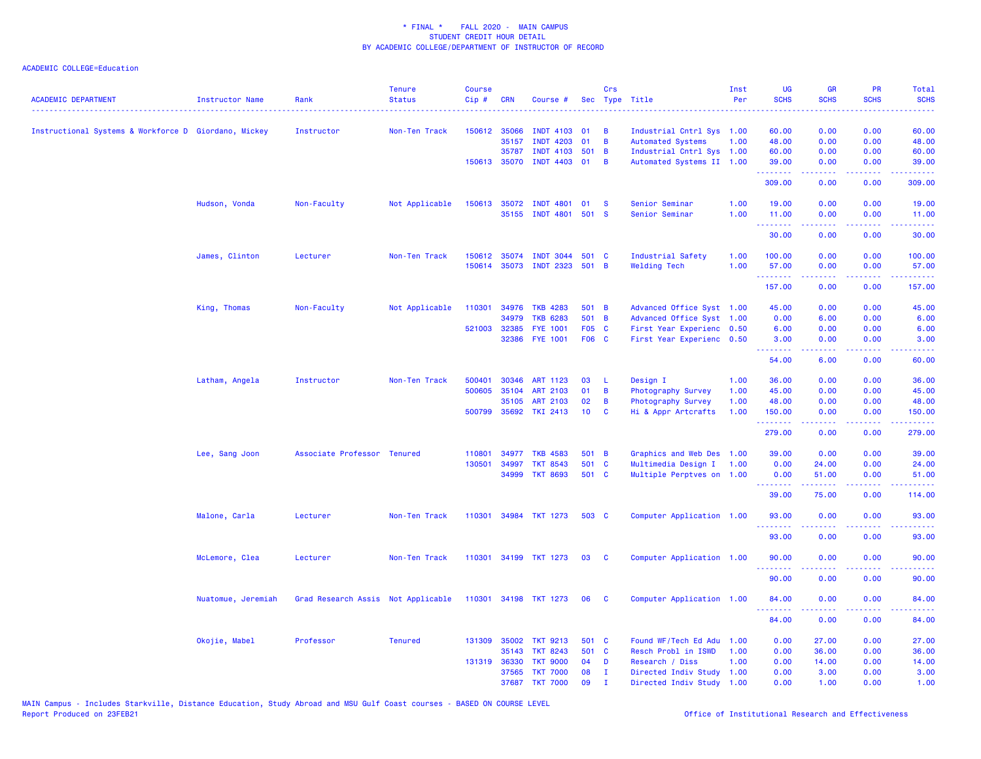| <b>ACADEMIC DEPARTMENT</b>                           | <b>Instructor Name</b> | Rank                               | <b>Tenure</b><br><b>Status</b> | <b>Course</b><br>Cip# | <b>CRN</b>   | Course #              |       | Crs            | Sec Type Title            | Inst<br>Per | <b>UG</b><br><b>SCHS</b> | <b>GR</b><br><b>SCHS</b>                                                                                                                                     | <b>PR</b><br><b>SCHS</b>                                                                                                          | Total<br><b>SCHS</b>                                                                                                            |
|------------------------------------------------------|------------------------|------------------------------------|--------------------------------|-----------------------|--------------|-----------------------|-------|----------------|---------------------------|-------------|--------------------------|--------------------------------------------------------------------------------------------------------------------------------------------------------------|-----------------------------------------------------------------------------------------------------------------------------------|---------------------------------------------------------------------------------------------------------------------------------|
|                                                      |                        |                                    |                                |                       |              |                       |       |                |                           |             |                          |                                                                                                                                                              |                                                                                                                                   |                                                                                                                                 |
| Instructional Systems & Workforce D Giordano, Mickey |                        | Instructor                         | Non-Ten Track                  |                       | 150612 35066 | <b>INDT 4103</b>      | 01    | В              | Industrial Cntrl Sys 1.00 |             | 60.00                    | 0.00                                                                                                                                                         | 0.00                                                                                                                              | 60.00                                                                                                                           |
|                                                      |                        |                                    |                                |                       | 35157        | <b>INDT</b><br>4203   | 01    | В              | <b>Automated Systems</b>  | 1.00        | 48.00                    | 0.00                                                                                                                                                         | 0.00                                                                                                                              | 48.00                                                                                                                           |
|                                                      |                        |                                    |                                |                       | 35787        | <b>INDT 4103</b>      | 501   | $\overline{B}$ | Industrial Cntrl Sys 1.00 |             | 60.00                    | 0.00                                                                                                                                                         | 0.00                                                                                                                              | 60.00                                                                                                                           |
|                                                      |                        |                                    |                                |                       | 150613 35070 | <b>INDT 4403</b>      | 01    | $\overline{B}$ | Automated Systems II 1.00 |             | 39.00<br>.               | 0.00<br>22222                                                                                                                                                | 0.00<br>.                                                                                                                         | 39.00<br>.                                                                                                                      |
|                                                      |                        |                                    |                                |                       |              |                       |       |                |                           |             | 309.00                   | 0.00                                                                                                                                                         | 0.00                                                                                                                              | 309.00                                                                                                                          |
|                                                      | Hudson, Vonda          | Non-Faculty                        | Not Applicable                 | 150613                | 35072        | <b>INDT</b><br>4801   | 01    | <b>S</b>       | Senior Seminar            | 1.00        | 19.00                    | 0.00                                                                                                                                                         | 0.00                                                                                                                              | 19.00                                                                                                                           |
|                                                      |                        |                                    |                                |                       | 35155        | INDT 4801 501 S       |       |                | Senior Seminar            | 1.00        | 11.00<br>.               | 0.00                                                                                                                                                         | 0.00                                                                                                                              | 11.00<br>وعاديات                                                                                                                |
|                                                      |                        |                                    |                                |                       |              |                       |       |                |                           |             | 30.00                    | 0.00                                                                                                                                                         | 0.00                                                                                                                              | 30.00                                                                                                                           |
|                                                      | James, Clinton         | Lecturer                           | Non-Ten Track                  |                       | 150612 35074 | <b>INDT 3044</b>      | 501 C |                | Industrial Safety         | 1.00        | 100.00                   | 0.00                                                                                                                                                         | 0.00                                                                                                                              | 100.00                                                                                                                          |
|                                                      |                        |                                    |                                |                       | 150614 35073 | <b>INDT 2323</b>      | 501 B |                | <b>Welding Tech</b>       | 1.00        | 57.00<br>.               | 0.00<br>-----                                                                                                                                                | 0.00<br>المتمامين                                                                                                                 | 57.00<br>.                                                                                                                      |
|                                                      |                        |                                    |                                |                       |              |                       |       |                |                           |             | 157.00                   | 0.00                                                                                                                                                         | 0.00                                                                                                                              | 157.00                                                                                                                          |
|                                                      | King, Thomas           | Non-Faculty                        | Not Applicable                 | 110301                | 34976        | <b>TKB 4283</b>       | 501 B |                | Advanced Office Syst 1.00 |             | 45.00                    | 0.00                                                                                                                                                         | 0.00                                                                                                                              | 45.00                                                                                                                           |
|                                                      |                        |                                    |                                |                       | 34979        | <b>TKB 6283</b>       | 501 B |                | Advanced Office Syst 1.00 |             | 0.00                     | 6.00                                                                                                                                                         | 0.00                                                                                                                              | 6.00                                                                                                                            |
|                                                      |                        |                                    |                                | 521003                | 32385        | <b>FYE 1001</b>       | F05 C |                | First Year Experienc 0.50 |             | 6.00                     | 0.00                                                                                                                                                         | 0.00                                                                                                                              | 6.00                                                                                                                            |
|                                                      |                        |                                    |                                |                       | 32386        | <b>FYE 1001</b>       | F06 C |                | First Year Experienc 0.50 |             | 3.00<br>.                | 0.00<br>.                                                                                                                                                    | 0.00<br>الدعاعات                                                                                                                  | 3.00<br>المتمامين                                                                                                               |
|                                                      |                        |                                    |                                |                       |              |                       |       |                |                           |             | 54.00                    | 6.00                                                                                                                                                         | 0.00                                                                                                                              | 60.00                                                                                                                           |
|                                                      | Latham, Angela         | Instructor                         | Non-Ten Track                  | 500401                | 30346        | ART 1123              | 03    | L              | Design I                  | 1.00        | 36.00                    | 0.00                                                                                                                                                         | 0.00                                                                                                                              | 36.00                                                                                                                           |
|                                                      |                        |                                    |                                | 500605                | 35104        | <b>ART 2103</b>       | 01    | B              | Photography Survey        | 1.00        | 45.00                    | 0.00                                                                                                                                                         | 0.00                                                                                                                              | 45.00                                                                                                                           |
|                                                      |                        |                                    |                                |                       | 35105        | <b>ART 2103</b>       | 02    | B              | Photography Survey        | 1.00        | 48.00                    | 0.00                                                                                                                                                         | 0.00                                                                                                                              | 48.00                                                                                                                           |
|                                                      |                        |                                    |                                |                       | 500799 35692 | <b>TKI 2413</b>       | 10    | C              | Hi & Appr Artcrafts       | 1.00        | 150.00<br>.              | 0.00<br>$\frac{1}{2} \left( \frac{1}{2} \right) \left( \frac{1}{2} \right) \left( \frac{1}{2} \right) \left( \frac{1}{2} \right) \left( \frac{1}{2} \right)$ | 0.00<br>.                                                                                                                         | 150.00<br>$\begin{array}{cccccccccc} \bullet & \bullet & \bullet & \bullet & \bullet & \bullet & \bullet & \bullet \end{array}$ |
|                                                      |                        |                                    |                                |                       |              |                       |       |                |                           |             | 279.00                   | 0.00                                                                                                                                                         | 0.00                                                                                                                              | 279.00                                                                                                                          |
|                                                      | Lee, Sang Joon         | Associate Professor Tenured        |                                | 110801                | 34977        | <b>TKB 4583</b>       | 501 B |                | Graphics and Web Des 1.00 |             | 39.00                    | 0.00                                                                                                                                                         | 0.00                                                                                                                              | 39.00                                                                                                                           |
|                                                      |                        |                                    |                                | 130501                | 34997        | <b>TKT 8543</b>       | 501   | <b>C</b>       | Multimedia Design I       | 1.00        | 0.00                     | 24.00                                                                                                                                                        | 0.00                                                                                                                              | 24.00                                                                                                                           |
|                                                      |                        |                                    |                                |                       | 34999        | <b>TKT 8693</b>       | 501 C |                | Multiple Perptves on 1.00 |             | 0.00                     | 51.00                                                                                                                                                        | 0.00                                                                                                                              | 51.00                                                                                                                           |
|                                                      |                        |                                    |                                |                       |              |                       |       |                |                           |             | 39.00                    | 75.00                                                                                                                                                        | 0.00                                                                                                                              | 114.00                                                                                                                          |
|                                                      | Malone, Carla          | Lecturer                           | Non-Ten Track                  |                       |              | 110301 34984 TKT 1273 | 503 C |                | Computer Application 1.00 |             | 93.00<br>.               | 0.00                                                                                                                                                         | 0.00<br>$\frac{1}{2} \left( \frac{1}{2} \right) \left( \frac{1}{2} \right) \left( \frac{1}{2} \right) \left( \frac{1}{2} \right)$ | 93.00                                                                                                                           |
|                                                      |                        |                                    |                                |                       |              |                       |       |                |                           |             | 93.00                    | 0.00                                                                                                                                                         | 0.00                                                                                                                              | 93.00                                                                                                                           |
|                                                      | McLemore, Clea         | Lecturer                           | Non-Ten Track                  | 110301                |              | 34199 TKT 1273        | 03    | C              | Computer Application 1.00 |             | 90.00<br>.               | 0.00                                                                                                                                                         | 0.00                                                                                                                              | 90.00                                                                                                                           |
|                                                      |                        |                                    |                                |                       |              |                       |       |                |                           |             | 90.00                    | 0.00                                                                                                                                                         | 0.00                                                                                                                              | 90.00                                                                                                                           |
|                                                      | Nuatomue, Jeremiah     | Grad Research Assis Not Applicable |                                | 110301                | 34198        | <b>TKT 1273</b>       | 06    | <b>C</b>       | Computer Application 1.00 |             | 84.00                    | 0.00                                                                                                                                                         | 0.00                                                                                                                              | 84.00                                                                                                                           |
|                                                      |                        |                                    |                                |                       |              |                       |       |                |                           |             | 84.00                    | 0.00                                                                                                                                                         | 0.00                                                                                                                              | 84.00                                                                                                                           |
|                                                      | Okojie, Mabel          | Professor                          | <b>Tenured</b>                 |                       | 131309 35002 | <b>TKT 9213</b>       | 501 C |                | Found WF/Tech Ed Adu 1.00 |             | 0.00                     | 27.00                                                                                                                                                        | 0.00                                                                                                                              | 27.00                                                                                                                           |
|                                                      |                        |                                    |                                |                       | 35143        | <b>TKT 8243</b>       | 501 C |                | Resch Probl in ISWD       | 1.00        | 0.00                     | 36.00                                                                                                                                                        | 0.00                                                                                                                              | 36.00                                                                                                                           |
|                                                      |                        |                                    |                                |                       | 131319 36330 | <b>TKT 9000</b>       | 04    | D              | Research / Diss           | 1.00        | 0.00                     | 14.00                                                                                                                                                        | 0.00                                                                                                                              | 14.00                                                                                                                           |
|                                                      |                        |                                    |                                |                       | 37565        | <b>TKT 7000</b>       | 08    | $\mathbf{I}$   | Directed Indiv Study      | 1.00        | 0.00                     | 3.00                                                                                                                                                         | 0.00                                                                                                                              | 3.00                                                                                                                            |
|                                                      |                        |                                    |                                |                       | 37687        | <b>TKT 7000</b>       | 09    | $\mathbf{I}$   | Directed Indiv Study 1.00 |             | 0.00                     | 1.00                                                                                                                                                         | 0.00                                                                                                                              | 1.00                                                                                                                            |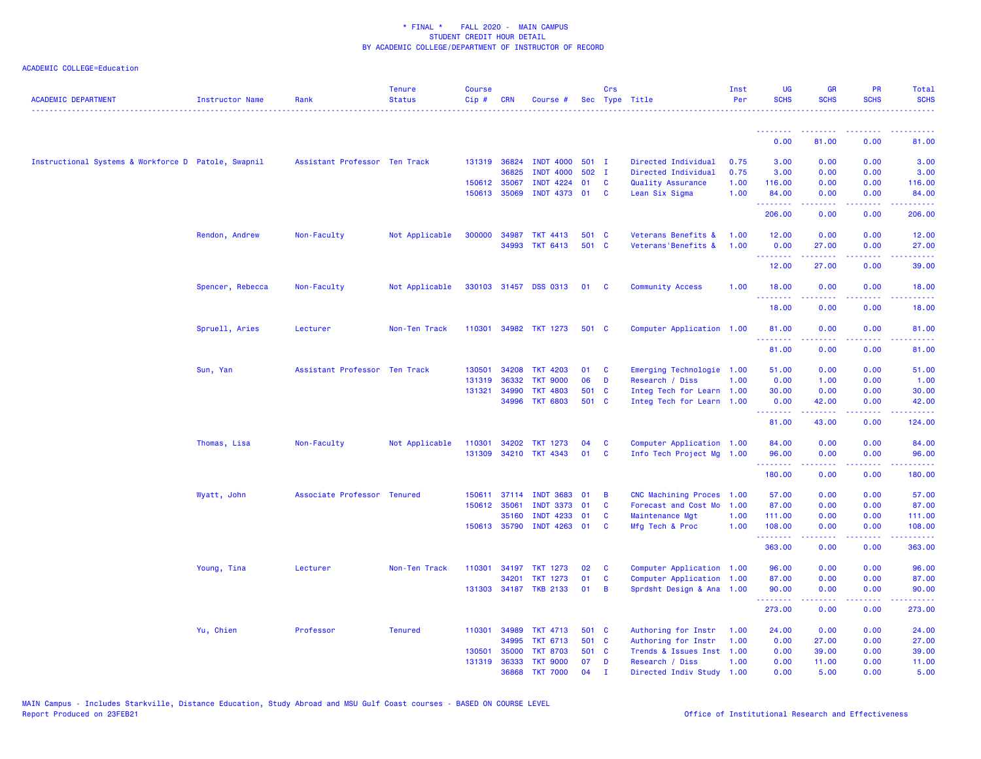| <b>ACADEMIC DEPARTMENT</b>                          | Instructor Name  | Rank                          | <b>Tenure</b><br><b>Status</b> | Course<br>Cip# | <b>CRN</b>            | Course #                           |          | Crs               | Sec Type Title                               | Inst<br>Per | <b>UG</b><br><b>SCHS</b>                           | <b>GR</b><br><b>SCHS</b>                                                                                                                                      | PR<br><b>SCHS</b>              | Total<br><b>SCHS</b> |
|-----------------------------------------------------|------------------|-------------------------------|--------------------------------|----------------|-----------------------|------------------------------------|----------|-------------------|----------------------------------------------|-------------|----------------------------------------------------|---------------------------------------------------------------------------------------------------------------------------------------------------------------|--------------------------------|----------------------|
|                                                     |                  |                               |                                |                |                       |                                    |          |                   |                                              |             | <b><i><u><u><b>A</b></u></u> A A A A A A A</i></b> | .                                                                                                                                                             |                                |                      |
|                                                     |                  |                               |                                |                |                       |                                    |          |                   |                                              |             | 0.00                                               | 81.00                                                                                                                                                         | 0.00                           | 81.00                |
| Instructional Systems & Workforce D Patole, Swapnil |                  | Assistant Professor Ten Track |                                |                | 131319 36824          | <b>INDT 4000</b>                   | $501$ I  |                   | Directed Individual                          | 0.75        | 3.00                                               | 0.00                                                                                                                                                          | 0.00                           | 3.00                 |
|                                                     |                  |                               |                                |                | 36825                 | <b>INDT 4000</b>                   | 502 I    |                   | Directed Individual                          | 0.75        | 3.00                                               | 0.00                                                                                                                                                          | 0.00                           | 3.00                 |
|                                                     |                  |                               |                                |                | 150612 35067          | <b>INDT 4224</b>                   | 01       | <b>C</b>          | Quality Assurance                            | 1.00        | 116.00                                             | 0.00                                                                                                                                                          | 0.00                           | 116.00               |
|                                                     |                  |                               |                                |                | 150613 35069          | INDT 4373 01                       |          | C                 | Lean Six Sigma                               | 1.00        | 84.00<br>.                                         | 0.00                                                                                                                                                          | 0.00                           | 84.00                |
|                                                     |                  |                               |                                |                |                       |                                    |          |                   |                                              |             | 206.00                                             | 0.00                                                                                                                                                          | 0.00                           | 206.00               |
|                                                     | Rendon, Andrew   | Non-Faculty                   | Not Applicable                 | 300000         | 34987                 | <b>TKT 4413</b>                    | 501      | - C               | Veterans Benefits &                          | 1.00        | 12.00                                              | 0.00                                                                                                                                                          | 0.00                           | 12.00                |
|                                                     |                  |                               |                                |                | 34993                 | <b>TKT 6413</b>                    | 501 C    |                   | Veterans'Benefits &                          | 1.00        | 0.00<br><u>.</u>                                   | 27.00<br>$\frac{1}{2} \left( \frac{1}{2} \right) \left( \frac{1}{2} \right) \left( \frac{1}{2} \right) \left( \frac{1}{2} \right) \left( \frac{1}{2} \right)$ | 0.00<br>بالمحام                | 27.00<br>وعاويات     |
|                                                     |                  |                               |                                |                |                       |                                    |          |                   |                                              |             | 12.00                                              | 27.00                                                                                                                                                         | 0.00                           | 39.00                |
|                                                     | Spencer, Rebecca | Non-Faculty                   | Not Applicable                 |                |                       | 330103 31457 DSS 0313              | 01       | <b>C</b>          | <b>Community Access</b>                      | 1.00        | 18.00                                              | 0.00                                                                                                                                                          | 0.00                           | 18.00                |
|                                                     |                  |                               |                                |                |                       |                                    |          |                   |                                              |             | 18.00                                              | 0.00                                                                                                                                                          | 0.00                           | 18.00                |
|                                                     | Spruell, Aries   | Lecturer                      | Non-Ten Track                  | 110301         |                       | 34982 TKT 1273                     | 501 C    |                   | Computer Application 1.00                    |             | 81.00                                              | 0.00                                                                                                                                                          | 0.00                           | 81.00                |
|                                                     |                  |                               |                                |                |                       |                                    |          |                   |                                              |             | .<br>81.00                                         | 0.00                                                                                                                                                          | 0.00                           | 81.00                |
|                                                     | Sun, Yan         | Assistant Professor Ten Track |                                | 130501         | 34208                 | <b>TKT 4203</b>                    | 01       | C                 | Emerging Technologie 1.00                    |             | 51.00                                              | 0.00                                                                                                                                                          | 0.00                           | 51.00                |
|                                                     |                  |                               |                                | 131319         | 36332                 | <b>TKT 9000</b>                    | 06       | D                 | Research / Diss                              | 1.00        | 0.00                                               | 1.00                                                                                                                                                          | 0.00                           | 1.00                 |
|                                                     |                  |                               |                                | 131321         | 34990                 | <b>TKT 4803</b>                    | 501 C    |                   | Integ Tech for Learn 1.00                    |             | 30.00                                              | 0.00                                                                                                                                                          | 0.00                           | 30.00                |
|                                                     |                  |                               |                                |                | 34996                 | <b>TKT 6803</b>                    | 501 C    |                   | Integ Tech for Learn 1.00                    |             | 0.00<br><b><i><u>Production</u></i></b>            | 42.00                                                                                                                                                         | 0.00                           | 42.00                |
|                                                     |                  |                               |                                |                |                       |                                    |          |                   |                                              |             | 81.00                                              | $\frac{1}{2} \left( \frac{1}{2} \right) \left( \frac{1}{2} \right) \left( \frac{1}{2} \right) \left( \frac{1}{2} \right) \left( \frac{1}{2} \right)$<br>43.00 | .<br>0.00                      | .<br>124.00          |
|                                                     | Thomas, Lisa     | Non-Faculty                   | Not Applicable                 | 110301         |                       | 34202 TKT 1273                     | 04       | C                 | Computer Application 1.00                    |             | 84.00                                              | 0.00                                                                                                                                                          | 0.00                           | 84.00                |
|                                                     |                  |                               |                                | 131309         |                       | 34210 TKT 4343                     | 01       | C                 | Info Tech Project Mg 1.00                    |             | 96.00                                              | 0.00                                                                                                                                                          | 0.00                           | 96.00                |
|                                                     |                  |                               |                                |                |                       |                                    |          |                   |                                              |             | .<br>180.00                                        | .<br>0.00                                                                                                                                                     | د د د د .<br>0.00              | .<br>180.00          |
|                                                     | Wyatt, John      | Associate Professor Tenured   |                                |                | 150611 37114          | <b>INDT 3683</b>                   | 01       | В                 | CNC Machining Proces 1.00                    |             | 57.00                                              | 0.00                                                                                                                                                          | 0.00                           | 57.00                |
|                                                     |                  |                               |                                |                | 150612 35061          | <b>INDT 3373</b>                   | 01       | C                 | Forecast and Cost Mo                         | 1.00        | 87.00                                              | 0.00                                                                                                                                                          | 0.00                           | 87.00                |
|                                                     |                  |                               |                                |                | 35160                 | 4233<br>INDT                       | 01       | C                 | Maintenance Mgt                              | 1.00        | 111.00                                             | 0.00                                                                                                                                                          | 0.00                           | 111.00               |
|                                                     |                  |                               |                                |                | 150613 35790          | INDT 4263 01                       |          | <b>C</b>          | Mfg Tech & Proc                              | 1.00        | 108.00<br>.                                        | 0.00                                                                                                                                                          | 0.00<br>$  -$                  | 108.00<br><u>.</u>   |
|                                                     |                  |                               |                                |                |                       |                                    |          |                   |                                              |             | 363.00                                             | 0.00                                                                                                                                                          | 0.00                           | 363.00               |
|                                                     | Young, Tina      | Lecturer                      | Non-Ten Track                  | 110301         | 34197                 | <b>TKT 1273</b>                    | 02       | C                 | Computer Application 1.00                    |             | 96.00                                              | 0.00                                                                                                                                                          | 0.00                           | 96.00                |
|                                                     |                  |                               |                                |                | 34201                 | <b>TKT 1273</b>                    | 01       | $\mathbf{C}$      | Computer Application 1.00                    |             | 87.00                                              | 0.00                                                                                                                                                          | 0.00                           | 87.00                |
|                                                     |                  |                               |                                | 131303         | 34187                 | <b>TKB 2133</b>                    | 01       | B                 | Sprdsht Design & Ana 1.00                    |             | 90.00<br>.                                         | 0.00<br>.                                                                                                                                                     | 0.00<br>$\omega$ is a $\omega$ | 90.00<br>.           |
|                                                     |                  |                               |                                |                |                       |                                    |          |                   |                                              |             | 273.00                                             | 0.00                                                                                                                                                          | 0.00                           | 273.00               |
|                                                     | Yu, Chien        | Professor                     | <b>Tenured</b>                 | 110301         | 34989                 | <b>TKT 4713</b>                    | 501 C    |                   | Authoring for Instr                          | 1.00        | 24.00                                              | 0.00                                                                                                                                                          | 0.00                           | 24.00                |
|                                                     |                  |                               |                                |                | 34995                 | <b>TKT 6713</b>                    | 501 C    |                   | Authoring for Instr                          | 1.00        | 0.00                                               | 27.00                                                                                                                                                         | 0.00                           | 27.00                |
|                                                     |                  |                               |                                | 130501         | 35000                 | <b>TKT 8703</b>                    | 501 C    |                   | Trends & Issues Inst 1.00                    |             | 0.00                                               | 39.00                                                                                                                                                         | 0.00                           | 39.00                |
|                                                     |                  |                               |                                |                | 131319 36333<br>36868 | <b>TKT 9000</b><br><b>TKT 7000</b> | 07<br>04 | D<br>$\mathbf{T}$ | Research / Diss<br>Directed Indiv Study 1.00 | 1.00        | 0.00<br>0.00                                       | 11.00<br>5.00                                                                                                                                                 | 0.00<br>0.00                   | 11.00<br>5.00        |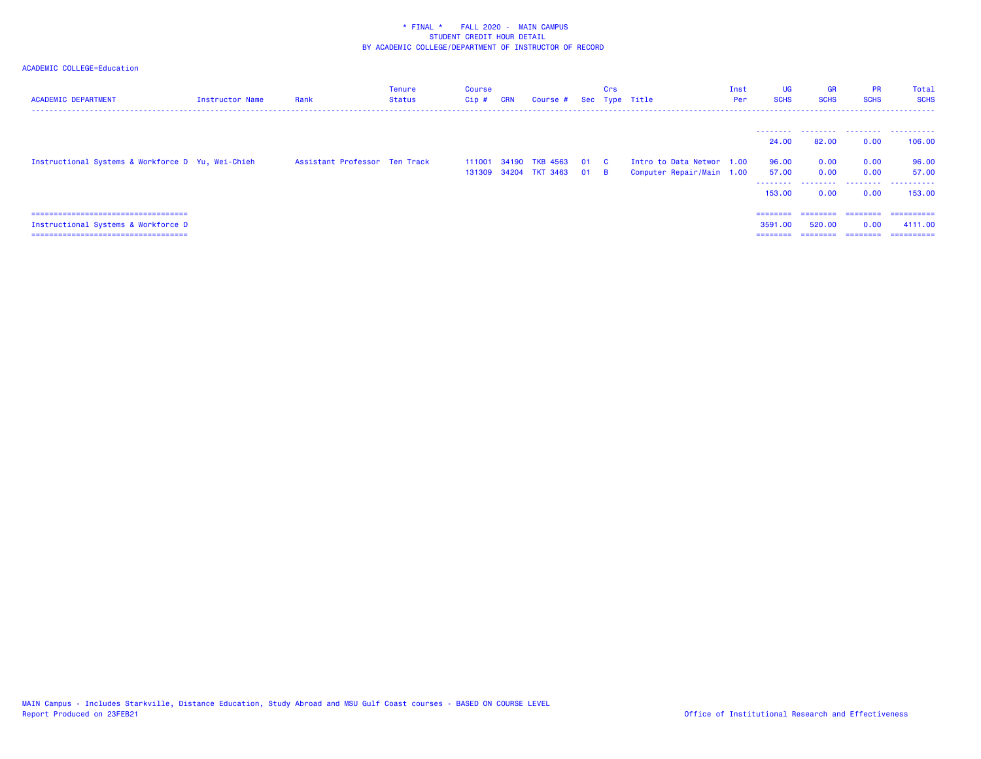| <b>ACADEMIC DEPARTMENT</b>                                                                                            | Instructor Name | Rank                          | Tenure<br><b>Status</b> | Course<br>Cip# | <b>CRN</b> | Course # Sec Type Title                           | Crs |                                                        | Inst<br>Per | UG<br><b>SCHS</b>                    | <b>GR</b><br><b>SCHS</b>  | <b>PR</b><br><b>SCHS</b>      | Total<br><b>SCHS</b>                |
|-----------------------------------------------------------------------------------------------------------------------|-----------------|-------------------------------|-------------------------|----------------|------------|---------------------------------------------------|-----|--------------------------------------------------------|-------------|--------------------------------------|---------------------------|-------------------------------|-------------------------------------|
|                                                                                                                       |                 |                               |                         |                |            |                                                   |     |                                                        |             | 24,00                                | 82.00                     | 0.00                          | 106,00                              |
| Instructional Systems & Workforce D Yu, Wei-Chieh                                                                     |                 | Assistant Professor Ten Track |                         | 111001         |            | 34190 TKB 4563 01 C<br>131309 34204 TKT 3463 01 B |     | Intro to Data Networ 1.00<br>Computer Repair/Main 1.00 |             | 96.00<br>57.00<br>--------<br>153,00 | 0.00<br>0.00<br>.<br>0.00 | 0.00<br>0.00<br>.<br>0.00     | 96.00<br>57.00<br>.<br>153,00       |
| =====================================<br>Instructional Systems & Workforce D<br>===================================== |                 |                               |                         |                |            |                                                   |     |                                                        |             | ========<br>3591.00<br>========      | ========<br>520,00        | ========<br>0.00<br>--------- | ==========<br>4111.00<br>========== |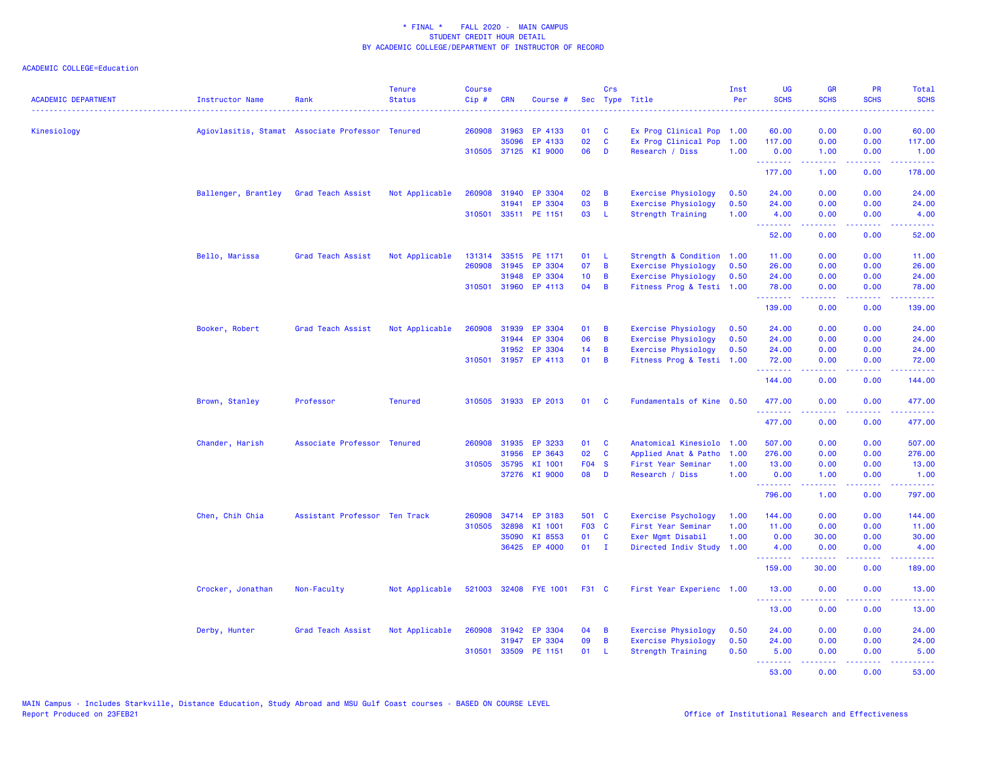| <b>ACADEMIC DEPARTMENT</b> | Instructor Name     | Rank                                             | <b>Tenure</b><br><b>Status</b> | <b>Course</b><br>Cip# | <b>CRN</b>   | Course #              |              | Crs            | Sec Type Title             | Inst<br>Per | <b>UG</b><br><b>SCHS</b> | <b>GR</b><br><b>SCHS</b>                                                                                                                                     | <b>PR</b><br><b>SCHS</b>                                                                               | Total<br><b>SCHS</b> |
|----------------------------|---------------------|--------------------------------------------------|--------------------------------|-----------------------|--------------|-----------------------|--------------|----------------|----------------------------|-------------|--------------------------|--------------------------------------------------------------------------------------------------------------------------------------------------------------|--------------------------------------------------------------------------------------------------------|----------------------|
| Kinesiology                |                     | Agiovlasitis, Stamat Associate Professor Tenured |                                | 260908                | 31963        | EP 4133               | 01           | <b>C</b>       | Ex Prog Clinical Pop 1.00  |             | 60.00                    | 0.00                                                                                                                                                         | 0.00                                                                                                   | 60.00                |
|                            |                     |                                                  |                                |                       | 35096        | EP 4133               | 02           | $\mathbf{C}$   | Ex Prog Clinical Pop       | 1.00        | 117.00                   | 0.00                                                                                                                                                         | 0.00                                                                                                   | 117.00               |
|                            |                     |                                                  |                                |                       | 310505 37125 | KI 9000               | 06           | D              | Research / Diss            | 1.00        | 0.00<br>.                | 1.00<br>2.2.2.2.2                                                                                                                                            | 0.00<br>.                                                                                              | 1.00<br>2.2.2.2.2    |
|                            |                     |                                                  |                                |                       |              |                       |              |                |                            |             | 177.00                   | 1.00                                                                                                                                                         | 0.00                                                                                                   | 178.00               |
|                            | Ballenger, Brantley | Grad Teach Assist                                | Not Applicable                 | 260908                | 31940        | EP 3304               | 02           | $\overline{B}$ | Exercise Physiology        | 0.50        | 24.00                    | 0.00                                                                                                                                                         | 0.00                                                                                                   | 24.00                |
|                            |                     |                                                  |                                |                       | 31941        | EP 3304               | 03           | B              | <b>Exercise Physiology</b> | 0.50        | 24.00                    | 0.00                                                                                                                                                         | 0.00                                                                                                   | 24.00                |
|                            |                     |                                                  |                                |                       |              | 310501 33511 PE 1151  | 03           | - L            | <b>Strength Training</b>   | 1.00        | 4.00<br>.                | 0.00<br>22222                                                                                                                                                | 0.00<br>.                                                                                              | 4.00<br>د د د د د    |
|                            |                     |                                                  |                                |                       |              |                       |              |                |                            |             | 52.00                    | 0.00                                                                                                                                                         | 0.00                                                                                                   | 52.00                |
|                            | Bello, Marissa      | Grad Teach Assist                                | Not Applicable                 | 131314                | 33515        | PE 1171               | 01           | - L            | Strength & Condition 1.00  |             | 11.00                    | 0.00                                                                                                                                                         | 0.00                                                                                                   | 11.00                |
|                            |                     |                                                  |                                | 260908                | 31945        | EP 3304               | 07           | B              | Exercise Physiology        | 0.50        | 26.00                    | 0.00                                                                                                                                                         | 0.00                                                                                                   | 26.00                |
|                            |                     |                                                  |                                |                       | 31948        | EP 3304               | 10           | $\overline{B}$ | Exercise Physiology        | 0.50        | 24.00                    | 0.00                                                                                                                                                         | 0.00                                                                                                   | 24.00                |
|                            |                     |                                                  |                                |                       | 310501 31960 | EP 4113               | 04           | $\overline{B}$ | Fitness Prog & Testi 1.00  |             | 78.00<br><u>.</u>        | 0.00<br>.                                                                                                                                                    | 0.00<br>$\frac{1}{2} \left( \frac{1}{2} \right) \left( \frac{1}{2} \right) \left( \frac{1}{2} \right)$ | 78.00<br>.           |
|                            |                     |                                                  |                                |                       |              |                       |              |                |                            |             | 139.00                   | 0.00                                                                                                                                                         | 0.00                                                                                                   | 139.00               |
|                            | Booker, Robert      | Grad Teach Assist                                | Not Applicable                 | 260908                | 31939        | EP 3304               | 01           | B              | <b>Exercise Physiology</b> | 0.50        | 24.00                    | 0.00                                                                                                                                                         | 0.00                                                                                                   | 24.00                |
|                            |                     |                                                  |                                |                       | 31944        | EP 3304               | 06           | B              | <b>Exercise Physiology</b> | 0.50        | 24.00                    | 0.00                                                                                                                                                         | 0.00                                                                                                   | 24.00                |
|                            |                     |                                                  |                                |                       | 31952        | EP 3304               | 14           | $\overline{B}$ | Exercise Physiology        | 0.50        | 24.00                    | 0.00                                                                                                                                                         | 0.00                                                                                                   | 24.00                |
|                            |                     |                                                  |                                |                       |              | 310501 31957 EP 4113  | $01 \quad B$ |                | Fitness Prog & Testi 1.00  |             | 72.00<br>. <u>.</u>      | 0.00<br>$\frac{1}{2} \left( \frac{1}{2} \right) \left( \frac{1}{2} \right) \left( \frac{1}{2} \right) \left( \frac{1}{2} \right) \left( \frac{1}{2} \right)$ | 0.00<br>.                                                                                              | 72.00<br>.           |
|                            |                     |                                                  |                                |                       |              |                       |              |                |                            |             | 144.00                   | 0.00                                                                                                                                                         | 0.00                                                                                                   | 144.00               |
|                            | Brown, Stanley      | Professor                                        | <b>Tenured</b>                 |                       |              | 310505 31933 EP 2013  | 01           | <b>C</b>       | Fundamentals of Kine 0.50  |             | 477.00<br><u>.</u>       | 0.00                                                                                                                                                         | 0.00                                                                                                   | 477.00               |
|                            |                     |                                                  |                                |                       |              |                       |              |                |                            |             | 477.00                   | 0.00                                                                                                                                                         | 0.00                                                                                                   | 477.00               |
|                            | Chander, Harish     | Associate Professor Tenured                      |                                |                       | 260908 31935 | EP 3233               | 01           | <b>C</b>       | Anatomical Kinesiolo 1.00  |             | 507.00                   | 0.00                                                                                                                                                         | 0.00                                                                                                   | 507.00               |
|                            |                     |                                                  |                                |                       | 31956        | EP 3643               | 02           | $\mathbf{C}$   | Applied Anat & Patho       | 1.00        | 276.00                   | 0.00                                                                                                                                                         | 0.00                                                                                                   | 276.00               |
|                            |                     |                                                  |                                |                       | 310505 35795 | KI 1001               | F04 S        |                | First Year Seminar         | 1.00        | 13.00                    | 0.00                                                                                                                                                         | 0.00                                                                                                   | 13.00                |
|                            |                     |                                                  |                                |                       |              | 37276 KI 9000         | 08           | D              | Research / Diss            | 1.00        | 0.00<br>.                | 1.00<br>22222                                                                                                                                                | 0.00<br>.                                                                                              | 1.00<br>.            |
|                            |                     |                                                  |                                |                       |              |                       |              |                |                            |             | 796.00                   | 1.00                                                                                                                                                         | 0.00                                                                                                   | 797.00               |
|                            | Chen, Chih Chia     | Assistant Professor Ten Track                    |                                | 260908                |              | 34714 EP 3183         | 501 C        |                | Exercise Psychology        | 1.00        | 144.00                   | 0.00                                                                                                                                                         | 0.00                                                                                                   | 144.00               |
|                            |                     |                                                  |                                | 310505                | 32898        | KI 1001               | F03 C        |                | First Year Seminar         | 1.00        | 11.00                    | 0.00                                                                                                                                                         | 0.00                                                                                                   | 11.00                |
|                            |                     |                                                  |                                |                       | 35090        | KI 8553               | 01           | <b>C</b>       | Exer Mgmt Disabil          | 1.00        | 0.00                     | 30.00                                                                                                                                                        | 0.00                                                                                                   | 30.00                |
|                            |                     |                                                  |                                |                       |              | 36425 EP 4000         | $01$ I       |                | Directed Indiv Study 1.00  |             | 4.00<br>.                | 0.00<br>. <u>.</u> .                                                                                                                                         | 0.00<br>.                                                                                              | 4.00<br>.            |
|                            |                     |                                                  |                                |                       |              |                       |              |                |                            |             | 159.00                   | 30.00                                                                                                                                                        | 0.00                                                                                                   | 189.00               |
|                            | Crocker, Jonathan   | Non-Faculty                                      | Not Applicable                 |                       |              | 521003 32408 FYE 1001 | F31 C        |                | First Year Experienc 1.00  |             | 13.00<br>.               | 0.00<br>-----                                                                                                                                                | 0.00<br>.                                                                                              | 13.00<br>.           |
|                            |                     |                                                  |                                |                       |              |                       |              |                |                            |             | 13.00                    | 0.00                                                                                                                                                         | 0.00                                                                                                   | 13.00                |
|                            | Derby, Hunter       | Grad Teach Assist                                | Not Applicable                 | 260908                | 31942        | EP 3304               | 04           | B              | <b>Exercise Physiology</b> | 0.50        | 24.00                    | 0.00                                                                                                                                                         | 0.00                                                                                                   | 24.00                |
|                            |                     |                                                  |                                |                       | 31947        | EP 3304               | 09           | B              | <b>Exercise Physiology</b> | 0.50        | 24.00                    | 0.00                                                                                                                                                         | 0.00                                                                                                   | 24.00                |
|                            |                     |                                                  |                                |                       |              | 310501 33509 PE 1151  | 01           | - L            | Strength Training          | 0.50        | 5.00                     | 0.00                                                                                                                                                         | 0.00                                                                                                   | 5.00                 |
|                            |                     |                                                  |                                |                       |              |                       |              |                |                            |             | <u>.</u><br>53.00        | $\frac{1}{2} \left( \frac{1}{2} \right) \left( \frac{1}{2} \right) \left( \frac{1}{2} \right) \left( \frac{1}{2} \right) \left( \frac{1}{2} \right)$<br>0.00 | .<br>0.00                                                                                              | .<br>53.00           |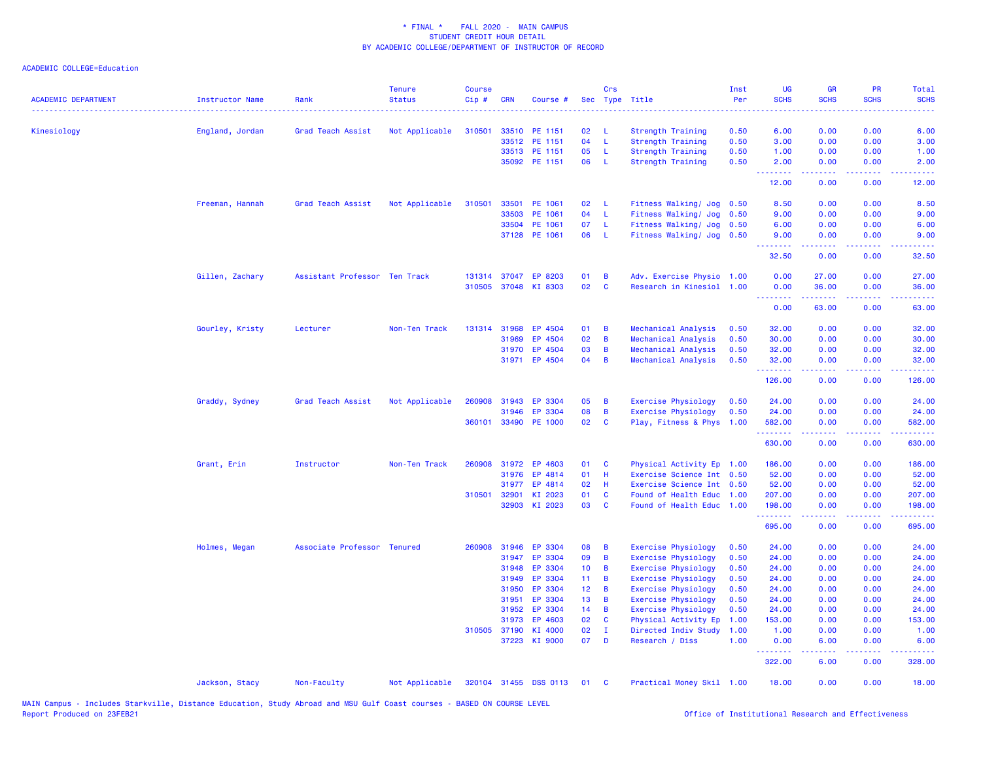| <b>ACADEMIC DEPARTMENT</b> | Instructor Name | Rank                          | <b>Tenure</b><br><b>Status</b> | <b>Course</b><br>Cip# | <b>CRN</b>   | Course #              |                 | Crs            | Sec Type Title             | Inst<br>Per | UG<br><b>SCHS</b> | <b>GR</b><br><b>SCHS</b> | <b>PR</b><br><b>SCHS</b>            | Total<br><b>SCHS</b>     |
|----------------------------|-----------------|-------------------------------|--------------------------------|-----------------------|--------------|-----------------------|-----------------|----------------|----------------------------|-------------|-------------------|--------------------------|-------------------------------------|--------------------------|
| Kinesiology                | England, Jordan | Grad Teach Assist             | Not Applicable                 | 310501                | 33510        | PE 1151               | 02              | <b>L</b>       | <b>Strength Training</b>   | 0.50        | 6.00              | 0.00                     | 0.00                                | 6.00                     |
|                            |                 |                               |                                |                       | 33512        | PE 1151               | 04              | $\mathsf{L}$   | Strength Training          | 0.50        | 3.00              | 0.00                     | 0.00                                | 3.00                     |
|                            |                 |                               |                                |                       |              | 33513 PE 1151         | 05              | $\mathsf{L}$   | <b>Strength Training</b>   | 0.50        | 1.00              | 0.00                     | 0.00                                | 1.00                     |
|                            |                 |                               |                                |                       |              | 35092 PE 1151         | 06              | - L            | <b>Strength Training</b>   | 0.50        | 2.00<br>222 L     | 0.00                     | 0.00                                | 2.00                     |
|                            |                 |                               |                                |                       |              |                       |                 |                |                            |             | 12.00             | 0.00                     | 0.00                                | 12.00                    |
|                            | Freeman, Hannah | Grad Teach Assist             | Not Applicable                 | 310501                | 33501        | PE 1061               | 02              | - L            | Fitness Walking/ Jog       | 0.50        | 8.50              | 0.00                     | 0.00                                | 8.50                     |
|                            |                 |                               |                                |                       | 33503        | PE 1061               | 04              | $-L$           | Fitness Walking/ Jog       | 0.50        | 9.00              | 0.00                     | 0.00                                | 9.00                     |
|                            |                 |                               |                                |                       | 33504        | PE 1061               | 07              | - L            | Fitness Walking/ Jog       | 0.50        | 6.00              | 0.00                     | 0.00                                | 6.00                     |
|                            |                 |                               |                                |                       | 37128        | PE 1061               | 06              | - L            | Fitness Walking/ Jog 0.50  |             | 9.00<br><u>.</u>  | 0.00<br>.                | 0.00<br>.                           | 9.00<br>$-2 - 2 - 2 - 2$ |
|                            |                 |                               |                                |                       |              |                       |                 |                |                            |             | 32.50             | 0.00                     | 0.00                                | 32.50                    |
|                            | Gillen, Zachary | Assistant Professor Ten Track |                                | 131314                | 37047        | EP 8203               | 01              | B              | Adv. Exercise Physio 1.00  |             | 0.00              | 27.00                    | 0.00                                | 27.00                    |
|                            |                 |                               |                                | 310505                | 37048        | KI 8303               | 02              | $\mathbf{C}$   | Research in Kinesiol 1.00  |             | 0.00<br>.         | 36.00<br>-----           | 0.00                                | 36.00                    |
|                            |                 |                               |                                |                       |              |                       |                 |                |                            |             | 0.00              | 63.00                    | 0.00                                | 63.00                    |
|                            | Gourley, Kristy | Lecturer                      | Non-Ten Track                  |                       | 131314 31968 | EP 4504               | 01              | $\overline{B}$ | Mechanical Analysis        | 0.50        | 32.00             | 0.00                     | 0.00                                | 32.00                    |
|                            |                 |                               |                                |                       | 31969        | EP 4504               | 02              | $\overline{B}$ | Mechanical Analysis        | 0.50        | 30.00             | 0.00                     | 0.00                                | 30.00                    |
|                            |                 |                               |                                |                       | 31970        | EP 4504               | 03              | B              | Mechanical Analysis        | 0.50        | 32.00             | 0.00                     | 0.00                                | 32.00                    |
|                            |                 |                               |                                |                       | 31971        | EP 4504               | 04              | $\overline{B}$ | Mechanical Analysis        | 0.50        | 32.00             | 0.00                     | 0.00                                | 32.00                    |
|                            |                 |                               |                                |                       |              |                       |                 |                |                            |             | 126.00            | 0.00                     | 0.00                                | 126.00                   |
|                            | Graddy, Sydney  | Grad Teach Assist             | Not Applicable                 | 260908                | 31943        | EP 3304               | 05              | $\overline{B}$ | Exercise Physiology        | 0.50        | 24.00             | 0.00                     | 0.00                                | 24.00                    |
|                            |                 |                               |                                |                       | 31946        | EP 3304               | 80              | $\overline{B}$ | Exercise Physiology        | 0.50        | 24.00             | 0.00                     | 0.00                                | 24.00                    |
|                            |                 |                               |                                | 360101                | 33490        | PE 1000               | 02              | $\mathbf{C}$   | Play, Fitness & Phys 1.00  |             | 582.00<br>.       | 0.00<br>.                | 0.00<br>$\sim$ $\sim$ $\sim$ $\sim$ | 582.00<br>بالمستمات      |
|                            |                 |                               |                                |                       |              |                       |                 |                |                            |             | 630.00            | 0.00                     | 0.00                                | 630.00                   |
|                            | Grant, Erin     | Instructor                    | Non-Ten Track                  | 260908                | 31972        | EP 4603               | 01              | $\mathbf{C}$   | Physical Activity Ep 1.00  |             | 186.00            | 0.00                     | 0.00                                | 186.00                   |
|                            |                 |                               |                                |                       | 31976        | EP 4814               | 01              | - H            | Exercise Science Int 0.50  |             | 52.00             | 0.00                     | 0.00                                | 52.00                    |
|                            |                 |                               |                                |                       | 31977        | EP 4814               | 02              | -H             | Exercise Science Int 0.50  |             | 52.00             | 0.00                     | 0.00                                | 52.00                    |
|                            |                 |                               |                                | 310501                | 32901        | KI 2023               | 01              | C              | Found of Health Educ 1.00  |             | 207.00            | 0.00                     | 0.00                                | 207.00                   |
|                            |                 |                               |                                |                       | 32903        | KI 2023               | 03              | $\mathbf{C}$   | Found of Health Educ 1.00  |             | 198.00<br>.       | 0.00                     | 0.00                                | 198.00                   |
|                            |                 |                               |                                |                       |              |                       |                 |                |                            |             | 695.00            | 0.00                     | 0.00                                | 695.00                   |
|                            | Holmes, Megan   | Associate Professor Tenured   |                                | 260908                | 31946        | EP 3304               | 08              | $\overline{B}$ | <b>Exercise Physiology</b> | 0.50        | 24.00             | 0.00                     | 0.00                                | 24.00                    |
|                            |                 |                               |                                |                       | 31947        | EP 3304               | 09              | B              | <b>Exercise Physiology</b> | 0.50        | 24.00             | 0.00                     | 0.00                                | 24.00                    |
|                            |                 |                               |                                |                       | 31948        | EP 3304               | 10 <sub>1</sub> | $\overline{B}$ | <b>Exercise Physiology</b> | 0.50        | 24.00             | 0.00                     | 0.00                                | 24.00                    |
|                            |                 |                               |                                |                       | 31949        | EP 3304               | 11 <sub>1</sub> | $\overline{B}$ | Exercise Physiology        | 0.50        | 24.00             | 0.00                     | 0.00                                | 24.00                    |
|                            |                 |                               |                                |                       | 31950        | EP 3304               | 12 <sub>1</sub> | $\overline{B}$ | Exercise Physiology        | 0.50        | 24.00             | 0.00                     | 0.00                                | 24.00                    |
|                            |                 |                               |                                |                       | 31951        | EP 3304               | 13 <sup>°</sup> | B              | <b>Exercise Physiology</b> | 0.50        | 24.00             | 0.00                     | 0.00                                | 24.00                    |
|                            |                 |                               |                                |                       | 31952        | EP 3304               | 14 <sup>1</sup> | $\overline{B}$ | Exercise Physiology        | 0.50        | 24.00             | 0.00                     | 0.00                                | 24.00                    |
|                            |                 |                               |                                |                       | 31973        | EP 4603               | 02              | $\mathbf{C}$   | Physical Activity Ep       | 1.00        | 153.00            | 0.00                     | 0.00                                | 153.00                   |
|                            |                 |                               |                                |                       | 310505 37190 | KI 4000               | 02              | $\mathbf{I}$   | Directed Indiv Study       | 1.00        | 1.00              | 0.00                     | 0.00                                | 1.00                     |
|                            |                 |                               |                                |                       |              | 37223 KI 9000         | $07$ D          |                | Research / Diss            | 1.00        | 0.00<br>--------  | 6.00                     | 0.00<br>.                           | 6.00                     |
|                            |                 |                               |                                |                       |              |                       |                 |                |                            |             | 322.00            | 6.00                     | 0.00                                | 328.00                   |
|                            | Jackson, Stacy  | Non-Faculty                   | Not Applicable                 |                       |              | 320104 31455 DSS 0113 | 01              | $\mathbf{C}$   | Practical Money Skil 1.00  |             | 18.00             | 0.00                     | 0.00                                | 18.00                    |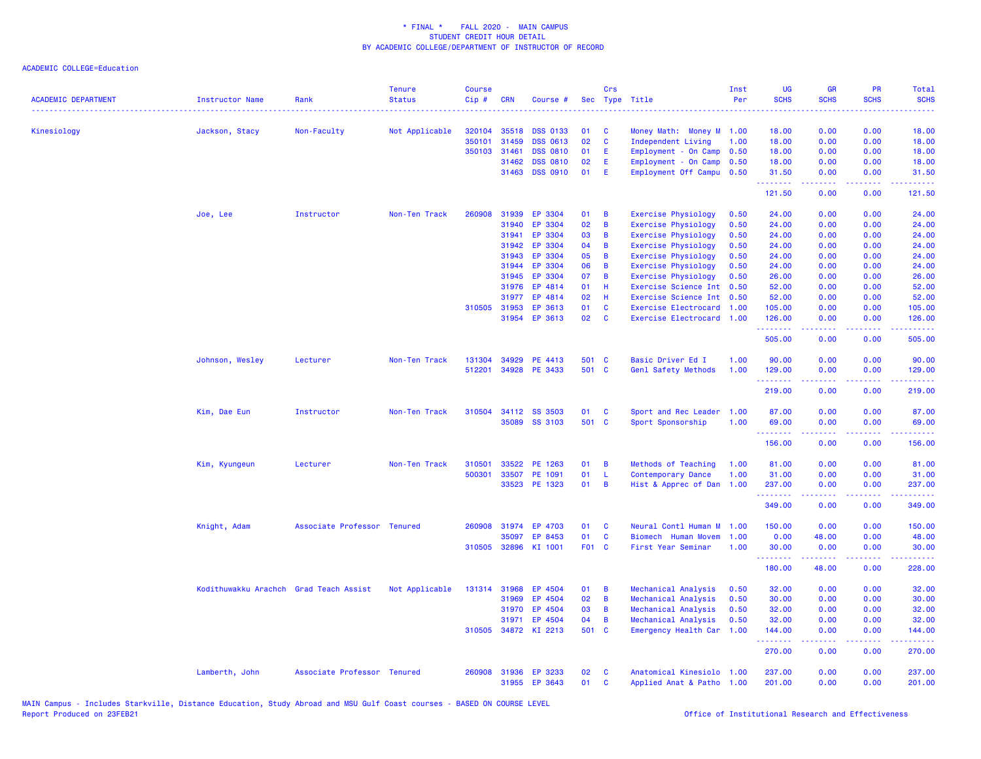| <b>ACADEMIC DEPARTMENT</b> | <b>Instructor Name</b>                 | Rank                        | <b>Tenure</b><br><b>Status</b> | <b>Course</b><br>Cip# | <b>CRN</b>   | Course #             |       | Crs      | Sec Type Title             | Inst<br>Per | <b>UG</b><br><b>SCHS</b> | <b>GR</b><br><b>SCHS</b>                                                                                                                                     | <b>PR</b><br><b>SCHS</b> | <b>Total</b><br><b>SCHS</b><br>$\omega$ is a $\omega$ .                                                                                                        |
|----------------------------|----------------------------------------|-----------------------------|--------------------------------|-----------------------|--------------|----------------------|-------|----------|----------------------------|-------------|--------------------------|--------------------------------------------------------------------------------------------------------------------------------------------------------------|--------------------------|----------------------------------------------------------------------------------------------------------------------------------------------------------------|
| Kinesiology                | Jackson, Stacy                         | Non-Faculty                 | Not Applicable                 | 320104                | 35518        | <b>DSS 0133</b>      | 01    | C        | Money Math: Money M 1.00   |             | 18.00                    | 0.00                                                                                                                                                         | 0.00                     | 18.00                                                                                                                                                          |
|                            |                                        |                             |                                | 350101                | 31459        | <b>DSS 0613</b>      | 02    | C        | Independent Living         | 1.00        | 18.00                    | 0.00                                                                                                                                                         | 0.00                     | 18.00                                                                                                                                                          |
|                            |                                        |                             |                                |                       | 350103 31461 | <b>DSS 0810</b>      | 01    | E        | Employment - On Camp 0.50  |             | 18.00                    | 0.00                                                                                                                                                         | 0.00                     | 18.00                                                                                                                                                          |
|                            |                                        |                             |                                |                       | 31462        | <b>DSS 0810</b>      | 02    | E        | Employment - On Camp       | 0.50        | 18.00                    | 0.00                                                                                                                                                         | 0.00                     | 18.00                                                                                                                                                          |
|                            |                                        |                             |                                |                       | 31463        | <b>DSS 0910</b>      | 01    | E        | Employment Off Campu 0.50  |             | 31.50<br>.               | 0.00<br>$\frac{1}{2} \left( \frac{1}{2} \right) \left( \frac{1}{2} \right) \left( \frac{1}{2} \right) \left( \frac{1}{2} \right) \left( \frac{1}{2} \right)$ | 0.00<br>.                | 31.50                                                                                                                                                          |
|                            |                                        |                             |                                |                       |              |                      |       |          |                            |             | 121.50                   | 0.00                                                                                                                                                         | 0.00                     | 121.50                                                                                                                                                         |
|                            | Joe, Lee                               | Instructor                  | Non-Ten Track                  | 260908                | 31939        | EP 3304              | 01    | B        | <b>Exercise Physiology</b> | 0.50        | 24.00                    | 0.00                                                                                                                                                         | 0.00                     | 24.00                                                                                                                                                          |
|                            |                                        |                             |                                |                       | 31940        | EP 3304              | 02    | B        | <b>Exercise Physiology</b> | 0.50        | 24.00                    | 0.00                                                                                                                                                         | 0.00                     | 24.00                                                                                                                                                          |
|                            |                                        |                             |                                |                       | 31941        | EP 3304              | 03    | B        | <b>Exercise Physiology</b> | 0.50        | 24.00                    | 0.00                                                                                                                                                         | 0.00                     | 24.00                                                                                                                                                          |
|                            |                                        |                             |                                |                       | 31942        | EP 3304              | 04    | B        | <b>Exercise Physiology</b> | 0.50        | 24.00                    | 0.00                                                                                                                                                         | 0.00                     | 24.00                                                                                                                                                          |
|                            |                                        |                             |                                |                       | 31943        | EP 3304              | 05    | B        | <b>Exercise Physiology</b> | 0.50        | 24.00                    | 0.00                                                                                                                                                         | 0.00                     | 24.00                                                                                                                                                          |
|                            |                                        |                             |                                |                       | 31944        | EP 3304              | 06    | B        | Exercise Physiology        | 0.50        | 24.00                    | 0.00                                                                                                                                                         | 0.00                     | 24.00                                                                                                                                                          |
|                            |                                        |                             |                                |                       | 31945        | EP 3304              | 07    | B        | <b>Exercise Physiology</b> | 0.50        | 26.00                    | 0.00                                                                                                                                                         | 0.00                     | 26.00                                                                                                                                                          |
|                            |                                        |                             |                                |                       | 31976        | EP 4814              | 01    | H        | Exercise Science Int       | 0.50        | 52.00                    | 0.00                                                                                                                                                         | 0.00                     | 52.00                                                                                                                                                          |
|                            |                                        |                             |                                |                       | 31977        | EP 4814              | 02    | H        | Exercise Science Int 0.50  |             | 52.00                    | 0.00                                                                                                                                                         | 0.00                     | 52.00                                                                                                                                                          |
|                            |                                        |                             |                                |                       | 310505 31953 | EP 3613              | 01    | C        | Exercise Electrocard       | 1.00        | 105.00                   | 0.00                                                                                                                                                         | 0.00                     | 105.00                                                                                                                                                         |
|                            |                                        |                             |                                |                       | 31954        | EP 3613              | 02    | <b>C</b> | Exercise Electrocard 1.00  |             | 126.00<br><b></b>        | 0.00<br><u>.</u>                                                                                                                                             | 0.00<br>.                | 126.00<br>المتمام ماما                                                                                                                                         |
|                            |                                        |                             |                                |                       |              |                      |       |          |                            |             | 505.00                   | 0.00                                                                                                                                                         | 0.00                     | 505.00                                                                                                                                                         |
|                            | Johnson, Wesley                        | Lecturer                    | Non-Ten Track                  | 131304                | 34929        | PE 4413              | 501 C |          | Basic Driver Ed I          | 1.00        | 90.00                    | 0.00                                                                                                                                                         | 0.00                     | 90.00                                                                                                                                                          |
|                            |                                        |                             |                                | 512201                |              | 34928 PE 3433        | 501 C |          | Genl Safety Methods        | 1.00        | 129.00                   | 0.00                                                                                                                                                         | 0.00                     | 129.00                                                                                                                                                         |
|                            |                                        |                             |                                |                       |              |                      |       |          |                            |             | -------<br>219.00        | .<br>0.00                                                                                                                                                    | .<br>0.00                | $\frac{1}{2} \left( \frac{1}{2} \right) \left( \frac{1}{2} \right) \left( \frac{1}{2} \right) \left( \frac{1}{2} \right) \left( \frac{1}{2} \right)$<br>219.00 |
|                            | Kim, Dae Eun                           | Instructor                  | Non-Ten Track                  | 310504                |              | 34112 SS 3503        | 01    | C        | Sport and Rec Leader       | 1.00        | 87.00                    | 0.00                                                                                                                                                         | 0.00                     | 87.00                                                                                                                                                          |
|                            |                                        |                             |                                |                       | 35089        | SS 3103              | 501 C |          | Sport Sponsorship          | 1.00        | 69.00                    | 0.00                                                                                                                                                         | 0.00                     | 69.00                                                                                                                                                          |
|                            |                                        |                             |                                |                       |              |                      |       |          |                            |             |                          |                                                                                                                                                              |                          |                                                                                                                                                                |
|                            |                                        |                             |                                |                       |              |                      |       |          |                            |             | 156.00                   | 0.00                                                                                                                                                         | 0.00                     | 156.00                                                                                                                                                         |
|                            | Kim, Kyungeun                          | Lecturer                    | Non-Ten Track                  | 310501                | 33522        | PE 1263              | 01    | B        | Methods of Teaching        | 1.00        | 81.00                    | 0.00                                                                                                                                                         | 0.00                     | 81.00                                                                                                                                                          |
|                            |                                        |                             |                                | 500301                | 33507        | PE 1091              | 01    | -L       | Contemporary Dance         | 1.00        | 31.00                    | 0.00                                                                                                                                                         | 0.00                     | 31.00                                                                                                                                                          |
|                            |                                        |                             |                                |                       |              | 33523 PE 1323        | 01    | B        | Hist & Apprec of Dan 1.00  |             | 237.00<br>.              | 0.00<br>$\frac{1}{2} \left( \frac{1}{2} \right) \left( \frac{1}{2} \right) \left( \frac{1}{2} \right) \left( \frac{1}{2} \right) \left( \frac{1}{2} \right)$ | 0.00<br>.                | 237.00<br>المام ماما ما                                                                                                                                        |
|                            |                                        |                             |                                |                       |              |                      |       |          |                            |             | 349.00                   | 0.00                                                                                                                                                         | 0.00                     | 349.00                                                                                                                                                         |
|                            | Knight, Adam                           | Associate Professor Tenured |                                | 260908                | 31974        | EP 4703              | 01    | C        | Neural Contl Human M       | 1.00        | 150.00                   | 0.00                                                                                                                                                         | 0.00                     | 150.00                                                                                                                                                         |
|                            |                                        |                             |                                |                       | 35097        | EP 8453              | 01    | C        | Biomech Human Movem        | 1.00        | 0.00                     | 48.00                                                                                                                                                        | 0.00                     | 48.00                                                                                                                                                          |
|                            |                                        |                             |                                |                       |              | 310505 32896 KI 1001 | F01 C |          | First Year Seminar         | 1.00        | 30.00<br>.               | 0.00<br>.                                                                                                                                                    | 0.00<br>.                | 30.00<br>.                                                                                                                                                     |
|                            |                                        |                             |                                |                       |              |                      |       |          |                            |             | 180.00                   | 48.00                                                                                                                                                        | 0.00                     | 228.00                                                                                                                                                         |
|                            | Kodithuwakku Arachch Grad Teach Assist |                             | Not Applicable                 |                       | 131314 31968 | EP 4504              | 01    | B        | Mechanical Analysis        | 0.50        | 32.00                    | 0.00                                                                                                                                                         | 0.00                     | 32.00                                                                                                                                                          |
|                            |                                        |                             |                                |                       | 31969        | EP 4504              | 02    | B        | Mechanical Analysis        | 0.50        | 30.00                    | 0.00                                                                                                                                                         | 0.00                     | 30.00                                                                                                                                                          |
|                            |                                        |                             |                                |                       | 31970        | EP 4504              | 03    | B        | Mechanical Analysis        | 0.50        | 32.00                    | 0.00                                                                                                                                                         | 0.00                     | 32.00                                                                                                                                                          |
|                            |                                        |                             |                                |                       | 31971        | EP 4504              | 04    | B        | Mechanical Analysis        | 0.50        | 32.00                    | 0.00                                                                                                                                                         | 0.00                     | 32.00                                                                                                                                                          |
|                            |                                        |                             |                                |                       |              | 310505 34872 KI 2213 | 501 C |          | Emergency Health Car 1.00  |             | 144.00<br>.              | 0.00<br>$\frac{1}{2} \left( \frac{1}{2} \right) \left( \frac{1}{2} \right) \left( \frac{1}{2} \right) \left( \frac{1}{2} \right) \left( \frac{1}{2} \right)$ | 0.00<br>.                | 144.00<br>$\frac{1}{2} \left( \frac{1}{2} \right) \left( \frac{1}{2} \right) \left( \frac{1}{2} \right) \left( \frac{1}{2} \right) \left( \frac{1}{2} \right)$ |
|                            |                                        |                             |                                |                       |              |                      |       |          |                            |             | 270.00                   | 0.00                                                                                                                                                         | 0.00                     | 270.00                                                                                                                                                         |
|                            | Lamberth, John                         | Associate Professor Tenured |                                | 260908                | 31936        | EP 3233              | 02    | C        | Anatomical Kinesiolo 1.00  |             | 237.00                   | 0.00                                                                                                                                                         | 0.00                     | 237.00                                                                                                                                                         |
|                            |                                        |                             |                                |                       |              | 31955 EP 3643        | 01    | C        | Applied Anat & Patho 1.00  |             | 201.00                   | 0.00                                                                                                                                                         | 0.00                     | 201.00                                                                                                                                                         |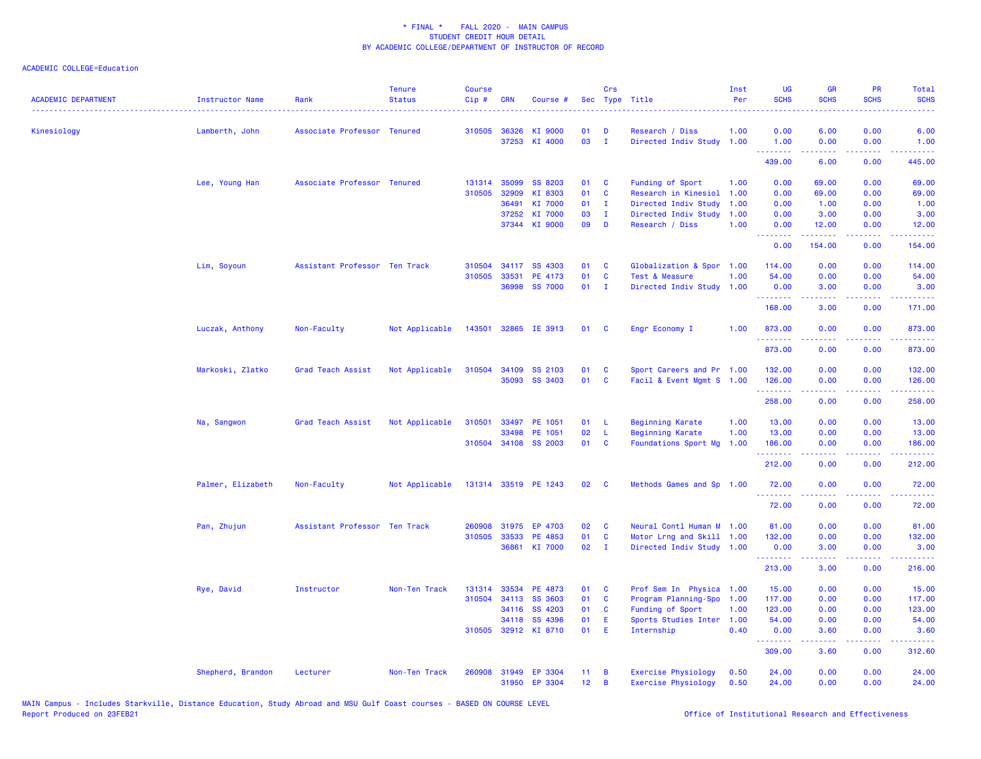| <b>ACADEMIC DEPARTMENT</b> | Instructor Name   | Rank                          | <b>Tenure</b><br><b>Status</b> | <b>Course</b><br>Cip# | <b>CRN</b> | Course #             | Sec             | Crs          | Type Title                 | Inst<br>Per | <b>UG</b><br><b>SCHS</b> | <b>GR</b><br><b>SCHS</b>                       | PR<br><b>SCHS</b>                   | Total<br><b>SCHS</b>       |
|----------------------------|-------------------|-------------------------------|--------------------------------|-----------------------|------------|----------------------|-----------------|--------------|----------------------------|-------------|--------------------------|------------------------------------------------|-------------------------------------|----------------------------|
| Kinesiology                | Lamberth, John    | Associate Professor Tenured   |                                | 310505                | 36326      | KI 9000              | 01              | D            | Research / Diss            | 1.00        | 0.00                     | 6.00                                           | 0.00                                | 6.00                       |
|                            |                   |                               |                                |                       |            | 37253 KI 4000        | 03              | $\mathbf{I}$ | Directed Indiv Study       | 1.00        | 1.00<br>.                | 0.00<br>22222                                  | 0.00<br>.                           | 1.00<br>.                  |
|                            |                   |                               |                                |                       |            |                      |                 |              |                            |             | 439.00                   | 6.00                                           | 0.00                                | 445.00                     |
|                            | Lee, Young Han    | Associate Professor Tenured   |                                | 131314                | 35099      | SS 8203              | 01              | C            | Funding of Sport           | 1.00        | 0.00                     | 69.00                                          | 0.00                                | 69.00                      |
|                            |                   |                               |                                | 310505                | 32909      | KI 8303              | 01              | $\mathbf{C}$ | Research in Kinesiol       | 1.00        | 0.00                     | 69.00                                          | 0.00                                | 69.00                      |
|                            |                   |                               |                                |                       | 36491      | KI 7000              | 01              | $\mathbf{I}$ | Directed Indiv Study       | 1.00        | 0.00                     | 1.00                                           | 0.00                                | 1.00                       |
|                            |                   |                               |                                |                       | 37252      | KI 7000              | 03              | $\mathbf{I}$ | Directed Indiv Study       | 1.00        | 0.00                     | 3.00                                           | 0.00                                | 3.00                       |
|                            |                   |                               |                                |                       |            | 37344 KI 9000        | 09              | D            | Research / Diss            | 1.00        | 0.00<br>.                | 12.00<br>. <u>.</u>                            | 0.00<br>.                           | 12.00<br>.                 |
|                            |                   |                               |                                |                       |            |                      |                 |              |                            |             | 0.00                     | 154.00                                         | 0.00                                | 154.00                     |
|                            | Lim, Soyoun       | Assistant Professor Ten Track |                                | 310504                | 34117      | SS 4303              | 01              | C            | Globalization & Spor       | 1.00        | 114.00                   | 0.00                                           | 0.00                                | 114.00                     |
|                            |                   |                               |                                | 310505                | 33531      | PE 4173              | 01              | C            | Test & Measure             | 1.00        | 54.00                    | 0.00                                           | 0.00                                | 54.00                      |
|                            |                   |                               |                                |                       |            | 36998 SS 7000        | 01              | $\mathbf{I}$ | Directed Indiv Study       | 1.00        | 0.00<br>.                | 3.00<br>.                                      | 0.00<br>.                           | 3.00<br>.                  |
|                            |                   |                               |                                |                       |            |                      |                 |              |                            |             | 168.00                   | 3.00                                           | 0.00                                | 171.00                     |
|                            | Luczak, Anthony   | Non-Faculty                   | Not Applicable                 | 143501                |            | 32865 IE 3913        | 01              | <b>C</b>     | Engr Economy I             | 1.00        | 873.00                   | 0.00                                           | 0.00                                | 873.00                     |
|                            |                   |                               |                                |                       |            |                      |                 |              |                            |             | .<br>873.00              | 0.00                                           | د د د د<br>0.00                     | والمتحدث للمنابذ<br>873.00 |
|                            | Markoski, Zlatko  | Grad Teach Assist             | Not Applicable                 |                       |            | 310504 34109 SS 2103 | 01              | C            | Sport Careers and Pr 1.00  |             | 132.00                   | 0.00                                           | 0.00                                | 132.00                     |
|                            |                   |                               |                                |                       | 35093      | SS 3403              | 01              | <b>C</b>     | Facil & Event Mgmt S 1.00  |             | 126.00                   | 0.00                                           | 0.00                                | 126.00                     |
|                            |                   |                               |                                |                       |            |                      |                 |              |                            |             | .<br>258.00              | <b><i><u><u> - - - - -</u></u></i></b><br>0.00 | .<br>0.00                           | .<br>258.00                |
|                            | Na, Sangwon       | Grad Teach Assist             | Not Applicable                 | 310501                | 33497      | PE 1051              | 01              | -L.          | <b>Beginning Karate</b>    | 1.00        | 13.00                    | 0.00                                           | 0.00                                | 13.00                      |
|                            |                   |                               |                                |                       | 33498      | PE 1051              | 02              | L            | <b>Beginning Karate</b>    | 1.00        | 13.00                    | 0.00                                           | 0.00                                | 13.00                      |
|                            |                   |                               |                                |                       |            | 310504 34108 SS 2003 | 01              | <b>C</b>     | Foundations Sport Mg       | 1.00        | 186.00                   | 0.00                                           | 0.00                                | 186.00                     |
|                            |                   |                               |                                |                       |            |                      |                 |              |                            |             | .<br>212.00              | -----<br>0.00                                  | .<br>0.00                           | والمتحدث للمنابذ<br>212.00 |
|                            |                   |                               |                                |                       |            |                      |                 |              |                            |             |                          |                                                |                                     |                            |
|                            | Palmer, Elizabeth | Non-Faculty                   | Not Applicable                 |                       |            | 131314 33519 PE 1243 | 02              | C            | Methods Games and Sp 1.00  |             | 72.00<br><u> 22222</u>   | 0.00<br>.                                      | 0.00<br>$\sim$ $\sim$ $\sim$ $\sim$ | 72.00<br>المتمامين         |
|                            |                   |                               |                                |                       |            |                      |                 |              |                            |             | 72.00                    | 0.00                                           | 0.00                                | 72.00                      |
|                            | Pan, Zhujun       | Assistant Professor Ten Track |                                | 260908                | 31975      | EP 4703              | 02              | C            | Neural Contl Human M       | 1.00        | 81.00                    | 0.00                                           | 0.00                                | 81.00                      |
|                            |                   |                               |                                | 310505                | 33533      | PE 4853              | 01              | <b>C</b>     | Motor Lrng and Skill 1.00  |             | 132.00                   | 0.00                                           | 0.00                                | 132.00                     |
|                            |                   |                               |                                |                       | 36861      | KI 7000              | 02              | $\mathbf{I}$ | Directed Indiv Study 1.00  |             | 0.00<br>.                | 3.00                                           | 0.00<br>2222                        | 3.00                       |
|                            |                   |                               |                                |                       |            |                      |                 |              |                            |             | 213.00                   | 3.00                                           | 0.00                                | 216.00                     |
|                            | Rye, David        | Instructor                    | Non-Ten Track                  | 131314                |            | 33534 PE 4873        | 01              | C            | Prof Sem In Physica 1.00   |             | 15.00                    | 0.00                                           | 0.00                                | 15.00                      |
|                            |                   |                               |                                | 310504                | 34113      | <b>SS 3603</b>       | 01              | <b>C</b>     | Program Planning-Spo       | 1.00        | 117.00                   | 0.00                                           | 0.00                                | 117.00                     |
|                            |                   |                               |                                |                       |            | 34116 SS 4203        | 01              | <b>C</b>     | Funding of Sport           | 1.00        | 123.00                   | 0.00                                           | 0.00                                | 123.00                     |
|                            |                   |                               |                                |                       |            | 34118 SS 4396        | 01              | Ε            | Sports Studies Inter       | 1.00        | 54.00                    | 0.00                                           | 0.00                                | 54.00                      |
|                            |                   |                               |                                |                       |            | 310505 32912 KI 8710 | 01              | Ε            | Internship                 | 0.40        | 0.00<br>.                | 3.60<br>.                                      | 0.00<br>.                           | 3.60<br>المتمام ماما       |
|                            |                   |                               |                                |                       |            |                      |                 |              |                            |             | 309.00                   | 3.60                                           | 0.00                                | 312.60                     |
|                            | Shepherd, Brandon | Lecturer                      | Non-Ten Track                  | 260908                |            | 31949 EP 3304        | 11 <sub>1</sub> | B            | <b>Exercise Physiology</b> | 0.50        | 24.00                    | 0.00                                           | 0.00                                | 24.00                      |
|                            |                   |                               |                                |                       |            | 31950 EP 3304        | 12              | B            | <b>Exercise Physiology</b> | 0.50        | 24.00                    | 0.00                                           | 0.00                                | 24.00                      |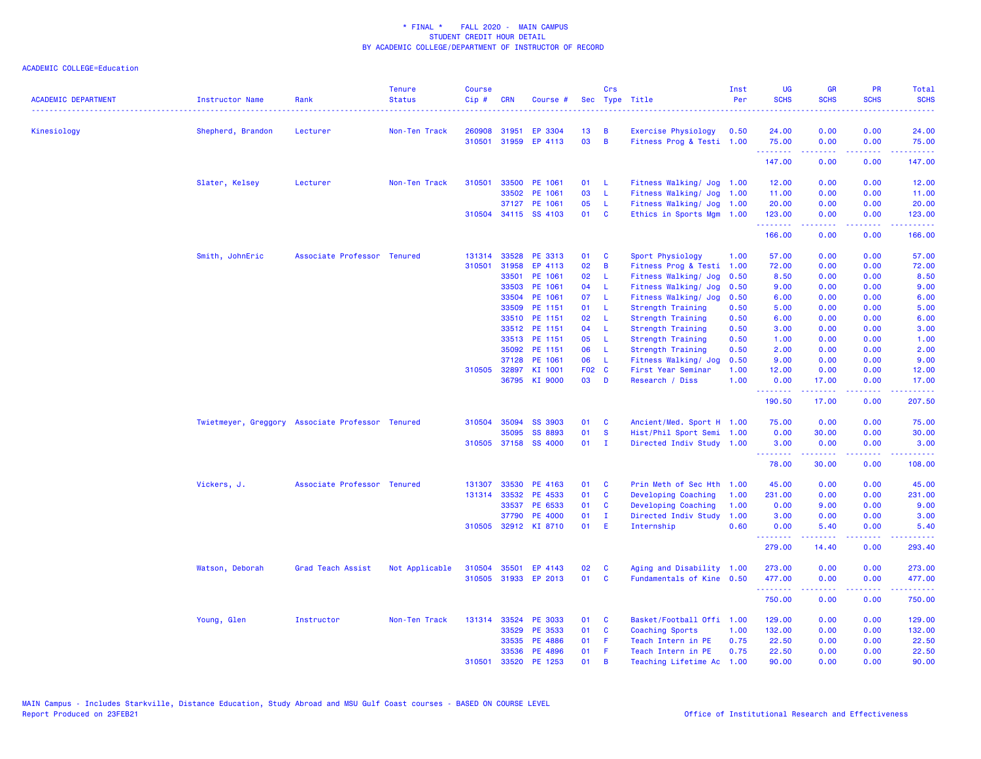| <b>ACADEMIC DEPARTMENT</b> | Instructor Name                                  | Rank                        | <b>Tenure</b><br><b>Status</b> | <b>Course</b><br>Cip# | <b>CRN</b>   | Course #             |       | Crs            | Sec Type Title            | Inst<br>Per | UG<br><b>SCHS</b>                                                                                                                                                                                                                                                                                                                                                                                                                                                                               | <b>GR</b><br><b>SCHS</b> | <b>PR</b><br><b>SCHS</b><br>.       | Total<br><b>SCHS</b><br>. |
|----------------------------|--------------------------------------------------|-----------------------------|--------------------------------|-----------------------|--------------|----------------------|-------|----------------|---------------------------|-------------|-------------------------------------------------------------------------------------------------------------------------------------------------------------------------------------------------------------------------------------------------------------------------------------------------------------------------------------------------------------------------------------------------------------------------------------------------------------------------------------------------|--------------------------|-------------------------------------|---------------------------|
| Kinesiology                | Shepherd, Brandon                                | Lecturer                    | Non-Ten Track                  | 260908                | 31951        | EP 3304              | 13    | B              | Exercise Physiology       | 0.50        | 24.00                                                                                                                                                                                                                                                                                                                                                                                                                                                                                           | 0.00                     | 0.00                                | 24.00                     |
|                            |                                                  |                             |                                | 310501                | 31959        | EP 4113              | 03    | $\overline{B}$ | Fitness Prog & Testi 1.00 |             | 75.00                                                                                                                                                                                                                                                                                                                                                                                                                                                                                           | 0.00                     | 0.00                                | 75.00                     |
|                            |                                                  |                             |                                |                       |              |                      |       |                |                           |             | <b>.</b> .<br>147.00                                                                                                                                                                                                                                                                                                                                                                                                                                                                            | -----<br>0.00            | بالأباب<br>0.00                     | .<br>147.00               |
|                            | Slater, Kelsey                                   | Lecturer                    | Non-Ten Track                  | 310501                | 33500        | PE 1061              | 01    | - L            | Fitness Walking/ Jog 1.00 |             | 12.00                                                                                                                                                                                                                                                                                                                                                                                                                                                                                           | 0.00                     | 0.00                                | 12.00                     |
|                            |                                                  |                             |                                |                       | 33502        | PE 1061              | 03    | - L            | Fitness Walking/ Jog      | 1.00        | 11.00                                                                                                                                                                                                                                                                                                                                                                                                                                                                                           | 0.00                     | 0.00                                | 11.00                     |
|                            |                                                  |                             |                                |                       |              | 37127 PE 1061        | 05    | - L            | Fitness Walking/ Jog      | 1.00        | 20.00                                                                                                                                                                                                                                                                                                                                                                                                                                                                                           | 0.00                     | 0.00                                | 20.00                     |
|                            |                                                  |                             |                                |                       |              | 310504 34115 SS 4103 | 01 C  |                | Ethics in Sports Mgm 1.00 |             | 123.00                                                                                                                                                                                                                                                                                                                                                                                                                                                                                          | 0.00                     | 0.00                                | 123.00<br>.               |
|                            |                                                  |                             |                                |                       |              |                      |       |                |                           |             | 166.00                                                                                                                                                                                                                                                                                                                                                                                                                                                                                          | .<br>0.00                | .<br>0.00                           | 166.00                    |
|                            | Smith, JohnEric                                  | Associate Professor Tenured |                                | 131314                | 33528        | PE 3313              | 01    | <b>C</b>       | Sport Physiology          | 1.00        | 57.00                                                                                                                                                                                                                                                                                                                                                                                                                                                                                           | 0.00                     | 0.00                                | 57.00                     |
|                            |                                                  |                             |                                | 310501                | 31958        | EP 4113              | 02    | $\overline{B}$ | Fitness Prog & Testi 1.00 |             | 72.00                                                                                                                                                                                                                                                                                                                                                                                                                                                                                           | 0.00                     | 0.00                                | 72.00                     |
|                            |                                                  |                             |                                |                       | 33501        | PE 1061              | 02    | - Li           | Fitness Walking/ Jog      | 0.50        | 8.50                                                                                                                                                                                                                                                                                                                                                                                                                                                                                            | 0.00                     | 0.00                                | 8.50                      |
|                            |                                                  |                             |                                |                       | 33503        | PE 1061              | 04    | - L            | Fitness Walking/ Jog      | 0.50        | 9.00                                                                                                                                                                                                                                                                                                                                                                                                                                                                                            | 0.00                     | 0.00                                | 9.00                      |
|                            |                                                  |                             |                                |                       | 33504        | PE 1061              | 07    | $\mathsf{L}$   | Fitness Walking/ Jog      | 0.50        | 6.00                                                                                                                                                                                                                                                                                                                                                                                                                                                                                            | 0.00                     | 0.00                                | 6.00                      |
|                            |                                                  |                             |                                |                       | 33509        | PE 1151              | 01    | - L            | Strength Training         | 0.50        | 5.00                                                                                                                                                                                                                                                                                                                                                                                                                                                                                            | 0.00                     | 0.00                                | 5.00                      |
|                            |                                                  |                             |                                |                       |              | 33510 PE 1151        | 02    | $\mathsf{L}$   | Strength Training         | 0.50        | 6.00                                                                                                                                                                                                                                                                                                                                                                                                                                                                                            | 0.00                     | 0.00                                | 6.00                      |
|                            |                                                  |                             |                                |                       |              | 33512 PE 1151        | 04    | $\mathsf{L}$   | Strength Training         | 0.50        | 3.00                                                                                                                                                                                                                                                                                                                                                                                                                                                                                            | 0.00                     | 0.00                                | 3.00                      |
|                            |                                                  |                             |                                |                       |              | 33513 PE 1151        | 05    | - L            | Strength Training         | 0.50        | 1.00                                                                                                                                                                                                                                                                                                                                                                                                                                                                                            | 0.00                     | 0.00                                | 1.00                      |
|                            |                                                  |                             |                                |                       | 35092        | PE 1151              | 06    | $\mathsf{L}$   | Strength Training         | 0.50        | 2.00                                                                                                                                                                                                                                                                                                                                                                                                                                                                                            | 0.00                     | 0.00                                | 2.00                      |
|                            |                                                  |                             |                                |                       | 37128        | PE 1061              | 06    | - L            | Fitness Walking/ Jog      | 0.50        | 9.00                                                                                                                                                                                                                                                                                                                                                                                                                                                                                            | 0.00                     | 0.00                                | 9.00                      |
|                            |                                                  |                             |                                |                       | 310505 32897 | KI 1001              | F02 C |                | First Year Seminar        | 1.00        | 12.00                                                                                                                                                                                                                                                                                                                                                                                                                                                                                           | 0.00                     | 0.00                                | 12.00                     |
|                            |                                                  |                             |                                |                       |              | 36795 KI 9000        | 03    | $\mathbf{D}$   | Research / Diss           | 1.00        | 0.00                                                                                                                                                                                                                                                                                                                                                                                                                                                                                            | 17.00                    | 0.00                                | 17.00                     |
|                            |                                                  |                             |                                |                       |              |                      |       |                |                           |             | <u>.</u><br>190.50                                                                                                                                                                                                                                                                                                                                                                                                                                                                              | .<br>17.00               | .<br>0.00                           | .<br>207.50               |
|                            | Twietmeyer, Greggory Associate Professor Tenured |                             |                                |                       | 310504 35094 | <b>SS 3903</b>       | 01    | <b>C</b>       | Ancient/Med. Sport H 1.00 |             | 75.00                                                                                                                                                                                                                                                                                                                                                                                                                                                                                           | 0.00                     | 0.00                                | 75.00                     |
|                            |                                                  |                             |                                |                       | 35095        | SS 8893              | 01    | <b>S</b>       | Hist/Phil Sport Semi 1.00 |             | 0.00                                                                                                                                                                                                                                                                                                                                                                                                                                                                                            | 30.00                    | 0.00                                | 30.00                     |
|                            |                                                  |                             |                                |                       |              | 310505 37158 SS 4000 | 01    | $\mathbf{I}$   | Directed Indiv Study 1.00 |             | 3.00                                                                                                                                                                                                                                                                                                                                                                                                                                                                                            | 0.00                     | 0.00                                | 3.00                      |
|                            |                                                  |                             |                                |                       |              |                      |       |                |                           |             | $\begin{array}{cccccccccccccc} \multicolumn{2}{c}{} & \multicolumn{2}{c}{} & \multicolumn{2}{c}{} & \multicolumn{2}{c}{} & \multicolumn{2}{c}{} & \multicolumn{2}{c}{} & \multicolumn{2}{c}{} & \multicolumn{2}{c}{} & \multicolumn{2}{c}{} & \multicolumn{2}{c}{} & \multicolumn{2}{c}{} & \multicolumn{2}{c}{} & \multicolumn{2}{c}{} & \multicolumn{2}{c}{} & \multicolumn{2}{c}{} & \multicolumn{2}{c}{} & \multicolumn{2}{c}{} & \multicolumn{2}{c}{} & \multicolumn{2}{c}{} & \$<br>78.00 | $- - - - -$<br>30.00     | $\sim$ $\sim$ $\sim$ $\sim$<br>0.00 | .<br>108.00               |
|                            | Vickers, J.                                      | Associate Professor Tenured |                                | 131307                | 33530        | PE 4163              | 01    | <b>C</b>       | Prin Meth of Sec Hth      | 1.00        | 45.00                                                                                                                                                                                                                                                                                                                                                                                                                                                                                           | 0.00                     | 0.00                                | 45.00                     |
|                            |                                                  |                             |                                | 131314                | 33532        | PE 4533              | 01    | <b>C</b>       | Developing Coaching       | 1.00        | 231.00                                                                                                                                                                                                                                                                                                                                                                                                                                                                                          | 0.00                     | 0.00                                | 231.00                    |
|                            |                                                  |                             |                                |                       | 33537        | PE 6533              | 01    | $\mathbf{C}$   | Developing Coaching       | 1.00        | 0.00                                                                                                                                                                                                                                                                                                                                                                                                                                                                                            | 9.00                     | 0.00                                | 9.00                      |
|                            |                                                  |                             |                                |                       | 37790        | <b>PE 4000</b>       | 01    | $\mathbf{I}$   | Directed Indiv Study      | 1.00        | 3.00                                                                                                                                                                                                                                                                                                                                                                                                                                                                                            | 0.00                     | 0.00                                | 3.00                      |
|                            |                                                  |                             |                                |                       |              | 310505 32912 KI 8710 | 01 E  |                | Internship                | 0.60        | 0.00                                                                                                                                                                                                                                                                                                                                                                                                                                                                                            | 5.40                     | 0.00                                | 5.40                      |
|                            |                                                  |                             |                                |                       |              |                      |       |                |                           |             | --------<br>279.00                                                                                                                                                                                                                                                                                                                                                                                                                                                                              | -----<br>14.40           | .<br>0.00                           | .<br>293.40               |
|                            | Watson, Deborah                                  | Grad Teach Assist           | Not Applicable                 | 310504                | 35501        | EP 4143              | 02    | C              | Aging and Disability 1.00 |             | 273.00                                                                                                                                                                                                                                                                                                                                                                                                                                                                                          | 0.00                     | 0.00                                | 273.00                    |
|                            |                                                  |                             |                                | 310505                |              | 31933 EP 2013        | 01    | $\mathbf{C}$   | Fundamentals of Kine 0.50 |             | 477.00<br><b>.</b> .                                                                                                                                                                                                                                                                                                                                                                                                                                                                            | 0.00<br>.                | 0.00<br>.                           | 477.00<br>.               |
|                            |                                                  |                             |                                |                       |              |                      |       |                |                           |             | 750.00                                                                                                                                                                                                                                                                                                                                                                                                                                                                                          | 0.00                     | 0.00                                | 750.00                    |
|                            | Young, Glen                                      | Instructor                  | Non-Ten Track                  | 131314                |              | 33524 PE 3033        | 01    | $\mathbf{C}$   | Basket/Football Offi 1.00 |             | 129.00                                                                                                                                                                                                                                                                                                                                                                                                                                                                                          | 0.00                     | 0.00                                | 129.00                    |
|                            |                                                  |                             |                                |                       | 33529        | PE 3533              | 01    | <b>C</b>       | Coaching Sports           | 1.00        | 132.00                                                                                                                                                                                                                                                                                                                                                                                                                                                                                          | 0.00                     | 0.00                                | 132.00                    |
|                            |                                                  |                             |                                |                       | 33535        | PE 4886              | 01    | - F            | Teach Intern in PE        | 0.75        | 22.50                                                                                                                                                                                                                                                                                                                                                                                                                                                                                           | 0.00                     | 0.00                                | 22.50                     |
|                            |                                                  |                             |                                |                       | 33536        | PE 4896              | 01    | - F            | Teach Intern in PE        | 0.75        | 22.50                                                                                                                                                                                                                                                                                                                                                                                                                                                                                           | 0.00                     | 0.00                                | 22.50                     |
|                            |                                                  |                             |                                | 310501                | 33520        | PE 1253              | 01    | B              | Teaching Lifetime Ac      | 1.00        | 90.00                                                                                                                                                                                                                                                                                                                                                                                                                                                                                           | 0.00                     | 0.00                                | 90.00                     |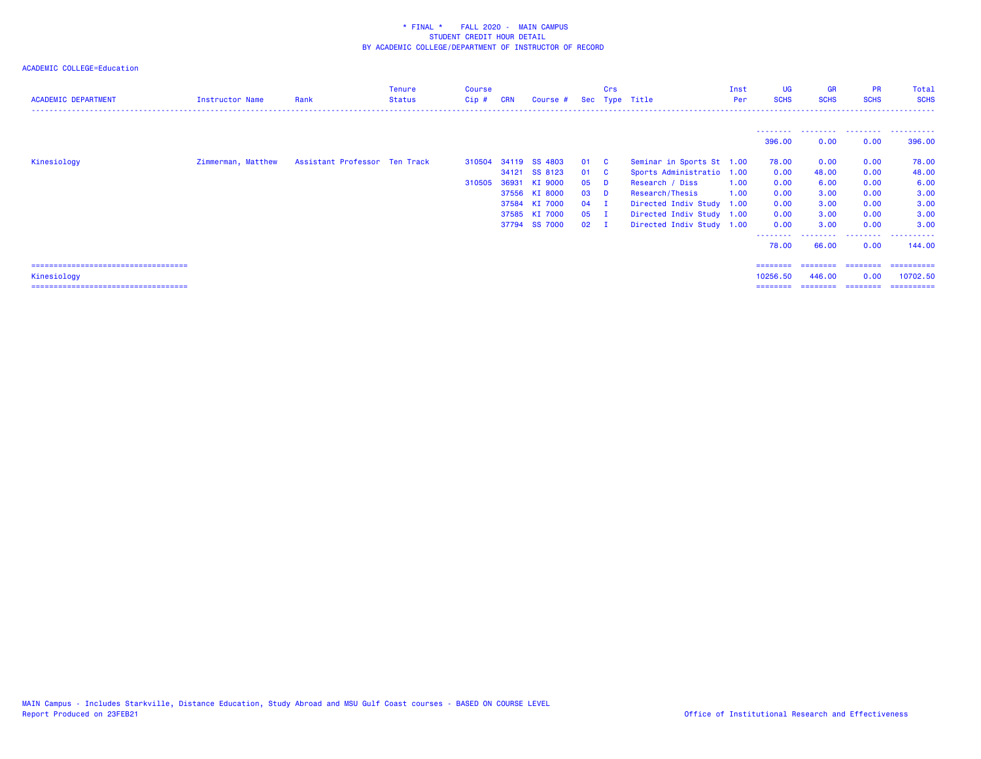| <b>ACADEMIC DEPARTMENT</b>                                                                      | Instructor Name    | Rank                          | <b>Tenure</b><br><b>Status</b> | Course<br>Cip#   | <b>CRN</b>              | Course #                                                                                          |                                                    | <b>Crs</b><br>Sec Type Title                             |                                                                                                                                                                                     | Inst<br>Per  | <b>UG</b><br><b>SCHS</b>                                                   | <b>GR</b><br><b>SCHS</b>                                       | <b>PR</b><br><b>SCHS</b>                                          | Total<br><b>SCHS</b>                                                           |
|-------------------------------------------------------------------------------------------------|--------------------|-------------------------------|--------------------------------|------------------|-------------------------|---------------------------------------------------------------------------------------------------|----------------------------------------------------|----------------------------------------------------------|-------------------------------------------------------------------------------------------------------------------------------------------------------------------------------------|--------------|----------------------------------------------------------------------------|----------------------------------------------------------------|-------------------------------------------------------------------|--------------------------------------------------------------------------------|
|                                                                                                 |                    |                               |                                |                  |                         |                                                                                                   |                                                    |                                                          |                                                                                                                                                                                     |              | .<br>396,00                                                                | 0.00                                                           | 0.00                                                              | 396,00                                                                         |
| Kinesiology                                                                                     | Zimmerman, Matthew | Assistant Professor Ten Track |                                | 310504<br>310505 | 34121<br>36931<br>37584 | 34119 SS 4803<br>SS 8123<br>KI 9000<br>37556 KI 8000<br>KI 7000<br>37585 KI 7000<br>37794 SS 7000 | 01 C<br>01<br>05<br>03<br>04<br>05<br>$02 \quad I$ | $\overline{\mathbf{C}}$<br>- D<br><b>D</b><br>- 1<br>- 1 | Seminar in Sports St 1.00<br>Sports Administratio 1.00<br>Research / Diss<br>Research/Thesis<br>Directed Indiv Study 1.00<br>Directed Indiv Study 1.00<br>Directed Indiv Study 1.00 | 1.00<br>1.00 | 78.00<br>0.00<br>0.00<br>0.00<br>0.00<br>0.00<br>0.00<br>--------<br>78.00 | 0.00<br>48.00<br>6.00<br>3.00<br>3.00<br>3.00<br>3.00<br>66.00 | 0.00<br>0.00<br>0.00<br>0.00<br>0.00<br>0.00<br>0.00<br>.<br>0.00 | 78.00<br>48.00<br>6.00<br>3.00<br>3.00<br>3.00<br>3.00<br>----------<br>144.00 |
| ======================================<br>Kinesiology<br>====================================== |                    |                               |                                |                  |                         |                                                                                                   |                                                    |                                                          |                                                                                                                                                                                     |              | ========<br>10256.50<br>========                                           | ========<br>446.00                                             | ---------<br>0.00                                                 | -----------<br>10702.50<br>--------- -------- ---------                        |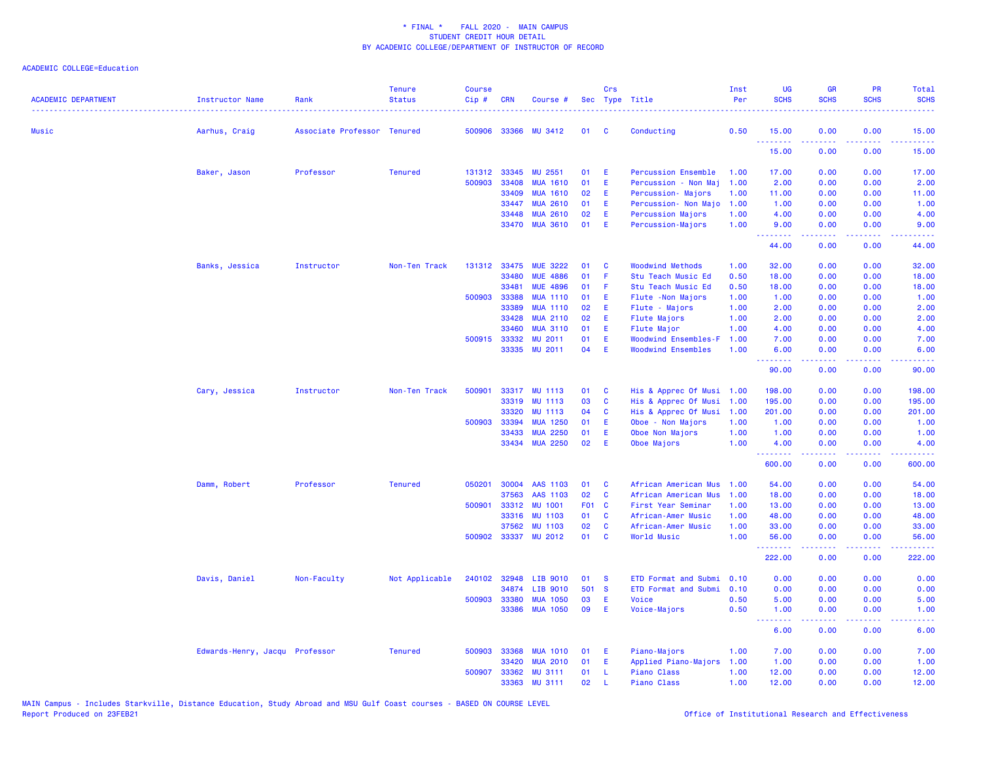| <b>ACADEMIC DEPARTMENT</b> | <b>Instructor Name</b>         | Rank                        | <b>Tenure</b><br><b>Status</b> | <b>Course</b><br>Cip# | <b>CRN</b>   | Course #             |       | Crs          | Sec Type Title             | Inst<br>Per | <b>UG</b><br><b>SCHS</b> | <b>GR</b><br><b>SCHS</b> | <b>PR</b><br><b>SCHS</b>                                                                               | <b>Total</b><br><b>SCHS</b>                                                                                                       |
|----------------------------|--------------------------------|-----------------------------|--------------------------------|-----------------------|--------------|----------------------|-------|--------------|----------------------------|-------------|--------------------------|--------------------------|--------------------------------------------------------------------------------------------------------|-----------------------------------------------------------------------------------------------------------------------------------|
| <b>Music</b>               | Aarhus, Craig                  | Associate Professor Tenured |                                |                       |              | 500906 33366 MU 3412 | 01    | <b>C</b>     | Conducting                 | 0.50        | 15.00<br>.               | 0.00                     | 0.00<br>$\frac{1}{2} \left( \frac{1}{2} \right) \left( \frac{1}{2} \right) \left( \frac{1}{2} \right)$ | 15.00<br>.                                                                                                                        |
|                            |                                |                             |                                |                       |              |                      |       |              |                            |             | 15.00                    | 0.00                     | 0.00                                                                                                   | 15.00                                                                                                                             |
|                            | Baker, Jason                   | Professor                   | <b>Tenured</b>                 | 131312                | 33345        | <b>MU 2551</b>       | 01    | Æ            | <b>Percussion Ensemble</b> | 1.00        | 17.00                    | 0.00                     | 0.00                                                                                                   | 17.00                                                                                                                             |
|                            |                                |                             |                                | 500903                | 33408        | <b>MUA 1610</b>      | 01    | E            | Percussion - Non Maj       | 1.00        | 2.00                     | 0.00                     | 0.00                                                                                                   | 2.00                                                                                                                              |
|                            |                                |                             |                                |                       | 33409        | <b>MUA 1610</b>      | 02    | E            | Percussion- Majors         | 1.00        | 11.00                    | 0.00                     | 0.00                                                                                                   | 11.00                                                                                                                             |
|                            |                                |                             |                                |                       | 33447        | <b>MUA 2610</b>      | 01    | Æ            | Percussion- Non Majo       | 1.00        | 1.00                     | 0.00                     | 0.00                                                                                                   | 1.00                                                                                                                              |
|                            |                                |                             |                                |                       | 33448        | <b>MUA 2610</b>      | 02    | E            | Percussion Majors          | 1.00        | 4.00                     | 0.00                     | 0.00                                                                                                   | 4.00                                                                                                                              |
|                            |                                |                             |                                |                       | 33470        | <b>MUA 3610</b>      | 01    | E            | Percussion-Majors          | 1.00        | 9.00                     | 0.00<br>.                | 0.00<br>د د د د                                                                                        | 9.00                                                                                                                              |
|                            |                                |                             |                                |                       |              |                      |       |              |                            |             | 44.00                    | 0.00                     | 0.00                                                                                                   | 44.00                                                                                                                             |
|                            | Banks, Jessica                 | Instructor                  | Non-Ten Track                  | 131312                | 33475        | <b>MUE 3222</b>      | 01    | C            | <b>Woodwind Methods</b>    | 1.00        | 32.00                    | 0.00                     | 0.00                                                                                                   | 32.00                                                                                                                             |
|                            |                                |                             |                                |                       | 33480        | <b>MUE 4886</b>      | 01    | F            | Stu Teach Music Ed         | 0.50        | 18.00                    | 0.00                     | 0.00                                                                                                   | 18.00                                                                                                                             |
|                            |                                |                             |                                |                       | 33481        | <b>MUE 4896</b>      | 01    | -F           | Stu Teach Music Ed         | 0.50        | 18.00                    | 0.00                     | 0.00                                                                                                   | 18.00                                                                                                                             |
|                            |                                |                             |                                | 500903                | 33388        | <b>MUA 1110</b>      | 01    | Æ            | Flute - Non Majors         | 1.00        | 1.00                     | 0.00                     | 0.00                                                                                                   | 1.00                                                                                                                              |
|                            |                                |                             |                                |                       | 33389        | <b>MUA 1110</b>      | 02    | E            | Flute - Majors             | 1.00        | 2.00                     | 0.00                     | 0.00                                                                                                   | 2.00                                                                                                                              |
|                            |                                |                             |                                |                       | 33428        | <b>MUA 2110</b>      | 02    | Æ            | <b>Flute Majors</b>        | 1.00        | 2.00                     | 0.00                     | 0.00                                                                                                   | 2.00                                                                                                                              |
|                            |                                |                             |                                |                       | 33460        | <b>MUA 3110</b>      | 01    | E            | Flute Major                | 1.00        | 4.00                     | 0.00                     | 0.00                                                                                                   | 4.00                                                                                                                              |
|                            |                                |                             |                                |                       | 500915 33332 | <b>MU 2011</b>       | 01    | E            | Woodwind Ensembles-F       | 1.00        | 7.00                     | 0.00                     | 0.00                                                                                                   | 7.00                                                                                                                              |
|                            |                                |                             |                                |                       |              | 33335 MU 2011        | 04    | Æ            | <b>Woodwind Ensembles</b>  | 1.00        | 6.00<br>.                | 0.00<br>22222            | 0.00<br>.                                                                                              | 6.00<br>.                                                                                                                         |
|                            |                                |                             |                                |                       |              |                      |       |              |                            |             | 90.00                    | 0.00                     | 0.00                                                                                                   | 90.00                                                                                                                             |
|                            | Cary, Jessica                  | Instructor                  | Non-Ten Track                  | 500901                |              | 33317 MU 1113        | 01    | C            | His & Apprec Of Musi       | 1.00        | 198.00                   | 0.00                     | 0.00                                                                                                   | 198.00                                                                                                                            |
|                            |                                |                             |                                |                       |              | 33319 MU 1113        | 03    | C            | His & Apprec Of Musi       | 1.00        | 195.00                   | 0.00                     | 0.00                                                                                                   | 195.00                                                                                                                            |
|                            |                                |                             |                                |                       | 33320        | <b>MU 1113</b>       | 04    | C            | His & Apprec Of Musi       | 1.00        | 201.00                   | 0.00                     | 0.00                                                                                                   | 201.00                                                                                                                            |
|                            |                                |                             |                                | 500903                | 33394        | <b>MUA 1250</b>      | 01    | Æ            | Oboe - Non Majors          | 1.00        | 1.00                     | 0.00                     | 0.00                                                                                                   | 1.00                                                                                                                              |
|                            |                                |                             |                                |                       | 33433        | <b>MUA 2250</b>      | 01    | Æ            | Oboe Non Majors            | 1.00        | 1.00                     | 0.00                     | 0.00                                                                                                   | 1.00                                                                                                                              |
|                            |                                |                             |                                |                       |              | 33434 MUA 2250       | 02    | Æ            | Oboe Majors                | 1.00        | 4.00<br><u>.</u>         | 0.00<br>22222            | 0.00<br>.                                                                                              | 4.00<br>المتمام ماما                                                                                                              |
|                            |                                |                             |                                |                       |              |                      |       |              |                            |             | 600.00                   | 0.00                     | 0.00                                                                                                   | 600.00                                                                                                                            |
|                            | Damm, Robert                   | Professor                   | <b>Tenured</b>                 | 050201                | 30004        | AAS 1103             | 01    | C            | African American Mus       | 1.00        | 54.00                    | 0.00                     | 0.00                                                                                                   | 54.00                                                                                                                             |
|                            |                                |                             |                                |                       | 37563        | AAS 1103             | 02    | C            | African American Mus       | 1.00        | 18.00                    | 0.00                     | 0.00                                                                                                   | 18.00                                                                                                                             |
|                            |                                |                             |                                | 500901                | 33312        | <b>MU 1001</b>       | F01 C |              | First Year Seminar         | 1.00        | 13.00                    | 0.00                     | 0.00                                                                                                   | 13.00                                                                                                                             |
|                            |                                |                             |                                |                       | 33316        | <b>MU 1103</b>       | 01    | C            | African-Amer Music         | 1.00        | 48.00                    | 0.00                     | 0.00                                                                                                   | 48.00                                                                                                                             |
|                            |                                |                             |                                |                       | 37562        | <b>MU 1103</b>       | 02    | <b>C</b>     | African-Amer Music         | 1.00        | 33.00                    | 0.00                     | 0.00                                                                                                   | 33.00                                                                                                                             |
|                            |                                |                             |                                |                       |              | 500902 33337 MU 2012 | 01    | <b>C</b>     | World Music                | 1.00        | 56.00<br>.               | 0.00<br>.                | 0.00<br>.                                                                                              | 56.00<br>.                                                                                                                        |
|                            |                                |                             |                                |                       |              |                      |       |              |                            |             | 222.00                   | 0.00                     | 0.00                                                                                                   | 222.00                                                                                                                            |
|                            | Davis, Daniel                  | Non-Faculty                 | Not Applicable                 |                       | 240102 32948 | LIB 9010             | 01    | <b>S</b>     | ETD Format and Submi       | 0.10        | 0.00                     | 0.00                     | 0.00                                                                                                   | 0.00                                                                                                                              |
|                            |                                |                             |                                |                       | 34874        | LIB 9010             | 501 S |              | ETD Format and Submi       | 0.10        | 0.00                     | 0.00                     | 0.00                                                                                                   | 0.00                                                                                                                              |
|                            |                                |                             |                                | 500903                | 33380        | <b>MUA 1050</b>      | 03    | E            | Voice                      | 0.50        | 5.00                     | 0.00                     | 0.00                                                                                                   | 5.00                                                                                                                              |
|                            |                                |                             |                                |                       | 33386        | <b>MUA 1050</b>      | 09    | E            | Voice-Majors               | 0.50        | 1.00<br>.                | 0.00<br>2.2.2.2.2        | 0.00<br>.                                                                                              | 1.00<br>$\frac{1}{2} \left( \frac{1}{2} \right) \left( \frac{1}{2} \right) \left( \frac{1}{2} \right) \left( \frac{1}{2} \right)$ |
|                            |                                |                             |                                |                       |              |                      |       |              |                            |             | 6.00                     | 0.00                     | 0.00                                                                                                   | 6.00                                                                                                                              |
|                            | Edwards-Henry, Jacqu Professor |                             | <b>Tenured</b>                 | 500903                | 33368        | <b>MUA 1010</b>      | 01    | E            | Piano-Majors               | 1.00        | 7.00                     | 0.00                     | 0.00                                                                                                   | 7.00                                                                                                                              |
|                            |                                |                             |                                |                       | 33420        | <b>MUA 2010</b>      | 01    | E            | Applied Piano-Majors       | 1.00        | 1.00                     | 0.00                     | 0.00                                                                                                   | 1.00                                                                                                                              |
|                            |                                |                             |                                | 500907                | 33362        | <b>MU 3111</b>       | 01    | <b>L</b>     | Piano Class                | 1.00        | 12.00                    | 0.00                     | 0.00                                                                                                   | 12.00                                                                                                                             |
|                            |                                |                             |                                |                       | 33363        | MU 3111              | 02    | $\mathbf{L}$ | Piano Class                | 1.00        | 12.00                    | 0.00                     | 0.00                                                                                                   | 12.00                                                                                                                             |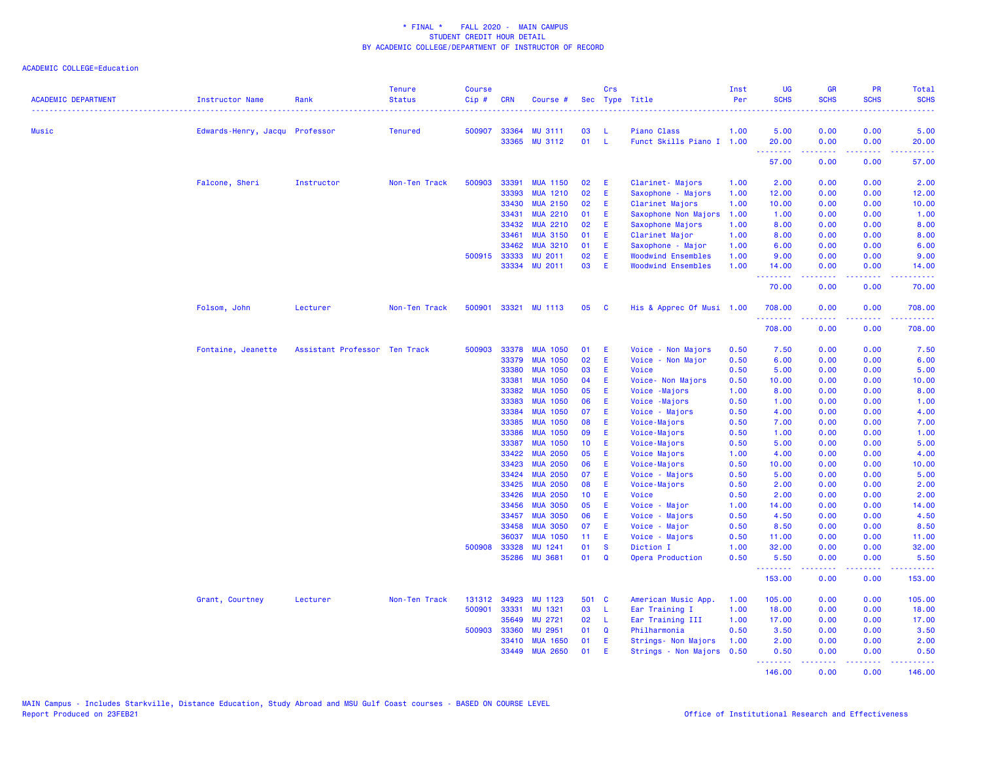| <b>ACADEMIC DEPARTMENT</b> | <b>Instructor Name</b>         | Rank                          | <b>Tenure</b><br><b>Status</b> | <b>Course</b><br>$Cip \#$ | <b>CRN</b>   | Course #        |                 | Crs          | Sec Type Title            | Inst<br>Per | <b>UG</b><br><b>SCHS</b>                                                                                                           | <b>GR</b><br><b>SCHS</b>                                                                                                                                     | <b>PR</b><br><b>SCHS</b> | <b>Total</b><br><b>SCHS</b>                                                                                                                                    |
|----------------------------|--------------------------------|-------------------------------|--------------------------------|---------------------------|--------------|-----------------|-----------------|--------------|---------------------------|-------------|------------------------------------------------------------------------------------------------------------------------------------|--------------------------------------------------------------------------------------------------------------------------------------------------------------|--------------------------|----------------------------------------------------------------------------------------------------------------------------------------------------------------|
| Music                      | Edwards-Henry, Jacqu Professor |                               | <b>Tenured</b>                 |                           | 500907 33364 | <b>MU 3111</b>  | 03              | - L          | Piano Class               | 1.00        | 5.00                                                                                                                               | 0.00                                                                                                                                                         | 0.00                     | 5.00                                                                                                                                                           |
|                            |                                |                               |                                |                           | 33365        | <b>MU 3112</b>  | 01              | - L          | Funct Skills Piano I 1.00 |             | 20.00<br>$\frac{1}{2} \left( \frac{1}{2} \right) \left( \frac{1}{2} \right) \left( \frac{1}{2} \right) \left( \frac{1}{2} \right)$ | 0.00                                                                                                                                                         | 0.00<br>.                | 20.00                                                                                                                                                          |
|                            |                                |                               |                                |                           |              |                 |                 |              |                           |             | 57.00                                                                                                                              | 0.00                                                                                                                                                         | 0.00                     | 57.00                                                                                                                                                          |
|                            | Falcone, Sheri                 | Instructor                    | Non-Ten Track                  | 500903                    | 33391        | <b>MUA 1150</b> | 02              | Æ            | Clarinet- Majors          | 1.00        | 2.00                                                                                                                               | 0.00                                                                                                                                                         | 0.00                     | 2.00                                                                                                                                                           |
|                            |                                |                               |                                |                           | 33393        | <b>MUA 1210</b> | 02              | E            | Saxophone - Majors        | 1.00        | 12.00                                                                                                                              | 0.00                                                                                                                                                         | 0.00                     | 12.00                                                                                                                                                          |
|                            |                                |                               |                                |                           | 33430        | <b>MUA 2150</b> | 02              | E            | Clarinet Majors           | 1.00        | 10.00                                                                                                                              | 0.00                                                                                                                                                         | 0.00                     | 10.00                                                                                                                                                          |
|                            |                                |                               |                                |                           | 33431        | <b>MUA 2210</b> | 01              | E            | Saxophone Non Majors      | 1.00        | 1.00                                                                                                                               | 0.00                                                                                                                                                         | 0.00                     | 1.00                                                                                                                                                           |
|                            |                                |                               |                                |                           | 33432        | <b>MUA 2210</b> | 02              | E            | Saxophone Majors          | 1.00        | 8.00                                                                                                                               | 0.00                                                                                                                                                         | 0.00                     | 8.00                                                                                                                                                           |
|                            |                                |                               |                                |                           | 33461        | <b>MUA 3150</b> | 01              | E            | Clarinet Major            | 1.00        | 8.00                                                                                                                               | 0.00                                                                                                                                                         | 0.00                     | 8.00                                                                                                                                                           |
|                            |                                |                               |                                |                           | 33462        | <b>MUA 3210</b> | 01              | E            | Saxophone - Major         | 1.00        | 6.00                                                                                                                               | 0.00                                                                                                                                                         | 0.00                     | 6.00                                                                                                                                                           |
|                            |                                |                               |                                |                           | 500915 33333 | <b>MU 2011</b>  | 02              | E            | <b>Woodwind Ensembles</b> | 1.00        | 9.00                                                                                                                               | 0.00                                                                                                                                                         | 0.00                     | 9.00                                                                                                                                                           |
|                            |                                |                               |                                |                           |              | 33334 MU 2011   | 03              | E            | <b>Woodwind Ensembles</b> | 1.00        | 14.00<br>.                                                                                                                         | 0.00<br>22222                                                                                                                                                | 0.00<br>د د د د          | 14.00<br>.                                                                                                                                                     |
|                            |                                |                               |                                |                           |              |                 |                 |              |                           |             | 70.00                                                                                                                              | 0.00                                                                                                                                                         | 0.00                     | 70.00                                                                                                                                                          |
|                            | Folsom, John                   | Lecturer                      | Non-Ten Track                  | 500901                    |              | 33321 MU 1113   | 05              | - C          | His & Apprec Of Musi 1.00 |             | 708.00<br>.                                                                                                                        | 0.00<br>-----                                                                                                                                                | 0.00<br>.                | 708.00<br>$\frac{1}{2} \left( \frac{1}{2} \right) \left( \frac{1}{2} \right) \left( \frac{1}{2} \right) \left( \frac{1}{2} \right) \left( \frac{1}{2} \right)$ |
|                            |                                |                               |                                |                           |              |                 |                 |              |                           |             | 708.00                                                                                                                             | 0.00                                                                                                                                                         | 0.00                     | 708.00                                                                                                                                                         |
|                            | Fontaine, Jeanette             | Assistant Professor Ten Track |                                | 500903                    | 33378        | <b>MUA 1050</b> | 01              | -E           | Voice - Non Majors        | 0.50        | 7.50                                                                                                                               | 0.00                                                                                                                                                         | 0.00                     | 7.50                                                                                                                                                           |
|                            |                                |                               |                                |                           | 33379        | <b>MUA 1050</b> | 02              | E            | Voice - Non Major         | 0.50        | 6.00                                                                                                                               | 0.00                                                                                                                                                         | 0.00                     | 6.00                                                                                                                                                           |
|                            |                                |                               |                                |                           | 33380        | <b>MUA 1050</b> | 03              | Æ            | Voice                     | 0.50        | 5.00                                                                                                                               | 0.00                                                                                                                                                         | 0.00                     | 5.00                                                                                                                                                           |
|                            |                                |                               |                                |                           | 33381        | <b>MUA 1050</b> | 04              | Æ            | Voice- Non Majors         | 0.50        | 10.00                                                                                                                              | 0.00                                                                                                                                                         | 0.00                     | 10.00                                                                                                                                                          |
|                            |                                |                               |                                |                           | 33382        | <b>MUA 1050</b> | 05              | E            | Voice - Majors            | 1.00        | 8.00                                                                                                                               | 0.00                                                                                                                                                         | 0.00                     | 8.00                                                                                                                                                           |
|                            |                                |                               |                                |                           | 33383        | <b>MUA 1050</b> | 06              | Æ            | Voice -Majors             | 0.50        | 1.00                                                                                                                               | 0.00                                                                                                                                                         | 0.00                     | 1.00                                                                                                                                                           |
|                            |                                |                               |                                |                           | 33384        | <b>MUA 1050</b> | 07              | E            | Voice - Majors            | 0.50        | 4.00                                                                                                                               | 0.00                                                                                                                                                         | 0.00                     | 4.00                                                                                                                                                           |
|                            |                                |                               |                                |                           | 33385        | <b>MUA 1050</b> | 08              | E            | Voice-Majors              | 0.50        | 7.00                                                                                                                               | 0.00                                                                                                                                                         | 0.00                     | 7.00                                                                                                                                                           |
|                            |                                |                               |                                |                           | 33386        | <b>MUA 1050</b> | 09              | Æ            | Voice-Majors              | 0.50        | 1.00                                                                                                                               | 0.00                                                                                                                                                         | 0.00                     | 1.00                                                                                                                                                           |
|                            |                                |                               |                                |                           | 33387        | <b>MUA 1050</b> | 10 <sup>°</sup> | E.           | Voice-Majors              | 0.50        | 5.00                                                                                                                               | 0.00                                                                                                                                                         | 0.00                     | 5.00                                                                                                                                                           |
|                            |                                |                               |                                |                           | 33422        | <b>MUA 2050</b> | 05              | E            | Voice Majors              | 1.00        | 4.00                                                                                                                               | 0.00                                                                                                                                                         | 0.00                     | 4.00                                                                                                                                                           |
|                            |                                |                               |                                |                           | 33423        | <b>MUA 2050</b> | 06              | Æ            | Voice-Majors              | 0.50        | 10.00                                                                                                                              | 0.00                                                                                                                                                         | 0.00                     | 10.00                                                                                                                                                          |
|                            |                                |                               |                                |                           | 33424        | <b>MUA 2050</b> | 07              | Æ            | Voice - Majors            | 0.50        | 5.00                                                                                                                               | 0.00                                                                                                                                                         | 0.00                     | 5.00                                                                                                                                                           |
|                            |                                |                               |                                |                           | 33425        | <b>MUA 2050</b> | 08              | E            | Voice-Majors              | 0.50        | 2.00                                                                                                                               | 0.00                                                                                                                                                         | 0.00                     | 2.00                                                                                                                                                           |
|                            |                                |                               |                                |                           | 33426        | <b>MUA 2050</b> | 10 <sup>°</sup> | E.           | Voice                     | 0.50        | 2.00                                                                                                                               | 0.00                                                                                                                                                         | 0.00                     | 2.00                                                                                                                                                           |
|                            |                                |                               |                                |                           | 33456        | <b>MUA 3050</b> | 05              | Æ            | Voice - Major             | 1.00        | 14.00                                                                                                                              | 0.00                                                                                                                                                         | 0.00                     | 14.00                                                                                                                                                          |
|                            |                                |                               |                                |                           | 33457        | <b>MUA 3050</b> | 06              | Æ            | Voice - Majors            | 0.50        | 4.50                                                                                                                               | 0.00                                                                                                                                                         | 0.00                     | 4.50                                                                                                                                                           |
|                            |                                |                               |                                |                           | 33458        | <b>MUA 3050</b> | 07              | E            | Voice - Major             | 0.50        | 8.50                                                                                                                               | 0.00                                                                                                                                                         | 0.00                     | 8.50                                                                                                                                                           |
|                            |                                |                               |                                |                           | 36037        | <b>MUA 1050</b> | 11              | Æ            | Voice - Majors            | 0.50        | 11.00                                                                                                                              | 0.00                                                                                                                                                         | 0.00                     | 11.00                                                                                                                                                          |
|                            |                                |                               |                                |                           | 500908 33328 | MU 1241         | 01              | <b>S</b>     | Diction I                 | 1.00        | 32.00                                                                                                                              | 0.00                                                                                                                                                         | 0.00                     | 32.00                                                                                                                                                          |
|                            |                                |                               |                                |                           | 35286        | <b>MU 3681</b>  | 01              | $\mathbf Q$  | Opera Production          | 0.50        | 5.50<br>.                                                                                                                          | 0.00<br>.                                                                                                                                                    | 0.00<br>بالمحامي         | 5.50<br>.                                                                                                                                                      |
|                            |                                |                               |                                |                           |              |                 |                 |              |                           |             | 153.00                                                                                                                             | 0.00                                                                                                                                                         | 0.00                     | 153.00                                                                                                                                                         |
|                            | Grant, Courtney                | Lecturer                      | Non-Ten Track                  | 131312                    | 34923        | MU 1123         | 501 C           |              | American Music App.       | 1.00        | 105.00                                                                                                                             | 0.00                                                                                                                                                         | 0.00                     | 105.00                                                                                                                                                         |
|                            |                                |                               |                                | 500901                    | 33331        | MU 1321         | 03              | - L          | Ear Training I            | 1.00        | 18.00                                                                                                                              | 0.00                                                                                                                                                         | 0.00                     | 18.00                                                                                                                                                          |
|                            |                                |                               |                                |                           | 35649        | MU 2721         | 02              | $\mathsf{L}$ | Ear Training III          | 1.00        | 17.00                                                                                                                              | 0.00                                                                                                                                                         | 0.00                     | 17.00                                                                                                                                                          |
|                            |                                |                               |                                | 500903                    | 33360        | MU 2951         | 01              | Q            | Philharmonia              | 0.50        | 3.50                                                                                                                               | 0.00                                                                                                                                                         | 0.00                     | 3.50                                                                                                                                                           |
|                            |                                |                               |                                |                           | 33410        | <b>MUA 1650</b> | 01              | E            | Strings- Non Majors       | 1.00        | 2.00                                                                                                                               | 0.00                                                                                                                                                         | 0.00                     | 2.00                                                                                                                                                           |
|                            |                                |                               |                                |                           | 33449        | <b>MUA 2650</b> | 01              | Æ            | Strings - Non Majors 0.50 |             | 0.50<br>.                                                                                                                          | 0.00<br>$\frac{1}{2} \left( \frac{1}{2} \right) \left( \frac{1}{2} \right) \left( \frac{1}{2} \right) \left( \frac{1}{2} \right) \left( \frac{1}{2} \right)$ | 0.00<br>.                | 0.50<br><u>.</u>                                                                                                                                               |
|                            |                                |                               |                                |                           |              |                 |                 |              |                           |             | 146.00                                                                                                                             | 0.00                                                                                                                                                         | 0.00                     | 146.00                                                                                                                                                         |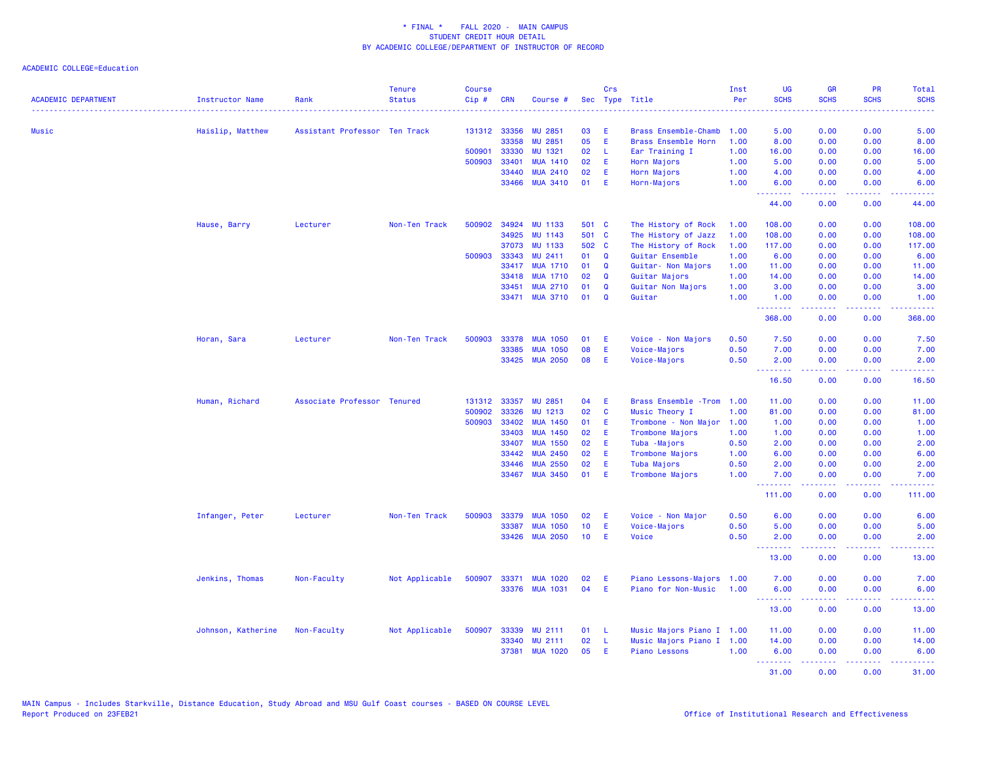| <b>ACADEMIC DEPARTMENT</b> | <b>Instructor Name</b> | Rank                          | <b>Tenure</b><br><b>Status</b> | <b>Course</b><br>$Cip \#$ | <b>CRN</b> | Course #        |                 | Crs         | Sec Type Title             | Inst<br>Per | <b>UG</b><br><b>SCHS</b> | <b>GR</b><br><b>SCHS</b> | PR<br><b>SCHS</b>              | <b>Total</b><br><b>SCHS</b>                                                                                                       |
|----------------------------|------------------------|-------------------------------|--------------------------------|---------------------------|------------|-----------------|-----------------|-------------|----------------------------|-------------|--------------------------|--------------------------|--------------------------------|-----------------------------------------------------------------------------------------------------------------------------------|
| <b>Music</b>               | Haislip, Matthew       | Assistant Professor Ten Track |                                | 131312 33356              |            | <b>MU 2851</b>  | 03              | Ε           | Brass Ensemble-Chamb       | 1.00        | 5.00                     | 0.00                     | 0.00                           | 5.00                                                                                                                              |
|                            |                        |                               |                                |                           | 33358      | <b>MU 2851</b>  | 05              | E           | Brass Ensemble Horn        | 1.00        | 8.00                     | 0.00                     | 0.00                           | 8.00                                                                                                                              |
|                            |                        |                               |                                | 500901                    | 33330      | MU 1321         | 02              | -L          | Ear Training I             | 1.00        | 16.00                    | 0.00                     | 0.00                           | 16.00                                                                                                                             |
|                            |                        |                               |                                | 500903                    | 33401      | <b>MUA 1410</b> | 02              | E           | Horn Majors                | 1.00        | 5.00                     | 0.00                     | 0.00                           | 5.00                                                                                                                              |
|                            |                        |                               |                                |                           | 33440      | <b>MUA 2410</b> | 02              | E           | Horn Majors                | 1.00        | 4.00                     | 0.00                     | 0.00                           | 4.00                                                                                                                              |
|                            |                        |                               |                                |                           | 33466      | <b>MUA 3410</b> | 01              | E.          | Horn-Majors                | 1.00        | 6.00<br><u>.</u>         | 0.00<br>.                | 0.00<br>الأعامات               | 6.00<br>$\sim$ $\sim$ $\sim$ $\sim$                                                                                               |
|                            |                        |                               |                                |                           |            |                 |                 |             |                            |             | 44.00                    | 0.00                     | 0.00                           | 44.00                                                                                                                             |
|                            | Hause, Barry           | Lecturer                      | Non-Ten Track                  | 500902 34924              |            | <b>MU 1133</b>  | 501 C           |             | The History of Rock        | 1.00        | 108.00                   | 0.00                     | 0.00                           | 108.00                                                                                                                            |
|                            |                        |                               |                                |                           | 34925      | <b>MU 1143</b>  | 501 C           |             | The History of Jazz        | 1.00        | 108.00                   | 0.00                     | 0.00                           | 108.00                                                                                                                            |
|                            |                        |                               |                                |                           | 37073      | <b>MU 1133</b>  | 502 C           |             | The History of Rock        | 1.00        | 117.00                   | 0.00                     | 0.00                           | 117.00                                                                                                                            |
|                            |                        |                               |                                | 500903                    | 33343      | MU 2411         | 01              | $\mathbf Q$ | Guitar Ensemble            | 1.00        | 6.00                     | 0.00                     | 0.00                           | 6.00                                                                                                                              |
|                            |                        |                               |                                |                           | 33417      | <b>MUA 1710</b> | 01              | $\Omega$    | Guitar- Non Majors         | 1.00        | 11.00                    | 0.00                     | 0.00                           | 11.00                                                                                                                             |
|                            |                        |                               |                                |                           | 33418      | <b>MUA 1710</b> | 02              | $\Omega$    | Guitar Majors              | 1.00        | 14.00                    | 0.00                     | 0.00                           | 14.00                                                                                                                             |
|                            |                        |                               |                                |                           | 33451      | <b>MUA 2710</b> | 01              | Q           | Guitar Non Majors          | 1.00        | 3.00                     | 0.00                     | 0.00                           | 3.00                                                                                                                              |
|                            |                        |                               |                                |                           |            | 33471 MUA 3710  | 01              | $\mathbf Q$ | Guitar                     | 1.00        | 1.00<br><u>.</u>         | 0.00<br>22222            | 0.00<br>. <b>.</b>             | 1.00<br>2.2.2.2.2.2                                                                                                               |
|                            |                        |                               |                                |                           |            |                 |                 |             |                            |             | 368.00                   | 0.00                     | 0.00                           | 368.00                                                                                                                            |
|                            | Horan, Sara            | Lecturer                      | Non-Ten Track                  | 500903                    | 33378      | <b>MUA 1050</b> | 01              | Ε           | Voice - Non Majors         | 0.50        | 7.50                     | 0.00                     | 0.00                           | 7.50                                                                                                                              |
|                            |                        |                               |                                |                           | 33385      | <b>MUA 1050</b> | 08              | E           | Voice-Majors               | 0.50        | 7.00                     | 0.00                     | 0.00                           | 7.00                                                                                                                              |
|                            |                        |                               |                                |                           | 33425      | <b>MUA 2050</b> | 08              | E           | Voice-Majors               | 0.50        | 2.00                     | 0.00                     | 0.00                           | 2.00                                                                                                                              |
|                            |                        |                               |                                |                           |            |                 |                 |             |                            |             | <u>.</u><br>16.50        | بالمستبدية<br>0.00       | .<br>0.00                      | .<br>16.50                                                                                                                        |
|                            | Human, Richard         | Associate Professor Tenured   |                                | 131312                    | 33357      | <b>MU 2851</b>  | 04              | Ε           | Brass Ensemble - Trom 1.00 |             | 11.00                    | 0.00                     | 0.00                           | 11.00                                                                                                                             |
|                            |                        |                               |                                | 500902                    | 33326      | MU 1213         | 02              | C           | Music Theory I             | 1.00        | 81.00                    | 0.00                     | 0.00                           | 81.00                                                                                                                             |
|                            |                        |                               |                                | 500903                    | 33402      | <b>MUA 1450</b> | 01              | E           | Trombone - Non Major       | 1.00        | 1.00                     | 0.00                     | 0.00                           | 1.00                                                                                                                              |
|                            |                        |                               |                                |                           | 33403      | <b>MUA 1450</b> | 02              | Ε           | Trombone Majors            | 1.00        | 1.00                     | 0.00                     | 0.00                           | 1.00                                                                                                                              |
|                            |                        |                               |                                |                           | 33407      | <b>MUA 1550</b> | 02              | Æ           | Tuba - Majors              | 0.50        | 2.00                     | 0.00                     | 0.00                           | 2.00                                                                                                                              |
|                            |                        |                               |                                |                           | 33442      | <b>MUA 2450</b> | 02              | E           | Trombone Majors            | 1.00        | 6.00                     | 0.00                     | 0.00                           | 6.00                                                                                                                              |
|                            |                        |                               |                                |                           | 33446      | <b>MUA 2550</b> | 02              | E           | Tuba Majors                | 0.50        | 2.00                     | 0.00                     | 0.00                           | 2.00                                                                                                                              |
|                            |                        |                               |                                |                           |            | 33467 MUA 3450  | 01              | Æ           | Trombone Majors            | 1.00        | 7.00<br>.                | 0.00<br>.                | 0.00<br>$\omega$ is a $\omega$ | 7.00                                                                                                                              |
|                            |                        |                               |                                |                           |            |                 |                 |             |                            |             | 111.00                   | 0.00                     | 0.00                           | 111.00                                                                                                                            |
|                            | Infanger, Peter        | Lecturer                      | Non-Ten Track                  | 500903                    | 33379      | <b>MUA 1050</b> | 02              | Æ           | Voice - Non Major          | 0.50        | 6.00                     | 0.00                     | 0.00                           | 6.00                                                                                                                              |
|                            |                        |                               |                                |                           | 33387      | <b>MUA 1050</b> | 10 <sub>1</sub> | E           | Voice-Majors               | 0.50        | 5.00                     | 0.00                     | 0.00                           | 5.00                                                                                                                              |
|                            |                        |                               |                                |                           | 33426      | <b>MUA 2050</b> | 10              | E           | Voice                      | 0.50        | 2.00<br>.                | 0.00<br>.                | 0.00<br>المتمامين              | 2.00<br>$\frac{1}{2} \left( \frac{1}{2} \right) \left( \frac{1}{2} \right) \left( \frac{1}{2} \right) \left( \frac{1}{2} \right)$ |
|                            |                        |                               |                                |                           |            |                 |                 |             |                            |             | 13.00                    | 0.00                     | 0.00                           | 13.00                                                                                                                             |
|                            | Jenkins, Thomas        | Non-Faculty                   | Not Applicable                 | 500907                    | 33371      | <b>MUA 1020</b> | 02              | Ε           | Piano Lessons-Majors       | 1.00        | 7.00                     | 0.00                     | 0.00                           | 7.00                                                                                                                              |
|                            |                        |                               |                                |                           | 33376      | <b>MUA 1031</b> | 04              | E           | Piano for Non-Music        | 1.00        | 6.00                     | 0.00                     | 0.00                           | 6.00                                                                                                                              |
|                            |                        |                               |                                |                           |            |                 |                 |             |                            |             | <u>.</u><br>13.00        | .<br>0.00                | .<br>0.00                      | .<br>13.00                                                                                                                        |
|                            |                        |                               |                                |                           |            |                 |                 |             |                            |             |                          |                          |                                |                                                                                                                                   |
|                            | Johnson, Katherine     | Non-Faculty                   | Not Applicable                 | 500907                    | 33339      | MU 2111         | 01              | -L          | Music Majors Piano I 1.00  |             | 11.00                    | 0.00                     | 0.00                           | 11.00                                                                                                                             |
|                            |                        |                               |                                |                           | 33340      | <b>MU 2111</b>  | 02              | L           | Music Majors Piano I 1.00  |             | 14.00                    | 0.00                     | 0.00                           | 14.00                                                                                                                             |
|                            |                        |                               |                                |                           | 37381      | <b>MUA 1020</b> | 05              | E           | Piano Lessons              | 1.00        | 6.00                     | 0.00                     | 0.00                           | 6.00                                                                                                                              |
|                            |                        |                               |                                |                           |            |                 |                 |             |                            |             | .<br>31.00               | 22222<br>0.00            | المستبدا<br>0.00               | المتمامين<br>31.00                                                                                                                |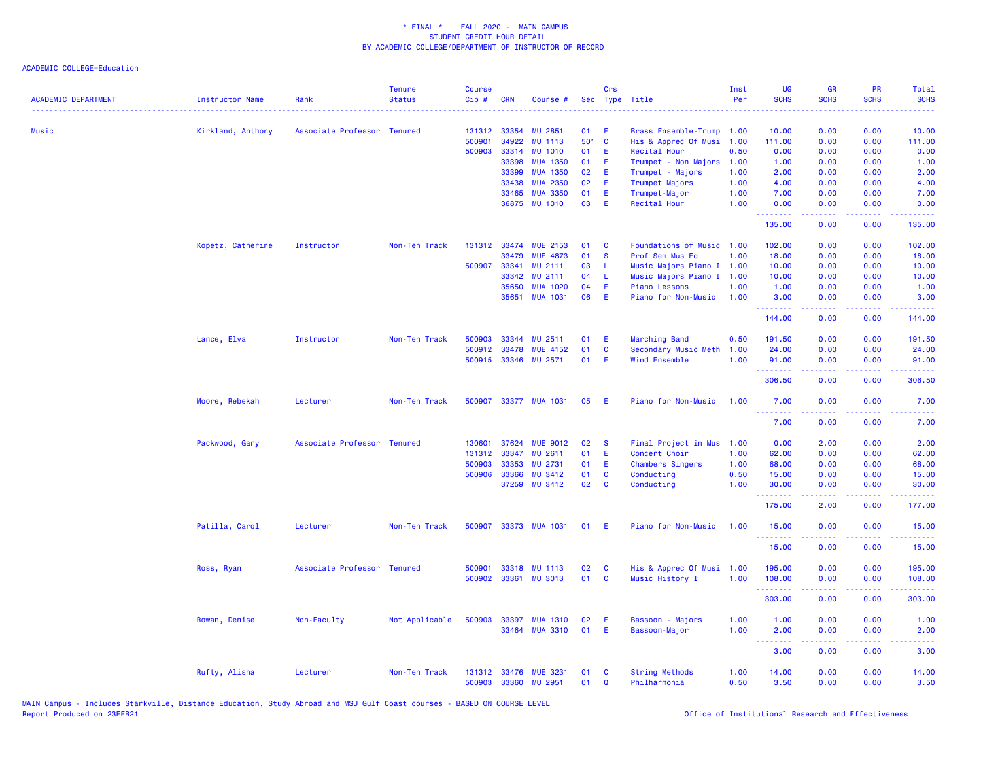| <b>ACADEMIC DEPARTMENT</b> | <b>Instructor Name</b> | Rank                        | <b>Tenure</b><br><b>Status</b> | <b>Course</b><br>Cip# | <b>CRN</b>            | Course #                   |          | Crs                     | Sec Type Title                        | Inst<br>Per  | UG<br><b>SCHS</b>               | <b>GR</b><br><b>SCHS</b>     | <b>PR</b><br><b>SCHS</b>                                                                               | Total<br><b>SCHS</b>                                                                                                              |
|----------------------------|------------------------|-----------------------------|--------------------------------|-----------------------|-----------------------|----------------------------|----------|-------------------------|---------------------------------------|--------------|---------------------------------|------------------------------|--------------------------------------------------------------------------------------------------------|-----------------------------------------------------------------------------------------------------------------------------------|
| Music                      | Kirkland, Anthony      | Associate Professor Tenured |                                | 131312                | 33354                 | <b>MU 2851</b>             | 01       | E                       | Brass Ensemble-Trump                  | 1.00         | 10.00                           | 0.00                         | 0.00                                                                                                   | 10.00                                                                                                                             |
|                            |                        |                             |                                | 500901                | 34922                 | <b>MU 1113</b>             | 501 C    |                         | His & Apprec Of Musi                  | 1.00         | 111.00                          | 0.00                         | 0.00                                                                                                   | 111.00                                                                                                                            |
|                            |                        |                             |                                | 500903                | 33314                 | <b>MU 1010</b>             | 01       | E                       | Recital Hour                          | 0.50         | 0.00                            | 0.00                         | 0.00                                                                                                   | 0.00                                                                                                                              |
|                            |                        |                             |                                |                       | 33398                 | <b>MUA 1350</b>            | 01       | E                       | Trumpet - Non Majors                  | 1.00         | 1.00                            | 0.00                         | 0.00                                                                                                   | 1.00                                                                                                                              |
|                            |                        |                             |                                |                       | 33399                 | <b>MUA 1350</b>            | 02       | E                       | Trumpet - Majors                      | 1.00         | 2.00                            | 0.00                         | 0.00                                                                                                   | 2.00                                                                                                                              |
|                            |                        |                             |                                |                       | 33438                 | <b>MUA 2350</b>            | 02       | E                       | Trumpet Majors                        | 1.00         | 4.00                            | 0.00                         | 0.00                                                                                                   | 4.00                                                                                                                              |
|                            |                        |                             |                                |                       | 33465                 | <b>MUA 3350</b>            | 01       | E                       | Trumpet-Major                         | 1.00         | 7.00                            | 0.00                         | 0.00                                                                                                   | 7.00                                                                                                                              |
|                            |                        |                             |                                |                       | 36875                 | <b>MU 1010</b>             | 03       | E                       | Recital Hour                          | 1.00         | 0.00                            | 0.00                         | 0.00                                                                                                   | 0.00                                                                                                                              |
|                            |                        |                             |                                |                       |                       |                            |          |                         |                                       |              | .<br>135.00                     | .<br>0.00                    | 0.00                                                                                                   | 135.00                                                                                                                            |
|                            | Kopetz, Catherine      | Instructor                  | Non-Ten Track                  |                       | 131312 33474          | <b>MUE 2153</b>            | 01       | C                       | Foundations of Music 1.00             |              | 102.00                          | 0.00                         | 0.00                                                                                                   | 102.00                                                                                                                            |
|                            |                        |                             |                                |                       | 33479                 | <b>MUE 4873</b>            | 01       | <b>S</b>                | Prof Sem Mus Ed                       | 1.00         | 18.00                           | 0.00                         | 0.00                                                                                                   | 18.00                                                                                                                             |
|                            |                        |                             |                                | 500907                | 33341                 | MU 2111                    | 03       | L                       | Music Majors Piano I 1.00             |              | 10.00                           | 0.00                         | 0.00                                                                                                   | 10.00                                                                                                                             |
|                            |                        |                             |                                |                       | 33342                 | MU 2111                    | 04       | L                       | Music Majors Piano I 1.00             |              | 10.00                           | 0.00                         | 0.00                                                                                                   | 10.00                                                                                                                             |
|                            |                        |                             |                                |                       | 35650                 | <b>MUA 1020</b>            | 04       | E                       | <b>Piano Lessons</b>                  | 1.00         | 1.00                            | 0.00                         | 0.00                                                                                                   | 1.00                                                                                                                              |
|                            |                        |                             |                                |                       | 35651                 | <b>MUA 1031</b>            | 06       | E                       | Piano for Non-Music                   | 1.00         | 3.00<br>.                       | 0.00<br>2.2.2.2.2            | 0.00<br>.                                                                                              | 3.00<br>.                                                                                                                         |
|                            |                        |                             |                                |                       |                       |                            |          |                         |                                       |              | 144.00                          | 0.00                         | 0.00                                                                                                   | 144.00                                                                                                                            |
|                            | Lance, Elva            | Instructor                  | Non-Ten Track                  | 500903                | 33344                 | MU 2511                    | 01       | E                       | Marching Band                         | 0.50         | 191.50                          | 0.00                         | 0.00                                                                                                   | 191.50                                                                                                                            |
|                            |                        |                             |                                |                       | 500912 33478          | <b>MUE 4152</b>            | 01       | C                       | Secondary Music Meth                  | 1.00         | 24.00                           | 0.00                         | 0.00                                                                                                   | 24.00                                                                                                                             |
|                            |                        |                             |                                |                       |                       | 500915 33346 MU 2571       | 01       | E                       | Wind Ensemble                         | 1.00         | 91.00<br>.                      | 0.00<br>2.2.2.2.2            | 0.00<br>$\frac{1}{2} \left( \frac{1}{2} \right) \left( \frac{1}{2} \right) \left( \frac{1}{2} \right)$ | 91.00<br><u>.</u>                                                                                                                 |
|                            |                        |                             |                                |                       |                       |                            |          |                         |                                       |              | 306.50                          | 0.00                         | 0.00                                                                                                   | 306.50                                                                                                                            |
|                            | Moore, Rebekah         | Lecturer                    | Non-Ten Track                  |                       |                       | 500907 33377 MUA 1031      | 05       | E                       | Piano for Non-Music                   | 1.00         | 7.00<br>.                       | 0.00                         | 0.00                                                                                                   | 7.00                                                                                                                              |
|                            |                        |                             |                                |                       |                       |                            |          |                         |                                       |              | 7.00                            | 0.00                         | 0.00                                                                                                   | 7.00                                                                                                                              |
|                            | Packwood, Gary         | Associate Professor Tenured |                                | 130601                | 37624                 | <b>MUE 9012</b>            | 02       | <b>S</b>                | Final Project in Mus                  | 1.00         | 0.00                            | 2.00                         | 0.00                                                                                                   | 2.00                                                                                                                              |
|                            |                        |                             |                                | 131312                | 33347                 | MU 2611                    | 01       | E                       | Concert Choir                         | 1.00         | 62.00                           | 0.00                         | 0.00                                                                                                   | 62.00                                                                                                                             |
|                            |                        |                             |                                | 500903                | 33353                 | MU 2731                    | 01       | E                       | <b>Chambers Singers</b>               | 1.00         | 68.00                           | 0.00                         | 0.00                                                                                                   | 68.00                                                                                                                             |
|                            |                        |                             |                                | 500906                | 33366                 | MU 3412                    | 01       | $\mathbf c$             | Conducting                            | 0.50         | 15.00                           | 0.00                         | 0.00                                                                                                   | 15.00                                                                                                                             |
|                            |                        |                             |                                |                       | 37259                 | <b>MU 3412</b>             | 02       | $\mathbf c$             | Conducting                            | 1.00         | 30.00<br>.                      | 0.00<br>$\omega$ is a set of | 0.00<br>.                                                                                              | 30.00<br>.                                                                                                                        |
|                            |                        |                             |                                |                       |                       |                            |          |                         |                                       |              | 175.00                          | 2.00                         | 0.00                                                                                                   | 177.00                                                                                                                            |
|                            | Patilla, Carol         | Lecturer                    | Non-Ten Track                  | 500907                |                       | 33373 MUA 1031             | 01       | Æ                       | Piano for Non-Music                   | 1.00         | 15.00<br>.                      | 0.00<br>$- - - - -$          | 0.00<br>.                                                                                              | 15.00<br>.                                                                                                                        |
|                            |                        |                             |                                |                       |                       |                            |          |                         |                                       |              | 15.00                           | 0.00                         | 0.00                                                                                                   | 15.00                                                                                                                             |
|                            | Ross, Ryan             | Associate Professor Tenured |                                | 500901                |                       | 33318 MU 1113              | 02       | C                       | His & Apprec Of Musi                  | 1.00         | 195.00                          | 0.00                         | 0.00                                                                                                   | 195.00                                                                                                                            |
|                            |                        |                             |                                | 500902                |                       | 33361 MU 3013              | 01       | <b>C</b>                | Music History I                       | 1.00         | 108.00<br>.                     | 0.00<br>بالمستمال            | 0.00<br>.                                                                                              | 108.00<br>والمواطنات لمارك                                                                                                        |
|                            |                        |                             |                                |                       |                       |                            |          |                         |                                       |              | 303.00                          | 0.00                         | 0.00                                                                                                   | 303.00                                                                                                                            |
|                            | Rowan, Denise          | Non-Faculty                 | Not Applicable                 | 500903                | 33397                 | <b>MUA 1310</b>            | 02       | Ε                       | Bassoon - Majors                      | 1.00         | 1.00                            | 0.00                         | 0.00                                                                                                   | 1.00                                                                                                                              |
|                            |                        |                             |                                |                       |                       | 33464 MUA 3310             | 01       | E                       | Bassoon-Major                         | 1.00         | 2.00<br><u> - - - - - - - -</u> | 0.00<br>$- - - - -$          | 0.00<br>.                                                                                              | 2.00<br>$\frac{1}{2} \left( \frac{1}{2} \right) \left( \frac{1}{2} \right) \left( \frac{1}{2} \right) \left( \frac{1}{2} \right)$ |
|                            |                        |                             |                                |                       |                       |                            |          |                         |                                       |              | 3.00                            | 0.00                         | 0.00                                                                                                   | 3.00                                                                                                                              |
|                            | Rufty, Alisha          | Lecturer                    | Non-Ten Track                  | 131312                | 33476<br>500903 33360 | <b>MUE 3231</b><br>MU 2951 | 01<br>01 | <b>C</b><br>$\mathbf Q$ | <b>String Methods</b><br>Philharmonia | 1.00<br>0.50 | 14.00<br>3.50                   | 0.00<br>0.00                 | 0.00<br>0.00                                                                                           | 14.00<br>3.50                                                                                                                     |
|                            |                        |                             |                                |                       |                       |                            |          |                         |                                       |              |                                 |                              |                                                                                                        |                                                                                                                                   |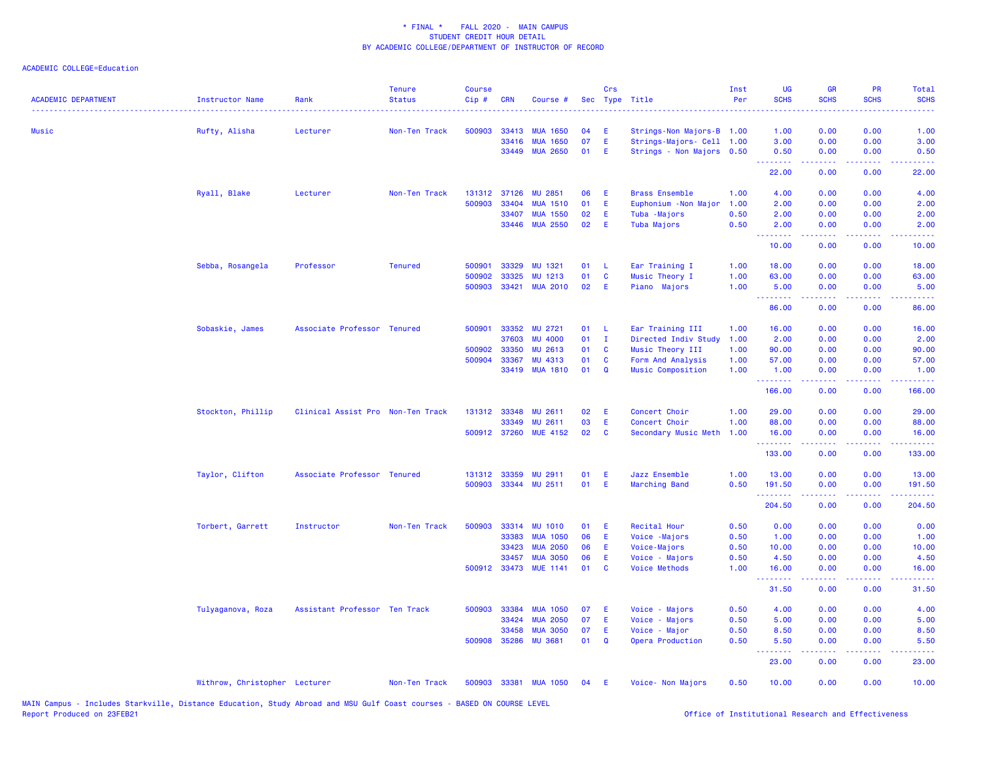| <b>ACADEMIC DEPARTMENT</b> | <b>Instructor Name</b>        | Rank                              | <b>Tenure</b><br><b>Status</b> | <b>Course</b><br>Cip# | <b>CRN</b>   | Course #              |    | Crs          | Sec Type Title            | Inst<br>Per | UG<br><b>SCHS</b> | <b>GR</b><br><b>SCHS</b>                                                                                                          | <b>PR</b><br><b>SCHS</b>            | Total<br><b>SCHS</b>                                                                                                              |
|----------------------------|-------------------------------|-----------------------------------|--------------------------------|-----------------------|--------------|-----------------------|----|--------------|---------------------------|-------------|-------------------|-----------------------------------------------------------------------------------------------------------------------------------|-------------------------------------|-----------------------------------------------------------------------------------------------------------------------------------|
| Music                      | Rufty, Alisha                 | Lecturer                          | Non-Ten Track                  | 500903                | 33413        | <b>MUA 1650</b>       | 04 | E.           | Strings-Non Majors-B 1.00 |             | 1.00              | 0.00                                                                                                                              | 0.00                                | 1.00                                                                                                                              |
|                            |                               |                                   |                                |                       | 33416        | <b>MUA 1650</b>       | 07 | E            | Strings-Majors- Cell 1.00 |             | 3.00              | 0.00                                                                                                                              | 0.00                                | 3.00                                                                                                                              |
|                            |                               |                                   |                                |                       |              | 33449 MUA 2650        | 01 | E            | Strings - Non Majors 0.50 |             | 0.50<br>.         | 0.00<br>2.2.2.2.2                                                                                                                 | 0.00<br>.                           | 0.50<br>$\frac{1}{2} \left( \frac{1}{2} \right) \left( \frac{1}{2} \right) \left( \frac{1}{2} \right) \left( \frac{1}{2} \right)$ |
|                            |                               |                                   |                                |                       |              |                       |    |              |                           |             | 22.00             | 0.00                                                                                                                              | 0.00                                | 22.00                                                                                                                             |
|                            | Ryall, Blake                  | Lecturer                          | Non-Ten Track                  | 131312 37126          |              | <b>MU 2851</b>        | 06 | E            | <b>Brass Ensemble</b>     | 1.00        | 4.00              | 0.00                                                                                                                              | 0.00                                | 4.00                                                                                                                              |
|                            |                               |                                   |                                | 500903                | 33404        | <b>MUA 1510</b>       | 01 | E            | Euphonium - Non Major     | 1.00        | 2.00              | 0.00                                                                                                                              | 0.00                                | 2.00                                                                                                                              |
|                            |                               |                                   |                                |                       | 33407        | <b>MUA 1550</b>       | 02 | E            | Tuba - Majors             | 0.50        | 2.00              | 0.00                                                                                                                              | 0.00                                | 2.00                                                                                                                              |
|                            |                               |                                   |                                |                       |              | 33446 MUA 2550        | 02 | E            | Tuba Majors               | 0.50        | 2.00<br>.         | 0.00                                                                                                                              | 0.00                                | 2.00                                                                                                                              |
|                            |                               |                                   |                                |                       |              |                       |    |              |                           |             | 10.00             | 0.00                                                                                                                              | 0.00                                | 10.00                                                                                                                             |
|                            | Sebba, Rosangela              | Professor                         | <b>Tenured</b>                 | 500901                | 33329        | MU 1321               | 01 | - L          | Ear Training I            | 1.00        | 18.00             | 0.00                                                                                                                              | 0.00                                | 18.00                                                                                                                             |
|                            |                               |                                   |                                | 500902                | 33325        | MU 1213               | 01 | $\mathbf{C}$ | Music Theory I            | 1.00        | 63.00             | 0.00                                                                                                                              | 0.00                                | 63.00                                                                                                                             |
|                            |                               |                                   |                                | 500903                |              | 33421 MUA 2010        | 02 | - E          | Piano Majors              | 1.00        | 5.00<br>.         | 0.00<br>د د د د                                                                                                                   | 0.00                                | 5.00                                                                                                                              |
|                            |                               |                                   |                                |                       |              |                       |    |              |                           |             | 86.00             | 0.00                                                                                                                              | 0.00                                | 86.00                                                                                                                             |
|                            | Sobaskie, James               | Associate Professor Tenured       |                                | 500901                | 33352        | <b>MU 2721</b>        | 01 | - L          | Ear Training III          | 1.00        | 16.00             | 0.00                                                                                                                              | 0.00                                | 16.00                                                                                                                             |
|                            |                               |                                   |                                |                       | 37603        | <b>MU 4000</b>        | 01 | $\mathbf{I}$ | Directed Indiv Study      | 1.00        | 2.00              | 0.00                                                                                                                              | 0.00                                | 2.00                                                                                                                              |
|                            |                               |                                   |                                | 500902                | 33350        | <b>MU 2613</b>        | 01 | <b>C</b>     | Music Theory III          | 1.00        | 90.00             | 0.00                                                                                                                              | 0.00                                | 90.00                                                                                                                             |
|                            |                               |                                   |                                | 500904                | 33367        | <b>MU 4313</b>        | 01 | <b>C</b>     | Form And Analysis         | 1.00        | 57.00             | 0.00                                                                                                                              | 0.00                                | 57.00                                                                                                                             |
|                            |                               |                                   |                                |                       | 33419        | <b>MUA 1810</b>       | 01 | $\mathbf Q$  | Music Composition         | 1.00        | 1.00<br>.         | 0.00                                                                                                                              | 0.00                                | 1.00                                                                                                                              |
|                            |                               |                                   |                                |                       |              |                       |    |              |                           |             | 166.00            | 0.00                                                                                                                              | 0.00                                | 166.00                                                                                                                            |
|                            | Stockton, Phillip             | Clinical Assist Pro Non-Ten Track |                                |                       | 131312 33348 | <b>MU 2611</b>        | 02 | E            | Concert Choir             | 1.00        | 29.00             | 0.00                                                                                                                              | 0.00                                | 29.00                                                                                                                             |
|                            |                               |                                   |                                |                       | 33349        | <b>MU 2611</b>        | 03 | E            | Concert Choir             | 1.00        | 88.00             | 0.00                                                                                                                              | 0.00                                | 88.00                                                                                                                             |
|                            |                               |                                   |                                | 500912 37260          |              | <b>MUE 4152</b>       | 02 | $\mathbf{C}$ | Secondary Music Meth      | 1.00        | 16.00<br>.        | 0.00<br>2.2.2.2.2                                                                                                                 | 0.00<br>.                           | 16.00<br><u>.</u>                                                                                                                 |
|                            |                               |                                   |                                |                       |              |                       |    |              |                           |             | 133.00            | 0.00                                                                                                                              | 0.00                                | 133.00                                                                                                                            |
|                            | Taylor, Clifton               | Associate Professor Tenured       |                                | 131312                | 33359        | <b>MU 2911</b>        | 01 | E            | Jazz Ensemble             | 1.00        | 13.00             | 0.00                                                                                                                              | 0.00                                | 13.00                                                                                                                             |
|                            |                               |                                   |                                | 500903                |              | 33344 MU 2511         | 01 | E            | Marching Band             | 0.50        | 191.50            | 0.00                                                                                                                              | 0.00                                | 191.50                                                                                                                            |
|                            |                               |                                   |                                |                       |              |                       |    |              |                           |             | .<br>204.50       | 0.00                                                                                                                              | 0.00                                | والمامات مالما<br>204.50                                                                                                          |
|                            | Torbert, Garrett              | Instructor                        | Non-Ten Track                  | 500903                | 33314        | <b>MU 1010</b>        | 01 | E            | <b>Recital Hour</b>       | 0.50        | 0.00              | 0.00                                                                                                                              | 0.00                                | 0.00                                                                                                                              |
|                            |                               |                                   |                                |                       | 33383        | <b>MUA 1050</b>       | 06 | E            | Voice -Majors             | 0.50        | 1.00              | 0.00                                                                                                                              | 0.00                                | 1.00                                                                                                                              |
|                            |                               |                                   |                                |                       | 33423        | <b>MUA 2050</b>       | 06 | E            | Voice-Majors              | 0.50        | 10.00             | 0.00                                                                                                                              | 0.00                                | 10.00                                                                                                                             |
|                            |                               |                                   |                                |                       | 33457        | <b>MUA 3050</b>       | 06 | E.           | Voice - Majors            | 0.50        | 4.50              | 0.00                                                                                                                              | 0.00                                | 4.50                                                                                                                              |
|                            |                               |                                   |                                |                       |              | 500912 33473 MUE 1141 | 01 | C            | <b>Voice Methods</b>      | 1.00        | 16.00<br>.        | 0.00<br>$\frac{1}{2} \left( \frac{1}{2} \right) \left( \frac{1}{2} \right) \left( \frac{1}{2} \right) \left( \frac{1}{2} \right)$ | 0.00<br>$\sim$ $\sim$ $\sim$ $\sim$ | 16.00                                                                                                                             |
|                            |                               |                                   |                                |                       |              |                       |    |              |                           |             | 31.50             | 0.00                                                                                                                              | 0.00                                | 31.50                                                                                                                             |
|                            | Tulyaganova, Roza             | Assistant Professor Ten Track     |                                | 500903                | 33384        | <b>MUA 1050</b>       | 07 | E            | Voice - Majors            | 0.50        | 4.00              | 0.00                                                                                                                              | 0.00                                | 4.00                                                                                                                              |
|                            |                               |                                   |                                |                       | 33424        | <b>MUA 2050</b>       | 07 | E            | Voice - Majors            | 0.50        | 5.00              | 0.00                                                                                                                              | 0.00                                | 5.00                                                                                                                              |
|                            |                               |                                   |                                |                       | 33458        | <b>MUA 3050</b>       | 07 | E.           | Voice - Major             | 0.50        | 8.50              | 0.00                                                                                                                              | 0.00                                | 8.50                                                                                                                              |
|                            |                               |                                   |                                | 500908                | 35286        | <b>MU 3681</b>        | 01 | $\mathbf Q$  | Opera Production          | 0.50        | 5.50<br>.         | 0.00                                                                                                                              | 0.00                                | 5.50                                                                                                                              |
|                            |                               |                                   |                                |                       |              |                       |    |              |                           |             | 23.00             | 0.00                                                                                                                              | 0.00                                | 23.00                                                                                                                             |
|                            | Withrow, Christopher Lecturer |                                   | Non-Ten Track                  | 500903                |              | 33381 MUA 1050        | 04 | E            | Voice- Non Majors         | 0.50        | 10.00             | 0.00                                                                                                                              | 0.00                                | 10.00                                                                                                                             |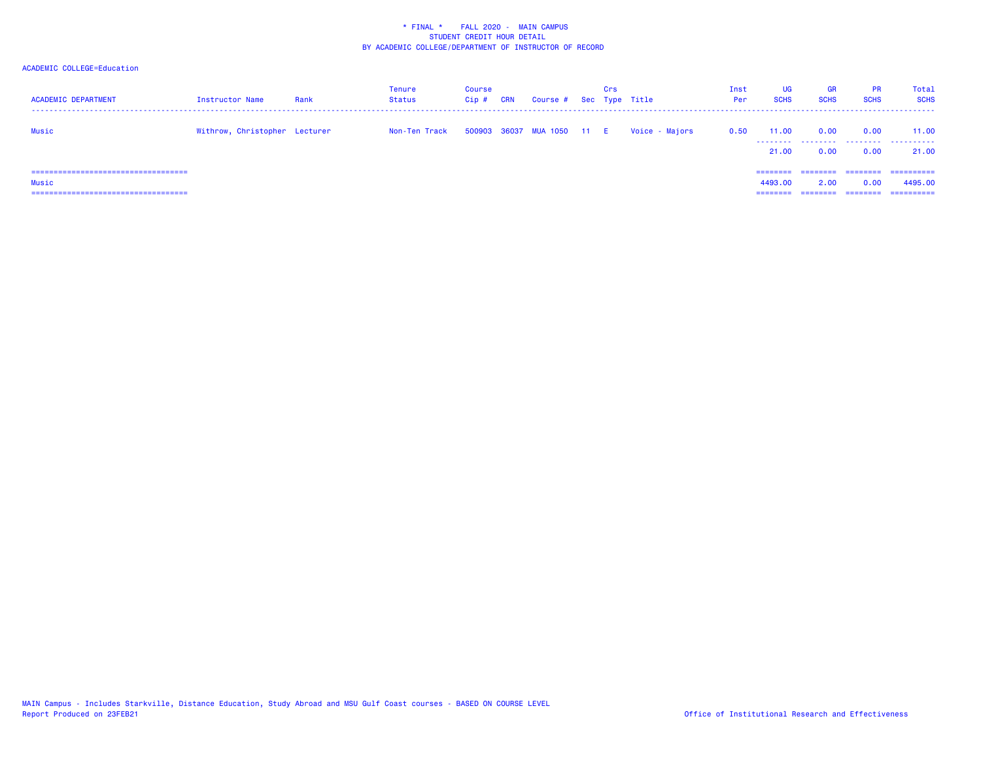| <b>ACADEMIC DEPARTMENT</b>                     | Instructor Name               | Rank | Tenure<br><b>Status</b> | Course<br>Cip # | CRN | Course # Sec Type Title    | Crs |                | Inst<br>Per | <b>UG</b><br><b>SCHS</b> | GR<br><b>SCHS</b> | PR<br><b>SCHS</b> | Total<br><b>SCHS</b> |
|------------------------------------------------|-------------------------------|------|-------------------------|-----------------|-----|----------------------------|-----|----------------|-------------|--------------------------|-------------------|-------------------|----------------------|
| Music                                          | Withrow, Christopher Lecturer |      | Non-Ten Track           |                 |     | 500903 36037 MUA 1050 11 E |     | Voice - Majors | 0.50        | 11.00<br>21.00           | 0.00<br>0.00      | 0.00<br>0.00      | 11.00<br>21.00       |
| =====================================<br>Music |                               |      |                         |                 |     |                            |     |                |             | 4493.00                  | 2.00              | ========<br>0.00  | =========<br>4495,00 |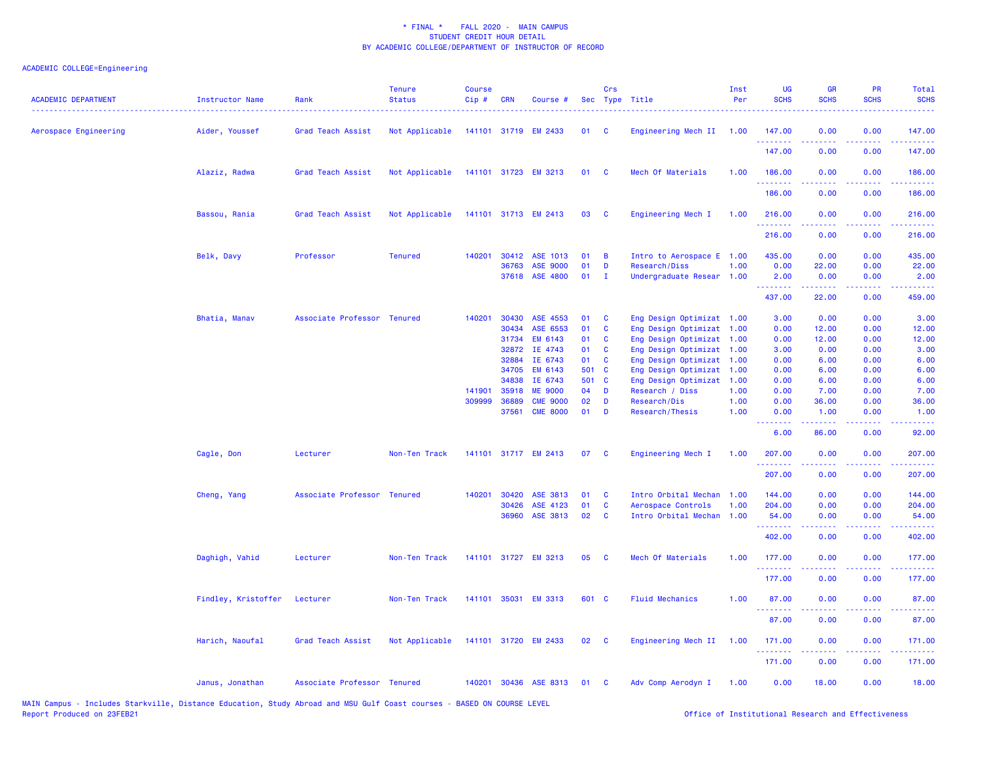## ACADEMIC COLLEGE=Engineering

| <b>ACADEMIC DEPARTMENT</b> | <b>Instructor Name</b> | Rank                        | <b>Tenure</b><br><b>Status</b> | <b>Course</b><br>Cip# | <b>CRN</b>     | Course #                    |                 | Crs          | Sec Type Title                             | Inst<br>Per | <b>UG</b><br><b>SCHS</b>       | <b>GR</b><br><b>SCHS</b> | <b>PR</b><br><b>SCHS</b>       | Total<br><b>SCHS</b>                                                                                                                                           |
|----------------------------|------------------------|-----------------------------|--------------------------------|-----------------------|----------------|-----------------------------|-----------------|--------------|--------------------------------------------|-------------|--------------------------------|--------------------------|--------------------------------|----------------------------------------------------------------------------------------------------------------------------------------------------------------|
| Aerospace Engineering      | Aider, Youssef         | Grad Teach Assist           | Not Applicable                 |                       |                | 141101 31719 EM 2433        | 01              | - C          | Engineering Mech II                        | 1.00        | 147.00<br>.                    | 0.00                     | 0.00                           | 147.00                                                                                                                                                         |
|                            |                        |                             |                                |                       |                |                             |                 |              |                                            |             | 147.00                         | 0.00                     | 0.00                           | 147.00                                                                                                                                                         |
|                            | Alaziz, Radwa          | Grad Teach Assist           | Not Applicable                 |                       |                | 141101 31723 EM 3213        | 01              | - C          | Mech Of Materials                          | 1.00        | 186.00<br>.                    | 0.00                     | 0.00                           | 186.00<br>22222                                                                                                                                                |
|                            |                        |                             |                                |                       |                |                             |                 |              |                                            |             | 186.00                         | 0.00                     | 0.00                           | 186.00                                                                                                                                                         |
|                            | Bassou, Rania          | Grad Teach Assist           | Not Applicable                 |                       |                | 141101 31713 EM 2413        | 03              | <b>C</b>     | Engineering Mech I                         | 1.00        | 216.00<br>.                    | 0.00<br><u>.</u>         | 0.00<br>$  -$                  | 216.00<br>.                                                                                                                                                    |
|                            |                        |                             |                                |                       |                |                             |                 |              |                                            |             | 216.00                         | 0.00                     | 0.00                           | 216.00                                                                                                                                                         |
|                            | Belk, Davy             | Professor                   | <b>Tenured</b>                 |                       |                | 140201 30412 ASE 1013       | 01              | B            | Intro to Aerospace E 1.00                  |             | 435.00                         | 0.00                     | 0.00                           | 435.00                                                                                                                                                         |
|                            |                        |                             |                                |                       | 36763<br>37618 | <b>ASE 9000</b><br>ASE 4800 | 01<br>01        | D<br>Ι.      | Research/Diss<br>Undergraduate Resear 1.00 | 1.00        | 0.00<br>2.00                   | 22.00<br>0.00            | 0.00<br>0.00                   | 22.00<br>2.00                                                                                                                                                  |
|                            |                        |                             |                                |                       |                |                             |                 |              |                                            |             | .                              | .                        | بالأباب                        | المستمين                                                                                                                                                       |
|                            |                        |                             |                                |                       |                |                             |                 |              |                                            |             | 437.00                         | 22.00                    | 0.00                           | 459.00                                                                                                                                                         |
|                            | Bhatia, Manav          | Associate Professor Tenured |                                | 140201                | 30430          | ASE 4553                    | 01              | <b>C</b>     | Eng Design Optimizat 1.00                  |             | 3.00                           | 0.00                     | 0.00                           | 3.00                                                                                                                                                           |
|                            |                        |                             |                                |                       | 30434          | ASE 6553                    | 01              | C            | Eng Design Optimizat 1.00                  |             | 0.00                           | 12.00                    | 0.00                           | 12.00                                                                                                                                                          |
|                            |                        |                             |                                |                       | 31734          | EM 6143                     | 01              | <b>C</b>     | Eng Design Optimizat                       | 1.00        | 0.00                           | 12.00                    | 0.00                           | 12.00                                                                                                                                                          |
|                            |                        |                             |                                |                       | 32872          | IE 4743                     | 01              | C            | Eng Design Optimizat                       | 1.00        | 3.00                           | 0.00                     | 0.00                           | 3.00                                                                                                                                                           |
|                            |                        |                             |                                |                       | 32884          | IE 6743                     | 01              | $\mathbf{C}$ | Eng Design Optimizat                       | 1.00        | 0.00                           | 6.00                     | 0.00                           | 6.00                                                                                                                                                           |
|                            |                        |                             |                                |                       | 34705          | EM 6143                     | 501 C           |              | Eng Design Optimizat 1.00                  |             | 0.00                           | 6.00                     | 0.00                           | 6.00                                                                                                                                                           |
|                            |                        |                             |                                |                       | 34838          | IE 6743                     | 501 C           |              | Eng Design Optimizat                       | 1.00        | 0.00                           | 6.00                     | 0.00                           | 6.00                                                                                                                                                           |
|                            |                        |                             |                                | 141901                | 35918          | <b>ME 9000</b>              | 04              | D            | Research / Diss                            | 1.00        | 0.00                           | 7.00                     | 0.00                           | 7.00                                                                                                                                                           |
|                            |                        |                             |                                | 309999                | 36889          | <b>CME 9000</b>             | 02              | D            | Research/Dis                               | 1.00        | 0.00                           | 36.00                    | 0.00                           | 36.00                                                                                                                                                          |
|                            |                        |                             |                                |                       | 37561          | <b>CME 8000</b>             | 01              | D            | Research/Thesis                            | 1.00        | 0.00<br>$\omega$ is a $\omega$ | 1.00                     | 0.00<br>$\omega$ is a $\omega$ | 1.00<br>والمحامر                                                                                                                                               |
|                            |                        |                             |                                |                       |                |                             |                 |              |                                            |             | 6.00                           | 86.00                    | 0.00                           | 92.00                                                                                                                                                          |
|                            | Cagle, Don             | Lecturer                    | Non-Ten Track                  |                       |                | 141101 31717 EM 2413        | 07              | <b>C</b>     | Engineering Mech I                         | 1.00        | 207.00<br>.                    | 0.00<br>.                | 0.00<br>.                      | 207.00<br>$\frac{1}{2} \left( \frac{1}{2} \right) \left( \frac{1}{2} \right) \left( \frac{1}{2} \right) \left( \frac{1}{2} \right) \left( \frac{1}{2} \right)$ |
|                            |                        |                             |                                |                       |                |                             |                 |              |                                            |             | 207.00                         | 0.00                     | 0.00                           | 207.00                                                                                                                                                         |
|                            | Cheng, Yang            | Associate Professor Tenured |                                | 140201                | 30420          | ASE 3813                    | 01              | <b>C</b>     | Intro Orbital Mechan                       | 1.00        | 144.00                         | 0.00                     | 0.00                           | 144.00                                                                                                                                                         |
|                            |                        |                             |                                |                       | 30426          | ASE 4123                    | 01              | C            | Aerospace Controls                         | 1.00        | 204.00                         | 0.00                     | 0.00                           | 204.00                                                                                                                                                         |
|                            |                        |                             |                                |                       | 36960          | ASE 3813                    | 02              | C            | Intro Orbital Mechan 1.00                  |             | 54.00<br>.                     | 0.00<br>-----            | 0.00<br>بالأباد                | 54.00<br>المتمام مالم                                                                                                                                          |
|                            |                        |                             |                                |                       |                |                             |                 |              |                                            |             | 402.00                         | 0.00                     | 0.00                           | 402.00                                                                                                                                                         |
|                            | Daghigh, Vahid         | Lecturer                    | Non-Ten Track                  |                       |                | 141101 31727 EM 3213        | 05              | <b>C</b>     | Mech Of Materials                          | 1.00        | 177.00<br>.                    | 0.00                     | 0.00                           | 177.00<br>$\frac{1}{2} \left( \frac{1}{2} \right) \left( \frac{1}{2} \right) \left( \frac{1}{2} \right) \left( \frac{1}{2} \right) \left( \frac{1}{2} \right)$ |
|                            |                        |                             |                                |                       |                |                             |                 |              |                                            |             | 177.00                         | 0.00                     | 0.00                           | 177.00                                                                                                                                                         |
|                            | Findley, Kristoffer    | Lecturer                    | Non-Ten Track                  |                       |                | 141101 35031 EM 3313        | 601 C           |              | <b>Fluid Mechanics</b>                     | 1.00        | 87.00<br>.                     | 0.00                     | 0.00                           | 87.00                                                                                                                                                          |
|                            |                        |                             |                                |                       |                |                             |                 |              |                                            |             | 87.00                          | 0.00                     | 0.00                           | .<br>87.00                                                                                                                                                     |
|                            | Harich, Naoufal        | Grad Teach Assist           | Not Applicable                 |                       |                | 141101 31720 EM 2433        | 02 <sub>o</sub> | $\mathbf{C}$ | Engineering Mech II                        | 1.00        | 171.00                         | 0.00                     | 0.00                           | 171.00                                                                                                                                                         |
|                            |                        |                             |                                |                       |                |                             |                 |              |                                            |             | .<br>171.00                    | 0.00                     | $\sim$ $\sim$ $\sim$<br>0.00   | 22222<br>171.00                                                                                                                                                |
|                            | Janus, Jonathan        | Associate Professor Tenured |                                |                       |                | 140201 30436 ASE 8313       | 01              | - C          | Adv Comp Aerodyn I                         | 1.00        | 0.00                           | 18.00                    | 0.00                           | 18.00                                                                                                                                                          |

MAIN Campus - Includes Starkville, Distance Education, Study Abroad and MSU Gulf Coast courses - BASED ON COURSE LEVEL<br>Report Produced on 23FEB21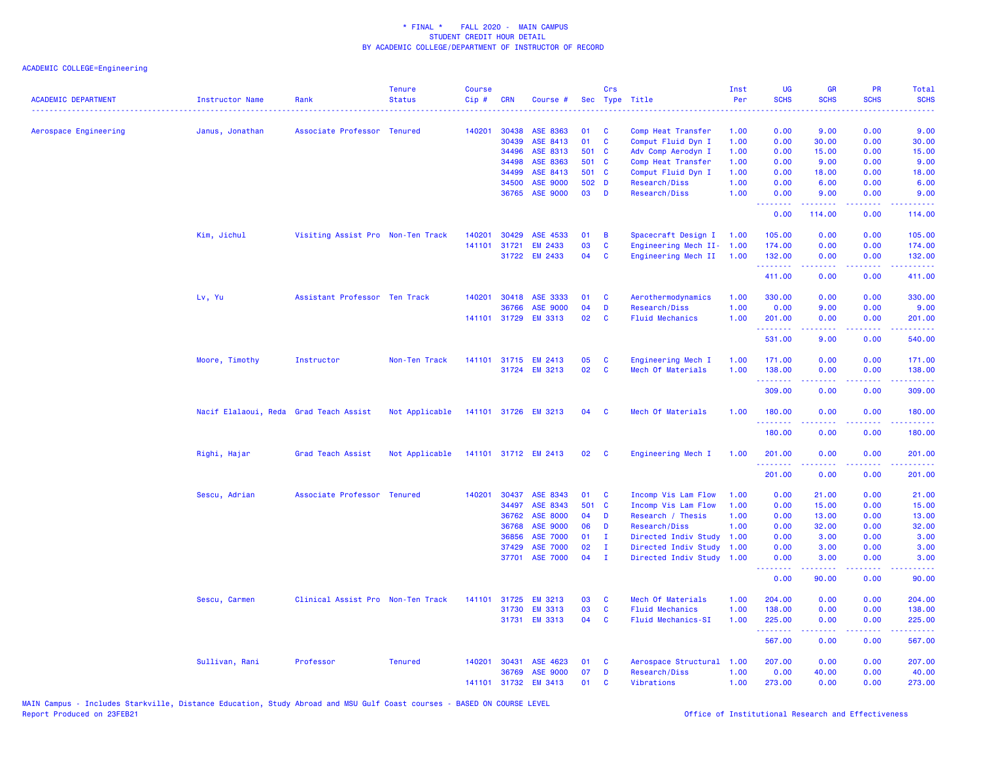| <b>ACADEMIC DEPARTMENT</b> | Instructor Name                        | Rank                              | <b>Tenure</b><br><b>Status</b> | Course<br>Cip# | <b>CRN</b>     | Course #             |           | Crs               | Sec Type Title                           | Inst<br>Per  | UG<br><b>SCHS</b>                                  | <b>GR</b><br><b>SCHS</b>                                                                                                                                      | PR<br><b>SCHS</b>                   | <b>Total</b><br><b>SCHS</b>                                                                                                                                    |
|----------------------------|----------------------------------------|-----------------------------------|--------------------------------|----------------|----------------|----------------------|-----------|-------------------|------------------------------------------|--------------|----------------------------------------------------|---------------------------------------------------------------------------------------------------------------------------------------------------------------|-------------------------------------|----------------------------------------------------------------------------------------------------------------------------------------------------------------|
| Aerospace Engineering      | Janus, Jonathan                        | Associate Professor Tenured       |                                | 140201         | 30438          | ASE 8363             | 01        | C                 | Comp Heat Transfer                       | 1.00         | 0.00                                               | 9.00                                                                                                                                                          | 0.00                                | المتمام<br>9.00                                                                                                                                                |
|                            |                                        |                                   |                                |                | 30439          | ASE 8413             | 01        | $\mathbf c$       | Comput Fluid Dyn I                       | 1.00         | 0.00                                               | 30.00                                                                                                                                                         | 0.00                                | 30.00                                                                                                                                                          |
|                            |                                        |                                   |                                |                | 34496          | ASE 8313             | 501 C     |                   | Adv Comp Aerodyn I                       | 1.00         | 0.00                                               | 15.00                                                                                                                                                         | 0.00                                | 15.00                                                                                                                                                          |
|                            |                                        |                                   |                                |                | 34498          | ASE 8363             | 501       | C                 | Comp Heat Transfer                       | 1.00         | 0.00                                               | 9.00                                                                                                                                                          | 0.00                                | 9.00                                                                                                                                                           |
|                            |                                        |                                   |                                |                | 34499          | ASE 8413             | 501       | <b>C</b>          | Comput Fluid Dyn I                       | 1.00         | 0.00                                               | 18.00                                                                                                                                                         | 0.00                                | 18.00                                                                                                                                                          |
|                            |                                        |                                   |                                |                | 34500          | ASE 9000             | 502 D     |                   | Research/Diss                            | 1.00         | 0.00                                               | 6.00                                                                                                                                                          | 0.00                                | 6.00                                                                                                                                                           |
|                            |                                        |                                   |                                |                | 36765          | <b>ASE 9000</b>      | 03        | D                 | Research/Diss                            | 1.00         | 0.00<br>.                                          | 9.00<br>$\frac{1}{2} \left( \frac{1}{2} \right) \left( \frac{1}{2} \right) \left( \frac{1}{2} \right) \left( \frac{1}{2} \right) \left( \frac{1}{2} \right)$  | 0.00<br>$\sim$ $\sim$ $\sim$ $\sim$ | 9.00<br>.                                                                                                                                                      |
|                            |                                        |                                   |                                |                |                |                      |           |                   |                                          |              | 0.00                                               | 114.00                                                                                                                                                        | 0.00                                | 114.00                                                                                                                                                         |
|                            | Kim, Jichul                            | Visiting Assist Pro Non-Ten Track |                                | 140201         | 30429          | ASE 4533             | 01        | B                 | Spacecraft Design I                      | 1.00         | 105.00                                             | 0.00                                                                                                                                                          | 0.00                                | 105.00                                                                                                                                                         |
|                            |                                        |                                   |                                | 141101         | 31721          | <b>EM 2433</b>       | 03        | C                 | Engineering Mech II-                     | 1.00         | 174.00                                             | 0.00                                                                                                                                                          | 0.00                                | 174.00                                                                                                                                                         |
|                            |                                        |                                   |                                |                |                | 31722 EM 2433        | 04        | C                 | Engineering Mech II                      | 1.00         | 132.00<br><b><i><u><u> - - - - - -</u></u></i></b> | 0.00<br>.                                                                                                                                                     | 0.00<br>.                           | 132.00                                                                                                                                                         |
|                            |                                        |                                   |                                |                |                |                      |           |                   |                                          |              | 411.00                                             | 0.00                                                                                                                                                          | 0.00                                | 411.00                                                                                                                                                         |
|                            | Lv, Yu                                 | Assistant Professor Ten Track     |                                | 140201         | 30418          | ASE 3333             | 01        | C                 | Aerothermodynamics                       | 1.00         | 330.00                                             | 0.00                                                                                                                                                          | 0.00                                | 330.00                                                                                                                                                         |
|                            |                                        |                                   |                                |                | 36766          | <b>ASE 9000</b>      | 04        | D                 | Research/Diss                            | 1.00         | 0.00                                               | 9.00                                                                                                                                                          | 0.00                                | 9.00                                                                                                                                                           |
|                            |                                        |                                   |                                |                |                | 141101 31729 EM 3313 | 02        | C                 | <b>Fluid Mechanics</b>                   | 1.00         | 201.00<br>.                                        | 0.00<br>.                                                                                                                                                     | 0.00<br>.                           | 201.00<br>$\begin{array}{cccccccccc} \bullet & \bullet & \bullet & \bullet & \bullet & \bullet & \bullet \end{array}$                                          |
|                            |                                        |                                   |                                |                |                |                      |           |                   |                                          |              | 531.00                                             | 9.00                                                                                                                                                          | 0.00                                | 540.00                                                                                                                                                         |
|                            | Moore, Timothy                         | Instructor                        | Non-Ten Track                  | 141101         | 31715          | <b>EM 2413</b>       | 05        | C                 | Engineering Mech I                       | 1.00         | 171.00                                             | 0.00                                                                                                                                                          | 0.00                                | 171.00                                                                                                                                                         |
|                            |                                        |                                   |                                |                |                | 31724 EM 3213        | 02        | $\mathbf{C}$      | Mech Of Materials                        | 1.00         | 138.00                                             | 0.00                                                                                                                                                          | 0.00                                | 138.00                                                                                                                                                         |
|                            |                                        |                                   |                                |                |                |                      |           |                   |                                          |              | .<br>309.00                                        | .<br>0.00                                                                                                                                                     | .<br>0.00                           | $\frac{1}{2} \left( \frac{1}{2} \right) \left( \frac{1}{2} \right) \left( \frac{1}{2} \right) \left( \frac{1}{2} \right) \left( \frac{1}{2} \right)$<br>309.00 |
|                            | Nacif Elalaoui, Reda Grad Teach Assist |                                   | Not Applicable                 |                |                | 141101 31726 EM 3213 | 04        | C                 | Mech Of Materials                        | 1.00         | 180.00                                             | 0.00                                                                                                                                                          | 0.00                                | 180.00                                                                                                                                                         |
|                            |                                        |                                   |                                |                |                |                      |           |                   |                                          |              | .<br>180.00                                        | .<br>0.00                                                                                                                                                     | .<br>0.00                           | $\begin{array}{cccccccccc} \bullet & \bullet & \bullet & \bullet & \bullet & \bullet & \bullet \end{array}$<br>180.00                                          |
|                            | Righi, Hajar                           | Grad Teach Assist                 | Not Applicable                 | 141101         |                | 31712 EM 2413        | 02        | C                 | Engineering Mech I                       | 1.00         | 201.00                                             | 0.00                                                                                                                                                          | 0.00                                | 201.00                                                                                                                                                         |
|                            |                                        |                                   |                                |                |                |                      |           |                   |                                          |              | .<br>201.00                                        | 0.00                                                                                                                                                          | .<br>0.00                           | dia a a a .<br>201.00                                                                                                                                          |
|                            |                                        |                                   |                                |                |                |                      |           |                   |                                          |              |                                                    |                                                                                                                                                               |                                     |                                                                                                                                                                |
|                            | Sescu, Adrian                          | Associate Professor Tenured       |                                | 140201         | 30437          | ASE 8343             | 01        | C                 | Incomp Vis Lam Flow                      | 1.00         | 0.00                                               | 21.00                                                                                                                                                         | 0.00                                | 21.00                                                                                                                                                          |
|                            |                                        |                                   |                                |                | 34497<br>36762 | ASE 8343<br>ASE 8000 | 501<br>04 | $\mathbf{C}$<br>D | Incomp Vis Lam Flow<br>Research / Thesis | 1.00<br>1.00 | 0.00<br>0.00                                       | 15.00<br>13.00                                                                                                                                                | 0.00<br>0.00                        | 15.00<br>13.00                                                                                                                                                 |
|                            |                                        |                                   |                                |                | 36768          | ASE 9000             | 06        | D                 | Research/Diss                            | 1.00         | 0.00                                               | 32.00                                                                                                                                                         | 0.00                                | 32.00                                                                                                                                                          |
|                            |                                        |                                   |                                |                | 36856          | <b>ASE 7000</b>      | 01        | л.                | Directed Indiv Study                     | 1.00         | 0.00                                               | 3.00                                                                                                                                                          | 0.00                                | 3.00                                                                                                                                                           |
|                            |                                        |                                   |                                |                | 37429          | <b>ASE 7000</b>      | 02        | T                 | Directed Indiv Study                     | 1.00         | 0.00                                               | 3.00                                                                                                                                                          | 0.00                                | 3.00                                                                                                                                                           |
|                            |                                        |                                   |                                |                | 37701          | <b>ASE 7000</b>      | 04        | $\mathbf{I}$      | Directed Indiv Study 1.00                |              | 0.00                                               | 3.00                                                                                                                                                          | 0.00                                | 3.00                                                                                                                                                           |
|                            |                                        |                                   |                                |                |                |                      |           |                   |                                          |              | <u>.</u><br>0.00                                   | $\frac{1}{2} \left( \frac{1}{2} \right) \left( \frac{1}{2} \right) \left( \frac{1}{2} \right) \left( \frac{1}{2} \right) \left( \frac{1}{2} \right)$<br>90.00 | .<br>0.00                           | الداعات عاد<br>90.00                                                                                                                                           |
|                            | Sescu, Carmen                          | Clinical Assist Pro Non-Ten Track |                                | 141101         | 31725          | <b>EM 3213</b>       | 03        | C                 | Mech Of Materials                        | 1.00         | 204.00                                             | 0.00                                                                                                                                                          | 0.00                                | 204.00                                                                                                                                                         |
|                            |                                        |                                   |                                |                | 31730          | <b>EM 3313</b>       | 03        | C                 | <b>Fluid Mechanics</b>                   | 1.00         | 138.00                                             | 0.00                                                                                                                                                          | 0.00                                | 138.00                                                                                                                                                         |
|                            |                                        |                                   |                                |                |                | 31731 EM 3313        | 04        | C                 | <b>Fluid Mechanics-SI</b>                | 1.00         | 225.00<br>.                                        | 0.00<br>.                                                                                                                                                     | 0.00<br>والمحامر                    | 225.00<br>-----                                                                                                                                                |
|                            |                                        |                                   |                                |                |                |                      |           |                   |                                          |              | 567.00                                             | 0.00                                                                                                                                                          | 0.00                                | 567.00                                                                                                                                                         |
|                            | Sullivan, Rani                         | Professor                         | <b>Tenured</b>                 | 140201         | 30431          | ASE 4623             | 01        | C                 | Aerospace Structural                     | 1.00         | 207.00                                             | 0.00                                                                                                                                                          | 0.00                                | 207.00                                                                                                                                                         |
|                            |                                        |                                   |                                |                | 36769          | <b>ASE 9000</b>      | 07        | D                 | Research/Diss                            | 1.00         | 0.00                                               | 40.00                                                                                                                                                         | 0.00                                | 40.00                                                                                                                                                          |
|                            |                                        |                                   |                                | 141101         | 31732          | <b>EM 3413</b>       | 01        | $\mathbf{C}$      | Vibrations                               | 1.00         | 273.00                                             | 0.00                                                                                                                                                          | 0.00                                | 273.00                                                                                                                                                         |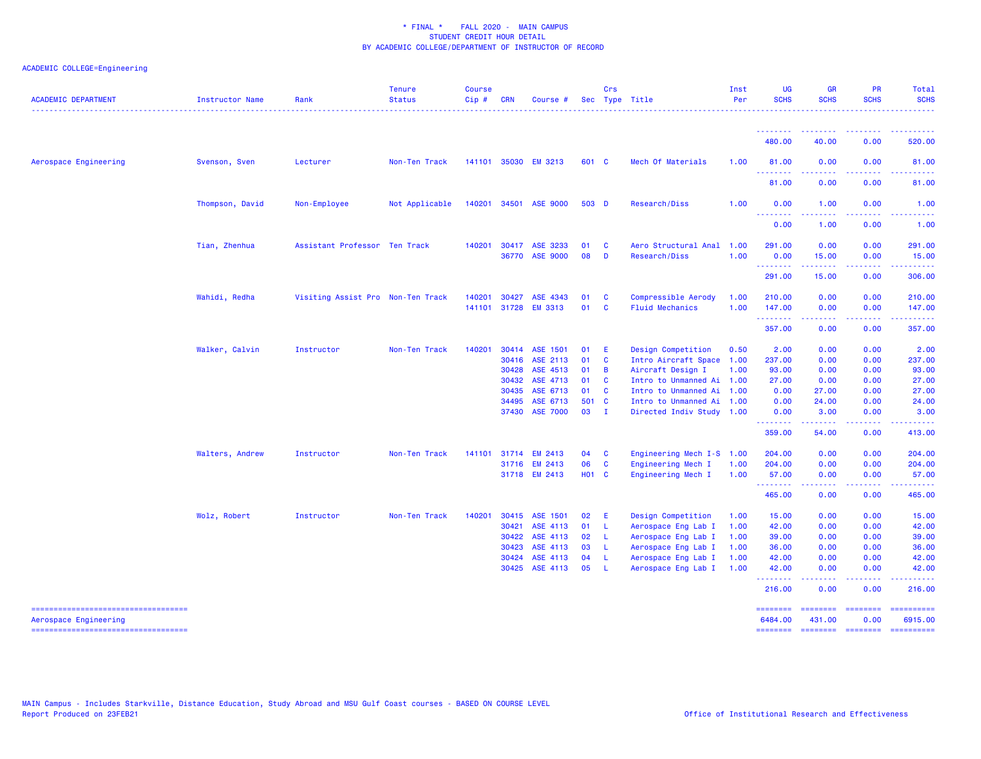## ACADEMIC COLLEGE=Engineering

| <b>ACADEMIC DEPARTMENT</b>                                   | <b>Instructor Name</b> | Rank                              | <b>Tenure</b><br><b>Status</b><br>. | <b>Course</b><br>$Cip$ # | <b>CRN</b>     | Course #                    |              | Crs                            | Sec Type Title                                         | Inst<br>Per  | <b>UG</b><br><b>SCHS</b>   | <b>GR</b><br><b>SCHS</b>    | PR<br><b>SCHS</b>         | Total<br><b>SCHS</b><br>.                                                                                                                                                                                                                                                                                                                                                                                                                                                                         |
|--------------------------------------------------------------|------------------------|-----------------------------------|-------------------------------------|--------------------------|----------------|-----------------------------|--------------|--------------------------------|--------------------------------------------------------|--------------|----------------------------|-----------------------------|---------------------------|---------------------------------------------------------------------------------------------------------------------------------------------------------------------------------------------------------------------------------------------------------------------------------------------------------------------------------------------------------------------------------------------------------------------------------------------------------------------------------------------------|
|                                                              |                        |                                   |                                     |                          |                |                             |              |                                |                                                        |              | 480.00                     | 40.00                       | 0.00                      | . <u>.</u><br>520.00                                                                                                                                                                                                                                                                                                                                                                                                                                                                              |
| Aerospace Engineering                                        | Svenson, Sven          | Lecturer                          | Non-Ten Track                       |                          |                | 141101 35030 EM 3213        | 601 C        |                                | Mech Of Materials                                      | 1.00         | 81.00                      | 0.00                        | 0.00                      | 81.00                                                                                                                                                                                                                                                                                                                                                                                                                                                                                             |
|                                                              |                        |                                   |                                     |                          |                |                             |              |                                |                                                        |              | .<br>81.00                 | 0.00                        | 0.00                      | 81.00                                                                                                                                                                                                                                                                                                                                                                                                                                                                                             |
|                                                              | Thompson, David        | Non-Employee                      | Not Applicable                      | 140201                   |                | 34501 ASE 9000              | 503 D        |                                | Research/Diss                                          | 1.00         | 0.00                       | 1.00                        | 0.00                      | 1.00                                                                                                                                                                                                                                                                                                                                                                                                                                                                                              |
|                                                              |                        |                                   |                                     |                          |                |                             |              |                                |                                                        |              | .<br>0.00                  | 1.00                        | 0.00                      | 1.00                                                                                                                                                                                                                                                                                                                                                                                                                                                                                              |
|                                                              | Tian, Zhenhua          | Assistant Professor Ten Track     |                                     | 140201                   | 30417<br>36770 | ASE 3233<br><b>ASE 9000</b> | 01<br>08     | <b>C</b><br>D                  | Aero Structural Anal<br>Research/Diss                  | 1.00<br>1.00 | 291.00<br>0.00             | 0.00<br>15.00               | 0.00<br>0.00              | 291.00<br>15.00                                                                                                                                                                                                                                                                                                                                                                                                                                                                                   |
|                                                              |                        |                                   |                                     |                          |                |                             |              |                                |                                                        |              | - - - - - - - -<br>291.00  | 15.00                       | 0.00                      | 306.00                                                                                                                                                                                                                                                                                                                                                                                                                                                                                            |
|                                                              | Wahidi, Redha          | Visiting Assist Pro Non-Ten Track |                                     | 140201<br>141101         | 30427<br>31728 | ASE 4343<br><b>EM 3313</b>  | 01<br>01     | <b>C</b><br>$\mathbf{C}$       | Compressible Aerody<br><b>Fluid Mechanics</b>          | 1.00<br>1.00 | 210.00<br>147.00           | 0.00<br>0.00                | 0.00<br>0.00              | 210.00<br>147.00                                                                                                                                                                                                                                                                                                                                                                                                                                                                                  |
|                                                              |                        |                                   |                                     |                          |                |                             |              |                                |                                                        |              | .<br>357.00                | ------<br>0.00              | .<br>0.00                 | - - - - - - -<br>357.00                                                                                                                                                                                                                                                                                                                                                                                                                                                                           |
|                                                              | Walker, Calvin         | Instructor                        | Non-Ten Track                       | 140201                   | 30416          | 30414 ASE 1501<br>ASE 2113  | 01<br>01     | - E<br>$\mathbf{C}$            | Design Competition<br>Intro Aircraft Space 1.00        | 0.50         | 2.00<br>237.00             | 0.00<br>0.00                | 0.00<br>0.00              | 2.00<br>237.00                                                                                                                                                                                                                                                                                                                                                                                                                                                                                    |
|                                                              |                        |                                   |                                     |                          | 30428<br>30432 | ASE 4513<br>ASE 4713        | 01<br>01     | $\overline{B}$<br>$\mathbf{C}$ | Aircraft Design I<br>Intro to Unmanned Ai 1.00         | 1.00         | 93.00<br>27.00             | 0.00<br>0.00                | 0.00<br>0.00              | 93.00<br>27.00                                                                                                                                                                                                                                                                                                                                                                                                                                                                                    |
|                                                              |                        |                                   |                                     |                          | 30435<br>34495 | ASE 6713<br>ASE 6713        | 01<br>501 C  | $\mathbf{C}$                   | Intro to Unmanned Ai 1.00<br>Intro to Unmanned Ai 1.00 |              | 0.00<br>0.00               | 27.00<br>24.00              | 0.00<br>0.00              | 27.00<br>24.00                                                                                                                                                                                                                                                                                                                                                                                                                                                                                    |
|                                                              |                        |                                   |                                     |                          | 37430          | <b>ASE 7000</b>             | 03           | $\blacksquare$                 | Directed Indiv Study 1.00                              |              | 0.00<br>--------<br>359.00 | 3.00<br>54.00               | 0.00<br>د د د د<br>0.00   | 3.00<br>413.00                                                                                                                                                                                                                                                                                                                                                                                                                                                                                    |
|                                                              |                        | Instructor                        | Non-Ten Track                       | 141101                   | 31714          | <b>EM 2413</b>              | 04           | $\mathbf{C}$                   | Engineering Mech I-S 1.00                              |              | 204.00                     | 0.00                        | 0.00                      | 204.00                                                                                                                                                                                                                                                                                                                                                                                                                                                                                            |
|                                                              | Walters, Andrew        |                                   |                                     |                          | 31716          | EM 2413                     | 06           | <b>C</b>                       | Engineering Mech I                                     | 1.00         | 204.00                     | 0.00                        | 0.00                      | 204.00                                                                                                                                                                                                                                                                                                                                                                                                                                                                                            |
|                                                              |                        |                                   |                                     |                          |                | 31718 EM 2413               | <b>HO1 C</b> |                                | Engineering Mech I                                     | 1.00         | 57.00<br><u>.</u>          | 0.00<br>.                   | 0.00<br>.                 | 57.00<br><u>.</u>                                                                                                                                                                                                                                                                                                                                                                                                                                                                                 |
|                                                              |                        |                                   |                                     |                          |                |                             |              |                                |                                                        |              | 465.00                     | 0.00                        | 0.00                      | 465.00                                                                                                                                                                                                                                                                                                                                                                                                                                                                                            |
|                                                              | Wolz, Robert           | Instructor                        | Non-Ten Track                       | 140201                   | 30415          | ASE 1501                    | 02           | -E                             | Design Competition                                     | 1.00         | 15.00                      | 0.00                        | 0.00                      | 15.00                                                                                                                                                                                                                                                                                                                                                                                                                                                                                             |
|                                                              |                        |                                   |                                     |                          | 30421<br>30422 | ASE 4113<br>ASE 4113        | 01<br>02     | - L<br>-L                      | Aerospace Eng Lab I<br>Aerospace Eng Lab I             | 1.00<br>1.00 | 42.00<br>39.00             | 0.00<br>0.00                | 0.00<br>0.00              | 42.00<br>39.00                                                                                                                                                                                                                                                                                                                                                                                                                                                                                    |
|                                                              |                        |                                   |                                     |                          | 30423          | ASE 4113                    | 03           | - L                            | Aerospace Eng Lab I                                    | 1.00         | 36.00                      | 0.00                        | 0.00                      | 36.00                                                                                                                                                                                                                                                                                                                                                                                                                                                                                             |
|                                                              |                        |                                   |                                     |                          | 30424          | ASE 4113                    | 04           | - L                            | Aerospace Eng Lab I                                    | 1.00         | 42.00                      | 0.00                        | 0.00                      | 42.00                                                                                                                                                                                                                                                                                                                                                                                                                                                                                             |
|                                                              |                        |                                   |                                     |                          | 30425          | ASE 4113                    | 05           | - L                            | Aerospace Eng Lab I                                    | 1.00         | 42.00<br>.                 | 0.00                        | 0.00                      | 42.00                                                                                                                                                                                                                                                                                                                                                                                                                                                                                             |
|                                                              |                        |                                   |                                     |                          |                |                             |              |                                |                                                        |              | 216.00                     | 0.00                        | 0.00                      | 216.00                                                                                                                                                                                                                                                                                                                                                                                                                                                                                            |
| -----------------------------------<br>Aerospace Engineering |                        |                                   |                                     |                          |                |                             |              |                                |                                                        |              | ========<br>6484.00        | $=$ = = = = = = =<br>431.00 | $=$ = = = = = = =<br>0.00 | $\begin{array}{cccccccccc} \multicolumn{2}{c}{} & \multicolumn{2}{c}{} & \multicolumn{2}{c}{} & \multicolumn{2}{c}{} & \multicolumn{2}{c}{} & \multicolumn{2}{c}{} & \multicolumn{2}{c}{} & \multicolumn{2}{c}{} & \multicolumn{2}{c}{} & \multicolumn{2}{c}{} & \multicolumn{2}{c}{} & \multicolumn{2}{c}{} & \multicolumn{2}{c}{} & \multicolumn{2}{c}{} & \multicolumn{2}{c}{} & \multicolumn{2}{c}{} & \multicolumn{2}{c}{} & \multicolumn{2}{c}{} & \multicolumn{2}{c}{} & \mult$<br>6915.00 |
| ======================================                       |                        |                                   |                                     |                          |                |                             |              |                                |                                                        |              |                            |                             |                           | ======== ======== ======== ==========                                                                                                                                                                                                                                                                                                                                                                                                                                                             |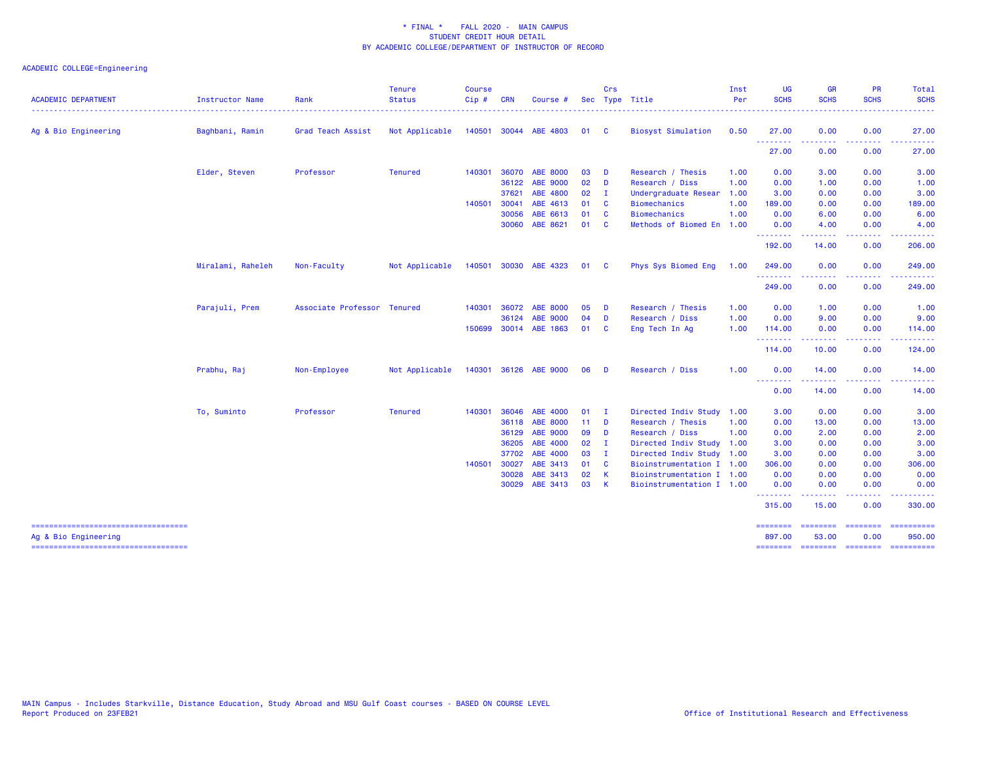| <b>ACADEMIC DEPARTMENT</b>                                    | <b>Instructor Name</b> | Rank                        | <b>Tenure</b><br><b>Status</b> | <b>Course</b><br>Cip# | <b>CRN</b> | Course #              |      | Crs          | Sec Type Title            | Inst<br>Per | <b>UG</b><br><b>SCHS</b> | <b>GR</b><br><b>SCHS</b>                                                                                                                                                                                                                                                                                                                                                                                                                                                                       | <b>PR</b><br><b>SCHS</b>            | Total<br><b>SCHS</b>                  |
|---------------------------------------------------------------|------------------------|-----------------------------|--------------------------------|-----------------------|------------|-----------------------|------|--------------|---------------------------|-------------|--------------------------|------------------------------------------------------------------------------------------------------------------------------------------------------------------------------------------------------------------------------------------------------------------------------------------------------------------------------------------------------------------------------------------------------------------------------------------------------------------------------------------------|-------------------------------------|---------------------------------------|
| Ag & Bio Engineering                                          | Baghbani, Ramin        | Grad Teach Assist           | Not Applicable                 |                       |            | 140501 30044 ABE 4803 | 01   | <b>C</b>     | <b>Biosyst Simulation</b> | 0.50        | 27.00                    | 0.00                                                                                                                                                                                                                                                                                                                                                                                                                                                                                           | 0.00                                | 27.00                                 |
|                                                               |                        |                             |                                |                       |            |                       |      |              |                           |             | .<br>27.00               | 0.00                                                                                                                                                                                                                                                                                                                                                                                                                                                                                           | 0.00                                | 27.00                                 |
|                                                               | Elder, Steven          | Professor                   | <b>Tenured</b>                 | 140301                | 36070      | <b>ABE 8000</b>       | 03   | <b>D</b>     | Research / Thesis         | 1.00        | 0.00                     | 3.00                                                                                                                                                                                                                                                                                                                                                                                                                                                                                           | 0.00                                | 3.00                                  |
|                                                               |                        |                             |                                |                       | 36122      | ABE 9000              | 02   | D            | Research / Diss           | 1.00        | 0.00                     | 1.00                                                                                                                                                                                                                                                                                                                                                                                                                                                                                           | 0.00                                | 1.00                                  |
|                                                               |                        |                             |                                |                       | 37621      | ABE 4800              | 02   | $\mathbf{I}$ | Undergraduate Resear      | 1.00        | 3.00                     | 0.00                                                                                                                                                                                                                                                                                                                                                                                                                                                                                           | 0.00                                | 3.00                                  |
|                                                               |                        |                             |                                | 140501                | 30041      | ABE 4613              | 01   | - C          | <b>Biomechanics</b>       | 1.00        | 189.00                   | 0.00                                                                                                                                                                                                                                                                                                                                                                                                                                                                                           | 0.00                                | 189.00                                |
|                                                               |                        |                             |                                |                       | 30056      | ABE 6613              | 01   | $\mathbf{C}$ | <b>Biomechanics</b>       | 1.00        | 0.00                     | 6.00                                                                                                                                                                                                                                                                                                                                                                                                                                                                                           | 0.00                                | 6.00                                  |
|                                                               |                        |                             |                                |                       | 30060      | ABE 8621              | 01 C |              | Methods of Biomed En      | 1.00        | 0.00<br>.                | 4.00<br>.                                                                                                                                                                                                                                                                                                                                                                                                                                                                                      | 0.00<br>.                           | 4.00<br>.                             |
|                                                               |                        |                             |                                |                       |            |                       |      |              |                           |             | 192.00                   | 14.00                                                                                                                                                                                                                                                                                                                                                                                                                                                                                          | 0.00                                | 206.00                                |
|                                                               | Miralami, Raheleh      | Non-Faculty                 | Not Applicable                 | 140501                |            | 30030 ABE 4323        | 01 C |              | Phys Sys Biomed Eng       | 1.00        | 249.00                   | 0.00                                                                                                                                                                                                                                                                                                                                                                                                                                                                                           | 0.00                                | 249.00                                |
|                                                               |                        |                             |                                |                       |            |                       |      |              |                           |             | .<br>249.00              | 0.00                                                                                                                                                                                                                                                                                                                                                                                                                                                                                           | $\sim$ $\sim$ $\sim$ $\sim$<br>0.00 | 249.00                                |
|                                                               | Parajuli, Prem         | Associate Professor Tenured |                                | 140301                | 36072      | <b>ABE 8000</b>       | 05   | <b>D</b>     | Research / Thesis         | 1.00        | 0.00                     | 1.00                                                                                                                                                                                                                                                                                                                                                                                                                                                                                           | 0.00                                | 1.00                                  |
|                                                               |                        |                             |                                |                       | 36124      | <b>ABE 9000</b>       | 04   | D            | Research / Diss           | 1.00        | 0.00                     | 9.00                                                                                                                                                                                                                                                                                                                                                                                                                                                                                           | 0.00                                | 9.00                                  |
|                                                               |                        |                             |                                |                       |            | 150699 30014 ABE 1863 | 01   | <b>C</b>     | Eng Tech In Ag            | 1.00        | 114.00<br>.              | 0.00<br>$\begin{array}{cccccccccccccc} \multicolumn{2}{c}{} & \multicolumn{2}{c}{} & \multicolumn{2}{c}{} & \multicolumn{2}{c}{} & \multicolumn{2}{c}{} & \multicolumn{2}{c}{} & \multicolumn{2}{c}{} & \multicolumn{2}{c}{} & \multicolumn{2}{c}{} & \multicolumn{2}{c}{} & \multicolumn{2}{c}{} & \multicolumn{2}{c}{} & \multicolumn{2}{c}{} & \multicolumn{2}{c}{} & \multicolumn{2}{c}{} & \multicolumn{2}{c}{} & \multicolumn{2}{c}{} & \multicolumn{2}{c}{} & \multicolumn{2}{c}{} & \$ | 0.00<br>.                           | 114.00<br>.                           |
|                                                               |                        |                             |                                |                       |            |                       |      |              |                           |             | 114.00                   | 10.00                                                                                                                                                                                                                                                                                                                                                                                                                                                                                          | 0.00                                | 124.00                                |
|                                                               | Prabhu, Raj            | Non-Employee                | Not Applicable                 |                       |            | 140301 36126 ABE 9000 | 06   | <b>D</b>     | Research / Diss           | 1.00        | 0.00<br><u>.</u>         | 14.00                                                                                                                                                                                                                                                                                                                                                                                                                                                                                          | 0.00                                | 14.00                                 |
|                                                               |                        |                             |                                |                       |            |                       |      |              |                           |             | 0.00                     | 14.00                                                                                                                                                                                                                                                                                                                                                                                                                                                                                          | 0.00                                | 14.00                                 |
|                                                               | To, Suminto            | Professor                   | <b>Tenured</b>                 | 140301                | 36046      | ABE 4000              | 01   | $\mathbf I$  | Directed Indiv Study      | 1.00        | 3.00                     | 0.00                                                                                                                                                                                                                                                                                                                                                                                                                                                                                           | 0.00                                | 3.00                                  |
|                                                               |                        |                             |                                |                       | 36118      | <b>ABE 8000</b>       | 11   | D            | Research / Thesis         | 1.00        | 0.00                     | 13.00                                                                                                                                                                                                                                                                                                                                                                                                                                                                                          | 0.00                                | 13.00                                 |
|                                                               |                        |                             |                                |                       | 36129      | ABE 9000              | 09   | <b>D</b>     | Research / Diss           | 1.00        | 0.00                     | 2.00                                                                                                                                                                                                                                                                                                                                                                                                                                                                                           | 0.00                                | 2.00                                  |
|                                                               |                        |                             |                                |                       | 36205      | ABE 4000              | 02   | - I          | Directed Indiv Study 1.00 |             | 3.00                     | 0.00                                                                                                                                                                                                                                                                                                                                                                                                                                                                                           | 0.00                                | 3.00                                  |
|                                                               |                        |                             |                                |                       | 37702      | ABE 4000              | 03   | - I          | Directed Indiv Study 1.00 |             | 3.00                     | 0.00                                                                                                                                                                                                                                                                                                                                                                                                                                                                                           | 0.00                                | 3.00                                  |
|                                                               |                        |                             |                                | 140501                | 30027      | ABE 3413              | 01   | <b>C</b>     | Bioinstrumentation I 1.00 |             | 306.00                   | 0.00                                                                                                                                                                                                                                                                                                                                                                                                                                                                                           | 0.00                                | 306.00                                |
|                                                               |                        |                             |                                |                       | 30028      | ABE 3413              | 02   | К            | Bioinstrumentation I 1.00 |             | 0.00                     | 0.00                                                                                                                                                                                                                                                                                                                                                                                                                                                                                           | 0.00                                | 0.00                                  |
|                                                               |                        |                             |                                |                       | 30029      | ABE 3413              | 03   | $\mathbf{K}$ | Bioinstrumentation I 1.00 |             | 0.00<br>.                | 0.00                                                                                                                                                                                                                                                                                                                                                                                                                                                                                           | 0.00                                | 0.00                                  |
|                                                               |                        |                             |                                |                       |            |                       |      |              |                           |             | 315.00                   | 15.00                                                                                                                                                                                                                                                                                                                                                                                                                                                                                          | 0.00                                | 330.00                                |
| =====================================<br>Ag & Bio Engineering |                        |                             |                                |                       |            |                       |      |              |                           |             | ========<br>897.00       | ========<br>53.00                                                                                                                                                                                                                                                                                                                                                                                                                                                                              | ---------<br>0.00                   | ==========<br>950.00                  |
| =====================================                         |                        |                             |                                |                       |            |                       |      |              |                           |             |                          |                                                                                                                                                                                                                                                                                                                                                                                                                                                                                                |                                     | ======== ======== ======== ========== |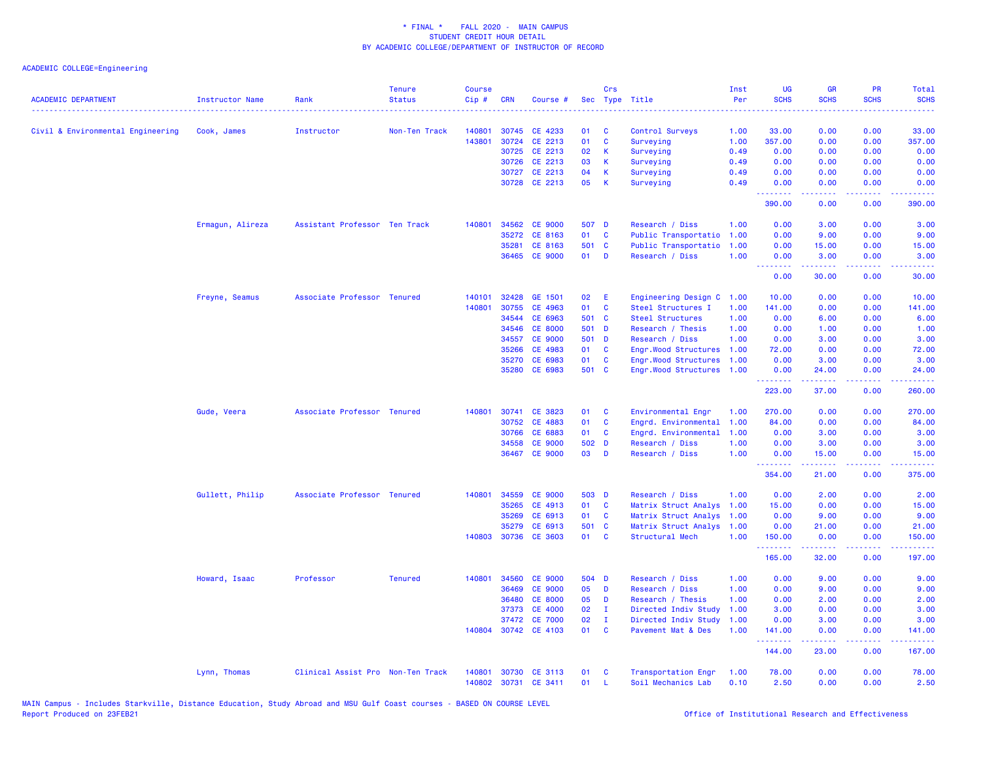|                                   |                        |                                   | <b>Tenure</b>  | <b>Course</b> |            |                      |        | Crs                     |                           | Inst | UG                                                                                                                                                                                                                                                                                                                                                                                                                                                                                               | <b>GR</b>                                                                                                                                                    | PR                                  | Total                                                                                                                                                         |
|-----------------------------------|------------------------|-----------------------------------|----------------|---------------|------------|----------------------|--------|-------------------------|---------------------------|------|--------------------------------------------------------------------------------------------------------------------------------------------------------------------------------------------------------------------------------------------------------------------------------------------------------------------------------------------------------------------------------------------------------------------------------------------------------------------------------------------------|--------------------------------------------------------------------------------------------------------------------------------------------------------------|-------------------------------------|---------------------------------------------------------------------------------------------------------------------------------------------------------------|
| <b>ACADEMIC DEPARTMENT</b>        | <b>Instructor Name</b> | Rank                              | <b>Status</b>  | Cip#          | <b>CRN</b> | Course #             | Sec    |                         | Type Title                | Per  | <b>SCHS</b>                                                                                                                                                                                                                                                                                                                                                                                                                                                                                      | <b>SCHS</b>                                                                                                                                                  | <b>SCHS</b>                         | <b>SCHS</b>                                                                                                                                                   |
| Civil & Environmental Engineering | Cook, James            | Instructor                        | Non-Ten Track  | 140801        |            | 30745 CE 4233        | 01     | C                       | Control Surveys           | 1.00 | 33.00                                                                                                                                                                                                                                                                                                                                                                                                                                                                                            | 0.00                                                                                                                                                         | 0.00                                | 33.00                                                                                                                                                         |
|                                   |                        |                                   |                | 143801        | 30724      | CE 2213              | 01     | $\mathbf{C}$            | Surveying                 | 1.00 | 357.00                                                                                                                                                                                                                                                                                                                                                                                                                                                                                           | 0.00                                                                                                                                                         | 0.00                                | 357.00                                                                                                                                                        |
|                                   |                        |                                   |                |               |            | 30725 CE 2213        | 02     | $\mathbf{K}$            | Surveying                 | 0.49 | 0.00                                                                                                                                                                                                                                                                                                                                                                                                                                                                                             | 0.00                                                                                                                                                         | 0.00                                | 0.00                                                                                                                                                          |
|                                   |                        |                                   |                |               | 30726      | CE 2213              | 03     | K                       | Surveying                 | 0.49 | 0.00                                                                                                                                                                                                                                                                                                                                                                                                                                                                                             | 0.00                                                                                                                                                         | 0.00                                | 0.00                                                                                                                                                          |
|                                   |                        |                                   |                |               | 30727      | CE 2213              | 04     | $\mathsf{K}$            | Surveying                 | 0.49 | 0.00                                                                                                                                                                                                                                                                                                                                                                                                                                                                                             | 0.00                                                                                                                                                         | 0.00                                | 0.00                                                                                                                                                          |
|                                   |                        |                                   |                |               |            | 30728 CE 2213        | 05     | K                       | Surveying                 | 0.49 | 0.00                                                                                                                                                                                                                                                                                                                                                                                                                                                                                             | 0.00                                                                                                                                                         | 0.00                                | 0.00                                                                                                                                                          |
|                                   |                        |                                   |                |               |            |                      |        |                         |                           |      | .<br>390.00                                                                                                                                                                                                                                                                                                                                                                                                                                                                                      | 0.00                                                                                                                                                         | والمالمات<br>0.00                   | 390.00                                                                                                                                                        |
|                                   | Ermagun, Alireza       | Assistant Professor Ten Track     |                | 140801        |            | 34562 CE 9000        | 507 D  |                         | Research / Diss           | 1.00 | 0.00                                                                                                                                                                                                                                                                                                                                                                                                                                                                                             | 3.00                                                                                                                                                         | 0.00                                | 3.00                                                                                                                                                          |
|                                   |                        |                                   |                |               | 35272      | CE 8163              | 01     | $\mathbf{C}$            | Public Transportatio      | 1.00 | 0.00                                                                                                                                                                                                                                                                                                                                                                                                                                                                                             | 9.00                                                                                                                                                         | 0.00                                | 9.00                                                                                                                                                          |
|                                   |                        |                                   |                |               | 35281      | CE 8163              | 501 C  |                         | Public Transportatio      | 1.00 | 0.00                                                                                                                                                                                                                                                                                                                                                                                                                                                                                             | 15.00                                                                                                                                                        | 0.00                                | 15.00                                                                                                                                                         |
|                                   |                        |                                   |                |               |            | 36465 CE 9000        | $01$ D |                         | Research / Diss           | 1.00 | 0.00<br>بالأباء                                                                                                                                                                                                                                                                                                                                                                                                                                                                                  | 3.00<br>د د د د د                                                                                                                                            | 0.00<br>$\sim$ $\sim$ $\sim$ $\sim$ | 3.00                                                                                                                                                          |
|                                   |                        |                                   |                |               |            |                      |        |                         |                           |      | 0.00                                                                                                                                                                                                                                                                                                                                                                                                                                                                                             | 30.00                                                                                                                                                        | 0.00                                | 30.00                                                                                                                                                         |
|                                   | Freyne, Seamus         | Associate Professor Tenured       |                | 140101        | 32428      | GE 1501              | 02     | -E                      | Engineering Design C      | 1.00 | 10.00                                                                                                                                                                                                                                                                                                                                                                                                                                                                                            | 0.00                                                                                                                                                         | 0.00                                | 10.00                                                                                                                                                         |
|                                   |                        |                                   |                | 140801        | 30755      | CE 4963              | 01     | $\mathbf{C}$            | Steel Structures I        | 1.00 | 141.00                                                                                                                                                                                                                                                                                                                                                                                                                                                                                           | 0.00                                                                                                                                                         | 0.00                                | 141.00                                                                                                                                                        |
|                                   |                        |                                   |                |               | 34544      | CE 6963              | 501 C  |                         | Steel Structures          | 1.00 | 0.00                                                                                                                                                                                                                                                                                                                                                                                                                                                                                             | 6.00                                                                                                                                                         | 0.00                                | 6.00                                                                                                                                                          |
|                                   |                        |                                   |                |               | 34546      | <b>CE 8000</b>       | 501 D  |                         | Research / Thesis         | 1.00 | 0.00                                                                                                                                                                                                                                                                                                                                                                                                                                                                                             | 1.00                                                                                                                                                         | 0.00                                | 1.00                                                                                                                                                          |
|                                   |                        |                                   |                |               | 34557      | <b>CE 9000</b>       | 501 D  |                         | Research / Diss           | 1.00 | 0.00                                                                                                                                                                                                                                                                                                                                                                                                                                                                                             | 3.00                                                                                                                                                         | 0.00                                | 3.00                                                                                                                                                          |
|                                   |                        |                                   |                |               | 35266      | CE 4983              | 01     | $\mathbf{C}$            | Engr.Wood Structures 1.00 |      | 72.00                                                                                                                                                                                                                                                                                                                                                                                                                                                                                            | 0.00                                                                                                                                                         | 0.00                                | 72.00                                                                                                                                                         |
|                                   |                        |                                   |                |               | 35270      | CE 6983              | 01     | $\mathbf{C}$            | Engr.Wood Structures      | 1.00 | 0.00                                                                                                                                                                                                                                                                                                                                                                                                                                                                                             | 3.00                                                                                                                                                         | 0.00                                | 3.00                                                                                                                                                          |
|                                   |                        |                                   |                |               |            | 35280 CE 6983        | 501 C  |                         | Engr.Wood Structures 1.00 |      | 0.00<br>.                                                                                                                                                                                                                                                                                                                                                                                                                                                                                        | 24.00<br>.                                                                                                                                                   | 0.00<br>.                           | 24.00<br>.                                                                                                                                                    |
|                                   |                        |                                   |                |               |            |                      |        |                         |                           |      | 223.00                                                                                                                                                                                                                                                                                                                                                                                                                                                                                           | 37.00                                                                                                                                                        | 0.00                                | 260.00                                                                                                                                                        |
|                                   | Gude, Veera            | Associate Professor Tenured       |                | 140801        | 30741      | CE 3823              | 01     | $\mathbf{C}$            | Environmental Engr        | 1.00 | 270.00                                                                                                                                                                                                                                                                                                                                                                                                                                                                                           | 0.00                                                                                                                                                         | 0.00                                | 270.00                                                                                                                                                        |
|                                   |                        |                                   |                |               | 30752      | CE 4883              | 01     | $\mathbf{C}$            | Engrd. Environmental      | 1.00 | 84.00                                                                                                                                                                                                                                                                                                                                                                                                                                                                                            | 0.00                                                                                                                                                         | 0.00                                | 84.00                                                                                                                                                         |
|                                   |                        |                                   |                |               | 30766      | CE 6883              | 01     | <b>C</b>                | Engrd. Environmental      | 1.00 | 0.00                                                                                                                                                                                                                                                                                                                                                                                                                                                                                             | 3.00                                                                                                                                                         | 0.00                                | 3.00                                                                                                                                                          |
|                                   |                        |                                   |                |               | 34558      | <b>CE 9000</b>       | 502 D  |                         | Research / Diss           | 1.00 | 0.00                                                                                                                                                                                                                                                                                                                                                                                                                                                                                             | 3.00                                                                                                                                                         | 0.00                                | 3.00                                                                                                                                                          |
|                                   |                        |                                   |                |               | 36467      | <b>CE 9000</b>       | 03     | D                       | Research / Diss           | 1.00 | 0.00<br>.                                                                                                                                                                                                                                                                                                                                                                                                                                                                                        | 15.00<br>المتمام والمناور                                                                                                                                    | 0.00<br>.                           | 15.00<br>$\frac{1}{2} \left( \frac{1}{2} \right) \left( \frac{1}{2} \right) \left( \frac{1}{2} \right) \left( \frac{1}{2} \right) \left( \frac{1}{2} \right)$ |
|                                   |                        |                                   |                |               |            |                      |        |                         |                           |      | 354.00                                                                                                                                                                                                                                                                                                                                                                                                                                                                                           | 21.00                                                                                                                                                        | 0.00                                | 375.00                                                                                                                                                        |
|                                   | Gullett, Philip        | Associate Professor Tenured       |                | 140801        | 34559      | <b>CE 9000</b>       | 503 D  |                         | Research / Diss           | 1.00 | 0.00                                                                                                                                                                                                                                                                                                                                                                                                                                                                                             | 2.00                                                                                                                                                         | 0.00                                | 2.00                                                                                                                                                          |
|                                   |                        |                                   |                |               | 35265      | CE 4913              | 01     | <b>C</b>                | Matrix Struct Analys      | 1.00 | 15.00                                                                                                                                                                                                                                                                                                                                                                                                                                                                                            | 0.00                                                                                                                                                         | 0.00                                | 15.00                                                                                                                                                         |
|                                   |                        |                                   |                |               | 35269      | CE 6913              | 01 C   |                         | Matrix Struct Analys      | 1.00 | 0.00                                                                                                                                                                                                                                                                                                                                                                                                                                                                                             | 9.00                                                                                                                                                         | 0.00                                | 9.00                                                                                                                                                          |
|                                   |                        |                                   |                |               | 35279      | CE 6913              | 501 C  |                         | Matrix Struct Analys 1.00 |      | 0.00                                                                                                                                                                                                                                                                                                                                                                                                                                                                                             | 21.00                                                                                                                                                        | 0.00                                | 21.00                                                                                                                                                         |
|                                   |                        |                                   |                | 140803        | 30736      | <b>CE 3603</b>       | 01     | $\overline{\mathbf{C}}$ | Structural Mech           | 1.00 | 150.00<br>.                                                                                                                                                                                                                                                                                                                                                                                                                                                                                      | 0.00                                                                                                                                                         | 0.00<br>.                           | 150.00<br>2.2.2.2.2.                                                                                                                                          |
|                                   |                        |                                   |                |               |            |                      |        |                         |                           |      | 165.00                                                                                                                                                                                                                                                                                                                                                                                                                                                                                           | 32.00                                                                                                                                                        | 0.00                                | 197.00                                                                                                                                                        |
|                                   | Howard, Isaac          | Professor                         | <b>Tenured</b> | 140801        | 34560      | <b>CE 9000</b>       | 504 D  |                         | Research / Diss           | 1.00 | 0.00                                                                                                                                                                                                                                                                                                                                                                                                                                                                                             | 9.00                                                                                                                                                         | 0.00                                | 9.00                                                                                                                                                          |
|                                   |                        |                                   |                |               | 36469      | <b>CE 9000</b>       | 05     | D                       | Research / Diss           | 1.00 | 0.00                                                                                                                                                                                                                                                                                                                                                                                                                                                                                             | 9.00                                                                                                                                                         | 0.00                                | 9.00                                                                                                                                                          |
|                                   |                        |                                   |                |               | 36480      | <b>CE 8000</b>       | 05     | D                       | Research / Thesis         | 1.00 | 0.00                                                                                                                                                                                                                                                                                                                                                                                                                                                                                             | 2.00                                                                                                                                                         | 0.00                                | 2.00                                                                                                                                                          |
|                                   |                        |                                   |                |               | 37373      | <b>CE 4000</b>       | 02     | $\mathbf{I}$            | Directed Indiv Study      | 1.00 | 3.00                                                                                                                                                                                                                                                                                                                                                                                                                                                                                             | 0.00                                                                                                                                                         | 0.00                                | 3.00                                                                                                                                                          |
|                                   |                        |                                   |                |               | 37472      | <b>CE 7000</b>       | 02     | $\mathbf{I}$            | Directed Indiv Study      | 1.00 | 0.00                                                                                                                                                                                                                                                                                                                                                                                                                                                                                             | 3.00                                                                                                                                                         | 0.00                                | 3.00                                                                                                                                                          |
|                                   |                        |                                   |                |               |            | 140804 30742 CE 4103 | 01     | $\mathbf{C}$            | Pavement Mat & Des        | 1.00 | 141.00<br>$\begin{array}{cccccccccc} \multicolumn{2}{c}{} & \multicolumn{2}{c}{} & \multicolumn{2}{c}{} & \multicolumn{2}{c}{} & \multicolumn{2}{c}{} & \multicolumn{2}{c}{} & \multicolumn{2}{c}{} & \multicolumn{2}{c}{} & \multicolumn{2}{c}{} & \multicolumn{2}{c}{} & \multicolumn{2}{c}{} & \multicolumn{2}{c}{} & \multicolumn{2}{c}{} & \multicolumn{2}{c}{} & \multicolumn{2}{c}{} & \multicolumn{2}{c}{} & \multicolumn{2}{c}{} & \multicolumn{2}{c}{} & \multicolumn{2}{c}{} & \mult$ | 0.00<br>$\frac{1}{2} \left( \frac{1}{2} \right) \left( \frac{1}{2} \right) \left( \frac{1}{2} \right) \left( \frac{1}{2} \right) \left( \frac{1}{2} \right)$ | 0.00<br>د د د د                     | 141.00<br>2.2.2.2.1                                                                                                                                           |
|                                   |                        |                                   |                |               |            |                      |        |                         |                           |      | 144.00                                                                                                                                                                                                                                                                                                                                                                                                                                                                                           | 23.00                                                                                                                                                        | 0.00                                | 167.00                                                                                                                                                        |
|                                   | Lynn, Thomas           | Clinical Assist Pro Non-Ten Track |                | 140801        |            | 30730 CE 3113        | 01     | <b>C</b>                | Transportation Engr       | 1.00 | 78.00                                                                                                                                                                                                                                                                                                                                                                                                                                                                                            | 0.00                                                                                                                                                         | 0.00                                | 78.00                                                                                                                                                         |
|                                   |                        |                                   |                |               |            | 140802 30731 CE 3411 | 01     | $\mathsf{L}$            | Soil Mechanics Lab        | 0.10 | 2.50                                                                                                                                                                                                                                                                                                                                                                                                                                                                                             | 0.00                                                                                                                                                         | 0.00                                | 2.50                                                                                                                                                          |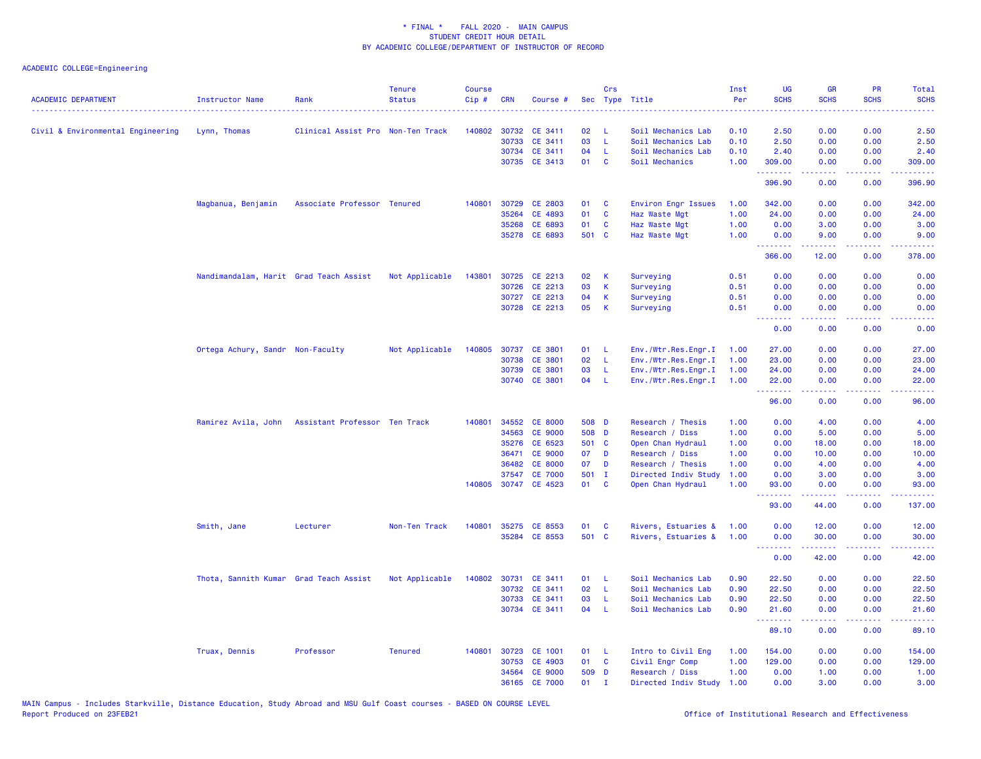| <b>ACADEMIC DEPARTMENT</b>        | <b>Instructor Name</b>                 | Rank                                              | <b>Tenure</b><br><b>Status</b> | <b>Course</b><br>$Cip$ # | <b>CRN</b>   | Course #                        |          | Crs                     | Sec Type Title                           | Inst<br>Per  | <b>UG</b><br><b>SCHS</b>                                 | <b>GR</b><br><b>SCHS</b>                                                                                                                                      | <b>PR</b><br><b>SCHS</b> | <b>Total</b><br><b>SCHS</b>                                                                                                                                    |
|-----------------------------------|----------------------------------------|---------------------------------------------------|--------------------------------|--------------------------|--------------|---------------------------------|----------|-------------------------|------------------------------------------|--------------|----------------------------------------------------------|---------------------------------------------------------------------------------------------------------------------------------------------------------------|--------------------------|----------------------------------------------------------------------------------------------------------------------------------------------------------------|
| Civil & Environmental Engineering | Lynn, Thomas                           | Clinical Assist Pro Non-Ten Track                 |                                |                          | 140802 30732 | CE 3411                         | 02       | -L                      | Soil Mechanics Lab                       | 0.10         | 2.50                                                     | 0.00                                                                                                                                                          | 0.00                     | 2.50                                                                                                                                                           |
|                                   |                                        |                                                   |                                |                          | 30733        | CE 3411                         | 03       | L                       | Soil Mechanics Lab                       | 0.10         | 2.50                                                     | 0.00                                                                                                                                                          | 0.00                     | 2.50                                                                                                                                                           |
|                                   |                                        |                                                   |                                |                          | 30734        | CE 3411                         | 04       | L                       | Soil Mechanics Lab                       | 0.10         | 2.40                                                     | 0.00                                                                                                                                                          | 0.00                     | 2.40                                                                                                                                                           |
|                                   |                                        |                                                   |                                |                          |              | 30735 CE 3413                   | 01       | $\mathbf{C}$            | Soil Mechanics                           | 1.00         | 309.00                                                   | 0.00                                                                                                                                                          | 0.00                     | 309.00                                                                                                                                                         |
|                                   |                                        |                                                   |                                |                          |              |                                 |          |                         |                                          |              | .<br>396.90                                              | -----<br>0.00                                                                                                                                                 | .<br>0.00                | $\frac{1}{2} \left( \frac{1}{2} \right) \left( \frac{1}{2} \right) \left( \frac{1}{2} \right) \left( \frac{1}{2} \right) \left( \frac{1}{2} \right)$<br>396.90 |
|                                   | Magbanua, Benjamin                     | Associate Professor Tenured                       |                                | 140801                   | 30729        | CE 2803                         | 01       | <b>C</b>                | Environ Engr Issues                      | 1.00         | 342.00                                                   | 0.00                                                                                                                                                          | 0.00                     | 342.00                                                                                                                                                         |
|                                   |                                        |                                                   |                                |                          | 35264        | CE 4893                         | 01       | C                       | Haz Waste Mgt                            | 1.00         | 24.00                                                    | 0.00                                                                                                                                                          | 0.00                     | 24.00                                                                                                                                                          |
|                                   |                                        |                                                   |                                |                          | 35268        | CE 6893                         | 01       | C                       | Haz Waste Mgt                            | 1.00         | 0.00                                                     | 3.00                                                                                                                                                          | 0.00                     | 3.00                                                                                                                                                           |
|                                   |                                        |                                                   |                                |                          | 35278        | CE 6893                         | 501 C    |                         | Haz Waste Mgt                            | 1.00         | 0.00                                                     | 9.00                                                                                                                                                          | 0.00                     | 9.00                                                                                                                                                           |
|                                   |                                        |                                                   |                                |                          |              |                                 |          |                         |                                          |              | .<br>366.00                                              | $\frac{1}{2} \left( \frac{1}{2} \right) \left( \frac{1}{2} \right) \left( \frac{1}{2} \right) \left( \frac{1}{2} \right) \left( \frac{1}{2} \right)$<br>12.00 | .<br>0.00                | .<br>378.00                                                                                                                                                    |
|                                   |                                        |                                                   |                                |                          |              |                                 |          |                         |                                          |              |                                                          |                                                                                                                                                               |                          |                                                                                                                                                                |
|                                   | Nandimandalam, Harit Grad Teach Assist |                                                   | Not Applicable                 | 143801                   |              | 30725 CE 2213                   | 02       | K                       | Surveying                                | 0.51         | 0.00                                                     | 0.00                                                                                                                                                          | 0.00                     | 0.00                                                                                                                                                           |
|                                   |                                        |                                                   |                                |                          | 30726        | CE 2213                         | 03       | К                       | Surveying                                | 0.51         | 0.00                                                     | 0.00                                                                                                                                                          | 0.00                     | 0.00                                                                                                                                                           |
|                                   |                                        |                                                   |                                |                          |              | 30727 CE 2213                   | 04       | К                       | Surveying                                | 0.51         | 0.00                                                     | 0.00                                                                                                                                                          | 0.00                     | 0.00                                                                                                                                                           |
|                                   |                                        |                                                   |                                |                          |              | 30728 CE 2213                   | 05       | К                       | Surveying                                | 0.51         | 0.00<br>.                                                | 0.00<br>-----                                                                                                                                                 | 0.00<br>.                | 0.00<br>.                                                                                                                                                      |
|                                   |                                        |                                                   |                                |                          |              |                                 |          |                         |                                          |              | 0.00                                                     | 0.00                                                                                                                                                          | 0.00                     | 0.00                                                                                                                                                           |
|                                   | Ortega Achury, Sandr Non-Faculty       |                                                   | Not Applicable                 |                          | 140805 30737 | <b>CE 3801</b>                  | 01       | L                       | Env./Wtr.Res.Engr.I                      | 1.00         | 27.00                                                    | 0.00                                                                                                                                                          | 0.00                     | 27.00                                                                                                                                                          |
|                                   |                                        |                                                   |                                |                          | 30738        | <b>CE 3801</b>                  | 02       | L                       | Env./Wtr.Res.Engr.I                      | 1.00         | 23.00                                                    | 0.00                                                                                                                                                          | 0.00                     | 23.00                                                                                                                                                          |
|                                   |                                        |                                                   |                                |                          | 30739        | CE 3801                         | 03       | L                       | Env./Wtr.Res.Engr.I                      | 1.00         | 24.00                                                    | 0.00                                                                                                                                                          | 0.00                     | 24.00                                                                                                                                                          |
|                                   |                                        |                                                   |                                |                          |              | 30740 CE 3801                   | 04       | -L                      | Env./Wtr.Res.Engr.I                      | 1.00         | 22.00                                                    | 0.00                                                                                                                                                          | 0.00                     | 22.00                                                                                                                                                          |
|                                   |                                        |                                                   |                                |                          |              |                                 |          |                         |                                          |              | .<br>96.00                                               | $\frac{1}{2} \left( \frac{1}{2} \right) \left( \frac{1}{2} \right) \left( \frac{1}{2} \right) \left( \frac{1}{2} \right) \left( \frac{1}{2} \right)$<br>0.00  | .<br>0.00                | .<br>96.00                                                                                                                                                     |
|                                   |                                        | Ramirez Avila, John Assistant Professor Ten Track |                                |                          | 140801 34552 | <b>CE 8000</b>                  | 508 D    |                         | Research / Thesis                        | 1.00         | 0.00                                                     | 4.00                                                                                                                                                          | 0.00                     | 4.00                                                                                                                                                           |
|                                   |                                        |                                                   |                                |                          | 34563        | <b>CE 9000</b>                  | 508 D    |                         | Research / Diss                          | 1.00         | 0.00                                                     | 5.00                                                                                                                                                          | 0.00                     | 5.00                                                                                                                                                           |
|                                   |                                        |                                                   |                                |                          | 35276        | CE 6523                         | 501 C    |                         | Open Chan Hydraul                        | 1.00         | 0.00                                                     | 18.00                                                                                                                                                         | 0.00                     | 18.00                                                                                                                                                          |
|                                   |                                        |                                                   |                                |                          | 36471        | <b>CE 9000</b>                  | 07       | D                       | Research / Diss                          | 1.00         | 0.00                                                     | 10.00                                                                                                                                                         | 0.00                     | 10.00                                                                                                                                                          |
|                                   |                                        |                                                   |                                |                          | 36482        | <b>CE 8000</b>                  | 07       | D                       | Research / Thesis                        | 1.00         | 0.00                                                     | 4.00                                                                                                                                                          | 0.00                     | 4.00                                                                                                                                                           |
|                                   |                                        |                                                   |                                |                          | 37547        | <b>CE 7000</b>                  | 501 I    |                         | Directed Indiv Study                     | 1.00         | 0.00                                                     | 3.00                                                                                                                                                          | 0.00                     | 3.00                                                                                                                                                           |
|                                   |                                        |                                                   |                                |                          | 140805 30747 | CE 4523                         | 01       | $\overline{\mathbf{C}}$ | Open Chan Hydraul                        | 1.00         | 93.00                                                    | 0.00                                                                                                                                                          | 0.00                     | 93.00                                                                                                                                                          |
|                                   |                                        |                                                   |                                |                          |              |                                 |          |                         |                                          |              | .<br>93.00                                               | 2.2.2.2.2<br>44.00                                                                                                                                            | .<br>0.00                | .<br>137.00                                                                                                                                                    |
|                                   | Smith, Jane                            | Lecturer                                          | Non-Ten Track                  |                          |              | 140801 35275 CE 8553            | 01       | <b>C</b>                | Rivers, Estuaries &                      | 1.00         | 0.00                                                     | 12.00                                                                                                                                                         | 0.00                     | 12.00                                                                                                                                                          |
|                                   |                                        |                                                   |                                |                          |              | 35284 CE 8553                   | 501 C    |                         | Rivers, Estuaries &                      | 1.00         | 0.00                                                     | 30.00                                                                                                                                                         | 0.00                     | 30.00                                                                                                                                                          |
|                                   |                                        |                                                   |                                |                          |              |                                 |          |                         |                                          |              | <b><i><u><u><b>Little Little</b></u></u></i></b><br>0.00 | .<br>42.00                                                                                                                                                    | .<br>0.00                | .<br>42.00                                                                                                                                                     |
|                                   |                                        |                                                   |                                |                          |              |                                 |          |                         |                                          |              |                                                          |                                                                                                                                                               |                          |                                                                                                                                                                |
|                                   | Thota, Sannith Kumar Grad Teach Assist |                                                   | Not Applicable                 |                          | 30732        | 140802 30731 CE 3411<br>CE 3411 | 01<br>02 | L<br>L                  | Soil Mechanics Lab<br>Soil Mechanics Lab | 0.90<br>0.90 | 22.50<br>22.50                                           | 0.00<br>0.00                                                                                                                                                  | 0.00<br>0.00             | 22.50<br>22.50                                                                                                                                                 |
|                                   |                                        |                                                   |                                |                          | 30733        | CE 3411                         | 03       | -L.                     | Soil Mechanics Lab                       | 0.90         | 22.50                                                    | 0.00                                                                                                                                                          | 0.00                     | 22.50                                                                                                                                                          |
|                                   |                                        |                                                   |                                |                          |              | 30734 CE 3411                   | 04       | - L                     | Soil Mechanics Lab                       | 0.90         | 21.60                                                    | 0.00                                                                                                                                                          | 0.00                     | 21.60                                                                                                                                                          |
|                                   |                                        |                                                   |                                |                          |              |                                 |          |                         |                                          |              | .<br>89.10                                               | $\frac{1}{2} \left( \frac{1}{2} \right) \left( \frac{1}{2} \right) \left( \frac{1}{2} \right) \left( \frac{1}{2} \right) \left( \frac{1}{2} \right)$<br>0.00  | .<br>0.00                | .<br>89.10                                                                                                                                                     |
|                                   |                                        |                                                   |                                |                          |              |                                 |          |                         |                                          |              |                                                          |                                                                                                                                                               |                          |                                                                                                                                                                |
|                                   | Truax, Dennis                          | Professor                                         | <b>Tenured</b>                 | 140801                   | 30723        | <b>CE 1001</b>                  | 01       | - L                     | Intro to Civil Eng                       | 1.00         | 154.00                                                   | 0.00                                                                                                                                                          | 0.00                     | 154.00                                                                                                                                                         |
|                                   |                                        |                                                   |                                |                          | 30753        | CE 4903                         | 01       | C                       | Civil Engr Comp                          | 1.00         | 129.00                                                   | 0.00                                                                                                                                                          | 0.00                     | 129.00                                                                                                                                                         |
|                                   |                                        |                                                   |                                |                          | 34564        | <b>CE 9000</b>                  | 509 D    |                         | Research / Diss                          | 1.00         | 0.00                                                     | 1.00                                                                                                                                                          | 0.00                     | 1.00                                                                                                                                                           |
|                                   |                                        |                                                   |                                |                          |              | 36165 CE 7000                   | 01       | $\mathbf{I}$            | Directed Indiv Study                     | 1.00         | 0.00                                                     | 3.00                                                                                                                                                          | 0.00                     | 3.00                                                                                                                                                           |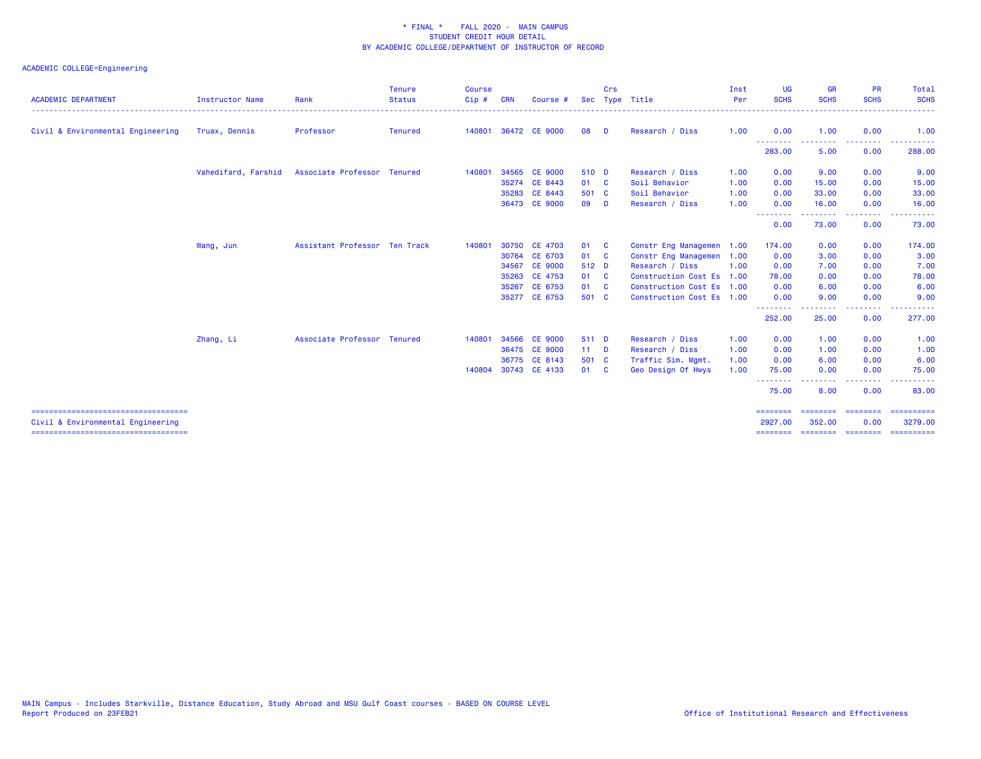| <b>ACADEMIC DEPARTMENT</b>                                                | <b>Instructor Name</b> | Rank                          | <b>Tenure</b><br><b>Status</b> | <b>Course</b><br>Cip# | <b>CRN</b> | Course         |        | Crs      | Sec Type Title            | Inst<br>Per | <b>UG</b><br><b>SCHS</b>     | <b>GR</b><br><b>SCHS</b> | <b>PR</b><br><b>SCHS</b> | Total<br><b>SCHS</b>                                                                                                                                                                                                                                                                                                                                                                                                                                                                              |
|---------------------------------------------------------------------------|------------------------|-------------------------------|--------------------------------|-----------------------|------------|----------------|--------|----------|---------------------------|-------------|------------------------------|--------------------------|--------------------------|---------------------------------------------------------------------------------------------------------------------------------------------------------------------------------------------------------------------------------------------------------------------------------------------------------------------------------------------------------------------------------------------------------------------------------------------------------------------------------------------------|
| Civil & Environmental Engineering                                         | Truax, Dennis          | Professor                     | Tenured                        | 140801                |            | 36472 CE 9000  | 08     | <b>D</b> | Research / Diss           | 1.00        | 0.00                         | 1.00                     | 0.00                     | .<br>1.00                                                                                                                                                                                                                                                                                                                                                                                                                                                                                         |
|                                                                           |                        |                               |                                |                       |            |                |        |          |                           |             | --------<br>283.00           | --------<br>5.00         | <b></b><br>0.00          | ----------<br>288.00                                                                                                                                                                                                                                                                                                                                                                                                                                                                              |
|                                                                           | Vahedifard, Farshid    | Associate Professor Tenured   |                                | 140801                |            | 34565 CE 9000  | 510 D  |          | Research / Diss           | 1.00        | 0.00                         | 9.00                     | 0.00                     | 9.00                                                                                                                                                                                                                                                                                                                                                                                                                                                                                              |
|                                                                           |                        |                               |                                |                       |            | 35274 CE 8443  | 01 C   |          | Soil Behavior             | 1.00        | 0.00                         | 15.00                    | 0.00                     | 15.00                                                                                                                                                                                                                                                                                                                                                                                                                                                                                             |
|                                                                           |                        |                               |                                |                       | 35283      | CE 8443        | 501 C  |          | Soil Behavior             | 1.00        | 0.00                         | 33.00                    | 0.00                     | 33.00                                                                                                                                                                                                                                                                                                                                                                                                                                                                                             |
|                                                                           |                        |                               |                                |                       |            | 36473 CE 9000  | 09     | <b>D</b> | Research / Diss           | 1.00        | 0.00                         | 16.00                    | 0.00                     | 16.00                                                                                                                                                                                                                                                                                                                                                                                                                                                                                             |
|                                                                           |                        |                               |                                |                       |            |                |        |          |                           |             | --------<br>0.00             | 73.00                    | ----<br>0.00             | 73.00                                                                                                                                                                                                                                                                                                                                                                                                                                                                                             |
|                                                                           | Wang, Jun              | Assistant Professor Ten Track |                                | 140801                |            | 30750 CE 4703  | 01     | <b>C</b> | Constr Eng Managemen 1.00 |             | 174.00                       | 0.00                     | 0.00                     | 174.00                                                                                                                                                                                                                                                                                                                                                                                                                                                                                            |
|                                                                           |                        |                               |                                |                       |            | 30764 CE 6703  | 01 C   |          | Constr Eng Managemen 1.00 |             | 0.00                         | 3.00                     | 0.00                     | 3.00                                                                                                                                                                                                                                                                                                                                                                                                                                                                                              |
|                                                                           |                        |                               |                                |                       | 34567      | <b>CE 9000</b> | 512 D  |          | Research / Diss           | 1.00        | 0.00                         | 7.00                     | 0.00                     | 7.00                                                                                                                                                                                                                                                                                                                                                                                                                                                                                              |
|                                                                           |                        |                               |                                |                       |            | 35263 CE 4753  | 01 C   |          | Construction Cost Es 1.00 |             | 78.00                        | 0.00                     | 0.00                     | 78.00                                                                                                                                                                                                                                                                                                                                                                                                                                                                                             |
|                                                                           |                        |                               |                                |                       | 35267      | CE 6753        | 01     | <b>C</b> | Construction Cost Es 1.00 |             | 0.00                         | 6.00                     | 0.00                     | 6.00                                                                                                                                                                                                                                                                                                                                                                                                                                                                                              |
|                                                                           |                        |                               |                                |                       |            | 35277 CE 6753  | 501 C  |          | Construction Cost Es 1.00 |             | 0.00                         | 9.00                     | 0.00                     | 9.00                                                                                                                                                                                                                                                                                                                                                                                                                                                                                              |
|                                                                           |                        |                               |                                |                       |            |                |        |          |                           |             | .<br>252.00                  | -----<br>25.00           | -----<br>0.00            | . <u>.</u> .<br>277.00                                                                                                                                                                                                                                                                                                                                                                                                                                                                            |
|                                                                           | Zhang, Li              | Associate Professor Tenured   |                                | 140801                | 34566      | <b>CE 9000</b> | 511 D  |          | Research / Diss           | 1.00        | 0.00                         | 1.00                     | 0.00                     | 1.00                                                                                                                                                                                                                                                                                                                                                                                                                                                                                              |
|                                                                           |                        |                               |                                |                       |            | 36475 CE 9000  | $11$ D |          | Research / Diss           | 1.00        | 0.00                         | 1.00                     | 0.00                     | 1.00                                                                                                                                                                                                                                                                                                                                                                                                                                                                                              |
|                                                                           |                        |                               |                                |                       |            | 36775 CE 8143  | 501 C  |          | Traffic Sim. Mgmt.        | 1.00        | 0.00                         | 6.00                     | 0.00                     | 6.00                                                                                                                                                                                                                                                                                                                                                                                                                                                                                              |
|                                                                           |                        |                               |                                | 140804                |            | 30743 CE 4133  | 01 C   |          | Geo Design Of Hwys        | 1.00        | 75.00                        | 0.00                     | 0.00                     | 75.00                                                                                                                                                                                                                                                                                                                                                                                                                                                                                             |
|                                                                           |                        |                               |                                |                       |            |                |        |          |                           |             | .<br>75.00                   | 8.00                     | ----<br>0.00             | 83.00                                                                                                                                                                                                                                                                                                                                                                                                                                                                                             |
| ====================================<br>Civil & Environmental Engineering |                        |                               |                                |                       |            |                |        |          |                           |             | $=$ = = = = = = =<br>2927.00 | ---------<br>352,00      | <b>CHREIBHE</b><br>0.00  | $\begin{array}{cccccccccc} \multicolumn{2}{c}{} & \multicolumn{2}{c}{} & \multicolumn{2}{c}{} & \multicolumn{2}{c}{} & \multicolumn{2}{c}{} & \multicolumn{2}{c}{} & \multicolumn{2}{c}{} & \multicolumn{2}{c}{} & \multicolumn{2}{c}{} & \multicolumn{2}{c}{} & \multicolumn{2}{c}{} & \multicolumn{2}{c}{} & \multicolumn{2}{c}{} & \multicolumn{2}{c}{} & \multicolumn{2}{c}{} & \multicolumn{2}{c}{} & \multicolumn{2}{c}{} & \multicolumn{2}{c}{} & \multicolumn{2}{c}{} & \mult$<br>3279.00 |
| ====================================                                      |                        |                               |                                |                       |            |                |        |          |                           |             |                              | ========                 | $= 222222222$            | ==========                                                                                                                                                                                                                                                                                                                                                                                                                                                                                        |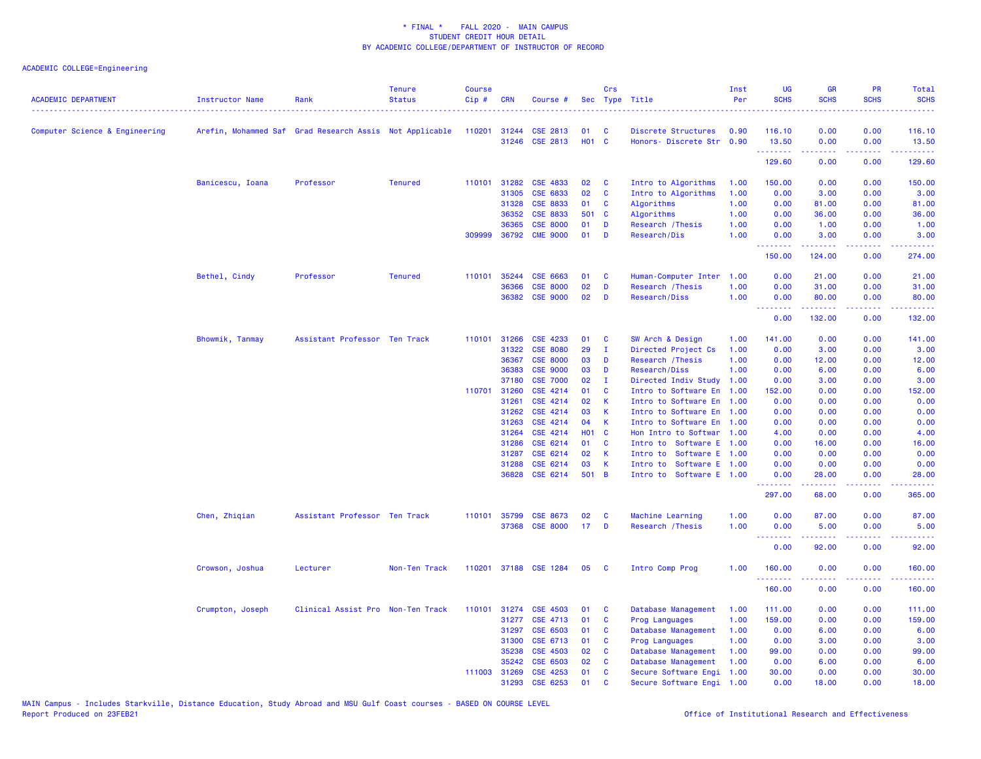| <b>ACADEMIC DEPARTMENT</b>     | <b>Instructor Name</b> | Rank                                                    | <b>Tenure</b><br><b>Status</b> | <b>Course</b><br>Cip# | <b>CRN</b>     | Course #              |                   | Crs            | Sec Type Title                                     | Inst<br>Per | UG<br><b>SCHS</b>        | <b>GR</b><br><b>SCHS</b>                                                                                                                                      | PR<br><b>SCHS</b> | Total<br><b>SCHS</b>                                                                                                                                           |
|--------------------------------|------------------------|---------------------------------------------------------|--------------------------------|-----------------------|----------------|-----------------------|-------------------|----------------|----------------------------------------------------|-------------|--------------------------|---------------------------------------------------------------------------------------------------------------------------------------------------------------|-------------------|----------------------------------------------------------------------------------------------------------------------------------------------------------------|
| Computer Science & Engineering |                        | Arefin, Mohammed Saf Grad Research Assis Not Applicable |                                | 110201 31244          |                | CSE 2813              | 01                | C              | Discrete Structures                                | 0.90        | 116.10                   | 0.00                                                                                                                                                          | 0.00              | 116.10                                                                                                                                                         |
|                                |                        |                                                         |                                |                       |                | 31246 CSE 2813        | H <sub>01</sub> C |                | Honors- Discrete Str 0.90                          |             | 13.50                    | 0.00                                                                                                                                                          | 0.00<br>والماعات  | 13.50<br>.                                                                                                                                                     |
|                                |                        |                                                         |                                |                       |                |                       |                   |                |                                                    |             | 129.60                   | 0.00                                                                                                                                                          | 0.00              | 129.60                                                                                                                                                         |
|                                | Banicescu, Ioana       | Professor                                               | <b>Tenured</b>                 |                       | 110101 31282   | <b>CSE 4833</b>       | 02                | C              | Intro to Algorithms                                | 1.00        | 150.00                   | 0.00                                                                                                                                                          | 0.00              | 150.00                                                                                                                                                         |
|                                |                        |                                                         |                                |                       | 31305          | CSE 6833              | 02                | C              | Intro to Algorithms                                | 1.00        | 0.00                     | 3.00                                                                                                                                                          | 0.00              | 3.00                                                                                                                                                           |
|                                |                        |                                                         |                                |                       | 31328          | <b>CSE 8833</b>       | 01                | <b>C</b>       | Algorithms                                         | 1.00        | 0.00                     | 81.00                                                                                                                                                         | 0.00              | 81.00                                                                                                                                                          |
|                                |                        |                                                         |                                |                       | 36352          | <b>CSE 8833</b>       | 501               | $\mathbf{C}$   | Algorithms                                         | 1.00        | 0.00                     | 36.00                                                                                                                                                         | 0.00              | 36.00                                                                                                                                                          |
|                                |                        |                                                         |                                |                       | 36365          | <b>CSE 8000</b>       | 01                | D              | Research / Thesis                                  | 1.00        | 0.00                     | 1.00                                                                                                                                                          | 0.00              | 1.00                                                                                                                                                           |
|                                |                        |                                                         |                                |                       |                | 309999 36792 CME 9000 | 01                | D              | Research/Dis                                       | 1.00        | 0.00<br>.                | 3.00<br>.                                                                                                                                                     | 0.00<br>.         | 3.00<br>$\frac{1}{2} \left( \frac{1}{2} \right) \left( \frac{1}{2} \right) \left( \frac{1}{2} \right) \left( \frac{1}{2} \right) \left( \frac{1}{2} \right)$   |
|                                |                        |                                                         |                                |                       |                |                       |                   |                |                                                    |             | 150.00                   | 124.00                                                                                                                                                        | 0.00              | 274.00                                                                                                                                                         |
|                                | Bethel, Cindy          | Professor                                               | <b>Tenured</b>                 | 110101                | 35244          | CSE 6663              | 01                | C              | Human-Computer Inter                               | 1.00        | 0.00                     | 21.00                                                                                                                                                         | 0.00              | 21.00                                                                                                                                                          |
|                                |                        |                                                         |                                |                       | 36366          | <b>CSE 8000</b>       | 02                | D              | Research / Thesis                                  | 1.00        | 0.00                     | 31.00                                                                                                                                                         | 0.00              | 31.00                                                                                                                                                          |
|                                |                        |                                                         |                                |                       | 36382          | <b>CSE 9000</b>       | 02                | D              | Research/Diss                                      | 1.00        | 0.00<br><b></b>          | 80.00<br>2.2.2.2.2.2                                                                                                                                          | 0.00<br>.         | 80.00<br>22222.                                                                                                                                                |
|                                |                        |                                                         |                                |                       |                |                       |                   |                |                                                    |             | 0.00                     | 132.00                                                                                                                                                        | 0.00              | 132.00                                                                                                                                                         |
|                                | Bhowmik, Tanmay        | Assistant Professor Ten Track                           |                                | 110101                | 31266          | CSE 4233              | 01                | C              | SW Arch & Design                                   | 1.00        | 141.00                   | 0.00                                                                                                                                                          | 0.00              | 141.00                                                                                                                                                         |
|                                |                        |                                                         |                                |                       | 31322          | <b>CSE 8080</b>       | 29                | $\mathbf{I}$   | Directed Project Cs                                | 1.00        | 0.00                     | 3.00                                                                                                                                                          | 0.00              | 3.00                                                                                                                                                           |
|                                |                        |                                                         |                                |                       | 36367          | <b>CSE 8000</b>       | 03                | D              | Research / Thesis                                  | 1.00        | 0.00                     | 12.00                                                                                                                                                         | 0.00              | 12.00                                                                                                                                                          |
|                                |                        |                                                         |                                |                       | 36383          | <b>CSE 9000</b>       | 03                | D              | Research/Diss                                      | 1.00        | 0.00                     | 6.00                                                                                                                                                          | 0.00              | 6.00                                                                                                                                                           |
|                                |                        |                                                         |                                |                       | 37180          | <b>CSE 7000</b>       | 02                | $\mathbf{I}$   | Directed Indiv Study                               | 1.00        | 0.00                     | 3.00                                                                                                                                                          | 0.00              | 3.00                                                                                                                                                           |
|                                |                        |                                                         |                                | 110701                | 31260          | CSE 4214              | 01                | C              | Intro to Software En                               | 1.00        | 152.00                   | 0.00                                                                                                                                                          | 0.00              | 152.00                                                                                                                                                         |
|                                |                        |                                                         |                                |                       | 31261          | CSE 4214              | 02                | К              | Intro to Software En 1.00                          |             | 0.00                     | 0.00                                                                                                                                                          | 0.00              | 0.00                                                                                                                                                           |
|                                |                        |                                                         |                                |                       | 31262          | CSE 4214              | 03                | К              | Intro to Software En                               | 1.00        | 0.00                     | 0.00                                                                                                                                                          | 0.00              | 0.00                                                                                                                                                           |
|                                |                        |                                                         |                                |                       | 31263          | CSE 4214              | 04                | К              | Intro to Software En                               | 1.00        | 0.00                     | 0.00                                                                                                                                                          | 0.00              | 0.00                                                                                                                                                           |
|                                |                        |                                                         |                                |                       | 31264          | CSE 4214              | <b>HO1</b><br>01  | C<br>C         | Hon Intro to Softwar 1.00                          |             | 4.00                     | 0.00                                                                                                                                                          | 0.00<br>0.00      | 4.00                                                                                                                                                           |
|                                |                        |                                                         |                                |                       | 31286<br>31287 | CSE 6214<br>CSE 6214  | 02                |                | Intro to Software E<br>Intro to<br>Software E 1.00 | 1.00        | 0.00<br>0.00             | 16.00<br>0.00                                                                                                                                                 | 0.00              | 16.00<br>0.00                                                                                                                                                  |
|                                |                        |                                                         |                                |                       | 31288          | CSE 6214              | 03                | К<br>К         | Intro to Software E 1.00                           |             | 0.00                     | 0.00                                                                                                                                                          | 0.00              | 0.00                                                                                                                                                           |
|                                |                        |                                                         |                                |                       | 36828          | CSE 6214              | 501               | $\overline{B}$ | Intro to Software E 1.00                           |             | 0.00                     | 28.00                                                                                                                                                         | 0.00              | 28.00                                                                                                                                                          |
|                                |                        |                                                         |                                |                       |                |                       |                   |                |                                                    |             | <u>.</u><br>297.00       | .<br>68.00                                                                                                                                                    | .<br>0.00         | .<br>365.00                                                                                                                                                    |
|                                | Chen, Zhiqian          | Assistant Professor Ten Track                           |                                | 110101                | 35799          | <b>CSE 8673</b>       | 02                | C              | Machine Learning                                   | 1.00        | 0.00                     | 87.00                                                                                                                                                         | 0.00              | 87.00                                                                                                                                                          |
|                                |                        |                                                         |                                |                       |                | 37368 CSE 8000        | 17                | D              | Research / Thesis                                  | 1.00        | 0.00                     | 5.00                                                                                                                                                          | 0.00              | 5.00                                                                                                                                                           |
|                                |                        |                                                         |                                |                       |                |                       |                   |                |                                                    |             | <u> 22222222</u><br>0.00 | $\frac{1}{2} \left( \frac{1}{2} \right) \left( \frac{1}{2} \right) \left( \frac{1}{2} \right) \left( \frac{1}{2} \right) \left( \frac{1}{2} \right)$<br>92.00 | .<br>0.00         | .<br>92.00                                                                                                                                                     |
|                                | Crowson, Joshua        | Lecturer                                                | Non-Ten Track                  |                       |                | 110201 37188 CSE 1284 | 05                | <b>C</b>       | Intro Comp Prog                                    | 1.00        | 160.00                   | 0.00                                                                                                                                                          | 0.00              | 160.00                                                                                                                                                         |
|                                |                        |                                                         |                                |                       |                |                       |                   |                |                                                    |             | .<br>160.00              | .<br>0.00                                                                                                                                                     | د د د د<br>0.00   | $\frac{1}{2} \left( \frac{1}{2} \right) \left( \frac{1}{2} \right) \left( \frac{1}{2} \right) \left( \frac{1}{2} \right) \left( \frac{1}{2} \right)$<br>160.00 |
|                                | Crumpton, Joseph       | Clinical Assist Pro Non-Ten Track                       |                                |                       | 110101 31274   | <b>CSE 4503</b>       | 01                | C              | Database Management                                | 1.00        | 111.00                   | 0.00                                                                                                                                                          | 0.00              | 111.00                                                                                                                                                         |
|                                |                        |                                                         |                                |                       | 31277          | CSE 4713              | 01                | <b>C</b>       | Prog Languages                                     | 1.00        | 159.00                   | 0.00                                                                                                                                                          | 0.00              | 159.00                                                                                                                                                         |
|                                |                        |                                                         |                                |                       | 31297          | <b>CSE 6503</b>       | 01                | C              | Database Management                                | 1.00        | 0.00                     | 6.00                                                                                                                                                          | 0.00              | 6.00                                                                                                                                                           |
|                                |                        |                                                         |                                |                       | 31300          | CSE 6713              | 01                | C              | Prog Languages                                     | 1.00        | 0.00                     | 3.00                                                                                                                                                          | 0.00              | 3.00                                                                                                                                                           |
|                                |                        |                                                         |                                |                       | 35238          | <b>CSE 4503</b>       | 02                | C              | Database Management                                | 1.00        | 99.00                    | 0.00                                                                                                                                                          | 0.00              | 99.00                                                                                                                                                          |
|                                |                        |                                                         |                                |                       | 35242          | <b>CSE 6503</b>       | 02                | C              | Database Management                                | 1.00        | 0.00                     | 6.00                                                                                                                                                          | 0.00              | 6.00                                                                                                                                                           |
|                                |                        |                                                         |                                |                       | 111003 31269   | CSE 4253              | 01                | C              | Secure Software Engi                               | 1.00        | 30.00                    | 0.00                                                                                                                                                          | 0.00              | 30.00                                                                                                                                                          |
|                                |                        |                                                         |                                |                       | 31293          | CSE 6253              | 01                | $\mathbf{C}$   | Secure Software Engi 1.00                          |             | 0.00                     | 18.00                                                                                                                                                         | 0.00              | 18.00                                                                                                                                                          |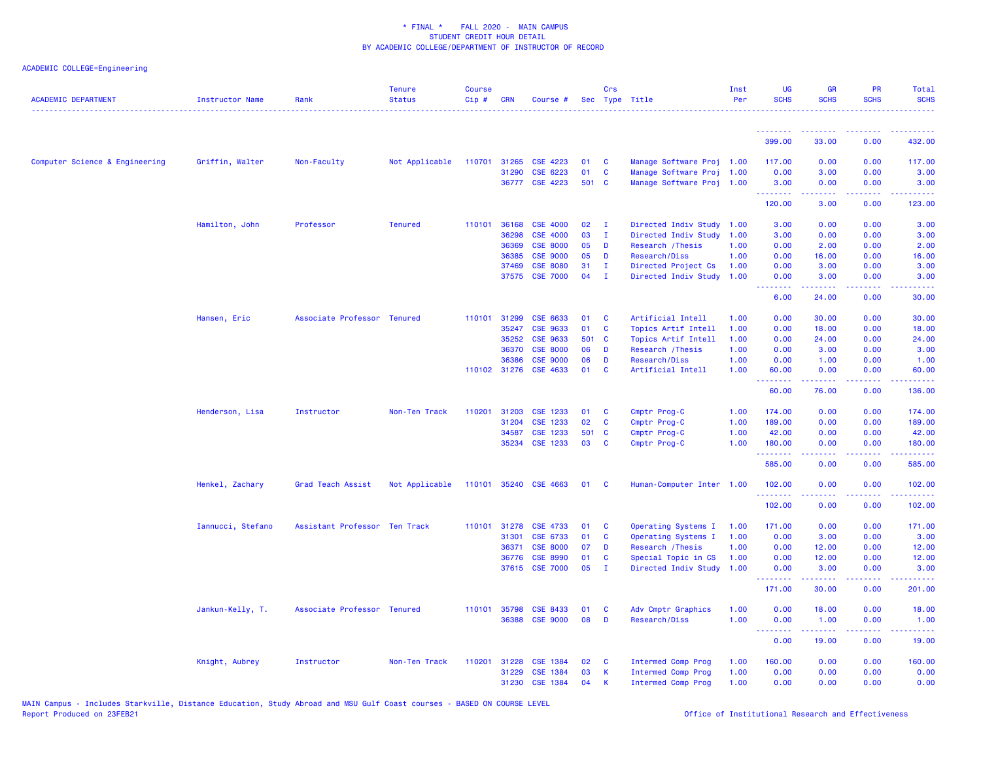| <b>ACADEMIC DEPARTMENT</b>     | Instructor Name   | Rank                          | <b>Tenure</b><br><b>Status</b> | <b>Course</b><br>Cip# | <b>CRN</b>   | Course #        |       | Crs          | Sec Type Title            | Inst<br>Per | <b>UG</b><br><b>SCHS</b>                           | <b>GR</b><br><b>SCHS</b> | <b>PR</b><br><b>SCHS</b> | Total<br><b>SCHS</b> |
|--------------------------------|-------------------|-------------------------------|--------------------------------|-----------------------|--------------|-----------------|-------|--------------|---------------------------|-------------|----------------------------------------------------|--------------------------|--------------------------|----------------------|
|                                |                   |                               |                                |                       |              |                 |       |              |                           |             | <b></b>                                            | .                        | .                        | $- - - - -$          |
|                                |                   |                               |                                |                       |              |                 |       |              |                           |             | 399.00                                             | 33.00                    | 0.00                     | 432.00               |
| Computer Science & Engineering | Griffin, Walter   | Non-Faculty                   | Not Applicable                 | 110701                | 31265        | CSE 4223        | 01    | C            | Manage Software Proj 1.00 |             | 117.00                                             | 0.00                     | 0.00                     | 117.00               |
|                                |                   |                               |                                |                       | 31290        | CSE 6223        | 01    | C            | Manage Software Proj      | 1.00        | 0.00                                               | 3.00                     | 0.00                     | 3.00                 |
|                                |                   |                               |                                |                       |              | 36777 CSE 4223  | 501 C |              | Manage Software Proj 1.00 |             | 3.00<br><b><i><u><u> - - - - - - -</u></u></i></b> | 0.00<br>-----            | 0.00<br>.                | 3.00<br>.            |
|                                |                   |                               |                                |                       |              |                 |       |              |                           |             | 120.00                                             | 3.00                     | 0.00                     | 123.00               |
|                                | Hamilton, John    | Professor                     | <b>Tenured</b>                 | 110101                | 36168        | <b>CSE 4000</b> | 02    | $\mathbf{I}$ | Directed Indiv Study      | 1.00        | 3.00                                               | 0.00                     | 0.00                     | 3.00                 |
|                                |                   |                               |                                |                       | 36298        | <b>CSE 4000</b> | 03    | л.           | Directed Indiv Study      | 1.00        | 3.00                                               | 0.00                     | 0.00                     | 3.00                 |
|                                |                   |                               |                                |                       | 36369        | <b>CSE 8000</b> | 05    | D            | Research / Thesis         | 1.00        | 0.00                                               | 2.00                     | 0.00                     | 2.00                 |
|                                |                   |                               |                                |                       | 36385        | <b>CSE 9000</b> | 05    | D            | Research/Diss             | 1.00        | 0.00                                               | 16.00                    | 0.00                     | 16.00                |
|                                |                   |                               |                                |                       | 37469        | <b>CSE 8080</b> | 31    | I.           | Directed Project Cs       | 1.00        | 0.00                                               | 3.00                     | 0.00                     | 3.00                 |
|                                |                   |                               |                                |                       |              | 37575 CSE 7000  | 04    | $\mathbf{I}$ | Directed Indiv Study      | 1.00        | 0.00<br><b><i><u><u> - - - - - - -</u></u></i></b> | 3.00<br>22222            | 0.00<br>.                | 3.00<br>.            |
|                                |                   |                               |                                |                       |              |                 |       |              |                           |             | 6.00                                               | 24.00                    | 0.00                     | 30.00                |
|                                | Hansen, Eric      | Associate Professor Tenured   |                                |                       | 110101 31299 | CSE 6633        | 01    | C            | Artificial Intell         | 1.00        | 0.00                                               | 30.00                    | 0.00                     | 30.00                |
|                                |                   |                               |                                |                       | 35247        | CSE 9633        | 01    | $\mathbf{C}$ | Topics Artif Intell       | 1.00        | 0.00                                               | 18.00                    | 0.00                     | 18.00                |
|                                |                   |                               |                                |                       | 35252        | <b>CSE 9633</b> |       | 501 C        | Topics Artif Intell       | 1.00        | 0.00                                               | 24.00                    | 0.00                     | 24.00                |
|                                |                   |                               |                                |                       | 36370        | <b>CSE 8000</b> | 06    | D            | Research / Thesis         | 1.00        | 0.00                                               | 3.00                     | 0.00                     | 3.00                 |
|                                |                   |                               |                                |                       | 36386        | <b>CSE 9000</b> | 06    | D            | Research/Diss             | 1.00        | 0.00                                               | 1.00                     | 0.00                     | 1.00                 |
|                                |                   |                               |                                |                       | 110102 31276 | CSE 4633        | 01    | C            | Artificial Intell         | 1.00        | 60.00                                              | 0.00                     | 0.00                     | 60.00                |
|                                |                   |                               |                                |                       |              |                 |       |              |                           |             | المستسمية<br>60.00                                 | بالأبابات<br>76.00       | الأبالات<br>0.00         | المتمامي<br>136.00   |
|                                | Henderson, Lisa   | Instructor                    | Non-Ten Track                  | 110201                | 31203        | CSE 1233        | 01    | C            | Cmptr Prog-C              | 1.00        | 174.00                                             | 0.00                     | 0.00                     | 174.00               |
|                                |                   |                               |                                |                       | 31204        | CSE 1233        | 02    | C            | Cmptr Prog-C              | 1.00        | 189.00                                             | 0.00                     | 0.00                     | 189.00               |
|                                |                   |                               |                                |                       | 34587        | CSE 1233        | 501   | C            | Cmptr Prog-C              | 1.00        | 42.00                                              | 0.00                     | 0.00                     | 42.00                |
|                                |                   |                               |                                |                       | 35234        | <b>CSE 1233</b> | 03    | C            | Cmptr Prog-C              | 1.00        | 180.00                                             | 0.00                     | 0.00                     | 180.00               |
|                                |                   |                               |                                |                       |              |                 |       |              |                           |             | .<br>585.00                                        | .<br>0.00                | بالأباء<br>0.00          | وبالمستمال<br>585.00 |
|                                | Henkel, Zachary   | Grad Teach Assist             | Not Applicable                 | 110101                |              | 35240 CSE 4663  | 01    | <b>C</b>     | Human-Computer Inter 1.00 |             | 102.00                                             | 0.00                     | 0.00                     | 102.00               |
|                                |                   |                               |                                |                       |              |                 |       |              |                           |             | .<br>102.00                                        | .<br>0.00                | .<br>0.00                | .<br>102.00          |
|                                | Iannucci, Stefano | Assistant Professor Ten Track |                                | 110101                | 31278        | CSE 4733        | 01    | C            | Operating Systems I       | 1.00        | 171.00                                             | 0.00                     | 0.00                     | 171.00               |
|                                |                   |                               |                                |                       | 31301        | CSE 6733        | 01    | C            | Operating Systems I       | 1.00        | 0.00                                               | 3.00                     | 0.00                     | 3.00                 |
|                                |                   |                               |                                |                       | 36371        | <b>CSE 8000</b> | 07    | D            | Research / Thesis         | 1.00        | 0.00                                               | 12.00                    | 0.00                     | 12.00                |
|                                |                   |                               |                                |                       | 36776        | <b>CSE 8990</b> | 01    | C            | Special Topic in CS       | 1.00        | 0.00                                               | 12.00                    | 0.00                     | 12.00                |
|                                |                   |                               |                                |                       |              | 37615 CSE 7000  | 05    | $\mathbf{I}$ | Directed Indiv Study      | 1.00        | 0.00<br><b></b>                                    | 3.00<br><u>.</u>         | 0.00<br>.                | 3.00<br><u>.</u>     |
|                                |                   |                               |                                |                       |              |                 |       |              |                           |             | 171.00                                             | 30.00                    | 0.00                     | 201.00               |
|                                | Jankun-Kelly, T.  | Associate Professor Tenured   |                                |                       | 110101 35798 | CSE 8433        | 01    | C            | Adv Cmptr Graphics        | 1.00        | 0.00                                               | 18.00                    | 0.00                     | 18.00                |
|                                |                   |                               |                                |                       |              | 36388 CSE 9000  | 08    | D            | Research/Diss             | 1.00        | 0.00                                               | 1.00                     | 0.00                     | 1.00                 |
|                                |                   |                               |                                |                       |              |                 |       |              |                           |             | <b><i><u><u> - - - - - - -</u></u></i></b><br>0.00 | .<br>19.00               | .<br>0.00                | .<br>19.00           |
|                                | Knight, Aubrey    | Instructor                    | Non-Ten Track                  | 110201                | 31228        | <b>CSE 1384</b> | 02    | C            | <b>Intermed Comp Prog</b> | 1.00        | 160.00                                             | 0.00                     | 0.00                     | 160.00               |
|                                |                   |                               |                                |                       | 31229        | CSE 1384        | 03    | К            | Intermed Comp Prog        | 1.00        | 0.00                                               | 0.00                     | 0.00                     | 0.00                 |
|                                |                   |                               |                                |                       | 31230        | <b>CSE 1384</b> | 04    | K            | <b>Intermed Comp Prog</b> | 1.00        | 0.00                                               | 0.00                     | 0.00                     | 0.00                 |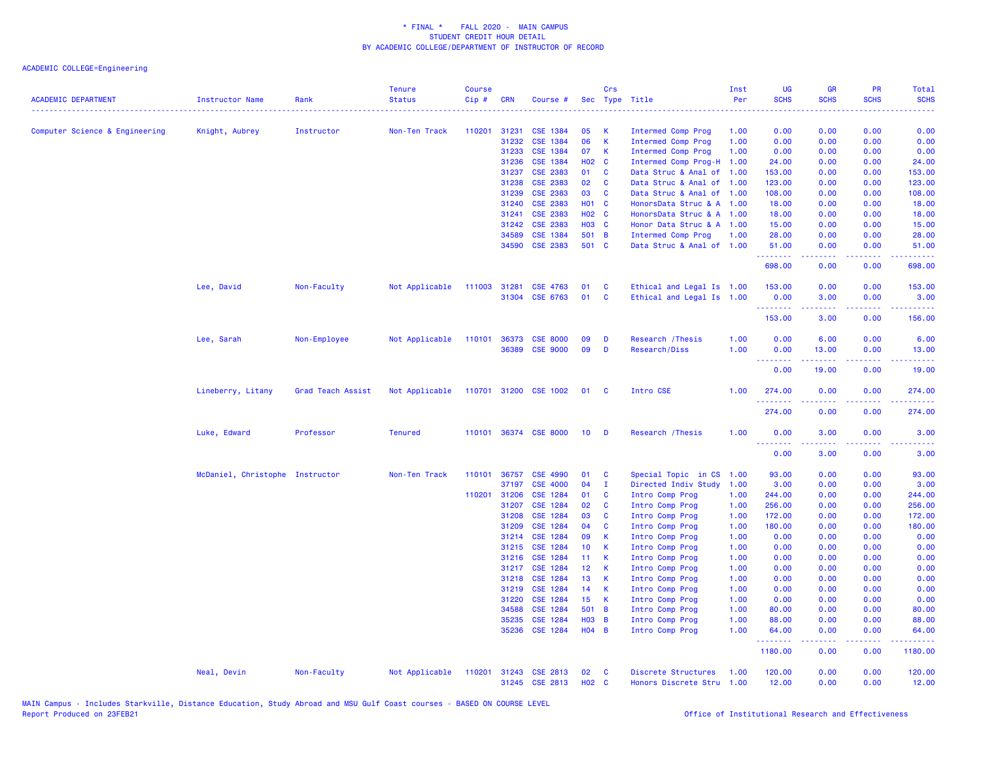| <b>ACADEMIC DEPARTMENT</b>     | <b>Instructor Name</b>          | Rank              | <b>Tenure</b><br><b>Status</b> | <b>Course</b><br>Cip# | <b>CRN</b>     | Course #                           |                       | Crs            | Sec Type Title                     | Inst<br>Per  | <b>UG</b><br><b>SCHS</b> | <b>GR</b><br><b>SCHS</b>                                                                                                                                     | PR<br><b>SCHS</b> | Total<br><b>SCHS</b>                                                                                                               |
|--------------------------------|---------------------------------|-------------------|--------------------------------|-----------------------|----------------|------------------------------------|-----------------------|----------------|------------------------------------|--------------|--------------------------|--------------------------------------------------------------------------------------------------------------------------------------------------------------|-------------------|------------------------------------------------------------------------------------------------------------------------------------|
| Computer Science & Engineering | Knight, Aubrey                  | Instructor        | Non-Ten Track                  | 110201                | 31231          | <b>CSE 1384</b>                    | 05                    | K              | Intermed Comp Prog                 | 1.00         | 0.00                     | 0.00                                                                                                                                                         | 0.00              | 0.00                                                                                                                               |
|                                |                                 |                   |                                |                       | 31232          | <b>CSE 1384</b>                    | 06                    | $\mathsf{K}$   | Intermed Comp Prog                 | 1.00         | 0.00                     | 0.00                                                                                                                                                         | 0.00              | 0.00                                                                                                                               |
|                                |                                 |                   |                                |                       | 31233          | <b>CSE 1384</b>                    | 07                    | K              | Intermed Comp Prog                 | 1.00         | 0.00                     | 0.00                                                                                                                                                         | 0.00              | 0.00                                                                                                                               |
|                                |                                 |                   |                                |                       | 31236          | <b>CSE 1384</b>                    | H02 C                 |                | Intermed Comp Prog-H 1.00          |              | 24.00                    | 0.00                                                                                                                                                         | 0.00              | 24.00                                                                                                                              |
|                                |                                 |                   |                                |                       | 31237          | <b>CSE 2383</b>                    | 01                    | C              | Data Struc & Anal of               | 1.00         | 153.00                   | 0.00                                                                                                                                                         | 0.00              | 153.00                                                                                                                             |
|                                |                                 |                   |                                |                       | 31238          | <b>CSE 2383</b>                    | 02                    | C              | Data Struc & Anal of 1.00          |              | 123.00                   | 0.00                                                                                                                                                         | 0.00              | 123.00                                                                                                                             |
|                                |                                 |                   |                                |                       | 31239          | <b>CSE 2383</b>                    | 03                    | $\mathbf c$    | Data Struc & Anal of 1.00          |              | 108.00                   | 0.00                                                                                                                                                         | 0.00              | 108.00                                                                                                                             |
|                                |                                 |                   |                                |                       | 31240          | <b>CSE 2383</b>                    | <b>HO1 C</b>          |                | HonorsData Struc & A 1.00          |              | 18.00                    | 0.00                                                                                                                                                         | 0.00              | 18.00                                                                                                                              |
|                                |                                 |                   |                                |                       | 31241          | <b>CSE 2383</b>                    | <b>HO2 C</b>          |                | HonorsData Struc & A 1.00          |              | 18.00                    | 0.00                                                                                                                                                         | 0.00              | 18.00                                                                                                                              |
|                                |                                 |                   |                                |                       | 31242          | <b>CSE 2383</b>                    | <b>H03 C</b>          |                | Honor Data Struc & A 1.00          |              | 15.00                    | 0.00                                                                                                                                                         | 0.00              | 15.00                                                                                                                              |
|                                |                                 |                   |                                |                       | 34589          | <b>CSE 1384</b>                    | 501 B                 |                | Intermed Comp Prog                 | 1.00         | 28.00                    | 0.00                                                                                                                                                         | 0.00              | 28.00                                                                                                                              |
|                                |                                 |                   |                                |                       | 34590          | <b>CSE 2383</b>                    | 501 C                 |                | Data Struc & Anal of 1.00          |              | 51.00<br>.               | 0.00<br>.                                                                                                                                                    | 0.00              | 51.00                                                                                                                              |
|                                |                                 |                   |                                |                       |                |                                    |                       |                |                                    |              | 698.00                   | 0.00                                                                                                                                                         | 0.00              | 698.00                                                                                                                             |
|                                | Lee, David                      | Non-Faculty       | Not Applicable                 | 111003 31281          |                | <b>CSE 4763</b>                    | 01                    | C              | Ethical and Legal Is 1.00          |              | 153.00                   | 0.00                                                                                                                                                         | 0.00              | 153.00                                                                                                                             |
|                                |                                 |                   |                                |                       |                | 31304 CSE 6763                     | 01                    | C              | Ethical and Legal Is 1.00          |              | 0.00<br>.                | 3.00<br>$\frac{1}{2} \left( \frac{1}{2} \right) \left( \frac{1}{2} \right) \left( \frac{1}{2} \right) \left( \frac{1}{2} \right) \left( \frac{1}{2} \right)$ | 0.00<br>.         | 3.00<br>.                                                                                                                          |
|                                |                                 |                   |                                |                       |                |                                    |                       |                |                                    |              | 153.00                   | 3.00                                                                                                                                                         | 0.00              | 156.00                                                                                                                             |
|                                | Lee, Sarah                      | Non-Employee      | Not Applicable                 | 110101 36373          |                | <b>CSE 8000</b>                    | 09                    | D              | Research / Thesis                  | 1.00         | 0.00                     | 6.00                                                                                                                                                         | 0.00              | 6.00                                                                                                                               |
|                                |                                 |                   |                                |                       | 36389          | <b>CSE 9000</b>                    | 09                    | D              | Research/Diss                      | 1.00         | 0.00<br>.                | 13.00                                                                                                                                                        | 0.00              | 13.00<br>.                                                                                                                         |
|                                |                                 |                   |                                |                       |                |                                    |                       |                |                                    |              | 0.00                     | 19.00                                                                                                                                                        | .<br>0.00         | 19.00                                                                                                                              |
|                                | Lineberry, Litany               | Grad Teach Assist | Not Applicable                 |                       |                | 110701 31200 CSE 1002              | 01                    | $\mathbf{C}$   | Intro CSE                          | 1.00         | 274.00                   | 0.00                                                                                                                                                         | 0.00              | 274.00                                                                                                                             |
|                                |                                 |                   |                                |                       |                |                                    |                       |                |                                    |              | 274.00                   | 0.00                                                                                                                                                         | 0.00              | 274.00                                                                                                                             |
|                                | Luke, Edward                    | Professor         | <b>Tenured</b>                 |                       |                | 110101 36374 CSE 8000              | 10                    | D              | Research / Thesis                  | 1.00         | 0.00                     | 3.00                                                                                                                                                         | 0.00              | 3.00                                                                                                                               |
|                                |                                 |                   |                                |                       |                |                                    |                       |                |                                    |              | .<br>0.00                | 3.00                                                                                                                                                         | 0.00              | 3.00                                                                                                                               |
|                                | McDaniel, Christophe Instructor |                   | Non-Ten Track                  | 110101                | 36757          | <b>CSE 4990</b>                    | 01                    | C              | Special Topic in CS                | 1.00         | 93.00                    | 0.00                                                                                                                                                         | 0.00              | 93.00                                                                                                                              |
|                                |                                 |                   |                                |                       | 37197          | <b>CSE 4000</b>                    | 04                    | $\mathbf{I}$   | Directed Indiv Study               | 1.00         | 3.00                     | 0.00                                                                                                                                                         | 0.00              | 3.00                                                                                                                               |
|                                |                                 |                   |                                |                       | 110201 31206   | <b>CSE 1284</b>                    | 01                    | <b>C</b>       | Intro Comp Prog                    | 1.00         | 244.00                   | 0.00                                                                                                                                                         | 0.00              | 244.00                                                                                                                             |
|                                |                                 |                   |                                |                       | 31207          | <b>CSE 1284</b>                    | 02                    | C              | Intro Comp Prog                    | 1.00         | 256.00                   | 0.00                                                                                                                                                         | 0.00              | 256.00                                                                                                                             |
|                                |                                 |                   |                                |                       | 31208          | CSE 1284                           | 03                    | C              | Intro Comp Prog                    | 1.00         | 172.00                   | 0.00                                                                                                                                                         | 0.00              | 172.00                                                                                                                             |
|                                |                                 |                   |                                |                       | 31209          | CSE 1284                           | 04                    | C              | Intro Comp Prog                    | 1.00         | 180.00                   | 0.00                                                                                                                                                         | 0.00              | 180.00                                                                                                                             |
|                                |                                 |                   |                                |                       | 31214          | CSE 1284                           | 09                    | K              | Intro Comp Prog                    | 1.00         | 0.00                     | 0.00                                                                                                                                                         | 0.00              | 0.00                                                                                                                               |
|                                |                                 |                   |                                |                       | 31215<br>31216 | <b>CSE 1284</b><br><b>CSE 1284</b> | 10 <sub>1</sub><br>11 | К<br>K         | Intro Comp Prog                    | 1.00<br>1.00 | 0.00<br>0.00             | 0.00<br>0.00                                                                                                                                                 | 0.00<br>0.00      | 0.00                                                                                                                               |
|                                |                                 |                   |                                |                       | 31217          | <b>CSE 1284</b>                    | 12                    | К              | Intro Comp Prog<br>Intro Comp Prog | 1.00         | 0.00                     | 0.00                                                                                                                                                         | 0.00              | 0.00<br>0.00                                                                                                                       |
|                                |                                 |                   |                                |                       | 31218          | CSE 1284                           | 13                    | K              | Intro Comp Prog                    | 1.00         | 0.00                     | 0.00                                                                                                                                                         | 0.00              | 0.00                                                                                                                               |
|                                |                                 |                   |                                |                       | 31219          | <b>CSE 1284</b>                    | 14                    | K              | Intro Comp Prog                    | 1.00         | 0.00                     | 0.00                                                                                                                                                         | 0.00              | 0.00                                                                                                                               |
|                                |                                 |                   |                                |                       | 31220          | <b>CSE 1284</b>                    | 15                    | К              | Intro Comp Prog                    | 1.00         | 0.00                     | 0.00                                                                                                                                                         | 0.00              | 0.00                                                                                                                               |
|                                |                                 |                   |                                |                       | 34588          | CSE 1284                           | 501 B                 |                | Intro Comp Prog                    | 1.00         | 80.00                    | 0.00                                                                                                                                                         | 0.00              | 80.00                                                                                                                              |
|                                |                                 |                   |                                |                       | 35235          | <b>CSE 1284</b>                    | <b>HO3</b>            | $\overline{B}$ | Intro Comp Prog                    | 1.00         | 88.00                    | 0.00                                                                                                                                                         | 0.00              | 88.00                                                                                                                              |
|                                |                                 |                   |                                |                       | 35236          | CSE 1284                           | $H04$ B               |                | Intro Comp Prog                    | 1.00         | 64.00<br>.               | 0.00<br>22222                                                                                                                                                | 0.00<br>.         | 64.00<br>$\frac{1}{2} \left( \frac{1}{2} \right) \left( \frac{1}{2} \right) \left( \frac{1}{2} \right) \left( \frac{1}{2} \right)$ |
|                                |                                 |                   |                                |                       |                |                                    |                       |                |                                    |              | 1180.00                  | 0.00                                                                                                                                                         | 0.00              | 1180.00                                                                                                                            |
|                                | Neal, Devin                     | Non-Faculty       | Not Applicable                 | 110201                |                | 31243 CSE 2813                     | 02                    | C              | Discrete Structures                | 1.00         | 120.00                   | 0.00                                                                                                                                                         | 0.00              | 120.00                                                                                                                             |
|                                |                                 |                   |                                |                       |                | 31245 CSE 2813                     | <b>HO2 C</b>          |                | Honors Discrete Stru 1.00          |              | 12.00                    | 0.00                                                                                                                                                         | 0.00              | 12.00                                                                                                                              |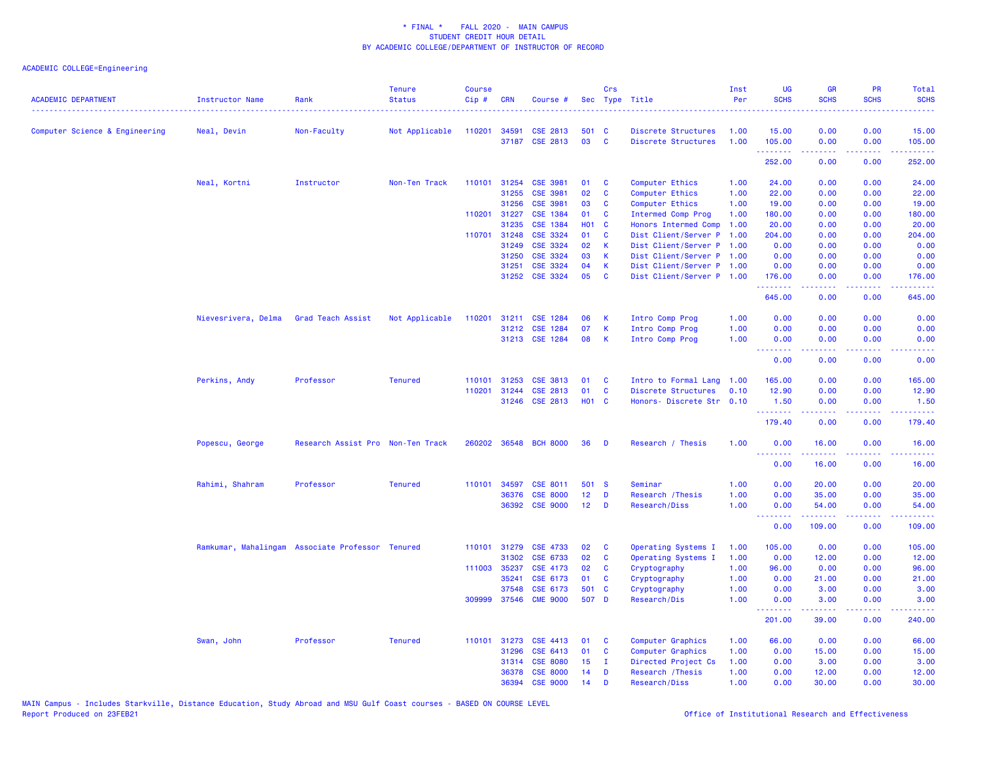| <b>ACADEMIC DEPARTMENT</b>     | <b>Instructor Name</b> | Rank                                             | <b>Tenure</b><br><b>Status</b> | <b>Course</b><br>Cip# | <b>CRN</b>   | Course #              | Sec               | Crs      | Type Title                | Inst<br>Per | <b>UG</b><br><b>SCHS</b> | <b>GR</b><br><b>SCHS</b>                                                                                                                                     | PR<br><b>SCHS</b>                                                                                      | Total<br><b>SCHS</b>                 |
|--------------------------------|------------------------|--------------------------------------------------|--------------------------------|-----------------------|--------------|-----------------------|-------------------|----------|---------------------------|-------------|--------------------------|--------------------------------------------------------------------------------------------------------------------------------------------------------------|--------------------------------------------------------------------------------------------------------|--------------------------------------|
| Computer Science & Engineering | Neal, Devin            | Non-Faculty                                      | Not Applicable                 | 110201                | 34591        | <b>CSE 2813</b>       | 501 C             |          | Discrete Structures       | 1.00        | 15.00                    | 0.00                                                                                                                                                         | 0.00                                                                                                   | 15.00                                |
|                                |                        |                                                  |                                |                       |              | 37187 CSE 2813        | 03                | C        | Discrete Structures       | 1.00        | 105.00                   | 0.00                                                                                                                                                         | 0.00                                                                                                   | 105.00                               |
|                                |                        |                                                  |                                |                       |              |                       |                   |          |                           |             | .<br>252.00              | $\frac{1}{2} \left( \frac{1}{2} \right) \left( \frac{1}{2} \right) \left( \frac{1}{2} \right) \left( \frac{1}{2} \right) \left( \frac{1}{2} \right)$<br>0.00 | .<br>0.00                                                                                              | وعاعاته عامل<br>252.00               |
|                                | Neal, Kortni           | Instructor                                       | Non-Ten Track                  | 110101                | 31254        | <b>CSE 3981</b>       | 01                | C        | Computer Ethics           | 1.00        | 24.00                    | 0.00                                                                                                                                                         | 0.00                                                                                                   | 24.00                                |
|                                |                        |                                                  |                                |                       | 31255        | <b>CSE 3981</b>       | 02                | C        | Computer Ethics           | 1.00        | 22.00                    | 0.00                                                                                                                                                         | 0.00                                                                                                   | 22.00                                |
|                                |                        |                                                  |                                |                       | 31256        | <b>CSE 3981</b>       | 03                | C        | Computer Ethics           | 1.00        | 19.00                    | 0.00                                                                                                                                                         | 0.00                                                                                                   | 19.00                                |
|                                |                        |                                                  |                                | 110201 31227          |              | CSE 1384              | 01                | C        | Intermed Comp Prog        | 1.00        | 180.00                   | 0.00                                                                                                                                                         | 0.00                                                                                                   | 180.00                               |
|                                |                        |                                                  |                                |                       | 31235        | CSE 1384              | <b>HO1 C</b>      |          | Honors Intermed Comp      | 1.00        | 20.00                    | 0.00                                                                                                                                                         | 0.00                                                                                                   | 20.00                                |
|                                |                        |                                                  |                                |                       | 110701 31248 | CSE 3324              | 01                | C        | Dist Client/Server P      | 1.00        | 204.00                   | 0.00                                                                                                                                                         | 0.00                                                                                                   | 204.00                               |
|                                |                        |                                                  |                                |                       | 31249        | CSE 3324              | 02                | К        | Dist Client/Server P      | 1.00        | 0.00                     | 0.00                                                                                                                                                         | 0.00                                                                                                   | 0.00                                 |
|                                |                        |                                                  |                                |                       | 31250        | CSE 3324              | 03                | К        | Dist Client/Server P 1.00 |             | 0.00                     | 0.00                                                                                                                                                         | 0.00                                                                                                   | 0.00                                 |
|                                |                        |                                                  |                                |                       | 31251        | CSE 3324              | 04                | K        | Dist Client/Server P 1.00 |             | 0.00                     | 0.00                                                                                                                                                         | 0.00                                                                                                   | 0.00                                 |
|                                |                        |                                                  |                                |                       |              | 31252 CSE 3324        | 05                | C        | Dist Client/Server P 1.00 |             | 176.00                   | 0.00                                                                                                                                                         | 0.00                                                                                                   | 176.00                               |
|                                |                        |                                                  |                                |                       |              |                       |                   |          |                           |             | .<br>645.00              | 0.00                                                                                                                                                         | $\frac{1}{2} \left( \frac{1}{2} \right) \left( \frac{1}{2} \right) \left( \frac{1}{2} \right)$<br>0.00 | .<br>645.00                          |
|                                | Nievesrivera, Delma    | <b>Grad Teach Assist</b>                         | Not Applicable                 | 110201                | 31211        | <b>CSE 1284</b>       | 06                | K        | Intro Comp Prog           | 1.00        | 0.00                     | 0.00                                                                                                                                                         | 0.00                                                                                                   | 0.00                                 |
|                                |                        |                                                  |                                |                       |              | 31212 CSE 1284        | 07                | K        | Intro Comp Prog           | 1.00        | 0.00                     | 0.00                                                                                                                                                         | 0.00                                                                                                   | 0.00                                 |
|                                |                        |                                                  |                                |                       |              | 31213 CSE 1284        | 08                | К        | Intro Comp Prog           | 1.00        | 0.00                     | 0.00                                                                                                                                                         | 0.00                                                                                                   | 0.00                                 |
|                                |                        |                                                  |                                |                       |              |                       |                   |          |                           |             | .                        | <b>.</b>                                                                                                                                                     | .                                                                                                      | .                                    |
|                                |                        |                                                  |                                |                       |              |                       |                   |          |                           |             | 0.00                     | 0.00                                                                                                                                                         | 0.00                                                                                                   | 0.00                                 |
|                                | Perkins, Andy          | Professor                                        | <b>Tenured</b>                 | 110101                | 31253        | <b>CSE 3813</b>       | 01                | C        | Intro to Formal Lang      | 1.00        | 165.00                   | 0.00                                                                                                                                                         | 0.00                                                                                                   | 165.00                               |
|                                |                        |                                                  |                                | 110201                | 31244        | CSE 2813              | 01                | C        | Discrete Structures       | 0.10        | 12.90                    | 0.00                                                                                                                                                         | 0.00                                                                                                   | 12.90                                |
|                                |                        |                                                  |                                |                       |              | 31246 CSE 2813        | H <sub>01</sub> C |          | Honors- Discrete Str 0.10 |             | 1.50                     | 0.00                                                                                                                                                         | 0.00                                                                                                   | 1.50                                 |
|                                |                        |                                                  |                                |                       |              |                       |                   |          |                           |             | .                        | $\frac{1}{2} \left( \frac{1}{2} \right) \left( \frac{1}{2} \right) \left( \frac{1}{2} \right) \left( \frac{1}{2} \right) \left( \frac{1}{2} \right)$         | .                                                                                                      | <b><i><u><u> - - - -</u></u></i></b> |
|                                |                        |                                                  |                                |                       |              |                       |                   |          |                           |             | 179.40                   | 0.00                                                                                                                                                         | 0.00                                                                                                   | 179.40                               |
|                                | Popescu, George        | Research Assist Pro Non-Ten Track                |                                |                       |              | 260202 36548 BCH 8000 | 36                | D        | Research / Thesis         | 1.00        | 0.00<br>.                | 16.00<br>.                                                                                                                                                   | 0.00<br>د د د د                                                                                        | 16.00<br>المتمامي                    |
|                                |                        |                                                  |                                |                       |              |                       |                   |          |                           |             | 0.00                     | 16.00                                                                                                                                                        | 0.00                                                                                                   | 16.00                                |
|                                | Rahimi, Shahram        | Professor                                        | <b>Tenured</b>                 | 110101                | 34597        | CSE 8011              | 501 S             |          | Seminar                   | 1.00        | 0.00                     | 20.00                                                                                                                                                        | 0.00                                                                                                   | 20.00                                |
|                                |                        |                                                  |                                |                       | 36376        | <b>CSE 8000</b>       | 12 <sub>1</sub>   | D        | Research / Thesis         | 1.00        | 0.00                     | 35.00                                                                                                                                                        | 0.00                                                                                                   | 35.00                                |
|                                |                        |                                                  |                                |                       |              | 36392 CSE 9000        | 12 <sub>2</sub>   | D        | Research/Diss             | 1.00        | 0.00                     | 54.00                                                                                                                                                        | 0.00                                                                                                   | 54.00                                |
|                                |                        |                                                  |                                |                       |              |                       |                   |          |                           |             | $\sim 100$<br>.<br>0.00  | 109.00                                                                                                                                                       | 0.00                                                                                                   | 109.00                               |
|                                |                        | Ramkumar, Mahalingam Associate Professor Tenured |                                |                       |              | 110101 31279 CSE 4733 | 02                | C        | Operating Systems I       | 1.00        | 105.00                   | 0.00                                                                                                                                                         | 0.00                                                                                                   | 105.00                               |
|                                |                        |                                                  |                                |                       | 31302        | CSE 6733              | 02                | C        | Operating Systems I       | 1.00        | 0.00                     | 12.00                                                                                                                                                        | 0.00                                                                                                   | 12.00                                |
|                                |                        |                                                  |                                |                       | 111003 35237 | CSE 4173              | 02                | C        | Cryptography              | 1.00        | 96.00                    | 0.00                                                                                                                                                         | 0.00                                                                                                   | 96.00                                |
|                                |                        |                                                  |                                |                       | 35241        | CSE 6173              | 01                | <b>C</b> | Cryptography              | 1.00        | 0.00                     | 21.00                                                                                                                                                        | 0.00                                                                                                   | 21.00                                |
|                                |                        |                                                  |                                |                       | 37548        | CSE 6173              | 501 C             |          | Cryptography              | 1.00        | 0.00                     | 3.00                                                                                                                                                         | 0.00                                                                                                   | 3.00                                 |
|                                |                        |                                                  |                                | 309999                | 37546        | <b>CME 9000</b>       | 507 D             |          | Research/Dis              | 1.00        | 0.00                     | 3.00                                                                                                                                                         | 0.00                                                                                                   | 3.00                                 |
|                                |                        |                                                  |                                |                       |              |                       |                   |          |                           |             | .                        |                                                                                                                                                              |                                                                                                        | $\sim$ $\sim$ $\sim$ $\sim$          |
|                                |                        |                                                  |                                |                       |              |                       |                   |          |                           |             | 201.00                   | 39.00                                                                                                                                                        | 0.00                                                                                                   | 240.00                               |
|                                | Swan, John             | Professor                                        | <b>Tenured</b>                 |                       | 110101 31273 | <b>CSE 4413</b>       | 01                | C        | Computer Graphics         | 1.00        | 66.00                    | 0.00                                                                                                                                                         | 0.00                                                                                                   | 66.00                                |
|                                |                        |                                                  |                                |                       | 31296        | CSE 6413              | 01                | C        | Computer Graphics         | 1.00        | 0.00                     | 15.00                                                                                                                                                        | 0.00                                                                                                   | 15.00                                |
|                                |                        |                                                  |                                |                       | 31314        | <b>CSE 8080</b>       | 15                | Ι.       | Directed Project Cs       | 1.00        | 0.00                     | 3.00                                                                                                                                                         | 0.00                                                                                                   | 3.00                                 |
|                                |                        |                                                  |                                |                       | 36378        | <b>CSE 8000</b>       | 14                | D        | Research / Thesis         | 1.00        | 0.00                     | 12.00                                                                                                                                                        | 0.00                                                                                                   | 12.00                                |
|                                |                        |                                                  |                                |                       | 36394        | <b>CSE 9000</b>       | 14                | D        | Research/Diss             | 1.00        | 0.00                     | 30.00                                                                                                                                                        | 0.00                                                                                                   | 30.00                                |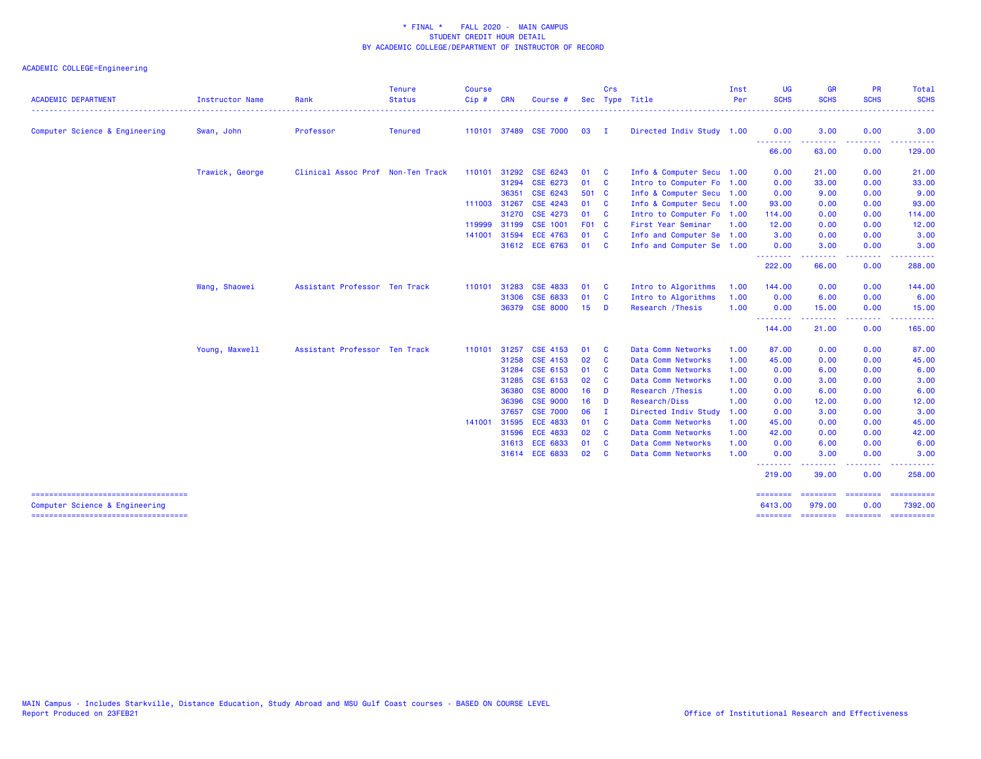| <b>ACADEMIC DEPARTMENT</b>          | <b>Instructor Name</b> | Rank                              | <b>Tenure</b><br><b>Status</b> | <b>Course</b><br>Cip# | <b>CRN</b> | Course #        |       | Crs          | Sec Type Title            | Inst<br>Per | <b>UG</b><br><b>SCHS</b>                                   | <b>GR</b><br><b>SCHS</b>        | <b>PR</b><br><b>SCHS</b>   | Total<br><b>SCHS</b>                                                                                                                                                                                                                                                                                                                                                                                                                                                                              |
|-------------------------------------|------------------------|-----------------------------------|--------------------------------|-----------------------|------------|-----------------|-------|--------------|---------------------------|-------------|------------------------------------------------------------|---------------------------------|----------------------------|---------------------------------------------------------------------------------------------------------------------------------------------------------------------------------------------------------------------------------------------------------------------------------------------------------------------------------------------------------------------------------------------------------------------------------------------------------------------------------------------------|
|                                     |                        |                                   |                                |                       |            |                 |       |              |                           |             |                                                            |                                 |                            |                                                                                                                                                                                                                                                                                                                                                                                                                                                                                                   |
| Computer Science & Engineering      | Swan, John             | Professor                         | <b>Tenured</b>                 | 110101 37489          |            | <b>CSE 7000</b> | 03    | $\mathbf{I}$ | Directed Indiv Study 1.00 |             | 0.00<br><b><i><u><u><b>A</b></u></u> A A A A A A A</i></b> | 3.00<br><u> - - - - - - - -</u> | 0.00<br>.                  | 3.00<br>.                                                                                                                                                                                                                                                                                                                                                                                                                                                                                         |
|                                     |                        |                                   |                                |                       |            |                 |       |              |                           |             | 66.00                                                      | 63.00                           | 0.00                       | 129.00                                                                                                                                                                                                                                                                                                                                                                                                                                                                                            |
|                                     | Trawick, George        | Clinical Assoc Prof Non-Ten Track |                                | 110101 31292          |            | CSE 6243        | 01    | - C          | Info & Computer Secu 1.00 |             | 0.00                                                       | 21.00                           | 0.00                       | 21.00                                                                                                                                                                                                                                                                                                                                                                                                                                                                                             |
|                                     |                        |                                   |                                |                       | 31294      | CSE 6273        | 01    | $\mathbf{C}$ | Intro to Computer Fo 1.00 |             | 0.00                                                       | 33.00                           | 0.00                       | 33.00                                                                                                                                                                                                                                                                                                                                                                                                                                                                                             |
|                                     |                        |                                   |                                |                       | 36351      | CSE 6243        | 501 C |              | Info & Computer Secu 1.00 |             | 0.00                                                       | 9.00                            | 0.00                       | 9.00                                                                                                                                                                                                                                                                                                                                                                                                                                                                                              |
|                                     |                        |                                   |                                | 111003 31267          |            | CSE 4243        | 01    | $\mathbf{C}$ | Info & Computer Secu 1.00 |             | 93.00                                                      | 0.00                            | 0.00                       | 93.00                                                                                                                                                                                                                                                                                                                                                                                                                                                                                             |
|                                     |                        |                                   |                                |                       | 31270      | <b>CSE 4273</b> | 01    | $\mathbf{c}$ | Intro to Computer Fo 1.00 |             | 114.00                                                     | 0.00                            | 0.00                       | 114.00                                                                                                                                                                                                                                                                                                                                                                                                                                                                                            |
|                                     |                        |                                   |                                | 119999                | 31199      | <b>CSE 1001</b> | F01 C |              | First Year Seminar        | 1.00        | 12.00                                                      | 0.00                            | 0.00                       | 12.00                                                                                                                                                                                                                                                                                                                                                                                                                                                                                             |
|                                     |                        |                                   |                                | 141001                | 31594      | <b>ECE 4763</b> | 01    | $\mathbf{C}$ | Info and Computer Se 1.00 |             | 3.00                                                       | 0.00                            | 0.00                       | 3.00                                                                                                                                                                                                                                                                                                                                                                                                                                                                                              |
|                                     |                        |                                   |                                |                       |            | 31612 ECE 6763  | 01    | - C          | Info and Computer Se      | 1.00        | 0.00<br>.                                                  | 3.00<br>. <u>.</u> .            | 0.00<br>$- - -$            | 3.00                                                                                                                                                                                                                                                                                                                                                                                                                                                                                              |
|                                     |                        |                                   |                                |                       |            |                 |       |              |                           |             | 222.00                                                     | 66.00                           | 0.00                       | 288.00                                                                                                                                                                                                                                                                                                                                                                                                                                                                                            |
|                                     | Wang, Shaowei          | Assistant Professor Ten Track     |                                | 110101                | 31283      | <b>CSE 4833</b> | 01    | - C          | Intro to Algorithms       | 1.00        | 144.00                                                     | 0.00                            | 0.00                       | 144.00                                                                                                                                                                                                                                                                                                                                                                                                                                                                                            |
|                                     |                        |                                   |                                |                       | 31306      | CSE 6833        | 01    | $\mathbf{C}$ | Intro to Algorithms       | 1.00        | 0.00                                                       | 6.00                            | 0.00                       | 6.00                                                                                                                                                                                                                                                                                                                                                                                                                                                                                              |
|                                     |                        |                                   |                                |                       | 36379      | <b>CSE 8000</b> | 15    | <b>D</b>     | Research / Thesis         | 1.00        | 0.00<br><u> - - - - - - - -</u>                            | 15.00<br>.                      | 0.00<br>.                  | 15.00<br>.                                                                                                                                                                                                                                                                                                                                                                                                                                                                                        |
|                                     |                        |                                   |                                |                       |            |                 |       |              |                           |             | 144.00                                                     | 21.00                           | 0.00                       | 165.00                                                                                                                                                                                                                                                                                                                                                                                                                                                                                            |
|                                     | Young, Maxwell         | Assistant Professor Ten Track     |                                | 110101 31257          |            | <b>CSE 4153</b> | 01    | - C          | Data Comm Networks        | 1.00        | 87.00                                                      | 0.00                            | 0.00                       | 87.00                                                                                                                                                                                                                                                                                                                                                                                                                                                                                             |
|                                     |                        |                                   |                                |                       | 31258      | CSE 4153        | 02    | <b>C</b>     | Data Comm Networks        | 1.00        | 45.00                                                      | 0.00                            | 0.00                       | 45.00                                                                                                                                                                                                                                                                                                                                                                                                                                                                                             |
|                                     |                        |                                   |                                |                       | 31284      | CSE 6153        | 01    | <b>C</b>     | Data Comm Networks        | 1.00        | 0.00                                                       | 6.00                            | 0.00                       | 6.00                                                                                                                                                                                                                                                                                                                                                                                                                                                                                              |
|                                     |                        |                                   |                                |                       | 31285      | CSE 6153        | 02    | <b>C</b>     | Data Comm Networks        | 1.00        | 0.00                                                       | 3.00                            | 0.00                       | 3.00                                                                                                                                                                                                                                                                                                                                                                                                                                                                                              |
|                                     |                        |                                   |                                |                       | 36380      | <b>CSE 8000</b> | 16    | - D          | Research / Thesis         | 1.00        | 0.00                                                       | 6.00                            | 0.00                       | 6.00                                                                                                                                                                                                                                                                                                                                                                                                                                                                                              |
|                                     |                        |                                   |                                |                       | 36396      | <b>CSE 9000</b> | 16    | D            | Research/Diss             | 1.00        | 0.00                                                       | 12.00                           | 0.00                       | 12.00                                                                                                                                                                                                                                                                                                                                                                                                                                                                                             |
|                                     |                        |                                   |                                |                       | 37657      | <b>CSE 7000</b> | 06    | - I          | Directed Indiv Study      | 1.00        | 0.00                                                       | 3.00                            | 0.00                       | 3.00                                                                                                                                                                                                                                                                                                                                                                                                                                                                                              |
|                                     |                        |                                   |                                | 141001                | 31595      | <b>ECE 4833</b> | 01    | <b>C</b>     | Data Comm Networks        | 1.00        | 45.00                                                      | 0.00                            | 0.00                       | 45.00                                                                                                                                                                                                                                                                                                                                                                                                                                                                                             |
|                                     |                        |                                   |                                |                       | 31596      | <b>ECE 4833</b> | 02    | - C          | Data Comm Networks        | 1.00        | 42.00                                                      | 0.00                            | 0.00                       | 42.00                                                                                                                                                                                                                                                                                                                                                                                                                                                                                             |
|                                     |                        |                                   |                                |                       | 31613      | <b>ECE 6833</b> | 01    | - C          | Data Comm Networks        | 1.00        | 0.00                                                       | 6.00                            | 0.00                       | 6.00                                                                                                                                                                                                                                                                                                                                                                                                                                                                                              |
|                                     |                        |                                   |                                |                       |            | 31614 ECE 6833  | 02    | <b>C</b>     | Data Comm Networks        | 1.00        | 0.00                                                       | 3.00                            | 0.00                       | 3.00                                                                                                                                                                                                                                                                                                                                                                                                                                                                                              |
|                                     |                        |                                   |                                |                       |            |                 |       |              |                           |             | --------<br>219.00                                         | .<br>39.00                      | .<br>0.00                  | 258.00                                                                                                                                                                                                                                                                                                                                                                                                                                                                                            |
| ----------------------------------- |                        |                                   |                                |                       |            |                 |       |              |                           |             | ========                                                   | ========                        | <b>SEESSEES</b>            |                                                                                                                                                                                                                                                                                                                                                                                                                                                                                                   |
| Computer Science & Engineering      |                        |                                   |                                |                       |            |                 |       |              |                           |             | 6413.00<br>========                                        | 979.00                          | 0.00<br>sococces concess ( | 7392.00<br>$\begin{array}{cccccccccc} \multicolumn{2}{c}{} & \multicolumn{2}{c}{} & \multicolumn{2}{c}{} & \multicolumn{2}{c}{} & \multicolumn{2}{c}{} & \multicolumn{2}{c}{} & \multicolumn{2}{c}{} & \multicolumn{2}{c}{} & \multicolumn{2}{c}{} & \multicolumn{2}{c}{} & \multicolumn{2}{c}{} & \multicolumn{2}{c}{} & \multicolumn{2}{c}{} & \multicolumn{2}{c}{} & \multicolumn{2}{c}{} & \multicolumn{2}{c}{} & \multicolumn{2}{c}{} & \multicolumn{2}{c}{} & \multicolumn{2}{c}{} & \mult$ |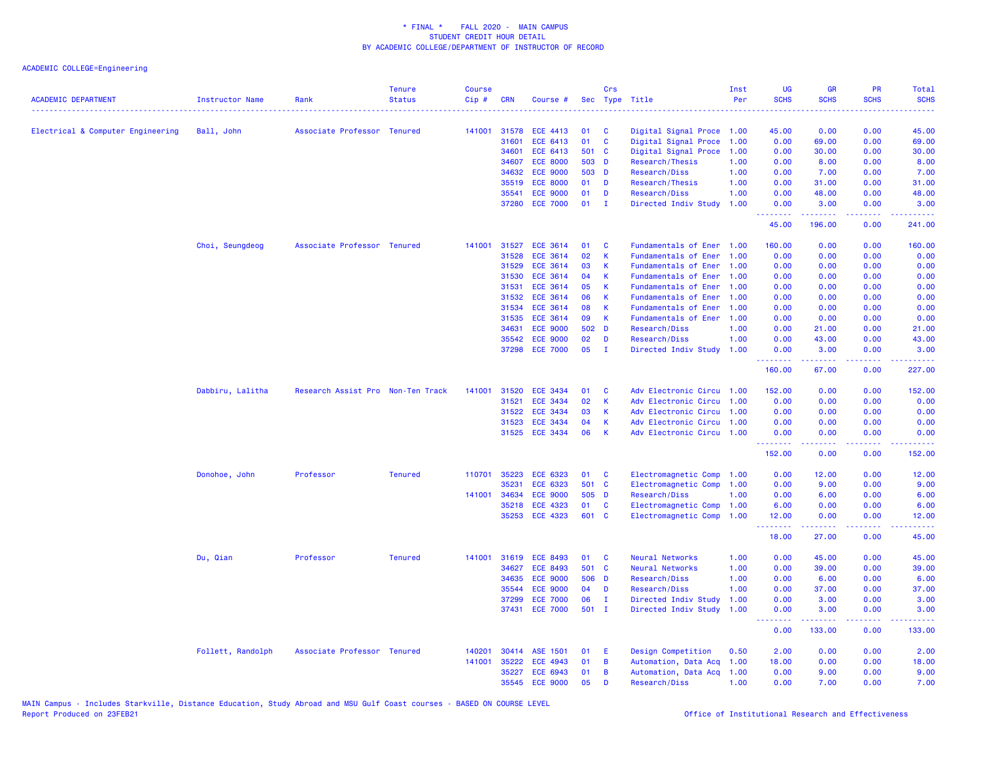| <b>ACADEMIC DEPARTMENT</b>        | <b>Instructor Name</b> | Rank                              | <b>Tenure</b><br><b>Status</b> | <b>Course</b><br>Cip# | <b>CRN</b> | Course #        |       | Crs<br>Sec Type Title | .                         | Inst<br>Per | UG<br><b>SCHS</b> | <b>GR</b><br><b>SCHS</b>                                 | PR<br><b>SCHS</b>               | Total<br><b>SCHS</b> |
|-----------------------------------|------------------------|-----------------------------------|--------------------------------|-----------------------|------------|-----------------|-------|-----------------------|---------------------------|-------------|-------------------|----------------------------------------------------------|---------------------------------|----------------------|
| Electrical & Computer Engineering | Ball, John             | Associate Professor Tenured       |                                | 141001                | 31578      | ECE 4413        | 01    | C                     | Digital Signal Proce 1.00 |             | 45.00             | 0.00                                                     | 0.00                            | 45.00                |
|                                   |                        |                                   |                                |                       | 31601      | ECE 6413        | 01    | $\mathbf{C}$          | Digital Signal Proce      | 1.00        | 0.00              | 69.00                                                    | 0.00                            | 69.00                |
|                                   |                        |                                   |                                |                       | 34601      | <b>ECE 6413</b> | 501 C |                       | Digital Signal Proce      | 1.00        | 0.00              | 30.00                                                    | 0.00                            | 30.00                |
|                                   |                        |                                   |                                |                       | 34607      | <b>ECE 8000</b> | 503 D |                       | Research/Thesis           | 1.00        | 0.00              | 8.00                                                     | 0.00                            | 8.00                 |
|                                   |                        |                                   |                                |                       | 34632      | <b>ECE 9000</b> | 503 D |                       | Research/Diss             | 1.00        | 0.00              | 7.00                                                     | 0.00                            | 7.00                 |
|                                   |                        |                                   |                                |                       | 35519      | <b>ECE 8000</b> | 01    | $\mathbf{D}$          | Research/Thesis           | 1.00        | 0.00              | 31.00                                                    | 0.00                            | 31.00                |
|                                   |                        |                                   |                                |                       | 35541      | <b>ECE 9000</b> | 01    | D                     | Research/Diss             | 1.00        | 0.00              | 48.00                                                    | 0.00                            | 48.00                |
|                                   |                        |                                   |                                |                       | 37280      | <b>ECE 7000</b> | 01    | $\mathbf{I}$          | Directed Indiv Study      | 1.00        | 0.00              | 3.00                                                     | 0.00                            | 3.00                 |
|                                   |                        |                                   |                                |                       |            |                 |       |                       |                           |             | .<br>45.00        | <b><i><u></u></i></b><br>196.00                          | د د د د<br>0.00                 | .<br>241.00          |
|                                   | Choi, Seungdeog        | Associate Professor Tenured       |                                | 141001                | 31527      | <b>ECE 3614</b> | 01    | C                     | Fundamentals of Ener 1.00 |             | 160.00            | 0.00                                                     | 0.00                            | 160.00               |
|                                   |                        |                                   |                                |                       | 31528      | ECE 3614        | 02    | $\mathsf K$           | Fundamentals of Ener      | 1.00        | 0.00              | 0.00                                                     | 0.00                            | 0.00                 |
|                                   |                        |                                   |                                |                       | 31529      | <b>ECE 3614</b> | 03    | K                     | Fundamentals of Ener      | 1.00        | 0.00              | 0.00                                                     | 0.00                            | 0.00                 |
|                                   |                        |                                   |                                |                       | 31530      | <b>ECE 3614</b> | 04    | K                     | Fundamentals of Ener      | 1.00        | 0.00              | 0.00                                                     | 0.00                            | 0.00                 |
|                                   |                        |                                   |                                |                       | 31531      | <b>ECE 3614</b> | 05    | K                     | Fundamentals of Ener      | 1.00        | 0.00              | 0.00                                                     | 0.00                            | 0.00                 |
|                                   |                        |                                   |                                |                       | 31532      | <b>ECE 3614</b> | 06    | K                     | Fundamentals of Ener      | 1.00        | 0.00              | 0.00                                                     | 0.00                            | 0.00                 |
|                                   |                        |                                   |                                |                       | 31534      | <b>ECE 3614</b> | 08    | К                     | Fundamentals of Ener      | 1.00        | 0.00              | 0.00                                                     | 0.00                            | 0.00                 |
|                                   |                        |                                   |                                |                       | 31535      | ECE 3614        | 09    | $\mathsf K$           | Fundamentals of Ener 1.00 |             | 0.00              | 0.00                                                     | 0.00                            | 0.00                 |
|                                   |                        |                                   |                                |                       | 34631      | <b>ECE 9000</b> | 502 D |                       | Research/Diss             | 1.00        | 0.00              | 21.00                                                    | 0.00                            | 21.00                |
|                                   |                        |                                   |                                |                       | 35542      | <b>ECE 9000</b> | 02    | D                     | Research/Diss             | 1.00        | 0.00              | 43.00                                                    | 0.00                            | 43.00                |
|                                   |                        |                                   |                                |                       | 37298      | <b>ECE 7000</b> | 05    | $\mathbf{I}$          | Directed Indiv Study      | 1.00        | 0.00<br><u>.</u>  | 3.00<br>بالأباليات                                       | 0.00<br>.                       | 3.00<br>وعاعاه عاما  |
|                                   |                        |                                   |                                |                       |            |                 |       |                       |                           |             | 160.00            | 67.00                                                    | 0.00                            | 227.00               |
|                                   | Dabbiru, Lalitha       | Research Assist Pro Non-Ten Track |                                | 141001                | 31520      | <b>ECE 3434</b> | 01    | <b>C</b>              | Adv Electronic Circu      | 1.00        | 152.00            | 0.00                                                     | 0.00                            | 152.00               |
|                                   |                        |                                   |                                |                       | 31521      | <b>ECE 3434</b> | 02    | $\mathsf{K}$          | Adv Electronic Circu 1.00 |             | 0.00              | 0.00                                                     | 0.00                            | 0.00                 |
|                                   |                        |                                   |                                |                       | 31522      | <b>ECE 3434</b> | 03    | К                     | Adv Electronic Circu      | 1.00        | 0.00              | 0.00                                                     | 0.00                            | 0.00                 |
|                                   |                        |                                   |                                |                       | 31523      | <b>ECE 3434</b> | 04    | K                     | Adv Electronic Circu 1.00 |             | 0.00              | 0.00                                                     | 0.00                            | 0.00                 |
|                                   |                        |                                   |                                |                       |            | 31525 ECE 3434  | 06    | K                     | Adv Electronic Circu 1.00 |             | 0.00<br>.         | 0.00<br>.                                                | 0.00<br>$\omega$ is $\omega$ in | 0.00                 |
|                                   |                        |                                   |                                |                       |            |                 |       |                       |                           |             | 152.00            | 0.00                                                     | 0.00                            | 152.00               |
|                                   | Donohoe, John          | Professor                         | <b>Tenured</b>                 | 110701                | 35223      | <b>ECE 6323</b> | 01    | <b>C</b>              | Electromagnetic Comp      | 1.00        | 0.00              | 12.00                                                    | 0.00                            | 12.00                |
|                                   |                        |                                   |                                |                       | 35231      | ECE 6323        | 501 C |                       | Electromagnetic Comp      | 1.00        | 0.00              | 9.00                                                     | 0.00                            | 9.00                 |
|                                   |                        |                                   |                                | 141001                | 34634      | <b>ECE 9000</b> | 505 D |                       | Research/Diss             | 1.00        | 0.00              | 6.00                                                     | 0.00                            | 6.00                 |
|                                   |                        |                                   |                                |                       | 35218      | <b>ECE 4323</b> | 01    | <b>C</b>              | Electromagnetic Comp      | 1.00        | 6.00              | 0.00                                                     | 0.00                            | 6.00                 |
|                                   |                        |                                   |                                |                       | 35253      | <b>ECE 4323</b> | 601 C |                       | Electromagnetic Comp      | 1.00        | 12.00<br><u>.</u> | 0.00<br>المتمام والمناور                                 | 0.00<br>.                       | 12.00<br>.           |
|                                   |                        |                                   |                                |                       |            |                 |       |                       |                           |             | 18.00             | 27.00                                                    | 0.00                            | 45.00                |
|                                   | Du, Qian               | Professor                         | <b>Tenured</b>                 | 141001                | 31619      | <b>ECE 8493</b> | 01    | <b>C</b>              | Neural Networks           | 1.00        | 0.00              | 45.00                                                    | 0.00                            | 45.00                |
|                                   |                        |                                   |                                |                       | 34627      | <b>ECE 8493</b> | 501 C |                       | Neural Networks           | 1.00        | 0.00              | 39.00                                                    | 0.00                            | 39.00                |
|                                   |                        |                                   |                                |                       | 34635      | <b>ECE 9000</b> | 506 D |                       | Research/Diss             | 1.00        | 0.00              | 6.00                                                     | 0.00                            | 6.00                 |
|                                   |                        |                                   |                                |                       | 35544      | <b>ECE 9000</b> | 04    | D                     | Research/Diss             | 1.00        | 0.00              | 37.00                                                    | 0.00                            | 37.00                |
|                                   |                        |                                   |                                |                       | 37299      | <b>ECE 7000</b> | 06    | $\mathbf{I}$          | Directed Indiv Study      | 1.00        | 0.00              | 3.00                                                     | 0.00                            | 3.00                 |
|                                   |                        |                                   |                                |                       | 37431      | <b>ECE 7000</b> | 501 I |                       | Directed Indiv Study 1.00 |             | 0.00<br><u>.</u>  | 3.00<br><b><i><u><u><b>Little Little</b></u></u></i></b> | 0.00<br>.                       | 3.00<br><u>.</u>     |
|                                   |                        |                                   |                                |                       |            |                 |       |                       |                           |             | 0.00              | 133.00                                                   | 0.00                            | 133.00               |
|                                   | Follett, Randolph      | Associate Professor Tenured       |                                | 140201                |            | 30414 ASE 1501  | 01    | E                     | Design Competition        | 0.50        | 2.00              | 0.00                                                     | 0.00                            | 2.00                 |
|                                   |                        |                                   |                                | 141001                | 35222      | ECE 4943        | 01    | B                     | Automation, Data Acq      | 1.00        | 18.00             | 0.00                                                     | 0.00                            | 18.00                |
|                                   |                        |                                   |                                |                       | 35227      | ECE 6943        | 01    | B                     | Automation, Data Acq      | 1.00        | 0.00              | 9.00                                                     | 0.00                            | 9.00                 |
|                                   |                        |                                   |                                |                       | 35545      | <b>ECE 9000</b> | 05    | D                     | Research/Diss             | 1.00        | 0.00              | 7.00                                                     | 0.00                            | 7.00                 |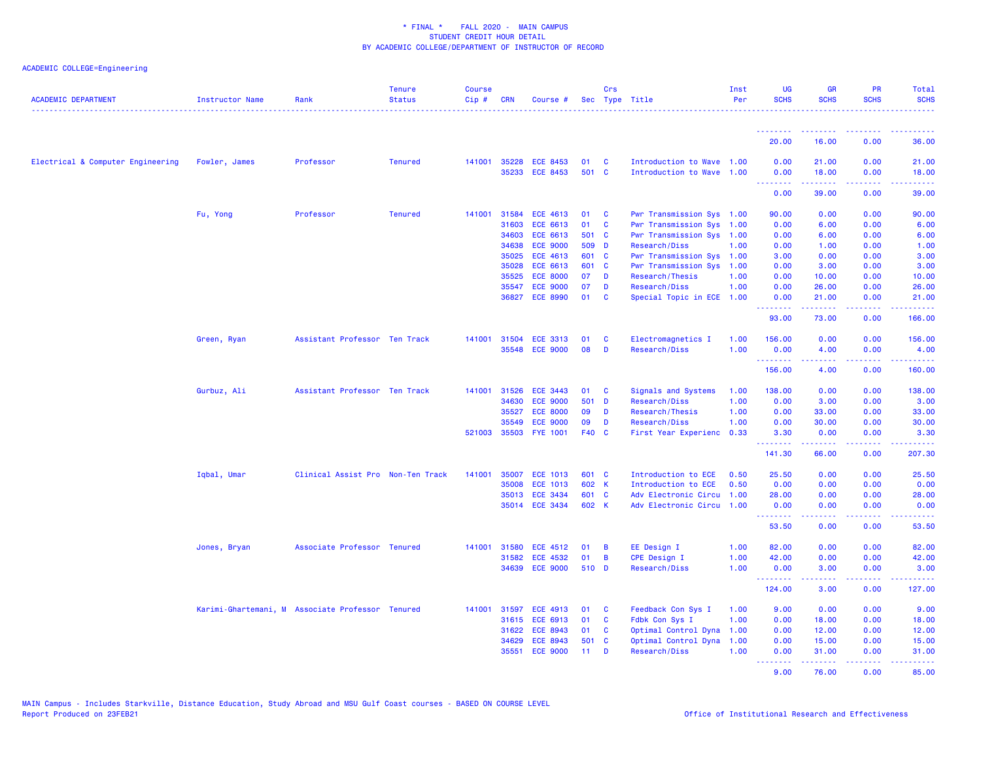| <b>ACADEMIC DEPARTMENT</b>        | <b>Instructor Name</b>                           | Rank                              | <b>Tenure</b><br><b>Status</b> | <b>Course</b><br>Cip# | <b>CRN</b> | Course #        |       | Crs          | Sec Type Title            | Inst<br>Per | <b>UG</b><br><b>SCHS</b>        | <b>GR</b><br><b>SCHS</b>      | <b>PR</b><br><b>SCHS</b>                                                                                                          | Total<br><b>SCHS</b>                                                                                                                                          |
|-----------------------------------|--------------------------------------------------|-----------------------------------|--------------------------------|-----------------------|------------|-----------------|-------|--------------|---------------------------|-------------|---------------------------------|-------------------------------|-----------------------------------------------------------------------------------------------------------------------------------|---------------------------------------------------------------------------------------------------------------------------------------------------------------|
|                                   |                                                  |                                   |                                |                       |            |                 |       |              |                           |             | --------                        | <u> - - - - - - - -</u>       | $\frac{1}{2} \left( \frac{1}{2} \right) \left( \frac{1}{2} \right) \left( \frac{1}{2} \right) \left( \frac{1}{2} \right)$         |                                                                                                                                                               |
|                                   |                                                  |                                   |                                |                       |            |                 |       |              |                           |             | 20.00                           | 16.00                         | 0.00                                                                                                                              | 36.00                                                                                                                                                         |
| Electrical & Computer Engineering | Fowler, James                                    | Professor                         | <b>Tenured</b>                 | 141001                | 35228      | <b>ECE 8453</b> | 01    | <b>C</b>     | Introduction to Wave 1.00 |             | 0.00                            | 21.00                         | 0.00                                                                                                                              | 21.00                                                                                                                                                         |
|                                   |                                                  |                                   |                                |                       |            | 35233 ECE 8453  | 501 C |              | Introduction to Wave 1.00 |             | 0.00<br><u> - - - - - - - -</u> | 18.00<br>.                    | 0.00<br><b></b>                                                                                                                   | 18.00<br>.                                                                                                                                                    |
|                                   |                                                  |                                   |                                |                       |            |                 |       |              |                           |             | 0.00                            | 39.00                         | 0.00                                                                                                                              | 39.00                                                                                                                                                         |
|                                   | Fu, Yong                                         | Professor                         | <b>Tenured</b>                 | 141001                | 31584      | <b>ECE 4613</b> | 01    | <b>C</b>     | Pwr Transmission Sys 1.00 |             | 90.00                           | 0.00                          | 0.00                                                                                                                              | 90.00                                                                                                                                                         |
|                                   |                                                  |                                   |                                |                       | 31603      | ECE 6613        | 01    | $\mathbf{C}$ | Pwr Transmission Sys 1.00 |             | 0.00                            | 6.00                          | 0.00                                                                                                                              | 6.00                                                                                                                                                          |
|                                   |                                                  |                                   |                                |                       | 34603      | ECE 6613        | 501   | <b>C</b>     | Pwr Transmission Sys 1.00 |             | 0.00                            | 6.00                          | 0.00                                                                                                                              | 6.00                                                                                                                                                          |
|                                   |                                                  |                                   |                                |                       | 34638      | <b>ECE 9000</b> | 509 D |              | Research/Diss             | 1.00        | 0.00                            | 1.00                          | 0.00                                                                                                                              | 1.00                                                                                                                                                          |
|                                   |                                                  |                                   |                                |                       | 35025      | <b>ECE 4613</b> | 601 C |              | Pwr Transmission Sys 1.00 |             | 3.00                            | 0.00                          | 0.00                                                                                                                              | 3.00                                                                                                                                                          |
|                                   |                                                  |                                   |                                |                       | 35028      | ECE 6613        | 601 C |              | Pwr Transmission Sys      | 1.00        | 0.00                            | 3.00                          | 0.00                                                                                                                              | 3.00                                                                                                                                                          |
|                                   |                                                  |                                   |                                |                       | 35525      | <b>ECE 8000</b> | 07    | D            | Research/Thesis           | 1.00        | 0.00                            | 10.00                         | 0.00                                                                                                                              | 10.00                                                                                                                                                         |
|                                   |                                                  |                                   |                                |                       | 35547      | <b>ECE 9000</b> | 07    | D            | Research/Diss             | 1.00        | 0.00                            | 26.00                         | 0.00                                                                                                                              | 26.00                                                                                                                                                         |
|                                   |                                                  |                                   |                                |                       |            | 36827 ECE 8990  | 01    | <b>C</b>     | Special Topic in ECE 1.00 |             | 0.00<br><b>.</b> .              | 21.00<br>بالمستما             | 0.00<br>22222                                                                                                                     | 21.00<br>$\begin{array}{cccccccccc} \bullet & \bullet & \bullet & \bullet & \bullet & \bullet & \bullet & \bullet \end{array}$                                |
|                                   |                                                  |                                   |                                |                       |            |                 |       |              |                           |             | 93.00                           | 73.00                         | 0.00                                                                                                                              | 166.00                                                                                                                                                        |
|                                   | Green, Ryan                                      | Assistant Professor Ten Track     |                                | 141001                | 31504      | <b>ECE 3313</b> | 01    | C            | Electromagnetics I        | 1.00        | 156.00                          | 0.00                          | 0.00                                                                                                                              | 156.00                                                                                                                                                        |
|                                   |                                                  |                                   |                                |                       | 35548      | <b>ECE 9000</b> | 08    | D            | Research/Diss             | 1.00        | 0.00<br><b>.</b> .              | 4.00<br>بالأبابات             | 0.00<br>الأنابات                                                                                                                  | 4.00<br>د د د د د د د                                                                                                                                         |
|                                   |                                                  |                                   |                                |                       |            |                 |       |              |                           |             | 156.00                          | 4.00                          | 0.00                                                                                                                              | 160.00                                                                                                                                                        |
|                                   | Gurbuz, Ali                                      | Assistant Professor Ten Track     |                                | 141001                | 31526      | <b>ECE 3443</b> | 01    | <b>C</b>     | Signals and Systems       | 1.00        | 138.00                          | 0.00                          | 0.00                                                                                                                              | 138.00                                                                                                                                                        |
|                                   |                                                  |                                   |                                |                       | 34630      | <b>ECE 9000</b> | 501   | <b>D</b>     | Research/Diss             | 1.00        | 0.00                            | 3.00                          | 0.00                                                                                                                              | 3.00                                                                                                                                                          |
|                                   |                                                  |                                   |                                |                       | 35527      | <b>ECE 8000</b> | 09    | D            | Research/Thesis           | 1.00        | 0.00                            | 33.00                         | 0.00                                                                                                                              | 33.00                                                                                                                                                         |
|                                   |                                                  |                                   |                                |                       | 35549      | <b>ECE 9000</b> | 09    | D            | Research/Diss             | 1.00        | 0.00                            | 30.00                         | 0.00                                                                                                                              | 30.00                                                                                                                                                         |
|                                   |                                                  |                                   |                                | 521003                | 35503      | <b>FYE 1001</b> | F40 C |              | First Year Experienc      | 0.33        | 3.30<br><u>.</u>                | 0.00                          | 0.00<br>.                                                                                                                         | 3.30<br>المتمامي                                                                                                                                              |
|                                   |                                                  |                                   |                                |                       |            |                 |       |              |                           |             | 141.30                          | 66.00                         | 0.00                                                                                                                              | 207.30                                                                                                                                                        |
|                                   | Iqbal, Umar                                      | Clinical Assist Pro Non-Ten Track |                                | 141001                | 35007      | <b>ECE 1013</b> | 601 C |              | Introduction to ECE       | 0.50        | 25.50                           | 0.00                          | 0.00                                                                                                                              | 25.50                                                                                                                                                         |
|                                   |                                                  |                                   |                                |                       | 35008      | <b>ECE 1013</b> | 602 K |              | Introduction to ECE       | 0.50        | 0.00                            | 0.00                          | 0.00                                                                                                                              | 0.00                                                                                                                                                          |
|                                   |                                                  |                                   |                                |                       | 35013      | <b>ECE 3434</b> | 601 C |              | Adv Electronic Circu 1.00 |             | 28.00                           | 0.00                          | 0.00                                                                                                                              | 28.00                                                                                                                                                         |
|                                   |                                                  |                                   |                                |                       |            | 35014 ECE 3434  | 602 K |              | Adv Electronic Circu 1.00 |             | 0.00<br>.                       | 0.00<br><b><i><u></u></i></b> | 0.00<br>.                                                                                                                         | 0.00<br>.                                                                                                                                                     |
|                                   |                                                  |                                   |                                |                       |            |                 |       |              |                           |             | 53.50                           | 0.00                          | 0.00                                                                                                                              | 53.50                                                                                                                                                         |
|                                   | Jones, Bryan                                     | Associate Professor Tenured       |                                | 141001                | 31580      | <b>ECE 4512</b> | 01    | B            | EE Design I               | 1.00        | 82.00                           | 0.00                          | 0.00                                                                                                                              | 82.00                                                                                                                                                         |
|                                   |                                                  |                                   |                                |                       | 31582      | <b>ECE 4532</b> | 01    | В            | <b>CPE Design I</b>       | 1.00        | 42.00                           | 0.00                          | 0.00                                                                                                                              | 42.00                                                                                                                                                         |
|                                   |                                                  |                                   |                                |                       |            | 34639 ECE 9000  | 510 D |              | Research/Diss             | 1.00        | 0.00<br>.                       | 3.00<br>المتمام والمناور      | 0.00<br>$\frac{1}{2} \left( \frac{1}{2} \right) \left( \frac{1}{2} \right) \left( \frac{1}{2} \right) \left( \frac{1}{2} \right)$ | 3.00<br>.                                                                                                                                                     |
|                                   |                                                  |                                   |                                |                       |            |                 |       |              |                           |             | 124.00                          | 3.00                          | 0.00                                                                                                                              | 127.00                                                                                                                                                        |
|                                   | Karimi-Ghartemani, M Associate Professor Tenured |                                   |                                | 141001                |            | 31597 ECE 4913  | 01    | <b>C</b>     | Feedback Con Sys I        | 1.00        | 9.00                            | 0.00                          | 0.00                                                                                                                              | 9.00                                                                                                                                                          |
|                                   |                                                  |                                   |                                |                       | 31615      | ECE 6913        | 01    | <b>C</b>     | Fdbk Con Sys I            | 1.00        | 0.00                            | 18.00                         | 0.00                                                                                                                              | 18.00                                                                                                                                                         |
|                                   |                                                  |                                   |                                |                       | 31622      | <b>ECE 8943</b> | 01    | <b>C</b>     | Optimal Control Dyna 1.00 |             | 0.00                            | 12.00                         | 0.00                                                                                                                              | 12.00                                                                                                                                                         |
|                                   |                                                  |                                   |                                |                       | 34629      | <b>ECE 8943</b> | 501   | $\mathbf{C}$ | Optimal Control Dyna 1.00 |             | 0.00                            | 15.00                         | 0.00                                                                                                                              | 15.00                                                                                                                                                         |
|                                   |                                                  |                                   |                                |                       | 35551      | <b>ECE 9000</b> | 11    | D            | Research/Diss             | 1.00        | 0.00                            | 31.00                         | 0.00                                                                                                                              | 31,00                                                                                                                                                         |
|                                   |                                                  |                                   |                                |                       |            |                 |       |              |                           |             | <u>.</u><br>9.00                | .<br>76.00                    | <b><i><u><u><b>Little Little</b></u></u></i></b><br>0.00                                                                          | $\frac{1}{2} \left( \frac{1}{2} \right) \left( \frac{1}{2} \right) \left( \frac{1}{2} \right) \left( \frac{1}{2} \right) \left( \frac{1}{2} \right)$<br>85.00 |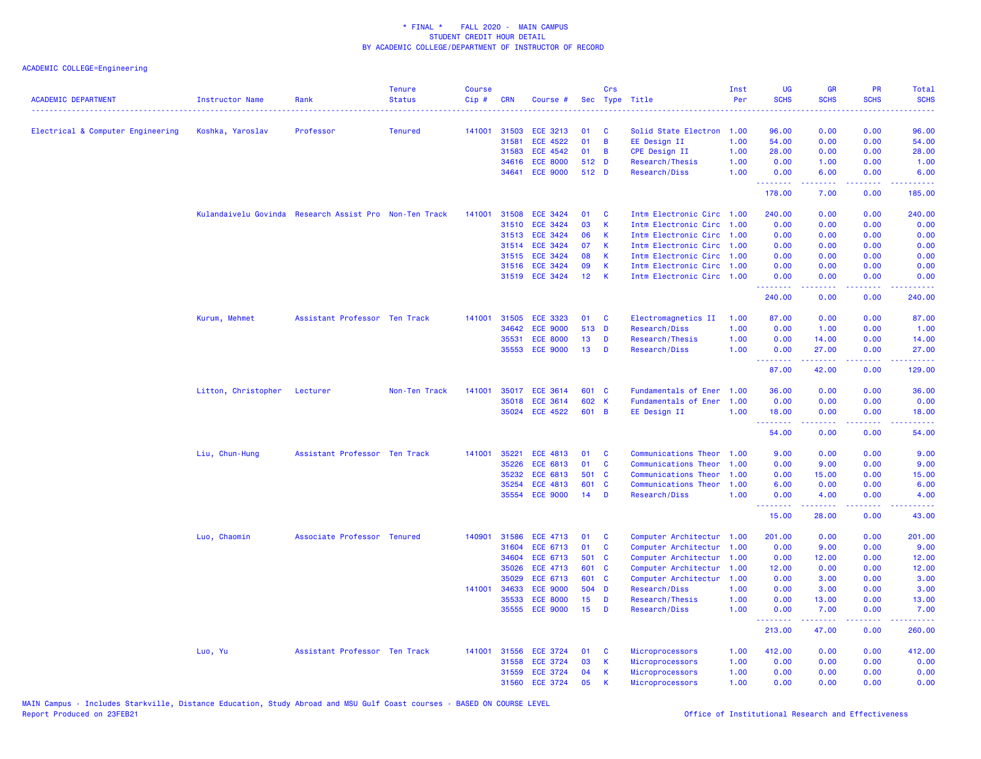| <b>ACADEMIC DEPARTMENT</b>        | Instructor Name     | Rank                                                   | <b>Tenure</b><br><b>Status</b> | <b>Course</b><br>Cip# | <b>CRN</b> | Course #        |                 | Crs            | Sec Type Title<br>.       | Inst<br>Per | <b>UG</b><br><b>SCHS</b> | <b>GR</b><br><b>SCHS</b> | <b>PR</b><br><b>SCHS</b> | Total<br><b>SCHS</b> |
|-----------------------------------|---------------------|--------------------------------------------------------|--------------------------------|-----------------------|------------|-----------------|-----------------|----------------|---------------------------|-------------|--------------------------|--------------------------|--------------------------|----------------------|
| Electrical & Computer Engineering | Koshka, Yaroslav    | Professor                                              | <b>Tenured</b>                 | 141001                | 31503      | <b>ECE 3213</b> | 01              | C              | Solid State Electron 1.00 |             | 96.00                    | 0.00                     | 0.00                     | 96.00                |
|                                   |                     |                                                        |                                |                       | 31581      | <b>ECE 4522</b> | 01              | B              | EE Design II              | 1.00        | 54.00                    | 0.00                     | 0.00                     | 54.00                |
|                                   |                     |                                                        |                                |                       | 31583      | <b>ECE 4542</b> | 01              | B              | CPE Design II             | 1.00        | 28.00                    | 0.00                     | 0.00                     | 28.00                |
|                                   |                     |                                                        |                                |                       | 34616      | <b>ECE 8000</b> | 512 D           |                | Research/Thesis           | 1.00        | 0.00                     | 1.00                     | 0.00                     | 1.00                 |
|                                   |                     |                                                        |                                |                       | 34641      | <b>ECE 9000</b> | 512 D           |                | Research/Diss             | 1.00        | 0.00<br>.                | 6.00<br>22222            | 0.00<br>.                | 6.00<br><u>.</u>     |
|                                   |                     |                                                        |                                |                       |            |                 |                 |                |                           |             | 178.00                   | 7.00                     | 0.00                     | 185.00               |
|                                   |                     | Kulandaivelu Govinda Research Assist Pro Non-Ten Track |                                | 141001                | 31508      | <b>ECE 3424</b> | 01              | C              | Intm Electronic Circ 1.00 |             | 240.00                   | 0.00                     | 0.00                     | 240.00               |
|                                   |                     |                                                        |                                |                       | 31510      | <b>ECE 3424</b> | 03              | $\mathsf{K}$   | Intm Electronic Circ 1.00 |             | 0.00                     | 0.00                     | 0.00                     | 0.00                 |
|                                   |                     |                                                        |                                |                       | 31513      | <b>ECE 3424</b> | 06              | К              | Intm Electronic Circ 1.00 |             | 0.00                     | 0.00                     | 0.00                     | 0.00                 |
|                                   |                     |                                                        |                                |                       | 31514      | ECE 3424        | 07              | K              | Intm Electronic Circ 1.00 |             | 0.00                     | 0.00                     | 0.00                     | 0.00                 |
|                                   |                     |                                                        |                                |                       | 31515      | <b>ECE 3424</b> | 08              | K              | Intm Electronic Circ 1.00 |             | 0.00                     | 0.00                     | 0.00                     | 0.00                 |
|                                   |                     |                                                        |                                |                       | 31516      | <b>ECE 3424</b> | 09              | $\mathsf{K}$   | Intm Electronic Circ 1.00 |             | 0.00                     | 0.00                     | 0.00                     | 0.00                 |
|                                   |                     |                                                        |                                |                       |            | 31519 ECE 3424  | 12 <sub>2</sub> | K              | Intm Electronic Circ 1.00 |             | 0.00<br>.                | 0.00<br>$  -$            | 0.00                     | 0.00                 |
|                                   |                     |                                                        |                                |                       |            |                 |                 |                |                           |             | 240.00                   | 0.00                     | 0.00                     | 240,00               |
|                                   | Kurum, Mehmet       | Assistant Professor Ten Track                          |                                | 141001                | 31505      | <b>ECE 3323</b> | 01              | C              | Electromagnetics II       | 1.00        | 87.00                    | 0.00                     | 0.00                     | 87.00                |
|                                   |                     |                                                        |                                |                       | 34642      | <b>ECE 9000</b> | 513 D           |                | Research/Diss             | 1.00        | 0.00                     | 1.00                     | 0.00                     | 1.00                 |
|                                   |                     |                                                        |                                |                       | 35531      | <b>ECE 8000</b> | 13              | D              | Research/Thesis           | 1.00        | 0.00                     | 14.00                    | 0.00                     | 14.00                |
|                                   |                     |                                                        |                                |                       | 35553      | <b>ECE 9000</b> | 13              | D              | Research/Diss             | 1.00        | 0.00                     | 27.00                    | 0.00                     | 27.00                |
|                                   |                     |                                                        |                                |                       |            |                 |                 |                |                           |             | <u>.</u><br>87.00        | .<br>42.00               | .<br>0.00                | <u>.</u><br>129.00   |
|                                   | Litton, Christopher | Lecturer                                               | Non-Ten Track                  | 141001                | 35017      | <b>ECE 3614</b> | 601 C           |                | Fundamentals of Ener      | 1.00        | 36.00                    | 0.00                     | 0.00                     | 36.00                |
|                                   |                     |                                                        |                                |                       | 35018      | <b>ECE 3614</b> | 602 K           |                | Fundamentals of Ener      | 1.00        | 0.00                     | 0.00                     | 0.00                     | 0.00                 |
|                                   |                     |                                                        |                                |                       | 35024      | <b>ECE 4522</b> | 601             | $\overline{B}$ | EE Design II              | 1.00        | 18.00<br>.               | 0.00                     | 0.00                     | 18.00                |
|                                   |                     |                                                        |                                |                       |            |                 |                 |                |                           |             | 54.00                    | .<br>0.00                | د د د د<br>0.00          | 54.00                |
|                                   | Liu, Chun-Hung      | Assistant Professor Ten Track                          |                                | 141001                | 35221      | <b>ECE 4813</b> | 01              | C              | Communications Theor      | 1.00        | 9.00                     | 0.00                     | 0.00                     | 9.00                 |
|                                   |                     |                                                        |                                |                       | 35226      | <b>ECE 6813</b> | 01              | $\mathbf c$    | Communications Theor      | 1.00        | 0.00                     | 9.00                     | 0.00                     | 9.00                 |
|                                   |                     |                                                        |                                |                       | 35232      | <b>ECE 6813</b> | 501 C           |                | Communications Theor      | 1.00        | 0.00                     | 15.00                    | 0.00                     | 15.00                |
|                                   |                     |                                                        |                                |                       | 35254      | <b>ECE 4813</b> | 601             | C              | Communications Theor      | 1.00        | 6.00                     | 0.00                     | 0.00                     | 6.00                 |
|                                   |                     |                                                        |                                |                       | 35554      | <b>ECE 9000</b> | 14              | D              | Research/Diss             | 1.00        | 0.00<br>.                | 4.00<br>المتمام المتمار  | 0.00<br>د د د د          | 4.00                 |
|                                   |                     |                                                        |                                |                       |            |                 |                 |                |                           |             | 15.00                    | 28.00                    | 0.00                     | 43.00                |
|                                   | Luo, Chaomin        | Associate Professor Tenured                            |                                | 140901                | 31586      | <b>ECE 4713</b> | 01              | C              | Computer Architectur 1.00 |             | 201.00                   | 0.00                     | 0.00                     | 201.00               |
|                                   |                     |                                                        |                                |                       | 31604      | ECE 6713        | 01              | C              | Computer Architectur 1.00 |             | 0.00                     | 9.00                     | 0.00                     | 9.00                 |
|                                   |                     |                                                        |                                |                       | 34604      | ECE 6713        | 501             | C              | Computer Architectur      | 1.00        | 0.00                     | 12.00                    | 0.00                     | 12.00                |
|                                   |                     |                                                        |                                |                       | 35026      | <b>ECE 4713</b> | 601             | C              | Computer Architectur      | 1.00        | 12.00                    | 0.00                     | 0.00                     | 12.00                |
|                                   |                     |                                                        |                                |                       | 35029      | ECE 6713        | 601 C           |                | Computer Architectur      | 1.00        | 0.00                     | 3.00                     | 0.00                     | 3.00                 |
|                                   |                     |                                                        |                                | 141001                | 34633      | <b>ECE 9000</b> | 504 D           |                | Research/Diss             | 1.00        | 0.00                     | 3.00                     | 0.00                     | 3.00                 |
|                                   |                     |                                                        |                                |                       | 35533      | <b>ECE 8000</b> | 15 <sub>1</sub> | D              | Research/Thesis           | 1.00        | 0.00                     | 13.00                    | 0.00                     | 13.00                |
|                                   |                     |                                                        |                                |                       | 35555      | <b>ECE 9000</b> | 15              | D              | Research/Diss             | 1.00        | 0.00                     | 7.00                     | 0.00                     | 7.00                 |
|                                   |                     |                                                        |                                |                       |            |                 |                 |                |                           |             | .<br>213.00              | .<br>47.00               | . <b>.</b><br>0.00       | .<br>260.00          |
|                                   | Luo, Yu             | Assistant Professor Ten Track                          |                                | 141001                | 31556      | <b>ECE 3724</b> | 01              | C              | Microprocessors           | 1.00        | 412.00                   | 0.00                     | 0.00                     | 412.00               |
|                                   |                     |                                                        |                                |                       | 31558      | <b>ECE 3724</b> | 03              | $\mathbf k$    | Microprocessors           | 1.00        | 0.00                     | 0.00                     | 0.00                     | 0.00                 |
|                                   |                     |                                                        |                                |                       | 31559      | <b>ECE 3724</b> | 04              | К              | Microprocessors           | 1.00        | 0.00                     | 0.00                     | 0.00                     | 0.00                 |
|                                   |                     |                                                        |                                |                       | 31560      | <b>ECE 3724</b> | 05              | $\mathsf{K}$   | Microprocessors           | 1.00        | 0.00                     | 0.00                     | 0.00                     | 0.00                 |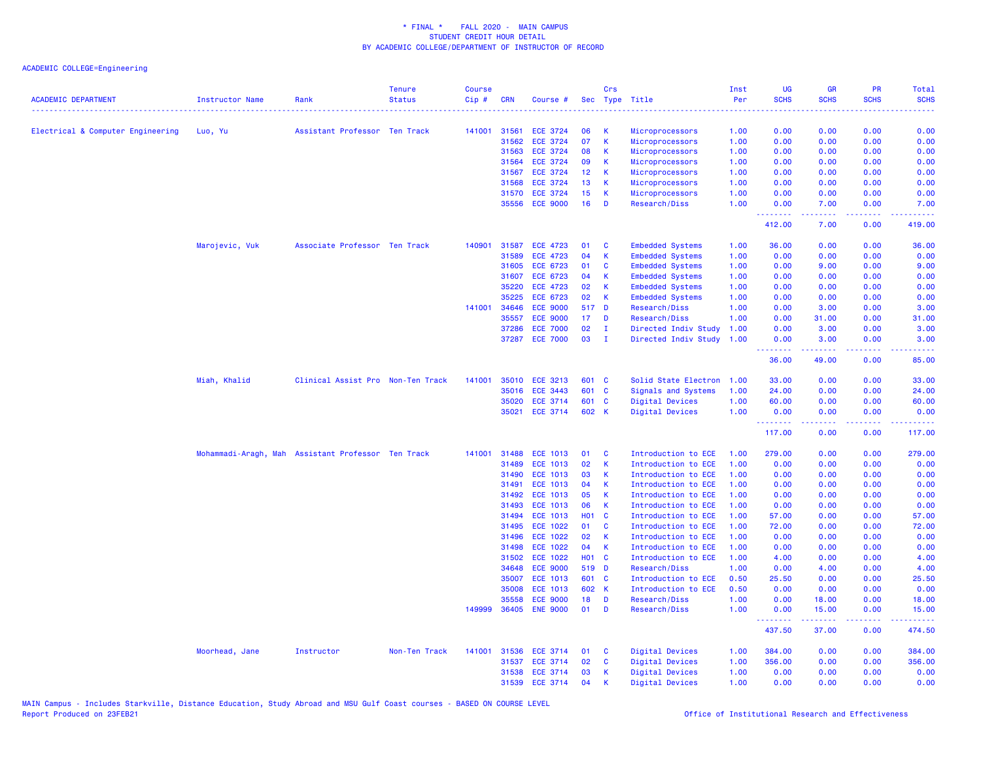| <b>ACADEMIC DEPARTMENT</b>        | <b>Instructor Name</b>                             | Rank                              | <b>Tenure</b><br><b>Status</b> | <b>Course</b><br>Cip# | <b>CRN</b>     | Course #                           |                  | Crs               | Sec Type Title                             | Inst<br>Per  | <b>UG</b><br><b>SCHS</b> | <b>GR</b><br><b>SCHS</b> | <b>PR</b><br><b>SCHS</b> | <b>Total</b><br><b>SCHS</b> |
|-----------------------------------|----------------------------------------------------|-----------------------------------|--------------------------------|-----------------------|----------------|------------------------------------|------------------|-------------------|--------------------------------------------|--------------|--------------------------|--------------------------|--------------------------|-----------------------------|
|                                   |                                                    |                                   |                                |                       |                |                                    |                  |                   |                                            | .            | الوالو بولو              |                          |                          | .                           |
| Electrical & Computer Engineering | Luo, Yu                                            | Assistant Professor Ten Track     |                                | 141001                | 31561          | <b>ECE 3724</b>                    | 06               | К                 | Microprocessors                            | 1.00         | 0.00                     | 0.00                     | 0.00                     | 0.00                        |
|                                   |                                                    |                                   |                                |                       | 31562          | <b>ECE 3724</b>                    | 07               | $\mathsf{K}$      | Microprocessors                            | 1.00         | 0.00                     | 0.00                     | 0.00                     | 0.00                        |
|                                   |                                                    |                                   |                                |                       | 31563          | <b>ECE 3724</b>                    | 08               | $\mathsf{K}$      | Microprocessors                            | 1.00         | 0.00                     | 0.00                     | 0.00                     | 0.00                        |
|                                   |                                                    |                                   |                                |                       | 31564          | <b>ECE 3724</b>                    | 09               | K                 | Microprocessors                            | 1.00         | 0.00                     | 0.00                     | 0.00                     | 0.00                        |
|                                   |                                                    |                                   |                                |                       | 31567          | <b>ECE 3724</b>                    | 12 <sub>2</sub>  | К                 | Microprocessors                            | 1.00         | 0.00                     | 0.00                     | 0.00                     | 0.00                        |
|                                   |                                                    |                                   |                                |                       | 31568          | <b>ECE 3724</b>                    | 13               | К                 | Microprocessors                            | 1.00         | 0.00                     | 0.00                     | 0.00                     | 0.00                        |
|                                   |                                                    |                                   |                                |                       | 31570          | <b>ECE 3724</b>                    | 15               | К                 | Microprocessors                            | 1.00         | 0.00                     | 0.00                     | 0.00                     | 0.00                        |
|                                   |                                                    |                                   |                                |                       | 35556          | <b>ECE 9000</b>                    | 16               | D                 | Research/Diss                              | 1.00         | 0.00<br>.                | 7.00<br>.                | 0.00<br>د د د د .        | 7.00                        |
|                                   |                                                    |                                   |                                |                       |                |                                    |                  |                   |                                            |              | 412.00                   | 7.00                     | 0.00                     | 419.00                      |
|                                   | Marojevic, Vuk                                     | Associate Professor Ten Track     |                                | 140901                | 31587          | <b>ECE 4723</b>                    | 01               | C                 | <b>Embedded Systems</b>                    | 1.00         | 36.00                    | 0.00                     | 0.00                     | 36.00                       |
|                                   |                                                    |                                   |                                |                       | 31589          | <b>ECE 4723</b>                    | 04               | К                 | <b>Embedded Systems</b>                    | 1.00         | 0.00                     | 0.00                     | 0.00                     | 0.00                        |
|                                   |                                                    |                                   |                                |                       | 31605          | <b>ECE 6723</b>                    | 01               | C                 | <b>Embedded Systems</b>                    | 1.00         | 0.00                     | 9.00                     | 0.00                     | 9.00                        |
|                                   |                                                    |                                   |                                |                       | 31607          | <b>ECE 6723</b>                    | 04               | К                 | <b>Embedded Systems</b>                    | 1.00         | 0.00                     | 0.00                     | 0.00                     | 0.00                        |
|                                   |                                                    |                                   |                                |                       | 35220          | <b>ECE 4723</b>                    | 02               | $\mathbf k$       | <b>Embedded Systems</b>                    | 1.00         | 0.00                     | 0.00                     | 0.00                     | 0.00                        |
|                                   |                                                    |                                   |                                |                       | 35225          | <b>ECE 6723</b>                    | 02               | $\mathsf{K}$      | <b>Embedded Systems</b>                    | 1.00         | 0.00                     | 0.00                     | 0.00                     | 0.00                        |
|                                   |                                                    |                                   |                                | 141001                | 34646          | <b>ECE 9000</b>                    |                  | 517 D             | Research/Diss                              | 1.00         | 0.00                     | 3.00                     | 0.00                     | 3.00                        |
|                                   |                                                    |                                   |                                |                       | 35557          | <b>ECE 9000</b>                    | 17               | D                 | Research/Diss                              | 1.00         | 0.00                     | 31.00                    | 0.00                     | 31.00                       |
|                                   |                                                    |                                   |                                |                       | 37286          | <b>ECE 7000</b>                    | 02               | $\mathbf{I}$      | Directed Indiv Study                       | 1.00         | 0.00                     | 3.00                     | 0.00                     | 3.00                        |
|                                   |                                                    |                                   |                                |                       | 37287          | <b>ECE 7000</b>                    | 03               | п                 | Directed Indiv Study                       | 1.00         | 0.00<br>.                | 3.00<br>.                | 0.00<br>.                | 3.00<br>. <u>.</u>          |
|                                   |                                                    |                                   |                                |                       |                |                                    |                  |                   |                                            |              | 36.00                    | 49.00                    | 0.00                     | 85.00                       |
|                                   | Miah, Khalid                                       | Clinical Assist Pro Non-Ten Track |                                | 141001                | 35010          | <b>ECE 3213</b>                    |                  | 601 C             | Solid State Electron                       | 1.00         | 33.00                    | 0.00                     | 0.00                     | 33.00                       |
|                                   |                                                    |                                   |                                |                       | 35016          | <b>ECE 3443</b>                    | 601              | $\overline{c}$    | Signals and Systems                        | 1.00         | 24.00                    | 0.00                     | 0.00                     | 24.00                       |
|                                   |                                                    |                                   |                                |                       | 35020          | <b>ECE 3714</b>                    |                  | 601 C             | Digital Devices                            | 1.00         | 60.00                    | 0.00                     | 0.00                     | 60.00                       |
|                                   |                                                    |                                   |                                |                       | 35021          | <b>ECE 3714</b>                    |                  | 602 K             | Digital Devices                            | 1.00         | 0.00<br>.                | 0.00<br>.                | 0.00<br>الداعات عادة     | 0.00<br><u>.</u>            |
|                                   |                                                    |                                   |                                |                       |                |                                    |                  |                   |                                            |              | 117.00                   | 0.00                     | 0.00                     | 117.00                      |
|                                   | Mohammadi-Aragh, Mah Assistant Professor Ten Track |                                   |                                | 141001                | 31488          | <b>ECE 1013</b>                    | 01               | C                 | Introduction to ECE                        | 1.00         | 279.00                   | 0.00                     | 0.00                     | 279.00                      |
|                                   |                                                    |                                   |                                |                       | 31489          | <b>ECE 1013</b>                    | 02               | $\mathsf{K}$      | Introduction to ECE                        | 1.00         | 0.00                     | 0.00                     | 0.00                     | 0.00                        |
|                                   |                                                    |                                   |                                |                       | 31490          | <b>ECE 1013</b>                    | 03               | К                 | Introduction to ECE                        | 1.00         | 0.00                     | 0.00                     | 0.00                     | 0.00                        |
|                                   |                                                    |                                   |                                |                       | 31491          | <b>ECE 1013</b>                    | 04               | К                 | Introduction to ECE                        | 1.00         | 0.00                     | 0.00                     | 0.00                     | 0.00                        |
|                                   |                                                    |                                   |                                |                       | 31492          | <b>ECE 1013</b>                    | 05               | $\mathbf k$       | Introduction to ECE                        | 1.00         | 0.00                     | 0.00                     | 0.00                     | 0.00                        |
|                                   |                                                    |                                   |                                |                       | 31493          | <b>ECE 1013</b>                    | 06               | $\mathsf{K}$      | Introduction to ECE                        | 1.00         | 0.00                     | 0.00                     | 0.00                     | 0.00                        |
|                                   |                                                    |                                   |                                |                       | 31494          | <b>ECE 1013</b>                    | <b>HO1</b><br>01 | $\mathbf{C}$<br>C | Introduction to ECE                        | 1.00<br>1.00 | 57.00                    | 0.00                     | 0.00                     | 57.00                       |
|                                   |                                                    |                                   |                                |                       | 31495<br>31496 | <b>ECE 1022</b><br><b>ECE 1022</b> | 02               | K                 | Introduction to ECE<br>Introduction to ECE | 1.00         | 72.00<br>0.00            | 0.00<br>0.00             | 0.00<br>0.00             | 72.00<br>0.00               |
|                                   |                                                    |                                   |                                |                       | 31498          | <b>ECE 1022</b>                    | 04               | $\mathsf{K}$      | Introduction to ECE                        | 1.00         | 0.00                     | 0.00                     | 0.00                     | 0.00                        |
|                                   |                                                    |                                   |                                |                       | 31502          | <b>ECE 1022</b>                    |                  | H01 C             | Introduction to ECE                        | 1.00         | 4.00                     | 0.00                     | 0.00                     | 4.00                        |
|                                   |                                                    |                                   |                                |                       | 34648          | <b>ECE 9000</b>                    |                  | 519 D             | Research/Diss                              | 1.00         | 0.00                     | 4.00                     | 0.00                     | 4.00                        |
|                                   |                                                    |                                   |                                |                       | 35007          | <b>ECE 1013</b>                    |                  | 601 C             | Introduction to ECE                        | 0.50         | 25.50                    | 0.00                     | 0.00                     | 25.50                       |
|                                   |                                                    |                                   |                                |                       | 35008          | <b>ECE 1013</b>                    |                  | 602 K             | Introduction to ECE                        | 0.50         | 0.00                     | 0.00                     | 0.00                     | 0.00                        |
|                                   |                                                    |                                   |                                |                       | 35558          | <b>ECE 9000</b>                    | 18               | D                 | Research/Diss                              | 1.00         | 0.00                     | 18.00                    | 0.00                     | 18.00                       |
|                                   |                                                    |                                   |                                | 149999                | 36405          | <b>ENE 9000</b>                    | 01               | D                 | Research/Diss                              | 1.00         | 0.00                     | 15.00                    | 0.00                     | 15.00                       |
|                                   |                                                    |                                   |                                |                       |                |                                    |                  |                   |                                            |              | .<br>437.50              | .<br>37.00               | .<br>0.00                | 474.50                      |
|                                   | Moorhead, Jane                                     | Instructor                        | Non-Ten Track                  | 141001                | 31536          | ECE 3714                           | 01               | C                 | Digital Devices                            | 1.00         | 384.00                   | 0.00                     | 0.00                     | 384.00                      |
|                                   |                                                    |                                   |                                |                       | 31537          | <b>ECE 3714</b>                    | 02               | $\mathbf{C}$      | <b>Digital Devices</b>                     | 1.00         | 356.00                   | 0.00                     | 0.00                     | 356.00                      |
|                                   |                                                    |                                   |                                |                       | 31538          | <b>ECE 3714</b>                    | 03               | K                 | Digital Devices                            | 1.00         | 0.00                     | 0.00                     | 0.00                     | 0.00                        |
|                                   |                                                    |                                   |                                |                       | 31539          | <b>ECE 3714</b>                    | 04               | $\mathbf k$       | Digital Devices                            | 1.00         | 0.00                     | 0.00                     | 0.00                     | 0.00                        |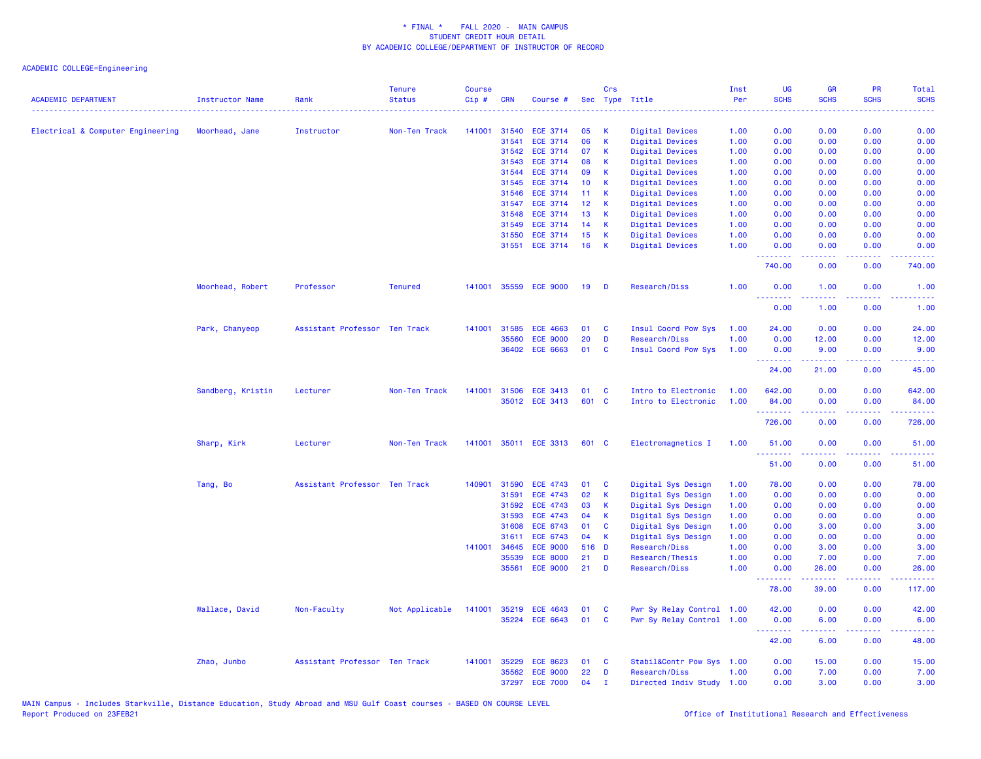| <b>ACADEMIC DEPARTMENT</b>        | <b>Instructor Name</b> | Rank                          | <b>Tenure</b><br><b>Status</b> | Course<br>Cip# | <b>CRN</b> | Course #        |       | Crs         | Sec Type Title            | Inst<br>Per | UG<br><b>SCHS</b>                                           | <b>GR</b><br><b>SCHS</b> | PR<br><b>SCHS</b>                   | Total<br><b>SCHS</b><br>الوالوني |
|-----------------------------------|------------------------|-------------------------------|--------------------------------|----------------|------------|-----------------|-------|-------------|---------------------------|-------------|-------------------------------------------------------------|--------------------------|-------------------------------------|----------------------------------|
| Electrical & Computer Engineering | Moorhead, Jane         | Instructor                    | Non-Ten Track                  | 141001         | 31540      | <b>ECE 3714</b> | 05    | к           | Digital Devices           | 1.00        | 0.00                                                        | 0.00                     | 0.00                                | 0.00                             |
|                                   |                        |                               |                                |                | 31541      | <b>ECE 3714</b> | 06    | K           | Digital Devices           | 1.00        | 0.00                                                        | 0.00                     | 0.00                                | 0.00                             |
|                                   |                        |                               |                                |                |            | 31542 ECE 3714  | 07    | K           | Digital Devices           | 1.00        | 0.00                                                        | 0.00                     | 0.00                                | 0.00                             |
|                                   |                        |                               |                                |                | 31543      | <b>ECE 3714</b> | 08    | К           | Digital Devices           | 1.00        | 0.00                                                        | 0.00                     | 0.00                                | 0.00                             |
|                                   |                        |                               |                                |                | 31544      | <b>ECE 3714</b> | 09    | К           | Digital Devices           | 1.00        | 0.00                                                        | 0.00                     | 0.00                                | 0.00                             |
|                                   |                        |                               |                                |                | 31545      | <b>ECE 3714</b> | 10    | К           | Digital Devices           | 1.00        | 0.00                                                        | 0.00                     | 0.00                                | 0.00                             |
|                                   |                        |                               |                                |                | 31546      | <b>ECE 3714</b> | 11    | K           | Digital Devices           | 1.00        | 0.00                                                        | 0.00                     | 0.00                                | 0.00                             |
|                                   |                        |                               |                                |                | 31547      | <b>ECE 3714</b> | 12    | К           | Digital Devices           | 1.00        | 0.00                                                        | 0.00                     | 0.00                                | 0.00                             |
|                                   |                        |                               |                                |                | 31548      | <b>ECE 3714</b> | 13    | К           | Digital Devices           | 1.00        | 0.00                                                        | 0.00                     | 0.00                                | 0.00                             |
|                                   |                        |                               |                                |                | 31549      | <b>ECE 3714</b> | 14    | $\mathbf k$ | <b>Digital Devices</b>    | 1.00        | 0.00                                                        | 0.00                     | 0.00                                | 0.00                             |
|                                   |                        |                               |                                |                | 31550      | <b>ECE 3714</b> | 15    | K           | Digital Devices           | 1.00        | 0.00                                                        | 0.00                     | 0.00                                | 0.00                             |
|                                   |                        |                               |                                |                | 31551      | <b>ECE 3714</b> | 16    | K           | <b>Digital Devices</b>    | 1.00        | 0.00                                                        | 0.00                     | 0.00                                | 0.00                             |
|                                   |                        |                               |                                |                |            |                 |       |             |                           |             | 740.00                                                      | 0.00                     | 0.00                                | 740.00                           |
|                                   | Moorhead, Robert       | Professor                     | <b>Tenured</b>                 | 141001         |            | 35559 ECE 9000  | 19    | D           | Research/Diss             | 1.00        | 0.00<br><u>.</u>                                            | 1.00<br><b>.</b>         | 0.00<br>.                           | 1.00<br>.                        |
|                                   |                        |                               |                                |                |            |                 |       |             |                           |             | 0.00                                                        | 1.00                     | 0.00                                | 1.00                             |
|                                   | Park, Chanyeop         | Assistant Professor Ten Track |                                | 141001         | 31585      | <b>ECE 4663</b> | 01    | C           | Insul Coord Pow Sys       | 1.00        | 24.00                                                       | 0.00                     | 0.00                                | 24.00                            |
|                                   |                        |                               |                                |                | 35560      | <b>ECE 9000</b> | 20    | D           | Research/Diss             | 1.00        | 0.00                                                        | 12.00                    | 0.00                                | 12.00                            |
|                                   |                        |                               |                                |                |            | 36402 ECE 6663  | 01    | <b>C</b>    | Insul Coord Pow Sys       | 1.00        | 0.00<br>.                                                   | 9.00                     | 0.00<br>والمحامر                    | 9.00<br>المتماما                 |
|                                   |                        |                               |                                |                |            |                 |       |             |                           |             | 24.00                                                       | 21.00                    | 0.00                                | 45.00                            |
|                                   | Sandberg, Kristin      | Lecturer                      | Non-Ten Track                  | 141001         |            | 31506 ECE 3413  | 01    | C           | Intro to Electronic       | 1.00        | 642.00                                                      | 0.00                     | 0.00                                | 642.00                           |
|                                   |                        |                               |                                |                |            | 35012 ECE 3413  | 601 C |             | Intro to Electronic       | 1.00        | 84.00                                                       | 0.00                     | 0.00<br>ولايات                      | 84.00                            |
|                                   |                        |                               |                                |                |            |                 |       |             |                           |             | 726.00                                                      | 0.00                     | 0.00                                | 726.00                           |
|                                   | Sharp, Kirk            | Lecturer                      | Non-Ten Track                  | 141001         |            | 35011 ECE 3313  | 601 C |             | Electromagnetics I        | 1.00        | 51.00<br><b><i><u><u><b>a</b></u></u> a a a a a a a</i></b> | 0.00<br><u>.</u>         | 0.00<br>.                           | 51.00<br>.                       |
|                                   |                        |                               |                                |                |            |                 |       |             |                           |             | 51.00                                                       | 0.00                     | 0.00                                | 51.00                            |
|                                   | Tang, Bo               | Assistant Professor Ten Track |                                | 140901         | 31590      | <b>ECE 4743</b> | 01    | <b>C</b>    | Digital Sys Design        | 1.00        | 78.00                                                       | 0.00                     | 0.00                                | 78.00                            |
|                                   |                        |                               |                                |                | 31591      | <b>ECE 4743</b> | 02    | К           | Digital Sys Design        | 1.00        | 0.00                                                        | 0.00                     | 0.00                                | 0.00                             |
|                                   |                        |                               |                                |                | 31592      | <b>ECE 4743</b> | 03    | K           | Digital Sys Design        | 1.00        | 0.00                                                        | 0.00                     | 0.00                                | 0.00                             |
|                                   |                        |                               |                                |                | 31593      | <b>ECE 4743</b> | 04    | К           | Digital Sys Design        | 1.00        | 0.00                                                        | 0.00                     | 0.00                                | 0.00                             |
|                                   |                        |                               |                                |                | 31608      | ECE 6743        | 01    | C           | Digital Sys Design        | 1.00        | 0.00                                                        | 3.00                     | 0.00                                | 3.00                             |
|                                   |                        |                               |                                |                | 31611      | ECE 6743        | 04    | К           | Digital Sys Design        | 1.00        | 0.00                                                        | 0.00                     | 0.00                                | 0.00                             |
|                                   |                        |                               |                                | 141001         | 34645      | <b>ECE 9000</b> | 516 D |             | Research/Diss             | 1.00        | 0.00                                                        | 3.00                     | 0.00                                | 3.00                             |
|                                   |                        |                               |                                |                | 35539      | <b>ECE 8000</b> | 21    | D           | Research/Thesis           | 1.00        | 0.00                                                        | 7.00                     | 0.00                                | 7.00                             |
|                                   |                        |                               |                                |                | 35561      | <b>ECE 9000</b> | 21    | D           | Research/Diss             | 1.00        | 0.00<br><u>.</u>                                            | 26.00                    | 0.00<br>د د د د                     | 26.00<br>.                       |
|                                   |                        |                               |                                |                |            |                 |       |             |                           |             | 78.00                                                       | 39.00                    | 0.00                                | 117.00                           |
|                                   | Wallace, David         | Non-Faculty                   | Not Applicable                 | 141001         |            | 35219 ECE 4643  | 01    | <b>C</b>    | Pwr Sy Relay Control 1.00 |             | 42.00                                                       | 0.00                     | 0.00                                | 42.00                            |
|                                   |                        |                               |                                |                |            | 35224 ECE 6643  | 01    | C           | Pwr Sy Relay Control 1.00 |             | 0.00                                                        | 6.00                     | 0.00<br>$\sim$ $\sim$ $\sim$ $\sim$ | 6.00                             |
|                                   |                        |                               |                                |                |            |                 |       |             |                           |             | 42.00                                                       | 6.00                     | 0.00                                | 48.00                            |
|                                   | Zhao, Junbo            | Assistant Professor Ten Track |                                | 141001         | 35229      | <b>ECE 8623</b> | 01    | C           | Stabil&Contr Pow Sys      | 1.00        | 0.00                                                        | 15.00                    | 0.00                                | 15.00                            |
|                                   |                        |                               |                                |                | 35562      | <b>ECE 9000</b> | 22    | D           | Research/Diss             | 1.00        | 0.00                                                        | 7.00                     | 0.00                                | 7.00                             |
|                                   |                        |                               |                                |                |            | 37297 ECE 7000  | 04    | I.          | Directed Indiv Study 1.00 |             | 0.00                                                        | 3.00                     | 0.00                                | 3.00                             |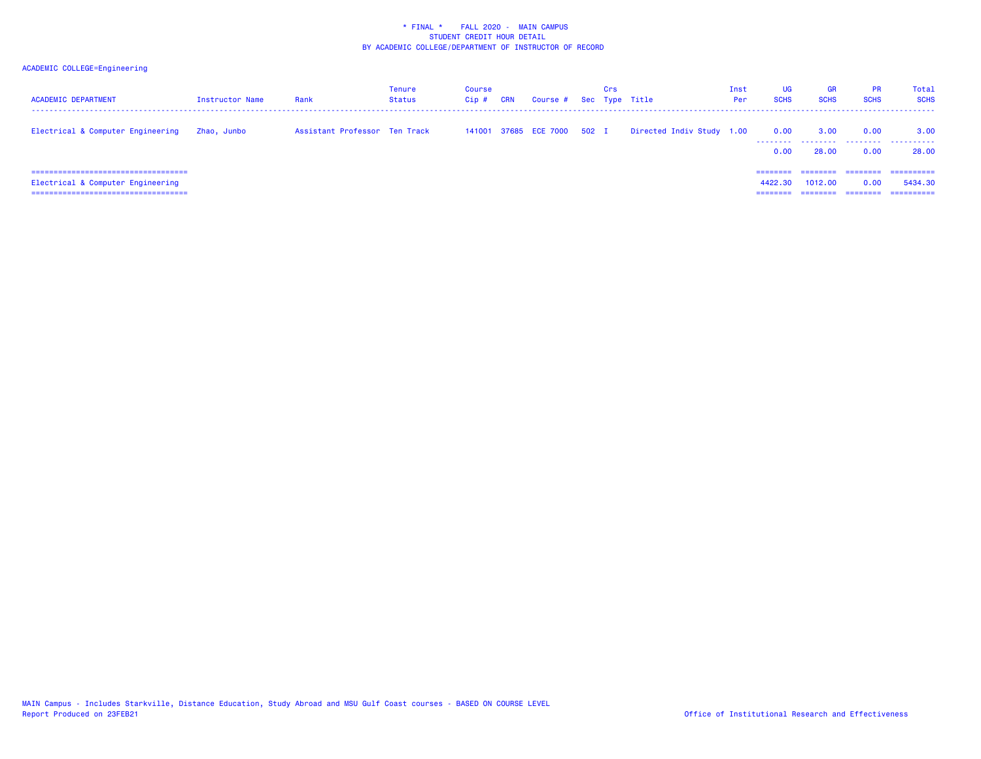| <b>ACADEMIC DEPARTMENT</b>                                                                                           | Instructor Name | Rank                          | <b>Tenure</b><br>Status | Course<br>$Cip$ # | CRN | Course # Sec Type Title     | Crs |                           | Inst<br>Per | <b>UG</b><br><b>SCHS</b> | <b>GR</b><br><b>SCHS</b> | PR<br><b>SCHS</b>            | Total<br><b>SCHS</b>                |
|----------------------------------------------------------------------------------------------------------------------|-----------------|-------------------------------|-------------------------|-------------------|-----|-----------------------------|-----|---------------------------|-------------|--------------------------|--------------------------|------------------------------|-------------------------------------|
| Electrical & Computer Engineering                                                                                    | Zhao, Junbo     | Assistant Professor Ten Track |                         |                   |     | 141001 37685 ECE 7000 502 I |     | Directed Indiv Study 1.00 |             | 0.00<br>0.00             | 3.00<br>28,00            | 0.00<br>0.00                 | 3.00<br>28.00                       |
| ======================================<br>Electrical & Computer Engineering<br>===================================== |                 |                               |                         |                   |     |                             |     |                           |             | ======<br>4422.30        | 1012.00                  | ========<br>0.00<br>======== | ==========<br>5434.30<br>========== |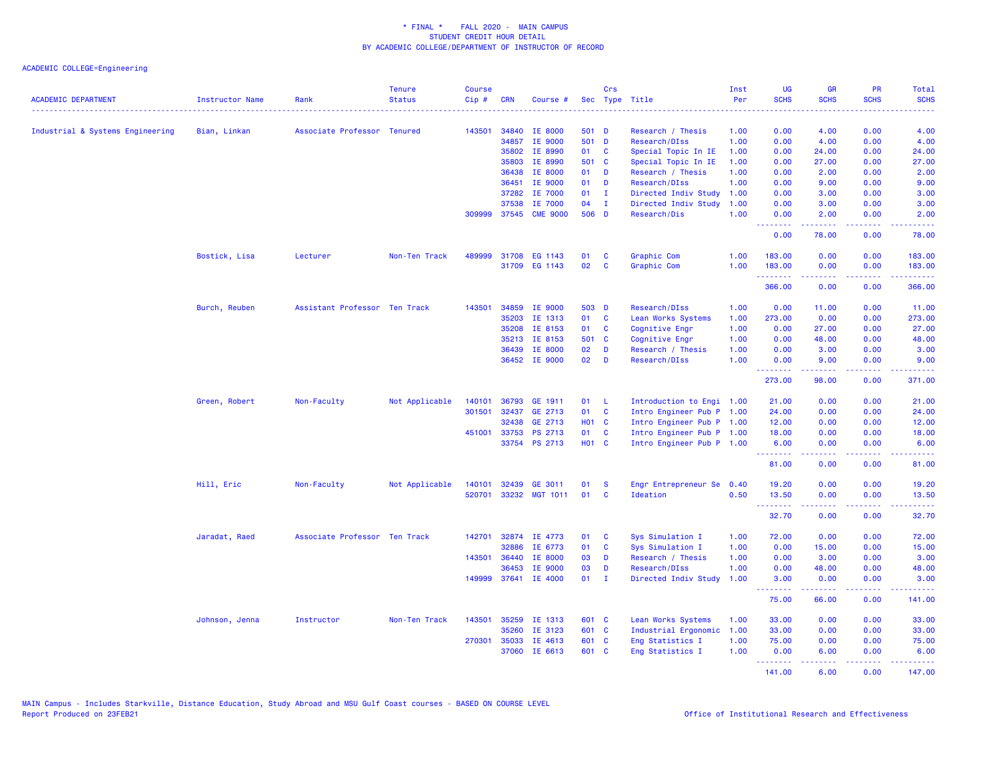| <b>ACADEMIC DEPARTMENT</b>       | Instructor Name | Rank                          | <b>Tenure</b><br><b>Status</b> | <b>Course</b><br>Cip# | <b>CRN</b>     | Course #             |              | Crs          | Sec Type Title                      | Inst<br>Per  | <b>UG</b><br><b>SCHS</b> | <b>GR</b><br><b>SCHS</b> | PR<br><b>SCHS</b> | Total<br><b>SCHS</b>                                                                                                          |
|----------------------------------|-----------------|-------------------------------|--------------------------------|-----------------------|----------------|----------------------|--------------|--------------|-------------------------------------|--------------|--------------------------|--------------------------|-------------------|-------------------------------------------------------------------------------------------------------------------------------|
| Industrial & Systems Engineering | Bian, Linkan    | Associate Professor Tenured   |                                | 143501                | 34840          | <b>IE 8000</b>       | 501 D        |              | Research / Thesis                   | 1.00         | 0.00                     | 4.00                     | 0.00              | 4.00                                                                                                                          |
|                                  |                 |                               |                                |                       | 34857          | IE 9000              | 501 D        |              | Research/DIss                       | 1.00         | 0.00                     | 4.00                     | 0.00              | 4.00                                                                                                                          |
|                                  |                 |                               |                                |                       | 35802          | IE 8990              | 01           | <b>C</b>     | Special Topic In IE                 | 1.00         | 0.00                     | 24.00                    | 0.00              | 24.00                                                                                                                         |
|                                  |                 |                               |                                |                       | 35803          | IE 8990              | 501 C        |              | Special Topic In IE                 | 1.00         | 0.00                     | 27.00                    | 0.00              | 27.00                                                                                                                         |
|                                  |                 |                               |                                |                       | 36438          | IE 8000              | 01           | D            | Research / Thesis                   | 1.00         | 0.00                     | 2.00                     | 0.00              | 2.00                                                                                                                          |
|                                  |                 |                               |                                |                       | 36451          | IE 9000              | 01           | D            | Research/DIss                       | 1.00         | 0.00                     | 9.00                     | 0.00              | 9.00                                                                                                                          |
|                                  |                 |                               |                                |                       | 37282          | IE 7000              | 01           | $\mathbf{I}$ | Directed Indiv Study                | 1.00         | 0.00                     | 3.00                     | 0.00              | 3.00                                                                                                                          |
|                                  |                 |                               |                                |                       | 37538          | IE 7000              | 04           | $\mathbf{I}$ | Directed Indiv Study                | 1.00         | 0.00                     | 3.00                     | 0.00              | 3.00                                                                                                                          |
|                                  |                 |                               |                                |                       | 309999 37545   | <b>CME 9000</b>      | 506 D        |              | Research/Dis                        | 1.00         | 0.00<br><u>.</u>         | 2.00<br>22222            | 0.00<br>الأبالات  | 2.00<br>$\omega$ is $\omega$ in .                                                                                             |
|                                  |                 |                               |                                |                       |                |                      |              |              |                                     |              | 0.00                     | 78.00                    | 0.00              | 78.00                                                                                                                         |
|                                  | Bostick, Lisa   | Lecturer                      | Non-Ten Track                  | 489999                |                | 31708 EG 1143        | 01           | C            | Graphic Com                         | 1.00         | 183.00                   | 0.00                     | 0.00              | 183.00                                                                                                                        |
|                                  |                 |                               |                                |                       |                | 31709 EG 1143        | 02           | C            | Graphic Com                         | 1.00         | 183.00                   | 0.00                     | 0.00              | 183.00                                                                                                                        |
|                                  |                 |                               |                                |                       |                |                      |              |              |                                     |              | .<br>366.00              | 22222<br>0.00            | .<br>0.00         | .<br>366.00                                                                                                                   |
|                                  |                 |                               |                                |                       |                |                      |              |              |                                     |              |                          |                          |                   |                                                                                                                               |
|                                  | Burch, Reuben   | Assistant Professor Ten Track |                                | 143501                | 34859          | <b>IE 9000</b>       | 503 D        |              | Research/DIss                       | 1.00         | 0.00                     | 11.00                    | 0.00              | 11.00                                                                                                                         |
|                                  |                 |                               |                                |                       | 35203          | IE 1313              | 01           | C            | Lean Works Systems                  | 1.00         | 273.00                   | 0.00                     | 0.00              | 273.00                                                                                                                        |
|                                  |                 |                               |                                |                       | 35208          | IE 8153              | 01<br>501 C  | $\mathbf{C}$ | Cognitive Engr                      | 1.00         | 0.00<br>0.00             | 27.00                    | 0.00<br>0.00      | 27.00                                                                                                                         |
|                                  |                 |                               |                                |                       | 35213<br>36439 | IE 8153<br>IE 8000   | 02           | D            | Cognitive Engr<br>Research / Thesis | 1.00<br>1.00 | 0.00                     | 48.00<br>3.00            | 0.00              | 48.00<br>3.00                                                                                                                 |
|                                  |                 |                               |                                |                       |                | 36452 IE 9000        | 02           | <b>D</b>     | Research/DIss                       | 1.00         | 0.00                     | 9.00                     | 0.00              | 9.00                                                                                                                          |
|                                  |                 |                               |                                |                       |                |                      |              |              |                                     |              | .                        | .                        | .                 | والمستوات المنابذ                                                                                                             |
|                                  |                 |                               |                                |                       |                |                      |              |              |                                     |              | 273.00                   | 98.00                    | 0.00              | 371.00                                                                                                                        |
|                                  | Green, Robert   | Non-Faculty                   | Not Applicable                 | 140101                | 36793          | GE 1911              | 01           | -L           | Introduction to Engi 1.00           |              | 21.00                    | 0.00                     | 0.00              | 21.00                                                                                                                         |
|                                  |                 |                               |                                | 301501                |                | 32437 GE 2713        | 01           | $\mathbf{C}$ | Intro Engineer Pub P 1.00           |              | 24.00                    | 0.00                     | 0.00              | 24.00                                                                                                                         |
|                                  |                 |                               |                                |                       | 32438          | GE 2713              | <b>HO1 C</b> |              | Intro Engineer Pub P 1.00           |              | 12.00                    | 0.00                     | 0.00              | 12.00                                                                                                                         |
|                                  |                 |                               |                                | 451001                | 33753          | PS 2713              | 01           | <b>C</b>     | Intro Engineer Pub P 1.00           |              | 18.00                    | 0.00                     | 0.00              | 18.00                                                                                                                         |
|                                  |                 |                               |                                |                       |                | 33754 PS 2713        | <b>HO1 C</b> |              | Intro Engineer Pub P 1.00           |              | 6.00<br><b></b>          | 0.00<br>-----            | 0.00<br>.         | 6.00<br>.                                                                                                                     |
|                                  |                 |                               |                                |                       |                |                      |              |              |                                     |              | 81.00                    | 0.00                     | 0.00              | 81.00                                                                                                                         |
|                                  | Hill, Eric      | Non-Faculty                   | Not Applicable                 | 140101                | 32439          | GE 3011              | 01           | <b>S</b>     | Engr Entrepreneur Se                | 0.40         | 19.20                    | 0.00                     | 0.00              | 19.20                                                                                                                         |
|                                  |                 |                               |                                | 520701                |                | 33232 MGT 1011       | 01           | C            | Ideation                            | 0.50         | 13.50<br>.               | 0.00                     | 0.00              | 13.50                                                                                                                         |
|                                  |                 |                               |                                |                       |                |                      |              |              |                                     |              | 32.70                    | 0.00                     | 0.00              | 32.70                                                                                                                         |
|                                  | Jaradat, Raed   | Associate Professor Ten Track |                                | 142701                | 32874          | IE 4773              | 01           | C            | Sys Simulation I                    | 1.00         | 72.00                    | 0.00                     | 0.00              | 72.00                                                                                                                         |
|                                  |                 |                               |                                |                       | 32886          | IE 6773              | 01           | <b>C</b>     | Sys Simulation I                    | 1.00         | 0.00                     | 15.00                    | 0.00              | 15.00                                                                                                                         |
|                                  |                 |                               |                                | 143501                | 36440          | IE 8000              | 03           | D            | Research / Thesis                   | 1.00         | 0.00                     | 3.00                     | 0.00              | 3.00                                                                                                                          |
|                                  |                 |                               |                                |                       | 36453          | IE 9000              | 03           | D            | Research/DIss                       | 1.00         | 0.00                     | 48.00                    | 0.00              | 48.00                                                                                                                         |
|                                  |                 |                               |                                |                       |                | 149999 37641 IE 4000 | $01$ I       |              | Directed Indiv Study                | 1.00         | 3.00<br><u>.</u>         | 0.00<br>.                | 0.00<br>.         | 3.00<br>.                                                                                                                     |
|                                  |                 |                               |                                |                       |                |                      |              |              |                                     |              | 75.00                    | 66.00                    | 0.00              | 141.00                                                                                                                        |
|                                  | Johnson, Jenna  | Instructor                    | Non-Ten Track                  | 143501                | 35259          | IE 1313              | 601 C        |              | Lean Works Systems                  | 1.00         | 33.00                    | 0.00                     | 0.00              | 33.00                                                                                                                         |
|                                  |                 |                               |                                |                       | 35260          | IE 3123              | 601 C        |              | Industrial Ergonomic                | 1.00         | 33.00                    | 0.00                     | 0.00              | 33.00                                                                                                                         |
|                                  |                 |                               |                                | 270301                | 35033          | IE 4613              | 601 C        |              | Eng Statistics I                    | 1.00         | 75.00                    | 0.00                     | 0.00              | 75.00                                                                                                                         |
|                                  |                 |                               |                                |                       | 37060          | IE 6613              | 601 C        |              | Eng Statistics I                    | 1.00         | 0.00<br>.                | 6.00<br>22222            | 0.00<br>.         | 6.00<br>$\begin{array}{cccccccccc} \bullet & \bullet & \bullet & \bullet & \bullet & \bullet & \bullet & \bullet \end{array}$ |
|                                  |                 |                               |                                |                       |                |                      |              |              |                                     |              | 141.00                   | 6.00                     | 0.00              | 147.00                                                                                                                        |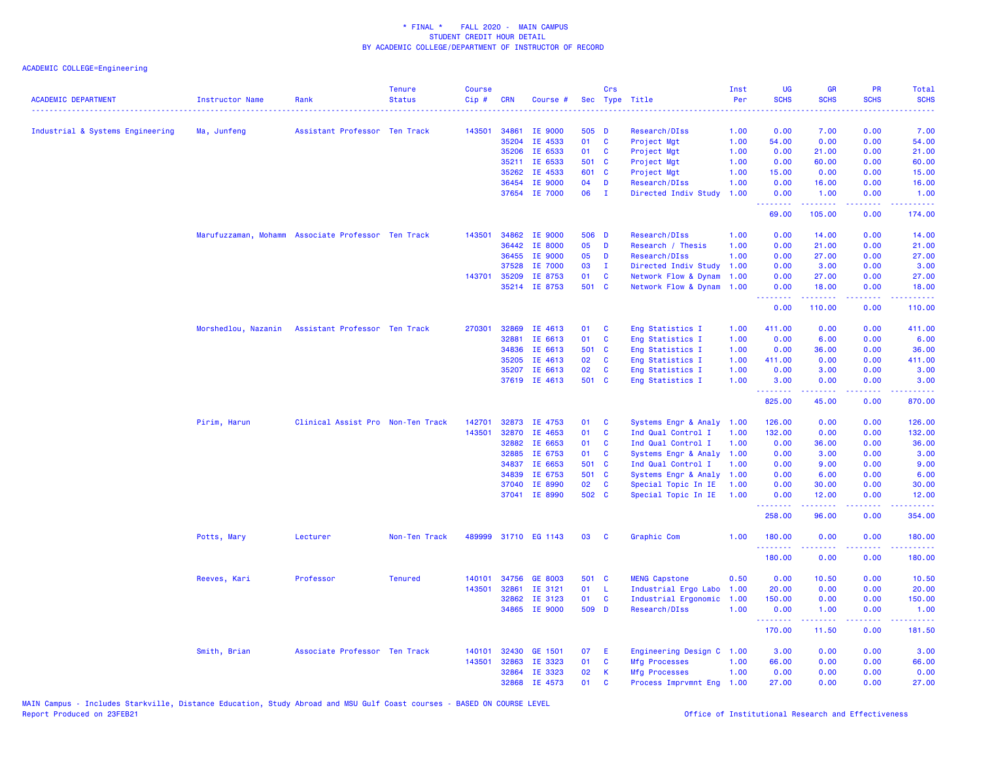| <b>ACADEMIC DEPARTMENT</b>       | <b>Instructor Name</b>                             | Rank                              | <b>Tenure</b><br><b>Status</b> | <b>Course</b><br>Cip# | <b>CRN</b> | Course #             |       | Crs          | Sec Type Title            | Inst<br>Per | <b>UG</b><br><b>SCHS</b>                                 | <b>GR</b><br><b>SCHS</b> | <b>PR</b><br><b>SCHS</b> | Total<br><b>SCHS</b><br>. |
|----------------------------------|----------------------------------------------------|-----------------------------------|--------------------------------|-----------------------|------------|----------------------|-------|--------------|---------------------------|-------------|----------------------------------------------------------|--------------------------|--------------------------|---------------------------|
| Industrial & Systems Engineering | Ma, Junfeng                                        | Assistant Professor Ten Track     |                                | 143501                | 34861      | IE 9000              | 505 D |              | Research/DIss             | 1.00        | 0.00                                                     | 7.00                     | 0.00                     | 7.00                      |
|                                  |                                                    |                                   |                                |                       | 35204      | IE 4533              | 01    | $\mathbf{C}$ | Project Mgt               | 1.00        | 54.00                                                    | 0.00                     | 0.00                     | 54.00                     |
|                                  |                                                    |                                   |                                |                       | 35206      | IE 6533              | 01    | C            | Project Mgt               | 1.00        | 0.00                                                     | 21.00                    | 0.00                     | 21.00                     |
|                                  |                                                    |                                   |                                |                       | 35211      | IE 6533              | 501 C |              | Project Mgt               | 1.00        | 0.00                                                     | 60.00                    | 0.00                     | 60.00                     |
|                                  |                                                    |                                   |                                |                       | 35262      | IE 4533              | 601 C |              | Project Mgt               | 1.00        | 15.00                                                    | 0.00                     | 0.00                     | 15.00                     |
|                                  |                                                    |                                   |                                |                       | 36454      | IE 9000              | 04    | D            | Research/DIss             | 1.00        | 0.00                                                     | 16.00                    | 0.00                     | 16.00                     |
|                                  |                                                    |                                   |                                |                       | 37654      | IE 7000              | 06    | $\mathbf{I}$ | Directed Indiv Study      | 1.00        | 0.00<br>.                                                | 1.00<br>.                | 0.00<br>.                | 1.00<br>dia a a a .       |
|                                  |                                                    |                                   |                                |                       |            |                      |       |              |                           |             | 69.00                                                    | 105.00                   | 0.00                     | 174.00                    |
|                                  | Marufuzzaman, Mohamm Associate Professor Ten Track |                                   |                                | 143501                | 34862      | IE 9000              | 506 D |              | Research/DIss             | 1.00        | 0.00                                                     | 14.00                    | 0.00                     | 14.00                     |
|                                  |                                                    |                                   |                                |                       | 36442      | IE 8000              | 05    | D            | Research / Thesis         | 1.00        | 0.00                                                     | 21.00                    | 0.00                     | 21.00                     |
|                                  |                                                    |                                   |                                |                       | 36455      | IE 9000              | 05    | D            | Research/DIss             | 1.00        | 0.00                                                     | 27.00                    | 0.00                     | 27.00                     |
|                                  |                                                    |                                   |                                |                       | 37528      | IE 7000              | 03    | $\mathbf{I}$ | Directed Indiv Study      | 1.00        | 0.00                                                     | 3.00                     | 0.00                     | 3.00                      |
|                                  |                                                    |                                   |                                | 143701                | 35209      | IE 8753              | 01    | <b>C</b>     | Network Flow & Dynam      | 1.00        | 0.00                                                     | 27.00                    | 0.00                     | 27.00                     |
|                                  |                                                    |                                   |                                |                       |            | 35214 IE 8753        | 501 C |              | Network Flow & Dynam 1.00 |             | 0.00<br><b><i><u><u> - - - - - - -</u></u></i></b>       | 18.00<br>.               | 0.00<br>.                | 18.00<br>.                |
|                                  |                                                    |                                   |                                |                       |            |                      |       |              |                           |             | 0.00                                                     | 110.00                   | 0.00                     | 110.00                    |
|                                  | Morshedlou, Nazanin                                | Assistant Professor Ten Track     |                                | 270301                | 32869      | IE 4613              | 01    | C            | Eng Statistics I          | 1.00        | 411.00                                                   | 0.00                     | 0.00                     | 411.00                    |
|                                  |                                                    |                                   |                                |                       | 32881      | IE 6613              | 01    | C            | Eng Statistics I          | 1.00        | 0.00                                                     | 6.00                     | 0.00                     | 6.00                      |
|                                  |                                                    |                                   |                                |                       | 34836      | IE 6613              | 501 C |              | Eng Statistics I          | 1.00        | 0.00                                                     | 36.00                    | 0.00                     | 36.00                     |
|                                  |                                                    |                                   |                                |                       | 35205      | IE 4613              | 02    | C            | Eng Statistics I          | 1.00        | 411.00                                                   | 0.00                     | 0.00                     | 411.00                    |
|                                  |                                                    |                                   |                                |                       | 35207      | IE 6613              | 02    | C            | Eng Statistics I          | 1.00        | 0.00                                                     | 3.00                     | 0.00                     | 3.00                      |
|                                  |                                                    |                                   |                                |                       |            | 37619 IE 4613        | 501 C |              | Eng Statistics I          | 1.00        | 3.00<br>.                                                | 0.00<br><u>.</u>         | 0.00<br>.                | 3.00<br><b>.</b> .        |
|                                  |                                                    |                                   |                                |                       |            |                      |       |              |                           |             | 825.00                                                   | 45.00                    | 0.00                     | 870.00                    |
|                                  | Pirim, Harun                                       | Clinical Assist Pro Non-Ten Track |                                | 142701                | 32873      | IE 4753              | 01    | C            | Systems Engr & Analy      | 1.00        | 126.00                                                   | 0.00                     | 0.00                     | 126.00                    |
|                                  |                                                    |                                   |                                | 143501                | 32870      | IE 4653              | 01    | C            | Ind Qual Control I        | 1.00        | 132.00                                                   | 0.00                     | 0.00                     | 132.00                    |
|                                  |                                                    |                                   |                                |                       | 32882      | IE 6653              | 01    | C            | Ind Qual Control I        | 1.00        | 0.00                                                     | 36.00                    | 0.00                     | 36.00                     |
|                                  |                                                    |                                   |                                |                       | 32885      | IE 6753              | 01    | <b>C</b>     | Systems Engr & Analy      | 1.00        | 0.00                                                     | 3.00                     | 0.00                     | 3.00                      |
|                                  |                                                    |                                   |                                |                       | 34837      | IE 6653              | 501 C |              | Ind Qual Control I        | 1.00        | 0.00                                                     | 9.00                     | 0.00                     | 9.00                      |
|                                  |                                                    |                                   |                                |                       | 34839      | IE 6753              | 501 C |              | Systems Engr & Analy      | 1.00        | 0.00                                                     | 6.00                     | 0.00                     | 6.00                      |
|                                  |                                                    |                                   |                                |                       | 37040      | IE 8990              | 02    | C            | Special Topic In IE       | 1.00        | 0.00                                                     | 30.00                    | 0.00                     | 30.00                     |
|                                  |                                                    |                                   |                                |                       | 37041      | IE 8990              | 502 C |              | Special Topic In IE       | 1.00        | 0.00<br>.                                                | 12.00<br>22222           | 0.00<br>بالمحام          | 12.00<br>المتمامين        |
|                                  |                                                    |                                   |                                |                       |            |                      |       |              |                           |             | 258.00                                                   | 96.00                    | 0.00                     | 354.00                    |
|                                  | Potts, Mary                                        | Lecturer                          | Non-Ten Track                  |                       |            | 489999 31710 EG 1143 | 03    | C            | Graphic Com               | 1.00        | 180.00<br>.                                              | 0.00                     | 0.00                     | 180.00                    |
|                                  |                                                    |                                   |                                |                       |            |                      |       |              |                           |             | 180.00                                                   | <u>.</u><br>0.00         | .<br>0.00                | 180.00                    |
|                                  | Reeves, Kari                                       | Professor                         | <b>Tenured</b>                 | 140101                |            | 34756 GE 8003        | 501 C |              | <b>MENG Capstone</b>      | 0.50        | 0.00                                                     | 10.50                    | 0.00                     | 10.50                     |
|                                  |                                                    |                                   |                                | 143501                | 32861      | IE 3121              | 01    | - L          | Industrial Ergo Labo      | 1.00        | 20.00                                                    | 0.00                     | 0.00                     | 20.00                     |
|                                  |                                                    |                                   |                                |                       | 32862      | IE 3123              | 01    | <b>C</b>     | Industrial Ergonomic      | 1.00        | 150.00                                                   | 0.00                     | 0.00                     | 150.00                    |
|                                  |                                                    |                                   |                                |                       |            | 34865 IE 9000        | 509 D |              | Research/DIss             | 1.00        | 0.00<br><b><i><u><u><b>Little Little</b></u></u></i></b> | 1.00<br>الداعات عامات    | 0.00<br>.                | 1.00<br>.                 |
|                                  |                                                    |                                   |                                |                       |            |                      |       |              |                           |             | 170.00                                                   | 11.50                    | 0.00                     | 181.50                    |
|                                  | Smith, Brian                                       | Associate Professor Ten Track     |                                | 140101                | 32430      | <b>GE 1501</b>       | 07    | Ε            | Engineering Design C      | 1.00        | 3.00                                                     | 0.00                     | 0.00                     | 3.00                      |
|                                  |                                                    |                                   |                                | 143501                | 32863      | IE 3323              | 01    | $\mathbf{C}$ | <b>Mfg Processes</b>      | 1.00        | 66.00                                                    | 0.00                     | 0.00                     | 66.00                     |
|                                  |                                                    |                                   |                                |                       | 32864      | IE 3323              | 02    | К            | <b>Mfg Processes</b>      | 1.00        | 0.00                                                     | 0.00                     | 0.00                     | 0.00                      |
|                                  |                                                    |                                   |                                |                       | 32868      | IE 4573              | 01    | $\mathbf{C}$ | Process Imprvmnt Eng 1.00 |             | 27.00                                                    | 0.00                     | 0.00                     | 27.00                     |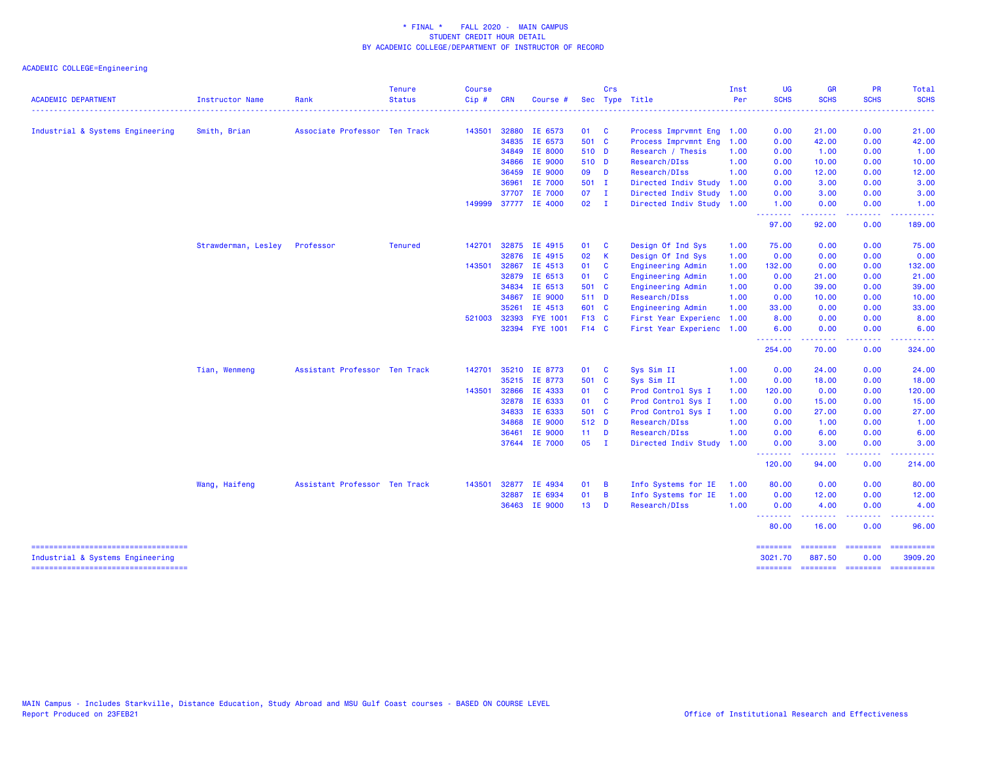| <b>ACADEMIC DEPARTMENT</b>                                                | <b>Instructor Name</b> | Rank                          | <b>Tenure</b><br><b>Status</b> | <b>Course</b><br>Cip# | <b>CRN</b> | Course #        |                 | Crs            | Sec Type Title            | Inst<br>Per | <b>UG</b><br><b>SCHS</b> | <b>GR</b><br><b>SCHS</b> | PR<br><b>SCHS</b>      | Total<br><b>SCHS</b>                                                                                                                                                                                                                                                                                                                                                                                                                                                                   |
|---------------------------------------------------------------------------|------------------------|-------------------------------|--------------------------------|-----------------------|------------|-----------------|-----------------|----------------|---------------------------|-------------|--------------------------|--------------------------|------------------------|----------------------------------------------------------------------------------------------------------------------------------------------------------------------------------------------------------------------------------------------------------------------------------------------------------------------------------------------------------------------------------------------------------------------------------------------------------------------------------------|
|                                                                           |                        |                               |                                |                       |            |                 |                 |                |                           |             |                          |                          |                        |                                                                                                                                                                                                                                                                                                                                                                                                                                                                                        |
| Industrial & Systems Engineering                                          | Smith, Brian           | Associate Professor Ten Track |                                | 143501                |            | 32880 IE 6573   | 01 C            |                | Process Imprvmnt Eng 1.00 |             | 0.00                     | 21.00                    | 0.00                   | 21.00                                                                                                                                                                                                                                                                                                                                                                                                                                                                                  |
|                                                                           |                        |                               |                                |                       |            | 34835 IE 6573   | 501 C           |                | Process Imprymnt Eng      | 1.00        | 0.00                     | 42.00                    | 0.00                   | 42.00                                                                                                                                                                                                                                                                                                                                                                                                                                                                                  |
|                                                                           |                        |                               |                                |                       |            | 34849 IE 8000   | 510 D           |                | Research / Thesis         | 1.00        | 0.00                     | 1.00                     | 0.00                   | 1.00                                                                                                                                                                                                                                                                                                                                                                                                                                                                                   |
|                                                                           |                        |                               |                                |                       | 34866      | IE 9000         | 510 D           |                | Research/DIss             | 1.00        | 0.00                     | 10.00                    | 0.00                   | 10.00                                                                                                                                                                                                                                                                                                                                                                                                                                                                                  |
|                                                                           |                        |                               |                                |                       | 36459      | IE 9000         | 09 D            |                | Research/DIss             | 1.00        | 0.00                     | 12.00                    | 0.00                   | 12.00                                                                                                                                                                                                                                                                                                                                                                                                                                                                                  |
|                                                                           |                        |                               |                                |                       | 36961      | IE 7000         | 501 I           |                | Directed Indiv Study      | 1.00        | 0.00                     | 3.00                     | 0.00                   | 3.00                                                                                                                                                                                                                                                                                                                                                                                                                                                                                   |
|                                                                           |                        |                               |                                |                       | 37707      | IE 7000         | 07              | $\mathbf{I}$   | Directed Indiv Study 1.00 |             | 0.00                     | 3.00                     | 0.00                   | 3.00                                                                                                                                                                                                                                                                                                                                                                                                                                                                                   |
|                                                                           |                        |                               |                                | 149999                |            | 37777 IE 4000   | $02 \qquad I$   |                | Directed Indiv Study 1.00 |             | 1.00<br>---------        | 0.00<br><b>.</b>         | 0.00<br>المتمامين      | 1.00<br>.                                                                                                                                                                                                                                                                                                                                                                                                                                                                              |
|                                                                           |                        |                               |                                |                       |            |                 |                 |                |                           |             | 97.00                    | 92.00                    | 0.00                   | 189.00                                                                                                                                                                                                                                                                                                                                                                                                                                                                                 |
|                                                                           | Strawderman, Lesley    | Professor                     | <b>Tenured</b>                 | 142701                |            | 32875 IE 4915   | 01              | <b>C</b>       | Design Of Ind Sys         | 1.00        | 75.00                    | 0.00                     | 0.00                   | 75.00                                                                                                                                                                                                                                                                                                                                                                                                                                                                                  |
|                                                                           |                        |                               |                                |                       |            | 32876 IE 4915   | 02              | $\mathsf{K}$   | Design Of Ind Sys         | 1.00        | 0.00                     | 0.00                     | 0.00                   | 0.00                                                                                                                                                                                                                                                                                                                                                                                                                                                                                   |
|                                                                           |                        |                               |                                | 143501                | 32867      | IE 4513         | 01              | <b>C</b>       | Engineering Admin         | 1.00        | 132.00                   | 0.00                     | 0.00                   | 132.00                                                                                                                                                                                                                                                                                                                                                                                                                                                                                 |
|                                                                           |                        |                               |                                |                       |            | 32879 IE 6513   | 01 C            |                | Engineering Admin         | 1.00        | 0.00                     | 21.00                    | 0.00                   | 21.00                                                                                                                                                                                                                                                                                                                                                                                                                                                                                  |
|                                                                           |                        |                               |                                |                       | 34834      | IE 6513         | 501 C           |                | Engineering Admin         | 1.00        | 0.00                     | 39.00                    | 0.00                   | 39.00                                                                                                                                                                                                                                                                                                                                                                                                                                                                                  |
|                                                                           |                        |                               |                                |                       | 34867      | IE 9000         | 511 D           |                | Research/DIss             | 1.00        | 0.00                     | 10.00                    | 0.00                   | 10.00                                                                                                                                                                                                                                                                                                                                                                                                                                                                                  |
|                                                                           |                        |                               |                                |                       | 35261      | IE 4513         | 601 C           |                | Engineering Admin         | 1.00        | 33.00                    | 0.00                     | 0.00                   | 33.00                                                                                                                                                                                                                                                                                                                                                                                                                                                                                  |
|                                                                           |                        |                               |                                | 521003                | 32393      | <b>FYE 1001</b> | F13 C           |                | First Year Experienc      | 1.00        | 8.00                     | 0.00                     | 0.00                   | 8.00                                                                                                                                                                                                                                                                                                                                                                                                                                                                                   |
|                                                                           |                        |                               |                                |                       |            | 32394 FYE 1001  | $F14$ C         |                | First Year Experienc 1.00 |             | 6.00<br><u>.</u>         | 0.00<br>.                | 0.00<br>د د د د        | 6.00<br>.                                                                                                                                                                                                                                                                                                                                                                                                                                                                              |
|                                                                           |                        |                               |                                |                       |            |                 |                 |                |                           |             | 254.00                   | 70.00                    | 0.00                   | 324.00                                                                                                                                                                                                                                                                                                                                                                                                                                                                                 |
|                                                                           | Tian, Wenmeng          | Assistant Professor Ten Track |                                | 142701                |            | 35210 IE 8773   | 01              | $\mathbf{C}$   | Sys Sim II                | 1.00        | 0.00                     | 24.00                    | 0.00                   | 24.00                                                                                                                                                                                                                                                                                                                                                                                                                                                                                  |
|                                                                           |                        |                               |                                |                       |            | 35215 IE 8773   | 501 C           |                | Sys Sim II                | 1.00        | 0.00                     | 18.00                    | 0.00                   | 18.00                                                                                                                                                                                                                                                                                                                                                                                                                                                                                  |
|                                                                           |                        |                               |                                | 143501                |            | 32866 IE 4333   | 01              | $\mathbf{C}$   | Prod Control Sys I        | 1.00        | 120.00                   | 0.00                     | 0.00                   | 120.00                                                                                                                                                                                                                                                                                                                                                                                                                                                                                 |
|                                                                           |                        |                               |                                |                       |            | 32878 IE 6333   | 01              | $\mathbf{C}$   | Prod Control Sys I        | 1.00        | 0.00                     | 15.00                    | 0.00                   | 15.00                                                                                                                                                                                                                                                                                                                                                                                                                                                                                  |
|                                                                           |                        |                               |                                |                       |            | 34833 IE 6333   | 501 C           |                | Prod Control Sys I        | 1.00        | 0.00                     | 27.00                    | 0.00                   | 27.00                                                                                                                                                                                                                                                                                                                                                                                                                                                                                  |
|                                                                           |                        |                               |                                |                       | 34868      | IE 9000         | 512 D           |                | Research/DIss             | 1.00        | 0.00                     | 1.00                     | 0.00                   | 1.00                                                                                                                                                                                                                                                                                                                                                                                                                                                                                   |
|                                                                           |                        |                               |                                |                       | 36461      | IE 9000         | $11$ D          |                | Research/DIss             | 1.00        | 0.00                     | 6.00                     | 0.00                   | 6.00                                                                                                                                                                                                                                                                                                                                                                                                                                                                                   |
|                                                                           |                        |                               |                                |                       |            | 37644 IE 7000   | $05$ I          |                | Directed Indiv Study      | 1.00        | 0.00<br>.                | 3.00<br>.                | 0.00<br>.              | 3.00<br>.                                                                                                                                                                                                                                                                                                                                                                                                                                                                              |
|                                                                           |                        |                               |                                |                       |            |                 |                 |                |                           |             | 120.00                   | 94.00                    | 0.00                   | 214.00                                                                                                                                                                                                                                                                                                                                                                                                                                                                                 |
|                                                                           | Wang, Haifeng          | Assistant Professor Ten Track |                                | 143501                |            | 32877 IE 4934   | 01              | $\overline{B}$ | Info Systems for IE       | 1.00        | 80.00                    | 0.00                     | 0.00                   | 80.00                                                                                                                                                                                                                                                                                                                                                                                                                                                                                  |
|                                                                           |                        |                               |                                |                       | 32887      | IE 6934         | 01              | $\overline{B}$ | Info Systems for IE       | 1.00        | 0.00                     | 12.00                    | 0.00                   | 12.00                                                                                                                                                                                                                                                                                                                                                                                                                                                                                  |
|                                                                           |                        |                               |                                |                       |            | 36463 IE 9000   | 13 <sup>7</sup> | D              | Research/DIss             | 1.00        | 0.00<br>.                | 4.00<br><b>.</b> .       | 0.00<br>-----          | 4.00<br>والمستبدات<br>$\frac{1}{2} \left( \frac{1}{2} \right) \frac{1}{2} \left( \frac{1}{2} \right)$                                                                                                                                                                                                                                                                                                                                                                                  |
|                                                                           |                        |                               |                                |                       |            |                 |                 |                |                           |             | 80.00                    | 16.00                    | 0.00                   | 96.00                                                                                                                                                                                                                                                                                                                                                                                                                                                                                  |
| =====================================<br>Industrial & Systems Engineering |                        |                               |                                |                       |            |                 |                 |                |                           |             | ========<br>3021.70      | ========<br>887.50       | <b>ESSESSE</b><br>0.00 | 3909.20                                                                                                                                                                                                                                                                                                                                                                                                                                                                                |
| -----------------------------------                                       |                        |                               |                                |                       |            |                 |                 |                |                           |             | ========                 | <b>EDEDEDED</b>          | <b>CONSIDER</b>        | $\begin{array}{cccccccccc} \multicolumn{2}{c}{} & \multicolumn{2}{c}{} & \multicolumn{2}{c}{} & \multicolumn{2}{c}{} & \multicolumn{2}{c}{} & \multicolumn{2}{c}{} & \multicolumn{2}{c}{} & \multicolumn{2}{c}{} & \multicolumn{2}{c}{} & \multicolumn{2}{c}{} & \multicolumn{2}{c}{} & \multicolumn{2}{c}{} & \multicolumn{2}{c}{} & \multicolumn{2}{c}{} & \multicolumn{2}{c}{} & \multicolumn{2}{c}{} & \multicolumn{2}{c}{} & \multicolumn{2}{c}{} & \multicolumn{2}{c}{} & \mult$ |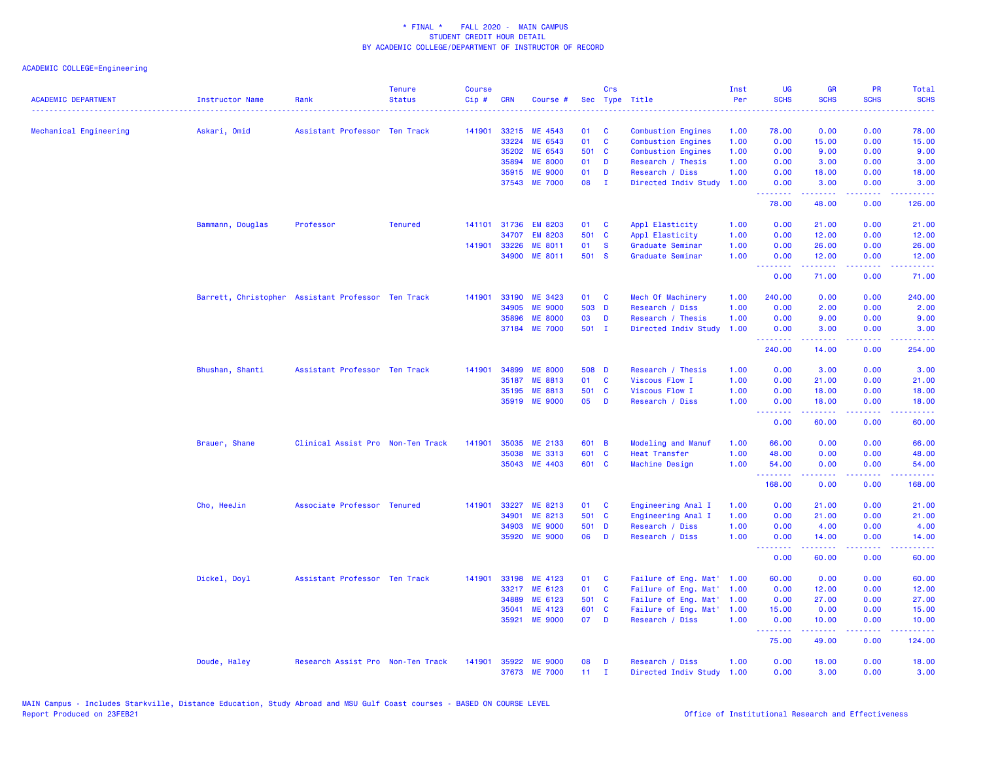| <b>ACADEMIC DEPARTMENT</b> | Instructor Name                                    | Rank                              | <b>Tenure</b><br><b>Status</b> | <b>Course</b><br>Cip# | <b>CRN</b>     | Course #           |             | Crs          | Sec Type Title<br>.                  | Inst<br>Per  | <b>UG</b><br><b>SCHS</b>        | <b>GR</b><br><b>SCHS</b> | <b>PR</b><br><b>SCHS</b>            | Total<br><b>SCHS</b><br>2222.                                                                                                                                |
|----------------------------|----------------------------------------------------|-----------------------------------|--------------------------------|-----------------------|----------------|--------------------|-------------|--------------|--------------------------------------|--------------|---------------------------------|--------------------------|-------------------------------------|--------------------------------------------------------------------------------------------------------------------------------------------------------------|
| Mechanical Engineering     | Askari, Omid                                       | Assistant Professor Ten Track     |                                | 141901                | 33215          | ME 4543            | 01          | C            | <b>Combustion Engines</b>            | 1.00         | 78.00                           | 0.00                     | 0.00                                | 78.00                                                                                                                                                        |
|                            |                                                    |                                   |                                |                       | 33224          | ME 6543            | 01          | <b>C</b>     | <b>Combustion Engines</b>            | 1.00         | 0.00                            | 15.00                    | 0.00                                | 15.00                                                                                                                                                        |
|                            |                                                    |                                   |                                |                       | 35202          | ME 6543            | 501 C       |              | <b>Combustion Engines</b>            | 1.00         | 0.00                            | 9.00                     | 0.00                                | 9.00                                                                                                                                                         |
|                            |                                                    |                                   |                                |                       | 35894          | <b>ME 8000</b>     | 01          | <b>D</b>     | Research / Thesis                    | 1.00         | 0.00                            | 3.00                     | 0.00                                | 3.00                                                                                                                                                         |
|                            |                                                    |                                   |                                |                       | 35915          | <b>ME 9000</b>     | 01          | D            | Research / Diss                      | 1.00         | 0.00                            | 18.00                    | 0.00                                | 18.00                                                                                                                                                        |
|                            |                                                    |                                   |                                |                       | 37543          | <b>ME 7000</b>     | 08          | $\mathbf{I}$ | Directed Indiv Study                 | 1.00         | 0.00<br>.                       | 3.00<br>.                | 0.00<br>.                           | 3.00<br>$\frac{1}{2} \left( \frac{1}{2} \right) \left( \frac{1}{2} \right) \left( \frac{1}{2} \right) \left( \frac{1}{2} \right) \left( \frac{1}{2} \right)$ |
|                            |                                                    |                                   |                                |                       |                |                    |             |              |                                      |              | 78.00                           | 48.00                    | 0.00                                | 126.00                                                                                                                                                       |
|                            | Bammann, Douglas                                   | Professor                         | <b>Tenured</b>                 | 141101                | 31736          | <b>EM 8203</b>     | 01          | <b>C</b>     | Appl Elasticity                      | 1.00         | 0.00                            | 21.00                    | 0.00                                | 21.00                                                                                                                                                        |
|                            |                                                    |                                   |                                |                       | 34707          | <b>EM 8203</b>     | 501 C       |              | Appl Elasticity                      | 1.00         | 0.00                            | 12.00                    | 0.00                                | 12.00                                                                                                                                                        |
|                            |                                                    |                                   |                                | 141901                | 33226<br>34900 | ME 8011<br>ME 8011 | 01<br>501 S | $\mathbf{s}$ | Graduate Seminar<br>Graduate Seminar | 1.00<br>1.00 | 0.00<br>0.00                    | 26.00<br>12.00           | 0.00<br>0.00                        | 26.00<br>12.00                                                                                                                                               |
|                            |                                                    |                                   |                                |                       |                |                    |             |              |                                      |              | .                               |                          | بالمحام                             | وكالمحام                                                                                                                                                     |
|                            |                                                    |                                   |                                |                       |                |                    |             |              |                                      |              | 0.00                            | 71.00                    | 0.00                                | 71.00                                                                                                                                                        |
|                            | Barrett, Christopher Assistant Professor Ten Track |                                   |                                | 141901                | 33190          | ME 3423            | 01 C        |              | Mech Of Machinery                    | 1.00         | 240.00                          | 0.00                     | 0.00                                | 240.00                                                                                                                                                       |
|                            |                                                    |                                   |                                |                       | 34905          | <b>ME 9000</b>     | 503 D       |              | Research / Diss                      | 1.00         | 0.00                            | 2.00                     | 0.00                                | 2.00                                                                                                                                                         |
|                            |                                                    |                                   |                                |                       | 35896          | <b>ME 8000</b>     | 03          | D            | Research / Thesis                    | 1.00         | 0.00                            | 9.00                     | 0.00                                | 9.00                                                                                                                                                         |
|                            |                                                    |                                   |                                |                       |                | 37184 ME 7000      | 501 I       |              | Directed Indiv Study                 | 1.00         | 0.00<br><u> - - - - - - - -</u> | 3.00<br>.                | 0.00<br>.                           | 3.00<br>$- - - - - - -$                                                                                                                                      |
|                            |                                                    |                                   |                                |                       |                |                    |             |              |                                      |              | 240.00                          | 14.00                    | 0.00                                | 254.00                                                                                                                                                       |
|                            | Bhushan, Shanti                                    | Assistant Professor Ten Track     |                                | 141901                | 34899          | <b>ME 8000</b>     | 508 D       |              | Research / Thesis                    | 1.00         | 0.00                            | 3.00                     | 0.00                                | 3.00                                                                                                                                                         |
|                            |                                                    |                                   |                                |                       | 35187          | ME 8813            | 01          | $\mathbf{C}$ | Viscous Flow I                       | 1.00         | 0.00                            | 21.00                    | 0.00                                | 21.00                                                                                                                                                        |
|                            |                                                    |                                   |                                |                       | 35195          | ME 8813            | 501 C       |              | Viscous Flow I                       | 1.00         | 0.00                            | 18.00                    | 0.00                                | 18.00                                                                                                                                                        |
|                            |                                                    |                                   |                                |                       |                | 35919 ME 9000      | 05          | D            | Research / Diss                      | 1.00         | 0.00<br><u>.</u>                | 18.00<br>.               | 0.00<br>د د د د .                   | 18.00<br>بالأساس                                                                                                                                             |
|                            |                                                    |                                   |                                |                       |                |                    |             |              |                                      |              | 0.00                            | 60.00                    | 0.00                                | 60.00                                                                                                                                                        |
|                            | Brauer, Shane                                      | Clinical Assist Pro Non-Ten Track |                                | 141901                | 35035          | ME 2133            | 601 B       |              | Modeling and Manuf                   | 1.00         | 66.00                           | 0.00                     | 0.00                                | 66.00                                                                                                                                                        |
|                            |                                                    |                                   |                                |                       | 35038          | <b>ME 3313</b>     | 601 C       |              | <b>Heat Transfer</b>                 | 1.00         | 48.00                           | 0.00                     | 0.00                                | 48.00                                                                                                                                                        |
|                            |                                                    |                                   |                                |                       | 35043          | ME 4403            | 601 C       |              | Machine Design                       | 1.00         | 54.00                           | 0.00                     | 0.00                                | 54.00                                                                                                                                                        |
|                            |                                                    |                                   |                                |                       |                |                    |             |              |                                      |              | <u>.</u><br>168.00              | 0.00                     | $\sim$ $\sim$ $\sim$ $\sim$<br>0.00 | .<br>168.00                                                                                                                                                  |
|                            | Cho, HeeJin                                        | Associate Professor Tenured       |                                | 141901                | 33227          | ME 8213            | 01          | $\mathbf{C}$ | Engineering Anal I                   | 1.00         | 0.00                            | 21.00                    | 0.00                                | 21.00                                                                                                                                                        |
|                            |                                                    |                                   |                                |                       | 34901          | ME 8213            | 501 C       |              | Engineering Anal I                   | 1.00         | 0.00                            | 21.00                    | 0.00                                | 21.00                                                                                                                                                        |
|                            |                                                    |                                   |                                |                       | 34903          | <b>ME 9000</b>     | 501 D       |              | Research / Diss                      | 1.00         | 0.00                            | 4.00                     | 0.00                                | 4.00                                                                                                                                                         |
|                            |                                                    |                                   |                                |                       | 35920          | <b>ME 9000</b>     | 06          | D            | Research / Diss                      | 1.00         | 0.00<br><b>.</b> .              | 14.00<br>.               | 0.00<br>22222                       | 14.00<br>.                                                                                                                                                   |
|                            |                                                    |                                   |                                |                       |                |                    |             |              |                                      |              | 0.00                            | 60.00                    | 0.00                                | 60.00                                                                                                                                                        |
|                            | Dickel, Doyl                                       | Assistant Professor Ten Track     |                                | 141901                | 33198          | ME 4123            | 01          | <b>C</b>     | Failure of Eng. Mat'                 | 1.00         | 60.00                           | 0.00                     | 0.00                                | 60.00                                                                                                                                                        |
|                            |                                                    |                                   |                                |                       | 33217          | ME 6123            | 01          | $\mathbf{C}$ | Failure of Eng. Mat'                 | 1.00         | 0.00                            | 12.00                    | 0.00                                | 12.00                                                                                                                                                        |
|                            |                                                    |                                   |                                |                       | 34889          | ME 6123            | 501 C       |              | Failure of Eng. Mat'                 | 1.00         | 0.00                            | 27.00                    | 0.00                                | 27.00                                                                                                                                                        |
|                            |                                                    |                                   |                                |                       | 35041          | ME 4123            | 601 C       |              | Failure of Eng. Mat'                 | 1.00         | 15.00                           | 0.00                     | 0.00                                | 15.00                                                                                                                                                        |
|                            |                                                    |                                   |                                |                       | 35921          | <b>ME 9000</b>     | 07          | $\mathbf{D}$ | Research / Diss                      | 1.00         | 0.00<br>.                       | 10.00<br>المتمالين       | 0.00<br>.                           | 10.00<br>222222                                                                                                                                              |
|                            |                                                    |                                   |                                |                       |                |                    |             |              |                                      |              | 75.00                           | 49.00                    | 0.00                                | 124.00                                                                                                                                                       |
|                            | Doude, Haley                                       | Research Assist Pro Non-Ten Track |                                | 141901                | 35922          | <b>ME 9000</b>     | 08          | D            | Research / Diss                      | 1.00         | 0.00                            | 18.00                    | 0.00                                | 18.00                                                                                                                                                        |
|                            |                                                    |                                   |                                |                       |                | 37673 ME 7000      | 11          | $\mathbf{I}$ | Directed Indiv Study 1.00            |              | 0.00                            | 3.00                     | 0.00                                | 3.00                                                                                                                                                         |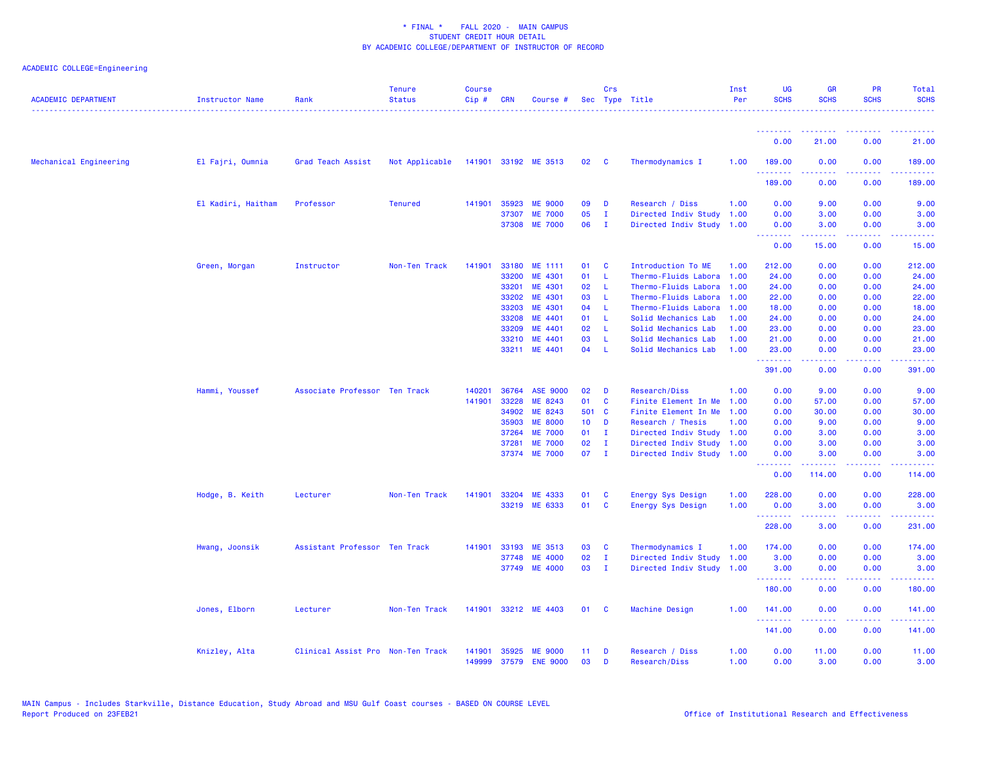| <b>ACADEMIC DEPARTMENT</b> | Instructor Name    | Rank                              | <b>Tenure</b><br><b>Status</b> | <b>Course</b><br>Cip# | <b>CRN</b> | Course #             |                 | Crs          | Sec Type Title            | Inst<br>Per | UG<br><b>SCHS</b>  | <b>GR</b><br><b>SCHS</b>                                                                                                                                       | PR<br><b>SCHS</b>                   | Total<br><b>SCHS</b>                                                                                                                                           |
|----------------------------|--------------------|-----------------------------------|--------------------------------|-----------------------|------------|----------------------|-----------------|--------------|---------------------------|-------------|--------------------|----------------------------------------------------------------------------------------------------------------------------------------------------------------|-------------------------------------|----------------------------------------------------------------------------------------------------------------------------------------------------------------|
|                            |                    |                                   |                                |                       |            |                      |                 |              |                           |             |                    |                                                                                                                                                                |                                     |                                                                                                                                                                |
|                            |                    |                                   |                                |                       |            |                      |                 |              |                           |             | 0.00               | 21.00                                                                                                                                                          | 0.00                                | 21.00                                                                                                                                                          |
| Mechanical Engineering     | El Fajri, Oumnia   | Grad Teach Assist                 | Not Applicable                 |                       |            | 141901 33192 ME 3513 | 02              | $\mathbf{C}$ | Thermodynamics I          | 1.00        | 189.00             | 0.00                                                                                                                                                           | 0.00<br>$\sim$ $\sim$ $\sim$ $\sim$ | 189.00                                                                                                                                                         |
|                            |                    |                                   |                                |                       |            |                      |                 |              |                           |             | 189.00             | 0.00                                                                                                                                                           | 0.00                                | 189.00                                                                                                                                                         |
|                            | El Kadiri, Haitham | Professor                         | <b>Tenured</b>                 | 141901                | 35923      | <b>ME 9000</b>       | 09              | D            | Research / Diss           | 1.00        | 0.00               | 9.00                                                                                                                                                           | 0.00                                | 9.00                                                                                                                                                           |
|                            |                    |                                   |                                |                       | 37307      | <b>ME 7000</b>       | 05              | $\mathbf{I}$ | Directed Indiv Study      | 1.00        | 0.00               | 3.00                                                                                                                                                           | 0.00                                | 3.00                                                                                                                                                           |
|                            |                    |                                   |                                |                       | 37308      | <b>ME 7000</b>       | 06              | $\mathbf{I}$ | Directed Indiv Study 1.00 |             | 0.00               | 3.00                                                                                                                                                           | 0.00                                | 3.00                                                                                                                                                           |
|                            |                    |                                   |                                |                       |            |                      |                 |              |                           |             | <b></b><br>0.00    | .<br>15.00                                                                                                                                                     | $\sim$ $\sim$ $\sim$ $\sim$<br>0.00 | ----<br>15.00                                                                                                                                                  |
|                            | Green, Morgan      | Instructor                        | Non-Ten Track                  | 141901                | 33180      | ME 1111              | 01              | C            | Introduction To ME        | 1.00        | 212.00             | 0.00                                                                                                                                                           | 0.00                                | 212.00                                                                                                                                                         |
|                            |                    |                                   |                                |                       | 33200      | ME 4301              | 01              | L            | Thermo-Fluids Labora      | 1.00        | 24.00              | 0.00                                                                                                                                                           | 0.00                                | 24.00                                                                                                                                                          |
|                            |                    |                                   |                                |                       | 33201      | ME 4301              | 02              | -L           | Thermo-Fluids Labora      | 1.00        | 24.00              | 0.00                                                                                                                                                           | 0.00                                | 24.00                                                                                                                                                          |
|                            |                    |                                   |                                |                       | 33202      | ME 4301              | 03              | -L.          | Thermo-Fluids Labora      | 1.00        | 22.00              | 0.00                                                                                                                                                           | 0.00                                | 22.00                                                                                                                                                          |
|                            |                    |                                   |                                |                       | 33203      | ME 4301              | 04              | -L.          | Thermo-Fluids Labora      | 1.00        | 18.00              | 0.00                                                                                                                                                           | 0.00                                | 18.00                                                                                                                                                          |
|                            |                    |                                   |                                |                       | 33208      | ME 4401              | 01              | L            | Solid Mechanics Lab       | 1.00        | 24.00              | 0.00                                                                                                                                                           | 0.00                                | 24.00                                                                                                                                                          |
|                            |                    |                                   |                                |                       | 33209      | ME 4401              | 02              | L            | Solid Mechanics Lab       | 1.00        | 23.00              | 0.00                                                                                                                                                           | 0.00                                | 23.00                                                                                                                                                          |
|                            |                    |                                   |                                |                       | 33210      | ME 4401              | 03              | -L           | Solid Mechanics Lab       | 1.00        | 21.00              | 0.00                                                                                                                                                           | 0.00                                | 21.00                                                                                                                                                          |
|                            |                    |                                   |                                |                       |            | 33211 ME 4401        | 04              | - L          | Solid Mechanics Lab       | 1.00        | 23.00              | 0.00                                                                                                                                                           | 0.00                                | 23.00                                                                                                                                                          |
|                            |                    |                                   |                                |                       |            |                      |                 |              |                           |             | <u>.</u><br>391.00 | $\frac{1}{2} \left( \frac{1}{2} \right) \left( \frac{1}{2} \right) \left( \frac{1}{2} \right) \left( \frac{1}{2} \right)$<br>0.00                              | ----<br>0.00                        | .<br>391.00                                                                                                                                                    |
|                            | Hammi, Youssef     | Associate Professor Ten Track     |                                | 140201                | 36764      | <b>ASE 9000</b>      | 02              | D            | Research/Diss             | 1.00        | 0.00               | 9.00                                                                                                                                                           | 0.00                                | 9.00                                                                                                                                                           |
|                            |                    |                                   |                                | 141901                | 33228      | ME 8243              | 01              | C            | Finite Element In Me      | 1.00        | 0.00               | 57.00                                                                                                                                                          | 0.00                                | 57.00                                                                                                                                                          |
|                            |                    |                                   |                                |                       | 34902      | ME 8243              | 501 C           |              | Finite Element In Me      | 1.00        | 0.00               | 30.00                                                                                                                                                          | 0.00                                | 30.00                                                                                                                                                          |
|                            |                    |                                   |                                |                       | 35903      | <b>ME 8000</b>       | 10 <sub>1</sub> | D            | Research / Thesis         | 1.00        | 0.00               | 9.00                                                                                                                                                           | 0.00                                | 9.00                                                                                                                                                           |
|                            |                    |                                   |                                |                       | 37264      | <b>ME 7000</b>       | 01              | $\mathbf{I}$ | Directed Indiv Study      | 1.00        | 0.00               | 3.00                                                                                                                                                           | 0.00                                | 3.00                                                                                                                                                           |
|                            |                    |                                   |                                |                       | 37281      | <b>ME 7000</b>       | 02              | $\mathbf{I}$ | Directed Indiv Study      | 1.00        | 0.00               | 3.00                                                                                                                                                           | 0.00                                | 3.00                                                                                                                                                           |
|                            |                    |                                   |                                |                       |            | 37374 ME 7000        | 07              | $\mathbf{I}$ | Directed Indiv Study 1.00 |             | 0.00               | 3.00                                                                                                                                                           | 0.00                                | 3.00                                                                                                                                                           |
|                            |                    |                                   |                                |                       |            |                      |                 |              |                           |             | .<br>0.00          | $\frac{1}{2} \left( \frac{1}{2} \right) \left( \frac{1}{2} \right) \left( \frac{1}{2} \right) \left( \frac{1}{2} \right) \left( \frac{1}{2} \right)$<br>114.00 | .<br>0.00                           | .<br>114.00                                                                                                                                                    |
|                            | Hodge, B. Keith    | Lecturer                          | Non-Ten Track                  | 141901                | 33204      | ME 4333              | 01              | C            | Energy Sys Design         | 1.00        | 228.00             | 0.00                                                                                                                                                           | 0.00                                | 228.00                                                                                                                                                         |
|                            |                    |                                   |                                |                       |            | 33219 ME 6333        | 01              | C            | Energy Sys Design         | 1.00        | 0.00               | 3.00                                                                                                                                                           | 0.00                                | 3.00                                                                                                                                                           |
|                            |                    |                                   |                                |                       |            |                      |                 |              |                           |             | <u>.</u><br>228.00 | .<br>3.00                                                                                                                                                      | $\sim$ $\sim$ $\sim$ $\sim$<br>0.00 | $\frac{1}{2} \left( \frac{1}{2} \right) \left( \frac{1}{2} \right) \left( \frac{1}{2} \right) \left( \frac{1}{2} \right) \left( \frac{1}{2} \right)$<br>231.00 |
|                            | Hwang, Joonsik     | Assistant Professor Ten Track     |                                | 141901                | 33193      | ME 3513              | 03              | <b>C</b>     | Thermodynamics I          | 1.00        | 174.00             | 0.00                                                                                                                                                           | 0.00                                | 174.00                                                                                                                                                         |
|                            |                    |                                   |                                |                       | 37748      | <b>ME 4000</b>       | 02              | $\mathbf{I}$ | Directed Indiv Study      | 1.00        | 3.00               | 0.00                                                                                                                                                           | 0.00                                | 3.00                                                                                                                                                           |
|                            |                    |                                   |                                |                       | 37749      | <b>ME 4000</b>       | 03              | $\mathbf{I}$ | Directed Indiv Study      | 1.00        | 3.00               | 0.00                                                                                                                                                           | 0.00                                | 3.00                                                                                                                                                           |
|                            |                    |                                   |                                |                       |            |                      |                 |              |                           |             | <u>.</u>           | .                                                                                                                                                              | $\sim$ $\sim$ $\sim$ $\sim$         | 22222)                                                                                                                                                         |
|                            |                    |                                   |                                |                       |            |                      |                 |              |                           |             | 180.00             | 0.00                                                                                                                                                           | 0.00                                | 180.00                                                                                                                                                         |
|                            | Jones, Elborn      | Lecturer                          | Non-Ten Track                  | 141901                |            | 33212 ME 4403        | 01              | <b>C</b>     | Machine Design            | 1.00        | 141.00<br>.        | 0.00<br>.                                                                                                                                                      | 0.00<br>.                           | 141.00                                                                                                                                                         |
|                            |                    |                                   |                                |                       |            |                      |                 |              |                           |             | 141.00             | 0.00                                                                                                                                                           | 0.00                                | 141.00                                                                                                                                                         |
|                            | Knizley, Alta      | Clinical Assist Pro Non-Ten Track |                                | 141901                | 35925      | <b>ME 9000</b>       | 11              | D            | Research / Diss           | 1.00        | 0.00               | 11.00                                                                                                                                                          | 0.00                                | 11.00                                                                                                                                                          |
|                            |                    |                                   |                                | 149999                |            | 37579 ENE 9000       | 03              | D            | Research/Diss             | 1.00        | 0.00               | 3.00                                                                                                                                                           | 0.00                                | 3.00                                                                                                                                                           |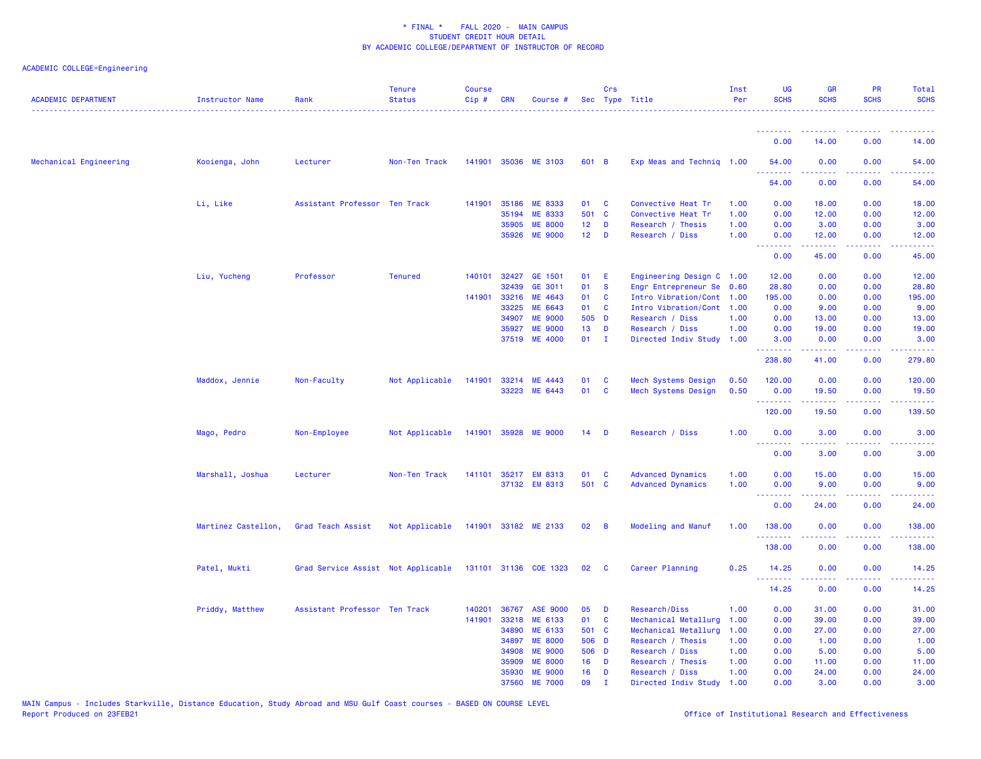| <b>ACADEMIC DEPARTMENT</b> | Instructor Name     | Rank                               | <b>Tenure</b><br><b>Status</b> | <b>Course</b><br>$Cip \#$ | CRN          | Course #              |                 | Crs            | Sec Type Title            | Inst<br>Per | <b>UG</b><br><b>SCHS</b> | <b>GR</b><br><b>SCHS</b>                                                                                                          | <b>PR</b><br><b>SCHS</b>                                                                                                          | Total<br><b>SCHS</b>               |
|----------------------------|---------------------|------------------------------------|--------------------------------|---------------------------|--------------|-----------------------|-----------------|----------------|---------------------------|-------------|--------------------------|-----------------------------------------------------------------------------------------------------------------------------------|-----------------------------------------------------------------------------------------------------------------------------------|------------------------------------|
|                            |                     |                                    |                                |                           |              |                       |                 |                |                           |             | <u> - - - - - - - -</u>  |                                                                                                                                   |                                                                                                                                   |                                    |
|                            |                     |                                    |                                |                           |              |                       |                 |                |                           |             | 0.00                     | 14.00                                                                                                                             | 0.00                                                                                                                              | 14.00                              |
| Mechanical Engineering     | Kooienga, John      | Lecturer                           | Non-Ten Track                  |                           |              | 141901 35036 ME 3103  | 601 B           |                | Exp Meas and Technig 1.00 |             | 54.00<br>.               | 0.00                                                                                                                              | 0.00                                                                                                                              | 54.00                              |
|                            |                     |                                    |                                |                           |              |                       |                 |                |                           |             | 54.00                    | 0.00                                                                                                                              | 0.00                                                                                                                              | 54.00                              |
|                            | Li, Like            | Assistant Professor Ten Track      |                                |                           | 141901 35186 | ME 8333               | 01              | C              | Convective Heat Tr        | 1.00        | 0.00                     | 18.00                                                                                                                             | 0.00                                                                                                                              | 18.00                              |
|                            |                     |                                    |                                |                           | 35194        | <b>ME 8333</b>        | 501 C           |                | Convective Heat Tr        | 1.00        | 0.00                     | 12.00                                                                                                                             | 0.00                                                                                                                              | 12.00                              |
|                            |                     |                                    |                                |                           | 35905        | <b>ME 8000</b>        | 12 <sub>2</sub> | D              | Research / Thesis         | 1.00        | 0.00                     | 3.00                                                                                                                              | 0.00                                                                                                                              | 3.00                               |
|                            |                     |                                    |                                |                           | 35926        | <b>ME 9000</b>        | 12 <sub>2</sub> | D              | Research / Diss           | 1.00        | 0.00<br>.                | 12.00<br>.                                                                                                                        | 0.00                                                                                                                              | 12.00                              |
|                            |                     |                                    |                                |                           |              |                       |                 |                |                           |             | 0.00                     | 45.00                                                                                                                             | 0.00                                                                                                                              | 45.00                              |
|                            | Liu, Yucheng        | Professor                          | <b>Tenured</b>                 |                           | 140101 32427 | GE 1501               | 01              | E              | Engineering Design C 1.00 |             | 12.00                    | 0.00                                                                                                                              | 0.00                                                                                                                              | 12.00                              |
|                            |                     |                                    |                                |                           | 32439        | GE 3011               | 01              | $\mathbf{s}$   | Engr Entrepreneur Se      | 0.60        | 28.80                    | 0.00                                                                                                                              | 0.00                                                                                                                              | 28.80                              |
|                            |                     |                                    |                                | 141901                    | 33216        | ME 4643               | 01              | C              | Intro Vibration/Cont      | 1.00        | 195.00                   | 0.00                                                                                                                              | 0.00                                                                                                                              | 195.00                             |
|                            |                     |                                    |                                |                           | 33225        | ME 6643               | 01              | <b>C</b>       | Intro Vibration/Cont      | 1.00        | 0.00                     | 9.00                                                                                                                              | 0.00                                                                                                                              | 9.00                               |
|                            |                     |                                    |                                |                           | 34907        | <b>ME 9000</b>        | 505 D           |                | Research / Diss           | 1.00        | 0.00                     | 13.00                                                                                                                             | 0.00                                                                                                                              | 13.00                              |
|                            |                     |                                    |                                |                           | 35927        | <b>ME 9000</b>        | 13              | D              | Research / Diss           | 1.00        | 0.00                     | 19.00                                                                                                                             | 0.00                                                                                                                              | 19.00                              |
|                            |                     |                                    |                                |                           | 37519        | <b>ME 4000</b>        | 01              | $\mathbf{I}$   | Directed Indiv Study      | 1.00        | 3.00<br>.                | 0.00<br>$\frac{1}{2} \left( \frac{1}{2} \right) \left( \frac{1}{2} \right) \left( \frac{1}{2} \right) \left( \frac{1}{2} \right)$ | 0.00<br>والمحامر                                                                                                                  | 3.00<br>.                          |
|                            |                     |                                    |                                |                           |              |                       |                 |                |                           |             | 238.80                   | 41.00                                                                                                                             | 0.00                                                                                                                              | 279.80                             |
|                            | Maddox, Jennie      | Non-Faculty                        | Not Applicable                 | 141901                    |              | 33214 ME 4443         | 01              | <b>C</b>       | Mech Systems Design       | 0.50        | 120.00                   | 0.00                                                                                                                              | 0.00                                                                                                                              | 120.00                             |
|                            |                     |                                    |                                |                           |              | 33223 ME 6443         | 01              | $\mathbf{C}$   | Mech Systems Design       | 0.50        | 0.00<br>.                | 19.50                                                                                                                             | 0.00<br>2222                                                                                                                      | 19.50                              |
|                            |                     |                                    |                                |                           |              |                       |                 |                |                           |             | 120.00                   | 19.50                                                                                                                             | 0.00                                                                                                                              | 139.50                             |
|                            | Mago, Pedro         | Non-Employee                       | Not Applicable                 |                           |              | 141901 35928 ME 9000  | 14              | <b>D</b>       | Research / Diss           | 1.00        | 0.00                     | 3.00                                                                                                                              | 0.00                                                                                                                              | 3.00                               |
|                            |                     |                                    |                                |                           |              |                       |                 |                |                           |             | .<br>0.00                | 3.00                                                                                                                              | $\frac{1}{2} \left( \frac{1}{2} \right) \left( \frac{1}{2} \right) \left( \frac{1}{2} \right) \left( \frac{1}{2} \right)$<br>0.00 | 3.00                               |
|                            | Marshall, Joshua    | Lecturer                           | Non-Ten Track                  | 141101                    | 35217        | <b>EM 8313</b>        | 01              | C              | <b>Advanced Dynamics</b>  | 1.00        | 0.00                     | 15.00                                                                                                                             | 0.00                                                                                                                              | 15.00                              |
|                            |                     |                                    |                                |                           |              | 37132 EM 8313         | 501 C           |                | <b>Advanced Dynamics</b>  | 1.00        | 0.00                     | 9.00                                                                                                                              | 0.00                                                                                                                              | 9.00                               |
|                            |                     |                                    |                                |                           |              |                       |                 |                |                           |             | ولالات                   |                                                                                                                                   |                                                                                                                                   |                                    |
|                            |                     |                                    |                                |                           |              |                       |                 |                |                           |             | 0.00                     | 24.00                                                                                                                             | 0.00                                                                                                                              | 24.00                              |
|                            | Martinez Castellon, | Grad Teach Assist                  | Not Applicable                 |                           |              | 141901 33182 ME 2133  | 02              | $\overline{B}$ | Modeling and Manuf        | 1.00        | 138.00<br>.              | 0.00                                                                                                                              | 0.00                                                                                                                              | 138.00                             |
|                            |                     |                                    |                                |                           |              |                       |                 |                |                           |             | 138.00                   | 0.00                                                                                                                              | 0.00                                                                                                                              | 138.00                             |
|                            | Patel, Mukti        | Grad Service Assist Not Applicable |                                |                           |              | 131101 31136 COE 1323 | 02              | $\mathbf{C}$   | Career Planning           | 0.25        | 14.25<br>.               | 0.00                                                                                                                              | 0.00                                                                                                                              | 14.25<br>$\omega$ is $\omega$ in . |
|                            |                     |                                    |                                |                           |              |                       |                 |                |                           |             | 14.25                    | 0.00                                                                                                                              | 0.00                                                                                                                              | 14.25                              |
|                            | Priddy, Matthew     | Assistant Professor Ten Track      |                                | 140201                    | 36767        | <b>ASE 9000</b>       | 05              | D              | Research/Diss             | 1.00        | 0.00                     | 31.00                                                                                                                             | 0.00                                                                                                                              | 31.00                              |
|                            |                     |                                    |                                | 141901                    | 33218        | ME 6133               | 01              | C              | Mechanical Metallurg      | 1.00        | 0.00                     | 39.00                                                                                                                             | 0.00                                                                                                                              | 39.00                              |
|                            |                     |                                    |                                |                           | 34890        | ME 6133               | 501 C           |                | Mechanical Metallurg      | 1.00        | 0.00                     | 27.00                                                                                                                             | 0.00                                                                                                                              | 27.00                              |
|                            |                     |                                    |                                |                           | 34897        | <b>ME 8000</b>        | 506 D           |                | Research / Thesis         | 1.00        | 0.00                     | 1.00                                                                                                                              | 0.00                                                                                                                              | 1.00                               |
|                            |                     |                                    |                                |                           | 34908        | <b>ME 9000</b>        | 506 D           |                | Research / Diss           | 1.00        | 0.00                     | 5.00                                                                                                                              | 0.00                                                                                                                              | 5.00                               |
|                            |                     |                                    |                                |                           | 35909        | <b>ME 8000</b>        | 16 <sup>1</sup> | D              | Research / Thesis         | 1.00        | 0.00                     | 11.00                                                                                                                             | 0.00                                                                                                                              | 11.00                              |
|                            |                     |                                    |                                |                           | 35930        | <b>ME 9000</b>        | 16              | D              | Research / Diss           | 1.00        | 0.00                     | 24.00                                                                                                                             | 0.00                                                                                                                              | 24.00                              |
|                            |                     |                                    |                                |                           | 37560        | <b>ME 7000</b>        | 09              | $\mathbf{I}$   | Directed Indiv Study      | 1.00        | 0.00                     | 3.00                                                                                                                              | 0.00                                                                                                                              | 3.00                               |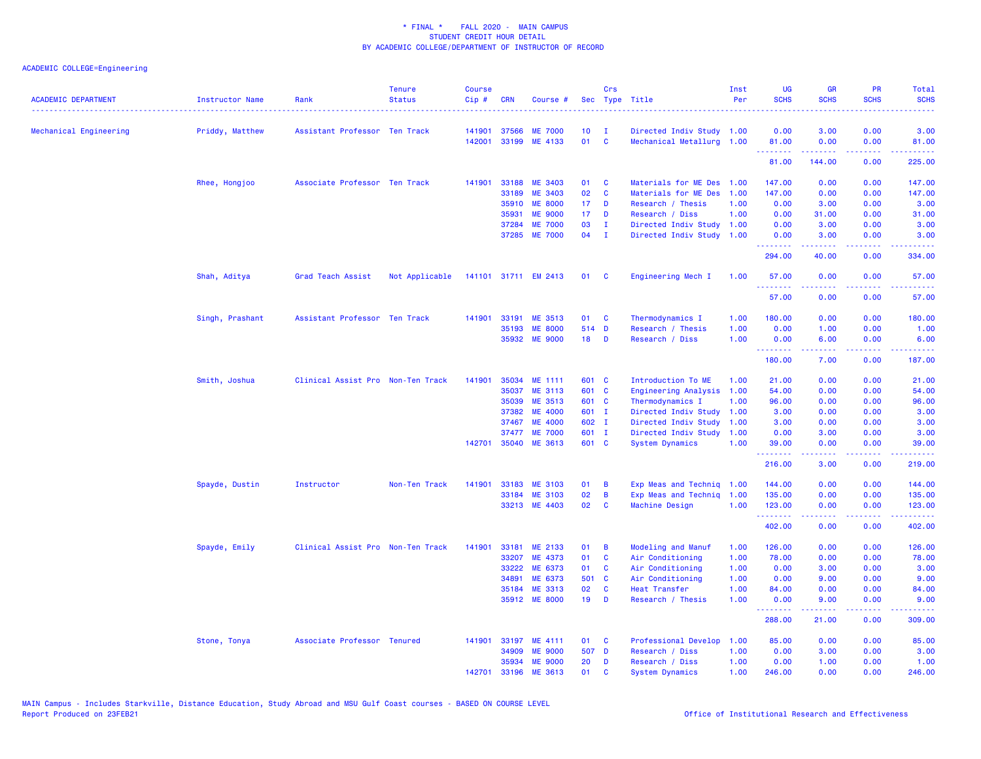| <b>ACADEMIC DEPARTMENT</b> | <b>Instructor Name</b> | Rank                              | <b>Tenure</b><br><b>Status</b> | <b>Course</b><br>$Cip \#$ | <b>CRN</b> | Course #             |                 | Crs          | Sec Type Title              | Inst<br>Per | <b>UG</b><br><b>SCHS</b> | <b>GR</b><br><b>SCHS</b>                                                                                                                                     | PR<br><b>SCHS</b>            | <b>Total</b><br><b>SCHS</b>                                                                                                                                    |
|----------------------------|------------------------|-----------------------------------|--------------------------------|---------------------------|------------|----------------------|-----------------|--------------|-----------------------------|-------------|--------------------------|--------------------------------------------------------------------------------------------------------------------------------------------------------------|------------------------------|----------------------------------------------------------------------------------------------------------------------------------------------------------------|
| Mechanical Engineering     | Priddy, Matthew        | Assistant Professor Ten Track     |                                | 141901                    | 37566      | <b>ME 7000</b>       | 10              | - I          | Directed Indiv Study 1.00   |             | 0.00                     | 3.00                                                                                                                                                         | 0.00                         | 3.00                                                                                                                                                           |
|                            |                        |                                   |                                | 142001                    |            | 33199 ME 4133        | 01              | $\mathbf{C}$ | Mechanical Metallurg 1.00   |             | 81.00<br>.               | 0.00                                                                                                                                                         | 0.00<br>والمحامر             | 81.00                                                                                                                                                          |
|                            |                        |                                   |                                |                           |            |                      |                 |              |                             |             | 81.00                    | 144.00                                                                                                                                                       | 0.00                         | 225.00                                                                                                                                                         |
|                            | Rhee, Hongjoo          | Associate Professor Ten Track     |                                | 141901                    | 33188      | ME 3403              | 01              | C            | Materials for ME Des        | 1.00        | 147.00                   | 0.00                                                                                                                                                         | 0.00                         | 147.00                                                                                                                                                         |
|                            |                        |                                   |                                |                           | 33189      | ME 3403              | 02              | C            | Materials for ME Des        | 1.00        | 147.00                   | 0.00                                                                                                                                                         | 0.00                         | 147.00                                                                                                                                                         |
|                            |                        |                                   |                                |                           | 35910      | <b>ME 8000</b>       | 17 <sub>1</sub> | D            | Research / Thesis           | 1.00        | 0.00                     | 3.00                                                                                                                                                         | 0.00                         | 3.00                                                                                                                                                           |
|                            |                        |                                   |                                |                           | 35931      | <b>ME 9000</b>       | 17 <sub>2</sub> | D            | Research / Diss             | 1.00        | 0.00                     | 31.00                                                                                                                                                        | 0.00                         | 31.00                                                                                                                                                          |
|                            |                        |                                   |                                |                           | 37284      | <b>ME 7000</b>       | 03              | $\mathbf{I}$ | Directed Indiv Study        | 1.00        | 0.00                     | 3.00                                                                                                                                                         | 0.00                         | 3.00                                                                                                                                                           |
|                            |                        |                                   |                                |                           | 37285      | <b>ME 7000</b>       | 04              | $\mathbf{I}$ | Directed Indiv Study        | 1.00        | 0.00                     | 3.00                                                                                                                                                         | 0.00<br>.                    | 3.00                                                                                                                                                           |
|                            |                        |                                   |                                |                           |            |                      |                 |              |                             |             | .<br>294.00              | .<br>40.00                                                                                                                                                   | 0.00                         | $\frac{1}{2} \left( \frac{1}{2} \right) \left( \frac{1}{2} \right) \left( \frac{1}{2} \right) \left( \frac{1}{2} \right) \left( \frac{1}{2} \right)$<br>334.00 |
|                            | Shah, Aditya           | Grad Teach Assist                 | Not Applicable                 |                           |            | 141101 31711 EM 2413 | 01              | <b>C</b>     | Engineering Mech I          | 1.00        | 57.00<br><u>.</u>        | 0.00<br>.                                                                                                                                                    | 0.00<br>.                    | 57.00                                                                                                                                                          |
|                            |                        |                                   |                                |                           |            |                      |                 |              |                             |             | 57.00                    | 0.00                                                                                                                                                         | 0.00                         | 57.00                                                                                                                                                          |
|                            | Singh, Prashant        | Assistant Professor Ten Track     |                                | 141901                    | 33191      | ME 3513              | 01              | C            | Thermodynamics I            | 1.00        | 180.00                   | 0.00                                                                                                                                                         | 0.00                         | 180.00                                                                                                                                                         |
|                            |                        |                                   |                                |                           | 35193      | <b>ME 8000</b>       | 514 D           |              | Research / Thesis           | 1.00        | 0.00                     | 1.00                                                                                                                                                         | 0.00                         | 1.00                                                                                                                                                           |
|                            |                        |                                   |                                |                           |            | 35932 ME 9000        | 18              | D            | Research / Diss             | 1.00        | 0.00                     | 6.00                                                                                                                                                         | 0.00                         | 6.00                                                                                                                                                           |
|                            |                        |                                   |                                |                           |            |                      |                 |              |                             |             | .<br>180.00              | 7.00                                                                                                                                                         | $\sim$ $\sim$ $\sim$<br>0.00 | 187.00                                                                                                                                                         |
|                            | Smith, Joshua          | Clinical Assist Pro Non-Ten Track |                                | 141901                    | 35034      | ME 1111              | 601 C           |              | Introduction To ME          | 1.00        | 21.00                    | 0.00                                                                                                                                                         | 0.00                         | 21.00                                                                                                                                                          |
|                            |                        |                                   |                                |                           | 35037      | <b>ME 3113</b>       | 601 C           |              | <b>Engineering Analysis</b> | 1.00        | 54.00                    | 0.00                                                                                                                                                         | 0.00                         | 54.00                                                                                                                                                          |
|                            |                        |                                   |                                |                           | 35039      | ME 3513              | 601 C           |              | Thermodynamics I            | 1.00        | 96.00                    | 0.00                                                                                                                                                         | 0.00                         | 96.00                                                                                                                                                          |
|                            |                        |                                   |                                |                           | 37382      | <b>ME 4000</b>       | 601 I           |              | Directed Indiv Study        | 1.00        | 3.00                     | 0.00                                                                                                                                                         | 0.00                         | 3.00                                                                                                                                                           |
|                            |                        |                                   |                                |                           | 37467      | <b>ME 4000</b>       | 602 I           |              | Directed Indiv Study        | 1.00        | 3.00                     | 0.00                                                                                                                                                         | 0.00                         | 3.00                                                                                                                                                           |
|                            |                        |                                   |                                |                           | 37477      | <b>ME 7000</b>       | 601 I           |              | Directed Indiv Study        | 1.00        | 0.00                     | 3.00                                                                                                                                                         | 0.00                         | 3.00                                                                                                                                                           |
|                            |                        |                                   |                                |                           |            | 142701 35040 ME 3613 | 601 C           |              | <b>System Dynamics</b>      | 1.00        | 39,00<br>. <b>.</b>      | 0.00<br>$\frac{1}{2} \left( \frac{1}{2} \right) \left( \frac{1}{2} \right) \left( \frac{1}{2} \right) \left( \frac{1}{2} \right) \left( \frac{1}{2} \right)$ | 0.00<br>.                    | 39.00<br>.                                                                                                                                                     |
|                            |                        |                                   |                                |                           |            |                      |                 |              |                             |             | 216.00                   | 3.00                                                                                                                                                         | 0.00                         | 219.00                                                                                                                                                         |
|                            | Spayde, Dustin         | Instructor                        | Non-Ten Track                  | 141901                    | 33183      | <b>ME 3103</b>       | 01              | B            | Exp Meas and Techniq        | 1.00        | 144.00                   | 0.00                                                                                                                                                         | 0.00                         | 144.00                                                                                                                                                         |
|                            |                        |                                   |                                |                           | 33184      | <b>ME 3103</b>       | 02              | B            | Exp Meas and Techniq        | 1.00        | 135.00                   | 0.00                                                                                                                                                         | 0.00                         | 135.00                                                                                                                                                         |
|                            |                        |                                   |                                |                           |            | 33213 ME 4403        | 02              | C            | Machine Design              | 1.00        | 123.00<br>.              | 0.00<br>.                                                                                                                                                    | 0.00<br>والمحامل             | 123.00<br>.                                                                                                                                                    |
|                            |                        |                                   |                                |                           |            |                      |                 |              |                             |             | 402.00                   | 0.00                                                                                                                                                         | 0.00                         | 402.00                                                                                                                                                         |
|                            | Spayde, Emily          | Clinical Assist Pro Non-Ten Track |                                | 141901                    | 33181      | ME 2133              | 01              | B            | Modeling and Manuf          | 1.00        | 126.00                   | 0.00                                                                                                                                                         | 0.00                         | 126.00                                                                                                                                                         |
|                            |                        |                                   |                                |                           | 33207      | ME 4373              | 01              | C            | Air Conditioning            | 1.00        | 78.00                    | 0.00                                                                                                                                                         | 0.00                         | 78.00                                                                                                                                                          |
|                            |                        |                                   |                                |                           | 33222      | ME 6373              | 01              | C            | Air Conditioning            | 1.00        | 0.00                     | 3.00                                                                                                                                                         | 0.00                         | 3.00                                                                                                                                                           |
|                            |                        |                                   |                                |                           | 34891      | ME 6373              | 501 C           |              | Air Conditioning            | 1.00        | 0.00                     | 9.00                                                                                                                                                         | 0.00                         | 9.00                                                                                                                                                           |
|                            |                        |                                   |                                |                           | 35184      | <b>ME 3313</b>       | 02              | C            | <b>Heat Transfer</b>        | 1.00        | 84.00                    | 0.00                                                                                                                                                         | 0.00                         | 84.00                                                                                                                                                          |
|                            |                        |                                   |                                |                           |            | 35912 ME 8000        | 19              | D            | Research / Thesis           | 1.00        | 0.00<br>.                | 9.00<br>$\frac{1}{2} \left( \frac{1}{2} \right) \left( \frac{1}{2} \right) \left( \frac{1}{2} \right) \left( \frac{1}{2} \right) \left( \frac{1}{2} \right)$ | 0.00<br>$\sim$ $\sim$ $\sim$ | 9.00<br>$\frac{1}{2} \left( \frac{1}{2} \right) \left( \frac{1}{2} \right) \left( \frac{1}{2} \right) \left( \frac{1}{2} \right) \left( \frac{1}{2} \right)$   |
|                            |                        |                                   |                                |                           |            |                      |                 |              |                             |             | 288.00                   | 21.00                                                                                                                                                        | 0.00                         | 309.00                                                                                                                                                         |
|                            | Stone, Tonya           | Associate Professor Tenured       |                                | 141901                    | 33197      | ME 4111              | 01              | C            | Professional Develop        | 1.00        | 85.00                    | 0.00                                                                                                                                                         | 0.00                         | 85.00                                                                                                                                                          |
|                            |                        |                                   |                                |                           | 34909      | <b>ME 9000</b>       | 507 D           |              | Research / Diss             | 1.00        | 0.00                     | 3.00                                                                                                                                                         | 0.00                         | 3.00                                                                                                                                                           |
|                            |                        |                                   |                                |                           | 35934      | <b>ME 9000</b>       | 20              | D            | Research / Diss             | 1.00        | 0.00                     | 1.00                                                                                                                                                         | 0.00                         | 1.00                                                                                                                                                           |
|                            |                        |                                   |                                | 142701                    | 33196      | ME 3613              | 01              | C            | <b>System Dynamics</b>      | 1.00        | 246.00                   | 0.00                                                                                                                                                         | 0.00                         | 246.00                                                                                                                                                         |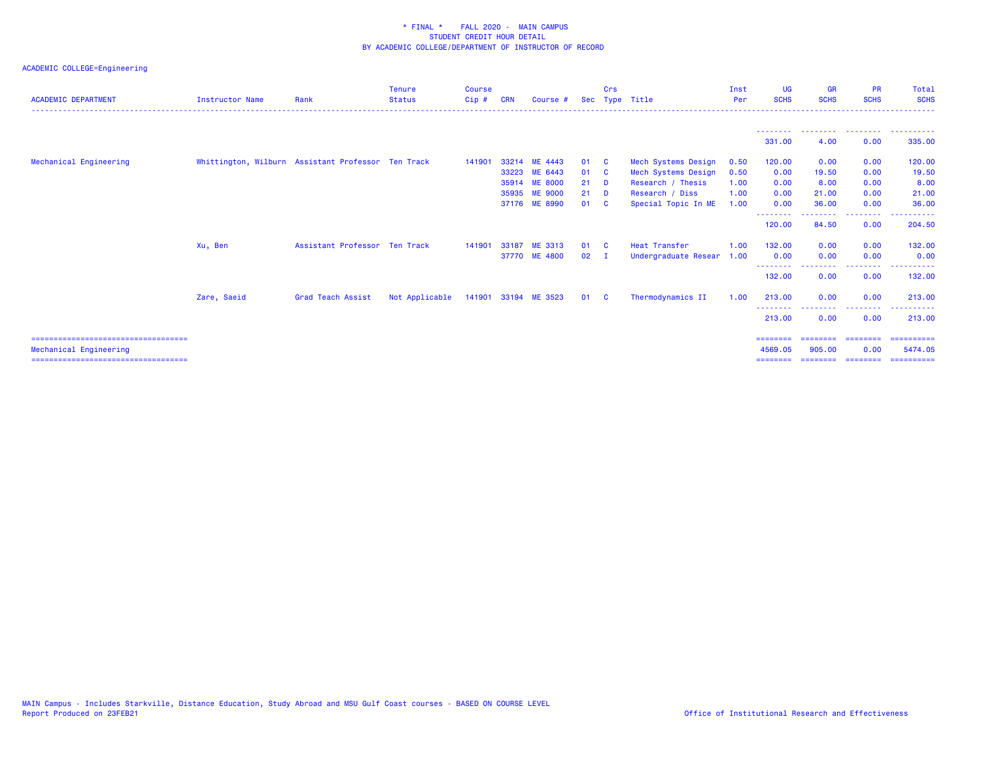| <b>ACADEMIC DEPARTMENT</b>             | <b>Instructor Name</b>                             | Rank                          | <b>Tenure</b><br><b>Status</b> | <b>Course</b><br>Cip# | <b>CRN</b> | Course #             |      | Crs                     | Sec Type Title       | Inst<br>Per | <b>UG</b><br><b>SCHS</b>         | <b>GR</b><br><b>SCHS</b> | <b>PR</b><br><b>SCHS</b> | Total<br><b>SCHS</b>                            |
|----------------------------------------|----------------------------------------------------|-------------------------------|--------------------------------|-----------------------|------------|----------------------|------|-------------------------|----------------------|-------------|----------------------------------|--------------------------|--------------------------|-------------------------------------------------|
|                                        |                                                    |                               |                                |                       |            |                      |      |                         |                      |             |                                  |                          |                          |                                                 |
|                                        |                                                    |                               |                                |                       |            |                      |      |                         |                      |             | 331,00                           | 4.00                     | 0.00                     | --------  --------  --------  -------<br>335.00 |
| Mechanical Engineering                 | Whittington, Wilburn Assistant Professor Ten Track |                               |                                | 141901                |            | 33214 ME 4443        | 01   | $\overline{\mathbf{c}}$ | Mech Systems Design  | 0.50        | 120.00                           | 0.00                     | 0.00                     | 120.00                                          |
|                                        |                                                    |                               |                                |                       | 33223      | ME 6443              | 01   | <b>C</b>                | Mech Systems Design  | 0.50        | 0.00                             | 19.50                    | 0.00                     | 19.50                                           |
|                                        |                                                    |                               |                                |                       |            | 35914 ME 8000        | 21   | <b>D</b>                | Research / Thesis    | 1.00        | 0.00                             | 8.00                     | 0.00                     | 8.00                                            |
|                                        |                                                    |                               |                                |                       |            | 35935 ME 9000        | 21   | <b>D</b>                | Research / Diss      | 1.00        | 0.00                             | 21.00                    | 0.00                     | 21.00                                           |
|                                        |                                                    |                               |                                |                       |            | 37176 ME 8990        | 01   | - C                     | Special Topic In ME  | 1.00        | 0.00                             | 36.00                    | 0.00                     | 36.00                                           |
|                                        |                                                    |                               |                                |                       |            |                      |      |                         |                      |             | <u>- - - - - - - -</u><br>120.00 | 84.50                    | 0.00                     | 204.50                                          |
|                                        | Xu, Ben                                            | Assistant Professor Ten Track |                                | 141901                | 33187      | ME 3313              | 01   | <b>C</b>                | <b>Heat Transfer</b> | 1.00        | 132,00                           | 0.00                     | 0.00                     | 132.00                                          |
|                                        |                                                    |                               |                                |                       |            | 37770 ME 4800        | 02   |                         | Undergraduate Resear | 1.00        | 0.00                             | 0.00                     | 0.00                     | 0.00                                            |
|                                        |                                                    |                               |                                |                       |            |                      |      |                         |                      |             | 132.00                           | 0.00                     | -----<br>0.00            | 132.00                                          |
|                                        | Zare, Saeid                                        | Grad Teach Assist             | Not Applicable                 |                       |            | 141901 33194 ME 3523 | 01 C |                         | Thermodynamics II    | 1.00        | 213.00                           | 0.00                     | 0.00                     | 213,00                                          |
|                                        |                                                    |                               |                                |                       |            |                      |      |                         |                      |             | --------<br>213.00               | 0.00                     | ---------<br>0.00        | 213.00                                          |
| =====================================  |                                                    |                               |                                |                       |            |                      |      |                         |                      |             | $=$ = = = = = = =                | ========                 | ========                 | ==========                                      |
| Mechanical Engineering                 |                                                    |                               |                                |                       |            |                      |      |                         |                      |             | 4569.05                          | 905.00                   | 0.00                     | 5474.05                                         |
| ====================================== |                                                    |                               |                                |                       |            |                      |      |                         |                      |             | ========                         |                          |                          | _____________________________________           |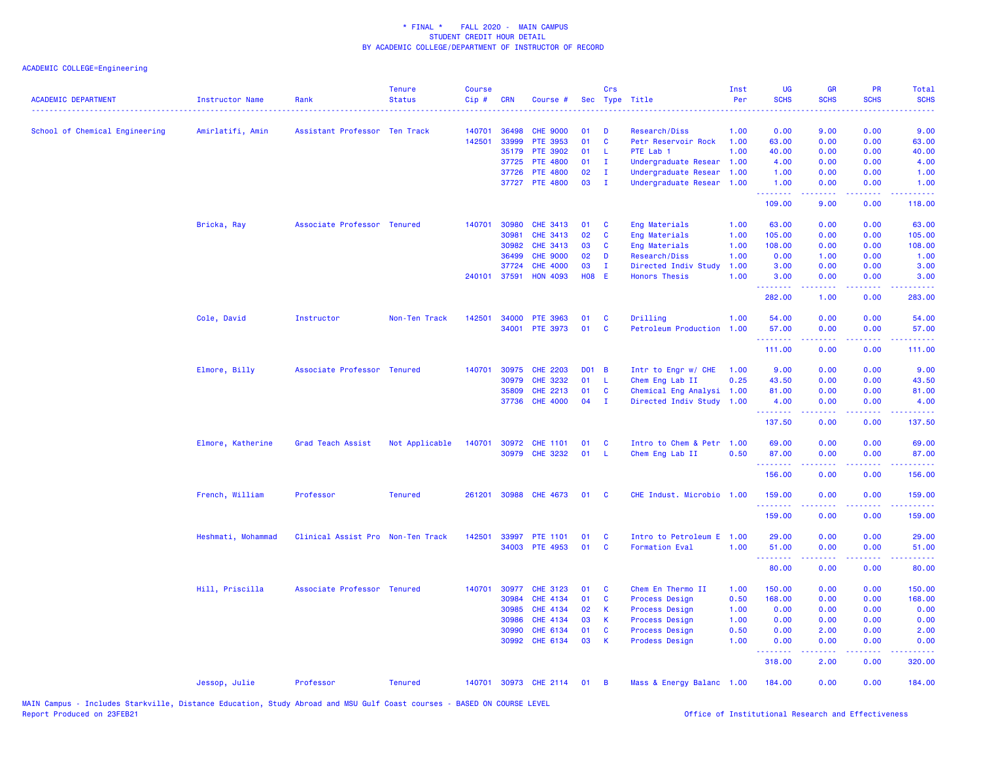| <b>ACADEMIC DEPARTMENT</b>     | Instructor Name    | Rank                              | <b>Tenure</b><br><b>Status</b> | <b>Course</b><br>$Cip \#$ | <b>CRN</b>   | Course #              |              | Crs            | Sec Type Title            | Inst<br>Per | <b>UG</b><br><b>SCHS</b> | <b>GR</b><br><b>SCHS</b>                                                                                                                             | <b>PR</b><br><b>SCHS</b>            | Total<br><b>SCHS</b> |
|--------------------------------|--------------------|-----------------------------------|--------------------------------|---------------------------|--------------|-----------------------|--------------|----------------|---------------------------|-------------|--------------------------|------------------------------------------------------------------------------------------------------------------------------------------------------|-------------------------------------|----------------------|
| School of Chemical Engineering | Amirlatifi, Amin   | Assistant Professor Ten Track     |                                | 140701                    | 36498        | <b>CHE 9000</b>       | 01           | D              | <b>Research/Diss</b>      | 1.00        | 0.00                     | 9.00                                                                                                                                                 | 0.00                                | 9.00                 |
|                                |                    |                                   |                                | 142501                    | 33999        | PTE 3953              | 01           | $\mathbf{C}$   | Petr Reservoir Rock       | 1.00        | 63.00                    | 0.00                                                                                                                                                 | 0.00                                | 63.00                |
|                                |                    |                                   |                                |                           | 35179        | PTE 3902              | 01           | - L            | PTE Lab 1                 | 1.00        | 40.00                    | 0.00                                                                                                                                                 | 0.00                                | 40.00                |
|                                |                    |                                   |                                |                           | 37725        | <b>PTE 4800</b>       | 01           | $\mathbf{I}$   | Undergraduate Resear      | 1.00        | 4.00                     | 0.00                                                                                                                                                 | 0.00                                | 4.00                 |
|                                |                    |                                   |                                |                           | 37726        | <b>PTE 4800</b>       | 02           | $\mathbf I$    | Undergraduate Resear 1.00 |             | 1.00                     | 0.00                                                                                                                                                 | 0.00                                | 1.00                 |
|                                |                    |                                   |                                |                           | 37727        | <b>PTE 4800</b>       | 03           | $\mathbf I$    | Undergraduate Resear 1.00 |             | 1.00<br>.                | 0.00                                                                                                                                                 | 0.00                                | 1.00                 |
|                                |                    |                                   |                                |                           |              |                       |              |                |                           |             | 109.00                   | 9.00                                                                                                                                                 | 0.00                                | 118.00               |
|                                | Bricka, Ray        | Associate Professor Tenured       |                                |                           | 140701 30980 | <b>CHE 3413</b>       | 01           | C              | Eng Materials             | 1.00        | 63.00                    | 0.00                                                                                                                                                 | 0.00                                | 63.00                |
|                                |                    |                                   |                                |                           | 30981        | <b>CHE 3413</b>       | 02           | <b>C</b>       | Eng Materials             | 1.00        | 105.00                   | 0.00                                                                                                                                                 | 0.00                                | 105.00               |
|                                |                    |                                   |                                |                           | 30982        | CHE 3413              | 03           | C              | Eng Materials             | 1.00        | 108.00                   | 0.00                                                                                                                                                 | 0.00                                | 108.00               |
|                                |                    |                                   |                                |                           | 36499        | <b>CHE 9000</b>       | 02           | D              | Research/Diss             | 1.00        | 0.00                     | 1.00                                                                                                                                                 | 0.00                                | 1.00                 |
|                                |                    |                                   |                                |                           | 37724        | <b>CHE 4000</b>       | 03           | $\mathbf I$    | Directed Indiv Study      | 1.00        | 3.00                     | 0.00                                                                                                                                                 | 0.00                                | 3.00                 |
|                                |                    |                                   |                                | 240101                    | 37591        | <b>HON 4093</b>       | <b>H08 E</b> |                | <b>Honors Thesis</b>      | 1.00        | 3.00<br><u>.</u>         | 0.00<br>$  -$                                                                                                                                        | 0.00<br>$\sim$ $\sim$ $\sim$ $\sim$ | 3.00                 |
|                                |                    |                                   |                                |                           |              |                       |              |                |                           |             | 282.00                   | 1.00                                                                                                                                                 | 0.00                                | 283.00               |
|                                | Cole, David        | Instructor                        | Non-Ten Track                  | 142501                    | 34000        | <b>PTE 3963</b>       | 01           | <b>C</b>       | Drilling                  | 1.00        | 54.00                    | 0.00                                                                                                                                                 | 0.00                                | 54.00                |
|                                |                    |                                   |                                |                           | 34001        | <b>PTE 3973</b>       | 01           | $\mathbf{C}$   | Petroleum Production      | 1.00        | 57.00<br>.               | 0.00                                                                                                                                                 | 0.00                                | 57.00                |
|                                |                    |                                   |                                |                           |              |                       |              |                |                           |             | 111.00                   | 0.00                                                                                                                                                 | 0.00                                | 111.00               |
|                                | Elmore, Billy      | Associate Professor Tenured       |                                | 140701                    | 30975        | <b>CHE 2203</b>       | DO1 B        |                | Intr to Engr w/ CHE       | 1.00        | 9.00                     | 0.00                                                                                                                                                 | 0.00                                | 9.00                 |
|                                |                    |                                   |                                |                           | 30979        | <b>CHE 3232</b>       | 01           | - L            | Chem Eng Lab II           | 0.25        | 43.50                    | 0.00                                                                                                                                                 | 0.00                                | 43.50                |
|                                |                    |                                   |                                |                           | 35809        | <b>CHE 2213</b>       | 01           | C              | Chemical Eng Analysi 1.00 |             | 81.00                    | 0.00                                                                                                                                                 | 0.00                                | 81.00                |
|                                |                    |                                   |                                |                           | 37736        | <b>CHE 4000</b>       | 04           | $\mathbf I$    | Directed Indiv Study 1.00 |             | 4.00<br>.                | 0.00<br>بالأباب                                                                                                                                      | 0.00                                | 4.00                 |
|                                |                    |                                   |                                |                           |              |                       |              |                |                           |             | 137.50                   | 0.00                                                                                                                                                 | 0.00                                | 137.50               |
|                                | Elmore, Katherine  | Grad Teach Assist                 | Not Applicable                 | 140701                    | 30972        | <b>CHE 1101</b>       | 01           | C              | Intro to Chem & Petr 1.00 |             | 69.00                    | 0.00                                                                                                                                                 | 0.00                                | 69.00                |
|                                |                    |                                   |                                |                           |              | 30979 CHE 3232        | 01           | - L            | Chem Eng Lab II           | 0.50        | 87.00                    | 0.00                                                                                                                                                 | 0.00                                | 87.00                |
|                                |                    |                                   |                                |                           |              |                       |              |                |                           |             | . <b>.</b>               | -----                                                                                                                                                | .                                   | .                    |
|                                |                    |                                   |                                |                           |              |                       |              |                |                           |             | 156.00                   | 0.00                                                                                                                                                 | 0.00                                | 156.00               |
|                                | French, William    | Professor                         | Tenured                        | 261201                    |              | 30988 CHE 4673        | 01           | $\mathbf{C}$   | CHE Indust. Microbio 1.00 |             | 159.00<br><b></b>        | 0.00<br>22222                                                                                                                                        | 0.00<br>$\sim$ $\sim$ $\sim$        | 159.00<br>22222)     |
|                                |                    |                                   |                                |                           |              |                       |              |                |                           |             | 159.00                   | 0.00                                                                                                                                                 | 0.00                                | 159.00               |
|                                | Heshmati, Mohammad | Clinical Assist Pro Non-Ten Track |                                | 142501                    | 33997        | <b>PTE 1101</b>       | 01           | <b>C</b>       | Intro to Petroleum E 1.00 |             | 29.00                    | 0.00                                                                                                                                                 | 0.00                                | 29.00                |
|                                |                    |                                   |                                |                           | 34003        | <b>PTE 4953</b>       | 01           | <b>C</b>       | <b>Formation Eval</b>     | 1.00        | 51.00                    | 0.00                                                                                                                                                 | 0.00                                | 51.00                |
|                                |                    |                                   |                                |                           |              |                       |              |                |                           |             | .                        | $\frac{1}{2} \left( \frac{1}{2} \right) \left( \frac{1}{2} \right) \left( \frac{1}{2} \right) \left( \frac{1}{2} \right) \left( \frac{1}{2} \right)$ | .                                   |                      |
|                                |                    |                                   |                                |                           |              |                       |              |                |                           |             | 80.00                    | 0.00                                                                                                                                                 | 0.00                                | 80.00                |
|                                | Hill, Priscilla    | Associate Professor Tenured       |                                | 140701                    | 30977        | <b>CHE 3123</b>       | 01           | <b>C</b>       | Chem En Thermo II         | 1.00        | 150.00                   | 0.00                                                                                                                                                 | 0.00                                | 150.00               |
|                                |                    |                                   |                                |                           | 30984        | CHE 4134              | 01           | $\mathbf{C}$   | <b>Process Design</b>     | 0.50        | 168.00                   | 0.00                                                                                                                                                 | 0.00                                | 168.00               |
|                                |                    |                                   |                                |                           | 30985        | <b>CHE 4134</b>       | 02           | $\mathsf{K}$   | <b>Process Design</b>     | 1.00        | 0.00                     | 0.00                                                                                                                                                 | 0.00                                | 0.00                 |
|                                |                    |                                   |                                |                           | 30986        | <b>CHE 4134</b>       | 03           | K.             | <b>Process Design</b>     | 1.00        | 0.00                     | 0.00                                                                                                                                                 | 0.00                                | 0.00                 |
|                                |                    |                                   |                                |                           | 30990        | CHE 6134              | 01           | C              | <b>Process Design</b>     | 0.50        | 0.00                     | 2.00                                                                                                                                                 | 0.00                                | 2.00                 |
|                                |                    |                                   |                                |                           | 30992        | CHE 6134              | 03           | $\mathsf{K}$   | <b>Prodess Design</b>     | 1.00        | 0.00<br>.                | 0.00<br>-----                                                                                                                                        | 0.00<br>.                           | 0.00                 |
|                                |                    |                                   |                                |                           |              |                       |              |                |                           |             | 318.00                   | 2.00                                                                                                                                                 | 0.00                                | 320.00               |
|                                | Jessop, Julie      | Professor                         | <b>Tenured</b>                 |                           |              | 140701 30973 CHE 2114 | 01           | $\overline{B}$ | Mass & Energy Balanc 1.00 |             | 184.00                   | 0.00                                                                                                                                                 | 0.00                                | 184.00               |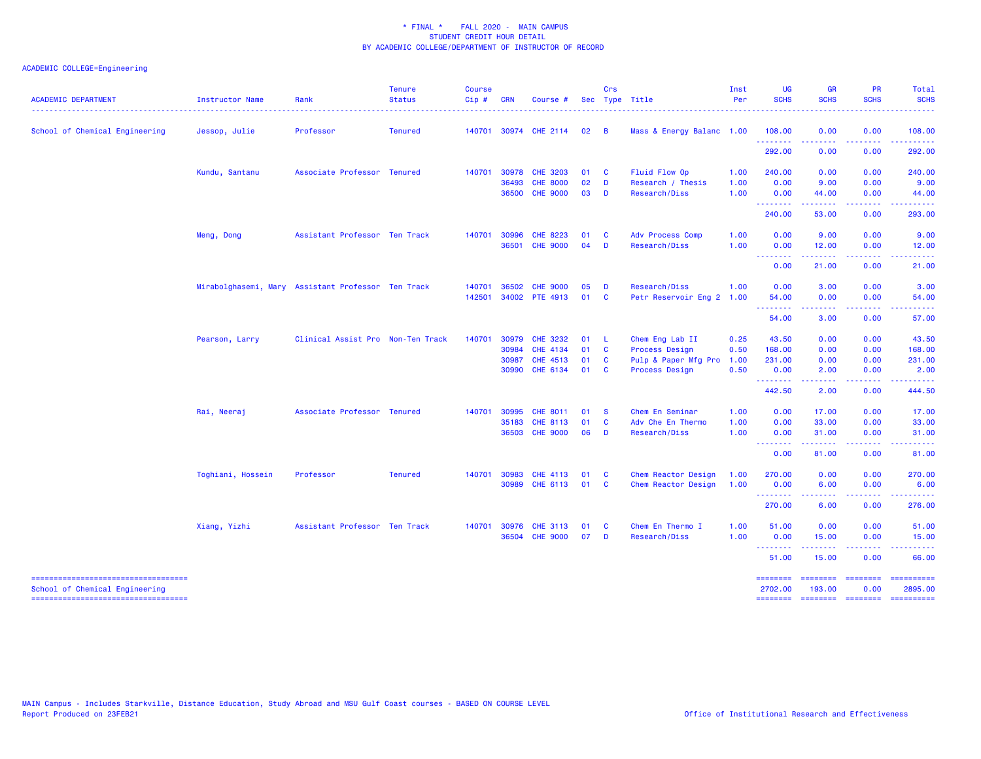| <b>ACADEMIC DEPARTMENT</b>                                              | <b>Instructor Name</b> | Rank                                               | <b>Tenure</b><br><b>Status</b> | <b>Course</b><br>Cip# | <b>CRN</b>   | Course #              |      | Crs          | Sec Type Title            | Inst<br>Per | <b>UG</b><br><b>SCHS</b>  | <b>GR</b><br><b>SCHS</b>                                                                                                                                      | <b>PR</b><br><b>SCHS</b>                                                                                                          | Total<br><b>SCHS</b>  |
|-------------------------------------------------------------------------|------------------------|----------------------------------------------------|--------------------------------|-----------------------|--------------|-----------------------|------|--------------|---------------------------|-------------|---------------------------|---------------------------------------------------------------------------------------------------------------------------------------------------------------|-----------------------------------------------------------------------------------------------------------------------------------|-----------------------|
| School of Chemical Engineering                                          | Jessop, Julie          | Professor                                          | <b>Tenured</b>                 |                       |              | 140701 30974 CHE 2114 | 02   | <b>B</b>     | Mass & Energy Balanc 1.00 |             | 108.00                    | 0.00                                                                                                                                                          | 0.00                                                                                                                              | 108.00                |
|                                                                         |                        |                                                    |                                |                       |              |                       |      |              |                           |             | .<br>292.00               | 0.00                                                                                                                                                          | $\sim$ $\sim$ $\sim$ $\sim$<br>0.00                                                                                               | <b></b><br>292.00     |
|                                                                         | Kundu, Santanu         | Associate Professor Tenured                        |                                | 140701                | 30978        | <b>CHE 3203</b>       | 01   | $\mathbf{C}$ | Fluid Flow Op             | 1.00        | 240.00                    | 0.00                                                                                                                                                          | 0.00                                                                                                                              | 240.00                |
|                                                                         |                        |                                                    |                                |                       | 36493        | <b>CHE 8000</b>       | 02   | D            | Research / Thesis         | 1.00        | 0.00                      | 9.00                                                                                                                                                          | 0.00                                                                                                                              | 9.00                  |
|                                                                         |                        |                                                    |                                |                       | 36500        | <b>CHE 9000</b>       | 03   | D            | Research/Diss             | 1.00        | 0.00                      | 44.00                                                                                                                                                         | 0.00                                                                                                                              | 44.00                 |
|                                                                         |                        |                                                    |                                |                       |              |                       |      |              |                           |             | - - - - - - - -<br>240.00 | $\frac{1}{2} \left( \frac{1}{2} \right) \left( \frac{1}{2} \right) \left( \frac{1}{2} \right) \left( \frac{1}{2} \right) \left( \frac{1}{2} \right)$<br>53.00 | $\frac{1}{2} \left( \frac{1}{2} \right) \left( \frac{1}{2} \right) \left( \frac{1}{2} \right) \left( \frac{1}{2} \right)$<br>0.00 | .<br>293.00           |
|                                                                         | Meng, Dong             | Assistant Professor Ten Track                      |                                |                       | 140701 30996 | CHE 8223              | 01   | - C          | Adv Process Comp          | 1.00        | 0.00                      | 9.00                                                                                                                                                          | 0.00                                                                                                                              | 9.00                  |
|                                                                         |                        |                                                    |                                |                       | 36501        | <b>CHE 9000</b>       | 04   | D            | Research/Diss             | 1.00        | 0.00<br>---------         | 12.00<br>.                                                                                                                                                    | 0.00<br>.                                                                                                                         | 12.00<br>.            |
|                                                                         |                        |                                                    |                                |                       |              |                       |      |              |                           |             | 0.00                      | 21.00                                                                                                                                                         | 0.00                                                                                                                              | 21.00                 |
|                                                                         |                        | Mirabolghasemi, Mary Assistant Professor Ten Track |                                |                       | 140701 36502 | <b>CHE 9000</b>       | 05   | <b>D</b>     | Research/Diss             | 1.00        | 0.00                      | 3.00                                                                                                                                                          | 0.00                                                                                                                              | 3.00                  |
|                                                                         |                        |                                                    |                                | 142501                | 34002        | PTE 4913              | 01   | <b>C</b>     | Petr Reservoir Eng 2 1.00 |             | 54.00                     | 0.00                                                                                                                                                          | 0.00                                                                                                                              | 54.00                 |
|                                                                         |                        |                                                    |                                |                       |              |                       |      |              |                           |             | .<br>54.00                | .<br>3.00                                                                                                                                                     | .<br>0.00                                                                                                                         | .<br>57.00            |
|                                                                         | Pearson, Larry         | Clinical Assist Pro Non-Ten Track                  |                                | 140701                | 30979        | <b>CHE 3232</b>       | 01   | - L          | Chem Eng Lab II           | 0.25        | 43.50                     | 0.00                                                                                                                                                          | 0.00                                                                                                                              | 43.50                 |
|                                                                         |                        |                                                    |                                |                       | 30984        | <b>CHE 4134</b>       | 01   | <b>C</b>     | <b>Process Design</b>     | 0.50        | 168.00                    | 0.00                                                                                                                                                          | 0.00                                                                                                                              | 168.00                |
|                                                                         |                        |                                                    |                                |                       | 30987        | CHE 4513              | 01   | $\mathbf{C}$ | Pulp & Paper Mfg Pro      | 1.00        | 231.00                    | 0.00                                                                                                                                                          | 0.00                                                                                                                              | 231.00                |
|                                                                         |                        |                                                    |                                |                       | 30990        | CHE 6134              | 01 C |              | <b>Process Design</b>     | 0.50        | 0.00                      | 2.00                                                                                                                                                          | 0.00                                                                                                                              | 2.00                  |
|                                                                         |                        |                                                    |                                |                       |              |                       |      |              |                           |             | <u>.</u><br>442.50        | $\omega$ is $\omega$ in $\omega$<br>2.00                                                                                                                      | المتمامية<br>0.00                                                                                                                 | .<br>444.50           |
|                                                                         | Rai, Neeraj            | Associate Professor Tenured                        |                                | 140701                | 30995        | CHE 8011              | 01   | <b>S</b>     | Chem En Seminar           | 1.00        | 0.00                      | 17.00                                                                                                                                                         | 0.00                                                                                                                              | 17.00                 |
|                                                                         |                        |                                                    |                                |                       | 35183        | <b>CHE 8113</b>       | 01   | <b>C</b>     | Adv Che En Thermo         | 1.00        | 0.00                      | 33.00                                                                                                                                                         | 0.00                                                                                                                              | 33.00                 |
|                                                                         |                        |                                                    |                                |                       |              | 36503 CHE 9000        | 06   | D            | Research/Diss             | 1.00        | 0.00                      | 31.00<br>.                                                                                                                                                    | 0.00<br>.                                                                                                                         | 31.00<br>.            |
|                                                                         |                        |                                                    |                                |                       |              |                       |      |              |                           |             | .<br>0.00                 | 81.00                                                                                                                                                         | 0.00                                                                                                                              | 81.00                 |
|                                                                         | Toghiani, Hossein      | Professor                                          | <b>Tenured</b>                 | 140701                | 30983        | <b>CHE 4113</b>       | 01   | - C          | Chem Reactor Design       | 1.00        | 270.00                    | 0.00                                                                                                                                                          | 0.00                                                                                                                              | 270.00                |
|                                                                         |                        |                                                    |                                |                       | 30989        | CHE 6113              | 01   | $\mathbf{C}$ | Chem Reactor Design       | 1.00        | 0.00                      | 6.00                                                                                                                                                          | 0.00                                                                                                                              | 6.00                  |
|                                                                         |                        |                                                    |                                |                       |              |                       |      |              |                           |             | .<br>270.00               | 6.00                                                                                                                                                          | 0.00                                                                                                                              | 276.00                |
|                                                                         | Xiang, Yizhi           | Assistant Professor Ten Track                      |                                | 140701                | 30976        | <b>CHE 3113</b>       | 01   | <b>C</b>     | Chem En Thermo I          | 1.00        | 51.00                     | 0.00                                                                                                                                                          | 0.00                                                                                                                              | 51.00                 |
|                                                                         |                        |                                                    |                                |                       |              | 36504 CHE 9000        | 07   | D            | Research/Diss             | 1.00        | 0.00                      | 15.00                                                                                                                                                         | 0.00                                                                                                                              | 15.00                 |
|                                                                         |                        |                                                    |                                |                       |              |                       |      |              |                           |             | .<br>51.00                | ------<br>15.00                                                                                                                                               | -----<br>0.00                                                                                                                     | .<br>66.00            |
| =====================================<br>School of Chemical Engineering |                        |                                                    |                                |                       |              |                       |      |              |                           |             | ========<br>2702.00       | soccess concess.<br>193.00                                                                                                                                    | 0.00                                                                                                                              | ==========<br>2895.00 |
| =====================================                                   |                        |                                                    |                                |                       |              |                       |      |              |                           |             | ========                  |                                                                                                                                                               |                                                                                                                                   |                       |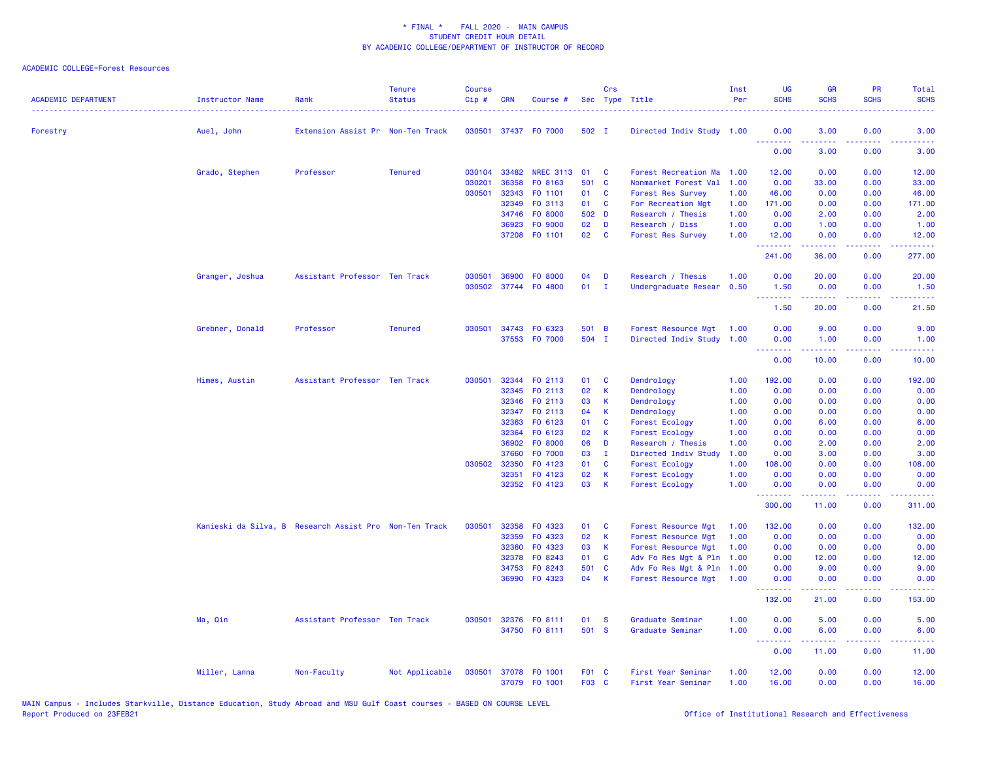### ACADEMIC COLLEGE=Forest Resources

| <b>ACADEMIC DEPARTMENT</b> | Instructor Name                                        | Rank                              | <b>Tenure</b><br><b>Status</b> | <b>Course</b><br>Cip# | <b>CRN</b>   | Course #                       |                 | Crs          | Sec Type Title                                   | Inst<br>Per | <b>UG</b><br><b>SCHS</b> | <b>GR</b><br><b>SCHS</b> | <b>PR</b><br><b>SCHS</b> | Total<br><b>SCHS</b>          |
|----------------------------|--------------------------------------------------------|-----------------------------------|--------------------------------|-----------------------|--------------|--------------------------------|-----------------|--------------|--------------------------------------------------|-------------|--------------------------|--------------------------|--------------------------|-------------------------------|
| Forestry                   | Auel, John                                             | Extension Assist Pr Non-Ten Track |                                |                       |              | 030501 37437 FO 7000           | 502 I           |              | Directed Indiv Study 1.00                        |             | 0.00                     | 3.00                     | 0.00                     | 3.00                          |
|                            |                                                        |                                   |                                |                       |              |                                |                 |              |                                                  |             | <u>.</u><br>0.00         | 3.00                     | 0.00                     | 3.00                          |
|                            | Grado, Stephen                                         | Professor                         | <b>Tenured</b>                 | 030104                | 33482        | <b>NREC 3113</b>               | 01              | C            | Forest Recreation Ma                             | 1.00        | 12.00                    | 0.00                     | 0.00                     | 12.00                         |
|                            |                                                        |                                   |                                | 030201                | 36358        | FO 8163                        | 501 C           |              | Nonmarket Forest Val                             | 1.00        | 0.00                     | 33.00                    | 0.00                     | 33.00                         |
|                            |                                                        |                                   |                                | 030501                | 32343        | FO 1101                        | 01              | C            | <b>Forest Res Survey</b>                         | 1.00        | 46.00                    | 0.00                     | 0.00                     | 46.00                         |
|                            |                                                        |                                   |                                |                       | 32349        | FO 3113                        | 01              | $\mathbf{C}$ | For Recreation Mgt                               | 1.00        | 171.00                   | 0.00                     | 0.00                     | 171.00                        |
|                            |                                                        |                                   |                                |                       | 34746        | F0 8000                        | 502 D           |              | Research / Thesis                                | 1.00        | 0.00                     | 2.00                     | 0.00                     | 2.00                          |
|                            |                                                        |                                   |                                |                       | 36923        | F0 9000                        | 02 <sub>o</sub> | D            | Research / Diss                                  | 1.00        | 0.00                     | 1.00                     | 0.00                     | 1.00                          |
|                            |                                                        |                                   |                                |                       |              | 37208 F0 1101                  | 02              | $\mathbf{C}$ | <b>Forest Res Survey</b>                         | 1.00        | 12.00<br>.               | 0.00<br>بالأبالات        | 0.00<br>د د د د          | 12.00<br>.                    |
|                            |                                                        |                                   |                                |                       |              |                                |                 |              |                                                  |             | 241.00                   | 36.00                    | 0.00                     | 277.00                        |
|                            | Granger, Joshua                                        | Assistant Professor Ten Track     |                                | 030501                | 36900        | FO 8000                        | 04              | D            | Research / Thesis                                | 1.00        | 0.00                     | 20.00                    | 0.00                     | 20.00                         |
|                            |                                                        |                                   |                                |                       |              | 030502 37744 F0 4800           | 01              | $\mathbf{I}$ | Undergraduate Resear 0.50                        |             | 1.50                     | 0.00                     | 0.00                     | 1.50                          |
|                            |                                                        |                                   |                                |                       |              |                                |                 |              |                                                  |             | .<br>1.50                | .<br>20.00               | .<br>0.00                | .<br>21.50                    |
|                            |                                                        |                                   |                                |                       |              |                                |                 |              |                                                  |             |                          |                          |                          |                               |
|                            | Grebner, Donald                                        | Professor                         | <b>Tenured</b>                 | 030501                |              | 34743 FO 6323<br>37553 FO 7000 | 501 B<br>504 I  |              | Forest Resource Mgt<br>Directed Indiv Study 1.00 | 1.00        | 0.00<br>0.00             | 9.00<br>1.00             | 0.00<br>0.00             | 9.00<br>1.00                  |
|                            |                                                        |                                   |                                |                       |              |                                |                 |              |                                                  |             | .                        | المتمام مالك             | .                        | .                             |
|                            |                                                        |                                   |                                |                       |              |                                |                 |              |                                                  |             | 0.00                     | 10.00                    | 0.00                     | 10.00                         |
|                            | Himes, Austin                                          | Assistant Professor Ten Track     |                                | 030501                | 32344        | FO 2113                        | 01              | C            | Dendrology                                       | 1.00        | 192.00                   | 0.00                     | 0.00                     | 192.00                        |
|                            |                                                        |                                   |                                |                       | 32345        | FO 2113                        | 02              | K            | Dendrology                                       | 1.00        | 0.00                     | 0.00                     | 0.00                     | 0.00                          |
|                            |                                                        |                                   |                                |                       | 32346        | FO 2113                        | 03              | $\mathsf K$  | Dendrology                                       | 1.00        | 0.00                     | 0.00                     | 0.00                     | 0.00                          |
|                            |                                                        |                                   |                                |                       | 32347        | FO 2113                        | 04              | K            | Dendrology                                       | 1.00        | 0.00                     | 0.00                     | 0.00                     | 0.00                          |
|                            |                                                        |                                   |                                |                       | 32363        | F0 6123                        | 01              | C            | Forest Ecology                                   | 1.00        | 0.00                     | 6.00                     | 0.00                     | 6.00                          |
|                            |                                                        |                                   |                                |                       | 32364        | F0 6123                        | 02              | K            | Forest Ecology                                   | 1.00        | 0.00                     | 0.00                     | 0.00                     | 0.00                          |
|                            |                                                        |                                   |                                |                       | 36902        | F0 8000                        | 06              | D            | Research / Thesis                                | 1.00        | 0.00                     | 2.00                     | 0.00                     | 2.00                          |
|                            |                                                        |                                   |                                |                       | 37660        | F0 7000                        | 03              | $\mathbf{I}$ | Directed Indiv Study                             | 1.00        | 0.00                     | 3.00                     | 0.00                     | 3.00                          |
|                            |                                                        |                                   |                                |                       | 030502 32350 | FO 4123                        | 01              | C            | Forest Ecology                                   | 1.00        | 108.00                   | 0.00                     | 0.00                     | 108.00                        |
|                            |                                                        |                                   |                                |                       | 32351        | F0 4123                        | 02<br>03        | K            | Forest Ecology                                   | 1.00        | 0.00                     | 0.00                     | 0.00                     | 0.00                          |
|                            |                                                        |                                   |                                |                       |              | 32352 F0 4123                  |                 | K            | <b>Forest Ecology</b>                            | 1.00        | 0.00<br>.                | 0.00<br>المتمامين        | 0.00<br>.                | 0.00<br>.                     |
|                            |                                                        |                                   |                                |                       |              |                                |                 |              |                                                  |             | 300.00                   | 11.00                    | 0.00                     | 311.00                        |
|                            | Kanieski da Silva, B Research Assist Pro Non-Ten Track |                                   |                                | 030501                | 32358        | F0 4323                        | 01              | C            | Forest Resource Mgt                              | 1.00        | 132.00                   | 0.00                     | 0.00                     | 132.00                        |
|                            |                                                        |                                   |                                |                       | 32359        | F0 4323                        | 02              | К            | Forest Resource Mgt                              | 1.00        | 0.00                     | 0.00                     | 0.00                     | 0.00                          |
|                            |                                                        |                                   |                                |                       | 32360        | F0 4323                        | 03              | $\mathsf K$  | Forest Resource Mgt                              | 1.00        | 0.00                     | 0.00                     | 0.00                     | 0.00                          |
|                            |                                                        |                                   |                                |                       | 32378        | FO 8243                        | 01              | C            | Adv Fo Res Mgt & Pln                             | 1.00        | 0.00                     | 12.00                    | 0.00                     | 12.00                         |
|                            |                                                        |                                   |                                |                       | 34753        | FO 8243                        | 501 C           |              | Adv Fo Res Mgt & Pln                             | 1.00        | 0.00                     | 9.00                     | 0.00                     | 9.00                          |
|                            |                                                        |                                   |                                |                       |              | 36990 F0 4323                  | 04              | K            | Forest Resource Mgt                              | 1.00        | 0.00<br>.                | 0.00<br>.                | 0.00<br>.                | 0.00<br>والموالي الموالي      |
|                            |                                                        |                                   |                                |                       |              |                                |                 |              |                                                  |             | 132.00                   | 21.00                    | 0.00                     | 153.00                        |
|                            | Ma, Qin                                                | Assistant Professor Ten Track     |                                | 030501                | 32376        | FO 8111                        | 01              | <b>S</b>     | Graduate Seminar                                 | 1.00        | 0.00                     | 5.00                     | 0.00                     | 5.00                          |
|                            |                                                        |                                   |                                |                       |              | 34750 FO 8111                  | 501 S           |              | Graduate Seminar                                 | 1.00        | 0.00<br><u>.</u>         | 6.00<br>المتمامين        | 0.00<br>.                | 6.00<br>$\omega$ and $\omega$ |
|                            |                                                        |                                   |                                |                       |              |                                |                 |              |                                                  |             | 0.00                     | 11.00                    | 0.00                     | 11.00                         |
|                            | Miller, Lanna                                          | Non-Faculty                       | Not Applicable                 | 030501                |              | 37078 F0 1001                  | F01 C           |              | First Year Seminar                               | 1.00        | 12.00                    | 0.00                     | 0.00                     | 12.00                         |
|                            |                                                        |                                   |                                |                       |              | 37079 F0 1001                  | F03 C           |              | First Year Seminar                               | 1.00        | 16.00                    | 0.00                     | 0.00                     | 16.00                         |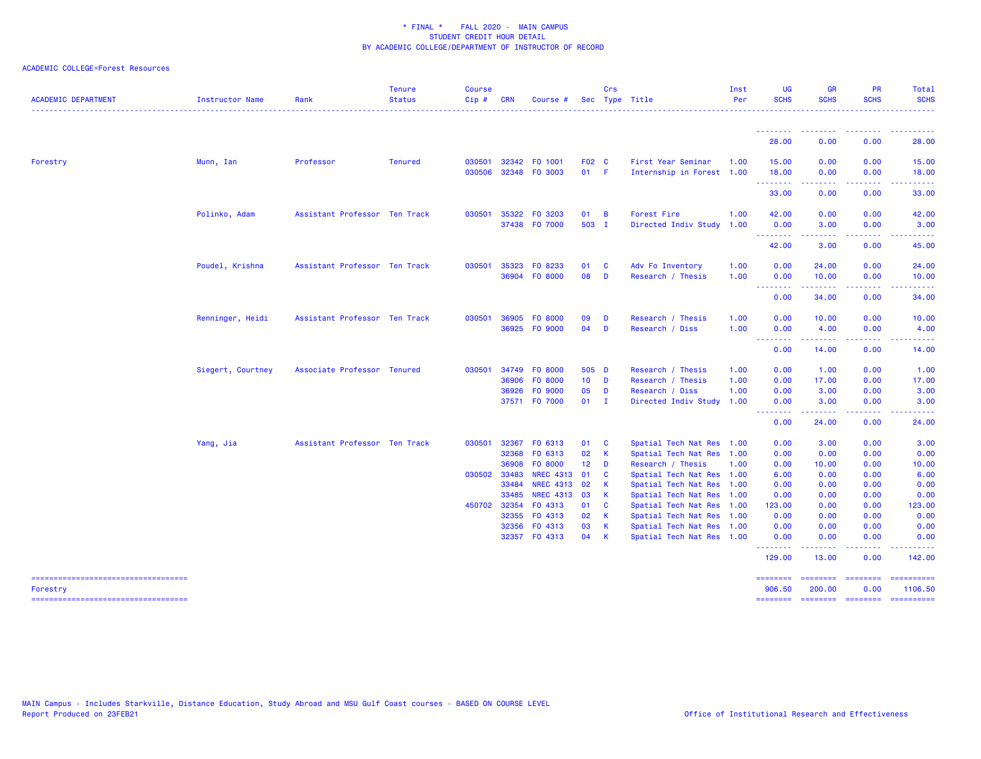### ACADEMIC COLLEGE=Forest Resources

| <b>ACADEMIC DEPARTMENT</b>                      | Instructor Name   | Rank                          | <b>Tenure</b><br><b>Status</b> | <b>Course</b><br>Cip# | <b>CRN</b>            | Course                               |                 | Crs                     | Sec Type Title                                         | Inst<br>Per | <b>UG</b><br><b>SCHS</b> | <b>GR</b><br><b>SCHS</b>                                                                                                                                     | <b>PR</b><br><b>SCHS</b>                                                                                                          | Total<br><b>SCHS</b>                                                                                                                                                                                                                                                                                                                                                                                                                                                                              |
|-------------------------------------------------|-------------------|-------------------------------|--------------------------------|-----------------------|-----------------------|--------------------------------------|-----------------|-------------------------|--------------------------------------------------------|-------------|--------------------------|--------------------------------------------------------------------------------------------------------------------------------------------------------------|-----------------------------------------------------------------------------------------------------------------------------------|---------------------------------------------------------------------------------------------------------------------------------------------------------------------------------------------------------------------------------------------------------------------------------------------------------------------------------------------------------------------------------------------------------------------------------------------------------------------------------------------------|
|                                                 |                   |                               |                                |                       |                       |                                      |                 |                         |                                                        |             | .                        | <b><i><u><u> - - - - - - - -</u></u></i></b>                                                                                                                 |                                                                                                                                   |                                                                                                                                                                                                                                                                                                                                                                                                                                                                                                   |
|                                                 |                   |                               |                                |                       |                       |                                      |                 |                         |                                                        |             | 28.00                    | 0.00                                                                                                                                                         | 0.00                                                                                                                              | 28.00                                                                                                                                                                                                                                                                                                                                                                                                                                                                                             |
| Forestry                                        | Munn, Ian         | Professor                     | <b>Tenured</b>                 | 030501                | 32342                 | F0 1001                              | F02 C           |                         | First Year Seminar                                     | 1.00        | 15.00                    | 0.00                                                                                                                                                         | 0.00                                                                                                                              | 15.00                                                                                                                                                                                                                                                                                                                                                                                                                                                                                             |
|                                                 |                   |                               |                                | 030506                |                       | 32348 FO 3003                        | $01$ F          |                         | Internship in Forest 1.00                              |             | 18.00<br>.               | 0.00<br>.                                                                                                                                                    | 0.00<br>.                                                                                                                         | 18.00<br>.                                                                                                                                                                                                                                                                                                                                                                                                                                                                                        |
|                                                 |                   |                               |                                |                       |                       |                                      |                 |                         |                                                        |             | 33.00                    | 0.00                                                                                                                                                         | 0.00                                                                                                                              | 33.00                                                                                                                                                                                                                                                                                                                                                                                                                                                                                             |
|                                                 | Polinko, Adam     | Assistant Professor Ten Track |                                | 030501                | 35322                 | F0 3203                              | 01              | $\overline{B}$          | <b>Forest Fire</b>                                     | 1.00        | 42.00                    | 0.00                                                                                                                                                         | 0.00                                                                                                                              | 42.00                                                                                                                                                                                                                                                                                                                                                                                                                                                                                             |
|                                                 |                   |                               |                                |                       |                       | 37438 F0 7000                        | 503 I           |                         | Directed Indiv Study 1.00                              |             | 0.00<br>.                | 3.00<br>$\frac{1}{2} \left( \frac{1}{2} \right) \left( \frac{1}{2} \right) \left( \frac{1}{2} \right) \left( \frac{1}{2} \right) \left( \frac{1}{2} \right)$ | 0.00<br>$\frac{1}{2} \left( \frac{1}{2} \right) \left( \frac{1}{2} \right) \left( \frac{1}{2} \right) \left( \frac{1}{2} \right)$ | 3.00<br>.                                                                                                                                                                                                                                                                                                                                                                                                                                                                                         |
|                                                 |                   |                               |                                |                       |                       |                                      |                 |                         |                                                        |             | 42.00                    | 3.00                                                                                                                                                         | 0.00                                                                                                                              | 45.00                                                                                                                                                                                                                                                                                                                                                                                                                                                                                             |
|                                                 | Poudel, Krishna   | Assistant Professor Ten Track |                                | 030501                | 35323                 | FO 8233                              | 01              | <b>C</b>                | Adv Fo Inventory                                       | 1.00        | 0.00                     | 24.00                                                                                                                                                        | 0.00                                                                                                                              | 24.00                                                                                                                                                                                                                                                                                                                                                                                                                                                                                             |
|                                                 |                   |                               |                                |                       | 36904                 | FO 8000                              | 08              | D                       | Research / Thesis                                      | 1.00        | 0.00<br><u>.</u>         | 10.00<br>.                                                                                                                                                   | 0.00                                                                                                                              | 10.00                                                                                                                                                                                                                                                                                                                                                                                                                                                                                             |
|                                                 |                   |                               |                                |                       |                       |                                      |                 |                         |                                                        |             | 0.00                     | 34.00                                                                                                                                                        | 0.00                                                                                                                              | 34.00                                                                                                                                                                                                                                                                                                                                                                                                                                                                                             |
|                                                 | Renninger, Heidi  | Assistant Professor Ten Track |                                | 030501                | 36905                 | FO 8000                              | 09              | D                       | Research / Thesis                                      | 1.00        | 0.00                     | 10.00                                                                                                                                                        | 0.00                                                                                                                              | 10.00                                                                                                                                                                                                                                                                                                                                                                                                                                                                                             |
|                                                 |                   |                               |                                |                       |                       | 36925 FO 9000                        | 04              | D                       | Research / Diss                                        | 1.00        | 0.00<br><u>.</u>         | 4.00<br>.                                                                                                                                                    | 0.00<br>المتمامين                                                                                                                 | 4.00<br>.                                                                                                                                                                                                                                                                                                                                                                                                                                                                                         |
|                                                 |                   |                               |                                |                       |                       |                                      |                 |                         |                                                        |             | 0.00                     | 14.00                                                                                                                                                        | 0.00                                                                                                                              | 14.00                                                                                                                                                                                                                                                                                                                                                                                                                                                                                             |
|                                                 | Siegert, Courtney | Associate Professor Tenured   |                                |                       |                       | 030501 34749 FO 8000                 | 505 D           |                         | Research / Thesis                                      | 1.00        | 0.00                     | 1.00                                                                                                                                                         | 0.00                                                                                                                              | 1.00                                                                                                                                                                                                                                                                                                                                                                                                                                                                                              |
|                                                 |                   |                               |                                |                       | 36906                 | F0 8000                              | $10$ D          |                         | Research / Thesis                                      | 1.00        | 0.00                     | 17.00                                                                                                                                                        | 0.00                                                                                                                              | 17.00                                                                                                                                                                                                                                                                                                                                                                                                                                                                                             |
|                                                 |                   |                               |                                |                       | 36926                 | FO 9000                              | 05              | D                       | Research / Diss                                        | 1.00        | 0.00                     | 3.00                                                                                                                                                         | 0.00                                                                                                                              | 3.00                                                                                                                                                                                                                                                                                                                                                                                                                                                                                              |
|                                                 |                   |                               |                                |                       |                       | 37571 F0 7000                        | $01$ I          |                         | Directed Indiv Study                                   | 1.00        | 0.00<br>.                | 3.00                                                                                                                                                         | 0.00                                                                                                                              | 3.00                                                                                                                                                                                                                                                                                                                                                                                                                                                                                              |
|                                                 |                   |                               |                                |                       |                       |                                      |                 |                         |                                                        |             | 0.00                     | 24.00                                                                                                                                                        | 0.00                                                                                                                              | 24.00                                                                                                                                                                                                                                                                                                                                                                                                                                                                                             |
|                                                 | Yang, Jia         | Assistant Professor Ten Track |                                | 030501                | 32367                 | FO 6313                              | 01              | $\overline{\mathbf{C}}$ | Spatial Tech Nat Res 1.00                              |             | 0.00                     | 3.00                                                                                                                                                         | 0.00                                                                                                                              | 3.00                                                                                                                                                                                                                                                                                                                                                                                                                                                                                              |
|                                                 |                   |                               |                                |                       | 32368                 | FO 6313                              | 02              | $\mathsf{K}$            | Spatial Tech Nat Res 1.00                              |             | 0.00                     | 0.00                                                                                                                                                         | 0.00                                                                                                                              | 0.00                                                                                                                                                                                                                                                                                                                                                                                                                                                                                              |
|                                                 |                   |                               |                                |                       | 36908                 | F0 8000                              | 12 <sub>2</sub> | D                       | Research / Thesis                                      | 1.00        | 0.00                     | 10.00                                                                                                                                                        | 0.00                                                                                                                              | 10.00                                                                                                                                                                                                                                                                                                                                                                                                                                                                                             |
|                                                 |                   |                               |                                |                       | 030502 33483<br>33484 | <b>NREC 4313</b><br><b>NREC 4313</b> | 01<br>02        | - C<br>$\mathsf{K}$     | Spatial Tech Nat Res 1.00                              |             | 6.00<br>0.00             | 0.00<br>0.00                                                                                                                                                 | 0.00<br>0.00                                                                                                                      | 6.00<br>0.00                                                                                                                                                                                                                                                                                                                                                                                                                                                                                      |
|                                                 |                   |                               |                                |                       | 33485                 | NREC 4313 03                         |                 | $\mathbf{K}$            | Spatial Tech Nat Res 1.00<br>Spatial Tech Nat Res 1.00 |             | 0.00                     | 0.00                                                                                                                                                         | 0.00                                                                                                                              | 0.00                                                                                                                                                                                                                                                                                                                                                                                                                                                                                              |
|                                                 |                   |                               |                                |                       | 450702 32354          | FO 4313                              | 01              | $\mathbf{C}$            | Spatial Tech Nat Res 1.00                              |             | 123.00                   | 0.00                                                                                                                                                         | 0.00                                                                                                                              | 123.00                                                                                                                                                                                                                                                                                                                                                                                                                                                                                            |
|                                                 |                   |                               |                                |                       | 32355                 | FO 4313                              | 02              | $\mathbf{K}$            | Spatial Tech Nat Res 1.00                              |             | 0.00                     | 0.00                                                                                                                                                         | 0.00                                                                                                                              | 0.00                                                                                                                                                                                                                                                                                                                                                                                                                                                                                              |
|                                                 |                   |                               |                                |                       | 32356                 | F0 4313                              | 03              | $\mathbf{K}$            | Spatial Tech Nat Res 1.00                              |             | 0.00                     | 0.00                                                                                                                                                         | 0.00                                                                                                                              | 0.00                                                                                                                                                                                                                                                                                                                                                                                                                                                                                              |
|                                                 |                   |                               |                                |                       |                       | 32357 F0 4313                        | 04              | $\mathsf{K}$            | Spatial Tech Nat Res 1.00                              |             | 0.00<br>.                | 0.00<br>.                                                                                                                                                    | 0.00<br>-----                                                                                                                     | 0.00<br>-------                                                                                                                                                                                                                                                                                                                                                                                                                                                                                   |
|                                                 |                   |                               |                                |                       |                       |                                      |                 |                         |                                                        |             | 129.00                   | 13.00                                                                                                                                                        | 0.00                                                                                                                              | 142.00                                                                                                                                                                                                                                                                                                                                                                                                                                                                                            |
| -----------------------------------<br>Forestry |                   |                               |                                |                       |                       |                                      |                 |                         |                                                        |             | ========<br>906.50       | ======== ========<br>200.00                                                                                                                                  | 0.00                                                                                                                              | $\begin{array}{cccccccccc} \multicolumn{2}{c}{} & \multicolumn{2}{c}{} & \multicolumn{2}{c}{} & \multicolumn{2}{c}{} & \multicolumn{2}{c}{} & \multicolumn{2}{c}{} & \multicolumn{2}{c}{} & \multicolumn{2}{c}{} & \multicolumn{2}{c}{} & \multicolumn{2}{c}{} & \multicolumn{2}{c}{} & \multicolumn{2}{c}{} & \multicolumn{2}{c}{} & \multicolumn{2}{c}{} & \multicolumn{2}{c}{} & \multicolumn{2}{c}{} & \multicolumn{2}{c}{} & \multicolumn{2}{c}{} & \multicolumn{2}{c}{} & \mult$<br>1106.50 |
| =====================================           |                   |                               |                                |                       |                       |                                      |                 |                         |                                                        |             | ========                 |                                                                                                                                                              |                                                                                                                                   | $\begin{array}{cccccccccc} \multicolumn{2}{c}{} & \multicolumn{2}{c}{} & \multicolumn{2}{c}{} & \multicolumn{2}{c}{} & \multicolumn{2}{c}{} & \multicolumn{2}{c}{} & \multicolumn{2}{c}{} & \multicolumn{2}{c}{} & \multicolumn{2}{c}{} & \multicolumn{2}{c}{} & \multicolumn{2}{c}{} & \multicolumn{2}{c}{} & \multicolumn{2}{c}{} & \multicolumn{2}{c}{} & \multicolumn{2}{c}{} & \multicolumn{2}{c}{} & \multicolumn{2}{c}{} & \multicolumn{2}{c}{} & \multicolumn{2}{c}{} & \mult$            |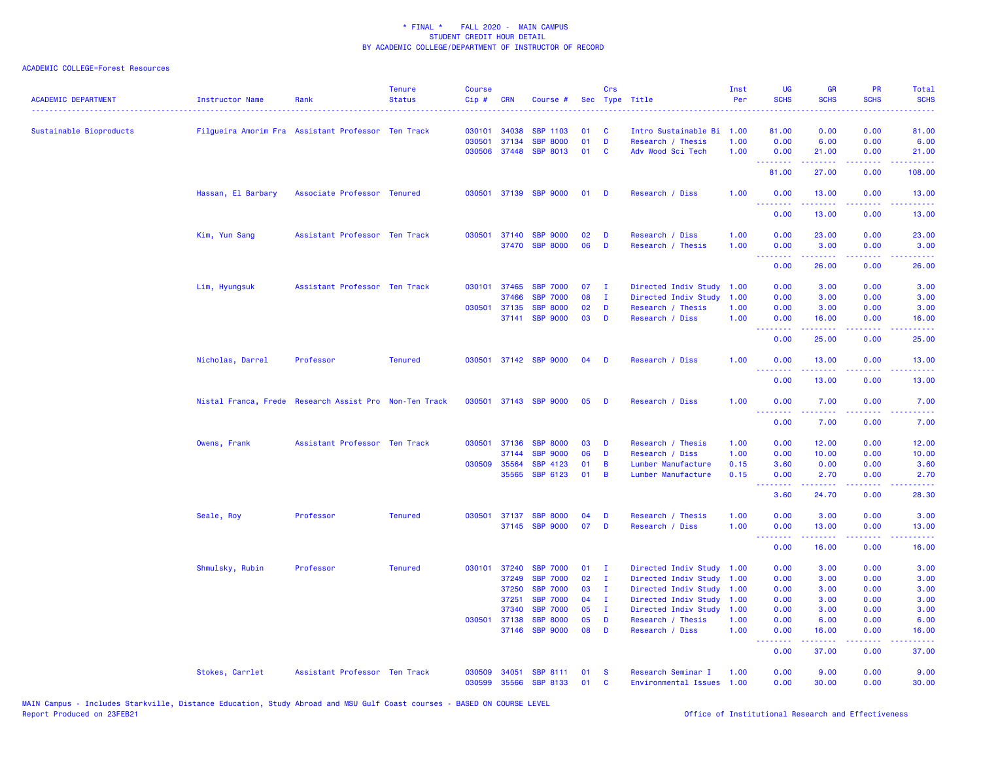| <b>ACADEMIC DEPARTMENT</b> | <b>Instructor Name</b>                                 | Rank                          | <b>Tenure</b><br><b>Status</b> | <b>Course</b><br>Cip# | <b>CRN</b>   | Course #              |    | Crs          | Sec Type Title       | Inst<br>Per | UG<br><b>SCHS</b>                    | <b>GR</b><br><b>SCHS</b>                                                                                                                                      | PR<br><b>SCHS</b>                   | Total<br><b>SCHS</b>                                                                                                              |
|----------------------------|--------------------------------------------------------|-------------------------------|--------------------------------|-----------------------|--------------|-----------------------|----|--------------|----------------------|-------------|--------------------------------------|---------------------------------------------------------------------------------------------------------------------------------------------------------------|-------------------------------------|-----------------------------------------------------------------------------------------------------------------------------------|
| Sustainable Bioproducts    | Filgueira Amorim Fra Assistant Professor Ten Track     |                               |                                | 030101                | 34038        | <b>SBP</b><br>1103    | 01 | C            | Intro Sustainable Bi | 1.00        | 81.00                                | 0.00                                                                                                                                                          | 0.00                                | 81.00                                                                                                                             |
|                            |                                                        |                               |                                | 030501                | 37134        | <b>SBP</b><br>8000    | 01 | D            | Research / Thesis    | 1.00        | 0.00                                 | 6.00                                                                                                                                                          | 0.00                                | 6.00                                                                                                                              |
|                            |                                                        |                               |                                | 030506                | 37448        | <b>SBP 8013</b>       | 01 | C            | Adv Wood Sci Tech    | 1.00        | 0.00<br><u> - - - - - - - -</u>      | 21.00<br>.                                                                                                                                                    | 0.00<br>22222                       | 21.00<br>.                                                                                                                        |
|                            |                                                        |                               |                                |                       |              |                       |    |              |                      |             | 81.00                                | 27.00                                                                                                                                                         | 0.00                                | 108.00                                                                                                                            |
|                            | Hassan, El Barbary                                     | Associate Professor Tenured   |                                |                       |              | 030501 37139 SBP 9000 | 01 | D            | Research / Diss      | 1.00        | 0.00<br><u>.</u>                     | 13.00                                                                                                                                                         | 0.00<br>والمحامر                    | 13.00<br>وعاديات                                                                                                                  |
|                            |                                                        |                               |                                |                       |              |                       |    |              |                      |             | 0.00                                 | 13.00                                                                                                                                                         | 0.00                                | 13.00                                                                                                                             |
|                            | Kim, Yun Sang                                          | Assistant Professor Ten Track |                                |                       | 030501 37140 | <b>SBP 9000</b>       | 02 | D            | Research / Diss      | 1.00        | 0.00                                 | 23.00                                                                                                                                                         | 0.00                                | 23.00                                                                                                                             |
|                            |                                                        |                               |                                |                       | 37470        | <b>SBP 8000</b>       | 06 | D            | Research / Thesis    | 1.00        | 0.00<br><b><i><u>AAAAAAA</u></i></b> | 3.00<br>.                                                                                                                                                     | 0.00<br>.                           | 3.00<br>$\frac{1}{2} \left( \frac{1}{2} \right) \left( \frac{1}{2} \right) \left( \frac{1}{2} \right) \left( \frac{1}{2} \right)$ |
|                            |                                                        |                               |                                |                       |              |                       |    |              |                      |             | 0.00                                 | 26.00                                                                                                                                                         | 0.00                                | 26.00                                                                                                                             |
|                            | Lim, Hyungsuk                                          | Assistant Professor Ten Track |                                |                       | 030101 37465 | <b>SBP 7000</b>       | 07 | $\mathbf{I}$ | Directed Indiv Study | 1.00        | 0.00                                 | 3.00                                                                                                                                                          | 0.00                                | 3.00                                                                                                                              |
|                            |                                                        |                               |                                |                       | 37466        | <b>SBP</b><br>7000    | 08 | $\mathbf{I}$ | Directed Indiv Study | 1.00        | 0.00                                 | 3.00                                                                                                                                                          | 0.00                                | 3.00                                                                                                                              |
|                            |                                                        |                               |                                | 030501                | 37135        | <b>SBP 8000</b>       | 02 | D            | Research / Thesis    | 1.00        | 0.00                                 | 3.00                                                                                                                                                          | 0.00                                | 3.00                                                                                                                              |
|                            |                                                        |                               |                                |                       | 37141        | <b>SBP 9000</b>       | 03 | D            | Research / Diss      | 1.00        | 0.00<br><u>.</u>                     | 16.00<br><u>.</u>                                                                                                                                             | 0.00<br>.                           | 16.00<br>$\sim$ $\sim$ $\sim$ $\sim$ $\sim$                                                                                       |
|                            |                                                        |                               |                                |                       |              |                       |    |              |                      |             | 0.00                                 | 25.00                                                                                                                                                         | 0.00                                | 25.00                                                                                                                             |
|                            | Nicholas, Darrel                                       | Professor                     | <b>Tenured</b>                 |                       |              | 030501 37142 SBP 9000 | 04 | D            | Research / Diss      | 1.00        | 0.00<br><u> 22222222</u>             | 13.00<br>. <u>.</u>                                                                                                                                           | 0.00<br>.                           | 13.00<br>.                                                                                                                        |
|                            |                                                        |                               |                                |                       |              |                       |    |              |                      |             | 0.00                                 | 13.00                                                                                                                                                         | 0.00                                | 13.00                                                                                                                             |
|                            | Nistal Franca, Frede Research Assist Pro Non-Ten Track |                               |                                |                       |              | 030501 37143 SBP 9000 | 05 | D            | Research / Diss      | 1.00        | 0.00<br><u>.</u>                     | 7.00<br>22222                                                                                                                                                 | 0.00<br>$\sim$ $\sim$ $\sim$ $\sim$ | 7.00<br>$\frac{1}{2} \left( \frac{1}{2} \right) \left( \frac{1}{2} \right) \left( \frac{1}{2} \right) \left( \frac{1}{2} \right)$ |
|                            |                                                        |                               |                                |                       |              |                       |    |              |                      |             | 0.00                                 | 7.00                                                                                                                                                          | 0.00                                | 7.00                                                                                                                              |
|                            | Owens, Frank                                           | Assistant Professor Ten Track |                                | 030501                | 37136        | <b>SBP 8000</b>       | 03 | D            | Research / Thesis    | 1.00        | 0.00                                 | 12.00                                                                                                                                                         | 0.00                                | 12.00                                                                                                                             |
|                            |                                                        |                               |                                |                       | 37144        | <b>SBP</b><br>9000    | 06 | D            | Research / Diss      | 1.00        | 0.00                                 | 10.00                                                                                                                                                         | 0.00                                | 10.00                                                                                                                             |
|                            |                                                        |                               |                                | 030509                | 35564        | <b>SBP 4123</b>       | 01 | B            | Lumber Manufacture   | 0.15        | 3.60                                 | 0.00                                                                                                                                                          | 0.00                                | 3.60                                                                                                                              |
|                            |                                                        |                               |                                |                       | 35565        | SBP 6123              | 01 | B            | Lumber Manufacture   | 0.15        | 0.00<br><b><i><u>AAAAAAA</u></i></b> | 2.70<br>.                                                                                                                                                     | 0.00<br>22222                       | 2.70<br>$\sim$ $\sim$ $\sim$ $\sim$ $\sim$                                                                                        |
|                            |                                                        |                               |                                |                       |              |                       |    |              |                      |             | 3.60                                 | 24.70                                                                                                                                                         | 0.00                                | 28.30                                                                                                                             |
|                            | Seale, Roy                                             | Professor                     | <b>Tenured</b>                 | 030501                | 37137        | <b>SBP 8000</b>       | 04 | D            | Research / Thesis    | 1.00        | 0.00                                 | 3.00                                                                                                                                                          | 0.00                                | 3.00                                                                                                                              |
|                            |                                                        |                               |                                |                       |              | 37145 SBP 9000        | 07 | D            | Research / Diss      | 1.00        | 0.00<br><b><i><u>AAAAAAA</u></i></b> | 13.00                                                                                                                                                         | 0.00<br>22222                       | 13.00<br>.                                                                                                                        |
|                            |                                                        |                               |                                |                       |              |                       |    |              |                      |             | 0.00                                 | .<br>16.00                                                                                                                                                    | 0.00                                | 16.00                                                                                                                             |
|                            | Shmulsky, Rubin                                        | Professor                     | <b>Tenured</b>                 | 030101                | 37240        | <b>SBP 7000</b>       | 01 | $\mathbf{I}$ | Directed Indiv Study | 1.00        | 0.00                                 | 3.00                                                                                                                                                          | 0.00                                | 3.00                                                                                                                              |
|                            |                                                        |                               |                                |                       | 37249        | <b>SBP 7000</b>       | 02 | $\mathbf I$  | Directed Indiv Study | 1.00        | 0.00                                 | 3.00                                                                                                                                                          | 0.00                                | 3.00                                                                                                                              |
|                            |                                                        |                               |                                |                       | 37250        | <b>SBP 7000</b>       | 03 | $\mathbf{I}$ | Directed Indiv Study | 1.00        | 0.00                                 | 3.00                                                                                                                                                          | 0.00                                | 3.00                                                                                                                              |
|                            |                                                        |                               |                                |                       | 37251        | <b>SBP 7000</b>       | 04 | $\mathbf{I}$ | Directed Indiv Study | 1.00        | 0.00                                 | 3.00                                                                                                                                                          | 0.00                                | 3.00                                                                                                                              |
|                            |                                                        |                               |                                |                       | 37340        | <b>SBP 7000</b>       | 05 | $\mathbf{I}$ | Directed Indiv Study | 1.00        | 0.00                                 | 3.00                                                                                                                                                          | 0.00                                | 3.00                                                                                                                              |
|                            |                                                        |                               |                                |                       | 030501 37138 | <b>SBP 8000</b>       | 05 | D            | Research / Thesis    | 1.00        | 0.00                                 | 6.00                                                                                                                                                          | 0.00                                | 6.00                                                                                                                              |
|                            |                                                        |                               |                                |                       | 37146        | <b>SBP 9000</b>       | 08 | D            | Research / Diss      | 1.00        | 0.00<br>.                            | 16.00<br>$\frac{1}{2} \left( \frac{1}{2} \right) \left( \frac{1}{2} \right) \left( \frac{1}{2} \right) \left( \frac{1}{2} \right) \left( \frac{1}{2} \right)$ | 0.00<br>.                           | 16.00<br>.                                                                                                                        |
|                            |                                                        |                               |                                |                       |              |                       |    |              |                      |             | 0.00                                 | 37.00                                                                                                                                                         | 0.00                                | 37.00                                                                                                                             |
|                            | Stokes, Carrlet                                        | Assistant Professor Ten Track |                                | 030509                | 34051        | SBP 8111              | 01 | <b>S</b>     | Research Seminar I   | 1.00        | 0.00                                 | 9.00                                                                                                                                                          | 0.00                                | 9.00                                                                                                                              |
|                            |                                                        |                               |                                | 030599                | 35566        | <b>SBP 8133</b>       | 01 | <b>C</b>     | Environmental Issues | 1.00        | 0.00                                 | 30.00                                                                                                                                                         | 0.00                                | 30.00                                                                                                                             |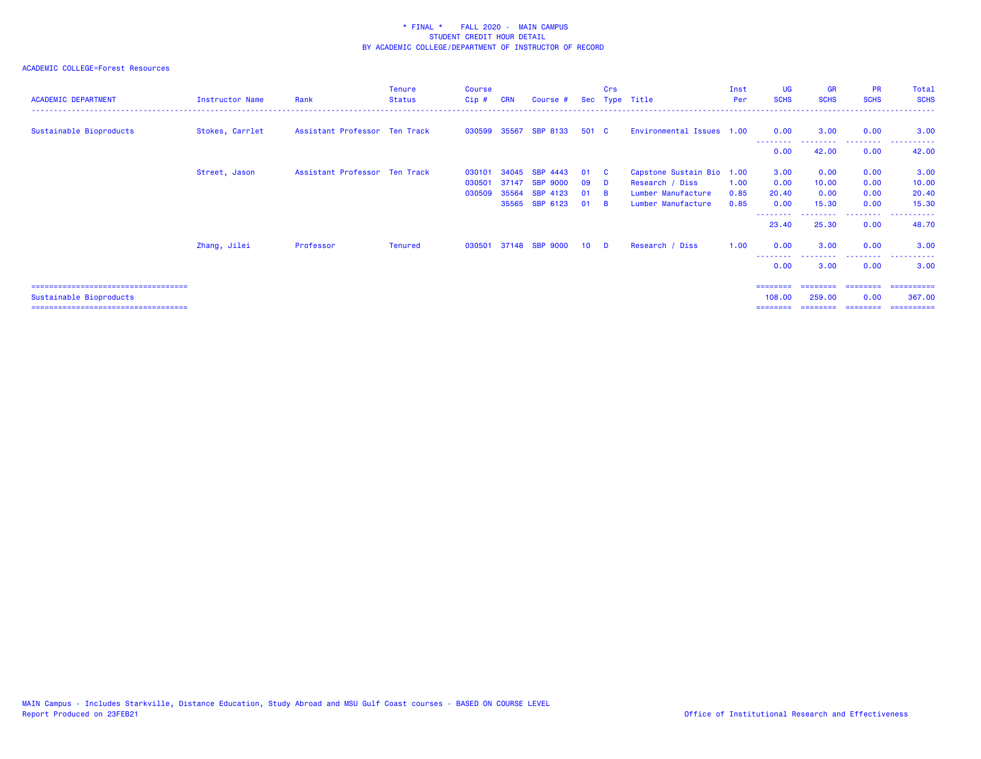| <b>ACADEMIC DEPARTMENT</b>                                                                                | Instructor Name | Rank                          | <b>Tenure</b><br><b>Status</b> | <b>Course</b><br>Cip# | <b>CRN</b>     | Course #                              |                 | Crs                  | Sec Type Title                               | Inst<br>Per  | <b>UG</b><br><b>SCHS</b> | <b>GR</b><br><b>SCHS</b> | <b>PR</b><br><b>SCHS</b> | Total<br><b>SCHS</b>                                                                                                                               |
|-----------------------------------------------------------------------------------------------------------|-----------------|-------------------------------|--------------------------------|-----------------------|----------------|---------------------------------------|-----------------|----------------------|----------------------------------------------|--------------|--------------------------|--------------------------|--------------------------|----------------------------------------------------------------------------------------------------------------------------------------------------|
| Sustainable Bioproducts                                                                                   | Stokes, Carrlet | Assistant Professor Ten Track |                                | 030599                | 35567          | <b>SBP 8133</b>                       | 501 C           |                      | Environmental Issues 1.00                    |              | 0.00<br>.                | 3.00<br>---------        | 0.00<br>.                | 3.00<br>.                                                                                                                                          |
|                                                                                                           |                 |                               |                                |                       |                |                                       |                 |                      |                                              |              | 0.00                     | 42.00                    | 0.00                     | 42.00                                                                                                                                              |
|                                                                                                           | Street, Jason   | Assistant Professor Ten Track |                                | 030101<br>030501      | 34045<br>37147 | <b>SRP</b><br>4443<br><b>SBP 9000</b> | 01<br>09        | <b>C</b><br><b>D</b> | Capstone Sustain Bio 1.00<br>Research / Diss | 1.00         | 3.00<br>0.00             | 0.00<br>10.00            | 0.00<br>0.00             | 3.00<br>10.00                                                                                                                                      |
|                                                                                                           |                 |                               |                                | 030509                | 35564          | SBP 4123<br>35565 SBP 6123            | <b>01</b><br>01 | <b>R</b><br>- B      | Lumber Manufacture<br>Lumber Manufacture     | 0.85<br>0.85 | 20.40<br>0.00            | 0.00<br>15.30            | 0.00<br>0.00             | 20.40<br>15.30                                                                                                                                     |
|                                                                                                           |                 |                               |                                |                       |                |                                       |                 |                      |                                              |              | 23.40                    | .<br>25.30               | ---------<br>0.00        | . <u>.</u> .<br>$\frac{1}{2} \left( \frac{1}{2} \right) \left( \frac{1}{2} \right) \left( \frac{1}{2} \right) \left( \frac{1}{2} \right)$<br>48.70 |
|                                                                                                           | Zhang, Jilei    | Professor                     | Tenured                        | 030501                |                | 37148 SBP 9000                        | 10 <sup>1</sup> | <b>D</b>             | Research / Diss                              | 1.00         | 0.00                     | 3.00                     | 0.00                     | 3.00                                                                                                                                               |
|                                                                                                           |                 |                               |                                |                       |                |                                       |                 |                      |                                              |              | 0.00                     | 3.00                     | $\cdots$<br>0.00         | 3.00                                                                                                                                               |
| ======================================<br>Sustainable Bioproducts<br>==================================== |                 |                               |                                |                       |                |                                       |                 |                      |                                              |              | ========<br>108,00       | ========<br>259,00       | 0.00                     | ---------------------<br>367,00                                                                                                                    |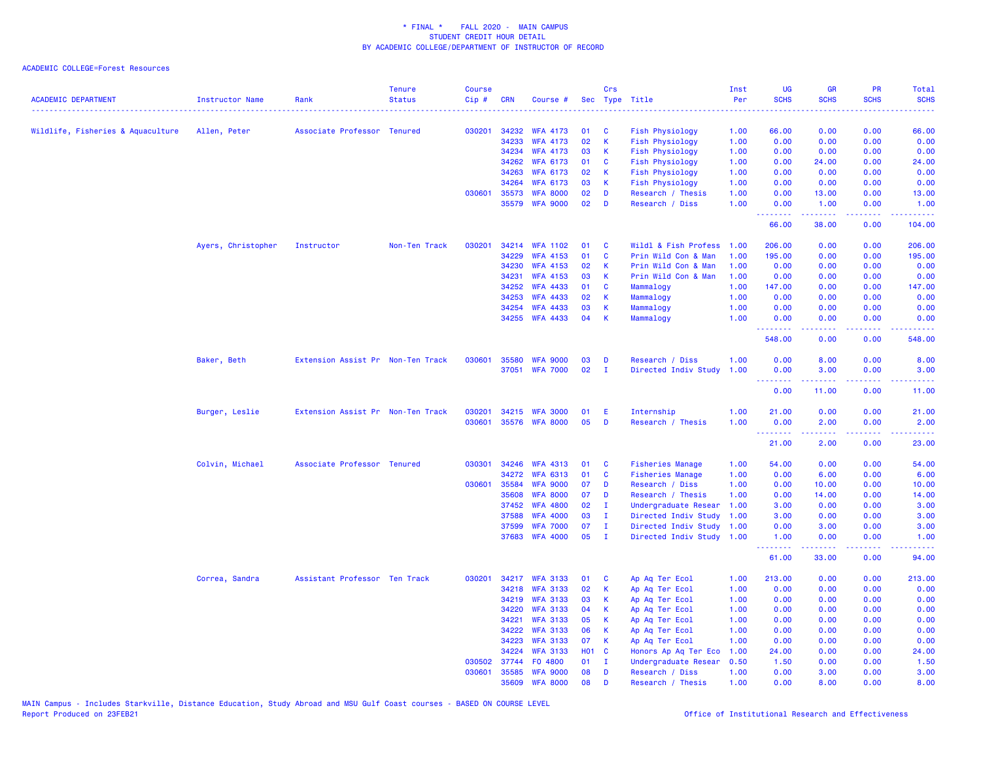| .<br>030201<br>34232<br><b>Fish Physiology</b><br>66.00<br>0.00<br>0.00<br>66.00<br>Wildlife, Fisheries & Aquaculture<br>Allen, Peter<br>Associate Professor Tenured<br><b>WFA 4173</b><br>01<br>C<br>1.00<br>02<br>$\mathsf K$<br>0.00<br>34233<br><b>WFA 4173</b><br>1.00<br>0.00<br>0.00<br>0.00<br>Fish Physiology<br>34234<br>03<br><b>Fish Physiology</b><br>0.00<br>0.00<br><b>WFA 4173</b><br>K.<br>1.00<br>0.00<br>0.00<br><b>WFA 6173</b><br><b>C</b><br>34262<br>01<br>Fish Physiology<br>1.00<br>0.00<br>24.00<br>0.00<br>24.00<br>02<br>34263<br><b>WFA 6173</b><br>К<br><b>Fish Physiology</b><br>1.00<br>0.00<br>0.00<br>0.00<br>0.00<br>34264<br><b>WFA 6173</b><br>03<br>$\mathsf K$<br><b>Fish Physiology</b><br>1.00<br>0.00<br>0.00<br>0.00<br>0.00<br>02<br>030601<br>35573<br><b>WFA 8000</b><br>D<br>Research / Thesis<br>1.00<br>0.00<br>13.00<br>0.00<br>13.00<br>02<br>35579<br><b>WFA 9000</b><br>D<br>Research / Diss<br>1.00<br>0.00<br>1.00<br>0.00<br>1.00<br><u>.</u><br>.<br>.<br>.<br>66.00<br>0.00<br>38.00<br>104.00<br>Ayers, Christopher<br>Instructor<br>Non-Ten Track<br>030201<br>34214 WFA 1102<br>01<br>C<br>Wildl & Fish Profess<br>1.00<br>206.00<br>0.00<br>0.00<br>206.00<br>$\mathbf{C}$<br>34229<br><b>WFA 4153</b><br>01<br>Prin Wild Con & Man<br>1.00<br>195.00<br>0.00<br>0.00<br>195.00<br>34230<br><b>WFA 4153</b><br>02<br>Prin Wild Con & Man<br>K<br>1.00<br>0.00<br>0.00<br>0.00<br>0.00<br>34231<br><b>WFA 4153</b><br>03<br>K<br>Prin Wild Con & Man<br>1.00<br>0.00<br>0.00<br>0.00<br>0.00<br>34252<br><b>WFA 4433</b><br>01<br><b>C</b><br>Mammalogy<br>1.00<br>147.00<br>0.00<br>0.00<br>147.00<br>34253<br><b>WFA 4433</b><br>02<br>K<br>1.00<br>0.00<br>0.00<br>0.00<br>Mammalogy<br>0.00<br>03<br>34254<br><b>WFA 4433</b><br>K<br>1.00<br>0.00<br>0.00<br>0.00<br>Mammalogy<br>0.00<br>34255 WFA 4433<br>04<br>K<br>Mammalogy<br>1.00<br>0.00<br>0.00<br>0.00<br>0.00<br><u>.</u><br>.<br>وبالأباد<br>548.00<br>0.00<br>0.00<br>548.00<br>Baker, Beth<br>Extension Assist Pr Non-Ten Track<br>030601<br>35580<br><b>WFA 9000</b><br>03<br>D<br>Research / Diss<br>1.00<br>0.00<br>8.00<br>0.00<br>8.00<br>02<br>37051<br><b>WFA 7000</b><br>$\mathbf I$<br>Directed Indiv Study<br>1.00<br>0.00<br>3.00<br>0.00<br>3.00<br>.<br>22222<br>بالمحامي<br>$\frac{1}{2} \left( \frac{1}{2} \right) \left( \frac{1}{2} \right) \left( \frac{1}{2} \right) \left( \frac{1}{2} \right)$<br>0.00<br>11.00<br>0.00<br>11.00<br>Burger, Leslie<br>Extension Assist Pr Non-Ten Track<br>030201<br>34215 WFA 3000<br>01<br>E<br>Internship<br>1.00<br>21.00<br>0.00<br>0.00<br>21.00<br>05<br>030601<br>35576 WFA 8000<br>D<br>Research / Thesis<br>1.00<br>0.00<br>2.00<br>0.00<br>2.00<br>$\frac{1}{2} \left( \frac{1}{2} \right) \left( \frac{1}{2} \right) \left( \frac{1}{2} \right)$<br>.<br>.<br>21.00<br>2.00<br>0.00<br>23.00<br>030301<br>34246<br>54.00<br>Colvin, Michael<br>Associate Professor Tenured<br><b>WFA 4313</b><br>01<br>C<br><b>Fisheries Manage</b><br>1.00<br>0.00<br>0.00<br>54.00<br>01<br>C<br>0.00<br>34272<br><b>WFA 6313</b><br><b>Fisheries Manage</b><br>1.00<br>6.00<br>0.00<br>6.00<br>07<br>030601<br>35584<br><b>WFA 9000</b><br>D<br>Research / Diss<br>1.00<br>0.00<br>10.00<br>0.00<br>10.00<br>35608<br><b>WFA 8000</b><br>07<br>D<br>Research / Thesis<br>1.00<br>0.00<br>14.00<br>0.00<br>14.00<br>02<br>37452<br><b>WFA 4800</b><br>$\mathbf{I}$<br>Undergraduate Resear<br>1.00<br>3.00<br>0.00<br>0.00<br>3.00<br>37588<br><b>WFA 4000</b><br>03<br>$\mathbf{I}$<br>Directed Indiv Study<br>1.00<br>3.00<br>0.00<br>0.00<br>3.00<br>07<br><b>WFA 7000</b><br>$\mathbf{I}$<br>Directed Indiv Study<br>1.00<br>0.00<br>0.00<br>3.00<br>37599<br>3.00<br>37683 WFA 4000<br>05<br>$\mathbf{I}$<br>Directed Indiv Study 1.00<br>1.00<br>0.00<br>0.00<br>1.00<br>$\begin{array}{cccccccccccccc} \multicolumn{2}{c}{} & \multicolumn{2}{c}{} & \multicolumn{2}{c}{} & \multicolumn{2}{c}{} & \multicolumn{2}{c}{} & \multicolumn{2}{c}{} & \multicolumn{2}{c}{} & \multicolumn{2}{c}{} & \multicolumn{2}{c}{} & \multicolumn{2}{c}{} & \multicolumn{2}{c}{} & \multicolumn{2}{c}{} & \multicolumn{2}{c}{} & \multicolumn{2}{c}{} & \multicolumn{2}{c}{} & \multicolumn{2}{c}{} & \multicolumn{2}{c}{} & \multicolumn{2}{c}{} & \multicolumn{2}{c}{} & \$<br>$\frac{1}{2} \left( \frac{1}{2} \right) \left( \frac{1}{2} \right) \left( \frac{1}{2} \right)$<br><u>.</u><br>$\frac{1}{2} \left( \frac{1}{2} \right) \left( \frac{1}{2} \right) \left( \frac{1}{2} \right) \left( \frac{1}{2} \right)$<br>61.00<br>33.00<br>0.00<br>94.00<br>Correa, Sandra<br>Assistant Professor Ten Track<br>030201<br>34217 WFA 3133<br>01<br>$\mathbf{C}$<br>Ap Aq Ter Ecol<br>1.00<br>213.00<br>0.00<br>0.00<br>213.00<br>34218<br><b>WFA 3133</b><br>02<br>K<br>Ap Aq Ter Ecol<br>1.00<br>0.00<br>0.00<br>0.00<br>0.00<br>34219<br><b>WFA 3133</b><br>03<br>1.00<br>0.00<br>0.00<br>0.00<br>К<br>Ap Aq Ter Ecol<br>0.00<br>34220<br><b>WFA 3133</b><br>04<br>K<br>1.00<br>0.00<br>0.00<br>0.00<br>Ap Aq Ter Ecol<br>0.00<br><b>WFA 3133</b><br>05<br>1.00<br>0.00<br>0.00<br>0.00<br>34221<br>К<br>Ap Aq Ter Ecol<br>0.00<br><b>WFA 3133</b><br>34222<br>06<br>К<br>Ap Aq Ter Ecol<br>1.00<br>0.00<br>0.00<br>0.00<br>0.00<br>07<br>34223<br><b>WFA 3133</b><br>К<br>Ap Aq Ter Ecol<br>1.00<br>0.00<br>0.00<br>0.00<br>0.00<br>34224<br><b>WFA 3133</b><br><b>HO1 C</b><br>Honors Ap Aq Ter Eco<br>1.00<br>24.00<br>0.00<br>0.00<br>24.00<br>030502<br>37744<br>FO 4800<br>01<br>$\mathbf{I}$<br>Undergraduate Resear<br>0.50<br>1.50<br>0.00<br>0.00<br>1.50<br>030601<br>35585<br><b>WFA 9000</b><br>08<br>D<br>1.00<br>0.00<br>3.00<br>0.00<br>3.00<br>Research / Diss<br>35609<br><b>WFA 8000</b><br>08<br>D<br>1.00<br>0.00<br>8.00<br>0.00<br>8.00<br>Research / Thesis | <b>ACADEMIC DEPARTMENT</b> | <b>Instructor Name</b> | Rank | <b>Tenure</b><br><b>Status</b> | <b>Course</b><br>Cip# | CRN | Course # | Crs | Sec Type Title | Inst<br>Per | UG<br><b>SCHS</b> | <b>GR</b><br><b>SCHS</b> | <b>PR</b><br><b>SCHS</b> | <b>Total</b><br><b>SCHS</b>                                                                                               |
|-------------------------------------------------------------------------------------------------------------------------------------------------------------------------------------------------------------------------------------------------------------------------------------------------------------------------------------------------------------------------------------------------------------------------------------------------------------------------------------------------------------------------------------------------------------------------------------------------------------------------------------------------------------------------------------------------------------------------------------------------------------------------------------------------------------------------------------------------------------------------------------------------------------------------------------------------------------------------------------------------------------------------------------------------------------------------------------------------------------------------------------------------------------------------------------------------------------------------------------------------------------------------------------------------------------------------------------------------------------------------------------------------------------------------------------------------------------------------------------------------------------------------------------------------------------------------------------------------------------------------------------------------------------------------------------------------------------------------------------------------------------------------------------------------------------------------------------------------------------------------------------------------------------------------------------------------------------------------------------------------------------------------------------------------------------------------------------------------------------------------------------------------------------------------------------------------------------------------------------------------------------------------------------------------------------------------------------------------------------------------------------------------------------------------------------------------------------------------------------------------------------------------------------------------------------------------------------------------------------------------------------------------------------------------------------------------------------------------------------------------------------------------------------------------------------------------------------------------------------------------------------------------------------------------------------------------------------------------------------------------------------------------------------------------------------------------------------------------------------------------------------------------------------------------------------------------------------------------------------------------------------------------------------------------------------------------------------------------------------------------------------------------------------------------------------------------------------------------------------------------------------------------------------------------------------------------------------------------------------------------------------------------------------------------------------------------------------------------------------------------------------------------------------------------------------------------------------------------------------------------------------------------------------------------------------------------------------------------------------------------------------------------------------------------------------------------------------------------------------------------------------------------------------------------------------------------------------------------------------------------------------------------------------------------------------------------------------------------------------------------------------------------------------------------------------------------------------------------------------------------------------------------------------------------------------------------------------------------------------------------------------------------------------------------------------------------------------------------------------------------------------------------------------------------------------------------------------------------------------------------------------------------------------------------------------------------------------------------------------------------------------------------------------------------------------------------------------------------------------------------------------------------------------------------------------------------------------------------------------------------------------------------------------------------------------------------------------------------------------------------------------------------------------------------------------------------------------------------------------------------------------------------------------------------------------------------------------------------------------------------------------------------------------------------------------------------------------------------------------------------------------------------------------------------------------------------------------------------------------------|----------------------------|------------------------|------|--------------------------------|-----------------------|-----|----------|-----|----------------|-------------|-------------------|--------------------------|--------------------------|---------------------------------------------------------------------------------------------------------------------------|
|                                                                                                                                                                                                                                                                                                                                                                                                                                                                                                                                                                                                                                                                                                                                                                                                                                                                                                                                                                                                                                                                                                                                                                                                                                                                                                                                                                                                                                                                                                                                                                                                                                                                                                                                                                                                                                                                                                                                                                                                                                                                                                                                                                                                                                                                                                                                                                                                                                                                                                                                                                                                                                                                                                                                                                                                                                                                                                                                                                                                                                                                                                                                                                                                                                                                                                                                                                                                                                                                                                                                                                                                                                                                                                                                                                                                                                                                                                                                                                                                                                                                                                                                                                                                                                                                                                                                                                                                                                                                                                                                                                                                                                                                                                                                                                                                                                                                                                                                                                                                                                                                                                                                                                                                                                                                                                                                                                                                                                                                                                                                                                                                                                                                                                                                                                                                                                                                   |                            |                        |      |                                |                       |     |          |     |                |             |                   |                          | .                        | $\frac{1}{2} \left( \frac{1}{2} \right) \left( \frac{1}{2} \right) \left( \frac{1}{2} \right) \left( \frac{1}{2} \right)$ |
|                                                                                                                                                                                                                                                                                                                                                                                                                                                                                                                                                                                                                                                                                                                                                                                                                                                                                                                                                                                                                                                                                                                                                                                                                                                                                                                                                                                                                                                                                                                                                                                                                                                                                                                                                                                                                                                                                                                                                                                                                                                                                                                                                                                                                                                                                                                                                                                                                                                                                                                                                                                                                                                                                                                                                                                                                                                                                                                                                                                                                                                                                                                                                                                                                                                                                                                                                                                                                                                                                                                                                                                                                                                                                                                                                                                                                                                                                                                                                                                                                                                                                                                                                                                                                                                                                                                                                                                                                                                                                                                                                                                                                                                                                                                                                                                                                                                                                                                                                                                                                                                                                                                                                                                                                                                                                                                                                                                                                                                                                                                                                                                                                                                                                                                                                                                                                                                                   |                            |                        |      |                                |                       |     |          |     |                |             |                   |                          |                          |                                                                                                                           |
|                                                                                                                                                                                                                                                                                                                                                                                                                                                                                                                                                                                                                                                                                                                                                                                                                                                                                                                                                                                                                                                                                                                                                                                                                                                                                                                                                                                                                                                                                                                                                                                                                                                                                                                                                                                                                                                                                                                                                                                                                                                                                                                                                                                                                                                                                                                                                                                                                                                                                                                                                                                                                                                                                                                                                                                                                                                                                                                                                                                                                                                                                                                                                                                                                                                                                                                                                                                                                                                                                                                                                                                                                                                                                                                                                                                                                                                                                                                                                                                                                                                                                                                                                                                                                                                                                                                                                                                                                                                                                                                                                                                                                                                                                                                                                                                                                                                                                                                                                                                                                                                                                                                                                                                                                                                                                                                                                                                                                                                                                                                                                                                                                                                                                                                                                                                                                                                                   |                            |                        |      |                                |                       |     |          |     |                |             |                   |                          |                          |                                                                                                                           |
|                                                                                                                                                                                                                                                                                                                                                                                                                                                                                                                                                                                                                                                                                                                                                                                                                                                                                                                                                                                                                                                                                                                                                                                                                                                                                                                                                                                                                                                                                                                                                                                                                                                                                                                                                                                                                                                                                                                                                                                                                                                                                                                                                                                                                                                                                                                                                                                                                                                                                                                                                                                                                                                                                                                                                                                                                                                                                                                                                                                                                                                                                                                                                                                                                                                                                                                                                                                                                                                                                                                                                                                                                                                                                                                                                                                                                                                                                                                                                                                                                                                                                                                                                                                                                                                                                                                                                                                                                                                                                                                                                                                                                                                                                                                                                                                                                                                                                                                                                                                                                                                                                                                                                                                                                                                                                                                                                                                                                                                                                                                                                                                                                                                                                                                                                                                                                                                                   |                            |                        |      |                                |                       |     |          |     |                |             |                   |                          |                          |                                                                                                                           |
|                                                                                                                                                                                                                                                                                                                                                                                                                                                                                                                                                                                                                                                                                                                                                                                                                                                                                                                                                                                                                                                                                                                                                                                                                                                                                                                                                                                                                                                                                                                                                                                                                                                                                                                                                                                                                                                                                                                                                                                                                                                                                                                                                                                                                                                                                                                                                                                                                                                                                                                                                                                                                                                                                                                                                                                                                                                                                                                                                                                                                                                                                                                                                                                                                                                                                                                                                                                                                                                                                                                                                                                                                                                                                                                                                                                                                                                                                                                                                                                                                                                                                                                                                                                                                                                                                                                                                                                                                                                                                                                                                                                                                                                                                                                                                                                                                                                                                                                                                                                                                                                                                                                                                                                                                                                                                                                                                                                                                                                                                                                                                                                                                                                                                                                                                                                                                                                                   |                            |                        |      |                                |                       |     |          |     |                |             |                   |                          |                          |                                                                                                                           |
|                                                                                                                                                                                                                                                                                                                                                                                                                                                                                                                                                                                                                                                                                                                                                                                                                                                                                                                                                                                                                                                                                                                                                                                                                                                                                                                                                                                                                                                                                                                                                                                                                                                                                                                                                                                                                                                                                                                                                                                                                                                                                                                                                                                                                                                                                                                                                                                                                                                                                                                                                                                                                                                                                                                                                                                                                                                                                                                                                                                                                                                                                                                                                                                                                                                                                                                                                                                                                                                                                                                                                                                                                                                                                                                                                                                                                                                                                                                                                                                                                                                                                                                                                                                                                                                                                                                                                                                                                                                                                                                                                                                                                                                                                                                                                                                                                                                                                                                                                                                                                                                                                                                                                                                                                                                                                                                                                                                                                                                                                                                                                                                                                                                                                                                                                                                                                                                                   |                            |                        |      |                                |                       |     |          |     |                |             |                   |                          |                          |                                                                                                                           |
|                                                                                                                                                                                                                                                                                                                                                                                                                                                                                                                                                                                                                                                                                                                                                                                                                                                                                                                                                                                                                                                                                                                                                                                                                                                                                                                                                                                                                                                                                                                                                                                                                                                                                                                                                                                                                                                                                                                                                                                                                                                                                                                                                                                                                                                                                                                                                                                                                                                                                                                                                                                                                                                                                                                                                                                                                                                                                                                                                                                                                                                                                                                                                                                                                                                                                                                                                                                                                                                                                                                                                                                                                                                                                                                                                                                                                                                                                                                                                                                                                                                                                                                                                                                                                                                                                                                                                                                                                                                                                                                                                                                                                                                                                                                                                                                                                                                                                                                                                                                                                                                                                                                                                                                                                                                                                                                                                                                                                                                                                                                                                                                                                                                                                                                                                                                                                                                                   |                            |                        |      |                                |                       |     |          |     |                |             |                   |                          |                          |                                                                                                                           |
|                                                                                                                                                                                                                                                                                                                                                                                                                                                                                                                                                                                                                                                                                                                                                                                                                                                                                                                                                                                                                                                                                                                                                                                                                                                                                                                                                                                                                                                                                                                                                                                                                                                                                                                                                                                                                                                                                                                                                                                                                                                                                                                                                                                                                                                                                                                                                                                                                                                                                                                                                                                                                                                                                                                                                                                                                                                                                                                                                                                                                                                                                                                                                                                                                                                                                                                                                                                                                                                                                                                                                                                                                                                                                                                                                                                                                                                                                                                                                                                                                                                                                                                                                                                                                                                                                                                                                                                                                                                                                                                                                                                                                                                                                                                                                                                                                                                                                                                                                                                                                                                                                                                                                                                                                                                                                                                                                                                                                                                                                                                                                                                                                                                                                                                                                                                                                                                                   |                            |                        |      |                                |                       |     |          |     |                |             |                   |                          |                          |                                                                                                                           |
|                                                                                                                                                                                                                                                                                                                                                                                                                                                                                                                                                                                                                                                                                                                                                                                                                                                                                                                                                                                                                                                                                                                                                                                                                                                                                                                                                                                                                                                                                                                                                                                                                                                                                                                                                                                                                                                                                                                                                                                                                                                                                                                                                                                                                                                                                                                                                                                                                                                                                                                                                                                                                                                                                                                                                                                                                                                                                                                                                                                                                                                                                                                                                                                                                                                                                                                                                                                                                                                                                                                                                                                                                                                                                                                                                                                                                                                                                                                                                                                                                                                                                                                                                                                                                                                                                                                                                                                                                                                                                                                                                                                                                                                                                                                                                                                                                                                                                                                                                                                                                                                                                                                                                                                                                                                                                                                                                                                                                                                                                                                                                                                                                                                                                                                                                                                                                                                                   |                            |                        |      |                                |                       |     |          |     |                |             |                   |                          |                          |                                                                                                                           |
|                                                                                                                                                                                                                                                                                                                                                                                                                                                                                                                                                                                                                                                                                                                                                                                                                                                                                                                                                                                                                                                                                                                                                                                                                                                                                                                                                                                                                                                                                                                                                                                                                                                                                                                                                                                                                                                                                                                                                                                                                                                                                                                                                                                                                                                                                                                                                                                                                                                                                                                                                                                                                                                                                                                                                                                                                                                                                                                                                                                                                                                                                                                                                                                                                                                                                                                                                                                                                                                                                                                                                                                                                                                                                                                                                                                                                                                                                                                                                                                                                                                                                                                                                                                                                                                                                                                                                                                                                                                                                                                                                                                                                                                                                                                                                                                                                                                                                                                                                                                                                                                                                                                                                                                                                                                                                                                                                                                                                                                                                                                                                                                                                                                                                                                                                                                                                                                                   |                            |                        |      |                                |                       |     |          |     |                |             |                   |                          |                          |                                                                                                                           |
|                                                                                                                                                                                                                                                                                                                                                                                                                                                                                                                                                                                                                                                                                                                                                                                                                                                                                                                                                                                                                                                                                                                                                                                                                                                                                                                                                                                                                                                                                                                                                                                                                                                                                                                                                                                                                                                                                                                                                                                                                                                                                                                                                                                                                                                                                                                                                                                                                                                                                                                                                                                                                                                                                                                                                                                                                                                                                                                                                                                                                                                                                                                                                                                                                                                                                                                                                                                                                                                                                                                                                                                                                                                                                                                                                                                                                                                                                                                                                                                                                                                                                                                                                                                                                                                                                                                                                                                                                                                                                                                                                                                                                                                                                                                                                                                                                                                                                                                                                                                                                                                                                                                                                                                                                                                                                                                                                                                                                                                                                                                                                                                                                                                                                                                                                                                                                                                                   |                            |                        |      |                                |                       |     |          |     |                |             |                   |                          |                          |                                                                                                                           |
|                                                                                                                                                                                                                                                                                                                                                                                                                                                                                                                                                                                                                                                                                                                                                                                                                                                                                                                                                                                                                                                                                                                                                                                                                                                                                                                                                                                                                                                                                                                                                                                                                                                                                                                                                                                                                                                                                                                                                                                                                                                                                                                                                                                                                                                                                                                                                                                                                                                                                                                                                                                                                                                                                                                                                                                                                                                                                                                                                                                                                                                                                                                                                                                                                                                                                                                                                                                                                                                                                                                                                                                                                                                                                                                                                                                                                                                                                                                                                                                                                                                                                                                                                                                                                                                                                                                                                                                                                                                                                                                                                                                                                                                                                                                                                                                                                                                                                                                                                                                                                                                                                                                                                                                                                                                                                                                                                                                                                                                                                                                                                                                                                                                                                                                                                                                                                                                                   |                            |                        |      |                                |                       |     |          |     |                |             |                   |                          |                          |                                                                                                                           |
|                                                                                                                                                                                                                                                                                                                                                                                                                                                                                                                                                                                                                                                                                                                                                                                                                                                                                                                                                                                                                                                                                                                                                                                                                                                                                                                                                                                                                                                                                                                                                                                                                                                                                                                                                                                                                                                                                                                                                                                                                                                                                                                                                                                                                                                                                                                                                                                                                                                                                                                                                                                                                                                                                                                                                                                                                                                                                                                                                                                                                                                                                                                                                                                                                                                                                                                                                                                                                                                                                                                                                                                                                                                                                                                                                                                                                                                                                                                                                                                                                                                                                                                                                                                                                                                                                                                                                                                                                                                                                                                                                                                                                                                                                                                                                                                                                                                                                                                                                                                                                                                                                                                                                                                                                                                                                                                                                                                                                                                                                                                                                                                                                                                                                                                                                                                                                                                                   |                            |                        |      |                                |                       |     |          |     |                |             |                   |                          |                          |                                                                                                                           |
|                                                                                                                                                                                                                                                                                                                                                                                                                                                                                                                                                                                                                                                                                                                                                                                                                                                                                                                                                                                                                                                                                                                                                                                                                                                                                                                                                                                                                                                                                                                                                                                                                                                                                                                                                                                                                                                                                                                                                                                                                                                                                                                                                                                                                                                                                                                                                                                                                                                                                                                                                                                                                                                                                                                                                                                                                                                                                                                                                                                                                                                                                                                                                                                                                                                                                                                                                                                                                                                                                                                                                                                                                                                                                                                                                                                                                                                                                                                                                                                                                                                                                                                                                                                                                                                                                                                                                                                                                                                                                                                                                                                                                                                                                                                                                                                                                                                                                                                                                                                                                                                                                                                                                                                                                                                                                                                                                                                                                                                                                                                                                                                                                                                                                                                                                                                                                                                                   |                            |                        |      |                                |                       |     |          |     |                |             |                   |                          |                          |                                                                                                                           |
|                                                                                                                                                                                                                                                                                                                                                                                                                                                                                                                                                                                                                                                                                                                                                                                                                                                                                                                                                                                                                                                                                                                                                                                                                                                                                                                                                                                                                                                                                                                                                                                                                                                                                                                                                                                                                                                                                                                                                                                                                                                                                                                                                                                                                                                                                                                                                                                                                                                                                                                                                                                                                                                                                                                                                                                                                                                                                                                                                                                                                                                                                                                                                                                                                                                                                                                                                                                                                                                                                                                                                                                                                                                                                                                                                                                                                                                                                                                                                                                                                                                                                                                                                                                                                                                                                                                                                                                                                                                                                                                                                                                                                                                                                                                                                                                                                                                                                                                                                                                                                                                                                                                                                                                                                                                                                                                                                                                                                                                                                                                                                                                                                                                                                                                                                                                                                                                                   |                            |                        |      |                                |                       |     |          |     |                |             |                   |                          |                          |                                                                                                                           |
|                                                                                                                                                                                                                                                                                                                                                                                                                                                                                                                                                                                                                                                                                                                                                                                                                                                                                                                                                                                                                                                                                                                                                                                                                                                                                                                                                                                                                                                                                                                                                                                                                                                                                                                                                                                                                                                                                                                                                                                                                                                                                                                                                                                                                                                                                                                                                                                                                                                                                                                                                                                                                                                                                                                                                                                                                                                                                                                                                                                                                                                                                                                                                                                                                                                                                                                                                                                                                                                                                                                                                                                                                                                                                                                                                                                                                                                                                                                                                                                                                                                                                                                                                                                                                                                                                                                                                                                                                                                                                                                                                                                                                                                                                                                                                                                                                                                                                                                                                                                                                                                                                                                                                                                                                                                                                                                                                                                                                                                                                                                                                                                                                                                                                                                                                                                                                                                                   |                            |                        |      |                                |                       |     |          |     |                |             |                   |                          |                          |                                                                                                                           |
|                                                                                                                                                                                                                                                                                                                                                                                                                                                                                                                                                                                                                                                                                                                                                                                                                                                                                                                                                                                                                                                                                                                                                                                                                                                                                                                                                                                                                                                                                                                                                                                                                                                                                                                                                                                                                                                                                                                                                                                                                                                                                                                                                                                                                                                                                                                                                                                                                                                                                                                                                                                                                                                                                                                                                                                                                                                                                                                                                                                                                                                                                                                                                                                                                                                                                                                                                                                                                                                                                                                                                                                                                                                                                                                                                                                                                                                                                                                                                                                                                                                                                                                                                                                                                                                                                                                                                                                                                                                                                                                                                                                                                                                                                                                                                                                                                                                                                                                                                                                                                                                                                                                                                                                                                                                                                                                                                                                                                                                                                                                                                                                                                                                                                                                                                                                                                                                                   |                            |                        |      |                                |                       |     |          |     |                |             |                   |                          |                          |                                                                                                                           |
|                                                                                                                                                                                                                                                                                                                                                                                                                                                                                                                                                                                                                                                                                                                                                                                                                                                                                                                                                                                                                                                                                                                                                                                                                                                                                                                                                                                                                                                                                                                                                                                                                                                                                                                                                                                                                                                                                                                                                                                                                                                                                                                                                                                                                                                                                                                                                                                                                                                                                                                                                                                                                                                                                                                                                                                                                                                                                                                                                                                                                                                                                                                                                                                                                                                                                                                                                                                                                                                                                                                                                                                                                                                                                                                                                                                                                                                                                                                                                                                                                                                                                                                                                                                                                                                                                                                                                                                                                                                                                                                                                                                                                                                                                                                                                                                                                                                                                                                                                                                                                                                                                                                                                                                                                                                                                                                                                                                                                                                                                                                                                                                                                                                                                                                                                                                                                                                                   |                            |                        |      |                                |                       |     |          |     |                |             |                   |                          |                          |                                                                                                                           |
|                                                                                                                                                                                                                                                                                                                                                                                                                                                                                                                                                                                                                                                                                                                                                                                                                                                                                                                                                                                                                                                                                                                                                                                                                                                                                                                                                                                                                                                                                                                                                                                                                                                                                                                                                                                                                                                                                                                                                                                                                                                                                                                                                                                                                                                                                                                                                                                                                                                                                                                                                                                                                                                                                                                                                                                                                                                                                                                                                                                                                                                                                                                                                                                                                                                                                                                                                                                                                                                                                                                                                                                                                                                                                                                                                                                                                                                                                                                                                                                                                                                                                                                                                                                                                                                                                                                                                                                                                                                                                                                                                                                                                                                                                                                                                                                                                                                                                                                                                                                                                                                                                                                                                                                                                                                                                                                                                                                                                                                                                                                                                                                                                                                                                                                                                                                                                                                                   |                            |                        |      |                                |                       |     |          |     |                |             |                   |                          |                          |                                                                                                                           |
|                                                                                                                                                                                                                                                                                                                                                                                                                                                                                                                                                                                                                                                                                                                                                                                                                                                                                                                                                                                                                                                                                                                                                                                                                                                                                                                                                                                                                                                                                                                                                                                                                                                                                                                                                                                                                                                                                                                                                                                                                                                                                                                                                                                                                                                                                                                                                                                                                                                                                                                                                                                                                                                                                                                                                                                                                                                                                                                                                                                                                                                                                                                                                                                                                                                                                                                                                                                                                                                                                                                                                                                                                                                                                                                                                                                                                                                                                                                                                                                                                                                                                                                                                                                                                                                                                                                                                                                                                                                                                                                                                                                                                                                                                                                                                                                                                                                                                                                                                                                                                                                                                                                                                                                                                                                                                                                                                                                                                                                                                                                                                                                                                                                                                                                                                                                                                                                                   |                            |                        |      |                                |                       |     |          |     |                |             |                   |                          |                          |                                                                                                                           |
|                                                                                                                                                                                                                                                                                                                                                                                                                                                                                                                                                                                                                                                                                                                                                                                                                                                                                                                                                                                                                                                                                                                                                                                                                                                                                                                                                                                                                                                                                                                                                                                                                                                                                                                                                                                                                                                                                                                                                                                                                                                                                                                                                                                                                                                                                                                                                                                                                                                                                                                                                                                                                                                                                                                                                                                                                                                                                                                                                                                                                                                                                                                                                                                                                                                                                                                                                                                                                                                                                                                                                                                                                                                                                                                                                                                                                                                                                                                                                                                                                                                                                                                                                                                                                                                                                                                                                                                                                                                                                                                                                                                                                                                                                                                                                                                                                                                                                                                                                                                                                                                                                                                                                                                                                                                                                                                                                                                                                                                                                                                                                                                                                                                                                                                                                                                                                                                                   |                            |                        |      |                                |                       |     |          |     |                |             |                   |                          |                          |                                                                                                                           |
|                                                                                                                                                                                                                                                                                                                                                                                                                                                                                                                                                                                                                                                                                                                                                                                                                                                                                                                                                                                                                                                                                                                                                                                                                                                                                                                                                                                                                                                                                                                                                                                                                                                                                                                                                                                                                                                                                                                                                                                                                                                                                                                                                                                                                                                                                                                                                                                                                                                                                                                                                                                                                                                                                                                                                                                                                                                                                                                                                                                                                                                                                                                                                                                                                                                                                                                                                                                                                                                                                                                                                                                                                                                                                                                                                                                                                                                                                                                                                                                                                                                                                                                                                                                                                                                                                                                                                                                                                                                                                                                                                                                                                                                                                                                                                                                                                                                                                                                                                                                                                                                                                                                                                                                                                                                                                                                                                                                                                                                                                                                                                                                                                                                                                                                                                                                                                                                                   |                            |                        |      |                                |                       |     |          |     |                |             |                   |                          |                          |                                                                                                                           |
|                                                                                                                                                                                                                                                                                                                                                                                                                                                                                                                                                                                                                                                                                                                                                                                                                                                                                                                                                                                                                                                                                                                                                                                                                                                                                                                                                                                                                                                                                                                                                                                                                                                                                                                                                                                                                                                                                                                                                                                                                                                                                                                                                                                                                                                                                                                                                                                                                                                                                                                                                                                                                                                                                                                                                                                                                                                                                                                                                                                                                                                                                                                                                                                                                                                                                                                                                                                                                                                                                                                                                                                                                                                                                                                                                                                                                                                                                                                                                                                                                                                                                                                                                                                                                                                                                                                                                                                                                                                                                                                                                                                                                                                                                                                                                                                                                                                                                                                                                                                                                                                                                                                                                                                                                                                                                                                                                                                                                                                                                                                                                                                                                                                                                                                                                                                                                                                                   |                            |                        |      |                                |                       |     |          |     |                |             |                   |                          |                          |                                                                                                                           |
|                                                                                                                                                                                                                                                                                                                                                                                                                                                                                                                                                                                                                                                                                                                                                                                                                                                                                                                                                                                                                                                                                                                                                                                                                                                                                                                                                                                                                                                                                                                                                                                                                                                                                                                                                                                                                                                                                                                                                                                                                                                                                                                                                                                                                                                                                                                                                                                                                                                                                                                                                                                                                                                                                                                                                                                                                                                                                                                                                                                                                                                                                                                                                                                                                                                                                                                                                                                                                                                                                                                                                                                                                                                                                                                                                                                                                                                                                                                                                                                                                                                                                                                                                                                                                                                                                                                                                                                                                                                                                                                                                                                                                                                                                                                                                                                                                                                                                                                                                                                                                                                                                                                                                                                                                                                                                                                                                                                                                                                                                                                                                                                                                                                                                                                                                                                                                                                                   |                            |                        |      |                                |                       |     |          |     |                |             |                   |                          |                          |                                                                                                                           |
|                                                                                                                                                                                                                                                                                                                                                                                                                                                                                                                                                                                                                                                                                                                                                                                                                                                                                                                                                                                                                                                                                                                                                                                                                                                                                                                                                                                                                                                                                                                                                                                                                                                                                                                                                                                                                                                                                                                                                                                                                                                                                                                                                                                                                                                                                                                                                                                                                                                                                                                                                                                                                                                                                                                                                                                                                                                                                                                                                                                                                                                                                                                                                                                                                                                                                                                                                                                                                                                                                                                                                                                                                                                                                                                                                                                                                                                                                                                                                                                                                                                                                                                                                                                                                                                                                                                                                                                                                                                                                                                                                                                                                                                                                                                                                                                                                                                                                                                                                                                                                                                                                                                                                                                                                                                                                                                                                                                                                                                                                                                                                                                                                                                                                                                                                                                                                                                                   |                            |                        |      |                                |                       |     |          |     |                |             |                   |                          |                          |                                                                                                                           |
|                                                                                                                                                                                                                                                                                                                                                                                                                                                                                                                                                                                                                                                                                                                                                                                                                                                                                                                                                                                                                                                                                                                                                                                                                                                                                                                                                                                                                                                                                                                                                                                                                                                                                                                                                                                                                                                                                                                                                                                                                                                                                                                                                                                                                                                                                                                                                                                                                                                                                                                                                                                                                                                                                                                                                                                                                                                                                                                                                                                                                                                                                                                                                                                                                                                                                                                                                                                                                                                                                                                                                                                                                                                                                                                                                                                                                                                                                                                                                                                                                                                                                                                                                                                                                                                                                                                                                                                                                                                                                                                                                                                                                                                                                                                                                                                                                                                                                                                                                                                                                                                                                                                                                                                                                                                                                                                                                                                                                                                                                                                                                                                                                                                                                                                                                                                                                                                                   |                            |                        |      |                                |                       |     |          |     |                |             |                   |                          |                          |                                                                                                                           |
|                                                                                                                                                                                                                                                                                                                                                                                                                                                                                                                                                                                                                                                                                                                                                                                                                                                                                                                                                                                                                                                                                                                                                                                                                                                                                                                                                                                                                                                                                                                                                                                                                                                                                                                                                                                                                                                                                                                                                                                                                                                                                                                                                                                                                                                                                                                                                                                                                                                                                                                                                                                                                                                                                                                                                                                                                                                                                                                                                                                                                                                                                                                                                                                                                                                                                                                                                                                                                                                                                                                                                                                                                                                                                                                                                                                                                                                                                                                                                                                                                                                                                                                                                                                                                                                                                                                                                                                                                                                                                                                                                                                                                                                                                                                                                                                                                                                                                                                                                                                                                                                                                                                                                                                                                                                                                                                                                                                                                                                                                                                                                                                                                                                                                                                                                                                                                                                                   |                            |                        |      |                                |                       |     |          |     |                |             |                   |                          |                          |                                                                                                                           |
|                                                                                                                                                                                                                                                                                                                                                                                                                                                                                                                                                                                                                                                                                                                                                                                                                                                                                                                                                                                                                                                                                                                                                                                                                                                                                                                                                                                                                                                                                                                                                                                                                                                                                                                                                                                                                                                                                                                                                                                                                                                                                                                                                                                                                                                                                                                                                                                                                                                                                                                                                                                                                                                                                                                                                                                                                                                                                                                                                                                                                                                                                                                                                                                                                                                                                                                                                                                                                                                                                                                                                                                                                                                                                                                                                                                                                                                                                                                                                                                                                                                                                                                                                                                                                                                                                                                                                                                                                                                                                                                                                                                                                                                                                                                                                                                                                                                                                                                                                                                                                                                                                                                                                                                                                                                                                                                                                                                                                                                                                                                                                                                                                                                                                                                                                                                                                                                                   |                            |                        |      |                                |                       |     |          |     |                |             |                   |                          |                          |                                                                                                                           |
|                                                                                                                                                                                                                                                                                                                                                                                                                                                                                                                                                                                                                                                                                                                                                                                                                                                                                                                                                                                                                                                                                                                                                                                                                                                                                                                                                                                                                                                                                                                                                                                                                                                                                                                                                                                                                                                                                                                                                                                                                                                                                                                                                                                                                                                                                                                                                                                                                                                                                                                                                                                                                                                                                                                                                                                                                                                                                                                                                                                                                                                                                                                                                                                                                                                                                                                                                                                                                                                                                                                                                                                                                                                                                                                                                                                                                                                                                                                                                                                                                                                                                                                                                                                                                                                                                                                                                                                                                                                                                                                                                                                                                                                                                                                                                                                                                                                                                                                                                                                                                                                                                                                                                                                                                                                                                                                                                                                                                                                                                                                                                                                                                                                                                                                                                                                                                                                                   |                            |                        |      |                                |                       |     |          |     |                |             |                   |                          |                          |                                                                                                                           |
|                                                                                                                                                                                                                                                                                                                                                                                                                                                                                                                                                                                                                                                                                                                                                                                                                                                                                                                                                                                                                                                                                                                                                                                                                                                                                                                                                                                                                                                                                                                                                                                                                                                                                                                                                                                                                                                                                                                                                                                                                                                                                                                                                                                                                                                                                                                                                                                                                                                                                                                                                                                                                                                                                                                                                                                                                                                                                                                                                                                                                                                                                                                                                                                                                                                                                                                                                                                                                                                                                                                                                                                                                                                                                                                                                                                                                                                                                                                                                                                                                                                                                                                                                                                                                                                                                                                                                                                                                                                                                                                                                                                                                                                                                                                                                                                                                                                                                                                                                                                                                                                                                                                                                                                                                                                                                                                                                                                                                                                                                                                                                                                                                                                                                                                                                                                                                                                                   |                            |                        |      |                                |                       |     |          |     |                |             |                   |                          |                          |                                                                                                                           |
|                                                                                                                                                                                                                                                                                                                                                                                                                                                                                                                                                                                                                                                                                                                                                                                                                                                                                                                                                                                                                                                                                                                                                                                                                                                                                                                                                                                                                                                                                                                                                                                                                                                                                                                                                                                                                                                                                                                                                                                                                                                                                                                                                                                                                                                                                                                                                                                                                                                                                                                                                                                                                                                                                                                                                                                                                                                                                                                                                                                                                                                                                                                                                                                                                                                                                                                                                                                                                                                                                                                                                                                                                                                                                                                                                                                                                                                                                                                                                                                                                                                                                                                                                                                                                                                                                                                                                                                                                                                                                                                                                                                                                                                                                                                                                                                                                                                                                                                                                                                                                                                                                                                                                                                                                                                                                                                                                                                                                                                                                                                                                                                                                                                                                                                                                                                                                                                                   |                            |                        |      |                                |                       |     |          |     |                |             |                   |                          |                          |                                                                                                                           |
|                                                                                                                                                                                                                                                                                                                                                                                                                                                                                                                                                                                                                                                                                                                                                                                                                                                                                                                                                                                                                                                                                                                                                                                                                                                                                                                                                                                                                                                                                                                                                                                                                                                                                                                                                                                                                                                                                                                                                                                                                                                                                                                                                                                                                                                                                                                                                                                                                                                                                                                                                                                                                                                                                                                                                                                                                                                                                                                                                                                                                                                                                                                                                                                                                                                                                                                                                                                                                                                                                                                                                                                                                                                                                                                                                                                                                                                                                                                                                                                                                                                                                                                                                                                                                                                                                                                                                                                                                                                                                                                                                                                                                                                                                                                                                                                                                                                                                                                                                                                                                                                                                                                                                                                                                                                                                                                                                                                                                                                                                                                                                                                                                                                                                                                                                                                                                                                                   |                            |                        |      |                                |                       |     |          |     |                |             |                   |                          |                          |                                                                                                                           |
|                                                                                                                                                                                                                                                                                                                                                                                                                                                                                                                                                                                                                                                                                                                                                                                                                                                                                                                                                                                                                                                                                                                                                                                                                                                                                                                                                                                                                                                                                                                                                                                                                                                                                                                                                                                                                                                                                                                                                                                                                                                                                                                                                                                                                                                                                                                                                                                                                                                                                                                                                                                                                                                                                                                                                                                                                                                                                                                                                                                                                                                                                                                                                                                                                                                                                                                                                                                                                                                                                                                                                                                                                                                                                                                                                                                                                                                                                                                                                                                                                                                                                                                                                                                                                                                                                                                                                                                                                                                                                                                                                                                                                                                                                                                                                                                                                                                                                                                                                                                                                                                                                                                                                                                                                                                                                                                                                                                                                                                                                                                                                                                                                                                                                                                                                                                                                                                                   |                            |                        |      |                                |                       |     |          |     |                |             |                   |                          |                          |                                                                                                                           |
|                                                                                                                                                                                                                                                                                                                                                                                                                                                                                                                                                                                                                                                                                                                                                                                                                                                                                                                                                                                                                                                                                                                                                                                                                                                                                                                                                                                                                                                                                                                                                                                                                                                                                                                                                                                                                                                                                                                                                                                                                                                                                                                                                                                                                                                                                                                                                                                                                                                                                                                                                                                                                                                                                                                                                                                                                                                                                                                                                                                                                                                                                                                                                                                                                                                                                                                                                                                                                                                                                                                                                                                                                                                                                                                                                                                                                                                                                                                                                                                                                                                                                                                                                                                                                                                                                                                                                                                                                                                                                                                                                                                                                                                                                                                                                                                                                                                                                                                                                                                                                                                                                                                                                                                                                                                                                                                                                                                                                                                                                                                                                                                                                                                                                                                                                                                                                                                                   |                            |                        |      |                                |                       |     |          |     |                |             |                   |                          |                          |                                                                                                                           |
|                                                                                                                                                                                                                                                                                                                                                                                                                                                                                                                                                                                                                                                                                                                                                                                                                                                                                                                                                                                                                                                                                                                                                                                                                                                                                                                                                                                                                                                                                                                                                                                                                                                                                                                                                                                                                                                                                                                                                                                                                                                                                                                                                                                                                                                                                                                                                                                                                                                                                                                                                                                                                                                                                                                                                                                                                                                                                                                                                                                                                                                                                                                                                                                                                                                                                                                                                                                                                                                                                                                                                                                                                                                                                                                                                                                                                                                                                                                                                                                                                                                                                                                                                                                                                                                                                                                                                                                                                                                                                                                                                                                                                                                                                                                                                                                                                                                                                                                                                                                                                                                                                                                                                                                                                                                                                                                                                                                                                                                                                                                                                                                                                                                                                                                                                                                                                                                                   |                            |                        |      |                                |                       |     |          |     |                |             |                   |                          |                          |                                                                                                                           |
|                                                                                                                                                                                                                                                                                                                                                                                                                                                                                                                                                                                                                                                                                                                                                                                                                                                                                                                                                                                                                                                                                                                                                                                                                                                                                                                                                                                                                                                                                                                                                                                                                                                                                                                                                                                                                                                                                                                                                                                                                                                                                                                                                                                                                                                                                                                                                                                                                                                                                                                                                                                                                                                                                                                                                                                                                                                                                                                                                                                                                                                                                                                                                                                                                                                                                                                                                                                                                                                                                                                                                                                                                                                                                                                                                                                                                                                                                                                                                                                                                                                                                                                                                                                                                                                                                                                                                                                                                                                                                                                                                                                                                                                                                                                                                                                                                                                                                                                                                                                                                                                                                                                                                                                                                                                                                                                                                                                                                                                                                                                                                                                                                                                                                                                                                                                                                                                                   |                            |                        |      |                                |                       |     |          |     |                |             |                   |                          |                          |                                                                                                                           |
|                                                                                                                                                                                                                                                                                                                                                                                                                                                                                                                                                                                                                                                                                                                                                                                                                                                                                                                                                                                                                                                                                                                                                                                                                                                                                                                                                                                                                                                                                                                                                                                                                                                                                                                                                                                                                                                                                                                                                                                                                                                                                                                                                                                                                                                                                                                                                                                                                                                                                                                                                                                                                                                                                                                                                                                                                                                                                                                                                                                                                                                                                                                                                                                                                                                                                                                                                                                                                                                                                                                                                                                                                                                                                                                                                                                                                                                                                                                                                                                                                                                                                                                                                                                                                                                                                                                                                                                                                                                                                                                                                                                                                                                                                                                                                                                                                                                                                                                                                                                                                                                                                                                                                                                                                                                                                                                                                                                                                                                                                                                                                                                                                                                                                                                                                                                                                                                                   |                            |                        |      |                                |                       |     |          |     |                |             |                   |                          |                          |                                                                                                                           |
|                                                                                                                                                                                                                                                                                                                                                                                                                                                                                                                                                                                                                                                                                                                                                                                                                                                                                                                                                                                                                                                                                                                                                                                                                                                                                                                                                                                                                                                                                                                                                                                                                                                                                                                                                                                                                                                                                                                                                                                                                                                                                                                                                                                                                                                                                                                                                                                                                                                                                                                                                                                                                                                                                                                                                                                                                                                                                                                                                                                                                                                                                                                                                                                                                                                                                                                                                                                                                                                                                                                                                                                                                                                                                                                                                                                                                                                                                                                                                                                                                                                                                                                                                                                                                                                                                                                                                                                                                                                                                                                                                                                                                                                                                                                                                                                                                                                                                                                                                                                                                                                                                                                                                                                                                                                                                                                                                                                                                                                                                                                                                                                                                                                                                                                                                                                                                                                                   |                            |                        |      |                                |                       |     |          |     |                |             |                   |                          |                          |                                                                                                                           |
|                                                                                                                                                                                                                                                                                                                                                                                                                                                                                                                                                                                                                                                                                                                                                                                                                                                                                                                                                                                                                                                                                                                                                                                                                                                                                                                                                                                                                                                                                                                                                                                                                                                                                                                                                                                                                                                                                                                                                                                                                                                                                                                                                                                                                                                                                                                                                                                                                                                                                                                                                                                                                                                                                                                                                                                                                                                                                                                                                                                                                                                                                                                                                                                                                                                                                                                                                                                                                                                                                                                                                                                                                                                                                                                                                                                                                                                                                                                                                                                                                                                                                                                                                                                                                                                                                                                                                                                                                                                                                                                                                                                                                                                                                                                                                                                                                                                                                                                                                                                                                                                                                                                                                                                                                                                                                                                                                                                                                                                                                                                                                                                                                                                                                                                                                                                                                                                                   |                            |                        |      |                                |                       |     |          |     |                |             |                   |                          |                          |                                                                                                                           |
|                                                                                                                                                                                                                                                                                                                                                                                                                                                                                                                                                                                                                                                                                                                                                                                                                                                                                                                                                                                                                                                                                                                                                                                                                                                                                                                                                                                                                                                                                                                                                                                                                                                                                                                                                                                                                                                                                                                                                                                                                                                                                                                                                                                                                                                                                                                                                                                                                                                                                                                                                                                                                                                                                                                                                                                                                                                                                                                                                                                                                                                                                                                                                                                                                                                                                                                                                                                                                                                                                                                                                                                                                                                                                                                                                                                                                                                                                                                                                                                                                                                                                                                                                                                                                                                                                                                                                                                                                                                                                                                                                                                                                                                                                                                                                                                                                                                                                                                                                                                                                                                                                                                                                                                                                                                                                                                                                                                                                                                                                                                                                                                                                                                                                                                                                                                                                                                                   |                            |                        |      |                                |                       |     |          |     |                |             |                   |                          |                          |                                                                                                                           |
|                                                                                                                                                                                                                                                                                                                                                                                                                                                                                                                                                                                                                                                                                                                                                                                                                                                                                                                                                                                                                                                                                                                                                                                                                                                                                                                                                                                                                                                                                                                                                                                                                                                                                                                                                                                                                                                                                                                                                                                                                                                                                                                                                                                                                                                                                                                                                                                                                                                                                                                                                                                                                                                                                                                                                                                                                                                                                                                                                                                                                                                                                                                                                                                                                                                                                                                                                                                                                                                                                                                                                                                                                                                                                                                                                                                                                                                                                                                                                                                                                                                                                                                                                                                                                                                                                                                                                                                                                                                                                                                                                                                                                                                                                                                                                                                                                                                                                                                                                                                                                                                                                                                                                                                                                                                                                                                                                                                                                                                                                                                                                                                                                                                                                                                                                                                                                                                                   |                            |                        |      |                                |                       |     |          |     |                |             |                   |                          |                          |                                                                                                                           |
|                                                                                                                                                                                                                                                                                                                                                                                                                                                                                                                                                                                                                                                                                                                                                                                                                                                                                                                                                                                                                                                                                                                                                                                                                                                                                                                                                                                                                                                                                                                                                                                                                                                                                                                                                                                                                                                                                                                                                                                                                                                                                                                                                                                                                                                                                                                                                                                                                                                                                                                                                                                                                                                                                                                                                                                                                                                                                                                                                                                                                                                                                                                                                                                                                                                                                                                                                                                                                                                                                                                                                                                                                                                                                                                                                                                                                                                                                                                                                                                                                                                                                                                                                                                                                                                                                                                                                                                                                                                                                                                                                                                                                                                                                                                                                                                                                                                                                                                                                                                                                                                                                                                                                                                                                                                                                                                                                                                                                                                                                                                                                                                                                                                                                                                                                                                                                                                                   |                            |                        |      |                                |                       |     |          |     |                |             |                   |                          |                          |                                                                                                                           |
|                                                                                                                                                                                                                                                                                                                                                                                                                                                                                                                                                                                                                                                                                                                                                                                                                                                                                                                                                                                                                                                                                                                                                                                                                                                                                                                                                                                                                                                                                                                                                                                                                                                                                                                                                                                                                                                                                                                                                                                                                                                                                                                                                                                                                                                                                                                                                                                                                                                                                                                                                                                                                                                                                                                                                                                                                                                                                                                                                                                                                                                                                                                                                                                                                                                                                                                                                                                                                                                                                                                                                                                                                                                                                                                                                                                                                                                                                                                                                                                                                                                                                                                                                                                                                                                                                                                                                                                                                                                                                                                                                                                                                                                                                                                                                                                                                                                                                                                                                                                                                                                                                                                                                                                                                                                                                                                                                                                                                                                                                                                                                                                                                                                                                                                                                                                                                                                                   |                            |                        |      |                                |                       |     |          |     |                |             |                   |                          |                          |                                                                                                                           |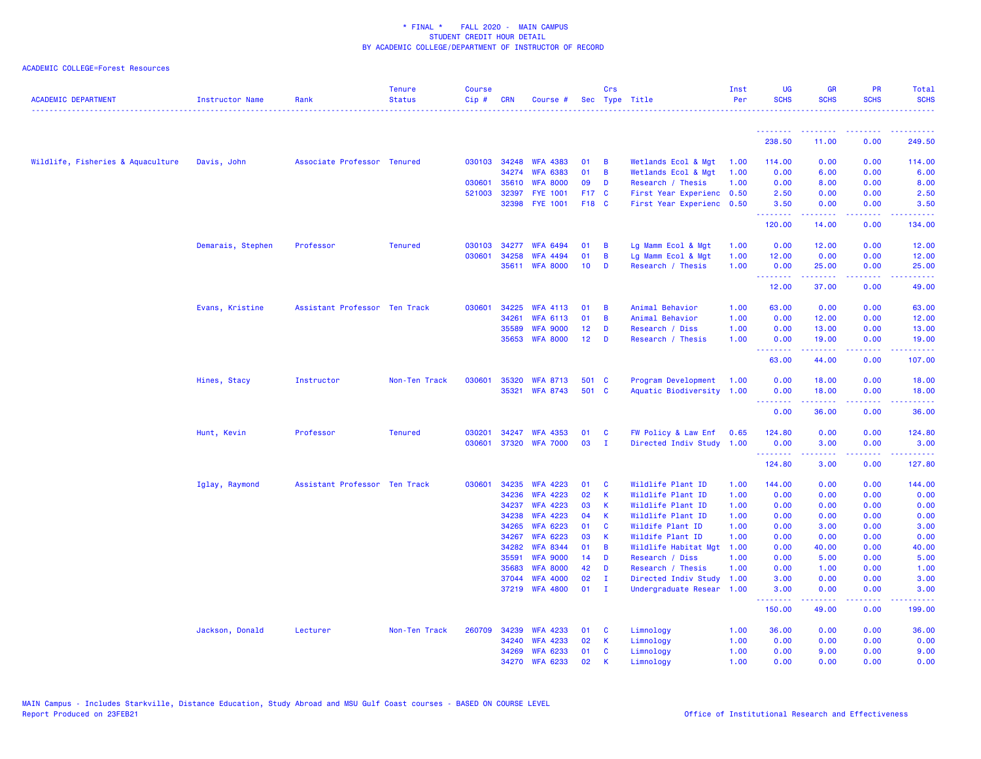| <b>ACADEMIC DEPARTMENT</b>        | Instructor Name   | Rank                          | <b>Tenure</b><br><b>Status</b> | Course<br>Cip# | <b>CRN</b> | Course #                          |                 | Crs                         | Sec Type Title                               | Inst<br>Per  | UG<br><b>SCHS</b>                                    | <b>GR</b><br><b>SCHS</b> | <b>PR</b><br><b>SCHS</b>            | Total<br><b>SCHS</b>  |
|-----------------------------------|-------------------|-------------------------------|--------------------------------|----------------|------------|-----------------------------------|-----------------|-----------------------------|----------------------------------------------|--------------|------------------------------------------------------|--------------------------|-------------------------------------|-----------------------|
|                                   |                   |                               |                                |                |            |                                   |                 |                             |                                              |              | <u> - - - - - - - -</u>                              |                          |                                     |                       |
|                                   |                   |                               |                                |                |            |                                   |                 |                             |                                              |              | 238.50                                               | 11.00                    | 0.00                                | 249.50                |
| Wildlife, Fisheries & Aquaculture | Davis, John       | Associate Professor Tenured   |                                |                |            | 030103 34248 WFA 4383             | 01              | B                           | Wetlands Ecol & Mgt                          | 1.00         | 114.00                                               | 0.00                     | 0.00                                | 114.00                |
|                                   |                   |                               |                                |                | 34274      | <b>WFA 6383</b>                   | 01              | B                           | Wetlands Ecol & Mgt                          | 1.00         | 0.00                                                 | 6.00                     | 0.00                                | 6.00                  |
|                                   |                   |                               |                                | 030601         | 35610      | <b>WFA 8000</b>                   | 09              | D                           | Research / Thesis                            | 1.00         | 0.00                                                 | 8.00                     | 0.00                                | 8.00                  |
|                                   |                   |                               |                                | 521003         | 32397      | <b>FYE 1001</b>                   | F17 C           |                             | First Year Experienc 0.50                    |              | 2.50                                                 | 0.00                     | 0.00                                | 2.50                  |
|                                   |                   |                               |                                |                | 32398      | <b>FYE 1001</b>                   | F18 C           |                             | First Year Experienc 0.50                    |              | 3.50<br><b><i><u><u> - - - - - - -</u></u></i></b>   | 0.00<br>المستملة         | 0.00<br>.                           | 3.50<br>المتمام ماما  |
|                                   |                   |                               |                                |                |            |                                   |                 |                             |                                              |              | 120.00                                               | 14.00                    | 0.00                                | 134.00                |
|                                   | Demarais, Stephen | Professor                     | <b>Tenured</b>                 | 030103         | 34277      | <b>WFA 6494</b>                   | 01              | B                           | Lg Mamm Ecol & Mgt                           | 1.00         | 0.00                                                 | 12.00                    | 0.00                                | 12.00                 |
|                                   |                   |                               |                                | 030601         | 34258      | <b>WFA 4494</b>                   | 01              | B                           | Lg Mamm Ecol & Mgt                           | 1.00         | 12.00                                                | 0.00                     | 0.00                                | 12.00                 |
|                                   |                   |                               |                                |                | 35611      | <b>WFA 8000</b>                   | 10              | D                           | Research / Thesis                            | 1.00         | 0.00<br>.                                            | 25.00<br>المتمامين       | 0.00<br>بالمحام                     | 25.00<br>وعاعاها      |
|                                   |                   |                               |                                |                |            |                                   |                 |                             |                                              |              | 12.00                                                | 37.00                    | 0.00                                | 49.00                 |
|                                   | Evans, Kristine   | Assistant Professor Ten Track |                                | 030601         | 34225      | <b>WFA 4113</b>                   | 01              | B                           | Animal Behavior                              | 1.00         | 63.00                                                | 0.00                     | 0.00                                | 63.00                 |
|                                   |                   |                               |                                |                | 34261      | <b>WFA 6113</b>                   | 01              | B                           | Animal Behavior                              | 1.00         | 0.00                                                 | 12.00                    | 0.00                                | 12.00                 |
|                                   |                   |                               |                                |                | 35589      | <b>WFA 9000</b>                   | 12              | D                           | Research / Diss                              | 1.00         | 0.00                                                 | 13.00                    | 0.00                                | 13.00                 |
|                                   |                   |                               |                                |                |            | 35653 WFA 8000                    | 12 <sub>2</sub> | D                           | Research / Thesis                            | 1.00         | 0.00                                                 | 19.00                    | 0.00                                | 19.00                 |
|                                   |                   |                               |                                |                |            |                                   |                 |                             |                                              |              | <u>.</u><br>63.00                                    | .<br>44.00               | .<br>0.00                           | .<br>107.00           |
|                                   | Hines, Stacy      | Instructor                    | Non-Ten Track                  | 030601         | 35320      | <b>WFA 8713</b>                   | 501 C           |                             | Program Development                          | 1.00         | 0.00                                                 | 18.00                    | 0.00                                | 18.00                 |
|                                   |                   |                               |                                |                | 35321      | <b>WFA 8743</b>                   | 501 C           |                             | Aquatic Biodiversity 1.00                    |              | 0.00                                                 | 18.00                    | 0.00                                | 18.00                 |
|                                   |                   |                               |                                |                |            |                                   |                 |                             |                                              |              | <b><i><u><u> - - - - - - -</u></u></i></b><br>0.00   | .<br>36.00               | .<br>0.00                           | .<br>36.00            |
|                                   | Hunt, Kevin       | Professor                     | <b>Tenured</b>                 | 030201         | 34247      | <b>WFA 4353</b>                   | 01              | <b>C</b>                    | FW Policy & Law Enf                          | 0.65         | 124.80                                               | 0.00                     | 0.00                                | 124.80                |
|                                   |                   |                               |                                | 030601         |            | 37320 WFA 7000                    | 03              | - I                         | Directed Indiv Study 1.00                    |              | 0.00                                                 | 3.00                     | 0.00                                | 3.00                  |
|                                   |                   |                               |                                |                |            |                                   |                 |                             |                                              |              | <b><i><u><u> - - - - - - -</u></u></i></b><br>124.80 | .<br>3.00                | $\sim$ $\sim$ $\sim$ $\sim$<br>0.00 | $- - - - -$<br>127.80 |
|                                   | Iglay, Raymond    | Assistant Professor Ten Track |                                | 030601         | 34235      | <b>WFA 4223</b>                   | 01              | C                           | Wildlife Plant ID                            | 1.00         | 144.00                                               | 0.00                     | 0.00                                | 144.00                |
|                                   |                   |                               |                                |                | 34236      | <b>WFA 4223</b>                   | 02              | К                           | Wildlife Plant ID                            | 1.00         | 0.00                                                 | 0.00                     | 0.00                                | 0.00                  |
|                                   |                   |                               |                                |                | 34237      | <b>WFA 4223</b>                   | 03              | К                           | Wildlife Plant ID                            | 1.00         | 0.00                                                 | 0.00                     | 0.00                                | 0.00                  |
|                                   |                   |                               |                                |                | 34238      | <b>WFA 4223</b>                   | 04              | K                           | Wildlife Plant ID                            | 1.00         | 0.00                                                 | 0.00                     | 0.00                                | 0.00                  |
|                                   |                   |                               |                                |                | 34265      | <b>WFA 6223</b>                   | 01              | C                           | Wildife Plant ID                             | 1.00         | 0.00                                                 | 3.00                     | 0.00                                | 3.00                  |
|                                   |                   |                               |                                |                | 34267      | <b>WFA 6223</b>                   | 03              | К                           | Wildife Plant ID                             | 1.00         | 0.00                                                 | 0.00                     | 0.00                                | 0.00                  |
|                                   |                   |                               |                                |                | 34282      | <b>WFA 8344</b>                   | 01              | B                           | Wildlife Habitat Mgt                         | 1.00         | 0.00                                                 | 40.00                    | 0.00                                | 40.00                 |
|                                   |                   |                               |                                |                | 35591      | <b>WFA 9000</b>                   | 14              | D                           | Research / Diss                              | 1.00         | 0.00                                                 | 5.00                     | 0.00                                | 5.00                  |
|                                   |                   |                               |                                |                | 35683      | <b>WFA 8000</b>                   | 42              | D                           | Research / Thesis                            | 1.00         | 0.00                                                 | 1.00                     | 0.00                                | 1.00                  |
|                                   |                   |                               |                                |                | 37044      | <b>WFA 4000</b><br>37219 WFA 4800 | 02<br>01        | $\mathbf I$<br>$\mathbf{I}$ | Directed Indiv Study<br>Undergraduate Resear | 1.00<br>1.00 | 3.00<br>3.00                                         | 0.00<br>0.00             | 0.00<br>0.00                        | 3.00<br>3.00          |
|                                   |                   |                               |                                |                |            |                                   |                 |                             |                                              |              | .                                                    |                          | والمحامر                            |                       |
|                                   |                   |                               |                                |                |            |                                   |                 |                             |                                              |              | 150.00                                               | 49.00                    | 0.00                                | 199.00                |
|                                   | Jackson, Donald   | Lecturer                      | Non-Ten Track                  | 260709         | 34239      | <b>WFA 4233</b>                   | 01              | C                           | Limnology                                    | 1.00         | 36.00                                                | 0.00                     | 0.00                                | 36.00                 |
|                                   |                   |                               |                                |                | 34240      | <b>WFA 4233</b>                   | 02              | К                           | Limnology                                    | 1.00         | 0.00                                                 | 0.00                     | 0.00                                | 0.00                  |
|                                   |                   |                               |                                |                | 34269      | <b>WFA 6233</b>                   | 01              | C                           | Limnology                                    | 1.00         | 0.00                                                 | 9.00                     | 0.00                                | 9.00                  |
|                                   |                   |                               |                                |                | 34270      | <b>WFA 6233</b>                   | 02              | К                           | Limnology                                    | 1.00         | 0.00                                                 | 0.00                     | 0.00                                | 0.00                  |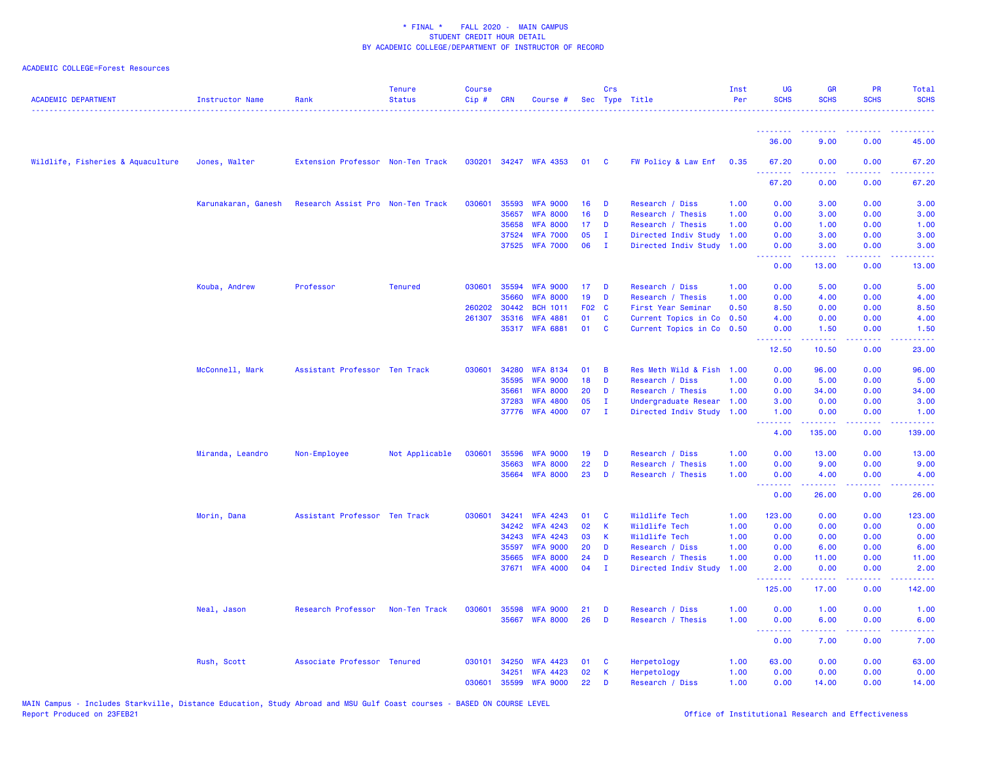| <b>ACADEMIC DEPARTMENT</b>        | <b>Instructor Name</b> | Rank                              | <b>Tenure</b><br><b>Status</b> | <b>Course</b><br>$Cip \#$ | <b>CRN</b>   | Course #              |            | Crs          | Sec Type Title       | Inst<br>Per | <b>UG</b><br><b>SCHS</b>                                 | <b>GR</b><br><b>SCHS</b>                                                                                                                                     | <b>PR</b><br><b>SCHS</b> | Total<br><b>SCHS</b><br>.                                                                                                         |
|-----------------------------------|------------------------|-----------------------------------|--------------------------------|---------------------------|--------------|-----------------------|------------|--------------|----------------------|-------------|----------------------------------------------------------|--------------------------------------------------------------------------------------------------------------------------------------------------------------|--------------------------|-----------------------------------------------------------------------------------------------------------------------------------|
|                                   |                        |                                   |                                |                           |              |                       |            |              |                      |             | <u>.</u>                                                 |                                                                                                                                                              |                          |                                                                                                                                   |
|                                   |                        |                                   |                                |                           |              |                       |            |              |                      |             | 36.00                                                    | 9.00                                                                                                                                                         | 0.00                     | 45.00                                                                                                                             |
| Wildlife, Fisheries & Aquaculture | Jones, Walter          | Extension Professor Non-Ten Track |                                |                           |              | 030201 34247 WFA 4353 | 01         | <b>C</b>     | FW Policy & Law Enf  | 0.35        | 67.20<br>.                                               | 0.00                                                                                                                                                         | 0.00                     | 67.20<br>والمالمات                                                                                                                |
|                                   |                        |                                   |                                |                           |              |                       |            |              |                      |             | 67.20                                                    | 0.00                                                                                                                                                         | 0.00                     | 67.20                                                                                                                             |
|                                   | Karunakaran, Ganesh    | Research Assist Pro Non-Ten Track |                                | 030601                    | 35593        | <b>WFA 9000</b>       | 16         | D            | Research / Diss      | 1.00        | 0.00                                                     | 3.00                                                                                                                                                         | 0.00                     | 3.00                                                                                                                              |
|                                   |                        |                                   |                                |                           | 35657        | <b>WFA 8000</b>       | 16         | D            | Research / Thesis    | 1.00        | 0.00                                                     | 3.00                                                                                                                                                         | 0.00                     | 3.00                                                                                                                              |
|                                   |                        |                                   |                                |                           | 35658        | <b>WFA 8000</b>       | 17         | D            | Research / Thesis    | 1.00        | 0.00                                                     | 1.00                                                                                                                                                         | 0.00                     | 1.00                                                                                                                              |
|                                   |                        |                                   |                                |                           | 37524        | <b>WFA 7000</b>       | 05         | $\mathbf{I}$ | Directed Indiv Study | 1.00        | 0.00                                                     | 3.00                                                                                                                                                         | 0.00                     | 3.00                                                                                                                              |
|                                   |                        |                                   |                                |                           |              | 37525 WFA 7000        | 06         | $\mathbf{I}$ | Directed Indiv Study | 1.00        | 0.00<br><b><i><u><u><b>Little Little</b></u></u></i></b> | 3.00<br>22222                                                                                                                                                | 0.00<br>د د د د          | 3.00<br>2222.                                                                                                                     |
|                                   |                        |                                   |                                |                           |              |                       |            |              |                      |             | 0.00                                                     | 13.00                                                                                                                                                        | 0.00                     | 13.00                                                                                                                             |
|                                   | Kouba, Andrew          | Professor                         | <b>Tenured</b>                 |                           | 030601 35594 | <b>WFA 9000</b>       | 17         | D            | Research / Diss      | 1.00        | 0.00                                                     | 5.00                                                                                                                                                         | 0.00                     | 5.00                                                                                                                              |
|                                   |                        |                                   |                                |                           | 35660        | <b>WFA 8000</b>       | 19         | D            | Research / Thesis    | 1.00        | 0.00                                                     | 4.00                                                                                                                                                         | 0.00                     | 4.00                                                                                                                              |
|                                   |                        |                                   |                                | 260202                    | 30442        | <b>BCH 1011</b>       | <b>F02</b> | <b>C</b>     | First Year Seminar   | 0.50        | 8.50                                                     | 0.00                                                                                                                                                         | 0.00                     | 8.50                                                                                                                              |
|                                   |                        |                                   |                                | 261307                    | 35316        | <b>WFA 4881</b>       | 01         | C            | Current Topics in Co | 0.50        | 4.00                                                     | 0.00                                                                                                                                                         | 0.00                     | 4.00                                                                                                                              |
|                                   |                        |                                   |                                |                           |              | 35317 WFA 6881        | 01         | C            | Current Topics in Co | 0.50        | 0.00<br>.                                                | 1.50<br>$\frac{1}{2} \left( \frac{1}{2} \right) \left( \frac{1}{2} \right) \left( \frac{1}{2} \right) \left( \frac{1}{2} \right)$                            | 0.00<br>.                | 1.50<br>$\frac{1}{2} \left( \frac{1}{2} \right) \left( \frac{1}{2} \right) \left( \frac{1}{2} \right) \left( \frac{1}{2} \right)$ |
|                                   |                        |                                   |                                |                           |              |                       |            |              |                      |             | 12.50                                                    | 10.50                                                                                                                                                        | 0.00                     | 23.00                                                                                                                             |
|                                   | McConnell, Mark        | Assistant Professor Ten Track     |                                | 030601                    | 34280        | <b>WFA 8134</b>       | 01         | B            | Res Meth Wild & Fish | 1.00        | 0.00                                                     | 96.00                                                                                                                                                        | 0.00                     | 96.00                                                                                                                             |
|                                   |                        |                                   |                                |                           | 35595        | <b>WFA 9000</b>       | 18         | D            | Research / Diss      | 1.00        | 0.00                                                     | 5.00                                                                                                                                                         | 0.00                     | 5.00                                                                                                                              |
|                                   |                        |                                   |                                |                           | 35661        | <b>WFA 8000</b>       | 20         | D            | Research / Thesis    | 1.00        | 0.00                                                     | 34.00                                                                                                                                                        | 0.00                     | 34.00                                                                                                                             |
|                                   |                        |                                   |                                |                           | 37283        | <b>WFA 4800</b>       | 05         | $\mathbf I$  | Undergraduate Resear | 1.00        | 3.00                                                     | 0.00                                                                                                                                                         | 0.00                     | 3.00                                                                                                                              |
|                                   |                        |                                   |                                |                           |              | 37776 WFA 4000        | 07         | Ι.           | Directed Indiv Study | 1.00        | 1.00<br><u> - - - - - - - -</u>                          | 0.00<br><u>.</u>                                                                                                                                             | 0.00<br>22222            | 1.00<br>.                                                                                                                         |
|                                   |                        |                                   |                                |                           |              |                       |            |              |                      |             | 4.00                                                     | 135.00                                                                                                                                                       | 0.00                     | 139.00                                                                                                                            |
|                                   | Miranda, Leandro       | Non-Employee                      | Not Applicable                 | 030601                    | 35596        | <b>WFA 9000</b>       | 19         | D            | Research / Diss      | 1.00        | 0.00                                                     | 13.00                                                                                                                                                        | 0.00                     | 13.00                                                                                                                             |
|                                   |                        |                                   |                                |                           | 35663        | <b>WFA 8000</b>       | 22         | D            | Research / Thesis    | 1.00        | 0.00                                                     | 9.00                                                                                                                                                         | 0.00                     | 9.00                                                                                                                              |
|                                   |                        |                                   |                                |                           | 35664        | <b>WFA 8000</b>       | 23         | D            | Research / Thesis    | 1.00        | 0.00<br><u>.</u>                                         | 4.00<br>$\frac{1}{2} \left( \frac{1}{2} \right) \left( \frac{1}{2} \right) \left( \frac{1}{2} \right) \left( \frac{1}{2} \right) \left( \frac{1}{2} \right)$ | 0.00<br>د د د د          | 4.00<br>2222.                                                                                                                     |
|                                   |                        |                                   |                                |                           |              |                       |            |              |                      |             | 0.00                                                     | 26.00                                                                                                                                                        | 0.00                     | 26.00                                                                                                                             |
|                                   | Morin, Dana            | Assistant Professor Ten Track     |                                | 030601                    | 34241        | <b>WFA 4243</b>       | 01         | C            | Wildlife Tech        | 1.00        | 123.00                                                   | 0.00                                                                                                                                                         | 0.00                     | 123.00                                                                                                                            |
|                                   |                        |                                   |                                |                           | 34242        | <b>WFA 4243</b>       | 02         | $\mathsf{K}$ | Wildlife Tech        | 1.00        | 0.00                                                     | 0.00                                                                                                                                                         | 0.00                     | 0.00                                                                                                                              |
|                                   |                        |                                   |                                |                           | 34243        | <b>WFA 4243</b>       | 03         | K            | Wildlife Tech        | 1.00        | 0.00                                                     | 0.00                                                                                                                                                         | 0.00                     | 0.00                                                                                                                              |
|                                   |                        |                                   |                                |                           | 35597        | <b>WFA 9000</b>       | 20         | D            | Research / Diss      | 1.00        | 0.00                                                     | 6.00                                                                                                                                                         | 0.00                     | 6.00                                                                                                                              |
|                                   |                        |                                   |                                |                           | 35665        | <b>WFA 8000</b>       | 24         | D            | Research / Thesis    | 1.00        | 0.00                                                     | 11.00                                                                                                                                                        | 0.00                     | 11.00                                                                                                                             |
|                                   |                        |                                   |                                |                           | 37671        | <b>WFA 4000</b>       | 04         | $\mathbf{I}$ | Directed Indiv Study | 1.00        | 2.00<br>.                                                | 0.00                                                                                                                                                         | 0.00                     | 2.00                                                                                                                              |
|                                   |                        |                                   |                                |                           |              |                       |            |              |                      |             | 125.00                                                   | 17.00                                                                                                                                                        | 0.00                     | 142.00                                                                                                                            |
|                                   | Neal, Jason            | Research Professor                | Non-Ten Track                  | 030601                    | 35598        | <b>WFA 9000</b>       | 21         | D            | Research / Diss      | 1.00        | 0.00                                                     | 1.00                                                                                                                                                         | 0.00                     | 1.00                                                                                                                              |
|                                   |                        |                                   |                                |                           |              | 35667 WFA 8000        | 26         | D            | Research / Thesis    | 1.00        | 0.00                                                     | 6.00                                                                                                                                                         | 0.00                     | 6.00                                                                                                                              |
|                                   |                        |                                   |                                |                           |              |                       |            |              |                      |             | <u> 22222222</u><br>0.00                                 | .<br>7.00                                                                                                                                                    | د د د د<br>0.00          | .<br>7.00                                                                                                                         |
|                                   | Rush, Scott            | Associate Professor Tenured       |                                | 030101                    | 34250        | <b>WFA 4423</b>       | 01         | <b>C</b>     | Herpetology          | 1.00        | 63.00                                                    | 0.00                                                                                                                                                         | 0.00                     | 63.00                                                                                                                             |
|                                   |                        |                                   |                                |                           | 34251        | <b>WFA 4423</b>       | 02         | K            | Herpetology          | 1.00        | 0.00                                                     | 0.00                                                                                                                                                         | 0.00                     | 0.00                                                                                                                              |
|                                   |                        |                                   |                                | 030601                    | 35599        | <b>WFA 9000</b>       | 22         | D            | Research / Diss      | 1.00        | 0.00                                                     | 14.00                                                                                                                                                        | 0.00                     | 14.00                                                                                                                             |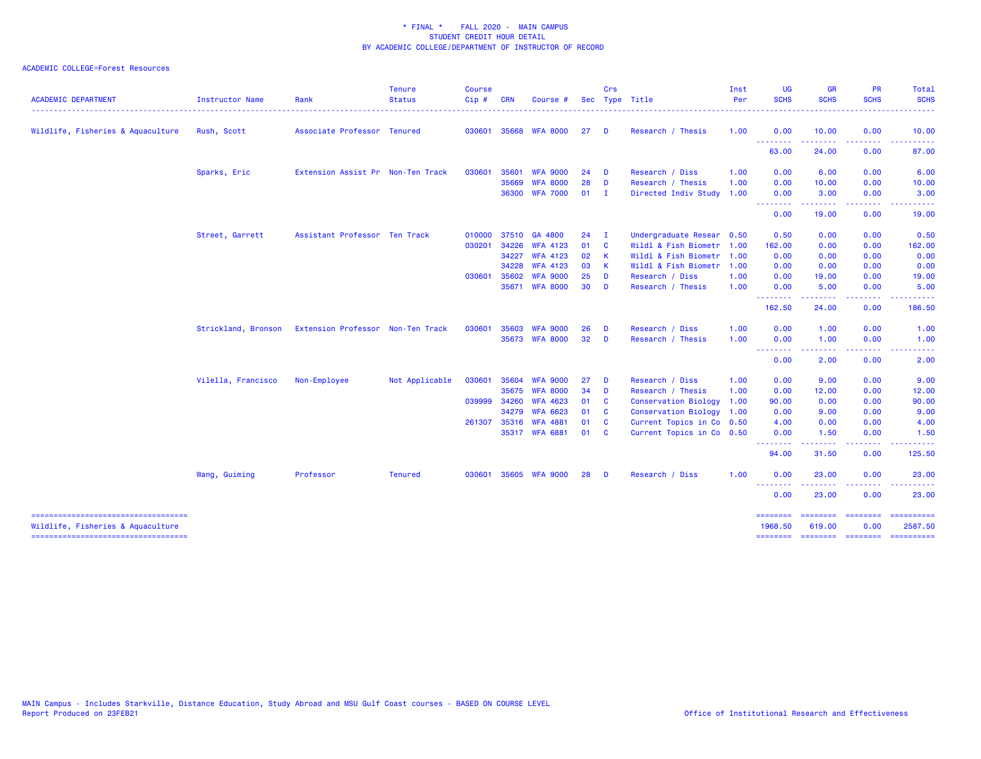| <b>ACADEMIC DEPARTMENT</b>                                               | Instructor Name     | Rank                              | <b>Tenure</b><br><b>Status</b> | <b>Course</b><br>Cip# | <b>CRN</b>     | Course #                           |          | Crs                     | Sec Type Title                                 | Inst<br>Per | <b>UG</b><br><b>SCHS</b> | <b>GR</b><br><b>SCHS</b>                                                                                                                                                                                                                                                                                                                                                                                                                                                                        | <b>PR</b><br><b>SCHS</b>                                                                                                          | Total<br><b>SCHS</b>                                                                                                                                                                                                                                                                                                                                                                                                                                                                              |
|--------------------------------------------------------------------------|---------------------|-----------------------------------|--------------------------------|-----------------------|----------------|------------------------------------|----------|-------------------------|------------------------------------------------|-------------|--------------------------|-------------------------------------------------------------------------------------------------------------------------------------------------------------------------------------------------------------------------------------------------------------------------------------------------------------------------------------------------------------------------------------------------------------------------------------------------------------------------------------------------|-----------------------------------------------------------------------------------------------------------------------------------|---------------------------------------------------------------------------------------------------------------------------------------------------------------------------------------------------------------------------------------------------------------------------------------------------------------------------------------------------------------------------------------------------------------------------------------------------------------------------------------------------|
| Wildlife, Fisheries & Aquaculture                                        | Rush, Scott         | Associate Professor Tenured       |                                | 030601                | 35668          | <b>WFA 8000</b>                    | 27       | D                       | Research / Thesis                              | 1.00        | 0.00                     | 10.00                                                                                                                                                                                                                                                                                                                                                                                                                                                                                           | 0.00                                                                                                                              | 10.00                                                                                                                                                                                                                                                                                                                                                                                                                                                                                             |
|                                                                          |                     |                                   |                                |                       |                |                                    |          |                         |                                                |             | .<br>63.00               | 24.00                                                                                                                                                                                                                                                                                                                                                                                                                                                                                           | 0.00                                                                                                                              | 87.00                                                                                                                                                                                                                                                                                                                                                                                                                                                                                             |
|                                                                          | Sparks, Eric        | Extension Assist Pr Non-Ten Track |                                | 030601                | 35601          | <b>WFA 9000</b>                    | 24       | D                       | Research / Diss                                | 1.00        | 0.00                     | 6.00                                                                                                                                                                                                                                                                                                                                                                                                                                                                                            | 0.00                                                                                                                              | 6.00                                                                                                                                                                                                                                                                                                                                                                                                                                                                                              |
|                                                                          |                     |                                   |                                |                       | 35669<br>36300 | <b>WFA 8000</b><br><b>WFA 7000</b> | 28<br>01 | D<br>$\mathbf I$        | Research / Thesis<br>Directed Indiv Study 1.00 | 1.00        | 0.00<br>0.00             | 10.00<br>3.00                                                                                                                                                                                                                                                                                                                                                                                                                                                                                   | 0.00<br>0.00                                                                                                                      | 10.00<br>3.00                                                                                                                                                                                                                                                                                                                                                                                                                                                                                     |
|                                                                          |                     |                                   |                                |                       |                |                                    |          |                         |                                                |             | --------<br>0.00         | $\begin{array}{cccccccccccccc} \multicolumn{2}{c}{} & \multicolumn{2}{c}{} & \multicolumn{2}{c}{} & \multicolumn{2}{c}{} & \multicolumn{2}{c}{} & \multicolumn{2}{c}{} & \multicolumn{2}{c}{} & \multicolumn{2}{c}{} & \multicolumn{2}{c}{} & \multicolumn{2}{c}{} & \multicolumn{2}{c}{} & \multicolumn{2}{c}{} & \multicolumn{2}{c}{} & \multicolumn{2}{c}{} & \multicolumn{2}{c}{} & \multicolumn{2}{c}{} & \multicolumn{2}{c}{} & \multicolumn{2}{c}{} & \multicolumn{2}{c}{} & \$<br>19.00 | .<br>0.00                                                                                                                         | .<br>19.00                                                                                                                                                                                                                                                                                                                                                                                                                                                                                        |
|                                                                          | Street, Garrett     | Assistant Professor Ten Track     |                                | 010000                | 37510          | GA 4800                            | 24       | - I                     | Undergraduate Resear                           | 0.50        | 0.50                     | 0.00                                                                                                                                                                                                                                                                                                                                                                                                                                                                                            | 0.00                                                                                                                              | 0.50                                                                                                                                                                                                                                                                                                                                                                                                                                                                                              |
|                                                                          |                     |                                   |                                | 030201                | 34226          | <b>WFA 4123</b>                    | 01       | $\overline{\mathbf{c}}$ | Wildl & Fish Biometr                           | 1.00        | 162.00                   | 0.00                                                                                                                                                                                                                                                                                                                                                                                                                                                                                            | 0.00                                                                                                                              | 162.00                                                                                                                                                                                                                                                                                                                                                                                                                                                                                            |
|                                                                          |                     |                                   |                                |                       | 34227          | <b>WFA 4123</b>                    | 02       | <b>K</b>                | Wildl & Fish Biometr 1.00                      |             | 0.00                     | 0.00                                                                                                                                                                                                                                                                                                                                                                                                                                                                                            | 0.00                                                                                                                              | 0.00                                                                                                                                                                                                                                                                                                                                                                                                                                                                                              |
|                                                                          |                     |                                   |                                |                       | 34228          | <b>WFA 4123</b>                    | 03       | K                       | Wildl & Fish Biometr 1.00                      |             | 0.00                     | 0.00                                                                                                                                                                                                                                                                                                                                                                                                                                                                                            | 0.00                                                                                                                              | 0.00                                                                                                                                                                                                                                                                                                                                                                                                                                                                                              |
|                                                                          |                     |                                   |                                | 030601                | 35602          | <b>WFA 9000</b>                    | 25       | D                       | Research / Diss                                | 1.00        | 0.00                     | 19.00                                                                                                                                                                                                                                                                                                                                                                                                                                                                                           | 0.00                                                                                                                              | 19.00                                                                                                                                                                                                                                                                                                                                                                                                                                                                                             |
|                                                                          |                     |                                   |                                |                       |                | 35671 WFA 8000                     | 30       | D                       | Research / Thesis                              | 1.00        | 0.00<br><u>.</u>         | 5.00<br>-----                                                                                                                                                                                                                                                                                                                                                                                                                                                                                   | 0.00<br>$\frac{1}{2} \left( \frac{1}{2} \right) \left( \frac{1}{2} \right) \left( \frac{1}{2} \right) \left( \frac{1}{2} \right)$ | 5.00                                                                                                                                                                                                                                                                                                                                                                                                                                                                                              |
|                                                                          |                     |                                   |                                |                       |                |                                    |          |                         |                                                |             | 162.50                   | 24.00                                                                                                                                                                                                                                                                                                                                                                                                                                                                                           | 0.00                                                                                                                              | 186.50                                                                                                                                                                                                                                                                                                                                                                                                                                                                                            |
|                                                                          | Strickland, Bronson | Extension Professor Non-Ten Track |                                | 030601                | 35603          | <b>WFA 9000</b>                    | 26       | D                       | Research / Diss                                | 1.00        | 0.00                     | 1.00                                                                                                                                                                                                                                                                                                                                                                                                                                                                                            | 0.00                                                                                                                              | 1.00                                                                                                                                                                                                                                                                                                                                                                                                                                                                                              |
|                                                                          |                     |                                   |                                |                       |                | 35673 WFA 8000                     | 32       | D                       | Research / Thesis                              | 1.00        | 0.00<br>.                | 1.00                                                                                                                                                                                                                                                                                                                                                                                                                                                                                            | 0.00                                                                                                                              | 1.00                                                                                                                                                                                                                                                                                                                                                                                                                                                                                              |
|                                                                          |                     |                                   |                                |                       |                |                                    |          |                         |                                                |             | 0.00                     | 2.00                                                                                                                                                                                                                                                                                                                                                                                                                                                                                            | 0.00                                                                                                                              | 2.00                                                                                                                                                                                                                                                                                                                                                                                                                                                                                              |
|                                                                          | Vilella, Francisco  | Non-Employee                      | Not Applicable                 | 030601                | 35604          | <b>WFA 9000</b>                    | 27       | D                       | Research / Diss                                | 1.00        | 0.00                     | 9.00                                                                                                                                                                                                                                                                                                                                                                                                                                                                                            | 0.00                                                                                                                              | 9.00                                                                                                                                                                                                                                                                                                                                                                                                                                                                                              |
|                                                                          |                     |                                   |                                |                       | 35675          | <b>WFA 8000</b>                    | 34       | D                       | Research / Thesis                              | 1.00        | 0.00                     | 12.00                                                                                                                                                                                                                                                                                                                                                                                                                                                                                           | 0.00                                                                                                                              | 12.00                                                                                                                                                                                                                                                                                                                                                                                                                                                                                             |
|                                                                          |                     |                                   |                                | 039999                | 34260          | <b>WFA 4623</b>                    | 01       | C                       | <b>Conservation Biology</b>                    | 1.00        | 90.00                    | 0.00                                                                                                                                                                                                                                                                                                                                                                                                                                                                                            | 0.00                                                                                                                              | 90.00                                                                                                                                                                                                                                                                                                                                                                                                                                                                                             |
|                                                                          |                     |                                   |                                |                       | 34279          | <b>WFA 6623</b>                    | 01 C     |                         | Conservation Biology 1.00                      |             | 0.00                     | 9.00                                                                                                                                                                                                                                                                                                                                                                                                                                                                                            | 0.00                                                                                                                              | 9.00                                                                                                                                                                                                                                                                                                                                                                                                                                                                                              |
|                                                                          |                     |                                   |                                |                       | 261307 35316   | <b>WFA 4881</b>                    | 01       | <b>C</b>                | Current Topics in Co 0.50                      |             | 4.00                     | 0.00                                                                                                                                                                                                                                                                                                                                                                                                                                                                                            | 0.00                                                                                                                              | 4.00                                                                                                                                                                                                                                                                                                                                                                                                                                                                                              |
|                                                                          |                     |                                   |                                |                       |                | 35317 WFA 6881                     | 01       | <b>C</b>                | Current Topics in Co 0.50                      |             | 0.00<br>--------         | 1.50<br>$\frac{1}{2} \left( \frac{1}{2} \right) \left( \frac{1}{2} \right) \left( \frac{1}{2} \right) \left( \frac{1}{2} \right) \left( \frac{1}{2} \right)$                                                                                                                                                                                                                                                                                                                                    | 0.00<br>.                                                                                                                         | 1.50                                                                                                                                                                                                                                                                                                                                                                                                                                                                                              |
|                                                                          |                     |                                   |                                |                       |                |                                    |          |                         |                                                |             | 94.00                    | 31.50                                                                                                                                                                                                                                                                                                                                                                                                                                                                                           | 0.00                                                                                                                              | 125.50                                                                                                                                                                                                                                                                                                                                                                                                                                                                                            |
|                                                                          | Wang, Guiming       | Professor                         | <b>Tenured</b>                 | 030601                | 35605          | <b>WFA 9000</b>                    | 28       | D                       | Research / Diss                                | 1.00        | 0.00<br>.                | 23.00                                                                                                                                                                                                                                                                                                                                                                                                                                                                                           | 0.00                                                                                                                              | 23.00                                                                                                                                                                                                                                                                                                                                                                                                                                                                                             |
|                                                                          |                     |                                   |                                |                       |                |                                    |          |                         |                                                |             | 0.00                     | 23.00                                                                                                                                                                                                                                                                                                                                                                                                                                                                                           | 0.00                                                                                                                              | 23.00                                                                                                                                                                                                                                                                                                                                                                                                                                                                                             |
| -----------------------------------<br>Wildlife, Fisheries & Aquaculture |                     |                                   |                                |                       |                |                                    |          |                         |                                                |             | ========<br>1968.50      | ========<br>619.00                                                                                                                                                                                                                                                                                                                                                                                                                                                                              | ========<br>0.00                                                                                                                  | $\begin{array}{cccccccccc} \multicolumn{2}{c}{} & \multicolumn{2}{c}{} & \multicolumn{2}{c}{} & \multicolumn{2}{c}{} & \multicolumn{2}{c}{} & \multicolumn{2}{c}{} & \multicolumn{2}{c}{} & \multicolumn{2}{c}{} & \multicolumn{2}{c}{} & \multicolumn{2}{c}{} & \multicolumn{2}{c}{} & \multicolumn{2}{c}{} & \multicolumn{2}{c}{} & \multicolumn{2}{c}{} & \multicolumn{2}{c}{} & \multicolumn{2}{c}{} & \multicolumn{2}{c}{} & \multicolumn{2}{c}{} & \multicolumn{2}{c}{} & \mult$<br>2587.50 |
| =====================================                                    |                     |                                   |                                |                       |                |                                    |          |                         |                                                |             | ========                 | <b>ESSESSED SECTIONS</b>                                                                                                                                                                                                                                                                                                                                                                                                                                                                        |                                                                                                                                   | $\begin{array}{c} \texttt{m} = \texttt{m} = \texttt{m} = \texttt{m} = \texttt{m} \end{array}$                                                                                                                                                                                                                                                                                                                                                                                                     |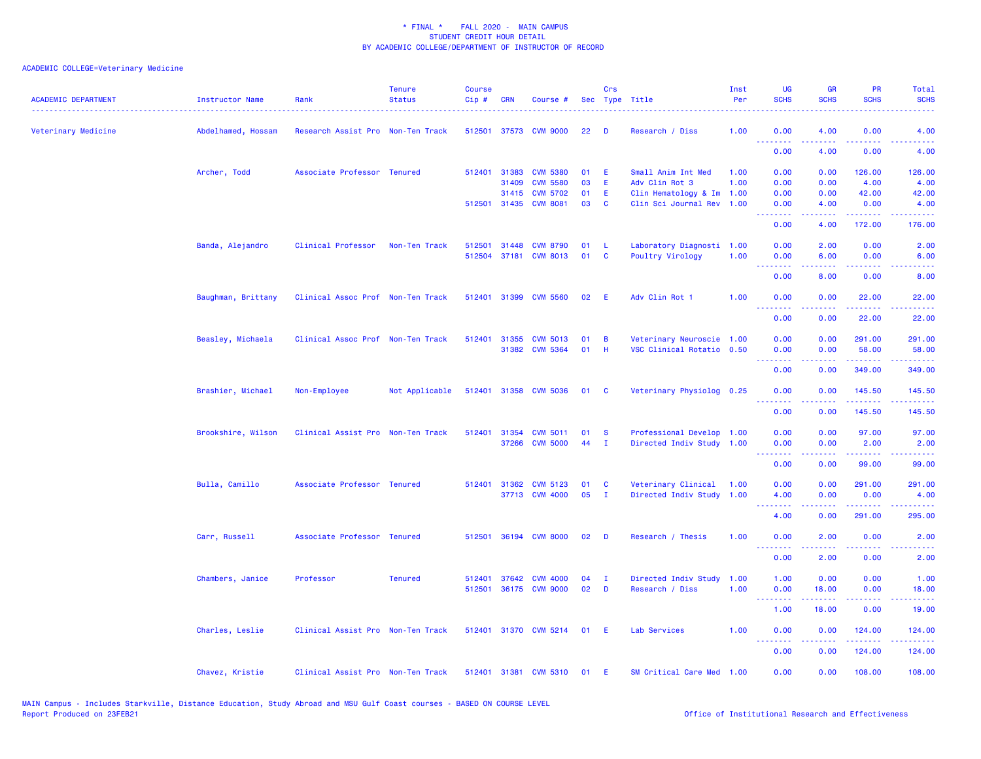| <b>ACADEMIC DEPARTMENT</b> | <b>Instructor Name</b> | Rank                              | <b>Tenure</b><br><b>Status</b> | <b>Course</b><br>Cip# | <b>CRN</b>   | Course #              |    | Crs          | Sec Type Title            | Inst<br>Per | UG<br><b>SCHS</b>                   | <b>GR</b><br><b>SCHS</b>                                                                                                          | PR<br><b>SCHS</b>  | Total<br><b>SCHS</b> |
|----------------------------|------------------------|-----------------------------------|--------------------------------|-----------------------|--------------|-----------------------|----|--------------|---------------------------|-------------|-------------------------------------|-----------------------------------------------------------------------------------------------------------------------------------|--------------------|----------------------|
| Veterinary Medicine        | Abdelhamed, Hossam     | Research Assist Pro Non-Ten Track |                                |                       |              | 512501 37573 CVM 9000 | 22 | D            | Research / Diss           | 1.00        | 0.00                                | 4.00                                                                                                                              | 0.00               | 4.00                 |
|                            |                        |                                   |                                |                       |              |                       |    |              |                           |             | .<br>0.00                           | 4.00                                                                                                                              | 0.00               | 4.00                 |
|                            | Archer, Todd           | Associate Professor Tenured       |                                |                       | 512401 31383 | <b>CVM 5380</b>       | 01 | E            | Small Anim Int Med        | 1.00        | 0.00                                | 0.00                                                                                                                              | 126.00             | 126.00               |
|                            |                        |                                   |                                |                       | 31409        | <b>CVM 5580</b>       | 03 | E            | Adv Clin Rot 3            | 1.00        | 0.00                                | 0.00                                                                                                                              | 4.00               | 4.00                 |
|                            |                        |                                   |                                |                       | 31415        | <b>CVM 5702</b>       | 01 | Ε            | Clin Hematology & Im      | 1.00        | 0.00                                | 0.00                                                                                                                              | 42.00              | 42.00                |
|                            |                        |                                   |                                |                       |              | 512501 31435 CVM 8081 | 03 | <b>C</b>     | Clin Sci Journal Rev 1.00 |             | 0.00<br>$\omega$ is a $\omega$      | 4.00                                                                                                                              | 0.00<br>.          | 4.00                 |
|                            |                        |                                   |                                |                       |              |                       |    |              |                           |             | 0.00                                | 4.00                                                                                                                              | 172.00             | 176.00               |
|                            | Banda, Alejandro       | Clinical Professor                | Non-Ten Track                  | 512501                | 31448        | <b>CVM 8790</b>       | 01 | L            | Laboratory Diagnosti 1.00 |             | 0.00                                | 2.00                                                                                                                              | 0.00               | 2.00                 |
|                            |                        |                                   |                                | 512504                | 37181        | <b>CVM 8013</b>       | 01 | C            | Poultry Virology          | 1.00        | 0.00<br>$\sim$ $\sim$ $\sim$ $\sim$ | 6.00                                                                                                                              | 0.00               | 6.00                 |
|                            |                        |                                   |                                |                       |              |                       |    |              |                           |             | 0.00                                | 8.00                                                                                                                              | 0.00               | 8.00                 |
|                            | Baughman, Brittany     | Clinical Assoc Prof Non-Ten Track |                                |                       | 512401 31399 | <b>CVM 5560</b>       | 02 | E            | Adv Clin Rot 1            | 1.00        | 0.00                                | 0.00                                                                                                                              | 22.00              | 22.00                |
|                            |                        |                                   |                                |                       |              |                       |    |              |                           |             | 0.00                                | 0.00                                                                                                                              | 22.00              | 22.00                |
|                            |                        |                                   |                                |                       |              |                       |    |              |                           |             |                                     |                                                                                                                                   |                    |                      |
|                            | Beasley, Michaela      | Clinical Assoc Prof Non-Ten Track |                                | 512401 31355          |              | <b>CVM 5013</b>       | 01 | B            | Veterinary Neuroscie 1.00 |             | 0.00                                | 0.00                                                                                                                              | 291.00             | 291.00               |
|                            |                        |                                   |                                |                       |              | 31382 CVM 5364        | 01 | H            | VSC Clinical Rotatio 0.50 |             | 0.00<br>بالأباء                     | 0.00                                                                                                                              | 58.00<br>د د د د د | 58.00                |
|                            |                        |                                   |                                |                       |              |                       |    |              |                           |             | 0.00                                | 0.00                                                                                                                              | 349.00             | 349.00               |
|                            | Brashier, Michael      | Non-Employee                      | Not Applicable                 |                       |              | 512401 31358 CVM 5036 | 01 | <b>C</b>     | Veterinary Physiolog 0.25 |             | 0.00                                | 0.00                                                                                                                              | 145.50             | 145.50               |
|                            |                        |                                   |                                |                       |              |                       |    |              |                           |             | 0.00                                | 0.00                                                                                                                              | 145.50             | 145.50               |
|                            | Brookshire, Wilson     | Clinical Assist Pro Non-Ten Track |                                |                       | 512401 31354 | <b>CVM 5011</b>       | 01 | <b>S</b>     | Professional Develop 1.00 |             | 0.00                                | 0.00                                                                                                                              | 97.00              | 97.00                |
|                            |                        |                                   |                                |                       | 37266        | <b>CVM 5000</b>       | 44 | $\mathbf{I}$ | Directed Indiv Study 1.00 |             | 0.00                                | 0.00                                                                                                                              | 2.00               | 2.00                 |
|                            |                        |                                   |                                |                       |              |                       |    |              |                           |             | .                                   |                                                                                                                                   |                    |                      |
|                            |                        |                                   |                                |                       |              |                       |    |              |                           |             | 0.00                                | 0.00                                                                                                                              | 99.00              | 99.00                |
|                            | Bulla, Camillo         | Associate Professor Tenured       |                                |                       | 512401 31362 | <b>CVM 5123</b>       | 01 | C            | Veterinary Clinical       | 1.00        | 0.00                                | 0.00                                                                                                                              | 291.00             | 291.00               |
|                            |                        |                                   |                                |                       |              | 37713 CVM 4000        | 05 | $\mathbf{I}$ | Directed Indiv Study      | 1.00        | 4.00                                | 0.00                                                                                                                              | 0.00               | 4.00                 |
|                            |                        |                                   |                                |                       |              |                       |    |              |                           |             | .<br>4.00                           | 0.00                                                                                                                              | 291.00             | 295.00               |
|                            |                        |                                   |                                |                       |              |                       |    |              |                           |             |                                     |                                                                                                                                   |                    |                      |
|                            | Carr, Russell          | Associate Professor Tenured       |                                | 512501                |              | 36194 CVM 8000        | 02 | D            | Research / Thesis         | 1.00        | 0.00<br>.                           | 2.00                                                                                                                              | 0.00               | 2.00                 |
|                            |                        |                                   |                                |                       |              |                       |    |              |                           |             | 0.00                                | 2.00                                                                                                                              | 0.00               | 2.00                 |
|                            | Chambers, Janice       | Professor                         | <b>Tenured</b>                 | 512401                | 37642        | <b>CVM 4000</b>       | 04 | п            | Directed Indiv Study      | 1.00        | 1.00                                | 0.00                                                                                                                              | 0.00               | 1.00                 |
|                            |                        |                                   |                                | 512501                |              | 36175 CVM 9000        | 02 | D            | Research / Diss           | 1.00        | 0.00                                | 18.00                                                                                                                             | 0.00               | 18.00                |
|                            |                        |                                   |                                |                       |              |                       |    |              |                           |             | .<br>1.00                           | .<br>18.00                                                                                                                        | .<br>0.00          | .<br>19.00           |
|                            |                        |                                   |                                |                       |              |                       |    |              |                           |             |                                     |                                                                                                                                   |                    |                      |
|                            | Charles, Leslie        | Clinical Assist Pro Non-Ten Track |                                |                       |              | 512401 31370 CVM 5214 | 01 | E            | Lab Services              | 1.00        | 0.00<br>.                           | 0.00<br>$\frac{1}{2} \left( \frac{1}{2} \right) \left( \frac{1}{2} \right) \left( \frac{1}{2} \right) \left( \frac{1}{2} \right)$ | 124.00<br>.        | 124.00<br>2.2.2.2.2  |
|                            |                        |                                   |                                |                       |              |                       |    |              |                           |             | 0.00                                | 0.00                                                                                                                              | 124.00             | 124.00               |
|                            | Chavez, Kristie        | Clinical Assist Pro Non-Ten Track |                                |                       |              | 512401 31381 CVM 5310 | 01 | Ε            | SM Critical Care Med      | 1.00        | 0.00                                | 0.00                                                                                                                              | 108.00             | 108.00               |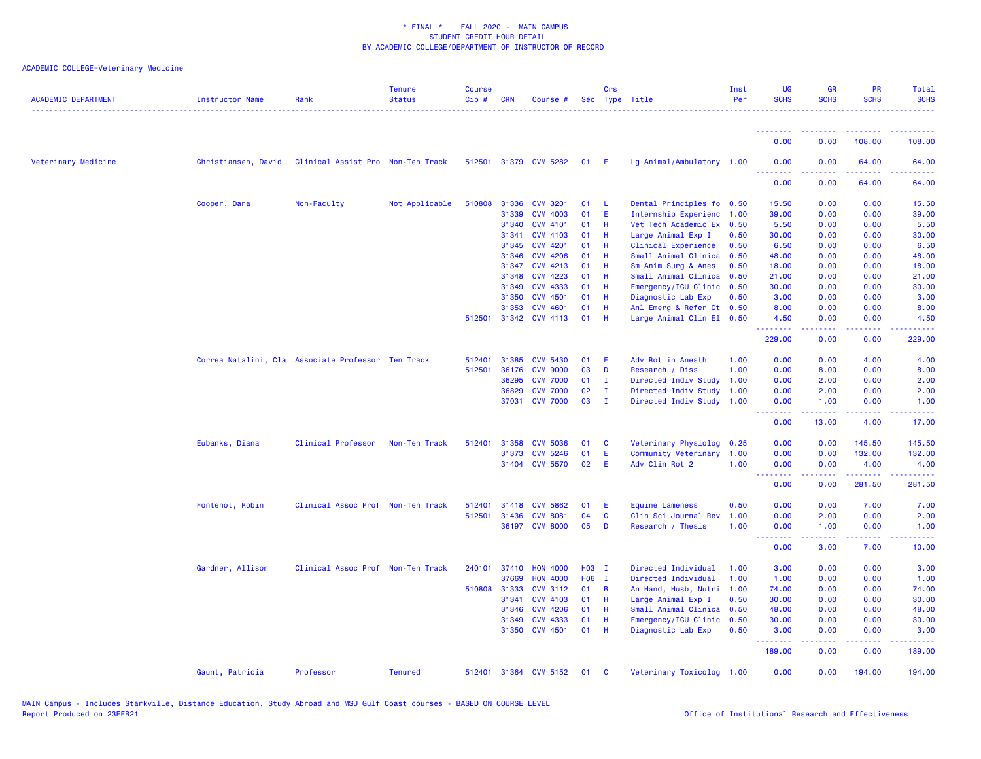| <b>ACADEMIC DEPARTMENT</b> | Instructor Name     | Rank                                               | <b>Tenure</b><br><b>Status</b> | <b>Course</b><br>Cip# | CRN          | Course #              |            | Crs            | Sec Type Title            | Inst<br>Per | <b>UG</b><br><b>SCHS</b>                  | <b>GR</b><br><b>SCHS</b> | PR<br><b>SCHS</b>                   | Total<br><b>SCHS</b>                                                                                                              |
|----------------------------|---------------------|----------------------------------------------------|--------------------------------|-----------------------|--------------|-----------------------|------------|----------------|---------------------------|-------------|-------------------------------------------|--------------------------|-------------------------------------|-----------------------------------------------------------------------------------------------------------------------------------|
|                            |                     |                                                    |                                |                       |              |                       |            |                |                           |             | <u>.</u>                                  |                          |                                     |                                                                                                                                   |
|                            |                     |                                                    |                                |                       |              |                       |            |                |                           |             | 0.00                                      | 0.00                     | 108.00                              | 108.00                                                                                                                            |
| Veterinary Medicine        | Christiansen, David | Clinical Assist Pro Non-Ten Track                  |                                |                       |              | 512501 31379 CVM 5282 | 01 E       |                | Lg Animal/Ambulatory 1.00 |             | 0.00<br><b><i><u>PAPPLESS</u></i></b>     | 0.00<br>.                | 64.00<br>-----                      | 64.00<br>وعاماما                                                                                                                  |
|                            |                     |                                                    |                                |                       |              |                       |            |                |                           |             | 0.00                                      | 0.00                     | 64.00                               | 64.00                                                                                                                             |
|                            | Cooper, Dana        | Non-Faculty                                        | Not Applicable                 |                       | 510808 31336 | <b>CVM 3201</b>       | 01         | -L.            | Dental Principles fo 0.50 |             | 15.50                                     | 0.00                     | 0.00                                | 15.50                                                                                                                             |
|                            |                     |                                                    |                                |                       | 31339        | <b>CVM 4003</b>       | 01         | E              | Internship Experienc      | 1.00        | 39.00                                     | 0.00                     | 0.00                                | 39.00                                                                                                                             |
|                            |                     |                                                    |                                |                       | 31340        | <b>CVM 4101</b>       | 01         | - H            | Vet Tech Academic Ex      | 0.50        | 5.50                                      | 0.00                     | 0.00                                | 5.50                                                                                                                              |
|                            |                     |                                                    |                                |                       | 31341        | <b>CVM 4103</b>       | 01         | Н              | Large Animal Exp I        | 0.50        | 30.00                                     | 0.00                     | 0.00                                | 30.00                                                                                                                             |
|                            |                     |                                                    |                                |                       | 31345        | <b>CVM 4201</b>       | 01         | -H             | Clinical Experience       | 0.50        | 6.50                                      | 0.00                     | 0.00                                | 6.50                                                                                                                              |
|                            |                     |                                                    |                                |                       | 31346        | <b>CVM 4206</b>       | 01         | H.             | Small Animal Clinica      | 0.50        | 48.00                                     | 0.00                     | 0.00                                | 48.00                                                                                                                             |
|                            |                     |                                                    |                                |                       | 31347        | <b>CVM 4213</b>       | 01         | Н              | Sm Anim Surg & Anes       | 0.50        | 18.00                                     | 0.00                     | 0.00                                | 18.00                                                                                                                             |
|                            |                     |                                                    |                                |                       | 31348        | <b>CVM 4223</b>       | 01         | H              | Small Animal Clinica      | 0.50        | 21.00                                     | 0.00                     | 0.00                                | 21.00                                                                                                                             |
|                            |                     |                                                    |                                |                       | 31349        | <b>CVM 4333</b>       | 01         | -H             | Emergency/ICU Clinic      | 0.50        | 30.00                                     | 0.00                     | 0.00                                | 30.00                                                                                                                             |
|                            |                     |                                                    |                                |                       | 31350        | <b>CVM 4501</b>       | 01         | H              | Diagnostic Lab Exp        | 0.50        | 3.00                                      | 0.00                     | 0.00                                | 3.00                                                                                                                              |
|                            |                     |                                                    |                                |                       | 31353        | <b>CVM 4601</b>       | 01         | - H            | Anl Emerg & Refer Ct 0.50 |             | 8.00                                      | 0.00                     | 0.00                                | 8.00                                                                                                                              |
|                            |                     |                                                    |                                | 512501                | 31342        | <b>CVM 4113</b>       | 01         | - H            | Large Animal Clin El 0.50 |             | 4.50<br><u>.</u>                          | 0.00<br>.                | 0.00<br>$- - - -$                   | 4.50<br>$\frac{1}{2} \left( \frac{1}{2} \right) \left( \frac{1}{2} \right) \left( \frac{1}{2} \right) \left( \frac{1}{2} \right)$ |
|                            |                     |                                                    |                                |                       |              |                       |            |                |                           |             | 229.00                                    | 0.00                     | 0.00                                | 229.00                                                                                                                            |
|                            |                     | Correa Natalini, Cla Associate Professor Ten Track |                                | 512401                | 31385        | <b>CVM 5430</b>       | 01         | E              | Adv Rot in Anesth         | 1.00        | 0.00                                      | 0.00                     | 4.00                                | 4.00                                                                                                                              |
|                            |                     |                                                    |                                | 512501                | 36176        | <b>CVM 9000</b>       | 03         | D              | Research / Diss           | 1.00        | 0.00                                      | 8.00                     | 0.00                                | 8.00                                                                                                                              |
|                            |                     |                                                    |                                |                       | 36295        | <b>CVM 7000</b>       | 01         | $\mathbf I$    | Directed Indiv Study      | 1.00        | 0.00                                      | 2.00                     | 0.00                                | 2.00                                                                                                                              |
|                            |                     |                                                    |                                |                       | 36829        | <b>CVM 7000</b>       | 02         | $\mathbf I$    | Directed Indiv Study      | 1.00        | 0.00                                      | 2.00                     | 0.00                                | 2.00                                                                                                                              |
|                            |                     |                                                    |                                |                       | 37031        | <b>CVM 7000</b>       | 03         | - I            | Directed Indiv Study 1.00 |             | 0.00<br><u>.</u>                          | 1.00<br><u>.</u>         | 0.00<br>.                           | 1.00<br>.                                                                                                                         |
|                            |                     |                                                    |                                |                       |              |                       |            |                |                           |             | 0.00                                      | 13.00                    | 4.00                                | 17.00                                                                                                                             |
|                            | Eubanks, Diana      | Clinical Professor                                 | Non-Ten Track                  | 512401                | 31358        | <b>CVM 5036</b>       | 01         | C              | Veterinary Physiolog 0.25 |             | 0.00                                      | 0.00                     | 145.50                              | 145.50                                                                                                                            |
|                            |                     |                                                    |                                |                       | 31373        | <b>CVM 5246</b>       | 01         | Ε              | Community Veterinary      | 1.00        | 0.00                                      | 0.00                     | 132.00                              | 132.00                                                                                                                            |
|                            |                     |                                                    |                                |                       |              | 31404 CVM 5570        | 02         | -E             | Adv Clin Rot 2            | 1.00        | 0.00                                      | 0.00                     | 4.00                                | 4.00                                                                                                                              |
|                            |                     |                                                    |                                |                       |              |                       |            |                |                           |             | <u> - - - - - - - -</u><br>0.00           | 0.00                     | .<br>281.50                         | .<br>281.50                                                                                                                       |
|                            | Fontenot, Robin     | Clinical Assoc Prof Non-Ten Track                  |                                | 512401                | 31418        | <b>CVM 5862</b>       | 01         | E              | <b>Equine Lameness</b>    | 0.50        | 0.00                                      | 0.00                     | 7.00                                | 7.00                                                                                                                              |
|                            |                     |                                                    |                                | 512501                | 31436        | <b>CVM 8081</b>       | 04         | $\mathbf{C}$   | Clin Sci Journal Rev      | 1.00        | 0.00                                      | 2.00                     | 0.00                                | 2.00                                                                                                                              |
|                            |                     |                                                    |                                |                       | 36197        | <b>CVM 8000</b>       | 05         | D              | Research / Thesis         | 1.00        | 0.00                                      | 1.00                     | 0.00                                | 1.00                                                                                                                              |
|                            |                     |                                                    |                                |                       |              |                       |            |                |                           |             | $\sim$ $\sim$ $\sim$ .<br>بالأباء<br>0.00 | 3.00                     | $\sim$ $\sim$ $\sim$ $\sim$<br>7.00 | - - - -<br>10.00                                                                                                                  |
|                            | Gardner, Allison    | Clinical Assoc Prof Non-Ten Track                  |                                | 240101                | 37410        | <b>HON 4000</b>       | H03 I      |                | Directed Individual       | 1.00        | 3.00                                      | 0.00                     | 0.00                                | 3.00                                                                                                                              |
|                            |                     |                                                    |                                |                       | 37669        | <b>HON 4000</b>       | <b>HO6</b> | $\mathbf{I}$   | Directed Individual       | 1.00        | 1.00                                      | 0.00                     | 0.00                                | 1.00                                                                                                                              |
|                            |                     |                                                    |                                | 510808                | 31333        | <b>CVM 3112</b>       | 01         | $\overline{B}$ | An Hand, Husb, Nutri      | 1.00        | 74.00                                     | 0.00                     | 0.00                                | 74.00                                                                                                                             |
|                            |                     |                                                    |                                |                       | 31341        | <b>CVM 4103</b>       | 01         | - H            | Large Animal Exp I        | 0.50        | 30.00                                     | 0.00                     | 0.00                                | 30.00                                                                                                                             |
|                            |                     |                                                    |                                |                       | 31346        | <b>CVM 4206</b>       | 01         | H              | Small Animal Clinica      | 0.50        | 48.00                                     | 0.00                     | 0.00                                | 48.00                                                                                                                             |
|                            |                     |                                                    |                                |                       | 31349        | <b>CVM 4333</b>       | 01         | H              | Emergency/ICU Clinic      | 0.50        | 30.00                                     | 0.00                     | 0.00                                | 30.00                                                                                                                             |
|                            |                     |                                                    |                                |                       | 31350        | <b>CVM 4501</b>       | 01         | - H            | Diagnostic Lab Exp        | 0.50        | 3.00<br><u>.</u>                          | 0.00<br>.                | 0.00<br>د د د د                     | 3.00<br>دعاعا عامات                                                                                                               |
|                            |                     |                                                    |                                |                       |              |                       |            |                |                           |             | 189.00                                    | 0.00                     | 0.00                                | 189.00                                                                                                                            |
|                            | Gaunt, Patricia     | Professor                                          | <b>Tenured</b>                 |                       |              | 512401 31364 CVM 5152 | 01         | <b>C</b>       | Veterinary Toxicolog 1.00 |             | 0.00                                      | 0.00                     | 194.00                              | 194.00                                                                                                                            |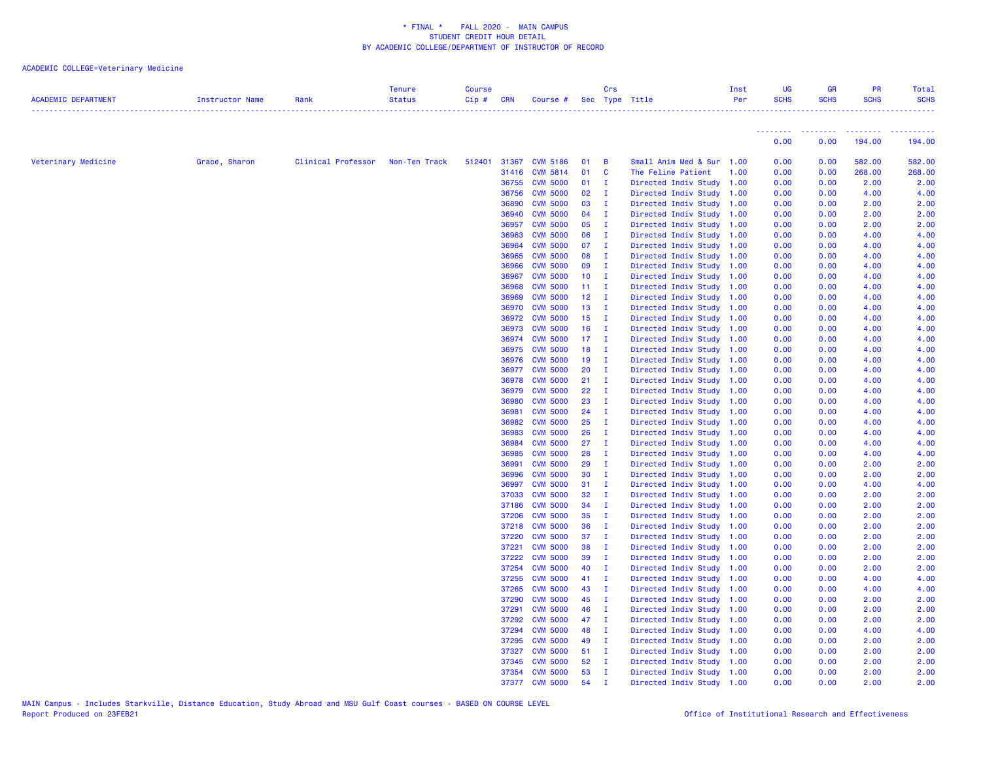| <b>ACADEMIC DEPARTMENT</b> | Instructor Name | Rank               | <b>Tenure</b><br><b>Status</b> | <b>Course</b><br>Cip# | <b>CRN</b>     | Course #                           |                 | Crs                 | Sec Type Title                                         | Inst<br>Per | UG<br><b>SCHS</b>           | <b>GR</b><br><b>SCHS</b> | PR<br><b>SCHS</b>                                                | Total<br><b>SCHS</b>        |
|----------------------------|-----------------|--------------------|--------------------------------|-----------------------|----------------|------------------------------------|-----------------|---------------------|--------------------------------------------------------|-------------|-----------------------------|--------------------------|------------------------------------------------------------------|-----------------------------|
|                            |                 |                    |                                |                       |                |                                    |                 |                     |                                                        |             | <u> 22222222 - 22222222</u> |                          | <b><i><u><u><b>A</b></u></u></i> <b><i>A A A A A A A</i></b></b> | <b><i><u>AAAAAA</u></i></b> |
|                            |                 |                    |                                |                       |                |                                    |                 |                     |                                                        |             | 0.00                        | 0.00                     | 194.00                                                           | 194.00                      |
| Veterinary Medicine        | Grace, Sharon   | Clinical Professor | Non-Ten Track                  |                       |                | 512401 31367 CVM 5186              | 01              | $\blacksquare$      | Small Anim Med & Sur 1.00                              |             | 0.00                        | 0.00                     | 582.00                                                           | 582.00                      |
|                            |                 |                    |                                |                       | 31416          | <b>CVM 5814</b>                    | 01              | $\mathbf{C}$        | The Feline Patient                                     | 1.00        | 0.00                        | 0.00                     | 268.00                                                           | 268.00                      |
|                            |                 |                    |                                |                       |                | 36755 CVM 5000                     | $01$ I          |                     | Directed Indiv Study 1.00                              |             | 0.00                        | 0.00                     | 2.00                                                             | 2.00                        |
|                            |                 |                    |                                |                       | 36756          | <b>CVM 5000</b>                    | 02              | $\mathbf{I}$        | Directed Indiv Study 1.00                              |             | 0.00                        | 0.00                     | 4.00                                                             | 4.00                        |
|                            |                 |                    |                                |                       | 36890          | <b>CVM 5000</b>                    | 03              | $\mathbf I$         | Directed Indiv Study 1.00                              |             | 0.00                        | 0.00                     | 2.00                                                             | 2.00                        |
|                            |                 |                    |                                |                       | 36940          | <b>CVM 5000</b>                    | 04              | $\mathbf{I}$        | Directed Indiv Study 1.00                              |             | 0.00                        | 0.00                     | 2.00                                                             | 2.00                        |
|                            |                 |                    |                                |                       | 36957          | <b>CVM 5000</b>                    | 05              | $\mathbf{I}$        | Directed Indiv Study 1.00                              |             | 0.00                        | 0.00                     | 2.00                                                             | 2.00                        |
|                            |                 |                    |                                |                       | 36963          | <b>CVM 5000</b>                    | 06              | $\mathbf{I}$        | Directed Indiv Study 1.00                              |             | 0.00                        | 0.00                     | 4.00                                                             | 4.00                        |
|                            |                 |                    |                                |                       | 36964          | <b>CVM 5000</b>                    | 07              | $\blacksquare$      | Directed Indiv Study 1.00                              |             | 0.00                        | 0.00                     | 4.00                                                             | 4.00                        |
|                            |                 |                    |                                |                       | 36965          | <b>CVM 5000</b>                    | 08              | $\blacksquare$      | Directed Indiv Study 1.00                              |             | 0.00                        | 0.00                     | 4.00                                                             | 4.00                        |
|                            |                 |                    |                                |                       | 36966          | <b>CVM 5000</b>                    | 09              | $\blacksquare$      | Directed Indiv Study 1.00                              |             | 0.00                        | 0.00                     | 4.00                                                             | 4.00                        |
|                            |                 |                    |                                |                       | 36967          | <b>CVM 5000</b>                    | 10 <sub>1</sub> | $\mathbf{I}$        | Directed Indiv Study 1.00                              |             | 0.00                        | 0.00                     | 4.00                                                             | 4.00                        |
|                            |                 |                    |                                |                       | 36968          | <b>CVM 5000</b>                    | $11 \quad I$    |                     | Directed Indiv Study 1.00                              |             | 0.00                        | 0.00                     | 4.00                                                             | 4.00                        |
|                            |                 |                    |                                |                       | 36969          | <b>CVM 5000</b>                    | $12 \quad I$    |                     | Directed Indiv Study 1.00                              |             | 0.00                        | 0.00                     | 4.00                                                             | 4.00                        |
|                            |                 |                    |                                |                       | 36970          | <b>CVM 5000</b>                    | 13              | $\mathbf{I}$        | Directed Indiv Study 1.00                              |             | 0.00                        | 0.00                     | 4.00                                                             | 4.00                        |
|                            |                 |                    |                                |                       | 36972          | <b>CVM 5000</b>                    | 15 <sub>1</sub> | $\mathbf{I}$        | Directed Indiv Study 1.00                              |             | 0.00                        | 0.00                     | 4.00                                                             | 4.00                        |
|                            |                 |                    |                                |                       | 36973          | <b>CVM 5000</b>                    | $16$ I          |                     | Directed Indiv Study 1.00                              |             | 0.00                        | 0.00                     | 4.00                                                             | 4.00                        |
|                            |                 |                    |                                |                       | 36974          | <b>CVM 5000</b>                    | $17 \quad I$    |                     | Directed Indiv Study 1.00                              |             | 0.00                        | 0.00                     | 4.00                                                             | 4.00                        |
|                            |                 |                    |                                |                       | 36975          | <b>CVM 5000</b>                    | 18              | - 1                 | Directed Indiv Study 1.00                              |             | 0.00                        | 0.00                     | 4.00                                                             | 4.00                        |
|                            |                 |                    |                                |                       | 36976          | <b>CVM 5000</b>                    | $19$ I          |                     | Directed Indiv Study 1.00                              |             | 0.00                        | 0.00                     | 4.00                                                             | 4.00                        |
|                            |                 |                    |                                |                       | 36977          | <b>CVM 5000</b>                    | 20              | $\mathbf{I}$        | Directed Indiv Study 1.00                              |             | 0.00                        | 0.00                     | 4.00                                                             | 4.00                        |
|                            |                 |                    |                                |                       | 36978          | <b>CVM 5000</b>                    | $21 \quad I$    |                     | Directed Indiv Study 1.00                              |             | 0.00                        | 0.00                     | 4.00                                                             | 4.00                        |
|                            |                 |                    |                                |                       | 36979          | <b>CVM 5000</b>                    | 22              | $\mathbf{I}$        | Directed Indiv Study 1.00                              |             | 0.00                        | 0.00                     | 4.00                                                             | 4.00                        |
|                            |                 |                    |                                |                       | 36980          | <b>CVM 5000</b>                    | 23              | $\mathbf{I}$        | Directed Indiv Study 1.00                              |             | 0.00                        | 0.00                     | 4.00                                                             | 4.00                        |
|                            |                 |                    |                                |                       | 36981          | <b>CVM 5000</b>                    | 24              | $\mathbf{I}$        | Directed Indiv Study 1.00                              |             | 0.00                        | 0.00                     | 4.00                                                             | 4.00                        |
|                            |                 |                    |                                |                       | 36982<br>36983 | <b>CVM 5000</b><br><b>CVM 5000</b> | 25<br>26        | $\mathbf{I}$<br>- I | Directed Indiv Study 1.00                              |             | 0.00<br>0.00                | 0.00<br>0.00             | 4.00<br>4.00                                                     | 4.00<br>4.00                |
|                            |                 |                    |                                |                       | 36984          | <b>CVM 5000</b>                    | $27 \quad I$    |                     | Directed Indiv Study 1.00<br>Directed Indiv Study 1.00 |             | 0.00                        | 0.00                     | 4.00                                                             | 4.00                        |
|                            |                 |                    |                                |                       | 36985          | <b>CVM 5000</b>                    | 28              | $\mathbf{I}$        | Directed Indiv Study 1.00                              |             | 0.00                        | 0.00                     | 4.00                                                             | 4.00                        |
|                            |                 |                    |                                |                       | 36991          | <b>CVM 5000</b>                    | 29              | - I                 | Directed Indiv Study 1.00                              |             | 0.00                        | 0.00                     | 2.00                                                             | 2.00                        |
|                            |                 |                    |                                |                       | 36996          | <b>CVM 5000</b>                    | 30              | $\blacksquare$      | Directed Indiv Study 1.00                              |             | 0.00                        | 0.00                     | 2.00                                                             | 2.00                        |
|                            |                 |                    |                                |                       | 36997          | <b>CVM 5000</b>                    | 31              | $\mathbf{I}$        | Directed Indiv Study 1.00                              |             | 0.00                        | 0.00                     | 4.00                                                             | 4.00                        |
|                            |                 |                    |                                |                       | 37033          | <b>CVM 5000</b>                    | 32              | $\mathbf I$         | Directed Indiv Study 1.00                              |             | 0.00                        | 0.00                     | 2.00                                                             | 2.00                        |
|                            |                 |                    |                                |                       | 37186          | <b>CVM 5000</b>                    | 34              | $\mathbf{I}$        | Directed Indiv Study 1.00                              |             | 0.00                        | 0.00                     | 2.00                                                             | 2.00                        |
|                            |                 |                    |                                |                       | 37206          | <b>CVM 5000</b>                    | 35              | $\mathbf{I}$        | Directed Indiv Study 1.00                              |             | 0.00                        | 0.00                     | 2.00                                                             | 2.00                        |
|                            |                 |                    |                                |                       | 37218          | <b>CVM 5000</b>                    | 36              | $\mathbf I$         | Directed Indiv Study 1.00                              |             | 0.00                        | 0.00                     | 2.00                                                             | 2.00                        |
|                            |                 |                    |                                |                       | 37220          | <b>CVM 5000</b>                    | 37              | $\mathbf{I}$        | Directed Indiv Study 1.00                              |             | 0.00                        | 0.00                     | 2.00                                                             | 2.00                        |
|                            |                 |                    |                                |                       | 37221          | <b>CVM 5000</b>                    | 38              | $\blacksquare$      | Directed Indiv Study 1.00                              |             | 0.00                        | 0.00                     | 2.00                                                             | 2.00                        |
|                            |                 |                    |                                |                       | 37222          | <b>CVM 5000</b>                    | 39              | $\mathbf{I}$        | Directed Indiv Study 1.00                              |             | 0.00                        | 0.00                     | 2.00                                                             | 2.00                        |
|                            |                 |                    |                                |                       | 37254          | <b>CVM 5000</b>                    | 40              | - I                 | Directed Indiv Study 1.00                              |             | 0.00                        | 0.00                     | 2.00                                                             | 2.00                        |
|                            |                 |                    |                                |                       | 37255          | <b>CVM 5000</b>                    | 41 I            |                     | Directed Indiv Study 1.00                              |             | 0.00                        | 0.00                     | 4.00                                                             | 4.00                        |
|                            |                 |                    |                                |                       | 37265          | <b>CVM 5000</b>                    | 43              | $\mathbf{I}$        | Directed Indiv Study 1.00                              |             | 0.00                        | 0.00                     | 4.00                                                             | 4.00                        |
|                            |                 |                    |                                |                       | 37290          | <b>CVM 5000</b>                    | 45              | $\mathbf{I}$        | Directed Indiv Study 1.00                              |             | 0.00                        | 0.00                     | 2.00                                                             | 2.00                        |
|                            |                 |                    |                                |                       | 37291          | <b>CVM 5000</b>                    | 46              | $\mathbf{I}$        | Directed Indiv Study 1.00                              |             | 0.00                        | 0.00                     | 2.00                                                             | 2.00                        |
|                            |                 |                    |                                |                       | 37292          | <b>CVM 5000</b>                    | 47              | $\blacksquare$      | Directed Indiv Study 1.00                              |             | 0.00                        | 0.00                     | 2.00                                                             | 2.00                        |
|                            |                 |                    |                                |                       | 37294          | <b>CVM 5000</b>                    | 48              | $\mathbf{I}$        | Directed Indiv Study 1.00                              |             | 0.00                        | 0.00                     | 4.00                                                             | 4.00                        |
|                            |                 |                    |                                |                       | 37295          | <b>CVM 5000</b>                    | 49              | $\mathbf{I}$        | Directed Indiv Study 1.00                              |             | 0.00                        | 0.00                     | 2.00                                                             | 2.00                        |
|                            |                 |                    |                                |                       | 37327          | <b>CVM 5000</b>                    | $51 \quad I$    |                     | Directed Indiv Study 1.00                              |             | 0.00                        | 0.00                     | 2.00                                                             | 2.00                        |
|                            |                 |                    |                                |                       | 37345          | <b>CVM 5000</b>                    | 52              | $\mathbf{I}$        | Directed Indiv Study 1.00                              |             | 0.00                        | 0.00                     | 2.00                                                             | 2.00                        |
|                            |                 |                    |                                |                       | 37354          | <b>CVM 5000</b>                    | 53              | $\mathbf{I}$        | Directed Indiv Study 1.00                              |             | 0.00                        | 0.00                     | 2.00                                                             | 2.00                        |
|                            |                 |                    |                                |                       |                | 37377 CVM 5000                     | 54              | $\mathbf{I}$        | Directed Indiv Study 1.00                              |             | 0.00                        | 0.00                     | 2.00                                                             | 2.00                        |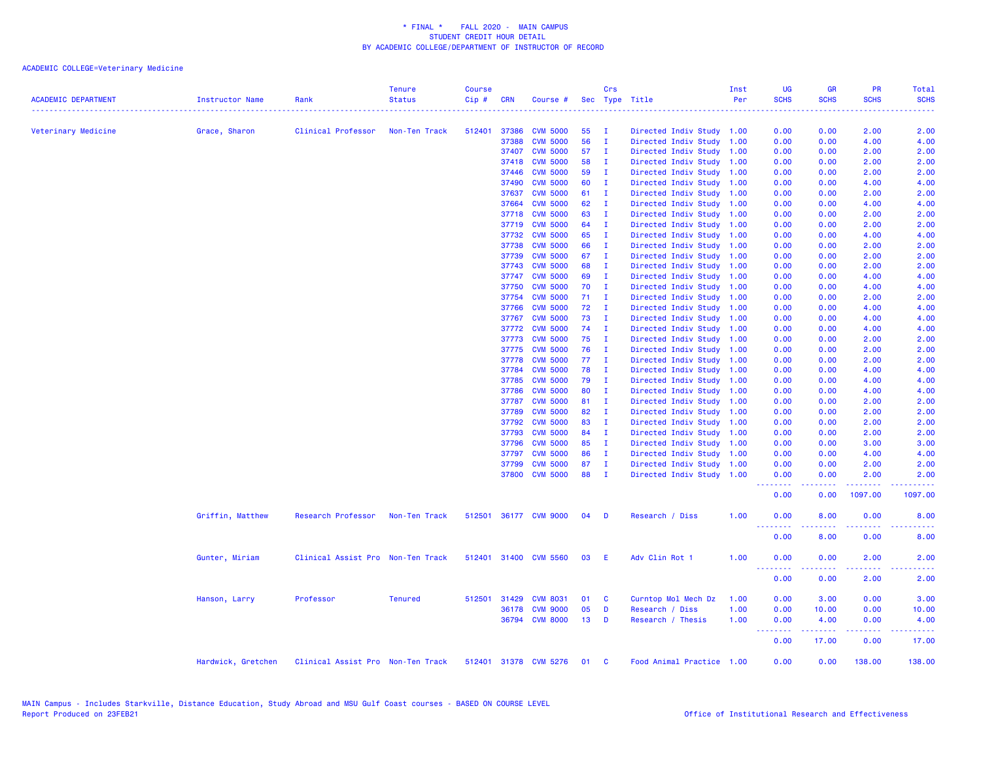| <b>ACADEMIC DEPARTMENT</b> | Instructor Name    | Rank                              | <b>Tenure</b><br><b>Status</b> | Course<br>Cip# | <b>CRN</b>   | Course #              |    | Crs          | Sec Type Title            | Inst<br>Per | <b>UG</b><br><b>SCHS</b>                           | <b>GR</b><br><b>SCHS</b> | PR<br><b>SCHS</b> | Total<br><b>SCHS</b> |
|----------------------------|--------------------|-----------------------------------|--------------------------------|----------------|--------------|-----------------------|----|--------------|---------------------------|-------------|----------------------------------------------------|--------------------------|-------------------|----------------------|
|                            |                    |                                   |                                |                |              |                       |    |              |                           |             |                                                    |                          |                   |                      |
| Veterinary Medicine        | Grace, Sharon      | Clinical Professor                | Non-Ten Track                  | 512401         | 37386        | <b>CVM 5000</b>       | 55 | $\mathbf{I}$ | Directed Indiv Study 1.00 |             | 0.00                                               | 0.00                     | 2.00              | 2.00                 |
|                            |                    |                                   |                                |                | 37388        | <b>CVM 5000</b>       | 56 | $\mathbf{I}$ | Directed Indiv Study 1.00 |             | 0.00                                               | 0.00                     | 4.00              | 4.00                 |
|                            |                    |                                   |                                |                | 37407        | <b>CVM 5000</b>       | 57 | $\mathbf{I}$ | Directed Indiv Study 1.00 |             | 0.00                                               | 0.00                     | 2.00              | 2.00                 |
|                            |                    |                                   |                                |                | 37418        | <b>CVM 5000</b>       | 58 | - I          | Directed Indiv Study 1.00 |             | 0.00                                               | 0.00                     | 2.00              | 2.00                 |
|                            |                    |                                   |                                |                | 37446        | <b>CVM 5000</b>       | 59 | - I          | Directed Indiv Study 1.00 |             | 0.00                                               | 0.00                     | 2.00              | 2.00                 |
|                            |                    |                                   |                                |                | 37490        | <b>CVM 5000</b>       | 60 | $\mathbf{I}$ | Directed Indiv Study 1.00 |             | 0.00                                               | 0.00                     | 4.00              | 4.00                 |
|                            |                    |                                   |                                |                | 37637        | <b>CVM 5000</b>       | 61 | $\mathbf{I}$ | Directed Indiv Study 1.00 |             | 0.00                                               | 0.00                     | 2.00              | 2.00                 |
|                            |                    |                                   |                                |                | 37664        | <b>CVM 5000</b>       | 62 | $\mathbf{I}$ | Directed Indiv Study 1.00 |             | 0.00                                               | 0.00                     | 4.00              | 4.00                 |
|                            |                    |                                   |                                |                | 37718        | <b>CVM 5000</b>       | 63 | $\mathbf{I}$ | Directed Indiv Study 1.00 |             | 0.00                                               | 0.00                     | 2.00              | 2.00                 |
|                            |                    |                                   |                                |                | 37719        | <b>CVM 5000</b>       | 64 | $\mathbf{I}$ | Directed Indiv Study 1.00 |             | 0.00                                               | 0.00                     | 2.00              | 2.00                 |
|                            |                    |                                   |                                |                | 37732        | <b>CVM 5000</b>       | 65 | $\mathbf{I}$ | Directed Indiv Study 1.00 |             | 0.00                                               | 0.00                     | 4.00              | 4.00                 |
|                            |                    |                                   |                                |                | 37738        | <b>CVM 5000</b>       | 66 | $\mathbf{I}$ | Directed Indiv Study 1.00 |             | 0.00                                               | 0.00                     | 2.00              | 2.00                 |
|                            |                    |                                   |                                |                | 37739        | <b>CVM 5000</b>       | 67 | $\mathbf{I}$ | Directed Indiv Study 1.00 |             | 0.00                                               | 0.00                     | 2.00              | 2.00                 |
|                            |                    |                                   |                                |                | 37743        | <b>CVM 5000</b>       | 68 | - I          | Directed Indiv Study 1.00 |             | 0.00                                               | 0.00                     | 2.00              | 2.00                 |
|                            |                    |                                   |                                |                | 37747        | <b>CVM 5000</b>       | 69 | $\mathbf{I}$ | Directed Indiv Study      | 1.00        | 0.00                                               | 0.00                     | 4.00              | 4.00                 |
|                            |                    |                                   |                                |                | 37750        | <b>CVM 5000</b>       | 70 | $\mathbf{I}$ | Directed Indiv Study 1.00 |             | 0.00                                               | 0.00                     | 4.00              | 4.00                 |
|                            |                    |                                   |                                |                | 37754        | <b>CVM 5000</b>       | 71 | $\mathbf{I}$ | Directed Indiv Study 1.00 |             | 0.00                                               | 0.00                     | 2.00              | 2.00                 |
|                            |                    |                                   |                                |                | 37766        | <b>CVM 5000</b>       | 72 | $\mathbf{I}$ | Directed Indiv Study      | 1.00        | 0.00                                               | 0.00                     | 4.00              | 4.00                 |
|                            |                    |                                   |                                |                | 37767        | <b>CVM 5000</b>       | 73 | $\mathbf{I}$ | Directed Indiv Study 1.00 |             | 0.00                                               | 0.00                     | 4.00              | 4.00                 |
|                            |                    |                                   |                                |                | 37772        | <b>CVM 5000</b>       | 74 | $\mathbf{I}$ | Directed Indiv Study 1.00 |             | 0.00                                               | 0.00                     | 4.00              | 4.00                 |
|                            |                    |                                   |                                |                | 37773        | <b>CVM 5000</b>       | 75 | $\mathbf{I}$ | Directed Indiv Study      | 1.00        | 0.00                                               | 0.00                     | 2.00              | 2.00                 |
|                            |                    |                                   |                                |                | 37775        | <b>CVM 5000</b>       | 76 | $\mathbf{I}$ | Directed Indiv Study 1.00 |             | 0.00                                               | 0.00                     | 2.00              | 2.00                 |
|                            |                    |                                   |                                |                | 37778        | <b>CVM 5000</b>       | 77 | $\mathbf{I}$ | Directed Indiv Study 1.00 |             | 0.00                                               | 0.00                     | 2.00              | 2.00                 |
|                            |                    |                                   |                                |                | 37784        | <b>CVM 5000</b>       | 78 | $\mathbf{I}$ | Directed Indiv Study 1.00 |             | 0.00                                               | 0.00                     | 4.00              | 4.00                 |
|                            |                    |                                   |                                |                | 37785        | <b>CVM 5000</b>       | 79 | - I          | Directed Indiv Study 1.00 |             | 0.00                                               | 0.00                     | 4.00              | 4.00                 |
|                            |                    |                                   |                                |                | 37786        | <b>CVM 5000</b>       | 80 | $\mathbf{I}$ | Directed Indiv Study 1.00 |             | 0.00                                               | 0.00                     | 4.00              | 4.00                 |
|                            |                    |                                   |                                |                | 37787        | <b>CVM 5000</b>       | 81 | $\mathbf{I}$ | Directed Indiv Study      | 1.00        | 0.00                                               | 0.00                     | 2.00              | 2.00                 |
|                            |                    |                                   |                                |                | 37789        | <b>CVM 5000</b>       | 82 | $\mathbf{I}$ | Directed Indiv Study 1.00 |             | 0.00                                               | 0.00                     | 2.00              | 2.00                 |
|                            |                    |                                   |                                |                | 37792        | <b>CVM 5000</b>       | 83 | $\mathbf{I}$ | Directed Indiv Study 1.00 |             | 0.00                                               | 0.00                     | 2.00              | 2.00                 |
|                            |                    |                                   |                                |                | 37793        | <b>CVM 5000</b>       | 84 | $\mathbf{I}$ | Directed Indiv Study      | 1.00        | 0.00                                               | 0.00                     | 2.00              | 2.00                 |
|                            |                    |                                   |                                |                | 37796        | <b>CVM 5000</b>       | 85 | $\mathbf{I}$ | Directed Indiv Study 1.00 |             | 0.00                                               | 0.00                     | 3.00              | 3.00                 |
|                            |                    |                                   |                                |                | 37797        | <b>CVM 5000</b>       | 86 | $\mathbf{I}$ | Directed Indiv Study 1.00 |             | 0.00                                               | 0.00                     | 4.00              | 4.00                 |
|                            |                    |                                   |                                |                | 37799        | <b>CVM 5000</b>       | 87 | $\mathbf{I}$ | Directed Indiv Study 1.00 |             | 0.00                                               | 0.00                     | 2.00              | 2.00                 |
|                            |                    |                                   |                                |                |              | 37800 CVM 5000        | 88 | $\mathbf{I}$ | Directed Indiv Study 1.00 |             | 0.00<br><u>.</u>                                   | 0.00                     | 2.00<br>.         | 2.00<br>.            |
|                            |                    |                                   |                                |                |              |                       |    |              |                           |             | 0.00                                               | 0.00                     | 1097.00           | 1097.00              |
|                            | Griffin, Matthew   | Research Professor                | Non-Ten Track                  |                |              | 512501 36177 CVM 9000 | 04 | <b>D</b>     | Research / Diss           | 1.00        | 0.00<br><b></b>                                    | 8.00<br>.                | 0.00<br>22222     | 8.00<br>المستمين     |
|                            |                    |                                   |                                |                |              |                       |    |              |                           |             | 0.00                                               | 8.00                     | 0.00              | 8.00                 |
|                            | Gunter, Miriam     | Clinical Assist Pro Non-Ten Track |                                |                |              | 512401 31400 CVM 5560 | 03 | E            | Adv Clin Rot 1            | 1.00        | 0.00<br><b><i><u><u> - - - - - - -</u></u></i></b> | 0.00                     | 2.00<br>وعاعات    | 2.00                 |
|                            |                    |                                   |                                |                |              |                       |    |              |                           |             | 0.00                                               | 0.00                     | 2.00              | 2.00                 |
|                            | Hanson, Larry      | Professor                         | <b>Tenured</b>                 |                | 512501 31429 | <b>CVM 8031</b>       | 01 | C            | Curntop Mol Mech Dz       | 1.00        | 0.00                                               | 3.00                     | 0.00              | 3.00                 |
|                            |                    |                                   |                                |                |              | 36178 CVM 9000        | 05 | D            | Research / Diss           | 1.00        | 0.00                                               | 10.00                    | 0.00              | 10.00                |
|                            |                    |                                   |                                |                |              | 36794 CVM 8000        | 13 | D            | Research / Thesis         | 1.00        | 0.00                                               | 4.00                     | 0.00              | 4.00                 |
|                            |                    |                                   |                                |                |              |                       |    |              |                           |             | .<br>0.00                                          | د د د د د<br>17.00       | .<br>0.00         | .<br>17.00           |
|                            | Hardwick, Gretchen | Clinical Assist Pro Non-Ten Track |                                |                |              | 512401 31378 CVM 5276 | 01 | <b>C</b>     | Food Animal Practice 1.00 |             | 0.00                                               | 0.00                     | 138,00            | 138.00               |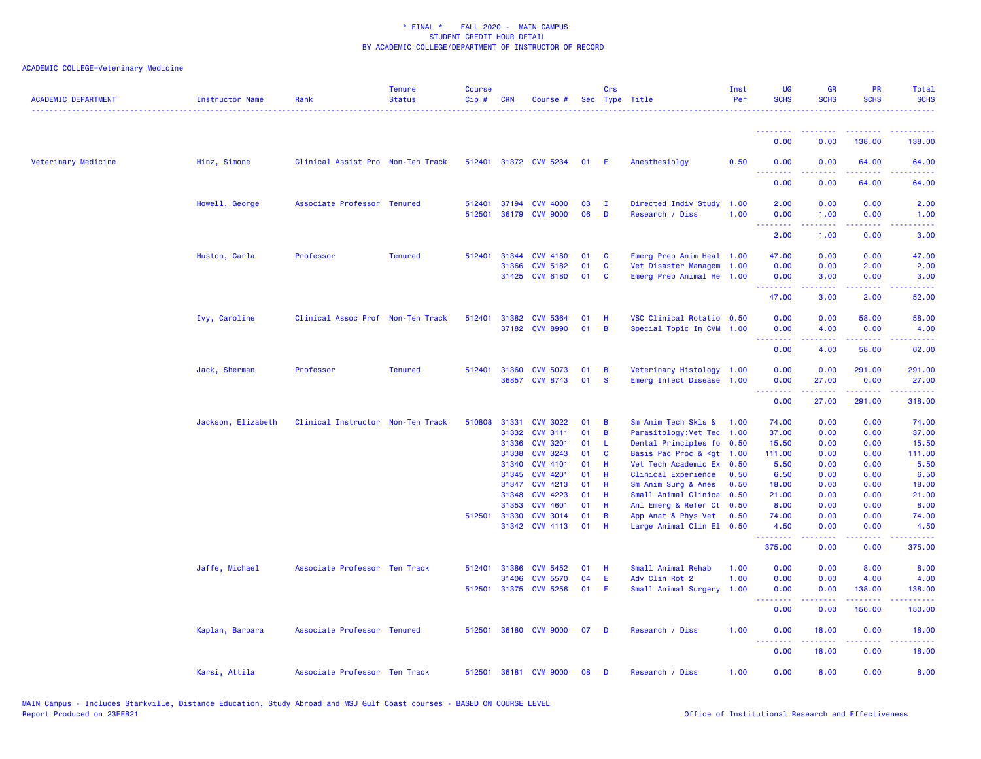| <b>ACADEMIC DEPARTMENT</b> | <b>Instructor Name</b> | Rank                              | <b>Tenure</b><br><b>Status</b> | <b>Course</b><br>Cip# | <b>CRN</b>   | Course #              |    | Crs            | Sec Type Title                                                                                          | Inst<br>Per | <b>UG</b><br><b>SCHS</b> | <b>GR</b><br><b>SCHS</b>                                                                                                                                     | <b>PR</b><br><b>SCHS</b>                                                                                                                                      | Total<br><b>SCHS</b>                                                                                                                                           |
|----------------------------|------------------------|-----------------------------------|--------------------------------|-----------------------|--------------|-----------------------|----|----------------|---------------------------------------------------------------------------------------------------------|-------------|--------------------------|--------------------------------------------------------------------------------------------------------------------------------------------------------------|---------------------------------------------------------------------------------------------------------------------------------------------------------------|----------------------------------------------------------------------------------------------------------------------------------------------------------------|
|                            |                        |                                   |                                |                       |              |                       |    |                |                                                                                                         |             | <u> - - - - - - - -</u>  |                                                                                                                                                              |                                                                                                                                                               |                                                                                                                                                                |
|                            |                        |                                   |                                |                       |              |                       |    |                |                                                                                                         |             | 0.00                     | 0.00                                                                                                                                                         | 138.00                                                                                                                                                        | 138.00                                                                                                                                                         |
| Veterinary Medicine        | Hinz, Simone           | Clinical Assist Pro Non-Ten Track |                                |                       |              | 512401 31372 CVM 5234 | 01 | -E             | Anesthesiolay                                                                                           | 0.50        | 0.00<br>.                | 0.00                                                                                                                                                         | 64.00                                                                                                                                                         | 64.00                                                                                                                                                          |
|                            |                        |                                   |                                |                       |              |                       |    |                |                                                                                                         |             | 0.00                     | 0.00                                                                                                                                                         | 64.00                                                                                                                                                         | 64.00                                                                                                                                                          |
|                            | Howell, George         | Associate Professor Tenured       |                                | 512401                |              | 37194 CVM 4000        | 03 | - 1            | Directed Indiv Study                                                                                    | 1.00        | 2.00                     | 0.00                                                                                                                                                         | 0.00                                                                                                                                                          | 2.00                                                                                                                                                           |
|                            |                        |                                   |                                | 512501                | 36179        | <b>CVM 9000</b>       | 06 | D              | Research / Diss                                                                                         | 1.00        | 0.00<br><u>.</u>         | 1.00<br>22222                                                                                                                                                | 0.00<br>.                                                                                                                                                     | 1.00<br>$\frac{1}{2} \left( \frac{1}{2} \right) \left( \frac{1}{2} \right) \left( \frac{1}{2} \right)$                                                         |
|                            |                        |                                   |                                |                       |              |                       |    |                |                                                                                                         |             | 2.00                     | 1.00                                                                                                                                                         | 0.00                                                                                                                                                          | 3.00                                                                                                                                                           |
|                            | Huston, Carla          | Professor                         | <b>Tenured</b>                 | 512401                | 31344        | <b>CVM 4180</b>       | 01 | C              | Emerg Prep Anim Heal 1.00                                                                               |             | 47.00                    | 0.00                                                                                                                                                         | 0.00                                                                                                                                                          | 47.00                                                                                                                                                          |
|                            |                        |                                   |                                |                       | 31366        | <b>CVM 5182</b>       | 01 | C              | Vet Disaster Managem 1.00                                                                               |             | 0.00                     | 0.00                                                                                                                                                         | 2.00                                                                                                                                                          | 2.00                                                                                                                                                           |
|                            |                        |                                   |                                |                       |              | 31425 CVM 6180        | 01 | <b>C</b>       | Emerg Prep Animal He 1.00                                                                               |             | 0.00<br>.                | 3.00<br>$\frac{1}{2} \left( \frac{1}{2} \right) \left( \frac{1}{2} \right) \left( \frac{1}{2} \right) \left( \frac{1}{2} \right) \left( \frac{1}{2} \right)$ | 0.00<br>.                                                                                                                                                     | 3.00<br>المتمام المالي                                                                                                                                         |
|                            |                        |                                   |                                |                       |              |                       |    |                |                                                                                                         |             | 47.00                    | 3.00                                                                                                                                                         | 2.00                                                                                                                                                          | 52.00                                                                                                                                                          |
|                            | Ivy, Caroline          | Clinical Assoc Prof Non-Ten Track |                                | 512401 31382          |              | <b>CVM 5364</b>       | 01 | H              | VSC Clinical Rotatio 0.50                                                                               |             | 0.00                     | 0.00                                                                                                                                                         | 58.00                                                                                                                                                         | 58.00                                                                                                                                                          |
|                            |                        |                                   |                                |                       |              | 37182 CVM 8990        | 01 | $\overline{B}$ | Special Topic In CVM 1.00                                                                               |             | 0.00                     | 4.00                                                                                                                                                         | 0.00                                                                                                                                                          | 4.00                                                                                                                                                           |
|                            |                        |                                   |                                |                       |              |                       |    |                |                                                                                                         |             | .<br>0.00                | 4.00                                                                                                                                                         | $\frac{1}{2} \left( \frac{1}{2} \right) \left( \frac{1}{2} \right) \left( \frac{1}{2} \right) \left( \frac{1}{2} \right) \left( \frac{1}{2} \right)$<br>58.00 | .<br>62.00                                                                                                                                                     |
|                            | Jack, Sherman          | Professor                         | <b>Tenured</b>                 | 512401 31360          |              | <b>CVM 5073</b>       | 01 | B              | Veterinary Histology 1.00                                                                               |             | 0.00                     | 0.00                                                                                                                                                         | 291.00                                                                                                                                                        | 291.00                                                                                                                                                         |
|                            |                        |                                   |                                |                       |              | 36857 CVM 8743        | 01 | <b>S</b>       | Emerg Infect Disease 1.00                                                                               |             | 0.00                     | 27.00                                                                                                                                                        | 0.00                                                                                                                                                          | 27.00                                                                                                                                                          |
|                            |                        |                                   |                                |                       |              |                       |    |                |                                                                                                         |             | <u>.</u><br>0.00         | .<br>27.00                                                                                                                                                   | . <u>.</u> .<br>291.00                                                                                                                                        | $\frac{1}{2} \left( \frac{1}{2} \right) \left( \frac{1}{2} \right) \left( \frac{1}{2} \right) \left( \frac{1}{2} \right)$<br>318.00                            |
|                            | Jackson, Elizabeth     | Clinical Instructor Non-Ten Track |                                | 510808                | 31331        | <b>CVM 3022</b>       | 01 | B              | Sm Anim Tech Skls &                                                                                     | 1.00        | 74.00                    | 0.00                                                                                                                                                         | 0.00                                                                                                                                                          | 74.00                                                                                                                                                          |
|                            |                        |                                   |                                |                       | 31332        | <b>CVM 3111</b>       | 01 | B              | Parasitology: Vet Tec 1.00                                                                              |             | 37.00                    | 0.00                                                                                                                                                         | 0.00                                                                                                                                                          | 37.00                                                                                                                                                          |
|                            |                        |                                   |                                |                       | 31336        | <b>CVM 3201</b>       | 01 | L              | Dental Principles fo 0.50                                                                               |             | 15.50                    | 0.00                                                                                                                                                         | 0.00                                                                                                                                                          | 15.50                                                                                                                                                          |
|                            |                        |                                   |                                |                       | 31338        | <b>CVM 3243</b>       | 01 | C              | Basis Pac Proc & <gt< td=""><td>1.00</td><td>111.00</td><td>0.00</td><td>0.00</td><td>111.00</td></gt<> | 1.00        | 111.00                   | 0.00                                                                                                                                                         | 0.00                                                                                                                                                          | 111.00                                                                                                                                                         |
|                            |                        |                                   |                                |                       | 31340        | <b>CVM 4101</b>       | 01 | Н              | Vet Tech Academic Ex 0.50                                                                               |             | 5.50                     | 0.00                                                                                                                                                         | 0.00                                                                                                                                                          | 5.50                                                                                                                                                           |
|                            |                        |                                   |                                |                       | 31345        | <b>CVM 4201</b>       | 01 | H              | Clinical Experience                                                                                     | 0.50        | 6.50                     | 0.00                                                                                                                                                         | 0.00                                                                                                                                                          | 6.50                                                                                                                                                           |
|                            |                        |                                   |                                |                       | 31347        | <b>CVM 4213</b>       | 01 | H              | Sm Anim Surg & Anes                                                                                     | 0.50        | 18.00                    | 0.00                                                                                                                                                         | 0.00                                                                                                                                                          | 18.00                                                                                                                                                          |
|                            |                        |                                   |                                |                       | 31348        | <b>CVM 4223</b>       | 01 | H              | Small Animal Clinica                                                                                    | 0.50        | 21.00                    | 0.00                                                                                                                                                         | 0.00                                                                                                                                                          | 21.00                                                                                                                                                          |
|                            |                        |                                   |                                |                       | 31353        | <b>CVM 4601</b>       | 01 | H              | Anl Emerg & Refer Ct 0.50                                                                               |             | 8.00                     | 0.00                                                                                                                                                         | 0.00                                                                                                                                                          | 8.00                                                                                                                                                           |
|                            |                        |                                   |                                |                       | 512501 31330 | <b>CVM 3014</b>       | 01 | B              | App Anat & Phys Vet                                                                                     | 0.50        | 74.00                    | 0.00                                                                                                                                                         | 0.00                                                                                                                                                          | 74.00                                                                                                                                                          |
|                            |                        |                                   |                                |                       | 31342        | <b>CVM 4113</b>       | 01 | H              | Large Animal Clin El 0.50                                                                               |             | 4.50<br><u>.</u>         | 0.00<br>.                                                                                                                                                    | 0.00<br>$\frac{1}{2} \left( \frac{1}{2} \right) \left( \frac{1}{2} \right) \left( \frac{1}{2} \right) \left( \frac{1}{2} \right)$                             | 4.50<br>.                                                                                                                                                      |
|                            |                        |                                   |                                |                       |              |                       |    |                |                                                                                                         |             | 375.00                   | 0.00                                                                                                                                                         | 0.00                                                                                                                                                          | 375.00                                                                                                                                                         |
|                            | Jaffe, Michael         | Associate Professor Ten Track     |                                | 512401                | 31386        | <b>CVM 5452</b>       | 01 | Н              | Small Animal Rehab                                                                                      | 1.00        | 0.00                     | 0.00                                                                                                                                                         | 8.00                                                                                                                                                          | 8.00                                                                                                                                                           |
|                            |                        |                                   |                                |                       | 31406        | <b>CVM 5570</b>       | 04 | Ε              | Adv Clin Rot 2                                                                                          | 1.00        | 0.00                     | 0.00                                                                                                                                                         | 4.00                                                                                                                                                          | 4.00                                                                                                                                                           |
|                            |                        |                                   |                                |                       |              | 512501 31375 CVM 5256 | 01 | E              | Small Animal Surgery                                                                                    | 1.00        | 0.00<br><u>.</u>         | 0.00<br>$\frac{1}{2} \left( \frac{1}{2} \right) \left( \frac{1}{2} \right) \left( \frac{1}{2} \right) \left( \frac{1}{2} \right)$                            | 138.00<br>$\begin{array}{cccccccccc} \bullet & \bullet & \bullet & \bullet & \bullet & \bullet & \bullet & \bullet \end{array}$                               | 138.00<br>$\frac{1}{2} \left( \frac{1}{2} \right) \left( \frac{1}{2} \right) \left( \frac{1}{2} \right) \left( \frac{1}{2} \right) \left( \frac{1}{2} \right)$ |
|                            |                        |                                   |                                |                       |              |                       |    |                |                                                                                                         |             | 0.00                     | 0.00                                                                                                                                                         | 150,00                                                                                                                                                        | 150.00                                                                                                                                                         |
|                            | Kaplan, Barbara        | Associate Professor Tenured       |                                | 512501                |              | 36180 CVM 9000        | 07 | D              | Research / Diss                                                                                         | 1.00        | 0.00<br>.                | 18.00<br>.                                                                                                                                                   | 0.00<br>.                                                                                                                                                     | 18.00<br><u>.</u>                                                                                                                                              |
|                            |                        |                                   |                                |                       |              |                       |    |                |                                                                                                         |             | 0.00                     | 18.00                                                                                                                                                        | 0.00                                                                                                                                                          | 18.00                                                                                                                                                          |
|                            | Karsi, Attila          | Associate Professor Ten Track     |                                |                       |              | 512501 36181 CVM 9000 | 08 | D              | Research / Diss                                                                                         | 1.00        | 0.00                     | 8.00                                                                                                                                                         | 0.00                                                                                                                                                          | 8.00                                                                                                                                                           |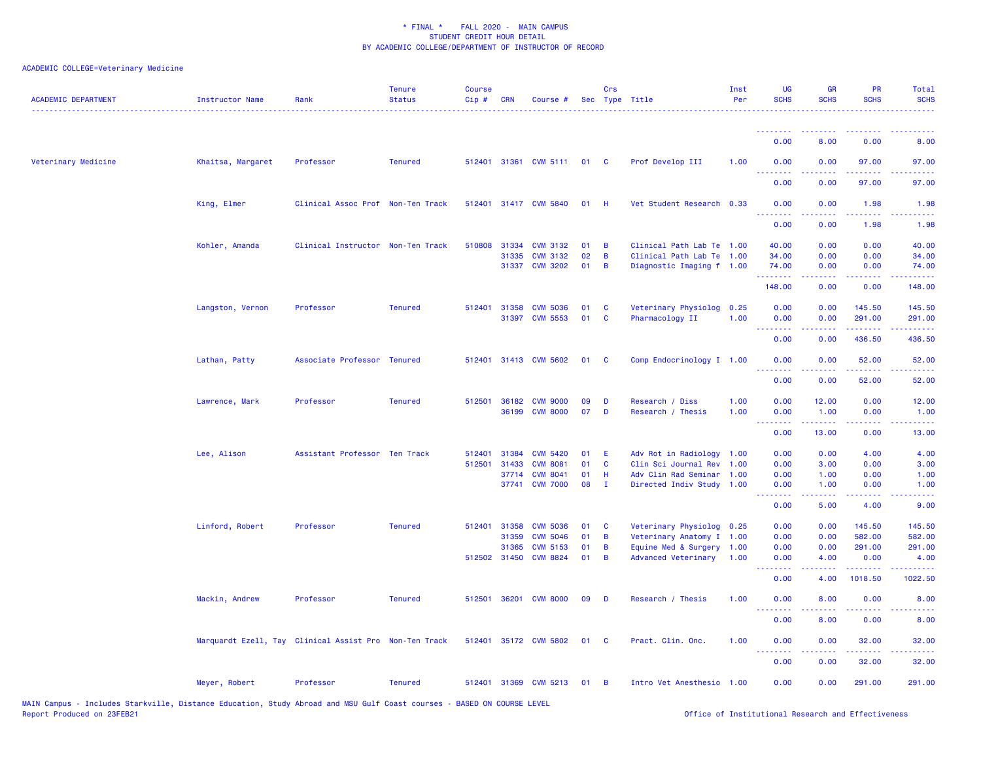| <b>ACADEMIC DEPARTMENT</b> | <b>Instructor Name</b> | Rank                                                   | <b>Tenure</b><br><b>Status</b> | <b>Course</b><br>Cip# | <b>CRN</b>   | Course #              |    | Crs            | Sec Type Title            | Inst<br>Per | <b>UG</b><br><b>SCHS</b>  | <b>GR</b><br><b>SCHS</b>                                                                                                                                     | <b>PR</b><br><b>SCHS</b>  | Total<br><b>SCHS</b>                                                                                                                                         |
|----------------------------|------------------------|--------------------------------------------------------|--------------------------------|-----------------------|--------------|-----------------------|----|----------------|---------------------------|-------------|---------------------------|--------------------------------------------------------------------------------------------------------------------------------------------------------------|---------------------------|--------------------------------------------------------------------------------------------------------------------------------------------------------------|
|                            |                        |                                                        |                                |                       |              |                       |    |                |                           |             | .                         | .                                                                                                                                                            |                           |                                                                                                                                                              |
|                            |                        |                                                        |                                |                       |              |                       |    |                |                           |             | 0.00                      | 8.00                                                                                                                                                         | 0.00                      | 8.00                                                                                                                                                         |
| Veterinary Medicine        | Khaitsa, Margaret      | Professor                                              | <b>Tenured</b>                 | 512401                |              | 31361 CVM 5111        | 01 | <b>C</b>       | Prof Develop III          | 1.00        | 0.00<br>.                 | 0.00<br>.                                                                                                                                                    | 97.00                     | 97.00                                                                                                                                                        |
|                            |                        |                                                        |                                |                       |              |                       |    |                |                           |             | 0.00                      | 0.00                                                                                                                                                         | 97.00                     | 97.00                                                                                                                                                        |
|                            | King, Elmer            | Clinical Assoc Prof Non-Ten Track                      |                                | 512401                |              | 31417 CVM 5840        | 01 | - H            | Vet Student Research 0.33 |             | 0.00<br>22222<br>الدائدات | 0.00                                                                                                                                                         | 1.98                      | 1.98                                                                                                                                                         |
|                            |                        |                                                        |                                |                       |              |                       |    |                |                           |             | 0.00                      | 0.00                                                                                                                                                         | 1.98                      | 1.98                                                                                                                                                         |
|                            | Kohler, Amanda         | Clinical Instructor Non-Ten Track                      |                                | 510808                | 31334        | <b>CVM 3132</b>       | 01 | B              | Clinical Path Lab Te 1.00 |             | 40.00                     | 0.00                                                                                                                                                         | 0.00                      | 40.00                                                                                                                                                        |
|                            |                        |                                                        |                                |                       | 31335        | <b>CVM 3132</b>       | 02 | B              | Clinical Path Lab Te 1.00 |             | 34.00                     | 0.00                                                                                                                                                         | 0.00                      | 34.00                                                                                                                                                        |
|                            |                        |                                                        |                                |                       |              | 31337 CVM 3202        | 01 | B              | Diagnostic Imaging f 1.00 |             | 74.00<br>.                | 0.00<br>-----                                                                                                                                                | 0.00<br>.                 | 74.00<br>.                                                                                                                                                   |
|                            |                        |                                                        |                                |                       |              |                       |    |                |                           |             | 148.00                    | 0.00                                                                                                                                                         | 0.00                      | 148.00                                                                                                                                                       |
|                            | Langston, Vernon       | Professor                                              | <b>Tenured</b>                 |                       | 512401 31358 | <b>CVM 5036</b>       | 01 | C              | Veterinary Physiolog 0.25 |             | 0.00                      | 0.00                                                                                                                                                         | 145.50                    | 145.50                                                                                                                                                       |
|                            |                        |                                                        |                                |                       | 31397        | <b>CVM 5553</b>       | 01 | $\mathbf{C}$   | Pharmacology II           | 1.00        | 0.00<br>.                 | 0.00<br>.                                                                                                                                                    | 291.00<br>.               | 291.00<br><u>.</u>                                                                                                                                           |
|                            |                        |                                                        |                                |                       |              |                       |    |                |                           |             | 0.00                      | 0.00                                                                                                                                                         | 436.50                    | 436.50                                                                                                                                                       |
|                            | Lathan, Patty          | Associate Professor Tenured                            |                                | 512401                |              | 31413 CVM 5602        | 01 | <b>C</b>       | Comp Endocrinology I 1.00 |             | 0.00                      | 0.00                                                                                                                                                         | 52.00                     | 52.00                                                                                                                                                        |
|                            |                        |                                                        |                                |                       |              |                       |    |                |                           |             | 0.00                      | 0.00                                                                                                                                                         | 52.00                     | 52.00                                                                                                                                                        |
|                            | Lawrence, Mark         | Professor                                              | <b>Tenured</b>                 |                       |              | 512501 36182 CVM 9000 | 09 | D              | Research / Diss           | 1.00        | 0.00                      | 12.00                                                                                                                                                        | 0.00                      | 12.00                                                                                                                                                        |
|                            |                        |                                                        |                                |                       |              | 36199 CVM 8000        | 07 | D              | Research / Thesis         | 1.00        | 0.00<br>.                 | 1.00<br>$\frac{1}{2} \left( \frac{1}{2} \right) \left( \frac{1}{2} \right) \left( \frac{1}{2} \right) \left( \frac{1}{2} \right) \left( \frac{1}{2} \right)$ | 0.00<br>المالما لمالية ال | 1.00<br>والمستناط                                                                                                                                            |
|                            |                        |                                                        |                                |                       |              |                       |    |                |                           |             | 0.00                      | 13.00                                                                                                                                                        | 0.00                      | 13.00                                                                                                                                                        |
|                            | Lee, Alison            | Assistant Professor Ten Track                          |                                | 512401                | 31384        | <b>CVM 5420</b>       | 01 | Ε              | Adv Rot in Radiology 1.00 |             | 0.00                      | 0.00                                                                                                                                                         | 4.00                      | 4.00                                                                                                                                                         |
|                            |                        |                                                        |                                | 512501                | 31433        | <b>CVM 8081</b>       | 01 | $\mathbf{C}$   | Clin Sci Journal Rev 1.00 |             | 0.00                      | 3.00                                                                                                                                                         | 0.00                      | 3.00                                                                                                                                                         |
|                            |                        |                                                        |                                |                       | 37714        | <b>CVM</b><br>8041    | 01 | H              | Adv Clin Rad Seminar      | 1.00        | 0.00                      | 1.00                                                                                                                                                         | 0.00                      | 1.00                                                                                                                                                         |
|                            |                        |                                                        |                                |                       | 37741        | <b>CVM 7000</b>       | 08 | $\mathbf{I}$   | Directed Indiv Study 1.00 |             | 0.00<br>.                 | 1.00<br>.                                                                                                                                                    | 0.00                      | 1.00<br>$\frac{1}{2} \left( \frac{1}{2} \right) \left( \frac{1}{2} \right) \left( \frac{1}{2} \right) \left( \frac{1}{2} \right) \left( \frac{1}{2} \right)$ |
|                            |                        |                                                        |                                |                       |              |                       |    |                |                           |             | 0.00                      | 5.00                                                                                                                                                         | 4.00                      | 9.00                                                                                                                                                         |
|                            | Linford, Robert        | Professor                                              | <b>Tenured</b>                 | 512401                | 31358        | <b>CVM 5036</b>       | 01 | C              | Veterinary Physiolog 0.25 |             | 0.00                      | 0.00                                                                                                                                                         | 145.50                    | 145.50                                                                                                                                                       |
|                            |                        |                                                        |                                |                       | 31359        | <b>CVM 5046</b>       | 01 | B              | Veterinary Anatomy I 1.00 |             | 0.00                      | 0.00                                                                                                                                                         | 582.00                    | 582.00                                                                                                                                                       |
|                            |                        |                                                        |                                |                       | 31365        | <b>CVM 5153</b>       | 01 | B              | Equine Med & Surgery 1.00 |             | 0.00                      | 0.00                                                                                                                                                         | 291.00                    | 291.00                                                                                                                                                       |
|                            |                        |                                                        |                                |                       | 512502 31450 | <b>CVM 8824</b>       | 01 | B              | Advanced Veterinary       | 1.00        | 0.00<br>22222             | 4.00                                                                                                                                                         | 0.00                      | 4.00                                                                                                                                                         |
|                            |                        |                                                        |                                |                       |              |                       |    |                |                           |             | 0.00                      | 4.00                                                                                                                                                         | 1018.50                   | 1022.50                                                                                                                                                      |
|                            | Mackin, Andrew         | Professor                                              | <b>Tenured</b>                 | 512501                |              | 36201 CVM 8000        | 09 | D              | Research / Thesis         | 1.00        | 0.00<br>$  -$             | 8.00                                                                                                                                                         | 0.00                      | 8.00                                                                                                                                                         |
|                            |                        |                                                        |                                |                       |              |                       |    |                |                           |             | 0.00                      | 8.00                                                                                                                                                         | 0.00                      | 8.00                                                                                                                                                         |
|                            |                        | Marquardt Ezell, Tay Clinical Assist Pro Non-Ten Track |                                |                       |              | 512401 35172 CVM 5802 | 01 | C              | Pract. Clin. Onc.         | 1.00        | 0.00<br><u>.</u>          | 0.00                                                                                                                                                         | 32.00                     | 32.00                                                                                                                                                        |
|                            |                        |                                                        |                                |                       |              |                       |    |                |                           |             | 0.00                      | 0.00                                                                                                                                                         | 32.00                     | 32.00                                                                                                                                                        |
|                            | Meyer, Robert          | Professor                                              | <b>Tenured</b>                 |                       |              | 512401 31369 CVM 5213 | 01 | $\overline{B}$ | Intro Vet Anesthesio 1.00 |             | 0.00                      | 0.00                                                                                                                                                         | 291.00                    | 291.00                                                                                                                                                       |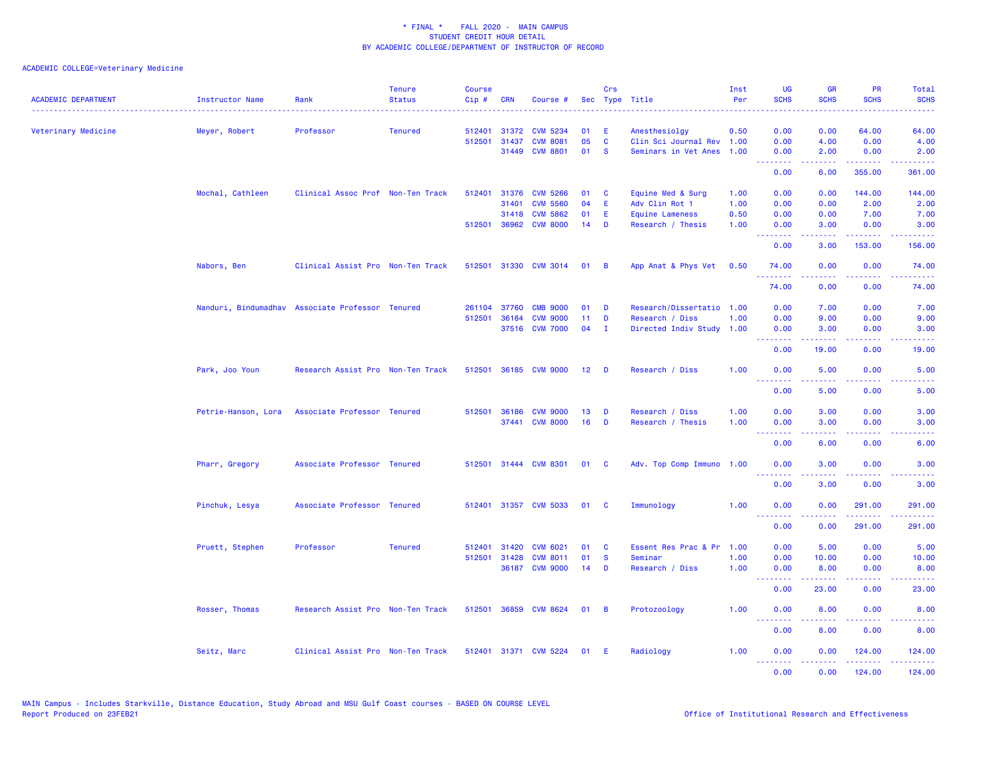| <b>ACADEMIC DEPARTMENT</b> | <b>Instructor Name</b>                           | Rank                              | <b>Tenure</b><br><b>Status</b> | <b>Course</b><br>$Cip \#$ | <b>CRN</b>            | Course #                           |                 | Crs          | Sec Type Title                              | Inst<br>Per  | UG<br><b>SCHS</b>               | <b>GR</b><br><b>SCHS</b>                                                                                                                                     | <b>PR</b><br><b>SCHS</b>                                                                                 | Total<br><b>SCHS</b>                                                                                                                                         |
|----------------------------|--------------------------------------------------|-----------------------------------|--------------------------------|---------------------------|-----------------------|------------------------------------|-----------------|--------------|---------------------------------------------|--------------|---------------------------------|--------------------------------------------------------------------------------------------------------------------------------------------------------------|----------------------------------------------------------------------------------------------------------|--------------------------------------------------------------------------------------------------------------------------------------------------------------|
| Veterinary Medicine        | Meyer, Robert                                    | Professor                         | <b>Tenured</b>                 | 512401                    |                       | 31372 CVM 5234                     | 01              | E            | Anesthesiolgy                               | 0.50         | 0.00                            | 0.00                                                                                                                                                         | 64.00                                                                                                    | 64.00                                                                                                                                                        |
|                            |                                                  |                                   |                                |                           | 512501 31437          | <b>CVM 8081</b>                    | 05              | C            | Clin Sci Journal Rev 1.00                   |              | 0.00                            | 4.00                                                                                                                                                         | 0.00                                                                                                     | 4.00                                                                                                                                                         |
|                            |                                                  |                                   |                                |                           | 31449                 | <b>CVM 8801</b>                    | 01              | <b>S</b>     | Seminars in Vet Anes                        | 1.00         | 0.00<br>.                       | 2.00<br><b>.</b>                                                                                                                                             | 0.00<br>222222                                                                                           | 2.00<br>$\frac{1}{2} \left( \frac{1}{2} \right) \left( \frac{1}{2} \right) \left( \frac{1}{2} \right) \left( \frac{1}{2} \right) \left( \frac{1}{2} \right)$ |
|                            |                                                  |                                   |                                |                           |                       |                                    |                 |              |                                             |              | 0.00                            | 6.00                                                                                                                                                         | 355.00                                                                                                   | 361.00                                                                                                                                                       |
|                            | Mochal, Cathleen                                 | Clinical Assoc Prof Non-Ten Track |                                | 512401                    | 31376                 | <b>CVM 5266</b>                    | 01              | <b>C</b>     | Equine Med & Surg                           | 1.00         | 0.00                            | 0.00                                                                                                                                                         | 144,00                                                                                                   | 144.00                                                                                                                                                       |
|                            |                                                  |                                   |                                |                           | 31401                 | <b>CVM 5560</b>                    | 04              | E            | Adv Clin Rot 1                              | 1.00         | 0.00                            | 0.00                                                                                                                                                         | 2.00                                                                                                     | 2.00                                                                                                                                                         |
|                            |                                                  |                                   |                                |                           | 31418<br>512501 36962 | <b>CVM 5862</b><br><b>CVM 8000</b> | 01<br>14        | E<br>D       | <b>Equine Lameness</b><br>Research / Thesis | 0.50<br>1.00 | 0.00<br>0.00                    | 0.00<br>3.00                                                                                                                                                 | 7.00<br>0.00                                                                                             | 7.00<br>3.00                                                                                                                                                 |
|                            |                                                  |                                   |                                |                           |                       |                                    |                 |              |                                             |              | المتمام المتاب<br>0.00          | 3.00                                                                                                                                                         | $\frac{1}{2} \left( \frac{1}{2} \right) \left( \frac{1}{2} \right) \left( \frac{1}{2} \right)$<br>153.00 | 156.00                                                                                                                                                       |
|                            | Nabors, Ben                                      | Clinical Assist Pro Non-Ten Track |                                |                           |                       | 512501 31330 CVM 3014              | 01              | - B          | App Anat & Phys Vet                         | 0.50         | 74.00                           | 0.00                                                                                                                                                         | 0.00                                                                                                     | 74.00                                                                                                                                                        |
|                            |                                                  |                                   |                                |                           |                       |                                    |                 |              |                                             |              |                                 |                                                                                                                                                              |                                                                                                          |                                                                                                                                                              |
|                            |                                                  |                                   |                                |                           |                       |                                    |                 |              |                                             |              | 74.00                           | 0.00                                                                                                                                                         | 0.00                                                                                                     | 74.00                                                                                                                                                        |
|                            | Nanduri, Bindumadhav Associate Professor Tenured |                                   |                                | 261104                    | 37760                 | <b>CMB 9000</b>                    | 01              | D            | Research/Dissertatio 1.00                   |              | 0.00                            | 7.00                                                                                                                                                         | 0.00                                                                                                     | 7.00                                                                                                                                                         |
|                            |                                                  |                                   |                                | 512501                    | 36184                 | <b>CVM 9000</b>                    | 11              | D            | Research / Diss                             | 1.00         | 0.00                            | 9.00                                                                                                                                                         | 0.00                                                                                                     | 9.00                                                                                                                                                         |
|                            |                                                  |                                   |                                |                           |                       | 37516 CVM 7000                     | 04              | $\mathbf{I}$ | Directed Indiv Study                        | 1.00         | 0.00<br>--------                | 3.00<br>$- - - - -$                                                                                                                                          | 0.00<br>.                                                                                                | 3.00<br>.                                                                                                                                                    |
|                            |                                                  |                                   |                                |                           |                       |                                    |                 |              |                                             |              | 0.00                            | 19.00                                                                                                                                                        | 0.00                                                                                                     | 19.00                                                                                                                                                        |
|                            | Park, Joo Youn                                   | Research Assist Pro Non-Ten Track |                                |                           |                       | 512501 36185 CVM 9000              | 12 <sub>2</sub> | - D          | Research / Diss                             | 1.00         | 0.00<br><u>.</u>                | 5.00<br>.                                                                                                                                                    | 0.00                                                                                                     | 5.00<br>.                                                                                                                                                    |
|                            |                                                  |                                   |                                |                           |                       |                                    |                 |              |                                             |              | 0.00                            | 5.00                                                                                                                                                         | 0.00                                                                                                     | 5.00                                                                                                                                                         |
|                            | Petrie-Hanson, Lora                              | Associate Professor Tenured       |                                |                           |                       | 512501 36186 CVM 9000              | 13              | D            | Research / Diss                             | 1.00         | 0.00                            | 3.00                                                                                                                                                         | 0.00                                                                                                     | 3.00                                                                                                                                                         |
|                            |                                                  |                                   |                                |                           |                       | 37441 CVM 8000                     | 16              | D            | Research / Thesis                           | 1.00         | 0.00                            | 3.00                                                                                                                                                         | 0.00                                                                                                     | 3.00                                                                                                                                                         |
|                            |                                                  |                                   |                                |                           |                       |                                    |                 |              |                                             |              | .<br>0.00                       | $\frac{1}{2} \left( \frac{1}{2} \right) \left( \frac{1}{2} \right) \left( \frac{1}{2} \right) \left( \frac{1}{2} \right) \left( \frac{1}{2} \right)$<br>6.00 | .<br>0.00                                                                                                | والمستناط<br>6.00                                                                                                                                            |
|                            | Pharr, Gregory                                   | Associate Professor Tenured       |                                |                           |                       | 512501 31444 CVM 8301              | 01              | <b>C</b>     | Adv. Top Comp Immuno                        | 1.00         | 0.00                            | 3.00                                                                                                                                                         | 0.00                                                                                                     | 3.00                                                                                                                                                         |
|                            |                                                  |                                   |                                |                           |                       |                                    |                 |              |                                             |              | <u> - - - - - - - -</u><br>0.00 | 3.00                                                                                                                                                         | 0.00                                                                                                     | 3.00                                                                                                                                                         |
|                            | Pinchuk, Lesya                                   | Associate Professor Tenured       |                                |                           |                       | 512401 31357 CVM 5033              | 01              | <b>C</b>     | Immunology                                  | 1.00         | 0.00                            | 0.00                                                                                                                                                         | 291.00                                                                                                   | 291.00                                                                                                                                                       |
|                            |                                                  |                                   |                                |                           |                       |                                    |                 |              |                                             |              | <u>.</u><br>0.00                | .<br>0.00                                                                                                                                                    | 222222<br>291.00                                                                                         | وعاددت<br>291.00                                                                                                                                             |
|                            | Pruett, Stephen                                  | Professor                         | <b>Tenured</b>                 | 512401                    | 31420                 | <b>CVM 6021</b>                    | 01              | C            | Essent Res Prac & Pr                        | 1.00         | 0.00                            | 5.00                                                                                                                                                         | 0.00                                                                                                     | 5.00                                                                                                                                                         |
|                            |                                                  |                                   |                                | 512501                    | 31428                 | <b>CVM 8011</b>                    | 01              | <b>S</b>     | Seminar                                     | 1.00         | 0.00                            | 10.00                                                                                                                                                        | 0.00                                                                                                     | 10.00                                                                                                                                                        |
|                            |                                                  |                                   |                                |                           |                       | 36187 CVM 9000                     | 14              | D            | Research / Diss                             | 1.00         | 0.00                            | 8.00                                                                                                                                                         | 0.00<br>.                                                                                                | 8.00                                                                                                                                                         |
|                            |                                                  |                                   |                                |                           |                       |                                    |                 |              |                                             |              | <u>.</u><br>0.00                | $\omega$ is a set of<br>23,00                                                                                                                                | 0.00                                                                                                     | .<br>23.00                                                                                                                                                   |
|                            | Rosser, Thomas                                   | Research Assist Pro Non-Ten Track |                                |                           |                       | 512501 36859 CVM 8624              | 01              | - B          | Protozoology                                | 1.00         | 0.00                            | 8.00                                                                                                                                                         | 0.00                                                                                                     | 8.00                                                                                                                                                         |
|                            |                                                  |                                   |                                |                           |                       |                                    |                 |              |                                             |              | .<br>0.00                       | 8.00                                                                                                                                                         | 0.00                                                                                                     | 8.00                                                                                                                                                         |
|                            | Seitz, Marc                                      | Clinical Assist Pro Non-Ten Track |                                |                           |                       | 512401 31371 CVM 5224              | 01 E            |              | Radiology                                   | 1.00         | 0.00<br><u>.</u>                | 0.00<br>.                                                                                                                                                    | 124.00<br>.                                                                                              | 124.00<br>.                                                                                                                                                  |
|                            |                                                  |                                   |                                |                           |                       |                                    |                 |              |                                             |              | 0.00                            | 0.00                                                                                                                                                         | 124.00                                                                                                   | 124.00                                                                                                                                                       |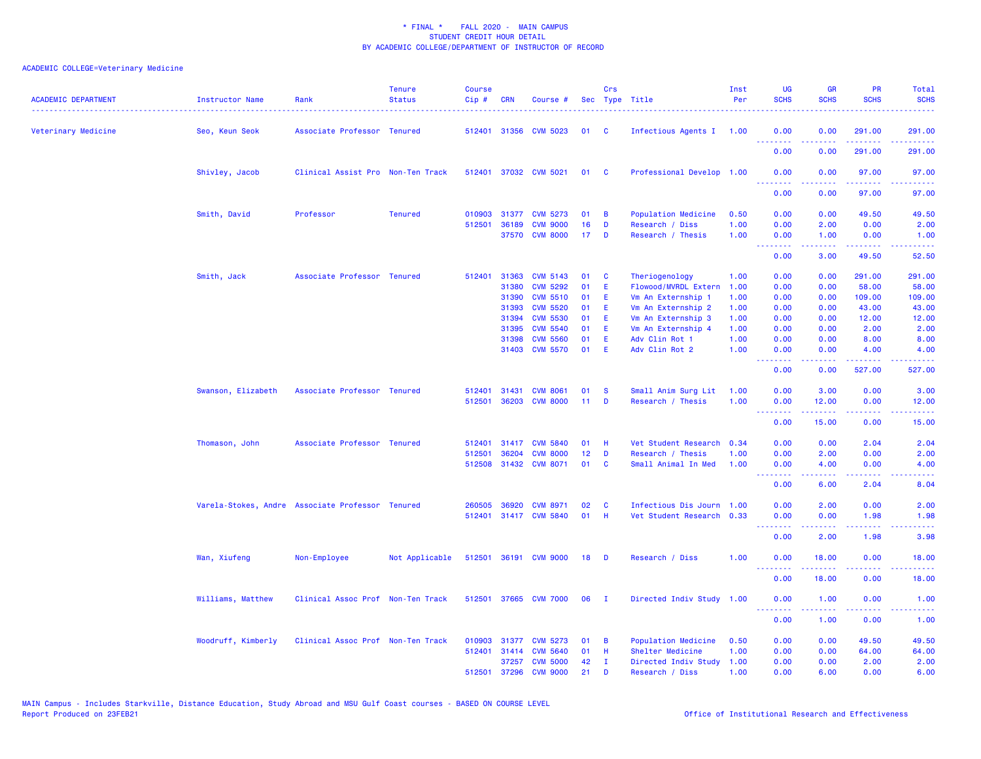| <b>ACADEMIC DEPARTMENT</b> | Instructor Name                                  | Rank                              | <b>Tenure</b><br><b>Status</b> | <b>Course</b><br>Cip# | <b>CRN</b>     | Course #                           |          | Crs<br>Sec Type Title |                                                        | Inst<br>Per  | <b>UG</b><br><b>SCHS</b>                           | <b>GR</b><br><b>SCHS</b>                                                                                                                             | <b>PR</b><br><b>SCHS</b> | Total<br><b>SCHS</b>                                                                                                               |
|----------------------------|--------------------------------------------------|-----------------------------------|--------------------------------|-----------------------|----------------|------------------------------------|----------|-----------------------|--------------------------------------------------------|--------------|----------------------------------------------------|------------------------------------------------------------------------------------------------------------------------------------------------------|--------------------------|------------------------------------------------------------------------------------------------------------------------------------|
| Veterinary Medicine        | Seo, Keun Seok                                   | Associate Professor Tenured       |                                |                       |                | 512401 31356 CVM 5023              | 01       | <b>C</b>              | Infectious Agents I 1.00                               |              | 0.00<br><u>.</u>                                   | 0.00                                                                                                                                                 | 291.00<br>$  -$          | 291.00<br>.                                                                                                                        |
|                            |                                                  |                                   |                                |                       |                |                                    |          |                       |                                                        |              | 0.00                                               | 0.00                                                                                                                                                 | 291.00                   | 291.00                                                                                                                             |
|                            | Shivley, Jacob                                   | Clinical Assist Pro Non-Ten Track |                                |                       |                | 512401 37032 CVM 5021              | 01       | <b>C</b>              | Professional Develop 1.00                              |              | 0.00<br><u> - - - - - - - -</u>                    | 0.00<br><u>.</u>                                                                                                                                     | 97.00<br>.               | 97.00<br>.                                                                                                                         |
|                            |                                                  |                                   |                                |                       |                |                                    |          |                       |                                                        |              | 0.00                                               | 0.00                                                                                                                                                 | 97.00                    | 97.00                                                                                                                              |
|                            | Smith, David                                     | Professor                         | <b>Tenured</b>                 | 010903                | 31377          | <b>CVM 5273</b>                    | 01       | B                     | Population Medicine                                    | 0.50         | 0.00                                               | 0.00                                                                                                                                                 | 49.50                    | 49.50                                                                                                                              |
|                            |                                                  |                                   |                                | 512501                | 36189          | <b>CVM 9000</b>                    | 16       | D                     | Research / Diss                                        | 1.00         | 0.00                                               | 2.00                                                                                                                                                 | 0.00                     | 2.00                                                                                                                               |
|                            |                                                  |                                   |                                |                       | 37570          | <b>CVM 8000</b>                    | 17       | D                     | Research / Thesis                                      | 1.00         | 0.00                                               | 1.00                                                                                                                                                 | 0.00                     | 1.00                                                                                                                               |
|                            |                                                  |                                   |                                |                       |                |                                    |          |                       |                                                        |              | .<br>0.00                                          | 3.00                                                                                                                                                 | 22222<br>49.50           | المتمامين<br>52.50                                                                                                                 |
|                            | Smith, Jack                                      | Associate Professor Tenured       |                                | 512401                | 31363          | <b>CVM 5143</b>                    | 01       | C                     | Theriogenology                                         | 1.00         | 0.00                                               | 0.00                                                                                                                                                 | 291.00                   | 291.00                                                                                                                             |
|                            |                                                  |                                   |                                |                       | 31380          | <b>CVM 5292</b>                    | 01       | Ε                     | Flowood/MVRDL Extern                                   | 1.00         | 0.00                                               | 0.00                                                                                                                                                 | 58.00                    | 58.00                                                                                                                              |
|                            |                                                  |                                   |                                |                       | 31390          | <b>CVM 5510</b>                    | 01       | Ε                     | Vm An Externship 1                                     | 1.00         | 0.00                                               | 0.00                                                                                                                                                 | 109.00                   | 109.00                                                                                                                             |
|                            |                                                  |                                   |                                |                       | 31393          | <b>CVM 5520</b>                    | 01       | E                     | Vm An Externship 2                                     | 1.00         | 0.00                                               | 0.00                                                                                                                                                 | 43.00                    | 43.00                                                                                                                              |
|                            |                                                  |                                   |                                |                       | 31394          | <b>CVM 5530</b>                    | 01       | E                     | Vm An Externship 3                                     | 1.00         | 0.00                                               | 0.00                                                                                                                                                 | 12.00                    | 12.00                                                                                                                              |
|                            |                                                  |                                   |                                |                       | 31395          | <b>CVM 5540</b>                    | 01       | Ε                     | Vm An Externship 4                                     | 1.00         | 0.00                                               | 0.00                                                                                                                                                 | 2.00                     | 2.00                                                                                                                               |
|                            |                                                  |                                   |                                |                       | 31398<br>31403 | <b>CVM 5560</b><br><b>CVM 5570</b> | 01<br>01 | E<br>E                | Adv Clin Rot 1<br>Adv Clin Rot 2                       | 1.00<br>1.00 | 0.00<br>0.00                                       | 0.00<br>0.00                                                                                                                                         | 8.00<br>4.00             | 8.00<br>4.00                                                                                                                       |
|                            |                                                  |                                   |                                |                       |                |                                    |          |                       |                                                        |              | .                                                  | .                                                                                                                                                    | <b>Sababa</b>            | .                                                                                                                                  |
|                            |                                                  |                                   |                                |                       |                |                                    |          |                       |                                                        |              | 0.00                                               | 0.00                                                                                                                                                 | 527.00                   | 527.00                                                                                                                             |
|                            | Swanson, Elizabeth                               | Associate Professor Tenured       |                                | 512401                | 31431          | <b>CVM 8061</b>                    | 01       | <b>S</b>              | Small Anim Surg Lit                                    | 1.00         | 0.00                                               | 3.00                                                                                                                                                 | 0.00                     | 3.00                                                                                                                               |
|                            |                                                  |                                   |                                | 512501                | 36203          | <b>CVM 8000</b>                    | 11       | D                     | Research / Thesis                                      | 1.00         | 0.00                                               | 12.00                                                                                                                                                | 0.00                     | 12.00                                                                                                                              |
|                            |                                                  |                                   |                                |                       |                |                                    |          |                       |                                                        |              | <b><i><u><u> - - - - - - -</u></u></i></b><br>0.00 | $\frac{1}{2} \left( \frac{1}{2} \right) \left( \frac{1}{2} \right) \left( \frac{1}{2} \right) \left( \frac{1}{2} \right)$<br>15.00                   | د د د د .<br>0.00        | $\frac{1}{2} \left( \frac{1}{2} \right) \left( \frac{1}{2} \right) \left( \frac{1}{2} \right) \left( \frac{1}{2} \right)$<br>15.00 |
|                            | Thomason, John                                   | Associate Professor Tenured       |                                |                       |                | 512401 31417 CVM 5840              | 01       | -H                    | Vet Student Research 0.34                              |              | 0.00                                               | 0.00                                                                                                                                                 | 2.04                     | 2.04                                                                                                                               |
|                            |                                                  |                                   |                                | 512501                | 36204          | <b>CVM 8000</b>                    | 12       | D                     | Research / Thesis                                      | 1.00         | 0.00                                               | 2.00                                                                                                                                                 | 0.00                     | 2.00                                                                                                                               |
|                            |                                                  |                                   |                                | 512508                |                | 31432 CVM 8071                     | 01       | C                     | Small Animal In Med                                    | 1.00         | 0.00                                               | 4.00                                                                                                                                                 | 0.00                     | 4.00                                                                                                                               |
|                            |                                                  |                                   |                                |                       |                |                                    |          |                       |                                                        |              | <b></b><br>0.00                                    | .<br>6.00                                                                                                                                            | .<br>2.04                | .<br>8.04                                                                                                                          |
|                            |                                                  |                                   |                                |                       |                |                                    |          |                       |                                                        |              |                                                    |                                                                                                                                                      |                          |                                                                                                                                    |
|                            | Varela-Stokes, Andre Associate Professor Tenured |                                   |                                | 260505<br>512401      | 36920          | <b>CVM 8971</b><br>31417 CVM 5840  | 02<br>01 | C<br>H                | Infectious Dis Journ 1.00<br>Vet Student Research 0.33 |              | 0.00<br>0.00                                       | 2.00<br>0.00                                                                                                                                         | 0.00<br>1.98             | 2.00<br>1.98                                                                                                                       |
|                            |                                                  |                                   |                                |                       |                |                                    |          |                       |                                                        |              | <b><i><u>AAAAAAA</u></i></b>                       | $\frac{1}{2} \left( \frac{1}{2} \right) \left( \frac{1}{2} \right) \left( \frac{1}{2} \right) \left( \frac{1}{2} \right) \left( \frac{1}{2} \right)$ | 22222                    | $\frac{1}{2} \left( \frac{1}{2} \right) \left( \frac{1}{2} \right) \left( \frac{1}{2} \right) \left( \frac{1}{2} \right)$          |
|                            |                                                  |                                   |                                |                       |                |                                    |          |                       |                                                        |              | 0.00                                               | 2.00                                                                                                                                                 | 1.98                     | 3.98                                                                                                                               |
|                            | Wan, Xiufeng                                     | Non-Employee                      | Not Applicable                 |                       |                | 512501 36191 CVM 9000              | 18       | D                     | Research / Diss                                        | 1.00         | 0.00<br><u>.</u>                                   | 18.00                                                                                                                                                | 0.00<br>والمناصب         | 18.00<br>$\frac{1}{2} \left( \frac{1}{2} \right) \left( \frac{1}{2} \right) \left( \frac{1}{2} \right) \left( \frac{1}{2} \right)$ |
|                            |                                                  |                                   |                                |                       |                |                                    |          |                       |                                                        |              | 0.00                                               | 18.00                                                                                                                                                | 0.00                     | 18.00                                                                                                                              |
|                            | Williams, Matthew                                | Clinical Assoc Prof Non-Ten Track |                                |                       |                | 512501 37665 CVM 7000              | 06       | - 1                   | Directed Indiv Study 1.00                              |              | 0.00<br><b><i><u>AAAAAAA</u></i></b>               | 1.00<br>22222                                                                                                                                        | 0.00<br>22222            | 1.00<br>د د د د د د                                                                                                                |
|                            |                                                  |                                   |                                |                       |                |                                    |          |                       |                                                        |              | 0.00                                               | 1.00                                                                                                                                                 | 0.00                     | 1.00                                                                                                                               |
|                            | Woodruff, Kimberly                               | Clinical Assoc Prof Non-Ten Track |                                | 010903                | 31377          | <b>CVM 5273</b>                    | 01       | B                     | Population Medicine                                    | 0.50         | 0.00                                               | 0.00                                                                                                                                                 | 49.50                    | 49.50                                                                                                                              |
|                            |                                                  |                                   |                                | 512401                | 31414          | <b>CVM 5640</b>                    | 01       | H                     | Shelter Medicine                                       | 1.00         | 0.00                                               | 0.00                                                                                                                                                 | 64.00                    | 64.00                                                                                                                              |
|                            |                                                  |                                   |                                |                       | 37257          | <b>CVM 5000</b>                    | 42       | $\mathbf{I}$          | Directed Indiv Study                                   | 1.00         | 0.00                                               | 0.00                                                                                                                                                 | 2.00                     | 2.00                                                                                                                               |
|                            |                                                  |                                   |                                | 512501                | 37296          | <b>CVM 9000</b>                    | 21       | D                     | Research / Diss                                        | 1.00         | 0.00                                               | 6.00                                                                                                                                                 | 0.00                     | 6.00                                                                                                                               |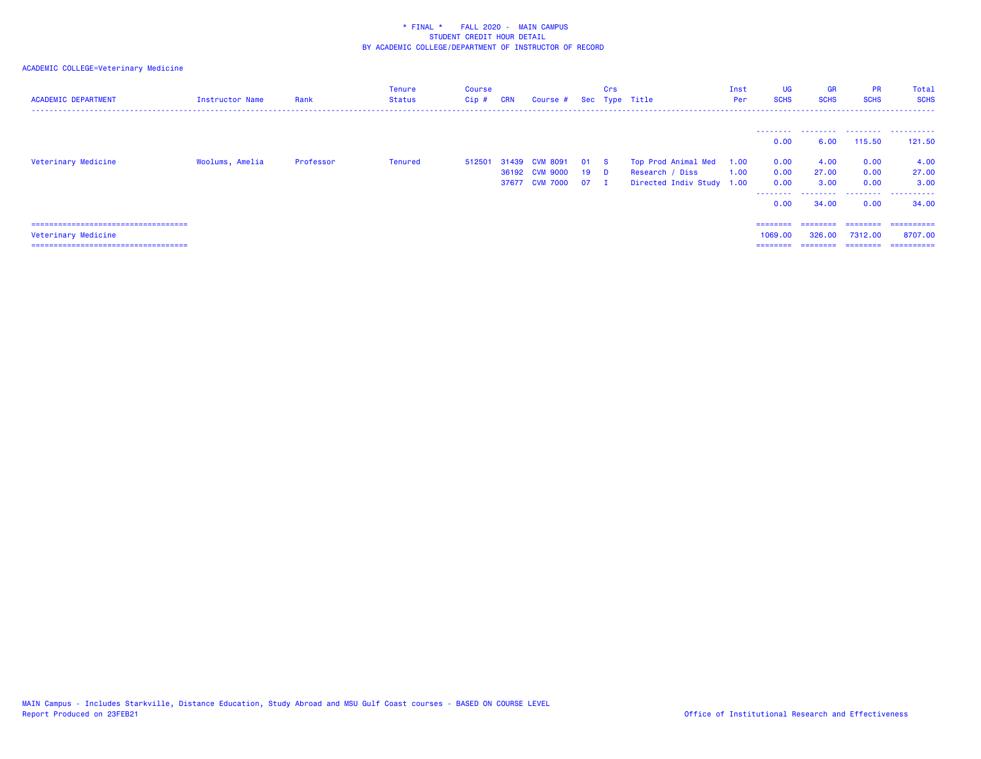| <b>ACADEMIC DEPARTMENT</b>                                                                             | Instructor Name | Rank      | Tenure<br>Status | Course<br>$Cip$ # | <b>CRN</b> | Course #                                            |                | Crs                                    | Sec Type Title                                                      | Inst<br>Per  | <b>UG</b><br><b>SCHS</b>                              | <b>GR</b><br><b>SCHS</b>                | <b>PR</b><br><b>SCHS</b>                 | <b>Total</b><br><b>SCHS</b>                  |
|--------------------------------------------------------------------------------------------------------|-----------------|-----------|------------------|-------------------|------------|-----------------------------------------------------|----------------|----------------------------------------|---------------------------------------------------------------------|--------------|-------------------------------------------------------|-----------------------------------------|------------------------------------------|----------------------------------------------|
| Veterinary Medicine                                                                                    | Woolums, Amelia | Professor | Tenured          | 512501            | 31439      | <b>CVM 8091</b><br>36192 CVM 9000<br>37677 CVM 7000 | 01<br>19<br>07 | <b>S</b><br><b>D</b><br>$\blacksquare$ | Top Prod Animal Med<br>Research / Diss<br>Directed Indiv Study 1.00 | 1.00<br>1.00 | ---------<br>0.00<br>0.00<br>0.00<br>0.00<br>-------- | 6.00<br>4.00<br>27.00<br>3.00<br>.      | 115.50<br>0.00<br>0.00<br>0.00<br>.      | <br>121.50<br>4.00<br>27.00<br>3.00<br>.     |
| ======================================<br>Veterinary Medicine<br>===================================== |                 |           |                  |                   |            |                                                     |                |                                        |                                                                     |              | 0.00<br>$=$ = = = = = = =<br>1069.00<br>========      | 34.00<br>========<br>326,00<br>======== | 0.00<br>========<br>7312,00<br>--------- | 34,00<br>==========<br>8707.00<br>========== |